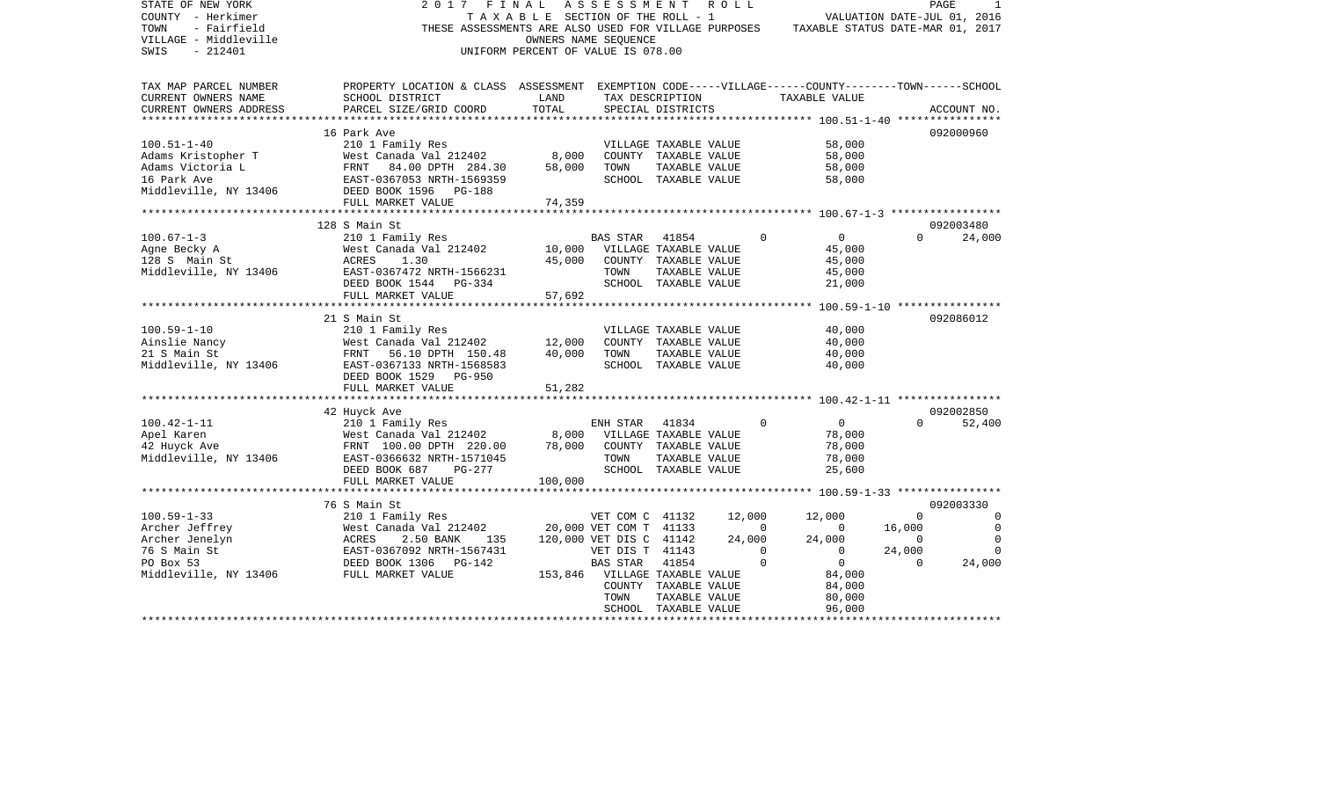| STATE OF NEW YORK<br>COUNTY - Herkimer<br>- Fairfield<br>TOWN<br>VILLAGE - Middleville<br>SWIS<br>$-212401$ | 2017<br>FINAL<br>THESE ASSESSMENTS ARE ALSO USED FOR VILLAGE PURPOSES                                                                              | TAXABLE SECTION OF THE ROLL - 1<br>OWNERS NAME SEQUENCE<br>UNIFORM PERCENT OF VALUE IS 078.00 | A S S E S S M E N T                                                                                        |                                                                                        | R O L L          | TAXABLE STATUS DATE-MAR 01, 2017                                                                                |                                                         | PAGE<br>VALUATION DATE-JUL 01, 2016                          |
|-------------------------------------------------------------------------------------------------------------|----------------------------------------------------------------------------------------------------------------------------------------------------|-----------------------------------------------------------------------------------------------|------------------------------------------------------------------------------------------------------------|----------------------------------------------------------------------------------------|------------------|-----------------------------------------------------------------------------------------------------------------|---------------------------------------------------------|--------------------------------------------------------------|
| TAX MAP PARCEL NUMBER<br>CURRENT OWNERS NAME<br>CURRENT OWNERS ADDRESS                                      | PROPERTY LOCATION & CLASS ASSESSMENT EXEMPTION CODE-----VILLAGE------COUNTY-------TOWN------SCHOOL<br>SCHOOL DISTRICT<br>PARCEL SIZE/GRID COORD    | LAND<br>TOTAL                                                                                 |                                                                                                            | TAX DESCRIPTION<br>SPECIAL DISTRICTS                                                   |                  | TAXABLE VALUE                                                                                                   |                                                         | ACCOUNT NO.                                                  |
| *********************                                                                                       |                                                                                                                                                    | ***************                                                                               |                                                                                                            |                                                                                        |                  |                                                                                                                 |                                                         |                                                              |
|                                                                                                             | 16 Park Ave                                                                                                                                        |                                                                                               |                                                                                                            |                                                                                        |                  |                                                                                                                 |                                                         | 092000960                                                    |
| $100.51 - 1 - 40$<br>Adams Kristopher T<br>Adams Victoria L<br>16 Park Ave                                  | 210 1 Family Res<br>West Canada Val 212402<br>FRNT 84.00 DPTH 284.30<br>EAST-0367053 NRTH-1569359                                                  | 8,000<br>58,000                                                                               | TOWN                                                                                                       | VILLAGE TAXABLE VALUE<br>COUNTY TAXABLE VALUE<br>TAXABLE VALUE<br>SCHOOL TAXABLE VALUE |                  | 58,000<br>58,000<br>58,000<br>58,000                                                                            |                                                         |                                                              |
| Middleville, NY 13406                                                                                       | DEED BOOK 1596 PG-188                                                                                                                              |                                                                                               |                                                                                                            |                                                                                        |                  |                                                                                                                 |                                                         |                                                              |
|                                                                                                             | FULL MARKET VALUE<br>****************************                                                                                                  | 74,359                                                                                        |                                                                                                            |                                                                                        |                  |                                                                                                                 |                                                         |                                                              |
|                                                                                                             | 128 S Main St                                                                                                                                      |                                                                                               |                                                                                                            |                                                                                        |                  |                                                                                                                 |                                                         | 092003480                                                    |
| $100.67 - 1 - 3$<br>Agne Becky A<br>128 S Main St<br>Middleville, NY 13406                                  | 210 1 Family Res<br>West Canada Val 212402<br>1.30<br>ACRES<br>EAST-0367472 NRTH-1566231                                                           | 10,000<br>45,000                                                                              | <b>BAS STAR</b><br>TOWN                                                                                    | 41854<br>VILLAGE TAXABLE VALUE<br>COUNTY TAXABLE VALUE<br>TAXABLE VALUE                |                  | $\overline{0}$<br>$\Omega$<br>45,000<br>45,000<br>45,000                                                        | $\Omega$                                                | 24,000                                                       |
|                                                                                                             | DEED BOOK 1544 PG-334                                                                                                                              |                                                                                               |                                                                                                            | SCHOOL TAXABLE VALUE                                                                   |                  | 21,000                                                                                                          |                                                         |                                                              |
|                                                                                                             | FULL MARKET VALUE                                                                                                                                  | 57,692                                                                                        |                                                                                                            |                                                                                        |                  |                                                                                                                 |                                                         |                                                              |
|                                                                                                             | ************************                                                                                                                           |                                                                                               |                                                                                                            |                                                                                        |                  | ************ 100.59-1-10 *****************                                                                      |                                                         |                                                              |
| $100.59 - 1 - 10$<br>Ainslie Nancy<br>21 S Main St<br>Middleville, NY 13406                                 | 21 S Main St<br>210 1 Family Res<br>West Canada Val 212402<br>FRNT 56.10 DPTH 150.48<br>EAST-0367133 NRTH-1568583<br>DEED BOOK 1529 PG-950         | 12,000<br>40,000                                                                              | TOWN                                                                                                       | VILLAGE TAXABLE VALUE<br>COUNTY TAXABLE VALUE<br>TAXABLE VALUE<br>SCHOOL TAXABLE VALUE |                  | 40,000<br>40,000<br>40,000<br>40,000                                                                            |                                                         | 092086012                                                    |
|                                                                                                             | FULL MARKET VALUE                                                                                                                                  | 51,282                                                                                        |                                                                                                            |                                                                                        |                  |                                                                                                                 |                                                         |                                                              |
|                                                                                                             | 42 Huyck Ave                                                                                                                                       |                                                                                               |                                                                                                            |                                                                                        |                  |                                                                                                                 |                                                         | 092002850                                                    |
| $100.42 - 1 - 11$<br>Apel Karen<br>42 Huyck Ave<br>Middleville, NY 13406                                    | 210 1 Family Res<br>West Canada Val 212402<br>FRNT 100.00 DPTH 220.00<br>EAST-0366632 NRTH-1571045<br>DEED BOOK 687<br>PG-277<br>FULL MARKET VALUE | 8,000<br>78,000<br>100,000                                                                    | ENH STAR 41834<br>VILLAGE TAXABLE VALUE<br>TOWN                                                            | COUNTY TAXABLE VALUE<br>TAXABLE VALUE<br>SCHOOL TAXABLE VALUE                          |                  | $\Omega$<br>$\overline{0}$<br>78,000<br>78,000<br>78,000<br>25,600                                              | $\Omega$                                                | 52,400                                                       |
|                                                                                                             |                                                                                                                                                    |                                                                                               |                                                                                                            |                                                                                        |                  |                                                                                                                 |                                                         |                                                              |
|                                                                                                             | 76 S Main St                                                                                                                                       |                                                                                               |                                                                                                            |                                                                                        |                  |                                                                                                                 |                                                         | 092003330                                                    |
| $100.59 - 1 - 33$<br>Archer Jeffrey<br>Archer Jenelyn<br>76 S Main St<br>PO Box 53                          | 210 1 Family Res<br>West Canada Val 212402<br>ACRES<br>2.50 BANK<br>135<br>EAST-0367092 NRTH-1567431<br>DEED BOOK 1306 PG-142                      |                                                                                               | VET COM C 41132<br>20,000 VET COM T 41133<br>120,000 VET DIS C 41142<br>VET DIS T 41143<br><b>BAS STAR</b> | 41854                                                                                  | 12,000<br>24,000 | 12,000<br>$\overline{0}$<br>$\mathbf{0}$<br>24,000<br>$\mathbf 0$<br>$\mathbf{0}$<br>$\Omega$<br>$\overline{0}$ | $\Omega$<br>16,000<br>$\mathbf 0$<br>24,000<br>$\Omega$ | $\Omega$<br>$\mathbf 0$<br>$\mathbf 0$<br>$\Omega$<br>24,000 |
| Middleville, NY 13406 FULL MARKET VALUE                                                                     |                                                                                                                                                    |                                                                                               | 153,846 VILLAGE TAXABLE VALUE<br>TOWN                                                                      | COUNTY TAXABLE VALUE<br>TAXABLE VALUE<br>SCHOOL TAXABLE VALUE                          |                  | 84,000<br>84,000<br>80,000<br>96,000                                                                            |                                                         |                                                              |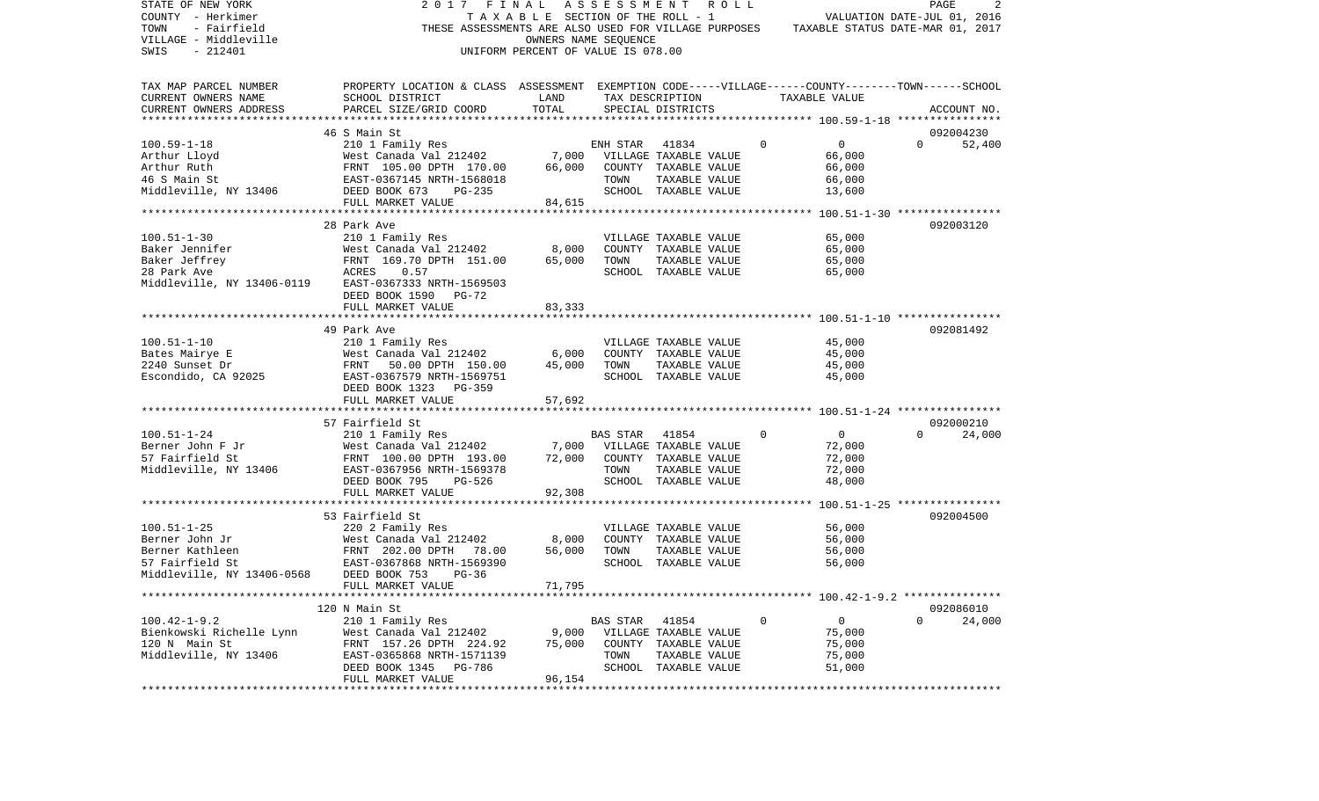| STATE OF NEW YORK<br>COUNTY - Herkimer<br>TOWN<br>- Fairfield<br>VILLAGE - Middleville<br>$-212401$<br>SWIS | 2017<br>THESE ASSESSMENTS ARE ALSO USED FOR VILLAGE PURPOSES                                       | FINAL<br>TAXABLE SECTION OF THE ROLL - 1<br>OWNERS NAME SEQUENCE<br>UNIFORM PERCENT OF VALUE IS 078.00 |                 | A S S E S S M E N T R O L L           |             | VALUATION DATE-JUL 01, 2016<br>TAXABLE STATUS DATE-MAR 01, 2017 |              | 2<br>PAGE   |
|-------------------------------------------------------------------------------------------------------------|----------------------------------------------------------------------------------------------------|--------------------------------------------------------------------------------------------------------|-----------------|---------------------------------------|-------------|-----------------------------------------------------------------|--------------|-------------|
| TAX MAP PARCEL NUMBER                                                                                       | PROPERTY LOCATION & CLASS ASSESSMENT EXEMPTION CODE-----VILLAGE------COUNTY-------TOWN------SCHOOL |                                                                                                        |                 |                                       |             |                                                                 |              |             |
| CURRENT OWNERS NAME                                                                                         | SCHOOL DISTRICT                                                                                    | LAND                                                                                                   |                 | TAX DESCRIPTION                       |             | TAXABLE VALUE                                                   |              |             |
| CURRENT OWNERS ADDRESS                                                                                      | PARCEL SIZE/GRID COORD                                                                             | TOTAL                                                                                                  |                 | SPECIAL DISTRICTS                     |             |                                                                 |              | ACCOUNT NO. |
|                                                                                                             |                                                                                                    |                                                                                                        |                 |                                       |             |                                                                 |              |             |
|                                                                                                             | 46 S Main St                                                                                       |                                                                                                        |                 |                                       |             |                                                                 |              | 092004230   |
| $100.59 - 1 - 18$                                                                                           | 210 1 Family Res                                                                                   |                                                                                                        | ENH STAR        | 41834                                 | $\Omega$    | $\mathbf{0}$                                                    | $\Omega$     | 52,400      |
| Arthur Lloyd                                                                                                | West Canada Val 212402                                                                             |                                                                                                        |                 | 7,000 VILLAGE TAXABLE VALUE           |             | 66,000                                                          |              |             |
| Arthur Ruth                                                                                                 | FRNT 105.00 DPTH 170.00                                                                            | 66,000                                                                                                 |                 | COUNTY TAXABLE VALUE                  |             | 66,000                                                          |              |             |
| 46 S Main St                                                                                                | FRNT 105.00 DPIH 170.00<br>EAST-0367145 NRTH-1568018                                               |                                                                                                        | TOWN            | TAXABLE VALUE                         |             | 66,000                                                          |              |             |
| Middleville, NY 13406 DEED BOOK 673                                                                         | PG-235                                                                                             |                                                                                                        |                 | SCHOOL TAXABLE VALUE                  |             | 13,600                                                          |              |             |
|                                                                                                             | FULL MARKET VALUE                                                                                  | 84,615                                                                                                 |                 |                                       |             |                                                                 |              |             |
|                                                                                                             | 28 Park Ave                                                                                        |                                                                                                        |                 |                                       |             |                                                                 |              | 092003120   |
| $100.51 - 1 - 30$                                                                                           | 210 1 Family Res                                                                                   |                                                                                                        |                 | VILLAGE TAXABLE VALUE                 |             | 65,000                                                          |              |             |
| Baker Jennifer                                                                                              | West Canada Val 212402                                                                             | 8,000                                                                                                  |                 | COUNTY TAXABLE VALUE                  |             | 65,000                                                          |              |             |
| Baker Jeffrey                                                                                               | FRNT 169.70 DPTH 151.00                                                                            | 65,000                                                                                                 | TOWN            | TAXABLE VALUE                         |             | 65,000                                                          |              |             |
| 28 Park Ave                                                                                                 | FRNT<br>ACRES<br>0.57                                                                              |                                                                                                        |                 | SCHOOL TAXABLE VALUE                  |             | 65,000                                                          |              |             |
| Middleville, NY 13406-0119                                                                                  | EAST-0367333 NRTH-1569503                                                                          |                                                                                                        |                 |                                       |             |                                                                 |              |             |
|                                                                                                             | DEED BOOK 1590<br>PG-72                                                                            |                                                                                                        |                 |                                       |             |                                                                 |              |             |
|                                                                                                             | FULL MARKET VALUE                                                                                  | 83,333                                                                                                 |                 |                                       |             |                                                                 |              |             |
|                                                                                                             |                                                                                                    |                                                                                                        |                 |                                       |             |                                                                 |              |             |
| $100.51 - 1 - 10$                                                                                           | 49 Park Ave<br>210 1 Family Res                                                                    |                                                                                                        |                 | VILLAGE TAXABLE VALUE                 |             | 45,000                                                          |              | 092081492   |
| Bates Mairye E                                                                                              | West Canada Val 212402                                                                             | 6,000                                                                                                  |                 | COUNTY TAXABLE VALUE                  |             | 45,000                                                          |              |             |
| 2240 Sunset Dr                                                                                              | 50.00 DPTH 150.00                                                                                  | 45,000                                                                                                 | TOWN            | TAXABLE VALUE                         |             | 45,000                                                          |              |             |
| Escondido, CA 92025                                                                                         | West<br>FRNT<br>EAST-<br>EAST-0367579 NRTH-1569751                                                 |                                                                                                        |                 | SCHOOL TAXABLE VALUE                  |             | 45,000                                                          |              |             |
|                                                                                                             | DEED BOOK 1323 PG-359                                                                              |                                                                                                        |                 |                                       |             |                                                                 |              |             |
|                                                                                                             | FULL MARKET VALUE                                                                                  | 57,692                                                                                                 |                 |                                       |             |                                                                 |              |             |
|                                                                                                             |                                                                                                    |                                                                                                        |                 |                                       |             |                                                                 |              |             |
|                                                                                                             | 57 Fairfield St                                                                                    |                                                                                                        |                 |                                       |             |                                                                 |              | 092000210   |
| $100.51 - 1 - 24$                                                                                           | 210 1 Family Res                                                                                   |                                                                                                        | <b>BAS STAR</b> | 41854                                 | $\Omega$    | $\overline{0}$                                                  | $\Omega$     | 24,000      |
| Berner John F Jr                                                                                            | West Canada Val 212402                                                                             |                                                                                                        |                 | 7,000 VILLAGE TAXABLE VALUE           |             | 72,000                                                          |              |             |
| 57 Fairfield St                                                                                             | FRNT 100.00 DPTH 193.00                                                                            | 72,000                                                                                                 |                 | COUNTY TAXABLE VALUE                  |             | 72,000                                                          |              |             |
| Middleville, NY 13406                                                                                       | EAST-0367956 NRTH-1569378<br>DEED BOOK 795<br>PG-526                                               |                                                                                                        | TOWN            | TAXABLE VALUE<br>SCHOOL TAXABLE VALUE |             | 72,000                                                          |              |             |
|                                                                                                             | FULL MARKET VALUE                                                                                  | 92,308                                                                                                 |                 |                                       |             | 48,000                                                          |              |             |
|                                                                                                             | ******************************                                                                     |                                                                                                        |                 |                                       |             |                                                                 |              |             |
|                                                                                                             | 53 Fairfield St                                                                                    |                                                                                                        |                 |                                       |             |                                                                 |              | 092004500   |
| $100.51 - 1 - 25$                                                                                           | 220 2 Family Res                                                                                   |                                                                                                        |                 | VILLAGE TAXABLE VALUE                 |             | 56,000                                                          |              |             |
| Berner John Jr                                                                                              | West Canada Val 212402                                                                             | 8,000                                                                                                  |                 | COUNTY TAXABLE VALUE                  |             | 56,000                                                          |              |             |
| Berner Kathleen                                                                                             | FRNT 202.00 DPTH<br>78.00                                                                          | 56,000                                                                                                 | TOWN            | TAXABLE VALUE                         |             | 56,000                                                          |              |             |
| 57 Fairfield St                                                                                             | EAST-0367868 NRTH-1569390                                                                          |                                                                                                        |                 | SCHOOL TAXABLE VALUE                  |             | 56,000                                                          |              |             |
| Middleville, NY 13406-0568                                                                                  | DEED BOOK 753<br>$PG-36$                                                                           |                                                                                                        |                 |                                       |             |                                                                 |              |             |
|                                                                                                             | FULL MARKET VALUE                                                                                  | 71,795                                                                                                 |                 |                                       |             |                                                                 |              |             |
|                                                                                                             |                                                                                                    |                                                                                                        |                 |                                       |             |                                                                 |              | 092086010   |
| $100.42 - 1 - 9.2$                                                                                          | 120 N Main St<br>210 1 Family Res                                                                  |                                                                                                        | BAS STAR        | 41854                                 | $\mathbf 0$ | $\overline{0}$                                                  | $\mathbf{0}$ | 24,000      |
| Bienkowski Richelle Lynn                                                                                    | West Canada Val 212402                                                                             | 9,000                                                                                                  |                 | VILLAGE TAXABLE VALUE                 |             | 75,000                                                          |              |             |
| 120 N Main St                                                                                               | FRNT 157.26 DPTH 224.92                                                                            | 75,000                                                                                                 |                 | COUNTY TAXABLE VALUE                  |             | 75,000                                                          |              |             |
| Middleville, NY 13406                                                                                       | EAST-0365868 NRTH-1571139                                                                          |                                                                                                        | TOWN            | TAXABLE VALUE                         |             | 75,000                                                          |              |             |
|                                                                                                             | DEED BOOK 1345 PG-786                                                                              |                                                                                                        |                 | SCHOOL TAXABLE VALUE                  |             | 51,000                                                          |              |             |
|                                                                                                             | FULL MARKET VALUE                                                                                  | 96,154                                                                                                 |                 |                                       |             |                                                                 |              |             |
|                                                                                                             |                                                                                                    |                                                                                                        |                 |                                       |             |                                                                 |              |             |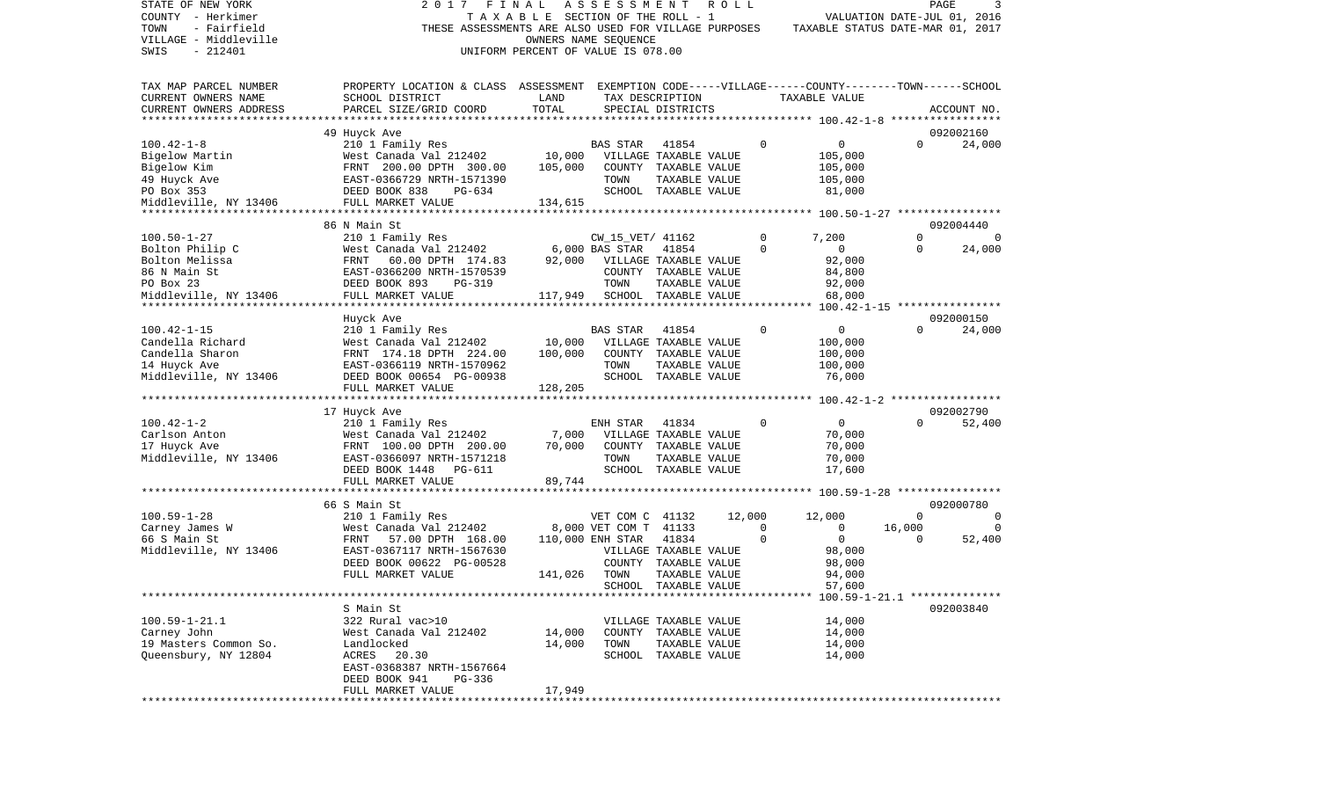| STATE OF NEW YORK      | 2 0 1 7                                                                                            | FINAL                                 | ASSESSMENT                         |                       | R O L L |             |                                             |             | PAGE<br>3                          |
|------------------------|----------------------------------------------------------------------------------------------------|---------------------------------------|------------------------------------|-----------------------|---------|-------------|---------------------------------------------|-------------|------------------------------------|
| COUNTY - Herkimer      |                                                                                                    | T A X A B L E SECTION OF THE ROLL - 1 |                                    |                       |         |             |                                             |             | VALUATION DATE-JUL 01, 2016        |
| - Fairfield<br>TOWN    | THESE ASSESSMENTS ARE ALSO USED FOR VILLAGE PURPOSES                                               |                                       |                                    |                       |         |             | TAXABLE STATUS DATE-MAR 01, 2017            |             |                                    |
| VILLAGE - Middleville  |                                                                                                    |                                       | OWNERS NAME SEQUENCE               |                       |         |             |                                             |             |                                    |
| SWIS<br>$-212401$      |                                                                                                    | UNIFORM PERCENT OF VALUE IS 078.00    |                                    |                       |         |             |                                             |             |                                    |
|                        |                                                                                                    |                                       |                                    |                       |         |             |                                             |             |                                    |
|                        |                                                                                                    |                                       |                                    |                       |         |             |                                             |             |                                    |
| TAX MAP PARCEL NUMBER  | PROPERTY LOCATION & CLASS ASSESSMENT EXEMPTION CODE-----VILLAGE------COUNTY-------TOWN------SCHOOL |                                       |                                    |                       |         |             |                                             |             |                                    |
| CURRENT OWNERS NAME    | SCHOOL DISTRICT                                                                                    | LAND                                  |                                    | TAX DESCRIPTION       |         |             | TAXABLE VALUE                               |             |                                    |
| CURRENT OWNERS ADDRESS | PARCEL SIZE/GRID COORD                                                                             | TOTAL                                 |                                    | SPECIAL DISTRICTS     |         |             |                                             |             | ACCOUNT NO.                        |
| *********************  |                                                                                                    |                                       |                                    |                       |         |             |                                             |             |                                    |
|                        | 49 Huyck Ave                                                                                       |                                       |                                    |                       |         |             |                                             |             | 092002160                          |
| $100.42 - 1 - 8$       | 210 1 Family Res                                                                                   |                                       | <b>BAS STAR</b>                    | 41854                 |         | $\mathbf 0$ | 0                                           | $\Omega$    | 24,000                             |
| Bigelow Martin         | West Canada Val 212402                                                                             | 10,000                                |                                    | VILLAGE TAXABLE VALUE |         |             | 105,000                                     |             |                                    |
| Bigelow Kim            | FRNT 200.00 DPTH 300.00                                                                            | 105,000                               |                                    | COUNTY TAXABLE VALUE  |         |             | 105,000                                     |             |                                    |
| 49 Huyck Ave           | EAST-0366729 NRTH-1571390                                                                          |                                       | TOWN                               | TAXABLE VALUE         |         |             | 105,000                                     |             |                                    |
| PO Box 353             | DEED BOOK 838<br>PG-634                                                                            |                                       |                                    | SCHOOL TAXABLE VALUE  |         |             | 81,000                                      |             |                                    |
| Middleville, NY 13406  | FULL MARKET VALUE                                                                                  | 134,615                               |                                    |                       |         |             |                                             |             |                                    |
|                        |                                                                                                    |                                       |                                    |                       |         |             |                                             |             |                                    |
|                        | 86 N Main St                                                                                       |                                       |                                    |                       |         |             |                                             |             | 092004440                          |
| $100.50 - 1 - 27$      | 210 1 Family Res                                                                                   |                                       | CW_15_VET/ 41162                   |                       |         | 0           | 7,200                                       | $\Omega$    | 0                                  |
| Bolton Philip C        | West Canada Val 212402                                                                             |                                       | 6,000 BAS STAR                     | 41854                 |         | $\Omega$    | $\mathbf{0}$                                | $\Omega$    | 24,000                             |
| Bolton Melissa         | FRNT<br>60.00 DPTH 174.83                                                                          | 92,000                                |                                    | VILLAGE TAXABLE VALUE |         |             | 92,000                                      |             |                                    |
| 86 N Main St           | EAST-0366200 NRTH-1570539                                                                          |                                       |                                    | COUNTY TAXABLE VALUE  |         |             | 84,800                                      |             |                                    |
| PO Box 23              | DEED BOOK 893<br>PG-319                                                                            |                                       | TOWN                               | TAXABLE VALUE         |         |             | 92,000                                      |             |                                    |
| Middleville, NY 13406  | FULL MARKET VALUE                                                                                  | 117,949                               |                                    | SCHOOL TAXABLE VALUE  |         |             | 68,000                                      |             |                                    |
|                        |                                                                                                    |                                       | ********************************** |                       |         |             |                                             |             | $100.42 - 1 - 15$ **************** |
|                        | Huyck Ave                                                                                          |                                       |                                    |                       |         |             |                                             |             | 092000150                          |
| $100.42 - 1 - 15$      | 210 1 Family Res                                                                                   |                                       | <b>BAS STAR</b>                    | 41854                 |         | 0           | 0                                           | $\Omega$    | 24,000                             |
| Candella Richard       | West Canada Val 212402                                                                             | 10,000                                |                                    | VILLAGE TAXABLE VALUE |         |             | 100,000                                     |             |                                    |
| Candella Sharon        | FRNT 174.18 DPTH 224.00                                                                            | 100,000                               |                                    | COUNTY TAXABLE VALUE  |         |             | 100,000                                     |             |                                    |
| 14 Huyck Ave           | EAST-0366119 NRTH-1570962                                                                          |                                       | TOWN                               | TAXABLE VALUE         |         |             | 100,000                                     |             |                                    |
| Middleville, NY 13406  | DEED BOOK 00654 PG-00938                                                                           |                                       |                                    | SCHOOL TAXABLE VALUE  |         |             | 76,000                                      |             |                                    |
|                        | FULL MARKET VALUE                                                                                  | 128,205                               |                                    |                       |         |             |                                             |             |                                    |
|                        |                                                                                                    |                                       |                                    |                       |         |             |                                             |             |                                    |
|                        | 17 Huyck Ave                                                                                       |                                       |                                    |                       |         |             |                                             |             | 092002790                          |
| $100.42 - 1 - 2$       | 210 1 Family Res                                                                                   |                                       | ENH STAR                           | 41834                 |         | $\Omega$    | $\mathbf{0}$                                | $\Omega$    | 52,400                             |
| Carlson Anton          | West Canada Val 212402                                                                             | 7,000                                 |                                    | VILLAGE TAXABLE VALUE |         |             | 70,000                                      |             |                                    |
| 17 Huyck Ave           | FRNT 100.00 DPTH 200.00                                                                            | 70,000                                |                                    | COUNTY TAXABLE VALUE  |         |             | 70,000                                      |             |                                    |
| Middleville, NY 13406  | EAST-0366097 NRTH-1571218                                                                          |                                       | TOWN                               | TAXABLE VALUE         |         |             | 70,000                                      |             |                                    |
|                        | DEED BOOK 1448 PG-611                                                                              |                                       |                                    | SCHOOL TAXABLE VALUE  |         |             | 17,600                                      |             |                                    |
|                        | FULL MARKET VALUE                                                                                  | 89,744                                |                                    |                       |         |             |                                             |             |                                    |
|                        |                                                                                                    | ********************************      |                                    |                       |         |             | ************* 100.59-1-28 ***************** |             |                                    |
|                        | 66 S Main St                                                                                       |                                       |                                    |                       |         |             |                                             |             | 092000780                          |
| $100.59 - 1 - 28$      | 210 1 Family Res                                                                                   |                                       | VET COM C 41132                    |                       | 12,000  |             | 12,000                                      | $\mathbf 0$ | 0                                  |
| Carney James W         | West Canada Val 212402                                                                             |                                       | 8,000 VET COM T 41133              |                       |         | 0           | $\circ$                                     | 16,000      | $\Omega$                           |
| 66 S Main St           | 57.00 DPTH 168.00<br>FRNT                                                                          |                                       | 110,000 ENH STAR                   | 41834                 |         | $\mathbf 0$ | 0                                           | $\Omega$    | 52,400                             |
| Middleville, NY 13406  | EAST-0367117 NRTH-1567630                                                                          |                                       |                                    | VILLAGE TAXABLE VALUE |         |             | 98,000                                      |             |                                    |
|                        | DEED BOOK 00622 PG-00528                                                                           |                                       |                                    | COUNTY TAXABLE VALUE  |         |             | 98,000                                      |             |                                    |
|                        | FULL MARKET VALUE                                                                                  | 141,026                               | TOWN                               | TAXABLE VALUE         |         |             | 94,000                                      |             |                                    |
|                        |                                                                                                    |                                       | SCHOOL                             | TAXABLE VALUE         |         |             | 57,600                                      |             |                                    |
|                        |                                                                                                    |                                       |                                    |                       |         |             |                                             |             |                                    |
|                        | S Main St                                                                                          |                                       |                                    |                       |         |             |                                             |             | 092003840                          |
| $100.59 - 1 - 21.1$    | 322 Rural vac>10                                                                                   |                                       |                                    | VILLAGE TAXABLE VALUE |         |             | 14,000                                      |             |                                    |
| Carney John            | West Canada Val 212402                                                                             | 14,000                                |                                    | COUNTY TAXABLE VALUE  |         |             | 14,000                                      |             |                                    |
| 19 Masters Common So.  | Landlocked                                                                                         | 14,000                                | TOWN                               | TAXABLE VALUE         |         |             | 14,000                                      |             |                                    |
| Queensbury, NY 12804   | ACRES<br>20.30                                                                                     |                                       |                                    | SCHOOL TAXABLE VALUE  |         |             | 14,000                                      |             |                                    |
|                        | EAST-0368387 NRTH-1567664                                                                          |                                       |                                    |                       |         |             |                                             |             |                                    |
|                        | DEED BOOK 941<br>PG-336                                                                            |                                       |                                    |                       |         |             |                                             |             |                                    |
|                        | FULL MARKET VALUE                                                                                  | 17,949                                |                                    |                       |         |             |                                             |             |                                    |
|                        |                                                                                                    |                                       |                                    |                       |         |             |                                             |             |                                    |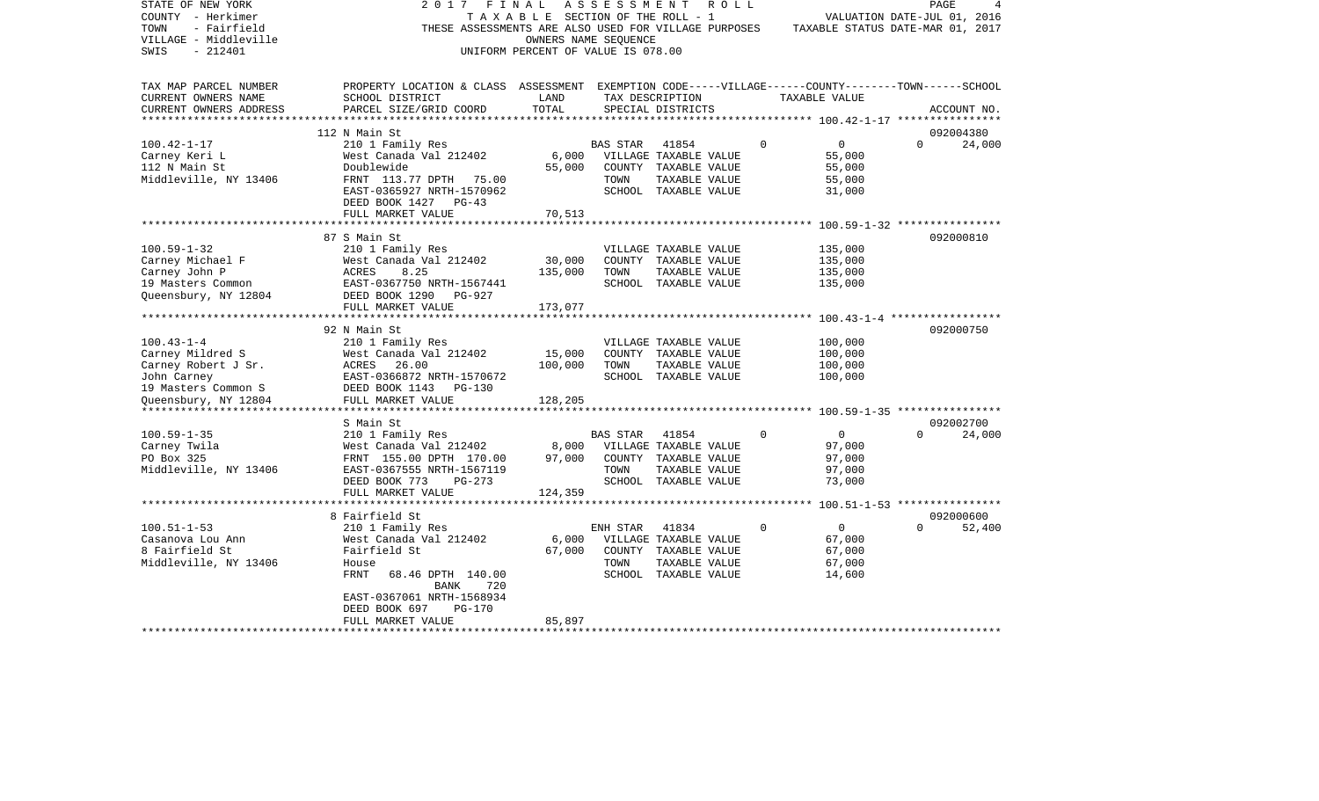| STATE OF NEW YORK<br>COUNTY - Herkimer<br>TOWN<br>- Fairfield<br>VILLAGE - Middleville<br>SWIS<br>- 212401 | 2017 FINAL<br>THESE ASSESSMENTS ARE ALSO USED FOR VILLAGE PURPOSES                                                    | T A X A B L E SECTION OF THE ROLL - 1<br>OWNERS NAME SEQUENCE<br>UNIFORM PERCENT OF VALUE IS 078.00 | ASSESSMENT      |                       | R O L L  | TAXABLE STATUS DATE-MAR 01, 2017 | PAGE<br>VALUATION DATE-JUL 01, 2016 |        |
|------------------------------------------------------------------------------------------------------------|-----------------------------------------------------------------------------------------------------------------------|-----------------------------------------------------------------------------------------------------|-----------------|-----------------------|----------|----------------------------------|-------------------------------------|--------|
| TAX MAP PARCEL NUMBER<br>CURRENT OWNERS NAME                                                               | PROPERTY LOCATION & CLASS ASSESSMENT EXEMPTION CODE-----VILLAGE------COUNTY-------TOWN------SCHOOL<br>SCHOOL DISTRICT | LAND                                                                                                |                 | TAX DESCRIPTION       |          | TAXABLE VALUE                    |                                     |        |
| CURRENT OWNERS ADDRESS<br>***********************                                                          | PARCEL SIZE/GRID COORD                                                                                                | TOTAL                                                                                               |                 | SPECIAL DISTRICTS     |          |                                  | ACCOUNT NO.                         |        |
|                                                                                                            | 112 N Main St                                                                                                         |                                                                                                     |                 |                       |          |                                  | 092004380                           |        |
| $100.42 - 1 - 17$                                                                                          | 210 1 Family Res                                                                                                      |                                                                                                     | <b>BAS STAR</b> | 41854                 | $\Omega$ | $\overline{0}$                   | $\Omega$                            | 24,000 |
| Carney Keri L                                                                                              | West Canada Val 212402                                                                                                | 6,000                                                                                               |                 | VILLAGE TAXABLE VALUE |          | 55,000                           |                                     |        |
| 112 N Main St                                                                                              | Doublewide                                                                                                            | 55,000                                                                                              |                 | COUNTY TAXABLE VALUE  |          | 55,000                           |                                     |        |
| Middleville, NY 13406                                                                                      | FRNT 113.77 DPTH 75.00                                                                                                |                                                                                                     | TOWN            | TAXABLE VALUE         |          | 55,000                           |                                     |        |
|                                                                                                            | EAST-0365927 NRTH-1570962                                                                                             |                                                                                                     |                 | SCHOOL TAXABLE VALUE  |          | 31,000                           |                                     |        |
|                                                                                                            | DEED BOOK 1427 PG-43                                                                                                  |                                                                                                     |                 |                       |          |                                  |                                     |        |
|                                                                                                            | FULL MARKET VALUE                                                                                                     | 70,513                                                                                              |                 |                       |          |                                  |                                     |        |
|                                                                                                            |                                                                                                                       |                                                                                                     |                 |                       |          |                                  |                                     |        |
| $100.59 - 1 - 32$                                                                                          | 87 S Main St<br>210 1 Family Res                                                                                      |                                                                                                     |                 | VILLAGE TAXABLE VALUE |          | 135,000                          | 092000810                           |        |
| Carney Michael F                                                                                           | West Canada Val 212402                                                                                                | 30,000                                                                                              |                 | COUNTY TAXABLE VALUE  |          | 135,000                          |                                     |        |
| Carney John P                                                                                              | 8.25<br>ACRES                                                                                                         | 135,000                                                                                             | TOWN            | TAXABLE VALUE         |          | 135,000                          |                                     |        |
| 19 Masters Common                                                                                          | EAST-0367750 NRTH-1567441                                                                                             |                                                                                                     |                 | SCHOOL TAXABLE VALUE  |          | 135,000                          |                                     |        |
| Queensbury, NY 12804                                                                                       | DEED BOOK 1290 PG-927                                                                                                 |                                                                                                     |                 |                       |          |                                  |                                     |        |
|                                                                                                            | FULL MARKET VALUE                                                                                                     | 173,077                                                                                             |                 |                       |          |                                  |                                     |        |
|                                                                                                            | ************************                                                                                              | * * * * * * * * * * * * *                                                                           |                 |                       |          |                                  |                                     |        |
|                                                                                                            | 92 N Main St                                                                                                          |                                                                                                     |                 |                       |          |                                  | 092000750                           |        |
| $100.43 - 1 - 4$                                                                                           | 210 1 Family Res                                                                                                      |                                                                                                     |                 | VILLAGE TAXABLE VALUE |          | 100,000                          |                                     |        |
| Carney Mildred S                                                                                           | West Canada Val 212402                                                                                                | 15,000                                                                                              |                 | COUNTY TAXABLE VALUE  |          | 100,000                          |                                     |        |
| Carney Robert J Sr.                                                                                        | ACRES 26.00                                                                                                           | 100,000                                                                                             | TOWN            | TAXABLE VALUE         |          | 100,000                          |                                     |        |
| John Carney                                                                                                | EAST-0366872 NRTH-1570672                                                                                             |                                                                                                     |                 | SCHOOL TAXABLE VALUE  |          | 100,000                          |                                     |        |
| 19 Masters Common S                                                                                        | DEED BOOK 1143 PG-130                                                                                                 |                                                                                                     |                 |                       |          |                                  |                                     |        |
| Queensbury, NY 12804                                                                                       | FULL MARKET VALUE<br>*****************************                                                                    | 128,205                                                                                             |                 |                       |          |                                  |                                     |        |
|                                                                                                            | S Main St                                                                                                             |                                                                                                     |                 |                       |          |                                  | 092002700                           |        |
| $100.59 - 1 - 35$                                                                                          | 210 1 Family Res                                                                                                      |                                                                                                     | <b>BAS STAR</b> | 41854                 | 0        | $\overline{0}$                   | $\Omega$                            | 24,000 |
| Carney Twila                                                                                               | West Canada Val 212402                                                                                                | 8,000                                                                                               |                 | VILLAGE TAXABLE VALUE |          | 97,000                           |                                     |        |
| PO Box 325                                                                                                 | FRNT 155.00 DPTH 170.00                                                                                               | 97,000                                                                                              |                 | COUNTY TAXABLE VALUE  |          | 97,000                           |                                     |        |
| Middleville, NY 13406                                                                                      | EAST-0367555 NRTH-1567119                                                                                             |                                                                                                     | TOWN            | TAXABLE VALUE         |          | 97,000                           |                                     |        |
|                                                                                                            | DEED BOOK 773<br>PG-273                                                                                               |                                                                                                     |                 | SCHOOL TAXABLE VALUE  |          | 73,000                           |                                     |        |
|                                                                                                            | FULL MARKET VALUE                                                                                                     | 124,359                                                                                             |                 |                       |          |                                  |                                     |        |
|                                                                                                            | **********************                                                                                                |                                                                                                     |                 |                       |          |                                  |                                     |        |
|                                                                                                            | 8 Fairfield St                                                                                                        |                                                                                                     |                 |                       |          |                                  | 092000600                           |        |
| $100.51 - 1 - 53$                                                                                          | 210 1 Family Res                                                                                                      |                                                                                                     | ENH STAR        | 41834                 | 0        | $\overline{0}$                   | $\Omega$                            | 52,400 |
| Casanova Lou Ann                                                                                           | West Canada Val 212402                                                                                                | 6,000                                                                                               |                 | VILLAGE TAXABLE VALUE |          | 67,000                           |                                     |        |
| 8 Fairfield St                                                                                             | Fairfield St                                                                                                          | 67,000                                                                                              |                 | COUNTY TAXABLE VALUE  |          | 67,000                           |                                     |        |
| Middleville, NY 13406                                                                                      | House                                                                                                                 |                                                                                                     | TOWN            | TAXABLE VALUE         |          | 67,000                           |                                     |        |
|                                                                                                            | FRNT<br>68.46 DPTH 140.00                                                                                             |                                                                                                     |                 | SCHOOL TAXABLE VALUE  |          | 14,600                           |                                     |        |
|                                                                                                            | BANK<br>720<br>EAST-0367061 NRTH-1568934                                                                              |                                                                                                     |                 |                       |          |                                  |                                     |        |
|                                                                                                            | DEED BOOK 697<br>PG-170                                                                                               |                                                                                                     |                 |                       |          |                                  |                                     |        |
|                                                                                                            | FULL MARKET VALUE                                                                                                     | 85,897                                                                                              |                 |                       |          |                                  |                                     |        |
|                                                                                                            |                                                                                                                       |                                                                                                     |                 |                       |          |                                  |                                     |        |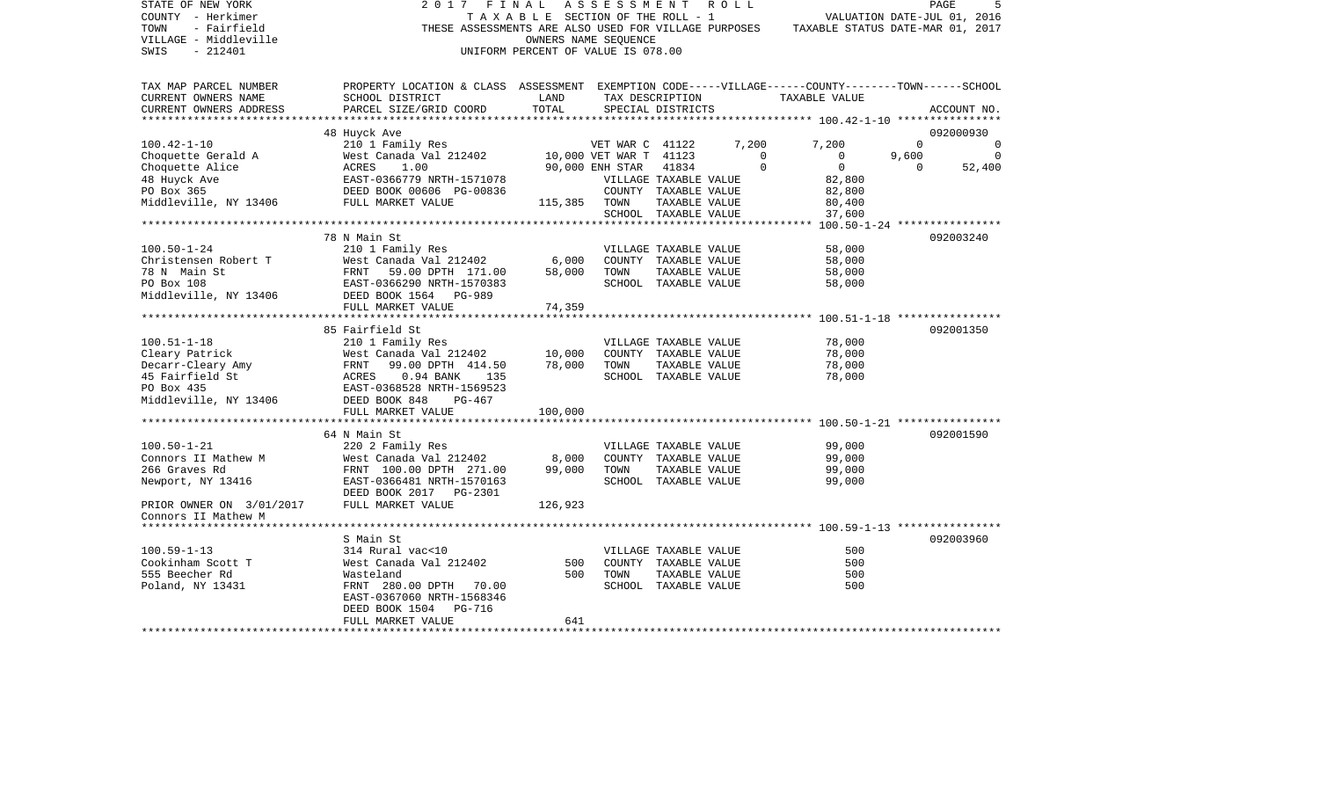| STATE OF NEW YORK<br>COUNTY - Herkimer<br>TOWN<br>- Fairfield                                                                                                                                                                          | 2017<br>FINAL                                                                                          | TAXABLE SECTION OF THE ROLL - 1                            | ASSESSMENT ROLL            |                       |                       | VALUATION DATE-JUL 01, 2016<br>THESE ASSESSMENTS ARE ALSO USED FOR VILLAGE PURPOSES TAXABLE STATUS DATE-MAR 01, 2017 |          | PAGE           |
|----------------------------------------------------------------------------------------------------------------------------------------------------------------------------------------------------------------------------------------|--------------------------------------------------------------------------------------------------------|------------------------------------------------------------|----------------------------|-----------------------|-----------------------|----------------------------------------------------------------------------------------------------------------------|----------|----------------|
| VILLAGE - Middleville<br>SWIS<br>- 212401                                                                                                                                                                                              |                                                                                                        | OWNERS NAME SEQUENCE<br>UNIFORM PERCENT OF VALUE IS 078.00 |                            |                       |                       |                                                                                                                      |          |                |
| TAX MAP PARCEL NUMBER                                                                                                                                                                                                                  | PROPERTY LOCATION & CLASS ASSESSMENT EXEMPTION CODE-----VILLAGE------COUNTY-------TOWN------SCHOOL     |                                                            |                            |                       |                       |                                                                                                                      |          |                |
| CURRENT OWNERS NAME<br>CURRENT OWNERS ADDRESS                                                                                                                                                                                          | SCHOOL DISTRICT<br>PARCEL SIZE/GRID COORD                                                              | LAND<br>TOTAL                                              | TAX DESCRIPTION            | SPECIAL DISTRICTS     |                       | TAXABLE VALUE                                                                                                        |          | ACCOUNT NO.    |
| **********************                                                                                                                                                                                                                 |                                                                                                        |                                                            |                            |                       |                       |                                                                                                                      |          | 092000930      |
| VET WAR C 41122<br>Choquette Gerald A West Canada Val 212402 10,000 VET WAR C 41122<br>Choquette Alice ACRES 1.00 90,000 ENH STAR 41834<br>48 Huyck Ave EAST-0366779 NRTH-1571078 VILLAGE TAXABLE<br>PO Box 365 DEED BOOK 00606 PG-008 | 48 Huyck Ave                                                                                           |                                                            | VET WAR C 41122            |                       | 7,200                 | 7,200                                                                                                                | $\Omega$ | $\Omega$       |
|                                                                                                                                                                                                                                        |                                                                                                        |                                                            |                            |                       | $\overline{0}$        | $\overline{0}$                                                                                                       | 9,600    | $\overline{0}$ |
|                                                                                                                                                                                                                                        |                                                                                                        |                                                            |                            |                       | $\mathbf 0$           | $\overline{0}$                                                                                                       | $\Omega$ | 52,400         |
|                                                                                                                                                                                                                                        |                                                                                                        |                                                            | VILLAGE TAXABLE VALUE      |                       |                       | 82,800                                                                                                               |          |                |
|                                                                                                                                                                                                                                        |                                                                                                        |                                                            |                            |                       | COUNTY TAXABLE VALUE  | 82,800                                                                                                               |          |                |
|                                                                                                                                                                                                                                        |                                                                                                        |                                                            |                            | TAXABLE VALUE         |                       | 80,400                                                                                                               |          |                |
|                                                                                                                                                                                                                                        |                                                                                                        |                                                            |                            | SCHOOL TAXABLE VALUE  |                       | 37,600                                                                                                               |          |                |
|                                                                                                                                                                                                                                        |                                                                                                        |                                                            |                            |                       |                       |                                                                                                                      |          |                |
|                                                                                                                                                                                                                                        | 78 N Main St                                                                                           |                                                            |                            |                       |                       |                                                                                                                      |          | 092003240      |
| $100.50 - 1 - 24$                                                                                                                                                                                                                      | 210 1 Family Res                                                                                       |                                                            | VILLAGE TAXABLE VALUE      |                       |                       | 58,000                                                                                                               |          |                |
| Christensen Robert T                                                                                                                                                                                                                   |                                                                                                        |                                                            | 6,000 COUNTY TAXABLE VALUE |                       |                       | 58,000                                                                                                               |          |                |
| 78 N Main St                                                                                                                                                                                                                           |                                                                                                        | 58,000                                                     | TOWN                       | TAXABLE VALUE         |                       | 58,000                                                                                                               |          |                |
| PO Box 108                                                                                                                                                                                                                             | West Canada Val 212402<br>FRNT 59.00 DPTH 171.00<br>EAST-0366290 NRTH-1570383<br>DEED BOOK 1564 PG-989 |                                                            |                            | SCHOOL TAXABLE VALUE  |                       | 58,000                                                                                                               |          |                |
| Middleville, NY 13406                                                                                                                                                                                                                  |                                                                                                        |                                                            |                            |                       |                       |                                                                                                                      |          |                |
|                                                                                                                                                                                                                                        | FULL MARKET VALUE                                                                                      | 74,359                                                     |                            |                       |                       |                                                                                                                      |          |                |
|                                                                                                                                                                                                                                        |                                                                                                        |                                                            |                            |                       |                       |                                                                                                                      |          |                |
|                                                                                                                                                                                                                                        | 85 Fairfield St                                                                                        |                                                            |                            |                       |                       |                                                                                                                      |          | 092001350      |
| $100.51 - 1 - 18$                                                                                                                                                                                                                      | 210 1 Family Res                                                                                       |                                                            |                            |                       | VILLAGE TAXABLE VALUE | 78,000                                                                                                               |          |                |
|                                                                                                                                                                                                                                        |                                                                                                        | 10,000                                                     | COUNTY TAXABLE VALUE       |                       |                       | 78,000                                                                                                               |          |                |
|                                                                                                                                                                                                                                        |                                                                                                        | 78,000                                                     | TOWN                       | TAXABLE VALUE         |                       | 78,000                                                                                                               |          |                |
|                                                                                                                                                                                                                                        |                                                                                                        |                                                            |                            | SCHOOL TAXABLE VALUE  |                       | 78,000                                                                                                               |          |                |
| 100.51-1-18<br>Cleary Patrick Mest Canada Val 212402<br>Decarr-Cleary Amy FRNT 99.00 DPTH 414.50<br>45 Fairfield St ACRES 0.94 BANK 135<br>200 PON 435<br>200 PON 435<br>200 PON 435<br>200 PON 435<br>200 PON 435<br>200 PON 435      |                                                                                                        |                                                            |                            |                       |                       |                                                                                                                      |          |                |
| Middleville, NY 13406 DEED BOOK 848                                                                                                                                                                                                    | PG-467<br>FULL MARKET VALUE                                                                            | 100,000                                                    |                            |                       |                       |                                                                                                                      |          |                |
|                                                                                                                                                                                                                                        |                                                                                                        |                                                            |                            |                       |                       |                                                                                                                      |          |                |
|                                                                                                                                                                                                                                        | 64 N Main St                                                                                           |                                                            |                            |                       |                       |                                                                                                                      |          | 092001590      |
| $100.50 - 1 - 21$                                                                                                                                                                                                                      | 220 2 Family Res                                                                                       |                                                            | VILLAGE TAXABLE VALUE      |                       |                       | 99,000                                                                                                               |          |                |
| Connors II Mathew M                                                                                                                                                                                                                    | West Canada Val 212402                                                                                 | 8,000                                                      | COUNTY TAXABLE VALUE       |                       |                       | 99,000                                                                                                               |          |                |
| 266 Graves Rd                                                                                                                                                                                                                          |                                                                                                        | 99,000                                                     | TOWN                       | TAXABLE VALUE         |                       | 99,000                                                                                                               |          |                |
| Newport, NY 13416                                                                                                                                                                                                                      | West Canada Val 212402<br>FRNT 100.00 DPTH 271.00<br>EAST-0366481 NRTH-1570163                         |                                                            |                            | SCHOOL TAXABLE VALUE  |                       | 99,000                                                                                                               |          |                |
|                                                                                                                                                                                                                                        | DEED BOOK 2017    PG-2301                                                                              |                                                            |                            |                       |                       |                                                                                                                      |          |                |
| PRIOR OWNER ON 3/01/2017                                                                                                                                                                                                               | FULL MARKET VALUE                                                                                      | 126,923                                                    |                            |                       |                       |                                                                                                                      |          |                |
| Connors II Mathew M                                                                                                                                                                                                                    |                                                                                                        |                                                            |                            |                       |                       |                                                                                                                      |          |                |
|                                                                                                                                                                                                                                        |                                                                                                        |                                                            |                            |                       |                       |                                                                                                                      |          |                |
|                                                                                                                                                                                                                                        | S Main St                                                                                              |                                                            |                            |                       |                       |                                                                                                                      |          | 092003960      |
| $100.59 - 1 - 13$                                                                                                                                                                                                                      | 314 Rural vac<10                                                                                       |                                                            |                            | VILLAGE TAXABLE VALUE |                       | 500                                                                                                                  |          |                |
| Cookinham Scott T                                                                                                                                                                                                                      | West Canada Val 212402                                                                                 | 500                                                        |                            | COUNTY TAXABLE VALUE  |                       | 500                                                                                                                  |          |                |
| 555 Beecher Rd                                                                                                                                                                                                                         | Wasteland                                                                                              | 500                                                        | TOWN                       | TAXABLE VALUE         |                       | 500                                                                                                                  |          |                |
| Poland, NY 13431                                                                                                                                                                                                                       | FRNT 280.00 DPTH 70.00                                                                                 |                                                            |                            | SCHOOL TAXABLE VALUE  |                       | 500                                                                                                                  |          |                |
|                                                                                                                                                                                                                                        | EAST-0367060 NRTH-1568346                                                                              |                                                            |                            |                       |                       |                                                                                                                      |          |                |
|                                                                                                                                                                                                                                        | DEED BOOK 1504 PG-716                                                                                  |                                                            |                            |                       |                       |                                                                                                                      |          |                |
|                                                                                                                                                                                                                                        | FULL MARKET VALUE                                                                                      | 641                                                        |                            |                       |                       |                                                                                                                      |          |                |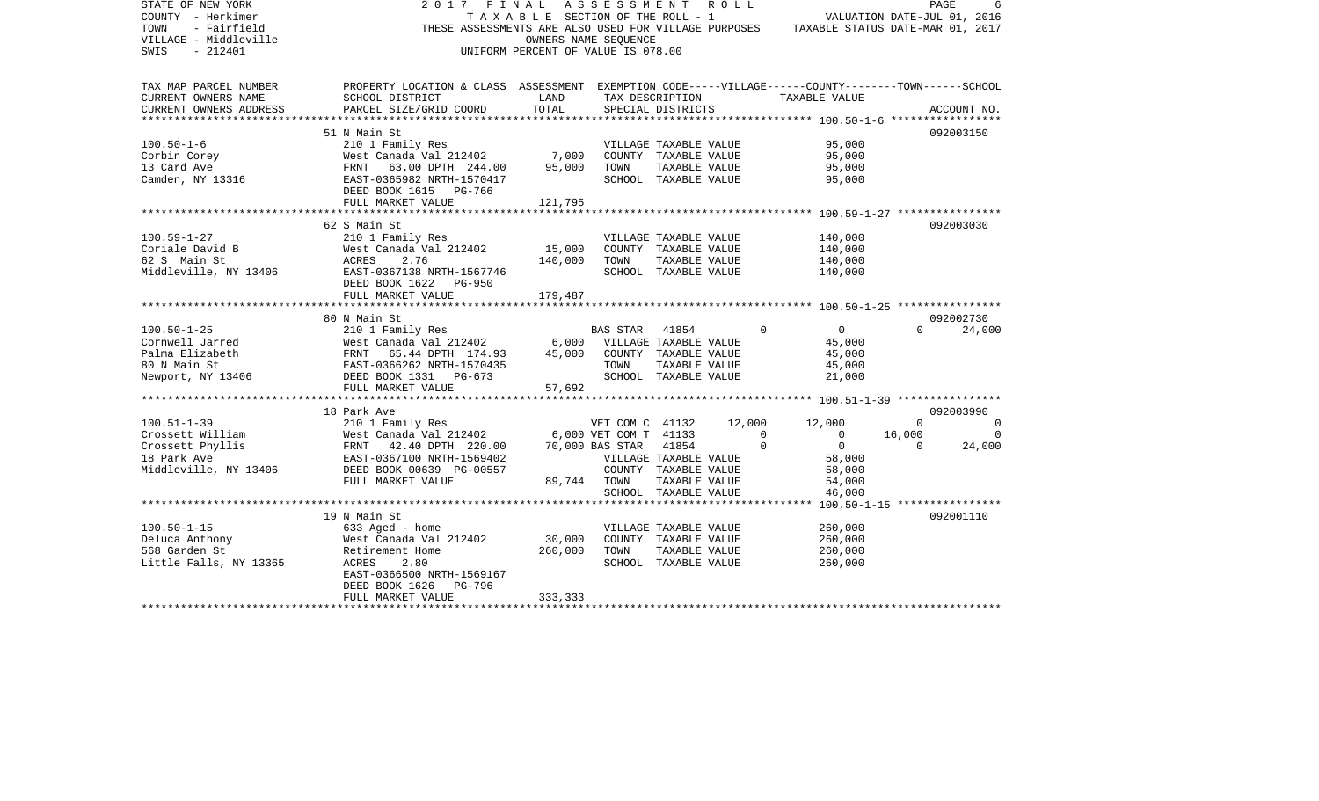| STATE OF NEW YORK<br>COUNTY - Herkimer<br>TOWN<br>- Fairfield<br>VILLAGE - Middleville<br>$-212401$<br>SWIS | 2 0 1 7<br>FINAL<br>THESE ASSESSMENTS ARE ALSO USED FOR VILLAGE PURPOSES                           | T A X A B L E SECTION OF THE ROLL - 1<br>UNIFORM PERCENT OF VALUE IS 078.00 | ASSESSMENT ROLL<br>OWNERS NAME SEOUENCE |                                                   |             | TAXABLE STATUS DATE-MAR 01, 2017 | VALUATION DATE-JUL 01, 2016         | PAGE        |
|-------------------------------------------------------------------------------------------------------------|----------------------------------------------------------------------------------------------------|-----------------------------------------------------------------------------|-----------------------------------------|---------------------------------------------------|-------------|----------------------------------|-------------------------------------|-------------|
| TAX MAP PARCEL NUMBER                                                                                       | PROPERTY LOCATION & CLASS ASSESSMENT EXEMPTION CODE-----VILLAGE------COUNTY-------TOWN------SCHOOL |                                                                             |                                         |                                                   |             |                                  |                                     |             |
| CURRENT OWNERS NAME                                                                                         | SCHOOL DISTRICT                                                                                    | LAND                                                                        |                                         | TAX DESCRIPTION                                   |             | TAXABLE VALUE                    |                                     |             |
| CURRENT OWNERS ADDRESS                                                                                      | PARCEL SIZE/GRID COORD                                                                             | TOTAL                                                                       |                                         | SPECIAL DISTRICTS                                 |             |                                  |                                     | ACCOUNT NO. |
|                                                                                                             | 51 N Main St                                                                                       |                                                                             |                                         |                                                   |             |                                  |                                     | 092003150   |
| $100.50 - 1 - 6$                                                                                            | 210 1 Family Res                                                                                   |                                                                             |                                         | VILLAGE TAXABLE VALUE                             |             | 95,000                           |                                     |             |
| Corbin Corey                                                                                                | West Canada Val 212402                                                                             | 7,000                                                                       |                                         | COUNTY TAXABLE VALUE                              |             | 95,000                           |                                     |             |
| 13 Card Ave                                                                                                 | 63.00 DPTH 244.00<br>FRNT                                                                          | 95,000                                                                      | TOWN                                    | TAXABLE VALUE                                     |             | 95,000                           |                                     |             |
| Camden, NY 13316                                                                                            | EAST-0365982 NRTH-1570417                                                                          |                                                                             |                                         | SCHOOL TAXABLE VALUE                              |             | 95,000                           |                                     |             |
|                                                                                                             | DEED BOOK 1615 PG-766<br>FULL MARKET VALUE                                                         | 121,795                                                                     |                                         |                                                   |             |                                  |                                     |             |
|                                                                                                             |                                                                                                    |                                                                             |                                         |                                                   |             |                                  |                                     |             |
|                                                                                                             | 62 S Main St                                                                                       |                                                                             |                                         |                                                   |             |                                  |                                     | 092003030   |
| $100.59 - 1 - 27$                                                                                           | 210 1 Family Res                                                                                   |                                                                             |                                         | VILLAGE TAXABLE VALUE                             |             | 140,000                          |                                     |             |
| Coriale David B                                                                                             | West Canada Val 212402                                                                             | 15,000                                                                      |                                         | COUNTY TAXABLE VALUE                              |             | 140,000                          |                                     |             |
| 62 S Main St                                                                                                | ACRES<br>2.76                                                                                      | 140,000                                                                     | TOWN                                    | TAXABLE VALUE                                     |             | 140,000                          |                                     |             |
| Middleville, NY 13406                                                                                       | EAST-0367138 NRTH-1567746                                                                          |                                                                             |                                         | SCHOOL TAXABLE VALUE                              |             | 140,000                          |                                     |             |
|                                                                                                             | DEED BOOK 1622<br><b>PG-950</b><br>FULL MARKET VALUE                                               | 179,487                                                                     |                                         |                                                   |             |                                  |                                     |             |
|                                                                                                             |                                                                                                    |                                                                             |                                         |                                                   |             |                                  |                                     |             |
|                                                                                                             | 80 N Main St                                                                                       |                                                                             |                                         |                                                   |             |                                  |                                     | 092002730   |
| $100.50 - 1 - 25$                                                                                           | 210 1 Family Res                                                                                   |                                                                             | <b>BAS STAR</b>                         | 41854                                             | $\mathbf 0$ | $\overline{0}$                   | $\Omega$                            | 24,000      |
| Cornwell Jarred                                                                                             | West Canada Val 212402                                                                             | 6,000                                                                       |                                         | VILLAGE TAXABLE VALUE                             |             | 45,000                           |                                     |             |
| Palma Elizabeth                                                                                             | FRNT<br>65.44 DPTH 174.93                                                                          | 45,000                                                                      |                                         | COUNTY TAXABLE VALUE                              |             | 45,000                           |                                     |             |
| 80 N Main St                                                                                                | EAST-0366262 NRTH-1570435                                                                          |                                                                             | TOWN                                    | TAXABLE VALUE                                     |             | 45,000                           |                                     |             |
| Newport, NY 13406                                                                                           | DEED BOOK 1331 PG-673                                                                              |                                                                             |                                         | SCHOOL TAXABLE VALUE                              |             | 21,000                           |                                     |             |
|                                                                                                             | FULL MARKET VALUE<br>************************                                                      | 57,692                                                                      |                                         |                                                   |             |                                  |                                     |             |
|                                                                                                             | 18 Park Ave                                                                                        |                                                                             |                                         |                                                   |             |                                  |                                     | 092003990   |
| $100.51 - 1 - 39$                                                                                           | 210 1 Family Res                                                                                   |                                                                             | VET COM C 41132                         |                                                   | 12,000      | 12,000                           | $\Omega$                            | $\Omega$    |
| Crossett William                                                                                            | West Canada Val 212402                                                                             |                                                                             | 6,000 VET COM T 41133                   |                                                   | $\Omega$    | $\overline{0}$                   | 16,000                              | $\Omega$    |
| Crossett Phyllis                                                                                            | 42.40 DPTH 220.00<br>FRNT                                                                          |                                                                             | 70,000 BAS STAR                         | 41854                                             | $\Omega$    | $\overline{0}$                   | $\Omega$                            | 24,000      |
| 18 Park Ave                                                                                                 | EAST-0367100 NRTH-1569402                                                                          |                                                                             |                                         | VILLAGE TAXABLE VALUE                             |             | 58,000                           |                                     |             |
| Middleville, NY 13406                                                                                       | DEED BOOK 00639 PG-00557                                                                           |                                                                             |                                         | COUNTY TAXABLE VALUE                              |             | 58,000                           |                                     |             |
|                                                                                                             | FULL MARKET VALUE                                                                                  | 89,744                                                                      | TOWN                                    | TAXABLE VALUE                                     |             | 54,000                           |                                     |             |
|                                                                                                             |                                                                                                    |                                                                             |                                         | SCHOOL TAXABLE VALUE<br>************************* |             | 46,000                           |                                     |             |
|                                                                                                             | 19 N Main St                                                                                       |                                                                             |                                         |                                                   |             |                                  | $100.50 - 1 - 15$ ***************** | 092001110   |
| $100.50 - 1 - 15$                                                                                           | 633 Aged - home                                                                                    |                                                                             |                                         | VILLAGE TAXABLE VALUE                             |             | 260,000                          |                                     |             |
| Deluca Anthony                                                                                              | West Canada Val 212402                                                                             | 30,000                                                                      |                                         | COUNTY TAXABLE VALUE                              |             | 260,000                          |                                     |             |
| 568 Garden St                                                                                               | Retirement Home                                                                                    | 260,000                                                                     | TOWN                                    | TAXABLE VALUE                                     |             | 260,000                          |                                     |             |
| Little Falls, NY 13365                                                                                      | 2.80<br>ACRES                                                                                      |                                                                             |                                         | SCHOOL TAXABLE VALUE                              |             | 260,000                          |                                     |             |
|                                                                                                             | EAST-0366500 NRTH-1569167                                                                          |                                                                             |                                         |                                                   |             |                                  |                                     |             |
|                                                                                                             | DEED BOOK 1626<br>PG-796                                                                           |                                                                             |                                         |                                                   |             |                                  |                                     |             |
|                                                                                                             | FULL MARKET VALUE                                                                                  | 333,333                                                                     |                                         |                                                   |             |                                  |                                     |             |
|                                                                                                             |                                                                                                    |                                                                             |                                         |                                                   |             |                                  |                                     |             |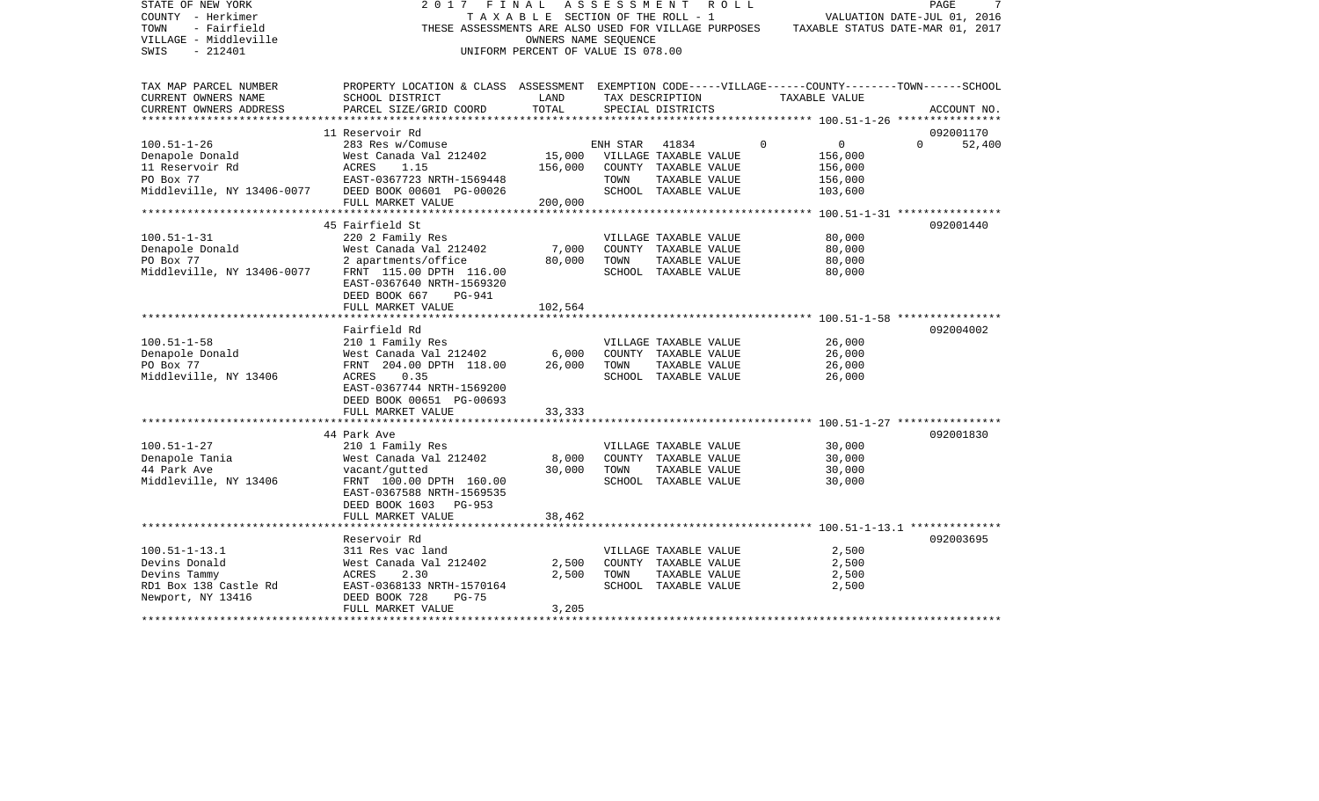| STATE OF NEW YORK<br>COUNTY - Herkimer<br>- Fairfield<br>TOWN<br>VILLAGE - Middleville<br>$-212401$<br>SWIS | 2017 FINAL<br>THESE ASSESSMENTS ARE ALSO USED FOR VILLAGE PURPOSES                                 | TAXABLE SECTION OF THE ROLL - 1<br>UNIFORM PERCENT OF VALUE IS 078.00 | ASSESSMENT ROLL<br>OWNERS NAME SEQUENCE |                                               |          | TAXABLE STATUS DATE-MAR 01, 2017                   | PAGE<br>VALUATION DATE-JUL 01, 2016 | 7           |
|-------------------------------------------------------------------------------------------------------------|----------------------------------------------------------------------------------------------------|-----------------------------------------------------------------------|-----------------------------------------|-----------------------------------------------|----------|----------------------------------------------------|-------------------------------------|-------------|
| TAX MAP PARCEL NUMBER                                                                                       | PROPERTY LOCATION & CLASS ASSESSMENT EXEMPTION CODE-----VILLAGE------COUNTY-------TOWN------SCHOOL |                                                                       |                                         |                                               |          |                                                    |                                     |             |
| CURRENT OWNERS NAME                                                                                         | SCHOOL DISTRICT                                                                                    | LAND                                                                  |                                         | TAX DESCRIPTION                               |          | TAXABLE VALUE                                      |                                     |             |
| CURRENT OWNERS ADDRESS<br>******************                                                                | PARCEL SIZE/GRID COORD                                                                             | TOTAL                                                                 |                                         | SPECIAL DISTRICTS                             |          | ******************** 100.51-1-26 ***************** |                                     | ACCOUNT NO. |
|                                                                                                             | 11 Reservoir Rd                                                                                    |                                                                       |                                         |                                               |          |                                                    | 092001170                           |             |
| $100.51 - 1 - 26$                                                                                           | 283 Res w/Comuse                                                                                   |                                                                       | ENH STAR                                | 41834                                         | $\Omega$ | $\overline{0}$                                     | $\Omega$                            | 52,400      |
| Denapole Donald                                                                                             | West Canada Val 212402                                                                             | 15,000                                                                |                                         | VILLAGE TAXABLE VALUE                         |          | 156,000                                            |                                     |             |
| 11 Reservoir Rd                                                                                             | ACRES<br>1.15                                                                                      | 156,000                                                               |                                         | COUNTY TAXABLE VALUE                          |          | 156,000                                            |                                     |             |
| PO Box 77                                                                                                   | EAST-0367723 NRTH-1569448                                                                          |                                                                       | TOWN                                    | TAXABLE VALUE                                 |          | 156,000                                            |                                     |             |
| Middleville, NY 13406-0077                                                                                  | DEED BOOK 00601 PG-00026                                                                           |                                                                       |                                         | SCHOOL TAXABLE VALUE                          |          | 103,600                                            |                                     |             |
|                                                                                                             | FULL MARKET VALUE                                                                                  | 200,000                                                               |                                         |                                               |          |                                                    |                                     |             |
|                                                                                                             | 45 Fairfield St                                                                                    |                                                                       |                                         |                                               |          |                                                    | 092001440                           |             |
| $100.51 - 1 - 31$                                                                                           | 220 2 Family Res                                                                                   |                                                                       |                                         | VILLAGE TAXABLE VALUE                         |          | 80,000                                             |                                     |             |
| Denapole Donald                                                                                             | West Canada Val 212402                                                                             | 7,000                                                                 |                                         | COUNTY TAXABLE VALUE                          |          | 80,000                                             |                                     |             |
| PO Box 77                                                                                                   | 2 apartments/office                                                                                | 80,000                                                                | TOWN                                    | TAXABLE VALUE                                 |          | 80,000                                             |                                     |             |
| Middleville, NY 13406-0077                                                                                  | FRNT 115.00 DPTH 116.00                                                                            |                                                                       |                                         | SCHOOL TAXABLE VALUE                          |          | 80,000                                             |                                     |             |
|                                                                                                             | EAST-0367640 NRTH-1569320                                                                          |                                                                       |                                         |                                               |          |                                                    |                                     |             |
|                                                                                                             | DEED BOOK 667<br>PG-941<br>FULL MARKET VALUE                                                       | 102,564                                                               |                                         |                                               |          |                                                    |                                     |             |
|                                                                                                             |                                                                                                    |                                                                       |                                         |                                               |          |                                                    |                                     |             |
|                                                                                                             | Fairfield Rd                                                                                       |                                                                       |                                         |                                               |          |                                                    | 092004002                           |             |
| $100.51 - 1 - 58$                                                                                           | 210 1 Family Res                                                                                   |                                                                       |                                         | VILLAGE TAXABLE VALUE                         |          | 26,000                                             |                                     |             |
| Denapole Donald                                                                                             | West Canada Val 212402                                                                             | 6,000                                                                 |                                         | COUNTY TAXABLE VALUE                          |          | 26,000                                             |                                     |             |
| PO Box 77                                                                                                   | FRNT 204.00 DPTH 118.00                                                                            | 26,000                                                                | TOWN                                    | TAXABLE VALUE                                 |          | 26,000                                             |                                     |             |
| Middleville, NY 13406                                                                                       | 0.35<br>ACRES<br>EAST-0367744 NRTH-1569200                                                         |                                                                       |                                         | SCHOOL TAXABLE VALUE                          |          | 26,000                                             |                                     |             |
|                                                                                                             | DEED BOOK 00651 PG-00693                                                                           |                                                                       |                                         |                                               |          |                                                    |                                     |             |
|                                                                                                             | FULL MARKET VALUE                                                                                  | 33,333                                                                |                                         |                                               |          |                                                    |                                     |             |
|                                                                                                             |                                                                                                    |                                                                       |                                         |                                               |          |                                                    |                                     |             |
|                                                                                                             | 44 Park Ave                                                                                        |                                                                       |                                         |                                               |          |                                                    | 092001830                           |             |
| $100.51 - 1 - 27$                                                                                           | 210 1 Family Res                                                                                   |                                                                       |                                         | VILLAGE TAXABLE VALUE                         |          | 30,000                                             |                                     |             |
| Denapole Tania<br>44 Park Ave                                                                               | West Canada Val 212402<br>vacant/gutted                                                            | 8,000<br>30,000                                                       | TOWN                                    | COUNTY TAXABLE VALUE<br>TAXABLE VALUE         |          | 30,000<br>30,000                                   |                                     |             |
| Middleville, NY 13406                                                                                       | FRNT 100.00 DPTH 160.00                                                                            |                                                                       |                                         | SCHOOL TAXABLE VALUE                          |          | 30,000                                             |                                     |             |
|                                                                                                             | EAST-0367588 NRTH-1569535                                                                          |                                                                       |                                         |                                               |          |                                                    |                                     |             |
|                                                                                                             | DEED BOOK 1603<br>$PG-953$                                                                         |                                                                       |                                         |                                               |          |                                                    |                                     |             |
|                                                                                                             | FULL MARKET VALUE                                                                                  | 38,462                                                                |                                         |                                               |          |                                                    |                                     |             |
|                                                                                                             |                                                                                                    |                                                                       |                                         |                                               |          |                                                    |                                     |             |
|                                                                                                             | Reservoir Rd                                                                                       |                                                                       |                                         |                                               |          |                                                    | 092003695                           |             |
| $100.51 - 1 - 13.1$<br>Devins Donald                                                                        | 311 Res vac land<br>West Canada Val 212402                                                         | 2,500                                                                 |                                         | VILLAGE TAXABLE VALUE<br>COUNTY TAXABLE VALUE |          | 2,500<br>2,500                                     |                                     |             |
| Devins Tammy                                                                                                | ACRES<br>2.30                                                                                      | 2,500                                                                 | TOWN                                    | TAXABLE VALUE                                 |          | 2,500                                              |                                     |             |
| RD1 Box 138 Castle Rd                                                                                       | EAST-0368133 NRTH-1570164                                                                          |                                                                       |                                         | SCHOOL TAXABLE VALUE                          |          | 2,500                                              |                                     |             |
| Newport, NY 13416                                                                                           | DEED BOOK 728<br>$PG-75$                                                                           |                                                                       |                                         |                                               |          |                                                    |                                     |             |
|                                                                                                             | FULL MARKET VALUE                                                                                  | 3,205                                                                 |                                         |                                               |          |                                                    |                                     |             |
|                                                                                                             |                                                                                                    |                                                                       |                                         |                                               |          |                                                    |                                     |             |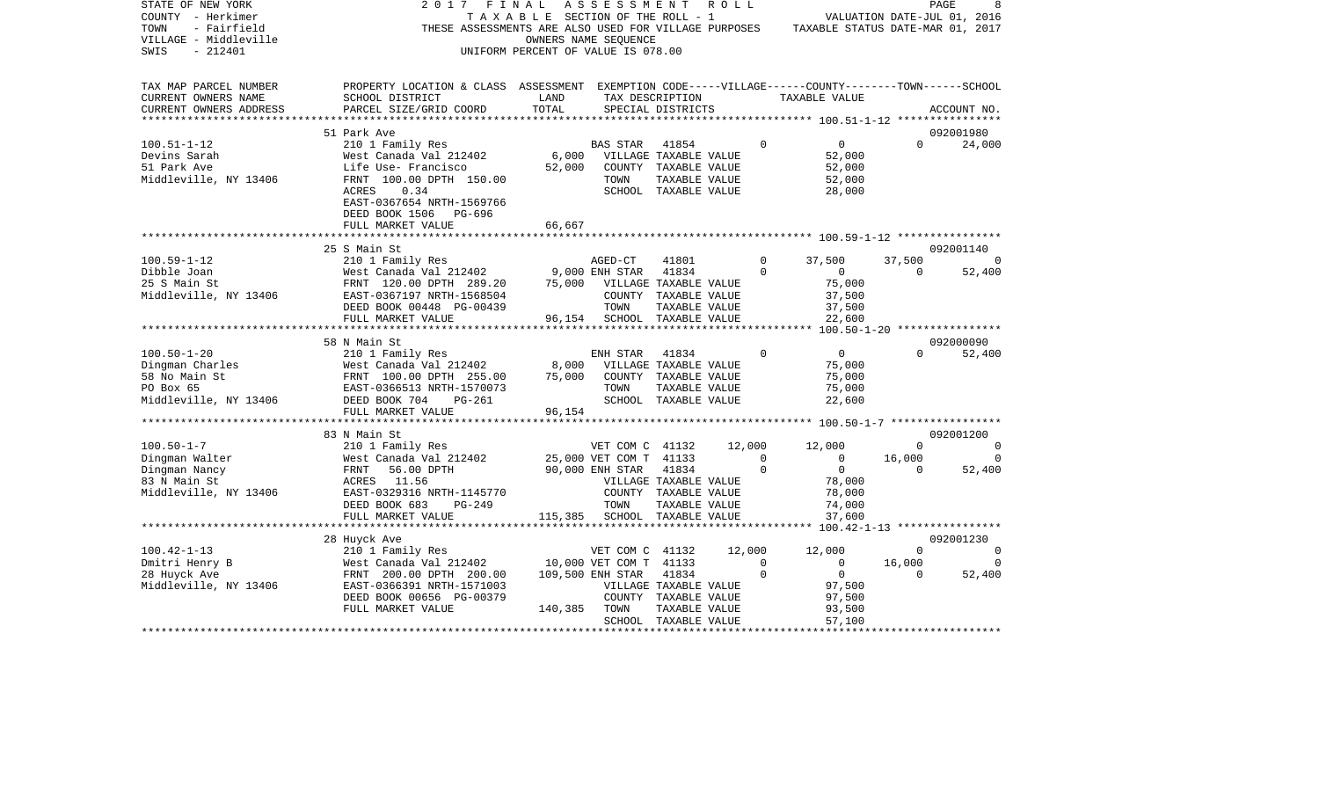| STATE OF NEW YORK<br>COUNTY - Herkimer<br>TOWN<br>- Fairfield<br>VILLAGE - Middleville<br>SWIS<br>$-212401$ | 2017<br>FINAL<br>THESE ASSESSMENTS ARE ALSO USED FOR VILLAGE PURPOSES TAXABLE STATUS DATE-MAR 01, 2017                       | TAXABLE SECTION OF THE ROLL - 1<br>OWNERS NAME SEQUENCE<br>UNIFORM PERCENT OF VALUE IS 078.00 | ASSESSMENT                   |                                      | R O L L |                | VALUATION DATE-JUL 01, 2016 |             | PAGE           |
|-------------------------------------------------------------------------------------------------------------|------------------------------------------------------------------------------------------------------------------------------|-----------------------------------------------------------------------------------------------|------------------------------|--------------------------------------|---------|----------------|-----------------------------|-------------|----------------|
| TAX MAP PARCEL NUMBER<br>CURRENT OWNERS NAME<br>SCHOOL DISTRICT<br>CURRENT OWNERS ADDRESS                   | PROPERTY LOCATION & CLASS ASSESSMENT EXEMPTION CODE-----VILLAGE------COUNTY-------TOWN------SCHOOL<br>PARCEL SIZE/GRID COORD | LAND<br>TOTAL                                                                                 |                              | TAX DESCRIPTION<br>SPECIAL DISTRICTS |         |                | TAXABLE VALUE               |             | ACCOUNT NO.    |
|                                                                                                             |                                                                                                                              |                                                                                               |                              |                                      |         |                |                             |             | 092001980      |
| 51 Park Ave<br>$100.51 - 1 - 12$<br>210 1 Family Res                                                        |                                                                                                                              |                                                                                               | <b>BAS STAR</b>              | 41854                                |         | $\Omega$       | $\overline{0}$              | $\Omega$    | 24,000         |
| Devins Sarah                                                                                                | West Canada Val 212402                                                                                                       | 6,000 VILLAGE TAXABLE VALUE                                                                   |                              |                                      |         |                | 52,000                      |             |                |
| 51 Park Ave                                                                                                 | Life Use- Francisco                                                                                                          |                                                                                               | 52,000 COUNTY TAXABLE VALUE  |                                      |         |                | 52,000                      |             |                |
| Middleville, NY 13406                                                                                       | FRNT 100.00 DPTH 150.00                                                                                                      |                                                                                               | TOWN                         | TAXABLE VALUE                        |         |                | 52,000                      |             |                |
| ACRES                                                                                                       | 0.34<br>EAST-0367654 NRTH-1569766<br>DEED BOOK 1506 PG-696                                                                   |                                                                                               |                              | SCHOOL TAXABLE VALUE                 |         |                | 28,000                      |             |                |
|                                                                                                             | FULL MARKET VALUE                                                                                                            | 66,667                                                                                        |                              |                                      |         |                |                             |             |                |
|                                                                                                             |                                                                                                                              |                                                                                               |                              |                                      |         |                |                             |             |                |
| 25 S Main St                                                                                                |                                                                                                                              |                                                                                               |                              |                                      |         |                |                             |             | 092001140      |
| $100.59 - 1 - 12$                                                                                           | 210 1 Family Res                                                                                                             |                                                                                               | AGED-CT                      | 41801                                |         | $\circ$        | 37,500                      | 37,500      | - 0            |
| Dibble Joan                                                                                                 | 210 1 Family Res<br>West Canada Val 212402             9,000 ENH STAR<br>FRATT  120.00 DPTH  289.20       75,000   VILLAGE T |                                                                                               |                              | 41834                                |         | $\mathbf 0$    | $\overline{0}$              | $\Omega$    | 52,400         |
| 25 S Main St                                                                                                |                                                                                                                              |                                                                                               | 75,000 VILLAGE TAXABLE VALUE |                                      |         |                | 75,000                      |             |                |
| Middleville, NY 13406                                                                                       | EAST-0367197 NRTH-1568504                                                                                                    |                                                                                               |                              | COUNTY TAXABLE VALUE                 |         |                | 37,500                      |             |                |
|                                                                                                             | DEED BOOK 00448 PG-00439                                                                                                     |                                                                                               | TOWN                         | TAXABLE VALUE                        |         |                | 37,500                      |             |                |
| FULL MARKET VALUE<br>***************************                                                            |                                                                                                                              |                                                                                               | 96,154 SCHOOL TAXABLE VALUE  |                                      |         |                | 22,600                      |             |                |
| 58 N Main St                                                                                                |                                                                                                                              |                                                                                               |                              |                                      |         |                |                             |             | 092000090      |
| $100.50 - 1 - 20$<br>210 1 Family Res                                                                       |                                                                                                                              |                                                                                               | ENH STAR                     | 41834                                |         | $\Omega$       | $\overline{0}$              | $\Omega$    | 52,400         |
|                                                                                                             | West Canada Val 212402                                                                                                       | 8,000                                                                                         | VILLAGE TAXABLE VALUE        |                                      |         |                | 75,000                      |             |                |
|                                                                                                             |                                                                                                                              | 75,000                                                                                        |                              | COUNTY TAXABLE VALUE                 |         |                | 75,000                      |             |                |
| Division Charles<br>58 No Main St<br>58 No Main St                                                          | West Canada Val 212402<br>FRNT 100.00 DPTH 255.00<br>EAST-0366513 NRTH-1570073                                               |                                                                                               | TOWN                         | TAXABLE VALUE                        |         |                | 75,000                      |             |                |
| Middleville, NY 13406 DEED BOOK 704                                                                         | PG-261                                                                                                                       |                                                                                               |                              | SCHOOL TAXABLE VALUE                 |         |                | 22,600                      |             |                |
| FULL MARKET VALUE                                                                                           |                                                                                                                              | 96,154                                                                                        |                              |                                      |         |                |                             |             |                |
|                                                                                                             | ****************************                                                                                                 |                                                                                               |                              |                                      |         |                |                             |             |                |
| 83 N Main St                                                                                                |                                                                                                                              |                                                                                               |                              |                                      |         |                |                             |             | 092001200      |
| $100.50 - 1 - 7$                                                                                            | 210 1 Family Res                                                                                                             |                                                                                               | VET COM C 41132 12,000       |                                      |         |                | 12,000                      | $\mathbf 0$ | $\sim$ 0       |
| Dingman Walter                                                                                              | West Canada Val 212402                                                                                                       | 25,000 VET COM T 41133<br>90,000 ENH STAR 41834                                               |                              |                                      |         | $\overline{0}$ | $\overline{0}$              | 16,000      | 0              |
| Dingman Nancy<br>FRNT                                                                                       | 56.00 DPTH                                                                                                                   |                                                                                               |                              |                                      |         | $\Omega$       | $\overline{0}$              | $\Omega$    | 52,400         |
| 83 N Main St<br>ACRES 11.56                                                                                 |                                                                                                                              |                                                                                               |                              | VILLAGE TAXABLE VALUE                |         |                | 78,000                      |             |                |
| Middleville, NY 13406                                                                                       | EAST-0329316 NRTH-1145770<br>PG-249                                                                                          |                                                                                               | TOWN                         | COUNTY TAXABLE VALUE                 |         |                | 78,000                      |             |                |
| DEED BOOK 683<br>FULL MARKET VALUE                                                                          |                                                                                                                              |                                                                                               | 115,385 SCHOOL TAXABLE VALUE | TAXABLE VALUE                        |         |                | 74,000<br>37,600            |             |                |
| ********************                                                                                        |                                                                                                                              |                                                                                               |                              |                                      |         |                |                             |             |                |
| 28 Huyck Ave                                                                                                |                                                                                                                              |                                                                                               |                              |                                      |         |                |                             |             | 092001230      |
| $100.42 - 1 - 13$<br>210 1 Family Res                                                                       |                                                                                                                              |                                                                                               | VET COM C 41132              |                                      | 12,000  |                | 12,000                      | $\Omega$    | $\Omega$       |
| Dmitri Henry B                                                                                              | West Canada Val 212402                                                                                                       |                                                                                               | 10,000 VET COM T 41133       |                                      |         | $\Omega$       | $\overline{0}$              | 16,000      | $\overline{0}$ |
| 28 Huyck Ave                                                                                                | FRNT 200.00 DPTH 200.00                                                                                                      |                                                                                               | 109,500 ENH STAR 41834       |                                      |         | $\Omega$       | $\overline{0}$              | $\Omega$    | 52,400         |
| Middleville, NY 13406                                                                                       | EAST-0366391 NRTH-1571003                                                                                                    |                                                                                               |                              | VILLAGE TAXABLE VALUE                |         |                | 97,500                      |             |                |
|                                                                                                             | DEED BOOK 00656 PG-00379                                                                                                     |                                                                                               |                              | COUNTY TAXABLE VALUE                 |         |                | 97,500                      |             |                |
| FULL MARKET VALUE                                                                                           |                                                                                                                              | 140,385 TOWN                                                                                  |                              | TAXABLE VALUE                        |         |                | 93,500                      |             |                |
|                                                                                                             |                                                                                                                              |                                                                                               |                              | SCHOOL TAXABLE VALUE                 |         |                | 57,100                      |             |                |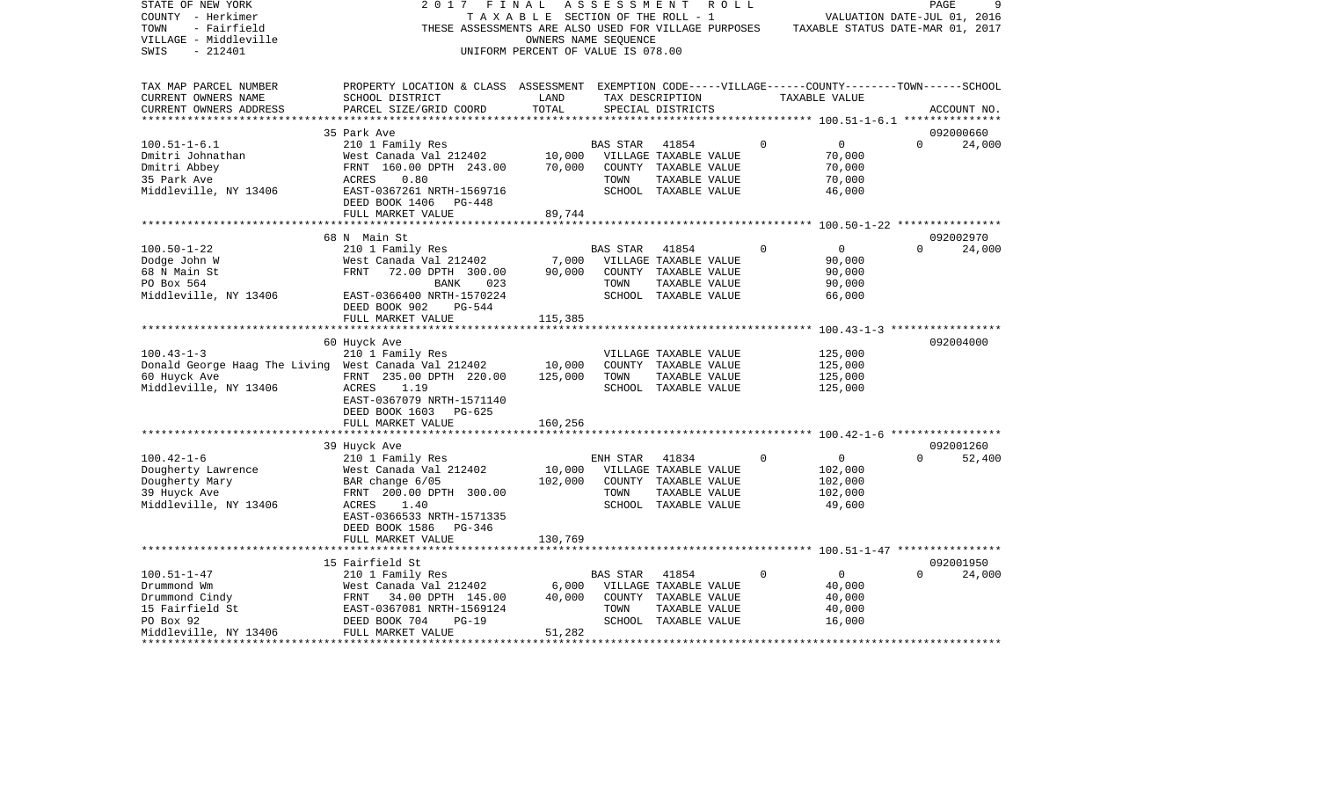| STATE OF NEW YORK<br>COUNTY - Herkimer<br>TOWN<br>- Fairfield<br>VILLAGE - Middleville<br>SWIS<br>$-212401$                                                                                                                                                                                                                                                                                                                                                | 2017<br>FINAL                                                                                                                                   | T A X A B L E SECTION OF THE ROLL - 1<br>OWNERS NAME SEQUENCE<br>UNIFORM PERCENT OF VALUE IS 078.00 |                 | ASSESSMENT ROLL<br>THESE ASSESSMENTS ARE ALSO USED FOR VILLAGE PURPOSES TAXABLE STATUS DATE-MAR 01, 2017 |             | VALUATION DATE-JUL 01, 2016 | PAGE     | 9           |
|------------------------------------------------------------------------------------------------------------------------------------------------------------------------------------------------------------------------------------------------------------------------------------------------------------------------------------------------------------------------------------------------------------------------------------------------------------|-------------------------------------------------------------------------------------------------------------------------------------------------|-----------------------------------------------------------------------------------------------------|-----------------|----------------------------------------------------------------------------------------------------------|-------------|-----------------------------|----------|-------------|
| TAX MAP PARCEL NUMBER<br>CURRENT OWNERS NAME<br>CURRENT OWNERS ADDRESS                                                                                                                                                                                                                                                                                                                                                                                     | PROPERTY LOCATION & CLASS ASSESSMENT EXEMPTION CODE-----VILLAGE------COUNTY-------TOWN------SCHOOL<br>SCHOOL DISTRICT<br>PARCEL SIZE/GRID COORD | LAND<br>TOTAL                                                                                       |                 | TAX DESCRIPTION<br>SPECIAL DISTRICTS                                                                     |             | TAXABLE VALUE               |          | ACCOUNT NO. |
|                                                                                                                                                                                                                                                                                                                                                                                                                                                            |                                                                                                                                                 |                                                                                                     |                 |                                                                                                          |             |                             |          |             |
|                                                                                                                                                                                                                                                                                                                                                                                                                                                            | 35 Park Ave                                                                                                                                     |                                                                                                     |                 |                                                                                                          | $\Omega$    |                             |          | 092000660   |
| $100.51 - 1 - 6.1$<br>Dmitri Johnathan                                                                                                                                                                                                                                                                                                                                                                                                                     | 210 1 Family Res                                                                                                                                |                                                                                                     | BAS STAR        | 41854                                                                                                    |             | $\overline{0}$<br>70,000    | $\Omega$ | 24,000      |
| Dmitri Abbey                                                                                                                                                                                                                                                                                                                                                                                                                                               | West Canada Val 212402 10,000 VILLAGE TAXABLE VALUE<br>FRNT 160.00 DPTH 243.00 70,000 COUNTY TAXABLE VALUE                                      |                                                                                                     |                 |                                                                                                          |             | 70,000                      |          |             |
| 35 Park Ave                                                                                                                                                                                                                                                                                                                                                                                                                                                | ACRES<br>0.80                                                                                                                                   |                                                                                                     | TOWN            | TAXABLE VALUE                                                                                            |             | 70,000                      |          |             |
| Middleville, NY 13406                                                                                                                                                                                                                                                                                                                                                                                                                                      | EAST-0367261 NRTH-1569716                                                                                                                       |                                                                                                     |                 | SCHOOL TAXABLE VALUE                                                                                     |             | 46,000                      |          |             |
|                                                                                                                                                                                                                                                                                                                                                                                                                                                            | DEED BOOK 1406 PG-448                                                                                                                           |                                                                                                     |                 |                                                                                                          |             |                             |          |             |
|                                                                                                                                                                                                                                                                                                                                                                                                                                                            | FULL MARKET VALUE                                                                                                                               | 89,744                                                                                              |                 |                                                                                                          |             |                             |          |             |
|                                                                                                                                                                                                                                                                                                                                                                                                                                                            |                                                                                                                                                 |                                                                                                     |                 |                                                                                                          |             |                             |          |             |
|                                                                                                                                                                                                                                                                                                                                                                                                                                                            | 68 N Main St                                                                                                                                    |                                                                                                     |                 |                                                                                                          |             |                             |          | 092002970   |
| $100.50 - 1 - 22$                                                                                                                                                                                                                                                                                                                                                                                                                                          | 210 1 Family Res                                                                                                                                |                                                                                                     | BAS STAR        | 41854                                                                                                    | $\Omega$    | $\overline{0}$              | $\Omega$ | 24,000      |
| Dodge John W                                                                                                                                                                                                                                                                                                                                                                                                                                               | 210 1 ramily Res<br>West Canada Val 212402 7,000<br>FRNT 72.00 DPTH 300.00 90,000                                                               |                                                                                                     |                 | VILLAGE TAXABLE VALUE                                                                                    |             | 90,000                      |          |             |
| 68 N Main St<br>PO Box 564                                                                                                                                                                                                                                                                                                                                                                                                                                 | BANK<br>023                                                                                                                                     |                                                                                                     | TOWN            | COUNTY TAXABLE VALUE<br>TAXABLE VALUE                                                                    |             | 90,000<br>90,000            |          |             |
| Middleville, NY 13406                                                                                                                                                                                                                                                                                                                                                                                                                                      | EAST-0366400 NRTH-1570224                                                                                                                       |                                                                                                     |                 | SCHOOL TAXABLE VALUE                                                                                     |             | 66,000                      |          |             |
|                                                                                                                                                                                                                                                                                                                                                                                                                                                            | DEED BOOK 902<br>$PG-544$                                                                                                                       |                                                                                                     |                 |                                                                                                          |             |                             |          |             |
|                                                                                                                                                                                                                                                                                                                                                                                                                                                            | FULL MARKET VALUE                                                                                                                               | 115,385                                                                                             |                 |                                                                                                          |             |                             |          |             |
|                                                                                                                                                                                                                                                                                                                                                                                                                                                            |                                                                                                                                                 |                                                                                                     |                 |                                                                                                          |             |                             |          |             |
|                                                                                                                                                                                                                                                                                                                                                                                                                                                            | 60 Huyck Ave                                                                                                                                    |                                                                                                     |                 |                                                                                                          |             |                             |          | 092004000   |
| $100.43 - 1 - 3$                                                                                                                                                                                                                                                                                                                                                                                                                                           | 210 1 Family Res                                                                                                                                |                                                                                                     |                 | VILLAGE TAXABLE VALUE                                                                                    |             | 125,000                     |          |             |
| Donald George Haag The Living West Canada Val 212402 10,000                                                                                                                                                                                                                                                                                                                                                                                                |                                                                                                                                                 |                                                                                                     |                 | COUNTY TAXABLE VALUE                                                                                     |             | 125,000                     |          |             |
| 60 Huyck Ave                                                                                                                                                                                                                                                                                                                                                                                                                                               | FRNT 235.00 DPTH 220.00                                                                                                                         | 125,000                                                                                             | TOWN            | TAXABLE VALUE                                                                                            |             | 125,000                     |          |             |
| Middleville, NY 13406                                                                                                                                                                                                                                                                                                                                                                                                                                      | 1.19<br>ACRES                                                                                                                                   |                                                                                                     |                 | SCHOOL TAXABLE VALUE                                                                                     |             | 125,000                     |          |             |
|                                                                                                                                                                                                                                                                                                                                                                                                                                                            | EAST-0367079 NRTH-1571140<br>DEED BOOK 1603 PG-625                                                                                              |                                                                                                     |                 |                                                                                                          |             |                             |          |             |
|                                                                                                                                                                                                                                                                                                                                                                                                                                                            | FULL MARKET VALUE                                                                                                                               | 160,256                                                                                             |                 |                                                                                                          |             |                             |          |             |
|                                                                                                                                                                                                                                                                                                                                                                                                                                                            |                                                                                                                                                 |                                                                                                     |                 |                                                                                                          |             |                             |          |             |
|                                                                                                                                                                                                                                                                                                                                                                                                                                                            | 39 Huyck Ave                                                                                                                                    |                                                                                                     |                 |                                                                                                          |             |                             |          | 092001260   |
| $100.42 - 1 - 6$                                                                                                                                                                                                                                                                                                                                                                                                                                           | 210 1 Family Res                                                                                                                                |                                                                                                     | ENH STAR        | 41834                                                                                                    | $\Omega$    | $\overline{0}$              | $\Omega$ | 52,400      |
| Dougherty Lawrence                                                                                                                                                                                                                                                                                                                                                                                                                                         |                                                                                                                                                 |                                                                                                     |                 | 10,000 VILLAGE TAXABLE VALUE                                                                             |             | 102,000                     |          |             |
| Dougherty Mary                                                                                                                                                                                                                                                                                                                                                                                                                                             | West Canada Val 212402<br>BAR change 6/05<br>EDNE 200.00 DDEU 200.00                                                                            | 102,000                                                                                             |                 | COUNTY TAXABLE VALUE                                                                                     |             | 102,000                     |          |             |
| 39 Huyck Ave                                                                                                                                                                                                                                                                                                                                                                                                                                               | FRNT 200.00 DPTH 300.00                                                                                                                         |                                                                                                     | TOWN            | TAXABLE VALUE                                                                                            |             | 102,000                     |          |             |
| Middleville, NY 13406                                                                                                                                                                                                                                                                                                                                                                                                                                      | ACRES<br>1.40                                                                                                                                   |                                                                                                     |                 | SCHOOL TAXABLE VALUE                                                                                     |             | 49,600                      |          |             |
|                                                                                                                                                                                                                                                                                                                                                                                                                                                            | EAST-0366533 NRTH-1571335                                                                                                                       |                                                                                                     |                 |                                                                                                          |             |                             |          |             |
|                                                                                                                                                                                                                                                                                                                                                                                                                                                            | DEED BOOK 1586 PG-346                                                                                                                           |                                                                                                     |                 |                                                                                                          |             |                             |          |             |
|                                                                                                                                                                                                                                                                                                                                                                                                                                                            | FULL MARKET VALUE                                                                                                                               | 130,769                                                                                             |                 |                                                                                                          |             |                             |          |             |
|                                                                                                                                                                                                                                                                                                                                                                                                                                                            | 15 Fairfield St                                                                                                                                 |                                                                                                     |                 |                                                                                                          |             |                             |          | 092001950   |
| $100.51 - 1 - 47$                                                                                                                                                                                                                                                                                                                                                                                                                                          | 210 1 Family Res                                                                                                                                |                                                                                                     | <b>BAS STAR</b> | 41854                                                                                                    | $\mathbf 0$ | $\overline{0}$              | $\Omega$ | 24,000      |
|                                                                                                                                                                                                                                                                                                                                                                                                                                                            |                                                                                                                                                 | 6,000                                                                                               |                 | VILLAGE TAXABLE VALUE                                                                                    |             | 40,000                      |          |             |
|                                                                                                                                                                                                                                                                                                                                                                                                                                                            |                                                                                                                                                 |                                                                                                     |                 | COUNTY TAXABLE VALUE                                                                                     |             | 40,000                      |          |             |
|                                                                                                                                                                                                                                                                                                                                                                                                                                                            |                                                                                                                                                 |                                                                                                     | TOWN            | TAXABLE VALUE                                                                                            |             | 40,000                      |          |             |
| Drummond Wm $\begin{array}{l} \text{Drummond Wm} \\ \text{Drummond Cindy} \\ \text{15 Fairfield St} \\ \text{PO Box 92} \\ \text{PO Box 92} \\ \text{PO} \\ \text{PO} \\ \text{O} \\ \text{O} \\ \text{O} \\ \text{O} \\ \text{O} \\ \text{O} \\ \text{O} \\ \text{O} \\ \text{O} \\ \text{O} \\ \text{O} \\ \text{O} \\ \text{O} \\ \text{O} \\ \text{O} \\ \text{O} \\ \text{O} \\ \text{O} \\ \text{O} \\ \text{O} \\ \text{O} \\ \text{O} \\ \text{O}$ |                                                                                                                                                 |                                                                                                     |                 | SCHOOL TAXABLE VALUE                                                                                     |             | 16,000                      |          |             |
| Middleville, NY 13406 FULL MARKET VALUE                                                                                                                                                                                                                                                                                                                                                                                                                    |                                                                                                                                                 | 51,282                                                                                              |                 |                                                                                                          |             |                             |          |             |
|                                                                                                                                                                                                                                                                                                                                                                                                                                                            |                                                                                                                                                 |                                                                                                     |                 |                                                                                                          |             |                             |          |             |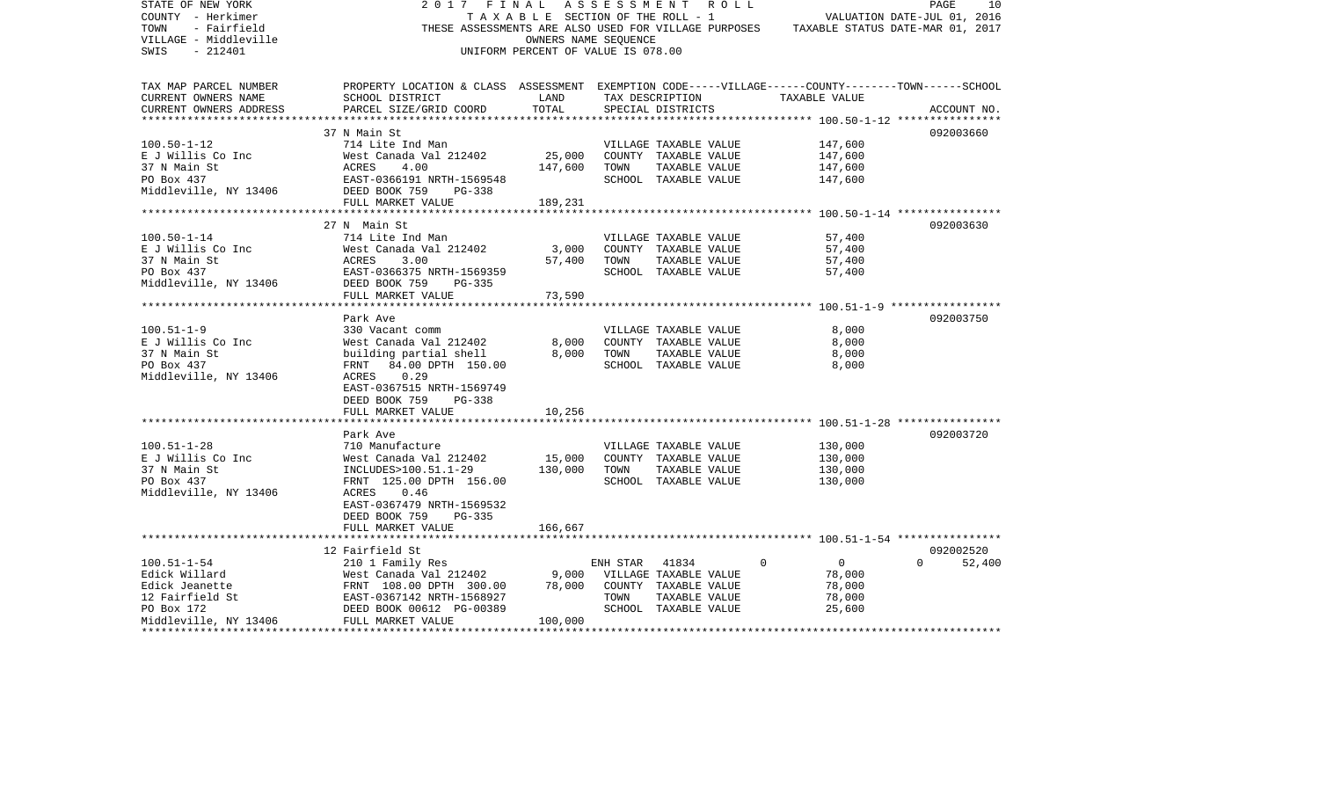| STATE OF NEW YORK                                                                                                                                                                                             | 2017                                                                                               | FINAL ASSESSMENT ROLL              |          |                       |          |                                                                                       | PAGE                        | 10     |
|---------------------------------------------------------------------------------------------------------------------------------------------------------------------------------------------------------------|----------------------------------------------------------------------------------------------------|------------------------------------|----------|-----------------------|----------|---------------------------------------------------------------------------------------|-----------------------------|--------|
| COUNTY - Herkimer                                                                                                                                                                                             |                                                                                                    | TAXABLE SECTION OF THE ROLL - 1    |          |                       |          |                                                                                       | VALUATION DATE-JUL 01, 2016 |        |
| TOWN<br>- Fairfield                                                                                                                                                                                           |                                                                                                    |                                    |          |                       |          | THESE ASSESSMENTS ARE ALSO USED FOR VILLAGE PURPOSES TAXABLE STATUS DATE-MAR 01, 2017 |                             |        |
| VILLAGE - Middleville                                                                                                                                                                                         |                                                                                                    | OWNERS NAME SEOUENCE               |          |                       |          |                                                                                       |                             |        |
| SWIS<br>- 212401                                                                                                                                                                                              |                                                                                                    | UNIFORM PERCENT OF VALUE IS 078.00 |          |                       |          |                                                                                       |                             |        |
|                                                                                                                                                                                                               |                                                                                                    |                                    |          |                       |          |                                                                                       |                             |        |
| TAX MAP PARCEL NUMBER                                                                                                                                                                                         | PROPERTY LOCATION & CLASS ASSESSMENT EXEMPTION CODE-----VILLAGE------COUNTY-------TOWN------SCHOOL |                                    |          |                       |          |                                                                                       |                             |        |
| CURRENT OWNERS NAME                                                                                                                                                                                           | SCHOOL DISTRICT                                                                                    | LAND                               |          | TAX DESCRIPTION       |          | TAXABLE VALUE                                                                         |                             |        |
|                                                                                                                                                                                                               |                                                                                                    |                                    |          |                       |          |                                                                                       |                             |        |
| CURRENT OWNERS ADDRESS                                                                                                                                                                                        | PARCEL SIZE/GRID COORD                                                                             | TOTAL                              |          | SPECIAL DISTRICTS     |          |                                                                                       | ACCOUNT NO.                 |        |
|                                                                                                                                                                                                               |                                                                                                    |                                    |          |                       |          |                                                                                       |                             |        |
|                                                                                                                                                                                                               | 37 N Main St                                                                                       |                                    |          |                       |          |                                                                                       | 092003660                   |        |
| $100.50 - 1 - 12$                                                                                                                                                                                             | 714 Lite Ind Man                                                                                   |                                    |          | VILLAGE TAXABLE VALUE |          | 147,600                                                                               |                             |        |
| E J Willis Co Inc                                                                                                                                                                                             | West Canada Val 212402                                                                             | 25,000                             |          | COUNTY TAXABLE VALUE  |          | 147,600                                                                               |                             |        |
| 37 N Main St<br>PO Box 437<br>Middleville, NY 13406<br>DEED BOOK 759                                                                                                                                          |                                                                                                    | 147,600                            | TOWN     | TAXABLE VALUE         |          | 147,600                                                                               |                             |        |
|                                                                                                                                                                                                               | EAST-0366191 NRTH-1569548                                                                          |                                    |          | SCHOOL TAXABLE VALUE  |          | 147,600                                                                               |                             |        |
|                                                                                                                                                                                                               | PG-338                                                                                             |                                    |          |                       |          |                                                                                       |                             |        |
|                                                                                                                                                                                                               | FULL MARKET VALUE                                                                                  | 189,231                            |          |                       |          |                                                                                       |                             |        |
|                                                                                                                                                                                                               |                                                                                                    |                                    |          |                       |          |                                                                                       |                             |        |
|                                                                                                                                                                                                               | 27 N Main St                                                                                       |                                    |          |                       |          |                                                                                       | 092003630                   |        |
| $100.50 - 1 - 14$                                                                                                                                                                                             |                                                                                                    |                                    |          |                       |          |                                                                                       |                             |        |
|                                                                                                                                                                                                               | 714 Lite Ind Man                                                                                   |                                    |          | VILLAGE TAXABLE VALUE |          | 57,400                                                                                |                             |        |
| E J Willis Co Inc                                                                                                                                                                                             | West Canada Val 212402                                                                             | 3,000                              |          | COUNTY TAXABLE VALUE  |          | 57,400                                                                                |                             |        |
| $\begin{tabular}{lllllllllll} 37 N Main St & & & ACRES & 3.00 \\ PO Box 437 & & & EAST-0366375 N \\ Middleville, NY 13406 & DEED BOOK 759 \\ \end{tabular}$                                                   |                                                                                                    | 57,400                             | TOWN     | TAXABLE VALUE         |          | 57,400                                                                                |                             |        |
|                                                                                                                                                                                                               | EAST-0366375 NRTH-1569359                                                                          |                                    |          | SCHOOL TAXABLE VALUE  |          | 57,400                                                                                |                             |        |
|                                                                                                                                                                                                               | PG-335                                                                                             |                                    |          |                       |          |                                                                                       |                             |        |
|                                                                                                                                                                                                               | FULL MARKET VALUE                                                                                  | 73,590                             |          |                       |          |                                                                                       |                             |        |
|                                                                                                                                                                                                               |                                                                                                    |                                    |          |                       |          |                                                                                       |                             |        |
|                                                                                                                                                                                                               | Park Ave                                                                                           |                                    |          |                       |          |                                                                                       | 092003750                   |        |
| $100.51 - 1 - 9$                                                                                                                                                                                              | 330 Vacant comm                                                                                    |                                    |          | VILLAGE TAXABLE VALUE |          | 8,000                                                                                 |                             |        |
| E J Willis Co Inc                                                                                                                                                                                             | West Canada Val 212402                                                                             | 8,000                              |          | COUNTY TAXABLE VALUE  |          | 8,000                                                                                 |                             |        |
| 37 N Main St                                                                                                                                                                                                  | building partial shell                                                                             | 8,000                              | TOWN     | TAXABLE VALUE         |          | 8,000                                                                                 |                             |        |
| PO Box 437                                                                                                                                                                                                    | FRNT 84.00 DPTH 150.00                                                                             |                                    |          | SCHOOL TAXABLE VALUE  |          |                                                                                       |                             |        |
|                                                                                                                                                                                                               |                                                                                                    |                                    |          |                       |          | 8,000                                                                                 |                             |        |
| Middleville, NY 13406                                                                                                                                                                                         | ACRES<br>0.29                                                                                      |                                    |          |                       |          |                                                                                       |                             |        |
|                                                                                                                                                                                                               | EAST-0367515 NRTH-1569749                                                                          |                                    |          |                       |          |                                                                                       |                             |        |
|                                                                                                                                                                                                               | DEED BOOK 759<br>PG-338                                                                            |                                    |          |                       |          |                                                                                       |                             |        |
|                                                                                                                                                                                                               | FULL MARKET VALUE                                                                                  | 10,256                             |          |                       |          |                                                                                       |                             |        |
|                                                                                                                                                                                                               |                                                                                                    |                                    |          |                       |          |                                                                                       |                             |        |
|                                                                                                                                                                                                               | Park Ave                                                                                           |                                    |          |                       |          |                                                                                       | 092003720                   |        |
| $100.51 - 1 - 28$                                                                                                                                                                                             | 710 Manufacture                                                                                    |                                    |          | VILLAGE TAXABLE VALUE |          | 130,000                                                                               |                             |        |
| E J Willis Co Inc                                                                                                                                                                                             | West Canada Val 212402                                                                             | 15,000                             |          | COUNTY TAXABLE VALUE  |          | 130,000                                                                               |                             |        |
| 37 N Main St                                                                                                                                                                                                  | INCLUDES>100.51.1-29                                                                               | 130,000                            | TOWN     | TAXABLE VALUE         |          | 130,000                                                                               |                             |        |
| PO Box 437                                                                                                                                                                                                    | FRNT 125.00 DPTH 156.00                                                                            |                                    |          | SCHOOL TAXABLE VALUE  |          | 130,000                                                                               |                             |        |
| Middleville, NY 13406                                                                                                                                                                                         | ACRES<br>0.46                                                                                      |                                    |          |                       |          |                                                                                       |                             |        |
|                                                                                                                                                                                                               | EAST-0367479 NRTH-1569532                                                                          |                                    |          |                       |          |                                                                                       |                             |        |
|                                                                                                                                                                                                               |                                                                                                    |                                    |          |                       |          |                                                                                       |                             |        |
|                                                                                                                                                                                                               | DEED BOOK 759<br>PG-335                                                                            |                                    |          |                       |          |                                                                                       |                             |        |
|                                                                                                                                                                                                               | FULL MARKET VALUE                                                                                  | 166,667                            |          |                       |          |                                                                                       |                             |        |
|                                                                                                                                                                                                               |                                                                                                    |                                    |          |                       |          |                                                                                       |                             |        |
|                                                                                                                                                                                                               | 12 Fairfield St                                                                                    |                                    |          |                       |          |                                                                                       | 092002520                   |        |
| $100.51 - 1 - 54$                                                                                                                                                                                             | 210 1 Family Res                                                                                   |                                    | ENH STAR | 41834                 | $\Omega$ | $\overline{0}$                                                                        | $\Omega$                    | 52,400 |
|                                                                                                                                                                                                               | West Canada Val 212402                                                                             | 9,000                              |          | VILLAGE TAXABLE VALUE |          | 78,000                                                                                |                             |        |
|                                                                                                                                                                                                               |                                                                                                    | 78,000                             |          | COUNTY TAXABLE VALUE  |          | 78,000                                                                                |                             |        |
|                                                                                                                                                                                                               |                                                                                                    |                                    | TOWN     | TAXABLE VALUE         |          | 78,000                                                                                |                             |        |
| Edick Willard Mest Canada Val 212402<br>Edick Jeanette FRNT 108.00 DPTH 300.00<br>12 Fairfield St EAST-0367142 NRTH-1568927<br>PO Box 172 DEED BOOK 00612 PG-00389<br>Middleville, NY 13406 FULL MARKET VALUE |                                                                                                    |                                    |          | SCHOOL TAXABLE VALUE  |          | 25,600                                                                                |                             |        |
|                                                                                                                                                                                                               |                                                                                                    | 100,000                            |          |                       |          |                                                                                       |                             |        |
|                                                                                                                                                                                                               |                                                                                                    |                                    |          |                       |          |                                                                                       |                             |        |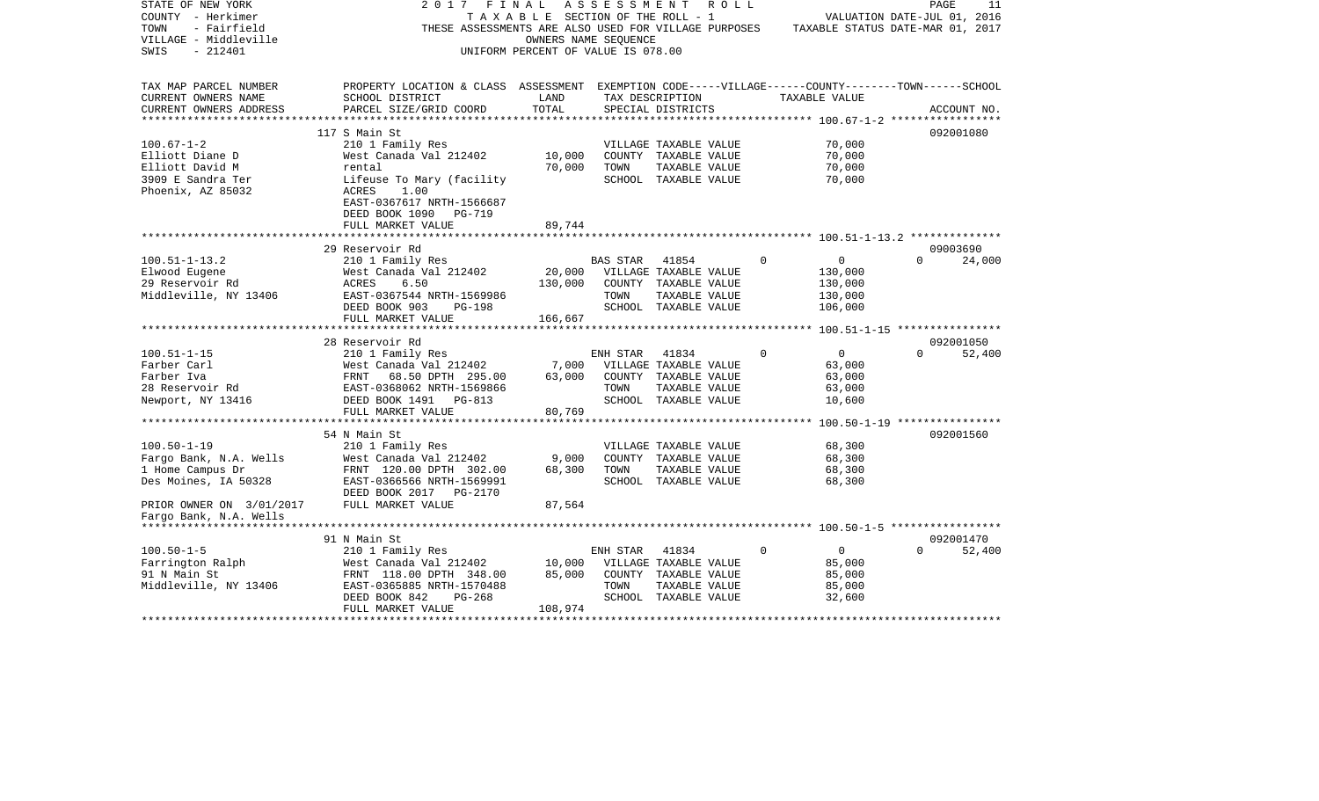| STATE OF NEW YORK<br>COUNTY - Herkimer<br>TOWN<br>- Fairfield<br>VILLAGE - Middleville<br>$-212401$<br>SWIS | 2017<br>FINAL<br>THESE ASSESSMENTS ARE ALSO USED FOR VILLAGE PURPOSES                              | TAXABLE SECTION OF THE ROLL - 1<br>OWNERS NAME SEOUENCE<br>UNIFORM PERCENT OF VALUE IS 078.00 | ASSESSMENT      | ROLL                                  |                            | $\mathop{\mathtt{PAGE}}$<br>VALUATION DATE-JUL 01, 2016<br>TAXABLE STATUS DATE-MAR 01, 2017 | 11          |
|-------------------------------------------------------------------------------------------------------------|----------------------------------------------------------------------------------------------------|-----------------------------------------------------------------------------------------------|-----------------|---------------------------------------|----------------------------|---------------------------------------------------------------------------------------------|-------------|
| TAX MAP PARCEL NUMBER                                                                                       | PROPERTY LOCATION & CLASS ASSESSMENT EXEMPTION CODE-----VILLAGE------COUNTY-------TOWN------SCHOOL |                                                                                               |                 |                                       |                            |                                                                                             |             |
| CURRENT OWNERS NAME                                                                                         | SCHOOL DISTRICT                                                                                    | LAND                                                                                          |                 | TAX DESCRIPTION                       | TAXABLE VALUE              |                                                                                             |             |
| CURRENT OWNERS ADDRESS                                                                                      | PARCEL SIZE/GRID COORD                                                                             | TOTAL                                                                                         |                 | SPECIAL DISTRICTS                     |                            |                                                                                             | ACCOUNT NO. |
|                                                                                                             |                                                                                                    |                                                                                               |                 |                                       |                            |                                                                                             |             |
| $100.67 - 1 - 2$                                                                                            | 117 S Main St<br>210 1 Family Res                                                                  |                                                                                               |                 | VILLAGE TAXABLE VALUE                 | 70,000                     |                                                                                             | 092001080   |
| Elliott Diane D                                                                                             | West Canada Val 212402                                                                             | 10,000                                                                                        |                 | COUNTY TAXABLE VALUE                  | 70,000                     |                                                                                             |             |
| Elliott David M                                                                                             | rental                                                                                             | 70,000                                                                                        | TOWN            | TAXABLE VALUE                         | 70,000                     |                                                                                             |             |
| 3909 E Sandra Ter                                                                                           | Lifeuse To Mary (facility                                                                          |                                                                                               |                 | SCHOOL TAXABLE VALUE                  | 70,000                     |                                                                                             |             |
| Phoenix, AZ 85032                                                                                           | ACRES<br>1.00                                                                                      |                                                                                               |                 |                                       |                            |                                                                                             |             |
|                                                                                                             | EAST-0367617 NRTH-1566687                                                                          |                                                                                               |                 |                                       |                            |                                                                                             |             |
|                                                                                                             | DEED BOOK 1090<br>PG-719                                                                           |                                                                                               |                 |                                       |                            |                                                                                             |             |
|                                                                                                             | FULL MARKET VALUE                                                                                  | 89,744                                                                                        |                 |                                       |                            |                                                                                             |             |
|                                                                                                             |                                                                                                    |                                                                                               |                 |                                       |                            |                                                                                             |             |
|                                                                                                             | 29 Reservoir Rd                                                                                    |                                                                                               |                 |                                       | $\Omega$                   | $\Omega$                                                                                    | 09003690    |
| $100.51 - 1 - 13.2$<br>Elwood Eugene                                                                        | 210 1 Family Res<br>West Canada Val 212402                                                         | 20,000                                                                                        | <b>BAS STAR</b> | 41854<br>VILLAGE TAXABLE VALUE        | $\mathbf{0}$<br>130,000    |                                                                                             | 24,000      |
| 29 Reservoir Rd                                                                                             | ACRES<br>6.50                                                                                      | 130,000                                                                                       |                 | COUNTY TAXABLE VALUE                  | 130,000                    |                                                                                             |             |
| Middleville, NY 13406                                                                                       | EAST-0367544 NRTH-1569986                                                                          |                                                                                               | TOWN            | TAXABLE VALUE                         | 130,000                    |                                                                                             |             |
|                                                                                                             | DEED BOOK 903<br><b>PG-198</b>                                                                     |                                                                                               |                 | SCHOOL TAXABLE VALUE                  | 106,000                    |                                                                                             |             |
|                                                                                                             | FULL MARKET VALUE                                                                                  | 166,667                                                                                       |                 |                                       |                            |                                                                                             |             |
|                                                                                                             | ***********************                                                                            |                                                                                               |                 |                                       |                            |                                                                                             |             |
|                                                                                                             | 28 Reservoir Rd                                                                                    |                                                                                               |                 |                                       |                            |                                                                                             | 092001050   |
| $100.51 - 1 - 15$                                                                                           | 210 1 Family Res                                                                                   |                                                                                               | ENH STAR        | 41834                                 | $\Omega$<br>$\overline{0}$ | $\Omega$                                                                                    | 52,400      |
| Farber Carl                                                                                                 | West Canada Val 212402                                                                             | 7,000                                                                                         |                 | VILLAGE TAXABLE VALUE                 | 63,000                     |                                                                                             |             |
| Farber Iva                                                                                                  | FRNT<br>68.50 DPTH 295.00                                                                          | 63,000                                                                                        |                 | COUNTY TAXABLE VALUE                  | 63,000                     |                                                                                             |             |
| 28 Reservoir Rd<br>Newport, NY 13416                                                                        | EAST-0368062 NRTH-1569866<br>DEED BOOK 1491<br>PG-813                                              |                                                                                               | TOWN            | TAXABLE VALUE<br>SCHOOL TAXABLE VALUE | 63,000<br>10,600           |                                                                                             |             |
|                                                                                                             | FULL MARKET VALUE                                                                                  | 80,769                                                                                        |                 |                                       |                            |                                                                                             |             |
|                                                                                                             |                                                                                                    |                                                                                               |                 |                                       |                            |                                                                                             |             |
|                                                                                                             | 54 N Main St                                                                                       |                                                                                               |                 |                                       |                            |                                                                                             | 092001560   |
| $100.50 - 1 - 19$                                                                                           | 210 1 Family Res                                                                                   |                                                                                               |                 | VILLAGE TAXABLE VALUE                 | 68,300                     |                                                                                             |             |
| Fargo Bank, N.A. Wells                                                                                      | West Canada Val 212402                                                                             | 9,000                                                                                         |                 | COUNTY TAXABLE VALUE                  | 68,300                     |                                                                                             |             |
| 1 Home Campus Dr                                                                                            | FRNT 120.00 DPTH 302.00                                                                            | 68,300                                                                                        | TOWN            | TAXABLE VALUE                         | 68,300                     |                                                                                             |             |
| Des Moines, IA 50328                                                                                        | EAST-0366566 NRTH-1569991                                                                          |                                                                                               |                 | SCHOOL TAXABLE VALUE                  | 68,300                     |                                                                                             |             |
|                                                                                                             | DEED BOOK 2017 PG-2170                                                                             |                                                                                               |                 |                                       |                            |                                                                                             |             |
| PRIOR OWNER ON 3/01/2017                                                                                    | FULL MARKET VALUE                                                                                  | 87,564                                                                                        |                 |                                       |                            |                                                                                             |             |
| Fargo Bank, N.A. Wells                                                                                      |                                                                                                    |                                                                                               |                 |                                       |                            |                                                                                             |             |
|                                                                                                             | 91 N Main St                                                                                       |                                                                                               |                 |                                       |                            |                                                                                             | 092001470   |
| $100.50 - 1 - 5$                                                                                            | 210 1 Family Res                                                                                   |                                                                                               | ENH STAR        | 41834                                 | $\Omega$<br>$\mathbf{0}$   |                                                                                             | 52,400      |
| Farrington Ralph                                                                                            | West Canada Val 212402                                                                             | 10,000                                                                                        |                 | VILLAGE TAXABLE VALUE                 | 85,000                     |                                                                                             |             |
| 91 N Main St                                                                                                | FRNT 118.00 DPTH 348.00                                                                            | 85,000                                                                                        |                 | COUNTY TAXABLE VALUE                  | 85,000                     |                                                                                             |             |
| Middleville, NY 13406                                                                                       | EAST-0365885 NRTH-1570488                                                                          |                                                                                               | TOWN            | TAXABLE VALUE                         | 85,000                     |                                                                                             |             |
|                                                                                                             | DEED BOOK 842<br>$PG-268$                                                                          |                                                                                               |                 | SCHOOL TAXABLE VALUE                  | 32,600                     |                                                                                             |             |
|                                                                                                             | FULL MARKET VALUE                                                                                  | 108,974                                                                                       |                 |                                       |                            | ***********************************                                                         |             |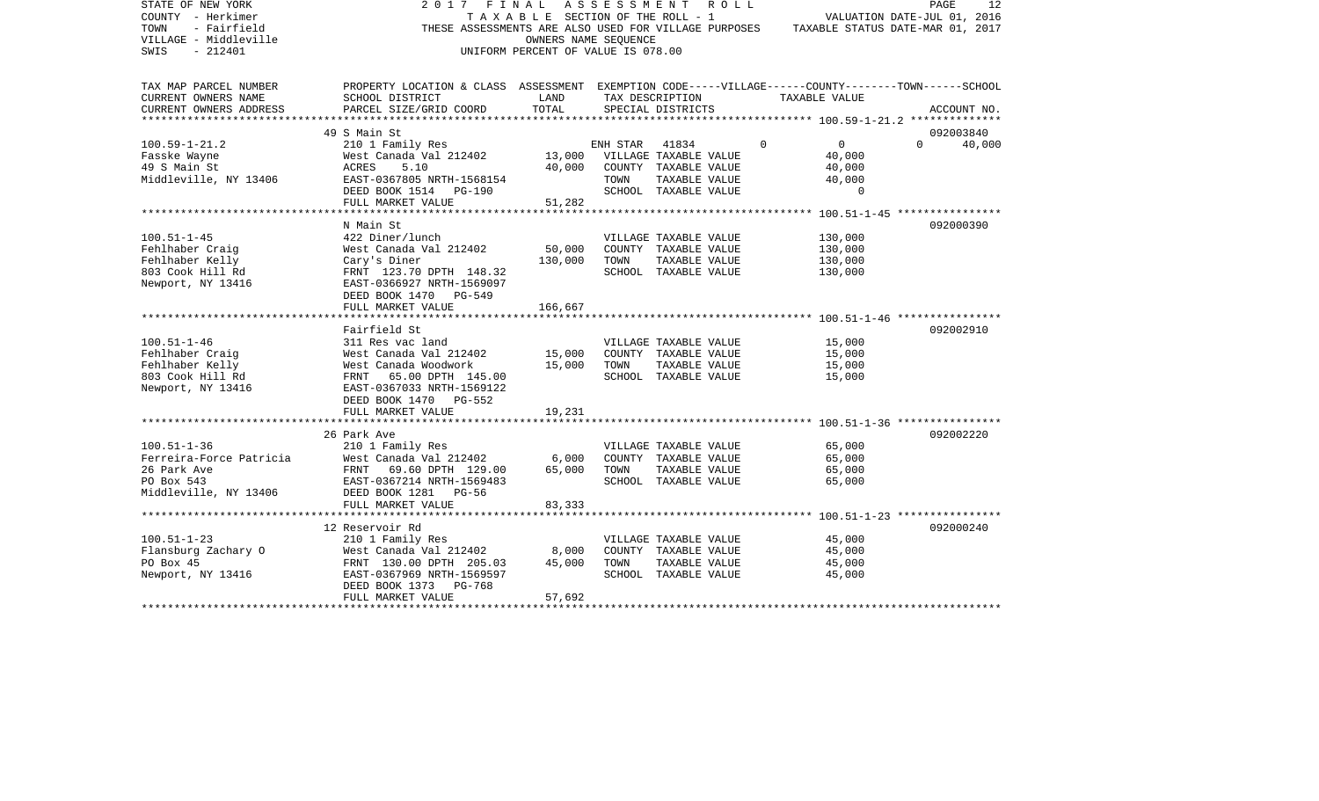| STATE OF NEW YORK<br>COUNTY - Herkimer<br>TOWN<br>- Fairfield<br>VILLAGE - Middleville<br>SWIS<br>$-212401$ | 2017 FINAL ASSESSMENT ROLL<br>THESE ASSESSMENTS ARE ALSO USED FOR VILLAGE PURPOSES                                    | OWNERS NAME SEOUENCE<br>UNIFORM PERCENT OF VALUE IS 078.00 |          | TAXABLE SECTION OF THE ROLL - 1 |          | VALUATION DATE-JUL 01, 2016<br>TAXABLE STATUS DATE-MAR 01, 2017 | PAGE        | 12     |
|-------------------------------------------------------------------------------------------------------------|-----------------------------------------------------------------------------------------------------------------------|------------------------------------------------------------|----------|---------------------------------|----------|-----------------------------------------------------------------|-------------|--------|
| TAX MAP PARCEL NUMBER<br>CURRENT OWNERS NAME                                                                | PROPERTY LOCATION & CLASS ASSESSMENT EXEMPTION CODE-----VILLAGE------COUNTY-------TOWN------SCHOOL<br>SCHOOL DISTRICT | LAND                                                       |          | TAX DESCRIPTION                 |          | TAXABLE VALUE                                                   |             |        |
| CURRENT OWNERS ADDRESS                                                                                      | PARCEL SIZE/GRID COORD                                                                                                | TOTAL                                                      |          | SPECIAL DISTRICTS               |          |                                                                 | ACCOUNT NO. |        |
|                                                                                                             |                                                                                                                       |                                                            |          |                                 |          |                                                                 |             |        |
|                                                                                                             | 49 S Main St                                                                                                          |                                                            |          |                                 |          |                                                                 | 092003840   |        |
| $100.59 - 1 - 21.2$                                                                                         | 210 1 Family Res                                                                                                      |                                                            | ENH STAR | 41834                           | $\Omega$ | $\overline{0}$                                                  | $\Omega$    | 40,000 |
| Fasske Wayne                                                                                                | West Canada Val 212402 13,000 VILLAGE TAXABLE VALUE                                                                   |                                                            |          |                                 |          | 40,000                                                          |             |        |
| 49 S Main St                                                                                                | 5.10<br>ACRES                                                                                                         | 40,000                                                     |          | COUNTY TAXABLE VALUE            |          | 40,000                                                          |             |        |
| Middleville, NY 13406                                                                                       |                                                                                                                       |                                                            | TOWN     | TAXABLE VALUE                   |          | 40,000<br>$\Omega$                                              |             |        |
|                                                                                                             | FULL MARKET VALUE                                                                                                     | 51,282                                                     |          | SCHOOL TAXABLE VALUE            |          |                                                                 |             |        |
|                                                                                                             |                                                                                                                       |                                                            |          |                                 |          |                                                                 |             |        |
|                                                                                                             | N Main St                                                                                                             |                                                            |          |                                 |          |                                                                 | 092000390   |        |
| $100.51 - 1 - 45$                                                                                           | 422 Diner/lunch                                                                                                       |                                                            |          | VILLAGE TAXABLE VALUE           |          | 130,000                                                         |             |        |
| Fehlhaber Craig                                                                                             | West Canada Val 212402                                                                                                | 50,000                                                     |          | COUNTY TAXABLE VALUE            |          | 130,000                                                         |             |        |
| Fehlhaber Kelly                                                                                             | Cary's Diner                                                                                                          | 130,000                                                    | TOWN     | TAXABLE VALUE                   |          | 130,000                                                         |             |        |
| 803 Cook Hill Rd                                                                                            | FRNT 123.70 DPTH 148.32                                                                                               |                                                            |          | SCHOOL TAXABLE VALUE            |          | 130,000                                                         |             |        |
| Newport, NY 13416                                                                                           | EAST-0366927 NRTH-1569097                                                                                             |                                                            |          |                                 |          |                                                                 |             |        |
|                                                                                                             | DEED BOOK 1470 PG-549                                                                                                 |                                                            |          |                                 |          |                                                                 |             |        |
|                                                                                                             | FULL MARKET VALUE                                                                                                     | 166,667                                                    |          |                                 |          |                                                                 |             |        |
|                                                                                                             | Fairfield St                                                                                                          |                                                            |          |                                 |          |                                                                 | 092002910   |        |
| $100.51 - 1 - 46$                                                                                           | 311 Res vac land                                                                                                      |                                                            |          | VILLAGE TAXABLE VALUE           |          | 15,000                                                          |             |        |
| Fehlhaber Craig                                                                                             | West Canada Val 212402                                                                                                | 15,000                                                     |          | COUNTY TAXABLE VALUE            |          | 15,000                                                          |             |        |
| Fehlhaber Kelly                                                                                             | West Canada Woodwork                                                                                                  | 15,000                                                     | TOWN     | TAXABLE VALUE                   |          | 15,000                                                          |             |        |
| 803 Cook Hill Rd                                                                                            | FRNT 65.00 DPTH 145.00                                                                                                |                                                            |          | SCHOOL TAXABLE VALUE            |          | 15,000                                                          |             |        |
| Newport, NY 13416                                                                                           | EAST-0367033 NRTH-1569122                                                                                             |                                                            |          |                                 |          |                                                                 |             |        |
|                                                                                                             | DEED BOOK 1470 PG-552                                                                                                 |                                                            |          |                                 |          |                                                                 |             |        |
|                                                                                                             | FULL MARKET VALUE                                                                                                     | 19,231                                                     |          |                                 |          |                                                                 |             |        |
|                                                                                                             |                                                                                                                       |                                                            |          |                                 |          |                                                                 | 092002220   |        |
| $100.51 - 1 - 36$                                                                                           | 26 Park Ave<br>210 1 Family Res                                                                                       |                                                            |          | VILLAGE TAXABLE VALUE           |          | 65,000                                                          |             |        |
| Ferreira-Force Patricia                                                                                     | West Canada Val 212402                                                                                                | 6,000                                                      |          | COUNTY TAXABLE VALUE            |          | 65,000                                                          |             |        |
| 26 Park Ave                                                                                                 | FRNT 69.60 DPTH 129.00                                                                                                | 65,000                                                     | TOWN     | TAXABLE VALUE                   |          | 65,000                                                          |             |        |
| PO Box 543                                                                                                  | EAST-0367214 NRTH-1569483                                                                                             |                                                            |          | SCHOOL TAXABLE VALUE            |          | 65,000                                                          |             |        |
| Middleville, NY 13406 DEED BOOK 1281 PG-56                                                                  |                                                                                                                       |                                                            |          |                                 |          |                                                                 |             |        |
|                                                                                                             | FULL MARKET VALUE                                                                                                     | 83,333                                                     |          |                                 |          |                                                                 |             |        |
|                                                                                                             |                                                                                                                       |                                                            |          |                                 |          |                                                                 |             |        |
|                                                                                                             | 12 Reservoir Rd                                                                                                       |                                                            |          |                                 |          |                                                                 | 092000240   |        |
| $100.51 - 1 - 23$                                                                                           | 210 1 Family Res                                                                                                      |                                                            |          | VILLAGE TAXABLE VALUE           |          | 45,000                                                          |             |        |
| Flansburg Zachary O                                                                                         | West Canada Val 212402 8,000<br>FRNT 130.00 DPTH 205.03 45,000                                                        |                                                            |          | COUNTY TAXABLE VALUE            |          | 45,000                                                          |             |        |
| PO Box 45                                                                                                   |                                                                                                                       |                                                            | TOWN     | TAXABLE VALUE                   |          | 45,000                                                          |             |        |
| Newport, NY 13416                                                                                           | EAST-0367969 NRTH-1569597<br>DEED BOOK 1373 PG-768                                                                    |                                                            |          | SCHOOL TAXABLE VALUE            |          | 45,000                                                          |             |        |
|                                                                                                             | FULL MARKET VALUE                                                                                                     | 57,692                                                     |          |                                 |          |                                                                 |             |        |
|                                                                                                             |                                                                                                                       |                                                            |          |                                 |          |                                                                 |             |        |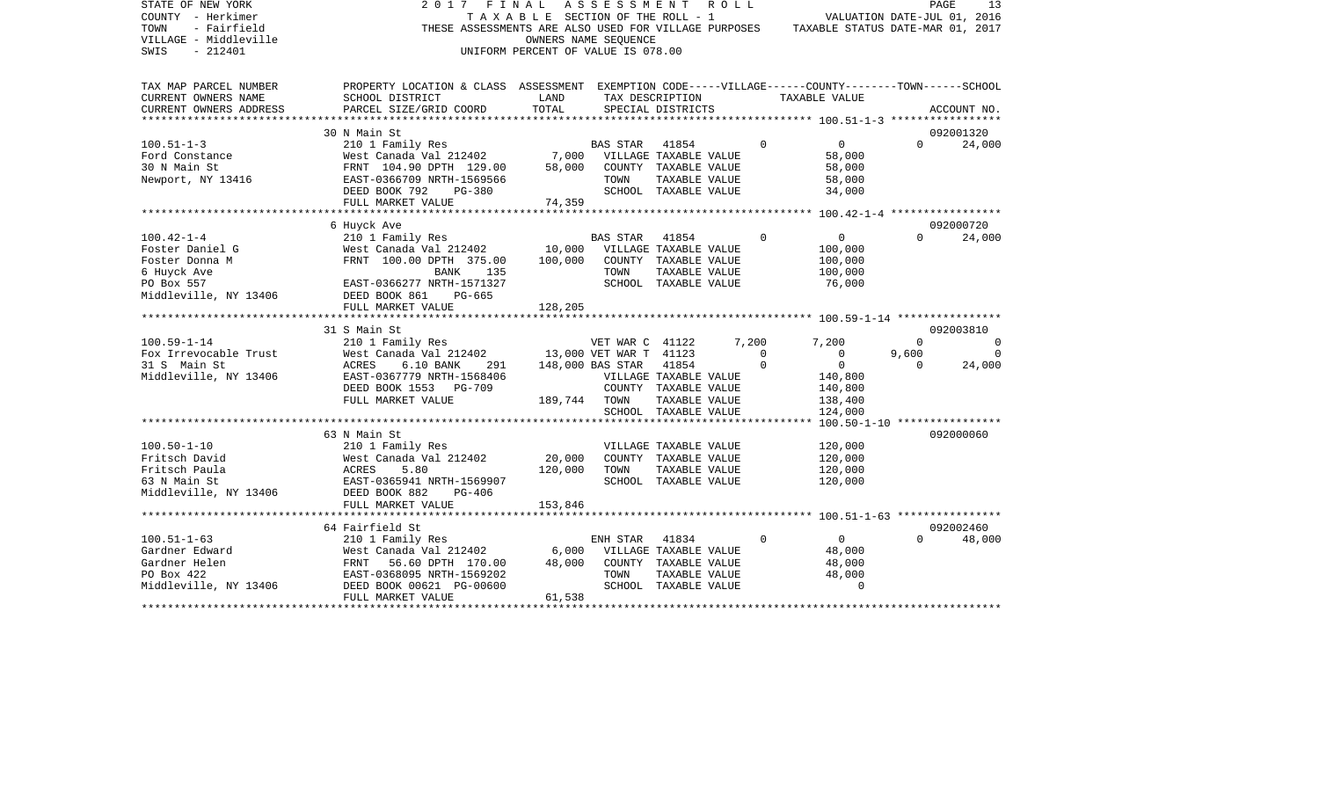| STATE OF NEW YORK<br>COUNTY - Herkimer<br>- Fairfield<br>TOWN<br>VILLAGE - Middleville | 2017<br>FINAL                                                                                      | TAXABLE SECTION OF THE ROLL - 1    | A S S E S S M E N T<br>OWNERS NAME SEOUENCE |                                | ROLL  |                         | THESE ASSESSMENTS ARE ALSO USED FOR VILLAGE PURPOSES TAXABLE STATUS DATE-MAR 01, 2017 |                   | PAGE<br>13<br>VALUATION DATE-JUL 01, 2016 |
|----------------------------------------------------------------------------------------|----------------------------------------------------------------------------------------------------|------------------------------------|---------------------------------------------|--------------------------------|-------|-------------------------|---------------------------------------------------------------------------------------|-------------------|-------------------------------------------|
| SWIS<br>$-212401$                                                                      |                                                                                                    | UNIFORM PERCENT OF VALUE IS 078.00 |                                             |                                |       |                         |                                                                                       |                   |                                           |
| TAX MAP PARCEL NUMBER                                                                  | PROPERTY LOCATION & CLASS ASSESSMENT EXEMPTION CODE-----VILLAGE------COUNTY-------TOWN------SCHOOL |                                    |                                             |                                |       |                         |                                                                                       |                   |                                           |
| CURRENT OWNERS NAME                                                                    | SCHOOL DISTRICT                                                                                    | LAND                               |                                             | TAX DESCRIPTION                |       |                         | TAXABLE VALUE                                                                         |                   |                                           |
| CURRENT OWNERS ADDRESS                                                                 | PARCEL SIZE/GRID COORD                                                                             | TOTAL                              |                                             | SPECIAL DISTRICTS              |       |                         |                                                                                       |                   | ACCOUNT NO.                               |
|                                                                                        | 30 N Main St                                                                                       |                                    |                                             |                                |       |                         |                                                                                       |                   | 092001320                                 |
| $100.51 - 1 - 3$                                                                       | 210 1 Family Res                                                                                   |                                    | <b>BAS STAR</b>                             | 41854                          |       | $\Omega$                | $\overline{0}$                                                                        | $\Omega$          | 24,000                                    |
| Ford Constance                                                                         | West Canada Val 212402                                                                             | 7,000                              |                                             | VILLAGE TAXABLE VALUE          |       |                         | 58,000                                                                                |                   |                                           |
| 30 N Main St                                                                           | FRNT 104.90 DPTH 129.00                                                                            | 58,000                             |                                             | COUNTY TAXABLE VALUE           |       |                         | 58,000                                                                                |                   |                                           |
| Newport, NY 13416                                                                      | EAST-0366709 NRTH-1569566                                                                          |                                    | TOWN                                        | TAXABLE VALUE                  |       |                         | 58,000                                                                                |                   |                                           |
|                                                                                        | DEED BOOK 792<br><b>PG-380</b>                                                                     |                                    |                                             | SCHOOL TAXABLE VALUE           |       |                         | 34,000                                                                                |                   |                                           |
|                                                                                        | FULL MARKET VALUE                                                                                  | 74,359                             |                                             |                                |       |                         |                                                                                       |                   |                                           |
|                                                                                        |                                                                                                    |                                    |                                             |                                |       |                         |                                                                                       |                   |                                           |
| $100.42 - 1 - 4$                                                                       | 6 Huyck Ave<br>210 1 Family Res                                                                    |                                    | <b>BAS STAR</b>                             | 41854                          |       | $\Omega$                | $\overline{0}$                                                                        | $\Omega$          | 092000720<br>24,000                       |
| Foster Daniel G                                                                        | West Canada Val 212402                                                                             | 10,000                             |                                             | VILLAGE TAXABLE VALUE          |       |                         | 100,000                                                                               |                   |                                           |
| Foster Donna M                                                                         | FRNT 100.00 DPTH 375.00                                                                            | 100,000                            |                                             | COUNTY TAXABLE VALUE           |       |                         | 100,000                                                                               |                   |                                           |
| 6 Huyck Ave                                                                            | BANK<br>135                                                                                        |                                    | TOWN                                        | TAXABLE VALUE                  |       |                         | 100,000                                                                               |                   |                                           |
| PO Box 557                                                                             | EAST-0366277 NRTH-1571327                                                                          |                                    |                                             | SCHOOL TAXABLE VALUE           |       |                         | 76,000                                                                                |                   |                                           |
| Middleville, NY 13406                                                                  | DEED BOOK 861<br>PG-665                                                                            |                                    |                                             |                                |       |                         |                                                                                       |                   |                                           |
|                                                                                        | FULL MARKET VALUE                                                                                  | 128,205                            |                                             |                                |       |                         |                                                                                       |                   |                                           |
|                                                                                        |                                                                                                    |                                    |                                             |                                |       |                         |                                                                                       |                   |                                           |
|                                                                                        | 31 S Main St                                                                                       |                                    |                                             |                                |       |                         |                                                                                       |                   | 092003810                                 |
| $100.59 - 1 - 14$                                                                      | 210 1 Family Res                                                                                   |                                    | VET WAR C 41122                             |                                | 7,200 |                         | 7,200                                                                                 | $\Omega$          | $\Omega$                                  |
| Fox Irrevocable Trust                                                                  | West Canada Val 212402                                                                             |                                    | 13,000 VET WAR T 41123                      |                                |       | $\Omega$<br>$\mathbf 0$ | $\mathbf{0}$                                                                          | 9,600<br>$\Omega$ |                                           |
| 31 S Main St<br>Middleville, NY 13406                                                  | ACRES<br>$6.10$ BANK<br>291<br>EAST-0367779 NRTH-1568406                                           |                                    | 148,000 BAS STAR                            | 41854<br>VILLAGE TAXABLE VALUE |       |                         | $\overline{0}$<br>140,800                                                             |                   | 24,000                                    |
|                                                                                        | DEED BOOK 1553<br><b>PG-709</b>                                                                    |                                    |                                             | COUNTY TAXABLE VALUE           |       |                         | 140,800                                                                               |                   |                                           |
|                                                                                        | FULL MARKET VALUE                                                                                  | 189,744                            | TOWN                                        | TAXABLE VALUE                  |       |                         | 138,400                                                                               |                   |                                           |
|                                                                                        |                                                                                                    |                                    |                                             | SCHOOL TAXABLE VALUE           |       |                         | 124,000                                                                               |                   |                                           |
|                                                                                        |                                                                                                    |                                    |                                             |                                |       |                         | *** 100.50-1-10 *****************                                                     |                   |                                           |
|                                                                                        | 63 N Main St                                                                                       |                                    |                                             |                                |       |                         |                                                                                       |                   | 092000060                                 |
| $100.50 - 1 - 10$                                                                      | 210 1 Family Res                                                                                   |                                    |                                             | VILLAGE TAXABLE VALUE          |       |                         | 120,000                                                                               |                   |                                           |
| Fritsch David                                                                          | West Canada Val 212402                                                                             | 20,000                             |                                             | COUNTY TAXABLE VALUE           |       |                         | 120,000                                                                               |                   |                                           |
| Fritsch Paula                                                                          | 5.80<br>ACRES                                                                                      | 120,000                            | TOWN                                        | TAXABLE VALUE                  |       |                         | 120,000                                                                               |                   |                                           |
| 63 N Main St                                                                           | EAST-0365941 NRTH-1569907                                                                          |                                    |                                             | SCHOOL TAXABLE VALUE           |       |                         | 120,000                                                                               |                   |                                           |
| Middleville, NY 13406                                                                  | DEED BOOK 882<br>$PG-406$                                                                          |                                    |                                             |                                |       |                         |                                                                                       |                   |                                           |
|                                                                                        | FULL MARKET VALUE                                                                                  | 153,846                            |                                             |                                |       |                         |                                                                                       |                   |                                           |
|                                                                                        | 64 Fairfield St                                                                                    |                                    |                                             |                                |       |                         |                                                                                       |                   | 092002460                                 |
| $100.51 - 1 - 63$                                                                      | 210 1 Family Res                                                                                   |                                    | ENH STAR                                    | 41834                          |       | $\mathbf 0$             | $\overline{0}$                                                                        | $\Omega$          | 48,000                                    |
| Gardner Edward                                                                         | West Canada Val 212402                                                                             | 6,000                              |                                             | VILLAGE TAXABLE VALUE          |       |                         | 48,000                                                                                |                   |                                           |
| Gardner Helen                                                                          | FRNT<br>56.60 DPTH 170.00                                                                          | 48,000                             |                                             | COUNTY TAXABLE VALUE           |       |                         | 48,000                                                                                |                   |                                           |
| PO Box 422                                                                             | EAST-0368095 NRTH-1569202                                                                          |                                    | TOWN                                        | TAXABLE VALUE                  |       |                         | 48,000                                                                                |                   |                                           |
| Middleville, NY 13406                                                                  | DEED BOOK 00621 PG-00600                                                                           |                                    |                                             | SCHOOL TAXABLE VALUE           |       |                         | $\Omega$                                                                              |                   |                                           |
|                                                                                        | FULL MARKET VALUE                                                                                  | 61,538                             |                                             |                                |       |                         |                                                                                       |                   |                                           |
|                                                                                        |                                                                                                    |                                    |                                             |                                |       |                         |                                                                                       |                   |                                           |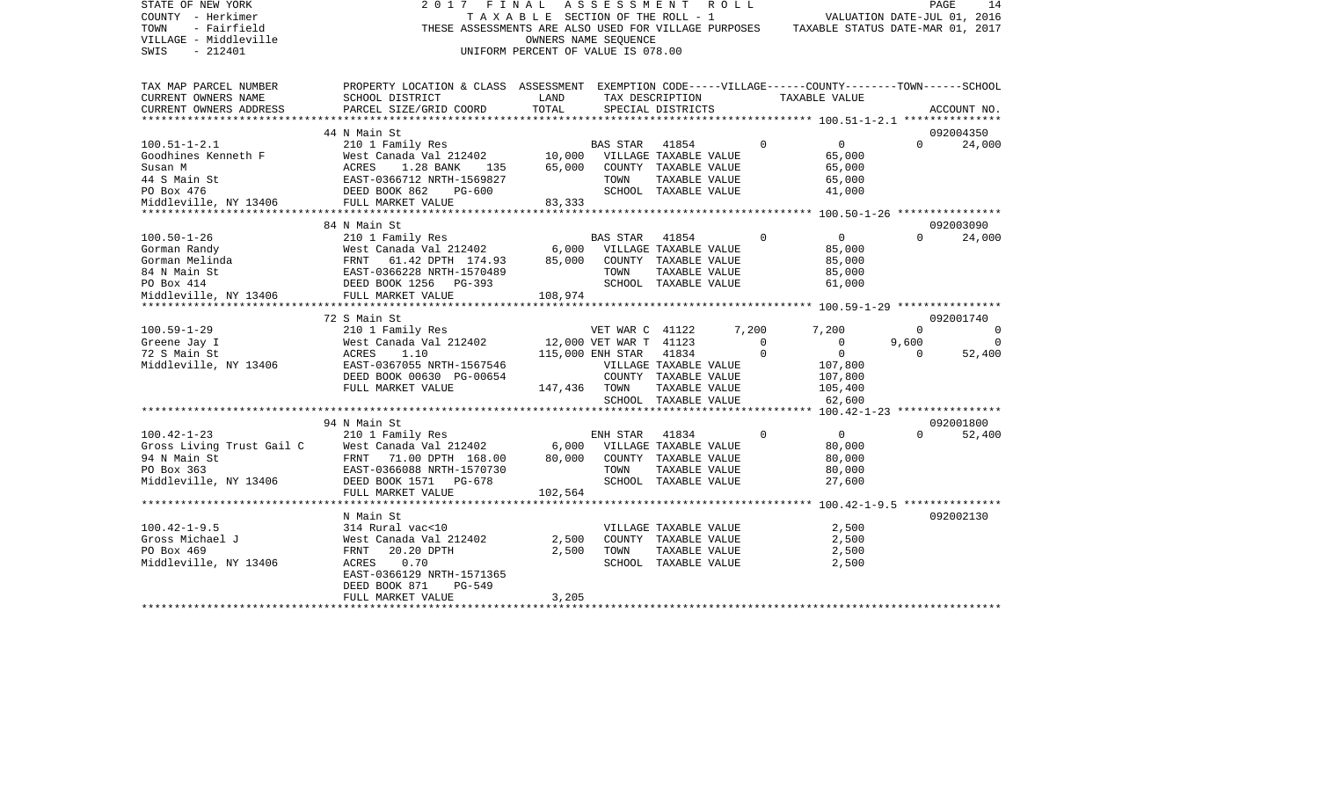| STATE OF NEW YORK         | 2017<br>FINAL                                                                                      |                                       | A S S E S S M E N T    |                       | R O L L |          |                                                                                       |                             | PAGE<br>14  |
|---------------------------|----------------------------------------------------------------------------------------------------|---------------------------------------|------------------------|-----------------------|---------|----------|---------------------------------------------------------------------------------------|-----------------------------|-------------|
| COUNTY - Herkimer         |                                                                                                    | T A X A B L E SECTION OF THE ROLL - 1 |                        |                       |         |          |                                                                                       | VALUATION DATE-JUL 01, 2016 |             |
| TOWN<br>- Fairfield       |                                                                                                    |                                       |                        |                       |         |          | THESE ASSESSMENTS ARE ALSO USED FOR VILLAGE PURPOSES TAXABLE STATUS DATE-MAR 01, 2017 |                             |             |
| VILLAGE - Middleville     |                                                                                                    |                                       | OWNERS NAME SEQUENCE   |                       |         |          |                                                                                       |                             |             |
| $-212401$<br>SWIS         |                                                                                                    | UNIFORM PERCENT OF VALUE IS 078.00    |                        |                       |         |          |                                                                                       |                             |             |
|                           |                                                                                                    |                                       |                        |                       |         |          |                                                                                       |                             |             |
|                           |                                                                                                    |                                       |                        |                       |         |          |                                                                                       |                             |             |
| TAX MAP PARCEL NUMBER     | PROPERTY LOCATION & CLASS ASSESSMENT EXEMPTION CODE-----VILLAGE------COUNTY-------TOWN------SCHOOL |                                       |                        |                       |         |          |                                                                                       |                             |             |
| CURRENT OWNERS NAME       | SCHOOL DISTRICT                                                                                    | LAND                                  |                        | TAX DESCRIPTION       |         |          | TAXABLE VALUE                                                                         |                             |             |
| CURRENT OWNERS ADDRESS    | PARCEL SIZE/GRID COORD                                                                             | TOTAL                                 |                        | SPECIAL DISTRICTS     |         |          |                                                                                       |                             | ACCOUNT NO. |
|                           |                                                                                                    |                                       |                        |                       |         |          |                                                                                       |                             |             |
|                           | 44 N Main St                                                                                       |                                       |                        |                       |         |          |                                                                                       |                             | 092004350   |
| $100.51 - 1 - 2.1$        | 210 1 Family Res                                                                                   |                                       | BAS STAR               | 41854                 |         | $\Omega$ | $0 \qquad \qquad$                                                                     | $\Omega$                    | 24,000      |
| Goodhines Kenneth F       | West Canada Val 212402                                                                             | 10,000                                |                        | VILLAGE TAXABLE VALUE |         |          | 65,000                                                                                |                             |             |
| Susan M                   | 1.28 BANK<br>ACRES<br>135                                                                          | 65,000                                |                        | COUNTY TAXABLE VALUE  |         |          | 65,000                                                                                |                             |             |
| 44 S Main St              |                                                                                                    |                                       |                        |                       |         |          | 65,000                                                                                |                             |             |
|                           | EAST-0366712 NRTH-1569827                                                                          |                                       | TOWN                   | TAXABLE VALUE         |         |          |                                                                                       |                             |             |
| PO Box 476                | DEED BOOK 862<br>PG-600                                                                            |                                       |                        | SCHOOL TAXABLE VALUE  |         |          | 41,000                                                                                |                             |             |
| Middleville, NY 13406     | FULL MARKET VALUE                                                                                  | 83,333                                |                        |                       |         |          |                                                                                       |                             |             |
|                           |                                                                                                    |                                       |                        |                       |         |          |                                                                                       |                             |             |
|                           | 84 N Main St                                                                                       |                                       |                        |                       |         |          |                                                                                       |                             | 092003090   |
| $100.50 - 1 - 26$         | 210 1 Family Res                                                                                   |                                       | <b>BAS STAR</b>        | 41854                 |         | $\Omega$ | $\overline{0}$                                                                        | $\Omega$                    | 24,000      |
| Gorman Randy              | West Canada Val 212402                                                                             | 6,000                                 |                        | VILLAGE TAXABLE VALUE |         |          | 85,000                                                                                |                             |             |
| Gorman Melinda            | FRNT<br>61.42 DPTH 174.93                                                                          | 85,000                                |                        | COUNTY TAXABLE VALUE  |         |          | 85,000                                                                                |                             |             |
| 84 N Main St              | EAST-0366228 NRTH-1570489                                                                          |                                       | TOWN                   | TAXABLE VALUE         |         |          | 85,000                                                                                |                             |             |
| PO Box 414                | DEED BOOK 1256 PG-393                                                                              |                                       |                        | SCHOOL TAXABLE VALUE  |         |          | 61,000                                                                                |                             |             |
| Middleville, NY 13406     | FULL MARKET VALUE                                                                                  | 108,974                               |                        |                       |         |          |                                                                                       |                             |             |
|                           |                                                                                                    |                                       |                        |                       |         |          |                                                                                       |                             |             |
|                           | 72 S Main St                                                                                       |                                       |                        |                       |         |          |                                                                                       |                             | 092001740   |
| $100.59 - 1 - 29$         | 210 1 Family Res                                                                                   |                                       | VET WAR C 41122        |                       |         | 7,200    | 7,200                                                                                 | $\Omega$                    | $\Omega$    |
| Greene Jay I              | West Canada Val 212402                                                                             |                                       | 12,000 VET WAR T 41123 |                       |         | $\Omega$ | $\Omega$                                                                              | 9,600                       | $\Omega$    |
| 72 S Main St              | ACRES<br>1.10                                                                                      |                                       | 115,000 ENH STAR       | 41834                 |         | $\Omega$ | $\overline{0}$                                                                        | $\Omega$                    | 52,400      |
| Middleville, NY 13406     | EAST-0367055 NRTH-1567546                                                                          |                                       |                        | VILLAGE TAXABLE VALUE |         |          | 107,800                                                                               |                             |             |
|                           | DEED BOOK 00630 PG-00654                                                                           |                                       |                        | COUNTY TAXABLE VALUE  |         |          | 107,800                                                                               |                             |             |
|                           | FULL MARKET VALUE                                                                                  | 147,436 TOWN                          |                        | TAXABLE VALUE         |         |          | 105,400                                                                               |                             |             |
|                           |                                                                                                    |                                       |                        | SCHOOL TAXABLE VALUE  |         |          | 62,600                                                                                |                             |             |
|                           |                                                                                                    |                                       |                        |                       |         |          | ****** 100.42-1-23 *****************                                                  |                             |             |
|                           | 94 N Main St                                                                                       |                                       |                        |                       |         |          |                                                                                       |                             | 092001800   |
| $100.42 - 1 - 23$         | 210 1 Family Res                                                                                   |                                       | ENH STAR               | 41834                 |         | $\Omega$ | $\overline{0}$                                                                        | $\Omega$                    | 52,400      |
|                           | West Canada Val 212402                                                                             | 6,000                                 |                        |                       |         |          |                                                                                       |                             |             |
| Gross Living Trust Gail C |                                                                                                    |                                       |                        | VILLAGE TAXABLE VALUE |         |          | 80,000                                                                                |                             |             |
| 94 N Main St              | FRNT 71.00 DPTH 168.00                                                                             | 80,000                                |                        | COUNTY TAXABLE VALUE  |         |          | 80,000                                                                                |                             |             |
| PO Box 363                | EAST-0366088 NRTH-1570730                                                                          |                                       | TOWN                   | TAXABLE VALUE         |         |          | 80,000                                                                                |                             |             |
| Middleville, NY 13406     | DEED BOOK 1571 PG-678                                                                              |                                       |                        | SCHOOL TAXABLE VALUE  |         |          | 27,600                                                                                |                             |             |
|                           | FULL MARKET VALUE                                                                                  | 102,564                               |                        |                       |         |          |                                                                                       |                             |             |
|                           |                                                                                                    |                                       |                        |                       |         |          |                                                                                       |                             |             |
|                           | N Main St                                                                                          |                                       |                        |                       |         |          |                                                                                       |                             | 092002130   |
| $100.42 - 1 - 9.5$        | 314 Rural vac<10                                                                                   |                                       |                        | VILLAGE TAXABLE VALUE |         |          | 2,500                                                                                 |                             |             |
| Gross Michael J           | West Canada Val 212402                                                                             | 2,500                                 |                        | COUNTY TAXABLE VALUE  |         |          | 2,500                                                                                 |                             |             |
| PO Box 469                | FRNT<br>20.20 DPTH                                                                                 | 2,500                                 | TOWN                   | TAXABLE VALUE         |         |          | 2,500                                                                                 |                             |             |
| Middleville, NY 13406     | ACRES<br>0.70                                                                                      |                                       |                        | SCHOOL TAXABLE VALUE  |         |          | 2,500                                                                                 |                             |             |
|                           | EAST-0366129 NRTH-1571365                                                                          |                                       |                        |                       |         |          |                                                                                       |                             |             |
|                           | DEED BOOK 871<br><b>PG-549</b>                                                                     |                                       |                        |                       |         |          |                                                                                       |                             |             |
|                           | FULL MARKET VALUE                                                                                  | 3,205                                 |                        |                       |         |          |                                                                                       |                             |             |
|                           |                                                                                                    |                                       |                        |                       |         |          |                                                                                       |                             |             |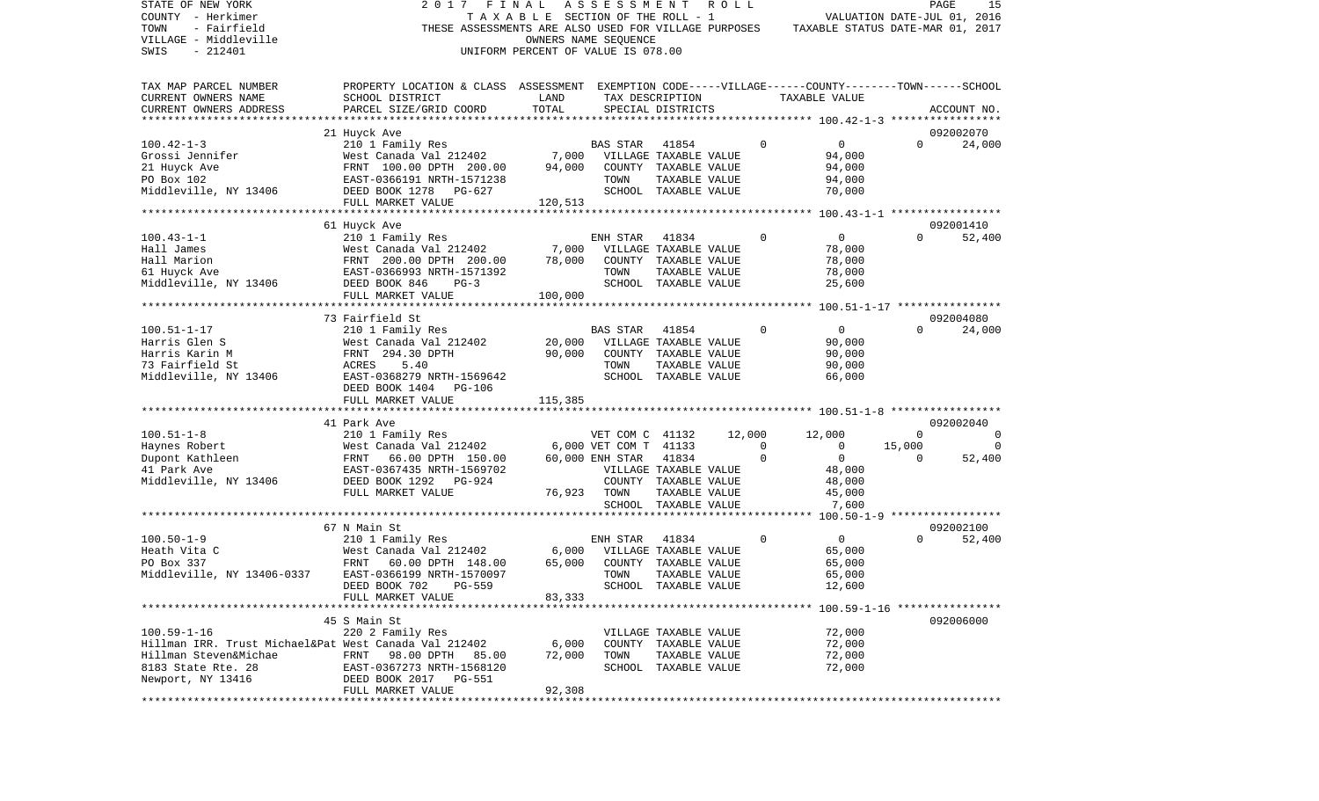| TAXABLE SECTION OF THE ROLL - 1<br>VALUATION DATE-JUL 01, 2016<br>- Fairfield<br>THESE ASSESSMENTS ARE ALSO USED FOR VILLAGE PURPOSES<br>TAXABLE STATUS DATE-MAR 01, 2017<br>OWNERS NAME SEQUENCE<br>$-212401$<br>UNIFORM PERCENT OF VALUE IS 078.00<br>PROPERTY LOCATION & CLASS ASSESSMENT EXEMPTION CODE-----VILLAGE------COUNTY-------TOWN------SCHOOL<br>CURRENT OWNERS NAME<br>SCHOOL DISTRICT<br>LAND<br>TAX DESCRIPTION<br>TAXABLE VALUE<br>TOTAL<br>CURRENT OWNERS ADDRESS<br>PARCEL SIZE/GRID COORD<br>SPECIAL DISTRICTS<br>ACCOUNT NO.<br>092002070<br>21 Huyck Ave<br>$\mathbf 0$<br>$\mathbf 0$<br>210 1 Family Res<br><b>BAS STAR</b><br>41854<br>$\Omega$<br>24,000<br>Grossi Jennifer<br>West Canada Val 212402<br>7,000<br>VILLAGE TAXABLE VALUE<br>94,000<br>94,000<br>21 Huyck Ave<br>FRNT 100.00 DPTH 200.00<br>94,000<br>COUNTY TAXABLE VALUE<br>PO Box 102<br>94,000<br>EAST-0366191 NRTH-1571238<br>TOWN<br>TAXABLE VALUE<br>Middleville, NY 13406<br>DEED BOOK 1278<br>SCHOOL TAXABLE VALUE<br>70,000<br>PG-627<br>FULL MARKET VALUE<br>120,513<br>092001410<br>61 Huyck Ave<br>$\Omega$<br>210 1 Family Res<br>41834<br>0<br>$\mathbf{0}$<br>52,400<br>ENH STAR<br>West Canada Val 212402<br>7,000<br>VILLAGE TAXABLE VALUE<br>78,000<br>FRNT 200.00 DPTH 200.00<br>78,000<br>COUNTY TAXABLE VALUE<br>78,000<br>TOWN<br>TAXABLE VALUE<br>78,000<br>EAST-0366993 NRTH-1571392<br>SCHOOL TAXABLE VALUE<br>DEED BOOK 846<br>$PG-3$<br>25,600<br>FULL MARKET VALUE<br>100,000<br>092004080<br>73 Fairfield St<br>$\mathsf{O}$<br>$\Omega$<br>210 1 Family Res<br><b>BAS STAR</b><br>41854<br>0<br>24,000<br>West Canada Val 212402<br>20,000<br>VILLAGE TAXABLE VALUE<br>90,000<br>90,000<br>COUNTY TAXABLE VALUE<br>FRNT 294.30 DPTH<br>90,000<br>TAXABLE VALUE<br>ACRES<br>5.40<br>TOWN<br>90,000<br>EAST-0368279 NRTH-1569642<br>SCHOOL TAXABLE VALUE<br>66,000<br>DEED BOOK 1404 PG-106<br>FULL MARKET VALUE<br>115,385<br>41 Park Ave<br>092002040<br>$\mathbf 0$<br>210 1 Family Res<br>VET COM C 41132<br>12,000<br>12,000<br>0<br>6,000 VET COM T 41133<br>West Canada Val 212402<br>$\mathbf{0}$<br>$\overline{0}$<br>15,000<br>0<br>$\overline{0}$<br>FRNT<br>66.00 DPTH 150.00<br>60,000 ENH STAR<br>41834<br>0<br>$\Omega$<br>52,400<br>EAST-0367435 NRTH-1569702<br>VILLAGE TAXABLE VALUE<br>48,000<br>DEED BOOK 1292<br>PG-924<br>COUNTY TAXABLE VALUE<br>48,000<br>FULL MARKET VALUE<br>76,923<br>TOWN<br>TAXABLE VALUE<br>45,000<br>SCHOOL TAXABLE VALUE<br>7,600<br>67 N Main St<br>092002100<br>41834<br>$\mathbf 0$<br>52,400<br>$100.50 - 1 - 9$<br>210 1 Family Res<br>$\overline{0}$<br>$\Omega$<br>ENH STAR<br>6,000<br>West Canada Val 212402<br>VILLAGE TAXABLE VALUE<br>65,000<br>65,000<br>PO Box 337<br>FRNT<br>COUNTY TAXABLE VALUE<br>60.00 DPTH 148.00<br>65,000<br>Middleville, NY 13406-0337<br>EAST-0366199 NRTH-1570097<br>65,000<br>TOWN<br>TAXABLE VALUE<br>DEED BOOK 702 PG-559<br>SCHOOL TAXABLE VALUE<br>12.600<br>FULL MARKET VALUE<br>83,333<br>45 S Main St<br>092006000<br>$100.59 - 1 - 16$<br>220 2 Family Res<br>72,000<br>VILLAGE TAXABLE VALUE<br>Hillman IRR. Trust Michael&Pat West Canada Val 212402<br>6,000<br>COUNTY TAXABLE VALUE<br>72,000<br>72,000<br>Hillman Steven&Michae<br>FRNT<br>98.00 DPTH<br>72,000<br>TOWN<br>TAXABLE VALUE<br>85.00<br>8183 State Rte. 28<br>SCHOOL TAXABLE VALUE<br>72,000<br>EAST-0367273 NRTH-1568120<br>Newport, NY 13416<br>DEED BOOK 2017 PG-551<br>92,308<br>FULL MARKET VALUE<br>********************** | STATE OF NEW YORK         | 2017 | FINAL | ASSESSMENT | R O L L |  | PAGE<br>15 |
|---------------------------------------------------------------------------------------------------------------------------------------------------------------------------------------------------------------------------------------------------------------------------------------------------------------------------------------------------------------------------------------------------------------------------------------------------------------------------------------------------------------------------------------------------------------------------------------------------------------------------------------------------------------------------------------------------------------------------------------------------------------------------------------------------------------------------------------------------------------------------------------------------------------------------------------------------------------------------------------------------------------------------------------------------------------------------------------------------------------------------------------------------------------------------------------------------------------------------------------------------------------------------------------------------------------------------------------------------------------------------------------------------------------------------------------------------------------------------------------------------------------------------------------------------------------------------------------------------------------------------------------------------------------------------------------------------------------------------------------------------------------------------------------------------------------------------------------------------------------------------------------------------------------------------------------------------------------------------------------------------------------------------------------------------------------------------------------------------------------------------------------------------------------------------------------------------------------------------------------------------------------------------------------------------------------------------------------------------------------------------------------------------------------------------------------------------------------------------------------------------------------------------------------------------------------------------------------------------------------------------------------------------------------------------------------------------------------------------------------------------------------------------------------------------------------------------------------------------------------------------------------------------------------------------------------------------------------------------------------------------------------------------------------------------------------------------------------------------------------------------------------------------------------------------------------------------------------------------------------------------------------------------------------------------------------------------------------------------------------------------------------------------------------------------------------------------------------------------------------------------------------------------|---------------------------|------|-------|------------|---------|--|------------|
|                                                                                                                                                                                                                                                                                                                                                                                                                                                                                                                                                                                                                                                                                                                                                                                                                                                                                                                                                                                                                                                                                                                                                                                                                                                                                                                                                                                                                                                                                                                                                                                                                                                                                                                                                                                                                                                                                                                                                                                                                                                                                                                                                                                                                                                                                                                                                                                                                                                                                                                                                                                                                                                                                                                                                                                                                                                                                                                                                                                                                                                                                                                                                                                                                                                                                                                                                                                                                                                                                                                           | COUNTY - Herkimer         |      |       |            |         |  |            |
|                                                                                                                                                                                                                                                                                                                                                                                                                                                                                                                                                                                                                                                                                                                                                                                                                                                                                                                                                                                                                                                                                                                                                                                                                                                                                                                                                                                                                                                                                                                                                                                                                                                                                                                                                                                                                                                                                                                                                                                                                                                                                                                                                                                                                                                                                                                                                                                                                                                                                                                                                                                                                                                                                                                                                                                                                                                                                                                                                                                                                                                                                                                                                                                                                                                                                                                                                                                                                                                                                                                           | TOWN                      |      |       |            |         |  |            |
|                                                                                                                                                                                                                                                                                                                                                                                                                                                                                                                                                                                                                                                                                                                                                                                                                                                                                                                                                                                                                                                                                                                                                                                                                                                                                                                                                                                                                                                                                                                                                                                                                                                                                                                                                                                                                                                                                                                                                                                                                                                                                                                                                                                                                                                                                                                                                                                                                                                                                                                                                                                                                                                                                                                                                                                                                                                                                                                                                                                                                                                                                                                                                                                                                                                                                                                                                                                                                                                                                                                           | VILLAGE - Middleville     |      |       |            |         |  |            |
|                                                                                                                                                                                                                                                                                                                                                                                                                                                                                                                                                                                                                                                                                                                                                                                                                                                                                                                                                                                                                                                                                                                                                                                                                                                                                                                                                                                                                                                                                                                                                                                                                                                                                                                                                                                                                                                                                                                                                                                                                                                                                                                                                                                                                                                                                                                                                                                                                                                                                                                                                                                                                                                                                                                                                                                                                                                                                                                                                                                                                                                                                                                                                                                                                                                                                                                                                                                                                                                                                                                           | SWIS                      |      |       |            |         |  |            |
|                                                                                                                                                                                                                                                                                                                                                                                                                                                                                                                                                                                                                                                                                                                                                                                                                                                                                                                                                                                                                                                                                                                                                                                                                                                                                                                                                                                                                                                                                                                                                                                                                                                                                                                                                                                                                                                                                                                                                                                                                                                                                                                                                                                                                                                                                                                                                                                                                                                                                                                                                                                                                                                                                                                                                                                                                                                                                                                                                                                                                                                                                                                                                                                                                                                                                                                                                                                                                                                                                                                           |                           |      |       |            |         |  |            |
|                                                                                                                                                                                                                                                                                                                                                                                                                                                                                                                                                                                                                                                                                                                                                                                                                                                                                                                                                                                                                                                                                                                                                                                                                                                                                                                                                                                                                                                                                                                                                                                                                                                                                                                                                                                                                                                                                                                                                                                                                                                                                                                                                                                                                                                                                                                                                                                                                                                                                                                                                                                                                                                                                                                                                                                                                                                                                                                                                                                                                                                                                                                                                                                                                                                                                                                                                                                                                                                                                                                           | TAX MAP PARCEL NUMBER     |      |       |            |         |  |            |
|                                                                                                                                                                                                                                                                                                                                                                                                                                                                                                                                                                                                                                                                                                                                                                                                                                                                                                                                                                                                                                                                                                                                                                                                                                                                                                                                                                                                                                                                                                                                                                                                                                                                                                                                                                                                                                                                                                                                                                                                                                                                                                                                                                                                                                                                                                                                                                                                                                                                                                                                                                                                                                                                                                                                                                                                                                                                                                                                                                                                                                                                                                                                                                                                                                                                                                                                                                                                                                                                                                                           |                           |      |       |            |         |  |            |
|                                                                                                                                                                                                                                                                                                                                                                                                                                                                                                                                                                                                                                                                                                                                                                                                                                                                                                                                                                                                                                                                                                                                                                                                                                                                                                                                                                                                                                                                                                                                                                                                                                                                                                                                                                                                                                                                                                                                                                                                                                                                                                                                                                                                                                                                                                                                                                                                                                                                                                                                                                                                                                                                                                                                                                                                                                                                                                                                                                                                                                                                                                                                                                                                                                                                                                                                                                                                                                                                                                                           |                           |      |       |            |         |  |            |
|                                                                                                                                                                                                                                                                                                                                                                                                                                                                                                                                                                                                                                                                                                                                                                                                                                                                                                                                                                                                                                                                                                                                                                                                                                                                                                                                                                                                                                                                                                                                                                                                                                                                                                                                                                                                                                                                                                                                                                                                                                                                                                                                                                                                                                                                                                                                                                                                                                                                                                                                                                                                                                                                                                                                                                                                                                                                                                                                                                                                                                                                                                                                                                                                                                                                                                                                                                                                                                                                                                                           | ************************* |      |       |            |         |  |            |
|                                                                                                                                                                                                                                                                                                                                                                                                                                                                                                                                                                                                                                                                                                                                                                                                                                                                                                                                                                                                                                                                                                                                                                                                                                                                                                                                                                                                                                                                                                                                                                                                                                                                                                                                                                                                                                                                                                                                                                                                                                                                                                                                                                                                                                                                                                                                                                                                                                                                                                                                                                                                                                                                                                                                                                                                                                                                                                                                                                                                                                                                                                                                                                                                                                                                                                                                                                                                                                                                                                                           |                           |      |       |            |         |  |            |
|                                                                                                                                                                                                                                                                                                                                                                                                                                                                                                                                                                                                                                                                                                                                                                                                                                                                                                                                                                                                                                                                                                                                                                                                                                                                                                                                                                                                                                                                                                                                                                                                                                                                                                                                                                                                                                                                                                                                                                                                                                                                                                                                                                                                                                                                                                                                                                                                                                                                                                                                                                                                                                                                                                                                                                                                                                                                                                                                                                                                                                                                                                                                                                                                                                                                                                                                                                                                                                                                                                                           | $100.42 - 1 - 3$          |      |       |            |         |  |            |
|                                                                                                                                                                                                                                                                                                                                                                                                                                                                                                                                                                                                                                                                                                                                                                                                                                                                                                                                                                                                                                                                                                                                                                                                                                                                                                                                                                                                                                                                                                                                                                                                                                                                                                                                                                                                                                                                                                                                                                                                                                                                                                                                                                                                                                                                                                                                                                                                                                                                                                                                                                                                                                                                                                                                                                                                                                                                                                                                                                                                                                                                                                                                                                                                                                                                                                                                                                                                                                                                                                                           |                           |      |       |            |         |  |            |
|                                                                                                                                                                                                                                                                                                                                                                                                                                                                                                                                                                                                                                                                                                                                                                                                                                                                                                                                                                                                                                                                                                                                                                                                                                                                                                                                                                                                                                                                                                                                                                                                                                                                                                                                                                                                                                                                                                                                                                                                                                                                                                                                                                                                                                                                                                                                                                                                                                                                                                                                                                                                                                                                                                                                                                                                                                                                                                                                                                                                                                                                                                                                                                                                                                                                                                                                                                                                                                                                                                                           |                           |      |       |            |         |  |            |
|                                                                                                                                                                                                                                                                                                                                                                                                                                                                                                                                                                                                                                                                                                                                                                                                                                                                                                                                                                                                                                                                                                                                                                                                                                                                                                                                                                                                                                                                                                                                                                                                                                                                                                                                                                                                                                                                                                                                                                                                                                                                                                                                                                                                                                                                                                                                                                                                                                                                                                                                                                                                                                                                                                                                                                                                                                                                                                                                                                                                                                                                                                                                                                                                                                                                                                                                                                                                                                                                                                                           |                           |      |       |            |         |  |            |
|                                                                                                                                                                                                                                                                                                                                                                                                                                                                                                                                                                                                                                                                                                                                                                                                                                                                                                                                                                                                                                                                                                                                                                                                                                                                                                                                                                                                                                                                                                                                                                                                                                                                                                                                                                                                                                                                                                                                                                                                                                                                                                                                                                                                                                                                                                                                                                                                                                                                                                                                                                                                                                                                                                                                                                                                                                                                                                                                                                                                                                                                                                                                                                                                                                                                                                                                                                                                                                                                                                                           |                           |      |       |            |         |  |            |
|                                                                                                                                                                                                                                                                                                                                                                                                                                                                                                                                                                                                                                                                                                                                                                                                                                                                                                                                                                                                                                                                                                                                                                                                                                                                                                                                                                                                                                                                                                                                                                                                                                                                                                                                                                                                                                                                                                                                                                                                                                                                                                                                                                                                                                                                                                                                                                                                                                                                                                                                                                                                                                                                                                                                                                                                                                                                                                                                                                                                                                                                                                                                                                                                                                                                                                                                                                                                                                                                                                                           |                           |      |       |            |         |  |            |
|                                                                                                                                                                                                                                                                                                                                                                                                                                                                                                                                                                                                                                                                                                                                                                                                                                                                                                                                                                                                                                                                                                                                                                                                                                                                                                                                                                                                                                                                                                                                                                                                                                                                                                                                                                                                                                                                                                                                                                                                                                                                                                                                                                                                                                                                                                                                                                                                                                                                                                                                                                                                                                                                                                                                                                                                                                                                                                                                                                                                                                                                                                                                                                                                                                                                                                                                                                                                                                                                                                                           |                           |      |       |            |         |  |            |
|                                                                                                                                                                                                                                                                                                                                                                                                                                                                                                                                                                                                                                                                                                                                                                                                                                                                                                                                                                                                                                                                                                                                                                                                                                                                                                                                                                                                                                                                                                                                                                                                                                                                                                                                                                                                                                                                                                                                                                                                                                                                                                                                                                                                                                                                                                                                                                                                                                                                                                                                                                                                                                                                                                                                                                                                                                                                                                                                                                                                                                                                                                                                                                                                                                                                                                                                                                                                                                                                                                                           |                           |      |       |            |         |  |            |
|                                                                                                                                                                                                                                                                                                                                                                                                                                                                                                                                                                                                                                                                                                                                                                                                                                                                                                                                                                                                                                                                                                                                                                                                                                                                                                                                                                                                                                                                                                                                                                                                                                                                                                                                                                                                                                                                                                                                                                                                                                                                                                                                                                                                                                                                                                                                                                                                                                                                                                                                                                                                                                                                                                                                                                                                                                                                                                                                                                                                                                                                                                                                                                                                                                                                                                                                                                                                                                                                                                                           | $100.43 - 1 - 1$          |      |       |            |         |  |            |
|                                                                                                                                                                                                                                                                                                                                                                                                                                                                                                                                                                                                                                                                                                                                                                                                                                                                                                                                                                                                                                                                                                                                                                                                                                                                                                                                                                                                                                                                                                                                                                                                                                                                                                                                                                                                                                                                                                                                                                                                                                                                                                                                                                                                                                                                                                                                                                                                                                                                                                                                                                                                                                                                                                                                                                                                                                                                                                                                                                                                                                                                                                                                                                                                                                                                                                                                                                                                                                                                                                                           | Hall James                |      |       |            |         |  |            |
|                                                                                                                                                                                                                                                                                                                                                                                                                                                                                                                                                                                                                                                                                                                                                                                                                                                                                                                                                                                                                                                                                                                                                                                                                                                                                                                                                                                                                                                                                                                                                                                                                                                                                                                                                                                                                                                                                                                                                                                                                                                                                                                                                                                                                                                                                                                                                                                                                                                                                                                                                                                                                                                                                                                                                                                                                                                                                                                                                                                                                                                                                                                                                                                                                                                                                                                                                                                                                                                                                                                           | Hall Marion               |      |       |            |         |  |            |
|                                                                                                                                                                                                                                                                                                                                                                                                                                                                                                                                                                                                                                                                                                                                                                                                                                                                                                                                                                                                                                                                                                                                                                                                                                                                                                                                                                                                                                                                                                                                                                                                                                                                                                                                                                                                                                                                                                                                                                                                                                                                                                                                                                                                                                                                                                                                                                                                                                                                                                                                                                                                                                                                                                                                                                                                                                                                                                                                                                                                                                                                                                                                                                                                                                                                                                                                                                                                                                                                                                                           | 61 Huyck Ave              |      |       |            |         |  |            |
|                                                                                                                                                                                                                                                                                                                                                                                                                                                                                                                                                                                                                                                                                                                                                                                                                                                                                                                                                                                                                                                                                                                                                                                                                                                                                                                                                                                                                                                                                                                                                                                                                                                                                                                                                                                                                                                                                                                                                                                                                                                                                                                                                                                                                                                                                                                                                                                                                                                                                                                                                                                                                                                                                                                                                                                                                                                                                                                                                                                                                                                                                                                                                                                                                                                                                                                                                                                                                                                                                                                           | Middleville, NY 13406     |      |       |            |         |  |            |
|                                                                                                                                                                                                                                                                                                                                                                                                                                                                                                                                                                                                                                                                                                                                                                                                                                                                                                                                                                                                                                                                                                                                                                                                                                                                                                                                                                                                                                                                                                                                                                                                                                                                                                                                                                                                                                                                                                                                                                                                                                                                                                                                                                                                                                                                                                                                                                                                                                                                                                                                                                                                                                                                                                                                                                                                                                                                                                                                                                                                                                                                                                                                                                                                                                                                                                                                                                                                                                                                                                                           |                           |      |       |            |         |  |            |
|                                                                                                                                                                                                                                                                                                                                                                                                                                                                                                                                                                                                                                                                                                                                                                                                                                                                                                                                                                                                                                                                                                                                                                                                                                                                                                                                                                                                                                                                                                                                                                                                                                                                                                                                                                                                                                                                                                                                                                                                                                                                                                                                                                                                                                                                                                                                                                                                                                                                                                                                                                                                                                                                                                                                                                                                                                                                                                                                                                                                                                                                                                                                                                                                                                                                                                                                                                                                                                                                                                                           |                           |      |       |            |         |  |            |
|                                                                                                                                                                                                                                                                                                                                                                                                                                                                                                                                                                                                                                                                                                                                                                                                                                                                                                                                                                                                                                                                                                                                                                                                                                                                                                                                                                                                                                                                                                                                                                                                                                                                                                                                                                                                                                                                                                                                                                                                                                                                                                                                                                                                                                                                                                                                                                                                                                                                                                                                                                                                                                                                                                                                                                                                                                                                                                                                                                                                                                                                                                                                                                                                                                                                                                                                                                                                                                                                                                                           |                           |      |       |            |         |  |            |
|                                                                                                                                                                                                                                                                                                                                                                                                                                                                                                                                                                                                                                                                                                                                                                                                                                                                                                                                                                                                                                                                                                                                                                                                                                                                                                                                                                                                                                                                                                                                                                                                                                                                                                                                                                                                                                                                                                                                                                                                                                                                                                                                                                                                                                                                                                                                                                                                                                                                                                                                                                                                                                                                                                                                                                                                                                                                                                                                                                                                                                                                                                                                                                                                                                                                                                                                                                                                                                                                                                                           | $100.51 - 1 - 17$         |      |       |            |         |  |            |
|                                                                                                                                                                                                                                                                                                                                                                                                                                                                                                                                                                                                                                                                                                                                                                                                                                                                                                                                                                                                                                                                                                                                                                                                                                                                                                                                                                                                                                                                                                                                                                                                                                                                                                                                                                                                                                                                                                                                                                                                                                                                                                                                                                                                                                                                                                                                                                                                                                                                                                                                                                                                                                                                                                                                                                                                                                                                                                                                                                                                                                                                                                                                                                                                                                                                                                                                                                                                                                                                                                                           | Harris Glen S             |      |       |            |         |  |            |
|                                                                                                                                                                                                                                                                                                                                                                                                                                                                                                                                                                                                                                                                                                                                                                                                                                                                                                                                                                                                                                                                                                                                                                                                                                                                                                                                                                                                                                                                                                                                                                                                                                                                                                                                                                                                                                                                                                                                                                                                                                                                                                                                                                                                                                                                                                                                                                                                                                                                                                                                                                                                                                                                                                                                                                                                                                                                                                                                                                                                                                                                                                                                                                                                                                                                                                                                                                                                                                                                                                                           | Harris Karin M            |      |       |            |         |  |            |
|                                                                                                                                                                                                                                                                                                                                                                                                                                                                                                                                                                                                                                                                                                                                                                                                                                                                                                                                                                                                                                                                                                                                                                                                                                                                                                                                                                                                                                                                                                                                                                                                                                                                                                                                                                                                                                                                                                                                                                                                                                                                                                                                                                                                                                                                                                                                                                                                                                                                                                                                                                                                                                                                                                                                                                                                                                                                                                                                                                                                                                                                                                                                                                                                                                                                                                                                                                                                                                                                                                                           | 73 Fairfield St           |      |       |            |         |  |            |
|                                                                                                                                                                                                                                                                                                                                                                                                                                                                                                                                                                                                                                                                                                                                                                                                                                                                                                                                                                                                                                                                                                                                                                                                                                                                                                                                                                                                                                                                                                                                                                                                                                                                                                                                                                                                                                                                                                                                                                                                                                                                                                                                                                                                                                                                                                                                                                                                                                                                                                                                                                                                                                                                                                                                                                                                                                                                                                                                                                                                                                                                                                                                                                                                                                                                                                                                                                                                                                                                                                                           | Middleville, NY 13406     |      |       |            |         |  |            |
|                                                                                                                                                                                                                                                                                                                                                                                                                                                                                                                                                                                                                                                                                                                                                                                                                                                                                                                                                                                                                                                                                                                                                                                                                                                                                                                                                                                                                                                                                                                                                                                                                                                                                                                                                                                                                                                                                                                                                                                                                                                                                                                                                                                                                                                                                                                                                                                                                                                                                                                                                                                                                                                                                                                                                                                                                                                                                                                                                                                                                                                                                                                                                                                                                                                                                                                                                                                                                                                                                                                           |                           |      |       |            |         |  |            |
|                                                                                                                                                                                                                                                                                                                                                                                                                                                                                                                                                                                                                                                                                                                                                                                                                                                                                                                                                                                                                                                                                                                                                                                                                                                                                                                                                                                                                                                                                                                                                                                                                                                                                                                                                                                                                                                                                                                                                                                                                                                                                                                                                                                                                                                                                                                                                                                                                                                                                                                                                                                                                                                                                                                                                                                                                                                                                                                                                                                                                                                                                                                                                                                                                                                                                                                                                                                                                                                                                                                           |                           |      |       |            |         |  |            |
|                                                                                                                                                                                                                                                                                                                                                                                                                                                                                                                                                                                                                                                                                                                                                                                                                                                                                                                                                                                                                                                                                                                                                                                                                                                                                                                                                                                                                                                                                                                                                                                                                                                                                                                                                                                                                                                                                                                                                                                                                                                                                                                                                                                                                                                                                                                                                                                                                                                                                                                                                                                                                                                                                                                                                                                                                                                                                                                                                                                                                                                                                                                                                                                                                                                                                                                                                                                                                                                                                                                           |                           |      |       |            |         |  |            |
|                                                                                                                                                                                                                                                                                                                                                                                                                                                                                                                                                                                                                                                                                                                                                                                                                                                                                                                                                                                                                                                                                                                                                                                                                                                                                                                                                                                                                                                                                                                                                                                                                                                                                                                                                                                                                                                                                                                                                                                                                                                                                                                                                                                                                                                                                                                                                                                                                                                                                                                                                                                                                                                                                                                                                                                                                                                                                                                                                                                                                                                                                                                                                                                                                                                                                                                                                                                                                                                                                                                           |                           |      |       |            |         |  |            |
|                                                                                                                                                                                                                                                                                                                                                                                                                                                                                                                                                                                                                                                                                                                                                                                                                                                                                                                                                                                                                                                                                                                                                                                                                                                                                                                                                                                                                                                                                                                                                                                                                                                                                                                                                                                                                                                                                                                                                                                                                                                                                                                                                                                                                                                                                                                                                                                                                                                                                                                                                                                                                                                                                                                                                                                                                                                                                                                                                                                                                                                                                                                                                                                                                                                                                                                                                                                                                                                                                                                           | $100.51 - 1 - 8$          |      |       |            |         |  |            |
|                                                                                                                                                                                                                                                                                                                                                                                                                                                                                                                                                                                                                                                                                                                                                                                                                                                                                                                                                                                                                                                                                                                                                                                                                                                                                                                                                                                                                                                                                                                                                                                                                                                                                                                                                                                                                                                                                                                                                                                                                                                                                                                                                                                                                                                                                                                                                                                                                                                                                                                                                                                                                                                                                                                                                                                                                                                                                                                                                                                                                                                                                                                                                                                                                                                                                                                                                                                                                                                                                                                           | Haynes Robert             |      |       |            |         |  |            |
|                                                                                                                                                                                                                                                                                                                                                                                                                                                                                                                                                                                                                                                                                                                                                                                                                                                                                                                                                                                                                                                                                                                                                                                                                                                                                                                                                                                                                                                                                                                                                                                                                                                                                                                                                                                                                                                                                                                                                                                                                                                                                                                                                                                                                                                                                                                                                                                                                                                                                                                                                                                                                                                                                                                                                                                                                                                                                                                                                                                                                                                                                                                                                                                                                                                                                                                                                                                                                                                                                                                           | Dupont Kathleen           |      |       |            |         |  |            |
|                                                                                                                                                                                                                                                                                                                                                                                                                                                                                                                                                                                                                                                                                                                                                                                                                                                                                                                                                                                                                                                                                                                                                                                                                                                                                                                                                                                                                                                                                                                                                                                                                                                                                                                                                                                                                                                                                                                                                                                                                                                                                                                                                                                                                                                                                                                                                                                                                                                                                                                                                                                                                                                                                                                                                                                                                                                                                                                                                                                                                                                                                                                                                                                                                                                                                                                                                                                                                                                                                                                           | 41 Park Ave               |      |       |            |         |  |            |
|                                                                                                                                                                                                                                                                                                                                                                                                                                                                                                                                                                                                                                                                                                                                                                                                                                                                                                                                                                                                                                                                                                                                                                                                                                                                                                                                                                                                                                                                                                                                                                                                                                                                                                                                                                                                                                                                                                                                                                                                                                                                                                                                                                                                                                                                                                                                                                                                                                                                                                                                                                                                                                                                                                                                                                                                                                                                                                                                                                                                                                                                                                                                                                                                                                                                                                                                                                                                                                                                                                                           | Middleville, NY 13406     |      |       |            |         |  |            |
|                                                                                                                                                                                                                                                                                                                                                                                                                                                                                                                                                                                                                                                                                                                                                                                                                                                                                                                                                                                                                                                                                                                                                                                                                                                                                                                                                                                                                                                                                                                                                                                                                                                                                                                                                                                                                                                                                                                                                                                                                                                                                                                                                                                                                                                                                                                                                                                                                                                                                                                                                                                                                                                                                                                                                                                                                                                                                                                                                                                                                                                                                                                                                                                                                                                                                                                                                                                                                                                                                                                           |                           |      |       |            |         |  |            |
|                                                                                                                                                                                                                                                                                                                                                                                                                                                                                                                                                                                                                                                                                                                                                                                                                                                                                                                                                                                                                                                                                                                                                                                                                                                                                                                                                                                                                                                                                                                                                                                                                                                                                                                                                                                                                                                                                                                                                                                                                                                                                                                                                                                                                                                                                                                                                                                                                                                                                                                                                                                                                                                                                                                                                                                                                                                                                                                                                                                                                                                                                                                                                                                                                                                                                                                                                                                                                                                                                                                           |                           |      |       |            |         |  |            |
|                                                                                                                                                                                                                                                                                                                                                                                                                                                                                                                                                                                                                                                                                                                                                                                                                                                                                                                                                                                                                                                                                                                                                                                                                                                                                                                                                                                                                                                                                                                                                                                                                                                                                                                                                                                                                                                                                                                                                                                                                                                                                                                                                                                                                                                                                                                                                                                                                                                                                                                                                                                                                                                                                                                                                                                                                                                                                                                                                                                                                                                                                                                                                                                                                                                                                                                                                                                                                                                                                                                           |                           |      |       |            |         |  |            |
|                                                                                                                                                                                                                                                                                                                                                                                                                                                                                                                                                                                                                                                                                                                                                                                                                                                                                                                                                                                                                                                                                                                                                                                                                                                                                                                                                                                                                                                                                                                                                                                                                                                                                                                                                                                                                                                                                                                                                                                                                                                                                                                                                                                                                                                                                                                                                                                                                                                                                                                                                                                                                                                                                                                                                                                                                                                                                                                                                                                                                                                                                                                                                                                                                                                                                                                                                                                                                                                                                                                           |                           |      |       |            |         |  |            |
|                                                                                                                                                                                                                                                                                                                                                                                                                                                                                                                                                                                                                                                                                                                                                                                                                                                                                                                                                                                                                                                                                                                                                                                                                                                                                                                                                                                                                                                                                                                                                                                                                                                                                                                                                                                                                                                                                                                                                                                                                                                                                                                                                                                                                                                                                                                                                                                                                                                                                                                                                                                                                                                                                                                                                                                                                                                                                                                                                                                                                                                                                                                                                                                                                                                                                                                                                                                                                                                                                                                           |                           |      |       |            |         |  |            |
|                                                                                                                                                                                                                                                                                                                                                                                                                                                                                                                                                                                                                                                                                                                                                                                                                                                                                                                                                                                                                                                                                                                                                                                                                                                                                                                                                                                                                                                                                                                                                                                                                                                                                                                                                                                                                                                                                                                                                                                                                                                                                                                                                                                                                                                                                                                                                                                                                                                                                                                                                                                                                                                                                                                                                                                                                                                                                                                                                                                                                                                                                                                                                                                                                                                                                                                                                                                                                                                                                                                           | Heath Vita C              |      |       |            |         |  |            |
|                                                                                                                                                                                                                                                                                                                                                                                                                                                                                                                                                                                                                                                                                                                                                                                                                                                                                                                                                                                                                                                                                                                                                                                                                                                                                                                                                                                                                                                                                                                                                                                                                                                                                                                                                                                                                                                                                                                                                                                                                                                                                                                                                                                                                                                                                                                                                                                                                                                                                                                                                                                                                                                                                                                                                                                                                                                                                                                                                                                                                                                                                                                                                                                                                                                                                                                                                                                                                                                                                                                           |                           |      |       |            |         |  |            |
|                                                                                                                                                                                                                                                                                                                                                                                                                                                                                                                                                                                                                                                                                                                                                                                                                                                                                                                                                                                                                                                                                                                                                                                                                                                                                                                                                                                                                                                                                                                                                                                                                                                                                                                                                                                                                                                                                                                                                                                                                                                                                                                                                                                                                                                                                                                                                                                                                                                                                                                                                                                                                                                                                                                                                                                                                                                                                                                                                                                                                                                                                                                                                                                                                                                                                                                                                                                                                                                                                                                           |                           |      |       |            |         |  |            |
|                                                                                                                                                                                                                                                                                                                                                                                                                                                                                                                                                                                                                                                                                                                                                                                                                                                                                                                                                                                                                                                                                                                                                                                                                                                                                                                                                                                                                                                                                                                                                                                                                                                                                                                                                                                                                                                                                                                                                                                                                                                                                                                                                                                                                                                                                                                                                                                                                                                                                                                                                                                                                                                                                                                                                                                                                                                                                                                                                                                                                                                                                                                                                                                                                                                                                                                                                                                                                                                                                                                           |                           |      |       |            |         |  |            |
|                                                                                                                                                                                                                                                                                                                                                                                                                                                                                                                                                                                                                                                                                                                                                                                                                                                                                                                                                                                                                                                                                                                                                                                                                                                                                                                                                                                                                                                                                                                                                                                                                                                                                                                                                                                                                                                                                                                                                                                                                                                                                                                                                                                                                                                                                                                                                                                                                                                                                                                                                                                                                                                                                                                                                                                                                                                                                                                                                                                                                                                                                                                                                                                                                                                                                                                                                                                                                                                                                                                           |                           |      |       |            |         |  |            |
|                                                                                                                                                                                                                                                                                                                                                                                                                                                                                                                                                                                                                                                                                                                                                                                                                                                                                                                                                                                                                                                                                                                                                                                                                                                                                                                                                                                                                                                                                                                                                                                                                                                                                                                                                                                                                                                                                                                                                                                                                                                                                                                                                                                                                                                                                                                                                                                                                                                                                                                                                                                                                                                                                                                                                                                                                                                                                                                                                                                                                                                                                                                                                                                                                                                                                                                                                                                                                                                                                                                           |                           |      |       |            |         |  |            |
|                                                                                                                                                                                                                                                                                                                                                                                                                                                                                                                                                                                                                                                                                                                                                                                                                                                                                                                                                                                                                                                                                                                                                                                                                                                                                                                                                                                                                                                                                                                                                                                                                                                                                                                                                                                                                                                                                                                                                                                                                                                                                                                                                                                                                                                                                                                                                                                                                                                                                                                                                                                                                                                                                                                                                                                                                                                                                                                                                                                                                                                                                                                                                                                                                                                                                                                                                                                                                                                                                                                           |                           |      |       |            |         |  |            |
|                                                                                                                                                                                                                                                                                                                                                                                                                                                                                                                                                                                                                                                                                                                                                                                                                                                                                                                                                                                                                                                                                                                                                                                                                                                                                                                                                                                                                                                                                                                                                                                                                                                                                                                                                                                                                                                                                                                                                                                                                                                                                                                                                                                                                                                                                                                                                                                                                                                                                                                                                                                                                                                                                                                                                                                                                                                                                                                                                                                                                                                                                                                                                                                                                                                                                                                                                                                                                                                                                                                           |                           |      |       |            |         |  |            |
|                                                                                                                                                                                                                                                                                                                                                                                                                                                                                                                                                                                                                                                                                                                                                                                                                                                                                                                                                                                                                                                                                                                                                                                                                                                                                                                                                                                                                                                                                                                                                                                                                                                                                                                                                                                                                                                                                                                                                                                                                                                                                                                                                                                                                                                                                                                                                                                                                                                                                                                                                                                                                                                                                                                                                                                                                                                                                                                                                                                                                                                                                                                                                                                                                                                                                                                                                                                                                                                                                                                           |                           |      |       |            |         |  |            |
|                                                                                                                                                                                                                                                                                                                                                                                                                                                                                                                                                                                                                                                                                                                                                                                                                                                                                                                                                                                                                                                                                                                                                                                                                                                                                                                                                                                                                                                                                                                                                                                                                                                                                                                                                                                                                                                                                                                                                                                                                                                                                                                                                                                                                                                                                                                                                                                                                                                                                                                                                                                                                                                                                                                                                                                                                                                                                                                                                                                                                                                                                                                                                                                                                                                                                                                                                                                                                                                                                                                           |                           |      |       |            |         |  |            |
|                                                                                                                                                                                                                                                                                                                                                                                                                                                                                                                                                                                                                                                                                                                                                                                                                                                                                                                                                                                                                                                                                                                                                                                                                                                                                                                                                                                                                                                                                                                                                                                                                                                                                                                                                                                                                                                                                                                                                                                                                                                                                                                                                                                                                                                                                                                                                                                                                                                                                                                                                                                                                                                                                                                                                                                                                                                                                                                                                                                                                                                                                                                                                                                                                                                                                                                                                                                                                                                                                                                           |                           |      |       |            |         |  |            |
|                                                                                                                                                                                                                                                                                                                                                                                                                                                                                                                                                                                                                                                                                                                                                                                                                                                                                                                                                                                                                                                                                                                                                                                                                                                                                                                                                                                                                                                                                                                                                                                                                                                                                                                                                                                                                                                                                                                                                                                                                                                                                                                                                                                                                                                                                                                                                                                                                                                                                                                                                                                                                                                                                                                                                                                                                                                                                                                                                                                                                                                                                                                                                                                                                                                                                                                                                                                                                                                                                                                           |                           |      |       |            |         |  |            |
|                                                                                                                                                                                                                                                                                                                                                                                                                                                                                                                                                                                                                                                                                                                                                                                                                                                                                                                                                                                                                                                                                                                                                                                                                                                                                                                                                                                                                                                                                                                                                                                                                                                                                                                                                                                                                                                                                                                                                                                                                                                                                                                                                                                                                                                                                                                                                                                                                                                                                                                                                                                                                                                                                                                                                                                                                                                                                                                                                                                                                                                                                                                                                                                                                                                                                                                                                                                                                                                                                                                           |                           |      |       |            |         |  |            |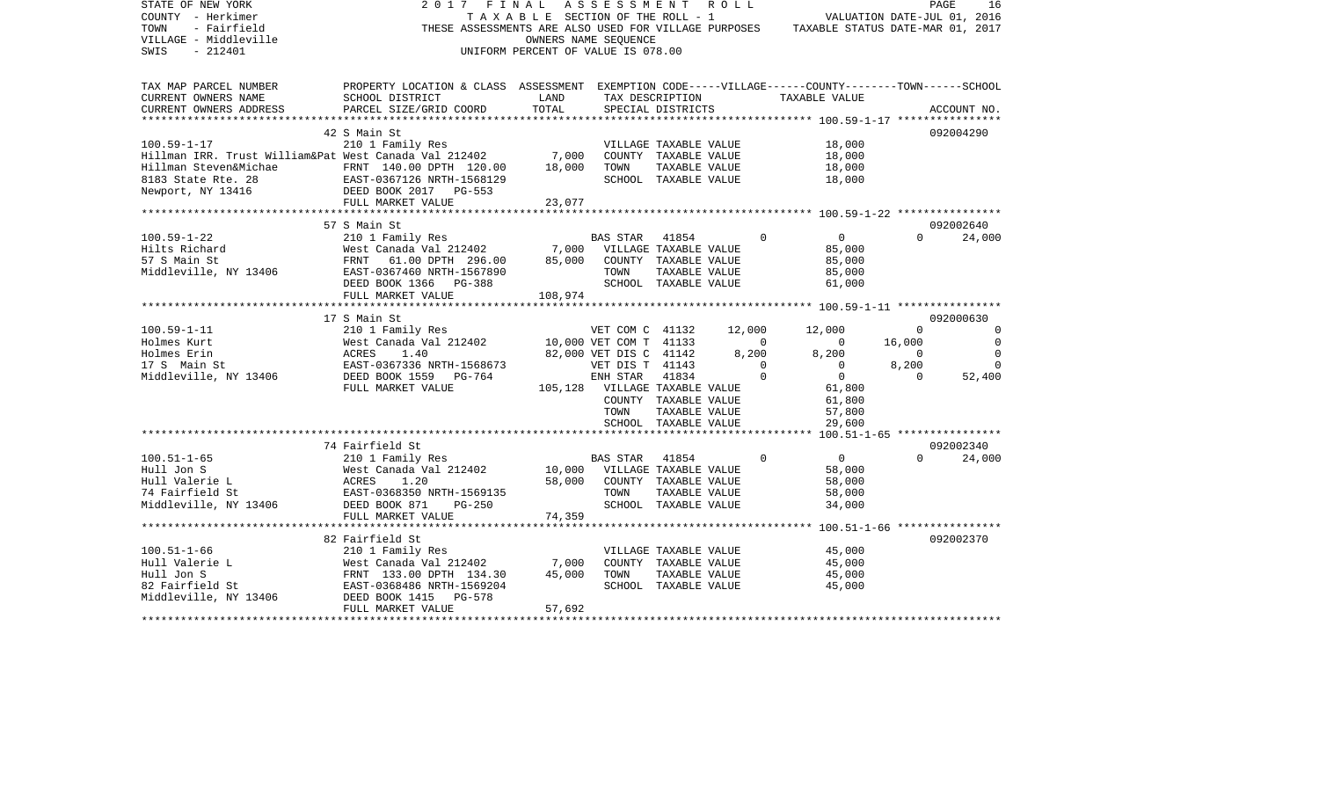| STATE OF NEW YORK<br>COUNTY - Herkimer<br>- Fairfield<br>TOWN<br>VILLAGE - Middleville<br>$-212401$<br>SWIS | 2017<br>FINAL<br>THESE ASSESSMENTS ARE ALSO USED FOR VILLAGE PURPOSES                                                 | TAXABLE SECTION OF THE ROLL - 1<br>UNIFORM PERCENT OF VALUE IS 078.00 | ASSESSMENT<br>OWNERS NAME SEQUENCE |                                               | R O L L |                            | VALUATION DATE-JUL 01, 2016<br>TAXABLE STATUS DATE-MAR 01, 2017 |                   | PAGE<br>16         |
|-------------------------------------------------------------------------------------------------------------|-----------------------------------------------------------------------------------------------------------------------|-----------------------------------------------------------------------|------------------------------------|-----------------------------------------------|---------|----------------------------|-----------------------------------------------------------------|-------------------|--------------------|
| TAX MAP PARCEL NUMBER<br>CURRENT OWNERS NAME                                                                | PROPERTY LOCATION & CLASS ASSESSMENT EXEMPTION CODE-----VILLAGE------COUNTY-------TOWN------SCHOOL<br>SCHOOL DISTRICT | LAND                                                                  |                                    | TAX DESCRIPTION                               |         |                            | TAXABLE VALUE                                                   |                   |                    |
| CURRENT OWNERS ADDRESS                                                                                      | PARCEL SIZE/GRID COORD                                                                                                | TOTAL                                                                 |                                    | SPECIAL DISTRICTS                             |         |                            |                                                                 |                   | ACCOUNT NO.        |
|                                                                                                             |                                                                                                                       |                                                                       |                                    |                                               |         |                            |                                                                 |                   |                    |
|                                                                                                             | 42 S Main St                                                                                                          |                                                                       |                                    |                                               |         |                            |                                                                 |                   | 092004290          |
| $100.59 - 1 - 17$                                                                                           | 210 1 Family Res                                                                                                      |                                                                       |                                    | VILLAGE TAXABLE VALUE                         |         |                            | 18,000                                                          |                   |                    |
| Hillman IRR. Trust William&Pat West Canada Val 212402                                                       |                                                                                                                       | 7,000                                                                 |                                    | COUNTY TAXABLE VALUE                          |         |                            | 18,000                                                          |                   |                    |
| Hillman Steven&Michae FRNT 140.00 DPTH 120.00<br>8183 State Rte. 28                                         |                                                                                                                       | 18,000                                                                | TOWN                               | TAXABLE VALUE<br>SCHOOL TAXABLE VALUE         |         |                            | 18,000<br>18,000                                                |                   |                    |
| Newport, NY 13416                                                                                           | EAST-0367126 NRTH-1568129<br>DEED BOOK 2017 PG-553                                                                    |                                                                       |                                    |                                               |         |                            |                                                                 |                   |                    |
|                                                                                                             | FULL MARKET VALUE                                                                                                     | 23,077                                                                |                                    |                                               |         |                            |                                                                 |                   |                    |
|                                                                                                             |                                                                                                                       |                                                                       |                                    |                                               |         |                            |                                                                 |                   |                    |
|                                                                                                             | 57 S Main St                                                                                                          |                                                                       |                                    |                                               |         |                            |                                                                 |                   | 092002640          |
| $100.59 - 1 - 22$                                                                                           | 210 1 Family Res                                                                                                      |                                                                       | BAS STAR                           | 41854                                         |         | $\Omega$                   | $\overline{0}$                                                  | $\Omega$          | 24,000             |
| Hilts Richard                                                                                               | West Canada Val 212402                                                                                                | 7,000                                                                 |                                    | VILLAGE TAXABLE VALUE                         |         |                            | 85,000                                                          |                   |                    |
| 57 S Main St<br>Middleville, NY 13406                                                                       | FRNT<br>61.00 DPTH 296.00<br>EAST-0367460 NRTH-1567890                                                                | 85,000                                                                | TOWN                               | COUNTY TAXABLE VALUE<br>TAXABLE VALUE         |         |                            | 85,000<br>85,000                                                |                   |                    |
|                                                                                                             | DEED BOOK 1366 PG-388                                                                                                 |                                                                       |                                    | SCHOOL TAXABLE VALUE                          |         |                            | 61,000                                                          |                   |                    |
|                                                                                                             | FULL MARKET VALUE                                                                                                     | 108,974                                                               |                                    |                                               |         |                            |                                                                 |                   |                    |
|                                                                                                             | ***********************                                                                                               |                                                                       |                                    |                                               |         |                            |                                                                 |                   |                    |
|                                                                                                             | 17 S Main St                                                                                                          |                                                                       |                                    |                                               |         |                            |                                                                 |                   | 092000630          |
| $100.59 - 1 - 11$                                                                                           | 210 1 Family Res                                                                                                      |                                                                       | VET COM C 41132                    |                                               | 12,000  |                            | 12,000                                                          | $\Omega$          | $\Omega$           |
| Holmes Kurt                                                                                                 | West Canada Val 212402                                                                                                |                                                                       | 10,000 VET COM T 41133             |                                               |         | $\circ$                    | $\overline{0}$                                                  | 16,000            | $\mathbf 0$        |
| Holmes Erin                                                                                                 | ACRES<br>1.40                                                                                                         |                                                                       | 82,000 VET DIS C 41142             |                                               | 8,200   |                            | 8,200                                                           | $\overline{0}$    | $\Omega$           |
| 17 S Main St<br>Middleville, NY 13406                                                                       | EAST-0367336 NRTH-1568673<br>DEED BOOK 1559<br>PG-764                                                                 |                                                                       | VET DIS T 41143<br>ENH STAR        | 41834                                         |         | $\overline{0}$<br>$\Omega$ | $\overline{0}$<br>$\overline{0}$                                | 8,200<br>$\Omega$ | $\Omega$<br>52,400 |
|                                                                                                             | FULL MARKET VALUE                                                                                                     |                                                                       | 105,128 VILLAGE TAXABLE VALUE      |                                               |         |                            | 61,800                                                          |                   |                    |
|                                                                                                             |                                                                                                                       |                                                                       |                                    | COUNTY TAXABLE VALUE                          |         |                            | 61,800                                                          |                   |                    |
|                                                                                                             |                                                                                                                       |                                                                       | TOWN                               | TAXABLE VALUE                                 |         |                            | 57,800                                                          |                   |                    |
|                                                                                                             |                                                                                                                       |                                                                       |                                    | SCHOOL TAXABLE VALUE                          |         |                            | 29,600                                                          |                   |                    |
|                                                                                                             |                                                                                                                       |                                                                       |                                    |                                               |         |                            |                                                                 |                   |                    |
|                                                                                                             | 74 Fairfield St                                                                                                       |                                                                       |                                    |                                               |         |                            |                                                                 |                   | 092002340          |
| $100.51 - 1 - 65$                                                                                           | 210 1 Family Res                                                                                                      |                                                                       | BAS STAR                           | 41854                                         |         | $\Omega$                   | $\Omega$                                                        | $\cap$            | 24,000             |
| Hull Jon S<br>Hull Valerie L                                                                                | West Canada Val 212402<br>ACRES<br>1.20                                                                               | 10,000<br>58,000                                                      |                                    | VILLAGE TAXABLE VALUE<br>COUNTY TAXABLE VALUE |         |                            | 58,000<br>58,000                                                |                   |                    |
| 74 Fairfield St                                                                                             | EAST-0368350 NRTH-1569135                                                                                             |                                                                       | TOWN                               | TAXABLE VALUE                                 |         |                            | 58,000                                                          |                   |                    |
| Middleville, NY 13406                                                                                       | DEED BOOK 871<br>$PG-250$                                                                                             |                                                                       |                                    | SCHOOL TAXABLE VALUE                          |         |                            | 34,000                                                          |                   |                    |
|                                                                                                             | FULL MARKET VALUE                                                                                                     | 74,359                                                                |                                    |                                               |         |                            |                                                                 |                   |                    |
|                                                                                                             |                                                                                                                       |                                                                       |                                    |                                               |         |                            | ********* 100.51-1-66 *****************                         |                   |                    |
|                                                                                                             | 82 Fairfield St                                                                                                       |                                                                       |                                    |                                               |         |                            |                                                                 |                   | 092002370          |
| $100.51 - 1 - 66$                                                                                           | 210 1 Family Res                                                                                                      |                                                                       |                                    | VILLAGE TAXABLE VALUE                         |         |                            | 45,000                                                          |                   |                    |
| Hull Valerie L                                                                                              | West Canada Val 212402                                                                                                | 7,000                                                                 |                                    | COUNTY TAXABLE VALUE                          |         |                            | 45,000                                                          |                   |                    |
| Hull Jon S                                                                                                  | FRNT 133.00 DPTH 134.30                                                                                               | 45,000                                                                | TOWN                               | TAXABLE VALUE<br>SCHOOL TAXABLE VALUE         |         |                            | 45,000                                                          |                   |                    |
| 82 Fairfield St<br>Middleville, NY 13406                                                                    | EAST-0368486 NRTH-1569204<br>DEED BOOK 1415<br>PG-578                                                                 |                                                                       |                                    |                                               |         |                            | 45,000                                                          |                   |                    |
|                                                                                                             | FULL MARKET VALUE                                                                                                     | 57,692                                                                |                                    |                                               |         |                            |                                                                 |                   |                    |
|                                                                                                             |                                                                                                                       |                                                                       |                                    |                                               |         |                            |                                                                 |                   |                    |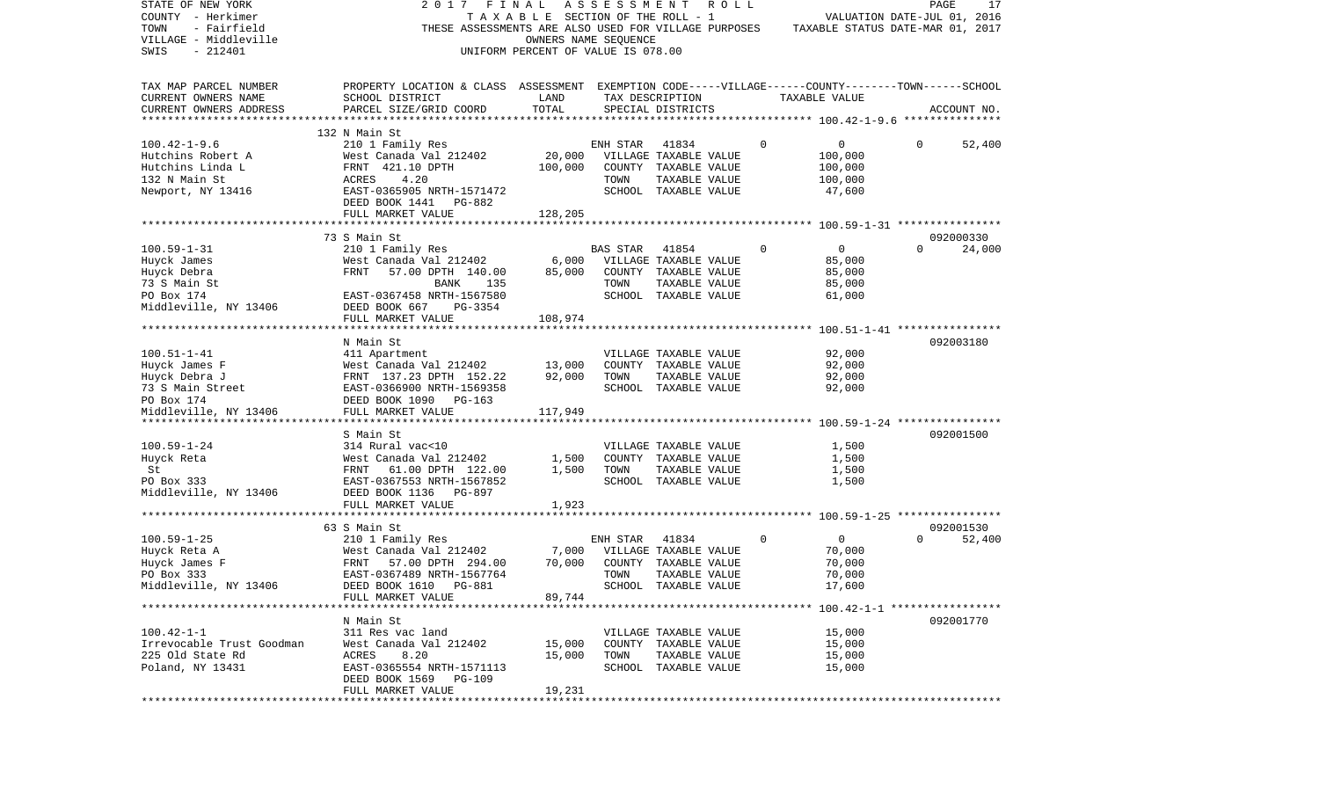| STATE OF NEW YORK                                  | 2017 FINAL                                                                                         |                                    | ASSESSMENT |                       | R O L L |             |                                  | PAGE     | 17          |
|----------------------------------------------------|----------------------------------------------------------------------------------------------------|------------------------------------|------------|-----------------------|---------|-------------|----------------------------------|----------|-------------|
| COUNTY - Herkimer                                  |                                                                                                    | TAXABLE SECTION OF THE ROLL - 1    |            |                       |         |             | VALUATION DATE-JUL 01, 2016      |          |             |
| - Fairfield<br>TOWN                                | THESE ASSESSMENTS ARE ALSO USED FOR VILLAGE PURPOSES                                               |                                    |            |                       |         |             | TAXABLE STATUS DATE-MAR 01, 2017 |          |             |
| VILLAGE - Middleville                              |                                                                                                    | OWNERS NAME SEQUENCE               |            |                       |         |             |                                  |          |             |
| $-212401$<br>SWIS                                  |                                                                                                    | UNIFORM PERCENT OF VALUE IS 078.00 |            |                       |         |             |                                  |          |             |
|                                                    |                                                                                                    |                                    |            |                       |         |             |                                  |          |             |
| TAX MAP PARCEL NUMBER                              | PROPERTY LOCATION & CLASS ASSESSMENT EXEMPTION CODE-----VILLAGE------COUNTY-------TOWN------SCHOOL |                                    |            |                       |         |             |                                  |          |             |
| CURRENT OWNERS NAME                                | SCHOOL DISTRICT                                                                                    | LAND<br>TOTAL                      |            | TAX DESCRIPTION       |         |             | TAXABLE VALUE                    |          |             |
| CURRENT OWNERS ADDRESS<br>************************ | PARCEL SIZE/GRID COORD                                                                             |                                    |            | SPECIAL DISTRICTS     |         |             |                                  |          | ACCOUNT NO. |
|                                                    | 132 N Main St                                                                                      |                                    |            |                       |         |             |                                  |          |             |
| $100.42 - 1 - 9.6$                                 | 210 1 Family Res                                                                                   |                                    | ENH STAR   | 41834                 |         | 0           | 0                                | 0        | 52,400      |
| Hutchins Robert A                                  | West Canada Val 212402                                                                             | 20,000                             |            | VILLAGE TAXABLE VALUE |         |             | 100,000                          |          |             |
| Hutchins Linda L                                   | FRNT 421.10 DPTH                                                                                   | 100,000                            |            | COUNTY TAXABLE VALUE  |         |             | 100,000                          |          |             |
| 132 N Main St                                      | 4.20<br>ACRES                                                                                      |                                    | TOWN       | TAXABLE VALUE         |         |             | 100,000                          |          |             |
| Newport, NY 13416                                  | EAST-0365905 NRTH-1571472                                                                          |                                    |            | SCHOOL TAXABLE VALUE  |         |             | 47,600                           |          |             |
|                                                    | DEED BOOK 1441 PG-882                                                                              |                                    |            |                       |         |             |                                  |          |             |
|                                                    | FULL MARKET VALUE                                                                                  | 128,205                            |            |                       |         |             |                                  |          |             |
|                                                    |                                                                                                    |                                    |            |                       |         |             |                                  |          |             |
|                                                    | 73 S Main St                                                                                       |                                    |            |                       |         |             |                                  |          | 092000330   |
| $100.59 - 1 - 31$                                  | 210 1 Family Res                                                                                   |                                    | BAS STAR   | 41854                 |         | $\Omega$    | $\overline{0}$                   | $\Omega$ | 24,000      |
| Huyck James                                        | West Canada Val 212402                                                                             | 6,000                              |            | VILLAGE TAXABLE VALUE |         |             | 85,000                           |          |             |
| Huyck Debra                                        | FRNT<br>57.00 DPTH 140.00                                                                          | 85,000                             |            | COUNTY TAXABLE VALUE  |         |             | 85,000                           |          |             |
| 73 S Main St                                       | 135<br>BANK                                                                                        |                                    | TOWN       | TAXABLE VALUE         |         |             | 85,000                           |          |             |
| PO Box 174                                         | EAST-0367458 NRTH-1567580                                                                          |                                    |            | SCHOOL TAXABLE VALUE  |         |             | 61,000                           |          |             |
| Middleville, NY 13406                              | DEED BOOK 667<br>PG-3354                                                                           |                                    |            |                       |         |             |                                  |          |             |
|                                                    | FULL MARKET VALUE                                                                                  | 108,974                            |            |                       |         |             |                                  |          |             |
|                                                    |                                                                                                    |                                    |            |                       |         |             |                                  |          |             |
|                                                    | N Main St                                                                                          |                                    |            |                       |         |             |                                  |          | 092003180   |
| $100.51 - 1 - 41$                                  | 411 Apartment                                                                                      |                                    |            | VILLAGE TAXABLE VALUE |         |             | 92,000                           |          |             |
| Huyck James F                                      | West Canada Val 212402                                                                             | 13,000                             |            | COUNTY TAXABLE VALUE  |         |             | 92,000                           |          |             |
| Huyck Debra J                                      | FRNT 137.23 DPTH 152.22                                                                            | 92,000                             | TOWN       | TAXABLE VALUE         |         |             | 92,000                           |          |             |
| 73 S Main Street                                   | EAST-0366900 NRTH-1569358                                                                          |                                    |            | SCHOOL TAXABLE VALUE  |         |             | 92,000                           |          |             |
| PO Box 174                                         |                                                                                                    |                                    |            |                       |         |             |                                  |          |             |
| Middleville, NY 13406                              | DEED BOOK 1090 PG-163<br>FULL MARKET VALUE                                                         | 117,949                            |            |                       |         |             |                                  |          |             |
|                                                    |                                                                                                    |                                    |            |                       |         |             |                                  |          |             |
|                                                    | S Main St                                                                                          |                                    |            |                       |         |             |                                  |          | 092001500   |
| $100.59 - 1 - 24$                                  | 314 Rural vac<10                                                                                   |                                    |            | VILLAGE TAXABLE VALUE |         |             | 1,500                            |          |             |
| Huyck Reta                                         | West Canada Val 212402                                                                             | 1,500                              |            | COUNTY TAXABLE VALUE  |         |             | 1,500                            |          |             |
| St                                                 | FRNT 61.00 DPTH 122.00                                                                             | 1,500                              | TOWN       | TAXABLE VALUE         |         |             | 1,500                            |          |             |
| PO Box 333                                         | EAST-0367553 NRTH-1567852                                                                          |                                    |            | SCHOOL TAXABLE VALUE  |         |             | 1,500                            |          |             |
| Middleville, NY 13406                              | DEED BOOK 1136 PG-897                                                                              |                                    |            |                       |         |             |                                  |          |             |
|                                                    | FULL MARKET VALUE                                                                                  | 1,923                              |            |                       |         |             |                                  |          |             |
|                                                    |                                                                                                    |                                    |            |                       |         |             |                                  |          |             |
|                                                    | 63 S Main St                                                                                       |                                    |            |                       |         |             |                                  |          | 092001530   |
| $100.59 - 1 - 25$                                  | 210 1 Family Res                                                                                   |                                    | ENH STAR   | 41834                 |         | $\mathbf 0$ | $\overline{0}$                   | $\Omega$ | 52,400      |
| Huyck Reta A                                       | West Canada Val 212402                                                                             | 7,000                              |            | VILLAGE TAXABLE VALUE |         |             | 70,000                           |          |             |
| Huyck James F                                      | FRNT<br>57.00 DPTH 294.00                                                                          | 70,000                             |            | COUNTY TAXABLE VALUE  |         |             | 70,000                           |          |             |
| PO Box 333                                         | EAST-0367489 NRTH-1567764                                                                          |                                    | TOWN       | TAXABLE VALUE         |         |             | 70,000                           |          |             |
| Middleville, NY 13406                              | DEED BOOK 1610 PG-881                                                                              |                                    | SCHOOL     | TAXARLE VALUE         |         |             | 17.600                           |          |             |
|                                                    | FULL MARKET VALUE                                                                                  | 89,744                             |            |                       |         |             |                                  |          |             |
|                                                    |                                                                                                    |                                    |            |                       |         |             |                                  |          |             |
|                                                    | N Main St                                                                                          |                                    |            |                       |         |             |                                  |          | 092001770   |
| $100.42 - 1 - 1$                                   | 311 Res vac land                                                                                   |                                    |            | VILLAGE TAXABLE VALUE |         |             | 15,000                           |          |             |
| Irrevocable Trust Goodman                          | West Canada Val 212402                                                                             | 15,000                             |            | COUNTY TAXABLE VALUE  |         |             | 15,000                           |          |             |
| 225 Old State Rd                                   | ACRES<br>8.20                                                                                      | 15,000                             | TOWN       | TAXABLE VALUE         |         |             | 15,000                           |          |             |
| Poland, NY 13431                                   | EAST-0365554 NRTH-1571113                                                                          |                                    |            | SCHOOL TAXABLE VALUE  |         |             | 15,000                           |          |             |
|                                                    | DEED BOOK 1569 PG-109                                                                              |                                    |            |                       |         |             |                                  |          |             |
|                                                    | FULL MARKET VALUE                                                                                  | 19,231                             |            |                       |         |             |                                  |          |             |
|                                                    |                                                                                                    |                                    |            |                       |         |             |                                  |          |             |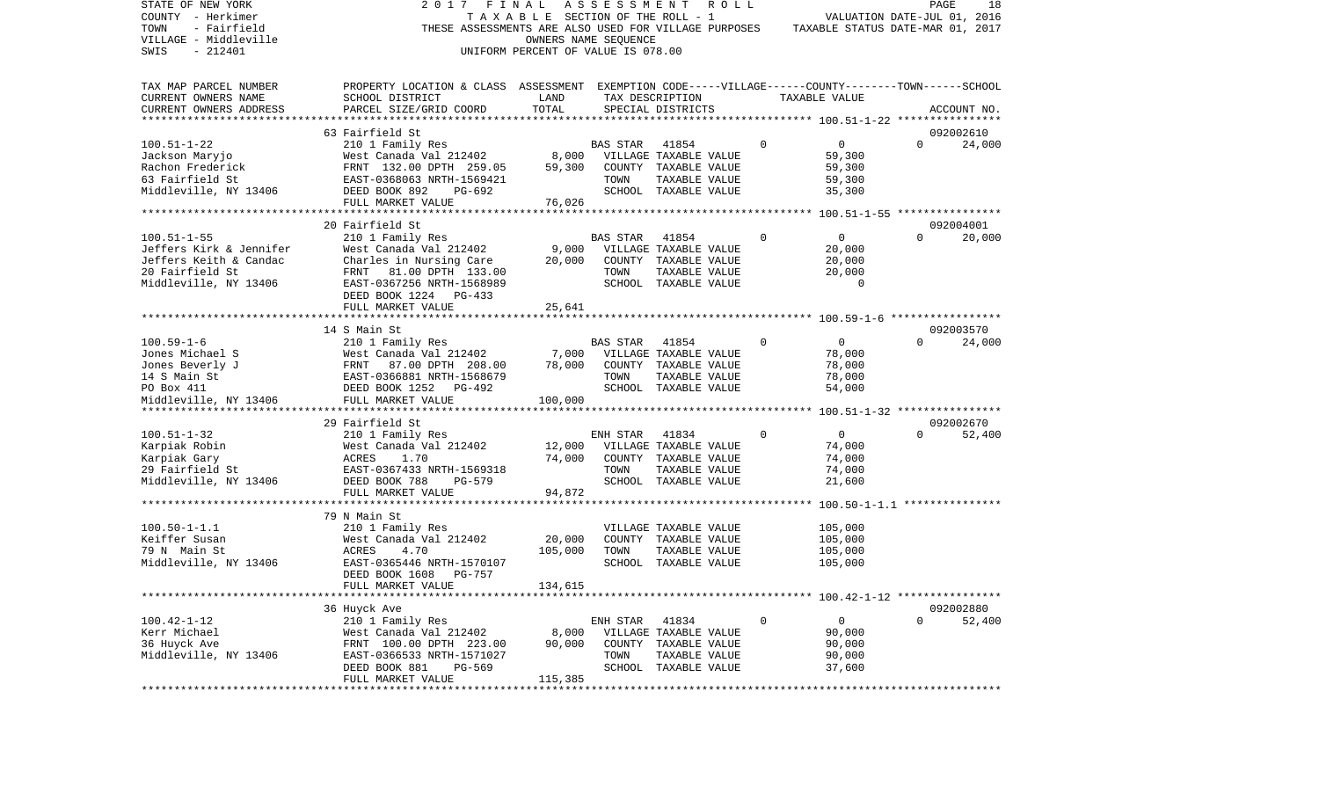| STATE OF NEW YORK<br>COUNTY - Herkimer<br>TOWN<br>- Fairfield<br>VILLAGE - Middleville<br>SWIS<br>$-212401$ | 2017<br>THESE ASSESSMENTS ARE ALSO USED FOR VILLAGE PURPOSES                                       | FINAL<br>TAXABLE SECTION OF THE ROLL - 1<br>OWNERS NAME SEQUENCE<br>UNIFORM PERCENT OF VALUE IS 078.00 |                 | ASSESSMENT ROLL                |              | VALUATION DATE-JUL 01, 2016<br>TAXABLE STATUS DATE-MAR 01, 2017 |             | PAGE<br>18          |
|-------------------------------------------------------------------------------------------------------------|----------------------------------------------------------------------------------------------------|--------------------------------------------------------------------------------------------------------|-----------------|--------------------------------|--------------|-----------------------------------------------------------------|-------------|---------------------|
|                                                                                                             |                                                                                                    |                                                                                                        |                 |                                |              |                                                                 |             |                     |
| TAX MAP PARCEL NUMBER                                                                                       | PROPERTY LOCATION & CLASS ASSESSMENT EXEMPTION CODE-----VILLAGE------COUNTY-------TOWN------SCHOOL |                                                                                                        |                 |                                |              |                                                                 |             |                     |
| CURRENT OWNERS NAME                                                                                         | SCHOOL DISTRICT                                                                                    | LAND                                                                                                   |                 | TAX DESCRIPTION                |              | TAXABLE VALUE                                                   |             |                     |
| CURRENT OWNERS ADDRESS<br>***********************                                                           | PARCEL SIZE/GRID COORD                                                                             | TOTAL                                                                                                  |                 | SPECIAL DISTRICTS              |              |                                                                 |             | ACCOUNT NO.         |
|                                                                                                             |                                                                                                    |                                                                                                        |                 |                                |              |                                                                 |             |                     |
| $100.51 - 1 - 22$                                                                                           | 63 Fairfield St<br>210 1 Family Res                                                                |                                                                                                        | BAS STAR        | 41854                          | $\mathbf 0$  | $\mathbf{0}$                                                    | $\Omega$    | 092002610<br>24,000 |
| Jackson Maryjo                                                                                              | West Canada Val 212402                                                                             |                                                                                                        |                 | 8,000 VILLAGE TAXABLE VALUE    |              | 59,300                                                          |             |                     |
| Rachon Frederick                                                                                            | FRNT 132.00 DPTH 259.05                                                                            | 59,300                                                                                                 |                 | COUNTY TAXABLE VALUE           |              | 59,300                                                          |             |                     |
| 63 Fairfield St                                                                                             | EAST-0368063 NRTH-1569421                                                                          |                                                                                                        | TOWN            | TAXABLE VALUE                  |              | 59,300                                                          |             |                     |
| Middleville, NY 13406                                                                                       | DEED BOOK 892<br>PG-692                                                                            |                                                                                                        |                 | SCHOOL TAXABLE VALUE           |              | 35,300                                                          |             |                     |
|                                                                                                             | FULL MARKET VALUE                                                                                  | 76,026                                                                                                 |                 |                                |              |                                                                 |             |                     |
|                                                                                                             |                                                                                                    |                                                                                                        |                 |                                |              |                                                                 |             |                     |
|                                                                                                             | 20 Fairfield St                                                                                    |                                                                                                        |                 |                                |              |                                                                 |             | 092004001           |
| $100.51 - 1 - 55$                                                                                           | 210 1 Family Res                                                                                   |                                                                                                        | BAS STAR        | 41854                          | 0            | 0                                                               | $\Omega$    | 20,000              |
| Jeffers Kirk & Jennifer                                                                                     | West Canada Val 212402                                                                             | 9,000                                                                                                  |                 | VILLAGE TAXABLE VALUE          |              | 20,000                                                          |             |                     |
| Jeffers Keith & Candac                                                                                      | Charles in Nursing Care                                                                            | 20,000                                                                                                 |                 | COUNTY TAXABLE VALUE           |              | 20,000                                                          |             |                     |
| 20 Fairfield St                                                                                             | FRNT 81.00 DPTH 133.00                                                                             |                                                                                                        | TOWN            | TAXABLE VALUE                  |              | 20,000                                                          |             |                     |
| Middleville, NY 13406                                                                                       | EAST-0367256 NRTH-1568989                                                                          |                                                                                                        |                 | SCHOOL TAXABLE VALUE           |              | $\overline{0}$                                                  |             |                     |
|                                                                                                             | DEED BOOK 1224 PG-433                                                                              |                                                                                                        |                 |                                |              |                                                                 |             |                     |
|                                                                                                             | FULL MARKET VALUE                                                                                  | 25,641                                                                                                 |                 |                                |              |                                                                 |             |                     |
|                                                                                                             |                                                                                                    |                                                                                                        |                 |                                |              |                                                                 |             |                     |
|                                                                                                             | 14 S Main St                                                                                       |                                                                                                        |                 |                                |              |                                                                 |             | 092003570           |
| $100.59 - 1 - 6$                                                                                            | 210 1 Family Res                                                                                   |                                                                                                        | <b>BAS STAR</b> | 41854                          | $\mathbf{0}$ | $\overline{0}$                                                  | $\Omega$    | 24,000              |
| Jones Michael S                                                                                             | West Canada Val 212402                                                                             | 7,000                                                                                                  |                 | VILLAGE TAXABLE VALUE          |              | 78,000                                                          |             |                     |
| Jones Beverly J                                                                                             | FRNT<br>87.00 DPTH 208.00                                                                          | 78,000                                                                                                 |                 | COUNTY TAXABLE VALUE           |              | 78,000                                                          |             |                     |
| 14 S Main St                                                                                                | EAST-0366881 NRTH-1568679                                                                          |                                                                                                        | TOWN            | TAXABLE VALUE                  |              | 78,000                                                          |             |                     |
| PO Box 411                                                                                                  | DEED BOOK 1252 PG-492                                                                              |                                                                                                        |                 | SCHOOL TAXABLE VALUE           |              | 54,000                                                          |             |                     |
| Middleville, NY 13406                                                                                       | FULL MARKET VALUE                                                                                  | 100,000                                                                                                |                 |                                |              |                                                                 |             |                     |
|                                                                                                             |                                                                                                    |                                                                                                        |                 |                                |              |                                                                 |             |                     |
| $100.51 - 1 - 32$                                                                                           | 29 Fairfield St                                                                                    |                                                                                                        |                 |                                | $\Omega$     | $\overline{0}$                                                  | $\Omega$    | 092002670           |
|                                                                                                             | 210 1 Family Res<br>West Canada Val 212402                                                         | 12,000                                                                                                 | ENH STAR        | 41834<br>VILLAGE TAXABLE VALUE |              | 74,000                                                          |             | 52,400              |
| Karpiak Robin<br>Karpiak Gary                                                                               | ACRES<br>1.70                                                                                      | 74,000                                                                                                 |                 | COUNTY TAXABLE VALUE           |              | 74,000                                                          |             |                     |
| 29 Fairfield St                                                                                             | EAST-0367433 NRTH-1569318                                                                          |                                                                                                        | TOWN            | TAXABLE VALUE                  |              | 74,000                                                          |             |                     |
| Middleville, NY 13406                                                                                       | DEED BOOK 788<br>PG-579                                                                            |                                                                                                        |                 | SCHOOL TAXABLE VALUE           |              | 21,600                                                          |             |                     |
|                                                                                                             | FULL MARKET VALUE                                                                                  | 94,872                                                                                                 |                 |                                |              |                                                                 |             |                     |
|                                                                                                             | ************************                                                                           |                                                                                                        |                 |                                |              |                                                                 |             |                     |
|                                                                                                             | 79 N Main St                                                                                       |                                                                                                        |                 |                                |              |                                                                 |             |                     |
| $100.50 - 1 - 1.1$                                                                                          | 210 1 Family Res                                                                                   |                                                                                                        |                 | VILLAGE TAXABLE VALUE          |              | 105,000                                                         |             |                     |
| Keiffer Susan                                                                                               | West Canada Val 212402                                                                             | 20,000                                                                                                 |                 | COUNTY TAXABLE VALUE           |              | 105,000                                                         |             |                     |
| 79 N Main St                                                                                                | ACRES<br>4.70                                                                                      | 105,000                                                                                                | TOWN            | TAXABLE VALUE                  |              | 105,000                                                         |             |                     |
| Middleville, NY 13406                                                                                       | EAST-0365446 NRTH-1570107                                                                          |                                                                                                        |                 | SCHOOL TAXABLE VALUE           |              | 105,000                                                         |             |                     |
|                                                                                                             | PG-757<br>DEED BOOK 1608                                                                           |                                                                                                        |                 |                                |              |                                                                 |             |                     |
|                                                                                                             | FULL MARKET VALUE                                                                                  | 134,615                                                                                                |                 |                                |              |                                                                 |             |                     |
|                                                                                                             |                                                                                                    |                                                                                                        |                 |                                |              |                                                                 |             |                     |
|                                                                                                             | 36 Huyck Ave                                                                                       |                                                                                                        |                 |                                |              |                                                                 |             | 092002880           |
| $100.42 - 1 - 12$                                                                                           | 210 1 Family Res                                                                                   |                                                                                                        | ENH STAR        | 41834                          | $\mathbf{0}$ | $\overline{0}$                                                  | $\mathbf 0$ | 52,400              |
| Kerr Michael                                                                                                | West Canada Val 212402                                                                             | 8,000                                                                                                  |                 | VILLAGE TAXABLE VALUE          |              | 90,000                                                          |             |                     |
| 36 Huyck Ave                                                                                                | FRNT 100.00 DPTH 223.00                                                                            | 90,000                                                                                                 |                 | COUNTY TAXABLE VALUE           |              | 90,000                                                          |             |                     |
| Middleville, NY 13406                                                                                       | EAST-0366533 NRTH-1571027                                                                          |                                                                                                        | TOWN            | TAXABLE VALUE                  |              | 90,000                                                          |             |                     |
|                                                                                                             | DEED BOOK 881<br>PG-569                                                                            |                                                                                                        |                 | SCHOOL TAXABLE VALUE           |              | 37,600                                                          |             |                     |
|                                                                                                             | FULL MARKET VALUE                                                                                  | 115,385                                                                                                |                 |                                |              |                                                                 |             |                     |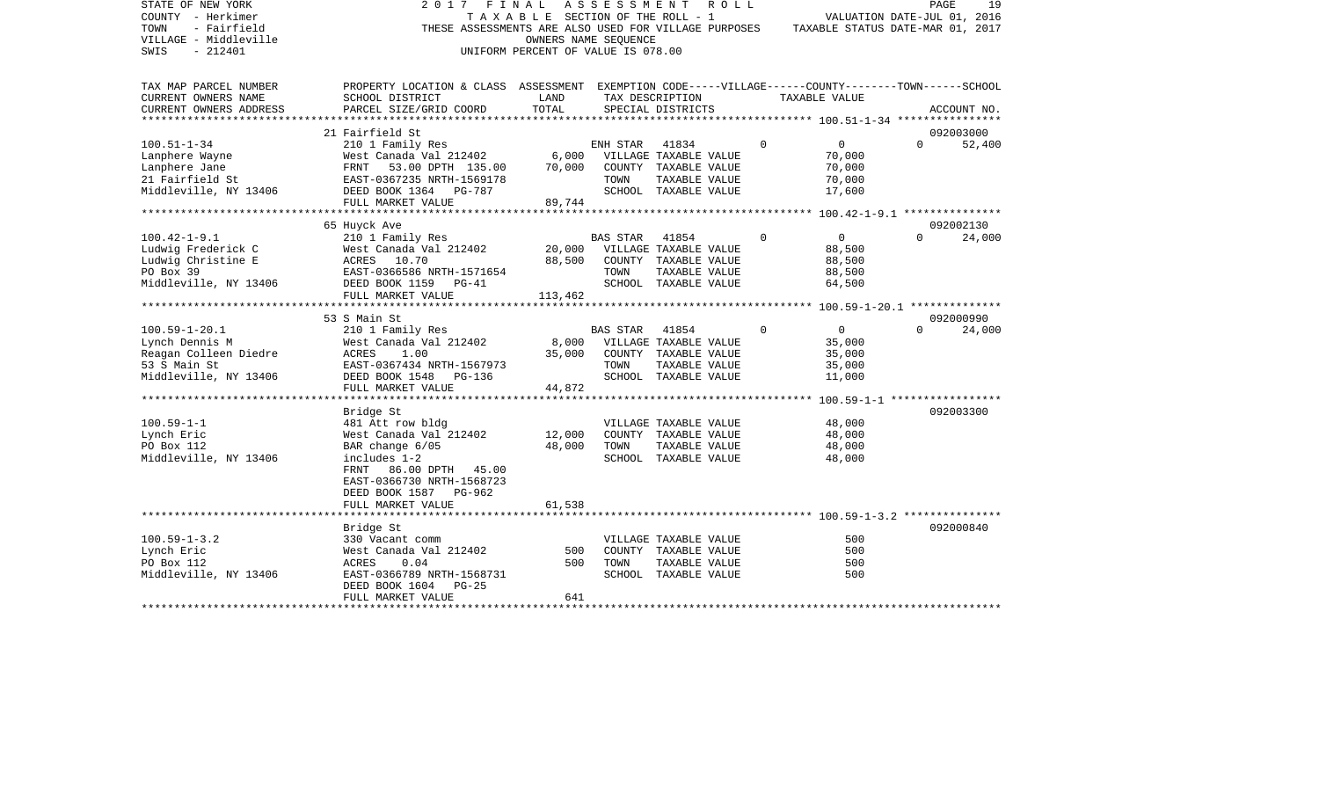| STATE OF NEW YORK      | 2017<br>FINAL                                                                                      |                                       | A S S E S S M E N T | R O L L                     |          |                                                                                       | PAGE                        | 19          |
|------------------------|----------------------------------------------------------------------------------------------------|---------------------------------------|---------------------|-----------------------------|----------|---------------------------------------------------------------------------------------|-----------------------------|-------------|
| COUNTY - Herkimer      |                                                                                                    | T A X A B L E SECTION OF THE ROLL - 1 |                     |                             |          |                                                                                       | VALUATION DATE-JUL 01, 2016 |             |
| TOWN<br>- Fairfield    |                                                                                                    |                                       |                     |                             |          | THESE ASSESSMENTS ARE ALSO USED FOR VILLAGE PURPOSES TAXABLE STATUS DATE-MAR 01, 2017 |                             |             |
| VILLAGE - Middleville  |                                                                                                    | OWNERS NAME SEQUENCE                  |                     |                             |          |                                                                                       |                             |             |
| $-212401$<br>SWIS      |                                                                                                    | UNIFORM PERCENT OF VALUE IS 078.00    |                     |                             |          |                                                                                       |                             |             |
|                        |                                                                                                    |                                       |                     |                             |          |                                                                                       |                             |             |
|                        |                                                                                                    |                                       |                     |                             |          |                                                                                       |                             |             |
| TAX MAP PARCEL NUMBER  | PROPERTY LOCATION & CLASS ASSESSMENT EXEMPTION CODE-----VILLAGE------COUNTY-------TOWN------SCHOOL |                                       |                     |                             |          |                                                                                       |                             |             |
| CURRENT OWNERS NAME    | SCHOOL DISTRICT                                                                                    | LAND                                  |                     | TAX DESCRIPTION             |          | TAXABLE VALUE                                                                         |                             |             |
| CURRENT OWNERS ADDRESS | PARCEL SIZE/GRID COORD                                                                             | TOTAL                                 |                     | SPECIAL DISTRICTS           |          |                                                                                       |                             | ACCOUNT NO. |
|                        |                                                                                                    |                                       |                     |                             |          |                                                                                       |                             |             |
|                        | 21 Fairfield St                                                                                    |                                       |                     |                             |          |                                                                                       |                             | 092003000   |
| $100.51 - 1 - 34$      | 210 1 Family Res                                                                                   |                                       | ENH STAR            | 41834                       | $\Omega$ | $0 \qquad \qquad$                                                                     | $\Omega$                    | 52,400      |
| Lanphere Wayne         | West Canada Val 212402                                                                             |                                       |                     | 6,000 VILLAGE TAXABLE VALUE |          | 70,000                                                                                |                             |             |
| Lanphere Jane          | FRNT 53.00 DPTH 135.00                                                                             | 70,000                                |                     | COUNTY TAXABLE VALUE        |          | 70,000                                                                                |                             |             |
| 21 Fairfield St        | EAST-0367235 NRTH-1569178                                                                          |                                       | TOWN                | TAXABLE VALUE               |          | 70,000                                                                                |                             |             |
| Middleville, NY 13406  | DEED BOOK 1364 PG-787                                                                              |                                       |                     | SCHOOL TAXABLE VALUE        |          | 17,600                                                                                |                             |             |
|                        | FULL MARKET VALUE                                                                                  | 89,744                                |                     |                             |          |                                                                                       |                             |             |
|                        |                                                                                                    |                                       |                     |                             |          |                                                                                       |                             |             |
|                        |                                                                                                    |                                       |                     |                             |          |                                                                                       |                             |             |
|                        | 65 Huyck Ave                                                                                       |                                       |                     |                             | $\Omega$ |                                                                                       | $\Omega$                    | 092002130   |
| $100.42 - 1 - 9.1$     | 210 1 Family Res                                                                                   |                                       | BAS STAR 41854      |                             |          | $\overline{0}$                                                                        |                             | 24,000      |
| Ludwig Frederick C     | West Canada Val 212402                                                                             | 20,000                                |                     | VILLAGE TAXABLE VALUE       |          | 88,500                                                                                |                             |             |
| Ludwig Christine E     | ACRES 10.70                                                                                        | 88,500                                |                     | COUNTY TAXABLE VALUE        |          | 88,500                                                                                |                             |             |
| PO Box 39              | EAST-0366586 NRTH-1571654                                                                          |                                       | TOWN                | TAXABLE VALUE               |          | 88,500                                                                                |                             |             |
| Middleville, NY 13406  | DEED BOOK 1159 PG-41                                                                               |                                       |                     | SCHOOL TAXABLE VALUE        |          | 64,500                                                                                |                             |             |
|                        | FULL MARKET VALUE                                                                                  | 113,462                               |                     |                             |          |                                                                                       |                             |             |
|                        |                                                                                                    |                                       |                     |                             |          |                                                                                       |                             |             |
|                        | 53 S Main St                                                                                       |                                       |                     |                             |          |                                                                                       |                             | 092000990   |
| $100.59 - 1 - 20.1$    | 210 1 Family Res                                                                                   |                                       | BAS STAR            | 41854                       | $\Omega$ | $\overline{0}$                                                                        | $\Omega$                    | 24,000      |
| Lynch Dennis M         | West Canada Val 212402                                                                             | 8,000                                 |                     | VILLAGE TAXABLE VALUE       |          | 35,000                                                                                |                             |             |
| Reagan Colleen Diedre  | ACRES<br>1.00                                                                                      | 35,000                                |                     | COUNTY TAXABLE VALUE        |          | 35,000                                                                                |                             |             |
| 53 S Main St           | EAST-0367434 NRTH-1567973                                                                          |                                       | TOWN                | TAXABLE VALUE               |          | 35,000                                                                                |                             |             |
| Middleville, NY 13406  | DEED BOOK 1548 PG-136                                                                              |                                       |                     | SCHOOL TAXABLE VALUE        |          | 11,000                                                                                |                             |             |
|                        | FULL MARKET VALUE                                                                                  | 44,872                                |                     |                             |          |                                                                                       |                             |             |
|                        |                                                                                                    |                                       |                     |                             |          |                                                                                       |                             |             |
|                        | Bridge St                                                                                          |                                       |                     |                             |          |                                                                                       |                             | 092003300   |
| $100.59 - 1 - 1$       | 481 Att row bldg                                                                                   |                                       |                     | VILLAGE TAXABLE VALUE       |          | 48,000                                                                                |                             |             |
| Lynch Eric             | West Canada Val 212402                                                                             | 12,000                                |                     | COUNTY TAXABLE VALUE        |          | 48,000                                                                                |                             |             |
| PO Box 112             | BAR change 6/05                                                                                    | 48,000                                | TOWN                | TAXABLE VALUE               |          | 48,000                                                                                |                             |             |
| Middleville, NY 13406  | includes 1-2                                                                                       |                                       |                     | SCHOOL TAXABLE VALUE        |          | 48,000                                                                                |                             |             |
|                        | 86.00 DPTH 45.00<br>FRNT                                                                           |                                       |                     |                             |          |                                                                                       |                             |             |
|                        |                                                                                                    |                                       |                     |                             |          |                                                                                       |                             |             |
|                        | EAST-0366730 NRTH-1568723                                                                          |                                       |                     |                             |          |                                                                                       |                             |             |
|                        | DEED BOOK 1587 PG-962                                                                              |                                       |                     |                             |          |                                                                                       |                             |             |
|                        | FULL MARKET VALUE                                                                                  | 61,538                                |                     |                             |          |                                                                                       |                             |             |
|                        |                                                                                                    |                                       |                     |                             |          |                                                                                       |                             |             |
|                        | Bridge St                                                                                          |                                       |                     |                             |          |                                                                                       |                             | 092000840   |
| $100.59 - 1 - 3.2$     | 330 Vacant comm                                                                                    |                                       |                     | VILLAGE TAXABLE VALUE       |          | 500                                                                                   |                             |             |
| Lynch Eric             | West Canada Val 212402                                                                             | 500                                   |                     | COUNTY TAXABLE VALUE        |          | 500                                                                                   |                             |             |
| PO Box 112             | ACRES<br>0.04                                                                                      | 500                                   | TOWN                | TAXABLE VALUE               |          | 500                                                                                   |                             |             |
| Middleville, NY 13406  | EAST-0366789 NRTH-1568731                                                                          |                                       |                     | SCHOOL TAXABLE VALUE        |          | 500                                                                                   |                             |             |
|                        | DEED BOOK 1604<br>$PG-25$                                                                          |                                       |                     |                             |          |                                                                                       |                             |             |
|                        | FULL MARKET VALUE                                                                                  | 641                                   |                     |                             |          |                                                                                       |                             |             |
|                        |                                                                                                    |                                       |                     |                             |          |                                                                                       |                             |             |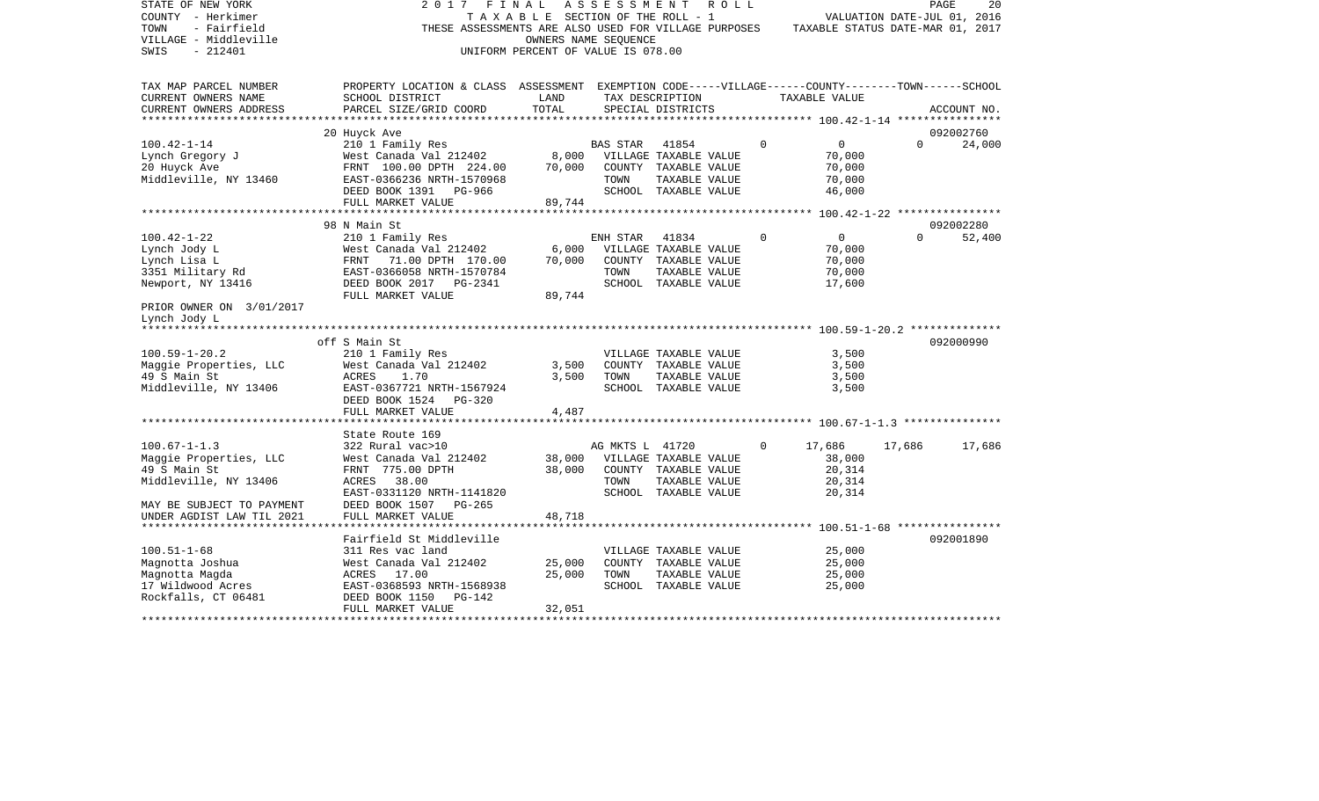| STATE OF NEW YORK<br>COUNTY - Herkimer<br>TOWN<br>- Fairfield<br>VILLAGE - Middleville<br>$-212401$<br>SWIS | 2017<br>THESE ASSESSMENTS ARE ALSO USED FOR VILLAGE PURPOSES                                                          | FINAL<br>TAXABLE SECTION OF THE ROLL - 1<br>UNIFORM PERCENT OF VALUE IS 078.00 | ASSESSMENT<br>OWNERS NAME SEQUENCE |                                               | R O L L     | TAXABLE STATUS DATE-MAR 01, 2017 | VALUATION DATE-JUL 01, 2016 | PAGE<br>20  |
|-------------------------------------------------------------------------------------------------------------|-----------------------------------------------------------------------------------------------------------------------|--------------------------------------------------------------------------------|------------------------------------|-----------------------------------------------|-------------|----------------------------------|-----------------------------|-------------|
| TAX MAP PARCEL NUMBER<br>CURRENT OWNERS NAME                                                                | PROPERTY LOCATION & CLASS ASSESSMENT EXEMPTION CODE-----VILLAGE------COUNTY-------TOWN------SCHOOL<br>SCHOOL DISTRICT | LAND                                                                           |                                    | TAX DESCRIPTION                               |             | TAXABLE VALUE                    |                             |             |
| CURRENT OWNERS ADDRESS                                                                                      | PARCEL SIZE/GRID COORD                                                                                                | TOTAL                                                                          |                                    | SPECIAL DISTRICTS                             |             |                                  |                             | ACCOUNT NO. |
| **********************                                                                                      |                                                                                                                       |                                                                                |                                    |                                               |             |                                  |                             |             |
|                                                                                                             | 20 Huyck Ave                                                                                                          |                                                                                |                                    |                                               |             |                                  |                             | 092002760   |
| $100.42 - 1 - 14$                                                                                           | 210 1 Family Res                                                                                                      |                                                                                | <b>BAS STAR</b>                    | 41854                                         | $\mathbf 0$ | $\overline{0}$                   | $\Omega$                    | 24,000      |
| Lynch Gregory J<br>20 Huyck Ave                                                                             | West Canada Val 212402<br>FRNT 100.00 DPTH 224.00                                                                     | 8,000<br>70,000                                                                |                                    | VILLAGE TAXABLE VALUE<br>COUNTY TAXABLE VALUE |             | 70,000<br>70,000                 |                             |             |
| Middleville, NY 13460                                                                                       | EAST-0366236 NRTH-1570968                                                                                             |                                                                                | TOWN                               | TAXABLE VALUE                                 |             | 70,000                           |                             |             |
|                                                                                                             | DEED BOOK 1391 PG-966                                                                                                 |                                                                                |                                    | SCHOOL TAXABLE VALUE                          |             | 46,000                           |                             |             |
|                                                                                                             | FULL MARKET VALUE                                                                                                     | 89,744                                                                         |                                    |                                               |             |                                  |                             |             |
|                                                                                                             |                                                                                                                       |                                                                                |                                    |                                               |             |                                  |                             |             |
|                                                                                                             | 98 N Main St                                                                                                          |                                                                                |                                    |                                               |             |                                  |                             | 092002280   |
| $100.42 - 1 - 22$                                                                                           | 210 1 Family Res                                                                                                      |                                                                                | ENH STAR                           | 41834                                         | $\Omega$    | $\mathbf{0}$                     | $\Omega$                    | 52,400      |
| Lynch Jody L                                                                                                | West Canada Val 212402                                                                                                | 6,000                                                                          |                                    | VILLAGE TAXABLE VALUE                         |             | 70,000                           |                             |             |
| Lynch Lisa L<br>3351 Military Rd                                                                            | 71.00 DPTH 170.00<br>FRNT<br>EAST-0366058 NRTH-1570784                                                                | 70,000                                                                         | TOWN                               | COUNTY TAXABLE VALUE<br>TAXABLE VALUE         |             | 70,000<br>70,000                 |                             |             |
| Newport, NY 13416                                                                                           | DEED BOOK 2017 PG-2341                                                                                                |                                                                                |                                    | SCHOOL TAXABLE VALUE                          |             | 17,600                           |                             |             |
|                                                                                                             | FULL MARKET VALUE                                                                                                     | 89,744                                                                         |                                    |                                               |             |                                  |                             |             |
| PRIOR OWNER ON 3/01/2017<br>Lynch Jody L                                                                    |                                                                                                                       |                                                                                |                                    |                                               |             |                                  |                             |             |
|                                                                                                             |                                                                                                                       |                                                                                |                                    |                                               |             |                                  |                             |             |
|                                                                                                             | off S Main St                                                                                                         |                                                                                |                                    |                                               |             |                                  |                             | 092000990   |
| $100.59 - 1 - 20.2$                                                                                         | 210 1 Family Res                                                                                                      |                                                                                |                                    | VILLAGE TAXABLE VALUE                         |             | 3,500                            |                             |             |
| Maggie Properties, LLC<br>49 S Main St                                                                      | West Canada Val 212402<br>ACRES<br>1.70                                                                               | 3,500<br>3,500                                                                 | TOWN                               | COUNTY TAXABLE VALUE<br>TAXABLE VALUE         |             | 3,500<br>3,500                   |                             |             |
| Middleville, NY 13406                                                                                       | EAST-0367721 NRTH-1567924                                                                                             |                                                                                |                                    | SCHOOL TAXABLE VALUE                          |             | 3,500                            |                             |             |
|                                                                                                             | DEED BOOK 1524<br>PG-320                                                                                              |                                                                                |                                    |                                               |             |                                  |                             |             |
|                                                                                                             | FULL MARKET VALUE                                                                                                     | 4,487                                                                          |                                    |                                               |             |                                  |                             |             |
|                                                                                                             |                                                                                                                       |                                                                                |                                    |                                               |             |                                  |                             |             |
|                                                                                                             | State Route 169                                                                                                       |                                                                                |                                    |                                               |             |                                  |                             |             |
| $100.67 - 1 - 1.3$                                                                                          | 322 Rural vac>10                                                                                                      | 38,000                                                                         | AG MKTS L 41720                    |                                               | $\Omega$    | 17,686                           | 17,686                      | 17,686      |
| Maggie Properties, LLC<br>49 S Main St                                                                      | West Canada Val 212402<br>FRNT 775.00 DPTH                                                                            | 38,000                                                                         |                                    | VILLAGE TAXABLE VALUE<br>COUNTY TAXABLE VALUE |             | 38,000<br>20,314                 |                             |             |
| Middleville, NY 13406                                                                                       | ACRES<br>38.00                                                                                                        |                                                                                | TOWN                               | TAXABLE VALUE                                 |             | 20,314                           |                             |             |
|                                                                                                             | EAST-0331120 NRTH-1141820                                                                                             |                                                                                |                                    | SCHOOL TAXABLE VALUE                          |             | 20,314                           |                             |             |
| MAY BE SUBJECT TO PAYMENT                                                                                   | DEED BOOK 1507<br>$PG-265$                                                                                            |                                                                                |                                    |                                               |             |                                  |                             |             |
| UNDER AGDIST LAW TIL 2021                                                                                   | FULL MARKET VALUE                                                                                                     | 48,718                                                                         |                                    |                                               |             |                                  |                             |             |
| **********************                                                                                      | ***************                                                                                                       |                                                                                |                                    |                                               |             |                                  |                             |             |
|                                                                                                             | Fairfield St Middleville                                                                                              |                                                                                |                                    |                                               |             |                                  |                             | 092001890   |
| $100.51 - 1 - 68$<br>Magnotta Joshua                                                                        | 311 Res vac land<br>West Canada Val 212402                                                                            | 25,000                                                                         |                                    | VILLAGE TAXABLE VALUE<br>COUNTY TAXABLE VALUE |             | 25,000<br>25,000                 |                             |             |
| Magnotta Magda                                                                                              | ACRES 17.00                                                                                                           | 25,000                                                                         | TOWN                               | TAXABLE VALUE                                 |             | 25,000                           |                             |             |
| 17 Wildwood Acres                                                                                           | EAST-0368593 NRTH-1568938                                                                                             |                                                                                |                                    | SCHOOL TAXABLE VALUE                          |             | 25,000                           |                             |             |
| Rockfalls, CT 06481                                                                                         | DEED BOOK 1150<br>PG-142                                                                                              |                                                                                |                                    |                                               |             |                                  |                             |             |
|                                                                                                             | FULL MARKET VALUE                                                                                                     | 32,051                                                                         |                                    |                                               |             |                                  |                             |             |
|                                                                                                             |                                                                                                                       |                                                                                |                                    |                                               |             |                                  |                             |             |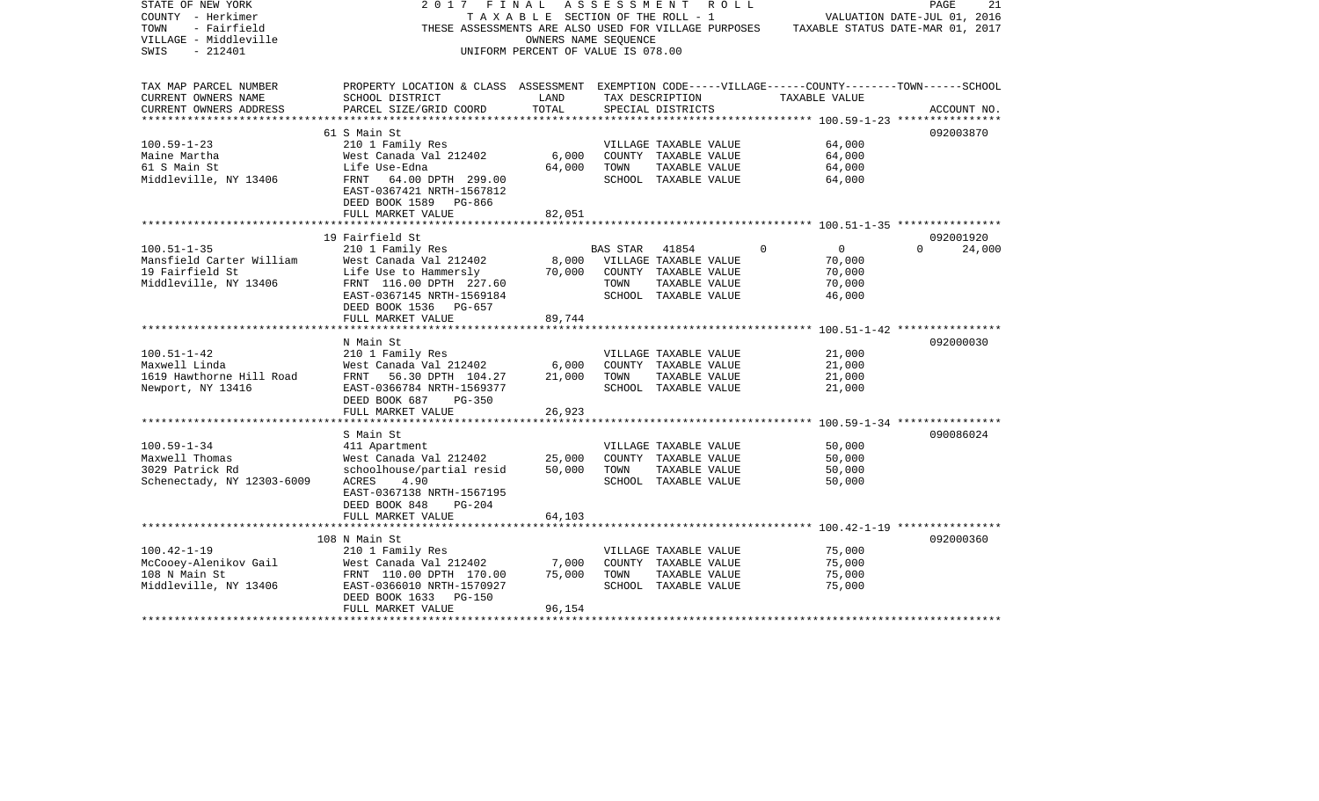| STATE OF NEW YORK<br>COUNTY - Herkimer<br>TOWN<br>- Fairfield<br>VILLAGE - Middleville<br>SWIS<br>$-212401$ | 2017<br>F I N A L                                                                                                                                                                | T A X A B L E SECTION OF THE ROLL - 1<br>OWNERS NAME SEOUENCE<br>UNIFORM PERCENT OF VALUE IS 078.00 | A S S E S S M E N T    |                                                                                        | R O L L  | THESE ASSESSMENTS ARE ALSO USED FOR VILLAGE PURPOSES TAXABLE STATUS DATE-MAR 01, 2017 | PAGE<br>VALUATION DATE-JUL 01, 2016 | 21          |
|-------------------------------------------------------------------------------------------------------------|----------------------------------------------------------------------------------------------------------------------------------------------------------------------------------|-----------------------------------------------------------------------------------------------------|------------------------|----------------------------------------------------------------------------------------|----------|---------------------------------------------------------------------------------------|-------------------------------------|-------------|
| TAX MAP PARCEL NUMBER<br>CURRENT OWNERS NAME<br>CURRENT OWNERS ADDRESS                                      | PROPERTY LOCATION & CLASS ASSESSMENT EXEMPTION CODE-----VILLAGE------COUNTY-------TOWN------SCHOOL<br>SCHOOL DISTRICT<br>PARCEL SIZE/GRID COORD                                  | LAND<br>TOTAL                                                                                       | TAX DESCRIPTION        | SPECIAL DISTRICTS                                                                      |          | TAXABLE VALUE                                                                         |                                     | ACCOUNT NO. |
| **********************                                                                                      |                                                                                                                                                                                  |                                                                                                     |                        |                                                                                        |          |                                                                                       |                                     |             |
| $100.59 - 1 - 23$<br>Maine Martha<br>61 S Main St<br>Middleville, NY 13406                                  | 61 S Main St<br>210 1 Family Res<br>West Canada Val 212402<br>Life Use-Edna<br>FRNT 64.00 DPTH 299.00<br>EAST-0367421 NRTH-1567812<br>DEED BOOK 1589 PG-866<br>FULL MARKET VALUE | 6,000<br>64,000<br>82,051                                                                           | TOWN                   | VILLAGE TAXABLE VALUE<br>COUNTY TAXABLE VALUE<br>TAXABLE VALUE<br>SCHOOL TAXABLE VALUE |          | 64,000<br>64,000<br>64,000<br>64,000                                                  | 092003870                           |             |
|                                                                                                             |                                                                                                                                                                                  |                                                                                                     |                        |                                                                                        |          |                                                                                       |                                     |             |
|                                                                                                             | 19 Fairfield St                                                                                                                                                                  |                                                                                                     |                        |                                                                                        |          |                                                                                       | 092001920                           |             |
| $100.51 - 1 - 35$<br>Mansfield Carter William<br>19 Fairfield St<br>Middleville, NY 13406                   | 210 1 Family Res<br>West Canada Val 212402<br>Life Use to Hammersly<br>FRNT 116.00 DPTH 227.60<br>EAST-0367145 NRTH-1569184<br>DEED BOOK 1536 PG-657                             | 8,000<br>70,000                                                                                     | BAS STAR 41854<br>TOWN | VILLAGE TAXABLE VALUE<br>COUNTY TAXABLE VALUE<br>TAXABLE VALUE<br>SCHOOL TAXABLE VALUE | $\Omega$ | $\overline{0}$<br>70,000<br>70,000<br>70,000<br>46,000                                | $\Omega$                            | 24,000      |
|                                                                                                             | FULL MARKET VALUE                                                                                                                                                                | 89,744                                                                                              |                        |                                                                                        |          |                                                                                       |                                     |             |
|                                                                                                             | N Main St                                                                                                                                                                        |                                                                                                     |                        |                                                                                        |          |                                                                                       | 092000030                           |             |
| $100.51 - 1 - 42$<br>Maxwell Linda<br>1619 Hawthorne Hill Road<br>Newport, NY 13416                         | 210 1 Family Res<br>West Canada Val 212402<br>FRNT 56.30 DPTH 104.27<br>EAST-0366784 NRTH-1569377<br>DEED BOOK 687<br>PG-350                                                     | 6,000<br>21,000                                                                                     | TOWN                   | VILLAGE TAXABLE VALUE<br>COUNTY TAXABLE VALUE<br>TAXABLE VALUE<br>SCHOOL TAXABLE VALUE |          | 21,000<br>21,000<br>21,000<br>21,000                                                  |                                     |             |
|                                                                                                             | FULL MARKET VALUE                                                                                                                                                                | 26,923                                                                                              |                        |                                                                                        |          |                                                                                       |                                     |             |
| $100.59 - 1 - 34$<br>Maxwell Thomas<br>3029 Patrick Rd<br>Schenectady, NY 12303-6009                        | S Main St<br>411 Apartment<br>West Canada Val 212402<br>schoolhouse/partial resid<br>ACRES<br>4.90<br>EAST-0367138 NRTH-1567195<br>DEED BOOK 848<br>$PG-204$                     | 25,000<br>50,000                                                                                    | TOWN                   | VILLAGE TAXABLE VALUE<br>COUNTY TAXABLE VALUE<br>TAXABLE VALUE<br>SCHOOL TAXABLE VALUE |          | 50,000<br>50,000<br>50,000<br>50,000                                                  | 090086024                           |             |
|                                                                                                             | FULL MARKET VALUE                                                                                                                                                                | 64,103                                                                                              |                        |                                                                                        |          |                                                                                       |                                     |             |
| $100.42 - 1 - 19$<br>McCooey-Alenikov Gail<br>108 N Main St<br>Middleville, NY 13406                        | 108 N Main St<br>210 1 Family Res<br>West Canada Val 212402<br>FRNT 110.00 DPTH 170.00<br>EAST-0366010 NRTH-1570927<br>DEED BOOK 1633 PG-150<br>FULL MARKET VALUE                | 7,000<br>75,000<br>96,154                                                                           | TOWN                   | VILLAGE TAXABLE VALUE<br>COUNTY TAXABLE VALUE<br>TAXABLE VALUE<br>SCHOOL TAXABLE VALUE |          | 75,000<br>75,000<br>75,000<br>75,000                                                  | 092000360                           |             |
|                                                                                                             |                                                                                                                                                                                  |                                                                                                     |                        |                                                                                        |          |                                                                                       |                                     |             |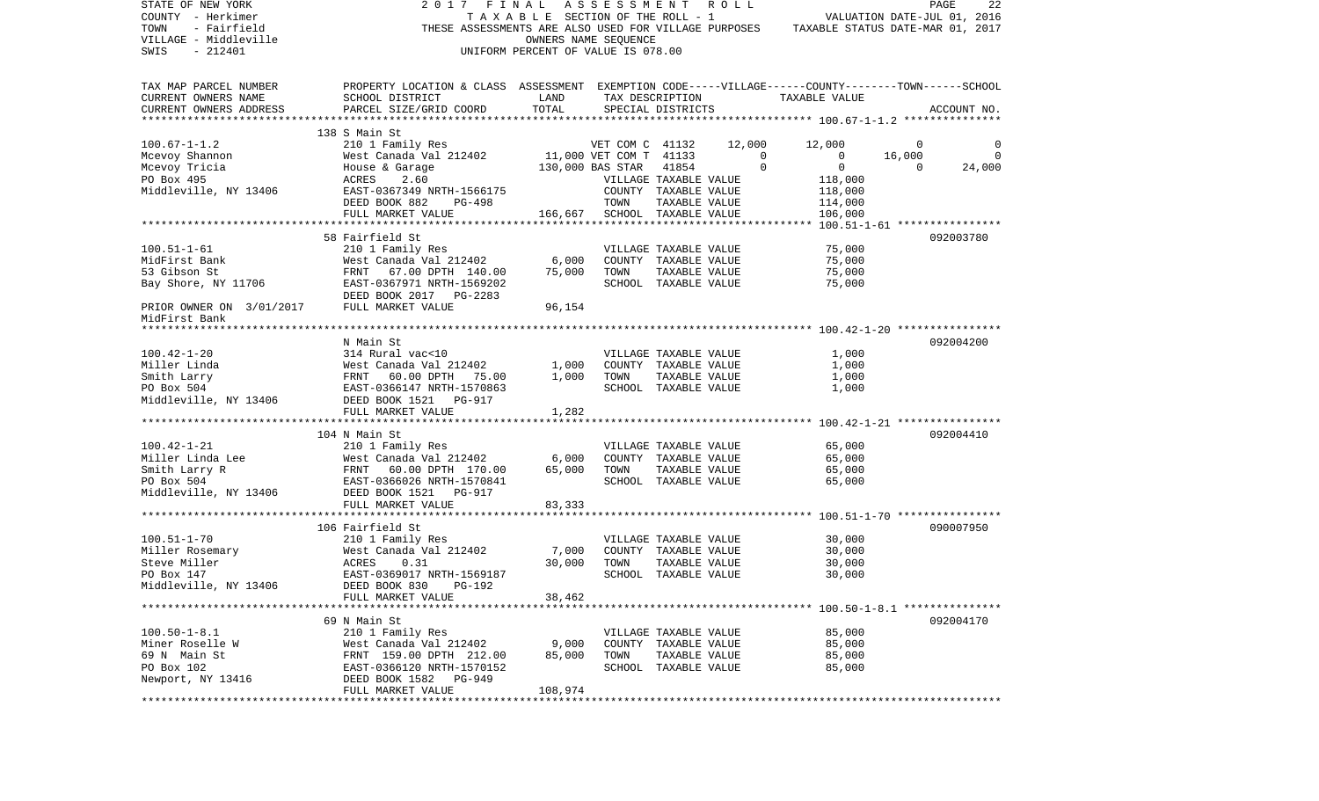| STATE OF NEW YORK                                    | 2017 FINAL ASSESSMENT                                                                              |                                    |                      |                                       | R O L L     |                                  | PAGE     | 22          |
|------------------------------------------------------|----------------------------------------------------------------------------------------------------|------------------------------------|----------------------|---------------------------------------|-------------|----------------------------------|----------|-------------|
| COUNTY - Herkimer                                    |                                                                                                    | TAXABLE SECTION OF THE ROLL - 1    |                      |                                       |             | VALUATION DATE-JUL 01, 2016      |          |             |
| - Fairfield<br>TOWN                                  | THESE ASSESSMENTS ARE ALSO USED FOR VILLAGE PURPOSES                                               |                                    |                      |                                       |             | TAXABLE STATUS DATE-MAR 01, 2017 |          |             |
| VILLAGE - Middleville                                |                                                                                                    |                                    | OWNERS NAME SEQUENCE |                                       |             |                                  |          |             |
| $-212401$<br>SWIS                                    |                                                                                                    | UNIFORM PERCENT OF VALUE IS 078.00 |                      |                                       |             |                                  |          |             |
|                                                      |                                                                                                    |                                    |                      |                                       |             |                                  |          |             |
| TAX MAP PARCEL NUMBER                                | PROPERTY LOCATION & CLASS ASSESSMENT EXEMPTION CODE-----VILLAGE------COUNTY-------TOWN------SCHOOL |                                    |                      |                                       |             |                                  |          |             |
| CURRENT OWNERS NAME                                  | SCHOOL DISTRICT                                                                                    | LAND                               |                      | TAX DESCRIPTION                       |             | TAXABLE VALUE                    |          |             |
| CURRENT OWNERS ADDRESS                               | PARCEL SIZE/GRID COORD                                                                             | TOTAL                              |                      | SPECIAL DISTRICTS                     |             |                                  |          | ACCOUNT NO. |
|                                                      |                                                                                                    |                                    |                      |                                       |             |                                  |          |             |
|                                                      | 138 S Main St                                                                                      |                                    |                      |                                       |             |                                  |          |             |
| $100.67 - 1 - 1.2$                                   | 210 1 Family Res WET COM C 41132<br>West Canada Val 212402 11,000 VET COM T 41133                  |                                    |                      |                                       | 12,000      | 12,000                           | 0        | 0           |
| Mcevoy Shannon                                       |                                                                                                    |                                    |                      |                                       | 0           | $\mathbf{0}$                     | 16,000   | 0           |
| Mcevoy Tricia                                        | House & Garage                                                                                     | 130,000 BAS STAR 41854             |                      |                                       | $\mathbf 0$ | $\overline{0}$                   | $\Omega$ | 24,000      |
| PO Box 495                                           | ACRES<br>2.60                                                                                      |                                    |                      | VILLAGE TAXABLE VALUE                 |             | 118,000                          |          |             |
| Middleville, NY 13406                                | EAST-0367349 NRTH-1566175                                                                          |                                    |                      | COUNTY TAXABLE VALUE                  |             | 118,000                          |          |             |
|                                                      | DEED BOOK 882<br>PG-498                                                                            |                                    | TOWN                 | TAXABLE VALUE                         |             | 114,000                          |          |             |
|                                                      | FULL MARKET VALUE                                                                                  | 166,667 SCHOOL TAXABLE VALUE       |                      |                                       |             | 106,000                          |          |             |
|                                                      |                                                                                                    |                                    |                      |                                       |             |                                  |          |             |
|                                                      | 58 Fairfield St                                                                                    |                                    |                      |                                       |             |                                  |          | 092003780   |
| $100.51 - 1 - 61$                                    | 210 1 Family Res                                                                                   |                                    |                      | VILLAGE TAXABLE VALUE                 |             | 75,000                           |          |             |
| MidFirst Bank                                        | West Canada Val 212402                                                                             | 6,000                              |                      | COUNTY TAXABLE VALUE                  |             | 75,000                           |          |             |
| 53 Gibson St                                         | FRNT 67.00 DPTH 140.00                                                                             | 75,000                             | TOWN                 | TAXABLE VALUE                         |             | 75,000                           |          |             |
| Bay Shore, NY 11706                                  | EAST-0367971 NRTH-1569202                                                                          |                                    |                      | SCHOOL TAXABLE VALUE                  |             | 75,000                           |          |             |
|                                                      | DEED BOOK 2017 PG-2283                                                                             |                                    |                      |                                       |             |                                  |          |             |
| PRIOR OWNER ON 3/01/2017                             | FULL MARKET VALUE                                                                                  | 96,154                             |                      |                                       |             |                                  |          |             |
| MidFirst Bank                                        |                                                                                                    |                                    |                      |                                       |             |                                  |          |             |
|                                                      |                                                                                                    |                                    |                      |                                       |             |                                  |          |             |
|                                                      | N Main St                                                                                          |                                    |                      |                                       |             |                                  |          | 092004200   |
| $100.42 - 1 - 20$                                    | 314 Rural vac<10                                                                                   |                                    |                      | VILLAGE TAXABLE VALUE                 |             | 1,000                            |          |             |
| Miller Linda                                         | West Canada Val 212402                                                                             | 1,000                              |                      | COUNTY TAXABLE VALUE                  |             | 1,000                            |          |             |
| Smith Larry                                          | FRNT 60.00 DPTH 75.00                                                                              | 1,000                              | TOWN                 | TAXABLE VALUE                         |             | 1,000                            |          |             |
| PO Box 504                                           | EAST-0366147 NRTH-1570863                                                                          |                                    |                      | SCHOOL TAXABLE VALUE                  |             | 1,000                            |          |             |
| Middleville, NY 13406                                | DEED BOOK 1521 PG-917                                                                              |                                    |                      |                                       |             |                                  |          |             |
|                                                      | FULL MARKET VALUE                                                                                  | 1,282                              |                      |                                       |             |                                  |          |             |
|                                                      |                                                                                                    |                                    |                      |                                       |             |                                  |          |             |
|                                                      | 104 N Main St                                                                                      |                                    |                      |                                       |             |                                  |          | 092004410   |
| $100.42 - 1 - 21$                                    | 210 1 Family Res                                                                                   |                                    |                      | VILLAGE TAXABLE VALUE                 |             | 65,000                           |          |             |
| Miller Linda Lee                                     | West Canada Val 212402                                                                             | 6,000                              |                      | COUNTY TAXABLE VALUE                  |             | 65,000                           |          |             |
|                                                      | FRNT 60.00 DPTH 170.00                                                                             | 65,000                             | TOWN                 | TAXABLE VALUE                         |             | 65,000                           |          |             |
|                                                      | EAST-0366026 NRTH-1570841                                                                          |                                    |                      | SCHOOL TAXABLE VALUE                  |             | 65,000                           |          |             |
| Smith Larry R<br>PO Box 504<br>Middleville, NY 13406 | DEED BOOK 1521 PG-917                                                                              |                                    |                      |                                       |             |                                  |          |             |
|                                                      | FULL MARKET VALUE                                                                                  | 83,333                             |                      |                                       |             |                                  |          |             |
|                                                      |                                                                                                    |                                    |                      |                                       |             |                                  |          |             |
|                                                      | 106 Fairfield St                                                                                   |                                    |                      |                                       |             |                                  |          | 090007950   |
| $100.51 - 1 - 70$                                    | 210 1 Family Res                                                                                   |                                    |                      | VILLAGE TAXABLE VALUE                 |             | 30,000                           |          |             |
| Miller Rosemary<br>Steve Miller                      | West Canada Val 212402                                                                             | 7,000                              |                      | COUNTY TAXABLE VALUE                  |             | 30,000                           |          |             |
|                                                      | ACRES<br>0.31                                                                                      | 30,000                             | TOWN                 | TAXABLE VALUE                         |             | 30,000                           |          |             |
| PO Box 147                                           | EAST-0369017 NRTH-1569187                                                                          |                                    |                      | SCHOOL TAXABLE VALUE                  |             | 30,000                           |          |             |
| Middleville, NY 13406                                | DEED BOOK 830 PG-192                                                                               |                                    |                      |                                       |             |                                  |          |             |
|                                                      | FULL MARKET VALUE                                                                                  | 38,462                             |                      |                                       |             |                                  |          |             |
|                                                      |                                                                                                    |                                    |                      |                                       |             |                                  |          |             |
|                                                      | 69 N Main St                                                                                       |                                    |                      |                                       |             |                                  |          | 092004170   |
| $100.50 - 1 - 8.1$                                   | 210 1 Family Res                                                                                   |                                    |                      | VILLAGE TAXABLE VALUE                 |             | 85,000                           |          |             |
|                                                      | West Canada Val 212402                                                                             |                                    |                      |                                       |             |                                  |          |             |
| Miner Roselle W<br>69 N Main St                      |                                                                                                    | 9,000                              |                      | COUNTY TAXABLE VALUE<br>TAXABLE VALUE |             | 85,000                           |          |             |
| PO Box 102                                           | FRNT 159.00 DPTH 212.00                                                                            | 85,000                             | TOWN                 | SCHOOL TAXABLE VALUE                  |             | 85,000                           |          |             |
| Newport, NY 13416                                    | EAST-0366120 NRTH-1570152                                                                          |                                    |                      |                                       |             | 85,000                           |          |             |
|                                                      | DEED BOOK 1582 PG-949                                                                              | 108,974                            |                      |                                       |             |                                  |          |             |
|                                                      | FULL MARKET VALUE                                                                                  |                                    |                      |                                       |             |                                  |          |             |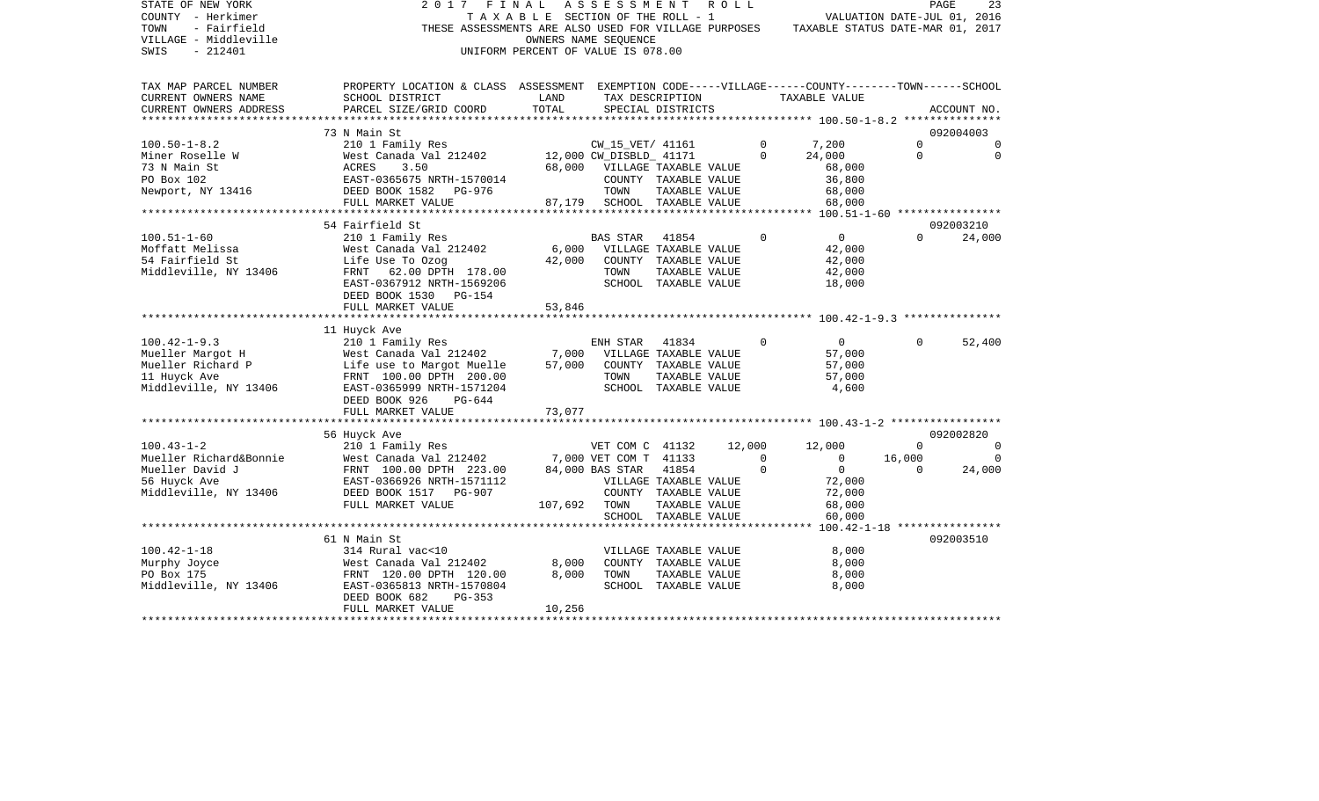| STATE OF NEW YORK<br>COUNTY - Herkimer<br>- Fairfield<br>TOWN<br>VILLAGE - Middleville                                                  | 2017                                                                                               | FINAL<br>TAXABLE SECTION OF THE ROLL - 1 | A S S E S S M E N T<br>OWNERS NAME SEOUENCE |                                      | R O L L |                        | THESE ASSESSMENTS ARE ALSO USED FOR VILLAGE PURPOSES TAXABLE STATUS DATE-MAR 01, 2017 |          | PAGE<br>23<br>VALUATION DATE-JUL 01, 2016 |
|-----------------------------------------------------------------------------------------------------------------------------------------|----------------------------------------------------------------------------------------------------|------------------------------------------|---------------------------------------------|--------------------------------------|---------|------------------------|---------------------------------------------------------------------------------------|----------|-------------------------------------------|
| SWIS<br>$-212401$                                                                                                                       |                                                                                                    | UNIFORM PERCENT OF VALUE IS 078.00       |                                             |                                      |         |                        |                                                                                       |          |                                           |
| TAX MAP PARCEL NUMBER                                                                                                                   | PROPERTY LOCATION & CLASS ASSESSMENT EXEMPTION CODE-----VILLAGE------COUNTY-------TOWN------SCHOOL |                                          |                                             |                                      |         |                        |                                                                                       |          |                                           |
| CURRENT OWNERS NAME<br>CURRENT OWNERS ADDRESS                                                                                           | SCHOOL DISTRICT<br>PARCEL SIZE/GRID COORD                                                          | LAND<br>TOTAL                            |                                             | TAX DESCRIPTION<br>SPECIAL DISTRICTS |         |                        | TAXABLE VALUE                                                                         |          | ACCOUNT NO.                               |
|                                                                                                                                         | 73 N Main St                                                                                       |                                          |                                             |                                      |         |                        |                                                                                       |          | 092004003                                 |
| $100.50 - 1 - 8.2$                                                                                                                      | 210 1 Family Res                                                                                   |                                          | CW_15_VET/ 41161                            |                                      |         | $\overline{0}$         |                                                                                       | $\Omega$ | $\Omega$                                  |
|                                                                                                                                         | West Canada Val 212402 12,000 CW_DISBLD_ 41171                                                     |                                          |                                             |                                      |         | $\Omega$               | $7,200$<br>$24.000$<br>24,000                                                         | $\Omega$ | $\Omega$                                  |
| Miner Roselle W West Canada Val 212402<br>73 N Main St<br>PO Box 102<br>Newport, NY 13416<br>Newport, NY 13416<br>DEED BOOK 1582 PG-976 |                                                                                                    |                                          | 68,000 VILLAGE TAXABLE VALUE                |                                      |         |                        | 68,000                                                                                |          |                                           |
|                                                                                                                                         |                                                                                                    |                                          |                                             | COUNTY TAXABLE VALUE                 |         |                        | 36,800                                                                                |          |                                           |
|                                                                                                                                         |                                                                                                    |                                          | TOWN                                        | TAXABLE VALUE                        |         |                        | 68,000                                                                                |          |                                           |
|                                                                                                                                         | FULL MARKET VALUE                                                                                  | 87,179                                   | SCHOOL TAXABLE VALUE                        |                                      |         |                        | 68,000                                                                                |          |                                           |
|                                                                                                                                         |                                                                                                    |                                          |                                             |                                      |         |                        |                                                                                       |          |                                           |
|                                                                                                                                         | 54 Fairfield St                                                                                    |                                          |                                             |                                      |         |                        |                                                                                       |          | 092003210                                 |
| $100.51 - 1 - 60$                                                                                                                       | 210 1 Family Res                                                                                   |                                          | BAS STAR                                    | 41854                                |         | $\mathbf 0$            | $\overline{0}$                                                                        | $\Omega$ | 24,000                                    |
| Moffatt Melissa                                                                                                                         | West Canada Val 212402                                                                             |                                          | 6,000 VILLAGE TAXABLE VALUE                 |                                      |         |                        | 42,000                                                                                |          |                                           |
| 54 Fairfield St                                                                                                                         | Life Use To Ozog                                                                                   | 42,000                                   | COUNTY TAXABLE VALUE                        |                                      |         |                        | 42,000                                                                                |          |                                           |
| Middleville, NY 13406                                                                                                                   | FRNT 62.00 DPTH 178.00                                                                             |                                          | TOWN                                        | TAXABLE VALUE                        |         |                        | 42,000                                                                                |          |                                           |
|                                                                                                                                         | EAST-0367912 NRTH-1569206<br>DEED BOOK 1530 PG-154                                                 |                                          |                                             | SCHOOL TAXABLE VALUE                 |         |                        | 18,000                                                                                |          |                                           |
|                                                                                                                                         | FULL MARKET VALUE                                                                                  | 53,846                                   |                                             |                                      |         |                        |                                                                                       |          |                                           |
|                                                                                                                                         |                                                                                                    |                                          |                                             |                                      |         |                        |                                                                                       |          |                                           |
|                                                                                                                                         | 11 Huyck Ave                                                                                       |                                          |                                             |                                      |         |                        |                                                                                       |          |                                           |
| $100.42 - 1 - 9.3$                                                                                                                      | 210 1 Family Res                                                                                   |                                          | ENH STAR 41834                              |                                      |         | $\Omega$               | $\overline{0}$                                                                        | $\Omega$ | 52,400                                    |
| Mueller Margot H                                                                                                                        | West Canada Val 212402 7,000                                                                       |                                          | VILLAGE TAXABLE VALUE                       |                                      |         |                        | 57,000                                                                                |          |                                           |
| Mueller Richard P                                                                                                                       | West Canada Val 212402<br>Life use to Margot Muelle                                                | 57,000                                   | COUNTY TAXABLE VALUE                        |                                      |         |                        | 57,000                                                                                |          |                                           |
| 11 Huyck Ave                                                                                                                            | FRNT 100.00 DPTH 200.00                                                                            |                                          | TOWN                                        | TAXABLE VALUE                        |         |                        | 57,000                                                                                |          |                                           |
| Middleville, NY 13406                                                                                                                   | EAST-0365999 NRTH-1571204                                                                          |                                          |                                             | SCHOOL TAXABLE VALUE                 |         |                        | 4,600                                                                                 |          |                                           |
|                                                                                                                                         | DEED BOOK 926<br>PG-644                                                                            |                                          |                                             |                                      |         |                        |                                                                                       |          |                                           |
|                                                                                                                                         | FULL MARKET VALUE                                                                                  | 73,077                                   |                                             |                                      |         |                        |                                                                                       |          |                                           |
|                                                                                                                                         |                                                                                                    |                                          |                                             |                                      |         |                        |                                                                                       |          |                                           |
|                                                                                                                                         | 56 Huyck Ave                                                                                       |                                          |                                             |                                      |         |                        |                                                                                       | $\Omega$ | 092002820                                 |
| $100.43 - 1 - 2$<br>Mueller Richard&Bonnie                                                                                              | 210 1 Family Res<br>West Canada Val 212402                                                         |                                          | VET COM C 41132<br>7,000 VET COM T 41133    |                                      |         | 12,000<br>$\mathbf{0}$ | 12,000<br>$\overline{0}$                                                              | 16,000   | $\Omega$                                  |
| Mueller David J                                                                                                                         | FRNT 100.00 DPTH 223.00                                                                            |                                          | 84,000 BAS STAR                             | 41854                                |         | $\Omega$               | $\overline{0}$                                                                        | $\Omega$ | 24,000                                    |
| 56 Huyck Ave                                                                                                                            | EAST-0366926 NRTH-1571112                                                                          |                                          | VILLAGE TAXABLE VALUE                       |                                      |         |                        | 72,000                                                                                |          |                                           |
| Middleville, NY 13406                                                                                                                   | DEED BOOK 1517 PG-907                                                                              |                                          |                                             | COUNTY TAXABLE VALUE                 |         |                        | 72,000                                                                                |          |                                           |
|                                                                                                                                         | FULL MARKET VALUE                                                                                  | 107,692 TOWN                             |                                             | TAXABLE VALUE                        |         |                        | 68,000                                                                                |          |                                           |
|                                                                                                                                         |                                                                                                    |                                          |                                             | SCHOOL TAXABLE VALUE                 |         |                        | 60,000                                                                                |          |                                           |
|                                                                                                                                         | ********************                                                                               |                                          |                                             |                                      |         |                        | ******* 100.42-1-18 *****************                                                 |          |                                           |
|                                                                                                                                         | 61 N Main St                                                                                       |                                          |                                             |                                      |         |                        |                                                                                       |          | 092003510                                 |
| $100.42 - 1 - 18$                                                                                                                       | 314 Rural vac<10                                                                                   |                                          |                                             | VILLAGE TAXABLE VALUE                |         |                        | 8,000                                                                                 |          |                                           |
| Murphy Joyce                                                                                                                            | West Canada Val 212402                                                                             | 8,000                                    | COUNTY TAXABLE VALUE                        |                                      |         |                        | 8,000                                                                                 |          |                                           |
| PO Box 175                                                                                                                              | FRNT 120.00 DPTH 120.00                                                                            | 8,000                                    | TOWN                                        | TAXABLE VALUE                        |         |                        | 8,000                                                                                 |          |                                           |
| Middleville, NY 13406                                                                                                                   | EAST-0365813 NRTH-1570804                                                                          |                                          |                                             | SCHOOL TAXABLE VALUE                 |         |                        | 8,000                                                                                 |          |                                           |
|                                                                                                                                         |                                                                                                    |                                          |                                             |                                      |         |                        |                                                                                       |          |                                           |
|                                                                                                                                         | DEED BOOK 682<br>PG-353<br>FULL MARKET VALUE                                                       | 10,256                                   |                                             |                                      |         |                        |                                                                                       |          |                                           |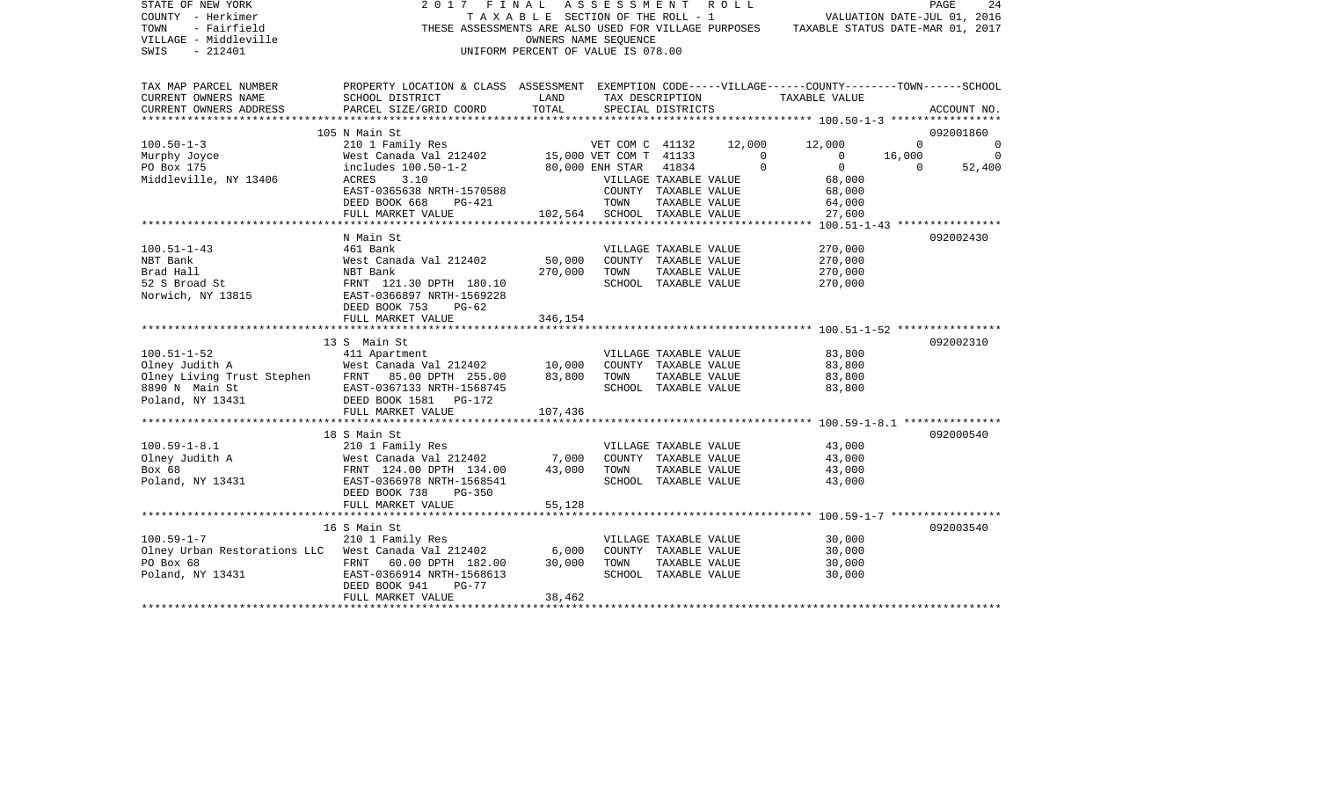| STATE OF NEW YORK<br>COUNTY - Herkimer<br>TOWN<br>- Fairfield<br>VILLAGE - Middleville<br>SWIS<br>$-212401$                                                                         | 2017 FINAL ASSESSMENT ROLL                                                                                            | T A X A B L E SECTION OF THE ROLL - 1<br>OWNERS NAME SEOUENCE<br>UNIFORM PERCENT OF VALUE IS 078.00 |                      |                                |                            | VALUATION DATE-JUL 01, 2016<br>THESE ASSESSMENTS ARE ALSO USED FOR VILLAGE PURPOSES TAXABLE STATUS DATE-MAR 01, 2017 | PAGE               | 24          |
|-------------------------------------------------------------------------------------------------------------------------------------------------------------------------------------|-----------------------------------------------------------------------------------------------------------------------|-----------------------------------------------------------------------------------------------------|----------------------|--------------------------------|----------------------------|----------------------------------------------------------------------------------------------------------------------|--------------------|-------------|
| TAX MAP PARCEL NUMBER<br>CURRENT OWNERS NAME                                                                                                                                        | PROPERTY LOCATION & CLASS ASSESSMENT EXEMPTION CODE-----VILLAGE------COUNTY-------TOWN------SCHOOL<br>SCHOOL DISTRICT | LAND                                                                                                |                      | TAX DESCRIPTION                |                            | TAXABLE VALUE                                                                                                        |                    |             |
| CURRENT OWNERS ADDRESS                                                                                                                                                              | PARCEL SIZE/GRID COORD                                                                                                | TOTAL                                                                                               |                      | SPECIAL DISTRICTS              |                            |                                                                                                                      |                    | ACCOUNT NO. |
|                                                                                                                                                                                     |                                                                                                                       |                                                                                                     |                      |                                |                            |                                                                                                                      |                    |             |
|                                                                                                                                                                                     | 105 N Main St                                                                                                         |                                                                                                     |                      |                                |                            |                                                                                                                      |                    | 092001860   |
| $100.50 - 1 - 3$                                                                                                                                                                    | 210 1 Family Res                                                                                                      |                                                                                                     | VET COM C 41132      |                                |                            | 12,000 12,000                                                                                                        | $\Omega$           | 0           |
| Murphy Joyce                                                                                                                                                                        | West Canada Val 212402 15,000 VET COM T 41133<br>includes 100.50-1-2 80,000 ENH STAR 41834                            |                                                                                                     |                      |                                | $\overline{0}$<br>$\Omega$ | $\overline{0}$<br>$\Omega$                                                                                           | 16,000<br>$\Omega$ | 0           |
| PO Box 175                                                                                                                                                                          | 3.10<br>ACRES                                                                                                         |                                                                                                     |                      | 41834<br>VILLAGE TAXABLE VALUE |                            | 68,000                                                                                                               |                    | 52,400      |
| Middleville, NY 13406                                                                                                                                                               | EAST-0365638 NRTH-1570588                                                                                             |                                                                                                     |                      | COUNTY TAXABLE VALUE           |                            | 68,000                                                                                                               |                    |             |
|                                                                                                                                                                                     | DEED BOOK 668<br>PG-421                                                                                               |                                                                                                     | TOWN                 | TAXABLE VALUE                  |                            | 64,000                                                                                                               |                    |             |
|                                                                                                                                                                                     | FULL MARKET VALUE                                                                                                     | 102,564                                                                                             | SCHOOL TAXABLE VALUE |                                |                            | 27,600                                                                                                               |                    |             |
|                                                                                                                                                                                     |                                                                                                                       |                                                                                                     |                      |                                |                            |                                                                                                                      |                    |             |
|                                                                                                                                                                                     | N Main St                                                                                                             |                                                                                                     |                      |                                |                            |                                                                                                                      |                    | 092002430   |
| $100.51 - 1 - 43$                                                                                                                                                                   | 461 Bank                                                                                                              |                                                                                                     |                      | VILLAGE TAXABLE VALUE          |                            | 270,000                                                                                                              |                    |             |
| NBT Bank                                                                                                                                                                            | West Canada Val 212402                                                                                                | 50,000                                                                                              |                      | COUNTY TAXABLE VALUE           |                            | 270,000                                                                                                              |                    |             |
|                                                                                                                                                                                     |                                                                                                                       | 270,000                                                                                             | TOWN                 | TAXABLE VALUE                  |                            | 270,000                                                                                                              |                    |             |
| NBI Balk<br>Brad Hall<br>52 S Broad St<br>Norwich, NY 13815<br>RAST-0366897 NRTH-1569228<br>RAST-0366897 NRTH-1569228                                                               |                                                                                                                       |                                                                                                     |                      | SCHOOL TAXABLE VALUE           |                            | 270,000                                                                                                              |                    |             |
|                                                                                                                                                                                     |                                                                                                                       |                                                                                                     |                      |                                |                            |                                                                                                                      |                    |             |
|                                                                                                                                                                                     | DEED BOOK 753<br>$PG-62$<br>FULL MARKET VALUE                                                                         | 346,154                                                                                             |                      |                                |                            |                                                                                                                      |                    |             |
|                                                                                                                                                                                     |                                                                                                                       |                                                                                                     |                      |                                |                            |                                                                                                                      |                    |             |
|                                                                                                                                                                                     | 13 S Main St                                                                                                          |                                                                                                     |                      |                                |                            |                                                                                                                      |                    | 092002310   |
| $100.51 - 1 - 52$                                                                                                                                                                   | 411 Apartment                                                                                                         |                                                                                                     |                      | VILLAGE TAXABLE VALUE          |                            | 83,800                                                                                                               |                    |             |
|                                                                                                                                                                                     |                                                                                                                       |                                                                                                     |                      | COUNTY TAXABLE VALUE           |                            | 83,800                                                                                                               |                    |             |
|                                                                                                                                                                                     |                                                                                                                       |                                                                                                     | TOWN                 | TAXABLE VALUE                  |                            | 83,800                                                                                                               |                    |             |
|                                                                                                                                                                                     |                                                                                                                       |                                                                                                     |                      | SCHOOL TAXABLE VALUE           |                            | 83,800                                                                                                               |                    |             |
| 100.51-1-52<br>01 A West Canada Val 212402<br>10,000<br>01 A West Canada Val 212402<br>10,000<br>8890 N Main St EAST-0367133 NRTH-1568745<br>Poland, NY 13431 DEED BOOK 1581 PG-172 |                                                                                                                       |                                                                                                     |                      |                                |                            |                                                                                                                      |                    |             |
|                                                                                                                                                                                     | FULL MARKET VALUE                                                                                                     | 107,436                                                                                             |                      |                                |                            |                                                                                                                      |                    |             |
|                                                                                                                                                                                     |                                                                                                                       |                                                                                                     |                      |                                |                            |                                                                                                                      |                    |             |
| $100.59 - 1 - 8.1$                                                                                                                                                                  | 18 S Main St                                                                                                          |                                                                                                     |                      |                                |                            |                                                                                                                      |                    | 092000540   |
|                                                                                                                                                                                     | 210 1 Family Res                                                                                                      | 7,000                                                                                               |                      | COUNTY TAXABLE VALUE           | VILLAGE TAXABLE VALUE      | 43,000<br>43,000                                                                                                     |                    |             |
|                                                                                                                                                                                     |                                                                                                                       | 43,000                                                                                              | TOWN                 | TAXABLE VALUE                  |                            | 43,000                                                                                                               |                    |             |
|                                                                                                                                                                                     |                                                                                                                       |                                                                                                     |                      | SCHOOL TAXABLE VALUE           |                            | 43,000                                                                                                               |                    |             |
|                                                                                                                                                                                     | DEED BOOK 738<br>PG-350                                                                                               |                                                                                                     |                      |                                |                            |                                                                                                                      |                    |             |
|                                                                                                                                                                                     | FULL MARKET VALUE                                                                                                     | 55,128                                                                                              |                      |                                |                            |                                                                                                                      |                    |             |
|                                                                                                                                                                                     |                                                                                                                       |                                                                                                     |                      |                                |                            |                                                                                                                      |                    |             |
|                                                                                                                                                                                     | 16 S Main St                                                                                                          |                                                                                                     |                      |                                |                            |                                                                                                                      |                    | 092003540   |
| $100.59 - 1 - 7$                                                                                                                                                                    | 210 1 Family Res                                                                                                      |                                                                                                     |                      |                                | VILLAGE TAXABLE VALUE      | 30,000                                                                                                               |                    |             |
| Olney Urban Restorations LLC West Canada Val 212402 6,000                                                                                                                           |                                                                                                                       |                                                                                                     |                      | COUNTY TAXABLE VALUE           |                            | 30,000                                                                                                               |                    |             |
| PO Box 68                                                                                                                                                                           | FRNT 60.00 DPTH 182.00                                                                                                | 30,000                                                                                              | TOWN                 | TAXABLE VALUE                  |                            | 30,000                                                                                                               |                    |             |
| Poland, NY 13431                                                                                                                                                                    | EAST-0366914 NRTH-1568613                                                                                             |                                                                                                     |                      | SCHOOL TAXABLE VALUE           |                            | 30,000                                                                                                               |                    |             |
|                                                                                                                                                                                     | DEED BOOK 941<br>$PG-77$                                                                                              |                                                                                                     |                      |                                |                            |                                                                                                                      |                    |             |
|                                                                                                                                                                                     | FULL MARKET VALUE                                                                                                     | 38,462                                                                                              |                      |                                |                            |                                                                                                                      |                    |             |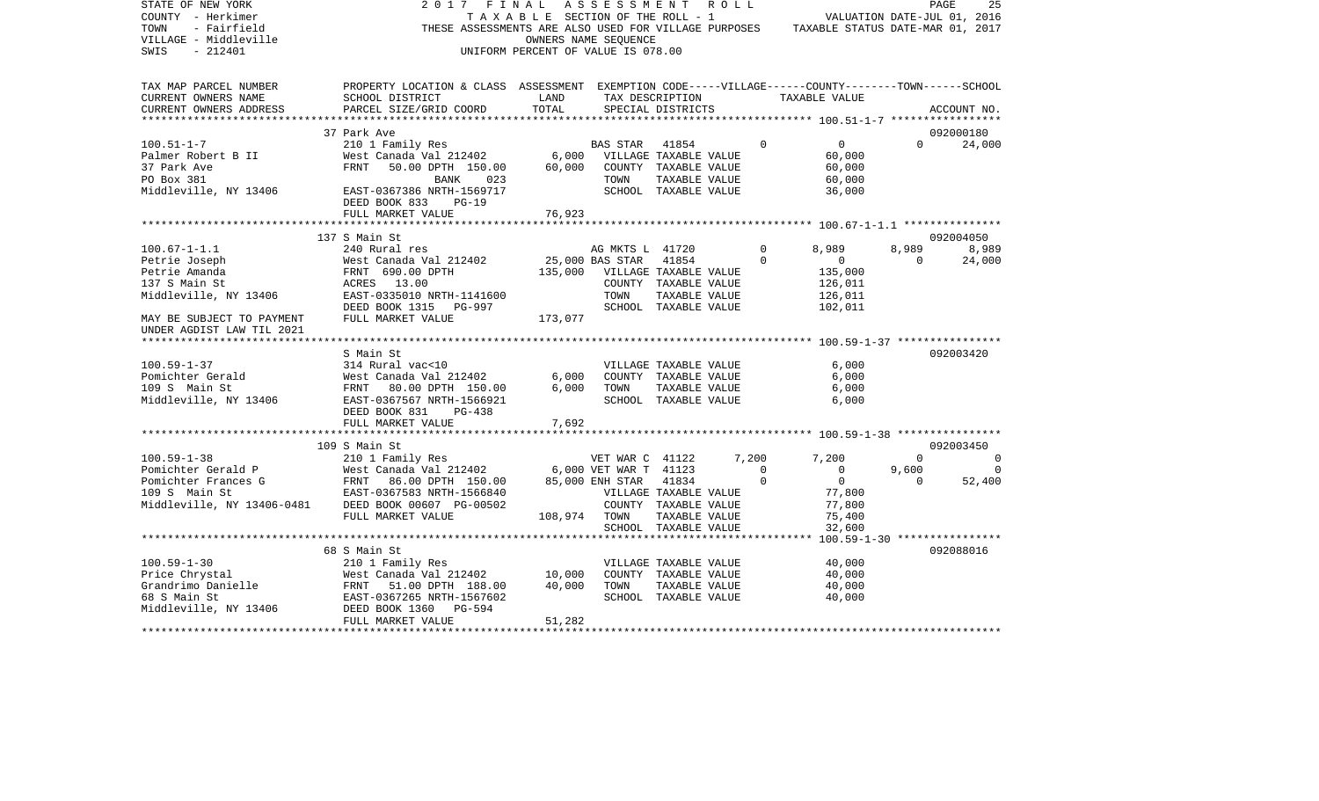| PROPERTY LOCATION & CLASS ASSESSMENT EXEMPTION CODE-----VILLAGE------COUNTY-------TOWN------SCHOOL<br>TAX MAP PARCEL NUMBER<br>CURRENT OWNERS NAME<br>SCHOOL DISTRICT<br><b>LAND</b><br>TAX DESCRIPTION<br>TAXABLE VALUE<br>TOTAL<br>CURRENT OWNERS ADDRESS<br>PARCEL SIZE/GRID COORD<br>SPECIAL DISTRICTS<br>ACCOUNT NO.<br>092000180<br>37 Park Ave<br>EALL AVE<br>210 1 Family Res<br>West Canada Val 212402<br>FRNT 50.00 DPTH 150.00 60,000 COUNTY TAXABLE VALUE<br>FRNT 50.00 DPTH 150.00 60,000 COUNTY TAXABLE VALUE<br>$\overline{0}$<br>$100.51 - 1 - 7$<br>$\Omega$<br>$\Omega$<br>24,000<br>60,000<br>Palmer Robert B II<br>37 Park Ave<br>60,000<br>TAXABLE VALUE<br>PO Box 381<br>BANK<br>023<br>TOWN<br>60,000<br>Middleville, NY 13406<br>EAST-0367386 NRTH-1569717<br>SCHOOL TAXABLE VALUE<br>36,000<br>DEED BOOK 833 PG-19<br>76,923<br>FULL MARKET VALUE<br>137 S Main St<br>092004050<br>$100.67 - 1 - 1.1$<br>240 Rural res<br>8,989<br>8,989<br>8,989<br>AG MKTS L 41720<br>$\overline{0}$<br>25,000 BAS STAR<br>$\Omega$<br>41854<br>$\overline{0}$<br>Petrie Joseph<br>West Canada Val 212402<br>$\overline{0}$<br>24,000<br>135,000 VILLAGE TAXABLE VALUE<br>FRNT 690.00 DPTH<br>135,000<br>Petrie Amanda<br>137 S Main St<br>ACRES 13.00<br>COUNTY TAXABLE VALUE<br>126,011<br>Middleville, NY 13406<br>EAST-0335010 NRTH-1141600<br>TOWN<br>TAXABLE VALUE<br>126,011<br>SCHOOL TAXABLE VALUE<br>DEED BOOK 1315 PG-997<br>102,011<br>173,077<br>FULL MARKET VALUE<br>MAY BE SUBJECT TO PAYMENT<br>UNDER AGDIST LAW TIL 2021<br>S Main St<br>092003420<br>314 Rural vac<10<br>$100.59 - 1 - 37$<br>VILLAGE TAXABLE VALUE<br>6,000<br>314 Rural vac<10<br>West Canada Val 212402<br>FRNT 80.00 DPTH 150.00<br>6,000<br>COUNTY TAXABLE VALUE<br>6,000<br>Pomichter Gerald<br>6,000<br>109 S Main St<br>TOWN TAXABLE VALUE<br>6,000<br>Middleville, NY 13406<br>SCHOOL TAXABLE VALUE<br>6,000<br>EAST-0367567 NRTH-1566921<br>DEED BOOK 831<br>$PG-438$<br>7,692<br>FULL MARKET VALUE<br>092003450<br>109 S Main St<br>210 1 Family Res<br>$100.59 - 1 - 38$<br>$\Omega$<br>VET WAR C 41122 7,200<br>7,200<br>$\Omega$<br>Pomichter Gerald P Mest Canada Val 212402 6,000 VET WAR C 41122<br>Pomichter Frances G FRNT 86.00 DPTH 150.00 85,000 ENH STAR 1123<br>109 S Main St EAST-0367583 NRTH-1566840 VILLAGE TAXABLE<br>Middleville, NY 13406-0481 DEED BOO<br>$\bigcirc$<br>$\overline{0}$<br>9,600<br>$\Omega$<br>$\overline{0}$<br>$\mathbf 0$<br>$\overline{0}$<br>52,400<br>77,800<br>VILLAGE TAXABLE VALUE<br>COUNTY TAXABLE VALUE<br>77,800<br>FULL MARKET VALUE<br>108,974 TOWN<br>TAXABLE VALUE<br>75,400<br>SCHOOL TAXABLE VALUE<br>32,600<br>68 S Main St<br>092088016<br>40,000<br>VILLAGE TAXABLE VALUE<br>COUNTY TAXABLE VALUE<br>40,000<br>TAXABLE VALUE<br>40,000<br>TOWN<br>SCHOOL TAXABLE VALUE<br>40,000 | STATE OF NEW YORK<br>COUNTY - Herkimer<br>TOWN<br>- Fairfield<br>VILLAGE - Middleville<br>$-212401$<br>SWIS | 2017 FINAL ASSESSMENT ROLL<br>THESE ASSESSMENTS ARE ALSO USED FOR VILLAGE PURPOSES TAXABLE STATUS DATE-MAR 01, 2017 | TAXABLE SECTION OF THE ROLL - 1<br>UNIFORM PERCENT OF VALUE IS 078.00 | OWNERS NAME SEQUENCE |  | VALUATION DATE-JUL 01, 2016 | PAGE<br>25 |
|-----------------------------------------------------------------------------------------------------------------------------------------------------------------------------------------------------------------------------------------------------------------------------------------------------------------------------------------------------------------------------------------------------------------------------------------------------------------------------------------------------------------------------------------------------------------------------------------------------------------------------------------------------------------------------------------------------------------------------------------------------------------------------------------------------------------------------------------------------------------------------------------------------------------------------------------------------------------------------------------------------------------------------------------------------------------------------------------------------------------------------------------------------------------------------------------------------------------------------------------------------------------------------------------------------------------------------------------------------------------------------------------------------------------------------------------------------------------------------------------------------------------------------------------------------------------------------------------------------------------------------------------------------------------------------------------------------------------------------------------------------------------------------------------------------------------------------------------------------------------------------------------------------------------------------------------------------------------------------------------------------------------------------------------------------------------------------------------------------------------------------------------------------------------------------------------------------------------------------------------------------------------------------------------------------------------------------------------------------------------------------------------------------------------------------------------------------------------------------------------------------------------------------------------------------------------------------------------------------------------------------------------------------------------------------------------------------------------------------------------------------------------------------------------------------------------------------------------------------|-------------------------------------------------------------------------------------------------------------|---------------------------------------------------------------------------------------------------------------------|-----------------------------------------------------------------------|----------------------|--|-----------------------------|------------|
|                                                                                                                                                                                                                                                                                                                                                                                                                                                                                                                                                                                                                                                                                                                                                                                                                                                                                                                                                                                                                                                                                                                                                                                                                                                                                                                                                                                                                                                                                                                                                                                                                                                                                                                                                                                                                                                                                                                                                                                                                                                                                                                                                                                                                                                                                                                                                                                                                                                                                                                                                                                                                                                                                                                                                                                                                                                     |                                                                                                             |                                                                                                                     |                                                                       |                      |  |                             |            |
|                                                                                                                                                                                                                                                                                                                                                                                                                                                                                                                                                                                                                                                                                                                                                                                                                                                                                                                                                                                                                                                                                                                                                                                                                                                                                                                                                                                                                                                                                                                                                                                                                                                                                                                                                                                                                                                                                                                                                                                                                                                                                                                                                                                                                                                                                                                                                                                                                                                                                                                                                                                                                                                                                                                                                                                                                                                     |                                                                                                             |                                                                                                                     |                                                                       |                      |  |                             |            |
|                                                                                                                                                                                                                                                                                                                                                                                                                                                                                                                                                                                                                                                                                                                                                                                                                                                                                                                                                                                                                                                                                                                                                                                                                                                                                                                                                                                                                                                                                                                                                                                                                                                                                                                                                                                                                                                                                                                                                                                                                                                                                                                                                                                                                                                                                                                                                                                                                                                                                                                                                                                                                                                                                                                                                                                                                                                     |                                                                                                             |                                                                                                                     |                                                                       |                      |  |                             |            |
|                                                                                                                                                                                                                                                                                                                                                                                                                                                                                                                                                                                                                                                                                                                                                                                                                                                                                                                                                                                                                                                                                                                                                                                                                                                                                                                                                                                                                                                                                                                                                                                                                                                                                                                                                                                                                                                                                                                                                                                                                                                                                                                                                                                                                                                                                                                                                                                                                                                                                                                                                                                                                                                                                                                                                                                                                                                     |                                                                                                             |                                                                                                                     |                                                                       |                      |  |                             |            |
|                                                                                                                                                                                                                                                                                                                                                                                                                                                                                                                                                                                                                                                                                                                                                                                                                                                                                                                                                                                                                                                                                                                                                                                                                                                                                                                                                                                                                                                                                                                                                                                                                                                                                                                                                                                                                                                                                                                                                                                                                                                                                                                                                                                                                                                                                                                                                                                                                                                                                                                                                                                                                                                                                                                                                                                                                                                     |                                                                                                             |                                                                                                                     |                                                                       |                      |  |                             |            |
|                                                                                                                                                                                                                                                                                                                                                                                                                                                                                                                                                                                                                                                                                                                                                                                                                                                                                                                                                                                                                                                                                                                                                                                                                                                                                                                                                                                                                                                                                                                                                                                                                                                                                                                                                                                                                                                                                                                                                                                                                                                                                                                                                                                                                                                                                                                                                                                                                                                                                                                                                                                                                                                                                                                                                                                                                                                     |                                                                                                             |                                                                                                                     |                                                                       |                      |  |                             |            |
|                                                                                                                                                                                                                                                                                                                                                                                                                                                                                                                                                                                                                                                                                                                                                                                                                                                                                                                                                                                                                                                                                                                                                                                                                                                                                                                                                                                                                                                                                                                                                                                                                                                                                                                                                                                                                                                                                                                                                                                                                                                                                                                                                                                                                                                                                                                                                                                                                                                                                                                                                                                                                                                                                                                                                                                                                                                     |                                                                                                             |                                                                                                                     |                                                                       |                      |  |                             |            |
|                                                                                                                                                                                                                                                                                                                                                                                                                                                                                                                                                                                                                                                                                                                                                                                                                                                                                                                                                                                                                                                                                                                                                                                                                                                                                                                                                                                                                                                                                                                                                                                                                                                                                                                                                                                                                                                                                                                                                                                                                                                                                                                                                                                                                                                                                                                                                                                                                                                                                                                                                                                                                                                                                                                                                                                                                                                     |                                                                                                             |                                                                                                                     |                                                                       |                      |  |                             |            |
|                                                                                                                                                                                                                                                                                                                                                                                                                                                                                                                                                                                                                                                                                                                                                                                                                                                                                                                                                                                                                                                                                                                                                                                                                                                                                                                                                                                                                                                                                                                                                                                                                                                                                                                                                                                                                                                                                                                                                                                                                                                                                                                                                                                                                                                                                                                                                                                                                                                                                                                                                                                                                                                                                                                                                                                                                                                     |                                                                                                             |                                                                                                                     |                                                                       |                      |  |                             |            |
|                                                                                                                                                                                                                                                                                                                                                                                                                                                                                                                                                                                                                                                                                                                                                                                                                                                                                                                                                                                                                                                                                                                                                                                                                                                                                                                                                                                                                                                                                                                                                                                                                                                                                                                                                                                                                                                                                                                                                                                                                                                                                                                                                                                                                                                                                                                                                                                                                                                                                                                                                                                                                                                                                                                                                                                                                                                     |                                                                                                             |                                                                                                                     |                                                                       |                      |  |                             |            |
|                                                                                                                                                                                                                                                                                                                                                                                                                                                                                                                                                                                                                                                                                                                                                                                                                                                                                                                                                                                                                                                                                                                                                                                                                                                                                                                                                                                                                                                                                                                                                                                                                                                                                                                                                                                                                                                                                                                                                                                                                                                                                                                                                                                                                                                                                                                                                                                                                                                                                                                                                                                                                                                                                                                                                                                                                                                     |                                                                                                             |                                                                                                                     |                                                                       |                      |  |                             |            |
|                                                                                                                                                                                                                                                                                                                                                                                                                                                                                                                                                                                                                                                                                                                                                                                                                                                                                                                                                                                                                                                                                                                                                                                                                                                                                                                                                                                                                                                                                                                                                                                                                                                                                                                                                                                                                                                                                                                                                                                                                                                                                                                                                                                                                                                                                                                                                                                                                                                                                                                                                                                                                                                                                                                                                                                                                                                     |                                                                                                             |                                                                                                                     |                                                                       |                      |  |                             |            |
|                                                                                                                                                                                                                                                                                                                                                                                                                                                                                                                                                                                                                                                                                                                                                                                                                                                                                                                                                                                                                                                                                                                                                                                                                                                                                                                                                                                                                                                                                                                                                                                                                                                                                                                                                                                                                                                                                                                                                                                                                                                                                                                                                                                                                                                                                                                                                                                                                                                                                                                                                                                                                                                                                                                                                                                                                                                     |                                                                                                             |                                                                                                                     |                                                                       |                      |  |                             |            |
|                                                                                                                                                                                                                                                                                                                                                                                                                                                                                                                                                                                                                                                                                                                                                                                                                                                                                                                                                                                                                                                                                                                                                                                                                                                                                                                                                                                                                                                                                                                                                                                                                                                                                                                                                                                                                                                                                                                                                                                                                                                                                                                                                                                                                                                                                                                                                                                                                                                                                                                                                                                                                                                                                                                                                                                                                                                     |                                                                                                             |                                                                                                                     |                                                                       |                      |  |                             |            |
|                                                                                                                                                                                                                                                                                                                                                                                                                                                                                                                                                                                                                                                                                                                                                                                                                                                                                                                                                                                                                                                                                                                                                                                                                                                                                                                                                                                                                                                                                                                                                                                                                                                                                                                                                                                                                                                                                                                                                                                                                                                                                                                                                                                                                                                                                                                                                                                                                                                                                                                                                                                                                                                                                                                                                                                                                                                     |                                                                                                             |                                                                                                                     |                                                                       |                      |  |                             |            |
|                                                                                                                                                                                                                                                                                                                                                                                                                                                                                                                                                                                                                                                                                                                                                                                                                                                                                                                                                                                                                                                                                                                                                                                                                                                                                                                                                                                                                                                                                                                                                                                                                                                                                                                                                                                                                                                                                                                                                                                                                                                                                                                                                                                                                                                                                                                                                                                                                                                                                                                                                                                                                                                                                                                                                                                                                                                     |                                                                                                             |                                                                                                                     |                                                                       |                      |  |                             |            |
|                                                                                                                                                                                                                                                                                                                                                                                                                                                                                                                                                                                                                                                                                                                                                                                                                                                                                                                                                                                                                                                                                                                                                                                                                                                                                                                                                                                                                                                                                                                                                                                                                                                                                                                                                                                                                                                                                                                                                                                                                                                                                                                                                                                                                                                                                                                                                                                                                                                                                                                                                                                                                                                                                                                                                                                                                                                     |                                                                                                             |                                                                                                                     |                                                                       |                      |  |                             |            |
|                                                                                                                                                                                                                                                                                                                                                                                                                                                                                                                                                                                                                                                                                                                                                                                                                                                                                                                                                                                                                                                                                                                                                                                                                                                                                                                                                                                                                                                                                                                                                                                                                                                                                                                                                                                                                                                                                                                                                                                                                                                                                                                                                                                                                                                                                                                                                                                                                                                                                                                                                                                                                                                                                                                                                                                                                                                     |                                                                                                             |                                                                                                                     |                                                                       |                      |  |                             |            |
|                                                                                                                                                                                                                                                                                                                                                                                                                                                                                                                                                                                                                                                                                                                                                                                                                                                                                                                                                                                                                                                                                                                                                                                                                                                                                                                                                                                                                                                                                                                                                                                                                                                                                                                                                                                                                                                                                                                                                                                                                                                                                                                                                                                                                                                                                                                                                                                                                                                                                                                                                                                                                                                                                                                                                                                                                                                     |                                                                                                             |                                                                                                                     |                                                                       |                      |  |                             |            |
|                                                                                                                                                                                                                                                                                                                                                                                                                                                                                                                                                                                                                                                                                                                                                                                                                                                                                                                                                                                                                                                                                                                                                                                                                                                                                                                                                                                                                                                                                                                                                                                                                                                                                                                                                                                                                                                                                                                                                                                                                                                                                                                                                                                                                                                                                                                                                                                                                                                                                                                                                                                                                                                                                                                                                                                                                                                     |                                                                                                             |                                                                                                                     |                                                                       |                      |  |                             |            |
|                                                                                                                                                                                                                                                                                                                                                                                                                                                                                                                                                                                                                                                                                                                                                                                                                                                                                                                                                                                                                                                                                                                                                                                                                                                                                                                                                                                                                                                                                                                                                                                                                                                                                                                                                                                                                                                                                                                                                                                                                                                                                                                                                                                                                                                                                                                                                                                                                                                                                                                                                                                                                                                                                                                                                                                                                                                     |                                                                                                             |                                                                                                                     |                                                                       |                      |  |                             |            |
|                                                                                                                                                                                                                                                                                                                                                                                                                                                                                                                                                                                                                                                                                                                                                                                                                                                                                                                                                                                                                                                                                                                                                                                                                                                                                                                                                                                                                                                                                                                                                                                                                                                                                                                                                                                                                                                                                                                                                                                                                                                                                                                                                                                                                                                                                                                                                                                                                                                                                                                                                                                                                                                                                                                                                                                                                                                     |                                                                                                             |                                                                                                                     |                                                                       |                      |  |                             |            |
|                                                                                                                                                                                                                                                                                                                                                                                                                                                                                                                                                                                                                                                                                                                                                                                                                                                                                                                                                                                                                                                                                                                                                                                                                                                                                                                                                                                                                                                                                                                                                                                                                                                                                                                                                                                                                                                                                                                                                                                                                                                                                                                                                                                                                                                                                                                                                                                                                                                                                                                                                                                                                                                                                                                                                                                                                                                     |                                                                                                             |                                                                                                                     |                                                                       |                      |  |                             |            |
|                                                                                                                                                                                                                                                                                                                                                                                                                                                                                                                                                                                                                                                                                                                                                                                                                                                                                                                                                                                                                                                                                                                                                                                                                                                                                                                                                                                                                                                                                                                                                                                                                                                                                                                                                                                                                                                                                                                                                                                                                                                                                                                                                                                                                                                                                                                                                                                                                                                                                                                                                                                                                                                                                                                                                                                                                                                     |                                                                                                             |                                                                                                                     |                                                                       |                      |  |                             |            |
|                                                                                                                                                                                                                                                                                                                                                                                                                                                                                                                                                                                                                                                                                                                                                                                                                                                                                                                                                                                                                                                                                                                                                                                                                                                                                                                                                                                                                                                                                                                                                                                                                                                                                                                                                                                                                                                                                                                                                                                                                                                                                                                                                                                                                                                                                                                                                                                                                                                                                                                                                                                                                                                                                                                                                                                                                                                     |                                                                                                             |                                                                                                                     |                                                                       |                      |  |                             |            |
|                                                                                                                                                                                                                                                                                                                                                                                                                                                                                                                                                                                                                                                                                                                                                                                                                                                                                                                                                                                                                                                                                                                                                                                                                                                                                                                                                                                                                                                                                                                                                                                                                                                                                                                                                                                                                                                                                                                                                                                                                                                                                                                                                                                                                                                                                                                                                                                                                                                                                                                                                                                                                                                                                                                                                                                                                                                     |                                                                                                             |                                                                                                                     |                                                                       |                      |  |                             |            |
|                                                                                                                                                                                                                                                                                                                                                                                                                                                                                                                                                                                                                                                                                                                                                                                                                                                                                                                                                                                                                                                                                                                                                                                                                                                                                                                                                                                                                                                                                                                                                                                                                                                                                                                                                                                                                                                                                                                                                                                                                                                                                                                                                                                                                                                                                                                                                                                                                                                                                                                                                                                                                                                                                                                                                                                                                                                     |                                                                                                             |                                                                                                                     |                                                                       |                      |  |                             |            |
|                                                                                                                                                                                                                                                                                                                                                                                                                                                                                                                                                                                                                                                                                                                                                                                                                                                                                                                                                                                                                                                                                                                                                                                                                                                                                                                                                                                                                                                                                                                                                                                                                                                                                                                                                                                                                                                                                                                                                                                                                                                                                                                                                                                                                                                                                                                                                                                                                                                                                                                                                                                                                                                                                                                                                                                                                                                     |                                                                                                             |                                                                                                                     |                                                                       |                      |  |                             |            |
|                                                                                                                                                                                                                                                                                                                                                                                                                                                                                                                                                                                                                                                                                                                                                                                                                                                                                                                                                                                                                                                                                                                                                                                                                                                                                                                                                                                                                                                                                                                                                                                                                                                                                                                                                                                                                                                                                                                                                                                                                                                                                                                                                                                                                                                                                                                                                                                                                                                                                                                                                                                                                                                                                                                                                                                                                                                     |                                                                                                             |                                                                                                                     |                                                                       |                      |  |                             |            |
|                                                                                                                                                                                                                                                                                                                                                                                                                                                                                                                                                                                                                                                                                                                                                                                                                                                                                                                                                                                                                                                                                                                                                                                                                                                                                                                                                                                                                                                                                                                                                                                                                                                                                                                                                                                                                                                                                                                                                                                                                                                                                                                                                                                                                                                                                                                                                                                                                                                                                                                                                                                                                                                                                                                                                                                                                                                     |                                                                                                             |                                                                                                                     |                                                                       |                      |  |                             |            |
|                                                                                                                                                                                                                                                                                                                                                                                                                                                                                                                                                                                                                                                                                                                                                                                                                                                                                                                                                                                                                                                                                                                                                                                                                                                                                                                                                                                                                                                                                                                                                                                                                                                                                                                                                                                                                                                                                                                                                                                                                                                                                                                                                                                                                                                                                                                                                                                                                                                                                                                                                                                                                                                                                                                                                                                                                                                     |                                                                                                             |                                                                                                                     |                                                                       |                      |  |                             |            |
|                                                                                                                                                                                                                                                                                                                                                                                                                                                                                                                                                                                                                                                                                                                                                                                                                                                                                                                                                                                                                                                                                                                                                                                                                                                                                                                                                                                                                                                                                                                                                                                                                                                                                                                                                                                                                                                                                                                                                                                                                                                                                                                                                                                                                                                                                                                                                                                                                                                                                                                                                                                                                                                                                                                                                                                                                                                     |                                                                                                             |                                                                                                                     |                                                                       |                      |  |                             |            |
|                                                                                                                                                                                                                                                                                                                                                                                                                                                                                                                                                                                                                                                                                                                                                                                                                                                                                                                                                                                                                                                                                                                                                                                                                                                                                                                                                                                                                                                                                                                                                                                                                                                                                                                                                                                                                                                                                                                                                                                                                                                                                                                                                                                                                                                                                                                                                                                                                                                                                                                                                                                                                                                                                                                                                                                                                                                     |                                                                                                             |                                                                                                                     |                                                                       |                      |  |                             |            |
|                                                                                                                                                                                                                                                                                                                                                                                                                                                                                                                                                                                                                                                                                                                                                                                                                                                                                                                                                                                                                                                                                                                                                                                                                                                                                                                                                                                                                                                                                                                                                                                                                                                                                                                                                                                                                                                                                                                                                                                                                                                                                                                                                                                                                                                                                                                                                                                                                                                                                                                                                                                                                                                                                                                                                                                                                                                     |                                                                                                             |                                                                                                                     |                                                                       |                      |  |                             |            |
|                                                                                                                                                                                                                                                                                                                                                                                                                                                                                                                                                                                                                                                                                                                                                                                                                                                                                                                                                                                                                                                                                                                                                                                                                                                                                                                                                                                                                                                                                                                                                                                                                                                                                                                                                                                                                                                                                                                                                                                                                                                                                                                                                                                                                                                                                                                                                                                                                                                                                                                                                                                                                                                                                                                                                                                                                                                     |                                                                                                             |                                                                                                                     |                                                                       |                      |  |                             |            |
|                                                                                                                                                                                                                                                                                                                                                                                                                                                                                                                                                                                                                                                                                                                                                                                                                                                                                                                                                                                                                                                                                                                                                                                                                                                                                                                                                                                                                                                                                                                                                                                                                                                                                                                                                                                                                                                                                                                                                                                                                                                                                                                                                                                                                                                                                                                                                                                                                                                                                                                                                                                                                                                                                                                                                                                                                                                     |                                                                                                             |                                                                                                                     |                                                                       |                      |  |                             |            |
|                                                                                                                                                                                                                                                                                                                                                                                                                                                                                                                                                                                                                                                                                                                                                                                                                                                                                                                                                                                                                                                                                                                                                                                                                                                                                                                                                                                                                                                                                                                                                                                                                                                                                                                                                                                                                                                                                                                                                                                                                                                                                                                                                                                                                                                                                                                                                                                                                                                                                                                                                                                                                                                                                                                                                                                                                                                     |                                                                                                             |                                                                                                                     |                                                                       |                      |  |                             |            |
| 51,282<br>FULL MARKET VALUE                                                                                                                                                                                                                                                                                                                                                                                                                                                                                                                                                                                                                                                                                                                                                                                                                                                                                                                                                                                                                                                                                                                                                                                                                                                                                                                                                                                                                                                                                                                                                                                                                                                                                                                                                                                                                                                                                                                                                                                                                                                                                                                                                                                                                                                                                                                                                                                                                                                                                                                                                                                                                                                                                                                                                                                                                         |                                                                                                             |                                                                                                                     |                                                                       |                      |  |                             |            |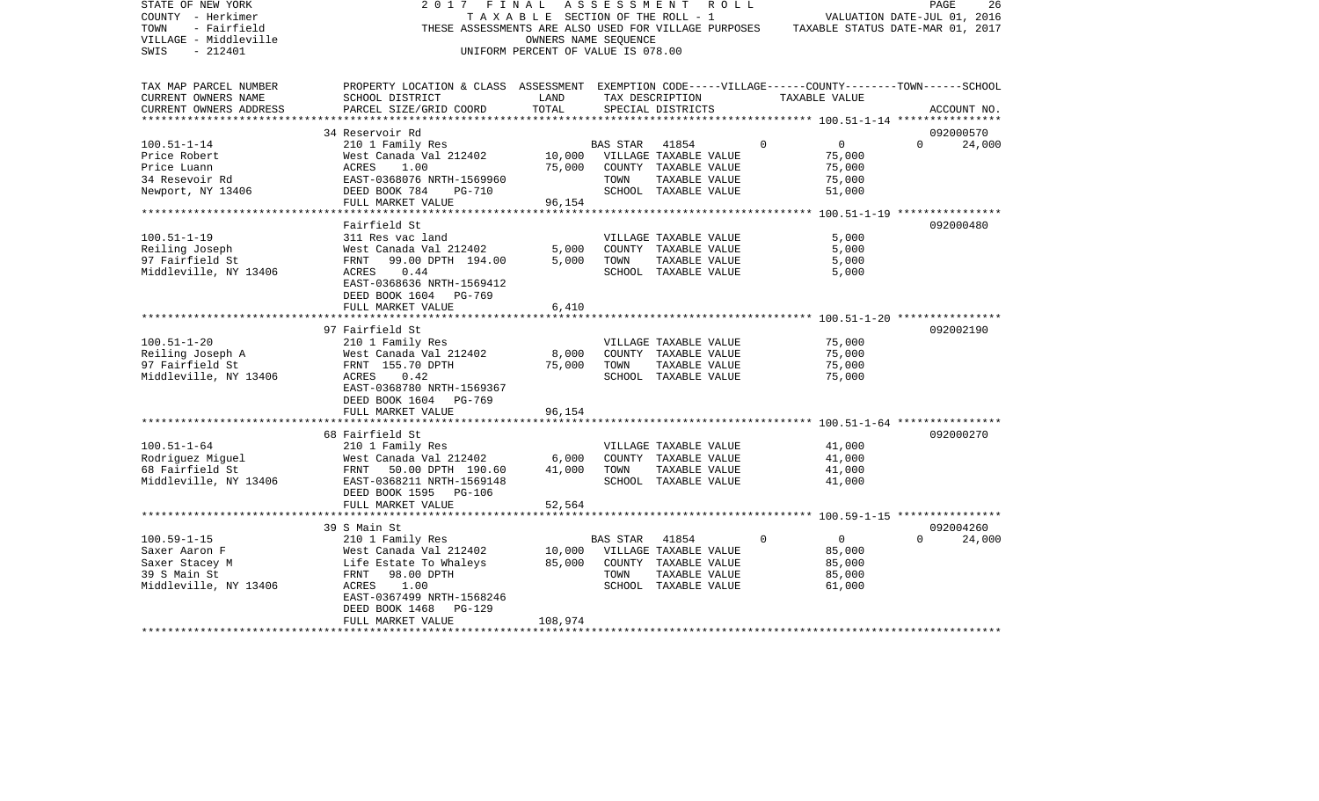| STATE OF NEW YORK<br>COUNTY - Herkimer | 2017<br>FINAL                                                                                      | TAXABLE SECTION OF THE ROLL - 1    | A S S E S S M E N T |                       | R O L L  |                | 26<br>PAGE<br>VALUATION DATE-JUL 01, 2016 |
|----------------------------------------|----------------------------------------------------------------------------------------------------|------------------------------------|---------------------|-----------------------|----------|----------------|-------------------------------------------|
| - Fairfield<br>TOWN                    | THESE ASSESSMENTS ARE ALSO USED FOR VILLAGE PURPOSES                                               |                                    |                     |                       |          |                | TAXABLE STATUS DATE-MAR 01, 2017          |
|                                        |                                                                                                    |                                    |                     |                       |          |                |                                           |
| VILLAGE - Middleville                  |                                                                                                    | OWNERS NAME SEQUENCE               |                     |                       |          |                |                                           |
| SWIS<br>- 212401                       |                                                                                                    | UNIFORM PERCENT OF VALUE IS 078.00 |                     |                       |          |                |                                           |
|                                        |                                                                                                    |                                    |                     |                       |          |                |                                           |
| TAX MAP PARCEL NUMBER                  | PROPERTY LOCATION & CLASS ASSESSMENT EXEMPTION CODE-----VILLAGE------COUNTY-------TOWN------SCHOOL |                                    |                     |                       |          |                |                                           |
| CURRENT OWNERS NAME                    | SCHOOL DISTRICT                                                                                    | LAND                               |                     | TAX DESCRIPTION       |          | TAXABLE VALUE  |                                           |
| CURRENT OWNERS ADDRESS                 | PARCEL SIZE/GRID COORD                                                                             | TOTAL                              |                     | SPECIAL DISTRICTS     |          |                | ACCOUNT NO.                               |
|                                        |                                                                                                    |                                    |                     |                       |          |                |                                           |
|                                        | 34 Reservoir Rd                                                                                    |                                    |                     |                       |          |                | 092000570                                 |
| $100.51 - 1 - 14$                      | 210 1 Family Res                                                                                   |                                    | <b>BAS STAR</b>     | 41854                 | $\Omega$ | $\overline{0}$ | $\Omega$<br>24,000                        |
| Price Robert                           | West Canada Val 212402                                                                             | 10,000                             |                     | VILLAGE TAXABLE VALUE |          | 75,000         |                                           |
| Price Luann                            | 1.00<br>ACRES                                                                                      | 75,000                             |                     | COUNTY TAXABLE VALUE  |          | 75,000         |                                           |
| 34 Resevoir Rd                         | EAST-0368076 NRTH-1569960                                                                          |                                    | TOWN                | TAXABLE VALUE         |          | 75,000         |                                           |
| Newport, NY 13406                      | DEED BOOK 784<br>PG-710                                                                            |                                    |                     | SCHOOL TAXABLE VALUE  |          | 51,000         |                                           |
|                                        | FULL MARKET VALUE                                                                                  | 96,154                             |                     |                       |          |                |                                           |
|                                        |                                                                                                    |                                    |                     |                       |          |                |                                           |
|                                        | Fairfield St                                                                                       |                                    |                     |                       |          |                | 092000480                                 |
| $100.51 - 1 - 19$                      | 311 Res vac land                                                                                   |                                    |                     | VILLAGE TAXABLE VALUE |          | 5,000          |                                           |
| Reiling Joseph                         | West Canada Val 212402                                                                             | 5,000                              |                     | COUNTY TAXABLE VALUE  |          | 5,000          |                                           |
| 97 Fairfield St                        | 99.00 DPTH 194.00<br>FRNT                                                                          | 5,000                              | TOWN                | TAXABLE VALUE         |          | 5,000          |                                           |
| Middleville, NY 13406                  | ACRES<br>0.44                                                                                      |                                    |                     | SCHOOL TAXABLE VALUE  |          | 5,000          |                                           |
|                                        | EAST-0368636 NRTH-1569412                                                                          |                                    |                     |                       |          |                |                                           |
|                                        | DEED BOOK 1604 PG-769                                                                              |                                    |                     |                       |          |                |                                           |
|                                        | FULL MARKET VALUE                                                                                  | 6,410                              |                     |                       |          |                |                                           |
|                                        |                                                                                                    |                                    |                     |                       |          |                | 092002190                                 |
| $100.51 - 1 - 20$                      | 97 Fairfield St<br>210 1 Family Res                                                                |                                    |                     | VILLAGE TAXABLE VALUE |          | 75,000         |                                           |
| Reiling Joseph A                       | West Canada Val 212402                                                                             | 8,000                              |                     | COUNTY TAXABLE VALUE  |          | 75,000         |                                           |
| 97 Fairfield St                        | FRNT 155.70 DPTH                                                                                   | 75,000                             | TOWN                | TAXABLE VALUE         |          | 75,000         |                                           |
| Middleville, NY 13406                  | 0.42<br>ACRES                                                                                      |                                    |                     | SCHOOL TAXABLE VALUE  |          | 75,000         |                                           |
|                                        | EAST-0368780 NRTH-1569367                                                                          |                                    |                     |                       |          |                |                                           |
|                                        | DEED BOOK 1604 PG-769                                                                              |                                    |                     |                       |          |                |                                           |
|                                        | FULL MARKET VALUE                                                                                  | 96,154                             |                     |                       |          |                |                                           |
|                                        |                                                                                                    |                                    |                     |                       |          |                |                                           |
|                                        | 68 Fairfield St                                                                                    |                                    |                     |                       |          |                | 092000270                                 |
| $100.51 - 1 - 64$                      | 210 1 Family Res                                                                                   |                                    |                     | VILLAGE TAXABLE VALUE |          | 41,000         |                                           |
| Rodriguez Miguel                       | West Canada Val 212402                                                                             | 6,000                              |                     | COUNTY TAXABLE VALUE  |          | 41,000         |                                           |
| 68 Fairfield St                        | FRNT 50.00 DPTH 190.60                                                                             | 41,000                             | TOWN                | TAXABLE VALUE         |          | 41,000         |                                           |
| Middleville, NY 13406                  | EAST-0368211 NRTH-1569148                                                                          |                                    |                     | SCHOOL TAXABLE VALUE  |          | 41,000         |                                           |
|                                        | DEED BOOK 1595 PG-106                                                                              |                                    |                     |                       |          |                |                                           |
|                                        | FULL MARKET VALUE                                                                                  | 52,564                             |                     |                       |          |                |                                           |
|                                        |                                                                                                    |                                    |                     |                       |          |                |                                           |
|                                        | 39 S Main St                                                                                       |                                    |                     |                       |          |                | 092004260                                 |
| $100.59 - 1 - 15$                      | 210 1 Family Res                                                                                   |                                    | BAS STAR            | 41854                 | $\Omega$ | $\overline{0}$ | $\Omega$<br>24,000                        |
| Saxer Aaron F                          | West Canada Val 212402                                                                             | 10,000                             |                     | VILLAGE TAXABLE VALUE |          | 85,000         |                                           |
| Saxer Stacey M                         | Life Estate To Whaleys                                                                             | 85,000                             |                     | COUNTY TAXABLE VALUE  |          | 85,000         |                                           |
| 39 S Main St                           | FRNT<br>98.00 DPTH                                                                                 |                                    | TOWN                | TAXABLE VALUE         |          | 85,000         |                                           |
| Middleville, NY 13406                  | ACRES<br>1.00                                                                                      |                                    |                     | SCHOOL TAXABLE VALUE  |          | 61,000         |                                           |
|                                        | EAST-0367499 NRTH-1568246                                                                          |                                    |                     |                       |          |                |                                           |
|                                        | DEED BOOK 1468<br>$PG-129$                                                                         |                                    |                     |                       |          |                |                                           |
|                                        | FULL MARKET VALUE                                                                                  | 108,974                            |                     |                       |          |                |                                           |
|                                        |                                                                                                    |                                    |                     |                       |          |                |                                           |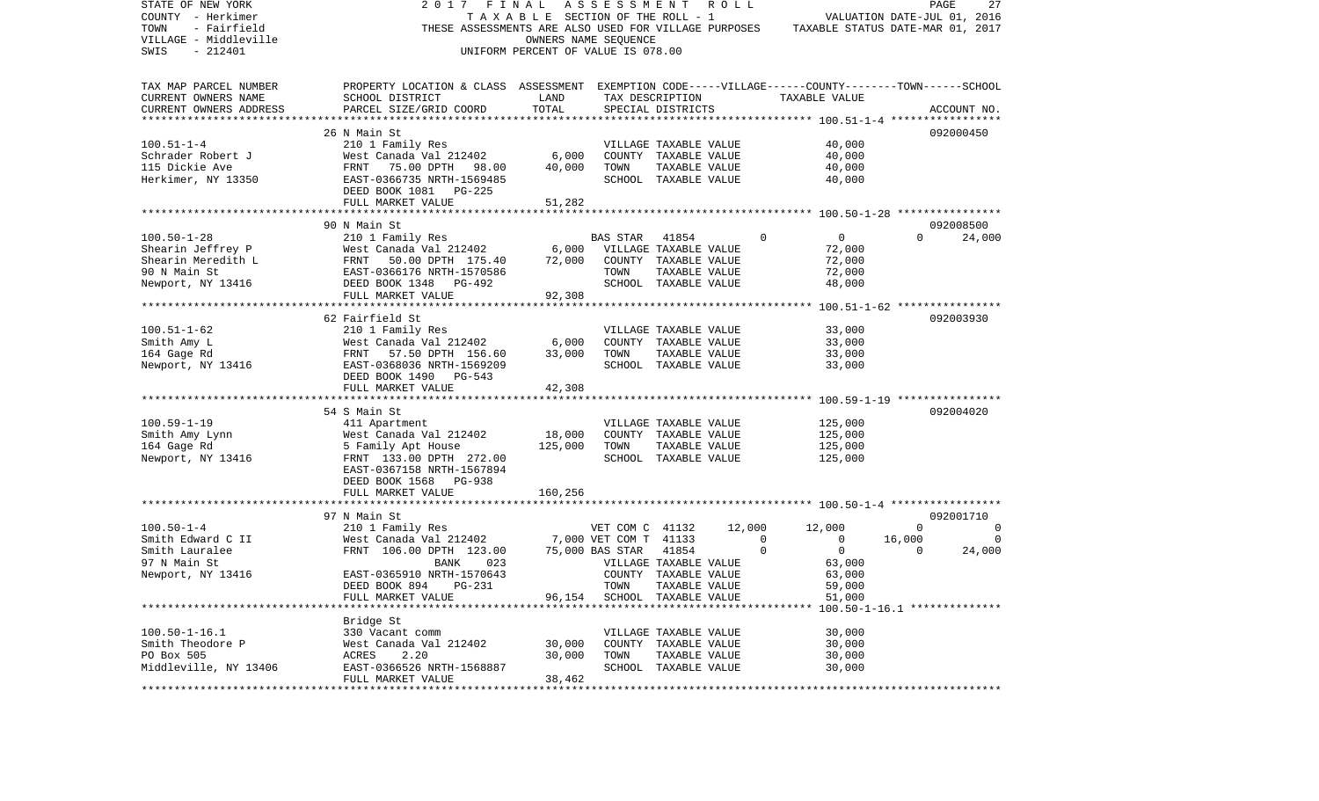| STATE OF NEW YORK<br>COUNTY - Herkimer<br>TOWN<br>- Fairfield<br>VILLAGE - Middleville | 2017<br>THESE ASSESSMENTS ARE ALSO USED FOR VILLAGE PURPOSES                                       | FINAL<br>TAXABLE SECTION OF THE ROLL - 1 | ASSESSMENT<br>OWNERS NAME SEQUENCE |                                       | R O L L |             | TAXABLE STATUS DATE-MAR 01, 2017           |              | PAGE<br>27<br>VALUATION DATE-JUL 01, 2016 |
|----------------------------------------------------------------------------------------|----------------------------------------------------------------------------------------------------|------------------------------------------|------------------------------------|---------------------------------------|---------|-------------|--------------------------------------------|--------------|-------------------------------------------|
| SWIS<br>$-212401$                                                                      |                                                                                                    | UNIFORM PERCENT OF VALUE IS 078.00       |                                    |                                       |         |             |                                            |              |                                           |
| TAX MAP PARCEL NUMBER                                                                  | PROPERTY LOCATION & CLASS ASSESSMENT EXEMPTION CODE-----VILLAGE------COUNTY-------TOWN------SCHOOL |                                          |                                    |                                       |         |             |                                            |              |                                           |
| CURRENT OWNERS NAME<br>CURRENT OWNERS ADDRESS<br>*************************             | SCHOOL DISTRICT<br>PARCEL SIZE/GRID COORD                                                          | LAND<br>TOTAL                            |                                    | TAX DESCRIPTION<br>SPECIAL DISTRICTS  |         |             | TAXABLE VALUE                              |              | ACCOUNT NO.                               |
|                                                                                        | 26 N Main St                                                                                       |                                          |                                    |                                       |         |             |                                            |              | 092000450                                 |
| $100.51 - 1 - 4$                                                                       | 210 1 Family Res                                                                                   |                                          |                                    | VILLAGE TAXABLE VALUE                 |         |             | 40,000                                     |              |                                           |
| Schrader Robert J                                                                      | West Canada Val 212402                                                                             | 6,000                                    |                                    | COUNTY TAXABLE VALUE                  |         |             | 40,000                                     |              |                                           |
| 115 Dickie Ave                                                                         | FRNT<br>75.00 DPTH<br>98.00                                                                        | 40,000                                   | TOWN                               | TAXABLE VALUE                         |         |             | 40,000                                     |              |                                           |
| Herkimer, NY 13350                                                                     | EAST-0366735 NRTH-1569485<br>DEED BOOK 1081<br>PG-225                                              |                                          |                                    | SCHOOL TAXABLE VALUE                  |         |             | 40,000                                     |              |                                           |
|                                                                                        | FULL MARKET VALUE                                                                                  | 51,282                                   |                                    |                                       |         |             |                                            |              |                                           |
|                                                                                        | 90 N Main St                                                                                       |                                          |                                    |                                       |         |             |                                            |              | 092008500                                 |
| $100.50 - 1 - 28$                                                                      | 210 1 Family Res                                                                                   |                                          | BAS STAR                           | 41854                                 |         | 0           | 0                                          | $\Omega$     | 24,000                                    |
| Shearin Jeffrey P                                                                      | West Canada Val 212402                                                                             | 6,000                                    |                                    | VILLAGE TAXABLE VALUE                 |         |             | 72,000                                     |              |                                           |
| Shearin Meredith L                                                                     | 50.00 DPTH 175.40<br>FRNT                                                                          | 72,000                                   |                                    | COUNTY TAXABLE VALUE                  |         |             | 72,000                                     |              |                                           |
| 90 N Main St                                                                           | EAST-0366176 NRTH-1570586                                                                          |                                          | TOWN                               | TAXABLE VALUE                         |         |             | 72,000                                     |              |                                           |
| Newport, NY 13416                                                                      | DEED BOOK 1348<br>PG-492                                                                           |                                          |                                    | SCHOOL TAXABLE VALUE                  |         |             | 48,000                                     |              |                                           |
|                                                                                        | FULL MARKET VALUE                                                                                  | 92,308                                   |                                    |                                       |         |             |                                            |              |                                           |
|                                                                                        | ***********************************                                                                |                                          | **********************             |                                       |         |             | ************ 100.51-1-62 ***************** |              |                                           |
|                                                                                        | 62 Fairfield St                                                                                    |                                          |                                    |                                       |         |             |                                            |              | 092003930                                 |
| $100.51 - 1 - 62$                                                                      | 210 1 Family Res                                                                                   |                                          |                                    | VILLAGE TAXABLE VALUE                 |         |             | 33,000                                     |              |                                           |
| Smith Amy L                                                                            | West Canada Val 212402                                                                             | 6,000                                    |                                    | COUNTY TAXABLE VALUE                  |         |             | 33,000                                     |              |                                           |
| 164 Gage Rd                                                                            | FRNT<br>57.50 DPTH 156.60                                                                          | 33,000                                   | TOWN                               | TAXABLE VALUE                         |         |             | 33,000                                     |              |                                           |
| Newport, NY 13416                                                                      | EAST-0368036 NRTH-1569209<br>DEED BOOK 1490 PG-543<br>FULL MARKET VALUE                            | 42,308                                   |                                    | SCHOOL TAXABLE VALUE                  |         |             | 33,000                                     |              |                                           |
|                                                                                        |                                                                                                    |                                          |                                    |                                       |         |             |                                            |              |                                           |
|                                                                                        | 54 S Main St                                                                                       |                                          |                                    |                                       |         |             |                                            |              | 092004020                                 |
| $100.59 - 1 - 19$                                                                      | 411 Apartment                                                                                      |                                          |                                    | VILLAGE TAXABLE VALUE                 |         |             | 125,000                                    |              |                                           |
| Smith Amy Lynn                                                                         | West Canada Val 212402                                                                             | 18,000                                   |                                    | COUNTY TAXABLE VALUE                  |         |             | 125,000                                    |              |                                           |
| 164 Gage Rd                                                                            | 5 Family Apt House                                                                                 | 125,000                                  | TOWN                               | TAXABLE VALUE                         |         |             | 125,000                                    |              |                                           |
| Newport, NY 13416                                                                      | FRNT 133.00 DPTH 272.00<br>EAST-0367158 NRTH-1567894                                               |                                          |                                    | SCHOOL TAXABLE VALUE                  |         |             | 125,000                                    |              |                                           |
|                                                                                        | DEED BOOK 1568 PG-938                                                                              |                                          |                                    |                                       |         |             |                                            |              |                                           |
|                                                                                        | FULL MARKET VALUE                                                                                  | 160,256                                  |                                    |                                       |         |             |                                            |              |                                           |
|                                                                                        | 97 N Main St                                                                                       |                                          |                                    |                                       |         |             |                                            |              | 092001710                                 |
| $100.50 - 1 - 4$                                                                       | 210 1 Family Res                                                                                   |                                          | VET COM C 41132                    |                                       | 12,000  |             | 12,000                                     | $\mathbf{0}$ | 0                                         |
| Smith Edward C II                                                                      | West Canada Val 212402                                                                             |                                          | 7,000 VET COM T 41133              |                                       |         | $\mathbf 0$ | $\mathbf 0$                                | 16,000       | 0                                         |
| Smith Lauralee                                                                         | FRNT 106.00 DPTH 123.00                                                                            |                                          | 75,000 BAS STAR                    | 41854                                 |         | $\Omega$    | $\mathbf 0$                                | $\Omega$     | 24,000                                    |
| 97 N Main St                                                                           | 023<br>BANK                                                                                        |                                          |                                    | VILLAGE TAXABLE VALUE                 |         |             | 63,000                                     |              |                                           |
| Newport, NY 13416                                                                      | EAST-0365910 NRTH-1570643                                                                          |                                          |                                    | COUNTY TAXABLE VALUE                  |         |             | 63,000                                     |              |                                           |
|                                                                                        | DEED BOOK 894 PG-231                                                                               |                                          | TOWN                               | TAXABLE VALUE                         |         |             | 59,000                                     |              |                                           |
|                                                                                        | FULL MARKET VALUE                                                                                  |                                          | 96,154 SCHOOL TAXABLE VALUE        |                                       |         |             | 51,000                                     |              |                                           |
|                                                                                        |                                                                                                    |                                          |                                    |                                       |         |             |                                            |              |                                           |
|                                                                                        | Bridge St                                                                                          |                                          |                                    |                                       |         |             |                                            |              |                                           |
| $100.50 - 1 - 16.1$                                                                    | 330 Vacant comm                                                                                    |                                          |                                    | VILLAGE TAXABLE VALUE                 |         |             | 30,000                                     |              |                                           |
| Smith Theodore P<br>PO Box 505                                                         | West Canada Val 212402                                                                             | 30,000                                   |                                    | COUNTY TAXABLE VALUE                  |         |             | 30,000                                     |              |                                           |
| Middleville, NY 13406                                                                  | ACRES<br>2.20<br>EAST-0366526 NRTH-1568887                                                         | 30,000                                   | TOWN                               | TAXABLE VALUE<br>SCHOOL TAXABLE VALUE |         |             | 30,000<br>30,000                           |              |                                           |
|                                                                                        | FULL MARKET VALUE                                                                                  | 38,462                                   |                                    |                                       |         |             |                                            |              |                                           |
|                                                                                        |                                                                                                    |                                          |                                    |                                       |         |             |                                            |              |                                           |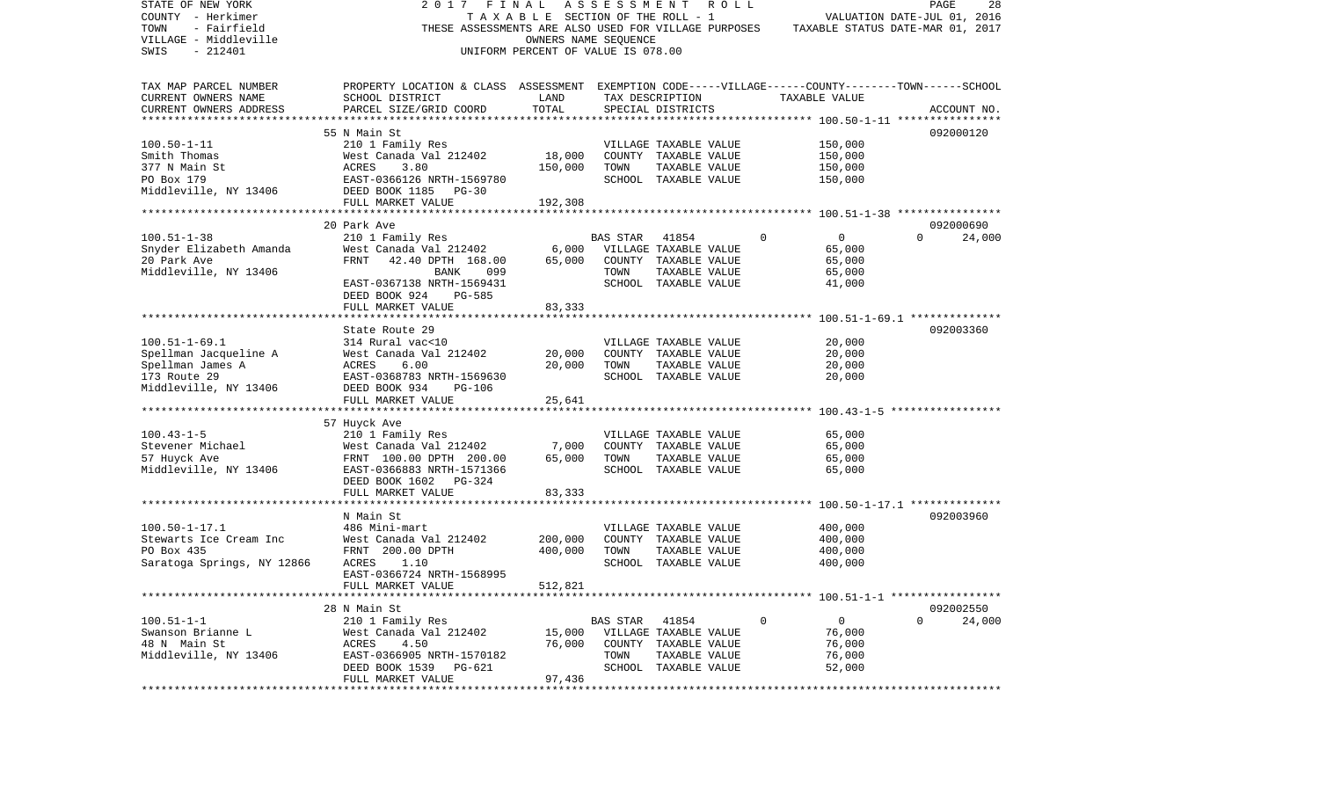| STATE OF NEW YORK<br>COUNTY - Herkimer<br>TOWN<br>- Fairfield<br>VILLAGE - Middleville | 2017<br>FINAL<br>THESE ASSESSMENTS ARE ALSO USED FOR VILLAGE PURPOSES                              | TAXABLE SECTION OF THE ROLL - 1<br>OWNERS NAME SEOUENCE |          | ASSESSMENT ROLL       |             | TAXABLE STATUS DATE-MAR 01, 2017 | PAGE<br>VALUATION DATE-JUL 01, 2016 | 28     |
|----------------------------------------------------------------------------------------|----------------------------------------------------------------------------------------------------|---------------------------------------------------------|----------|-----------------------|-------------|----------------------------------|-------------------------------------|--------|
| SWIS<br>$-212401$                                                                      |                                                                                                    | UNIFORM PERCENT OF VALUE IS 078.00                      |          |                       |             |                                  |                                     |        |
| TAX MAP PARCEL NUMBER                                                                  | PROPERTY LOCATION & CLASS ASSESSMENT EXEMPTION CODE-----VILLAGE------COUNTY-------TOWN------SCHOOL |                                                         |          |                       |             |                                  |                                     |        |
| CURRENT OWNERS NAME                                                                    | SCHOOL DISTRICT                                                                                    | LAND                                                    |          | TAX DESCRIPTION       |             | TAXABLE VALUE                    |                                     |        |
| CURRENT OWNERS ADDRESS                                                                 | PARCEL SIZE/GRID COORD                                                                             | TOTAL                                                   |          | SPECIAL DISTRICTS     |             |                                  | ACCOUNT NO.                         |        |
|                                                                                        |                                                                                                    |                                                         |          |                       |             |                                  |                                     |        |
|                                                                                        | 55 N Main St                                                                                       |                                                         |          |                       |             |                                  | 092000120                           |        |
| $100.50 - 1 - 11$                                                                      | 210 1 Family Res                                                                                   |                                                         |          | VILLAGE TAXABLE VALUE |             | 150,000                          |                                     |        |
| Smith Thomas                                                                           | West Canada Val 212402                                                                             | 18,000                                                  |          | COUNTY TAXABLE VALUE  |             | 150,000                          |                                     |        |
| 377 N Main St                                                                          | ACRES<br>3.80                                                                                      | 150,000                                                 | TOWN     | TAXABLE VALUE         |             | 150,000                          |                                     |        |
| PO Box 179                                                                             | EAST-0366126 NRTH-1569780                                                                          |                                                         |          | SCHOOL TAXABLE VALUE  |             | 150,000                          |                                     |        |
| Middleville, NY 13406                                                                  | DEED BOOK 1185 PG-30                                                                               |                                                         |          |                       |             |                                  |                                     |        |
|                                                                                        | FULL MARKET VALUE                                                                                  | 192,308                                                 |          |                       |             |                                  |                                     |        |
|                                                                                        |                                                                                                    |                                                         |          |                       |             |                                  |                                     |        |
|                                                                                        | 20 Park Ave                                                                                        |                                                         |          |                       |             |                                  | 092000690                           |        |
| $100.51 - 1 - 38$                                                                      | 210 1 Family Res                                                                                   |                                                         | BAS STAR | 41854                 | 0           | $\mathbf{0}$                     | $\Omega$                            | 24,000 |
| Snyder Elizabeth Amanda                                                                | West Canada Val 212402                                                                             | 6,000                                                   |          | VILLAGE TAXABLE VALUE |             | 65,000                           |                                     |        |
| 20 Park Ave                                                                            | FRNT<br>42.40 DPTH 168.00                                                                          | 65,000                                                  |          | COUNTY TAXABLE VALUE  |             | 65,000                           |                                     |        |
| Middleville, NY 13406                                                                  | 099<br>BANK                                                                                        |                                                         | TOWN     | TAXABLE VALUE         |             | 65,000                           |                                     |        |
|                                                                                        | EAST-0367138 NRTH-1569431                                                                          |                                                         |          | SCHOOL TAXABLE VALUE  |             | 41,000                           |                                     |        |
|                                                                                        | DEED BOOK 924<br>PG-585                                                                            |                                                         |          |                       |             |                                  |                                     |        |
|                                                                                        | FULL MARKET VALUE                                                                                  | 83,333                                                  |          |                       |             |                                  |                                     |        |
|                                                                                        |                                                                                                    |                                                         |          |                       |             |                                  |                                     |        |
| $100.51 - 1 - 69.1$                                                                    | State Route 29<br>314 Rural vac<10                                                                 |                                                         |          | VILLAGE TAXABLE VALUE |             | 20,000                           | 092003360                           |        |
| Spellman Jacqueline A                                                                  | West Canada Val 212402                                                                             | 20,000                                                  |          | COUNTY TAXABLE VALUE  |             | 20,000                           |                                     |        |
| Spellman James A                                                                       | 6.00<br>ACRES                                                                                      | 20,000                                                  | TOWN     | TAXABLE VALUE         |             | 20,000                           |                                     |        |
| 173 Route 29                                                                           | EAST-0368783 NRTH-1569630                                                                          |                                                         |          | SCHOOL TAXABLE VALUE  |             | 20,000                           |                                     |        |
| Middleville, NY 13406                                                                  | DEED BOOK 934<br><b>PG-106</b>                                                                     |                                                         |          |                       |             |                                  |                                     |        |
|                                                                                        | FULL MARKET VALUE                                                                                  | 25,641                                                  |          |                       |             |                                  |                                     |        |
|                                                                                        |                                                                                                    |                                                         |          |                       |             |                                  |                                     |        |
|                                                                                        | 57 Huyck Ave                                                                                       |                                                         |          |                       |             |                                  |                                     |        |
| $100.43 - 1 - 5$                                                                       | 210 1 Family Res                                                                                   |                                                         |          | VILLAGE TAXABLE VALUE |             | 65,000                           |                                     |        |
| Stevener Michael                                                                       | West Canada Val 212402                                                                             | 7,000                                                   |          | COUNTY TAXABLE VALUE  |             | 65,000                           |                                     |        |
| 57 Huyck Ave                                                                           | FRNT 100.00 DPTH 200.00                                                                            | 65,000                                                  | TOWN     | TAXABLE VALUE         |             | 65,000                           |                                     |        |
| Middleville, NY 13406                                                                  | EAST-0366883 NRTH-1571366                                                                          |                                                         |          | SCHOOL TAXABLE VALUE  |             | 65,000                           |                                     |        |
|                                                                                        | DEED BOOK 1602 PG-324                                                                              |                                                         |          |                       |             |                                  |                                     |        |
|                                                                                        | FULL MARKET VALUE                                                                                  | 83,333                                                  |          |                       |             |                                  |                                     |        |
|                                                                                        |                                                                                                    |                                                         |          |                       |             |                                  |                                     |        |
|                                                                                        | N Main St                                                                                          |                                                         |          |                       |             |                                  | 092003960                           |        |
| $100.50 - 1 - 17.1$                                                                    | 486 Mini-mart                                                                                      |                                                         |          | VILLAGE TAXABLE VALUE |             | 400,000                          |                                     |        |
| Stewarts Ice Cream Inc                                                                 | West Canada Val 212402                                                                             | 200,000                                                 |          | COUNTY TAXABLE VALUE  |             | 400,000                          |                                     |        |
| PO Box 435                                                                             | FRNT 200.00 DPTH                                                                                   | 400,000                                                 | TOWN     | TAXABLE VALUE         |             | 400,000                          |                                     |        |
| Saratoga Springs, NY 12866                                                             | ACRES<br>1.10                                                                                      |                                                         |          | SCHOOL TAXABLE VALUE  |             | 400,000                          |                                     |        |
|                                                                                        | EAST-0366724 NRTH-1568995                                                                          |                                                         |          |                       |             |                                  |                                     |        |
|                                                                                        | FULL MARKET VALUE                                                                                  | 512,821                                                 |          |                       |             |                                  |                                     |        |
|                                                                                        |                                                                                                    |                                                         |          |                       |             |                                  |                                     |        |
|                                                                                        | 28 N Main St                                                                                       |                                                         |          |                       |             |                                  | 092002550                           |        |
| $100.51 - 1 - 1$                                                                       | 210 1 Family Res                                                                                   |                                                         | BAS STAR | 41854                 | $\mathbf 0$ | $\mathbf{0}$                     | $\Omega$                            | 24,000 |
| Swanson Brianne L                                                                      | West Canada Val 212402                                                                             | 15,000                                                  |          | VILLAGE TAXABLE VALUE |             | 76,000                           |                                     |        |
| 48 N Main St                                                                           | ACRES 4.50                                                                                         | 76,000                                                  |          | COUNTY TAXABLE VALUE  |             | 76,000                           |                                     |        |
| Middleville, NY 13406                                                                  | EAST-0366905 NRTH-1570182                                                                          |                                                         | TOWN     | TAXABLE VALUE         |             | 76,000                           |                                     |        |
|                                                                                        | DEED BOOK 1539 PG-621                                                                              |                                                         |          | SCHOOL TAXABLE VALUE  |             | 52,000                           |                                     |        |
|                                                                                        | FULL MARKET VALUE                                                                                  | 97,436                                                  |          |                       |             |                                  |                                     |        |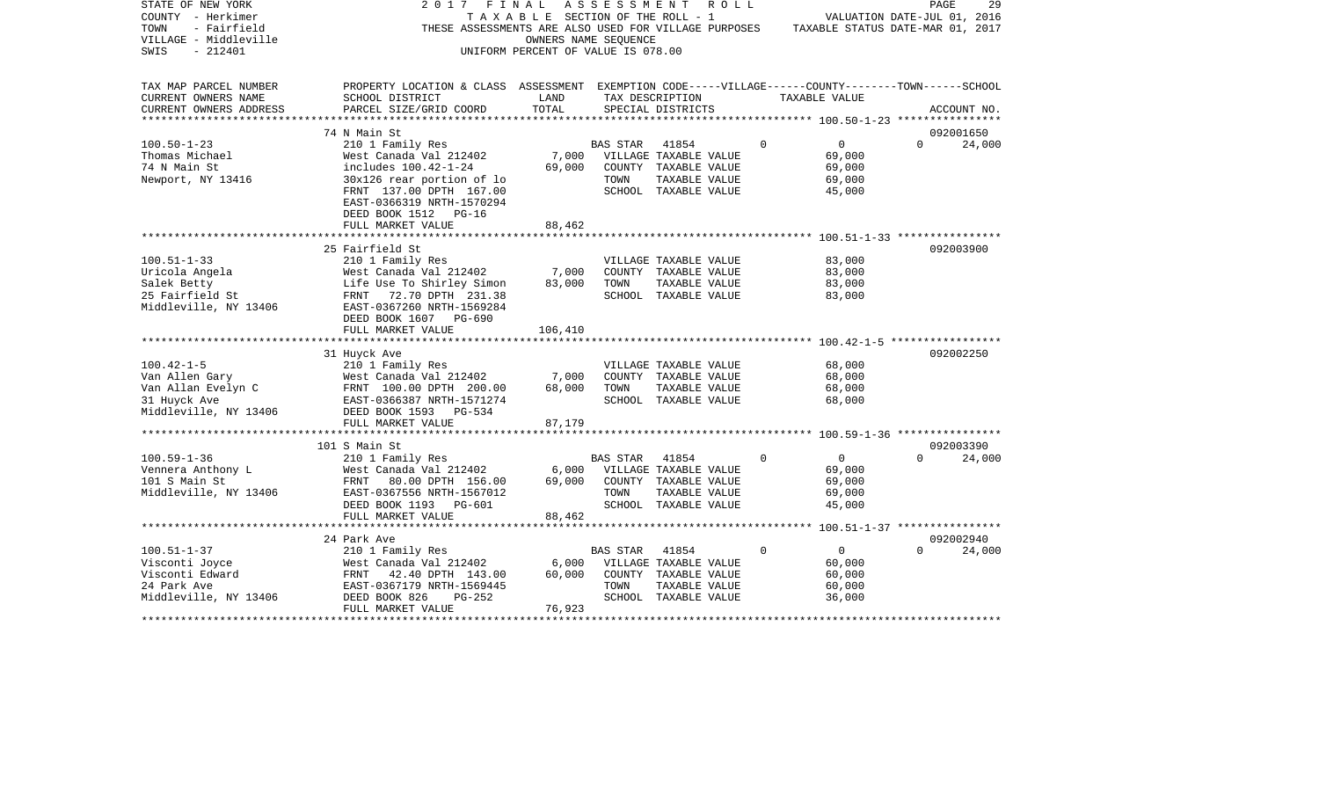| STATE OF NEW YORK<br>COUNTY - Herkimer<br>- Fairfield<br>TOWN<br>VILLAGE - Middleville<br>$-212401$<br>SWIS | 2 0 1 7<br>FINAL<br>THESE ASSESSMENTS ARE ALSO USED FOR VILLAGE PURPOSES                           | TAXABLE SECTION OF THE ROLL - 1<br>OWNERS NAME SEQUENCE<br>UNIFORM PERCENT OF VALUE IS 078.00 | ASSESSMENT      | R O L L                               |             | VALUATION DATE-JUL 01, 2016<br>TAXABLE STATUS DATE-MAR 01, 2017 | PAGE     | 29          |
|-------------------------------------------------------------------------------------------------------------|----------------------------------------------------------------------------------------------------|-----------------------------------------------------------------------------------------------|-----------------|---------------------------------------|-------------|-----------------------------------------------------------------|----------|-------------|
| TAX MAP PARCEL NUMBER<br>CURRENT OWNERS NAME                                                                | PROPERTY LOCATION & CLASS ASSESSMENT EXEMPTION CODE-----VILLAGE------COUNTY-------TOWN------SCHOOL | LAND                                                                                          |                 |                                       |             | TAXABLE VALUE                                                   |          |             |
| CURRENT OWNERS ADDRESS                                                                                      | SCHOOL DISTRICT<br>PARCEL SIZE/GRID COORD                                                          | TOTAL                                                                                         |                 | TAX DESCRIPTION<br>SPECIAL DISTRICTS  |             |                                                                 |          | ACCOUNT NO. |
| ******************                                                                                          |                                                                                                    |                                                                                               |                 |                                       |             |                                                                 |          |             |
|                                                                                                             | 74 N Main St                                                                                       |                                                                                               |                 |                                       |             |                                                                 |          | 092001650   |
| $100.50 - 1 - 23$                                                                                           | 210 1 Family Res                                                                                   |                                                                                               | <b>BAS STAR</b> | 41854                                 | $\Omega$    | $\overline{0}$                                                  | $\Omega$ | 24,000      |
| Thomas Michael                                                                                              | West Canada Val 212402                                                                             | 7,000                                                                                         |                 | VILLAGE TAXABLE VALUE                 |             | 69,000                                                          |          |             |
| 74 N Main St                                                                                                | includes 100.42-1-24                                                                               | 69,000                                                                                        |                 | COUNTY TAXABLE VALUE                  |             | 69,000                                                          |          |             |
| Newport, NY 13416                                                                                           | 30x126 rear portion of lo                                                                          |                                                                                               | TOWN            | TAXABLE VALUE                         |             | 69,000                                                          |          |             |
|                                                                                                             | FRNT 137.00 DPTH 167.00<br>EAST-0366319 NRTH-1570294<br>DEED BOOK 1512 PG-16                       |                                                                                               |                 | SCHOOL TAXABLE VALUE                  |             | 45,000                                                          |          |             |
|                                                                                                             | FULL MARKET VALUE                                                                                  | 88,462                                                                                        |                 |                                       |             |                                                                 |          |             |
|                                                                                                             |                                                                                                    |                                                                                               |                 |                                       |             |                                                                 |          |             |
|                                                                                                             | 25 Fairfield St                                                                                    |                                                                                               |                 |                                       |             |                                                                 |          | 092003900   |
| $100.51 - 1 - 33$                                                                                           | 210 1 Family Res                                                                                   |                                                                                               |                 | VILLAGE TAXABLE VALUE                 |             | 83,000                                                          |          |             |
| Uricola Angela                                                                                              | West Canada Val 212402<br>Life Use To Shirley Simon                                                | 7,000<br>83,000                                                                               | TOWN            | COUNTY TAXABLE VALUE                  |             | 83,000<br>83,000                                                |          |             |
| Salek Betty<br>25 Fairfield St                                                                              | 72.70 DPTH 231.38<br>FRNT                                                                          |                                                                                               |                 | TAXABLE VALUE<br>SCHOOL TAXABLE VALUE |             | 83,000                                                          |          |             |
| Middleville, NY 13406                                                                                       | EAST-0367260 NRTH-1569284<br>DEED BOOK 1607 PG-690                                                 |                                                                                               |                 |                                       |             |                                                                 |          |             |
|                                                                                                             | FULL MARKET VALUE                                                                                  | 106,410                                                                                       |                 |                                       |             |                                                                 |          |             |
|                                                                                                             |                                                                                                    |                                                                                               |                 |                                       |             |                                                                 |          |             |
|                                                                                                             | 31 Huyck Ave                                                                                       |                                                                                               |                 |                                       |             |                                                                 |          | 092002250   |
| $100.42 - 1 - 5$                                                                                            | 210 1 Family Res                                                                                   |                                                                                               |                 | VILLAGE TAXABLE VALUE                 |             | 68,000                                                          |          |             |
| Van Allen Gary                                                                                              | West Canada Val 212402                                                                             | 7,000                                                                                         |                 | COUNTY TAXABLE VALUE                  |             | 68,000                                                          |          |             |
| Van Allan Evelyn C                                                                                          | FRNT 100.00 DPTH 200.00                                                                            | 68,000                                                                                        | TOWN            | TAXABLE VALUE                         |             | 68,000                                                          |          |             |
| 31 Huyck Ave                                                                                                | EAST-0366387 NRTH-1571274                                                                          |                                                                                               |                 | SCHOOL TAXABLE VALUE                  |             | 68,000                                                          |          |             |
| Middleville, NY 13406                                                                                       | DEED BOOK 1593 PG-534                                                                              |                                                                                               |                 |                                       |             |                                                                 |          |             |
|                                                                                                             | FULL MARKET VALUE<br>***********************                                                       | 87,179                                                                                        |                 |                                       |             |                                                                 |          |             |
|                                                                                                             | 101 S Main St                                                                                      |                                                                                               |                 |                                       |             |                                                                 |          | 092003390   |
| $100.59 - 1 - 36$                                                                                           | 210 1 Family Res                                                                                   |                                                                                               | <b>BAS STAR</b> | 41854                                 | $\Omega$    | $\overline{0}$                                                  | $\Omega$ | 24,000      |
| Vennera Anthony L                                                                                           | West Canada Val 212402                                                                             | 6,000                                                                                         |                 | VILLAGE TAXABLE VALUE                 |             | 69,000                                                          |          |             |
| 101 S Main St                                                                                               | FRNT 80.00 DPTH 156.00                                                                             | 69,000                                                                                        |                 | COUNTY TAXABLE VALUE                  |             | 69,000                                                          |          |             |
| Middleville, NY 13406                                                                                       | EAST-0367556 NRTH-1567012                                                                          |                                                                                               | TOWN            | TAXABLE VALUE                         |             | 69,000                                                          |          |             |
|                                                                                                             | DEED BOOK 1193 PG-601                                                                              |                                                                                               |                 | SCHOOL TAXABLE VALUE                  |             | 45,000                                                          |          |             |
|                                                                                                             | FULL MARKET VALUE                                                                                  | 88,462                                                                                        |                 |                                       |             |                                                                 |          |             |
|                                                                                                             | **************************                                                                         |                                                                                               |                 |                                       |             |                                                                 |          |             |
|                                                                                                             | 24 Park Ave                                                                                        |                                                                                               |                 |                                       |             |                                                                 |          | 092002940   |
| $100.51 - 1 - 37$                                                                                           | 210 1 Family Res                                                                                   |                                                                                               | <b>BAS STAR</b> | 41854                                 | $\mathbf 0$ | $\overline{0}$                                                  | $\Omega$ | 24,000      |
| Visconti Joyce                                                                                              | West Canada Val 212402                                                                             | 6,000                                                                                         |                 | VILLAGE TAXABLE VALUE                 |             | 60,000                                                          |          |             |
| Visconti Edward                                                                                             | FRNT<br>42.40 DPTH 143.00                                                                          | 60,000                                                                                        |                 | COUNTY TAXABLE VALUE                  |             | 60,000                                                          |          |             |
| 24 Park Ave                                                                                                 | EAST-0367179 NRTH-1569445                                                                          |                                                                                               | TOWN            | TAXABLE VALUE                         |             | 60,000                                                          |          |             |
| Middleville, NY 13406                                                                                       | DEED BOOK 826<br>$PG-252$<br>FULL MARKET VALUE                                                     | 76,923                                                                                        |                 | SCHOOL TAXABLE VALUE                  |             | 36,000                                                          |          |             |
|                                                                                                             |                                                                                                    |                                                                                               |                 |                                       |             |                                                                 |          |             |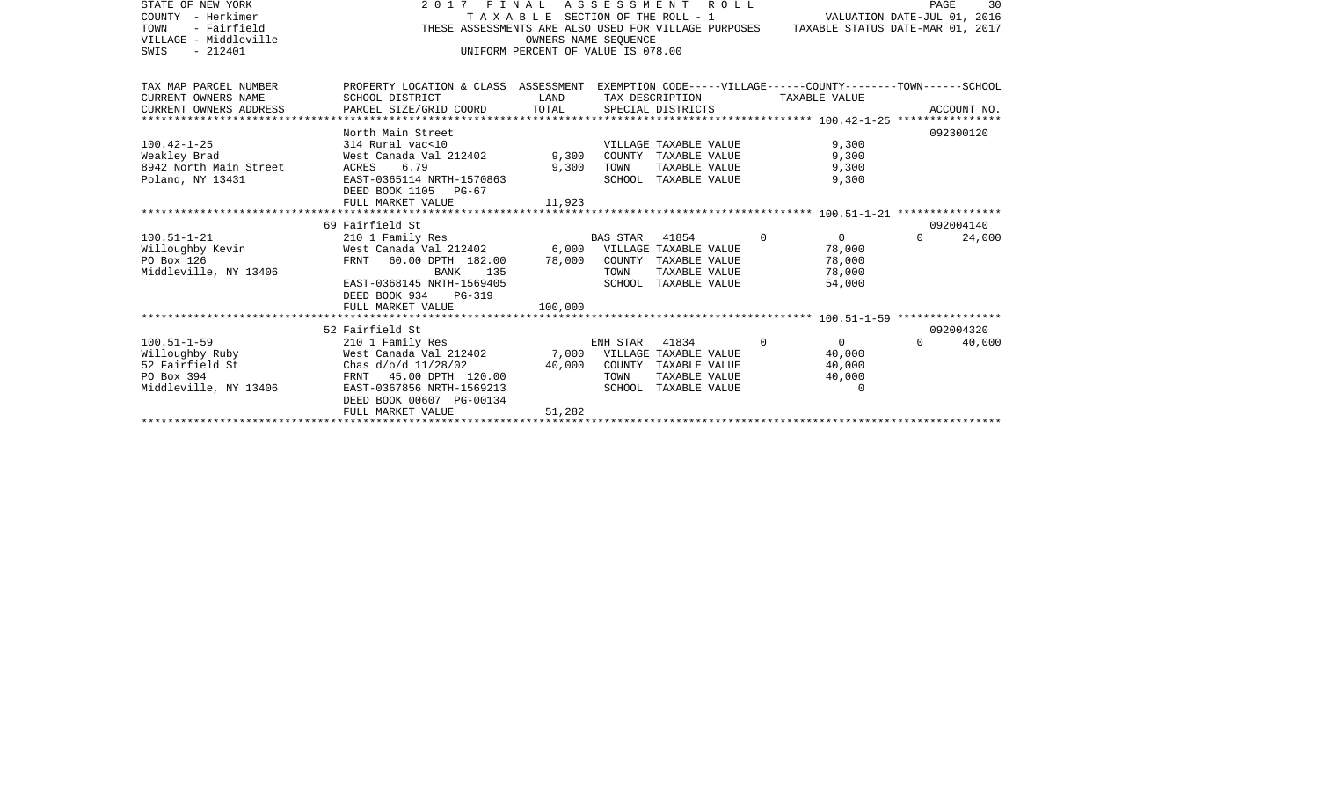| STATE OF NEW YORK<br>COUNTY - Herkimer<br>TOWN<br>- Fairfield<br>VILLAGE - Middleville<br>SWIS<br>$-212401$ |                                                                                                                                                                                                                        | OWNERS NAME SEOUENCE | 2017 FINAL ASSESSMENT ROLL<br>TAXABLE SECTION OF THE ROLL - 1<br>THESE ASSESSMENTS ARE ALSO USED FOR VILLAGE PURPOSES TAXABLE STATUS DATE-MAR 01, 2017<br>UNIFORM PERCENT OF VALUE IS 078.00 |                                                                      | PAGE<br>30<br>VALUATION DATE-JUL 01, 2016 |
|-------------------------------------------------------------------------------------------------------------|------------------------------------------------------------------------------------------------------------------------------------------------------------------------------------------------------------------------|----------------------|----------------------------------------------------------------------------------------------------------------------------------------------------------------------------------------------|----------------------------------------------------------------------|-------------------------------------------|
| TAX MAP PARCEL NUMBER<br>CURRENT OWNERS NAME<br>CURRENT OWNERS ADDRESS                                      | PROPERTY LOCATION & CLASS ASSESSMENT EXEMPTION CODE-----VILLAGE------COUNTY-------TOWN------SCHOOL<br>SCHOOL DISTRICT<br>PARCEL SIZE/GRID COORD                                                                        | LAND<br>TOTAL        | TAX DESCRIPTION<br>SPECIAL DISTRICTS                                                                                                                                                         | TAXABLE VALUE                                                        | ACCOUNT NO.                               |
| $100.42 - 1 - 25$<br>Weakley Brad<br>8942 North Main Street<br>Poland, NY 13431                             | North Main Street<br>314 Rural vac<10<br>West Canada Val 212402 9,300<br>6.79<br>ACRES<br>EAST-0365114 NRTH-1570863<br>DEED BOOK 1105 PG-67<br>FULL MARKET VALUE                                                       | 9,300<br>11,923      | VILLAGE TAXABLE VALUE<br>COUNTY TAXABLE VALUE<br>TOWN<br>TAXABLE VALUE<br>SCHOOL TAXABLE VALUE                                                                                               | 9,300<br>9,300<br>9,300<br>9,300                                     | 092300120                                 |
| $100.51 - 1 - 21$<br>Willoughby Kevin<br>PO Box 126<br>Middleville, NY 13406                                | 69 Fairfield St<br>210 1 Family Res<br>West Canada Val 212402 6,000 VILLAGE TAXABLE VALUE<br>FRNT 60.00 DPTH 182.00 78,000<br>BANK<br>135<br>EAST-0368145 NRTH-1569405<br>DEED BOOK 934<br>PG-319<br>FULL MARKET VALUE | 100,000              | <b>BAS STAR</b><br>41854<br>COUNTY TAXABLE VALUE<br>TOWN<br>TAXABLE VALUE<br>SCHOOL TAXABLE VALUE                                                                                            | $\Omega$<br>$\overline{0}$<br>78,000<br>78,000<br>78,000<br>54,000   | 092004140<br>24,000<br>$\Omega$           |
| $100.51 - 1 - 59$<br>Willoughby Ruby<br>52 Fairfield St<br>PO Box 394<br>Middleville, NY 13406              | 52 Fairfield St<br>210 1 Family Res<br>West Canada Val 212402<br>Chas $d/o/d$ 11/28/02<br>FRNT 45.00 DPTH 120.00<br>EAST-0367856 NRTH-1569213<br>DEED BOOK 00607 PG-00134<br>FULL MARKET VALUE                         | 40,000<br>51,282     | ENH STAR<br>41834<br>7,000 VILLAGE TAXABLE VALUE<br>COUNTY TAXABLE VALUE<br>TOWN<br>TAXABLE VALUE<br>SCHOOL TAXABLE VALUE                                                                    | $\Omega$<br>$\overline{0}$<br>40,000<br>40,000<br>40,000<br>$\Omega$ | 092004320<br>$\Omega$<br>40,000           |
|                                                                                                             |                                                                                                                                                                                                                        |                      |                                                                                                                                                                                              |                                                                      |                                           |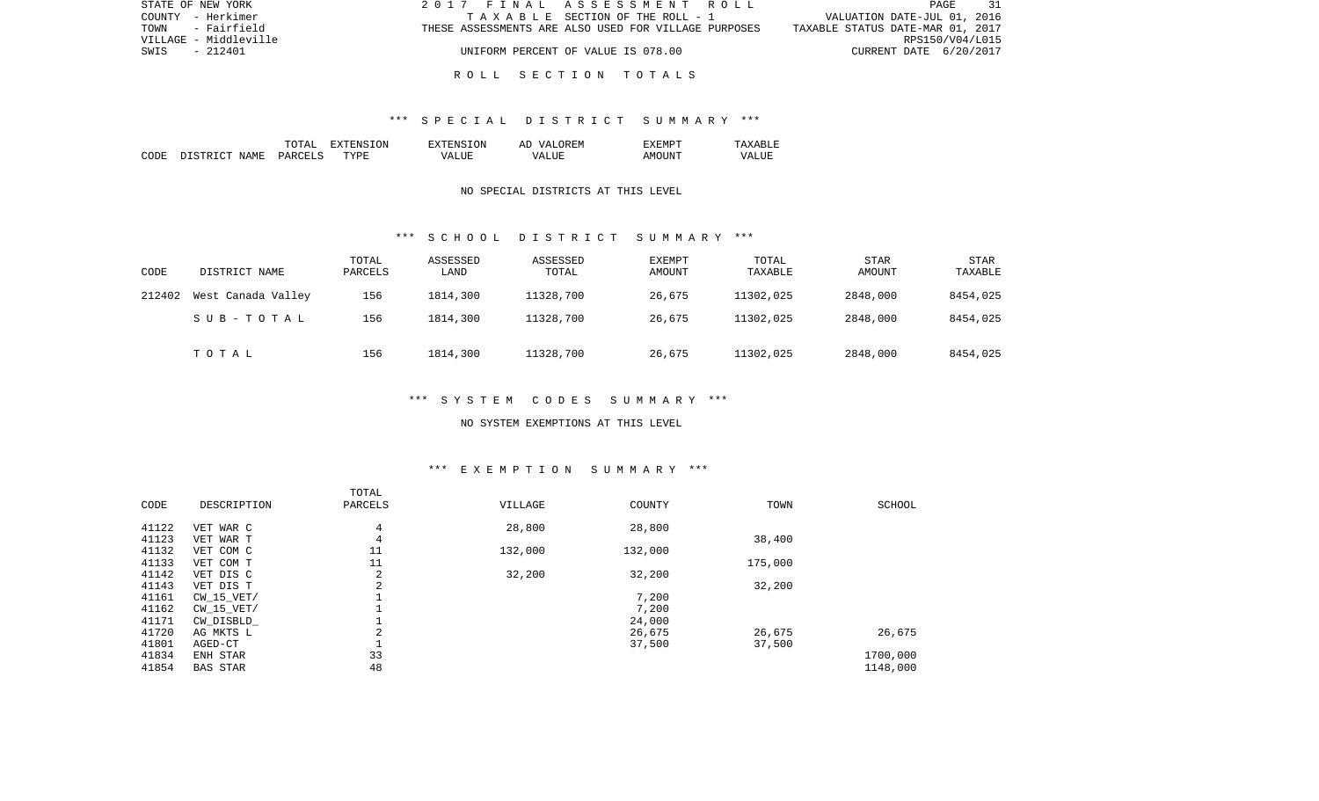| STATE OF NEW YORK     | 2017 FINAL ASSESSMENT ROLL                           |                                  | PAGE 31         |  |
|-----------------------|------------------------------------------------------|----------------------------------|-----------------|--|
| COUNTY - Herkimer     | TAXABLE SECTION OF THE ROLL - 1                      | VALUATION DATE-JUL 01, 2016      |                 |  |
| - Fairfield<br>TOWN   | THESE ASSESSMENTS ARE ALSO USED FOR VILLAGE PURPOSES | TAXABLE STATUS DATE-MAR 01, 2017 |                 |  |
| VILLAGE - Middleville |                                                      |                                  | RPS150/V04/L015 |  |
| SWIS<br>- 212401      | UNIFORM PERCENT OF VALUE IS 078.00                   | CURRENT DATE 6/20/2017           |                 |  |
|                       |                                                      |                                  |                 |  |

#### R O L L S E C T I O N T O T A L S

### \*\*\* S P E C I A L D I S T R I C T S U M M A R Y \*\*\*

|      |                             | $m \wedge m \wedge r$<br>∆יויי | <b>TON</b><br>H: N | EXTENSION    | <b>OREM</b><br>'د77<br>$\wedge$ $\vdots$<br>n. | ≤MΡ                     | .               |
|------|-----------------------------|--------------------------------|--------------------|--------------|------------------------------------------------|-------------------------|-----------------|
| CODE | $ \sim$<br>NAME.<br>, CTR T | PARCELS                        | TYPF               | - ---<br>MΔ. | TTT.<br>WΔ<br>.                                | 1N<br>$\mathsf{A}$ IVII | - 17 A L<br>LUP |

### NO SPECIAL DISTRICTS AT THIS LEVEL

#### \*\*\* S C H O O L D I S T R I C T S U M M A R Y \*\*\*

| CODE   | DISTRICT NAME      | TOTAL<br>PARCELS | ASSESSED<br>LAND | ASSESSED<br>TOTAL | EXEMPT<br>AMOUNT | TOTAL<br>TAXABLE | <b>STAR</b><br>AMOUNT | <b>STAR</b><br>TAXABLE |
|--------|--------------------|------------------|------------------|-------------------|------------------|------------------|-----------------------|------------------------|
| 212402 | West Canada Valley | 156              | 1814,300         | 11328,700         | 26,675           | 11302,025        | 2848,000              | 8454,025               |
|        | SUB-TOTAL          | 156              | 1814,300         | 11328,700         | 26,675           | 11302,025        | 2848,000              | 8454,025               |
|        | TOTAL              | 156              | 1814,300         | 11328,700         | 26,675           | 11302,025        | 2848,000              | 8454,025               |

## \*\*\* S Y S T E M C O D E S S U M M A R Y \*\*\*

#### NO SYSTEM EXEMPTIONS AT THIS LEVEL

## \*\*\* E X E M P T I O N S U M M A R Y \*\*\*

| CODE  | DESCRIPTION     | TOTAL<br>PARCELS | VILLAGE | COUNTY  | TOWN    | <b>SCHOOL</b> |
|-------|-----------------|------------------|---------|---------|---------|---------------|
| 41122 | VET WAR C       | 4                | 28,800  | 28,800  |         |               |
| 41123 | VET WAR T       | $\overline{4}$   |         |         | 38,400  |               |
| 41132 | VET COM C       | 11               | 132,000 | 132,000 |         |               |
| 41133 | VET COM T       | 11               |         |         | 175,000 |               |
| 41142 | VET DIS C       | 2                | 32,200  | 32,200  |         |               |
| 41143 | VET DIS T       | 2                |         |         | 32,200  |               |
| 41161 | $CW$ 15 $VET/$  |                  |         | 7,200   |         |               |
| 41162 | $CW$ 15 $VET/$  |                  |         | 7,200   |         |               |
| 41171 | CW DISBLD       |                  |         | 24,000  |         |               |
| 41720 | AG MKTS L       | 2                |         | 26,675  | 26,675  | 26,675        |
| 41801 | AGED-CT         | ÷                |         | 37,500  | 37,500  |               |
| 41834 | ENH STAR        | 33               |         |         |         | 1700,000      |
| 41854 | <b>BAS STAR</b> | 48               |         |         |         | 1148,000      |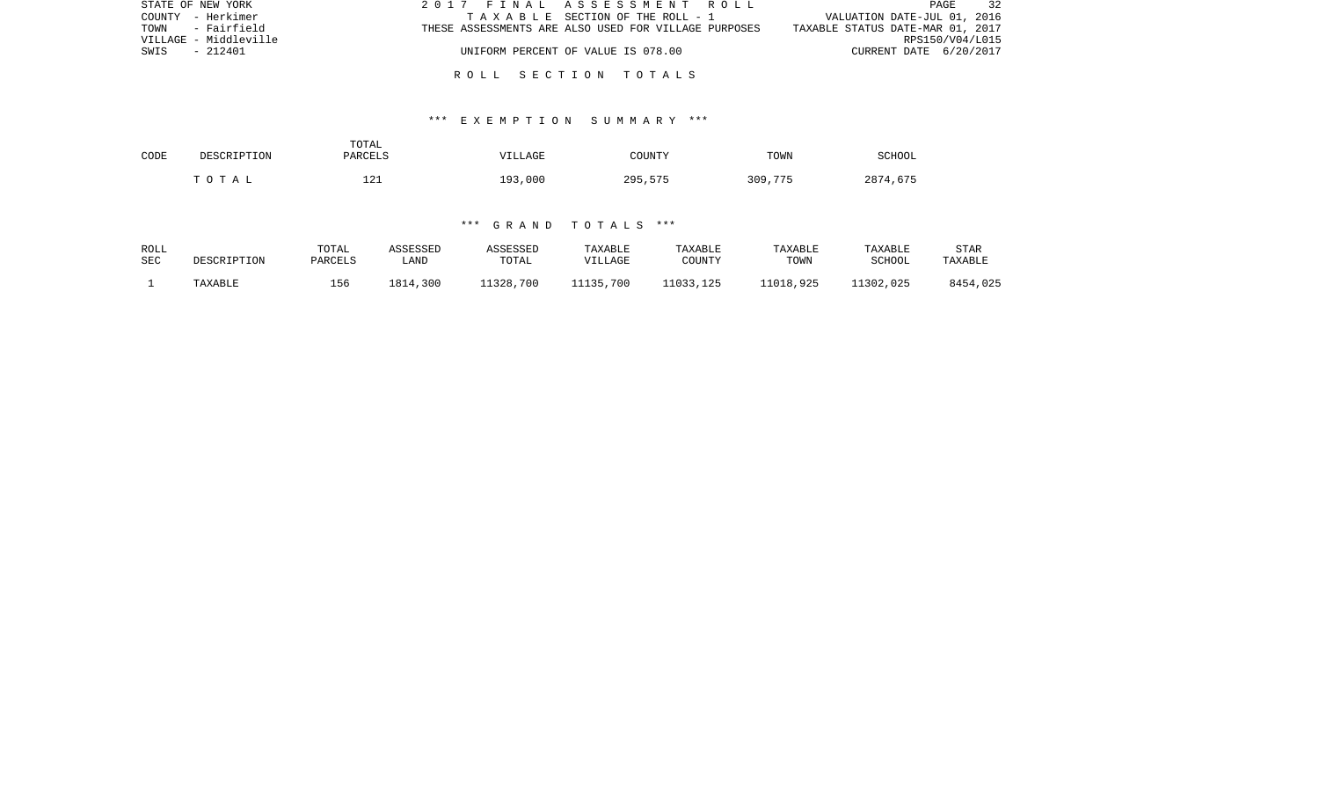| STATE OF NEW YORK     | 2017 FINAL ASSESSMENT ROLL                           | 32<br>PAGE                       |
|-----------------------|------------------------------------------------------|----------------------------------|
| COUNTY - Herkimer     | TAXABLE SECTION OF THE ROLL - 1                      | VALUATION DATE-JUL 01, 2016      |
| TOWN - Fairfield      | THESE ASSESSMENTS ARE ALSO USED FOR VILLAGE PURPOSES | TAXABLE STATUS DATE-MAR 01, 2017 |
| VILLAGE - Middleville |                                                      | RPS150/V04/L015                  |
| - 212401<br>SWIS      | UNIFORM PERCENT OF VALUE IS 078.00                   | CURRENT DATE 6/20/2017           |
|                       |                                                      |                                  |

R O L L S E C T I O N T O T A L S

### \*\*\* E X E M P T I O N S U M M A R Y \*\*\*

| CODE | DESCRIPTION | TOTAL<br><b>PARCELS</b> | VILLAGE | COUNTY  | TOWN    | SCHOOL   |
|------|-------------|-------------------------|---------|---------|---------|----------|
|      | TOTAL       | 121                     | 193,000 | 295,575 | 309,775 | 2874,675 |

### \*\*\* G R A N D T O T A L S \*\*\*

| ROLL | DESCRIPTION | TOTAL   | ASSESSED | ASSESSED  | TAXABLE   | TAXABLE   | <b>TAXABLE</b> | TAXABLE   | STAR     |
|------|-------------|---------|----------|-----------|-----------|-----------|----------------|-----------|----------|
| SEC  |             | PARCELS | LAND     | TOTAL     | VILLAGE   | COUNTY    | TOWN           | SCHOOL    | TAXABLE  |
|      | TAXABLE     | 156     | 1814,300 | 11328,700 | 11135,700 | 11033,125 | 11018,925      | 11302,025 | 8454,025 |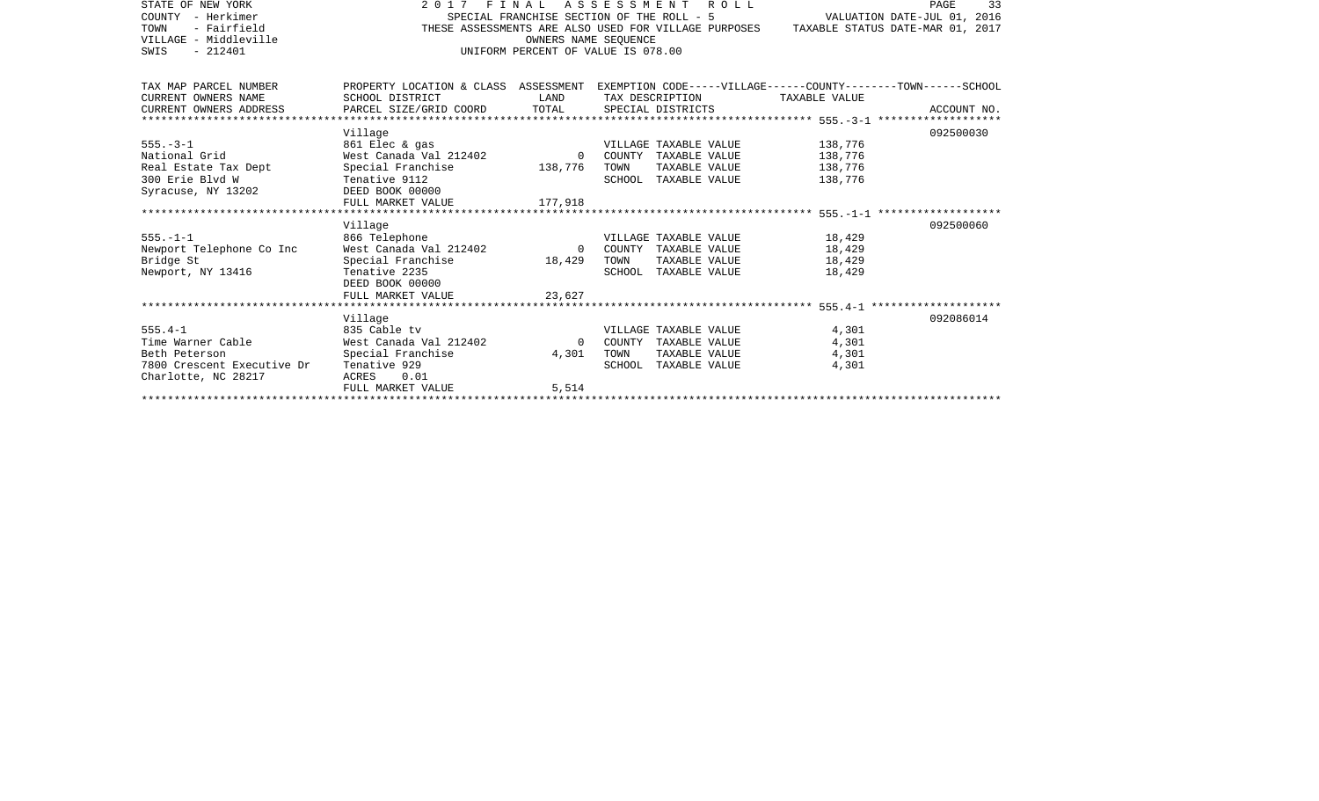| STATE OF NEW YORK<br>COUNTY - Herkimer<br>- Fairfield<br>TOWN<br>VILLAGE - Middleville<br>$-212401$<br>SWIS | 2017 FINAL ASSESSMENT<br>R O L L<br>PAGE<br>VALUATION DATE-JUL 01, 2016<br>SPECIAL FRANCHISE SECTION OF THE ROLL - 5<br>THESE ASSESSMENTS ARE ALSO USED FOR VILLAGE PURPOSES<br>TAXABLE STATUS DATE-MAR 01, 2017<br>OWNERS NAME SEOUENCE<br>UNIFORM PERCENT OF VALUE IS 078.00 |                |      |                                               |                    |           |  |  |
|-------------------------------------------------------------------------------------------------------------|--------------------------------------------------------------------------------------------------------------------------------------------------------------------------------------------------------------------------------------------------------------------------------|----------------|------|-----------------------------------------------|--------------------|-----------|--|--|
| TAX MAP PARCEL NUMBER                                                                                       | PROPERTY LOCATION & CLASS ASSESSMENT EXEMPTION CODE-----VILLAGE------COUNTY-------TOWN------SCHOOL                                                                                                                                                                             |                |      |                                               |                    |           |  |  |
| CURRENT OWNERS NAME                                                                                         | SCHOOL DISTRICT                                                                                                                                                                                                                                                                | LAND           |      | TAX DESCRIPTION                               | TAXABLE VALUE      |           |  |  |
| CURRENT OWNERS ADDRESS                                                                                      |                                                                                                                                                                                                                                                                                |                |      |                                               |                    |           |  |  |
|                                                                                                             |                                                                                                                                                                                                                                                                                |                |      |                                               |                    |           |  |  |
| $555. - 3 - 1$                                                                                              | Village                                                                                                                                                                                                                                                                        |                |      |                                               |                    | 092500030 |  |  |
| National Grid                                                                                               | 861 Elec & gas<br>West Canada Val 212402 (                                                                                                                                                                                                                                     | $\overline{0}$ |      | VILLAGE TAXABLE VALUE<br>COUNTY TAXABLE VALUE | 138,776<br>138,776 |           |  |  |
| Real Estate Tax Dept                                                                                        | Special Franchise                                                                                                                                                                                                                                                              | 138,776        | TOWN | TAXABLE VALUE                                 | 138,776            |           |  |  |
| 300 Erie Blvd W                                                                                             | Tenative 9112                                                                                                                                                                                                                                                                  |                |      | SCHOOL TAXABLE VALUE                          | 138,776            |           |  |  |
| Syracuse, NY 13202                                                                                          | DEED BOOK 00000                                                                                                                                                                                                                                                                |                |      |                                               |                    |           |  |  |
|                                                                                                             | FULL MARKET VALUE                                                                                                                                                                                                                                                              | 177,918        |      |                                               |                    |           |  |  |
|                                                                                                             |                                                                                                                                                                                                                                                                                |                |      |                                               |                    |           |  |  |
|                                                                                                             | Village                                                                                                                                                                                                                                                                        |                |      |                                               |                    | 092500060 |  |  |
| $555. -1 - 1$                                                                                               | 866 Telephone                                                                                                                                                                                                                                                                  |                |      | VILLAGE TAXABLE VALUE                         | 18,429             |           |  |  |
| Newport Telephone Co Inc                                                                                    | West Canada Val 212402 0                                                                                                                                                                                                                                                       |                |      | COUNTY TAXABLE VALUE                          | 18,429             |           |  |  |
| Bridge St                                                                                                   | Special Franchise                                                                                                                                                                                                                                                              | 18,429         | TOWN | TAXABLE VALUE                                 | 18,429             |           |  |  |
| Newport, NY 13416                                                                                           | Tenative 2235                                                                                                                                                                                                                                                                  |                |      | SCHOOL TAXABLE VALUE                          | 18,429             |           |  |  |
|                                                                                                             | DEED BOOK 00000<br>FULL MARKET VALUE                                                                                                                                                                                                                                           | 23,627         |      |                                               |                    |           |  |  |
|                                                                                                             |                                                                                                                                                                                                                                                                                |                |      |                                               |                    |           |  |  |
|                                                                                                             | Village                                                                                                                                                                                                                                                                        |                |      |                                               |                    | 092086014 |  |  |
| $555.4 - 1$                                                                                                 | 835 Cable tv                                                                                                                                                                                                                                                                   |                |      | VILLAGE TAXABLE VALUE 4,301                   |                    |           |  |  |
| Time Warner Cable                                                                                           | West Canada Val 212402 0                                                                                                                                                                                                                                                       |                |      | COUNTY TAXABLE VALUE                          | 4,301              |           |  |  |
| Beth Peterson                                                                                               | Special Franchise                                                                                                                                                                                                                                                              | 4,301          | TOWN | TAXABLE VALUE                                 | 4,301              |           |  |  |
| 7800 Crescent Executive Dr                                                                                  | Tenative 929                                                                                                                                                                                                                                                                   |                |      | SCHOOL TAXABLE VALUE                          | 4,301              |           |  |  |
| Charlotte, NC 28217                                                                                         | ACRES<br>0.01                                                                                                                                                                                                                                                                  |                |      |                                               |                    |           |  |  |
|                                                                                                             | FULL MARKET VALUE                                                                                                                                                                                                                                                              | 5,514          |      |                                               |                    |           |  |  |
|                                                                                                             |                                                                                                                                                                                                                                                                                |                |      |                                               |                    |           |  |  |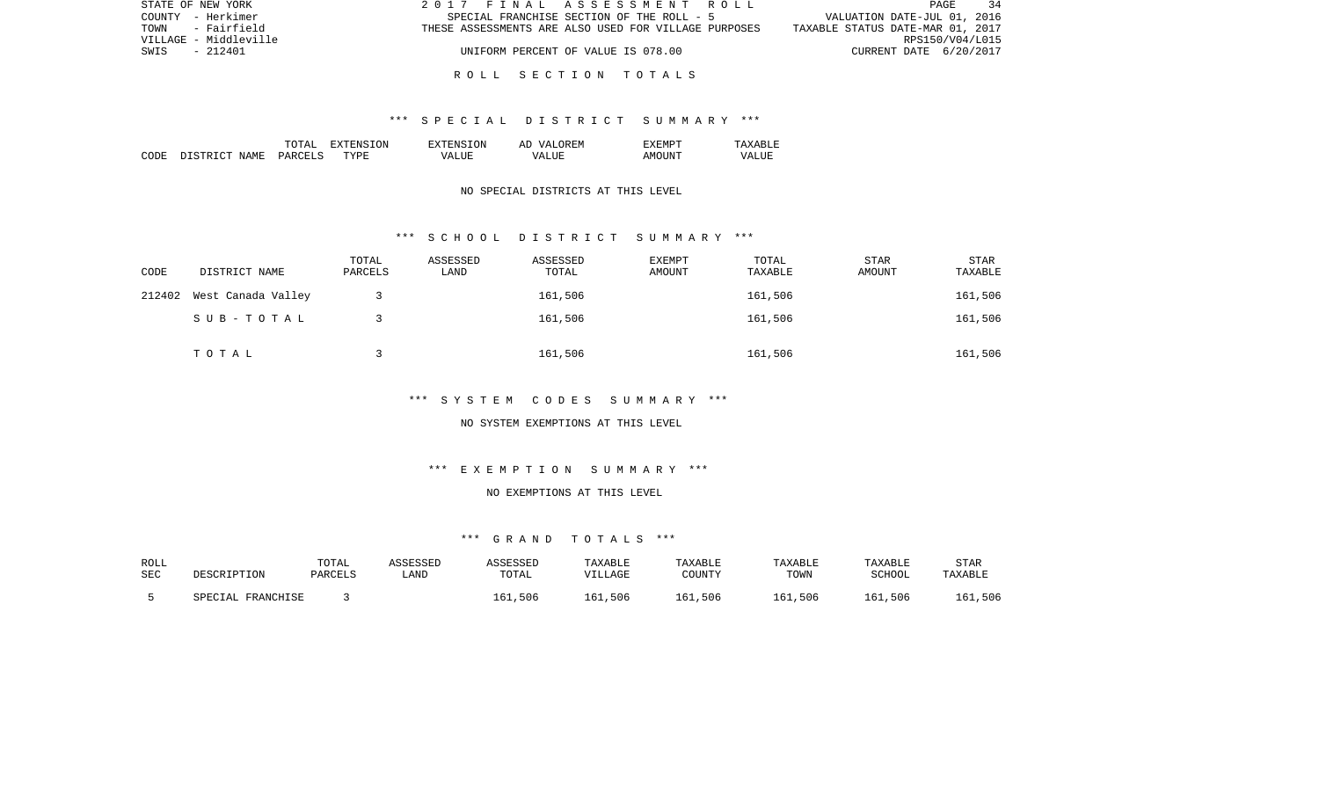| STATE OF NEW YORK     | 2017 FINAL ASSESSMENT ROLL                           | - 34<br>PAGE                     |
|-----------------------|------------------------------------------------------|----------------------------------|
| COUNTY - Herkimer     | SPECIAL FRANCHISE SECTION OF THE ROLL - 5            | VALUATION DATE-JUL 01, 2016      |
| - Fairfield<br>TOWN   | THESE ASSESSMENTS ARE ALSO USED FOR VILLAGE PURPOSES | TAXABLE STATUS DATE-MAR 01, 2017 |
| VILLAGE - Middleville |                                                      | RPS150/V04/L015                  |
| SWIS<br>- 212401      | UNIFORM PERCENT OF VALUE IS 078.00                   | CURRENT DATE 6/20/2017           |
|                       |                                                      |                                  |

#### R O L L S E C T I O N T O T A L S

### \*\*\* S P E C I A L D I S T R I C T S U M M A R Y \*\*\*

|      |                           | ו ב∠יוי       | .ON.<br>. л. | <b>TON</b><br>ENS.      | OREM<br>AĽ<br>$\sqrt{ }$ |           | $\cdots$<br>.       |
|------|---------------------------|---------------|--------------|-------------------------|--------------------------|-----------|---------------------|
| CODE | NAME.<br>$\sim$<br>T STR' | PARCET<br>$-$ | TYPE         | TJIR.<br>™Д.<br>د لله ا | T.HR:<br>$\sqrt{A}$      | <b>IN</b> | vд<br>LU.<br>______ |

## NO SPECIAL DISTRICTS AT THIS LEVEL

#### \*\*\* S C H O O L D I S T R I C T S U M M A R Y \*\*\*

| CODE   | DISTRICT NAME      | TOTAL<br>PARCELS | ASSESSED<br>LAND | ASSESSED<br>TOTAL | EXEMPT<br>AMOUNT | TOTAL<br>TAXABLE | STAR<br>AMOUNT | <b>STAR</b><br>TAXABLE |
|--------|--------------------|------------------|------------------|-------------------|------------------|------------------|----------------|------------------------|
| 212402 | West Canada Valley |                  |                  | 161,506           |                  | 161,506          |                | 161,506                |
|        | SUB-TOTAL          |                  |                  | 161,506           |                  | 161,506          |                | 161,506                |
|        | TOTAL              |                  |                  | 161,506           |                  | 161,506          |                | 161,506                |

## \*\*\* S Y S T E M C O D E S S U M M A R Y \*\*\*

#### NO SYSTEM EXEMPTIONS AT THIS LEVEL

# \*\*\* E X E M P T I O N S U M M A R Y \*\*\*

## NO EXEMPTIONS AT THIS LEVEL

## \*\*\* G R A N D T O T A L S \*\*\*

| ROLL |                   | TOTAL   | ASSESSEP | ASSESSED | <b>TAXABLE</b> | TAXABLE | <b>TAXABLE</b> | TAXABLE | <b>STAR</b> |
|------|-------------------|---------|----------|----------|----------------|---------|----------------|---------|-------------|
| SEC  | DESCRIPTION       | PARCELS | LAND     | TOTAL    | VILLAGE        | COUNTY  | TOWN           | SCHOOL  | TAXABLE     |
|      | SPECIAL FRANCHISE |         |          | 161,506  | 161,506        | 161,506 | 161,506        | 161,506 | 161,506     |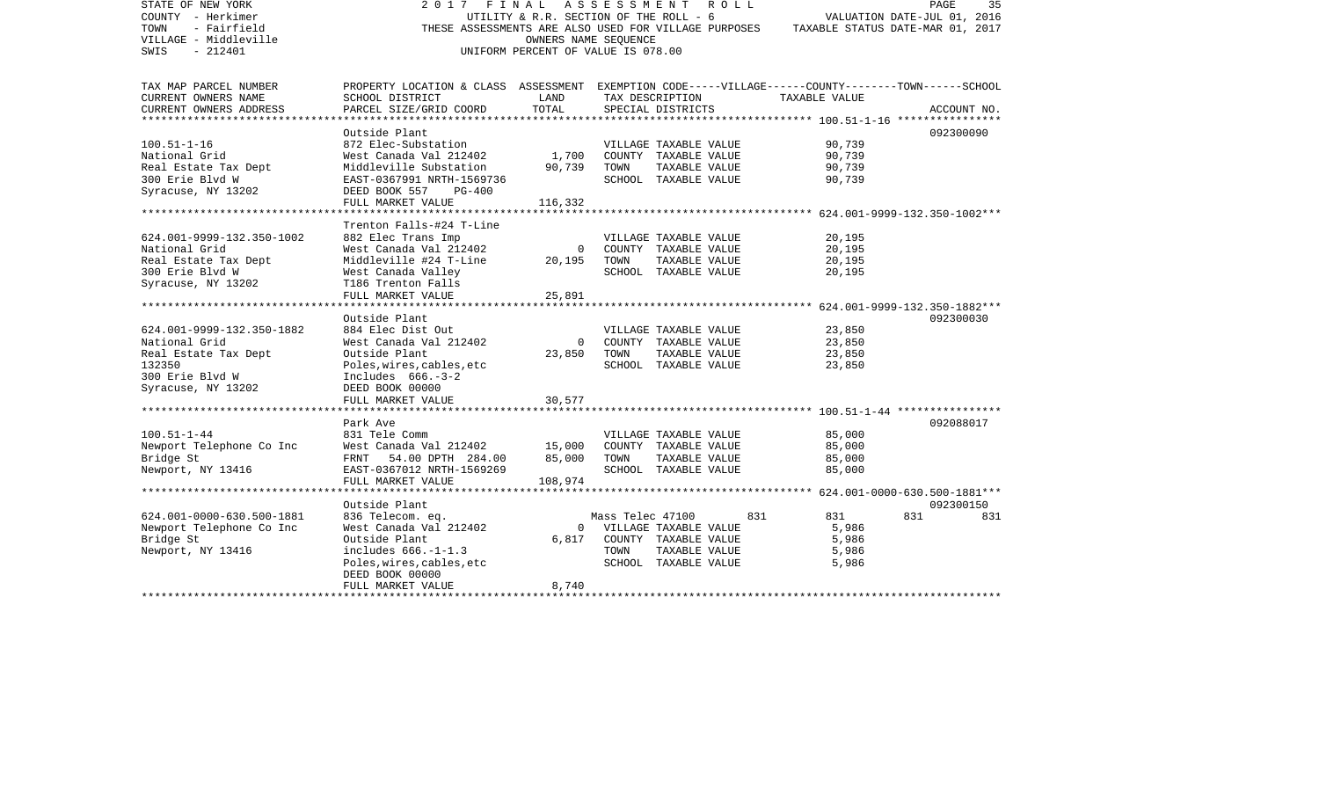| STATE OF NEW YORK<br>COUNTY - Herkimer<br>- Fairfield<br>TOWN<br>VILLAGE - Middleville<br>SWIS<br>$-212401$ | 2017                                                                                                                  | FINAL<br>UTILITY & R.R. SECTION OF THE ROLL - 6<br>OWNERS NAME SEQUENCE<br>UNIFORM PERCENT OF VALUE IS 078.00 |                  | A S S E S S M E N T A O L L<br>THESE ASSESSMENTS ARE ALSO USED FOR VILLAGE PURPOSES | TAXABLE STATUS DATE-MAR 01, 2017 | PAGE<br>VALUATION DATE-JUL 01, 2016 | 35          |
|-------------------------------------------------------------------------------------------------------------|-----------------------------------------------------------------------------------------------------------------------|---------------------------------------------------------------------------------------------------------------|------------------|-------------------------------------------------------------------------------------|----------------------------------|-------------------------------------|-------------|
| TAX MAP PARCEL NUMBER<br>CURRENT OWNERS NAME                                                                | PROPERTY LOCATION & CLASS ASSESSMENT EXEMPTION CODE-----VILLAGE------COUNTY-------TOWN------SCHOOL<br>SCHOOL DISTRICT | LAND                                                                                                          |                  | TAX DESCRIPTION                                                                     | TAXABLE VALUE                    |                                     |             |
| CURRENT OWNERS ADDRESS                                                                                      | PARCEL SIZE/GRID COORD                                                                                                | TOTAL                                                                                                         |                  | SPECIAL DISTRICTS                                                                   |                                  |                                     | ACCOUNT NO. |
| *************************                                                                                   | ************************                                                                                              |                                                                                                               |                  |                                                                                     |                                  |                                     |             |
|                                                                                                             | Outside Plant                                                                                                         |                                                                                                               |                  |                                                                                     |                                  |                                     | 092300090   |
| $100.51 - 1 - 16$                                                                                           | 872 Elec-Substation                                                                                                   |                                                                                                               |                  | VILLAGE TAXABLE VALUE                                                               | 90,739                           |                                     |             |
| National Grid                                                                                               | West Canada Val 212402                                                                                                | 1,700                                                                                                         |                  | COUNTY TAXABLE VALUE                                                                | 90,739                           |                                     |             |
| Real Estate Tax Dept                                                                                        | Middleville Substation                                                                                                | 90,739                                                                                                        | TOWN             | TAXABLE VALUE                                                                       | 90,739                           |                                     |             |
| 300 Erie Blvd W                                                                                             | EAST-0367991 NRTH-1569736                                                                                             |                                                                                                               |                  | SCHOOL TAXABLE VALUE                                                                | 90,739                           |                                     |             |
| Syracuse, NY 13202                                                                                          | DEED BOOK 557<br>$PG-400$<br>FULL MARKET VALUE                                                                        | 116,332                                                                                                       |                  |                                                                                     |                                  |                                     |             |
|                                                                                                             |                                                                                                                       |                                                                                                               |                  |                                                                                     |                                  |                                     |             |
|                                                                                                             | Trenton Falls-#24 T-Line                                                                                              |                                                                                                               |                  |                                                                                     |                                  |                                     |             |
| 624.001-9999-132.350-1002                                                                                   | 882 Elec Trans Imp                                                                                                    |                                                                                                               |                  | VILLAGE TAXABLE VALUE                                                               | 20,195                           |                                     |             |
| National Grid                                                                                               | West Canada Val 212402                                                                                                | $\mathsf{O}$                                                                                                  |                  | COUNTY TAXABLE VALUE                                                                | 20,195                           |                                     |             |
| Real Estate Tax Dept                                                                                        | Middleville #24 T-Line                                                                                                | 20,195                                                                                                        | TOWN             | TAXABLE VALUE                                                                       | 20,195                           |                                     |             |
| 300 Erie Blvd W                                                                                             | West Canada Valley                                                                                                    |                                                                                                               |                  | SCHOOL TAXABLE VALUE                                                                | 20,195                           |                                     |             |
| Syracuse, NY 13202                                                                                          | T186 Trenton Falls                                                                                                    |                                                                                                               |                  |                                                                                     |                                  |                                     |             |
| **************************                                                                                  | FULL MARKET VALUE                                                                                                     | 25,891                                                                                                        |                  |                                                                                     |                                  |                                     |             |
|                                                                                                             | Outside Plant                                                                                                         |                                                                                                               |                  |                                                                                     |                                  |                                     | 092300030   |
| 624.001-9999-132.350-1882                                                                                   | 884 Elec Dist Out                                                                                                     |                                                                                                               |                  | VILLAGE TAXABLE VALUE                                                               | 23,850                           |                                     |             |
| National Grid                                                                                               | West Canada Val 212402                                                                                                | $\Omega$                                                                                                      |                  | COUNTY TAXABLE VALUE                                                                | 23,850                           |                                     |             |
| Real Estate Tax Dept                                                                                        | Outside Plant                                                                                                         | 23,850                                                                                                        | TOWN             | TAXABLE VALUE                                                                       | 23,850                           |                                     |             |
| 132350                                                                                                      | Poles, wires, cables, etc                                                                                             |                                                                                                               |                  | SCHOOL TAXABLE VALUE                                                                | 23,850                           |                                     |             |
| 300 Erie Blvd W                                                                                             | Includes $666. -3-2$                                                                                                  |                                                                                                               |                  |                                                                                     |                                  |                                     |             |
| Syracuse, NY 13202                                                                                          | DEED BOOK 00000                                                                                                       |                                                                                                               |                  |                                                                                     |                                  |                                     |             |
|                                                                                                             | FULL MARKET VALUE                                                                                                     | 30,577                                                                                                        |                  |                                                                                     |                                  |                                     |             |
|                                                                                                             | Park Ave                                                                                                              |                                                                                                               |                  |                                                                                     |                                  |                                     | 092088017   |
| $100.51 - 1 - 44$                                                                                           | 831 Tele Comm                                                                                                         |                                                                                                               |                  | VILLAGE TAXABLE VALUE                                                               | 85,000                           |                                     |             |
| Newport Telephone Co Inc                                                                                    | West Canada Val 212402                                                                                                | 15,000                                                                                                        |                  | COUNTY TAXABLE VALUE                                                                | 85,000                           |                                     |             |
| Bridge St                                                                                                   | FRNT 54.00 DPTH 284.00                                                                                                | 85,000                                                                                                        | TOWN             | TAXABLE VALUE                                                                       | 85,000                           |                                     |             |
| Newport, NY 13416                                                                                           | EAST-0367012 NRTH-1569269                                                                                             |                                                                                                               |                  | SCHOOL TAXABLE VALUE                                                                | 85,000                           |                                     |             |
|                                                                                                             | FULL MARKET VALUE                                                                                                     | 108,974                                                                                                       |                  |                                                                                     |                                  |                                     |             |
|                                                                                                             | ********************                                                                                                  |                                                                                                               |                  |                                                                                     |                                  |                                     |             |
|                                                                                                             | Outside Plant                                                                                                         |                                                                                                               |                  |                                                                                     |                                  |                                     | 092300150   |
| 624.001-0000-630.500-1881                                                                                   | 836 Telecom. eq.                                                                                                      |                                                                                                               | Mass Telec 47100 |                                                                                     | 831<br>831                       | 831                                 | 831         |
| Newport Telephone Co Inc<br>Bridge St                                                                       | West Canada Val 212402<br>Outside Plant                                                                               | $\overline{0}$<br>6,817                                                                                       |                  | VILLAGE TAXABLE VALUE<br>COUNTY TAXABLE VALUE                                       | 5,986<br>5,986                   |                                     |             |
| Newport, NY 13416                                                                                           | includes $666. -1 - 1.3$                                                                                              |                                                                                                               | TOWN             | TAXABLE VALUE                                                                       | 5,986                            |                                     |             |
|                                                                                                             | Poles, wires, cables, etc                                                                                             |                                                                                                               |                  | SCHOOL TAXABLE VALUE                                                                | 5,986                            |                                     |             |
|                                                                                                             | DEED BOOK 00000                                                                                                       |                                                                                                               |                  |                                                                                     |                                  |                                     |             |
|                                                                                                             | FULL MARKET VALUE                                                                                                     | 8,740                                                                                                         |                  |                                                                                     |                                  |                                     |             |
|                                                                                                             |                                                                                                                       |                                                                                                               |                  |                                                                                     |                                  |                                     |             |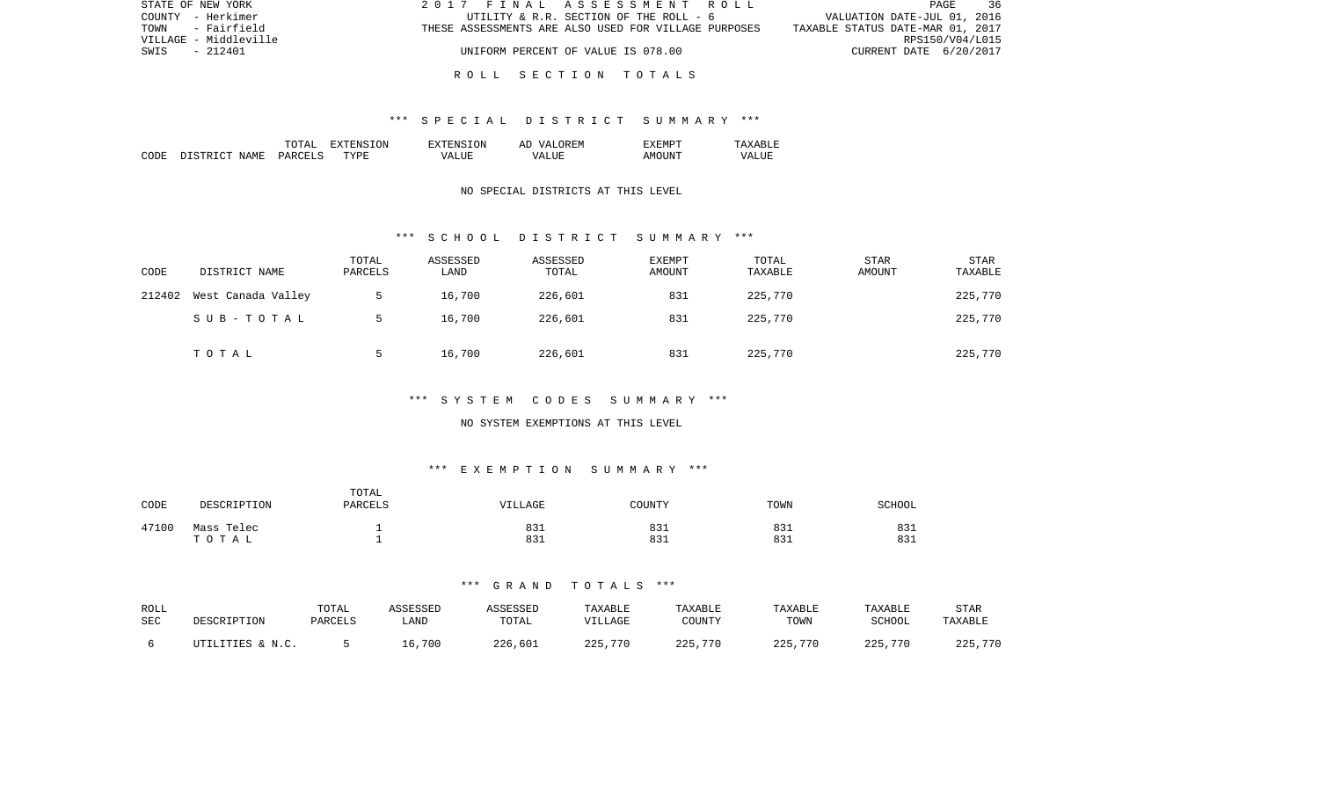| STATE OF NEW YORK     | 2017 FINAL ASSESSMENT ROLL                           | PAGE<br>36                       |
|-----------------------|------------------------------------------------------|----------------------------------|
| COUNTY - Herkimer     | UTILITY & R.R. SECTION OF THE ROLL - 6               | VALUATION DATE-JUL 01, 2016      |
| - Fairfield<br>TOWN   | THESE ASSESSMENTS ARE ALSO USED FOR VILLAGE PURPOSES | TAXABLE STATUS DATE-MAR 01, 2017 |
| VILLAGE - Middleville |                                                      | RPS150/V04/L015                  |
| SWIS<br>$-212401$     | UNIFORM PERCENT OF VALUE IS 078.00                   | CURRENT DATE 6/20/2017           |
|                       |                                                      |                                  |

### R O L L S E C T I O N T O T A L S

### \*\*\* S P E C I A L D I S T R I C T S U M M A R Y \*\*\*

|      |                   | ͲႶͲϪͳ                           | ON<br>$\tau$<br>. А | TON<br>$\neg$ v $\neg$ FNS $\neg$ | OREM<br>77 D<br>AΓ   | "XEMPT |                  |
|------|-------------------|---------------------------------|---------------------|-----------------------------------|----------------------|--------|------------------|
| CODE | ገ ደጥ በጣጥ<br>NAME. | <b>PARCELS</b><br>$\sim$ $\sim$ | TYPF.               | $- - - -$<br>VД                   | $- - - -$<br>۲Z<br>. | AMOUNT | VALU.<br>_______ |

## NO SPECIAL DISTRICTS AT THIS LEVEL

### \*\*\* S C H O O L D I S T R I C T S U M M A R Y \*\*\*

| CODE   | DISTRICT NAME      | TOTAL<br>PARCELS | ASSESSED<br>LAND | ASSESSED<br>TOTAL | EXEMPT<br>AMOUNT | TOTAL<br>TAXABLE | <b>STAR</b><br>AMOUNT | STAR<br>TAXABLE |
|--------|--------------------|------------------|------------------|-------------------|------------------|------------------|-----------------------|-----------------|
| 212402 | West Canada Valley |                  | 16,700           | 226,601           | 831              | 225,770          |                       | 225,770         |
|        | SUB-TOTAL          |                  | 16,700           | 226,601           | 831              | 225,770          |                       | 225,770         |
|        | TOTAL              |                  | 16,700           | 226,601           | 831              | 225,770          |                       | 225,770         |

# \*\*\* S Y S T E M C O D E S S U M M A R Y \*\*\*

#### NO SYSTEM EXEMPTIONS AT THIS LEVEL

# \*\*\* E X E M P T I O N S U M M A R Y \*\*\*

| CODE  | DESCRIPTION | TOTAL<br>PARCELS | VILLAGE | COUNTY | TOWN | SCHOOL |
|-------|-------------|------------------|---------|--------|------|--------|
| 47100 | Mass Telec  |                  | 831     | 831    | 831  | 831    |
|       | тотац       |                  | 831     | 831    | 831  | 831    |

## \*\*\* G R A N D T O T A L S \*\*\*

| ROLL | DESCRIPTION      | TOTAL   | ASSESSED | ASSESSED | TAXABLE | TAXABLE | TAXABLE | TAXABLE | STAR    |
|------|------------------|---------|----------|----------|---------|---------|---------|---------|---------|
| SEC  |                  | PARCELS | LAND     | TOTAL    | VILLAGE | COUNTY  | TOWN    | SCHOOL  | TAXABLE |
|      | UTILITIES & N.C. |         | 16,700   | 226,601  | 225,770 | 225,770 | 225,770 | 225,770 | 225,770 |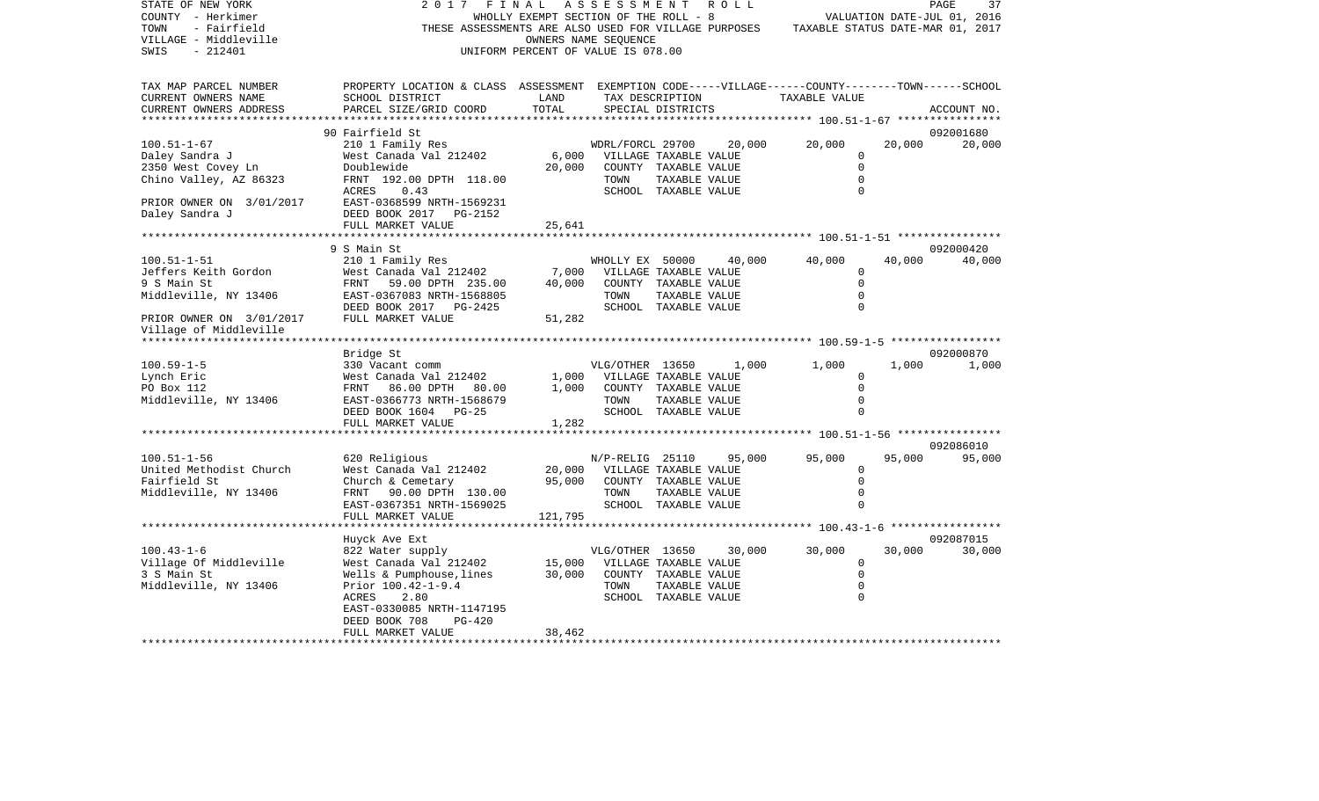| STATE OF NEW YORK<br>COUNTY - Herkimer<br>TOWN<br>- Fairfield<br>VILLAGE - Middleville<br>$-212401$<br>SWIS | 2017<br>FINAL                                                                                                                                  | WHOLLY EXEMPT SECTION OF THE ROLL - 8<br>UNIFORM PERCENT OF VALUE IS 078.00 | A S S E S S M E N T<br>OWNERS NAME SEQUENCE |               | R O L L         | THESE ASSESSMENTS ARE ALSO USED FOR VILLAGE PURPOSES TAXABLE STATUS DATE-MAR 01, 2017 |        | 37<br>PAGE<br>VALUATION DATE-JUL 01, 2016 |
|-------------------------------------------------------------------------------------------------------------|------------------------------------------------------------------------------------------------------------------------------------------------|-----------------------------------------------------------------------------|---------------------------------------------|---------------|-----------------|---------------------------------------------------------------------------------------|--------|-------------------------------------------|
| TAX MAP PARCEL NUMBER<br>CURRENT OWNERS NAME<br>CURRENT OWNERS ADDRESS                                      | PROPERTY LOCATION & CLASS ASSESSMENT EXEMPTION CODE-----VILLAGE------COUNTY-------TOWN-----SCHOOL<br>SCHOOL DISTRICT<br>PARCEL SIZE/GRID COORD | LAND<br>TOTAL                                                               | SPECIAL DISTRICTS                           |               | TAX DESCRIPTION | TAXABLE VALUE                                                                         |        | ACCOUNT NO.                               |
|                                                                                                             |                                                                                                                                                |                                                                             |                                             |               |                 |                                                                                       |        |                                           |
| $100.51 - 1 - 67$                                                                                           | 90 Fairfield St<br>210 1 Family Res                                                                                                            |                                                                             | WDRL/FORCL 29700                            |               | 20,000          | 20,000                                                                                | 20,000 | 092001680<br>20,000                       |
| Daley Sandra J                                                                                              | West Canada Val 212402                                                                                                                         |                                                                             | 6,000 VILLAGE TAXABLE VALUE                 |               |                 | $\Omega$                                                                              |        |                                           |
| 2350 West Covey Ln                                                                                          | Doublewide                                                                                                                                     | 20,000                                                                      | COUNTY TAXABLE VALUE                        |               |                 | $\mathbf 0$                                                                           |        |                                           |
| Chino Valley, AZ 86323                                                                                      | FRNT 192.00 DPTH 118.00                                                                                                                        |                                                                             | TOWN                                        | TAXABLE VALUE |                 | $\Omega$                                                                              |        |                                           |
|                                                                                                             | ACRES<br>0.43                                                                                                                                  |                                                                             | SCHOOL TAXABLE VALUE                        |               |                 | $\Omega$                                                                              |        |                                           |
| PRIOR OWNER ON 3/01/2017                                                                                    | EAST-0368599 NRTH-1569231                                                                                                                      |                                                                             |                                             |               |                 |                                                                                       |        |                                           |
| Daley Sandra J                                                                                              | DEED BOOK 2017 PG-2152                                                                                                                         |                                                                             |                                             |               |                 |                                                                                       |        |                                           |
|                                                                                                             | FULL MARKET VALUE                                                                                                                              | 25,641<br>********:                                                         |                                             |               |                 |                                                                                       |        |                                           |
|                                                                                                             | 9 S Main St                                                                                                                                    |                                                                             |                                             |               |                 |                                                                                       |        | 092000420                                 |
| $100.51 - 1 - 51$                                                                                           | 210 1 Family Res                                                                                                                               |                                                                             | WHOLLY EX 50000                             |               | 40,000          | 40,000                                                                                | 40,000 | 40,000                                    |
| Jeffers Keith Gordon                                                                                        | West Canada Val 212402                                                                                                                         | 7,000                                                                       | VILLAGE TAXABLE VALUE                       |               |                 | $\mathbf 0$                                                                           |        |                                           |
| 9 S Main St                                                                                                 | FRNT<br>59.00 DPTH 235.00                                                                                                                      | 40,000                                                                      | COUNTY TAXABLE VALUE                        |               |                 | $\mathbf 0$                                                                           |        |                                           |
| Middleville, NY 13406                                                                                       | EAST-0367083 NRTH-1568805                                                                                                                      |                                                                             | TOWN                                        | TAXABLE VALUE |                 | $\mathbf 0$                                                                           |        |                                           |
|                                                                                                             | DEED BOOK 2017 PG-2425                                                                                                                         |                                                                             | SCHOOL TAXABLE VALUE                        |               |                 | $\Omega$                                                                              |        |                                           |
| PRIOR OWNER ON 3/01/2017<br>Village of Middleville                                                          | FULL MARKET VALUE                                                                                                                              | 51,282                                                                      |                                             |               |                 |                                                                                       |        |                                           |
|                                                                                                             |                                                                                                                                                |                                                                             |                                             |               |                 |                                                                                       |        |                                           |
| $100.59 - 1 - 5$                                                                                            | Bridge St<br>330 Vacant comm                                                                                                                   |                                                                             | VLG/OTHER 13650                             |               | 1,000           | 1,000                                                                                 | 1,000  | 092000870<br>1,000                        |
| Lynch Eric                                                                                                  | West Canada Val 212402                                                                                                                         | 1,000                                                                       | VILLAGE TAXABLE VALUE                       |               |                 | $\Omega$                                                                              |        |                                           |
| PO Box 112                                                                                                  | FRNT 86.00 DPTH 80.00                                                                                                                          | 1,000                                                                       | COUNTY TAXABLE VALUE                        |               |                 | $\mathbf 0$                                                                           |        |                                           |
| Middleville, NY 13406                                                                                       | EAST-0366773 NRTH-1568679                                                                                                                      |                                                                             | TOWN                                        | TAXABLE VALUE |                 | $\mathbf{0}$                                                                          |        |                                           |
|                                                                                                             | DEED BOOK 1604 PG-25                                                                                                                           |                                                                             | SCHOOL TAXABLE VALUE                        |               |                 | $\Omega$                                                                              |        |                                           |
|                                                                                                             | FULL MARKET VALUE                                                                                                                              | 1,282                                                                       |                                             |               |                 |                                                                                       |        |                                           |
|                                                                                                             |                                                                                                                                                |                                                                             |                                             |               |                 |                                                                                       |        |                                           |
|                                                                                                             |                                                                                                                                                |                                                                             |                                             |               |                 |                                                                                       |        | 092086010                                 |
| $100.51 - 1 - 56$<br>United Methodist Church                                                                | 620 Religious<br>West Canada Val 212402                                                                                                        | 20,000                                                                      | N/P-RELIG 25110<br>VILLAGE TAXABLE VALUE    |               | 95,000          | 95,000<br>$\mathbf 0$                                                                 | 95,000 | 95,000                                    |
| Fairfield St                                                                                                | Church & Cemetary                                                                                                                              | 95,000                                                                      | COUNTY TAXABLE VALUE                        |               |                 | $\mathbf 0$                                                                           |        |                                           |
| Middleville, NY 13406                                                                                       | FRNT 90.00 DPTH 130.00                                                                                                                         |                                                                             | TOWN                                        | TAXABLE VALUE |                 | $\mathbf 0$                                                                           |        |                                           |
|                                                                                                             | EAST-0367351 NRTH-1569025                                                                                                                      |                                                                             | SCHOOL TAXABLE VALUE                        |               |                 | $\Omega$                                                                              |        |                                           |
|                                                                                                             | FULL MARKET VALUE                                                                                                                              | 121,795                                                                     |                                             |               |                 |                                                                                       |        |                                           |
|                                                                                                             | *******************                                                                                                                            |                                                                             |                                             |               |                 |                                                                                       |        |                                           |
|                                                                                                             | Huyck Ave Ext                                                                                                                                  |                                                                             |                                             |               |                 |                                                                                       |        | 092087015                                 |
| $100.43 - 1 - 6$                                                                                            | 822 Water supply                                                                                                                               |                                                                             | VLG/OTHER 13650                             |               | 30,000          | 30,000                                                                                | 30,000 | 30,000                                    |
| Village Of Middleville                                                                                      | West Canada Val 212402                                                                                                                         | 15,000                                                                      | VILLAGE TAXABLE VALUE                       |               |                 | 0<br>$\mathbf 0$                                                                      |        |                                           |
| 3 S Main St<br>Middleville, NY 13406                                                                        | Wells & Pumphouse, lines<br>Prior 100.42-1-9.4                                                                                                 | 30,000                                                                      | COUNTY TAXABLE VALUE<br>TOWN                | TAXABLE VALUE |                 | $\mathbf 0$                                                                           |        |                                           |
|                                                                                                             | ACRES<br>2.80                                                                                                                                  |                                                                             | SCHOOL TAXABLE VALUE                        |               |                 | $\Omega$                                                                              |        |                                           |
|                                                                                                             | EAST-0330085 NRTH-1147195                                                                                                                      |                                                                             |                                             |               |                 |                                                                                       |        |                                           |
|                                                                                                             | $PG-420$<br>DEED BOOK 708                                                                                                                      |                                                                             |                                             |               |                 |                                                                                       |        |                                           |
|                                                                                                             | FULL MARKET VALUE                                                                                                                              | 38,462                                                                      |                                             |               |                 |                                                                                       |        |                                           |
| ********************                                                                                        |                                                                                                                                                |                                                                             |                                             |               |                 |                                                                                       |        |                                           |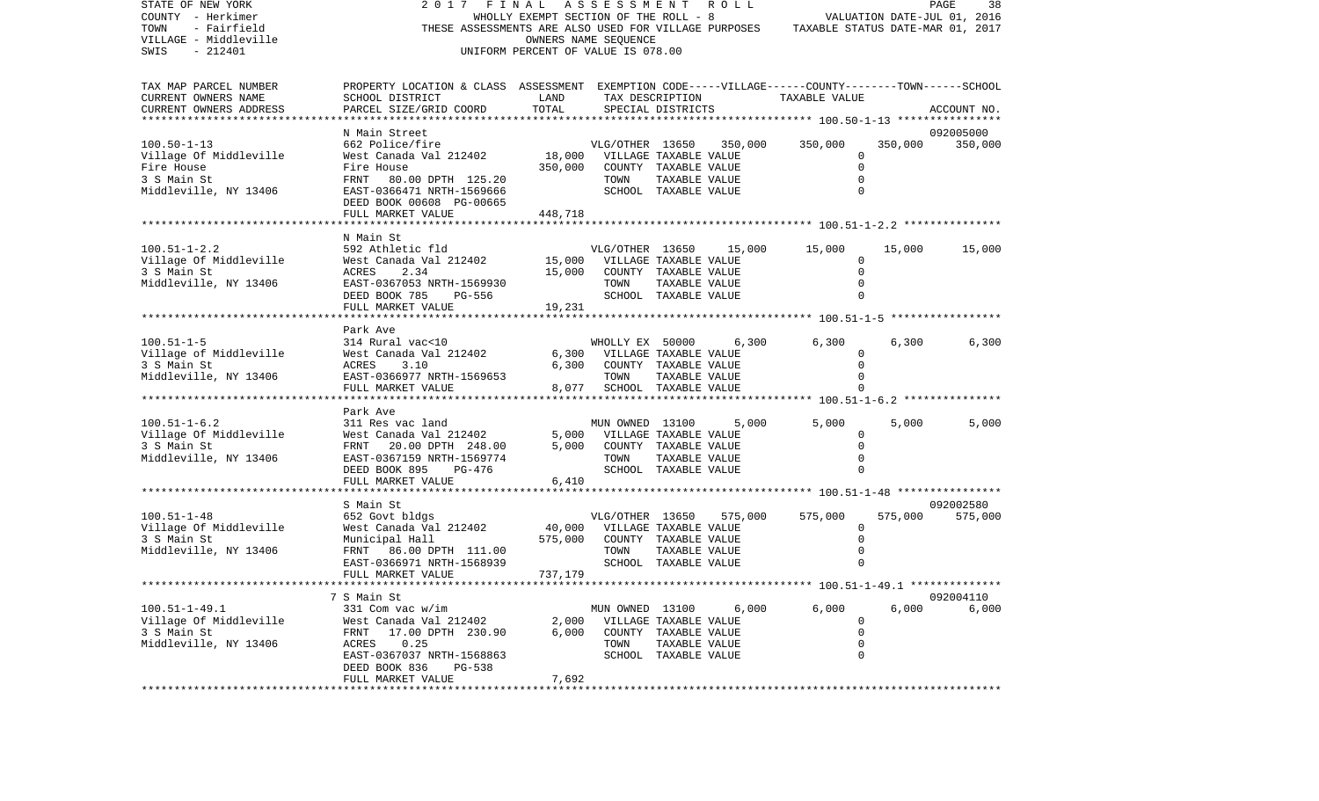| STATE OF NEW YORK<br>COUNTY - Herkimer<br>- Fairfield<br>TOWN<br>VILLAGE - Middleville<br>SWIS<br>$-212401$ | 2017 FINAL ASSESSMENT ROLL<br>THESE ASSESSMENTS ARE ALSO USED FOR VILLAGE PURPOSES TAXABLE STATUS DATE-MAR 01, 2017   | WHOLLY EXEMPT SECTION OF THE ROLL - 8<br>UNIFORM PERCENT OF VALUE IS 078.00 | OWNERS NAME SEQUENCE                           |                       |                         | VALUATION DATE-JUL 01, 2016 |         | PAGE<br>38  |
|-------------------------------------------------------------------------------------------------------------|-----------------------------------------------------------------------------------------------------------------------|-----------------------------------------------------------------------------|------------------------------------------------|-----------------------|-------------------------|-----------------------------|---------|-------------|
| TAX MAP PARCEL NUMBER<br>CURRENT OWNERS NAME                                                                | PROPERTY LOCATION & CLASS ASSESSMENT EXEMPTION CODE-----VILLAGE------COUNTY-------TOWN------SCHOOL<br>SCHOOL DISTRICT | LAND                                                                        |                                                | TAX DESCRIPTION       |                         | TAXABLE VALUE               |         |             |
| CURRENT OWNERS ADDRESS                                                                                      | PARCEL SIZE/GRID COORD                                                                                                | TOTAL                                                                       |                                                | SPECIAL DISTRICTS     |                         |                             |         | ACCOUNT NO. |
|                                                                                                             | N Main Street                                                                                                         |                                                                             |                                                |                       |                         |                             |         | 092005000   |
| $100.50 - 1 - 13$                                                                                           | 662 Police/fire                                                                                                       |                                                                             |                                                |                       | VLG/OTHER 13650 350,000 | 350,000                     | 350,000 | 350,000     |
| Village Of Middleville                                                                                      | West Canada Val 212402                                                                                                | VLG/OTHER 13650 350,<br>18,000 VILLAGE TAXABLE VALUE                        |                                                |                       |                         | 0                           |         |             |
| Fire House                                                                                                  | Fire House                                                                                                            | 350,000                                                                     | COUNTY TAXABLE VALUE                           |                       |                         | $\mathbf 0$                 |         |             |
| 3 S Main St                                                                                                 | FRNT 80.00 DPTH 125.20                                                                                                |                                                                             | TOWN                                           | TAXABLE VALUE         |                         | $\mathbf 0$                 |         |             |
| Middleville, NY 13406                                                                                       | EAST-0366471 NRTH-1569666<br>DEED BOOK 00608 PG-00665                                                                 |                                                                             |                                                | SCHOOL TAXABLE VALUE  |                         | 0                           |         |             |
|                                                                                                             | FULL MARKET VALUE                                                                                                     | 448,718                                                                     |                                                |                       |                         |                             |         |             |
|                                                                                                             |                                                                                                                       |                                                                             |                                                |                       |                         |                             |         |             |
|                                                                                                             | N Main St                                                                                                             |                                                                             |                                                |                       |                         |                             |         |             |
| $100.51 - 1 - 2.2$                                                                                          | 592 Athletic fld                                                                                                      |                                                                             | VLG/OTHER 13650                                |                       | 15,000                  | 15,000                      | 15,000  | 15,000      |
| Village Of Middleville<br>3 S Main St                                                                       | West Canada Val 212402 15,000 VILLAGE TAXABLE VALUE<br>2.34<br>ACRES                                                  | 15,000                                                                      |                                                | COUNTY TAXABLE VALUE  |                         | 0<br>0                      |         |             |
| Middleville, NY 13406                                                                                       | EAST-0367053 NRTH-1569930                                                                                             |                                                                             | TOWN                                           | TAXABLE VALUE         |                         | $\mathbf 0$                 |         |             |
|                                                                                                             | DEED BOOK 785<br>PG-556                                                                                               |                                                                             |                                                | SCHOOL TAXABLE VALUE  |                         | $\Omega$                    |         |             |
|                                                                                                             | FULL MARKET VALUE                                                                                                     | 19,231                                                                      |                                                |                       |                         |                             |         |             |
|                                                                                                             |                                                                                                                       |                                                                             |                                                |                       |                         |                             |         |             |
|                                                                                                             | Park Ave                                                                                                              |                                                                             |                                                |                       |                         |                             |         |             |
| $100.51 - 1 - 5$<br>Village of Middleville                                                                  | 314 Rural vac<10<br>West Canada Val 212402                                                                            |                                                                             | WHOLLY EX 50000<br>6,300 VILLAGE TAXABLE VALUE |                       | 6,300                   | 6,300<br>0                  | 6,300   | 6,300       |
| 3 S Main St                                                                                                 | 3.10<br>ACRES                                                                                                         |                                                                             | 6,300 COUNTY TAXABLE VALUE                     |                       |                         | $\Omega$                    |         |             |
| Middleville, NY 13406                                                                                       | EAST-0366977 NRTH-1569653                                                                                             |                                                                             | TOWN                                           | TAXABLE VALUE         |                         | 0                           |         |             |
|                                                                                                             | FULL MARKET VALUE                                                                                                     |                                                                             | 8,077 SCHOOL TAXABLE VALUE                     |                       |                         |                             |         |             |
|                                                                                                             |                                                                                                                       |                                                                             |                                                |                       |                         |                             |         |             |
|                                                                                                             | Park Ave                                                                                                              |                                                                             |                                                |                       |                         |                             |         |             |
| $100.51 - 1 - 6.2$<br>Village Of Middleville                                                                | 311 Res vac land<br>West Canada Val 212402                                                                            |                                                                             | MUN OWNED 13100<br>5,000 VILLAGE TAXABLE VALUE |                       | 5,000                   | 5,000<br>0                  | 5,000   | 5,000       |
| 3 S Main St                                                                                                 | FRNT 20.00 DPTH 248.00                                                                                                | 5,000                                                                       | COUNTY TAXABLE VALUE                           |                       |                         | $\mathbf 0$                 |         |             |
| Middleville, NY 13406                                                                                       | EAST-0367159 NRTH-1569774                                                                                             |                                                                             | TOWN                                           | TAXABLE VALUE         |                         | 0                           |         |             |
|                                                                                                             | DEED BOOK 895 PG-476                                                                                                  |                                                                             |                                                | SCHOOL TAXABLE VALUE  |                         | 0                           |         |             |
|                                                                                                             | FULL MARKET VALUE                                                                                                     | 6,410                                                                       |                                                |                       |                         |                             |         |             |
|                                                                                                             | S Main St                                                                                                             |                                                                             |                                                |                       |                         |                             |         | 092002580   |
| $100.51 - 1 - 48$                                                                                           | 652 Govt bldgs                                                                                                        |                                                                             | VLG/OTHER 13650                                |                       | 575,000                 | 575,000                     | 575,000 | 575,000     |
| Village Of Middleville                                                                                      | West Canada Val 212402                                                                                                |                                                                             | 40,000 VILLAGE TAXABLE VALUE                   |                       |                         | $\mathbf{0}$                |         |             |
| 3 S Main St                                                                                                 | Municipal Hall                                                                                                        | 575,000                                                                     |                                                | COUNTY TAXABLE VALUE  |                         | $\mathbf 0$                 |         |             |
| Middleville, NY 13406                                                                                       | FRNT 86.00 DPTH 111.00                                                                                                |                                                                             | TOWN                                           | TAXABLE VALUE         |                         | $\mathbf 0$                 |         |             |
|                                                                                                             | EAST-0366971 NRTH-1568939                                                                                             |                                                                             |                                                | SCHOOL TAXABLE VALUE  |                         | 0                           |         |             |
|                                                                                                             | FULL MARKET VALUE                                                                                                     | 737,179                                                                     |                                                |                       |                         |                             |         |             |
|                                                                                                             | 7 S Main St                                                                                                           |                                                                             |                                                |                       |                         |                             |         | 092004110   |
| $100.51 - 1 - 49.1$                                                                                         | 331 Com vac w/im                                                                                                      |                                                                             | MUN OWNED 13100                                |                       | 6,000                   | 6,000                       | 6,000   | 6,000       |
| Village Of Middleville                                                                                      | West Canada Val 212402                                                                                                | 2,000                                                                       |                                                | VILLAGE TAXABLE VALUE |                         | 0                           |         |             |
| 3 S Main St                                                                                                 | FRNT<br>17.00 DPTH 230.90                                                                                             | 6,000                                                                       |                                                | COUNTY TAXABLE VALUE  |                         | 0                           |         |             |
| Middleville, NY 13406                                                                                       | ACRES<br>0.25<br>EAST-0367037 NRTH-1568863                                                                            |                                                                             | TOWN                                           | TAXABLE VALUE         |                         | 0<br>0                      |         |             |
|                                                                                                             | DEED BOOK 836<br>$PG-538$                                                                                             |                                                                             |                                                | SCHOOL TAXABLE VALUE  |                         |                             |         |             |
|                                                                                                             | FULL MARKET VALUE                                                                                                     | 7,692                                                                       |                                                |                       |                         |                             |         |             |
|                                                                                                             |                                                                                                                       |                                                                             |                                                |                       |                         |                             |         |             |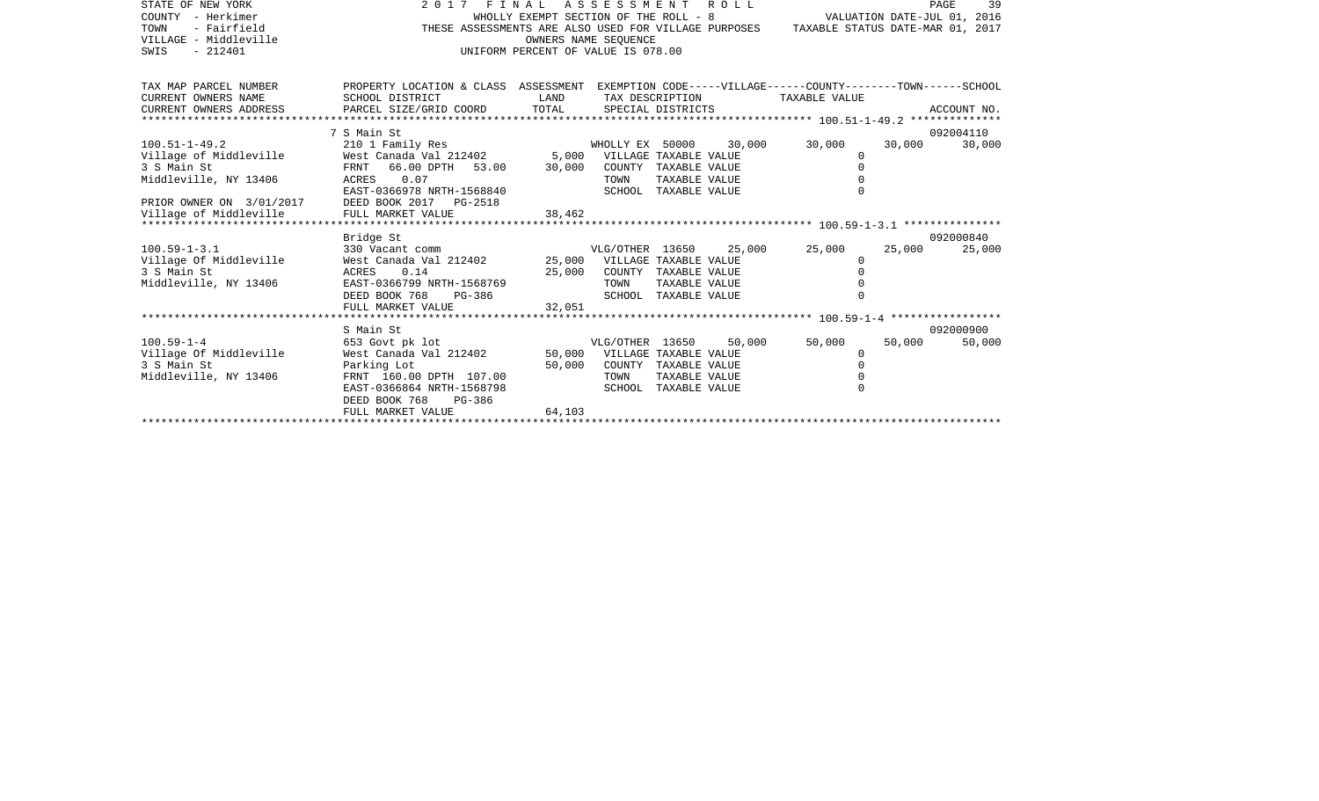| STATE OF NEW YORK                     | 2017 FINAL ASSESSMENT ROLL                                                                                           |                                       |                              |                      |        |                                  |                             | 39<br>PAGE  |
|---------------------------------------|----------------------------------------------------------------------------------------------------------------------|---------------------------------------|------------------------------|----------------------|--------|----------------------------------|-----------------------------|-------------|
| COUNTY - Herkimer                     |                                                                                                                      | WHOLLY EXEMPT SECTION OF THE ROLL - 8 |                              |                      |        |                                  | VALUATION DATE-JUL 01, 2016 |             |
| - Fairfield<br>TOWN                   | THESE ASSESSMENTS ARE ALSO USED FOR VILLAGE PURPOSES                                                                 |                                       |                              |                      |        | TAXABLE STATUS DATE-MAR 01, 2017 |                             |             |
| VILLAGE - Middleville                 |                                                                                                                      |                                       | OWNERS NAME SEOUENCE         |                      |        |                                  |                             |             |
| $-212401$<br>SWIS                     |                                                                                                                      | UNIFORM PERCENT OF VALUE IS 078.00    |                              |                      |        |                                  |                             |             |
|                                       |                                                                                                                      |                                       |                              |                      |        |                                  |                             |             |
|                                       |                                                                                                                      |                                       |                              |                      |        |                                  |                             |             |
| TAX MAP PARCEL NUMBER                 | PROPERTY LOCATION & CLASS ASSESSMENT EXEMPTION CODE-----VILLAGE------COUNTY-------TOWN------SCHOOL                   |                                       |                              |                      |        |                                  |                             |             |
| CURRENT OWNERS NAME                   | SCHOOL DISTRICT                                                                                                      | LAND                                  | TAX DESCRIPTION              |                      |        | TAXABLE VALUE                    |                             |             |
| CURRENT OWNERS ADDRESS                | PARCEL SIZE/GRID COORD                                                                                               | TOTAL                                 |                              | SPECIAL DISTRICTS    |        |                                  |                             | ACCOUNT NO. |
|                                       | 7 S Main St                                                                                                          |                                       |                              |                      |        |                                  |                             | 092004110   |
| $100.51 - 1 - 49.2$                   |                                                                                                                      |                                       |                              |                      | 30,000 | 30,000                           | 30,000                      | 30,000      |
| Village of Middleville                | 210 1 Family Res 6000 30, 210 1 Family Res 60202 30, 210 1 Family Rest Canada Val 212402 5,000 VILLAGE TAXABLE VALUE |                                       |                              |                      |        | 0                                |                             |             |
| 3 S Main St                           | FRNT 66.00 DPTH 53.00 30,000                                                                                         |                                       |                              | COUNTY TAXABLE VALUE |        | $\Omega$                         |                             |             |
| Middleville, NY 13406                 | 0.07<br>ACRES                                                                                                        |                                       | TOWN                         | TAXABLE VALUE        |        |                                  |                             |             |
|                                       | EAST-0366978 NRTH-1568840                                                                                            |                                       |                              | SCHOOL TAXABLE VALUE |        |                                  |                             |             |
| PRIOR OWNER ON 3/01/2017              | DEED BOOK 2017 PG-2518                                                                                               |                                       |                              |                      |        |                                  |                             |             |
| Village of Middleville                | FULL MARKET VALUE                                                                                                    | 38,462                                |                              |                      |        |                                  |                             |             |
|                                       |                                                                                                                      |                                       |                              |                      |        |                                  |                             |             |
|                                       | Bridge St                                                                                                            |                                       |                              |                      |        |                                  |                             | 092000840   |
| $100.59 - 1 - 3.1$                    | 330 Vacant comm                                                                                                      |                                       | VLG/OTHER 13650              |                      | 25,000 | 25,000                           | 25,000                      | 25,000      |
| Village Of Middleville                | West Canada Val 212402 25,000 VILLAGE TAXABLE VALUE                                                                  |                                       |                              |                      |        | $\Omega$                         |                             |             |
| 3 S Main St                           | ACRES<br>0.14                                                                                                        | 25,000                                |                              | COUNTY TAXABLE VALUE |        |                                  |                             |             |
| Middleville, NY 13406                 | EAST-0366799 NRTH-1568769                                                                                            |                                       | TOWN                         | TAXABLE VALUE        |        |                                  |                             |             |
|                                       | DEED BOOK 768<br>PG-386                                                                                              |                                       |                              | SCHOOL TAXABLE VALUE |        |                                  |                             |             |
|                                       | FULL MARKET VALUE                                                                                                    | 32,051                                |                              |                      |        |                                  |                             |             |
|                                       |                                                                                                                      |                                       |                              |                      |        |                                  |                             |             |
|                                       | S Main St<br>653 Govt pk lot                                                                                         |                                       |                              |                      |        |                                  |                             | 092000900   |
| $100.59 - 1 - 4$                      |                                                                                                                      |                                       | VLG/OTHER 13650              |                      | 50,000 | 50,000                           | 50,000                      | 50,000      |
| Village Of Middleville<br>3 S Main St | West Canada Val 212402                                                                                               |                                       | 50,000 VILLAGE TAXABLE VALUE | COUNTY TAXABLE VALUE |        | $\Omega$<br>$\Omega$             |                             |             |
| Middleville, NY 13406                 | Parking Lot<br>FRNT 160.00 DPTH 107.00                                                                               | 50,000                                | TOWN                         | TAXABLE VALUE        |        |                                  |                             |             |
|                                       | EAST-0366864 NRTH-1568798                                                                                            |                                       |                              | SCHOOL TAXABLE VALUE |        |                                  |                             |             |
|                                       | DEED BOOK 768<br>PG-386                                                                                              |                                       |                              |                      |        |                                  |                             |             |
|                                       | FULL MARKET VALUE                                                                                                    | 64,103                                |                              |                      |        |                                  |                             |             |
|                                       |                                                                                                                      |                                       |                              |                      |        |                                  |                             |             |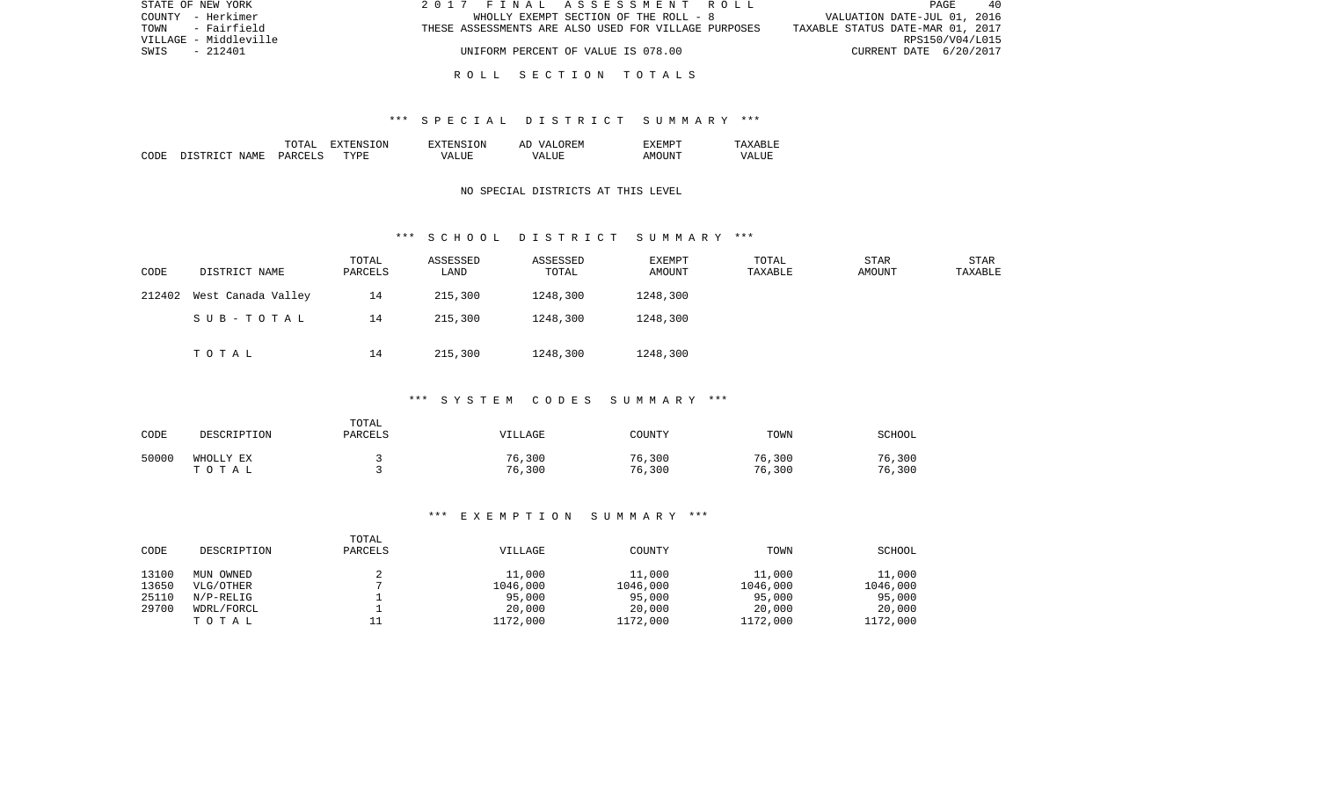| STATE OF NEW YORK     | 2017 FINAL ASSESSMENT ROLL                           | PAGE<br>- 40                     |
|-----------------------|------------------------------------------------------|----------------------------------|
| COUNTY - Herkimer     | WHOLLY EXEMPT SECTION OF THE ROLL - 8                | VALUATION DATE-JUL 01, 2016      |
| - Fairfield<br>TOWN   | THESE ASSESSMENTS ARE ALSO USED FOR VILLAGE PURPOSES | TAXABLE STATUS DATE-MAR 01, 2017 |
| VILLAGE - Middleville |                                                      | RPS150/V04/L015                  |
| SWIS<br>- 212401      | UNIFORM PERCENT OF VALUE IS 078.00                   | CURRENT DATE 6/20/2017           |
|                       |                                                      |                                  |

### R O L L S E C T I O N T O T A L S

### \*\*\* S P E C I A L D I S T R I C T S U M M A R Y \*\*\*

|      |                         | ͲႶͲϪႨ   | 'ON<br>ווחידצי | TON.<br>. HIN'         | OREM<br>7 Z<br>Al | "XEMPT |                  |
|------|-------------------------|---------|----------------|------------------------|-------------------|--------|------------------|
| CODE | NAME<br>DISTRI<br>יחיר. | PARCELS | <b>TYPE</b>    | $^{\prime}$ $\Delta$ . | <b>TTTT</b><br>۲Z | AMOINT | VALU.<br>_______ |

## NO SPECIAL DISTRICTS AT THIS LEVEL

### \*\*\* S C H O O L D I S T R I C T S U M M A R Y \*\*\*

| CODE   | DISTRICT NAME      | TOTAL<br>PARCELS | ASSESSED<br>LAND | ASSESSED<br>TOTAL | EXEMPT<br>AMOUNT | TOTAL<br>TAXABLE | STAR<br>AMOUNT | STAR<br>TAXABLE |
|--------|--------------------|------------------|------------------|-------------------|------------------|------------------|----------------|-----------------|
| 212402 | West Canada Valley | 14               | 215,300          | 1248,300          | 1248,300         |                  |                |                 |
|        | SUB-TOTAL          | 14               | 215,300          | 1248,300          | 1248,300         |                  |                |                 |
|        | TOTAL              | 14               | 215,300          | 1248,300          | 1248,300         |                  |                |                 |

# \*\*\* S Y S T E M C O D E S S U M M A R Y \*\*\*

| CODE  | DESCRIPTION        | TOTAL<br>PARCELS | VILLAGE          | COUNTY           | TOWN             | SCHOOL           |
|-------|--------------------|------------------|------------------|------------------|------------------|------------------|
| 50000 | WHOLLY EX<br>TOTAL |                  | 76,300<br>76,300 | 76,300<br>76,300 | 76,300<br>76,300 | 76,300<br>76,300 |

#### \*\*\* E X E M P T I O N S U M M A R Y \*\*\*

| CODE  | DESCRIPTION  | TOTAL<br>PARCELS | VILLAGE  | COUNTY   | TOWN     | <b>SCHOOL</b> |
|-------|--------------|------------------|----------|----------|----------|---------------|
| 13100 | MUN OWNED    |                  | 11,000   | 11,000   | 11,000   | 11,000        |
| 13650 | VLG/OTHER    |                  | 1046,000 | 1046,000 | 1046,000 | 1046,000      |
| 25110 | $N/P-RELLIG$ |                  | 95,000   | 95,000   | 95,000   | 95,000        |
| 29700 | WDRL/FORCL   |                  | 20,000   | 20,000   | 20,000   | 20,000        |
|       | TOTAL        |                  | 1172,000 | 1172,000 | 1172,000 | 1172,000      |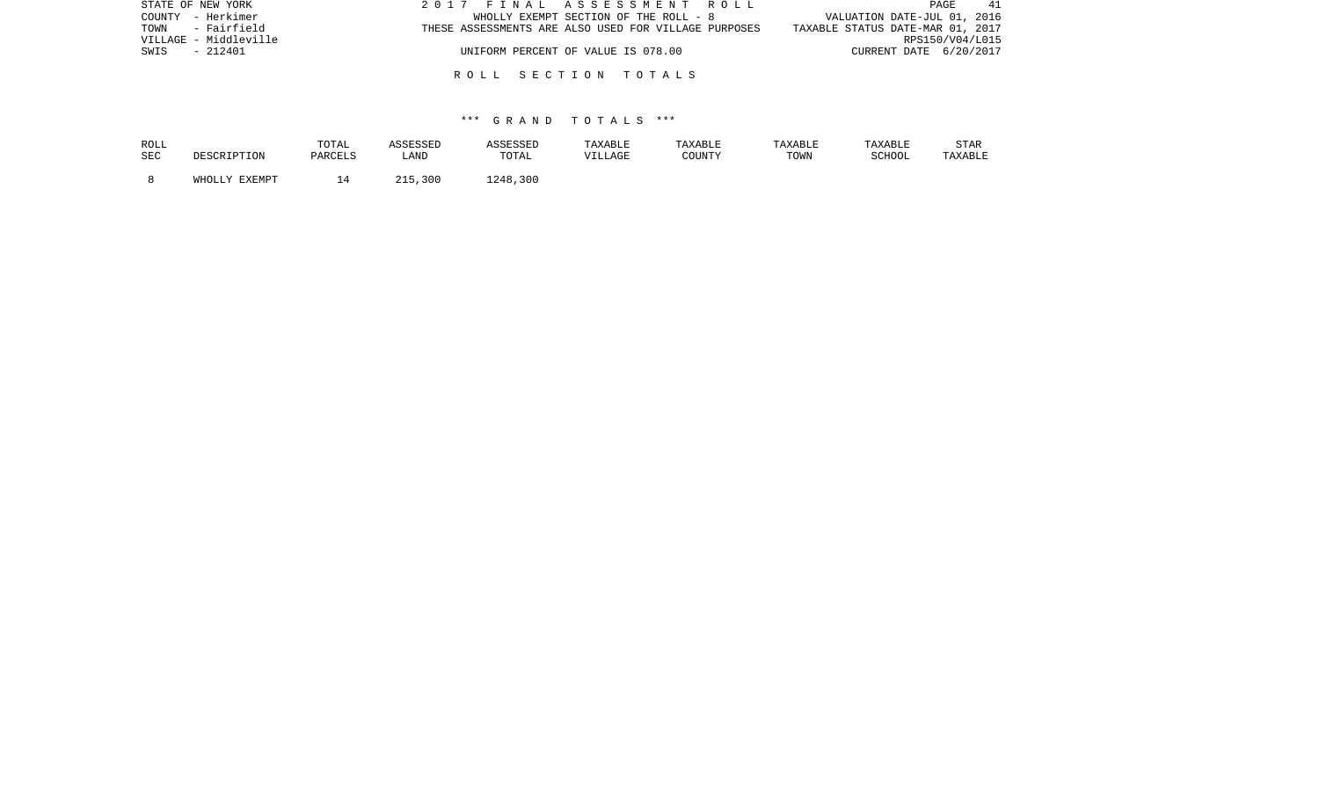| STATE OF NEW YORK     | 2017 FINAL ASSESSMENT ROLL                           | 41<br>PAGE                       |
|-----------------------|------------------------------------------------------|----------------------------------|
| COUNTY - Herkimer     | WHOLLY EXEMPT SECTION OF THE ROLL - 8                | VALUATION DATE-JUL 01, 2016      |
| TOWN - Fairfield      | THESE ASSESSMENTS ARE ALSO USED FOR VILLAGE PURPOSES | TAXABLE STATUS DATE-MAR 01, 2017 |
| VILLAGE - Middleville |                                                      | RPS150/V04/L015                  |
| - 212401<br>SWIS      | UNIFORM PERCENT OF VALUE IS 078.00                   | CURRENT DATE 6/20/2017           |
|                       |                                                      |                                  |
|                       | ROLL SECTION TOTALS                                  |                                  |

## \*\*\* G R A N D T O T A L S \*\*\*

| ROLL |                    | TOTAL   | ASSESSED    | ASSESSED | TAXABLE | TAXABLE | TAXABLE | TAXABLE | <b>STAR</b> |
|------|--------------------|---------|-------------|----------|---------|---------|---------|---------|-------------|
| SEC  | <b>DESCRIPTION</b> | PARCELS | LAND        | TOTAL    | VILLAGE | COUNTY  | TOWN    | SCHOOL  | TAXABLE     |
|      | WHOLLY EXEMPT      |         | つ15<br>,300 | 1248,300 |         |         |         |         |             |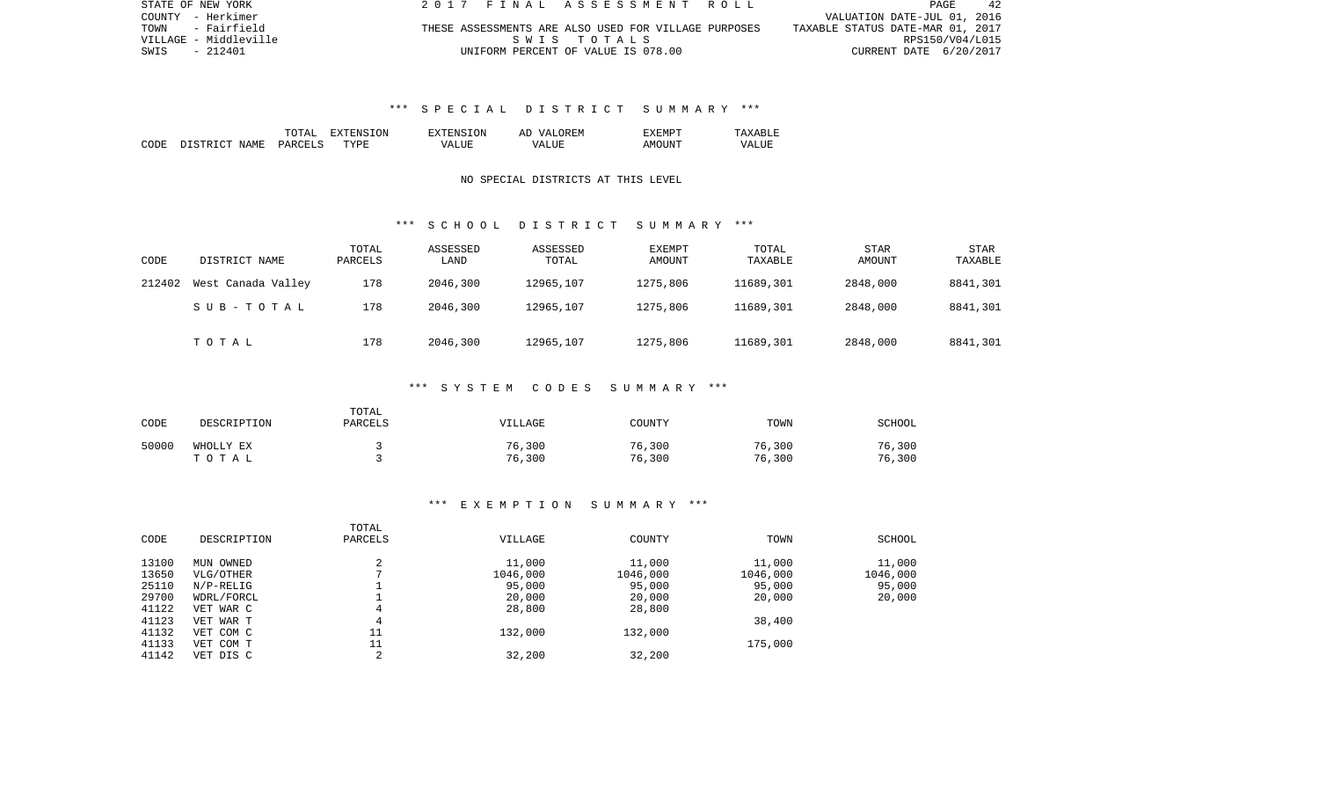| STATE OF NEW YORK     | 2017 FINAL ASSESSMENT ROLL                           | 42<br>PAGE                       |
|-----------------------|------------------------------------------------------|----------------------------------|
| COUNTY - Herkimer     |                                                      | VALUATION DATE-JUL 01, 2016      |
| - Fairfield<br>TOWN   | THESE ASSESSMENTS ARE ALSO USED FOR VILLAGE PURPOSES | TAXABLE STATUS DATE-MAR 01, 2017 |
| VILLAGE - Middleville | SWIS TOTALS                                          | RPS150/V04/L015                  |
| SWIS - 212401         | UNIFORM PERCENT OF VALUE IS 078.00                   | CURRENT DATE 6/20/2017           |

# \*\*\* S P E C I A L D I S T R I C T S U M M A R Y \*\*\*

|      |                         | $m \wedge m \wedge r$<br>. J'I'A I<br>∸ ∪ ⊥ ∠ ⊥ | 'ION<br>'ENS | <b>TON</b><br>'N S     | <b>TTT</b><br>∵) H H:Mi<br>AL | EXEMPT         |       |
|------|-------------------------|-------------------------------------------------|--------------|------------------------|-------------------------------|----------------|-------|
| CODE | NAME<br>LSTRICT.<br>דרי | DARCELS                                         | TYPF         | $^{\prime}$ $\Delta$ . | T T T T<br>vД<br>الل          | ΔM<br>דיתו זר. | VALU. |

# NO SPECIAL DISTRICTS AT THIS LEVEL

### \*\*\* S C H O O L D I S T R I C T S U M M A R Y \*\*\*

| CODE   | DISTRICT NAME      | TOTAL<br>PARCELS | ASSESSED<br>LAND | ASSESSED<br>TOTAL | EXEMPT<br>AMOUNT | TOTAL<br>TAXABLE | <b>STAR</b><br><b>AMOUNT</b> | <b>STAR</b><br>TAXABLE |
|--------|--------------------|------------------|------------------|-------------------|------------------|------------------|------------------------------|------------------------|
| 212402 | West Canada Valley | 178              | 2046,300         | 12965,107         | 1275,806         | 11689,301        | 2848,000                     | 8841,301               |
|        | SUB-TOTAL          | 178              | 2046,300         | 12965,107         | 1275,806         | 11689,301        | 2848,000                     | 8841,301               |
|        | тотаь              | 178              | 2046,300         | 12965,107         | 1275,806         | 11689,301        | 2848,000                     | 8841,301               |

### \*\*\* S Y S T E M C O D E S S U M M A R Y \*\*\*

| CODE  | DESCRIPTION        | TOTAL<br>PARCELS | VILLAGE          | COUNTY           | TOWN             | SCHOOL           |
|-------|--------------------|------------------|------------------|------------------|------------------|------------------|
| 50000 | WHOLLY EX<br>TOTAL |                  | 76,300<br>76,300 | 76,300<br>76,300 | 76,300<br>76,300 | 76,300<br>76,300 |

### \*\*\* E X E M P T I O N S U M M A R Y \*\*\*

|       |              | TOTAL                              |          |          |          |          |
|-------|--------------|------------------------------------|----------|----------|----------|----------|
| CODE  | DESCRIPTION  | PARCELS                            | VILLAGE  | COUNTY   | TOWN     | SCHOOL   |
| 13100 | MUN OWNED    | $\sim$                             | 11,000   | 11,000   | 11,000   | 11,000   |
| 13650 | VLG/OTHER    |                                    | 1046,000 | 1046,000 | 1046,000 | 1046,000 |
| 25110 | $N/P-RELLIG$ |                                    | 95,000   | 95,000   | 95,000   | 95,000   |
| 29700 | WDRL/FORCL   |                                    | 20,000   | 20,000   | 20,000   | 20,000   |
| 41122 | VET WAR C    | 4                                  | 28,800   | 28,800   |          |          |
| 41123 | VET WAR T    | 4                                  |          |          | 38,400   |          |
| 41132 | VET COM C    | ᆂᆂ                                 | 132,000  | 132,000  |          |          |
| 41133 | VET COM T    | $-1$<br>ᆂᆂ                         |          |          | 175,000  |          |
| 41142 | VET DIS C    | $\sim$<br>$\overline{\phantom{a}}$ | 32,200   | 32,200   |          |          |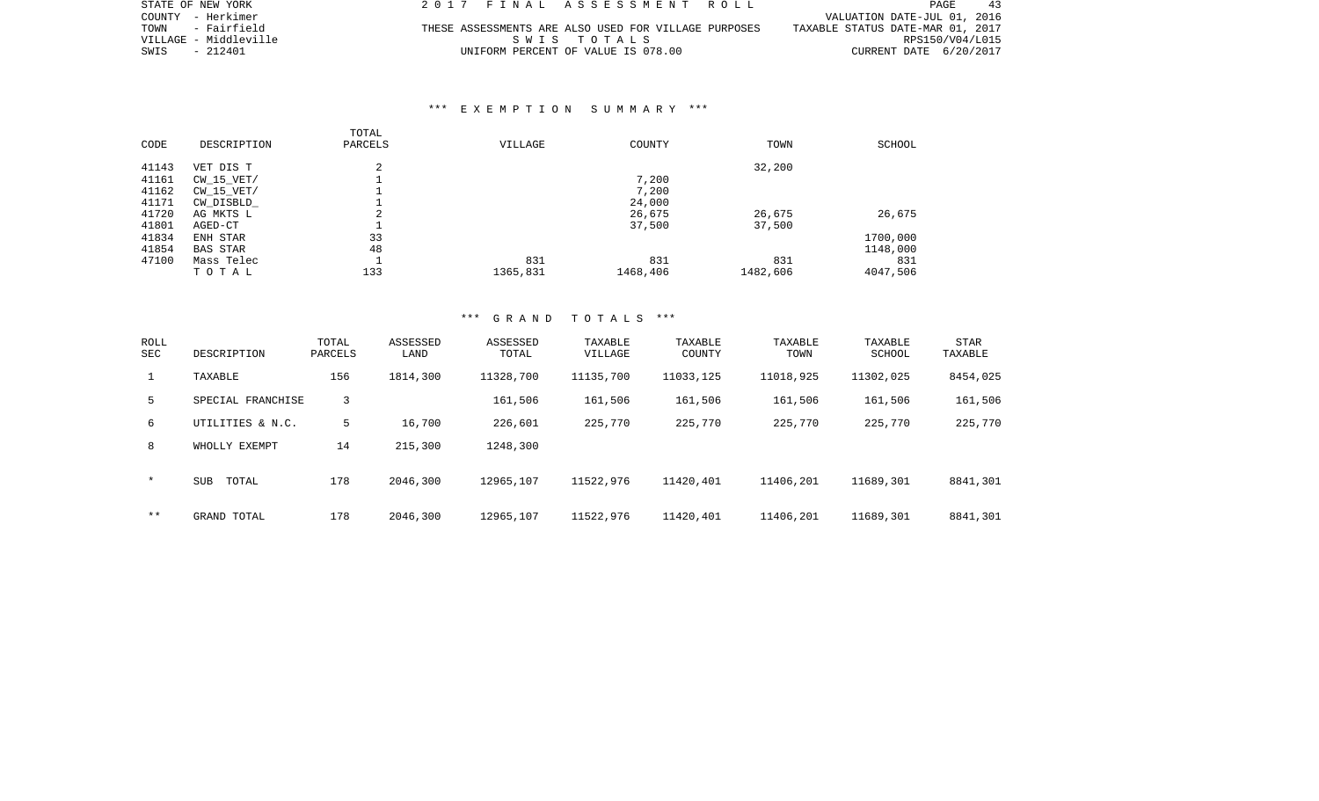| STATE OF NEW YORK     | 2017 FINAL ASSESSMENT ROLL                           | PAGE<br>43                       |
|-----------------------|------------------------------------------------------|----------------------------------|
| COUNTY - Herkimer     |                                                      | VALUATION DATE-JUL 01, 2016      |
| TOWN - Fairfield      | THESE ASSESSMENTS ARE ALSO USED FOR VILLAGE PURPOSES | TAXABLE STATUS DATE-MAR 01, 2017 |
| VILLAGE - Middleville | SWIS TOTALS                                          | RPS150/V04/L015                  |
| SWIS - 212401         | UNIFORM PERCENT OF VALUE IS 078.00                   | CURRENT DATE 6/20/2017           |

### \*\*\* E X E M P T I O N S U M M A R Y \*\*\*

| CODE  | DESCRIPTION     | TOTAL<br>PARCELS | VILLAGE  | COUNTY   | TOWN     | SCHOOL   |
|-------|-----------------|------------------|----------|----------|----------|----------|
| 41143 | VET DIS T       | 2                |          |          | 32,200   |          |
| 41161 | CW 15 VET/      |                  |          | 7,200    |          |          |
| 41162 | $CW_15_VET/$    |                  |          | 7,200    |          |          |
| 41171 | CW_DISBLD_      |                  |          | 24,000   |          |          |
| 41720 | AG MKTS L       | 2                |          | 26,675   | 26,675   | 26,675   |
| 41801 | AGED-CT         |                  |          | 37,500   | 37,500   |          |
| 41834 | ENH STAR        | 33               |          |          |          | 1700,000 |
| 41854 | <b>BAS STAR</b> | 48               |          |          |          | 1148,000 |
| 47100 | Mass Telec      | $\overline{ }$   | 831      | 831      | 831      | 831      |
|       | TOTAL           | 133              | 1365,831 | 1468,406 | 1482,606 | 4047,506 |

### \*\*\* G R A N D T O T A L S \*\*\*

| ROLL<br><b>SEC</b> | DESCRIPTION         | TOTAL<br>PARCELS | ASSESSED<br>LAND | ASSESSED<br>TOTAL | TAXABLE<br>VILLAGE | TAXABLE<br>COUNTY | TAXABLE<br>TOWN | TAXABLE<br>SCHOOL | STAR<br>TAXABLE |
|--------------------|---------------------|------------------|------------------|-------------------|--------------------|-------------------|-----------------|-------------------|-----------------|
| $\mathbf{1}$       | TAXABLE             | 156              | 1814,300         | 11328,700         | 11135,700          | 11033,125         | 11018,925       | 11302,025         | 8454,025        |
| 5                  | SPECIAL FRANCHISE   | 3                |                  | 161,506           | 161,506            | 161,506           | 161,506         | 161,506           | 161,506         |
| б.                 | UTILITIES & N.C.    | 5                | 16,700           | 226,601           | 225,770            | 225,770           | 225,770         | 225,770           | 225,770         |
| 8                  | WHOLLY EXEMPT       | 14               | 215,300          | 1248,300          |                    |                   |                 |                   |                 |
| $\star$            | <b>SUB</b><br>TOTAL | 178              | 2046,300         | 12965,107         | 11522,976          | 11420,401         | 11406,201       | 11689,301         | 8841,301        |
| $* *$              | GRAND TOTAL         | 178              | 2046,300         | 12965,107         | 11522,976          | 11420,401         | 11406,201       | 11689,301         | 8841,301        |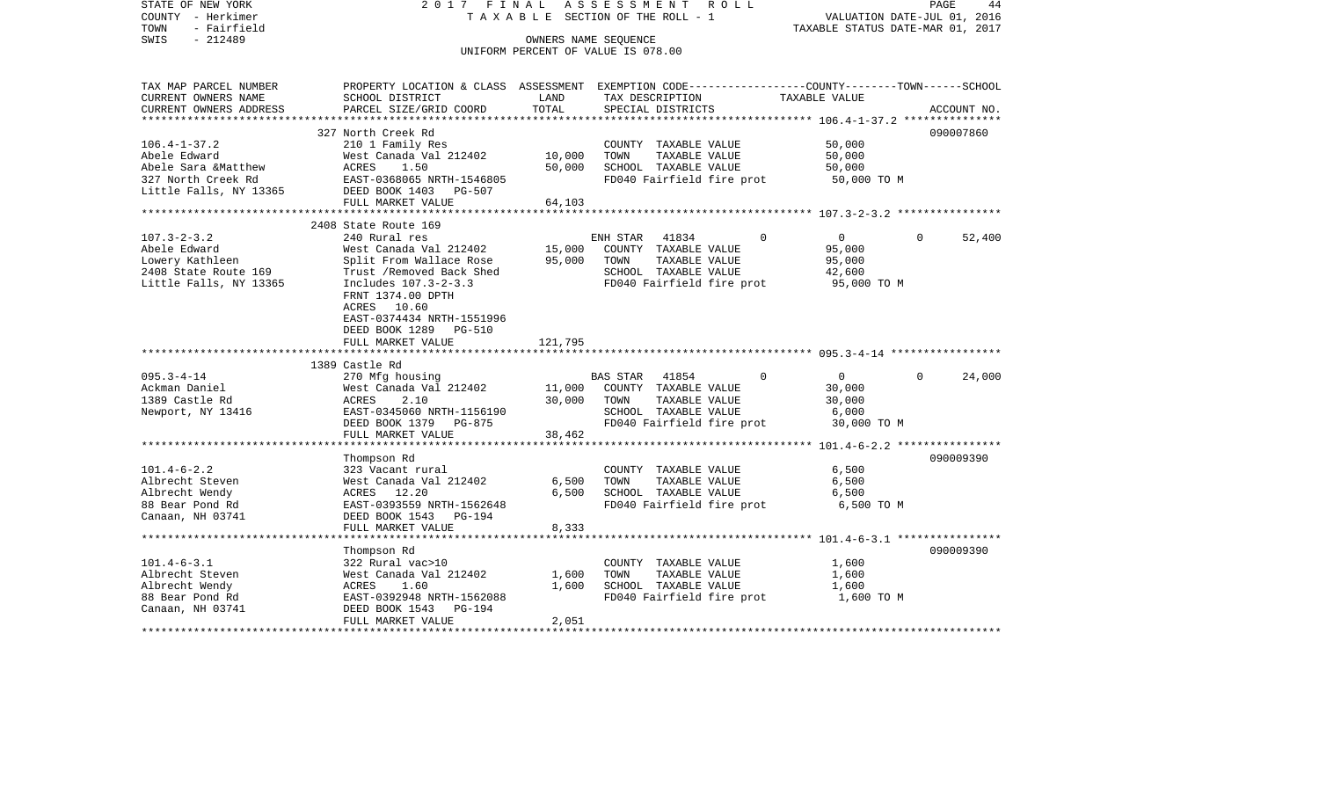STATE OF NEW YORK 2 0 1 7 F I N A L A S S E S S M E N T R O L L PAGE 44COUNTY - Herkimer T A X A B L E SECTION OF THE ROLL - 1 VALUATION DATE-JUL 01, 2016 TOWN - Fairfield TAXABLE STATUS DATE-MAR 01, 2017 SWIS - 212489 OWNERS NAME SEQUENCE UNIFORM PERCENT OF VALUE IS 078.00TAX MAP PARCEL NUMBER PROPERTY LOCATION & CLASS ASSESSMENT EXEMPTION CODE------------------COUNTY--------TOWN------SCHOOL CURRENT OWNERS NAME SCHOOL DISTRICT LAND TAX DESCRIPTION TAXABLE VALUECURRENT OWNERS ADDRESS PARCEL SIZE/GRID COORD TOTAL SPECIAL DISTRICTS ACCOUNT NO. \*\*\*\*\*\*\*\*\*\*\*\*\*\*\*\*\*\*\*\*\*\*\*\*\*\*\*\*\*\*\*\*\*\*\*\*\*\*\*\*\*\*\*\*\*\*\*\*\*\*\*\*\*\*\*\*\*\*\*\*\*\*\*\*\*\*\*\*\*\*\*\*\*\*\*\*\*\*\*\*\*\*\*\*\*\*\*\*\*\*\*\*\*\*\*\*\*\*\*\*\*\*\* 106.4-1-37.2 \*\*\*\*\*\*\*\*\*\*\*\*\*\*\*327 North Creek Rd 090007860 106.4-1-37.2 210 1 Family Res COUNTY TAXABLE VALUE 50,000 Abele Edward West Canada Val 212402 10,000 TOWN TAXABLE VALUE 50,000 Abele Sara &Matthew  $ACRES$  1.50 50,000 SCHOOL TAXABLE VALUE 50,000 327 North Creek Rd EAST-0368065 NRTH-1546805 FD040 Fairfield fire prot 50,000 TO M Little Falls, NY 13365 DEED BOOK 1403 PG-507 FULL MARKET VALUE 64,103 \*\*\*\*\*\*\*\*\*\*\*\*\*\*\*\*\*\*\*\*\*\*\*\*\*\*\*\*\*\*\*\*\*\*\*\*\*\*\*\*\*\*\*\*\*\*\*\*\*\*\*\*\*\*\*\*\*\*\*\*\*\*\*\*\*\*\*\*\*\*\*\*\*\*\*\*\*\*\*\*\*\*\*\*\*\*\*\*\*\*\*\*\*\*\*\*\*\*\*\*\*\*\* 107.3-2-3.2 \*\*\*\*\*\*\*\*\*\*\*\*\*\*\*\* 2408 State Route 169 107.3-2-3.2 240 Rural res ENH STAR 41834 0 0 0 52,400 Abele Edward West Canada Val 212402 15,000 COUNTY TAXABLE VALUE 95,000 Lowery Kathleen Split From Wallace Rose 95,000 TOWN TAXABLE VALUE 95,000 2408 State Route 169 Trust /Removed Back Shed SCHOOL TAXABLE VALUE 42,600 Little Falls, NY 13365 Includes 107.3-2-3.3 FD040 Fairfield fire prot 95,000 TO M FRNT 1374.00 DPTH ACRES 10.60 EAST-0374434 NRTH-1551996 DEED BOOK 1289 PG-510FULL MARKET VALUE 121,795 \*\*\*\*\*\*\*\*\*\*\*\*\*\*\*\*\*\*\*\*\*\*\*\*\*\*\*\*\*\*\*\*\*\*\*\*\*\*\*\*\*\*\*\*\*\*\*\*\*\*\*\*\*\*\*\*\*\*\*\*\*\*\*\*\*\*\*\*\*\*\*\*\*\*\*\*\*\*\*\*\*\*\*\*\*\*\*\*\*\*\*\*\*\*\*\*\*\*\*\*\*\*\* 095.3-4-14 \*\*\*\*\*\*\*\*\*\*\*\*\*\*\*\*\* 1389 Castle Rd095.3-4-14 270 Mfg housing BAS STAR 41854 0 0 0 24,000 Ackman Daniel West Canada Val 212402 11,000 COUNTY TAXABLE VALUE 30,000 1389 Castle Rd ACRES 2.10 30,000 TOWN TAXABLE VALUE 30,000 Newport, NY 13416 EAST-0345060 NRTH-1156190 SCHOOL TAXABLE VALUE 6,000 DEED BOOK 1379 PG-875 FD040 Fairfield fire prot 30,000 TO M FULL MARKET VALUE 38,462 \*\*\*\*\*\*\*\*\*\*\*\*\*\*\*\*\*\*\*\*\*\*\*\*\*\*\*\*\*\*\*\*\*\*\*\*\*\*\*\*\*\*\*\*\*\*\*\*\*\*\*\*\*\*\*\*\*\*\*\*\*\*\*\*\*\*\*\*\*\*\*\*\*\*\*\*\*\*\*\*\*\*\*\*\*\*\*\*\*\*\*\*\*\*\*\*\*\*\*\*\*\*\* 101.4-6-2.2 \*\*\*\*\*\*\*\*\*\*\*\*\*\*\*\* Thompson Rd 090009390 101.4-6-2.2 323 Vacant rural COUNTY TAXABLE VALUE 6,500 Albrecht Steven West Canada Val 212402 6,500 TOWN TAXABLE VALUE 6,500 Albrecht Wendy ACRES 12.20 6,500 SCHOOL TAXABLE VALUE 6,500 88 Bear Pond Rd EAST-0393559 NRTH-1562648 FD040 Fairfield fire prot 6,500 TO M Canaan, NH 03741 DEED BOOK 1543 PG-194 FULL MARKET VALUE 8,333 \*\*\*\*\*\*\*\*\*\*\*\*\*\*\*\*\*\*\*\*\*\*\*\*\*\*\*\*\*\*\*\*\*\*\*\*\*\*\*\*\*\*\*\*\*\*\*\*\*\*\*\*\*\*\*\*\*\*\*\*\*\*\*\*\*\*\*\*\*\*\*\*\*\*\*\*\*\*\*\*\*\*\*\*\*\*\*\*\*\*\*\*\*\*\*\*\*\*\*\*\*\*\* 101.4-6-3.1 \*\*\*\*\*\*\*\*\*\*\*\*\*\*\*\* Thompson Rd 090009390 101.4-6-3.1 322 Rural vac>10 COUNTY TAXABLE VALUE 1,600 Albrecht Steven West Canada Val 212402 1,600 TOWN TAXABLE VALUE 1,600 Albrecht Wendy ACRES 1.60 1,600 SCHOOL TAXABLE VALUE 1,600 88 Bear Pond Rd EAST-0392948 NRTH-1562088 FD040 Fairfield fire prot 1,600 TO M Canaan, NH 03741 DEED BOOK 1543 PG-194 FULL MARKET VALUE 2,051 \*\*\*\*\*\*\*\*\*\*\*\*\*\*\*\*\*\*\*\*\*\*\*\*\*\*\*\*\*\*\*\*\*\*\*\*\*\*\*\*\*\*\*\*\*\*\*\*\*\*\*\*\*\*\*\*\*\*\*\*\*\*\*\*\*\*\*\*\*\*\*\*\*\*\*\*\*\*\*\*\*\*\*\*\*\*\*\*\*\*\*\*\*\*\*\*\*\*\*\*\*\*\*\*\*\*\*\*\*\*\*\*\*\*\*\*\*\*\*\*\*\*\*\*\*\*\*\*\*\*\*\*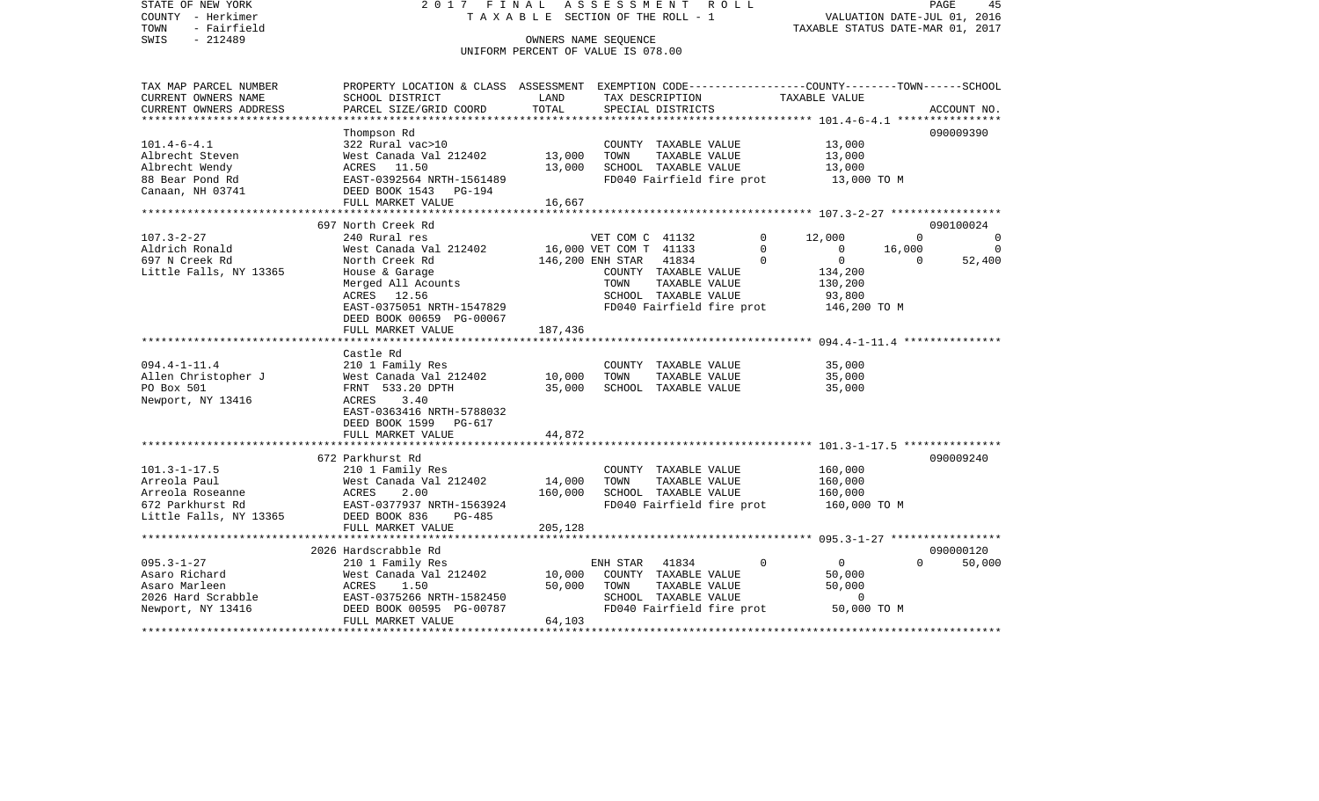STATE OF NEW YORK 2 0 1 7 F I N A L A S S E S S M E N T R O L L PAGE 45COUNTY - Herkimer T A X A B L E SECTION OF THE ROLL - 1 VALUATION DATE-JUL 01, 2016 TOWN - Fairfield TAXABLE STATUS DATE-MAR 01, 2017 SWIS - 212489 CONNERS NAME SEQUENCE UNIFORM PERCENT OF VALUE IS 078.00TAX MAP PARCEL NUMBER PROPERTY LOCATION & CLASS ASSESSMENT EXEMPTION CODE------------------COUNTY--------TOWN------SCHOOL CURRENT OWNERS NAME SCHOOL DISTRICT LAND TAX DESCRIPTION TAXABLE VALUECURRENT OWNERS ADDRESS PARCEL SIZE/GRID COORD TOTAL SPECIAL DISTRICTS ACCOUNT NO. \*\*\*\*\*\*\*\*\*\*\*\*\*\*\*\*\*\*\*\*\*\*\*\*\*\*\*\*\*\*\*\*\*\*\*\*\*\*\*\*\*\*\*\*\*\*\*\*\*\*\*\*\*\*\*\*\*\*\*\*\*\*\*\*\*\*\*\*\*\*\*\*\*\*\*\*\*\*\*\*\*\*\*\*\*\*\*\*\*\*\*\*\*\*\*\*\*\*\*\*\*\*\* 101.4-6-4.1 \*\*\*\*\*\*\*\*\*\*\*\*\*\*\*\* Thompson Rd 090009390 101.4-6-4.1 322 Rural vac>10 COUNTY TAXABLE VALUE 13,000 Albrecht Steven 61 13,000 West Canada Val 212402 13,000 TOWN TAXABLE VALUE 13,000 Albrecht Wendy ACRES 11.50 13,000 SCHOOL TAXABLE VALUE 13,000 EAST-0392564 NRTH-1561489 FD040 Fairfield fire prot 13,000 TO M Canaan, NH 03741 DEED BOOK 1543 PG-194 FULL MARKET VALUE 16,667 \*\*\*\*\*\*\*\*\*\*\*\*\*\*\*\*\*\*\*\*\*\*\*\*\*\*\*\*\*\*\*\*\*\*\*\*\*\*\*\*\*\*\*\*\*\*\*\*\*\*\*\*\*\*\*\*\*\*\*\*\*\*\*\*\*\*\*\*\*\*\*\*\*\*\*\*\*\*\*\*\*\*\*\*\*\*\*\*\*\*\*\*\*\*\*\*\*\*\*\*\*\*\* 107.3-2-27 \*\*\*\*\*\*\*\*\*\*\*\*\*\*\*\*\* 697 North Creek Rd 090100024107.3-2-27 240 Rural res 240 Rural res VET COM C 41132 0 12,000 0 0 0 Aldrich Ronald 6.000 West Canada Val 212402 16,000 VET COM T 41133 0 0 16,000 0 0 697 N Creek Rd North Creek Rd 146,200 ENH STAR 41834 0 0 0 52,400 Little Falls, NY 13365 House & Garage COUNTY TAXABLE VALUE 134,200 Merged All Acounts TOWN TAXABLE VALUE 130,200 ACRES 12.56 SCHOOL TAXABLE VALUE 93,800 EAST-0375051 NRTH-1547829 FD040 Fairfield fire prot 146,200 TO M DEED BOOK 00659 PG-00067FULL MARKET VALUE 187,436 \*\*\*\*\*\*\*\*\*\*\*\*\*\*\*\*\*\*\*\*\*\*\*\*\*\*\*\*\*\*\*\*\*\*\*\*\*\*\*\*\*\*\*\*\*\*\*\*\*\*\*\*\*\*\*\*\*\*\*\*\*\*\*\*\*\*\*\*\*\*\*\*\*\*\*\*\*\*\*\*\*\*\*\*\*\*\*\*\*\*\*\*\*\*\*\*\*\*\*\*\*\*\* 094.4-1-11.4 \*\*\*\*\*\*\*\*\*\*\*\*\*\*\* Castle Rd 094.4-1-11.4 210 1 Family Res COUNTY TAXABLE VALUE 35,000 Allen Christopher J West Canada Val 212402 10,000 TOWN TAXABLE VALUE 35,000 PO Box 501 **FRNT 533.20 DPTH** 35,000 SCHOOL TAXABLE VALUE 35,000 Newport, NY 13416 <br>
ACRES 3.40 EAST-0363416 NRTH-5788032 DEED BOOK 1599 PG-617FULL MARKET VALUE 44,872 \*\*\*\*\*\*\*\*\*\*\*\*\*\*\*\*\*\*\*\*\*\*\*\*\*\*\*\*\*\*\*\*\*\*\*\*\*\*\*\*\*\*\*\*\*\*\*\*\*\*\*\*\*\*\*\*\*\*\*\*\*\*\*\*\*\*\*\*\*\*\*\*\*\*\*\*\*\*\*\*\*\*\*\*\*\*\*\*\*\*\*\*\*\*\*\*\*\*\*\*\*\*\* 101.3-1-17.5 \*\*\*\*\*\*\*\*\*\*\*\*\*\*\* 672 Parkhurst Rd 090009240101.3-1-17.5 210 1 Family Res COUNTY TAXABLE VALUE 160,000 Arreola Paul 160,000 West Canada Val 212402 14,000 TOWN TAXABLE VALUE 160,000 Arreola Roseanne ACRES 2.00 160,000 SCHOOL TAXABLE VALUE 160,000 672 Parkhurst Rd EAST-0377937 NRTH-1563924 FD040 Fairfield fire prot 160,000 TO M Little Falls, NY 13365 DEED BOOK 836 PG-485 FULL MARKET VALUE 205,128 \*\*\*\*\*\*\*\*\*\*\*\*\*\*\*\*\*\*\*\*\*\*\*\*\*\*\*\*\*\*\*\*\*\*\*\*\*\*\*\*\*\*\*\*\*\*\*\*\*\*\*\*\*\*\*\*\*\*\*\*\*\*\*\*\*\*\*\*\*\*\*\*\*\*\*\*\*\*\*\*\*\*\*\*\*\*\*\*\*\*\*\*\*\*\*\*\*\*\*\*\*\*\* 095.3-1-27 \*\*\*\*\*\*\*\*\*\*\*\*\*\*\*\*\* 2026 Hardscrabble Rd 090000120095.3-1-27 210 1 Family Res ENH STAR 41834 0 0 0 50,000 Asaro Richard 60,000 West Canada Val 212402 10,000 COUNTY TAXABLE VALUE 50,000 Asaro Marleen 60,000 ACRES 1.50 50,000 TOWN TAXABLE VALUE 50,000 50,000 2026 Hard Scrabble EAST-0375266 NRTH-1582450 SCHOOL TAXABLE VALUE 0Newport, NY 13416 DEED BOOK 00595 PG-00787 FD040 Fairfield fire prot 50,000 TO M FULL MARKET VALUE 64,103 \*\*\*\*\*\*\*\*\*\*\*\*\*\*\*\*\*\*\*\*\*\*\*\*\*\*\*\*\*\*\*\*\*\*\*\*\*\*\*\*\*\*\*\*\*\*\*\*\*\*\*\*\*\*\*\*\*\*\*\*\*\*\*\*\*\*\*\*\*\*\*\*\*\*\*\*\*\*\*\*\*\*\*\*\*\*\*\*\*\*\*\*\*\*\*\*\*\*\*\*\*\*\*\*\*\*\*\*\*\*\*\*\*\*\*\*\*\*\*\*\*\*\*\*\*\*\*\*\*\*\*\*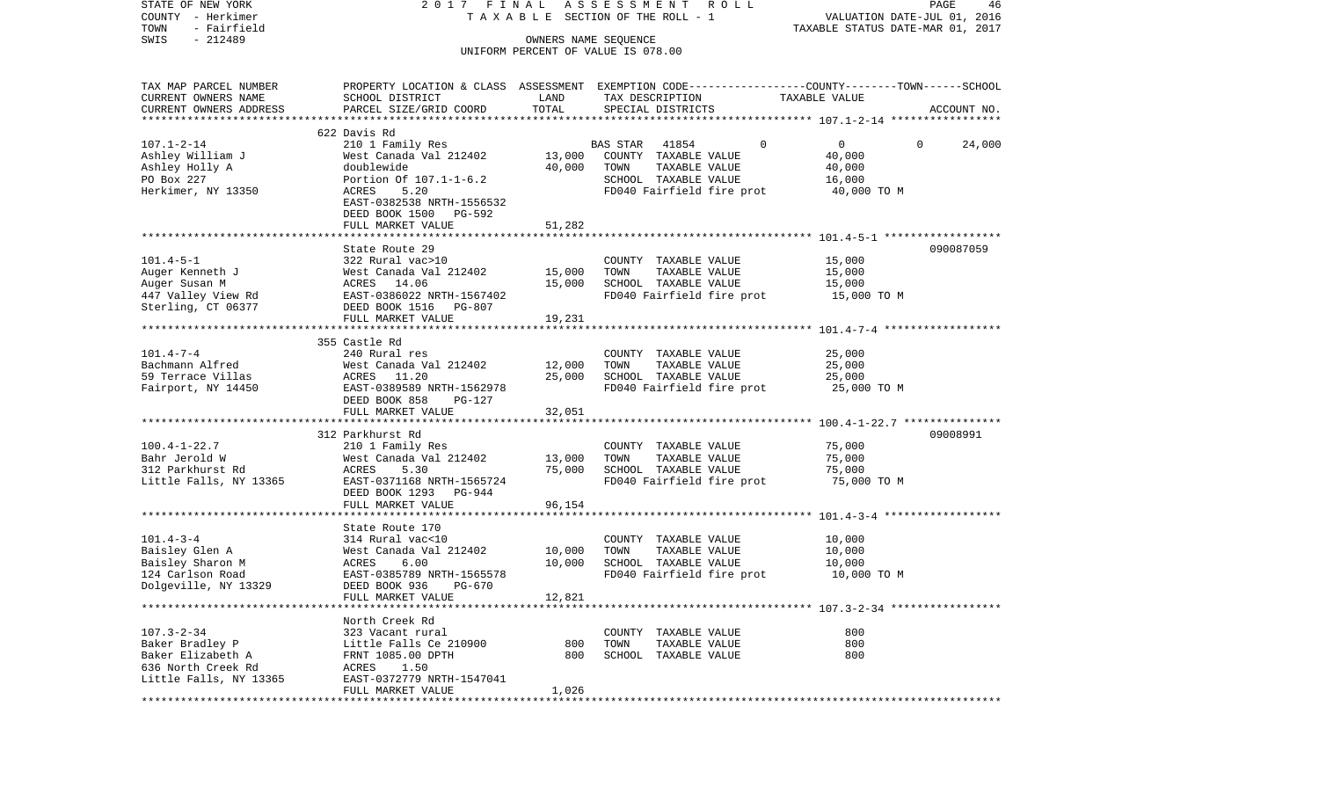COUNTY - Herkimer T A X A B L E SECTION OF THE ROLL - 1 VALUATION DATE-JUL 01, 2016 TOWN - Fairfield TAXABLE STATUS DATE-MAR 01, 2017 SWIS - 212489 OWNERS NAME SEQUENCE UNIFORM PERCENT OF VALUE IS 078.00TAX MAP PARCEL NUMBER PROPERTY LOCATION & CLASS ASSESSMENT EXEMPTION CODE------------------COUNTY--------TOWN------SCHOOL CURRENT OWNERS NAME SCHOOL DISTRICT LAND TAX DESCRIPTION TAXABLE VALUECURRENT OWNERS ADDRESS PARCEL SIZE/GRID COORD TOTAL SPECIAL DISTRICTS ACCOUNT NO. \*\*\*\*\*\*\*\*\*\*\*\*\*\*\*\*\*\*\*\*\*\*\*\*\*\*\*\*\*\*\*\*\*\*\*\*\*\*\*\*\*\*\*\*\*\*\*\*\*\*\*\*\*\*\*\*\*\*\*\*\*\*\*\*\*\*\*\*\*\*\*\*\*\*\*\*\*\*\*\*\*\*\*\*\*\*\*\*\*\*\*\*\*\*\*\*\*\*\*\*\*\*\* 107.1-2-14 \*\*\*\*\*\*\*\*\*\*\*\*\*\*\*\*\* 622 Davis Rd107.1-2-14 210 1 Family Res BAS STAR 41854 0 0 0 24,000 Ashley William J West Canada Val 212402 13,000 COUNTY TAXABLE VALUE 40,000 Ashley Holly A doublewide 40,000 TOWN TAXABLE VALUE 40,000 PO Box 227 **Portion Of 107.1-1-6.2** SCHOOL TAXABLE VALUE 16.000 Herkimer, NY 13350 ACRES 5.20 FD040 Fairfield fire prot 40,000 TO M EAST-0382538 NRTH-1556532 DEED BOOK 1500 PG-592 FULL MARKET VALUE 51,282 \*\*\*\*\*\*\*\*\*\*\*\*\*\*\*\*\*\*\*\*\*\*\*\*\*\*\*\*\*\*\*\*\*\*\*\*\*\*\*\*\*\*\*\*\*\*\*\*\*\*\*\*\*\*\*\*\*\*\*\*\*\*\*\*\*\*\*\*\*\*\*\*\*\*\*\*\*\*\*\*\*\*\*\*\*\*\*\*\*\*\*\*\*\*\*\*\*\*\*\*\*\*\* 101.4-5-1 \*\*\*\*\*\*\*\*\*\*\*\*\*\*\*\*\*\*State Route 29 090087059 101.4-5-1 322 Rural vac>10 COUNTY TAXABLE VALUE 15,000 Auger Kenneth J West Canada Val 212402 15,000 TOWN TAXABLE VALUE 15,000 Auger Susan M **ACRES** 14.06 15,000 SCHOOL TAXABLE VALUE 15,000 447 Valley View Rd EAST-0386022 NRTH-1567402 FD040 Fairfield fire prot 15,000 TO M Sterling, CT 06377 DEED BOOK 1516 PG-807 FULL MARKET VALUE 19, 231 \*\*\*\*\*\*\*\*\*\*\*\*\*\*\*\*\*\*\*\*\*\*\*\*\*\*\*\*\*\*\*\*\*\*\*\*\*\*\*\*\*\*\*\*\*\*\*\*\*\*\*\*\*\*\*\*\*\*\*\*\*\*\*\*\*\*\*\*\*\*\*\*\*\*\*\*\*\*\*\*\*\*\*\*\*\*\*\*\*\*\*\*\*\*\*\*\*\*\*\*\*\*\* 101.4-7-4 \*\*\*\*\*\*\*\*\*\*\*\*\*\*\*\*\*\* 355 Castle Rd101.4-7-4 240 Rural res COUNTY TAXABLE VALUE 25,000 Bachmann Alfred West Canada Val 212402 12,000 TOWN TAXABLE VALUE 25,000 59 Terrace Villas ACRES 11.20 25,000 SCHOOL TAXABLE VALUE 25,000 Fairport, NY 14450 **EAST-0389589 NRTH-1562978** FD040 Fairfield fire prot **25,000 TO M**  DEED BOOK 858 PG-127 FULL MARKET VALUE 32,051 \*\*\*\*\*\*\*\*\*\*\*\*\*\*\*\*\*\*\*\*\*\*\*\*\*\*\*\*\*\*\*\*\*\*\*\*\*\*\*\*\*\*\*\*\*\*\*\*\*\*\*\*\*\*\*\*\*\*\*\*\*\*\*\*\*\*\*\*\*\*\*\*\*\*\*\*\*\*\*\*\*\*\*\*\*\*\*\*\*\*\*\*\*\*\*\*\*\*\*\*\*\*\* 100.4-1-22.7 \*\*\*\*\*\*\*\*\*\*\*\*\*\*\* 312 Parkhurst Rd 09008991100.4-1-22.7 210 1 Family Res COUNTY TAXABLE VALUE 75,000 Bahr Jerold W West Canada Val 212402 13,000 TOWN TAXABLE VALUE 75,000 312 Parkhurst Rd ACRES 5.30 75,000 SCHOOL TAXABLE VALUE 75,000 Little Falls, NY 13365 EAST-0371168 NRTH-1565724 FD040 Fairfield fire prot 75,000 TO M DEED BOOK 1293 PG-944FULL MARKET VALUE 96,154 \*\*\*\*\*\*\*\*\*\*\*\*\*\*\*\*\*\*\*\*\*\*\*\*\*\*\*\*\*\*\*\*\*\*\*\*\*\*\*\*\*\*\*\*\*\*\*\*\*\*\*\*\*\*\*\*\*\*\*\*\*\*\*\*\*\*\*\*\*\*\*\*\*\*\*\*\*\*\*\*\*\*\*\*\*\*\*\*\*\*\*\*\*\*\*\*\*\*\*\*\*\*\* 101.4-3-4 \*\*\*\*\*\*\*\*\*\*\*\*\*\*\*\*\*\* State Route 170101.4-3-4 314 Rural vac<10 COUNTY TAXABLE VALUE 10,000 Baisley Glen A 6 70,000 West Canada Val 212402 10,000 TOWN TAXABLE VALUE 10,000 Baisley Sharon M **ACRES** 6.00 10,000 SCHOOL TAXABLE VALUE 10,000 124 Carlson Road EAST-0385789 NRTH-1565578 FD040 Fairfield fire prot 10,000 TO M Dolgeville, NY 13329 DEED BOOK 936 PG-670 FULL MARKET VALUE 12,821 \*\*\*\*\*\*\*\*\*\*\*\*\*\*\*\*\*\*\*\*\*\*\*\*\*\*\*\*\*\*\*\*\*\*\*\*\*\*\*\*\*\*\*\*\*\*\*\*\*\*\*\*\*\*\*\*\*\*\*\*\*\*\*\*\*\*\*\*\*\*\*\*\*\*\*\*\*\*\*\*\*\*\*\*\*\*\*\*\*\*\*\*\*\*\*\*\*\*\*\*\*\*\* 107.3-2-34 \*\*\*\*\*\*\*\*\*\*\*\*\*\*\*\*\* North Creek Rd107.3-2-34 323 Vacant rural COUNTY TAXABLE VALUE 800Baker Bradley P Little Falls Ce 210900 800 TOWN TAXABLE VALUE 800 Baker Elizabeth A FRNT 1085.00 DPTH 800 SCHOOL TAXABLE VALUE 800 636 North Creek Rd ACRES 1.50Little Falls, NY 13365 EAST-0372779 NRTH-1547041 FULL MARKET VALUE 1.026 \*\*\*\*\*\*\*\*\*\*\*\*\*\*\*\*\*\*\*\*\*\*\*\*\*\*\*\*\*\*\*\*\*\*\*\*\*\*\*\*\*\*\*\*\*\*\*\*\*\*\*\*\*\*\*\*\*\*\*\*\*\*\*\*\*\*\*\*\*\*\*\*\*\*\*\*\*\*\*\*\*\*\*\*\*\*\*\*\*\*\*\*\*\*\*\*\*\*\*\*\*\*\*\*\*\*\*\*\*\*\*\*\*\*\*\*\*\*\*\*\*\*\*\*\*\*\*\*\*\*\*\*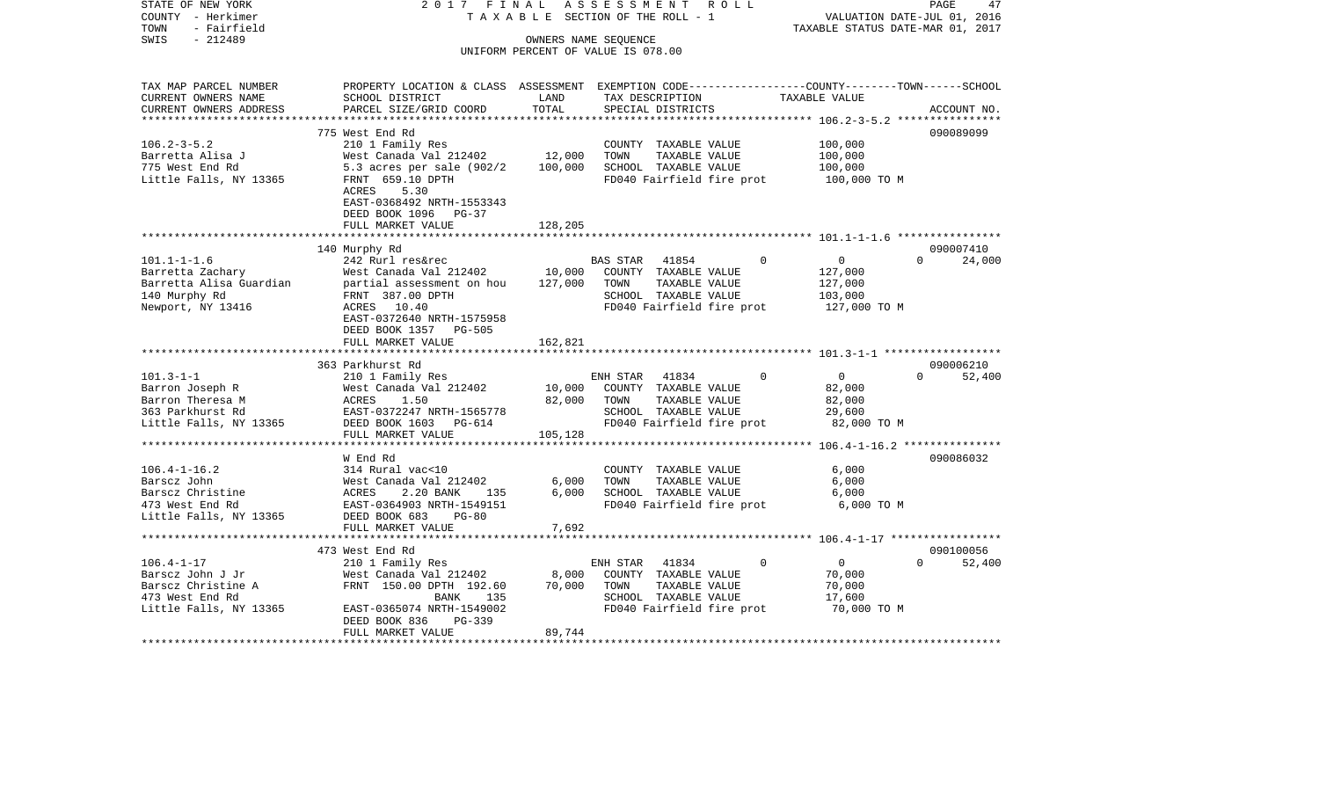STATE OF NEW YORK 2 0 1 7 F I N A L A S S E S S M E N T R O L L PAGE 47COUNTY - Herkimer T A X A B L E SECTION OF THE ROLL - 1 VALUATION DATE-JUL 01, 2016 TOWN - Fairfield TAXABLE STATUS DATE-MAR 01, 2017 SWIS - 212489 OWNERS NAME SEQUENCE UNIFORM PERCENT OF VALUE IS 078.00TAX MAP PARCEL NUMBER PROPERTY LOCATION & CLASS ASSESSMENT EXEMPTION CODE------------------COUNTY--------TOWN------SCHOOL CURRENT OWNERS NAME SCHOOL DISTRICT LAND TAX DESCRIPTION TAXABLE VALUECURRENT OWNERS ADDRESS PARCEL SIZE/GRID COORD TOTAL SPECIAL DISTRICTS ACCOUNT NO. \*\*\*\*\*\*\*\*\*\*\*\*\*\*\*\*\*\*\*\*\*\*\*\*\*\*\*\*\*\*\*\*\*\*\*\*\*\*\*\*\*\*\*\*\*\*\*\*\*\*\*\*\*\*\*\*\*\*\*\*\*\*\*\*\*\*\*\*\*\*\*\*\*\*\*\*\*\*\*\*\*\*\*\*\*\*\*\*\*\*\*\*\*\*\*\*\*\*\*\*\*\*\* 106.2-3-5.2 \*\*\*\*\*\*\*\*\*\*\*\*\*\*\*\*775 West End Rd 090089099 106.2-3-5.2 210 1 Family Res COUNTY TAXABLE VALUE 100,000 Barretta Alisa J West Canada Val 212402 12,000 TOWN TAXABLE VALUE 100,000 775 West End Rd 5.3 acres per sale (902/2 100,000 SCHOOL TAXABLE VALUE 100,000 Little Falls, NY 13365 FRNT 659.10 DPTH FD040 Fairfield fire prot 100,000 TO M ACRES 5.30 EAST-0368492 NRTH-1553343 DEED BOOK 1096 PG-37 FULL MARKET VALUE 128,205 \*\*\*\*\*\*\*\*\*\*\*\*\*\*\*\*\*\*\*\*\*\*\*\*\*\*\*\*\*\*\*\*\*\*\*\*\*\*\*\*\*\*\*\*\*\*\*\*\*\*\*\*\*\*\*\*\*\*\*\*\*\*\*\*\*\*\*\*\*\*\*\*\*\*\*\*\*\*\*\*\*\*\*\*\*\*\*\*\*\*\*\*\*\*\*\*\*\*\*\*\*\*\* 101.1-1-1.6 \*\*\*\*\*\*\*\*\*\*\*\*\*\*\*\* 140 Murphy Rd 090007410 101.1-1-1.6 242 Rurl res&rec BAS STAR 41854 0 0 0 24,000 Barretta Zachary West Canada Val 212402 10,000 COUNTY TAXABLE VALUE 127,000 Barretta Alisa Guardian partial assessment on hou 127,000 TOWN TAXABLE VALUE 127,000 140 Murphy Rd FRNT 387.00 DPTH SCHOOL TAXABLE VALUE 103,000 Newport, NY 13416 ACRES 10.40 FD040 Fairfield fire prot 127,000 TO M EAST-0372640 NRTH-1575958 DEED BOOK 1357 PG-505FULL MARKET VALUE 162,821 \*\*\*\*\*\*\*\*\*\*\*\*\*\*\*\*\*\*\*\*\*\*\*\*\*\*\*\*\*\*\*\*\*\*\*\*\*\*\*\*\*\*\*\*\*\*\*\*\*\*\*\*\*\*\*\*\*\*\*\*\*\*\*\*\*\*\*\*\*\*\*\*\*\*\*\*\*\*\*\*\*\*\*\*\*\*\*\*\*\*\*\*\*\*\*\*\*\*\*\*\*\*\* 101.3-1-1 \*\*\*\*\*\*\*\*\*\*\*\*\*\*\*\*\*\* 363 Parkhurst Rd 090006210101.3-1-1 210 1 Family Res ENH STAR 41834 0 0 0 52,400 Barron Joseph R West Canada Val 212402 10,000 COUNTY TAXABLE VALUE 82,000 Barron Theresa M **Barron Theresa M** ACRES 1.50 82,000 TOWN TAXABLE VALUE 82,000 363 Parkhurst Rd EAST-0372247 NRTH-1565778 SCHOOL TAXABLE VALUE 29,600 Little Falls, NY 13365 DEED BOOK 1603 PG-614 FD040 Fairfield fire prot 82,000 TO M FULL MARKET VALUE 105,128 \*\*\*\*\*\*\*\*\*\*\*\*\*\*\*\*\*\*\*\*\*\*\*\*\*\*\*\*\*\*\*\*\*\*\*\*\*\*\*\*\*\*\*\*\*\*\*\*\*\*\*\*\*\*\*\*\*\*\*\*\*\*\*\*\*\*\*\*\*\*\*\*\*\*\*\*\*\*\*\*\*\*\*\*\*\*\*\*\*\*\*\*\*\*\*\*\*\*\*\*\*\*\* 106.4-1-16.2 \*\*\*\*\*\*\*\*\*\*\*\*\*\*\* W End Rd 090086032106.4-1-16.2 314 Rural vac<10 COUNTY TAXABLE VALUE 6,000 Barscz John West Canada Val 212402 6,000 TOWN TAXABLE VALUE 6,000 Barscz Christine  $ACRES$  2.20 BANK 135 6,000 SCHOOL TAXABLE VALUE 6,000 473 West End Rd EAST-0364903 NRTH-1549151 FD040 Fairfield fire prot 6,000 TO M Little Falls, NY 13365 DEED BOOK 683 PG-80 FULL MARKET VALUE 7,692 \*\*\*\*\*\*\*\*\*\*\*\*\*\*\*\*\*\*\*\*\*\*\*\*\*\*\*\*\*\*\*\*\*\*\*\*\*\*\*\*\*\*\*\*\*\*\*\*\*\*\*\*\*\*\*\*\*\*\*\*\*\*\*\*\*\*\*\*\*\*\*\*\*\*\*\*\*\*\*\*\*\*\*\*\*\*\*\*\*\*\*\*\*\*\*\*\*\*\*\*\*\*\* 106.4-1-17 \*\*\*\*\*\*\*\*\*\*\*\*\*\*\*\*\* 473 West End Rd 090100056106.4-1-17 210 1 Family Res ENH STAR 41834 0 0 0 52,400 Barscz John J Jr **West Canada Val 212402** 8,000 COUNTY TAXABLE VALUE 70,000 Barscz Christine A FRNT 150.00 DPTH 192.60 70,000 TOWN TAXABLE VALUE 70,000 473 West End Rd BANK 135 SCHOOL TAXABLE VALUE 17,600 Little Falls, NY 13365 EAST-0365074 NRTH-1549002 FD040 Fairfield fire prot 70,000 TO M DEED BOOK 836 PG-339FULL MARKET VALUE 89,744 \*\*\*\*\*\*\*\*\*\*\*\*\*\*\*\*\*\*\*\*\*\*\*\*\*\*\*\*\*\*\*\*\*\*\*\*\*\*\*\*\*\*\*\*\*\*\*\*\*\*\*\*\*\*\*\*\*\*\*\*\*\*\*\*\*\*\*\*\*\*\*\*\*\*\*\*\*\*\*\*\*\*\*\*\*\*\*\*\*\*\*\*\*\*\*\*\*\*\*\*\*\*\*\*\*\*\*\*\*\*\*\*\*\*\*\*\*\*\*\*\*\*\*\*\*\*\*\*\*\*\*\*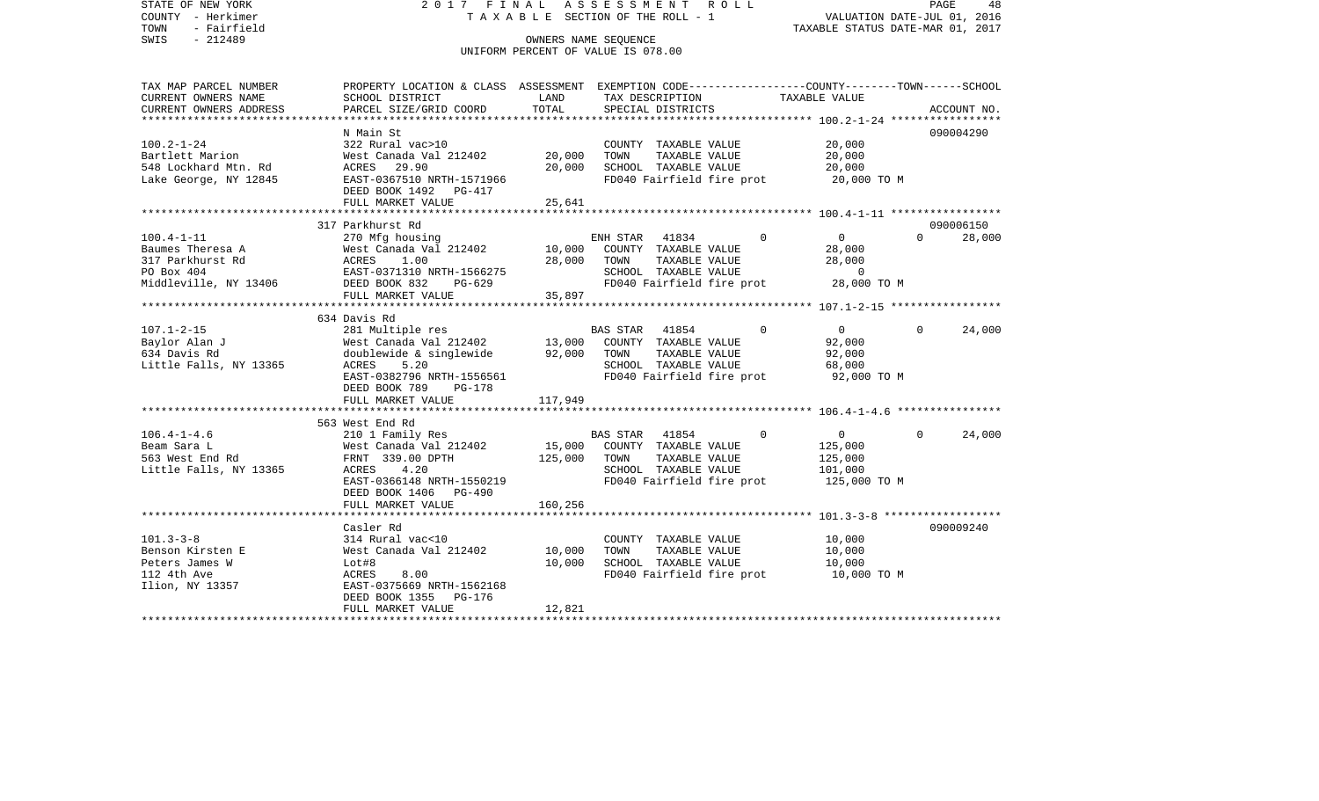STATE OF NEW YORK 2 0 1 7 F I N A L A S S E S S M E N T R O L L PAGE 48COUNTY - Herkimer T A X A B L E SECTION OF THE ROLL - 1 VALUATION DATE-JUL 01, 2016 TOWN - Fairfield TAXABLE STATUS DATE-MAR 01, 2017 SWIS - 212489 CONNERS NAME SEQUENCE UNIFORM PERCENT OF VALUE IS 078.00TAX MAP PARCEL NUMBER PROPERTY LOCATION & CLASS ASSESSMENT EXEMPTION CODE------------------COUNTY--------TOWN------SCHOOL CURRENT OWNERS NAME SCHOOL DISTRICT LAND TAX DESCRIPTION TAXABLE VALUECURRENT OWNERS ADDRESS PARCEL SIZE/GRID COORD TOTAL SPECIAL DISTRICTS ACCOUNT NO. \*\*\*\*\*\*\*\*\*\*\*\*\*\*\*\*\*\*\*\*\*\*\*\*\*\*\*\*\*\*\*\*\*\*\*\*\*\*\*\*\*\*\*\*\*\*\*\*\*\*\*\*\*\*\*\*\*\*\*\*\*\*\*\*\*\*\*\*\*\*\*\*\*\*\*\*\*\*\*\*\*\*\*\*\*\*\*\*\*\*\*\*\*\*\*\*\*\*\*\*\*\*\* 100.2-1-24 \*\*\*\*\*\*\*\*\*\*\*\*\*\*\*\*\* N Main St 090004290090004290 100.2-1-24 322 Rural vac>10 COUNTY TAXABLE VALUE 20,000 Bartlett Marion West Canada Val 212402 20,000 TOWN TAXABLE VALUE 20,000 548 Lockhard Mtn. Rd ACRES 29.90 20,000 SCHOOL TAXABLE VALUE 20,000 Lake George, NY 12845 EAST-0367510 NRTH-1571966 FD040 Fairfield fire prot 20,000 TO M DEED BOOK 1492 PG-417FULL MARKET VALUE 25,641 \*\*\*\*\*\*\*\*\*\*\*\*\*\*\*\*\*\*\*\*\*\*\*\*\*\*\*\*\*\*\*\*\*\*\*\*\*\*\*\*\*\*\*\*\*\*\*\*\*\*\*\*\*\*\*\*\*\*\*\*\*\*\*\*\*\*\*\*\*\*\*\*\*\*\*\*\*\*\*\*\*\*\*\*\*\*\*\*\*\*\*\*\*\*\*\*\*\*\*\*\*\*\* 100.4-1-11 \*\*\*\*\*\*\*\*\*\*\*\*\*\*\*\*\* 317 Parkhurst Rd 090006150100.4-1-11 270 Mfg housing ENH STAR 41834 0 0 0 28,000 Baumes Theresa A West Canada Val 212402 10,000 COUNTY TAXABLE VALUE 28,000 317 Parkhurst Rd ACRES 1.00 28,000 TOWN TAXABLE VALUE 28,000 PO Box 404 **EAST-0371310 NRTH-1566275** SCHOOL TAXABLE VALUE 0 28,000 TO M Middleville, NY 13406 DEED BOOK 832 PG-629 FD040 Fairfield fire prot FULL MARKET VALUE 35,897 \*\*\*\*\*\*\*\*\*\*\*\*\*\*\*\*\*\*\*\*\*\*\*\*\*\*\*\*\*\*\*\*\*\*\*\*\*\*\*\*\*\*\*\*\*\*\*\*\*\*\*\*\*\*\*\*\*\*\*\*\*\*\*\*\*\*\*\*\*\*\*\*\*\*\*\*\*\*\*\*\*\*\*\*\*\*\*\*\*\*\*\*\*\*\*\*\*\*\*\*\*\*\* 107.1-2-15 \*\*\*\*\*\*\*\*\*\*\*\*\*\*\*\*\* 634 Davis Rd107.1-2-15 281 Multiple res BAS STAR 41854 0 0 0 24,000 Baylor Alan J West Canada Val 212402 13,000 COUNTY TAXABLE VALUE 92,000 634 Davis Rd doublewide & singlewide 92,000 TOWN TAXABLE VALUE 92,000 Little Falls, NY 13365 ACRES 5.20 SCHOOL TAXABLE VALUE 68,000 EAST-0382796 NRTH-1556561 FD040 Fairfield fire prot 92,000 TO M DEED BOOK 789 PG-178FULL MARKET VALUE 117,949 \*\*\*\*\*\*\*\*\*\*\*\*\*\*\*\*\*\*\*\*\*\*\*\*\*\*\*\*\*\*\*\*\*\*\*\*\*\*\*\*\*\*\*\*\*\*\*\*\*\*\*\*\*\*\*\*\*\*\*\*\*\*\*\*\*\*\*\*\*\*\*\*\*\*\*\*\*\*\*\*\*\*\*\*\*\*\*\*\*\*\*\*\*\*\*\*\*\*\*\*\*\*\* 106.4-1-4.6 \*\*\*\*\*\*\*\*\*\*\*\*\*\*\*\* 563 West End Rd106.4-1-4.6 210 1 Family Res BAS STAR 41854 0 0 0 24,000 Beam Sara L 61 125,000 West Canada Val 212402 15,000 COUNTY TAXABLE VALUE 125,000 563 West End Rd FRNT 339.00 DPTH 125,000 TOWN TAXABLE VALUE 125,000 Little Falls, NY 13365 ACRES 4.20 SCHOOL TAXABLE VALUE 101,000 EAST-0366148 NRTH-1550219 FD040 Fairfield fire prot 125,000 TO M DEED BOOK 1406 PG-490FULL MARKET VALUE 160,256 \*\*\*\*\*\*\*\*\*\*\*\*\*\*\*\*\*\*\*\*\*\*\*\*\*\*\*\*\*\*\*\*\*\*\*\*\*\*\*\*\*\*\*\*\*\*\*\*\*\*\*\*\*\*\*\*\*\*\*\*\*\*\*\*\*\*\*\*\*\*\*\*\*\*\*\*\*\*\*\*\*\*\*\*\*\*\*\*\*\*\*\*\*\*\*\*\*\*\*\*\*\*\* 101.3-3-8 \*\*\*\*\*\*\*\*\*\*\*\*\*\*\*\*\*\* Casler Rd 090009240101.3-3-8 314 Rural vac<10 COUNTY TAXABLE VALUE 10,000 Benson Kirsten E West Canada Val 212402 10,000 TOWN TAXABLE VALUE 10,000 Peters James W Lot#8 Lot#8 10,000 SCHOOL TAXABLE VALUE 10,000 112 4th Ave ACRES 8.00 FD040 Fairfield fire prot 10,000 TO M Ilion, NY 13357 EAST-0375669 NRTH-1562168 DEED BOOK 1355 PG-176 FULL MARKET VALUE 12.821 \*\*\*\*\*\*\*\*\*\*\*\*\*\*\*\*\*\*\*\*\*\*\*\*\*\*\*\*\*\*\*\*\*\*\*\*\*\*\*\*\*\*\*\*\*\*\*\*\*\*\*\*\*\*\*\*\*\*\*\*\*\*\*\*\*\*\*\*\*\*\*\*\*\*\*\*\*\*\*\*\*\*\*\*\*\*\*\*\*\*\*\*\*\*\*\*\*\*\*\*\*\*\*\*\*\*\*\*\*\*\*\*\*\*\*\*\*\*\*\*\*\*\*\*\*\*\*\*\*\*\*\*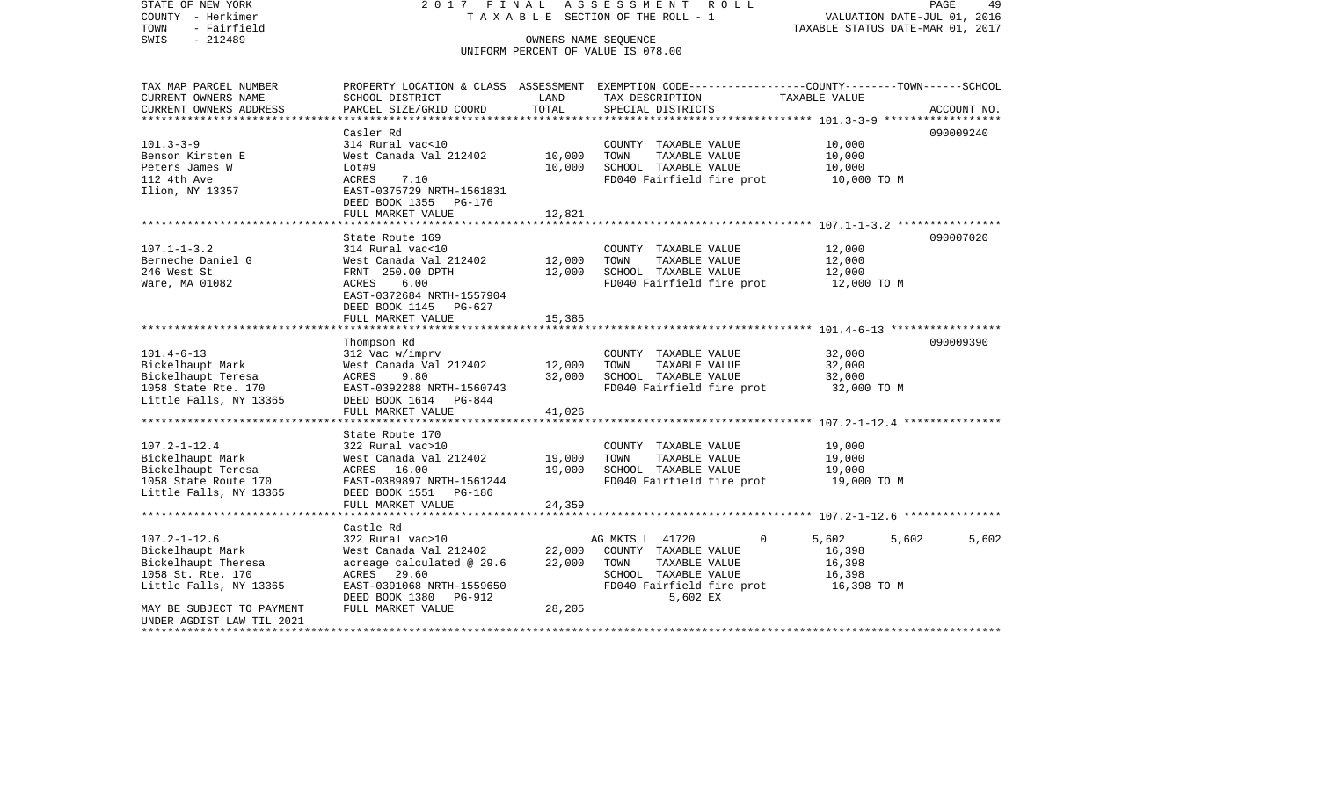STATE OF NEW YORK 2 0 1 7 F I N A L A S S E S S M E N T R O L L PAGE 49COUNTY - Herkimer T A X A B L E SECTION OF THE ROLL - 1 VALUATION DATE-JUL 01, 2016 TOWN - Fairfield TAXABLE STATUS DATE-MAR 01, 2017 SWIS - 212489 CONNERS NAME SEQUENCE UNIFORM PERCENT OF VALUE IS 078.00TAX MAP PARCEL NUMBER PROPERTY LOCATION & CLASS ASSESSMENT EXEMPTION CODE------------------COUNTY--------TOWN------SCHOOL CURRENT OWNERS NAME SCHOOL DISTRICT LAND TAX DESCRIPTION TAXABLE VALUECURRENT OWNERS ADDRESS PARCEL SIZE/GRID COORD TOTAL SPECIAL DISTRICTS ACCOUNT NO. \*\*\*\*\*\*\*\*\*\*\*\*\*\*\*\*\*\*\*\*\*\*\*\*\*\*\*\*\*\*\*\*\*\*\*\*\*\*\*\*\*\*\*\*\*\*\*\*\*\*\*\*\*\*\*\*\*\*\*\*\*\*\*\*\*\*\*\*\*\*\*\*\*\*\*\*\*\*\*\*\*\*\*\*\*\*\*\*\*\*\*\*\*\*\*\*\*\*\*\*\*\*\* 101.3-3-9 \*\*\*\*\*\*\*\*\*\*\*\*\*\*\*\*\*\* Casler Rd 090009240090009240 101.3-3-9 314 Rural vac<10 COUNTY TAXABLE VALUE 10,000 Benson Kirsten E 6 10,000 West Canada Val 212402 10,000 TOWN TAXABLE VALUE 10,000 Peters James W 10,000 SCHOOL TAXABLE VALUE 10,000 Peters James W 10,000 112 4th Ave ACRES 7.10 FD040 Fairfield fire prot 10,000 TO M Ilion, NY 13357 EAST-0375729 NRTH-1561831 DEED BOOK 1355 PG-176FULL MARKET VALUE 12,821 \*\*\*\*\*\*\*\*\*\*\*\*\*\*\*\*\*\*\*\*\*\*\*\*\*\*\*\*\*\*\*\*\*\*\*\*\*\*\*\*\*\*\*\*\*\*\*\*\*\*\*\*\*\*\*\*\*\*\*\*\*\*\*\*\*\*\*\*\*\*\*\*\*\*\*\*\*\*\*\*\*\*\*\*\*\*\*\*\*\*\*\*\*\*\*\*\*\*\*\*\*\*\* 107.1-1-3.2 \*\*\*\*\*\*\*\*\*\*\*\*\*\*\*\*State Route 169 090007020 107.1-1-3.2 314 Rural vac<10 COUNTY TAXABLE VALUE 12,000 Berneche Daniel G West Canada Val 212402 12,000 TOWN TAXABLE VALUE 12,000 246 West St FRNT 250.00 DPTH 12,000 SCHOOL TAXABLE VALUE 12,000 Ware, MA 01082 **ACRES** 6.00 **FD040** Fairfield fire prot 12,000 TO M EAST-0372684 NRTH-1557904 DEED BOOK 1145 PG-627FULL MARKET VALUE 15,385 \*\*\*\*\*\*\*\*\*\*\*\*\*\*\*\*\*\*\*\*\*\*\*\*\*\*\*\*\*\*\*\*\*\*\*\*\*\*\*\*\*\*\*\*\*\*\*\*\*\*\*\*\*\*\*\*\*\*\*\*\*\*\*\*\*\*\*\*\*\*\*\*\*\*\*\*\*\*\*\*\*\*\*\*\*\*\*\*\*\*\*\*\*\*\*\*\*\*\*\*\*\*\* 101.4-6-13 \*\*\*\*\*\*\*\*\*\*\*\*\*\*\*\*\* Thompson Rd 090009390 101.4-6-13 312 Vac w/imprv COUNTY TAXABLE VALUE 32,000 Bickelhaupt Mark West Canada Val 212402 12,000 TOWN TAXABLE VALUE 32,000 Bickelhaupt Teresa ACRES 9.80 32,000 SCHOOL TAXABLE VALUE 32,000 1058 State Rte. 170 EAST-0392288 NRTH-1560743 FD040 Fairfield fire prot 32,000 TO M Little Falls, NY 13365 DEED BOOK 1614 PG-844 FULL MARKET VALUE 41,026 \*\*\*\*\*\*\*\*\*\*\*\*\*\*\*\*\*\*\*\*\*\*\*\*\*\*\*\*\*\*\*\*\*\*\*\*\*\*\*\*\*\*\*\*\*\*\*\*\*\*\*\*\*\*\*\*\*\*\*\*\*\*\*\*\*\*\*\*\*\*\*\*\*\*\*\*\*\*\*\*\*\*\*\*\*\*\*\*\*\*\*\*\*\*\*\*\*\*\*\*\*\*\* 107.2-1-12.4 \*\*\*\*\*\*\*\*\*\*\*\*\*\*\* State Route 170107.2-1-12.4 322 Rural vac>10 COUNTY TAXABLE VALUE 19,000 Bickelhaupt Mark West Canada Val 212402 19,000 TOWN TAXABLE VALUE 19,000 Bickelhaupt Teresa ACRES 16.00 19,000 SCHOOL TAXABLE VALUE 19,000 1058 State Route 170 EAST-0389897 NRTH-1561244 FD040 Fairfield fire prot 19,000 TO M Little Falls, NY 13365 DEED BOOK 1551 PG-186 FULL MARKET VALUE 24,359 \*\*\*\*\*\*\*\*\*\*\*\*\*\*\*\*\*\*\*\*\*\*\*\*\*\*\*\*\*\*\*\*\*\*\*\*\*\*\*\*\*\*\*\*\*\*\*\*\*\*\*\*\*\*\*\*\*\*\*\*\*\*\*\*\*\*\*\*\*\*\*\*\*\*\*\*\*\*\*\*\*\*\*\*\*\*\*\*\*\*\*\*\*\*\*\*\*\*\*\*\*\*\* 107.2-1-12.6 \*\*\*\*\*\*\*\*\*\*\*\*\*\*\* Castle Rd107.2-1-12.6 322 Rural vac>10 AG MKTS L 41720 0 5,602 5,602 5,602 Bickelhaupt Mark West Canada Val 212402 22,000 COUNTY TAXABLE VALUE 16,398 Bickelhaupt Theresa acreage calculated @ 29.6 22,000 TOWN TAXABLE VALUE 16,398 1058 St. Rte. 170 ACRES 29.60 SCHOOL TAXABLE VALUE 16,398 Little Falls, NY 13365 EAST-0391068 NRTH-1559650 FD040 Fairfield fire prot 16,398 TO M DEED BOOK 1380 PG-912 5,602 EX MAY BE SUBJECT TO PAYMENT FULL MARKET VALUE 28,205 UNDER AGDIST LAW TIL 2021\*\*\*\*\*\*\*\*\*\*\*\*\*\*\*\*\*\*\*\*\*\*\*\*\*\*\*\*\*\*\*\*\*\*\*\*\*\*\*\*\*\*\*\*\*\*\*\*\*\*\*\*\*\*\*\*\*\*\*\*\*\*\*\*\*\*\*\*\*\*\*\*\*\*\*\*\*\*\*\*\*\*\*\*\*\*\*\*\*\*\*\*\*\*\*\*\*\*\*\*\*\*\*\*\*\*\*\*\*\*\*\*\*\*\*\*\*\*\*\*\*\*\*\*\*\*\*\*\*\*\*\*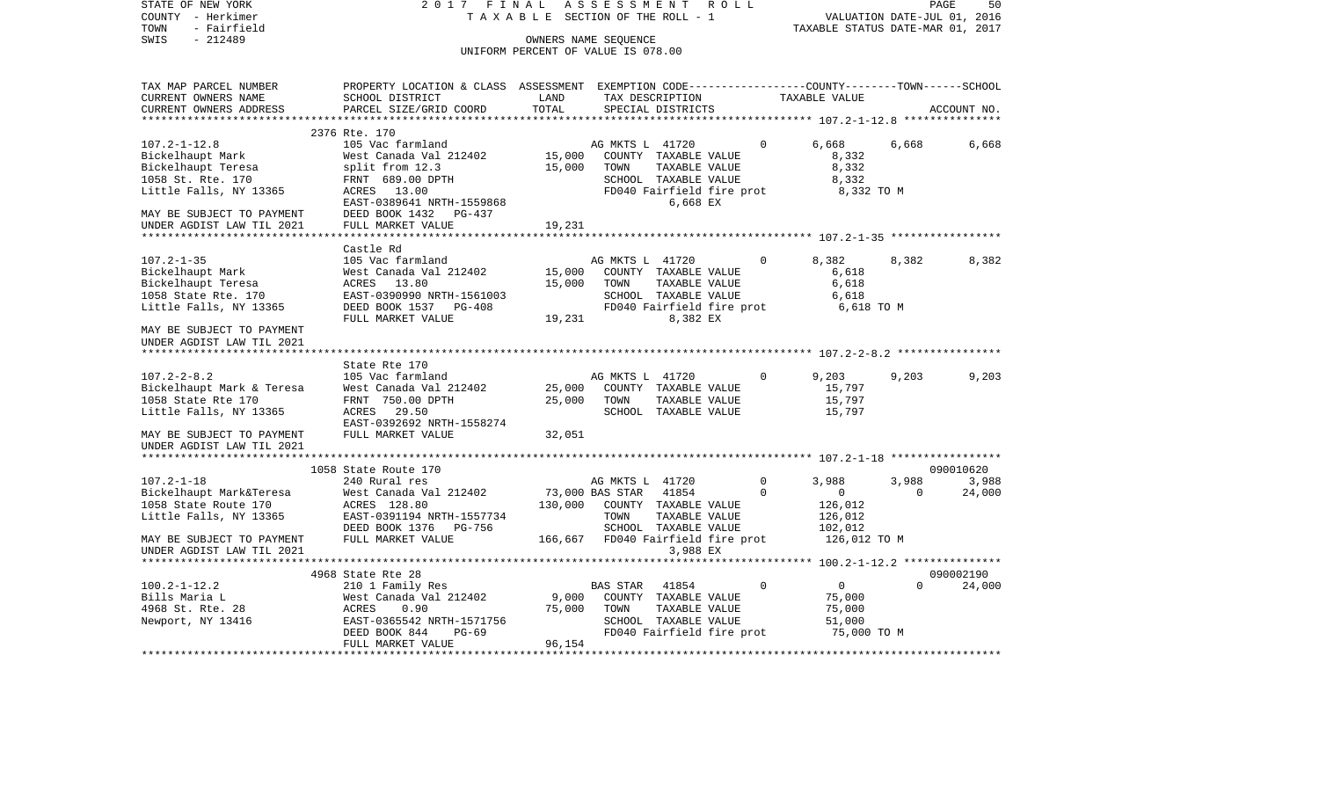| STATE OF NEW YORK<br>COUNTY - Herkimer<br>- Fairfield<br>TOWN                                  | 2017 FINAL<br>T A X A B L E SECTION OF THE ROLL - 1                                                                                          |                  | PAGE<br>50<br>VALUATION DATE-JUL 01, 2016<br>TAXABLE STATUS DATE-MAR 01, 2017 |                           |                                           |                   |                 |
|------------------------------------------------------------------------------------------------|----------------------------------------------------------------------------------------------------------------------------------------------|------------------|-------------------------------------------------------------------------------|---------------------------|-------------------------------------------|-------------------|-----------------|
| $-212489$<br>SWIS                                                                              |                                                                                                                                              |                  | OWNERS NAME SEQUENCE<br>UNIFORM PERCENT OF VALUE IS 078.00                    |                           |                                           |                   |                 |
| TAX MAP PARCEL NUMBER<br>CURRENT OWNERS NAME<br>CURRENT OWNERS ADDRESS                         | PROPERTY LOCATION & CLASS ASSESSMENT EXEMPTION CODE---------------COUNTY-------TOWN------SCHOOL<br>SCHOOL DISTRICT<br>PARCEL SIZE/GRID COORD | LAND<br>TOTAL    | TAX DESCRIPTION<br>SPECIAL DISTRICTS                                          |                           | TAXABLE VALUE                             |                   | ACCOUNT NO.     |
| ************************                                                                       |                                                                                                                                              |                  |                                                                               |                           |                                           |                   |                 |
| $107.2 - 1 - 12.8$                                                                             | 2376 Rte. 170<br>105 Vac farmland                                                                                                            |                  |                                                                               | $\mathbf 0$               | 6,668                                     | 6,668             | 6,668           |
| Bickelhaupt Mark<br>Bickelhaupt Teresa<br>1058 St. Rte. 170                                    | West Canada Val 212402<br>split from 12.3<br>FRNT 689.00 DPTH                                                                                | 15,000<br>15,000 | AG MKTS L 41720<br>COUNTY TAXABLE VALUE<br>TOWN<br>SCHOOL TAXABLE VALUE       | TAXABLE VALUE             | 8,332<br>8,332<br>8,332                   |                   |                 |
| Little Falls, NY 13365<br>MAY BE SUBJECT TO PAYMENT                                            | ACRES 13.00<br>EAST-0389641 NRTH-1559868<br>DEED BOOK 1432<br>PG-437                                                                         |                  | FD040 Fairfield fire prot                                                     | 6,668 EX                  | 8,332 TO M                                |                   |                 |
| UNDER AGDIST LAW TIL 2021                                                                      | FULL MARKET VALUE                                                                                                                            | 19,231           |                                                                               |                           |                                           |                   |                 |
| $107.2 - 1 - 35$                                                                               | Castle Rd<br>105 Vac farmland                                                                                                                |                  | AG MKTS L 41720                                                               | $\Omega$                  | 8,382                                     | 8,382             | 8,382           |
| Bickelhaupt Mark<br>Bickelhaupt Teresa                                                         | West Canada Val 212402<br>ACRES 13.80                                                                                                        | 15,000<br>15,000 | COUNTY TAXABLE VALUE<br>TOWN                                                  | TAXABLE VALUE             | 6,618<br>6,618                            |                   |                 |
| 1058 State Rte. 170<br>Little Falls, NY 13365                                                  | EAST-0390990 NRTH-1561003<br>DEED BOOK 1537 PG-408<br>FULL MARKET VALUE                                                                      | 19,231           | SCHOOL TAXABLE VALUE<br>FD040 Fairfield fire prot                             | 8,382 EX                  | 6,618<br>6,618 TO M                       |                   |                 |
| MAY BE SUBJECT TO PAYMENT<br>UNDER AGDIST LAW TIL 2021                                         |                                                                                                                                              |                  |                                                                               |                           |                                           |                   |                 |
|                                                                                                | State Rte 170                                                                                                                                |                  |                                                                               |                           |                                           |                   |                 |
| $107.2 - 2 - 8.2$<br>Bickelhaupt Mark & Teresa<br>1058 State Rte 170<br>Little Falls, NY 13365 | 105 Vac farmland<br>West Canada Val 212402<br>FRNT 750.00 DPTH<br>ACRES 29.50<br>EAST-0392692 NRTH-1558274                                   | 25,000<br>25,000 | AG MKTS L 41720<br>COUNTY TAXABLE VALUE<br>TOWN<br>SCHOOL TAXABLE VALUE       | 0<br>TAXABLE VALUE        | 9,203<br>15,797<br>15,797<br>15,797       | 9,203             | 9,203           |
| MAY BE SUBJECT TO PAYMENT<br>UNDER AGDIST LAW TIL 2021                                         | FULL MARKET VALUE                                                                                                                            | 32,051           |                                                                               |                           |                                           |                   |                 |
|                                                                                                | 1058 State Route 170                                                                                                                         |                  |                                                                               |                           |                                           |                   | 090010620       |
| $107.2 - 1 - 18$<br>Bickelhaupt Mark&Teresa                                                    | 240 Rural res<br>West Canada Val 212402                                                                                                      |                  | AG MKTS L 41720<br>73,000 BAS STAR<br>41854                                   | $\Omega$<br>$\Omega$      | 3,988<br>$\mathbf 0$                      | 3,988<br>$\Omega$ | 3,988<br>24,000 |
| 1058 State Route 170<br>Little Falls, NY 13365                                                 | ACRES 128.80<br>EAST-0391194 NRTH-1557734<br>DEED BOOK 1376<br>PG-756                                                                        | 130,000          | COUNTY TAXABLE VALUE<br>TOWN<br>SCHOOL TAXABLE VALUE                          | TAXABLE VALUE             | 126,012<br>126,012<br>102,012             |                   |                 |
| MAY BE SUBJECT TO PAYMENT<br>UNDER AGDIST LAW TIL 2021                                         | FULL MARKET VALUE                                                                                                                            | 166,667          | FD040 Fairfield fire prot                                                     | 3,988 EX                  | 126,012 TO M                              |                   |                 |
|                                                                                                | 4968 State Rte 28                                                                                                                            |                  |                                                                               |                           |                                           |                   | 090002190       |
| $100.2 - 1 - 12.2$<br>Bills Maria L<br>4968 St. Rte. 28<br>Newport, NY 13416                   | 210 1 Family Res<br>West Canada Val 212402<br>ACRES<br>0.90<br>EAST-0365542 NRTH-1571756                                                     | 9,000<br>75,000  | 41854<br>BAS STAR<br>COUNTY TAXABLE VALUE<br>TOWN<br>SCHOOL TAXABLE VALUE     | $\Omega$<br>TAXABLE VALUE | $\mathbf 0$<br>75,000<br>75,000<br>51,000 | $\Omega$          | 24,000          |
|                                                                                                | DEED BOOK 844<br>$PG-69$<br>FULL MARKET VALUE                                                                                                | 96,154           | FD040 Fairfield fire prot                                                     |                           | 75,000 TO M                               |                   |                 |
|                                                                                                |                                                                                                                                              |                  |                                                                               |                           |                                           |                   |                 |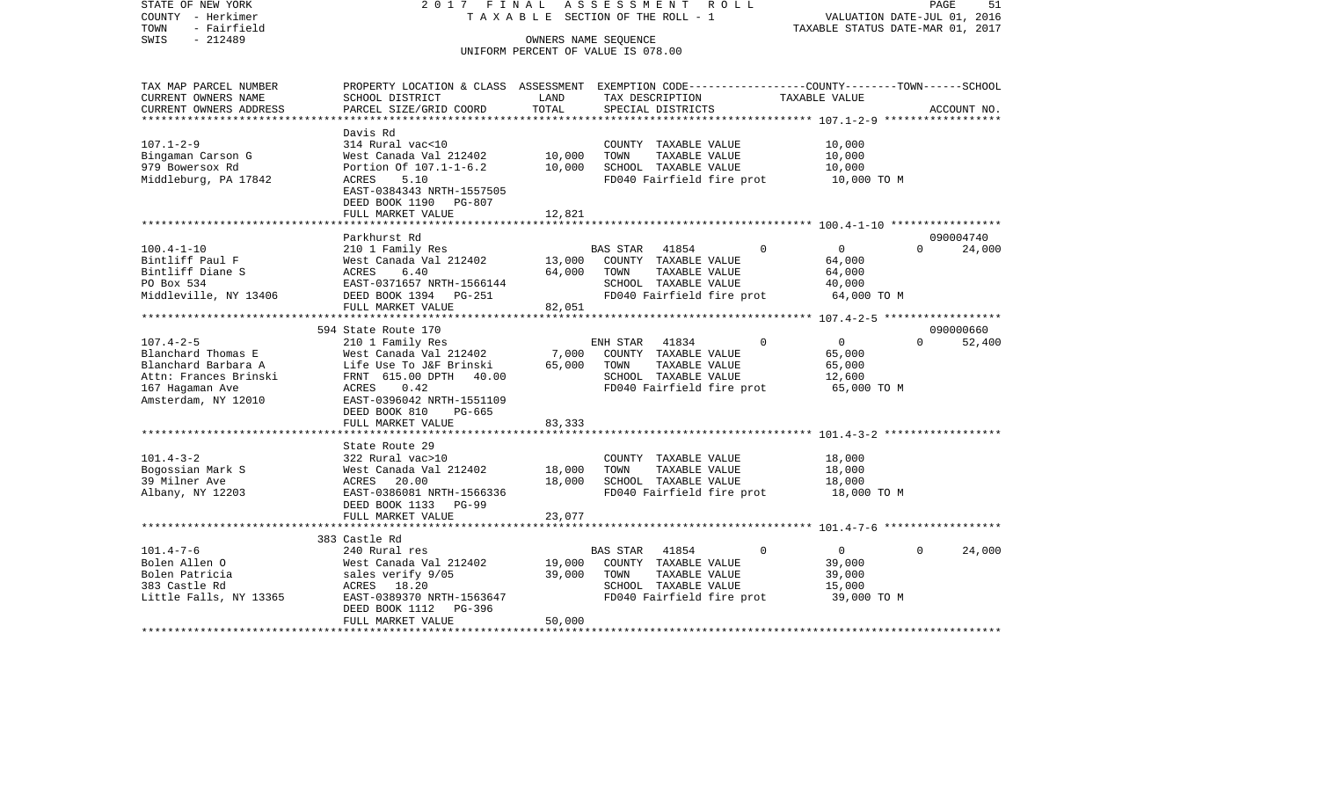STATE OF NEW YORK 2 0 1 7 F I N A L A S S E S S M E N T R O L L PAGE 51COUNTY - Herkimer **T A X A B L E** SECTION OF THE ROLL - 1 VALUATION DATE-JUL 01, 2016 TOWN - Fairfield TAXABLE STATUS DATE-MAR 01, 2017 SWIS - 212489 OWNERS NAME SEQUENCE UNIFORM PERCENT OF VALUE IS 078.00TAX MAP PARCEL NUMBER PROPERTY LOCATION & CLASS ASSESSMENT EXEMPTION CODE------------------COUNTY--------TOWN------SCHOOL CURRENT OWNERS NAME SCHOOL DISTRICT LAND TAX DESCRIPTION TAXABLE VALUECURRENT OWNERS ADDRESS PARCEL SIZE/GRID COORD TOTAL SPECIAL DISTRICTS ACCOUNT NO. \*\*\*\*\*\*\*\*\*\*\*\*\*\*\*\*\*\*\*\*\*\*\*\*\*\*\*\*\*\*\*\*\*\*\*\*\*\*\*\*\*\*\*\*\*\*\*\*\*\*\*\*\*\*\*\*\*\*\*\*\*\*\*\*\*\*\*\*\*\*\*\*\*\*\*\*\*\*\*\*\*\*\*\*\*\*\*\*\*\*\*\*\*\*\*\*\*\*\*\*\*\*\* 107.1-2-9 \*\*\*\*\*\*\*\*\*\*\*\*\*\*\*\*\*\* Davis Rd314 Rural vac<10 107.1-2-9 314 Rural vac<10 COUNTY TAXABLE VALUE 10,000 Bingaman Carson G West Canada Val 212402 10,000 TOWN TAXABLE VALUE 10,000 979 Bowersox Rd Portion Of 107.1-1-6.2 10,000 SCHOOL TAXABLE VALUE 10,000 Middleburg, PA 17842 ACRES 5.10 FD040 Fairfield fire prot 10,000 TO M EAST-0384343 NRTH-1557505 DEED BOOK 1190 PG-807FULL MARKET VALUE 12,821 \*\*\*\*\*\*\*\*\*\*\*\*\*\*\*\*\*\*\*\*\*\*\*\*\*\*\*\*\*\*\*\*\*\*\*\*\*\*\*\*\*\*\*\*\*\*\*\*\*\*\*\*\*\*\*\*\*\*\*\*\*\*\*\*\*\*\*\*\*\*\*\*\*\*\*\*\*\*\*\*\*\*\*\*\*\*\*\*\*\*\*\*\*\*\*\*\*\*\*\*\*\*\* 100.4-1-10 \*\*\*\*\*\*\*\*\*\*\*\*\*\*\*\*\* Parkhurst Rd 09000474024,000 100.4-1-10 210 1 Family Res BAS STAR 41854 0 0 0 24,000 Bintliff Paul F West Canada Val 212402 13,000 COUNTY TAXABLE VALUE 64,000 Bintliff Diane S 64,000 ACRES 6.40 64,000 TOWN TAXABLE VALUE 64,000 PO Box 534 EAST-0371657 NRTH-1566144 SCHOOL TAXABLE VALUE 40,000 Middleville, NY 13406 DEED BOOK 1394 PG-251 FD040 Fairfield fire prot 64,000 TO M FULL MARKET VALUE 82,051 \*\*\*\*\*\*\*\*\*\*\*\*\*\*\*\*\*\*\*\*\*\*\*\*\*\*\*\*\*\*\*\*\*\*\*\*\*\*\*\*\*\*\*\*\*\*\*\*\*\*\*\*\*\*\*\*\*\*\*\*\*\*\*\*\*\*\*\*\*\*\*\*\*\*\*\*\*\*\*\*\*\*\*\*\*\*\*\*\*\*\*\*\*\*\*\*\*\*\*\*\*\*\* 107.4-2-5 \*\*\*\*\*\*\*\*\*\*\*\*\*\*\*\*\*\* 594 State Route 170 090000660107.4-2-5 210 1 Family Res ENH STAR 41834 0 0 0 52,400 Blanchard Thomas E West Canada Val 212402 7,000 COUNTY TAXABLE VALUE 65,000 Blanchard Barbara A Life Use To J&F Brinski 65,000 TOWN TAXABLE VALUE 65,000 Attn: Frances Brinski 615.00 DPTH 40.00 SCHOOL TAXABLE VALUE 12,600 167 Hagaman Ave ACRES 0.42 FD040 Fairfield fire prot 65,000 TO M Amsterdam, NY 12010 EAST-0396042 NRTH-1551109 DEED BOOK 810 PG-665FULL MARKET VALUE 83,333 \*\*\*\*\*\*\*\*\*\*\*\*\*\*\*\*\*\*\*\*\*\*\*\*\*\*\*\*\*\*\*\*\*\*\*\*\*\*\*\*\*\*\*\*\*\*\*\*\*\*\*\*\*\*\*\*\*\*\*\*\*\*\*\*\*\*\*\*\*\*\*\*\*\*\*\*\*\*\*\*\*\*\*\*\*\*\*\*\*\*\*\*\*\*\*\*\*\*\*\*\*\*\* 101.4-3-2 \*\*\*\*\*\*\*\*\*\*\*\*\*\*\*\*\*\* State Route 29101.4-3-2 322 Rural vac>10 COUNTY TAXABLE VALUE 18,000 Bogossian Mark S West Canada Val 212402 18,000 TOWN TAXABLE VALUE 18,000 39 Milner Ave ACRES 20.00 18,000 SCHOOL TAXABLE VALUE 18,000 Albany, NY 12203 EAST-0386081 NRTH-1566336 FD040 Fairfield fire prot 18,000 TO M DEED BOOK 1133 PG-99FULL MARKET VALUE 23,077 \*\*\*\*\*\*\*\*\*\*\*\*\*\*\*\*\*\*\*\*\*\*\*\*\*\*\*\*\*\*\*\*\*\*\*\*\*\*\*\*\*\*\*\*\*\*\*\*\*\*\*\*\*\*\*\*\*\*\*\*\*\*\*\*\*\*\*\*\*\*\*\*\*\*\*\*\*\*\*\*\*\*\*\*\*\*\*\*\*\*\*\*\*\*\*\*\*\*\*\*\*\*\* 101.4-7-6 \*\*\*\*\*\*\*\*\*\*\*\*\*\*\*\*\*\* 383 Castle Rd240 Rural res 101.4-7-6 240 Rural res BAS STAR 41854 0 0 0 24,000 Bolen Allen O West Canada Val 212402 19,000 COUNTY TAXABLE VALUE 39,000 Bolen Patricia  $\sim$  sales verify 9/05 39,000 TOWN TAXABLE VALUE 39,000 383 Castle Rd ACRES 18.20 SCHOOL TAXABLE VALUE 15,000 Little Falls, NY 13365 EAST-0389370 NRTH-1563647 FD040 Fairfield fire prot 39,000 TO M DEED BOOK 1112 PG-396FULL MARKET VALUE 50,000

\*\*\*\*\*\*\*\*\*\*\*\*\*\*\*\*\*\*\*\*\*\*\*\*\*\*\*\*\*\*\*\*\*\*\*\*\*\*\*\*\*\*\*\*\*\*\*\*\*\*\*\*\*\*\*\*\*\*\*\*\*\*\*\*\*\*\*\*\*\*\*\*\*\*\*\*\*\*\*\*\*\*\*\*\*\*\*\*\*\*\*\*\*\*\*\*\*\*\*\*\*\*\*\*\*\*\*\*\*\*\*\*\*\*\*\*\*\*\*\*\*\*\*\*\*\*\*\*\*\*\*\*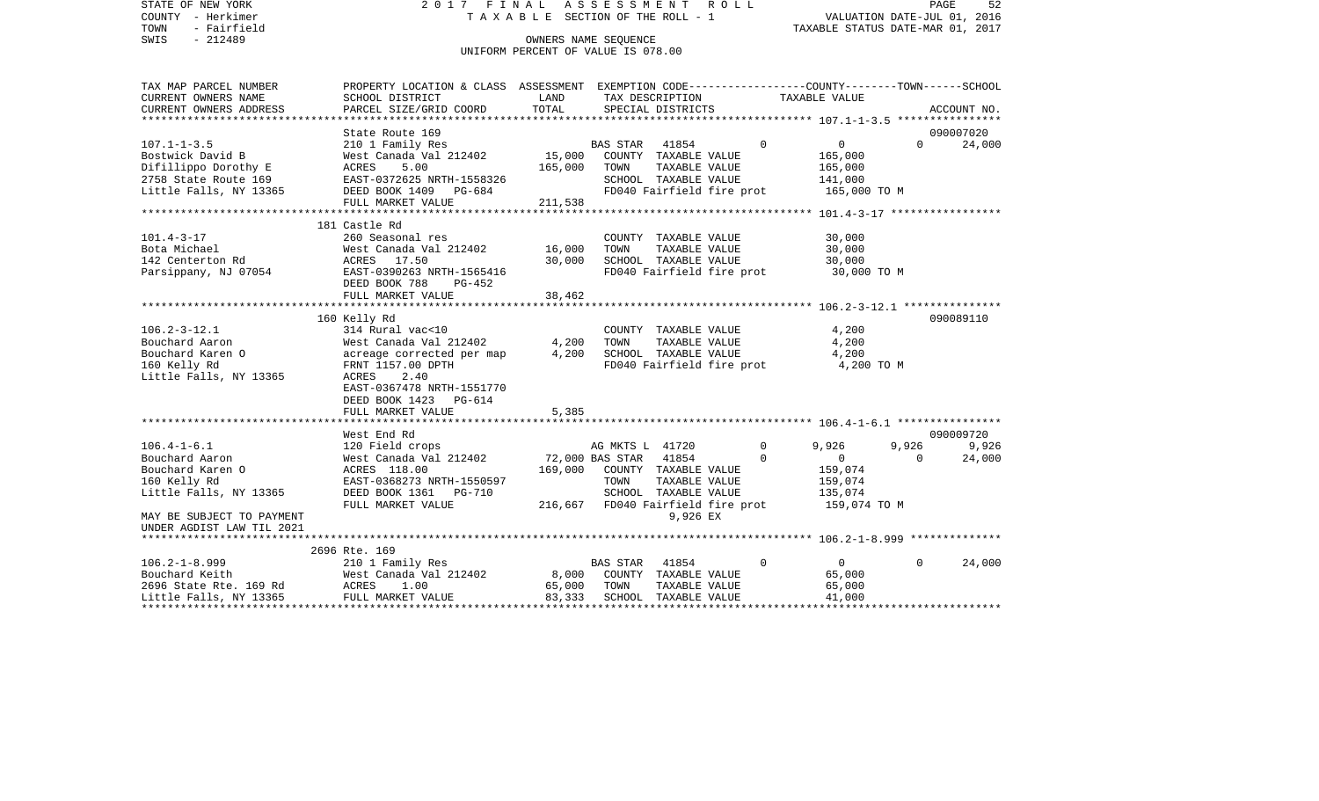| STATE OF NEW YORK<br>COUNTY - Herkimer<br>TOWN<br>- Fairfield | 2017 FINAL<br>TAXABLE SECTION OF THE ROLL - 1                                                    | PAGE<br>52<br>VALUATION DATE-JUL 01, 2016<br>TAXABLE STATUS DATE-MAR 01, 2017 |                              |                      |                                   |                     |                |             |
|---------------------------------------------------------------|--------------------------------------------------------------------------------------------------|-------------------------------------------------------------------------------|------------------------------|----------------------|-----------------------------------|---------------------|----------------|-------------|
| $-212489$<br>SWIS                                             |                                                                                                  | OWNERS NAME SEQUENCE                                                          |                              |                      |                                   |                     |                |             |
|                                                               |                                                                                                  | UNIFORM PERCENT OF VALUE IS 078.00                                            |                              |                      |                                   |                     |                |             |
| TAX MAP PARCEL NUMBER                                         | PROPERTY LOCATION & CLASS ASSESSMENT EXEMPTION CODE----------------COUNTY-------TOWN------SCHOOL |                                                                               |                              |                      |                                   |                     |                |             |
| CURRENT OWNERS NAME                                           | SCHOOL DISTRICT                                                                                  | LAND                                                                          |                              | TAX DESCRIPTION      |                                   | TAXABLE VALUE       |                |             |
| CURRENT OWNERS ADDRESS                                        | PARCEL SIZE/GRID COORD                                                                           | TOTAL                                                                         |                              | SPECIAL DISTRICTS    |                                   |                     |                | ACCOUNT NO. |
|                                                               | State Route 169                                                                                  |                                                                               |                              |                      |                                   |                     |                | 090007020   |
| $107.1 - 1 - 3.5$                                             | 210 1 Family Res                                                                                 |                                                                               | BAS STAR 41854               |                      | $\Omega$                          | $\overline{0}$      | $\Omega$       | 24,000      |
| Bostwick David B                                              | West Canada Val 212402                                                                           | 15,000 COUNTY TAXABLE VALUE                                                   |                              |                      |                                   | 165,000             |                |             |
| Difillippo Dorothy E                                          | ACRES<br>5.00                                                                                    | 165,000                                                                       | TOWN                         | TAXABLE VALUE        |                                   | 165,000             |                |             |
| 2758 State Route 169<br>Little Falls, NY 13365                | EAST-0372625 NRTH-1558326                                                                        |                                                                               |                              | SCHOOL TAXABLE VALUE |                                   | 141,000             |                |             |
|                                                               | DEED BOOK 1409 PG-684<br>FULL MARKET VALUE                                                       |                                                                               |                              |                      | FD040 Fairfield fire prot         | 165,000 TO M        |                |             |
|                                                               |                                                                                                  | 211,538                                                                       |                              |                      |                                   |                     |                |             |
|                                                               |                                                                                                  |                                                                               |                              |                      |                                   |                     |                |             |
| $101.4 - 3 - 17$                                              | 181 Castle Rd<br>260 Seasonal res                                                                |                                                                               |                              | COUNTY TAXABLE VALUE |                                   | 30,000              |                |             |
| Bota Michael                                                  | West Canada Val 212402 16,000                                                                    |                                                                               | TOWN                         | TAXABLE VALUE        |                                   | 30,000              |                |             |
| 142 Centerton Rd                                              | ACRES 17.50                                                                                      | 30,000                                                                        |                              | SCHOOL TAXABLE VALUE |                                   | 30,000              |                |             |
| Parsippany, NJ 07054 EAST-0390263 NRTH-1565416                |                                                                                                  |                                                                               |                              |                      | FD040 Fairfield fire prot         | 30,000 TO M         |                |             |
|                                                               | DEED BOOK 788<br>PG-452                                                                          |                                                                               |                              |                      |                                   |                     |                |             |
|                                                               | FULL MARKET VALUE                                                                                | 38,462                                                                        |                              |                      |                                   |                     |                |             |
|                                                               |                                                                                                  |                                                                               |                              |                      |                                   |                     |                |             |
|                                                               | 160 Kelly Rd                                                                                     |                                                                               |                              |                      |                                   |                     |                | 090089110   |
| $106.2 - 3 - 12.1$                                            | 314 Rural vac<10                                                                                 |                                                                               |                              |                      | COUNTY TAXABLE VALUE              | 4,200               |                |             |
| Bouchard Aaron                                                | West Canada Val 212402<br>acreage corrected per map 4,200                                        | 4,200                                                                         | TOWN                         | TAXABLE VALUE        |                                   | 4,200               |                |             |
| Bouchard Karen O<br>160 Kelly Rd                              | FRNT 1157.00 DPTH                                                                                |                                                                               |                              | SCHOOL TAXABLE VALUE | FD040 Fairfield fire prot         | 4,200<br>4,200 TO M |                |             |
| Little Falls, NY 13365                                        | ACRES<br>2.40                                                                                    |                                                                               |                              |                      |                                   |                     |                |             |
|                                                               | EAST-0367478 NRTH-1551770                                                                        |                                                                               |                              |                      |                                   |                     |                |             |
|                                                               | DEED BOOK 1423 PG-614                                                                            |                                                                               |                              |                      |                                   |                     |                |             |
|                                                               | FULL MARKET VALUE                                                                                | 5,385                                                                         |                              |                      |                                   |                     |                |             |
|                                                               |                                                                                                  |                                                                               |                              |                      |                                   |                     |                |             |
|                                                               | West End Rd                                                                                      |                                                                               |                              |                      |                                   |                     |                | 090009720   |
| $106.4 - 1 - 6.1$                                             | 120 Field crops                                                                                  |                                                                               | AG MKTS L 41720              |                      | $\Omega$                          | 9,926               | 9,926          | 9,926       |
| Bouchard Aaron                                                | West Canada Val 212402 72,000 BAS STAR 41854                                                     |                                                                               |                              |                      | $\Omega$                          | $\overline{0}$      | $\overline{0}$ | 24,000      |
| Bouchard Karen O                                              | ACRES 118.00                                                                                     |                                                                               | 169,000 COUNTY TAXABLE VALUE |                      |                                   | 159,074             |                |             |
| 160 Kelly Rd                                                  | EAST-0368273 NRTH-1550597                                                                        |                                                                               | TOWN                         | TAXABLE VALUE        |                                   | 159,074             |                |             |
| Little Falls, NY 13365                                        | DEED BOOK 1361 PG-710                                                                            |                                                                               |                              | SCHOOL TAXABLE VALUE |                                   | 135,074             |                |             |
|                                                               | FULL MARKET VALUE                                                                                |                                                                               |                              |                      | 216,667 FD040 Fairfield fire prot | 159,074 TO M        |                |             |
| MAY BE SUBJECT TO PAYMENT<br>UNDER AGDIST LAW TIL 2021        |                                                                                                  |                                                                               |                              | 9,926 EX             |                                   |                     |                |             |
| **************************                                    |                                                                                                  |                                                                               |                              |                      |                                   |                     |                |             |
|                                                               | 2696 Rte. 169                                                                                    |                                                                               |                              |                      |                                   |                     |                |             |
|                                                               |                                                                                                  |                                                                               | BAS STAR                     | 41854                | $\Omega$                          | $\overline{0}$      | $\Omega$       | 24,000      |
|                                                               |                                                                                                  | 8,000 COUNTY TAXABLE VALUE                                                    |                              |                      |                                   | 65,000              |                |             |
|                                                               |                                                                                                  | 65,000                                                                        | TOWN                         | TAXABLE VALUE        |                                   | 65,000              |                |             |
|                                                               |                                                                                                  | 83,333                                                                        |                              | SCHOOL TAXABLE VALUE |                                   | 41,000              |                |             |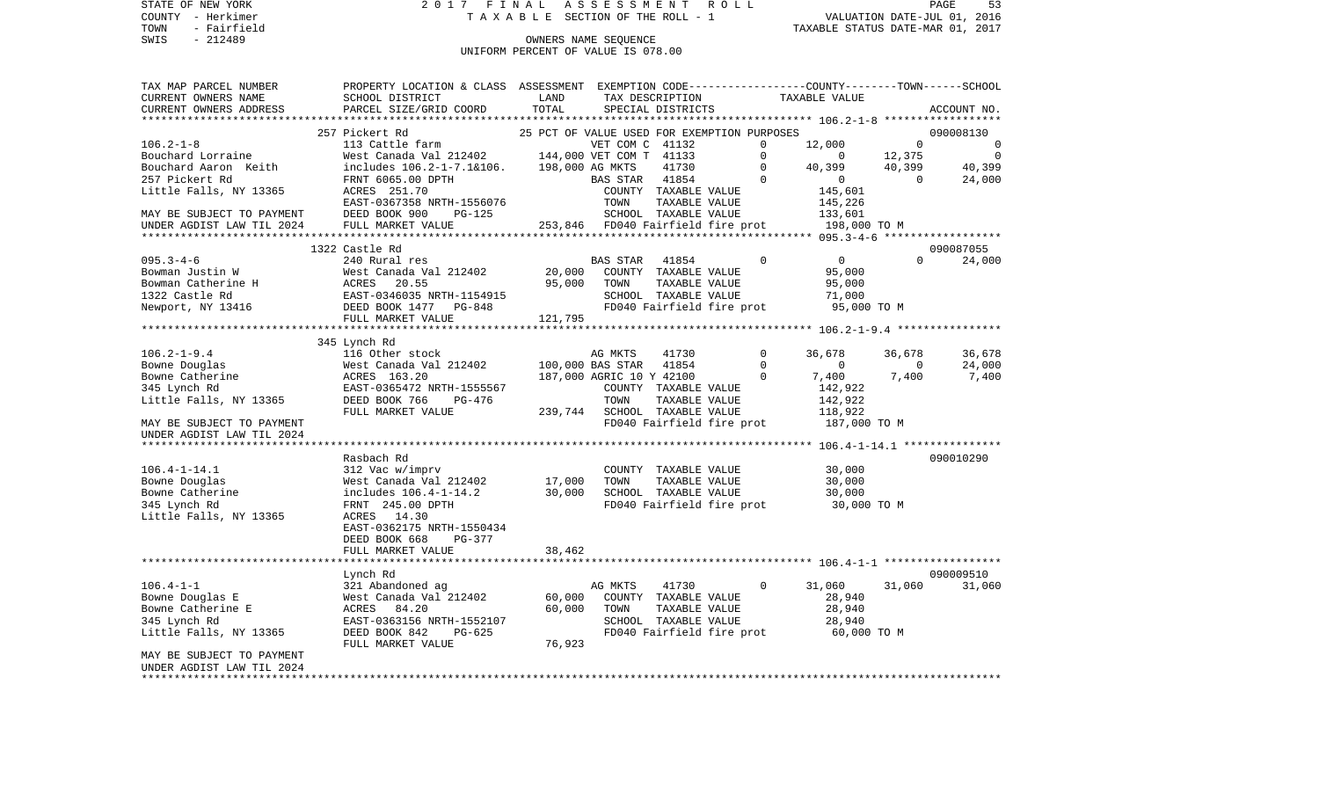COUNTY - Herkimer T A X A B L E SECTION OF THE ROLL - 1 VALUATION DATE-JUL 01, 2016

# OWNERS NAME SEQUENCE UNIFORM PERCENT OF VALUE IS 078.00

| TAX MAP PARCEL NUMBER<br>CURRENT OWNERS NAME | PROPERTY LOCATION & CLASS ASSESSMENT EXEMPTION CODE---------------COUNTY-------TOWN------SCHOOL<br>SCHOOL DISTRICT | LAND    |                          | TAX DESCRIPTION                             |             | TAXABLE VALUE                            |          |             |
|----------------------------------------------|--------------------------------------------------------------------------------------------------------------------|---------|--------------------------|---------------------------------------------|-------------|------------------------------------------|----------|-------------|
| CURRENT OWNERS ADDRESS                       | PARCEL SIZE/GRID COORD                                                                                             | TOTAL   |                          | SPECIAL DISTRICTS                           |             |                                          |          | ACCOUNT NO. |
|                                              |                                                                                                                    |         |                          |                                             |             |                                          |          |             |
|                                              | 257 Pickert Rd                                                                                                     |         |                          | 25 PCT OF VALUE USED FOR EXEMPTION PURPOSES |             |                                          |          | 090008130   |
| $106.2 - 1 - 8$                              | 113 Cattle farm                                                                                                    |         | VET COM C 41132          |                                             | $\Omega$    | 12,000                                   | $\Omega$ | 0           |
| Bouchard Lorraine                            | West Canada Val 212402                                                                                             |         | 144,000 VET COM T 41133  |                                             | $\Omega$    | $\Omega$                                 | 12,375   | 0           |
| Bouchard Aaron Keith                         | includes 106.2-1-7.1&106.                                                                                          |         | 198,000 AG MKTS          | 41730                                       | 0           | 40,399                                   | 40,399   | 40,399      |
| 257 Pickert Rd                               | FRNT 6065.00 DPTH                                                                                                  |         | <b>BAS STAR</b>          | 41854                                       | $\Omega$    | $\overline{0}$                           | $\Omega$ | 24,000      |
| Little Falls, NY 13365                       | ACRES 251.70                                                                                                       |         |                          | COUNTY TAXABLE VALUE                        |             | 145,601                                  |          |             |
|                                              | EAST-0367358 NRTH-1556076                                                                                          |         | TOWN                     | TAXABLE VALUE                               |             | 145,226                                  |          |             |
| MAY BE SUBJECT TO PAYMENT                    | DEED BOOK 900<br>$PG-125$                                                                                          |         |                          | SCHOOL TAXABLE VALUE                        |             | 133,601                                  |          |             |
| UNDER AGDIST LAW TIL 2024                    | FULL MARKET VALUE                                                                                                  |         |                          | 253,846 FD040 Fairfield fire prot           |             | 198,000 TO M                             |          |             |
|                                              |                                                                                                                    |         |                          |                                             |             |                                          |          |             |
|                                              | 1322 Castle Rd                                                                                                     |         |                          |                                             |             |                                          |          | 090087055   |
| $095.3 - 4 - 6$                              | 240 Rural res                                                                                                      |         | <b>BAS STAR</b>          | 41854                                       | $\mathbf 0$ | $\overline{0}$                           | $\Omega$ | 24,000      |
| Bowman Justin W                              | West Canada Val 212402                                                                                             | 20,000  |                          | COUNTY TAXABLE VALUE                        |             | 95,000                                   |          |             |
| Bowman Catherine H                           | ACRES<br>20.55                                                                                                     | 95,000  | TOWN                     | TAXABLE VALUE                               |             | 95,000                                   |          |             |
| 1322 Castle Rd                               | EAST-0346035 NRTH-1154915                                                                                          |         |                          | SCHOOL TAXABLE VALUE                        |             | 71,000                                   |          |             |
| Newport, NY 13416                            | DEED BOOK 1477<br>PG-848                                                                                           |         |                          | FD040 Fairfield fire prot                   |             | 95,000 TO M                              |          |             |
|                                              | FULL MARKET VALUE<br>**********************************                                                            | 121,795 |                          |                                             |             |                                          |          |             |
|                                              |                                                                                                                    |         |                          |                                             |             |                                          |          |             |
|                                              | 345 Lynch Rd                                                                                                       |         |                          |                                             |             |                                          |          |             |
| $106.2 - 1 - 9.4$                            | 116 Other stock                                                                                                    |         | AG MKTS                  | 41730                                       | $\Omega$    | 36,678                                   | 36,678   | 36,678      |
| Bowne Douglas                                | West Canada Val 212402                                                                                             |         | 100,000 BAS STAR         | 41854                                       | $\Omega$    | $\mathbf 0$                              | $\Omega$ | 24,000      |
| Bowne Catherine                              | ACRES 163.20                                                                                                       |         | 187,000 AGRIC 10 Y 42100 |                                             | 0           | 7,400                                    | 7,400    | 7,400       |
| 345 Lynch Rd                                 | EAST-0365472 NRTH-1555567                                                                                          |         |                          | COUNTY TAXABLE VALUE                        |             | 142,922                                  |          |             |
| Little Falls, NY 13365                       | DEED BOOK 766<br>PG-476                                                                                            |         | TOWN                     | TAXABLE VALUE                               |             | 142,922                                  |          |             |
|                                              | FULL MARKET VALUE                                                                                                  | 239,744 |                          | SCHOOL TAXABLE VALUE                        |             | 118,922                                  |          |             |
| MAY BE SUBJECT TO PAYMENT                    |                                                                                                                    |         |                          | FD040 Fairfield fire prot                   |             | 187,000 TO M                             |          |             |
| UNDER AGDIST LAW TIL 2024                    |                                                                                                                    |         |                          |                                             |             |                                          |          |             |
|                                              |                                                                                                                    |         |                          |                                             |             | ********** 106.4-1-14.1 **************** |          |             |
|                                              | Rasbach Rd                                                                                                         |         |                          |                                             |             |                                          |          | 090010290   |
| $106.4 - 1 - 14.1$                           | 312 Vac w/imprv                                                                                                    |         |                          | COUNTY TAXABLE VALUE                        |             | 30,000                                   |          |             |
| Bowne Douglas                                | West Canada Val 212402                                                                                             | 17,000  | TOWN                     | TAXABLE VALUE                               |             | 30,000                                   |          |             |
| Bowne Catherine                              | includes 106.4-1-14.2                                                                                              | 30,000  |                          | SCHOOL TAXABLE VALUE                        |             | 30,000                                   |          |             |
| 345 Lynch Rd                                 | FRNT 245.00 DPTH                                                                                                   |         |                          | FD040 Fairfield fire prot                   |             | 30,000 TO M                              |          |             |
| Little Falls, NY 13365                       | ACRES<br>14.30                                                                                                     |         |                          |                                             |             |                                          |          |             |
|                                              | EAST-0362175 NRTH-1550434                                                                                          |         |                          |                                             |             |                                          |          |             |
|                                              | DEED BOOK 668<br><b>PG-377</b>                                                                                     |         |                          |                                             |             |                                          |          |             |
|                                              | FULL MARKET VALUE<br>***************************                                                                   | 38,462  |                          |                                             |             |                                          |          |             |
|                                              |                                                                                                                    |         |                          |                                             |             |                                          |          | 090009510   |
|                                              | Lynch Rd                                                                                                           |         |                          |                                             |             |                                          |          |             |
| $106.4 - 1 - 1$                              | 321 Abandoned ag                                                                                                   |         | AG MKTS                  | 41730                                       | $\mathbf 0$ | 31,060                                   | 31,060   | 31,060      |
| Bowne Douglas E                              | West Canada Val 212402                                                                                             | 60,000  |                          | COUNTY TAXABLE VALUE                        |             | 28,940                                   |          |             |
| Bowne Catherine E                            | ACRES<br>84.20                                                                                                     | 60,000  | TOWN                     | TAXABLE VALUE                               |             | 28,940                                   |          |             |
| 345 Lynch Rd                                 | EAST-0363156 NRTH-1552107                                                                                          |         |                          | SCHOOL TAXABLE VALUE                        |             | 28,940                                   |          |             |
| Little Falls, NY 13365                       | DEED BOOK 842<br>PG-625                                                                                            |         |                          | FD040 Fairfield fire prot                   |             | 60,000 TO M                              |          |             |
|                                              | FULL MARKET VALUE                                                                                                  | 76,923  |                          |                                             |             |                                          |          |             |
| MAY BE SUBJECT TO PAYMENT                    |                                                                                                                    |         |                          |                                             |             |                                          |          |             |
| UNDER AGDIST LAW TIL 2024                    |                                                                                                                    |         |                          |                                             |             |                                          |          |             |
|                                              |                                                                                                                    |         |                          |                                             |             |                                          |          |             |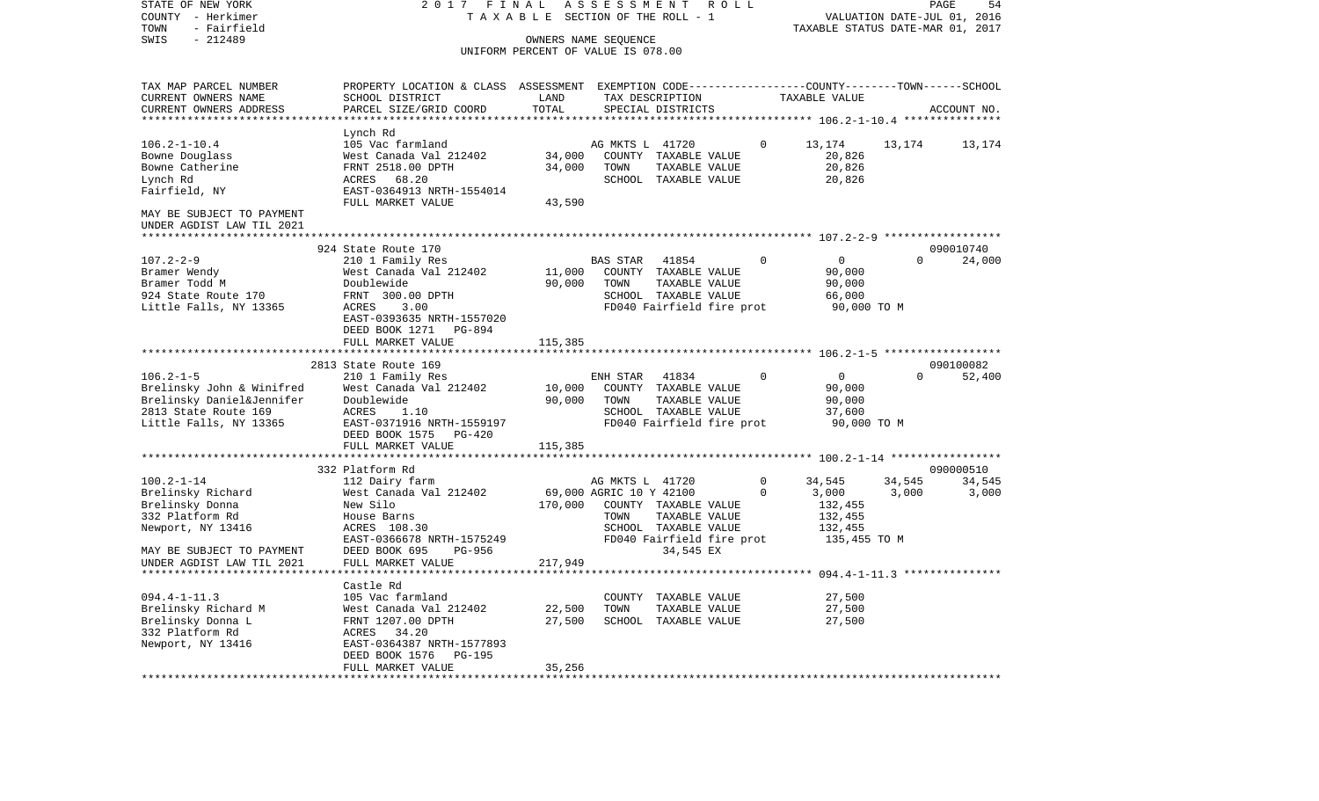| COUNTY<br>- Herkimer                                   |                                                                                                                    | TAXABLE SECTION OF THE ROLL - 1    |                         |                                                   |          |                                                      | VALUATION DATE-JUL 01, 2016 |             |
|--------------------------------------------------------|--------------------------------------------------------------------------------------------------------------------|------------------------------------|-------------------------|---------------------------------------------------|----------|------------------------------------------------------|-----------------------------|-------------|
| - Fairfield<br>TOWN                                    |                                                                                                                    |                                    |                         |                                                   |          | TAXABLE STATUS DATE-MAR 01, 2017                     |                             |             |
| SWIS<br>$-212489$                                      |                                                                                                                    | OWNERS NAME SEQUENCE               |                         |                                                   |          |                                                      |                             |             |
|                                                        |                                                                                                                    | UNIFORM PERCENT OF VALUE IS 078.00 |                         |                                                   |          |                                                      |                             |             |
|                                                        |                                                                                                                    |                                    |                         |                                                   |          |                                                      |                             |             |
| TAX MAP PARCEL NUMBER<br>CURRENT OWNERS NAME           | PROPERTY LOCATION & CLASS ASSESSMENT EXEMPTION CODE---------------COUNTY-------TOWN------SCHOOL<br>SCHOOL DISTRICT | LAND                               |                         | TAX DESCRIPTION                                   |          | TAXABLE VALUE                                        |                             |             |
| CURRENT OWNERS ADDRESS                                 | PARCEL SIZE/GRID COORD                                                                                             | TOTAL                              |                         | SPECIAL DISTRICTS                                 |          |                                                      |                             | ACCOUNT NO. |
|                                                        |                                                                                                                    |                                    |                         |                                                   |          |                                                      |                             |             |
|                                                        | Lynch Rd                                                                                                           |                                    |                         |                                                   |          |                                                      |                             |             |
| $106.2 - 1 - 10.4$                                     | 105 Vac farmland                                                                                                   |                                    | AG MKTS L 41720         |                                                   | $\Omega$ | 13,174                                               | 13,174                      | 13,174      |
| Bowne Douglass                                         | West Canada Val 212402                                                                                             | 34,000                             |                         | COUNTY TAXABLE VALUE                              |          | 20,826                                               |                             |             |
| Bowne Catherine                                        | FRNT 2518.00 DPTH                                                                                                  | 34,000                             | TOWN                    | TAXABLE VALUE                                     |          | 20,826                                               |                             |             |
| Lynch Rd                                               | ACRES<br>68.20                                                                                                     |                                    |                         | SCHOOL TAXABLE VALUE                              |          | 20,826                                               |                             |             |
| Fairfield, NY                                          | EAST-0364913 NRTH-1554014                                                                                          |                                    |                         |                                                   |          |                                                      |                             |             |
|                                                        | FULL MARKET VALUE                                                                                                  | 43,590                             |                         |                                                   |          |                                                      |                             |             |
| MAY BE SUBJECT TO PAYMENT<br>UNDER AGDIST LAW TIL 2021 |                                                                                                                    |                                    |                         |                                                   |          |                                                      |                             |             |
|                                                        |                                                                                                                    |                                    |                         |                                                   |          |                                                      |                             |             |
|                                                        | 924 State Route 170                                                                                                |                                    |                         |                                                   |          |                                                      |                             | 090010740   |
| $107.2 - 2 - 9$                                        | 210 1 Family Res                                                                                                   |                                    | BAS STAR                | 41854                                             |          | $\mathbf 0$                                          | $\Omega$                    | 24,000      |
| Bramer Wendy                                           | West Canada Val 212402                                                                                             | 11,000                             |                         | COUNTY TAXABLE VALUE                              |          | 90,000                                               |                             |             |
| Bramer Todd M                                          | Doublewide                                                                                                         | 90,000                             | TOWN                    | TAXABLE VALUE                                     |          | 90,000                                               |                             |             |
| 924 State Route 170<br>Little Falls, NY 13365          | FRNT 300.00 DPTH<br>ACRES<br>3.00                                                                                  |                                    |                         | SCHOOL TAXABLE VALUE<br>FD040 Fairfield fire prot |          | 66,000<br>90,000 TO M                                |                             |             |
|                                                        | EAST-0393635 NRTH-1557020                                                                                          |                                    |                         |                                                   |          |                                                      |                             |             |
|                                                        | DEED BOOK 1271<br>PG-894                                                                                           |                                    |                         |                                                   |          |                                                      |                             |             |
|                                                        | FULL MARKET VALUE                                                                                                  | 115,385                            |                         |                                                   |          |                                                      |                             |             |
|                                                        |                                                                                                                    |                                    |                         |                                                   |          | ********************************** 106.2-1-5 ******* |                             |             |
|                                                        | 2813 State Route 169                                                                                               |                                    |                         |                                                   |          |                                                      |                             | 090100082   |
| $106.2 - 1 - 5$                                        | 210 1 Family Res                                                                                                   |                                    | ENH STAR                | 41834                                             | $\Omega$ | $\overline{0}$                                       | $\Omega$                    | 52,400      |
| Brelinsky John & Winifred                              | West Canada Val 212402                                                                                             | 10,000                             |                         | COUNTY TAXABLE VALUE                              |          | 90,000                                               |                             |             |
| Brelinsky Daniel&Jennifer                              | Doublewide                                                                                                         | 90,000                             | TOWN                    | TAXABLE VALUE                                     |          | 90,000                                               |                             |             |
| 2813 State Route 169                                   | ACRES<br>1.10                                                                                                      |                                    |                         | SCHOOL TAXABLE VALUE                              |          | 37,600                                               |                             |             |
| Little Falls, NY 13365                                 | EAST-0371916 NRTH-1559197                                                                                          |                                    |                         | FD040 Fairfield fire prot                         |          | 90,000 TO M                                          |                             |             |
|                                                        | DEED BOOK 1575 PG-420<br>FULL MARKET VALUE                                                                         | 115,385                            |                         |                                                   |          |                                                      |                             |             |
|                                                        | ***********************                                                                                            |                                    |                         |                                                   |          |                                                      |                             |             |
|                                                        | 332 Platform Rd                                                                                                    |                                    |                         |                                                   |          |                                                      |                             | 090000510   |
| $100.2 - 1 - 14$                                       | 112 Dairy farm                                                                                                     |                                    | AG MKTS L 41720         |                                                   | $\Omega$ | 34,545                                               | 34,545                      | 34,545      |
| Brelinsky Richard                                      | West Canada Val 212402                                                                                             |                                    | 69,000 AGRIC 10 Y 42100 |                                                   | $\Omega$ | 3,000                                                | 3,000                       | 3,000       |
| Brelinsky Donna                                        | New Silo                                                                                                           | 170,000                            |                         | COUNTY TAXABLE VALUE                              |          | 132,455                                              |                             |             |
| 332 Platform Rd                                        | House Barns                                                                                                        |                                    | TOWN                    | TAXABLE VALUE                                     |          | 132,455                                              |                             |             |
| Newport, NY 13416                                      | ACRES 108.30                                                                                                       |                                    |                         | SCHOOL TAXABLE VALUE                              |          | 132,455                                              |                             |             |
|                                                        | EAST-0366678 NRTH-1575249                                                                                          |                                    |                         | FD040 Fairfield fire prot                         |          | 135,455 TO M                                         |                             |             |
| MAY BE SUBJECT TO PAYMENT                              | DEED BOOK 695<br>PG-956                                                                                            |                                    |                         | 34,545 EX                                         |          |                                                      |                             |             |
| UNDER AGDIST LAW TIL 2021                              | FULL MARKET VALUE                                                                                                  | 217,949                            |                         |                                                   |          |                                                      |                             |             |
|                                                        |                                                                                                                    |                                    |                         |                                                   |          |                                                      |                             |             |
| $094.4 - 1 - 11.3$                                     | Castle Rd<br>105 Vac farmland                                                                                      |                                    |                         | COUNTY TAXABLE VALUE                              |          | 27,500                                               |                             |             |
| Brelinsky Richard M                                    | West Canada Val 212402                                                                                             | 22,500                             | TOWN                    | TAXABLE VALUE                                     |          | 27,500                                               |                             |             |
| Brelinsky Donna L                                      | FRNT 1207.00 DPTH                                                                                                  | 27,500                             |                         | SCHOOL TAXABLE VALUE                              |          | 27,500                                               |                             |             |
| 332 Platform Rd                                        | 34.20<br>ACRES                                                                                                     |                                    |                         |                                                   |          |                                                      |                             |             |
| Newport, NY 13416                                      | EAST-0364387 NRTH-1577893                                                                                          |                                    |                         |                                                   |          |                                                      |                             |             |
|                                                        | DEED BOOK 1576<br><b>PG-195</b>                                                                                    |                                    |                         |                                                   |          |                                                      |                             |             |
|                                                        | FULL MARKET VALUE                                                                                                  | 35,256                             |                         |                                                   |          |                                                      |                             |             |
| **************************                             | ******************                                                                                                 |                                    |                         |                                                   |          |                                                      |                             |             |

PAGE 54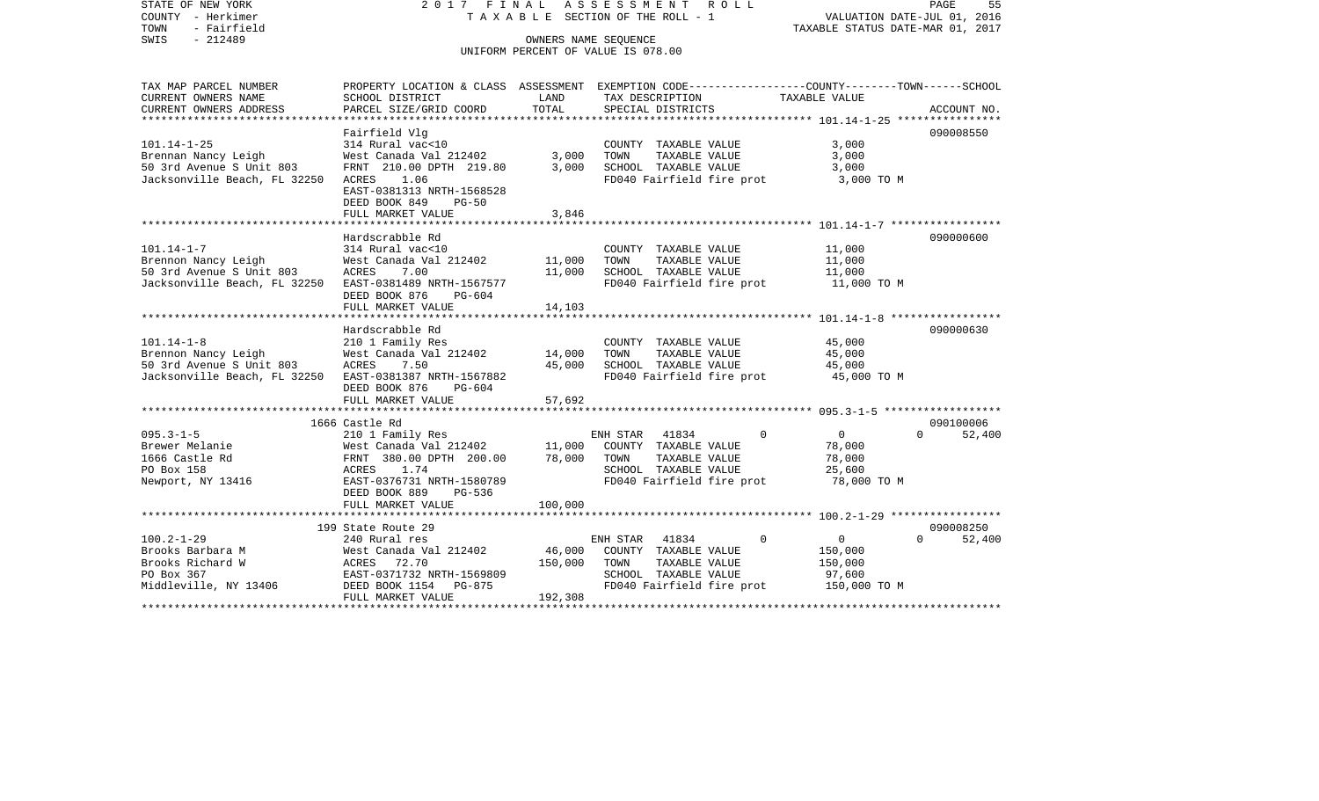STATE OF NEW YORK 2 0 1 7 F I N A L A S S E S S M E N T R O L L PAGE 55COUNTY - Herkimer T A X A B L E SECTION OF THE ROLL - 1 VALUATION DATE-JUL 01, 2016 TOWN - Fairfield TAXABLE STATUS DATE-MAR 01, 2017 SWIS - 212489 CONNERS NAME SEQUENCE UNIFORM PERCENT OF VALUE IS 078.00TAX MAP PARCEL NUMBER PROPERTY LOCATION & CLASS ASSESSMENT EXEMPTION CODE------------------COUNTY--------TOWN------SCHOOL CURRENT OWNERS NAME SCHOOL DISTRICT LAND TAX DESCRIPTION TAXABLE VALUECURRENT OWNERS ADDRESS PARCEL SIZE/GRID COORD TOTAL SPECIAL DISTRICTS ACCOUNT NO. \*\*\*\*\*\*\*\*\*\*\*\*\*\*\*\*\*\*\*\*\*\*\*\*\*\*\*\*\*\*\*\*\*\*\*\*\*\*\*\*\*\*\*\*\*\*\*\*\*\*\*\*\*\*\*\*\*\*\*\*\*\*\*\*\*\*\*\*\*\*\*\*\*\*\*\*\*\*\*\*\*\*\*\*\*\*\*\*\*\*\*\*\*\*\*\*\*\*\*\*\*\*\* 101.14-1-25 \*\*\*\*\*\*\*\*\*\*\*\*\*\*\*\* Fairfield Vlg 090008550 101.14-1-25 314 Rural vac<10 COUNTY TAXABLE VALUE 3,000 Brennan Nancy Leigh West Canada Val 212402 3,000 TOWN TAXABLE VALUE 3,000 50 3rd Avenue S Unit 803 FRNT 210.00 DPTH 219.80 3,000 SCHOOL TAXABLE VALUE 3,000 Jacksonville Beach, FL 32250 ACRES 1.06 FOOT FD040 Fairfield fire prot 3,000 TO M EAST-0381313 NRTH-1568528 DEED BOOK 849 PG-50FULL MARKET VALUE 3,846 \*\*\*\*\*\*\*\*\*\*\*\*\*\*\*\*\*\*\*\*\*\*\*\*\*\*\*\*\*\*\*\*\*\*\*\*\*\*\*\*\*\*\*\*\*\*\*\*\*\*\*\*\*\*\*\*\*\*\*\*\*\*\*\*\*\*\*\*\*\*\*\*\*\*\*\*\*\*\*\*\*\*\*\*\*\*\*\*\*\*\*\*\*\*\*\*\*\*\*\*\*\*\* 101.14-1-7 \*\*\*\*\*\*\*\*\*\*\*\*\*\*\*\*\* Hardscrabble Rd 090000600101.14-1-7 314 Rural vac<10 COUNTY TAXABLE VALUE 11,000 Brennon Nancy Leigh **West Canada Val 212402** 11,000 TOWN TAXABLE VALUE 11,000 50 3rd Avenue S Unit 803 ACRES 7.00 11,000 SCHOOL TAXABLE VALUE 11,000 Jacksonville Beach, FL 32250 EAST-0381489 NRTH-1567577 FDD40 Fairfield fire prot 11,000 TO M DEED BOOK 876 PG-604 FULL MARKET VALUE 14,103 \*\*\*\*\*\*\*\*\*\*\*\*\*\*\*\*\*\*\*\*\*\*\*\*\*\*\*\*\*\*\*\*\*\*\*\*\*\*\*\*\*\*\*\*\*\*\*\*\*\*\*\*\*\*\*\*\*\*\*\*\*\*\*\*\*\*\*\*\*\*\*\*\*\*\*\*\*\*\*\*\*\*\*\*\*\*\*\*\*\*\*\*\*\*\*\*\*\*\*\*\*\*\* 101.14-1-8 \*\*\*\*\*\*\*\*\*\*\*\*\*\*\*\*\* Hardscrabble Rd 090000630101.14-1-8 210 1 Family Res COUNTY TAXABLE VALUE 45,000 Brennon Nancy Leigh  $W$ est Canada Val 212402 14,000 TOWN TAXABLE VALUE 45,000 50 3rd Avenue S Unit 803 ACRES 7.50 45,000 SCHOOL TAXABLE VALUE 45,000 Jacksonville Beach, FL 32250 EAST-0381387 NRTH-1567882 FD040 Fairfield fire prot 45,000 TO M DEED BOOK 876 PG-604FULL MARKET VALUE 57,692 \*\*\*\*\*\*\*\*\*\*\*\*\*\*\*\*\*\*\*\*\*\*\*\*\*\*\*\*\*\*\*\*\*\*\*\*\*\*\*\*\*\*\*\*\*\*\*\*\*\*\*\*\*\*\*\*\*\*\*\*\*\*\*\*\*\*\*\*\*\*\*\*\*\*\*\*\*\*\*\*\*\*\*\*\*\*\*\*\*\*\*\*\*\*\*\*\*\*\*\*\*\*\* 095.3-1-5 \*\*\*\*\*\*\*\*\*\*\*\*\*\*\*\*\*\* 1666 Castle Rd 090100006095.3-1-5 210 1 Family Res ENH STAR 41834 0 0 0 52,400 Brewer Melanie West Canada Val 212402 11,000 COUNTY TAXABLE VALUE 78,000 1666 Castle Rd FRNT 380.00 DPTH 200.00 78,000 TOWN TAXABLE VALUE 78,000 PO Box 158 ACRES 1.74 SCHOOL TAXABLE VALUE 25,600 Newport, NY 13416 EAST-0376731 NRTH-1580789 FD040 Fairfield fire prot 78,000 TO M DEED BOOK 889 PG-536FULL MARKET VALUE 100,000 \*\*\*\*\*\*\*\*\*\*\*\*\*\*\*\*\*\*\*\*\*\*\*\*\*\*\*\*\*\*\*\*\*\*\*\*\*\*\*\*\*\*\*\*\*\*\*\*\*\*\*\*\*\*\*\*\*\*\*\*\*\*\*\*\*\*\*\*\*\*\*\*\*\*\*\*\*\*\*\*\*\*\*\*\*\*\*\*\*\*\*\*\*\*\*\*\*\*\*\*\*\*\* 100.2-1-29 \*\*\*\*\*\*\*\*\*\*\*\*\*\*\*\*\* 199 State Route 29 090008250100.2-1-29 240 Rural res ENH STAR 41834 0 0 0 52,400 Brooks Barbara M West Canada Val 212402 46,000 COUNTY TAXABLE VALUE 150,000 Brooks Richard W **ACRES** 72.70 150,000 TOWN TAXABLE VALUE 150,000 PO Box 367 EAST-0371732 NRTH-1569809 SCHOOL TAXABLE VALUE 97,600 Middleville, NY 13406 DEED BOOK 1154 PG-875 FD040 Fairfield fire prot 150,000 TO M FULL MARKET VALUE 192,308 \*\*\*\*\*\*\*\*\*\*\*\*\*\*\*\*\*\*\*\*\*\*\*\*\*\*\*\*\*\*\*\*\*\*\*\*\*\*\*\*\*\*\*\*\*\*\*\*\*\*\*\*\*\*\*\*\*\*\*\*\*\*\*\*\*\*\*\*\*\*\*\*\*\*\*\*\*\*\*\*\*\*\*\*\*\*\*\*\*\*\*\*\*\*\*\*\*\*\*\*\*\*\*\*\*\*\*\*\*\*\*\*\*\*\*\*\*\*\*\*\*\*\*\*\*\*\*\*\*\*\*\*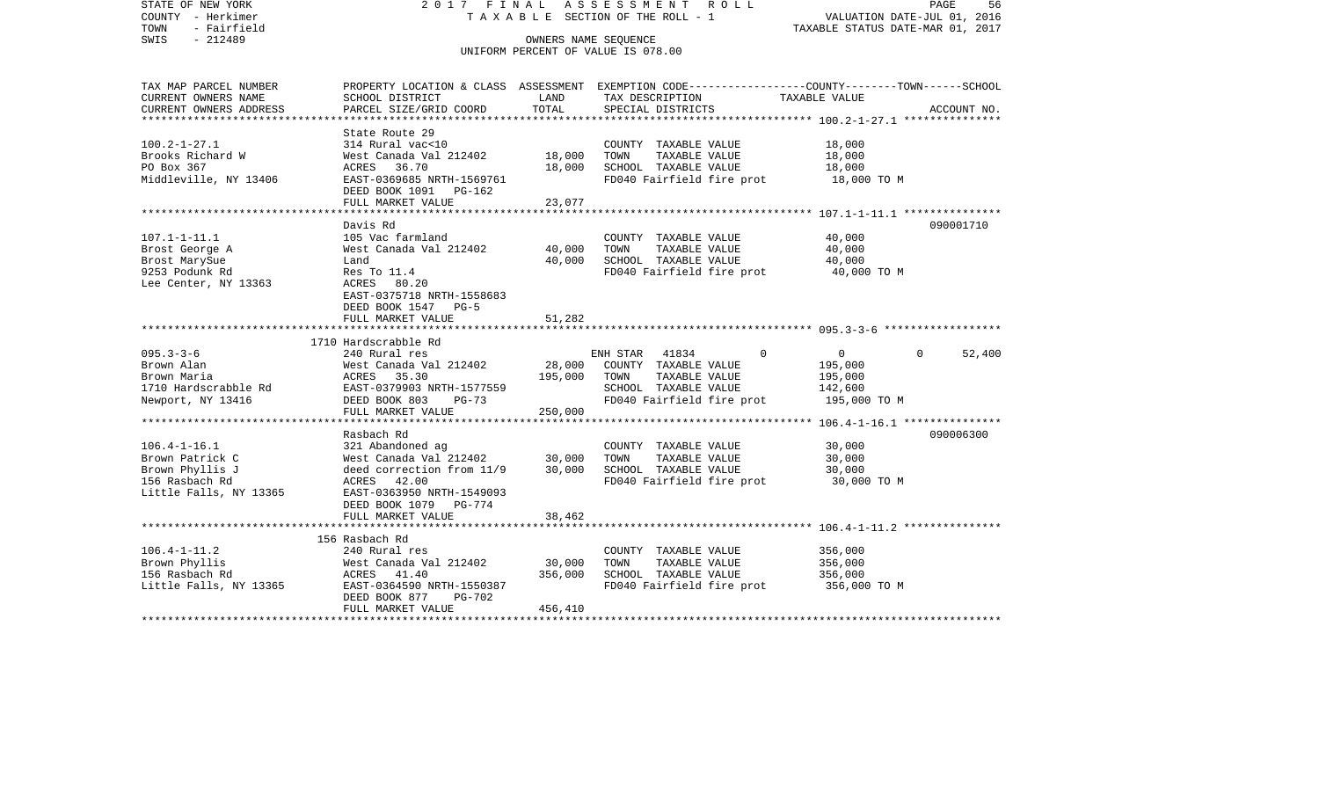| STATE OF NEW YORK<br>COUNTY - Herkimer<br>TOWN<br>- Fairfield | 2017 FINAL<br>TAXABLE                                                                           |         | ASSESSMENT ROLL<br>SECTION OF THE ROLL - 1        | TAXABLE STATUS DATE-MAR 01, 2017                        | 56<br>PAGE<br>VALUATION DATE-JUL 01, 2016 |
|---------------------------------------------------------------|-------------------------------------------------------------------------------------------------|---------|---------------------------------------------------|---------------------------------------------------------|-------------------------------------------|
| $-212489$<br>SWIS                                             |                                                                                                 |         | OWNERS NAME SEQUENCE                              |                                                         |                                           |
|                                                               |                                                                                                 |         | UNIFORM PERCENT OF VALUE IS 078.00                |                                                         |                                           |
| TAX MAP PARCEL NUMBER                                         | PROPERTY LOCATION & CLASS ASSESSMENT EXEMPTION CODE---------------COUNTY-------TOWN------SCHOOL |         |                                                   |                                                         |                                           |
| CURRENT OWNERS NAME                                           | SCHOOL DISTRICT                                                                                 | LAND    | TAX DESCRIPTION                                   | TAXABLE VALUE                                           |                                           |
| CURRENT OWNERS ADDRESS<br>*********************               | PARCEL SIZE/GRID COORD                                                                          | TOTAL   | SPECIAL DISTRICTS                                 |                                                         | ACCOUNT NO.                               |
|                                                               | State Route 29                                                                                  |         |                                                   |                                                         |                                           |
| $100.2 - 1 - 27.1$                                            | 314 Rural vac<10                                                                                |         | COUNTY TAXABLE VALUE                              | 18,000                                                  |                                           |
| Brooks Richard W                                              | West Canada Val 212402                                                                          | 18,000  | TAXABLE VALUE<br>TOWN                             | 18,000                                                  |                                           |
| PO Box 367                                                    | ACRES 36.70                                                                                     | 18,000  | SCHOOL TAXABLE VALUE                              | 18,000                                                  |                                           |
| Middleville, NY 13406                                         | EAST-0369685 NRTH-1569761<br>DEED BOOK 1091 PG-162                                              |         | FD040 Fairfield fire prot                         | 18,000 TO M                                             |                                           |
|                                                               | FULL MARKET VALUE                                                                               | 23,077  |                                                   |                                                         |                                           |
|                                                               |                                                                                                 |         |                                                   |                                                         |                                           |
|                                                               | Davis Rd                                                                                        |         |                                                   |                                                         | 090001710                                 |
| $107.1 - 1 - 11.1$<br>Brost George A                          | 105 Vac farmland<br>West Canada Val 212402                                                      | 40,000  | COUNTY TAXABLE VALUE<br>TOWN<br>TAXABLE VALUE     | 40,000<br>40,000                                        |                                           |
| Brost MarySue                                                 | Land                                                                                            | 40,000  | SCHOOL TAXABLE VALUE                              | 40,000                                                  |                                           |
| 9253 Podunk Rd                                                | Res To 11.4                                                                                     |         | FD040 Fairfield fire prot                         | 40,000 TO M                                             |                                           |
| Lee Center, NY 13363                                          | ACRES 80.20                                                                                     |         |                                                   |                                                         |                                           |
|                                                               | EAST-0375718 NRTH-1558683                                                                       |         |                                                   |                                                         |                                           |
|                                                               | DEED BOOK 1547 PG-5                                                                             |         |                                                   |                                                         |                                           |
|                                                               | FULL MARKET VALUE                                                                               | 51,282  |                                                   |                                                         |                                           |
|                                                               | 1710 Hardscrabble Rd                                                                            |         |                                                   |                                                         |                                           |
| $095.3 - 3 - 6$                                               | 240 Rural res                                                                                   |         | ENH STAR<br>41834                                 | $\Omega$<br>$\circ$                                     | 52,400<br>$\Omega$                        |
| Brown Alan                                                    | West Canada Val 212402                                                                          | 28,000  | COUNTY TAXABLE VALUE                              | 195,000                                                 |                                           |
| Brown Maria                                                   | ACRES<br>35.30                                                                                  | 195,000 | TAXABLE VALUE<br>TOWN                             | 195,000                                                 |                                           |
| 1710 Hardscrabble Rd<br>Newport, NY 13416                     | EAST-0379903 NRTH-1577559<br>DEED BOOK 803<br>$PG-73$                                           |         | SCHOOL TAXABLE VALUE<br>FD040 Fairfield fire prot | 142,600<br>195,000 TO M                                 |                                           |
|                                                               | FULL MARKET VALUE                                                                               | 250,000 |                                                   |                                                         |                                           |
|                                                               | ******************                                                                              |         |                                                   | ********** 106.4-1-16.1 ****************                |                                           |
|                                                               | Rasbach Rd                                                                                      |         |                                                   |                                                         | 090006300                                 |
| $106.4 - 1 - 16.1$<br>Brown Patrick C                         | 321 Abandoned ag<br>West Canada Val 212402                                                      | 30,000  | COUNTY TAXABLE VALUE<br>TAXABLE VALUE<br>TOWN     | 30,000<br>30,000                                        |                                           |
| Brown Phyllis J                                               | deed correction from 11/9                                                                       | 30,000  | SCHOOL TAXABLE VALUE                              | 30,000                                                  |                                           |
| 156 Rasbach Rd                                                | ACRES 42.00                                                                                     |         | FD040 Fairfield fire prot                         | 30,000 TO M                                             |                                           |
| Little Falls, NY 13365                                        | EAST-0363950 NRTH-1549093                                                                       |         |                                                   |                                                         |                                           |
|                                                               | DEED BOOK 1079 PG-774                                                                           |         |                                                   |                                                         |                                           |
|                                                               | FULL MARKET VALUE                                                                               | 38,462  |                                                   | ************************** 106.4-1-11.2 *************** |                                           |
|                                                               | 156 Rasbach Rd                                                                                  |         |                                                   |                                                         |                                           |
| $106.4 - 1 - 11.2$                                            | 240 Rural res                                                                                   |         | COUNTY TAXABLE VALUE                              | 356,000                                                 |                                           |
| Brown Phyllis                                                 | West Canada Val 212402                                                                          | 30,000  | TAXABLE VALUE<br>TOWN                             | 356,000                                                 |                                           |
| 156 Rasbach Rd                                                | ACRES 41.40                                                                                     | 356,000 | SCHOOL TAXABLE VALUE                              | 356,000                                                 |                                           |
| Little Falls, NY 13365                                        | EAST-0364590 NRTH-1550387<br>DEED BOOK 877<br><b>PG-702</b>                                     |         | FD040 Fairfield fire prot                         | 356,000 TO M                                            |                                           |
|                                                               | FULL MARKET VALUE                                                                               | 456,410 |                                                   |                                                         |                                           |
|                                                               |                                                                                                 |         |                                                   |                                                         |                                           |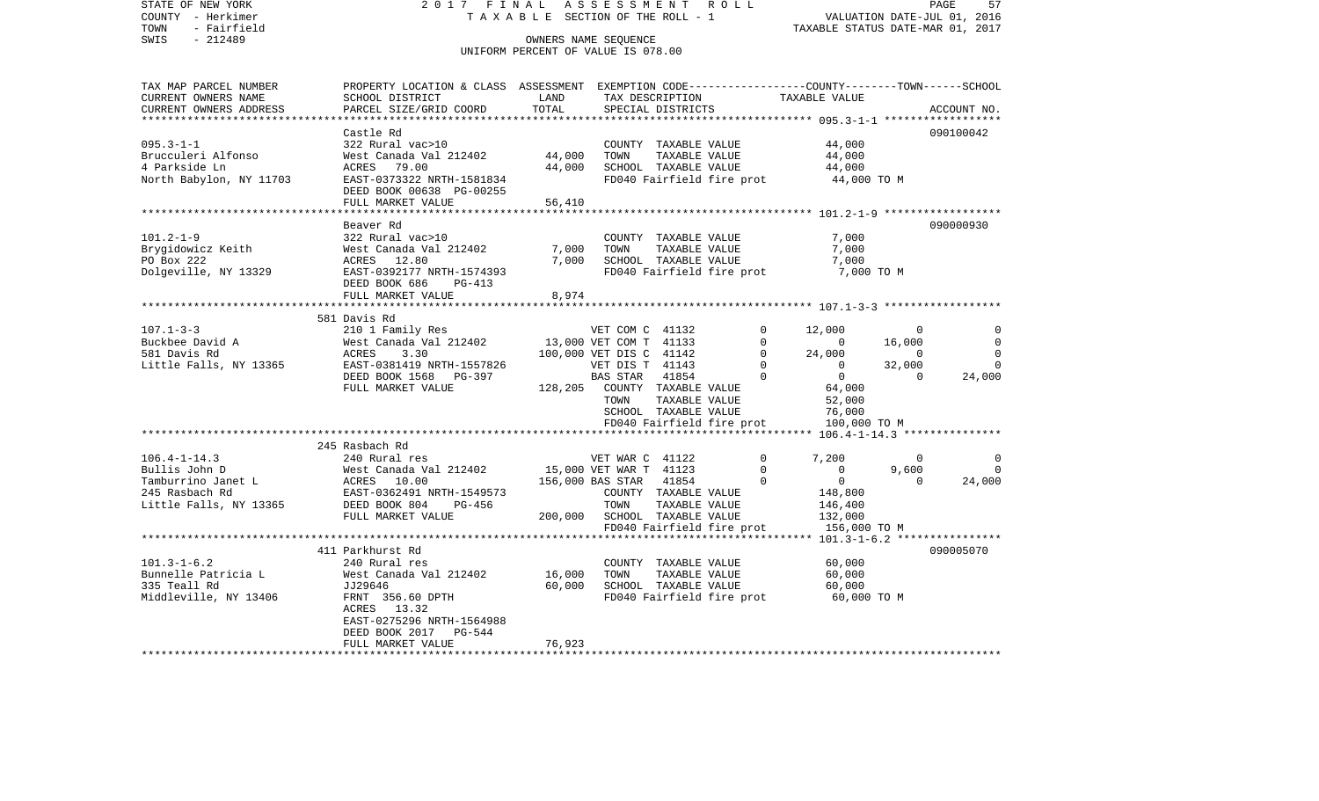| STATE OF NEW YORK<br>COUNTY - Herkimer | 2017 FINAL<br>TAXABLE                                                                           |                                                            |                         | ASSESSMENT ROLL<br>SECTION OF THE ROLL - 1 |              |                                  |                | PAGE<br>57<br>VALUATION DATE-JUL 01, 2016 |
|----------------------------------------|-------------------------------------------------------------------------------------------------|------------------------------------------------------------|-------------------------|--------------------------------------------|--------------|----------------------------------|----------------|-------------------------------------------|
| - Fairfield<br>TOWN<br>$-212489$       |                                                                                                 |                                                            |                         |                                            |              | TAXABLE STATUS DATE-MAR 01, 2017 |                |                                           |
| SWIS                                   |                                                                                                 | OWNERS NAME SEQUENCE<br>UNIFORM PERCENT OF VALUE IS 078.00 |                         |                                            |              |                                  |                |                                           |
|                                        |                                                                                                 |                                                            |                         |                                            |              |                                  |                |                                           |
| TAX MAP PARCEL NUMBER                  | PROPERTY LOCATION & CLASS ASSESSMENT EXEMPTION CODE---------------COUNTY-------TOWN------SCHOOL |                                                            |                         |                                            |              |                                  |                |                                           |
| CURRENT OWNERS NAME                    | SCHOOL DISTRICT                                                                                 | LAND                                                       |                         | TAX DESCRIPTION                            |              | TAXABLE VALUE                    |                |                                           |
| CURRENT OWNERS ADDRESS                 | PARCEL SIZE/GRID COORD                                                                          | TOTAL                                                      |                         | SPECIAL DISTRICTS                          |              |                                  |                | ACCOUNT NO.                               |
| ***********************                |                                                                                                 |                                                            |                         |                                            |              |                                  |                |                                           |
|                                        | Castle Rd                                                                                       |                                                            |                         |                                            |              |                                  |                | 090100042                                 |
| $095.3 - 1 - 1$                        | 322 Rural vac>10                                                                                |                                                            |                         | COUNTY TAXABLE VALUE                       |              | 44,000                           |                |                                           |
| Brucculeri Alfonso                     | West Canada Val 212402                                                                          | 44,000                                                     | TOWN                    | TAXABLE VALUE                              |              | 44,000                           |                |                                           |
| 4 Parkside Ln                          | ACRES 79.00                                                                                     | 44,000                                                     |                         | SCHOOL TAXABLE VALUE                       |              | 44,000                           |                |                                           |
| North Babylon, NY 11703                | EAST-0373322 NRTH-1581834                                                                       |                                                            |                         | FD040 Fairfield fire prot                  |              | 44,000 TO M                      |                |                                           |
|                                        | DEED BOOK 00638 PG-00255                                                                        |                                                            |                         |                                            |              |                                  |                |                                           |
|                                        | FULL MARKET VALUE                                                                               | 56,410                                                     |                         |                                            |              |                                  |                |                                           |
|                                        | Beaver Rd                                                                                       |                                                            |                         |                                            |              |                                  |                | 090000930                                 |
| $101.2 - 1 - 9$                        | 322 Rural vac>10                                                                                |                                                            |                         | COUNTY TAXABLE VALUE                       |              | 7,000                            |                |                                           |
| Brygidowicz Keith                      | West Canada Val 212402                                                                          | 7,000                                                      | TOWN                    | TAXABLE VALUE                              |              | 7,000                            |                |                                           |
| PO Box 222                             | ACRES 12.80                                                                                     | 7,000                                                      |                         | SCHOOL TAXABLE VALUE                       |              | 7,000                            |                |                                           |
| Dolgeville, NY 13329                   | EAST-0392177 NRTH-1574393                                                                       |                                                            |                         | FD040 Fairfield fire prot                  |              | 7,000 TO M                       |                |                                           |
|                                        | DEED BOOK 686<br>$PG-413$                                                                       |                                                            |                         |                                            |              |                                  |                |                                           |
|                                        | FULL MARKET VALUE                                                                               | 8,974                                                      |                         |                                            |              |                                  |                |                                           |
|                                        |                                                                                                 |                                                            |                         |                                            |              |                                  |                |                                           |
|                                        | 581 Davis Rd                                                                                    |                                                            |                         |                                            |              |                                  |                |                                           |
| $107.1 - 3 - 3$                        | 210 1 Family Res                                                                                |                                                            | VET COM C 41132         |                                            | $\mathbf 0$  | 12,000                           | $\mathbf 0$    | 0                                         |
| Buckbee David A                        | West Canada Val 212402                                                                          |                                                            | 13,000 VET COM T 41133  |                                            | $\Omega$     | $\sim$ 0                         | 16,000         | 0                                         |
| 581 Davis Rd                           | ACRES<br>3.30                                                                                   |                                                            | 100,000 VET DIS C 41142 |                                            | $\mathsf{O}$ | 24,000                           | $\overline{0}$ | $\mathbf 0$                               |
| Little Falls, NY 13365                 | EAST-0381419 NRTH-1557826                                                                       |                                                            | VET DIS T 41143         |                                            | $\Omega$     | $\mathbf 0$                      | 32,000         | $\Omega$                                  |
|                                        | DEED BOOK 1568 PG-397                                                                           |                                                            | BAS STAR                | 41854                                      | $\Omega$     | $\overline{0}$                   | $\Omega$       | 24,000                                    |
|                                        | FULL MARKET VALUE                                                                               | 128,205                                                    |                         | COUNTY TAXABLE VALUE                       |              | 64,000                           |                |                                           |
|                                        |                                                                                                 |                                                            | TOWN                    | TAXABLE VALUE                              |              | 52,000                           |                |                                           |
|                                        |                                                                                                 |                                                            |                         | SCHOOL TAXABLE VALUE                       |              | 76,000                           |                |                                           |
|                                        |                                                                                                 |                                                            |                         | FD040 Fairfield fire prot                  |              | 100,000 TO M                     |                |                                           |
|                                        |                                                                                                 |                                                            |                         |                                            |              |                                  |                |                                           |
|                                        | 245 Rasbach Rd                                                                                  |                                                            |                         |                                            |              |                                  |                |                                           |
| $106.4 - 1 - 14.3$                     | 240 Rural res                                                                                   |                                                            | VET WAR C 41122         |                                            | 0            | 7,200                            | $\Omega$       | 0                                         |
| Bullis John D                          | West Canada Val 212402                                                                          |                                                            | 15,000 VET WAR T 41123  |                                            | $\Omega$     | $\Omega$                         | 9,600          | $\Omega$                                  |
| Tamburrino Janet L                     | ACRES 10.00                                                                                     |                                                            | 156,000 BAS STAR        | 41854                                      | $\Omega$     | $\mathbf 0$                      | $\Omega$       | 24,000                                    |
| 245 Rasbach Rd                         | EAST-0362491 NRTH-1549573                                                                       |                                                            |                         | COUNTY TAXABLE VALUE                       |              | 148,800                          |                |                                           |
| Little Falls, NY 13365                 | DEED BOOK 804<br>PG-456                                                                         |                                                            | TOWN                    | TAXABLE VALUE                              |              | 146,400                          |                |                                           |
|                                        | FULL MARKET VALUE                                                                               | 200,000                                                    |                         | SCHOOL TAXABLE VALUE                       |              | 132,000                          |                |                                           |
|                                        |                                                                                                 |                                                            |                         | FD040 Fairfield fire prot                  |              | 156,000 TO M                     |                |                                           |
|                                        |                                                                                                 |                                                            |                         | ******************************             |              | *** 101.3-1-6.2 **************** |                |                                           |
|                                        | 411 Parkhurst Rd                                                                                |                                                            |                         |                                            |              |                                  |                | 090005070                                 |
| $101.3 - 1 - 6.2$                      | 240 Rural res                                                                                   |                                                            |                         | COUNTY TAXABLE VALUE                       |              | 60,000                           |                |                                           |
| Bunnelle Patricia L                    | West Canada Val 212402                                                                          | 16,000                                                     | TOWN                    | TAXABLE VALUE                              |              | 60,000                           |                |                                           |
| 335 Teall Rd                           | JJ29646                                                                                         | 60,000                                                     |                         | SCHOOL TAXABLE VALUE                       |              | 60,000                           |                |                                           |
| Middleville, NY 13406                  | FRNT 356.60 DPTH                                                                                |                                                            |                         | FD040 Fairfield fire prot                  |              | 60,000 TO M                      |                |                                           |
|                                        | ACRES 13.32                                                                                     |                                                            |                         |                                            |              |                                  |                |                                           |
|                                        | EAST-0275296 NRTH-1564988<br>PG-544                                                             |                                                            |                         |                                            |              |                                  |                |                                           |
|                                        | DEED BOOK 2017<br>FULL MARKET VALUE                                                             | 76,923                                                     |                         |                                            |              |                                  |                |                                           |
|                                        |                                                                                                 |                                                            |                         |                                            |              |                                  |                |                                           |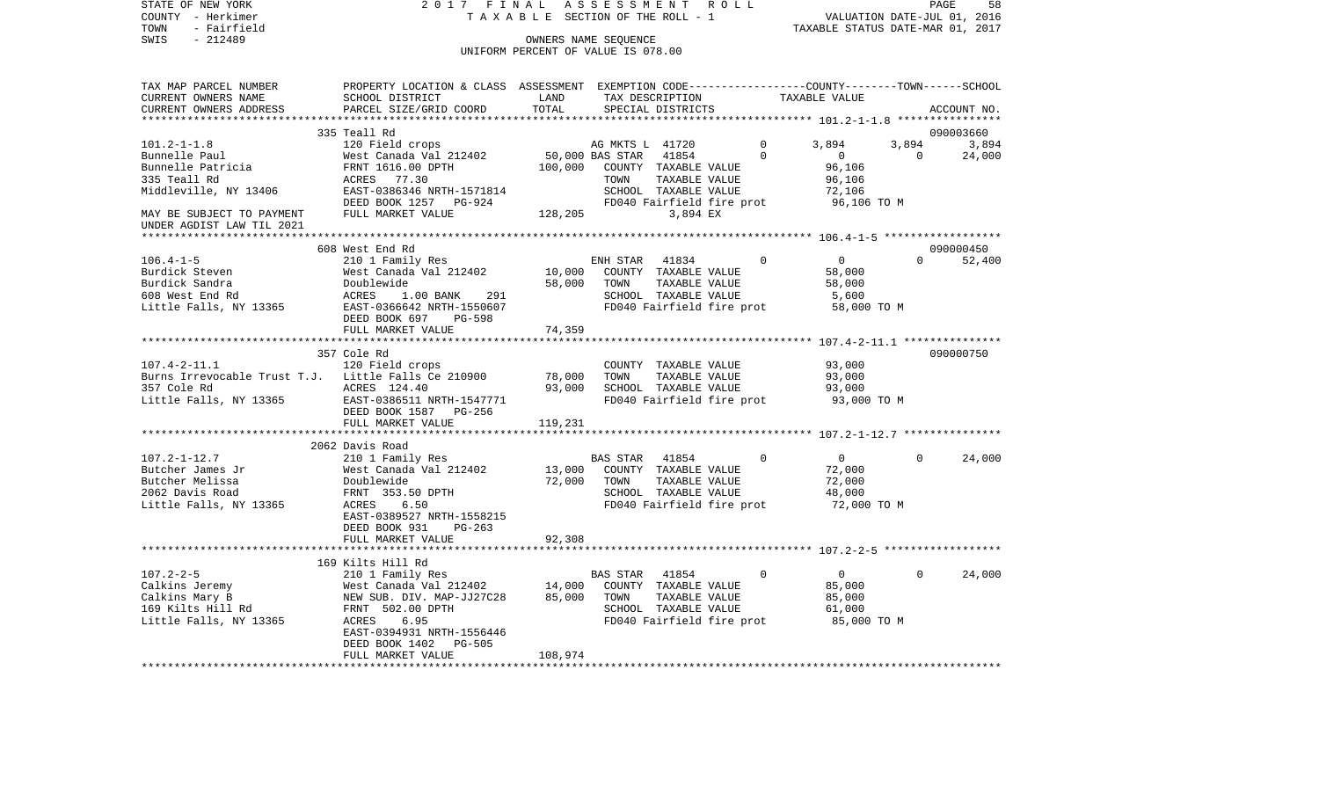| STATE OF NEW YORK            | 2017 FINAL                                                                                      |                                    | ASSESSMENT              |                      | R O L L                   |                                                     |                             | 58<br>PAGE  |
|------------------------------|-------------------------------------------------------------------------------------------------|------------------------------------|-------------------------|----------------------|---------------------------|-----------------------------------------------------|-----------------------------|-------------|
| COUNTY - Herkimer            | SECTION OF THE ROLL - 1<br>TAXABLE                                                              |                                    |                         |                      |                           |                                                     | VALUATION DATE-JUL 01, 2016 |             |
| - Fairfield<br>TOWN          |                                                                                                 |                                    |                         |                      |                           | TAXABLE STATUS DATE-MAR 01, 2017                    |                             |             |
| SWIS<br>$-212489$            |                                                                                                 |                                    | OWNERS NAME SEQUENCE    |                      |                           |                                                     |                             |             |
|                              |                                                                                                 | UNIFORM PERCENT OF VALUE IS 078.00 |                         |                      |                           |                                                     |                             |             |
| TAX MAP PARCEL NUMBER        | PROPERTY LOCATION & CLASS ASSESSMENT EXEMPTION CODE---------------COUNTY-------TOWN------SCHOOL |                                    |                         |                      |                           |                                                     |                             |             |
| CURRENT OWNERS NAME          | SCHOOL DISTRICT                                                                                 | LAND                               |                         | TAX DESCRIPTION      |                           | TAXABLE VALUE                                       |                             |             |
| CURRENT OWNERS ADDRESS       | PARCEL SIZE/GRID COORD                                                                          | TOTAL                              |                         | SPECIAL DISTRICTS    |                           |                                                     |                             | ACCOUNT NO. |
| ***********************      |                                                                                                 |                                    |                         |                      |                           |                                                     |                             |             |
|                              | 335 Teall Rd                                                                                    |                                    |                         |                      |                           |                                                     |                             | 090003660   |
| $101.2 - 1 - 1.8$            | 120 Field crops                                                                                 |                                    | AG MKTS L 41720         |                      | $\Omega$                  | 3,894                                               | 3,894                       | 3,894       |
| Bunnelle Paul                | West Canada Val 212402                                                                          |                                    | 50,000 BAS STAR         | 41854                | $\Omega$                  | $\overline{0}$                                      | $\Omega$                    | 24,000      |
| Bunnelle Patricia            | FRNT 1616.00 DPTH                                                                               | 100,000                            |                         | COUNTY TAXABLE VALUE |                           | 96,106                                              |                             |             |
| 335 Teall Rd                 | ACRES<br>77.30                                                                                  |                                    | TOWN                    | TAXABLE VALUE        |                           | 96,106                                              |                             |             |
| Middleville, NY 13406        | EAST-0386346 NRTH-1571814                                                                       |                                    |                         | SCHOOL TAXABLE VALUE |                           | 72,106                                              |                             |             |
|                              | DEED BOOK 1257<br>PG-924                                                                        |                                    |                         |                      | FD040 Fairfield fire prot | 96,106 TO M                                         |                             |             |
| MAY BE SUBJECT TO PAYMENT    | FULL MARKET VALUE                                                                               | 128,205                            |                         | 3,894 EX             |                           |                                                     |                             |             |
| UNDER AGDIST LAW TIL 2021    |                                                                                                 |                                    |                         |                      |                           |                                                     |                             |             |
| ******************           |                                                                                                 |                                    | *********************** |                      |                           | ********************* 106.4–1–5 ******************* |                             |             |
|                              | 608 West End Rd                                                                                 |                                    |                         |                      |                           |                                                     |                             | 090000450   |
| $106.4 - 1 - 5$              | 210 1 Family Res                                                                                |                                    | ENH STAR                | 41834                |                           | $\overline{0}$                                      | $\Omega$                    | 52,400      |
| Burdick Steven               | West Canada Val 212402                                                                          | 10,000                             |                         | COUNTY TAXABLE VALUE |                           | 58,000                                              |                             |             |
| Burdick Sandra               | Doublewide                                                                                      | 58,000                             | TOWN                    | TAXABLE VALUE        |                           | 58,000                                              |                             |             |
| 608 West End Rd              | ACRES<br>1.00 BANK<br>291                                                                       |                                    |                         | SCHOOL TAXABLE VALUE |                           | 5,600                                               |                             |             |
| Little Falls, NY 13365       | EAST-0366642 NRTH-1550607                                                                       |                                    |                         |                      | FD040 Fairfield fire prot | 58,000 TO M                                         |                             |             |
|                              | DEED BOOK 697<br>PG-598                                                                         |                                    |                         |                      |                           |                                                     |                             |             |
|                              | FULL MARKET VALUE<br>***********************                                                    | 74,359                             |                         |                      |                           |                                                     |                             |             |
|                              | 357 Cole Rd                                                                                     |                                    |                         |                      |                           |                                                     |                             | 090000750   |
| $107.4 - 2 - 11.1$           | 120 Field crops                                                                                 |                                    |                         | COUNTY TAXABLE VALUE |                           | 93,000                                              |                             |             |
| Burns Irrevocable Trust T.J. | Little Falls Ce 210900                                                                          | 78,000                             | TOWN                    | TAXABLE VALUE        |                           | 93,000                                              |                             |             |
| 357 Cole Rd                  | ACRES 124.40                                                                                    | 93,000                             |                         | SCHOOL TAXABLE VALUE |                           | 93,000                                              |                             |             |
| Little Falls, NY 13365       | EAST-0386511 NRTH-1547771                                                                       |                                    |                         |                      | FD040 Fairfield fire prot | 93,000 TO M                                         |                             |             |
|                              | DEED BOOK 1587<br>PG-256                                                                        |                                    |                         |                      |                           |                                                     |                             |             |
|                              | FULL MARKET VALUE                                                                               | 119,231                            |                         |                      |                           |                                                     |                             |             |
|                              |                                                                                                 |                                    |                         |                      |                           |                                                     |                             |             |
|                              | 2062 Davis Road                                                                                 |                                    |                         |                      |                           |                                                     |                             |             |
| $107.2 - 1 - 12.7$           | 210 1 Family Res                                                                                |                                    | <b>BAS STAR</b>         | 41854                | $\Omega$                  | $\overline{0}$                                      | $\Omega$                    | 24,000      |
| Butcher James Jr             | West Canada Val 212402                                                                          | 13,000                             |                         | COUNTY TAXABLE VALUE |                           | 72,000                                              |                             |             |
| Butcher Melissa              | Doublewide                                                                                      | 72,000                             | TOWN                    | TAXABLE VALUE        |                           | 72,000                                              |                             |             |
| 2062 Davis Road              | FRNT 353.50 DPTH                                                                                |                                    |                         | SCHOOL TAXABLE VALUE |                           | 48,000                                              |                             |             |
| Little Falls, NY 13365       | ACRES<br>6.50                                                                                   |                                    |                         |                      | FD040 Fairfield fire prot | 72,000 TO M                                         |                             |             |
|                              | EAST-0389527 NRTH-1558215                                                                       |                                    |                         |                      |                           |                                                     |                             |             |
|                              | DEED BOOK 931<br>$PG-263$                                                                       |                                    |                         |                      |                           |                                                     |                             |             |
|                              | FULL MARKET VALUE                                                                               | 92,308                             |                         |                      |                           |                                                     |                             |             |
|                              |                                                                                                 |                                    |                         |                      |                           |                                                     |                             |             |
|                              | 169 Kilts Hill Rd                                                                               |                                    |                         |                      |                           |                                                     |                             |             |
| $107.2 - 2 - 5$              | 210 1 Family Res                                                                                |                                    | BAS STAR                | 41854                | 0                         | $\overline{0}$                                      | 0                           | 24,000      |
| Calkins Jeremy               | West Canada Val 212402                                                                          | 14,000                             |                         | COUNTY TAXABLE VALUE |                           | 85,000                                              |                             |             |
| Calkins Mary B               | NEW SUB. DIV. MAP-JJ27C28                                                                       | 85,000                             | TOWN                    | TAXABLE VALUE        |                           | 85,000                                              |                             |             |
| 169 Kilts Hill Rd            | FRNT 502.00 DPTH                                                                                |                                    |                         | SCHOOL TAXABLE VALUE |                           | 61,000                                              |                             |             |
| Little Falls, NY 13365       | ACRES<br>6.95                                                                                   |                                    |                         |                      | FD040 Fairfield fire prot | 85,000 TO M                                         |                             |             |
|                              | EAST-0394931 NRTH-1556446                                                                       |                                    |                         |                      |                           |                                                     |                             |             |
|                              | DEED BOOK 1402<br><b>PG-505</b><br>FULL MARKET VALUE                                            |                                    |                         |                      |                           |                                                     |                             |             |
| ***********************      | ***************************                                                                     | 108,974                            |                         |                      |                           |                                                     |                             |             |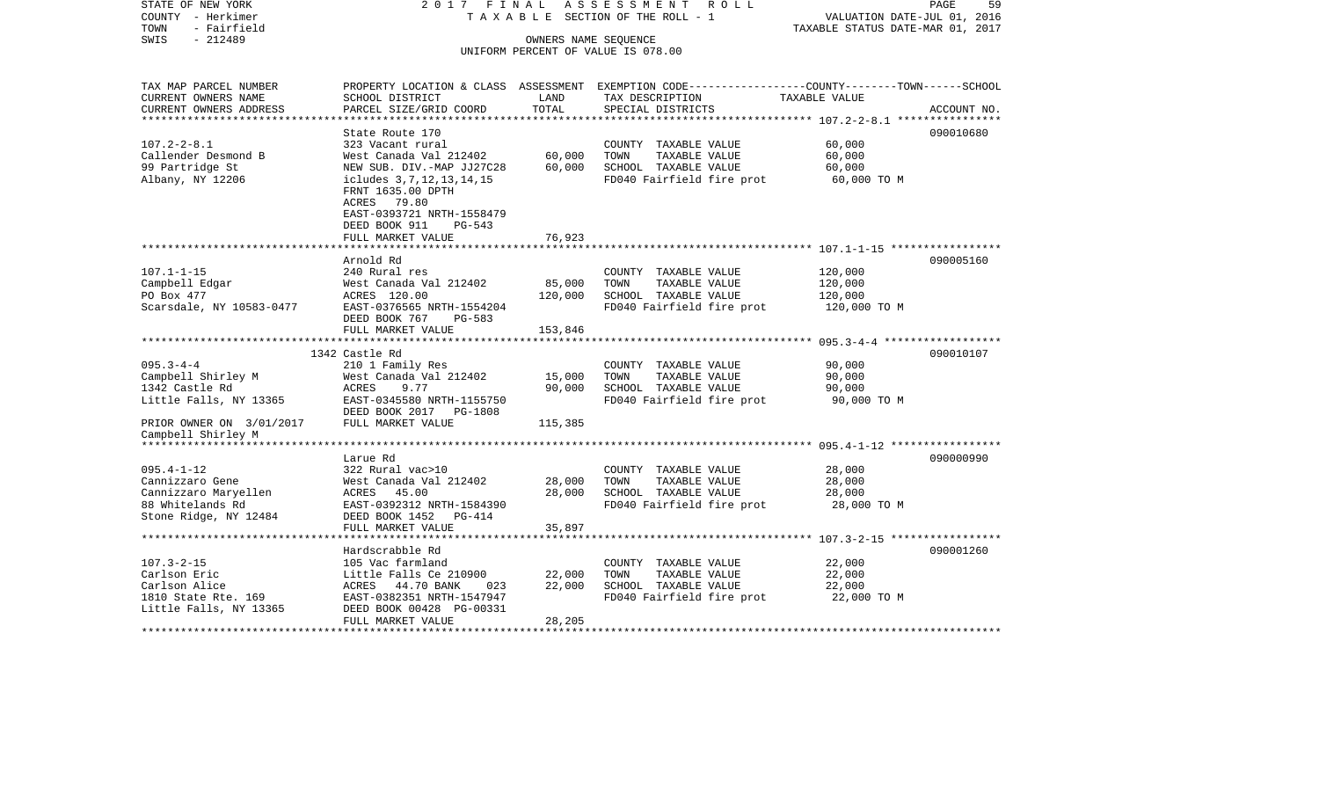STATE OF NEW YORK 2 0 1 7 F I N A L A S S E S S M E N T R O L L PAGE 59COUNTY - Herkimer T A X A B L E SECTION OF THE ROLL - 1 VALUATION DATE-JUL 01, 2016 TOWN - Fairfield TAXABLE STATUS DATE-MAR 01, 2017 SWIS - 212489 CONNERS NAME SEQUENCE UNIFORM PERCENT OF VALUE IS 078.00TAX MAP PARCEL NUMBER PROPERTY LOCATION & CLASS ASSESSMENT EXEMPTION CODE------------------COUNTY--------TOWN------SCHOOL CURRENT OWNERS NAME SCHOOL DISTRICT LAND TAX DESCRIPTION TAXABLE VALUECURRENT OWNERS ADDRESS PARCEL SIZE/GRID COORD TOTAL SPECIAL DISTRICTS ACCOUNT NO. \*\*\*\*\*\*\*\*\*\*\*\*\*\*\*\*\*\*\*\*\*\*\*\*\*\*\*\*\*\*\*\*\*\*\*\*\*\*\*\*\*\*\*\*\*\*\*\*\*\*\*\*\*\*\*\*\*\*\*\*\*\*\*\*\*\*\*\*\*\*\*\*\*\*\*\*\*\*\*\*\*\*\*\*\*\*\*\*\*\*\*\*\*\*\*\*\*\*\*\*\*\*\* 107.2-2-8.1 \*\*\*\*\*\*\*\*\*\*\*\*\*\*\*\*State Route 170 090010680 107.2-2-8.1 323 Vacant rural COUNTY TAXABLE VALUE 60,000 Callender Desmond B West Canada Val 212402 60,000 TOWN TAXABLE VALUE 60,000 99 Partridge St NEW SUB. DIV.-MAP JJ27C28 60,000 SCHOOL TAXABLE VALUE 60,000 Albany, NY 12206 icludes 3,7,12,13,14,15 FD040 Fairfield fire prot 60,000 TO M FRNT 1635.00 DPTH ACRES 79.80 EAST-0393721 NRTH-1558479 DEED BOOK 911 PG-543FULL MARKET VALUE 76,923 \*\*\*\*\*\*\*\*\*\*\*\*\*\*\*\*\*\*\*\*\*\*\*\*\*\*\*\*\*\*\*\*\*\*\*\*\*\*\*\*\*\*\*\*\*\*\*\*\*\*\*\*\*\*\*\*\*\*\*\*\*\*\*\*\*\*\*\*\*\*\*\*\*\*\*\*\*\*\*\*\*\*\*\*\*\*\*\*\*\*\*\*\*\*\*\*\*\*\*\*\*\*\* 107.1-1-15 \*\*\*\*\*\*\*\*\*\*\*\*\*\*\*\*\* Arnold Rd 090005160107.1-1-15 240 Rural res COUNTY TAXABLE VALUE 120,000 Campbell Edgar West Canada Val 212402 85,000 TOWN TAXABLE VALUE 120,000 PO Box 477 ACRES 120.00 120,000 SCHOOL TAXABLE VALUE 120,000 Scarsdale, NY 10583-0477 EAST-0376565 NRTH-1554204 FD040 Fairfield fire prot 120,000 TO M DEED BOOK 767 PG-583FULL MARKET VALUE 153,846 \*\*\*\*\*\*\*\*\*\*\*\*\*\*\*\*\*\*\*\*\*\*\*\*\*\*\*\*\*\*\*\*\*\*\*\*\*\*\*\*\*\*\*\*\*\*\*\*\*\*\*\*\*\*\*\*\*\*\*\*\*\*\*\*\*\*\*\*\*\*\*\*\*\*\*\*\*\*\*\*\*\*\*\*\*\*\*\*\*\*\*\*\*\*\*\*\*\*\*\*\*\*\* 095.3-4-4 \*\*\*\*\*\*\*\*\*\*\*\*\*\*\*\*\*\* 1342 Castle Rd 090010107095.3-4-4 210 1 Family Res COUNTY TAXABLE VALUE 90,000 Campbell Shirley M 68 West Canada Val 212402 15,000 TOWN TAXABLE VALUE 90,000 1342 Castle Rd ACRES 9.77 90,000 SCHOOL TAXABLE VALUE 90,000 Little Falls, NY 13365 EAST-0345580 NRTH-1155750 FD040 Fairfield fire prot 90,000 TO M DEED BOOK 2017 PG-1808PRIOR OWNER ON 3/01/2017 FULL MARKET VALUE 115,385 Campbell Shirley M \*\*\*\*\*\*\*\*\*\*\*\*\*\*\*\*\*\*\*\*\*\*\*\*\*\*\*\*\*\*\*\*\*\*\*\*\*\*\*\*\*\*\*\*\*\*\*\*\*\*\*\*\*\*\*\*\*\*\*\*\*\*\*\*\*\*\*\*\*\*\*\*\*\*\*\*\*\*\*\*\*\*\*\*\*\*\*\*\*\*\*\*\*\*\*\*\*\*\*\*\*\*\* 095.4-1-12 \*\*\*\*\*\*\*\*\*\*\*\*\*\*\*\*\* Larue Rd 090000990095.4-1-12 322 Rural vac>10 COUNTY TAXABLE VALUE 28,000 Cannizzaro Gene West Canada Val 212402 28,000 TOWN TAXABLE VALUE 28,000 Cannizzaro Maryellen  $ACRES$  45.00 28,000 SCHOOL TAXABLE VALUE 28,000 88 Whitelands Rd EAST-0392312 NRTH-1584390 FD040 Fairfield fire prot 28,000 TO M Stone Ridge, NY 12484 DEED BOOK 1452 PG-414 FULL MARKET VALUE 35,897 \*\*\*\*\*\*\*\*\*\*\*\*\*\*\*\*\*\*\*\*\*\*\*\*\*\*\*\*\*\*\*\*\*\*\*\*\*\*\*\*\*\*\*\*\*\*\*\*\*\*\*\*\*\*\*\*\*\*\*\*\*\*\*\*\*\*\*\*\*\*\*\*\*\*\*\*\*\*\*\*\*\*\*\*\*\*\*\*\*\*\*\*\*\*\*\*\*\*\*\*\*\*\* 107.3-2-15 \*\*\*\*\*\*\*\*\*\*\*\*\*\*\*\*\* Hardscrabble Rd 090001260107.3-2-15 105 Vac farmland COUNTY TAXABLE VALUE 22,000 Carlson Eric **Carlson Eric Carlson Carlson Carlson Eric Carlson Eric Carlson Eric Carlson Carlson Carlson** 22,000 Carlson Alice  $ACRES$  44.70 BANK 023 22,000 SCHOOL TAXABLE VALUE 22,000 1810 State Rte. 169 EAST-0382351 NRTH-1547947 FD040 Fairfield fire prot 22,000 TO M Little Falls, NY 13365 DEED BOOK 00428 PG-00331 FULL MARKET VALUE 28,205 \*\*\*\*\*\*\*\*\*\*\*\*\*\*\*\*\*\*\*\*\*\*\*\*\*\*\*\*\*\*\*\*\*\*\*\*\*\*\*\*\*\*\*\*\*\*\*\*\*\*\*\*\*\*\*\*\*\*\*\*\*\*\*\*\*\*\*\*\*\*\*\*\*\*\*\*\*\*\*\*\*\*\*\*\*\*\*\*\*\*\*\*\*\*\*\*\*\*\*\*\*\*\*\*\*\*\*\*\*\*\*\*\*\*\*\*\*\*\*\*\*\*\*\*\*\*\*\*\*\*\*\*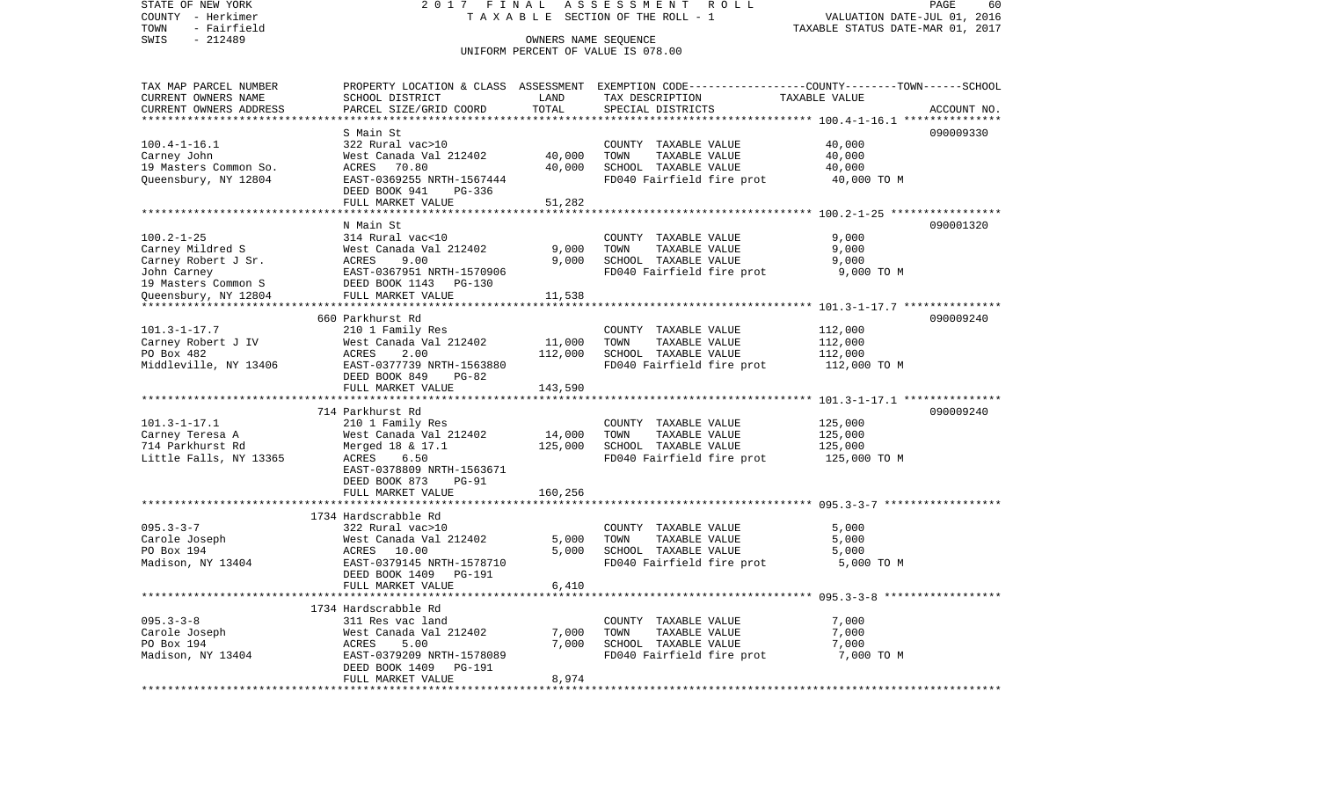STATE OF NEW YORK 2 0 1 7 F I N A L A S S E S S M E N T R O L L PAGE 60COUNTY - Herkimer T A X A B L E SECTION OF THE ROLL - 1 VALUATION DATE-JUL 01, 2016 TOWN - Fairfield TAXABLE STATUS DATE-MAR 01, 2017 SWIS - 212489 CONNERS NAME SEQUENCE UNIFORM PERCENT OF VALUE IS 078.00TAX MAP PARCEL NUMBER PROPERTY LOCATION & CLASS ASSESSMENT EXEMPTION CODE------------------COUNTY--------TOWN------SCHOOL CURRENT OWNERS NAME SCHOOL DISTRICT LAND TAX DESCRIPTION TAXABLE VALUECURRENT OWNERS ADDRESS PARCEL SIZE/GRID COORD TOTAL SPECIAL DISTRICTS ACCOUNT NO. \*\*\*\*\*\*\*\*\*\*\*\*\*\*\*\*\*\*\*\*\*\*\*\*\*\*\*\*\*\*\*\*\*\*\*\*\*\*\*\*\*\*\*\*\*\*\*\*\*\*\*\*\*\*\*\*\*\*\*\*\*\*\*\*\*\*\*\*\*\*\*\*\*\*\*\*\*\*\*\*\*\*\*\*\*\*\*\*\*\*\*\*\*\*\*\*\*\*\*\*\*\*\* 100.4-1-16.1 \*\*\*\*\*\*\*\*\*\*\*\*\*\*\* S Main St 090009330090009330 100.4-1-16.1 322 Rural vac>10 COUNTY TAXABLE VALUE 40,000 Carney John West Canada Val 212402 40,000 TOWN TAXABLE VALUE 40,000 19 Masters Common So. ACRES 70.80 40,000 SCHOOL TAXABLE VALUE 40,000 Queensbury, NY 12804 EAST-0369255 NRTH-1567444 FD040 Fairfield fire prot 40,000 TO M DEED BOOK 941 PG-336FULL MARKET VALUE 51,282 \*\*\*\*\*\*\*\*\*\*\*\*\*\*\*\*\*\*\*\*\*\*\*\*\*\*\*\*\*\*\*\*\*\*\*\*\*\*\*\*\*\*\*\*\*\*\*\*\*\*\*\*\*\*\*\*\*\*\*\*\*\*\*\*\*\*\*\*\*\*\*\*\*\*\*\*\*\*\*\*\*\*\*\*\*\*\*\*\*\*\*\*\*\*\*\*\*\*\*\*\*\*\* 100.2-1-25 \*\*\*\*\*\*\*\*\*\*\*\*\*\*\*\*\* N Main St 090001320100.2-1-25 314 Rural vac<10 COUNTY TAXABLE VALUE 9,000 Carney Mildred S West Canada Val 212402 9,000 TOWN TAXABLE VALUE 9,000 Carney Robert J Sr.  $ACRES$  9.00 9,000 SCHOOL TAXABLE VALUE 9,000 John Carney EAST-0367951 NRTH-1570906 FD040 Fairfield fire prot 9,000 TO M 19 Masters Common S DEED BOOK 1143 PG-130Queensbury, NY 12804 FULL MARKET VALUE 11,538 \*\*\*\*\*\*\*\*\*\*\*\*\*\*\*\*\*\*\*\*\*\*\*\*\*\*\*\*\*\*\*\*\*\*\*\*\*\*\*\*\*\*\*\*\*\*\*\*\*\*\*\*\*\*\*\*\*\*\*\*\*\*\*\*\*\*\*\*\*\*\*\*\*\*\*\*\*\*\*\*\*\*\*\*\*\*\*\*\*\*\*\*\*\*\*\*\*\*\*\*\*\*\* 101.3-1-17.7 \*\*\*\*\*\*\*\*\*\*\*\*\*\*\* 660 Parkhurst Rd 090009240101.3-1-17.7 210 1 Family Res COUNTY TAXABLE VALUE 112,000 Carney Robert J IV **West Canada Val 212402** 11,000 TOWN TAXABLE VALUE 112,000 PO Box 482 **ACRES** 2.00 112,000 SCHOOL TAXABLE VALUE 112,000 Middleville, NY 13406 EAST-0377739 NRTH-1563880 FD040 Fairfield fire prot 112,000 TO M DEED BOOK 849 PG-82FULL MARKET VALUE 143,590 \*\*\*\*\*\*\*\*\*\*\*\*\*\*\*\*\*\*\*\*\*\*\*\*\*\*\*\*\*\*\*\*\*\*\*\*\*\*\*\*\*\*\*\*\*\*\*\*\*\*\*\*\*\*\*\*\*\*\*\*\*\*\*\*\*\*\*\*\*\*\*\*\*\*\*\*\*\*\*\*\*\*\*\*\*\*\*\*\*\*\*\*\*\*\*\*\*\*\*\*\*\*\* 101.3-1-17.1 \*\*\*\*\*\*\*\*\*\*\*\*\*\*\* 714 Parkhurst Rd 090009240101.3-1-17.1 210 1 Family Res COUNTY TAXABLE VALUE 125,000 Carney Teresa A West Canada Val 212402 14,000 TOWN TAXABLE VALUE 125,000 714 Parkhurst Rd Merged 18 & 17.1 125,000 SCHOOL TAXABLE VALUE 125,000 Little Falls, NY 13365 ACRES 6.50 ACRES 6.50 FD040 Fairfield fire prot 125,000 TO M EAST-0378809 NRTH-1563671 DEED BOOK 873 PG-91FULL MARKET VALUE 160,256 \*\*\*\*\*\*\*\*\*\*\*\*\*\*\*\*\*\*\*\*\*\*\*\*\*\*\*\*\*\*\*\*\*\*\*\*\*\*\*\*\*\*\*\*\*\*\*\*\*\*\*\*\*\*\*\*\*\*\*\*\*\*\*\*\*\*\*\*\*\*\*\*\*\*\*\*\*\*\*\*\*\*\*\*\*\*\*\*\*\*\*\*\*\*\*\*\*\*\*\*\*\*\* 095.3-3-7 \*\*\*\*\*\*\*\*\*\*\*\*\*\*\*\*\*\* 1734 Hardscrabble Rd 095.3-3-7 322 Rural vac>10 COUNTY TAXABLE VALUE 5,000 Carole Joseph West Canada Val 212402 5,000 TOWN TAXABLE VALUE 5,000 SCHOOL TAXABLE VALUE Madison, NY 13404 **EAST-0379145 NRTH-1578710** FD040 Fairfield fire prot 5,000 TO M DEED BOOK 1409 PG-191 FULL MARKET VALUE 6,410 \*\*\*\*\*\*\*\*\*\*\*\*\*\*\*\*\*\*\*\*\*\*\*\*\*\*\*\*\*\*\*\*\*\*\*\*\*\*\*\*\*\*\*\*\*\*\*\*\*\*\*\*\*\*\*\*\*\*\*\*\*\*\*\*\*\*\*\*\*\*\*\*\*\*\*\*\*\*\*\*\*\*\*\*\*\*\*\*\*\*\*\*\*\*\*\*\*\*\*\*\*\*\* 095.3-3-8 \*\*\*\*\*\*\*\*\*\*\*\*\*\*\*\*\*\* 1734 Hardscrabble Rd095.3-3-8 311 Res vac land COUNTY TAXABLE VALUE 7,000 Carole Joseph West Canada Val 212402 7,000 TOWN TAXABLE VALUE 7,000 PO Box 194 ACRES 5.00 7,000 SCHOOL TAXABLE VALUE 7,000 Madison, NY 13404 **EAST-0379209 NRTH-1578089** FD040 Fairfield fire prot 7,000 TO M DEED BOOK 1409 PG-191FULL MARKET VALUE 8,974 \*\*\*\*\*\*\*\*\*\*\*\*\*\*\*\*\*\*\*\*\*\*\*\*\*\*\*\*\*\*\*\*\*\*\*\*\*\*\*\*\*\*\*\*\*\*\*\*\*\*\*\*\*\*\*\*\*\*\*\*\*\*\*\*\*\*\*\*\*\*\*\*\*\*\*\*\*\*\*\*\*\*\*\*\*\*\*\*\*\*\*\*\*\*\*\*\*\*\*\*\*\*\*\*\*\*\*\*\*\*\*\*\*\*\*\*\*\*\*\*\*\*\*\*\*\*\*\*\*\*\*\*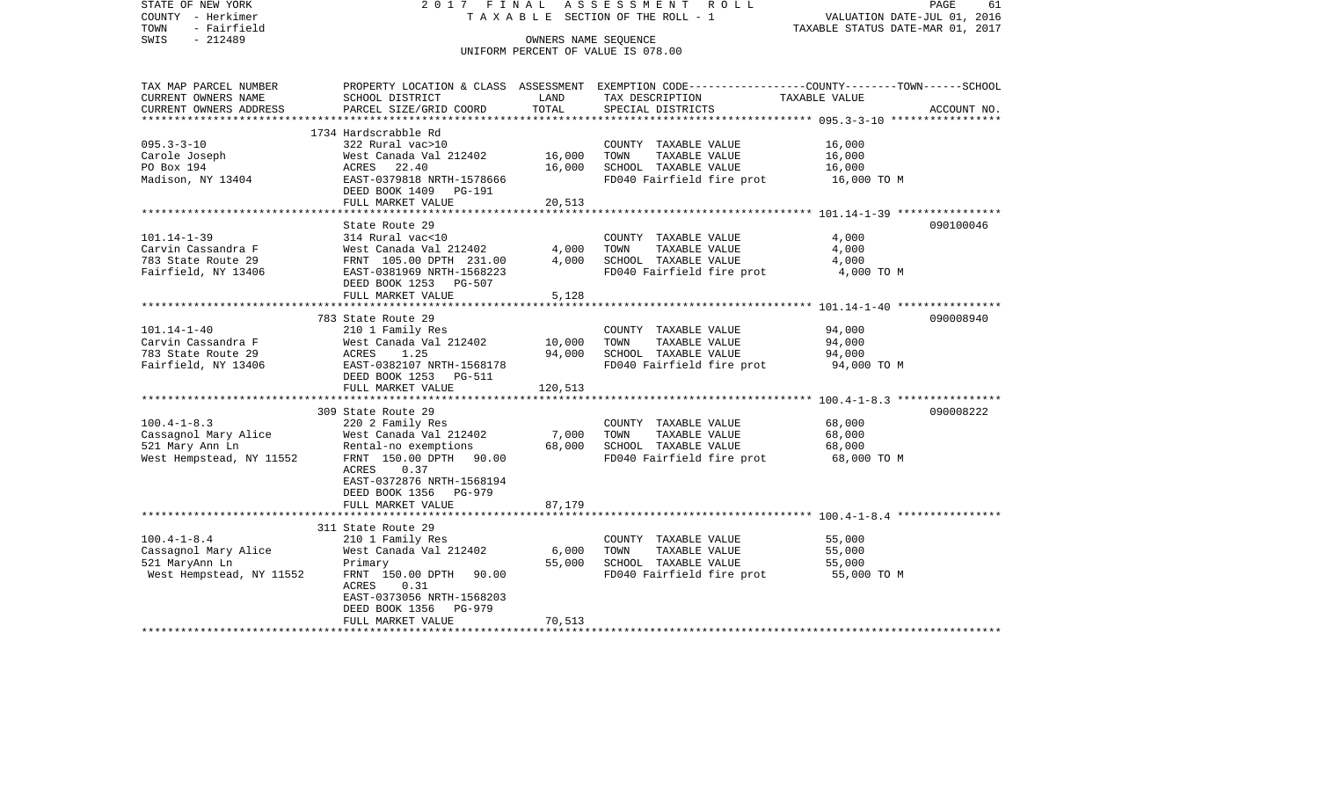STATE OF NEW YORK 2 0 1 7 F I N A L A S S E S S M E N T R O L L PAGE 61COUNTY - Herkimer T A X A B L E SECTION OF THE ROLL - 1 VALUATION DATE-JUL 01, 2016 TOWN - Fairfield TAXABLE STATUS DATE-MAR 01, 2017 SWIS - 212489 CONNERS NAME SEQUENCE UNIFORM PERCENT OF VALUE IS 078.00TAX MAP PARCEL NUMBER PROPERTY LOCATION & CLASS ASSESSMENT EXEMPTION CODE------------------COUNTY--------TOWN------SCHOOL CURRENT OWNERS NAME SCHOOL DISTRICT LAND TAX DESCRIPTION TAXABLE VALUECURRENT OWNERS ADDRESS PARCEL SIZE/GRID COORD TOTAL SPECIAL DISTRICTS ACCOUNT NO. \*\*\*\*\*\*\*\*\*\*\*\*\*\*\*\*\*\*\*\*\*\*\*\*\*\*\*\*\*\*\*\*\*\*\*\*\*\*\*\*\*\*\*\*\*\*\*\*\*\*\*\*\*\*\*\*\*\*\*\*\*\*\*\*\*\*\*\*\*\*\*\*\*\*\*\*\*\*\*\*\*\*\*\*\*\*\*\*\*\*\*\*\*\*\*\*\*\*\*\*\*\*\* 095.3-3-10 \*\*\*\*\*\*\*\*\*\*\*\*\*\*\*\*\* 1734 Hardscrabble Rd $322$  Rural vac $>10$ 095.3-3-10 322 Rural vac>10 COUNTY TAXABLE VALUE 16,000 Carole Joseph West Canada Val 212402 16,000 TOWN TAXABLE VALUE 16,000 PO Box 194 **ACRES** 22.40 16,000 SCHOOL TAXABLE VALUE 16,000 Madison, NY 13404 **EAST-0379818 NRTH-1578666** FD040 Fairfield fire prot 16,000 TO M DEED BOOK 1409 PG-191FULL MARKET VALUE 20,513 \*\*\*\*\*\*\*\*\*\*\*\*\*\*\*\*\*\*\*\*\*\*\*\*\*\*\*\*\*\*\*\*\*\*\*\*\*\*\*\*\*\*\*\*\*\*\*\*\*\*\*\*\*\*\*\*\*\*\*\*\*\*\*\*\*\*\*\*\*\*\*\*\*\*\*\*\*\*\*\*\*\*\*\*\*\*\*\*\*\*\*\*\*\*\*\*\*\*\*\*\*\*\* 101.14-1-39 \*\*\*\*\*\*\*\*\*\*\*\*\*\*\*\*State Route 29 090100046 101.14-1-39 314 Rural vac<10 COUNTY TAXABLE VALUE 4,000 Carvin Cassandra F West Canada Val 212402 4,000 TOWN TAXABLE VALUE 4,000 783 State Route 29 FRNT 105.00 DPTH 231.00 4,000 SCHOOL TAXABLE VALUE 4,000 Fairfield, NY 13406 **EAST-0381969 NRTH-1568223** FD040 Fairfield fire prot **FULL 4,000 TO M**  DEED BOOK 1253 PG-507FULL MARKET VALUE 5,128 \*\*\*\*\*\*\*\*\*\*\*\*\*\*\*\*\*\*\*\*\*\*\*\*\*\*\*\*\*\*\*\*\*\*\*\*\*\*\*\*\*\*\*\*\*\*\*\*\*\*\*\*\*\*\*\*\*\*\*\*\*\*\*\*\*\*\*\*\*\*\*\*\*\*\*\*\*\*\*\*\*\*\*\*\*\*\*\*\*\*\*\*\*\*\*\*\*\*\*\*\*\*\* 101.14-1-40 \*\*\*\*\*\*\*\*\*\*\*\*\*\*\*\* 783 State Route 29 090008940101.14-1-40 210 1 Family Res COUNTY TAXABLE VALUE 94,000 Carvin Cassandra F West Canada Val 212402 10,000 TOWN TAXABLE VALUE 94,000 783 State Route 29 ACRES 1.25 94,000 SCHOOL TAXABLE VALUE 94,000 Fairfield, NY 13406 EAST-0382107 NRTH-1568178 FD040 Fairfield fire prot 94,000 TO M DEED BOOK 1253 PG-511FULL MARKET VALUE 120,513 \*\*\*\*\*\*\*\*\*\*\*\*\*\*\*\*\*\*\*\*\*\*\*\*\*\*\*\*\*\*\*\*\*\*\*\*\*\*\*\*\*\*\*\*\*\*\*\*\*\*\*\*\*\*\*\*\*\*\*\*\*\*\*\*\*\*\*\*\*\*\*\*\*\*\*\*\*\*\*\*\*\*\*\*\*\*\*\*\*\*\*\*\*\*\*\*\*\*\*\*\*\*\* 100.4-1-8.3 \*\*\*\*\*\*\*\*\*\*\*\*\*\*\*\* 309 State Route 29 090008222100.4-1-8.3 220 2 Family Res COUNTY TAXABLE VALUE 68,000 Cassagnol Mary Alice West Canada Val 212402 7,000 TOWN TAXABLE VALUE 68,000 521 Mary Ann Ln Rental-no exemptions 68,000 SCHOOL TAXABLE VALUE 68,000 West Hempstead, NY 11552 FRNT 150.00 DPTH 90.00 FOD40 Fairfield fire prot 68,000 TO M ACRES 0.37 EAST-0372876 NRTH-1568194 DEED BOOK 1356 PG-979FULL MARKET VALUE 87,179 \*\*\*\*\*\*\*\*\*\*\*\*\*\*\*\*\*\*\*\*\*\*\*\*\*\*\*\*\*\*\*\*\*\*\*\*\*\*\*\*\*\*\*\*\*\*\*\*\*\*\*\*\*\*\*\*\*\*\*\*\*\*\*\*\*\*\*\*\*\*\*\*\*\*\*\*\*\*\*\*\*\*\*\*\*\*\*\*\*\*\*\*\*\*\*\*\*\*\*\*\*\*\* 100.4-1-8.4 \*\*\*\*\*\*\*\*\*\*\*\*\*\*\*\* 311 State Route 29100.4-1-8.4 210 1 Family Res COUNTY TAXABLE VALUE 55,000<br>Cassagnol Mary Alice West Canada Val 212402 6,000 TOWN TAXABLE VALUE 55,000 West Canada Val  $212402$  6,000 TOWN 521 MaryAnn Ln Primary 55,000 SCHOOL TAXABLE VALUE 55,000 West Hempstead, NY 11552 FRNT 150.00 DPTH 90.00 FO040 Fairfield fire prot 55,000 TO M ACRES 0.31 EAST-0373056 NRTH-1568203 DEED BOOK 1356 PG-979FULL MARKET VALUE 70,513 \*\*\*\*\*\*\*\*\*\*\*\*\*\*\*\*\*\*\*\*\*\*\*\*\*\*\*\*\*\*\*\*\*\*\*\*\*\*\*\*\*\*\*\*\*\*\*\*\*\*\*\*\*\*\*\*\*\*\*\*\*\*\*\*\*\*\*\*\*\*\*\*\*\*\*\*\*\*\*\*\*\*\*\*\*\*\*\*\*\*\*\*\*\*\*\*\*\*\*\*\*\*\*\*\*\*\*\*\*\*\*\*\*\*\*\*\*\*\*\*\*\*\*\*\*\*\*\*\*\*\*\*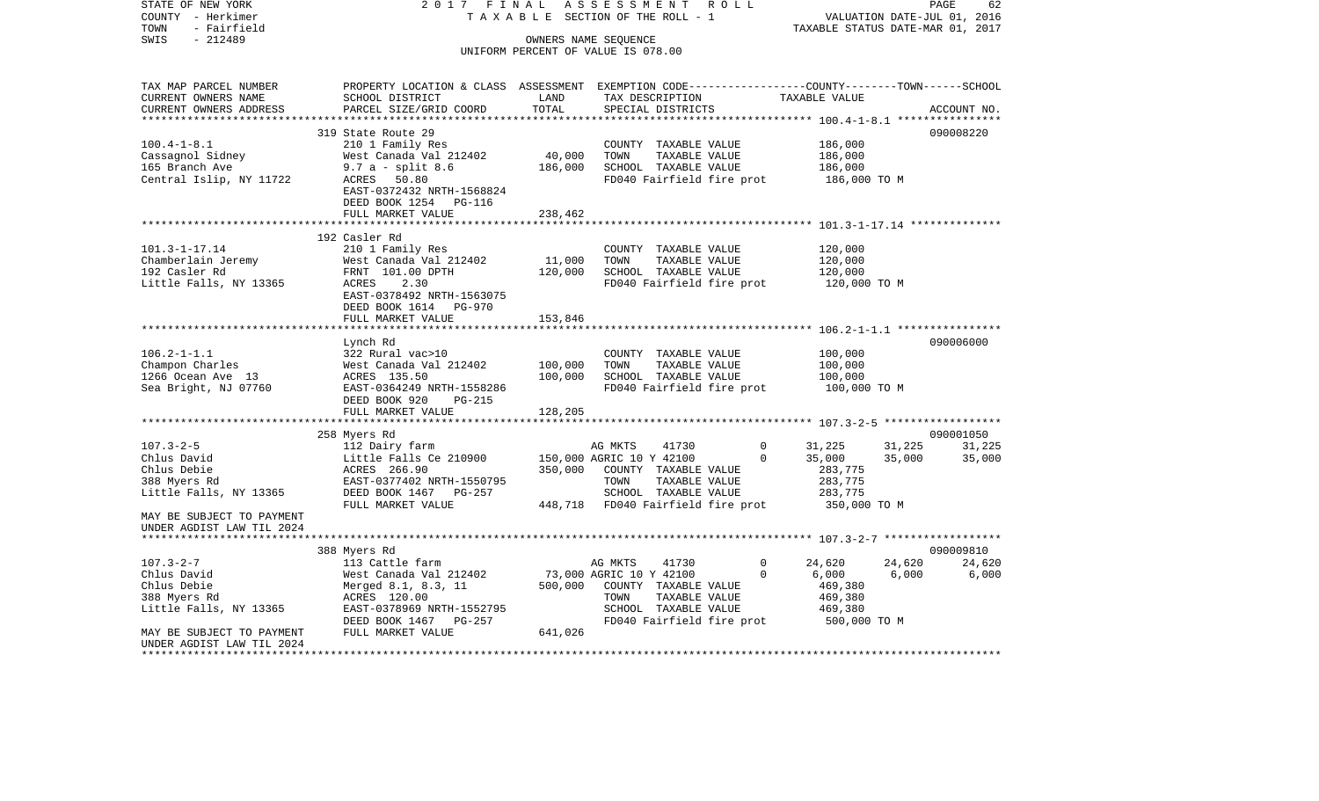VALUATION DATE-JUL 01, 2016 COUNTY - Herkimer T A X A B L E SECTION OF THE ROLL - 1 TOWN - Fairfield TAXABLE STATUS DATE-MAR 01, 2017 SWIS - 212489 CONNERS NAME SEQUENCE UNIFORM PERCENT OF VALUE IS 078.00TAX MAP PARCEL NUMBER PROPERTY LOCATION & CLASS ASSESSMENT EXEMPTION CODE------------------COUNTY--------TOWN------SCHOOL CURRENT OWNERS NAME SCHOOL DISTRICT LAND TAX DESCRIPTION TAXABLE VALUECURRENT OWNERS ADDRESS PARCEL SIZE/GRID COORD TOTAL SPECIAL DISTRICTS ACCOUNT NO. \*\*\*\*\*\*\*\*\*\*\*\*\*\*\*\*\*\*\*\*\*\*\*\*\*\*\*\*\*\*\*\*\*\*\*\*\*\*\*\*\*\*\*\*\*\*\*\*\*\*\*\*\*\*\*\*\*\*\*\*\*\*\*\*\*\*\*\*\*\*\*\*\*\*\*\*\*\*\*\*\*\*\*\*\*\*\*\*\*\*\*\*\*\*\*\*\*\*\*\*\*\*\* 100.4-1-8.1 \*\*\*\*\*\*\*\*\*\*\*\*\*\*\*\* 319 State Route 29 090008220100.4-1-8.1 210 1 Family Res COUNTY TAXABLE VALUE 186,000 Cassagnol Sidney West Canada Val 212402 40,000 TOWN TAXABLE VALUE 186,000 165 Branch Ave 9.7 a - split 8.6 186,000 SCHOOL TAXABLE VALUE 186,000 Central Islip, NY 11722 ACRES 50.80 ACRES FOR FORD PERSON FOR THE PROOF OF THE PROOF OF M EAST-0372432 NRTH-1568824 DEED BOOK 1254 PG-116FULL MARKET VALUE 238,462 \*\*\*\*\*\*\*\*\*\*\*\*\*\*\*\*\*\*\*\*\*\*\*\*\*\*\*\*\*\*\*\*\*\*\*\*\*\*\*\*\*\*\*\*\*\*\*\*\*\*\*\*\*\*\*\*\*\*\*\*\*\*\*\*\*\*\*\*\*\*\*\*\*\*\*\*\*\*\*\*\*\*\*\*\*\*\*\*\*\*\*\*\*\*\*\*\*\*\*\*\*\*\* 101.3-1-17.14 \*\*\*\*\*\*\*\*\*\*\*\*\*\* 192 Casler Rd101.3-1-17.14 210 1 Family Res COUNTY TAXABLE VALUE 120,000 Chamberlain Jeremy 6 West Canada Val 212402 11,000 TOWN TAXABLE VALUE 192 Casler Rd FRNT 101.00 DPTH 120,000 SCHOOL TAXABLE VALUE 120,000 Little Falls, NY 13365 ACRES 2.30 **FD040** Fairfield fire prot 120,000 TO M EAST-0378492 NRTH-1563075 DEED BOOK 1614 PG-970FULL MARKET VALUE 153,846 \*\*\*\*\*\*\*\*\*\*\*\*\*\*\*\*\*\*\*\*\*\*\*\*\*\*\*\*\*\*\*\*\*\*\*\*\*\*\*\*\*\*\*\*\*\*\*\*\*\*\*\*\*\*\*\*\*\*\*\*\*\*\*\*\*\*\*\*\*\*\*\*\*\*\*\*\*\*\*\*\*\*\*\*\*\*\*\*\*\*\*\*\*\*\*\*\*\*\*\*\*\*\* 106.2-1-1.1 \*\*\*\*\*\*\*\*\*\*\*\*\*\*\*\* Lynch Rd 090006000 106.2-1-1.1 322 Rural vac>10 COUNTY TAXABLE VALUE 100,000 Champon Charles West Canada Val 212402 100,000 TOWN TAXABLE VALUE 100,000 1266 Ocean Ave 13 ACRES 135.50 100,000 SCHOOL TAXABLE VALUE 100,000 Sea Bright, NJ 07760 EAST-0364249 NRTH-1558286 FD040 Fairfield fire prot 100,000 TO M DEED BOOK 920 PG-215FULL MARKET VALUE 128,205 \*\*\*\*\*\*\*\*\*\*\*\*\*\*\*\*\*\*\*\*\*\*\*\*\*\*\*\*\*\*\*\*\*\*\*\*\*\*\*\*\*\*\*\*\*\*\*\*\*\*\*\*\*\*\*\*\*\*\*\*\*\*\*\*\*\*\*\*\*\*\*\*\*\*\*\*\*\*\*\*\*\*\*\*\*\*\*\*\*\*\*\*\*\*\*\*\*\*\*\*\*\*\* 107.3-2-5 \*\*\*\*\*\*\*\*\*\*\*\*\*\*\*\*\*\* 258 Myers Rd 090001050 107.3-2-5 112 Dairy farm AG MKTS 41730 0 31,225 31,225 31,225 Chlus David Chlus David Chlus Christian Little Falls Ce 210900 150,000 AGRIC 10 Y 42100 0 35,000 35,000 35,000 Chlus Debie ACRES 266.90 350,000 COUNTY TAXABLE VALUE 283,775 388 Myers Rd EAST-0377402 NRTH-1550795 TOWN TAXABLE VALUE 283,775 Little Falls, NY 13365 DEED BOOK 1467 PG-257 SCHOOL TAXABLE VALUE 283,775 FULL MARKET VALUE 448,718 FD040 Fairfield fire prot 350,000 TO M MAY BE SUBJECT TO PAYMENT UNDER AGDIST LAW TIL 2024 \*\*\*\*\*\*\*\*\*\*\*\*\*\*\*\*\*\*\*\*\*\*\*\*\*\*\*\*\*\*\*\*\*\*\*\*\*\*\*\*\*\*\*\*\*\*\*\*\*\*\*\*\*\*\*\*\*\*\*\*\*\*\*\*\*\*\*\*\*\*\*\*\*\*\*\*\*\*\*\*\*\*\*\*\*\*\*\*\*\*\*\*\*\*\*\*\*\*\*\*\*\*\* 107.3-2-7 \*\*\*\*\*\*\*\*\*\*\*\*\*\*\*\*\*\* 388 Myers Rd 090009810 107.3-2-7 113 Cattle farm AG MKTS 41730 0 24,620 24,620 24,620 24,620 Chlus David Chlus David West Canada Val 212402 73,000 AGRIC 10 Y 42100 0 6,000 6,000 6,000 Chlus Debie 6 1 Merged 8.1, 8.3, 11 500,000 COUNTY TAXABLE VALUE 469,380 388 Myers Rd ACRES 120.00 TOWN TAXABLE VALUE 469,380 Little Falls, NY 13365 EAST-0378969 NRTH-1552795 SCHOOL TAXABLE VALUE 469,380 DEED BOOK 1467 PG-257 FD040 Fairfield fire prot 500,000 TO M<br>FULL MARKET VALUE 500 FOR 641.026 MAY BE SUBJECT TO PAYMENT FULL MARKET VALUE 641,026 UNDER AGDIST LAW TIL 2024\*\*\*\*\*\*\*\*\*\*\*\*\*\*\*\*\*\*\*\*\*\*\*\*\*\*\*\*\*\*\*\*\*\*\*\*\*\*\*\*\*\*\*\*\*\*\*\*\*\*\*\*\*\*\*\*\*\*\*\*\*\*\*\*\*\*\*\*\*\*\*\*\*\*\*\*\*\*\*\*\*\*\*\*\*\*\*\*\*\*\*\*\*\*\*\*\*\*\*\*\*\*\*\*\*\*\*\*\*\*\*\*\*\*\*\*\*\*\*\*\*\*\*\*\*\*\*\*\*\*\*\*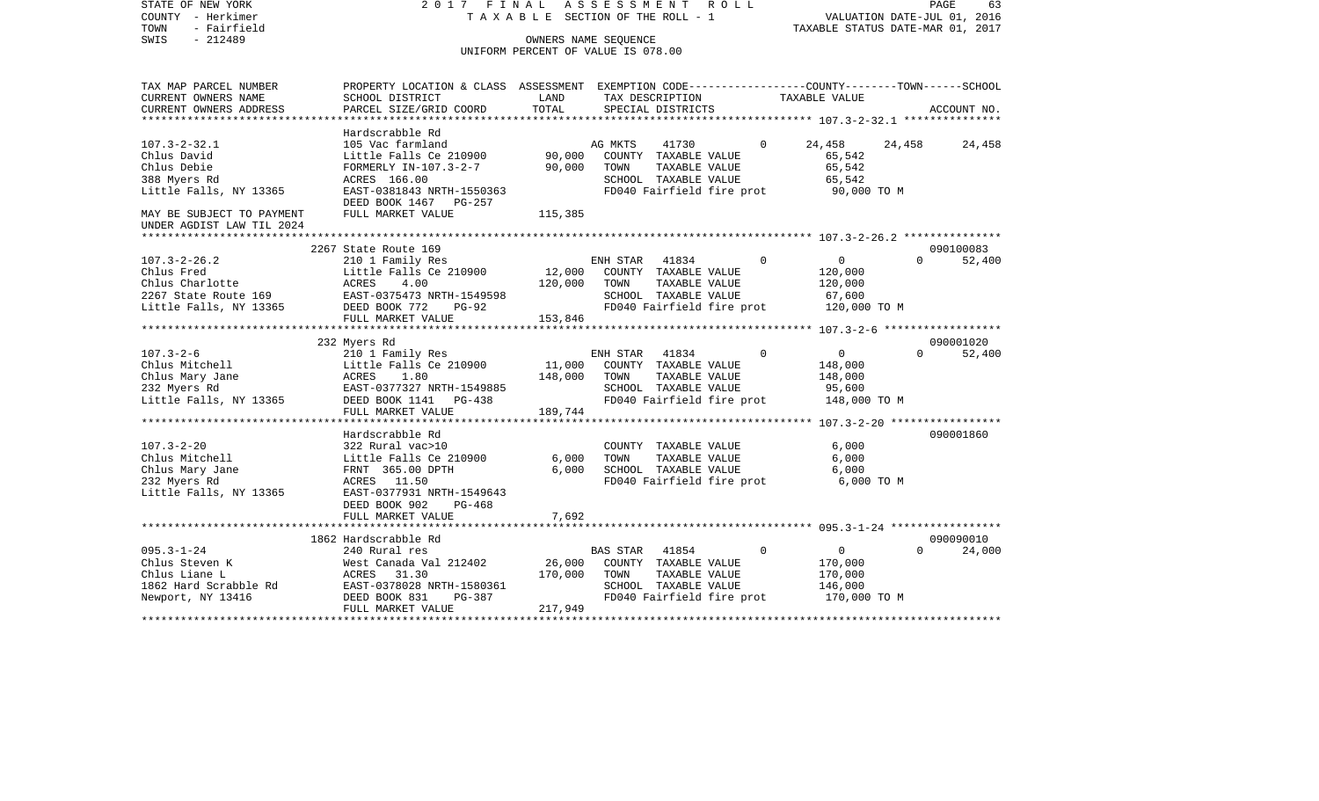| STATE OF NEW YORK<br>COUNTY - Herkimer<br>TOWN<br>- Fairfield<br>$-212489$ | 2017 FINAL                                                                                      | TAXABLE SECTION OF THE ROLL - 1                            | A S S E S S M E N T | R O L L                                           |             | TAXABLE STATUS DATE-MAR 01, 2017 | VALUATION DATE-JUL 01, 2016 | PAGE<br>63  |
|----------------------------------------------------------------------------|-------------------------------------------------------------------------------------------------|------------------------------------------------------------|---------------------|---------------------------------------------------|-------------|----------------------------------|-----------------------------|-------------|
| SWIS                                                                       |                                                                                                 | OWNERS NAME SEQUENCE<br>UNIFORM PERCENT OF VALUE IS 078.00 |                     |                                                   |             |                                  |                             |             |
|                                                                            |                                                                                                 |                                                            |                     |                                                   |             |                                  |                             |             |
| TAX MAP PARCEL NUMBER                                                      | PROPERTY LOCATION & CLASS ASSESSMENT EXEMPTION CODE----------------COUNTY-------TOWN-----SCHOOL |                                                            |                     |                                                   |             |                                  |                             |             |
| CURRENT OWNERS NAME                                                        | SCHOOL DISTRICT                                                                                 | LAND                                                       |                     | TAX DESCRIPTION                                   |             | TAXABLE VALUE                    |                             |             |
| CURRENT OWNERS ADDRESS                                                     | PARCEL SIZE/GRID COORD                                                                          | TOTAL                                                      |                     | SPECIAL DISTRICTS                                 |             |                                  |                             | ACCOUNT NO. |
|                                                                            |                                                                                                 |                                                            |                     |                                                   |             |                                  |                             |             |
| $107.3 - 2 - 32.1$                                                         | Hardscrabble Rd<br>105 Vac farmland                                                             |                                                            | AG MKTS             | 41730                                             | $\Omega$    | 24,458                           | 24,458                      | 24,458      |
| Chlus David                                                                | Little Falls Ce 210900                                                                          | 90,000                                                     |                     | COUNTY TAXABLE VALUE                              |             | 65,542                           |                             |             |
| Chlus Debie                                                                | FORMERLY IN-107.3-2-7                                                                           | 90,000                                                     | TOWN                | TAXABLE VALUE                                     |             | 65,542                           |                             |             |
| 388 Myers Rd                                                               | ACRES 166.00                                                                                    |                                                            |                     | SCHOOL TAXABLE VALUE                              |             | 65,542                           |                             |             |
| Little Falls, NY 13365                                                     | EAST-0381843 NRTH-1550363                                                                       |                                                            |                     | FD040 Fairfield fire prot                         |             | 90,000 TO M                      |                             |             |
|                                                                            | DEED BOOK 1467 PG-257                                                                           |                                                            |                     |                                                   |             |                                  |                             |             |
| MAY BE SUBJECT TO PAYMENT<br>UNDER AGDIST LAW TIL 2024                     | FULL MARKET VALUE                                                                               | 115,385                                                    |                     |                                                   |             |                                  |                             |             |
|                                                                            |                                                                                                 |                                                            |                     |                                                   |             |                                  |                             |             |
|                                                                            | 2267 State Route 169                                                                            |                                                            |                     |                                                   |             |                                  |                             | 090100083   |
| $107.3 - 2 - 26.2$                                                         | 210 1 Family Res                                                                                |                                                            | ENH STAR            | 41834                                             | $\Omega$    | $\overline{0}$                   | $\Omega$                    | 52,400      |
| Chlus Fred                                                                 | Little Falls Ce 210900                                                                          | 12,000                                                     |                     | COUNTY TAXABLE VALUE                              |             | 120,000                          |                             |             |
| Chlus Charlotte                                                            | ACRES<br>4.00                                                                                   | 120,000                                                    | TOWN                | TAXABLE VALUE                                     |             | 120,000                          |                             |             |
| 2267 State Route 169<br>Little Falls, NY 13365                             | EAST-0375473 NRTH-1549598<br>DEED BOOK 772<br><b>PG-92</b>                                      |                                                            |                     | SCHOOL TAXABLE VALUE<br>FD040 Fairfield fire prot |             | 67,600<br>120,000 TO M           |                             |             |
|                                                                            | FULL MARKET VALUE                                                                               | 153,846                                                    |                     |                                                   |             |                                  |                             |             |
|                                                                            | ******************************                                                                  |                                                            |                     |                                                   |             |                                  |                             |             |
|                                                                            | 232 Myers Rd                                                                                    |                                                            |                     |                                                   |             |                                  |                             | 090001020   |
| $107.3 - 2 - 6$                                                            | 210 1 Family Res                                                                                |                                                            | ENH STAR            | 41834                                             | $\mathbf 0$ | $\overline{0}$                   | $\Omega$                    | 52,400      |
| Chlus Mitchell                                                             | Little Falls Ce 210900                                                                          | 11,000                                                     |                     | COUNTY TAXABLE VALUE                              |             | 148,000                          |                             |             |
| Chlus Mary Jane                                                            | ACRES<br>1.80                                                                                   | 148,000                                                    | TOWN                | TAXABLE VALUE                                     |             | 148,000                          |                             |             |
| 232 Myers Rd                                                               | EAST-0377327 NRTH-1549885                                                                       |                                                            |                     | SCHOOL TAXABLE VALUE                              |             | 95,600                           |                             |             |
| Little Falls, NY 13365                                                     | DEED BOOK 1141 PG-438                                                                           |                                                            |                     | FD040 Fairfield fire prot                         |             | 148,000 TO M                     |                             |             |
|                                                                            | FULL MARKET VALUE                                                                               | 189,744                                                    |                     |                                                   |             |                                  |                             |             |
|                                                                            | Hardscrabble Rd                                                                                 |                                                            |                     |                                                   |             |                                  |                             | 090001860   |
| $107.3 - 2 - 20$                                                           | 322 Rural vac>10                                                                                |                                                            |                     | COUNTY TAXABLE VALUE                              |             | 6,000                            |                             |             |
| Chlus Mitchell                                                             | Little Falls Ce 210900                                                                          | 6,000                                                      | TOWN                | TAXABLE VALUE                                     |             | 6,000                            |                             |             |
| Chlus Mary Jane                                                            | FRNT 365.00 DPTH                                                                                | 6,000                                                      |                     | SCHOOL TAXABLE VALUE                              |             | 6,000                            |                             |             |
| 232 Myers Rd                                                               | ACRES 11.50                                                                                     |                                                            |                     | FD040 Fairfield fire prot                         |             | 6,000 TO M                       |                             |             |
| Little Falls, NY 13365                                                     | EAST-0377931 NRTH-1549643                                                                       |                                                            |                     |                                                   |             |                                  |                             |             |
|                                                                            | DEED BOOK 902<br>PG-468                                                                         |                                                            |                     |                                                   |             |                                  |                             |             |
|                                                                            | FULL MARKET VALUE                                                                               | 7,692                                                      |                     |                                                   |             |                                  |                             |             |
|                                                                            | 1862 Hardscrabble Rd                                                                            |                                                            |                     |                                                   |             |                                  |                             | 090090010   |
| $095.3 - 1 - 24$                                                           | 240 Rural res                                                                                   |                                                            | <b>BAS STAR</b>     | 41854                                             | $\Omega$    | $\mathbf{0}$                     | $\Omega$                    | 24,000      |
| Chlus Steven K                                                             | West Canada Val 212402                                                                          | 26,000                                                     |                     | COUNTY TAXABLE VALUE                              |             | 170,000                          |                             |             |
| Chlus Liane L                                                              | ACRES<br>31.30                                                                                  | 170,000                                                    | TOWN                | TAXABLE VALUE                                     |             | 170,000                          |                             |             |
| 1862 Hard Scrabble Rd                                                      | EAST-0378028 NRTH-1580361                                                                       |                                                            |                     | SCHOOL TAXABLE VALUE                              |             | 146,000                          |                             |             |
| Newport, NY 13416                                                          | DEED BOOK 831<br>PG-387                                                                         |                                                            |                     | FD040 Fairfield fire prot                         |             | 170,000 TO M                     |                             |             |
|                                                                            | FULL MARKET VALUE                                                                               | 217,949                                                    |                     |                                                   |             |                                  |                             |             |
|                                                                            |                                                                                                 |                                                            |                     |                                                   |             |                                  |                             |             |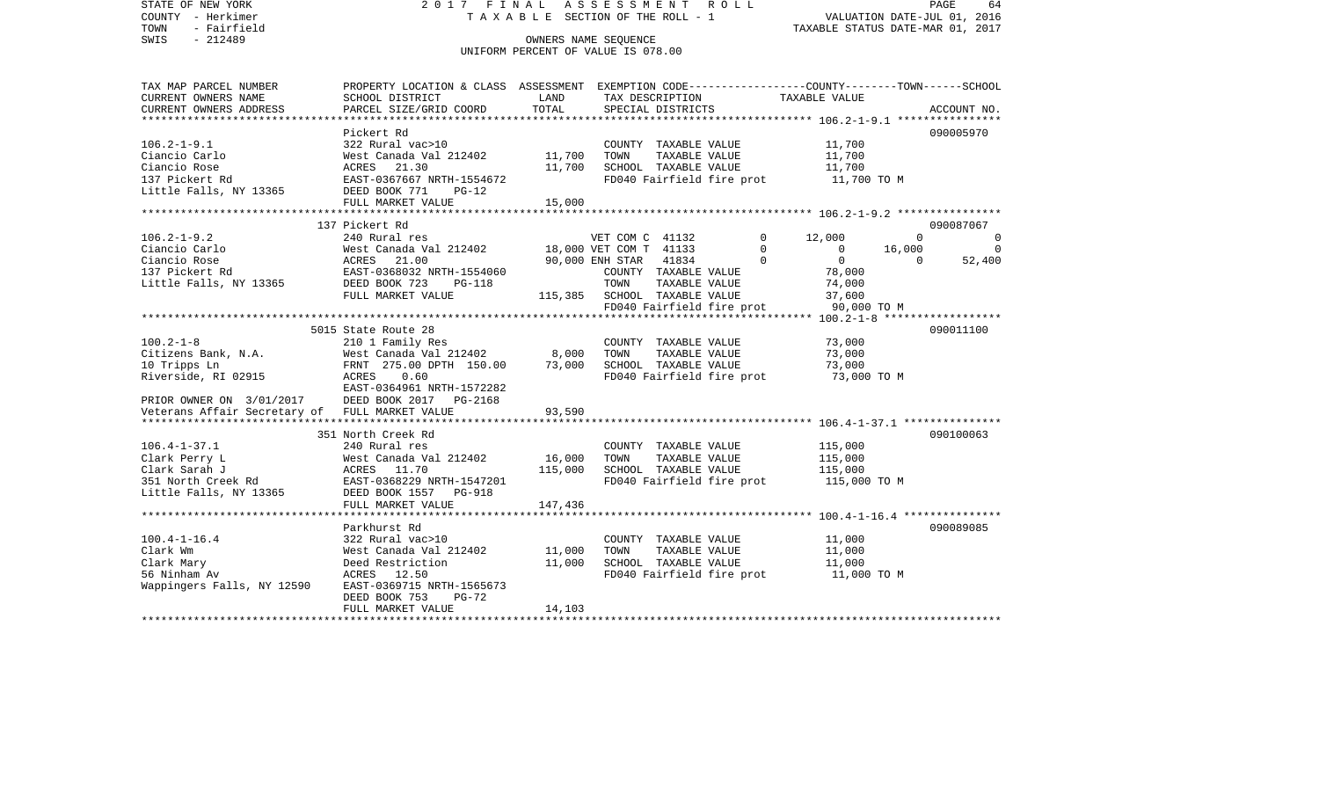COUNTY - Herkimer T A X A B L E SECTION OF THE ROLL - 1 VALUATION DATE-JUL 01, 2016 TOWN - Fairfield TAXABLE STATUS DATE-MAR 01, 2017 SWIS - 212489 CONNERS NAME SEQUENCE UNIFORM PERCENT OF VALUE IS 078.00TAX MAP PARCEL NUMBER PROPERTY LOCATION & CLASS ASSESSMENT EXEMPTION CODE------------------COUNTY--------TOWN------SCHOOL CURRENT OWNERS NAME SCHOOL DISTRICT LAND TAX DESCRIPTION TAXABLE VALUECURRENT OWNERS ADDRESS PARCEL SIZE/GRID COORD TOTAL SPECIAL DISTRICTS ACCOUNT NO. \*\*\*\*\*\*\*\*\*\*\*\*\*\*\*\*\*\*\*\*\*\*\*\*\*\*\*\*\*\*\*\*\*\*\*\*\*\*\*\*\*\*\*\*\*\*\*\*\*\*\*\*\*\*\*\*\*\*\*\*\*\*\*\*\*\*\*\*\*\*\*\*\*\*\*\*\*\*\*\*\*\*\*\*\*\*\*\*\*\*\*\*\*\*\*\*\*\*\*\*\*\*\* 106.2-1-9.1 \*\*\*\*\*\*\*\*\*\*\*\*\*\*\*\* Pickert Rd 090005970090005970 106.2-1-9.1 322 Rural vac>10 COUNTY TAXABLE VALUE 11,700 Ciancio Carlo West Canada Val 212402 11,700 TOWN TAXABLE VALUE 11,700 Ciancio Rose ACRES 21.30 11,700 SCHOOL TAXABLE VALUE 11,700 137 Pickert Rd EAST-0367667 NRTH-1554672 FD040 Fairfield fire prot 11,700 TO M Little Falls, NY 13365 DEED BOOK 771 PG-12 FULL MARKET VALUE 15,000 \*\*\*\*\*\*\*\*\*\*\*\*\*\*\*\*\*\*\*\*\*\*\*\*\*\*\*\*\*\*\*\*\*\*\*\*\*\*\*\*\*\*\*\*\*\*\*\*\*\*\*\*\*\*\*\*\*\*\*\*\*\*\*\*\*\*\*\*\*\*\*\*\*\*\*\*\*\*\*\*\*\*\*\*\*\*\*\*\*\*\*\*\*\*\*\*\*\*\*\*\*\*\* 106.2-1-9.2 \*\*\*\*\*\*\*\*\*\*\*\*\*\*\*\* 137 Pickert Rd 090087067106.2-1-9.2 240 Rural res VET COM C 41132 0 12,000 0 0 0 Ciancio Carlo West Canada Val 212402 18,000 VET COM T 41133 0 0 16,000 0 Ciancio Rose ACRES 21.00 90,000 ENH STAR 41834 0 0 0 52,400 137 Pickert Rd EAST-0368032 NRTH-1554060 COUNTY TAXABLE VALUE 78,000 Little Falls, NY 13365 DEED BOOK 723 PG-118 TOWN TAXABLE VALUE 74,000 FULL MARKET VALUE  $115,385$  SCHOOL TAXABLE VALUE  $37,600$ FD040 Fairfield fire prot 90,000 TO M<br>\*\*\*\*\*\*\*\*\*\*\*\*\*\*\*\*\*\*\*\*\*\*\*\*\*\*\*\*\*\*\*\*\* 100.2-1-8 \*\*\*\*\*\*\*\*\*\*\*\*\*\*\*\*\*\* \*\*\*\*\*\*\*\*\*\*\*\*\*\*\*\*\*\*\*\*\*\*\*\*\*\*\*\*\*\*\*\*\*\*\*\*\*\*\*\*\*\*\*\*\*\*\*\*\*\*\*\*\*\*\*\*\*\*\*\*\*\*\*\*\*\*\*\*\*\*\*\*\*\*\*\*\*\*\*\*\*\*\*\*\*\*\*\*\*\*\*\*\*\*\*\*\*\*\*\*\*\*\* 100.2-1-8 \*\*\*\*\*\*\*\*\*\*\*\*\*\*\*\*\*\* 5015 State Route 28 090011100100.2-1-8 210 1 Family Res COUNTY TAXABLE VALUE 73,000 Citizens Bank, N.A. West Canada Val 212402 8,000 TOWN TAXABLE VALUE 73,000 10 Tripps Ln FRNT 275.00 DPTH 150.00 73,000 SCHOOL TAXABLE VALUE 73,000 Riverside, RI 02915 ACRES 0.60 FD040 Fairfield fire prot 73,000 TO M EAST-0364961 NRTH-1572282 PRIOR OWNER ON 3/01/2017 DEED BOOK 2017 PG-2168 Veterans Affair Secretary of FULL MARKET VALUE 93,590 \*\*\*\*\*\*\*\*\*\*\*\*\*\*\*\*\*\*\*\*\*\*\*\*\*\*\*\*\*\*\*\*\*\*\*\*\*\*\*\*\*\*\*\*\*\*\*\*\*\*\*\*\*\*\*\*\*\*\*\*\*\*\*\*\*\*\*\*\*\*\*\*\*\*\*\*\*\*\*\*\*\*\*\*\*\*\*\*\*\*\*\*\*\*\*\*\*\*\*\*\*\*\* 106.4-1-37.1 \*\*\*\*\*\*\*\*\*\*\*\*\*\*\* 351 North Creek Rd 090100063106.4-1-37.1 240 Rural res COUNTY TAXABLE VALUE 115,000 Clark Perry L West Canada Val 212402 16,000 TOWN TAXABLE VALUE 115,000 Clark Sarah J ACRES 11.70 115,000 SCHOOL TAXABLE VALUE 115,000 351 North Creek Rd EAST-0368229 NRTH-1547201 FD040 Fairfield fire prot 115,000 TO M Little Falls, NY 13365 DEED BOOK 1557 PG-918 FULL MARKET VALUE 147,436 \*\*\*\*\*\*\*\*\*\*\*\*\*\*\*\*\*\*\*\*\*\*\*\*\*\*\*\*\*\*\*\*\*\*\*\*\*\*\*\*\*\*\*\*\*\*\*\*\*\*\*\*\*\*\*\*\*\*\*\*\*\*\*\*\*\*\*\*\*\*\*\*\*\*\*\*\*\*\*\*\*\*\*\*\*\*\*\*\*\*\*\*\*\*\*\*\*\*\*\*\*\*\* 100.4-1-16.4 \*\*\*\*\*\*\*\*\*\*\*\*\*\*\* Parkhurst Rd 090089085100.4-1-16.4 322 Rural vac>10 COUNTY TAXABLE VALUE 11,000 Clark Wm West Canada Val 212402 11,000 TOWN TAXABLE VALUE 11,000 Clark Mary 61,000 Deed Restriction 11,000 SCHOOL TAXABLE VALUE 11,000 56 Ninham Av ACRES 12.50 FD040 Fairfield fire prot 11,000 TO M Wappingers Falls, NY 12590 EAST-0369715 NRTH-1565673 DEED BOOK 753 PG-72FULL MARKET VALUE 14,103 \*\*\*\*\*\*\*\*\*\*\*\*\*\*\*\*\*\*\*\*\*\*\*\*\*\*\*\*\*\*\*\*\*\*\*\*\*\*\*\*\*\*\*\*\*\*\*\*\*\*\*\*\*\*\*\*\*\*\*\*\*\*\*\*\*\*\*\*\*\*\*\*\*\*\*\*\*\*\*\*\*\*\*\*\*\*\*\*\*\*\*\*\*\*\*\*\*\*\*\*\*\*\*\*\*\*\*\*\*\*\*\*\*\*\*\*\*\*\*\*\*\*\*\*\*\*\*\*\*\*\*\*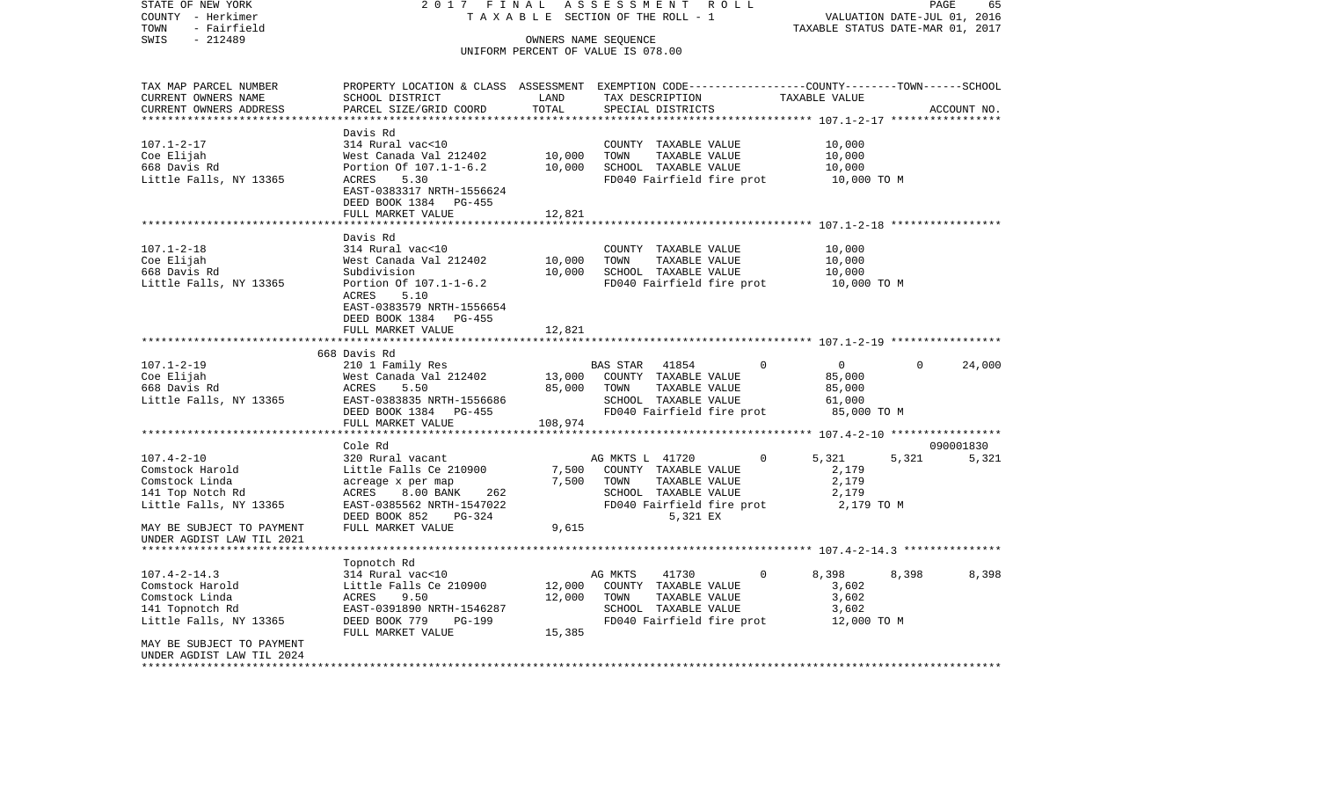STATE OF NEW YORK 2 0 1 7 F I N A L A S S E S S M E N T R O L L PAGE 65COUNTY - Herkimer T A X A B L E SECTION OF THE ROLL - 1 VALUATION DATE-JUL 01, 2016 TOWN - Fairfield TAXABLE STATUS DATE-MAR 01, 2017 SWIS - 212489 OWNERS NAME SEQUENCE UNIFORM PERCENT OF VALUE IS 078.00TAX MAP PARCEL NUMBER PROPERTY LOCATION & CLASS ASSESSMENT EXEMPTION CODE------------------COUNTY--------TOWN------SCHOOL CURRENT OWNERS NAME SCHOOL DISTRICT LAND TAX DESCRIPTION TAXABLE VALUECURRENT OWNERS ADDRESS PARCEL SIZE/GRID COORD TOTAL SPECIAL DISTRICTS ACCOUNT NO. \*\*\*\*\*\*\*\*\*\*\*\*\*\*\*\*\*\*\*\*\*\*\*\*\*\*\*\*\*\*\*\*\*\*\*\*\*\*\*\*\*\*\*\*\*\*\*\*\*\*\*\*\*\*\*\*\*\*\*\*\*\*\*\*\*\*\*\*\*\*\*\*\*\*\*\*\*\*\*\*\*\*\*\*\*\*\*\*\*\*\*\*\*\*\*\*\*\*\*\*\*\*\* 107.1-2-17 \*\*\*\*\*\*\*\*\*\*\*\*\*\*\*\*\* Davis Rd107.1-2-17 314 Rural vac<10 COUNTY TAXABLE VALUE 10,000 Coe Elijah West Canada Val 212402 10,000 TOWN TAXABLE VALUE 10,000 668 Davis Rd Portion Of 107.1-1-6.2 10,000 SCHOOL TAXABLE VALUE 10,000 Little Falls, NY 13365 ACRES 5.30 ACRES FD040 Fairfield fire prot 10,000 TO M EAST-0383317 NRTH-1556624 DEED BOOK 1384 PG-455FULL MARKET VALUE 12,821 \*\*\*\*\*\*\*\*\*\*\*\*\*\*\*\*\*\*\*\*\*\*\*\*\*\*\*\*\*\*\*\*\*\*\*\*\*\*\*\*\*\*\*\*\*\*\*\*\*\*\*\*\*\*\*\*\*\*\*\*\*\*\*\*\*\*\*\*\*\*\*\*\*\*\*\*\*\*\*\*\*\*\*\*\*\*\*\*\*\*\*\*\*\*\*\*\*\*\*\*\*\*\* 107.1-2-18 \*\*\*\*\*\*\*\*\*\*\*\*\*\*\*\*\* Davis Rd107.1-2-18 314 Rural vac<10 COUNTY TAXABLE VALUE 10,000 Coe Elijah West Canada Val 212402 10,000 TOWN TAXABLE VALUE 10,000 Subdivision 10,000 SCHOOL TAXABLE VALUE 10,000 Little Falls, NY 13365 Portion Of 107.1-1-6.2 FD040 Fairfield fire prot 10,000 TO M ACRES 5.10 EAST-0383579 NRTH-1556654 DEED BOOK 1384 PG-455FULL MARKET VALUE 12.821 \*\*\*\*\*\*\*\*\*\*\*\*\*\*\*\*\*\*\*\*\*\*\*\*\*\*\*\*\*\*\*\*\*\*\*\*\*\*\*\*\*\*\*\*\*\*\*\*\*\*\*\*\*\*\*\*\*\*\*\*\*\*\*\*\*\*\*\*\*\*\*\*\*\*\*\*\*\*\*\*\*\*\*\*\*\*\*\*\*\*\*\*\*\*\*\*\*\*\*\*\*\*\* 107.1-2-19 \*\*\*\*\*\*\*\*\*\*\*\*\*\*\*\*\* 668 Davis Rd 107.1-2-19 210 1 Family Res BAS STAR 41854 0 0 0 24,000 Coe Elijah West Canada Val 212402 13,000 COUNTY TAXABLE VALUE 85,000 668 Davis Rd ACRES 5.50 85,000 TOWN TAXABLE VALUE 85,000 Little Falls, NY 13365 EAST-0383835 NRTH-1556686 SCHOOL TAXABLE VALUE 61,000 DEED BOOK 1384 PG-455 FD040 Fairfield fire prot 85,000 TO M FULL MARKET VALUE 108,974 \*\*\*\*\*\*\*\*\*\*\*\*\*\*\*\*\*\*\*\*\*\*\*\*\*\*\*\*\*\*\*\*\*\*\*\*\*\*\*\*\*\*\*\*\*\*\*\*\*\*\*\*\*\*\*\*\*\*\*\*\*\*\*\*\*\*\*\*\*\*\*\*\*\*\*\*\*\*\*\*\*\*\*\*\*\*\*\*\*\*\*\*\*\*\*\*\*\*\*\*\*\*\* 107.4-2-10 \*\*\*\*\*\*\*\*\*\*\*\*\*\*\*\*\* Cole Rd 090001830107.4-2-10 320 Rural vacant AG MKTS L 41720 0 5,321 5,321 5,321 Comstock Harold Little Falls Ce 210900 7,500 COUNTY TAXABLE VALUE 2,179 Comstock Linda and acreage x per map acreage 1,500 TOWN TAXABLE VALUE 2,179 141 Top Notch Rd  $ACRES$  8.00 BANK 262 SCHOOL TAXABLE VALUE 2,179 Little Falls, NY 13365 EAST-0385562 NRTH-1547022 FD040 Fairfield fire prot 2,179 TO M DEED BOOK 852 PG-324 5,321 EX MAY BE SUBJECT TO PAYMENT FULL MARKET VALUE  $9,615$ UNDER AGDIST LAW TIL 2021 \*\*\*\*\*\*\*\*\*\*\*\*\*\*\*\*\*\*\*\*\*\*\*\*\*\*\*\*\*\*\*\*\*\*\*\*\*\*\*\*\*\*\*\*\*\*\*\*\*\*\*\*\*\*\*\*\*\*\*\*\*\*\*\*\*\*\*\*\*\*\*\*\*\*\*\*\*\*\*\*\*\*\*\*\*\*\*\*\*\*\*\*\*\*\*\*\*\*\*\*\*\*\* 107.4-2-14.3 \*\*\*\*\*\*\*\*\*\*\*\*\*\*\* Topnotch Rd 107.4-2-14.3 314 Rural vac<10 AG MKTS 41730 0 8,398 8,398 8,398 Comstock Harold  $Little$  Falls Ce 210900 12,000 COUNTY TAXABLE VALUE 3,602 Comstock Linda ACRES 9.50 12,000 TOWN TAXABLE VALUE 3,602 141 Topnotch Rd EAST-0391890 NRTH-1546287 SCHOOL TAXABLE VALUE 3,602 Little Falls, NY 13365 DEED BOOK 779 PG-199 FOO40 Fairfield fire prot 12,000 TO M FULL MARKET VALUE 15,385 MAY BE SUBJECT TO PAYMENTUNDER AGDIST LAW TIL 2024\*\*\*\*\*\*\*\*\*\*\*\*\*\*\*\*\*\*\*\*\*\*\*\*\*\*\*\*\*\*\*\*\*\*\*\*\*\*\*\*\*\*\*\*\*\*\*\*\*\*\*\*\*\*\*\*\*\*\*\*\*\*\*\*\*\*\*\*\*\*\*\*\*\*\*\*\*\*\*\*\*\*\*\*\*\*\*\*\*\*\*\*\*\*\*\*\*\*\*\*\*\*\*\*\*\*\*\*\*\*\*\*\*\*\*\*\*\*\*\*\*\*\*\*\*\*\*\*\*\*\*\*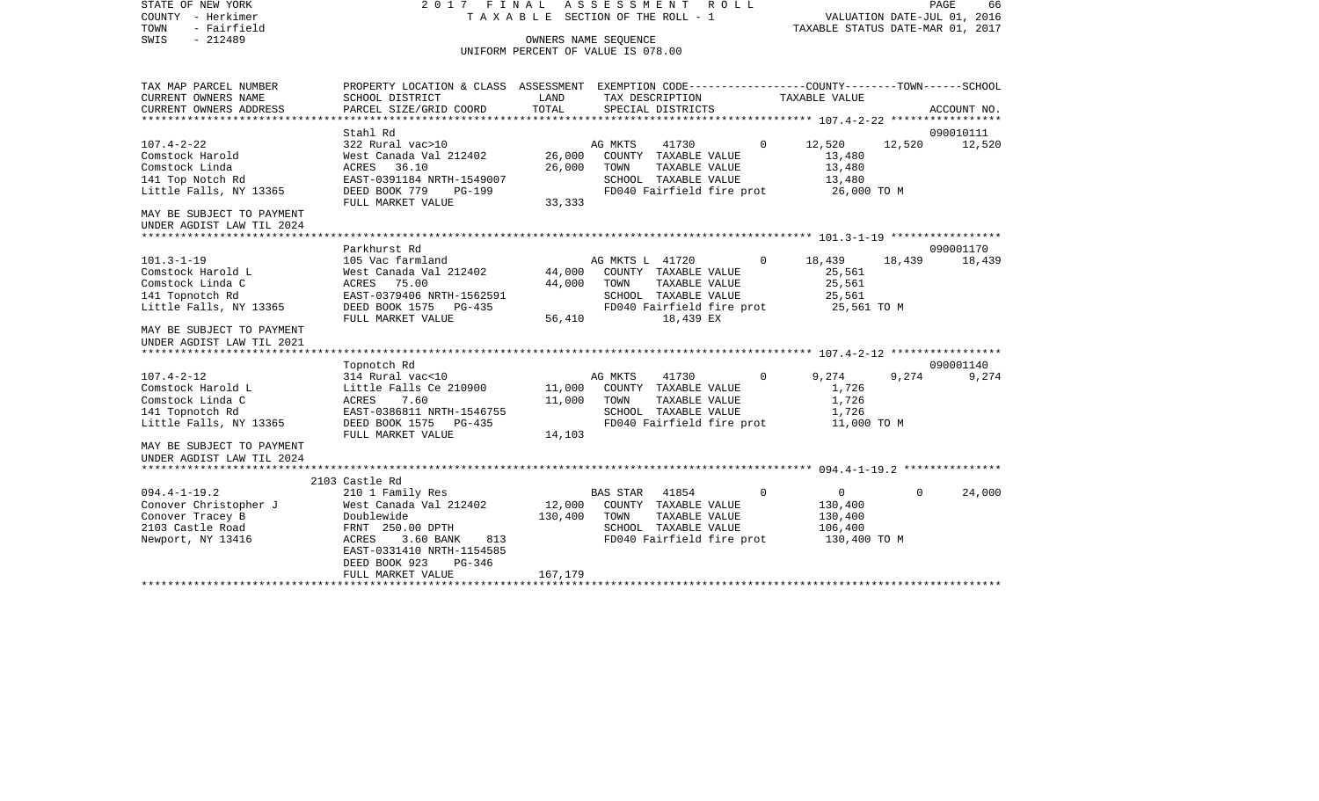STATE OF NEW YORK 2 0 1 7 F I N A L A S S E S S M E N T R O L L PAGE 66COUNTY - Herkimer T A X A B L E SECTION OF THE ROLL - 1 VALUATION DATE-JUL 01, 2016 TOWN - Fairfield TAXABLE STATUS DATE-MAR 01, 2017 SWIS - 212489 OWNERS NAME SEQUENCE UNIFORM PERCENT OF VALUE IS 078.00TAX MAP PARCEL NUMBER PROPERTY LOCATION & CLASS ASSESSMENT EXEMPTION CODE------------------COUNTY--------TOWN------SCHOOL CURRENT OWNERS NAME SCHOOL DISTRICT LAND TAX DESCRIPTION TAXABLE VALUECURRENT OWNERS ADDRESS PARCEL SIZE/GRID COORD TOTAL SPECIAL DISTRICTS ACCOUNT NO. \*\*\*\*\*\*\*\*\*\*\*\*\*\*\*\*\*\*\*\*\*\*\*\*\*\*\*\*\*\*\*\*\*\*\*\*\*\*\*\*\*\*\*\*\*\*\*\*\*\*\*\*\*\*\*\*\*\*\*\*\*\*\*\*\*\*\*\*\*\*\*\*\*\*\*\*\*\*\*\*\*\*\*\*\*\*\*\*\*\*\*\*\*\*\*\*\*\*\*\*\*\*\* 107.4-2-22 \*\*\*\*\*\*\*\*\*\*\*\*\*\*\*\*\* Stahl Rd 090010111107.4-2-22 322 Rural vac>10 AG MKTS 41730 0 12,520 12,520 12,520 Comstock Harold **West Canada Val 212402** 26,000 COUNTY TAXABLE VALUE 13,480 Comstock Linda ACRES 36.10 26,000 TOWN TAXABLE VALUE 13,480 141 Top Notch Rd EAST-0391184 NRTH-1549007 SCHOOL TAXABLE VALUE 13,480 DEED BOOK 779 PG-199 FD040 Fairfield fire prot FULL MARKET VALUE 33,333 MAY BE SUBJECT TO PAYMENT UNDER AGDIST LAW TIL 2024 \*\*\*\*\*\*\*\*\*\*\*\*\*\*\*\*\*\*\*\*\*\*\*\*\*\*\*\*\*\*\*\*\*\*\*\*\*\*\*\*\*\*\*\*\*\*\*\*\*\*\*\*\*\*\*\*\*\*\*\*\*\*\*\*\*\*\*\*\*\*\*\*\*\*\*\*\*\*\*\*\*\*\*\*\*\*\*\*\*\*\*\*\*\*\*\*\*\*\*\*\*\*\* 101.3-1-19 \*\*\*\*\*\*\*\*\*\*\*\*\*\*\*\*\* Parkhurst Rd 090001170101.3-1-19 105 Vac farmland AG MKTS L 41720 0 18,439 18,439 18,439 Comstock Harold L West Canada Val 212402 44,000 COUNTY TAXABLE VALUE 25,561 Comstock Linda C  $ACRES$  75.00  $44,000$  TOWN TAXABLE VALUE 25,561 141 Topnotch Rd EAST-0379406 NRTH-1562591 SCHOOL TAXABLE VALUE 25,561 Little Falls, NY 13365 DEED BOOK 1575 PG-435 FD040 Fairfield fire prot 25,561 TO M<br>FULL MARKET VALUE 56.410 18.439 EX FULL MARKET VALUE 56,410 18,439 EX MAY BE SUBJECT TO PAYMENTUNDER AGDIST LAW TIL 2021 \*\*\*\*\*\*\*\*\*\*\*\*\*\*\*\*\*\*\*\*\*\*\*\*\*\*\*\*\*\*\*\*\*\*\*\*\*\*\*\*\*\*\*\*\*\*\*\*\*\*\*\*\*\*\*\*\*\*\*\*\*\*\*\*\*\*\*\*\*\*\*\*\*\*\*\*\*\*\*\*\*\*\*\*\*\*\*\*\*\*\*\*\*\*\*\*\*\*\*\*\*\*\* 107.4-2-12 \*\*\*\*\*\*\*\*\*\*\*\*\*\*\*\*\* Topnotch Rd 090001140 107.4-2-12 314 Rural vac<10 AG MKTS 41730 0 9,274 9,274 9,274 Comstock Harold L **Little Falls Ce 210900** 11,000 COUNTY TAXABLE VALUE 1,726 Comstock Linda C  $ACRES$  7.60 11,000 TOWN TAXABLE VALUE 1,726 141 Topnotch Rd EAST-0386811 NRTH-1546755 SCHOOL TAXABLE VALUE 1,726 Little Falls, NY 13365 DEED BOOK 1575 PG-435 FD040 Fairfield fire prot 11,000 TO M FULL MARKET VALUE 14,103 MAY BE SUBJECT TO PAYMENTUNDER AGDIST LAW TIL 2024 \*\*\*\*\*\*\*\*\*\*\*\*\*\*\*\*\*\*\*\*\*\*\*\*\*\*\*\*\*\*\*\*\*\*\*\*\*\*\*\*\*\*\*\*\*\*\*\*\*\*\*\*\*\*\*\*\*\*\*\*\*\*\*\*\*\*\*\*\*\*\*\*\*\*\*\*\*\*\*\*\*\*\*\*\*\*\*\*\*\*\*\*\*\*\*\*\*\*\*\*\*\*\* 094.4-1-19.2 \*\*\*\*\*\*\*\*\*\*\*\*\*\*\* 2103 Castle Rd 094.4-1-19.2 210 1 Family Res BAS STAR 41854 0 0 0 24,000 Conover Christopher J West Canada Val 212402 12,000 COUNTY TAXABLE VALUE 130,400 Conover Tracey B Doublewide 130,400 TOWN TAXABLE VALUE 130,400 2103 Castle Road FRNT 250.00 DPTH SCHOOL TAXABLE VALUE 106,400 Newport, NY 13416 ACRES 3.60 BANK 813 FD040 Fairfield fire prot 130,400 TO M EAST-0331410 NRTH-1154585 DEED BOOK 923 PG-346FULL MARKET VALUE 167,179 \*\*\*\*\*\*\*\*\*\*\*\*\*\*\*\*\*\*\*\*\*\*\*\*\*\*\*\*\*\*\*\*\*\*\*\*\*\*\*\*\*\*\*\*\*\*\*\*\*\*\*\*\*\*\*\*\*\*\*\*\*\*\*\*\*\*\*\*\*\*\*\*\*\*\*\*\*\*\*\*\*\*\*\*\*\*\*\*\*\*\*\*\*\*\*\*\*\*\*\*\*\*\*\*\*\*\*\*\*\*\*\*\*\*\*\*\*\*\*\*\*\*\*\*\*\*\*\*\*\*\*\*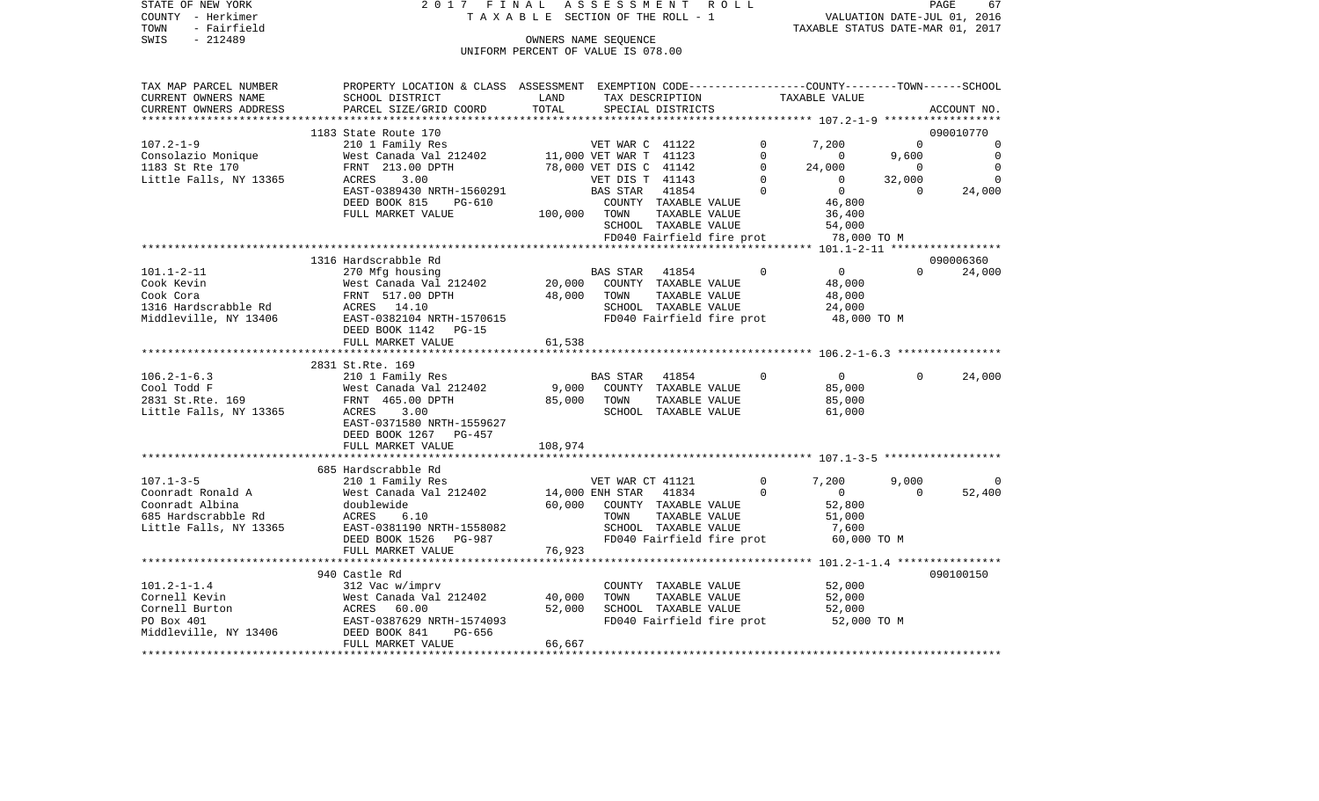| TOWN<br>- Fairfield<br>SWIS<br>$-212489$     |                                                                                                                   |                                    | OWNERS NAME SEOUENCE                      |                                       |               | TAXABLE STATUS DATE-MAR 01, 2017                    |                       |                              |
|----------------------------------------------|-------------------------------------------------------------------------------------------------------------------|------------------------------------|-------------------------------------------|---------------------------------------|---------------|-----------------------------------------------------|-----------------------|------------------------------|
|                                              |                                                                                                                   | UNIFORM PERCENT OF VALUE IS 078.00 |                                           |                                       |               |                                                     |                       |                              |
| TAX MAP PARCEL NUMBER<br>CURRENT OWNERS NAME | PROPERTY LOCATION & CLASS ASSESSMENT EXEMPTION CODE---------------COUNTY-------TOWN-----SCHOOL<br>SCHOOL DISTRICT | LAND                               |                                           | TAX DESCRIPTION                       |               | TAXABLE VALUE                                       |                       |                              |
| CURRENT OWNERS ADDRESS                       | PARCEL SIZE/GRID COORD                                                                                            | TOTAL                              |                                           | SPECIAL DISTRICTS                     |               |                                                     |                       | ACCOUNT NO.                  |
| **********************                       |                                                                                                                   |                                    |                                           |                                       |               |                                                     |                       |                              |
|                                              | 1183 State Route 170                                                                                              |                                    |                                           |                                       |               |                                                     |                       | 090010770                    |
| $107.2 - 1 - 9$                              | 210 1 Family Res                                                                                                  |                                    | VET WAR C 41122                           |                                       |               | 7,200                                               | $\Omega$              |                              |
| Consolazio Monique                           | West Canada Val 212402                                                                                            |                                    | 11,000 VET WAR T 41123                    |                                       | $\Omega$      | $\Omega$                                            | 9,600                 | $\overline{0}$               |
| 1183 St Rte 170<br>Little Falls, NY 13365    | FRNT 213.00 DPTH<br>ACRES<br>3.00                                                                                 |                                    | 78,000 VET DIS C 41142<br>VET DIS T 41143 |                                       | 0<br>$\Omega$ | 24,000<br>$\mathbf 0$                               | $\mathbf 0$<br>32,000 | $\overline{0}$<br>$\bigcirc$ |
|                                              | EAST-0389430 NRTH-1560291                                                                                         |                                    | BAS STAR                                  | 41854                                 | $\Omega$      | $\overline{0}$                                      | $\Omega$              | 24,000                       |
|                                              | DEED BOOK 815<br>PG-610                                                                                           |                                    |                                           | COUNTY TAXABLE VALUE                  |               | 46,800                                              |                       |                              |
|                                              | FULL MARKET VALUE                                                                                                 | 100,000                            | TOWN                                      | TAXABLE VALUE                         |               | 36,400                                              |                       |                              |
|                                              |                                                                                                                   |                                    |                                           | SCHOOL TAXABLE VALUE                  |               | 54,000                                              |                       |                              |
|                                              |                                                                                                                   |                                    |                                           | FD040 Fairfield fire prot             |               | 78,000 TO M                                         |                       |                              |
|                                              |                                                                                                                   |                                    |                                           |                                       |               | ******************** 101.1-2-11 ******************  |                       |                              |
|                                              | 1316 Hardscrabble Rd                                                                                              |                                    |                                           |                                       |               |                                                     |                       | 090006360                    |
| $101.1 - 2 - 11$                             | 270 Mfg housing                                                                                                   |                                    | BAS STAR                                  | 41854                                 | $\mathbf 0$   | $\overline{0}$                                      | $\Omega$              | 24,000                       |
| Cook Kevin                                   | West Canada Val 212402                                                                                            | 20,000                             |                                           | COUNTY TAXABLE VALUE                  |               | 48,000                                              |                       |                              |
| Cook Cora                                    | FRNT 517.00 DPTH                                                                                                  | 48,000                             | TOWN                                      | TAXABLE VALUE                         |               | 48,000                                              |                       |                              |
| 1316 Hardscrabble Rd                         | ACRES 14.10                                                                                                       |                                    |                                           | SCHOOL TAXABLE VALUE                  |               | 24,000                                              |                       |                              |
| Middleville, NY 13406                        | EAST-0382104 NRTH-1570615<br>DEED BOOK 1142<br>$PG-15$                                                            |                                    |                                           | FD040 Fairfield fire prot             |               | 48,000 TO M                                         |                       |                              |
|                                              | FULL MARKET VALUE                                                                                                 | 61,538                             |                                           |                                       |               |                                                     |                       |                              |
|                                              |                                                                                                                   |                                    |                                           |                                       |               |                                                     |                       |                              |
|                                              | 2831 St.Rte. 169                                                                                                  |                                    |                                           |                                       |               |                                                     |                       |                              |
| $106.2 - 1 - 6.3$                            | 210 1 Family Res                                                                                                  |                                    | BAS STAR                                  | 41854                                 | $\Omega$      | $\overline{0}$                                      | $\Omega$              | 24,000                       |
| Cool Todd F                                  | West Canada Val 212402                                                                                            | 9,000                              |                                           | COUNTY TAXABLE VALUE                  |               | 85,000                                              |                       |                              |
| 2831 St.Rte. 169                             | FRNT 465.00 DPTH                                                                                                  | 85,000                             | TOWN                                      | TAXABLE VALUE                         |               | 85,000                                              |                       |                              |
| Little Falls, NY 13365                       | ACRES<br>3.00                                                                                                     |                                    |                                           | SCHOOL TAXABLE VALUE                  |               | 61,000                                              |                       |                              |
|                                              | EAST-0371580 NRTH-1559627                                                                                         |                                    |                                           |                                       |               |                                                     |                       |                              |
|                                              | DEED BOOK 1267<br>PG-457                                                                                          |                                    |                                           |                                       |               |                                                     |                       |                              |
|                                              | FULL MARKET VALUE                                                                                                 | 108,974<br>* * * * * * * * *       |                                           |                                       |               | ************************ 107.1-3-5 **************** |                       |                              |
|                                              | 685 Hardscrabble Rd                                                                                               |                                    |                                           |                                       |               |                                                     |                       |                              |
| $107.1 - 3 - 5$                              | 210 1 Family Res                                                                                                  |                                    | VET WAR CT 41121                          |                                       | $\circ$       | 7,200                                               | 9,000                 | 0                            |
| Coonradt Ronald A                            | West Canada Val 212402                                                                                            |                                    | 14,000 ENH STAR                           | 41834                                 | $\Omega$      | $\Omega$                                            | $\Omega$              | 52,400                       |
| Coonradt Albina                              | doublewide                                                                                                        | 60,000                             |                                           | COUNTY TAXABLE VALUE                  |               | 52,800                                              |                       |                              |
| 685 Hardscrabble Rd                          | ACRES<br>6.10                                                                                                     |                                    | TOWN                                      | TAXABLE VALUE                         |               | 51,000                                              |                       |                              |
| Little Falls, NY 13365                       | EAST-0381190 NRTH-1558082                                                                                         |                                    |                                           | SCHOOL TAXABLE VALUE                  |               | 7,600                                               |                       |                              |
|                                              | DEED BOOK 1526 PG-987                                                                                             |                                    |                                           | FD040 Fairfield fire prot             |               | 60,000 TO M                                         |                       |                              |
|                                              | FULL MARKET VALUE                                                                                                 | 76,923                             |                                           |                                       |               |                                                     |                       |                              |
|                                              |                                                                                                                   |                                    |                                           |                                       |               |                                                     |                       |                              |
|                                              | 940 Castle Rd                                                                                                     |                                    |                                           |                                       |               |                                                     |                       | 090100150                    |
| $101.2 - 1 - 1.4$                            | 312 Vac w/imprv                                                                                                   |                                    |                                           | COUNTY TAXABLE VALUE                  |               | 52,000                                              |                       |                              |
| Cornell Kevin<br>Cornell Burton              | West Canada Val 212402                                                                                            | 40,000<br>52,000                   | TOWN                                      | TAXABLE VALUE<br>SCHOOL TAXABLE VALUE |               | 52,000                                              |                       |                              |
| PO Box 401                                   | ACRES<br>60.00<br>EAST-0387629 NRTH-1574093                                                                       |                                    |                                           | FD040 Fairfield fire prot             |               | 52,000<br>52,000 TO M                               |                       |                              |
| Middleville, NY 13406                        | DEED BOOK 841<br>PG-656                                                                                           |                                    |                                           |                                       |               |                                                     |                       |                              |
|                                              | FULL MARKET VALUE                                                                                                 | 66,667                             |                                           |                                       |               |                                                     |                       |                              |
|                                              |                                                                                                                   |                                    |                                           |                                       |               |                                                     |                       |                              |

STATE OF NEW YORK 2 0 1 7 F I N A L A S S E S S M E N T R O L L PAGE 67 COUNTY - Herkimer T A X A B L E SECTION OF THE ROLL - 1 VALUATION DATE-JUL 01, 2016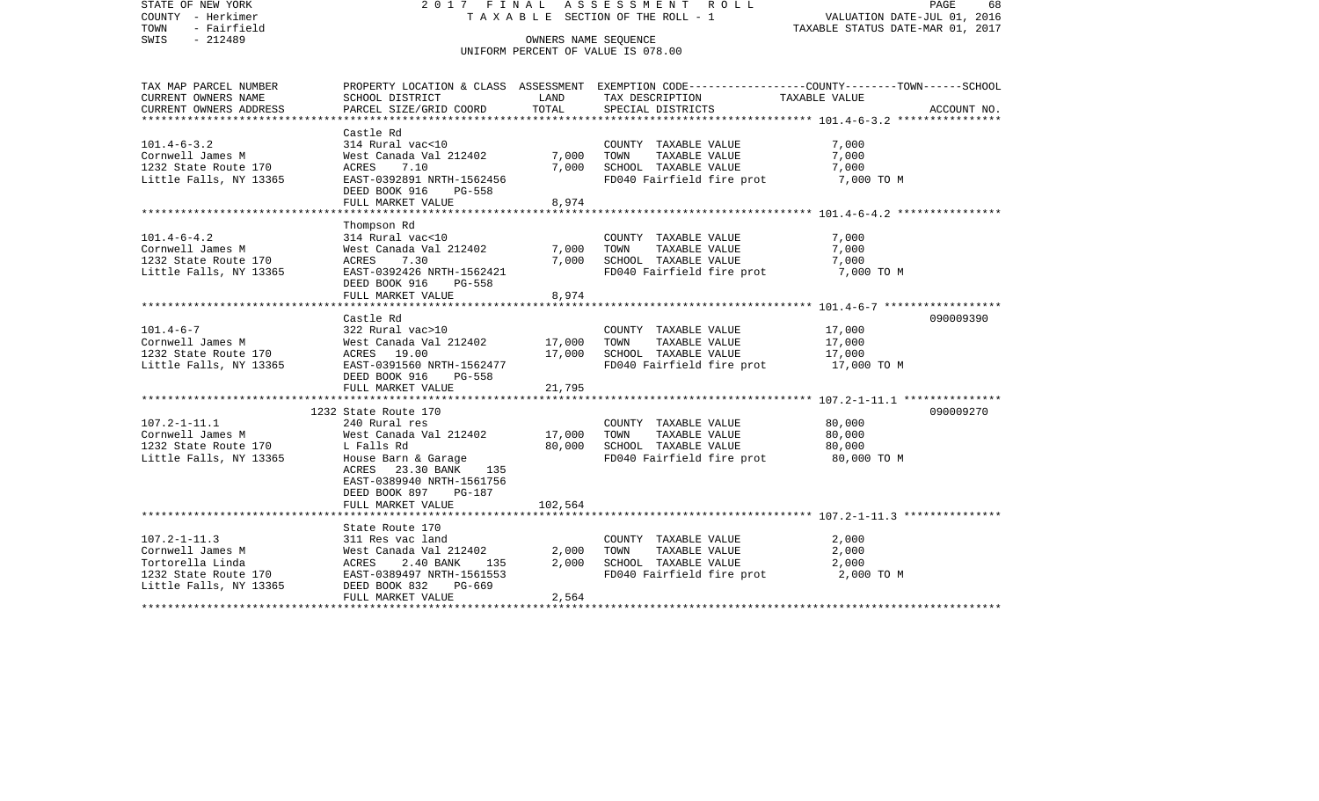| STATE OF NEW YORK<br>COUNTY - Herkimer<br>- Fairfield<br>TOWN<br>SWIS<br>$-212489$                           | 2017 FINAL                                                                                                                                                                | OWNERS NAME SEOUENCE       | ASSESSMENT ROLL<br>T A X A B L E SECTION OF THE ROLL - 1                                           | PAGE<br>68<br>VALUATION DATE-JUL 01, 2016<br>TAXABLE STATUS DATE-MAR 01, 2017                                                    |
|--------------------------------------------------------------------------------------------------------------|---------------------------------------------------------------------------------------------------------------------------------------------------------------------------|----------------------------|----------------------------------------------------------------------------------------------------|----------------------------------------------------------------------------------------------------------------------------------|
|                                                                                                              |                                                                                                                                                                           |                            | UNIFORM PERCENT OF VALUE IS 078.00                                                                 |                                                                                                                                  |
| TAX MAP PARCEL NUMBER<br>CURRENT OWNERS NAME<br>CURRENT OWNERS ADDRESS                                       | SCHOOL DISTRICT<br>PARCEL SIZE/GRID COORD                                                                                                                                 | LAND<br>TOTAL              | TAX DESCRIPTION<br>SPECIAL DISTRICTS                                                               | PROPERTY LOCATION & CLASS ASSESSMENT EXEMPTION CODE----------------COUNTY-------TOWN------SCHOOL<br>TAXABLE VALUE<br>ACCOUNT NO. |
|                                                                                                              |                                                                                                                                                                           |                            |                                                                                                    |                                                                                                                                  |
| $101.4 - 6 - 3.2$<br>Cornwell James M<br>1232 State Route 170<br>Little Falls, NY 13365                      | Castle Rd<br>314 Rural vac<10<br>West Canada Val 212402<br>7.10<br>ACRES<br>EAST-0392891 NRTH-1562456<br>DEED BOOK 916<br>PG-558<br>FULL MARKET VALUE                     | 7,000<br>7,000<br>8,974    | COUNTY TAXABLE VALUE<br>TAXABLE VALUE<br>TOWN<br>SCHOOL TAXABLE VALUE<br>FD040 Fairfield fire prot | 7,000<br>7,000<br>7,000<br>7,000 TO M                                                                                            |
|                                                                                                              |                                                                                                                                                                           |                            |                                                                                                    |                                                                                                                                  |
| $101.4 - 6 - 4.2$<br>Cornwell James M<br>1232 State Route 170<br>Little Falls, NY 13365                      | Thompson Rd<br>314 Rural vac<10<br>West Canada Val 212402<br>ACRES<br>7.30<br>EAST-0392426 NRTH-1562421<br>DEED BOOK 916<br>PG-558                                        | 7,000<br>7,000             | COUNTY TAXABLE VALUE<br>TOWN<br>TAXABLE VALUE<br>SCHOOL TAXABLE VALUE<br>FD040 Fairfield fire prot | 7,000<br>7,000<br>7,000<br>7,000 TO M                                                                                            |
|                                                                                                              | FULL MARKET VALUE                                                                                                                                                         | 8,974                      |                                                                                                    |                                                                                                                                  |
| $101.4 - 6 - 7$<br>Cornwell James M<br>1232 State Route 170<br>Little Falls, NY 13365                        | Castle Rd<br>322 Rural vac>10<br>West Canada Val 212402<br>ACRES 19.00<br>EAST-0391560 NRTH-1562477<br>DEED BOOK 916<br>PG-558<br>FULL MARKET VALUE                       | 17,000<br>17,000<br>21,795 | COUNTY TAXABLE VALUE<br>TOWN<br>TAXABLE VALUE<br>SCHOOL TAXABLE VALUE<br>FD040 Fairfield fire prot | 090009390<br>17,000<br>17,000<br>17,000<br>17,000 TO M                                                                           |
|                                                                                                              | 1232 State Route 170                                                                                                                                                      |                            |                                                                                                    | 090009270                                                                                                                        |
| $107.2 - 1 - 11.1$<br>Cornwell James M<br>1232 State Route 170<br>Little Falls, NY 13365                     | 240 Rural res<br>West Canada Val 212402<br>L Falls Rd<br>House Barn & Garage<br>ACRES 23.30 BANK<br>135<br>EAST-0389940 NRTH-1561756<br>DEED BOOK 897<br>PG-187           | 17,000<br>80,000           | COUNTY TAXABLE VALUE<br>TOWN<br>TAXABLE VALUE<br>SCHOOL TAXABLE VALUE<br>FD040 Fairfield fire prot | 80,000<br>80,000<br>80,000<br>80,000 TO M                                                                                        |
|                                                                                                              | FULL MARKET VALUE                                                                                                                                                         | 102,564                    |                                                                                                    |                                                                                                                                  |
| $107.2 - 1 - 11.3$<br>Cornwell James M<br>Tortorella Linda<br>1232 State Route 170<br>Little Falls, NY 13365 | State Route 170<br>311 Res vac land<br>West Canada Val 212402<br>ACRES<br>2.40 BANK<br>135<br>EAST-0389497 NRTH-1561553<br>DEED BOOK 832<br>$PG-669$<br>FULL MARKET VALUE | 2,000<br>2,000<br>2,564    | COUNTY TAXABLE VALUE<br>TOWN<br>TAXABLE VALUE<br>SCHOOL TAXABLE VALUE<br>FD040 Fairfield fire prot | 2,000<br>2,000<br>2,000<br>2,000 TO M                                                                                            |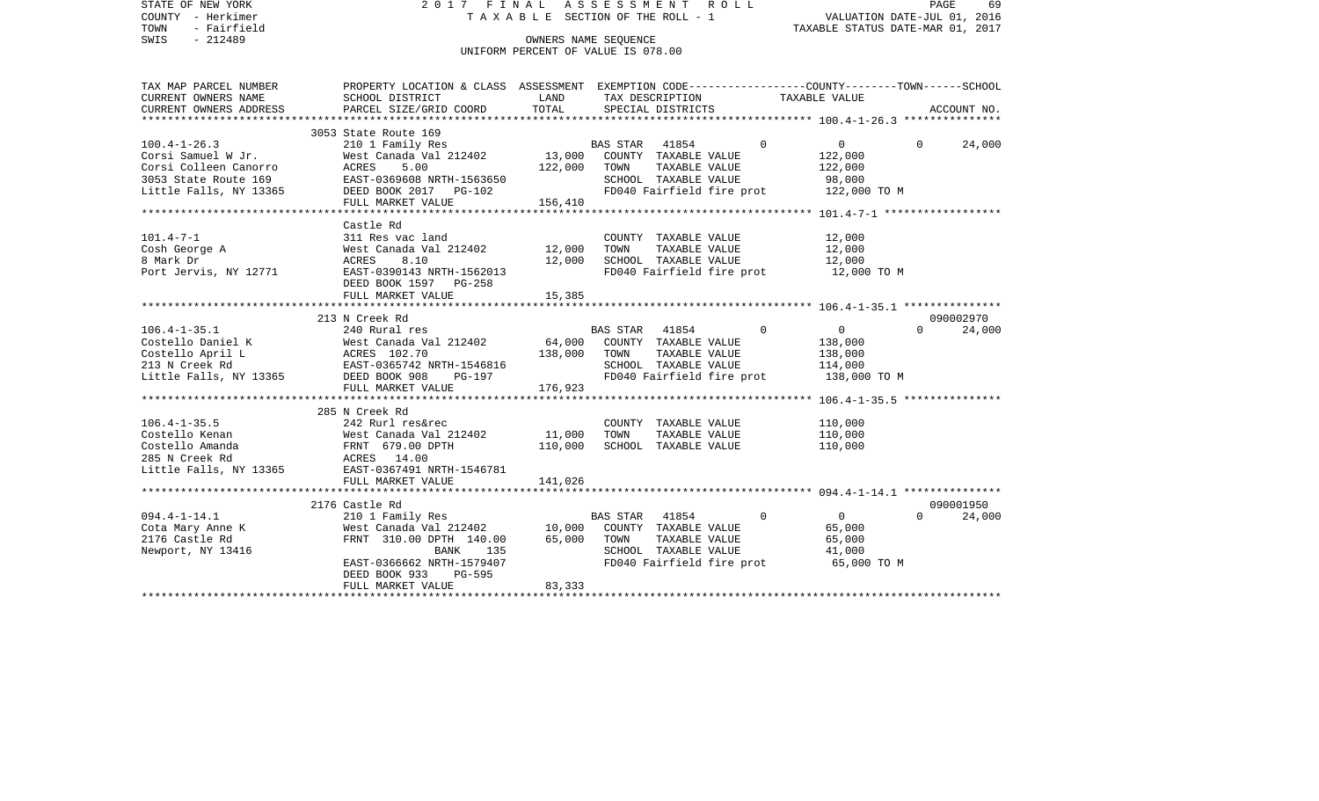| STATE OF NEW YORK<br>COUNTY - Herkimer<br>- Fairfield<br>TOWN<br>$-212489$<br>SWIS                                  | 2017 FINAL                                                                                                                                                                 |                              | ASSESSMENT<br>T A X A B L E SECTION OF THE ROLL - 1<br>OWNERS NAME SEQUENCE<br>UNIFORM PERCENT OF VALUE IS 078.00 | R O L L                      | VALUATION DATE-JUL 01, 2016<br>TAXABLE STATUS DATE-MAR 01, 2017 | PAGE     | 69                  |
|---------------------------------------------------------------------------------------------------------------------|----------------------------------------------------------------------------------------------------------------------------------------------------------------------------|------------------------------|-------------------------------------------------------------------------------------------------------------------|------------------------------|-----------------------------------------------------------------|----------|---------------------|
| TAX MAP PARCEL NUMBER<br>CURRENT OWNERS NAME<br>CURRENT OWNERS ADDRESS                                              | PROPERTY LOCATION & CLASS ASSESSMENT EXEMPTION CODE---------------COUNTY-------TOWN-----SCHOOL<br>SCHOOL DISTRICT<br>PARCEL SIZE/GRID COORD                                | LAND<br>TOTAL                | TAX DESCRIPTION<br>SPECIAL DISTRICTS                                                                              |                              | TAXABLE VALUE                                                   |          | ACCOUNT NO.         |
| ************************                                                                                            |                                                                                                                                                                            |                              |                                                                                                                   |                              |                                                                 |          |                     |
| $100.4 - 1 - 26.3$<br>Corsi Samuel W Jr.<br>Corsi Colleen Canorro<br>3053 State Route 169<br>Little Falls, NY 13365 | 3053 State Route 169<br>210 1 Family Res<br>West Canada Val 212402<br>ACRES<br>5.00<br>EAST-0369608 NRTH-1563650<br>DEED BOOK 2017 PG-102<br>FULL MARKET VALUE             | 13,000<br>122,000<br>156,410 | BAS STAR<br>41854<br>COUNTY TAXABLE VALUE<br>TOWN<br>SCHOOL TAXABLE VALUE<br>FD040 Fairfield fire prot            | $\Omega$<br>TAXABLE VALUE    | $\Omega$<br>122,000<br>122,000<br>98,000<br>122,000 TO M        | $\Omega$ | 24,000              |
|                                                                                                                     |                                                                                                                                                                            |                              |                                                                                                                   |                              |                                                                 |          |                     |
| $101.4 - 7 - 1$<br>Cosh George A<br>8 Mark Dr<br>Port Jervis, NY 12771                                              | Castle Rd<br>311 Res vac land<br>West Canada Val 212402<br>8.10<br>ACRES<br>EAST-0390143 NRTH-1562013<br>DEED BOOK 1597 PG-258                                             | 12,000<br>12,000             | COUNTY TAXABLE VALUE<br>TOWN<br>SCHOOL TAXABLE VALUE<br>FD040 Fairfield fire prot                                 | TAXABLE VALUE                | 12,000<br>12,000<br>12,000<br>12,000 TO M                       |          |                     |
|                                                                                                                     | FULL MARKET VALUE                                                                                                                                                          | 15,385                       |                                                                                                                   |                              |                                                                 |          |                     |
|                                                                                                                     |                                                                                                                                                                            |                              |                                                                                                                   |                              |                                                                 |          |                     |
| $106.4 - 1 - 35.1$<br>Costello Daniel K<br>Costello April L<br>213 N Creek Rd<br>Little Falls, NY 13365             | 213 N Creek Rd<br>240 Rural res<br>West Canada Val 212402<br>ACRES 102.70<br>EAST-0365742 NRTH-1546816<br>DEED BOOK 908<br>PG-197<br>FULL MARKET VALUE                     | 64,000<br>138,000<br>176,923 | <b>BAS STAR</b><br>41854<br>COUNTY TAXABLE VALUE<br>TOWN<br>SCHOOL TAXABLE VALUE<br>FD040 Fairfield fire prot     | $\Omega$<br>TAXABLE VALUE    | $\overline{0}$<br>138,000<br>138,000<br>114,000<br>138,000 TO M | $\Omega$ | 090002970<br>24,000 |
|                                                                                                                     | ***********************                                                                                                                                                    | ************                 |                                                                                                                   |                              |                                                                 |          |                     |
| $106.4 - 1 - 35.5$<br>Costello Kenan<br>Costello Amanda<br>285 N Creek Rd<br>Little Falls, NY 13365                 | 285 N Creek Rd<br>242 Rurl res&rec<br>West Canada Val 212402<br>FRNT 679.00 DPTH<br>ACRES 14.00<br>EAST-0367491 NRTH-1546781<br>FULL MARKET VALUE<br>********************* | 11,000<br>110,000<br>141,026 | COUNTY TAXABLE VALUE<br>TOWN<br>SCHOOL TAXABLE VALUE                                                              | TAXABLE VALUE                | 110,000<br>110,000<br>110,000                                   |          |                     |
|                                                                                                                     | 2176 Castle Rd                                                                                                                                                             |                              |                                                                                                                   |                              | *********************** 094.4-1-14.1 ***************            |          | 090001950           |
| $094.4 - 1 - 14.1$<br>Cota Mary Anne K<br>2176 Castle Rd<br>Newport, NY 13416                                       | 210 1 Family Res<br>West Canada Val 212402<br>FRNT 310.00 DPTH 140.00<br>BANK<br>135<br>EAST-0366662 NRTH-1579407<br>DEED BOOK 933<br>PG-595<br>FULL MARKET VALUE          | 10,000<br>65,000<br>83,333   | BAS STAR<br>41854<br>COUNTY TAXABLE VALUE<br>TOWN<br>SCHOOL TAXABLE VALUE<br>FD040 Fairfield fire prot            | $\mathbf 0$<br>TAXABLE VALUE | $\overline{0}$<br>65,000<br>65,000<br>41,000<br>65,000 TO M     | $\Omega$ | 24,000              |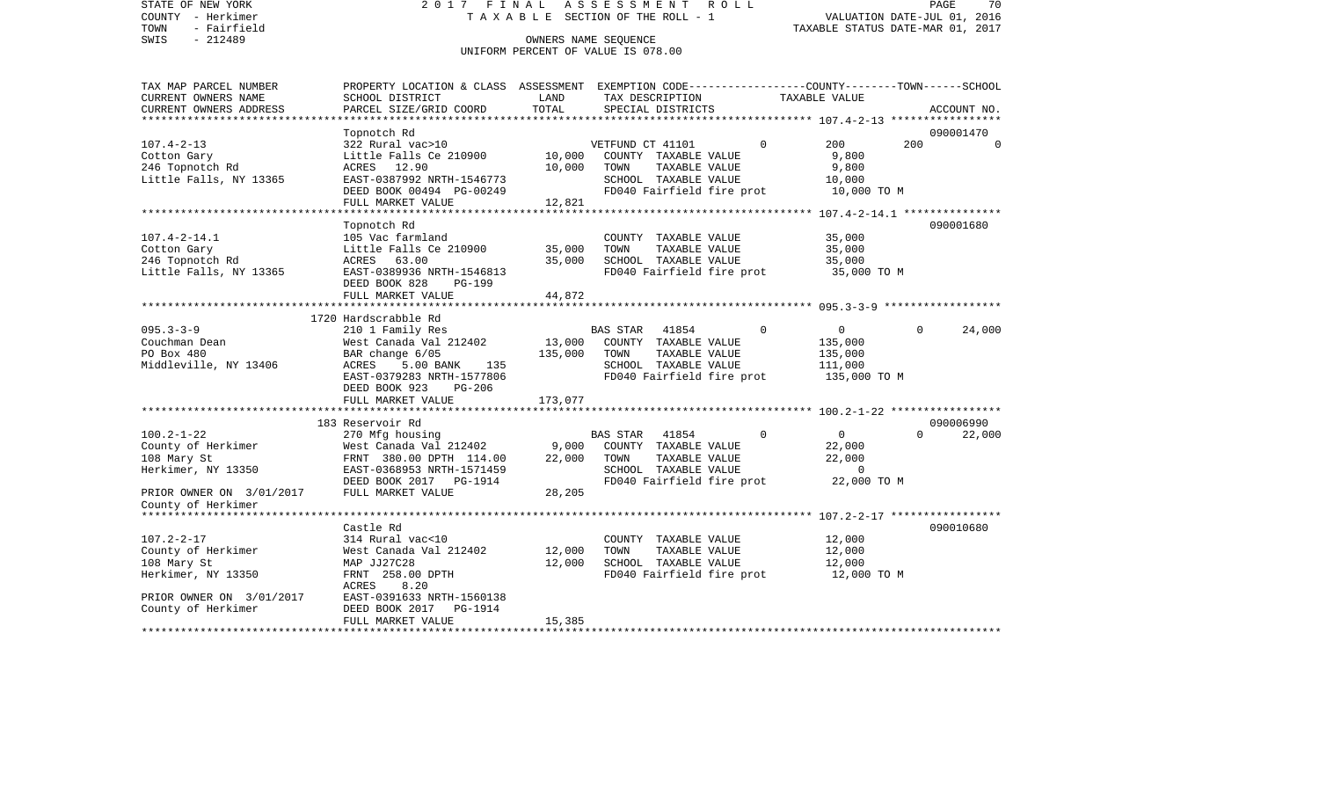STATE OF NEW YORK 2 0 1 7 F I N A L A S S E S S M E N T R O L L PAGE 70COUNTY - Herkimer T A X A B L E SECTION OF THE ROLL - 1 VALUATION DATE-JUL 01, 2016 TOWN - Fairfield TAXABLE STATUS DATE-MAR 01, 2017 SWIS - 212489 OWNERS NAME SEQUENCE UNIFORM PERCENT OF VALUE IS 078.00TAX MAP PARCEL NUMBER PROPERTY LOCATION & CLASS ASSESSMENT EXEMPTION CODE------------------COUNTY--------TOWN------SCHOOL CURRENT OWNERS NAME SCHOOL DISTRICT LAND TAX DESCRIPTION TAXABLE VALUECURRENT OWNERS ADDRESS PARCEL SIZE/GRID COORD TOTAL SPECIAL DISTRICTS ACCOUNT NO. \*\*\*\*\*\*\*\*\*\*\*\*\*\*\*\*\*\*\*\*\*\*\*\*\*\*\*\*\*\*\*\*\*\*\*\*\*\*\*\*\*\*\*\*\*\*\*\*\*\*\*\*\*\*\*\*\*\*\*\*\*\*\*\*\*\*\*\*\*\*\*\*\*\*\*\*\*\*\*\*\*\*\*\*\*\*\*\*\*\*\*\*\*\*\*\*\*\*\*\*\*\*\* 107.4-2-13 \*\*\*\*\*\*\*\*\*\*\*\*\*\*\*\*\* Topnotch Rd 090001470 107.4-2-13 322 Rural vac>10 VETFUND CT 41101 0 200 200 0Cotton Gary **Cotton Gary** 10,000 COUNTY TAXABLE VALUE 9,800 246 Topnotch Rd ACRES 12.90 10,000 TOWN TAXABLE VALUE 9,800 Little Falls, NY 13365 EAST-0387992 NRTH-1546773 SCHOOL TAXABLE VALUE 10,000 DEED BOOK 00494 PG-00249 **FDD40** FD040 Fairfield fire prot 10,000 TO M FULL MARKET VALUE 12,821 \*\*\*\*\*\*\*\*\*\*\*\*\*\*\*\*\*\*\*\*\*\*\*\*\*\*\*\*\*\*\*\*\*\*\*\*\*\*\*\*\*\*\*\*\*\*\*\*\*\*\*\*\*\*\*\*\*\*\*\*\*\*\*\*\*\*\*\*\*\*\*\*\*\*\*\*\*\*\*\*\*\*\*\*\*\*\*\*\*\*\*\*\*\*\*\*\*\*\*\*\*\*\* 107.4-2-14.1 \*\*\*\*\*\*\*\*\*\*\*\*\*\*\* Topnotch Rd 090001680 107.4-2-14.1 105 Vac farmland COUNTY TAXABLE VALUE 35,000 Cotton Gary Little Falls Ce 210900 35,000 TOWN TAXABLE VALUE 35,000 246 Topnotch Rd ACRES 63.00 35,000 SCHOOL TAXABLE VALUE 35,000 Little Falls, NY 13365 EAST-0389936 NRTH-1546813 FD040 Fairfield fire prot 35,000 TO M DEED BOOK 828 PG-199 FULL MARKET VALUE 44,872 \*\*\*\*\*\*\*\*\*\*\*\*\*\*\*\*\*\*\*\*\*\*\*\*\*\*\*\*\*\*\*\*\*\*\*\*\*\*\*\*\*\*\*\*\*\*\*\*\*\*\*\*\*\*\*\*\*\*\*\*\*\*\*\*\*\*\*\*\*\*\*\*\*\*\*\*\*\*\*\*\*\*\*\*\*\*\*\*\*\*\*\*\*\*\*\*\*\*\*\*\*\*\* 095.3-3-9 \*\*\*\*\*\*\*\*\*\*\*\*\*\*\*\*\*\* 1720 Hardscrabble Rd095.3-3-9 210 1 Family Res BAS STAR 41854 0 0 0 24,000 Couchman Dean West Canada Val 212402 13,000 COUNTY TAXABLE VALUE 135,000 PO Box 480 BAR change 6/05 135,000 TOWN TAXABLE VALUE 135,000 Middleville, NY 13406 ACRES 5.00 BANK 135 SCHOOL TAXABLE VALUE 111,000 EAST-0379283 NRTH-1577806 FD040 Fairfield fire prot 135,000 TO M DEED BOOK 923 PG-206 FULL MARKET VALUE 173,077 \*\*\*\*\*\*\*\*\*\*\*\*\*\*\*\*\*\*\*\*\*\*\*\*\*\*\*\*\*\*\*\*\*\*\*\*\*\*\*\*\*\*\*\*\*\*\*\*\*\*\*\*\*\*\*\*\*\*\*\*\*\*\*\*\*\*\*\*\*\*\*\*\*\*\*\*\*\*\*\*\*\*\*\*\*\*\*\*\*\*\*\*\*\*\*\*\*\*\*\*\*\*\* 100.2-1-22 \*\*\*\*\*\*\*\*\*\*\*\*\*\*\*\*\* 183 Reservoir Rd 090006990100.2-1-22 270 Mfg housing BAS STAR 41854 0 0 0 22,000 County of Herkimer West Canada Val 212402 9,000 COUNTY TAXABLE VALUE 22,000 108 Mary St FRNT 380.00 DPTH 114.00 22,000 TOWN TAXABLE VALUE 22,000 Herkimer, NY 13350 EAST-0368953 NRTH-1571459 SCHOOL TAXABLE VALUE 0 DEED BOOK 2017 PG-1914 FD040 Fairfield fire prot 22,000 TO M PRIOR OWNER ON 3/01/2017 FULL MARKET VALUE 28,205 County of Herkimer \*\*\*\*\*\*\*\*\*\*\*\*\*\*\*\*\*\*\*\*\*\*\*\*\*\*\*\*\*\*\*\*\*\*\*\*\*\*\*\*\*\*\*\*\*\*\*\*\*\*\*\*\*\*\*\*\*\*\*\*\*\*\*\*\*\*\*\*\*\*\*\*\*\*\*\*\*\*\*\*\*\*\*\*\*\*\*\*\*\*\*\*\*\*\*\*\*\*\*\*\*\*\* 107.2-2-17 \*\*\*\*\*\*\*\*\*\*\*\*\*\*\*\*\* Castle Rd 090010680107.2-2-17 314 Rural vac<10 COUNTY TAXABLE VALUE 12,000 County of Herkimer West Canada Val 212402 12,000 TOWN TAXABLE VALUE 12,000 108 Mary St MAP JJ27C28 12,000 SCHOOL TAXABLE VALUE 12,000 Herkimer, NY 13350 FRNT 258.00 DPTH FD040 Fairfield fire prot 12,000 TO M ACRES 8.20PRIOR OWNER ON 3/01/2017 EAST-0391633 NRTH-1560138 County of Herkimer DEED BOOK 2017 PG-1914 FULL MARKET VALUE 15,385 \*\*\*\*\*\*\*\*\*\*\*\*\*\*\*\*\*\*\*\*\*\*\*\*\*\*\*\*\*\*\*\*\*\*\*\*\*\*\*\*\*\*\*\*\*\*\*\*\*\*\*\*\*\*\*\*\*\*\*\*\*\*\*\*\*\*\*\*\*\*\*\*\*\*\*\*\*\*\*\*\*\*\*\*\*\*\*\*\*\*\*\*\*\*\*\*\*\*\*\*\*\*\*\*\*\*\*\*\*\*\*\*\*\*\*\*\*\*\*\*\*\*\*\*\*\*\*\*\*\*\*\*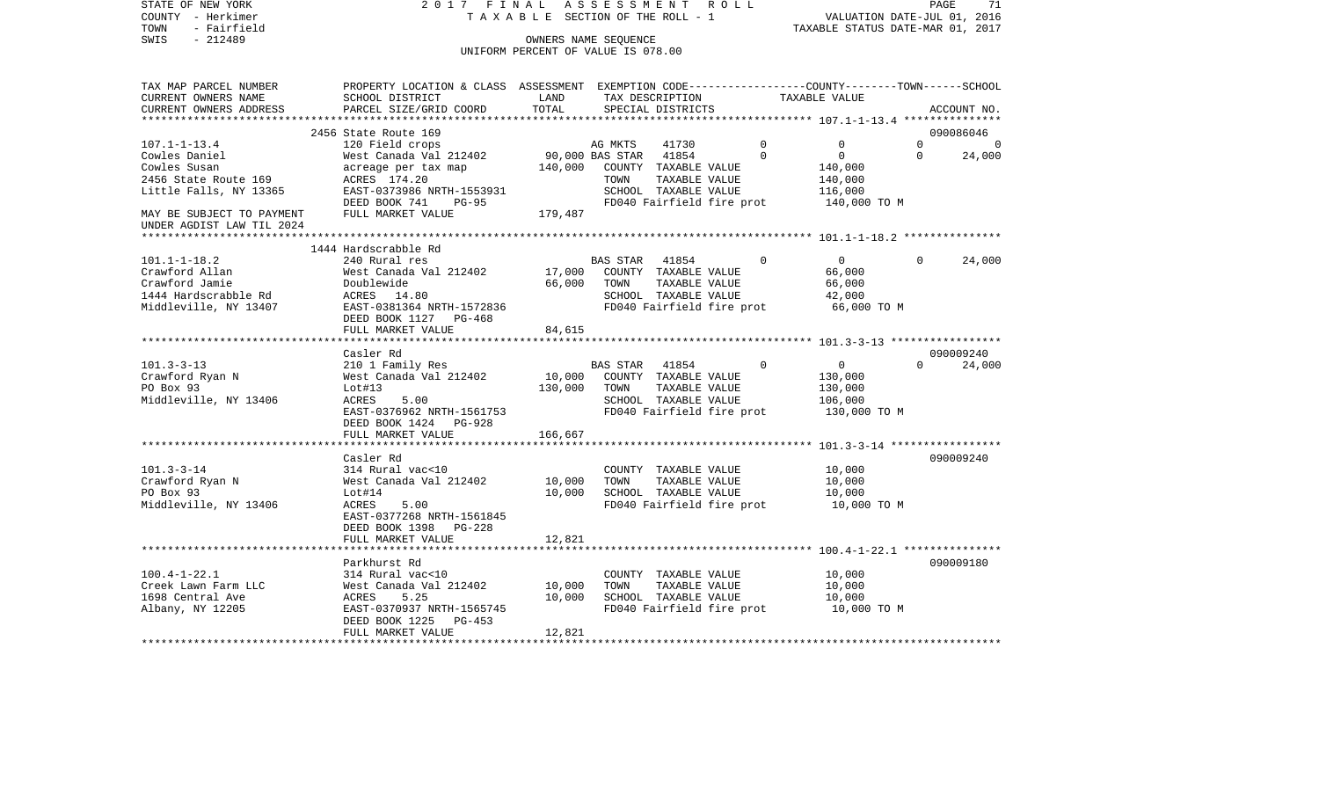| SWIS<br>$-212489$<br>OWNERS NAME SEOUENCE<br>UNIFORM PERCENT OF VALUE IS 078.00<br>PROPERTY LOCATION & CLASS ASSESSMENT EXEMPTION CODE---------------COUNTY-------TOWN------SCHOOL<br>SCHOOL DISTRICT<br>TAX DESCRIPTION<br>TAXABLE VALUE<br>LAND<br>TOTAL<br>PARCEL SIZE/GRID COORD<br>SPECIAL DISTRICTS<br>ACCOUNT NO.<br>2456 State Route 169<br>090086046<br>$107.1 - 1 - 13.4$<br>120 Field crops<br>$\Omega$<br>0<br>$\Omega$<br>AG MKTS<br>41730<br>$\Omega$<br>West Canada Val 212402<br>90,000 BAS STAR<br>41854<br>$\mathbf 0$<br>$\overline{0}$<br>$\mathbf 0$<br>24,000<br>Cowles Daniel<br>Cowles Susan<br>acreage per tax map<br>140,000<br>COUNTY TAXABLE VALUE<br>140,000<br>2456 State Route 169<br>ACRES 174.20<br>TAXABLE VALUE<br>TOWN<br>140,000<br>Little Falls, NY 13365<br>EAST-0373986 NRTH-1553931<br>SCHOOL TAXABLE VALUE<br>116,000<br>FD040 Fairfield fire prot<br>DEED BOOK 741<br>$PG-95$<br>140,000 TO M<br>FULL MARKET VALUE<br>179,487<br>MAY BE SUBJECT TO PAYMENT<br>UNDER AGDIST LAW TIL 2024<br>1444 Hardscrabble Rd<br>240 Rural res<br>$\overline{0}$<br>24,000<br><b>BAS STAR</b><br>41854<br>$\Omega$<br>$\Omega$<br>West Canada Val 212402<br>17,000<br>COUNTY TAXABLE VALUE<br>66,000<br>Doublewide<br>66,000<br>TOWN<br>TAXABLE VALUE<br>66,000<br>ACRES 14.80<br>SCHOOL TAXABLE VALUE<br>42,000<br>Middleville, NY 13407<br>EAST-0381364 NRTH-1572836<br>FD040 Fairfield fire prot<br>66,000 TO M<br>DEED BOOK 1127 PG-468<br>FULL MARKET VALUE<br>84,615<br>090009240<br>Casler Rd<br>$101.3 - 3 - 13$<br>$\overline{0}$<br>$\Omega$<br>24,000<br>210 1 Family Res<br>BAS STAR<br>41854<br>$\Omega$<br>Crawford Ryan N<br>West Canada Val 212402<br>10,000<br>COUNTY TAXABLE VALUE<br>130,000<br>PO Box 93<br>Lot#13<br>130,000<br>TOWN<br>TAXABLE VALUE<br>130,000<br>Middleville, NY 13406<br>SCHOOL TAXABLE VALUE<br>106,000<br>ACRES<br>5.00<br>EAST-0376962 NRTH-1561753<br>FD040 Fairfield fire prot<br>130,000 TO M<br>DEED BOOK 1424 PG-928<br>FULL MARKET VALUE<br>166,667<br>090009240<br>Casler Rd<br>$101.3 - 3 - 14$<br>314 Rural vac<10<br>10,000<br>COUNTY TAXABLE VALUE<br>10,000<br>Crawford Ryan N<br>West Canada Val 212402<br>TOWN<br>TAXABLE VALUE<br>10,000<br>PO Box 93<br>Lot#14<br>10,000<br>SCHOOL TAXABLE VALUE<br>10,000<br>Middleville, NY 13406<br>FD040 Fairfield fire prot<br>ACRES<br>5.00<br>10,000 TO M<br>EAST-0377268 NRTH-1561845<br>DEED BOOK 1398 PG-228<br>12,821<br>FULL MARKET VALUE<br>090009180<br>Parkhurst Rd<br>314 Rural vac<10<br>COUNTY TAXABLE VALUE<br>10,000<br>TOWN<br>TAXABLE VALUE<br>West Canada Val 212402<br>10,000<br>10,000<br>10,000<br>SCHOOL TAXABLE VALUE<br>ACRES<br>5.25<br>10,000<br>EAST-0370937 NRTH-1565745<br>FD040 Fairfield fire prot<br>10,000 TO M<br>DEED BOOK 1225<br>PG-453<br>12,821<br>FULL MARKET VALUE | COUNTY - Herkimer<br>- Fairfield<br>TOWN | T A X A B L E SECTION OF THE ROLL - 1 |  |  |  |  |  | VALUATION DATE-JUL 01, 2016<br>TAXABLE STATUS DATE-MAR 01, 2017 |  |  |  |
|-------------------------------------------------------------------------------------------------------------------------------------------------------------------------------------------------------------------------------------------------------------------------------------------------------------------------------------------------------------------------------------------------------------------------------------------------------------------------------------------------------------------------------------------------------------------------------------------------------------------------------------------------------------------------------------------------------------------------------------------------------------------------------------------------------------------------------------------------------------------------------------------------------------------------------------------------------------------------------------------------------------------------------------------------------------------------------------------------------------------------------------------------------------------------------------------------------------------------------------------------------------------------------------------------------------------------------------------------------------------------------------------------------------------------------------------------------------------------------------------------------------------------------------------------------------------------------------------------------------------------------------------------------------------------------------------------------------------------------------------------------------------------------------------------------------------------------------------------------------------------------------------------------------------------------------------------------------------------------------------------------------------------------------------------------------------------------------------------------------------------------------------------------------------------------------------------------------------------------------------------------------------------------------------------------------------------------------------------------------------------------------------------------------------------------------------------------------------------------------------------------------------------------------------------------------------------------------------------------------------------------------------------------------------------------------------------------------------------------------------------------------------------------------------------------------------------------------------|------------------------------------------|---------------------------------------|--|--|--|--|--|-----------------------------------------------------------------|--|--|--|
|                                                                                                                                                                                                                                                                                                                                                                                                                                                                                                                                                                                                                                                                                                                                                                                                                                                                                                                                                                                                                                                                                                                                                                                                                                                                                                                                                                                                                                                                                                                                                                                                                                                                                                                                                                                                                                                                                                                                                                                                                                                                                                                                                                                                                                                                                                                                                                                                                                                                                                                                                                                                                                                                                                                                                                                                                                           |                                          |                                       |  |  |  |  |  |                                                                 |  |  |  |
|                                                                                                                                                                                                                                                                                                                                                                                                                                                                                                                                                                                                                                                                                                                                                                                                                                                                                                                                                                                                                                                                                                                                                                                                                                                                                                                                                                                                                                                                                                                                                                                                                                                                                                                                                                                                                                                                                                                                                                                                                                                                                                                                                                                                                                                                                                                                                                                                                                                                                                                                                                                                                                                                                                                                                                                                                                           |                                          |                                       |  |  |  |  |  |                                                                 |  |  |  |
|                                                                                                                                                                                                                                                                                                                                                                                                                                                                                                                                                                                                                                                                                                                                                                                                                                                                                                                                                                                                                                                                                                                                                                                                                                                                                                                                                                                                                                                                                                                                                                                                                                                                                                                                                                                                                                                                                                                                                                                                                                                                                                                                                                                                                                                                                                                                                                                                                                                                                                                                                                                                                                                                                                                                                                                                                                           |                                          |                                       |  |  |  |  |  |                                                                 |  |  |  |
|                                                                                                                                                                                                                                                                                                                                                                                                                                                                                                                                                                                                                                                                                                                                                                                                                                                                                                                                                                                                                                                                                                                                                                                                                                                                                                                                                                                                                                                                                                                                                                                                                                                                                                                                                                                                                                                                                                                                                                                                                                                                                                                                                                                                                                                                                                                                                                                                                                                                                                                                                                                                                                                                                                                                                                                                                                           | TAX MAP PARCEL NUMBER                    |                                       |  |  |  |  |  |                                                                 |  |  |  |
|                                                                                                                                                                                                                                                                                                                                                                                                                                                                                                                                                                                                                                                                                                                                                                                                                                                                                                                                                                                                                                                                                                                                                                                                                                                                                                                                                                                                                                                                                                                                                                                                                                                                                                                                                                                                                                                                                                                                                                                                                                                                                                                                                                                                                                                                                                                                                                                                                                                                                                                                                                                                                                                                                                                                                                                                                                           | CURRENT OWNERS NAME                      |                                       |  |  |  |  |  |                                                                 |  |  |  |
|                                                                                                                                                                                                                                                                                                                                                                                                                                                                                                                                                                                                                                                                                                                                                                                                                                                                                                                                                                                                                                                                                                                                                                                                                                                                                                                                                                                                                                                                                                                                                                                                                                                                                                                                                                                                                                                                                                                                                                                                                                                                                                                                                                                                                                                                                                                                                                                                                                                                                                                                                                                                                                                                                                                                                                                                                                           | CURRENT OWNERS ADDRESS                   |                                       |  |  |  |  |  |                                                                 |  |  |  |
|                                                                                                                                                                                                                                                                                                                                                                                                                                                                                                                                                                                                                                                                                                                                                                                                                                                                                                                                                                                                                                                                                                                                                                                                                                                                                                                                                                                                                                                                                                                                                                                                                                                                                                                                                                                                                                                                                                                                                                                                                                                                                                                                                                                                                                                                                                                                                                                                                                                                                                                                                                                                                                                                                                                                                                                                                                           |                                          |                                       |  |  |  |  |  |                                                                 |  |  |  |
|                                                                                                                                                                                                                                                                                                                                                                                                                                                                                                                                                                                                                                                                                                                                                                                                                                                                                                                                                                                                                                                                                                                                                                                                                                                                                                                                                                                                                                                                                                                                                                                                                                                                                                                                                                                                                                                                                                                                                                                                                                                                                                                                                                                                                                                                                                                                                                                                                                                                                                                                                                                                                                                                                                                                                                                                                                           |                                          |                                       |  |  |  |  |  |                                                                 |  |  |  |
|                                                                                                                                                                                                                                                                                                                                                                                                                                                                                                                                                                                                                                                                                                                                                                                                                                                                                                                                                                                                                                                                                                                                                                                                                                                                                                                                                                                                                                                                                                                                                                                                                                                                                                                                                                                                                                                                                                                                                                                                                                                                                                                                                                                                                                                                                                                                                                                                                                                                                                                                                                                                                                                                                                                                                                                                                                           |                                          |                                       |  |  |  |  |  |                                                                 |  |  |  |
|                                                                                                                                                                                                                                                                                                                                                                                                                                                                                                                                                                                                                                                                                                                                                                                                                                                                                                                                                                                                                                                                                                                                                                                                                                                                                                                                                                                                                                                                                                                                                                                                                                                                                                                                                                                                                                                                                                                                                                                                                                                                                                                                                                                                                                                                                                                                                                                                                                                                                                                                                                                                                                                                                                                                                                                                                                           |                                          |                                       |  |  |  |  |  |                                                                 |  |  |  |
|                                                                                                                                                                                                                                                                                                                                                                                                                                                                                                                                                                                                                                                                                                                                                                                                                                                                                                                                                                                                                                                                                                                                                                                                                                                                                                                                                                                                                                                                                                                                                                                                                                                                                                                                                                                                                                                                                                                                                                                                                                                                                                                                                                                                                                                                                                                                                                                                                                                                                                                                                                                                                                                                                                                                                                                                                                           |                                          |                                       |  |  |  |  |  |                                                                 |  |  |  |
|                                                                                                                                                                                                                                                                                                                                                                                                                                                                                                                                                                                                                                                                                                                                                                                                                                                                                                                                                                                                                                                                                                                                                                                                                                                                                                                                                                                                                                                                                                                                                                                                                                                                                                                                                                                                                                                                                                                                                                                                                                                                                                                                                                                                                                                                                                                                                                                                                                                                                                                                                                                                                                                                                                                                                                                                                                           |                                          |                                       |  |  |  |  |  |                                                                 |  |  |  |
|                                                                                                                                                                                                                                                                                                                                                                                                                                                                                                                                                                                                                                                                                                                                                                                                                                                                                                                                                                                                                                                                                                                                                                                                                                                                                                                                                                                                                                                                                                                                                                                                                                                                                                                                                                                                                                                                                                                                                                                                                                                                                                                                                                                                                                                                                                                                                                                                                                                                                                                                                                                                                                                                                                                                                                                                                                           |                                          |                                       |  |  |  |  |  |                                                                 |  |  |  |
|                                                                                                                                                                                                                                                                                                                                                                                                                                                                                                                                                                                                                                                                                                                                                                                                                                                                                                                                                                                                                                                                                                                                                                                                                                                                                                                                                                                                                                                                                                                                                                                                                                                                                                                                                                                                                                                                                                                                                                                                                                                                                                                                                                                                                                                                                                                                                                                                                                                                                                                                                                                                                                                                                                                                                                                                                                           |                                          |                                       |  |  |  |  |  |                                                                 |  |  |  |
|                                                                                                                                                                                                                                                                                                                                                                                                                                                                                                                                                                                                                                                                                                                                                                                                                                                                                                                                                                                                                                                                                                                                                                                                                                                                                                                                                                                                                                                                                                                                                                                                                                                                                                                                                                                                                                                                                                                                                                                                                                                                                                                                                                                                                                                                                                                                                                                                                                                                                                                                                                                                                                                                                                                                                                                                                                           |                                          |                                       |  |  |  |  |  |                                                                 |  |  |  |
|                                                                                                                                                                                                                                                                                                                                                                                                                                                                                                                                                                                                                                                                                                                                                                                                                                                                                                                                                                                                                                                                                                                                                                                                                                                                                                                                                                                                                                                                                                                                                                                                                                                                                                                                                                                                                                                                                                                                                                                                                                                                                                                                                                                                                                                                                                                                                                                                                                                                                                                                                                                                                                                                                                                                                                                                                                           |                                          |                                       |  |  |  |  |  |                                                                 |  |  |  |
|                                                                                                                                                                                                                                                                                                                                                                                                                                                                                                                                                                                                                                                                                                                                                                                                                                                                                                                                                                                                                                                                                                                                                                                                                                                                                                                                                                                                                                                                                                                                                                                                                                                                                                                                                                                                                                                                                                                                                                                                                                                                                                                                                                                                                                                                                                                                                                                                                                                                                                                                                                                                                                                                                                                                                                                                                                           |                                          |                                       |  |  |  |  |  |                                                                 |  |  |  |
|                                                                                                                                                                                                                                                                                                                                                                                                                                                                                                                                                                                                                                                                                                                                                                                                                                                                                                                                                                                                                                                                                                                                                                                                                                                                                                                                                                                                                                                                                                                                                                                                                                                                                                                                                                                                                                                                                                                                                                                                                                                                                                                                                                                                                                                                                                                                                                                                                                                                                                                                                                                                                                                                                                                                                                                                                                           | $101.1 - 1 - 18.2$                       |                                       |  |  |  |  |  |                                                                 |  |  |  |
|                                                                                                                                                                                                                                                                                                                                                                                                                                                                                                                                                                                                                                                                                                                                                                                                                                                                                                                                                                                                                                                                                                                                                                                                                                                                                                                                                                                                                                                                                                                                                                                                                                                                                                                                                                                                                                                                                                                                                                                                                                                                                                                                                                                                                                                                                                                                                                                                                                                                                                                                                                                                                                                                                                                                                                                                                                           | Crawford Allan                           |                                       |  |  |  |  |  |                                                                 |  |  |  |
|                                                                                                                                                                                                                                                                                                                                                                                                                                                                                                                                                                                                                                                                                                                                                                                                                                                                                                                                                                                                                                                                                                                                                                                                                                                                                                                                                                                                                                                                                                                                                                                                                                                                                                                                                                                                                                                                                                                                                                                                                                                                                                                                                                                                                                                                                                                                                                                                                                                                                                                                                                                                                                                                                                                                                                                                                                           | Crawford Jamie                           |                                       |  |  |  |  |  |                                                                 |  |  |  |
|                                                                                                                                                                                                                                                                                                                                                                                                                                                                                                                                                                                                                                                                                                                                                                                                                                                                                                                                                                                                                                                                                                                                                                                                                                                                                                                                                                                                                                                                                                                                                                                                                                                                                                                                                                                                                                                                                                                                                                                                                                                                                                                                                                                                                                                                                                                                                                                                                                                                                                                                                                                                                                                                                                                                                                                                                                           | 1444 Hardscrabble Rd                     |                                       |  |  |  |  |  |                                                                 |  |  |  |
|                                                                                                                                                                                                                                                                                                                                                                                                                                                                                                                                                                                                                                                                                                                                                                                                                                                                                                                                                                                                                                                                                                                                                                                                                                                                                                                                                                                                                                                                                                                                                                                                                                                                                                                                                                                                                                                                                                                                                                                                                                                                                                                                                                                                                                                                                                                                                                                                                                                                                                                                                                                                                                                                                                                                                                                                                                           |                                          |                                       |  |  |  |  |  |                                                                 |  |  |  |
|                                                                                                                                                                                                                                                                                                                                                                                                                                                                                                                                                                                                                                                                                                                                                                                                                                                                                                                                                                                                                                                                                                                                                                                                                                                                                                                                                                                                                                                                                                                                                                                                                                                                                                                                                                                                                                                                                                                                                                                                                                                                                                                                                                                                                                                                                                                                                                                                                                                                                                                                                                                                                                                                                                                                                                                                                                           |                                          |                                       |  |  |  |  |  |                                                                 |  |  |  |
|                                                                                                                                                                                                                                                                                                                                                                                                                                                                                                                                                                                                                                                                                                                                                                                                                                                                                                                                                                                                                                                                                                                                                                                                                                                                                                                                                                                                                                                                                                                                                                                                                                                                                                                                                                                                                                                                                                                                                                                                                                                                                                                                                                                                                                                                                                                                                                                                                                                                                                                                                                                                                                                                                                                                                                                                                                           |                                          |                                       |  |  |  |  |  |                                                                 |  |  |  |
|                                                                                                                                                                                                                                                                                                                                                                                                                                                                                                                                                                                                                                                                                                                                                                                                                                                                                                                                                                                                                                                                                                                                                                                                                                                                                                                                                                                                                                                                                                                                                                                                                                                                                                                                                                                                                                                                                                                                                                                                                                                                                                                                                                                                                                                                                                                                                                                                                                                                                                                                                                                                                                                                                                                                                                                                                                           |                                          |                                       |  |  |  |  |  |                                                                 |  |  |  |
|                                                                                                                                                                                                                                                                                                                                                                                                                                                                                                                                                                                                                                                                                                                                                                                                                                                                                                                                                                                                                                                                                                                                                                                                                                                                                                                                                                                                                                                                                                                                                                                                                                                                                                                                                                                                                                                                                                                                                                                                                                                                                                                                                                                                                                                                                                                                                                                                                                                                                                                                                                                                                                                                                                                                                                                                                                           |                                          |                                       |  |  |  |  |  |                                                                 |  |  |  |
|                                                                                                                                                                                                                                                                                                                                                                                                                                                                                                                                                                                                                                                                                                                                                                                                                                                                                                                                                                                                                                                                                                                                                                                                                                                                                                                                                                                                                                                                                                                                                                                                                                                                                                                                                                                                                                                                                                                                                                                                                                                                                                                                                                                                                                                                                                                                                                                                                                                                                                                                                                                                                                                                                                                                                                                                                                           |                                          |                                       |  |  |  |  |  |                                                                 |  |  |  |
|                                                                                                                                                                                                                                                                                                                                                                                                                                                                                                                                                                                                                                                                                                                                                                                                                                                                                                                                                                                                                                                                                                                                                                                                                                                                                                                                                                                                                                                                                                                                                                                                                                                                                                                                                                                                                                                                                                                                                                                                                                                                                                                                                                                                                                                                                                                                                                                                                                                                                                                                                                                                                                                                                                                                                                                                                                           |                                          |                                       |  |  |  |  |  |                                                                 |  |  |  |
|                                                                                                                                                                                                                                                                                                                                                                                                                                                                                                                                                                                                                                                                                                                                                                                                                                                                                                                                                                                                                                                                                                                                                                                                                                                                                                                                                                                                                                                                                                                                                                                                                                                                                                                                                                                                                                                                                                                                                                                                                                                                                                                                                                                                                                                                                                                                                                                                                                                                                                                                                                                                                                                                                                                                                                                                                                           |                                          |                                       |  |  |  |  |  |                                                                 |  |  |  |
|                                                                                                                                                                                                                                                                                                                                                                                                                                                                                                                                                                                                                                                                                                                                                                                                                                                                                                                                                                                                                                                                                                                                                                                                                                                                                                                                                                                                                                                                                                                                                                                                                                                                                                                                                                                                                                                                                                                                                                                                                                                                                                                                                                                                                                                                                                                                                                                                                                                                                                                                                                                                                                                                                                                                                                                                                                           |                                          |                                       |  |  |  |  |  |                                                                 |  |  |  |
|                                                                                                                                                                                                                                                                                                                                                                                                                                                                                                                                                                                                                                                                                                                                                                                                                                                                                                                                                                                                                                                                                                                                                                                                                                                                                                                                                                                                                                                                                                                                                                                                                                                                                                                                                                                                                                                                                                                                                                                                                                                                                                                                                                                                                                                                                                                                                                                                                                                                                                                                                                                                                                                                                                                                                                                                                                           |                                          |                                       |  |  |  |  |  |                                                                 |  |  |  |
|                                                                                                                                                                                                                                                                                                                                                                                                                                                                                                                                                                                                                                                                                                                                                                                                                                                                                                                                                                                                                                                                                                                                                                                                                                                                                                                                                                                                                                                                                                                                                                                                                                                                                                                                                                                                                                                                                                                                                                                                                                                                                                                                                                                                                                                                                                                                                                                                                                                                                                                                                                                                                                                                                                                                                                                                                                           |                                          |                                       |  |  |  |  |  |                                                                 |  |  |  |
|                                                                                                                                                                                                                                                                                                                                                                                                                                                                                                                                                                                                                                                                                                                                                                                                                                                                                                                                                                                                                                                                                                                                                                                                                                                                                                                                                                                                                                                                                                                                                                                                                                                                                                                                                                                                                                                                                                                                                                                                                                                                                                                                                                                                                                                                                                                                                                                                                                                                                                                                                                                                                                                                                                                                                                                                                                           |                                          |                                       |  |  |  |  |  |                                                                 |  |  |  |
|                                                                                                                                                                                                                                                                                                                                                                                                                                                                                                                                                                                                                                                                                                                                                                                                                                                                                                                                                                                                                                                                                                                                                                                                                                                                                                                                                                                                                                                                                                                                                                                                                                                                                                                                                                                                                                                                                                                                                                                                                                                                                                                                                                                                                                                                                                                                                                                                                                                                                                                                                                                                                                                                                                                                                                                                                                           |                                          |                                       |  |  |  |  |  |                                                                 |  |  |  |
|                                                                                                                                                                                                                                                                                                                                                                                                                                                                                                                                                                                                                                                                                                                                                                                                                                                                                                                                                                                                                                                                                                                                                                                                                                                                                                                                                                                                                                                                                                                                                                                                                                                                                                                                                                                                                                                                                                                                                                                                                                                                                                                                                                                                                                                                                                                                                                                                                                                                                                                                                                                                                                                                                                                                                                                                                                           |                                          |                                       |  |  |  |  |  |                                                                 |  |  |  |
|                                                                                                                                                                                                                                                                                                                                                                                                                                                                                                                                                                                                                                                                                                                                                                                                                                                                                                                                                                                                                                                                                                                                                                                                                                                                                                                                                                                                                                                                                                                                                                                                                                                                                                                                                                                                                                                                                                                                                                                                                                                                                                                                                                                                                                                                                                                                                                                                                                                                                                                                                                                                                                                                                                                                                                                                                                           |                                          |                                       |  |  |  |  |  |                                                                 |  |  |  |
|                                                                                                                                                                                                                                                                                                                                                                                                                                                                                                                                                                                                                                                                                                                                                                                                                                                                                                                                                                                                                                                                                                                                                                                                                                                                                                                                                                                                                                                                                                                                                                                                                                                                                                                                                                                                                                                                                                                                                                                                                                                                                                                                                                                                                                                                                                                                                                                                                                                                                                                                                                                                                                                                                                                                                                                                                                           |                                          |                                       |  |  |  |  |  |                                                                 |  |  |  |
|                                                                                                                                                                                                                                                                                                                                                                                                                                                                                                                                                                                                                                                                                                                                                                                                                                                                                                                                                                                                                                                                                                                                                                                                                                                                                                                                                                                                                                                                                                                                                                                                                                                                                                                                                                                                                                                                                                                                                                                                                                                                                                                                                                                                                                                                                                                                                                                                                                                                                                                                                                                                                                                                                                                                                                                                                                           |                                          |                                       |  |  |  |  |  |                                                                 |  |  |  |
|                                                                                                                                                                                                                                                                                                                                                                                                                                                                                                                                                                                                                                                                                                                                                                                                                                                                                                                                                                                                                                                                                                                                                                                                                                                                                                                                                                                                                                                                                                                                                                                                                                                                                                                                                                                                                                                                                                                                                                                                                                                                                                                                                                                                                                                                                                                                                                                                                                                                                                                                                                                                                                                                                                                                                                                                                                           |                                          |                                       |  |  |  |  |  |                                                                 |  |  |  |
|                                                                                                                                                                                                                                                                                                                                                                                                                                                                                                                                                                                                                                                                                                                                                                                                                                                                                                                                                                                                                                                                                                                                                                                                                                                                                                                                                                                                                                                                                                                                                                                                                                                                                                                                                                                                                                                                                                                                                                                                                                                                                                                                                                                                                                                                                                                                                                                                                                                                                                                                                                                                                                                                                                                                                                                                                                           |                                          |                                       |  |  |  |  |  |                                                                 |  |  |  |
|                                                                                                                                                                                                                                                                                                                                                                                                                                                                                                                                                                                                                                                                                                                                                                                                                                                                                                                                                                                                                                                                                                                                                                                                                                                                                                                                                                                                                                                                                                                                                                                                                                                                                                                                                                                                                                                                                                                                                                                                                                                                                                                                                                                                                                                                                                                                                                                                                                                                                                                                                                                                                                                                                                                                                                                                                                           |                                          |                                       |  |  |  |  |  |                                                                 |  |  |  |
|                                                                                                                                                                                                                                                                                                                                                                                                                                                                                                                                                                                                                                                                                                                                                                                                                                                                                                                                                                                                                                                                                                                                                                                                                                                                                                                                                                                                                                                                                                                                                                                                                                                                                                                                                                                                                                                                                                                                                                                                                                                                                                                                                                                                                                                                                                                                                                                                                                                                                                                                                                                                                                                                                                                                                                                                                                           |                                          |                                       |  |  |  |  |  |                                                                 |  |  |  |
|                                                                                                                                                                                                                                                                                                                                                                                                                                                                                                                                                                                                                                                                                                                                                                                                                                                                                                                                                                                                                                                                                                                                                                                                                                                                                                                                                                                                                                                                                                                                                                                                                                                                                                                                                                                                                                                                                                                                                                                                                                                                                                                                                                                                                                                                                                                                                                                                                                                                                                                                                                                                                                                                                                                                                                                                                                           | $100.4 - 1 - 22.1$                       |                                       |  |  |  |  |  |                                                                 |  |  |  |
|                                                                                                                                                                                                                                                                                                                                                                                                                                                                                                                                                                                                                                                                                                                                                                                                                                                                                                                                                                                                                                                                                                                                                                                                                                                                                                                                                                                                                                                                                                                                                                                                                                                                                                                                                                                                                                                                                                                                                                                                                                                                                                                                                                                                                                                                                                                                                                                                                                                                                                                                                                                                                                                                                                                                                                                                                                           | Creek Lawn Farm LLC                      |                                       |  |  |  |  |  |                                                                 |  |  |  |
|                                                                                                                                                                                                                                                                                                                                                                                                                                                                                                                                                                                                                                                                                                                                                                                                                                                                                                                                                                                                                                                                                                                                                                                                                                                                                                                                                                                                                                                                                                                                                                                                                                                                                                                                                                                                                                                                                                                                                                                                                                                                                                                                                                                                                                                                                                                                                                                                                                                                                                                                                                                                                                                                                                                                                                                                                                           | 1698 Central Ave                         |                                       |  |  |  |  |  |                                                                 |  |  |  |
|                                                                                                                                                                                                                                                                                                                                                                                                                                                                                                                                                                                                                                                                                                                                                                                                                                                                                                                                                                                                                                                                                                                                                                                                                                                                                                                                                                                                                                                                                                                                                                                                                                                                                                                                                                                                                                                                                                                                                                                                                                                                                                                                                                                                                                                                                                                                                                                                                                                                                                                                                                                                                                                                                                                                                                                                                                           | Albany, NY 12205                         |                                       |  |  |  |  |  |                                                                 |  |  |  |
|                                                                                                                                                                                                                                                                                                                                                                                                                                                                                                                                                                                                                                                                                                                                                                                                                                                                                                                                                                                                                                                                                                                                                                                                                                                                                                                                                                                                                                                                                                                                                                                                                                                                                                                                                                                                                                                                                                                                                                                                                                                                                                                                                                                                                                                                                                                                                                                                                                                                                                                                                                                                                                                                                                                                                                                                                                           |                                          |                                       |  |  |  |  |  |                                                                 |  |  |  |
|                                                                                                                                                                                                                                                                                                                                                                                                                                                                                                                                                                                                                                                                                                                                                                                                                                                                                                                                                                                                                                                                                                                                                                                                                                                                                                                                                                                                                                                                                                                                                                                                                                                                                                                                                                                                                                                                                                                                                                                                                                                                                                                                                                                                                                                                                                                                                                                                                                                                                                                                                                                                                                                                                                                                                                                                                                           |                                          |                                       |  |  |  |  |  |                                                                 |  |  |  |

PAGE 71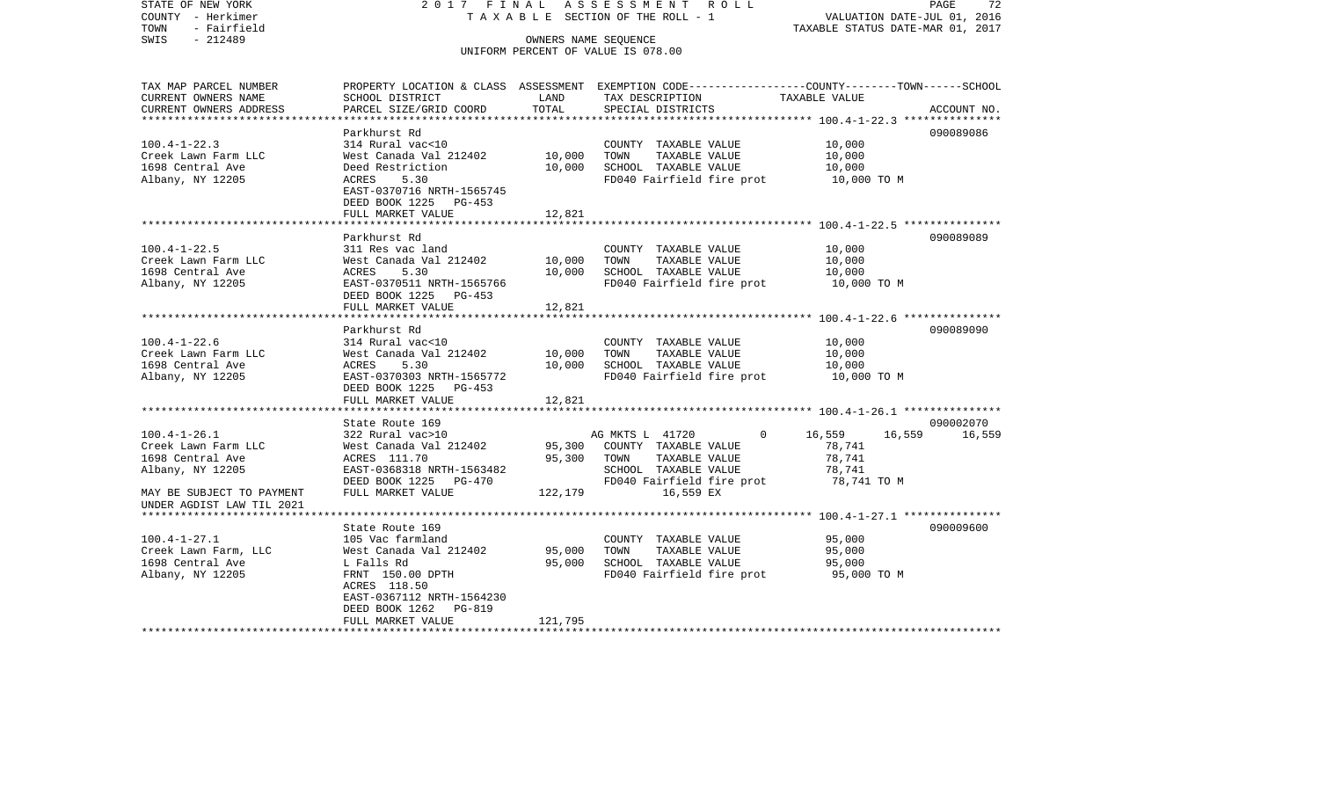STATE OF NEW YORK 2 0 1 7 F I N A L A S S E S S M E N T R O L L PAGE 72COUNTY - Herkimer T A X A B L E SECTION OF THE ROLL - 1 VALUATION DATE-JUL 01, 2016 TOWN - Fairfield TAXABLE STATUS DATE-MAR 01, 2017 SWIS - 212489 OWNERS NAME SEQUENCE UNIFORM PERCENT OF VALUE IS 078.00TAX MAP PARCEL NUMBER PROPERTY LOCATION & CLASS ASSESSMENT EXEMPTION CODE------------------COUNTY--------TOWN------SCHOOL CURRENT OWNERS NAME SCHOOL DISTRICT LAND TAX DESCRIPTION TAXABLE VALUECURRENT OWNERS ADDRESS PARCEL SIZE/GRID COORD TOTAL SPECIAL DISTRICTS ACCOUNT NO. \*\*\*\*\*\*\*\*\*\*\*\*\*\*\*\*\*\*\*\*\*\*\*\*\*\*\*\*\*\*\*\*\*\*\*\*\*\*\*\*\*\*\*\*\*\*\*\*\*\*\*\*\*\*\*\*\*\*\*\*\*\*\*\*\*\*\*\*\*\*\*\*\*\*\*\*\*\*\*\*\*\*\*\*\*\*\*\*\*\*\*\*\*\*\*\*\*\*\*\*\*\*\* 100.4-1-22.3 \*\*\*\*\*\*\*\*\*\*\*\*\*\*\*Parkhurst Rd 090089086 100.4-1-22.3 314 Rural vac<10 COUNTY TAXABLE VALUE 10,000 Creek Lawn Farm LLC West Canada Val 212402 10,000 TOWN TAXABLE VALUE 10,000 1698 Central Ave Deed Restriction 10,000 SCHOOL TAXABLE VALUE 10,000 Albany, NY 12205 ACRES 5.30 FD040 Fairfield fire prot 10,000 TO M EAST-0370716 NRTH-1565745 DEED BOOK 1225 PG-453FULL MARKET VALUE 12,821 \*\*\*\*\*\*\*\*\*\*\*\*\*\*\*\*\*\*\*\*\*\*\*\*\*\*\*\*\*\*\*\*\*\*\*\*\*\*\*\*\*\*\*\*\*\*\*\*\*\*\*\*\*\*\*\*\*\*\*\*\*\*\*\*\*\*\*\*\*\*\*\*\*\*\*\*\*\*\*\*\*\*\*\*\*\*\*\*\*\*\*\*\*\*\*\*\*\*\*\*\*\*\* 100.4-1-22.5 \*\*\*\*\*\*\*\*\*\*\*\*\*\*\* Parkhurst Rd 090089089100.4-1-22.5 311 Res vac land COUNTY TAXABLE VALUE 10,000 Creek Lawn Farm LLC West Canada Val 212402 10,000 TOWN TAXABLE VALUE 10,000 1698 Central Ave ACRES 5.30 10,000 SCHOOL TAXABLE VALUE 10,000 Albany, NY 12205 EAST-0370511 NRTH-1565766 FD040 Fairfield fire prot 10,000 TO M DEED BOOK 1225 PG-453 FULL MARKET VALUE 12,821 \*\*\*\*\*\*\*\*\*\*\*\*\*\*\*\*\*\*\*\*\*\*\*\*\*\*\*\*\*\*\*\*\*\*\*\*\*\*\*\*\*\*\*\*\*\*\*\*\*\*\*\*\*\*\*\*\*\*\*\*\*\*\*\*\*\*\*\*\*\*\*\*\*\*\*\*\*\*\*\*\*\*\*\*\*\*\*\*\*\*\*\*\*\*\*\*\*\*\*\*\*\*\* 100.4-1-22.6 \*\*\*\*\*\*\*\*\*\*\*\*\*\*\* Parkhurst Rd 090089090100.4-1-22.6 314 Rural vac<10 COUNTY TAXABLE VALUE 10,000 Creek Lawn Farm LLC West Canada Val 212402 10,000 TOWN TAXABLE VALUE 10,000 1698 Central Ave ACRES 5.30 10,000 SCHOOL TAXABLE VALUE 10,000 Albany, NY 12205 EAST-0370303 NRTH-1565772 FD040 Fairfield fire prot 10,000 TO M DEED BOOK 1225 PG-453 FULL MARKET VALUE 12,821 \*\*\*\*\*\*\*\*\*\*\*\*\*\*\*\*\*\*\*\*\*\*\*\*\*\*\*\*\*\*\*\*\*\*\*\*\*\*\*\*\*\*\*\*\*\*\*\*\*\*\*\*\*\*\*\*\*\*\*\*\*\*\*\*\*\*\*\*\*\*\*\*\*\*\*\*\*\*\*\*\*\*\*\*\*\*\*\*\*\*\*\*\*\*\*\*\*\*\*\*\*\*\* 100.4-1-26.1 \*\*\*\*\*\*\*\*\*\*\*\*\*\*\*State Route 169 090002070 100.4-1-26.1 322 Rural vac>10 AG MKTS L 41720 0 16,559 16,559 16,559 Creek Lawn Farm LLC West Canada Val 212402 95,300 COUNTY TAXABLE VALUE 78,741 1698 Central Ave ACRES 111.70 95,300 TOWN TAXABLE VALUE 78,741 Albany, NY 12205 EAST-0368318 NRTH-1563482 SCHOOL TAXABLE VALUE 78,741 DEED BOOK 1225 PG-470 FD040 Fairfield fire prot 78,741 TO M MAY BE SUBJECT TO PAYMENT FULL MARKET VALUE 122,179 16,559 EX UNDER AGDIST LAW TIL 2021 \*\*\*\*\*\*\*\*\*\*\*\*\*\*\*\*\*\*\*\*\*\*\*\*\*\*\*\*\*\*\*\*\*\*\*\*\*\*\*\*\*\*\*\*\*\*\*\*\*\*\*\*\*\*\*\*\*\*\*\*\*\*\*\*\*\*\*\*\*\*\*\*\*\*\*\*\*\*\*\*\*\*\*\*\*\*\*\*\*\*\*\*\*\*\*\*\*\*\*\*\*\*\* 100.4-1-27.1 \*\*\*\*\*\*\*\*\*\*\*\*\*\*\* State Route 169 090009600100.4-1-27.1 105 Vac farmland COUNTY TAXABLE VALUE 95,000 Creek Lawn Farm, LLC West Canada Val 212402 95,000 TOWN TAXABLE VALUE 95,000 1698 Central Ave L Falls Rd 95,000 SCHOOL TAXABLE VALUE 95,000 Albany, NY 12205 FRNT 150.00 DPTH FD040 Fairfield fire prot 95,000 TO M ACRES 118.50 EAST-0367112 NRTH-1564230 DEED BOOK 1262 PG-819 FULL MARKET VALUE 121,795 \*\*\*\*\*\*\*\*\*\*\*\*\*\*\*\*\*\*\*\*\*\*\*\*\*\*\*\*\*\*\*\*\*\*\*\*\*\*\*\*\*\*\*\*\*\*\*\*\*\*\*\*\*\*\*\*\*\*\*\*\*\*\*\*\*\*\*\*\*\*\*\*\*\*\*\*\*\*\*\*\*\*\*\*\*\*\*\*\*\*\*\*\*\*\*\*\*\*\*\*\*\*\*\*\*\*\*\*\*\*\*\*\*\*\*\*\*\*\*\*\*\*\*\*\*\*\*\*\*\*\*\*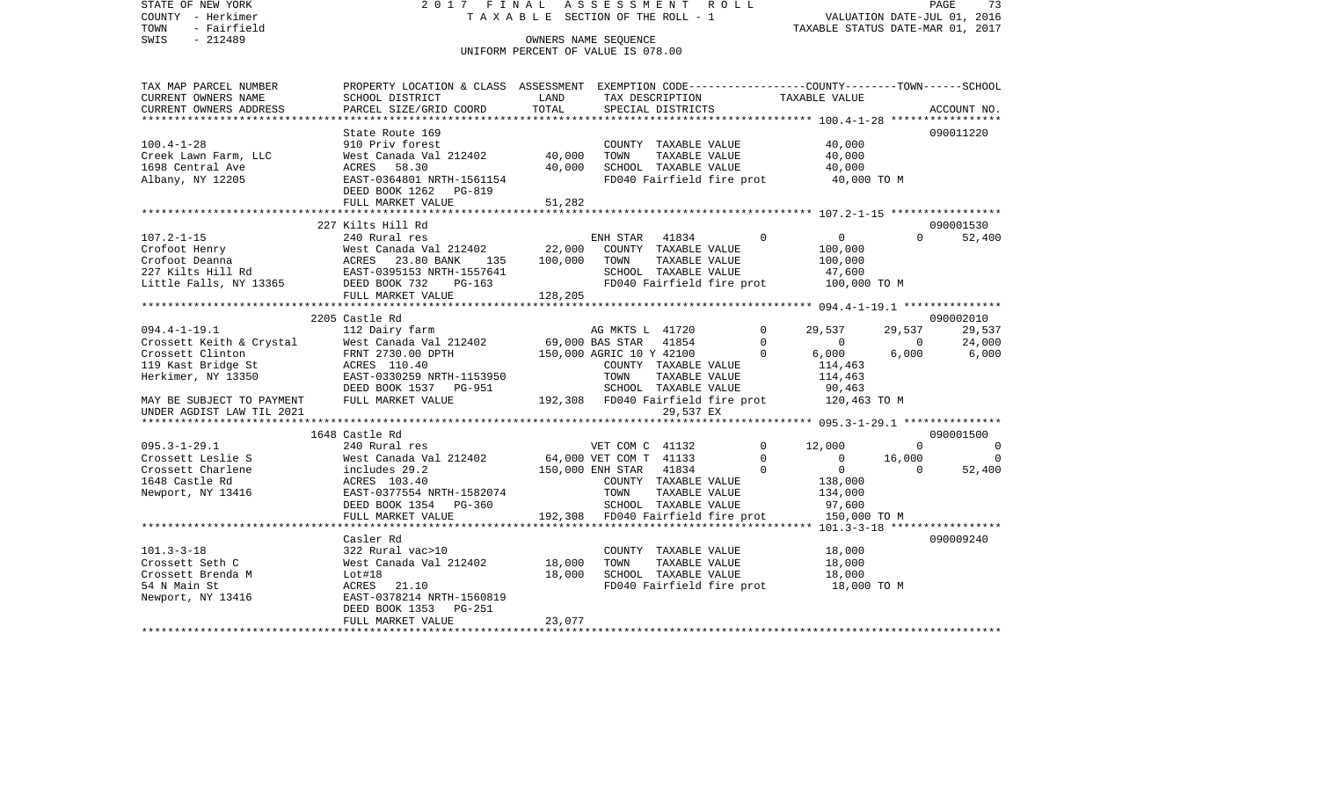STATE OF NEW YORK 2 0 1 7 F I N A L A S S E S S M E N T R O L L PAGE 73COUNTY - Herkimer **T A X A B L E** SECTION OF THE ROLL - 1 VALUATION DATE-JUL 01, 2016 TOWN - Fairfield TAXABLE STATUS DATE-MAR 01, 2017 SWIS - 212489 CONNERS NAME SEQUENCE UNIFORM PERCENT OF VALUE IS 078.00TAX MAP PARCEL NUMBER PROPERTY LOCATION & CLASS ASSESSMENT EXEMPTION CODE------------------COUNTY--------TOWN------SCHOOL CURRENT OWNERS NAME SCHOOL DISTRICT LAND TAX DESCRIPTION TAXABLE VALUECURRENT OWNERS ADDRESS PARCEL SIZE/GRID COORD TOTAL SPECIAL DISTRICTS ACCOUNT NO. \*\*\*\*\*\*\*\*\*\*\*\*\*\*\*\*\*\*\*\*\*\*\*\*\*\*\*\*\*\*\*\*\*\*\*\*\*\*\*\*\*\*\*\*\*\*\*\*\*\*\*\*\*\*\*\*\*\*\*\*\*\*\*\*\*\*\*\*\*\*\*\*\*\*\*\*\*\*\*\*\*\*\*\*\*\*\*\*\*\*\*\*\*\*\*\*\*\*\*\*\*\*\* 100.4-1-28 \*\*\*\*\*\*\*\*\*\*\*\*\*\*\*\*\*State Route 169 090011220 100.4-1-28 910 Priv forest COUNTY TAXABLE VALUE 40,000 Creek Lawn Farm, LLC West Canada Val 212402 40,000 TOWN TAXABLE VALUE 40,000 1698 Central Ave ACRES 58.30 40,000 SCHOOL TAXABLE VALUE 40,000 Albany, NY 12205 EAST-0364801 NRTH-1561154 FD040 Fairfield fire prot 40,000 TO M DEED BOOK 1262 PG-819FULL MARKET VALUE 51,282 \*\*\*\*\*\*\*\*\*\*\*\*\*\*\*\*\*\*\*\*\*\*\*\*\*\*\*\*\*\*\*\*\*\*\*\*\*\*\*\*\*\*\*\*\*\*\*\*\*\*\*\*\*\*\*\*\*\*\*\*\*\*\*\*\*\*\*\*\*\*\*\*\*\*\*\*\*\*\*\*\*\*\*\*\*\*\*\*\*\*\*\*\*\*\*\*\*\*\*\*\*\*\* 107.2-1-15 \*\*\*\*\*\*\*\*\*\*\*\*\*\*\*\*\* 227 Kilts Hill Rd 090001530107.2-1-15 240 Rural res ENH STAR 41834 0 0 0 52,400 Crofoot Henry West Canada Val 212402 22,000 COUNTY TAXABLE VALUE 100,000 Crofoot Deanna ACRES 23.80 BANK 135 100,000 TOWN TAXABLE VALUE 100,000 227 Kilts Hill Rd EAST-0395153 NRTH-1557641 SCHOOL TAXABLE VALUE 47,600 Little Falls, NY 13365 DEED BOOK 732 PG-163 FD040 Fairfield fire prot 100,000 TO M FULL MARKET VALUE 128,205 \*\*\*\*\*\*\*\*\*\*\*\*\*\*\*\*\*\*\*\*\*\*\*\*\*\*\*\*\*\*\*\*\*\*\*\*\*\*\*\*\*\*\*\*\*\*\*\*\*\*\*\*\*\*\*\*\*\*\*\*\*\*\*\*\*\*\*\*\*\*\*\*\*\*\*\*\*\*\*\*\*\*\*\*\*\*\*\*\*\*\*\*\*\*\*\*\*\*\*\*\*\*\* 094.4-1-19.1 \*\*\*\*\*\*\*\*\*\*\*\*\*\*\* 2205 Castle Rd 09000201029.537 094.4-1-19.1 112 Dairy farm AG MKTS L 41720 0 29,537 29,537 29,537 Crossett Keith & Crystal West Canada Val 212402 69,000 BAS STAR 41854 0 0 0 24,000 Crossett Clinton **FRNT 2730.00 DPTH** 150,000 AGRIC 10 Y 42100 0 6,000 6,000 6,000 6,000 119 Kast Bridge St ACRES 110.40 COUNTY TAXABLE VALUE 114,463 Herkimer, NY 13350 EAST-0330259 NRTH-1153950 TOWN TAXABLE VALUE 114,463 DEED BOOK 1537 PG-951 SCHOOL TAXABLE VALUE 90,463 MAY BE SUBJECT TO PAYMENT FULL MARKET VALUE 192,308 FD040 Fairfield fire prot 120,463 TO M UNDER AGDIST LAW TIL 2021 29,537 EX \*\*\*\*\*\*\*\*\*\*\*\*\*\*\*\*\*\*\*\*\*\*\*\*\*\*\*\*\*\*\*\*\*\*\*\*\*\*\*\*\*\*\*\*\*\*\*\*\*\*\*\*\*\*\*\*\*\*\*\*\*\*\*\*\*\*\*\*\*\*\*\*\*\*\*\*\*\*\*\*\*\*\*\*\*\*\*\*\*\*\*\*\*\*\*\*\*\*\*\*\*\*\* 095.3-1-29.1 \*\*\*\*\*\*\*\*\*\*\*\*\*\*\* 1648 Castle Rd 090001500095.3-1-29.1 240 Rural res VET COM C 41132 0 12,000 0 0 0 Crossett Leslie S 60 6 6 64,000 VET COM T 41133 0 0 16,000 0 0 16,000 Crossett Charlene includes 29.2 150,000 ENH STAR 41834 0 0 0 52,400 1648 Castle Rd ACRES 103.40 COUNTY TAXABLE VALUE 138,000 Newport, NY 13416 **EAST-0377554 NRTH-1582074** TOWN TAXABLE VALUE 134,000 DEED BOOK 1354 PG-360 SCHOOL TAXABLE VALUE 97,600 FULL MARKET VALUE 192,308 FD040 Fairfield fire prot 150,000 TO M \*\*\*\*\*\*\*\*\*\*\*\*\*\*\*\*\*\*\*\*\*\*\*\*\*\*\*\*\*\*\*\*\*\*\*\*\*\*\*\*\*\*\*\*\*\*\*\*\*\*\*\*\*\*\*\*\*\*\*\*\*\*\*\*\*\*\*\*\*\*\*\*\*\*\*\*\*\*\*\*\*\*\*\*\*\*\*\*\*\*\*\*\*\*\*\*\*\*\*\*\*\*\* 101.3-3-18 \*\*\*\*\*\*\*\*\*\*\*\*\*\*\*\*\* Casler Rd 090009240101.3-3-18 322 Rural vac>10 COUNTY TAXABLE VALUE 18,000 Crossett Seth C West Canada Val 212402 18,000 TOWN TAXABLE VALUE 18,000 Crossett Brenda M Lot#18 18,000 SCHOOL TAXABLE VALUE 18,000 54 N Main St ACRES 21.10 FD040 Fairfield fire prot 18,000 TO M Newport, NY 13416 EAST-0378214 NRTH-1560819 DEED BOOK 1353 PG-251FULL MARKET VALUE 23.077

\*\*\*\*\*\*\*\*\*\*\*\*\*\*\*\*\*\*\*\*\*\*\*\*\*\*\*\*\*\*\*\*\*\*\*\*\*\*\*\*\*\*\*\*\*\*\*\*\*\*\*\*\*\*\*\*\*\*\*\*\*\*\*\*\*\*\*\*\*\*\*\*\*\*\*\*\*\*\*\*\*\*\*\*\*\*\*\*\*\*\*\*\*\*\*\*\*\*\*\*\*\*\*\*\*\*\*\*\*\*\*\*\*\*\*\*\*\*\*\*\*\*\*\*\*\*\*\*\*\*\*\*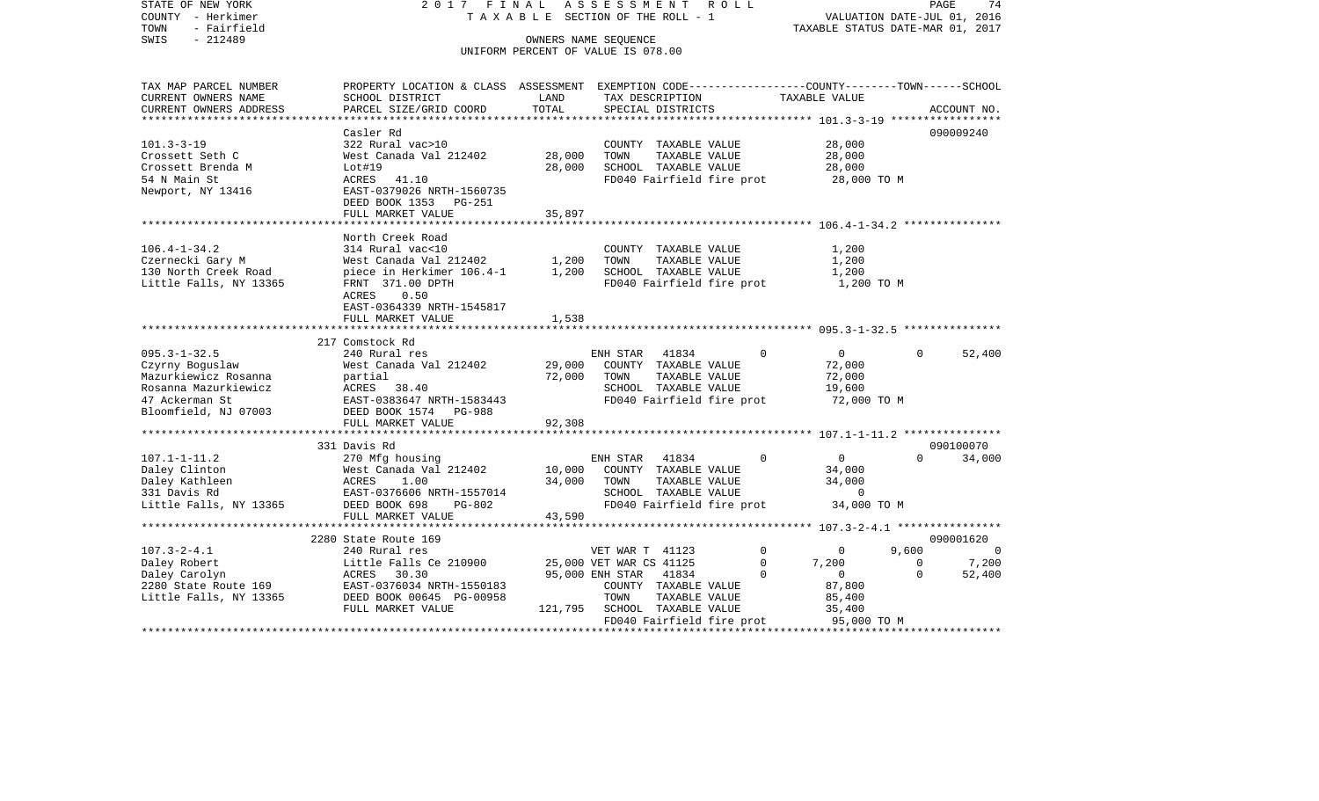| COUNTY<br>- Herkimer<br>- Fairfield<br>TOWN     | T A X A B L E SECTION OF THE ROLL - 1       | VALUATION DATE-JUL 01, 2016<br>TAXABLE STATUS DATE-MAR 01, 2017 |                                                                                                 |                       |          |             |
|-------------------------------------------------|---------------------------------------------|-----------------------------------------------------------------|-------------------------------------------------------------------------------------------------|-----------------------|----------|-------------|
| SWIS<br>$-212489$                               |                                             |                                                                 | OWNERS NAME SEQUENCE                                                                            |                       |          |             |
|                                                 |                                             |                                                                 | UNIFORM PERCENT OF VALUE IS 078.00                                                              |                       |          |             |
| TAX MAP PARCEL NUMBER                           |                                             |                                                                 | PROPERTY LOCATION & CLASS ASSESSMENT EXEMPTION CODE---------------COUNTY-------TOWN------SCHOOL |                       |          |             |
| CURRENT OWNERS NAME                             | SCHOOL DISTRICT                             | LAND                                                            | TAX DESCRIPTION                                                                                 | TAXABLE VALUE         |          |             |
| CURRENT OWNERS ADDRESS<br>********************* | PARCEL SIZE/GRID COORD                      | TOTAL                                                           | SPECIAL DISTRICTS                                                                               |                       |          | ACCOUNT NO. |
|                                                 |                                             | *************                                                   | ************************************** 101.3-3-19 *****                                         |                       |          |             |
|                                                 | Casler Rd                                   |                                                                 |                                                                                                 |                       |          | 090009240   |
| $101.3 - 3 - 19$<br>Crossett Seth C             | 322 Rural vac>10<br>West Canada Val 212402  | 28,000                                                          | COUNTY TAXABLE VALUE<br>TOWN<br>TAXABLE VALUE                                                   | 28,000<br>28,000      |          |             |
| Crossett Brenda M                               | Lot#19                                      | 28,000                                                          | SCHOOL TAXABLE VALUE                                                                            | 28,000                |          |             |
| 54 N Main St                                    | ACRES<br>41.10                              |                                                                 | FD040 Fairfield fire prot                                                                       | 28,000 TO M           |          |             |
| Newport, NY 13416                               | EAST-0379026 NRTH-1560735                   |                                                                 |                                                                                                 |                       |          |             |
|                                                 | DEED BOOK 1353 PG-251                       |                                                                 |                                                                                                 |                       |          |             |
|                                                 | FULL MARKET VALUE                           | 35,897                                                          |                                                                                                 |                       |          |             |
|                                                 |                                             |                                                                 |                                                                                                 |                       |          |             |
|                                                 | North Creek Road                            |                                                                 |                                                                                                 |                       |          |             |
| $106.4 - 1 - 34.2$                              | 314 Rural vac<10                            |                                                                 | COUNTY TAXABLE VALUE                                                                            | 1,200                 |          |             |
| Czernecki Gary M                                | West Canada Val 212402                      | 1,200                                                           | TOWN<br>TAXABLE VALUE                                                                           | 1,200                 |          |             |
| 130 North Creek Road                            | piece in Herkimer 106.4-1                   | 1,200                                                           | SCHOOL TAXABLE VALUE                                                                            | 1,200                 |          |             |
| Little Falls, NY 13365                          | FRNT 371.00 DPTH                            |                                                                 | FD040 Fairfield fire prot                                                                       | 1,200 TO M            |          |             |
|                                                 | ACRES<br>0.50                               |                                                                 |                                                                                                 |                       |          |             |
|                                                 | EAST-0364339 NRTH-1545817                   |                                                                 |                                                                                                 |                       |          |             |
|                                                 | FULL MARKET VALUE                           | 1,538                                                           |                                                                                                 |                       |          |             |
|                                                 |                                             |                                                                 |                                                                                                 |                       |          |             |
|                                                 | 217 Comstock Rd                             |                                                                 |                                                                                                 |                       |          |             |
| $095.3 - 1 - 32.5$                              | 240 Rural res                               |                                                                 | 41834<br>ENH STAR<br>$\Omega$                                                                   | $\mathbf{0}$          | $\Omega$ | 52,400      |
| Czyrny Boguslaw                                 | West Canada Val 212402                      | 29,000                                                          | COUNTY TAXABLE VALUE                                                                            | 72,000                |          |             |
| Mazurkiewicz Rosanna<br>Rosanna Mazurkiewicz    | partial                                     | 72,000                                                          | TAXABLE VALUE<br>TOWN<br>SCHOOL TAXABLE VALUE                                                   | 72,000                |          |             |
| 47 Ackerman St                                  | ACRES<br>38.40<br>EAST-0383647 NRTH-1583443 |                                                                 | FD040 Fairfield fire prot                                                                       | 19,600<br>72,000 TO M |          |             |
| Bloomfield, NJ 07003                            | DEED BOOK 1574<br><b>PG-988</b>             |                                                                 |                                                                                                 |                       |          |             |
|                                                 | FULL MARKET VALUE                           | 92,308                                                          |                                                                                                 |                       |          |             |
|                                                 | *************************                   |                                                                 |                                                                                                 |                       |          |             |
|                                                 | 331 Davis Rd                                |                                                                 |                                                                                                 |                       |          | 090100070   |
| $107.1 - 1 - 11.2$                              | 270 Mfg housing                             |                                                                 | 41834<br>ENH STAR<br>$\Omega$                                                                   | 0                     | $\Omega$ | 34,000      |
| Daley Clinton                                   | West Canada Val 212402                      | 10,000                                                          | COUNTY TAXABLE VALUE                                                                            | 34,000                |          |             |
| Daley Kathleen                                  | 1.00<br>ACRES                               | 34,000                                                          | TOWN<br>TAXABLE VALUE                                                                           | 34,000                |          |             |
| 331 Davis Rd                                    | EAST-0376606 NRTH-1557014                   |                                                                 | SCHOOL TAXABLE VALUE                                                                            | $\Omega$              |          |             |
| Little Falls, NY 13365                          | DEED BOOK 698<br>$PG-802$                   |                                                                 | FD040 Fairfield fire prot                                                                       | 34,000 TO M           |          |             |
|                                                 | FULL MARKET VALUE                           | 43,590                                                          |                                                                                                 |                       |          |             |
|                                                 |                                             |                                                                 |                                                                                                 |                       |          |             |
|                                                 | 2280 State Route 169                        |                                                                 |                                                                                                 |                       |          | 090001620   |
| $107.3 - 2 - 4.1$                               | 240 Rural res                               |                                                                 | VET WAR T 41123<br>$\Omega$                                                                     | $\Omega$              | 9,600    | $\Omega$    |
| Daley Robert                                    | Little Falls Ce 210900                      |                                                                 | 25,000 VET WAR CS 41125<br>$\Omega$                                                             | 7,200                 | $\Omega$ | 7,200       |
| Daley Carolyn                                   | ACRES<br>30.30                              |                                                                 | 95,000 ENH STAR<br>41834<br>$\Omega$                                                            | 0                     | $\Omega$ | 52,400      |
| 2280 State Route 169                            | EAST-0376034 NRTH-1550183                   |                                                                 | COUNTY TAXABLE VALUE                                                                            | 87,800                |          |             |
| Little Falls, NY 13365                          | DEED BOOK 00645 PG-00958                    |                                                                 | TAXABLE VALUE<br>TOWN                                                                           | 85,400                |          |             |
|                                                 | FULL MARKET VALUE                           | 121,795                                                         | SCHOOL TAXABLE VALUE                                                                            | 35,400                |          |             |
|                                                 |                                             |                                                                 | FD040 Fairfield fire prot                                                                       | 95,000 TO M           |          |             |

PAGE 74

STATE OF NEW YORK 2 0 1 7 F I N A L A S S E S S M E N T R O L L PAGE 74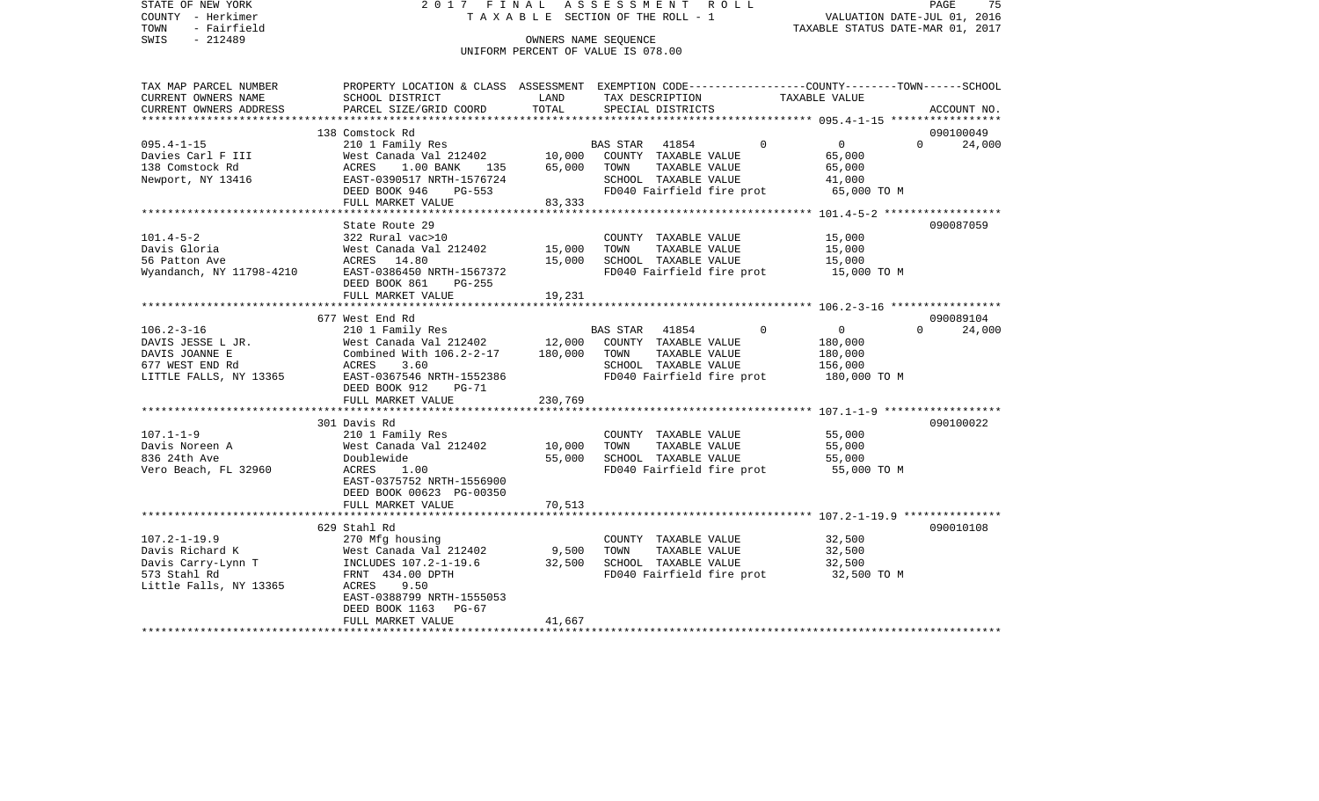STATE OF NEW YORK 2 0 1 7 F I N A L A S S E S S M E N T R O L L PAGE 75COUNTY - Herkimer **T A X A B L E** SECTION OF THE ROLL - 1 VALUATION DATE-JUL 01, 2016 TOWN - Fairfield TAXABLE STATUS DATE-MAR 01, 2017 SWIS - 212489 CONNERS NAME SEQUENCE UNIFORM PERCENT OF VALUE IS 078.00TAX MAP PARCEL NUMBER PROPERTY LOCATION & CLASS ASSESSMENT EXEMPTION CODE------------------COUNTY--------TOWN------SCHOOL CURRENT OWNERS NAME SCHOOL DISTRICT LAND TAX DESCRIPTION TAXABLE VALUECURRENT OWNERS ADDRESS PARCEL SIZE/GRID COORD TOTAL SPECIAL DISTRICTS ACCOUNT NO. \*\*\*\*\*\*\*\*\*\*\*\*\*\*\*\*\*\*\*\*\*\*\*\*\*\*\*\*\*\*\*\*\*\*\*\*\*\*\*\*\*\*\*\*\*\*\*\*\*\*\*\*\*\*\*\*\*\*\*\*\*\*\*\*\*\*\*\*\*\*\*\*\*\*\*\*\*\*\*\*\*\*\*\*\*\*\*\*\*\*\*\*\*\*\*\*\*\*\*\*\*\*\* 095.4-1-15 \*\*\*\*\*\*\*\*\*\*\*\*\*\*\*\*\* 138 Comstock Rd 090100049095.4-1-15 210 1 Family Res BAS STAR 41854 0 0 0 24,000 Davies Carl F III West Canada Val 212402 10,000 COUNTY TAXABLE VALUE 65,000 138 Comstock Rd ACRES 1.00 BANK 135 65,000 TOWN TAXABLE VALUE 65,000 Newport, NY 13416 6 EAST-0390517 NRTH-1576724 SCHOOL TAXABLE VALUE 41,000 DEED BOOK 946 PG-553 FD040 Fairfield fire prot 65,000 TO M FULL MARKET VALUE 83,333 \*\*\*\*\*\*\*\*\*\*\*\*\*\*\*\*\*\*\*\*\*\*\*\*\*\*\*\*\*\*\*\*\*\*\*\*\*\*\*\*\*\*\*\*\*\*\*\*\*\*\*\*\*\*\*\*\*\*\*\*\*\*\*\*\*\*\*\*\*\*\*\*\*\*\*\*\*\*\*\*\*\*\*\*\*\*\*\*\*\*\*\*\*\*\*\*\*\*\*\*\*\*\* 101.4-5-2 \*\*\*\*\*\*\*\*\*\*\*\*\*\*\*\*\*\*State Route 29 090087059 101.4-5-2 322 Rural vac>10 COUNTY TAXABLE VALUE 15,000 Davis Gloria West Canada Val 212402 15,000 TOWN TAXABLE VALUE 15,000 56 Patton Ave ACRES 14.80 15,000 SCHOOL TAXABLE VALUE 15,000 Wyandanch, NY 11798-4210 EAST-0386450 NRTH-1567372 FD040 Fairfield fire prot 15,000 TO M DEED BOOK 861 PG-255FULL MARKET VALUE 19,231 \*\*\*\*\*\*\*\*\*\*\*\*\*\*\*\*\*\*\*\*\*\*\*\*\*\*\*\*\*\*\*\*\*\*\*\*\*\*\*\*\*\*\*\*\*\*\*\*\*\*\*\*\*\*\*\*\*\*\*\*\*\*\*\*\*\*\*\*\*\*\*\*\*\*\*\*\*\*\*\*\*\*\*\*\*\*\*\*\*\*\*\*\*\*\*\*\*\*\*\*\*\*\* 106.2-3-16 \*\*\*\*\*\*\*\*\*\*\*\*\*\*\*\*\* 677 West End Rd 09008910424,000 106.2-3-16 210 1 Family Res BAS STAR 41854 0 0 0 0 DAVIS JESSE L JR. West Canada Val 212402 12,000 COUNTY TAXABLE VALUE 180,000 DAVIS JOANNE E Combined With 106.2-2-17 180,000 TOWN TAXABLE VALUE 180,000 677 WEST END Rd ACRES 3.60 SCHOOL TAXABLE VALUE 156,000 LITTLE FALLS, NY 13365 EAST-0367546 NRTH-1552386 FD040 Fairfield fire prot 180,000 TO M DEED BOOK 912 PG-71FULL MARKET VALUE 230,769 \*\*\*\*\*\*\*\*\*\*\*\*\*\*\*\*\*\*\*\*\*\*\*\*\*\*\*\*\*\*\*\*\*\*\*\*\*\*\*\*\*\*\*\*\*\*\*\*\*\*\*\*\*\*\*\*\*\*\*\*\*\*\*\*\*\*\*\*\*\*\*\*\*\*\*\*\*\*\*\*\*\*\*\*\*\*\*\*\*\*\*\*\*\*\*\*\*\*\*\*\*\*\* 107.1-1-9 \*\*\*\*\*\*\*\*\*\*\*\*\*\*\*\*\*\* 301 Davis Rd 090100022107.1-1-9 210 1 Family Res COUNTY TAXABLE VALUE 55,000 Davis Noreen A West Canada Val 212402 10,000 TOWN TAXABLE VALUE 55,000 836 24th Ave Doublewide 55,000 SCHOOL TAXABLE VALUE 55,000 Vero Beach, FL 32960  $ACRES$  1.00  $BDD40$  Fairfield fire prot 55,000 TO M EAST-0375752 NRTH-1556900 DEED BOOK 00623 PG-00350FULL MARKET VALUE 70,513 \*\*\*\*\*\*\*\*\*\*\*\*\*\*\*\*\*\*\*\*\*\*\*\*\*\*\*\*\*\*\*\*\*\*\*\*\*\*\*\*\*\*\*\*\*\*\*\*\*\*\*\*\*\*\*\*\*\*\*\*\*\*\*\*\*\*\*\*\*\*\*\*\*\*\*\*\*\*\*\*\*\*\*\*\*\*\*\*\*\*\*\*\*\*\*\*\*\*\*\*\*\*\* 107.2-1-19.9 \*\*\*\*\*\*\*\*\*\*\*\*\*\*\* 629 Stahl Rd 090010108107.2-1-19.9 270 Mfg housing COUNTY TAXABLE VALUE 32,500 West Canada Val 212402 Davis Carry-Lynn T INCLUDES 107.2-1-19.6 32,500 SCHOOL TAXABLE VALUE 32,500 573 Stahl Rd FRNT 434.00 DPTH FD040 Fairfield fire prot 32,500 TO M Little Falls, NY 13365 ACRES 9.50 EAST-0388799 NRTH-1555053 DEED BOOK 1163 PG-67FULL MARKET VALUE 41,667 \*\*\*\*\*\*\*\*\*\*\*\*\*\*\*\*\*\*\*\*\*\*\*\*\*\*\*\*\*\*\*\*\*\*\*\*\*\*\*\*\*\*\*\*\*\*\*\*\*\*\*\*\*\*\*\*\*\*\*\*\*\*\*\*\*\*\*\*\*\*\*\*\*\*\*\*\*\*\*\*\*\*\*\*\*\*\*\*\*\*\*\*\*\*\*\*\*\*\*\*\*\*\*\*\*\*\*\*\*\*\*\*\*\*\*\*\*\*\*\*\*\*\*\*\*\*\*\*\*\*\*\*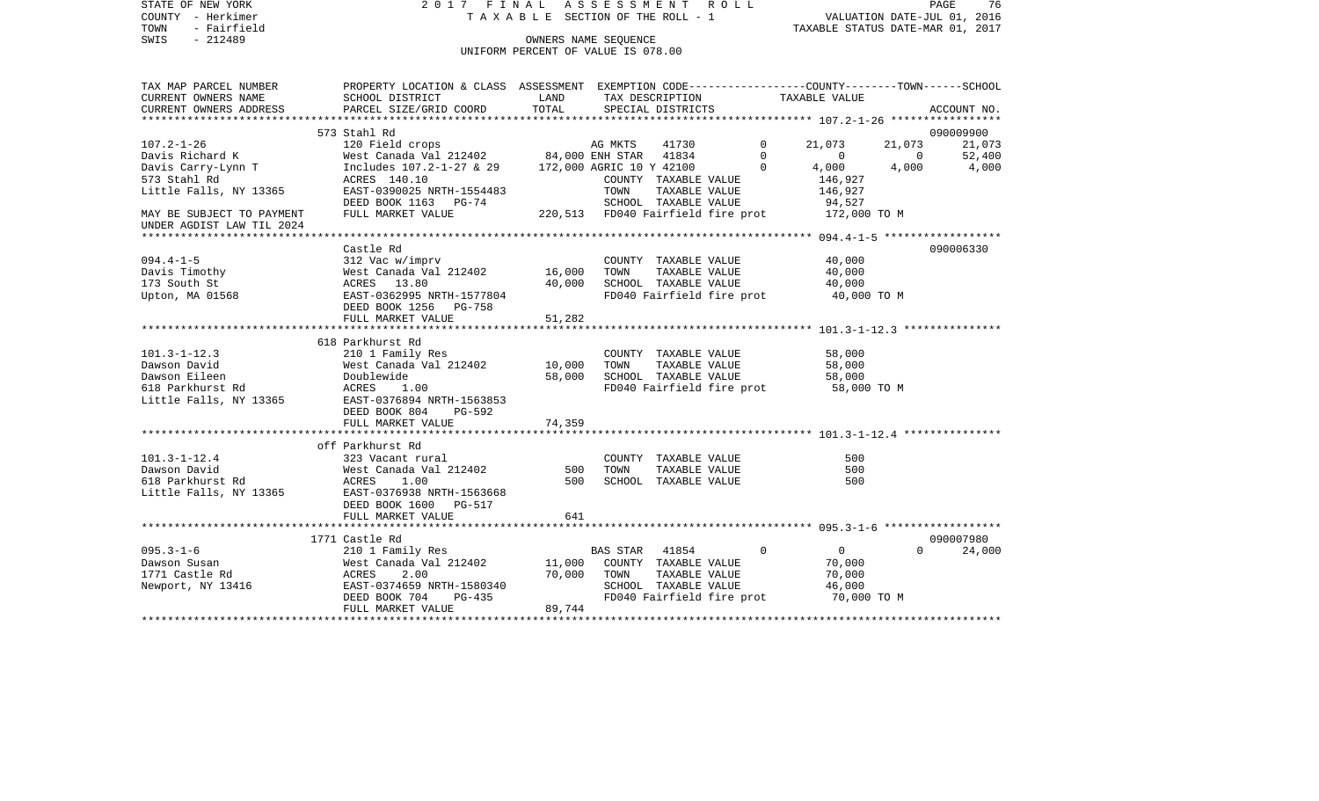| STATE OF NEW YORK<br>2017 FINAL ASSESSMENT ROLL<br>COUNTY - Herkimer<br>T A X A B L E SECTION OF THE ROLL - 1 |                                                                                                  |                                   |                           |  |             |                                  | PAGE<br>76<br>VALUATION DATE-JUL 01, 2016 |             |  |  |  |
|---------------------------------------------------------------------------------------------------------------|--------------------------------------------------------------------------------------------------|-----------------------------------|---------------------------|--|-------------|----------------------------------|-------------------------------------------|-------------|--|--|--|
| TOWN<br>- Fairfield                                                                                           |                                                                                                  |                                   |                           |  |             | TAXABLE STATUS DATE-MAR 01, 2017 |                                           |             |  |  |  |
| $-212489$<br>SWIS                                                                                             |                                                                                                  | OWNERS NAME SEQUENCE              |                           |  |             |                                  |                                           |             |  |  |  |
|                                                                                                               | UNIFORM PERCENT OF VALUE IS 078.00                                                               |                                   |                           |  |             |                                  |                                           |             |  |  |  |
|                                                                                                               |                                                                                                  |                                   |                           |  |             |                                  |                                           |             |  |  |  |
| TAX MAP PARCEL NUMBER                                                                                         | PROPERTY LOCATION & CLASS ASSESSMENT EXEMPTION CODE----------------COUNTY-------TOWN------SCHOOL |                                   |                           |  |             |                                  |                                           |             |  |  |  |
| SCHOOL DISTRICT<br>CURRENT OWNERS NAME                                                                        | LAND                                                                                             |                                   | TAX DESCRIPTION           |  |             | TAXABLE VALUE                    |                                           |             |  |  |  |
| CURRENT OWNERS ADDRESS<br>PARCEL SIZE/GRID COORD                                                              | TOTAL                                                                                            |                                   | SPECIAL DISTRICTS         |  |             |                                  |                                           | ACCOUNT NO. |  |  |  |
| 573 Stahl Rd                                                                                                  |                                                                                                  |                                   |                           |  |             |                                  |                                           | 090009900   |  |  |  |
| $107.2 - 1 - 26$<br>120 Field crops                                                                           |                                                                                                  | AG MKTS                           | 41730                     |  | $\Omega$    | 21,073                           | 21,073                                    | 21,073      |  |  |  |
| Davis Richard K<br>West Canada Val 212402                                                                     |                                                                                                  | 84,000 ENH STAR 41834             |                           |  | $\mathbf 0$ | 0                                | $\overline{\phantom{0}}$                  | 52,400      |  |  |  |
| Davis Carry-Lynn T<br>Includes 107.2-1-27 & 29                                                                |                                                                                                  | 172,000 AGRIC 10 Y 42100          |                           |  | $\Omega$    | 4,000                            | 4,000                                     | 4,000       |  |  |  |
| 573 Stahl Rd<br>ACRES 140.10                                                                                  |                                                                                                  |                                   | COUNTY TAXABLE VALUE      |  |             | 146,927                          |                                           |             |  |  |  |
| Little Falls, NY 13365<br>EAST-0390025 NRTH-1554483                                                           |                                                                                                  | TOWN                              | TAXABLE VALUE             |  |             | 146,927                          |                                           |             |  |  |  |
| DEED BOOK 1163 PG-74                                                                                          |                                                                                                  |                                   | SCHOOL TAXABLE VALUE      |  |             | 94,527                           |                                           |             |  |  |  |
| MAY BE SUBJECT TO PAYMENT FULL MARKET VALUE                                                                   |                                                                                                  | 220,513 FD040 Fairfield fire prot |                           |  |             | 172,000 TO M                     |                                           |             |  |  |  |
| UNDER AGDIST LAW TIL 2024                                                                                     |                                                                                                  |                                   |                           |  |             |                                  |                                           |             |  |  |  |
|                                                                                                               |                                                                                                  |                                   |                           |  |             |                                  | ********** 094.4-1-5 *******************  |             |  |  |  |
| Castle Rd                                                                                                     |                                                                                                  |                                   |                           |  |             |                                  |                                           | 090006330   |  |  |  |
| 312 Vac w/imprv<br>$094.4 - 1 - 5$                                                                            |                                                                                                  |                                   | COUNTY TAXABLE VALUE      |  |             | 40,000                           |                                           |             |  |  |  |
| Davis Timothy<br>West Canada Val 212402                                                                       | 16,000                                                                                           | TOWN                              | TAXABLE VALUE             |  |             | 40,000                           |                                           |             |  |  |  |
| 173 South St<br>ACRES 13.80                                                                                   | 40,000                                                                                           |                                   | SCHOOL TAXABLE VALUE      |  |             | 40,000                           |                                           |             |  |  |  |
| Upton, MA 01568<br>EAST-0362995 NRTH-1577804                                                                  |                                                                                                  |                                   | FD040 Fairfield fire prot |  |             | 40,000 TO M                      |                                           |             |  |  |  |
| DEED BOOK 1256 PG-758                                                                                         |                                                                                                  |                                   |                           |  |             |                                  |                                           |             |  |  |  |
| FULL MARKET VALUE                                                                                             | 51,282                                                                                           |                                   |                           |  |             |                                  |                                           |             |  |  |  |
|                                                                                                               |                                                                                                  |                                   |                           |  |             |                                  |                                           |             |  |  |  |
| 618 Parkhurst Rd                                                                                              |                                                                                                  |                                   |                           |  |             |                                  |                                           |             |  |  |  |
| $101.3 - 1 - 12.3$<br>210 1 Family Res                                                                        |                                                                                                  |                                   | COUNTY TAXABLE VALUE      |  |             | 58,000                           |                                           |             |  |  |  |
| Dawson David<br>West Canada Val 212402                                                                        | 10,000                                                                                           | TOWN                              | TAXABLE VALUE             |  |             | 58,000                           |                                           |             |  |  |  |
| Dawson Eileen<br>Doublewide                                                                                   | 58,000                                                                                           |                                   | SCHOOL TAXABLE VALUE      |  |             | 58,000                           |                                           |             |  |  |  |
| 618 Parkhurst Rd<br>ACRES<br>1.00                                                                             |                                                                                                  |                                   | FD040 Fairfield fire prot |  |             | 58,000 TO M                      |                                           |             |  |  |  |
| Little Falls, NY 13365<br>EAST-0376894 NRTH-1563853                                                           |                                                                                                  |                                   |                           |  |             |                                  |                                           |             |  |  |  |
| DEED BOOK 804<br>FULL MARKET VALUE                                                                            | PG-592<br>74,359                                                                                 |                                   |                           |  |             |                                  |                                           |             |  |  |  |
|                                                                                                               |                                                                                                  |                                   |                           |  |             |                                  |                                           |             |  |  |  |
| off Parkhurst Rd                                                                                              |                                                                                                  |                                   |                           |  |             |                                  |                                           |             |  |  |  |
| $101.3 - 1 - 12.4$<br>323 Vacant rural                                                                        |                                                                                                  |                                   | COUNTY TAXABLE VALUE      |  |             | 500                              |                                           |             |  |  |  |
| Dawson David<br>West Canada Val 212402                                                                        |                                                                                                  | 500<br>TOWN                       | TAXABLE VALUE             |  |             | 500                              |                                           |             |  |  |  |
| 618 Parkhurst Rd<br>ACRES<br>1.00                                                                             |                                                                                                  | 500                               | SCHOOL TAXABLE VALUE      |  |             | 500                              |                                           |             |  |  |  |
| Little Falls, NY 13365<br>EAST-0376938 NRTH-1563668                                                           |                                                                                                  |                                   |                           |  |             |                                  |                                           |             |  |  |  |
| DEED BOOK 1600 PG-517                                                                                         |                                                                                                  |                                   |                           |  |             |                                  |                                           |             |  |  |  |
| FULL MARKET VALUE                                                                                             |                                                                                                  | 641                               |                           |  |             |                                  |                                           |             |  |  |  |
|                                                                                                               |                                                                                                  |                                   |                           |  |             |                                  |                                           |             |  |  |  |
| 1771 Castle Rd                                                                                                |                                                                                                  |                                   |                           |  |             |                                  |                                           | 090007980   |  |  |  |
| $095.3 - 1 - 6$<br>210 1 Family Res                                                                           |                                                                                                  | <b>BAS STAR</b>                   | 41854                     |  | $\Omega$    | $\overline{0}$                   | $\Omega$                                  | 24,000      |  |  |  |
| Dawson Susan<br>West Canada Val 212402                                                                        | 11,000                                                                                           |                                   | COUNTY TAXABLE VALUE      |  |             | 70,000                           |                                           |             |  |  |  |
| 1771 Castle Rd<br>ACRES<br>2.00                                                                               | 70,000                                                                                           | TOWN                              | TAXABLE VALUE             |  |             | 70,000                           |                                           |             |  |  |  |
| Newport, NY 13416<br>EAST-0374659 NRTH-1580340                                                                |                                                                                                  |                                   | SCHOOL TAXABLE VALUE      |  |             | 46,000                           |                                           |             |  |  |  |
| DEED BOOK 704                                                                                                 | PG-435                                                                                           |                                   | FD040 Fairfield fire prot |  |             | 70,000 TO M                      |                                           |             |  |  |  |
| FULL MARKET VALUE                                                                                             | 89,744                                                                                           |                                   |                           |  |             |                                  |                                           |             |  |  |  |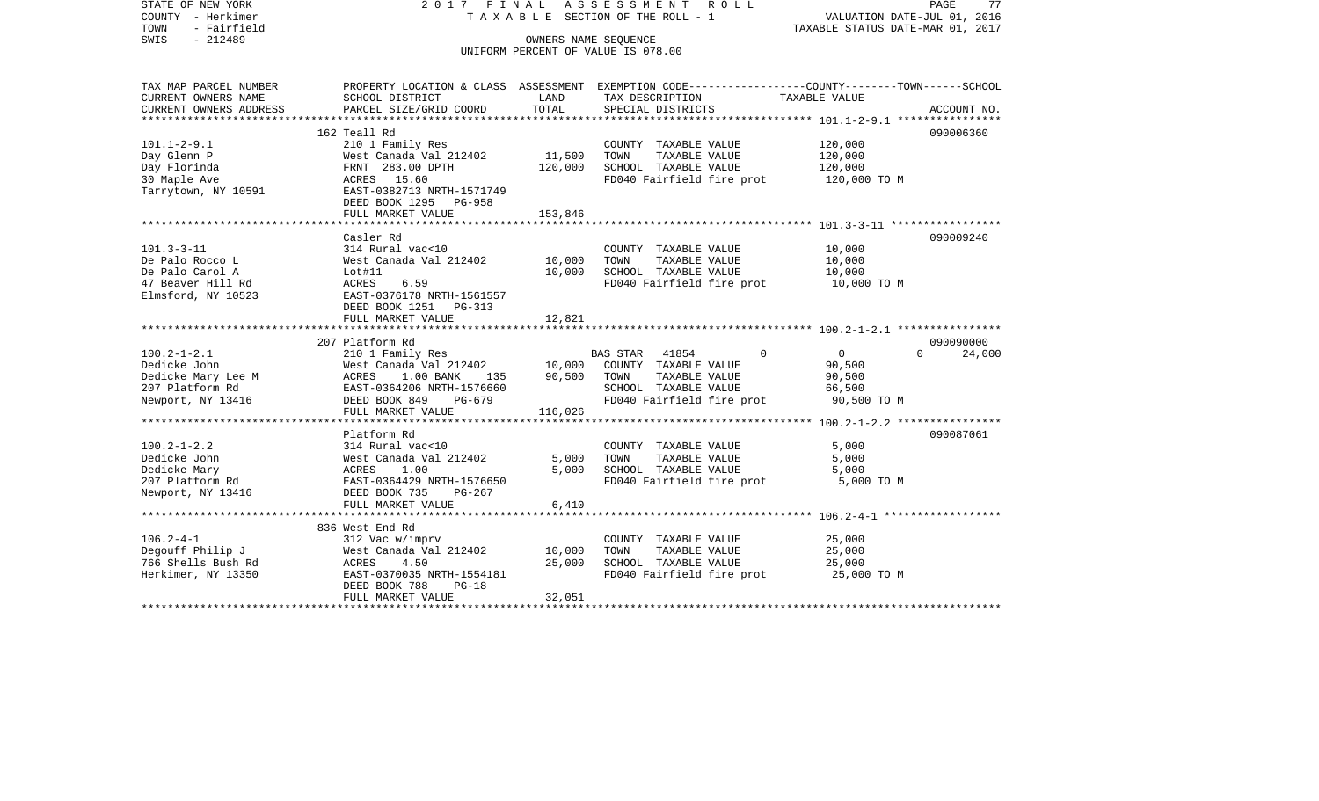STATE OF NEW YORK 2 0 1 7 F I N A L A S S E S S M E N T R O L L PAGE 77COUNTY - Herkimer T A X A B L E SECTION OF THE ROLL - 1 VALUATION DATE-JUL 01, 2016 TOWN - Fairfield TAXABLE STATUS DATE-MAR 01, 2017 SWIS - 212489 CONNERS NAME SEQUENCE UNIFORM PERCENT OF VALUE IS 078.00TAX MAP PARCEL NUMBER PROPERTY LOCATION & CLASS ASSESSMENT EXEMPTION CODE------------------COUNTY--------TOWN------SCHOOL CURRENT OWNERS NAME SCHOOL DISTRICT LAND TAX DESCRIPTION TAXABLE VALUECURRENT OWNERS ADDRESS PARCEL SIZE/GRID COORD TOTAL SPECIAL DISTRICTS ACCOUNT NO. \*\*\*\*\*\*\*\*\*\*\*\*\*\*\*\*\*\*\*\*\*\*\*\*\*\*\*\*\*\*\*\*\*\*\*\*\*\*\*\*\*\*\*\*\*\*\*\*\*\*\*\*\*\*\*\*\*\*\*\*\*\*\*\*\*\*\*\*\*\*\*\*\*\*\*\*\*\*\*\*\*\*\*\*\*\*\*\*\*\*\*\*\*\*\*\*\*\*\*\*\*\*\* 101.1-2-9.1 \*\*\*\*\*\*\*\*\*\*\*\*\*\*\*\*162 Teall Rd 090006360 101.1-2-9.1 210 1 Family Res COUNTY TAXABLE VALUE 120,000 Day Glenn P 61 20,000 West Canada Val 212402 11,500 TOWN TAXABLE VALUE 120,000 Day Florinda FRNT 283.00 DPTH 120,000 SCHOOL TAXABLE VALUE 120,000 30 Maple Ave ACRES 15.60 FD040 Fairfield fire prot 120,000 TO M Tarrytown, NY 10591 EAST-0382713 NRTH-1571749 DEED BOOK 1295 PG-958FULL MARKET VALUE 153,846 \*\*\*\*\*\*\*\*\*\*\*\*\*\*\*\*\*\*\*\*\*\*\*\*\*\*\*\*\*\*\*\*\*\*\*\*\*\*\*\*\*\*\*\*\*\*\*\*\*\*\*\*\*\*\*\*\*\*\*\*\*\*\*\*\*\*\*\*\*\*\*\*\*\*\*\*\*\*\*\*\*\*\*\*\*\*\*\*\*\*\*\*\*\*\*\*\*\*\*\*\*\*\* 101.3-3-11 \*\*\*\*\*\*\*\*\*\*\*\*\*\*\*\*\* Casler Rd 090009240101.3-3-11 314 Rural vac<10 COUNTY TAXABLE VALUE 10,000 De Palo Rocco L West Canada Val 212402 10,000 TOWN TAXABLE VALUE 10,000 De Palo Carol A 10,000 SCHOOL TAXABLE VALUE 10,000 PORT 10,000 47 Beaver Hill Rd ACRES 6.59 FD040 Fairfield fire prot 10,000 TO M Elmsford, NY 10523 EAST-0376178 NRTH-1561557 DEED BOOK 1251 PG-313 FULL MARKET VALUE 12,821 \*\*\*\*\*\*\*\*\*\*\*\*\*\*\*\*\*\*\*\*\*\*\*\*\*\*\*\*\*\*\*\*\*\*\*\*\*\*\*\*\*\*\*\*\*\*\*\*\*\*\*\*\*\*\*\*\*\*\*\*\*\*\*\*\*\*\*\*\*\*\*\*\*\*\*\*\*\*\*\*\*\*\*\*\*\*\*\*\*\*\*\*\*\*\*\*\*\*\*\*\*\*\* 100.2-1-2.1 \*\*\*\*\*\*\*\*\*\*\*\*\*\*\*\* 207 Platform Rd 09009000024,000 100.2-1-2.1 210 1 Family Res BAS STAR 41854 0 0 0 0 Dedicke John West Canada Val 212402 10,000 COUNTY TAXABLE VALUE 90,500 Dedicke Mary Lee M ACRES 1.00 BANK 135 90,500 TOWN TAXABLE VALUE 90,500 207 Platform Rd EAST-0364206 NRTH-1576660 SCHOOL TAXABLE VALUE 66,500 Newport, NY 13416 DEED BOOK 849 PG-679 FD040 Fairfield fire prot 90,500 TO M<br>FULL MARKET VALUE 116.026 FULL MARKET VALUE \*\*\*\*\*\*\*\*\*\*\*\*\*\*\*\*\*\*\*\*\*\*\*\*\*\*\*\*\*\*\*\*\*\*\*\*\*\*\*\*\*\*\*\*\*\*\*\*\*\*\*\*\*\*\*\*\*\*\*\*\*\*\*\*\*\*\*\*\*\*\*\*\*\*\*\*\*\*\*\*\*\*\*\*\*\*\*\*\*\*\*\*\*\*\*\*\*\*\*\*\*\*\* 100.2-1-2.2 \*\*\*\*\*\*\*\*\*\*\*\*\*\*\*\* Platform Rd 090087061100.2-1-2.2 314 Rural vac<10 COUNTY TAXABLE VALUE 5,000 Dedicke John West Canada Val 212402 5,000 TOWN TAXABLE VALUE 5,000 Dedicke Mary **ACRES** 1.00 5,000 SCHOOL TAXABLE VALUE 5,000 207 Platform Rd EAST-0364429 NRTH-1576650 FD040 Fairfield fire prot 5,000 TO M Newport, NY 13416 DEED BOOK 735 PG-267 FULL MARKET VALUE 6,410 \*\*\*\*\*\*\*\*\*\*\*\*\*\*\*\*\*\*\*\*\*\*\*\*\*\*\*\*\*\*\*\*\*\*\*\*\*\*\*\*\*\*\*\*\*\*\*\*\*\*\*\*\*\*\*\*\*\*\*\*\*\*\*\*\*\*\*\*\*\*\*\*\*\*\*\*\*\*\*\*\*\*\*\*\*\*\*\*\*\*\*\*\*\*\*\*\*\*\*\*\*\*\* 106.2-4-1 \*\*\*\*\*\*\*\*\*\*\*\*\*\*\*\*\*\* 836 West End Rd106.2-4-1 312 Vac w/imprv COUNTY TAXABLE VALUE 25,000 Nest Canada Val 212402 10,000 TOWN<br>ACRES 4.50 25,000 SCHOO 766 Shells Bush Rd ACRES 4.50 25,000 SCHOOL TAXABLE VALUE 25,000 Herkimer, NY 13350 EAST-0370035 NRTH-1554181 FD040 Fairfield fire prot 25,000 TO M DEED BOOK 788 PG-18FULL MARKET VALUE 32,051 \*\*\*\*\*\*\*\*\*\*\*\*\*\*\*\*\*\*\*\*\*\*\*\*\*\*\*\*\*\*\*\*\*\*\*\*\*\*\*\*\*\*\*\*\*\*\*\*\*\*\*\*\*\*\*\*\*\*\*\*\*\*\*\*\*\*\*\*\*\*\*\*\*\*\*\*\*\*\*\*\*\*\*\*\*\*\*\*\*\*\*\*\*\*\*\*\*\*\*\*\*\*\*\*\*\*\*\*\*\*\*\*\*\*\*\*\*\*\*\*\*\*\*\*\*\*\*\*\*\*\*\*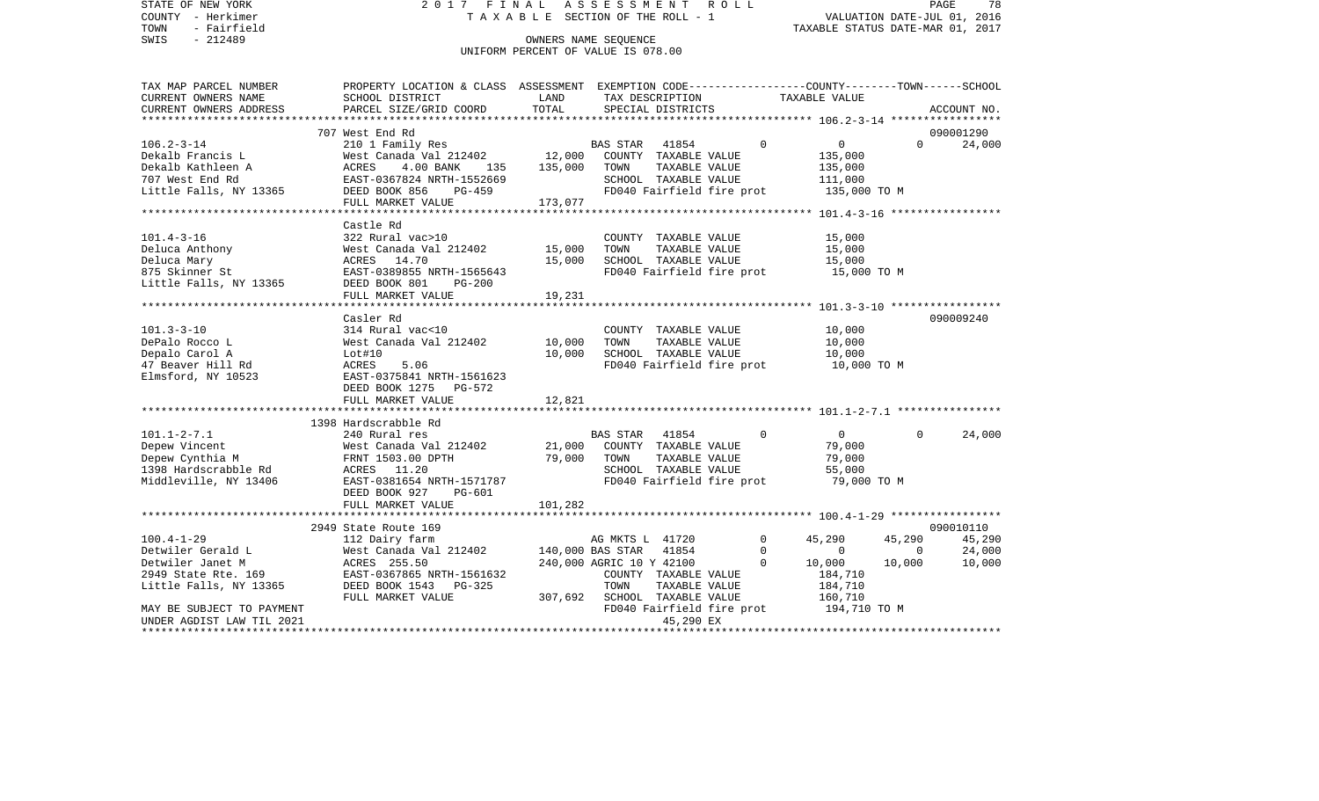STATE OF NEW YORK 2 0 1 7 F I N A L A S S E S S M E N T R O L L PAGE 78COUNTY - Herkimer **T A X A B L E** SECTION OF THE ROLL - 1 VALUATION DATE-JUL 01, 2016 TOWN - Fairfield TAXABLE STATUS DATE-MAR 01, 2017 SWIS - 212489 CONNERS NAME SEQUENCE UNIFORM PERCENT OF VALUE IS 078.00TAX MAP PARCEL NUMBER PROPERTY LOCATION & CLASS ASSESSMENT EXEMPTION CODE------------------COUNTY--------TOWN------SCHOOL CURRENT OWNERS NAME SCHOOL DISTRICT LAND TAX DESCRIPTION TAXABLE VALUECURRENT OWNERS ADDRESS PARCEL SIZE/GRID COORD TOTAL SPECIAL DISTRICTS ACCOUNT NO. \*\*\*\*\*\*\*\*\*\*\*\*\*\*\*\*\*\*\*\*\*\*\*\*\*\*\*\*\*\*\*\*\*\*\*\*\*\*\*\*\*\*\*\*\*\*\*\*\*\*\*\*\*\*\*\*\*\*\*\*\*\*\*\*\*\*\*\*\*\*\*\*\*\*\*\*\*\*\*\*\*\*\*\*\*\*\*\*\*\*\*\*\*\*\*\*\*\*\*\*\*\*\* 106.2-3-14 \*\*\*\*\*\*\*\*\*\*\*\*\*\*\*\*\* 707 West End Rd 090001290106.2-3-14 210 1 Family Res BAS STAR 41854 0 0 0 24,000 Dekalb Francis L West Canada Val 212402 12,000 COUNTY TAXABLE VALUE 135,000 Dekalb Kathleen A ACRES 4.00 BANK 135 135,000 TOWN TAXABLE VALUE 135,000 707 West End Rd EAST-0367824 NRTH-1552669 SCHOOL TAXABLE VALUE 111,000 Little Falls, NY 13365 DEED BOOK 856 PG-459 FD040 Fairfield fire prot 135,000 TO M FULL MARKET VALUE 173,077 \*\*\*\*\*\*\*\*\*\*\*\*\*\*\*\*\*\*\*\*\*\*\*\*\*\*\*\*\*\*\*\*\*\*\*\*\*\*\*\*\*\*\*\*\*\*\*\*\*\*\*\*\*\*\*\*\*\*\*\*\*\*\*\*\*\*\*\*\*\*\*\*\*\*\*\*\*\*\*\*\*\*\*\*\*\*\*\*\*\*\*\*\*\*\*\*\*\*\*\*\*\*\* 101.4-3-16 \*\*\*\*\*\*\*\*\*\*\*\*\*\*\*\*\* Castle Rd101.4-3-16 322 Rural vac>10 COUNTY TAXABLE VALUE 15,000 Deluca Anthony West Canada Val 212402 15,000 TOWN TAXABLE VALUE 15,000 Deluca Mary ACRES 14.70 15,000 SCHOOL TAXABLE VALUE 15,000 875 Skinner St EAST-0389855 NRTH-1565643 FD040 Fairfield fire prot 15,000 TO M Little Falls, NY 13365 DEED BOOK 801 PG-200 FULL MARKET VALUE 19,231 \*\*\*\*\*\*\*\*\*\*\*\*\*\*\*\*\*\*\*\*\*\*\*\*\*\*\*\*\*\*\*\*\*\*\*\*\*\*\*\*\*\*\*\*\*\*\*\*\*\*\*\*\*\*\*\*\*\*\*\*\*\*\*\*\*\*\*\*\*\*\*\*\*\*\*\*\*\*\*\*\*\*\*\*\*\*\*\*\*\*\*\*\*\*\*\*\*\*\*\*\*\*\* 101.3-3-10 \*\*\*\*\*\*\*\*\*\*\*\*\*\*\*\*\* Casler Rd 090009240101.3-3-10 314 Rural vac<10 COUNTY TAXABLE VALUE 10,000 DePalo Rocco L West Canada Val 212402 10,000 TOWN TAXABLE VALUE 10,000 Depalo Carol A Lot#10 10,000 SCHOOL TAXABLE VALUE 10,000 47 Beaver Hill Rd **ACRES** 5.06 **FD040** Fairfield fire prot 10,000 TO M Elmsford, NY 10523 EAST-0375841 NRTH-1561623 DEED BOOK 1275 PG-572FULL MARKET VALUE 12,821 \*\*\*\*\*\*\*\*\*\*\*\*\*\*\*\*\*\*\*\*\*\*\*\*\*\*\*\*\*\*\*\*\*\*\*\*\*\*\*\*\*\*\*\*\*\*\*\*\*\*\*\*\*\*\*\*\*\*\*\*\*\*\*\*\*\*\*\*\*\*\*\*\*\*\*\*\*\*\*\*\*\*\*\*\*\*\*\*\*\*\*\*\*\*\*\*\*\*\*\*\*\*\* 101.1-2-7.1 \*\*\*\*\*\*\*\*\*\*\*\*\*\*\*\* 1398 Hardscrabble Rd101.1-2-7.1 240 Rural res BAS STAR 41854 0 0 0 24,000 Depew Vincent West Canada Val 212402 21,000 COUNTY TAXABLE VALUE 79,000 Depew Cynthia M FRNT 1503.00 DPTH 79,000 TOWN TAXABLE VALUE 79,000 1398 Hardscrabble Rd ACRES 11.20 SCHOOL TAXABLE VALUE 55,000 Middleville, NY 13406 EAST-0381654 NRTH-1571787 FD040 Fairfield fire prot 79,000 TO M DEED BOOK 927 PG-601FULL MARKET VALUE 101,282 \*\*\*\*\*\*\*\*\*\*\*\*\*\*\*\*\*\*\*\*\*\*\*\*\*\*\*\*\*\*\*\*\*\*\*\*\*\*\*\*\*\*\*\*\*\*\*\*\*\*\*\*\*\*\*\*\*\*\*\*\*\*\*\*\*\*\*\*\*\*\*\*\*\*\*\*\*\*\*\*\*\*\*\*\*\*\*\*\*\*\*\*\*\*\*\*\*\*\*\*\*\*\* 100.4-1-29 \*\*\*\*\*\*\*\*\*\*\*\*\*\*\*\*\* 2949 State Route 169 090010110100.4-1-29 112 Dairy farm AG MKTS L 41720 0 45,290 45,290 45,290 Detwiler Gerald L West Canada Val 212402 140,000 BAS STAR 41854 0 0 0 24,000 Detwiler Janet M **ACRES** 255.50 240,000 AGRIC 10 Y 42100 0 10,000 10,000 10,000 2949 State Rte. 169 EAST-0367865 NRTH-1561632 COUNTY TAXABLE VALUE 184,710 Little Falls, NY 13365 DEED BOOK 1543 PG-325 TOWN TAXABLE VALUE 184,710 FULL MARKET VALUE  $307,692$  SCHOOL TAXABLE VALUE  $160,710$ MAY BE SUBJECT TO PAYMENT<br>
INDER AGDIST LAW TIL 2021 COMPUTER AGDIST LAW TIL 2021 UNDER AGDIST LAW TIL 202145,290 EX \*\*\*\*\*\*\*\*\*\*\*\*\*\*\*\*\*\*\*\*\*\*\*\*\*\*\*\*\*\*\*\*\*\*\*\*\*\*\*\*\*\*\*\*\*\*\*\*\*\*\*\*\*\*\*\*\*\*\*\*\*\*\*\*\*\*\*\*\*\*\*\*\*\*\*\*\*\*\*\*\*\*\*\*\*\*\*\*\*\*\*\*\*\*\*\*\*\*\*\*\*\*\*\*\*\*\*\*\*\*\*\*\*\*\*\*\*\*\*\*\*\*\*\*\*\*\*\*\*\*\*\*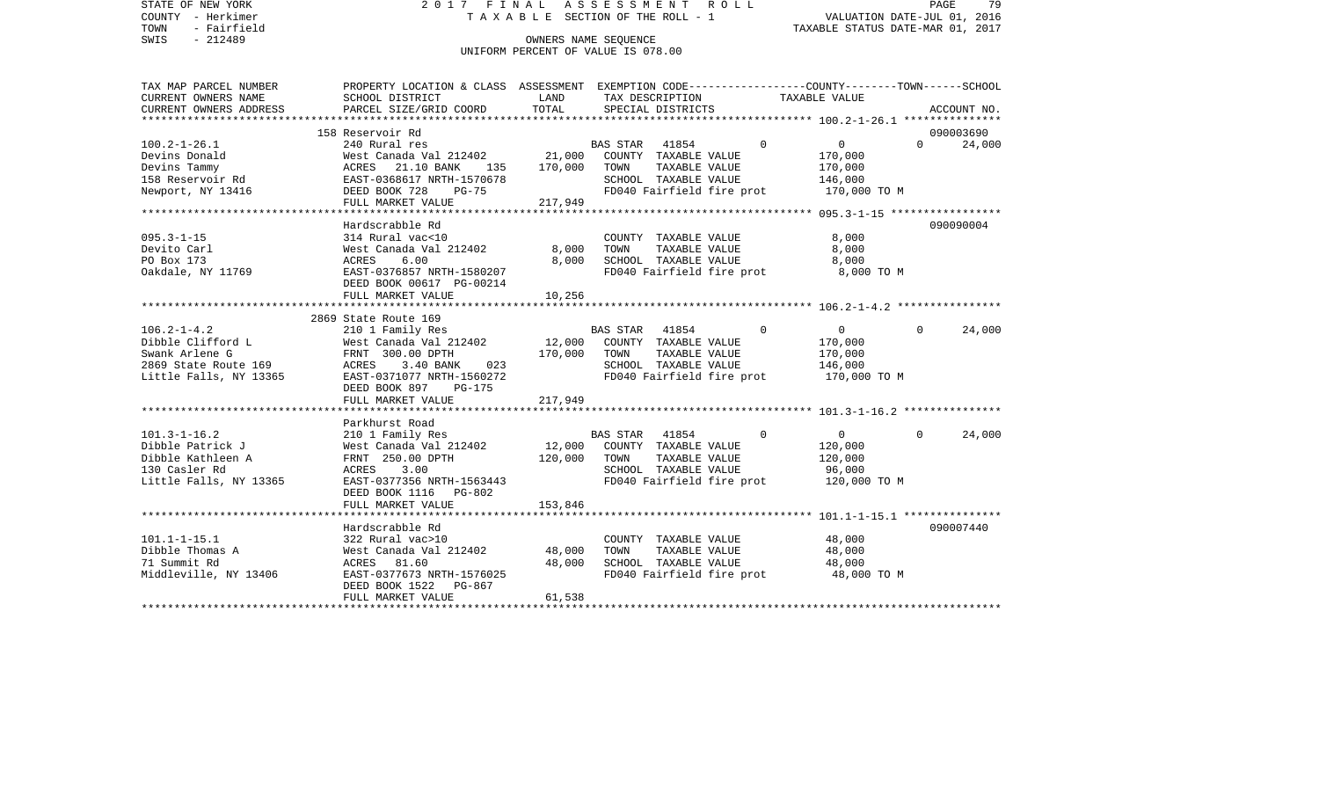| STATE OF NEW YORK<br>COUNTY - Herkimer                | 2017 FINAL ASSESSMENT ROLL<br>T A X A B L E SECTION OF THE ROLL - 1                                                                                                                                                                      |         | 79<br>PAGE<br>VALUATION DATE-JUL 01, 2016     |                            |                                  |  |
|-------------------------------------------------------|------------------------------------------------------------------------------------------------------------------------------------------------------------------------------------------------------------------------------------------|---------|-----------------------------------------------|----------------------------|----------------------------------|--|
| TOWN<br>- Fairfield                                   |                                                                                                                                                                                                                                          |         |                                               |                            | TAXABLE STATUS DATE-MAR 01, 2017 |  |
| $-212489$<br>SWIS                                     |                                                                                                                                                                                                                                          |         | OWNERS NAME SEOUENCE                          |                            |                                  |  |
|                                                       |                                                                                                                                                                                                                                          |         | UNIFORM PERCENT OF VALUE IS 078.00            |                            |                                  |  |
| TAX MAP PARCEL NUMBER                                 | PROPERTY LOCATION & CLASS ASSESSMENT EXEMPTION CODE----------------COUNTY-------TOWN------SCHOOL                                                                                                                                         |         |                                               |                            |                                  |  |
| CURRENT OWNERS NAME                                   | SCHOOL DISTRICT                                                                                                                                                                                                                          | LAND    | TAX DESCRIPTION TAXABLE VALUE                 |                            |                                  |  |
| CURRENT OWNERS ADDRESS                                | PARCEL SIZE/GRID COORD                                                                                                                                                                                                                   | TOTAL   | SPECIAL DISTRICTS                             |                            | ACCOUNT NO.                      |  |
|                                                       |                                                                                                                                                                                                                                          |         |                                               |                            |                                  |  |
|                                                       | 158 Reservoir Rd                                                                                                                                                                                                                         |         |                                               |                            | 090003690                        |  |
| 100.2-1-26.1                                          | 240 Rural res<br>240 Rural res<br>West Canada Val 212402 21,000 COUNTY TAXABLE VALUE<br>ACRES 21.10 BANK 135 170,000 TOWN TAXABLE VALUE<br>EAST-0368617 NRTH-1570678 SCHOOL TAXABLE VALUE<br>DEED BOOK 728 PG-75 FD040 Fairfield fire pr |         |                                               | 0                          | $\Omega$<br>24,000               |  |
| Devins Donald                                         |                                                                                                                                                                                                                                          |         |                                               | 170,000                    |                                  |  |
| Devins Tammy<br>158 Reservoir Rd<br>Newport, NY 13416 |                                                                                                                                                                                                                                          |         |                                               | 170,000                    |                                  |  |
|                                                       |                                                                                                                                                                                                                                          |         |                                               | 146,000                    |                                  |  |
|                                                       | FULL MARKET VALUE 217,949                                                                                                                                                                                                                |         | FD040 Fairfield fire prot                     | 170,000 TO M               |                                  |  |
|                                                       |                                                                                                                                                                                                                                          |         |                                               |                            |                                  |  |
|                                                       | Hardscrabble Rd                                                                                                                                                                                                                          |         |                                               |                            | 090090004                        |  |
|                                                       |                                                                                                                                                                                                                                          |         | COUNTY TAXABLE VALUE                          | 8,000                      |                                  |  |
|                                                       |                                                                                                                                                                                                                                          | 8,000   | TOWN<br>TAXABLE VALUE                         | 8,000                      |                                  |  |
|                                                       | $\mathbf{r}$ and $\mathbf{r}$ and $\mathbf{r}$                                                                                                                                                                                           | 8,000   | SCHOOL TAXABLE VALUE                          | 8,000                      |                                  |  |
|                                                       |                                                                                                                                                                                                                                          |         | FD040 Fairfield fire prot                     | 8,000 TO M                 |                                  |  |
|                                                       | DEED BOOK 00617 PG-00214                                                                                                                                                                                                                 |         |                                               |                            |                                  |  |
|                                                       | FULL MARKET VALUE                                                                                                                                                                                                                        | 10,256  |                                               |                            |                                  |  |
|                                                       |                                                                                                                                                                                                                                          |         |                                               |                            |                                  |  |
|                                                       | 2869 State Route 169                                                                                                                                                                                                                     |         |                                               |                            |                                  |  |
| 106.2-1-4.2                                           | 210 1 Family Res                                                                                                                                                                                                                         |         | BAS STAR 41854                                | $\Omega$<br>$\overline{0}$ | 24,000<br>$\Omega$               |  |
|                                                       |                                                                                                                                                                                                                                          |         | 12,000 COUNTY TAXABLE VALUE                   | 170,000                    |                                  |  |
|                                                       |                                                                                                                                                                                                                                          |         | TAXABLE VALUE                                 | 170,000                    |                                  |  |
|                                                       |                                                                                                                                                                                                                                          |         | SCHOOL TAXABLE VALUE                          | 146,000                    |                                  |  |
|                                                       |                                                                                                                                                                                                                                          |         | FD040 Fairfield fire prot                     | 170,000 TO M               |                                  |  |
|                                                       | DEED BOOK 897 PG-175                                                                                                                                                                                                                     |         |                                               |                            |                                  |  |
|                                                       | FULL MARKET VALUE                                                                                                                                                                                                                        | 217,949 |                                               |                            |                                  |  |
|                                                       |                                                                                                                                                                                                                                          |         |                                               |                            |                                  |  |
|                                                       | Parkhurst Road                                                                                                                                                                                                                           |         |                                               |                            |                                  |  |
|                                                       |                                                                                                                                                                                                                                          |         | BAS STAR 41854<br>12,000 COUNTY TAXABLE VALUE | $\Omega$<br>$\overline{0}$ | 24,000<br>$\Omega$               |  |
|                                                       |                                                                                                                                                                                                                                          |         |                                               | 120,000                    |                                  |  |
|                                                       |                                                                                                                                                                                                                                          |         | 120,000 TOWN<br>TAXABLE VALUE                 | 120,000                    |                                  |  |
|                                                       |                                                                                                                                                                                                                                          |         | SCHOOL TAXABLE VALUE                          | 96,000                     |                                  |  |
|                                                       | Little Falls, NY 13365         EAST-0377356 NRTH-1563443                                                                                                                                                                                 |         | FD040 Fairfield fire prot                     | 120,000 TO M               |                                  |  |
|                                                       | DEED BOOK 1116 PG-802                                                                                                                                                                                                                    |         |                                               |                            |                                  |  |
|                                                       | FULL MARKET VALUE                                                                                                                                                                                                                        | 153,846 |                                               |                            |                                  |  |
|                                                       | *****************************                                                                                                                                                                                                            |         |                                               |                            |                                  |  |
|                                                       | Hardscrabble Rd                                                                                                                                                                                                                          |         |                                               |                            | 090007440                        |  |
| 101.1-1-15.1                                          | 322 Rural vac>10<br>West Canada Val 212402                                                                                                                                                                                               |         | COUNTY TAXABLE VALUE                          | 48,000                     |                                  |  |
| Dibble Thomas A                                       |                                                                                                                                                                                                                                          | 48,000  | TAXABLE VALUE<br>TOWN                         | 48,000                     |                                  |  |
| 71 Summit Rd                                          | ACRES 81.60                                                                                                                                                                                                                              | 48,000  | SCHOOL TAXABLE VALUE                          | 48,000                     |                                  |  |
|                                                       |                                                                                                                                                                                                                                          |         | FD040 Fairfield fire prot 48,000 TO M         |                            |                                  |  |
|                                                       | DEED BOOK 1522 PG-867<br>FULL MARKET VALUE                                                                                                                                                                                               | 61,538  |                                               |                            |                                  |  |
|                                                       |                                                                                                                                                                                                                                          |         |                                               |                            |                                  |  |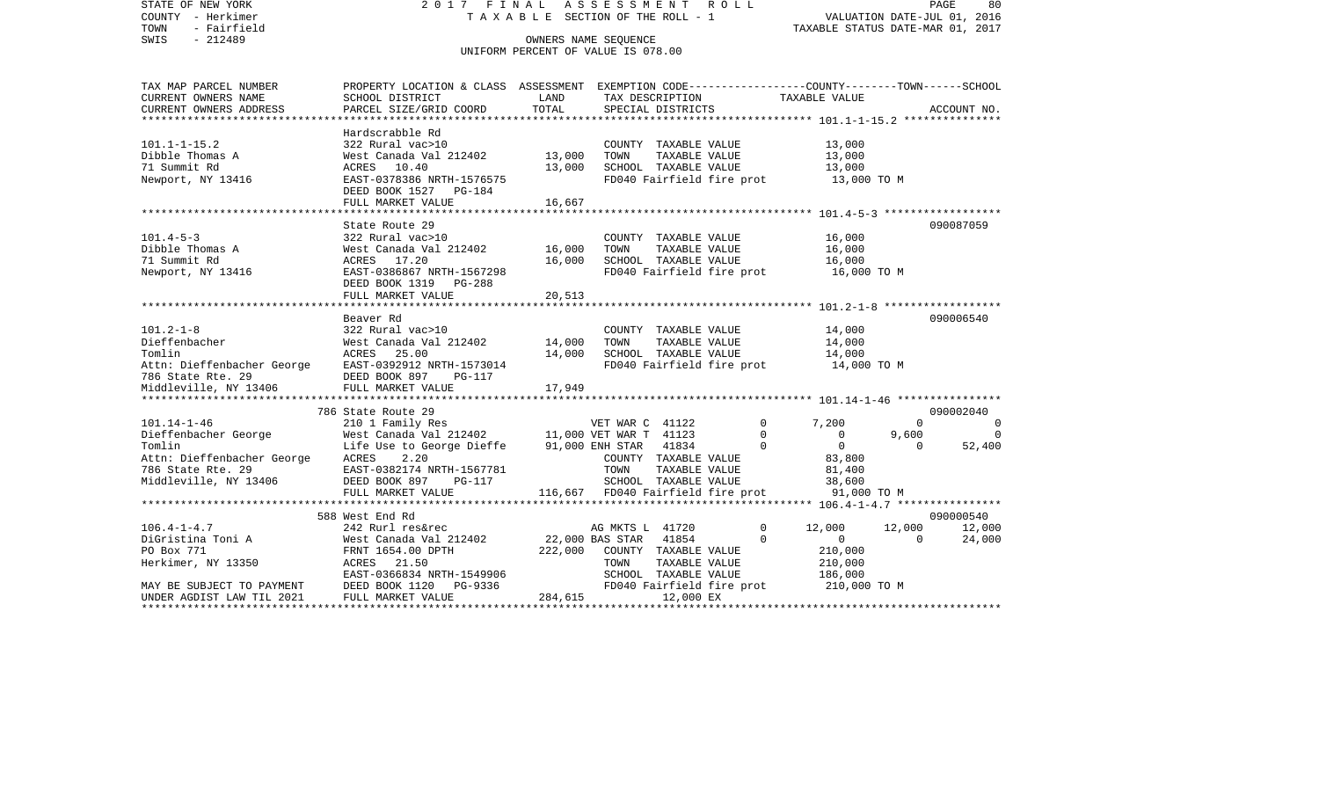| STATE OF NEW YORK                                                                   | 2017 FINAL ASSESSMENT ROLL                                                                       |                                       |                 |                      |                           |                                                 |                             | PAGE<br>80               |
|-------------------------------------------------------------------------------------|--------------------------------------------------------------------------------------------------|---------------------------------------|-----------------|----------------------|---------------------------|-------------------------------------------------|-----------------------------|--------------------------|
| COUNTY - Herkimer                                                                   |                                                                                                  | T A X A B L E SECTION OF THE ROLL - 1 |                 |                      |                           |                                                 | VALUATION DATE-JUL 01, 2016 |                          |
| TOWN<br>- Fairfield                                                                 |                                                                                                  |                                       |                 |                      |                           | TAXABLE STATUS DATE-MAR 01, 2017                |                             |                          |
| SWIS<br>$-212489$                                                                   |                                                                                                  | OWNERS NAME SEQUENCE                  |                 |                      |                           |                                                 |                             |                          |
|                                                                                     |                                                                                                  | UNIFORM PERCENT OF VALUE IS 078.00    |                 |                      |                           |                                                 |                             |                          |
|                                                                                     |                                                                                                  |                                       |                 |                      |                           |                                                 |                             |                          |
| TAX MAP PARCEL NUMBER                                                               | PROPERTY LOCATION & CLASS ASSESSMENT EXEMPTION CODE----------------COUNTY-------TOWN------SCHOOL |                                       |                 |                      |                           |                                                 |                             |                          |
| CURRENT OWNERS NAME                                                                 | SCHOOL DISTRICT                                                                                  | LAND                                  |                 | TAX DESCRIPTION      |                           | TAXABLE VALUE                                   |                             |                          |
| CURRENT OWNERS ADDRESS                                                              | PARCEL SIZE/GRID COORD                                                                           | TOTAL                                 |                 | SPECIAL DISTRICTS    |                           |                                                 |                             | ACCOUNT NO.              |
|                                                                                     | Hardscrabble Rd                                                                                  |                                       |                 |                      |                           |                                                 |                             |                          |
| $101.1 - 1 - 15.2$                                                                  | 322 Rural vac>10                                                                                 |                                       |                 | COUNTY TAXABLE VALUE |                           | 13,000                                          |                             |                          |
| Dibble Thomas A                                                                     | West Canada Val 212402                                                                           | 13,000                                | TOWN            | TAXABLE VALUE        |                           | 13,000                                          |                             |                          |
| 71 Summit Rd                                                                        | ACRES 10.40                                                                                      | 13,000                                |                 | SCHOOL TAXABLE VALUE |                           | 13,000                                          |                             |                          |
| Newport, NY 13416                                                                   | EAST-0378386 NRTH-1576575                                                                        |                                       |                 |                      | FD040 Fairfield fire prot | 13,000 TO M                                     |                             |                          |
|                                                                                     | DEED BOOK 1527 PG-184                                                                            |                                       |                 |                      |                           |                                                 |                             |                          |
|                                                                                     | FULL MARKET VALUE                                                                                | 16,667                                |                 |                      |                           |                                                 |                             |                          |
|                                                                                     |                                                                                                  |                                       |                 |                      |                           |                                                 |                             |                          |
|                                                                                     | State Route 29                                                                                   |                                       |                 |                      |                           |                                                 |                             | 090087059                |
| 101.4-5-3                                                                           | 322 Rural vac>10                                                                                 |                                       |                 | COUNTY TAXABLE VALUE |                           | 16,000                                          |                             |                          |
| Dibble Thomas A                                                                     | West Canada Val 212402                                                                           | 16,000                                | TOWN            | TAXABLE VALUE        |                           | 16,000                                          |                             |                          |
| 71 Summit Rd                                                                        | ACRES 17.20                                                                                      | 16,000                                |                 | SCHOOL TAXABLE VALUE |                           | 16,000                                          |                             |                          |
| Newport, NY 13416                                                                   | EAST-0386867 NRTH-1567298                                                                        |                                       |                 |                      | FD040 Fairfield fire prot | 16,000 TO M                                     |                             |                          |
|                                                                                     | DEED BOOK 1319 PG-288                                                                            |                                       |                 |                      |                           |                                                 |                             |                          |
|                                                                                     | FULL MARKET VALUE                                                                                | 20,513                                |                 |                      |                           |                                                 |                             |                          |
|                                                                                     |                                                                                                  |                                       |                 |                      |                           |                                                 |                             |                          |
|                                                                                     | Beaver Rd                                                                                        |                                       |                 |                      |                           |                                                 |                             | 090006540                |
| $101.2 - 1 - 8$                                                                     | 322 Rural vac>10                                                                                 |                                       |                 | COUNTY TAXABLE VALUE |                           | 14,000                                          |                             |                          |
| Dieffenbacher                                                                       | West Canada Val 212402                                                                           | 14,000                                | TOWN            | TAXABLE VALUE        |                           | 14,000                                          |                             |                          |
| Tomlin                                                                              | ACRES<br>25.00                                                                                   | 14,000                                |                 | SCHOOL TAXABLE VALUE |                           | 14,000                                          |                             |                          |
|                                                                                     |                                                                                                  |                                       |                 |                      | FD040 Fairfield fire prot | 14,000 TO M                                     |                             |                          |
|                                                                                     |                                                                                                  |                                       |                 |                      |                           |                                                 |                             |                          |
| Middleville, NY 13406                                                               | FULL MARKET VALUE                                                                                | 17,949                                |                 |                      |                           |                                                 |                             |                          |
|                                                                                     |                                                                                                  |                                       |                 |                      |                           |                                                 |                             |                          |
|                                                                                     | 786 State Route 29                                                                               |                                       |                 |                      |                           |                                                 |                             | 090002040                |
| 101.14-1-46                                                                         | 210 1 Family Res<br>West Canada Val 212402 11,000 VET WAR T 41123                                |                                       | VET WAR C 41122 |                      |                           | $\mathbf 0$<br>7,200                            | $\Omega$                    | $\overline{0}$           |
| Dieffenbacher George                                                                |                                                                                                  |                                       | 91,000 ENH STAR | 41834                | $\Omega$                  | $\mathbf 0$<br>$\overline{0}$<br>$\overline{0}$ | 9,600<br>$\Omega$           | $\overline{0}$<br>52,400 |
| Tomlin<br>Attn: Dieffenbacher George                                                | Life Use to George Dieffe<br>2.20                                                                |                                       |                 | COUNTY TAXABLE VALUE |                           | 83,800                                          |                             |                          |
| 786 State Rte. 29                                                                   | ACRES<br>EAST-0382174 NRTH-1567781                                                               |                                       | TOWN            | TAXABLE VALUE        |                           |                                                 |                             |                          |
| Middleville, NY 13406                                                               | DEED BOOK 897<br>PG-117                                                                          |                                       |                 | SCHOOL TAXABLE VALUE |                           | 81,400<br>38,600                                |                             |                          |
|                                                                                     | FULL MARKET VALUE                                                                                | 116,667 FD040 Fairfield fire prot     |                 |                      |                           | 91,000 TO M                                     |                             |                          |
|                                                                                     |                                                                                                  |                                       |                 |                      |                           |                                                 |                             |                          |
|                                                                                     | 588 West End Rd                                                                                  |                                       |                 |                      |                           |                                                 |                             | 090000540                |
| $106.4 - 1 - 4.7$                                                                   | 242 Rurl res&rec                                                                                 |                                       | AG MKTS L 41720 |                      |                           | $\mathbf 0$<br>12,000                           | 12,000                      | 12,000                   |
| DiGristina Toni A                                                                   | West Canada Val 212402                                                                           | 22,000 BAS STAR                       |                 | 41854                | $\Omega$                  | $\mathbf{0}$                                    | $\Omega$                    | 24,000                   |
| PO Box 771                                                                          | FRNT 1654.00 DPTH                                                                                | 222,000                               |                 | COUNTY TAXABLE VALUE |                           | 210,000                                         |                             |                          |
| Herkimer, NY 13350                                                                  | ACRES 21.50                                                                                      |                                       | TOWN            | TAXABLE VALUE        |                           | 210,000                                         |                             |                          |
|                                                                                     | EAST-0366834 NRTH-1549906                                                                        |                                       |                 | SCHOOL TAXABLE VALUE |                           | 186,000                                         |                             |                          |
|                                                                                     | DEED BOOK 1120<br>PG-9336                                                                        |                                       |                 |                      | FD040 Fairfield fire prot | 210,000 TO M                                    |                             |                          |
| MAY BE SUBJECT TO PAYMENT<br>UNDER AGDIST LAW TIL 2021<br>UNDER AGDIST LAW TIL 2021 | FULL MARKET VALUE                                                                                | 284,615                               |                 | 12,000 EX            |                           |                                                 |                             |                          |
|                                                                                     |                                                                                                  |                                       |                 |                      |                           |                                                 |                             |                          |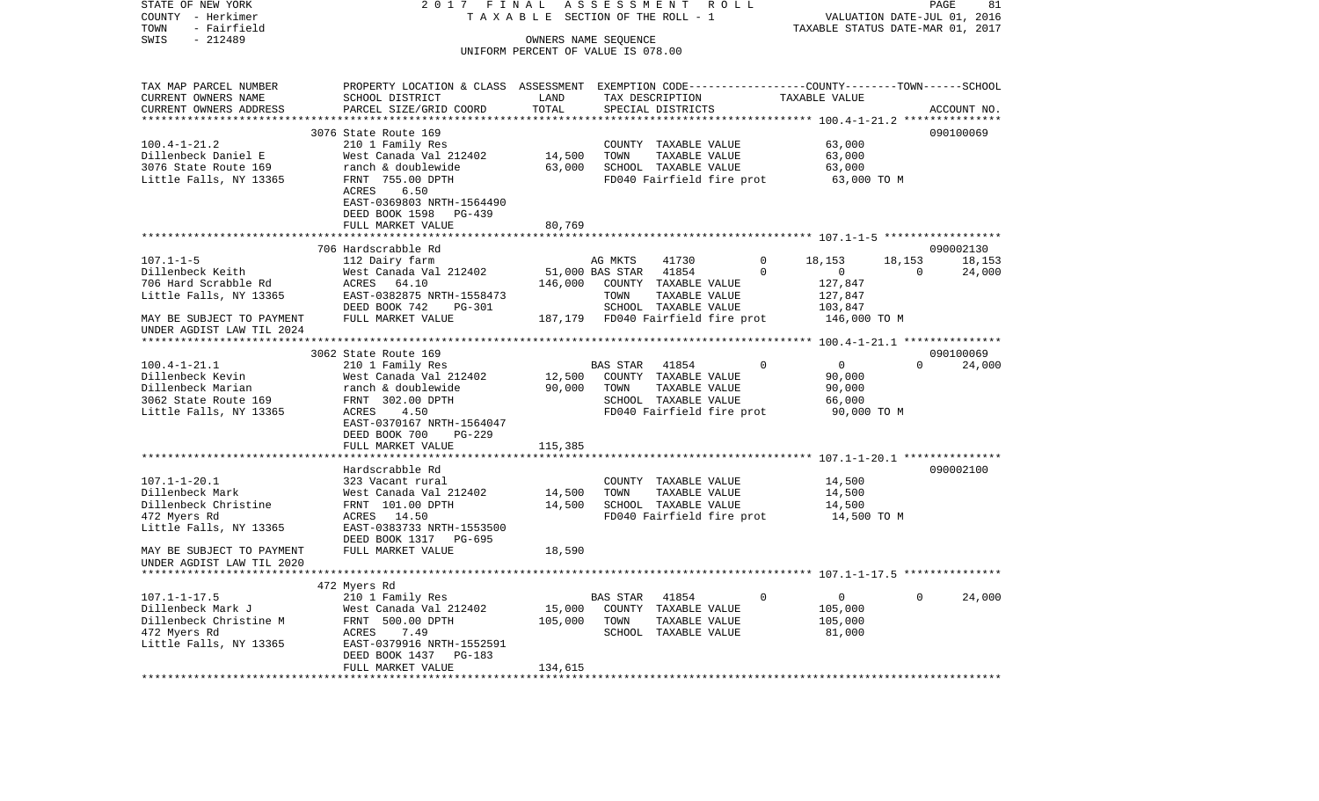COUNTY - Herkimer T A X A B L E SECTION OF THE ROLL - 1 VALUATION DATE-JUL 01, 2016 TOWN - Fairfield TAXABLE STATUS DATE-MAR 01, 2017 SWIS - 212489 CONNERS NAME SEQUENCE UNIFORM PERCENT OF VALUE IS 078.00TAX MAP PARCEL NUMBER PROPERTY LOCATION & CLASS ASSESSMENT EXEMPTION CODE------------------COUNTY--------TOWN------SCHOOL CURRENT OWNERS NAME SCHOOL DISTRICT LAND TAX DESCRIPTION TAXABLE VALUECURRENT OWNERS ADDRESS PARCEL SIZE/GRID COORD TOTAL SPECIAL DISTRICTS ACCOUNT NO. \*\*\*\*\*\*\*\*\*\*\*\*\*\*\*\*\*\*\*\*\*\*\*\*\*\*\*\*\*\*\*\*\*\*\*\*\*\*\*\*\*\*\*\*\*\*\*\*\*\*\*\*\*\*\*\*\*\*\*\*\*\*\*\*\*\*\*\*\*\*\*\*\*\*\*\*\*\*\*\*\*\*\*\*\*\*\*\*\*\*\*\*\*\*\*\*\*\*\*\*\*\*\* 100.4-1-21.2 \*\*\*\*\*\*\*\*\*\*\*\*\*\*\*3076 State Route 169 090100069 100.4-1-21.2 210 1 Family Res COUNTY TAXABLE VALUE 63,000 Dillenbeck Daniel E West Canada Val 212402 14,500 TOWN TAXABLE VALUE 63,000 3076 State Route 169 ranch & doublewide 63,000 SCHOOL TAXABLE VALUE 63,000 Little Falls, NY 13365 FRNT 755.00 DPTH FD040 Fairfield fire prot 63,000 TO M ACRES 6.50 EAST-0369803 NRTH-1564490 DEED BOOK 1598 PG-439 FULL MARKET VALUE 80,769 \*\*\*\*\*\*\*\*\*\*\*\*\*\*\*\*\*\*\*\*\*\*\*\*\*\*\*\*\*\*\*\*\*\*\*\*\*\*\*\*\*\*\*\*\*\*\*\*\*\*\*\*\*\*\*\*\*\*\*\*\*\*\*\*\*\*\*\*\*\*\*\*\*\*\*\*\*\*\*\*\*\*\*\*\*\*\*\*\*\*\*\*\*\*\*\*\*\*\*\*\*\*\* 107.1-1-5 \*\*\*\*\*\*\*\*\*\*\*\*\*\*\*\*\*\* 706 Hardscrabble Rd 090002130107.1-1-5 112 Dairy farm AG MKTS 41730 0 18,153 18,153 18,153 Dillenbeck Keith West Canada Val 212402 51,000 BAS STAR 41854 0 0 0 24,000 706 Hard Scrabble Rd ACRES 64.10 146,000 COUNTY TAXABLE VALUE 127,847 Little Falls, NY 13365 688T-0382875 NRTH-1558473 TOWN TAXABLE VALUE 127,847 DEED BOOK 742 PG-301 SCHOOL TAXABLE VALUE 103,847 MAY BE SUBJECT TO PAYMENT FULL MARKET VALUE 187,179 FD040 Fairfield fire prot 146,000 TO M UNDER AGDIST LAW TIL 2024 \*\*\*\*\*\*\*\*\*\*\*\*\*\*\*\*\*\*\*\*\*\*\*\*\*\*\*\*\*\*\*\*\*\*\*\*\*\*\*\*\*\*\*\*\*\*\*\*\*\*\*\*\*\*\*\*\*\*\*\*\*\*\*\*\*\*\*\*\*\*\*\*\*\*\*\*\*\*\*\*\*\*\*\*\*\*\*\*\*\*\*\*\*\*\*\*\*\*\*\*\*\*\* 100.4-1-21.1 \*\*\*\*\*\*\*\*\*\*\*\*\*\*\* 3062 State Route 169 090100069100.4-1-21.1 210 1 Family Res BAS STAR 41854 0 0 0 24,000 Dillenbeck Kevin West Canada Val 212402 12,500 COUNTY TAXABLE VALUE 90,000 Dillenbeck Marian ranch & doublewide 90,000 TOWN TAXABLE VALUE 90,000 3062 State Route 169 FRNT 302.00 DPTH SCHOOL TAXABLE VALUE 66,000 Little Falls, NY 13365 ACRES 4.50 ACRES 4.50 FD040 Fairfield fire prot 90,000 TO M EAST-0370167 NRTH-1564047 DEED BOOK 700 PG-229FULL MARKET VALUE 115,385 \*\*\*\*\*\*\*\*\*\*\*\*\*\*\*\*\*\*\*\*\*\*\*\*\*\*\*\*\*\*\*\*\*\*\*\*\*\*\*\*\*\*\*\*\*\*\*\*\*\*\*\*\*\*\*\*\*\*\*\*\*\*\*\*\*\*\*\*\*\*\*\*\*\*\*\*\*\*\*\*\*\*\*\*\*\*\*\*\*\*\*\*\*\*\*\*\*\*\*\*\*\*\* 107.1-1-20.1 \*\*\*\*\*\*\*\*\*\*\*\*\*\*\* Hardscrabble Rd 090002100107.1-1-20.1 323 Vacant rural COUNTY TAXABLE VALUE 14,500 Dillenbeck Mark West Canada Val 212402 14,500 TOWN TAXABLE VALUE 14,500 Dillenbeck Christine FRNT 101.00 DPTH 14,500 SCHOOL TAXABLE VALUE 14,500 472 Myers Rd ACRES 14.50 FD040 Fairfield fire prot 14,500 TO M Little Falls, NY 13365 EAST-0383733 NRTH-1553500 DEED BOOK 1317 PG-695MAY BE SUBJECT TO PAYMENT FULL MARKET VALUE 18,590 UNDER AGDIST LAW TIL 2020 \*\*\*\*\*\*\*\*\*\*\*\*\*\*\*\*\*\*\*\*\*\*\*\*\*\*\*\*\*\*\*\*\*\*\*\*\*\*\*\*\*\*\*\*\*\*\*\*\*\*\*\*\*\*\*\*\*\*\*\*\*\*\*\*\*\*\*\*\*\*\*\*\*\*\*\*\*\*\*\*\*\*\*\*\*\*\*\*\*\*\*\*\*\*\*\*\*\*\*\*\*\*\* 107.1-1-17.5 \*\*\*\*\*\*\*\*\*\*\*\*\*\*\* 472 Myers Rd 107.1-1-17.5 210 1 Family Res BAS STAR 41854 0 0 0 24,000 Dillenbeck Mark J West Canada Val 212402 15,000 COUNTY TAXABLE VALUE 105,000 Dillenbeck Christine M FRNT 500.00 DPTH 105,000 TOWN TAXABLE VALUE 105,000 472 Myers Rd ACRES 7.49 SCHOOL TAXABLE VALUE 81,000 Little Falls, NY 13365 EAST-0379916 NRTH-1552591 DEED BOOK 1437 PG-183 FULL MARKET VALUE 134,615 \*\*\*\*\*\*\*\*\*\*\*\*\*\*\*\*\*\*\*\*\*\*\*\*\*\*\*\*\*\*\*\*\*\*\*\*\*\*\*\*\*\*\*\*\*\*\*\*\*\*\*\*\*\*\*\*\*\*\*\*\*\*\*\*\*\*\*\*\*\*\*\*\*\*\*\*\*\*\*\*\*\*\*\*\*\*\*\*\*\*\*\*\*\*\*\*\*\*\*\*\*\*\*\*\*\*\*\*\*\*\*\*\*\*\*\*\*\*\*\*\*\*\*\*\*\*\*\*\*\*\*\*

STATE OF NEW YORK 2 0 1 7 F I N A L A S S E S S M E N T R O L L PAGE 81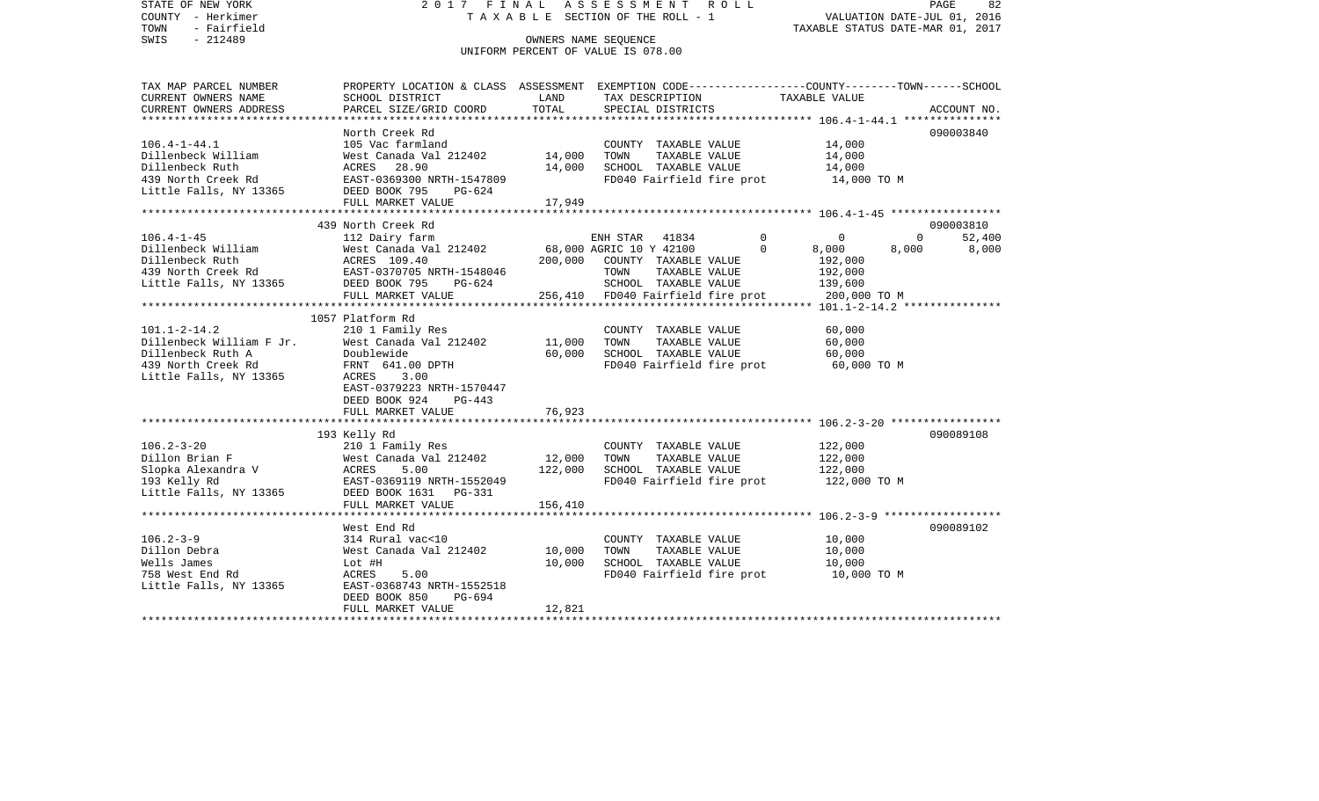STATE OF NEW YORK 2 0 1 7 F I N A L A S S E S S M E N T R O L L PAGE 82COUNTY - Herkimer T A X A B L E SECTION OF THE ROLL - 1 VALUATION DATE-JUL 01, 2016 TOWN - Fairfield TAXABLE STATUS DATE-MAR 01, 2017 SWIS - 212489 CONNERS NAME SEQUENCE UNIFORM PERCENT OF VALUE IS 078.00TAX MAP PARCEL NUMBER PROPERTY LOCATION & CLASS ASSESSMENT EXEMPTION CODE------------------COUNTY--------TOWN------SCHOOL CURRENT OWNERS NAME SCHOOL DISTRICT LAND TAX DESCRIPTION TAXABLE VALUECURRENT OWNERS ADDRESS PARCEL SIZE/GRID COORD TOTAL SPECIAL DISTRICTS ACCOUNT NO. \*\*\*\*\*\*\*\*\*\*\*\*\*\*\*\*\*\*\*\*\*\*\*\*\*\*\*\*\*\*\*\*\*\*\*\*\*\*\*\*\*\*\*\*\*\*\*\*\*\*\*\*\*\*\*\*\*\*\*\*\*\*\*\*\*\*\*\*\*\*\*\*\*\*\*\*\*\*\*\*\*\*\*\*\*\*\*\*\*\*\*\*\*\*\*\*\*\*\*\*\*\*\* 106.4-1-44.1 \*\*\*\*\*\*\*\*\*\*\*\*\*\*\*North Creek Rd 090003840 106.4-1-44.1 105 Vac farmland COUNTY TAXABLE VALUE 14,000 Dillenbeck William West Canada Val 212402 14,000 TOWN TAXABLE VALUE 14,000 Dillenbeck Ruth ACRES 28.90 14,000 SCHOOL TAXABLE VALUE 14,000 439 North Creek Rd EAST-0369300 NRTH-1547809 FD040 Fairfield fire prot 14,000 TO M Little Falls, NY 13365 DEED BOOK 795 PG-624 FULL MARKET VALUE 17,949 \*\*\*\*\*\*\*\*\*\*\*\*\*\*\*\*\*\*\*\*\*\*\*\*\*\*\*\*\*\*\*\*\*\*\*\*\*\*\*\*\*\*\*\*\*\*\*\*\*\*\*\*\*\*\*\*\*\*\*\*\*\*\*\*\*\*\*\*\*\*\*\*\*\*\*\*\*\*\*\*\*\*\*\*\*\*\*\*\*\*\*\*\*\*\*\*\*\*\*\*\*\*\* 106.4-1-45 \*\*\*\*\*\*\*\*\*\*\*\*\*\*\*\*\* 439 North Creek Rd 090003810106.4-1-45 112 Dairy farm ENH STAR 41834 0 0 0 52,400 West Canada Val 212402 68,000 AGRIC 10 Y 42100 0 8,000 8,000 8,000 8,000 Dillenbeck Ruth ACRES 109.40 200,000 COUNTY TAXABLE VALUE 192,000 439 North Creek Rd EAST-0370705 NRTH-1548046 TOWN TAXABLE VALUE 192,000 Little Falls, NY 13365 DEED BOOK 795 PG-624 SCHOOL TAXABLE VALUE 139,600 FULL MARKET VALUE 256,410 FD040 Fairfield fire prot 200,000 TO M \*\*\*\*\*\*\*\*\*\*\*\*\*\*\*\*\*\*\*\*\*\*\*\*\*\*\*\*\*\*\*\*\*\*\*\*\*\*\*\*\*\*\*\*\*\*\*\*\*\*\*\*\*\*\*\*\*\*\*\*\*\*\*\*\*\*\*\*\*\*\*\*\*\*\*\*\*\*\*\*\*\*\*\*\*\*\*\*\*\*\*\*\*\*\*\*\*\*\*\*\*\*\* 101.1-2-14.2 \*\*\*\*\*\*\*\*\*\*\*\*\*\*\* 1057 Platform Rd101.1-2-14.2 210 1 Family Res COUNTY TAXABLE VALUE 60,000 Dillenbeck William F Jr. West Canada Val 212402 11,000 TOWN TAXABLE VALUE 60,000 Dillenbeck Ruth A Doublewide 60,000 SCHOOL TAXABLE VALUE 60,000 439 North Creek Rd FRNT 641.00 DPTH FD040 Fairfield fire prot 60,000 TO M Little Falls, NY 13365 ACRES 3.00 EAST-0379223 NRTH-1570447 DEED BOOK 924 PG-443FULL MARKET VALUE 76,923 \*\*\*\*\*\*\*\*\*\*\*\*\*\*\*\*\*\*\*\*\*\*\*\*\*\*\*\*\*\*\*\*\*\*\*\*\*\*\*\*\*\*\*\*\*\*\*\*\*\*\*\*\*\*\*\*\*\*\*\*\*\*\*\*\*\*\*\*\*\*\*\*\*\*\*\*\*\*\*\*\*\*\*\*\*\*\*\*\*\*\*\*\*\*\*\*\*\*\*\*\*\*\* 106.2-3-20 \*\*\*\*\*\*\*\*\*\*\*\*\*\*\*\*\* 193 Kelly Rd 090089108 106.2-3-20 210 1 Family Res COUNTY TAXABLE VALUE 122,000 Dillon Brian F West Canada Val 212402 12,000 TOWN TAXABLE VALUE 122,000 Slopka Alexandra V ACRES 5.00 122,000 SCHOOL TAXABLE VALUE 122,000 193 Kelly Rd EAST-0369119 NRTH-1552049 FD040 Fairfield fire prot 122,000 TO M Little Falls, NY 13365 DEED BOOK 1631 PG-331 FULL MARKET VALUE 156,410 \*\*\*\*\*\*\*\*\*\*\*\*\*\*\*\*\*\*\*\*\*\*\*\*\*\*\*\*\*\*\*\*\*\*\*\*\*\*\*\*\*\*\*\*\*\*\*\*\*\*\*\*\*\*\*\*\*\*\*\*\*\*\*\*\*\*\*\*\*\*\*\*\*\*\*\*\*\*\*\*\*\*\*\*\*\*\*\*\*\*\*\*\*\*\*\*\*\*\*\*\*\*\* 106.2-3-9 \*\*\*\*\*\*\*\*\*\*\*\*\*\*\*\*\*\* West End Rd 090089102106.2-3-9 314 Rural vac<10 COUNTY TAXABLE VALUE 10,000 Dillon Debra West Canada Val 212402 10,000 TOWN TAXABLE VALUE 10,000 Wells James Lot #H 10,000 SCHOOL TAXABLE VALUE 10,000 758 West End Rd **ACRES** 5.00 FD040 Fairfield fire prot 10,000 TO M Little Falls, NY 13365 EAST-0368743 NRTH-1552518 DEED BOOK 850 PG-694FULL MARKET VALUE 12.821 \*\*\*\*\*\*\*\*\*\*\*\*\*\*\*\*\*\*\*\*\*\*\*\*\*\*\*\*\*\*\*\*\*\*\*\*\*\*\*\*\*\*\*\*\*\*\*\*\*\*\*\*\*\*\*\*\*\*\*\*\*\*\*\*\*\*\*\*\*\*\*\*\*\*\*\*\*\*\*\*\*\*\*\*\*\*\*\*\*\*\*\*\*\*\*\*\*\*\*\*\*\*\*\*\*\*\*\*\*\*\*\*\*\*\*\*\*\*\*\*\*\*\*\*\*\*\*\*\*\*\*\*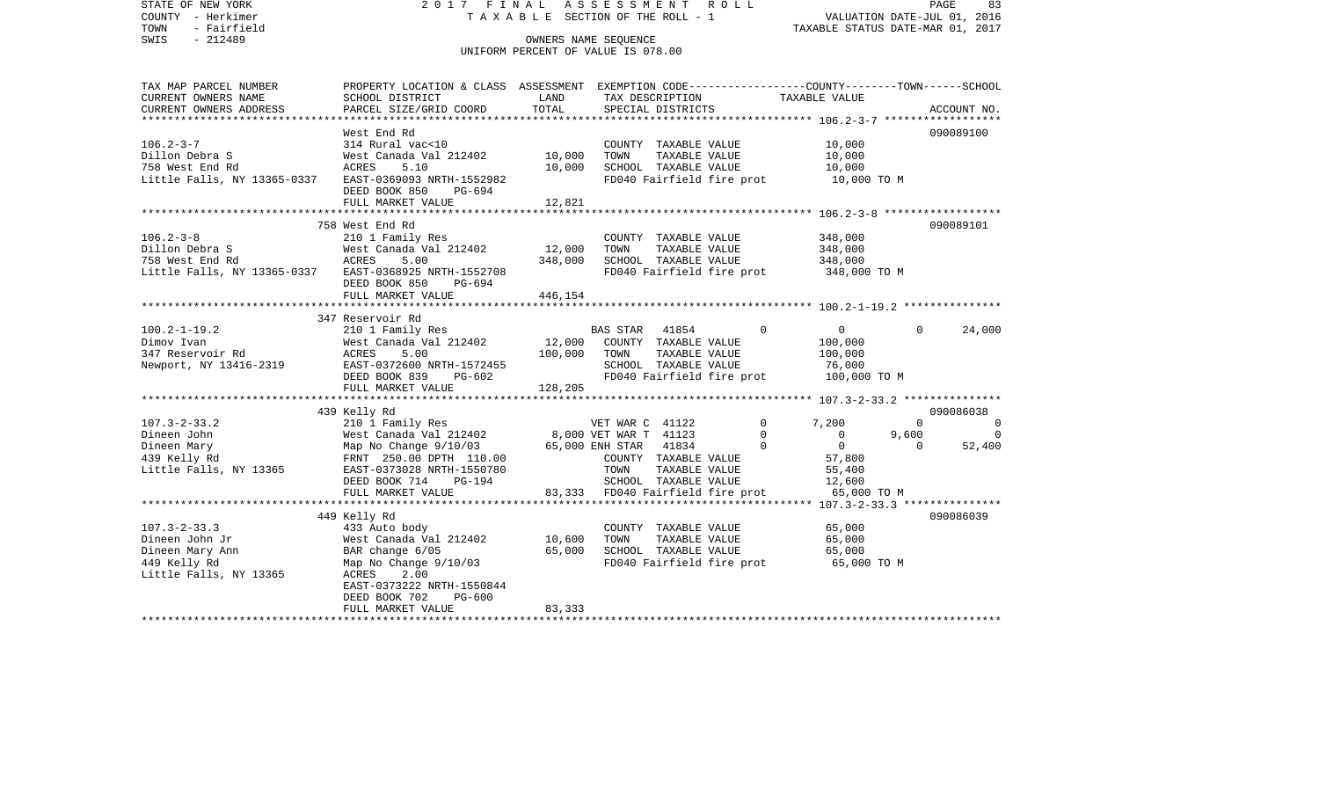STATE OF NEW YORK 2 0 1 7 F I N A L A S S E S S M E N T R O L L PAGE 83COUNTY - Herkimer T A X A B L E SECTION OF THE ROLL - 1 VALUATION DATE-JUL 01, 2016 TOWN - Fairfield TAXABLE STATUS DATE-MAR 01, 2017 SWIS - 212489 OWNERS NAME SEQUENCE UNIFORM PERCENT OF VALUE IS 078.00TAX MAP PARCEL NUMBER PROPERTY LOCATION & CLASS ASSESSMENT EXEMPTION CODE------------------COUNTY--------TOWN------SCHOOL CURRENT OWNERS NAME SCHOOL DISTRICT LAND TAX DESCRIPTION TAXABLE VALUECURRENT OWNERS ADDRESS PARCEL SIZE/GRID COORD TOTAL SPECIAL DISTRICTS ACCOUNT NO. \*\*\*\*\*\*\*\*\*\*\*\*\*\*\*\*\*\*\*\*\*\*\*\*\*\*\*\*\*\*\*\*\*\*\*\*\*\*\*\*\*\*\*\*\*\*\*\*\*\*\*\*\*\*\*\*\*\*\*\*\*\*\*\*\*\*\*\*\*\*\*\*\*\*\*\*\*\*\*\*\*\*\*\*\*\*\*\*\*\*\*\*\*\*\*\*\*\*\*\*\*\*\* 106.2-3-7 \*\*\*\*\*\*\*\*\*\*\*\*\*\*\*\*\*\*West End Rd 090089100 106.2-3-7 314 Rural vac<10 COUNTY TAXABLE VALUE 10,000 Dillon Debra S West Canada Val 212402 10,000 TOWN TAXABLE VALUE 10,000 758 West End Rd ACRES 5.10 10,000 SCHOOL TAXABLE VALUE 10,000 Little Falls, NY 13365-0337 EAST-0369093 NRTH-1552982 FD040 Fairfield fire prot 10,000 TO M DEED BOOK 850 PG-694FULL MARKET VALUE 12,821 \*\*\*\*\*\*\*\*\*\*\*\*\*\*\*\*\*\*\*\*\*\*\*\*\*\*\*\*\*\*\*\*\*\*\*\*\*\*\*\*\*\*\*\*\*\*\*\*\*\*\*\*\*\*\*\*\*\*\*\*\*\*\*\*\*\*\*\*\*\*\*\*\*\*\*\*\*\*\*\*\*\*\*\*\*\*\*\*\*\*\*\*\*\*\*\*\*\*\*\*\*\*\* 106.2-3-8 \*\*\*\*\*\*\*\*\*\*\*\*\*\*\*\*\*\* 758 West End Rd 090089101106.2-3-8 210 1 Family Res COUNTY TAXABLE VALUE 348,000  $West$  Canada Val 212402 12,000 TOWN 758 West End Rd ACRES 5.00 348,000 SCHOOL TAXABLE VALUE 348,000 Little Falls, NY 13365-0337 EAST-0368925 NRTH-1552708 FD040 Fairfield fire prot 348,000 TO M DEED BOOK 850 PG-694FULL MARKET VALUE 446,154 \*\*\*\*\*\*\*\*\*\*\*\*\*\*\*\*\*\*\*\*\*\*\*\*\*\*\*\*\*\*\*\*\*\*\*\*\*\*\*\*\*\*\*\*\*\*\*\*\*\*\*\*\*\*\*\*\*\*\*\*\*\*\*\*\*\*\*\*\*\*\*\*\*\*\*\*\*\*\*\*\*\*\*\*\*\*\*\*\*\*\*\*\*\*\*\*\*\*\*\*\*\*\* 100.2-1-19.2 \*\*\*\*\*\*\*\*\*\*\*\*\*\*\* 347 Reservoir Rd100.2-1-19.2 210 1 Family Res BAS STAR 41854 0 0 0 24,000 Dimov Ivan West Canada Val 212402 12,000 COUNTY TAXABLE VALUE 100,000 347 Reservoir Rd ACRES 5.00 100,000 TOWN TAXABLE VALUE 100,000 Newport, NY 13416-2319 EAST-0372600 NRTH-1572455 SCHOOL TAXABLE VALUE 76,000 DEED BOOK 839 PG-602 FD040 Fairfield fire prot 100,000 TO M FULL MARKET VALUE 128,205 \*\*\*\*\*\*\*\*\*\*\*\*\*\*\*\*\*\*\*\*\*\*\*\*\*\*\*\*\*\*\*\*\*\*\*\*\*\*\*\*\*\*\*\*\*\*\*\*\*\*\*\*\*\*\*\*\*\*\*\*\*\*\*\*\*\*\*\*\*\*\*\*\*\*\*\*\*\*\*\*\*\*\*\*\*\*\*\*\*\*\*\*\*\*\*\*\*\*\*\*\*\*\* 107.3-2-33.2 \*\*\*\*\*\*\*\*\*\*\*\*\*\*\* 439 Kelly Rd 090086038 107.3-2-33.2 210 1 Family Res VET WAR C 41122 0 7,200 0 0 Dineen John West Canada Val 212402 8,000 VET WAR T 41123 0 0 9,600 0 Dineen Mary 65,000 ENH STAR 41834 0 0 0 52,400 439 Kelly Rd FRNT 250.00 DPTH 110.00 COUNTY TAXABLE VALUE 57,800 Little Falls, NY 13365 EAST-0373028 NRTH-1550780 TOWN TAXABLE VALUE 55,400 DEED BOOK 714 PG-194 SCHOOL TAXABLE VALUE 12,600 FULL MARKET VALUE 83,333 FD040 Fairfield fire prot 65,000 TO M \*\*\*\*\*\*\*\*\*\*\*\*\*\*\*\*\*\*\*\*\*\*\*\*\*\*\*\*\*\*\*\*\*\*\*\*\*\*\*\*\*\*\*\*\*\*\*\*\*\*\*\*\*\*\*\*\*\*\*\*\*\*\*\*\*\*\*\*\*\*\*\*\*\*\*\*\*\*\*\*\*\*\*\*\*\*\*\*\*\*\*\*\*\*\*\*\*\*\*\*\*\*\* 107.3-2-33.3 \*\*\*\*\*\*\*\*\*\*\*\*\*\*\* 449 Kelly Rd 090086039 107.3-2-33.3 433 Auto body COUNTY TAXABLE VALUE 65,000 Dineen John Jr West Canada Val 212402 10,600 TOWN TAXABLE VALUE 65,000 Dineen Mary Ann BAR change 6/05 65,000 SCHOOL TAXABLE VALUE 65,000 449 Kelly Rd Map No Change 9/10/03 FD040 Fairfield fire prot 65,000 TO M Little Falls, NY 13365 ACRES 2.00 EAST-0373222 NRTH-1550844 DEED BOOK 702 PG-600FULL MARKET VALUE 83,333 \*\*\*\*\*\*\*\*\*\*\*\*\*\*\*\*\*\*\*\*\*\*\*\*\*\*\*\*\*\*\*\*\*\*\*\*\*\*\*\*\*\*\*\*\*\*\*\*\*\*\*\*\*\*\*\*\*\*\*\*\*\*\*\*\*\*\*\*\*\*\*\*\*\*\*\*\*\*\*\*\*\*\*\*\*\*\*\*\*\*\*\*\*\*\*\*\*\*\*\*\*\*\*\*\*\*\*\*\*\*\*\*\*\*\*\*\*\*\*\*\*\*\*\*\*\*\*\*\*\*\*\*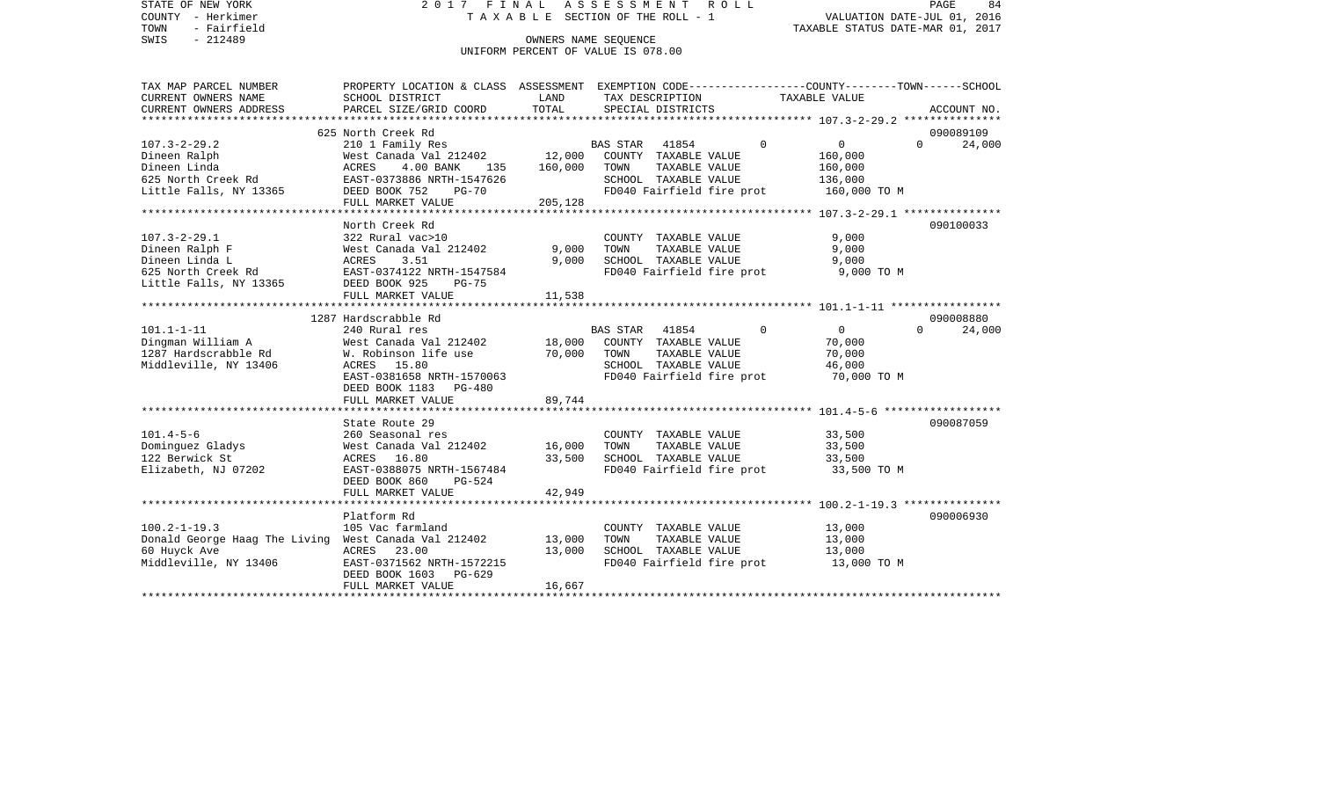| STATE OF NEW YORK<br>COUNTY - Herkimer<br>TOWN<br>- Fairfield           |                                                                                                  |                        | 2017 FINAL ASSESSMENT ROLL<br>TAXABLE SECTION OF THE ROLL - 1 |                            | PAGE<br>84<br>VALUATION DATE-JUL 01, 2016<br>TAXABLE STATUS DATE-MAR 01, 2017 |
|-------------------------------------------------------------------------|--------------------------------------------------------------------------------------------------|------------------------|---------------------------------------------------------------|----------------------------|-------------------------------------------------------------------------------|
| SWIS<br>$-212489$                                                       |                                                                                                  |                        |                                                               |                            |                                                                               |
|                                                                         |                                                                                                  |                        | UNIFORM PERCENT OF VALUE IS 078.00                            |                            |                                                                               |
| TAX MAP PARCEL NUMBER                                                   | PROPERTY LOCATION & CLASS ASSESSMENT EXEMPTION CODE----------------COUNTY-------TOWN------SCHOOL |                        |                                                               |                            |                                                                               |
| CURRENT OWNERS NAME                                                     | SCHOOL DISTRICT                                                                                  | LAND                   | TAX DESCRIPTION                                               | TAXABLE VALUE              |                                                                               |
| CURRENT OWNERS ADDRESS                                                  | PARCEL SIZE/GRID COORD                                                                           | TOTAL                  | SPECIAL DISTRICTS                                             |                            | ACCOUNT NO.                                                                   |
|                                                                         | 625 North Creek Rd                                                                               |                        |                                                               |                            | 090089109                                                                     |
| $107.3 - 2 - 29.2$                                                      | 210 1 Family Res                                                                                 |                        | BAS STAR<br>41854                                             | $\Omega$<br>$\overline{0}$ | $\Omega$<br>24,000                                                            |
| Dineen Ralph                                                            | West Canada Val 212402                                                                           | $12,000$ <sup>B.</sup> | COUNTY TAXABLE VALUE                                          | 160,000                    |                                                                               |
| Dineen Linda<br>625 North Creek Rd                                      | 4.00 BANK 135                                                                                    | 160,000                | TOWN<br>TAXABLE VALUE                                         | 160,000                    |                                                                               |
|                                                                         | ACRES 4.00 2020.<br>EAST-0373886 NRTH-1547626                                                    |                        | SCHOOL TAXABLE VALUE                                          | 136,000                    |                                                                               |
| Little Falls, NY 13365                                                  | DEED BOOK 752                                                                                    |                        | FD040 Fairfield fire prot                                     | 160,000 TO M               |                                                                               |
|                                                                         | FULL MARKET VALUE                                                                                | 205,128                |                                                               |                            |                                                                               |
|                                                                         |                                                                                                  |                        |                                                               |                            |                                                                               |
|                                                                         | North Creek Rd                                                                                   |                        |                                                               |                            | 090100033                                                                     |
| 107.3-2-29.1                                                            | 322 Rural vac>10<br>West Canada Val 212402                                                       | 9,000                  | COUNTY TAXABLE VALUE<br>TOWN<br>TAXABLE VALUE                 | 9,000<br>9,000             |                                                                               |
| Dineen Ralph F<br>Dineen Linda L                                        | ACRES<br>3.51                                                                                    | 9,000                  | SCHOOL TAXABLE VALUE                                          | 9,000                      |                                                                               |
| 625 North Creek Rd                                                      | EAST-0374122 NRTH-1547584                                                                        |                        | FD040 Fairfield fire prot                                     | 9,000 TO M                 |                                                                               |
| Little Falls, NY 13365                                                  | DEED BOOK 925<br>$PG-75$                                                                         |                        |                                                               |                            |                                                                               |
|                                                                         | FULL MARKET VALUE                                                                                | 11,538                 |                                                               |                            |                                                                               |
|                                                                         |                                                                                                  |                        |                                                               |                            |                                                                               |
|                                                                         | 1287 Hardscrabble Rd                                                                             |                        |                                                               |                            | 090008880                                                                     |
| $101.1 - 1 - 11$<br>101.1-1-11<br>Dingman William A<br>הוארי הוארי הואר | 240 Rural res                                                                                    |                        | BAS STAR 41854                                                | $\Omega$<br>$\overline{0}$ | 24,000<br>$\Omega$                                                            |
|                                                                         | West Canada Val 212402                                                                           | 18,000                 | COUNTY TAXABLE VALUE                                          | 70,000                     |                                                                               |
|                                                                         | W. Robinson life use                                                                             | 70,000                 | TAXABLE VALUE<br>TOWN                                         | 70,000                     |                                                                               |
| Middleville, NY 13406                                                   | ACRES 15.80                                                                                      |                        | SCHOOL TAXABLE VALUE                                          | 46,000                     |                                                                               |
|                                                                         | EAST-0381658 NRTH-1570063                                                                        |                        | FD040 Fairfield fire prot                                     | 70,000 TO M                |                                                                               |
|                                                                         | DEED BOOK 1183 PG-480                                                                            |                        |                                                               |                            |                                                                               |
|                                                                         | FULL MARKET VALUE                                                                                | 89,744                 |                                                               |                            |                                                                               |
|                                                                         | State Route 29                                                                                   |                        |                                                               |                            | 090087059                                                                     |
| $101.4 - 5 - 6$                                                         | 260 Seasonal res                                                                                 |                        | COUNTY TAXABLE VALUE                                          | 33,500                     |                                                                               |
| Dominguez Gladys                                                        | West Canada Val 212402                                                                           | 16,000                 | TOWN<br>TAXABLE VALUE                                         | 33,500                     |                                                                               |
| 122 Berwick St                                                          | ACRES 16.80                                                                                      | 33,500                 | SCHOOL TAXABLE VALUE                                          | 33,500                     |                                                                               |
| Elizabeth, NJ 07202                                                     | EAST-0388075 NRTH-1567484                                                                        |                        | FD040 Fairfield fire prot                                     | 33,500 TO M                |                                                                               |
|                                                                         | DEED BOOK 860<br>PG-524                                                                          |                        |                                                               |                            |                                                                               |
|                                                                         | FULL MARKET VALUE                                                                                | 42,949                 |                                                               |                            |                                                                               |
|                                                                         |                                                                                                  |                        |                                                               |                            |                                                                               |
|                                                                         | Platform Rd                                                                                      |                        |                                                               |                            | 090006930                                                                     |
| $100.2 - 1 - 19.3$                                                      | 105 Vac farmland                                                                                 |                        | COUNTY TAXABLE VALUE                                          | 13,000                     |                                                                               |
| Donald George Haag The Living West Canada Val 212402                    |                                                                                                  | 13,000                 | TAXABLE VALUE<br>TOWN                                         | 13,000                     |                                                                               |
| 60 Huyck Ave                                                            | ACRES<br>23.00                                                                                   | 13,000                 | SCHOOL TAXABLE VALUE                                          | 13,000                     |                                                                               |
| Middleville, NY 13406                                                   | EAST-0371562 NRTH-1572215<br>DEED BOOK 1603 PG-629                                               |                        | FD040 Fairfield fire prot                                     | 13,000 TO M                |                                                                               |
|                                                                         | סוו וגזו חסשם את ידווס                                                                           | 16.657                 |                                                               |                            |                                                                               |
|                                                                         |                                                                                                  |                        |                                                               |                            |                                                                               |

FULL MARKET VALUE 16,667 \*\*\*\*\*\*\*\*\*\*\*\*\*\*\*\*\*\*\*\*\*\*\*\*\*\*\*\*\*\*\*\*\*\*\*\*\*\*\*\*\*\*\*\*\*\*\*\*\*\*\*\*\*\*\*\*\*\*\*\*\*\*\*\*\*\*\*\*\*\*\*\*\*\*\*\*\*\*\*\*\*\*\*\*\*\*\*\*\*\*\*\*\*\*\*\*\*\*\*\*\*\*\*\*\*\*\*\*\*\*\*\*\*\*\*\*\*\*\*\*\*\*\*\*\*\*\*\*\*\*\*\*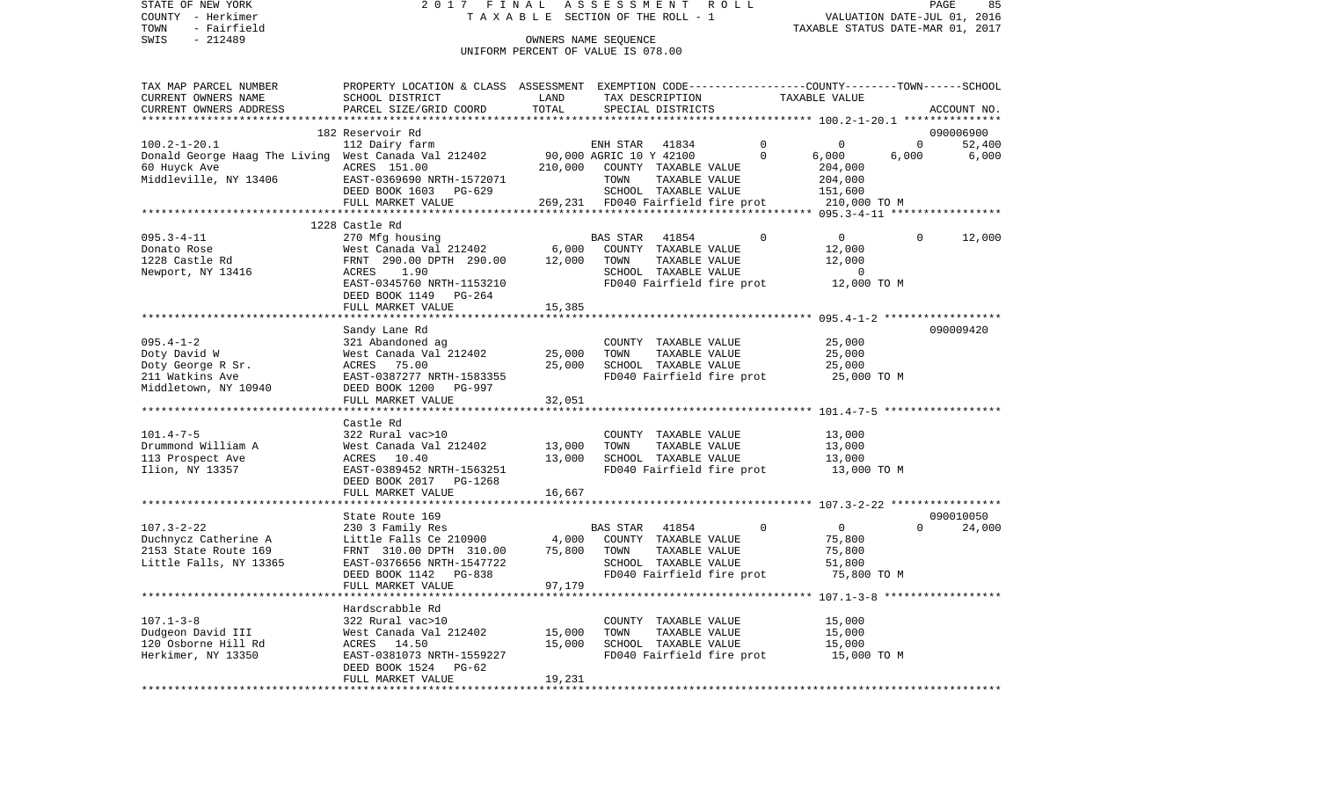STATE OF NEW YORK 2017 FINAL ASSESSMENT ROLL COUNTY - Herkimer T A X A B L E SECTION OF THE ROLL - 1 VALUATION DATE-JUL 01, 2016 TOWN - Fairfield TAXABLE STATUS DATE-MAR 01, 2017 OWNERS NAME SEQUENCE

UNIFORM PERCENT OF VALUE IS 078.00

| TAX MAP PARCEL NUMBER                                | PROPERTY LOCATION & CLASS ASSESSMENT EXEMPTION CODE---------------COUNTY-------TOWN------SCHOOL |                                   |                              |                      |                           |                                                    |             |             |
|------------------------------------------------------|-------------------------------------------------------------------------------------------------|-----------------------------------|------------------------------|----------------------|---------------------------|----------------------------------------------------|-------------|-------------|
| CURRENT OWNERS NAME                                  | SCHOOL DISTRICT                                                                                 | LAND                              |                              | TAX DESCRIPTION      |                           | TAXABLE VALUE                                      |             |             |
| CURRENT OWNERS ADDRESS                               | PARCEL SIZE/GRID COORD                                                                          | TOTAL                             |                              | SPECIAL DISTRICTS    |                           |                                                    |             | ACCOUNT NO. |
|                                                      |                                                                                                 |                                   |                              |                      |                           |                                                    |             |             |
|                                                      | 182 Reservoir Rd                                                                                |                                   |                              |                      |                           |                                                    |             | 090006900   |
| $100.2 - 1 - 20.1$                                   | 112 Dairy farm                                                                                  |                                   | ENH STAR 41834               |                      | $\Omega$                  | $\overline{0}$                                     | $\mathbf 0$ | 52,400      |
| Donald George Haag The Living West Canada Val 212402 |                                                                                                 | 90,000 AGRIC 10 Y 42100           |                              |                      | $\Omega$                  | 6,000                                              | 6,000       | 6,000       |
| 60 Huyck Ave                                         | ACRES 151.00                                                                                    |                                   | 210,000 COUNTY TAXABLE VALUE |                      |                           | 204,000                                            |             |             |
| Middleville, NY 13406                                | EAST-0369690 NRTH-1572071                                                                       |                                   | TOWN                         | TAXABLE VALUE        |                           | 204,000                                            |             |             |
|                                                      | DEED BOOK 1603 PG-629                                                                           |                                   |                              | SCHOOL TAXABLE VALUE |                           | 151,600                                            |             |             |
|                                                      | FULL MARKET VALUE                                                                               | 269,231 FD040 Fairfield fire prot |                              |                      |                           | 210,000 TO M                                       |             |             |
|                                                      |                                                                                                 |                                   |                              |                      |                           |                                                    |             |             |
|                                                      |                                                                                                 |                                   |                              |                      |                           |                                                    |             |             |
|                                                      | 1228 Castle Rd                                                                                  |                                   |                              |                      |                           |                                                    | $\Omega$    |             |
| $095.3 - 4 - 11$                                     | 270 Mfg housing                                                                                 |                                   | <b>BAS STAR</b>              | 41854                | $\mathbf 0$               | $\overline{0}$                                     |             | 12,000      |
| Donato Rose                                          | West Canada Val 212402 6,000                                                                    |                                   |                              | COUNTY TAXABLE VALUE |                           | 12,000                                             |             |             |
| 1228 Castle Rd                                       | FRNT 290.00 DPTH 290.00                                                                         | 12,000                            | TOWN                         | TAXABLE VALUE        |                           | 12,000                                             |             |             |
| Newport, NY 13416                                    | ACRES<br>1.90                                                                                   |                                   |                              | SCHOOL TAXABLE VALUE |                           | $\overline{0}$                                     |             |             |
|                                                      | EAST-0345760 NRTH-1153210                                                                       |                                   |                              |                      | FD040 Fairfield fire prot | 12,000 TO M                                        |             |             |
|                                                      | DEED BOOK 1149 PG-264                                                                           |                                   |                              |                      |                           |                                                    |             |             |
|                                                      | FULL MARKET VALUE                                                                               | 15,385                            |                              |                      |                           |                                                    |             |             |
|                                                      | *********************                                                                           | ********************              |                              |                      |                           |                                                    |             |             |
|                                                      | Sandy Lane Rd                                                                                   |                                   |                              |                      |                           |                                                    |             | 090009420   |
| $095.4 - 1 - 2$                                      | 321 Abandoned ag                                                                                |                                   |                              | COUNTY TAXABLE VALUE |                           | 25,000                                             |             |             |
| Doty David W                                         | West Canada Val 212402                                                                          | 25,000                            | TOWN                         | TAXABLE VALUE        |                           | 25,000                                             |             |             |
| Doty George R Sr.                                    | ACRES 75.00                                                                                     | 25,000                            |                              |                      | SCHOOL TAXABLE VALUE      | 25,000                                             |             |             |
| 211 Watkins Ave                                      | EAST-0387277 NRTH-1583355                                                                       |                                   |                              |                      | FD040 Fairfield fire prot | 25,000 TO M                                        |             |             |
| Middletown, NY 10940                                 | DEED BOOK 1200 PG-997                                                                           |                                   |                              |                      |                           |                                                    |             |             |
|                                                      | FULL MARKET VALUE                                                                               | 32,051                            |                              |                      |                           |                                                    |             |             |
|                                                      |                                                                                                 |                                   |                              |                      |                           |                                                    |             |             |
|                                                      | Castle Rd                                                                                       |                                   |                              |                      |                           |                                                    |             |             |
| $101.4 - 7 - 5$                                      | 322 Rural vac>10                                                                                |                                   |                              | COUNTY TAXABLE VALUE |                           | 13,000                                             |             |             |
| Drummond William A                                   | West Canada Val 212402                                                                          | 13,000                            | TOWN                         | TAXABLE VALUE        |                           | 13,000                                             |             |             |
| 113 Prospect Ave                                     | ACRES 10.40                                                                                     | 13,000                            |                              | SCHOOL TAXABLE VALUE |                           | 13,000                                             |             |             |
| Ilion, NY 13357                                      | EAST-0389452 NRTH-1563251                                                                       |                                   |                              |                      | FD040 Fairfield fire prot | 13,000 TO M                                        |             |             |
|                                                      |                                                                                                 |                                   |                              |                      |                           |                                                    |             |             |
|                                                      | DEED BOOK 2017 PG-1268<br>FULL MARKET VALUE                                                     | 16,667                            |                              |                      |                           |                                                    |             |             |
|                                                      |                                                                                                 |                                   |                              |                      |                           |                                                    |             |             |
|                                                      |                                                                                                 |                                   |                              |                      |                           |                                                    |             | 090010050   |
| $107.3 - 2 - 22$                                     | State Route 169                                                                                 |                                   |                              |                      | $\overline{0}$            | $\overline{0}$                                     | $\Omega$    |             |
|                                                      | 230 3 Family Res                                                                                |                                   | BAS STAR                     | 41854                |                           |                                                    |             | 24,000      |
| Duchnycz Catherine A                                 | Little Falls Ce 210900                                                                          | 4,000                             |                              | COUNTY TAXABLE VALUE |                           | 75,800                                             |             |             |
| 2153 State Route 169                                 | FRNT 310.00 DPTH 310.00                                                                         | 75,800                            | TOWN                         | TAXABLE VALUE        |                           | 75,800                                             |             |             |
| Little Falls, NY 13365                               | EAST-0376656 NRTH-1547722                                                                       |                                   |                              | SCHOOL TAXABLE VALUE |                           | 51,800                                             |             |             |
|                                                      | DEED BOOK 1142 PG-838                                                                           |                                   |                              |                      | FD040 Fairfield fire prot | 75,800 TO M                                        |             |             |
|                                                      | FULL MARKET VALUE                                                                               | 97,179                            |                              |                      |                           |                                                    |             |             |
|                                                      |                                                                                                 |                                   |                              |                      |                           | ********************************** 107.1-3-8 ***** |             |             |
|                                                      | Hardscrabble Rd                                                                                 |                                   |                              |                      |                           |                                                    |             |             |
| $107.1 - 3 - 8$                                      | 322 Rural vac>10                                                                                |                                   |                              | COUNTY TAXABLE VALUE |                           | 15,000                                             |             |             |
| Dudgeon David III                                    | West Canada Val 212402                                                                          | 15,000                            | TOWN                         | TAXABLE VALUE        |                           | 15,000                                             |             |             |
| 120 Osborne Hill Rd                                  | ACRES 14.50                                                                                     | 15,000                            |                              | SCHOOL TAXABLE VALUE |                           | 15,000                                             |             |             |
| Herkimer, NY 13350                                   | EAST-0381073 NRTH-1559227                                                                       |                                   |                              |                      | FD040 Fairfield fire prot | 15,000 TO M                                        |             |             |
|                                                      | DEED BOOK 1524 PG-62                                                                            |                                   |                              |                      |                           |                                                    |             |             |
|                                                      | FULL MARKET VALUE                                                                               | 19,231                            |                              |                      |                           |                                                    |             |             |
|                                                      |                                                                                                 |                                   |                              |                      |                           |                                                    |             |             |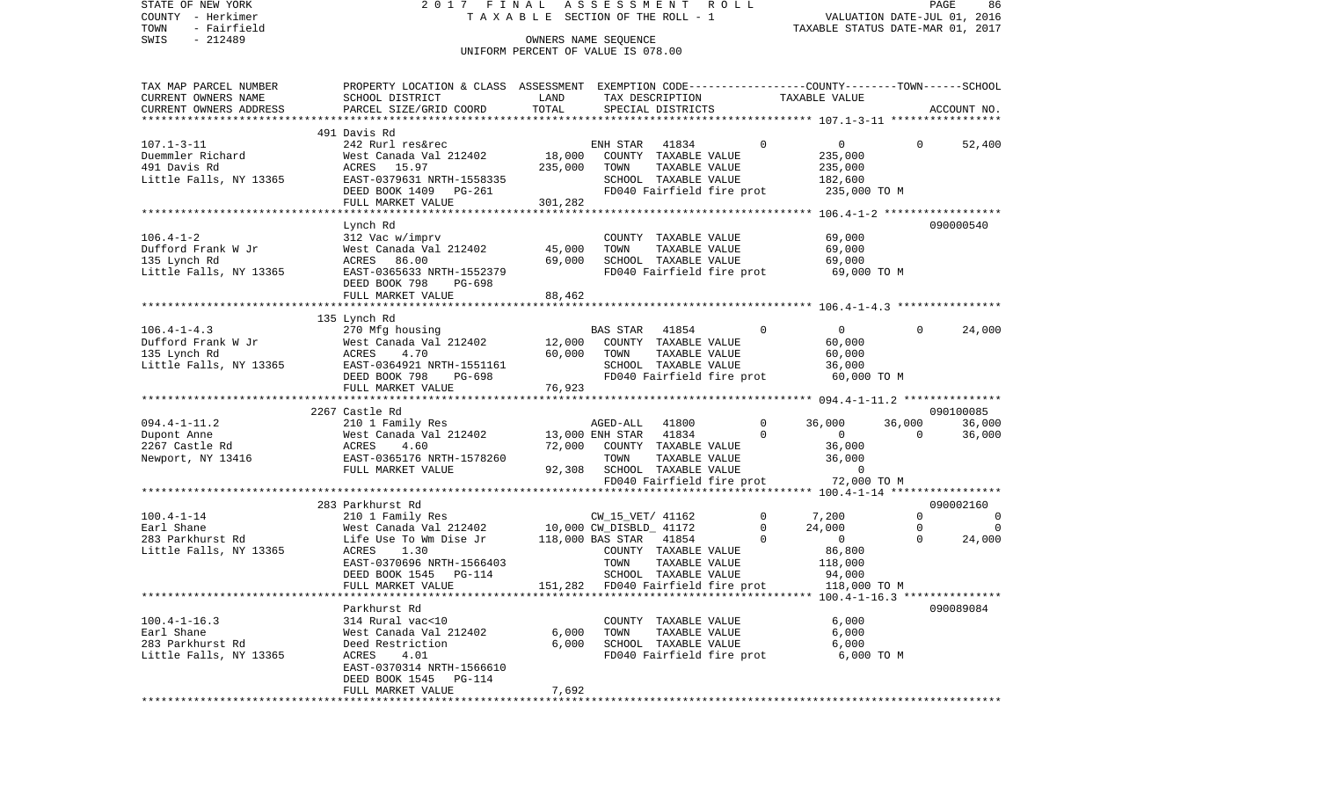| STATE OF NEW YORK<br>COUNTY - Herkimer<br>- Fairfield<br>TOWN | 2017 FINAL                                                                                     | TAXABLE SECTION OF THE ROLL - 1                            | ASSESSMENT                                        |                                       | R O L L |               | VALUATION DATE-JUL 01, 2016<br>TAXABLE STATUS DATE-MAR 01, 2017 |                         | PAGE<br>86                 |
|---------------------------------------------------------------|------------------------------------------------------------------------------------------------|------------------------------------------------------------|---------------------------------------------------|---------------------------------------|---------|---------------|-----------------------------------------------------------------|-------------------------|----------------------------|
| SWIS<br>$-212489$                                             |                                                                                                | OWNERS NAME SEQUENCE<br>UNIFORM PERCENT OF VALUE IS 078.00 |                                                   |                                       |         |               |                                                                 |                         |                            |
|                                                               |                                                                                                |                                                            |                                                   |                                       |         |               |                                                                 |                         |                            |
| TAX MAP PARCEL NUMBER                                         | PROPERTY LOCATION & CLASS ASSESSMENT EXEMPTION CODE---------------COUNTY-------TOWN-----SCHOOL |                                                            |                                                   |                                       |         |               |                                                                 |                         |                            |
| CURRENT OWNERS NAME                                           | SCHOOL DISTRICT                                                                                | LAND                                                       |                                                   | TAX DESCRIPTION                       |         |               | TAXABLE VALUE                                                   |                         |                            |
| CURRENT OWNERS ADDRESS<br>*************************           | PARCEL SIZE/GRID COORD                                                                         | TOTAL                                                      |                                                   | SPECIAL DISTRICTS                     |         |               |                                                                 |                         | ACCOUNT NO.                |
|                                                               | 491 Davis Rd                                                                                   |                                                            |                                                   |                                       |         |               |                                                                 |                         |                            |
| $107.1 - 3 - 11$                                              | 242 Rurl res&rec                                                                               |                                                            | ENH STAR                                          | 41834                                 |         | $\Omega$      | $\overline{0}$                                                  | $\Omega$                | 52,400                     |
| Duemmler Richard                                              | West Canada Val 212402                                                                         | 18,000                                                     |                                                   | COUNTY TAXABLE VALUE                  |         |               | 235,000                                                         |                         |                            |
| 491 Davis Rd                                                  | ACRES 15.97                                                                                    | 235,000                                                    | TOWN                                              | TAXABLE VALUE                         |         |               | 235,000                                                         |                         |                            |
| Little Falls, NY 13365                                        | EAST-0379631 NRTH-1558335                                                                      |                                                            |                                                   | SCHOOL TAXABLE VALUE                  |         |               | 182,600                                                         |                         |                            |
|                                                               | DEED BOOK 1409 PG-261                                                                          |                                                            |                                                   | FD040 Fairfield fire prot             |         |               | 235,000 TO M                                                    |                         |                            |
|                                                               | FULL MARKET VALUE                                                                              | 301,282                                                    |                                                   |                                       |         |               |                                                                 |                         |                            |
|                                                               |                                                                                                |                                                            |                                                   |                                       |         |               |                                                                 |                         |                            |
|                                                               | Lynch Rd                                                                                       |                                                            |                                                   |                                       |         |               |                                                                 |                         | 090000540                  |
| $106.4 - 1 - 2$                                               | 312 Vac w/imprv                                                                                |                                                            |                                                   | COUNTY TAXABLE VALUE                  |         |               | 69,000                                                          |                         |                            |
| Dufford Frank W Jr<br>135 Lynch Rd                            | West Canada Val 212402<br>ACRES 86.00                                                          | 45,000<br>69,000                                           | TOWN                                              | TAXABLE VALUE<br>SCHOOL TAXABLE VALUE |         |               | 69,000                                                          |                         |                            |
| Little Falls, NY 13365                                        | EAST-0365633 NRTH-1552379                                                                      |                                                            |                                                   | FD040 Fairfield fire prot             |         |               | 69,000<br>69,000 TO M                                           |                         |                            |
|                                                               | DEED BOOK 798<br>PG-698                                                                        |                                                            |                                                   |                                       |         |               |                                                                 |                         |                            |
|                                                               | FULL MARKET VALUE                                                                              | 88,462                                                     |                                                   |                                       |         |               |                                                                 |                         |                            |
|                                                               |                                                                                                |                                                            |                                                   |                                       |         |               |                                                                 |                         |                            |
|                                                               | 135 Lynch Rd                                                                                   |                                                            |                                                   |                                       |         |               |                                                                 |                         |                            |
| $106.4 - 1 - 4.3$                                             | 270 Mfg housing                                                                                |                                                            | <b>BAS STAR</b>                                   | 41854                                 |         | $\mathbf{0}$  | $\overline{0}$                                                  | $\Omega$                | 24,000                     |
| Dufford Frank W Jr                                            | West Canada Val 212402                                                                         | 12,000                                                     |                                                   | COUNTY TAXABLE VALUE                  |         |               | 60,000                                                          |                         |                            |
| 135 Lynch Rd                                                  | 4.70<br>ACRES                                                                                  | 60,000                                                     | TOWN                                              | TAXABLE VALUE                         |         |               | 60,000                                                          |                         |                            |
| Little Falls, NY 13365                                        | EAST-0364921 NRTH-1551161                                                                      |                                                            |                                                   | SCHOOL TAXABLE VALUE                  |         |               | 36,000                                                          |                         |                            |
|                                                               | DEED BOOK 798<br>PG-698                                                                        |                                                            |                                                   | FD040 Fairfield fire prot             |         |               | 60,000 TO M                                                     |                         |                            |
|                                                               | FULL MARKET VALUE                                                                              | 76,923                                                     |                                                   |                                       |         |               |                                                                 |                         |                            |
|                                                               | 2267 Castle Rd                                                                                 |                                                            |                                                   |                                       |         |               |                                                                 |                         | 090100085                  |
| $094.4 - 1 - 11.2$                                            | 210 1 Family Res                                                                               |                                                            | AGED-ALL 41800                                    |                                       |         | 0             | 36,000                                                          | 36,000                  | 36,000                     |
| Dupont Anne                                                   | West Canada Val 212402                                                                         |                                                            | 13,000 ENH STAR                                   | 41834                                 |         | $\Omega$      | $\overline{0}$                                                  | $\Omega$                | 36,000                     |
| 2267 Castle Rd                                                | ACRES<br>4.60                                                                                  | 72,000                                                     |                                                   | COUNTY TAXABLE VALUE                  |         |               | 36,000                                                          |                         |                            |
| Newport, NY 13416                                             | EAST-0365176 NRTH-1578260                                                                      |                                                            | TOWN                                              | TAXABLE VALUE                         |         |               | 36,000                                                          |                         |                            |
|                                                               | FULL MARKET VALUE                                                                              | 92,308                                                     |                                                   | SCHOOL TAXABLE VALUE                  |         |               | $\overline{0}$                                                  |                         |                            |
|                                                               |                                                                                                |                                                            |                                                   | FD040 Fairfield fire prot             |         |               | 72,000 TO M                                                     |                         |                            |
|                                                               |                                                                                                |                                                            |                                                   |                                       |         |               |                                                                 |                         |                            |
|                                                               | 283 Parkhurst Rd                                                                               |                                                            |                                                   |                                       |         |               |                                                                 |                         | 090002160                  |
| $100.4 - 1 - 14$                                              | 210 1 Family Res                                                                               |                                                            | CW_15_VET/ 41162                                  |                                       |         | 0             | 7,200<br>24,000                                                 | $\Omega$<br>$\mathbf 0$ | $\overline{0}$<br>$\Omega$ |
| Earl Shane<br>283 Parkhurst Rd                                | West Canada Val 212402<br>Life Use To Wm Dise Jr                                               |                                                            | 10,000 CW_DISBLD_ 41172<br>118,000 BAS STAR 41854 |                                       |         | 0<br>$\Omega$ | $\overline{0}$                                                  | $\Omega$                | 24,000                     |
| Little Falls, NY 13365                                        | ACRES<br>1.30                                                                                  |                                                            |                                                   | COUNTY TAXABLE VALUE                  |         |               | 86,800                                                          |                         |                            |
|                                                               | EAST-0370696 NRTH-1566403                                                                      |                                                            | TOWN                                              | TAXABLE VALUE                         |         |               | 118,000                                                         |                         |                            |
|                                                               | DEED BOOK 1545 PG-114                                                                          |                                                            |                                                   | SCHOOL TAXABLE VALUE                  |         |               | 94,000                                                          |                         |                            |
|                                                               | FULL MARKET VALUE                                                                              |                                                            | 151,282 FD040 Fairfield fire prot                 |                                       |         |               | 118,000 TO M                                                    |                         |                            |
|                                                               |                                                                                                |                                                            |                                                   |                                       |         |               |                                                                 |                         |                            |
|                                                               | Parkhurst Rd                                                                                   |                                                            |                                                   |                                       |         |               |                                                                 |                         | 090089084                  |
| $100.4 - 1 - 16.3$                                            | 314 Rural vac<10                                                                               |                                                            |                                                   | COUNTY TAXABLE VALUE                  |         |               | 6,000                                                           |                         |                            |
| Earl Shane                                                    | West Canada Val 212402                                                                         | 6,000                                                      | TOWN                                              | TAXABLE VALUE                         |         |               | 6,000                                                           |                         |                            |
| 283 Parkhurst Rd                                              | Deed Restriction                                                                               | 6,000                                                      |                                                   | SCHOOL TAXABLE VALUE                  |         |               | 6,000                                                           |                         |                            |
| Little Falls, NY 13365                                        | ACRES<br>4.01                                                                                  |                                                            |                                                   | FD040 Fairfield fire prot             |         |               | 6,000 TO M                                                      |                         |                            |
|                                                               | EAST-0370314 NRTH-1566610                                                                      |                                                            |                                                   |                                       |         |               |                                                                 |                         |                            |
|                                                               | DEED BOOK 1545 PG-114                                                                          | 7,692                                                      |                                                   |                                       |         |               |                                                                 |                         |                            |
|                                                               | FULL MARKET VALUE                                                                              |                                                            |                                                   |                                       |         |               |                                                                 |                         |                            |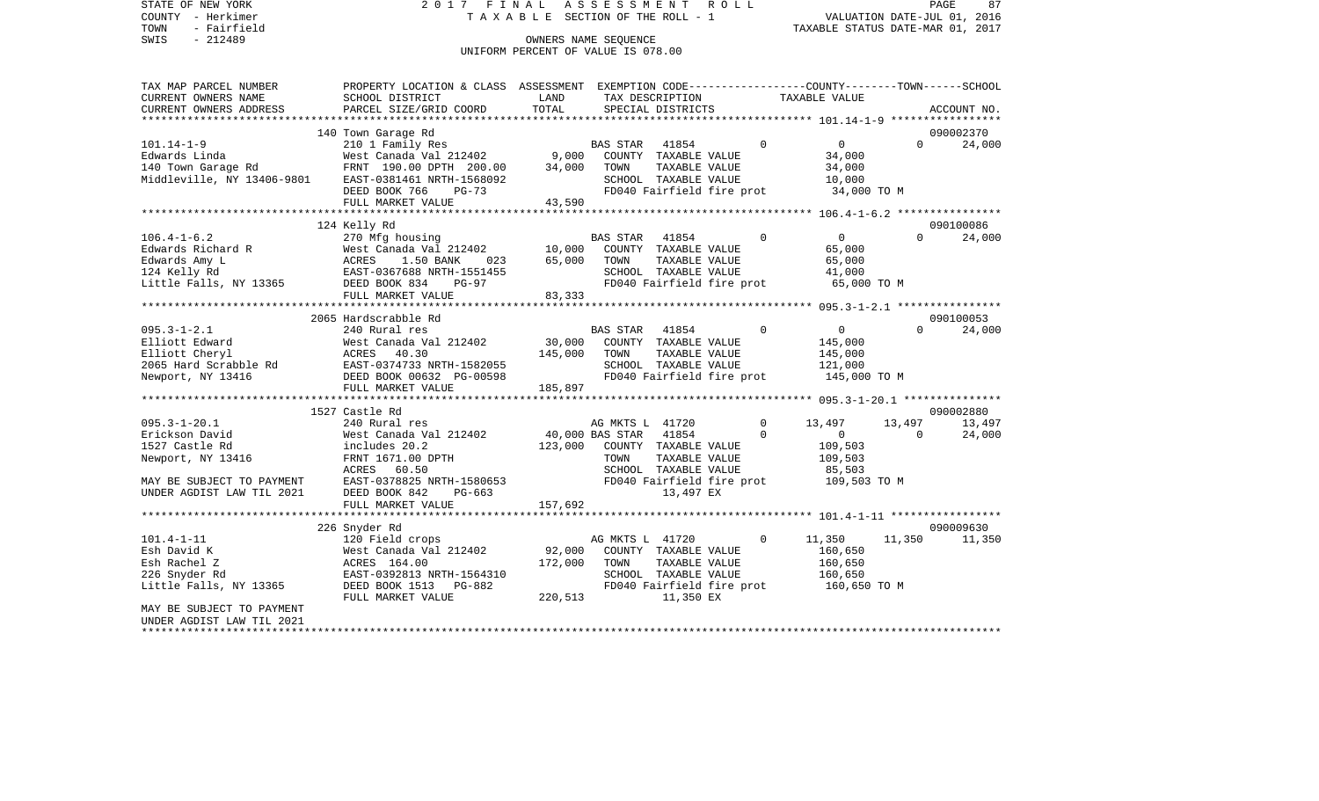SWIS - Fairfield<br>
SWIS - 212489 OWNERS NAME SEQUENCE

STATE OF NEW YORK 2017 FINAL ASSESSMENT ROLL COUNTY - Herkimer T A X A B L E SECTION OF THE ROLL - 1

TOWN - Fairfield TAXABLE STATUS DATE-MAR 01, 2017

## UNIFORM PERCENT OF VALUE IS 078.00

| TAX MAP PARCEL NUMBER     | PROPERTY LOCATION & CLASS ASSESSMENT EXEMPTION CODE---------------COUNTY-------TOWN-----SCHOOL                                                                                                                                                                                                                                                                                                                                                                        |         |                 |                           |                |                                        |          |             |
|---------------------------|-----------------------------------------------------------------------------------------------------------------------------------------------------------------------------------------------------------------------------------------------------------------------------------------------------------------------------------------------------------------------------------------------------------------------------------------------------------------------|---------|-----------------|---------------------------|----------------|----------------------------------------|----------|-------------|
| CURRENT OWNERS NAME       | SCHOOL DISTRICT                                                                                                                                                                                                                                                                                                                                                                                                                                                       | LAND    |                 | TAX DESCRIPTION           |                | TAXABLE VALUE                          |          |             |
| CURRENT OWNERS ADDRESS    | PARCEL SIZE/GRID COORD                                                                                                                                                                                                                                                                                                                                                                                                                                                | TOTAL   |                 | SPECIAL DISTRICTS         |                |                                        |          | ACCOUNT NO. |
|                           |                                                                                                                                                                                                                                                                                                                                                                                                                                                                       |         |                 |                           |                |                                        |          |             |
|                           |                                                                                                                                                                                                                                                                                                                                                                                                                                                                       |         |                 |                           |                |                                        |          | 090002370   |
|                           |                                                                                                                                                                                                                                                                                                                                                                                                                                                                       |         |                 |                           | $\overline{0}$ | $\overline{0}$                         | $\Omega$ | 24,000      |
|                           |                                                                                                                                                                                                                                                                                                                                                                                                                                                                       |         |                 |                           |                | 34,000                                 |          |             |
|                           |                                                                                                                                                                                                                                                                                                                                                                                                                                                                       |         |                 | TAXABLE VALUE             |                | 34,000                                 |          |             |
|                           |                                                                                                                                                                                                                                                                                                                                                                                                                                                                       |         |                 |                           |                | 10,000                                 |          |             |
|                           |                                                                                                                                                                                                                                                                                                                                                                                                                                                                       |         |                 | FD040 Fairfield fire prot |                | 34,000 TO M                            |          |             |
|                           | $\begin{tabular}{lllllllllll} \hline \textsc{lawaras Linda} & \textsc{and} & \textsc{1011} & \textsc{Family Res} & \textsc{bas STR} & 41854 \\ & \textsc{West Canada Val 212402} & 9,000 & \textsc{COUNTY} & \textsc{TXABLE VALUE} \\ 140 \text{ Town Garage Rd} & \textsc{FRNT} & 190.00 \text{ DPTH} & 200.00 & 34,000 & \textsc{TOWN} & \textsc{TXABLE VALUE} \\ \textsc{Middeville, NY} & 13406-9801 & \textsc{EAST}-0381461 \text{ NRTH}-1$<br>FULL MARKET VALUE | 43,590  |                 |                           |                |                                        |          |             |
|                           |                                                                                                                                                                                                                                                                                                                                                                                                                                                                       |         |                 |                           |                |                                        |          |             |
|                           | 124 Kelly Rd                                                                                                                                                                                                                                                                                                                                                                                                                                                          |         |                 |                           |                |                                        |          | 090100086   |
| $106.4 - 1 - 6.2$         | 270 Mfg housing                                                                                                                                                                                                                                                                                                                                                                                                                                                       |         | BAS STAR 41854  |                           | $\sim$ 0       | $\overline{0}$                         | $\Omega$ | 24,000      |
|                           |                                                                                                                                                                                                                                                                                                                                                                                                                                                                       |         |                 | COUNTY TAXABLE VALUE      |                | 65,000                                 |          |             |
|                           |                                                                                                                                                                                                                                                                                                                                                                                                                                                                       |         | TOWN            | TAXABLE VALUE             |                | 65,000                                 |          |             |
|                           |                                                                                                                                                                                                                                                                                                                                                                                                                                                                       |         |                 | SCHOOL TAXABLE VALUE      |                | 41,000                                 |          |             |
|                           |                                                                                                                                                                                                                                                                                                                                                                                                                                                                       |         |                 |                           |                | FD040 Fairfield fire prot 65,000 TO M  |          |             |
|                           | FULL MARKET VALUE                                                                                                                                                                                                                                                                                                                                                                                                                                                     | 83, 333 |                 |                           |                |                                        |          |             |
|                           |                                                                                                                                                                                                                                                                                                                                                                                                                                                                       |         |                 |                           |                |                                        |          |             |
|                           | 2065 Hardscrabble Rd                                                                                                                                                                                                                                                                                                                                                                                                                                                  |         |                 |                           |                |                                        |          | 090100053   |
|                           |                                                                                                                                                                                                                                                                                                                                                                                                                                                                       |         |                 |                           | $\overline{0}$ | $\overline{0}$                         |          | $\Omega$    |
| $095.3 - 1 - 2.1$         | 240 Rural res<br>West Canada<br>ACRES 40.30                                                                                                                                                                                                                                                                                                                                                                                                                           |         | BAS STAR 41854  |                           |                |                                        |          | 24,000      |
| Elliott Edward            | West Canada Val 212402 30,000                                                                                                                                                                                                                                                                                                                                                                                                                                         |         |                 | COUNTY TAXABLE VALUE      |                | 145,000                                |          |             |
| Elliott Cheryl            |                                                                                                                                                                                                                                                                                                                                                                                                                                                                       | 145,000 | TOWN            | TAXABLE VALUE             |                | 145,000                                |          |             |
|                           |                                                                                                                                                                                                                                                                                                                                                                                                                                                                       |         |                 | SCHOOL TAXABLE VALUE      |                | 121,000                                |          |             |
|                           | 2065 Hard Scrabble Rd<br>RAST-0374733 NRTH-1582055<br>Newport, NY 13416<br>Newport, NY 13416<br>Newport, NY 13416                                                                                                                                                                                                                                                                                                                                                     |         |                 |                           |                | FD040 Fairfield fire prot 145,000 TO M |          |             |
|                           | FULL MARKET VALUE                                                                                                                                                                                                                                                                                                                                                                                                                                                     | 185,897 |                 |                           |                |                                        |          |             |
|                           |                                                                                                                                                                                                                                                                                                                                                                                                                                                                       |         |                 |                           |                |                                        |          |             |
|                           | 1527 Castle Rd                                                                                                                                                                                                                                                                                                                                                                                                                                                        |         |                 |                           |                |                                        |          | 090002880   |
| $095.3 - 1 - 20.1$        |                                                                                                                                                                                                                                                                                                                                                                                                                                                                       |         | AG MKTS L 41720 |                           | $\overline{0}$ | 13,497                                 | 13,497   | 13,497      |
| Erickson David            |                                                                                                                                                                                                                                                                                                                                                                                                                                                                       |         |                 |                           | $\Omega$       | $\overline{0}$                         | $\Omega$ | 24,000      |
| 1527 Castle Rd            | includes 20.2                                                                                                                                                                                                                                                                                                                                                                                                                                                         | 123,000 |                 | COUNTY TAXABLE VALUE      |                | 109,503                                |          |             |
| Newport, NY 13416         | FRNT 1671.00 DPTH                                                                                                                                                                                                                                                                                                                                                                                                                                                     |         | TOWN            | TAXABLE VALUE             |                | 109,503                                |          |             |
|                           | ACRES<br>60.50                                                                                                                                                                                                                                                                                                                                                                                                                                                        |         |                 | SCHOOL TAXABLE VALUE      |                | 85,503                                 |          |             |
|                           | MAY BE SUBJECT TO PAYMENT EAST-0378825 NRTH-1580653<br>UNDER AGDIST LAW TIL 2021 DEED BOOK 842 PG-663                                                                                                                                                                                                                                                                                                                                                                 |         |                 |                           |                | FD040 Fairfield fire prot 109,503 TO M |          |             |
|                           |                                                                                                                                                                                                                                                                                                                                                                                                                                                                       |         |                 | 13,497 EX                 |                |                                        |          |             |
|                           | FULL MARKET VALUE                                                                                                                                                                                                                                                                                                                                                                                                                                                     | 157,692 |                 |                           |                |                                        |          |             |
|                           |                                                                                                                                                                                                                                                                                                                                                                                                                                                                       |         |                 |                           |                |                                        |          |             |
|                           | 226 Snyder Rd                                                                                                                                                                                                                                                                                                                                                                                                                                                         |         |                 |                           |                |                                        |          | 090009630   |
| $101.4 - 1 - 11$          | 120 Field crops                                                                                                                                                                                                                                                                                                                                                                                                                                                       |         | AG MKTS L 41720 |                           | $\circ$        | 11,350                                 | 11,350   | 11,350      |
| Esh David K               | West Canada Val 212402                                                                                                                                                                                                                                                                                                                                                                                                                                                | 92,000  |                 | COUNTY TAXABLE VALUE      |                | 160,650                                |          |             |
| Esh Rachel Z              | ACRES 164.00                                                                                                                                                                                                                                                                                                                                                                                                                                                          | 172,000 | TOWN            | TAXABLE VALUE             |                | 160,650                                |          |             |
| 226 Snyder Rd             | EAST-0392813 NRTH-1564310                                                                                                                                                                                                                                                                                                                                                                                                                                             |         |                 | SCHOOL TAXABLE VALUE      |                | 160,650                                |          |             |
| Little Falls, NY 13365    | DEED BOOK 1513 PG-882                                                                                                                                                                                                                                                                                                                                                                                                                                                 |         |                 |                           |                | FD040 Fairfield fire prot 160,650 TO M |          |             |
|                           | FULL MARKET VALUE                                                                                                                                                                                                                                                                                                                                                                                                                                                     | 220,513 |                 | 11,350 EX                 |                |                                        |          |             |
| MAY BE SUBJECT TO PAYMENT |                                                                                                                                                                                                                                                                                                                                                                                                                                                                       |         |                 |                           |                |                                        |          |             |
| UNDER AGDIST LAW TIL 2021 |                                                                                                                                                                                                                                                                                                                                                                                                                                                                       |         |                 |                           |                |                                        |          |             |
| **********************    |                                                                                                                                                                                                                                                                                                                                                                                                                                                                       |         |                 |                           |                |                                        |          |             |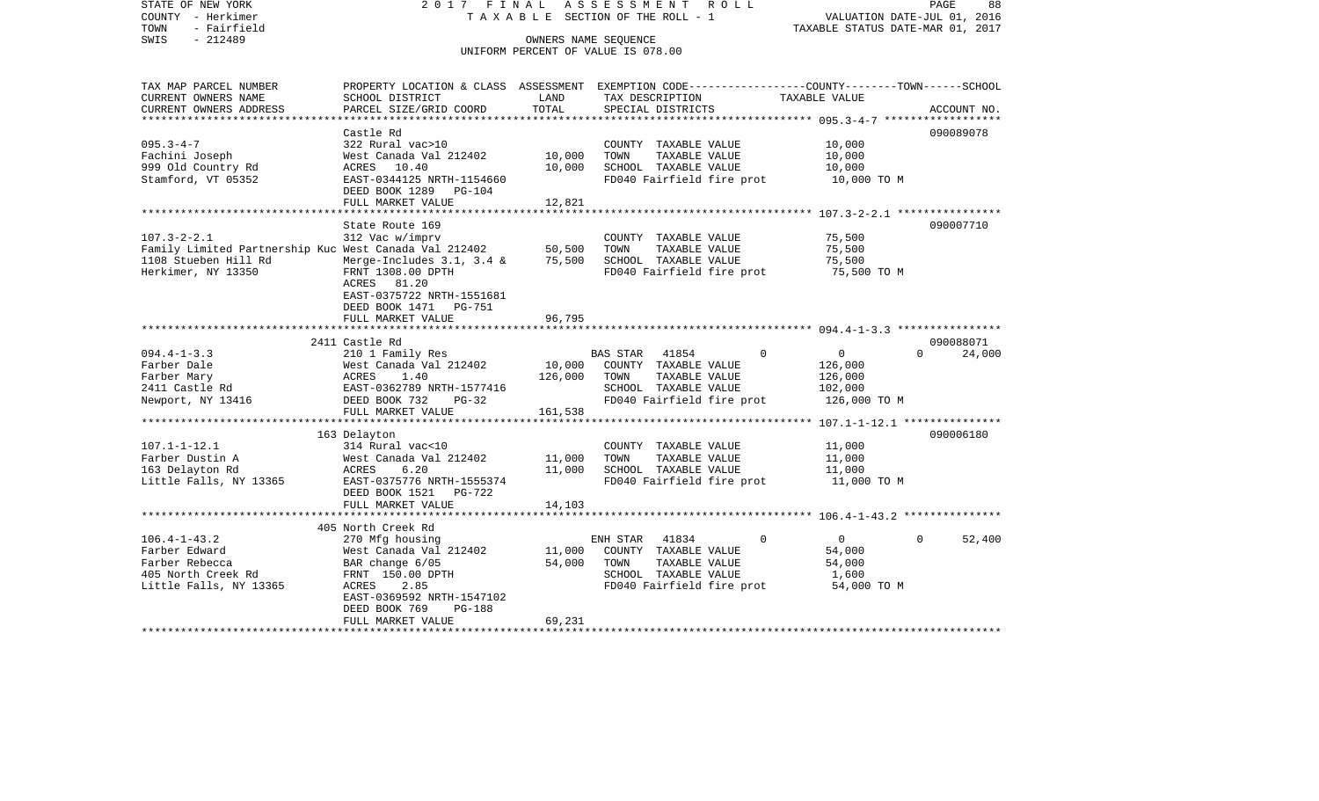STATE OF NEW YORK 2 0 1 7 F I N A L A S S E S S M E N T R O L L PAGE 88COUNTY - Herkimer T A X A B L E SECTION OF THE ROLL - 1 VALUATION DATE-JUL 01, 2016 TOWN - Fairfield TAXABLE STATUS DATE-MAR 01, 2017 SWIS - 212489 OWNERS NAME SEQUENCE UNIFORM PERCENT OF VALUE IS 078.00TAX MAP PARCEL NUMBER PROPERTY LOCATION & CLASS ASSESSMENT EXEMPTION CODE------------------COUNTY--------TOWN------SCHOOL CURRENT OWNERS NAME SCHOOL DISTRICT LAND TAX DESCRIPTION TAXABLE VALUECURRENT OWNERS ADDRESS PARCEL SIZE/GRID COORD TOTAL SPECIAL DISTRICTS ACCOUNT NO. \*\*\*\*\*\*\*\*\*\*\*\*\*\*\*\*\*\*\*\*\*\*\*\*\*\*\*\*\*\*\*\*\*\*\*\*\*\*\*\*\*\*\*\*\*\*\*\*\*\*\*\*\*\*\*\*\*\*\*\*\*\*\*\*\*\*\*\*\*\*\*\*\*\*\*\*\*\*\*\*\*\*\*\*\*\*\*\*\*\*\*\*\*\*\*\*\*\*\*\*\*\*\* 095.3-4-7 \*\*\*\*\*\*\*\*\*\*\*\*\*\*\*\*\*\* Castle Rd 090089078090089078 095.3-4-7 322 Rural vac>10 COUNTY TAXABLE VALUE 10,000 Fachini Joseph West Canada Val 212402 10,000 TOWN TAXABLE VALUE 10,000 999 Old Country Rd  $ACRES$  10.40 10,000 SCHOOL TAXABLE VALUE 10,000 Stamford, VT 05352 EAST-0344125 NRTH-1154660 FD040 Fairfield fire prot 10,000 TO M DEED BOOK 1289 PG-104FULL MARKET VALUE 12,821 \*\*\*\*\*\*\*\*\*\*\*\*\*\*\*\*\*\*\*\*\*\*\*\*\*\*\*\*\*\*\*\*\*\*\*\*\*\*\*\*\*\*\*\*\*\*\*\*\*\*\*\*\*\*\*\*\*\*\*\*\*\*\*\*\*\*\*\*\*\*\*\*\*\*\*\*\*\*\*\*\*\*\*\*\*\*\*\*\*\*\*\*\*\*\*\*\*\*\*\*\*\*\* 107.3-2-2.1 \*\*\*\*\*\*\*\*\*\*\*\*\*\*\*\*State Route 169 090007710 107.3-2-2.1 312 Vac w/imprv COUNTY TAXABLE VALUE 75,500 Family Limited Partnership Kuc West Canada Val 212402 50,500 TOWN TAXABLE VALUE 1108 Stueben Hill Rd Merge-Includes 3.1, 3.4 & 75,500 SCHOOL TAXABLE VALUE 75,500 Herkimer, NY 13350 FRNT 1308.00 DPTH FD040 Fairfield fire prot 75,500 TO M ACRES 81.20 EAST-0375722 NRTH-1551681 DEED BOOK 1471 PG-751FULL MARKET VALUE 96,795 \*\*\*\*\*\*\*\*\*\*\*\*\*\*\*\*\*\*\*\*\*\*\*\*\*\*\*\*\*\*\*\*\*\*\*\*\*\*\*\*\*\*\*\*\*\*\*\*\*\*\*\*\*\*\*\*\*\*\*\*\*\*\*\*\*\*\*\*\*\*\*\*\*\*\*\*\*\*\*\*\*\*\*\*\*\*\*\*\*\*\*\*\*\*\*\*\*\*\*\*\*\*\* 094.4-1-3.3 \*\*\*\*\*\*\*\*\*\*\*\*\*\*\*\* 2411 Castle Rd 09008807124,000 094.4-1-3.3 210 1 Family Res BAS STAR 41854 0 0 0 0 Farber Dale West Canada Val 212402 10,000 COUNTY TAXABLE VALUE 126,000 Farber Mary ACRES 1.40 126,000 TOWN TAXABLE VALUE 126,000 2411 Castle Rd EAST-0362789 NRTH-1577416 SCHOOL TAXABLE VALUE 102,000 Newport, NY 13416 DEED BOOK 732 PG-32 FD040 Fairfield fire prot 126,000 TO M<br>FULL MARKET VALUE 161.538 FULL MARKET VALUE \*\*\*\*\*\*\*\*\*\*\*\*\*\*\*\*\*\*\*\*\*\*\*\*\*\*\*\*\*\*\*\*\*\*\*\*\*\*\*\*\*\*\*\*\*\*\*\*\*\*\*\*\*\*\*\*\*\*\*\*\*\*\*\*\*\*\*\*\*\*\*\*\*\*\*\*\*\*\*\*\*\*\*\*\*\*\*\*\*\*\*\*\*\*\*\*\*\*\*\*\*\*\* 107.1-1-12.1 \*\*\*\*\*\*\*\*\*\*\*\*\*\*\* 163 Delayton 090006180 107.1-1-12.1 314 Rural vac<10 COUNTY TAXABLE VALUE 11,000 Farber Dustin A 600 West Canada Val 212402 11,000 TOWN TAXABLE VALUE 11,000 163 Delayton Rd ACRES 6.20 11,000 SCHOOL TAXABLE VALUE 11,000 Little Falls, NY 13365 EAST-0375776 NRTH-1555374 FD040 Fairfield fire prot 11,000 TO M DEED BOOK 1521 PG-722FULL MARKET VALUE 14,103 \*\*\*\*\*\*\*\*\*\*\*\*\*\*\*\*\*\*\*\*\*\*\*\*\*\*\*\*\*\*\*\*\*\*\*\*\*\*\*\*\*\*\*\*\*\*\*\*\*\*\*\*\*\*\*\*\*\*\*\*\*\*\*\*\*\*\*\*\*\*\*\*\*\*\*\*\*\*\*\*\*\*\*\*\*\*\*\*\*\*\*\*\*\*\*\*\*\*\*\*\*\*\* 106.4-1-43.2 \*\*\*\*\*\*\*\*\*\*\*\*\*\*\* 405 North Creek Rd106.4-1-43.2 270 Mfg housing ENH STAR 41834 0 0 0 52,400 West Canada Val 212402 Farber Rebecca BAR change  $6/05$  54,000 TOWN TAXABLE VALUE 54,000 405 North Creek Rd FRNT 150.00 DPTH SCHOOL TAXABLE VALUE 1,600 Little Falls, NY 13365 ACRES 2.85 ACRES 2.85 FD040 Fairfield fire prot 54,000 TO M EAST-0369592 NRTH-1547102 DEED BOOK 769 PG-188 FULL MARKET VALUE 69,231 \*\*\*\*\*\*\*\*\*\*\*\*\*\*\*\*\*\*\*\*\*\*\*\*\*\*\*\*\*\*\*\*\*\*\*\*\*\*\*\*\*\*\*\*\*\*\*\*\*\*\*\*\*\*\*\*\*\*\*\*\*\*\*\*\*\*\*\*\*\*\*\*\*\*\*\*\*\*\*\*\*\*\*\*\*\*\*\*\*\*\*\*\*\*\*\*\*\*\*\*\*\*\*\*\*\*\*\*\*\*\*\*\*\*\*\*\*\*\*\*\*\*\*\*\*\*\*\*\*\*\*\*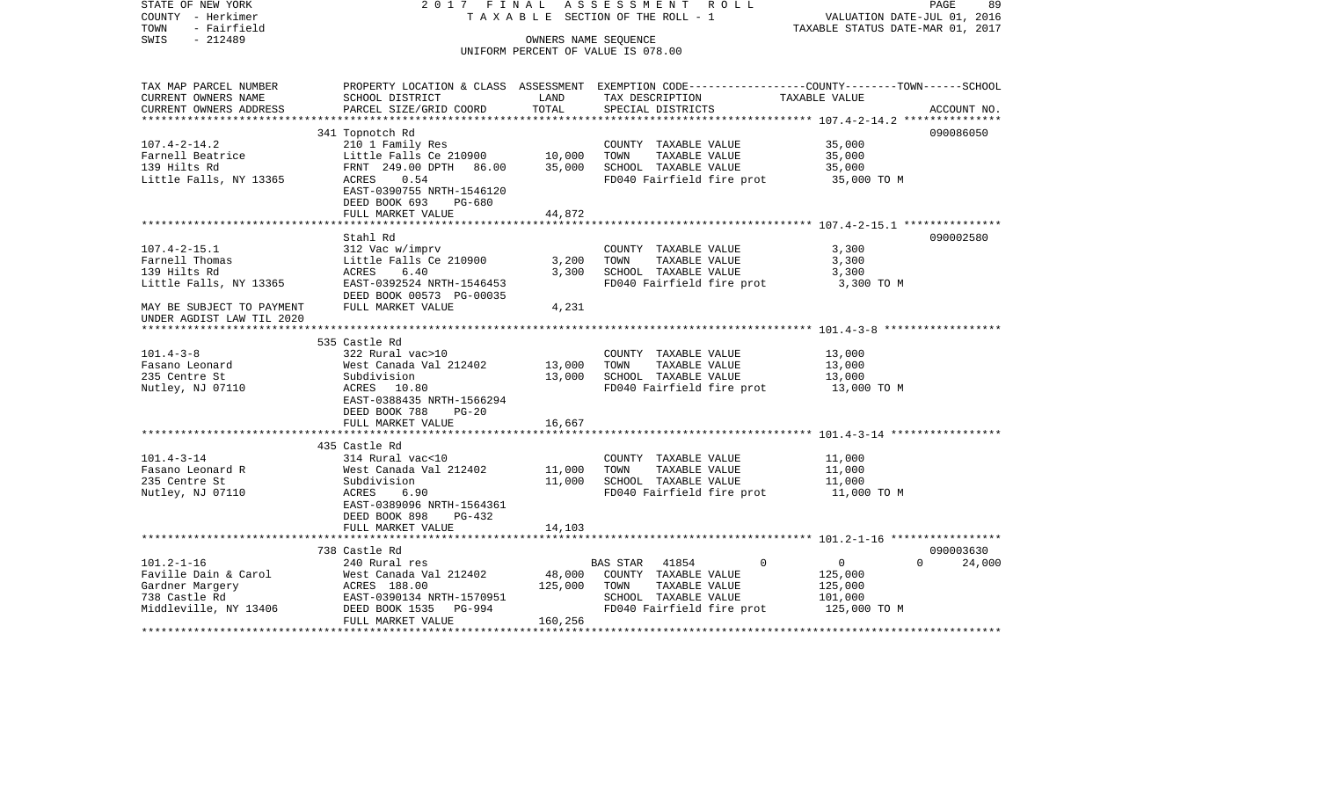| STATE OF NEW YORK<br>COUNTY - Herkimer | 2017 FINAL                          |                      | ASSESSMENT ROLL<br>TAXABLE SECTION OF THE ROLL - 1                                              | VALUATION DATE-JUL 01, 2016      | PAGE<br>89         |
|----------------------------------------|-------------------------------------|----------------------|-------------------------------------------------------------------------------------------------|----------------------------------|--------------------|
| - Fairfield<br>TOWN                    |                                     |                      |                                                                                                 | TAXABLE STATUS DATE-MAR 01, 2017 |                    |
| $-212489$<br>SWIS                      |                                     | OWNERS NAME SEQUENCE |                                                                                                 |                                  |                    |
|                                        |                                     |                      | UNIFORM PERCENT OF VALUE IS 078.00                                                              |                                  |                    |
|                                        |                                     |                      |                                                                                                 |                                  |                    |
| TAX MAP PARCEL NUMBER                  |                                     |                      | PROPERTY LOCATION & CLASS ASSESSMENT EXEMPTION CODE----------------COUNTY-------TOWN-----SCHOOL |                                  |                    |
| CURRENT OWNERS NAME                    | SCHOOL DISTRICT                     | LAND                 | TAX DESCRIPTION                                                                                 | TAXABLE VALUE                    |                    |
| CURRENT OWNERS ADDRESS                 | PARCEL SIZE/GRID COORD              | TOTAL                | SPECIAL DISTRICTS                                                                               |                                  | ACCOUNT NO.        |
| **********************                 |                                     |                      |                                                                                                 |                                  | 090086050          |
| $107.4 - 2 - 14.2$                     | 341 Topnotch Rd<br>210 1 Family Res |                      | COUNTY TAXABLE VALUE                                                                            | 35,000                           |                    |
| Farnell Beatrice                       | Little Falls Ce 210900              | 10,000               | TAXABLE VALUE<br>TOWN                                                                           | 35,000                           |                    |
| 139 Hilts Rd                           | FRNT 249.00 DPTH 86.00              | 35,000               | SCHOOL TAXABLE VALUE                                                                            | 35,000                           |                    |
| Little Falls, NY 13365                 | ACRES<br>0.54                       |                      | FD040 Fairfield fire prot                                                                       |                                  |                    |
|                                        | EAST-0390755 NRTH-1546120           |                      |                                                                                                 | 35,000 TO M                      |                    |
|                                        | DEED BOOK 693<br>$PG-680$           |                      |                                                                                                 |                                  |                    |
|                                        | FULL MARKET VALUE                   | 44,872               |                                                                                                 |                                  |                    |
|                                        |                                     |                      |                                                                                                 |                                  |                    |
|                                        | Stahl Rd                            |                      |                                                                                                 |                                  | 090002580          |
| $107.4 - 2 - 15.1$                     | 312 Vac w/imprv                     |                      | COUNTY TAXABLE VALUE                                                                            | 3,300                            |                    |
| Farnell Thomas                         | Little Falls Ce 210900              | 3,200                | TOWN<br>TAXABLE VALUE                                                                           | 3,300                            |                    |
| 139 Hilts Rd                           | ACRES<br>6.40                       | 3,300                | SCHOOL TAXABLE VALUE                                                                            | 3,300                            |                    |
| Little Falls, NY 13365                 | EAST-0392524 NRTH-1546453           |                      | FD040 Fairfield fire prot                                                                       | 3,300 TO M                       |                    |
|                                        | DEED BOOK 00573 PG-00035            |                      |                                                                                                 |                                  |                    |
| MAY BE SUBJECT TO PAYMENT              | FULL MARKET VALUE                   | 4,231                |                                                                                                 |                                  |                    |
| UNDER AGDIST LAW TIL 2020              |                                     |                      |                                                                                                 |                                  |                    |
|                                        |                                     |                      |                                                                                                 |                                  |                    |
|                                        | 535 Castle Rd                       |                      |                                                                                                 |                                  |                    |
| $101.4 - 3 - 8$                        | 322 Rural vac>10                    |                      | COUNTY TAXABLE VALUE                                                                            | 13,000                           |                    |
| Fasano Leonard                         | West Canada Val 212402              | 13,000               | TAXABLE VALUE<br>TOWN                                                                           | 13,000                           |                    |
| 235 Centre St                          | Subdivision                         | 13,000               | SCHOOL TAXABLE VALUE                                                                            | 13,000                           |                    |
| Nutley, NJ 07110                       | ACRES 10.80                         |                      | FD040 Fairfield fire prot                                                                       | 13,000 TO M                      |                    |
|                                        | EAST-0388435 NRTH-1566294           |                      |                                                                                                 |                                  |                    |
|                                        | DEED BOOK 788<br>$PG-20$            |                      |                                                                                                 |                                  |                    |
|                                        | FULL MARKET VALUE                   | 16,667               |                                                                                                 |                                  |                    |
|                                        |                                     |                      |                                                                                                 |                                  |                    |
|                                        | 435 Castle Rd                       |                      |                                                                                                 |                                  |                    |
| $101.4 - 3 - 14$                       | 314 Rural vac<10                    |                      | COUNTY TAXABLE VALUE                                                                            | 11,000                           |                    |
| Fasano Leonard R                       | West Canada Val 212402              | 11,000               | TOWN<br>TAXABLE VALUE                                                                           | 11,000                           |                    |
| 235 Centre St                          | Subdivision                         | 11,000               | SCHOOL TAXABLE VALUE                                                                            | 11,000                           |                    |
| Nutley, NJ 07110                       | ACRES<br>6.90                       |                      | FD040 Fairfield fire prot                                                                       | 11,000 TO M                      |                    |
|                                        | EAST-0389096 NRTH-1564361           |                      |                                                                                                 |                                  |                    |
|                                        | DEED BOOK 898<br>$PG-432$           |                      |                                                                                                 |                                  |                    |
|                                        | FULL MARKET VALUE                   | 14,103               |                                                                                                 |                                  |                    |
|                                        | *************************           |                      |                                                                                                 |                                  |                    |
|                                        | 738 Castle Rd                       |                      |                                                                                                 |                                  | 090003630          |
| $101.2 - 1 - 16$                       | 240 Rural res                       |                      | 41854<br>BAS STAR<br>$\mathbf 0$                                                                | $\overline{0}$                   | 24,000<br>$\Omega$ |
| Faville Dain & Carol                   | West Canada Val 212402              | 48,000               | COUNTY TAXABLE VALUE                                                                            | 125,000                          |                    |
| Gardner Margery                        | ACRES 188.00                        | 125,000              | TOWN<br>TAXABLE VALUE                                                                           | 125,000                          |                    |
| 738 Castle Rd                          | EAST-0390134 NRTH-1570951           |                      | SCHOOL TAXABLE VALUE                                                                            | 101,000                          |                    |
| Middleville, NY 13406                  | DEED BOOK 1535<br>PG-994            |                      | FD040 Fairfield fire prot                                                                       | 125,000 TO M                     |                    |
|                                        | FULL MARKET VALUE                   | 160,256              |                                                                                                 |                                  |                    |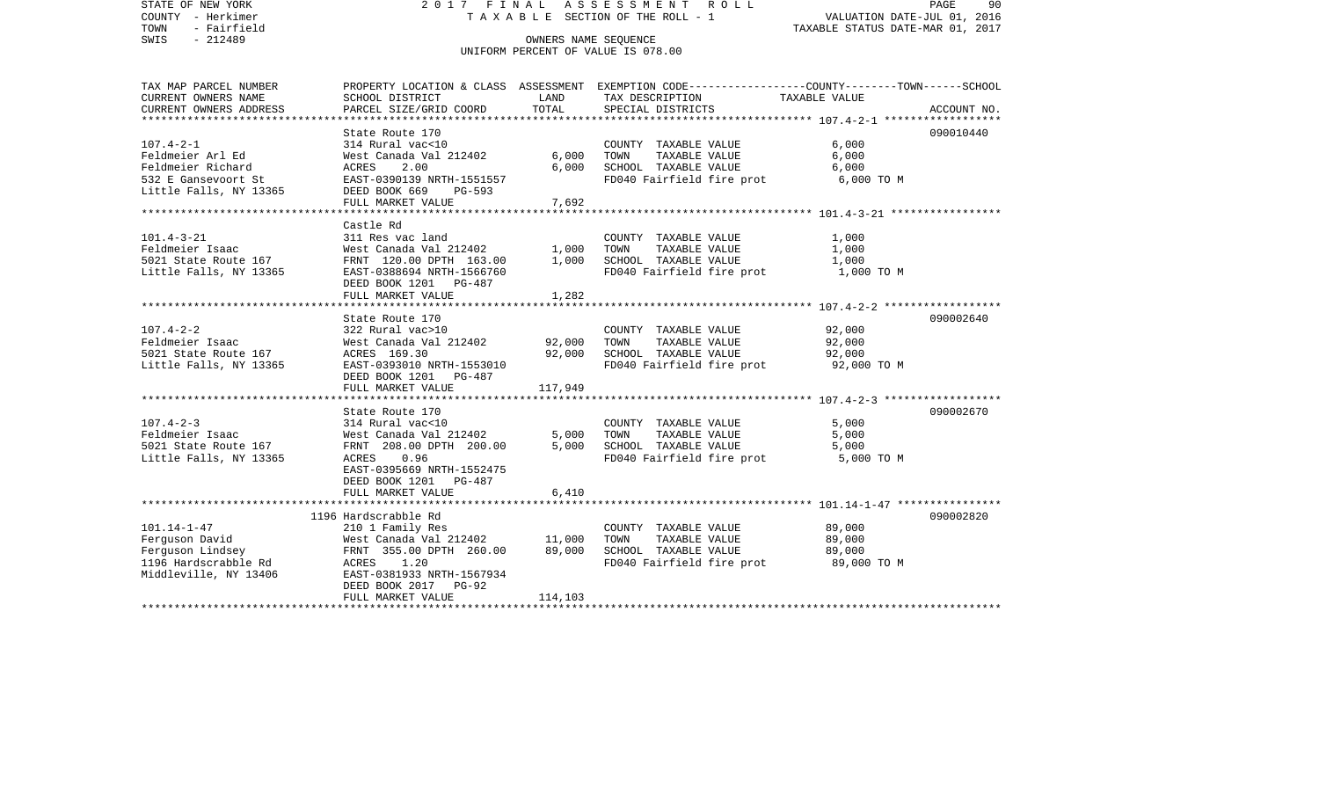| STATE OF NEW YORK<br>COUNTY - Herkimer<br>TOWN<br>- Fairfield<br>SWIS<br>$-212489$ | 2017 FINAL<br>TAXABLE SECTION OF THE ROLL - 1<br>UNIFORM PERCENT OF VALUE IS 078.00 | ASSESSMENT ROLL<br>90<br>PAGE<br>VALUATION DATE-JUL 01, 2016<br>TAXABLE STATUS DATE-MAR 01, 2017 |                                                                                                                    |                       |             |  |
|------------------------------------------------------------------------------------|-------------------------------------------------------------------------------------|--------------------------------------------------------------------------------------------------|--------------------------------------------------------------------------------------------------------------------|-----------------------|-------------|--|
|                                                                                    |                                                                                     |                                                                                                  |                                                                                                                    |                       |             |  |
| TAX MAP PARCEL NUMBER<br>CURRENT OWNERS NAME                                       | SCHOOL DISTRICT                                                                     | LAND                                                                                             | PROPERTY LOCATION & CLASS ASSESSMENT EXEMPTION CODE---------------COUNTY-------TOWN------SCHOOL<br>TAX DESCRIPTION | TAXABLE VALUE         |             |  |
| CURRENT OWNERS ADDRESS                                                             | PARCEL SIZE/GRID COORD                                                              | TOTAL                                                                                            | SPECIAL DISTRICTS                                                                                                  |                       | ACCOUNT NO. |  |
|                                                                                    | State Route 170                                                                     |                                                                                                  |                                                                                                                    |                       | 090010440   |  |
| $107.4 - 2 - 1$                                                                    | 314 Rural vac<10                                                                    |                                                                                                  | COUNTY TAXABLE VALUE                                                                                               | 6,000                 |             |  |
| Feldmeier Arl Ed                                                                   | West Canada Val 212402                                                              | 6,000                                                                                            | TAXABLE VALUE<br>TOWN                                                                                              | 6,000                 |             |  |
| Feldmeier Richard                                                                  | 2.00<br>ACRES                                                                       | 6,000                                                                                            | SCHOOL TAXABLE VALUE                                                                                               | 6,000                 |             |  |
| 532 E Gansevoort St<br>Little Falls, NY 13365                                      | EAST-0390139 NRTH-1551557<br>DEED BOOK 669<br>PG-593                                |                                                                                                  | FD040 Fairfield fire prot                                                                                          | 6,000 TO M            |             |  |
|                                                                                    | FULL MARKET VALUE                                                                   | 7,692                                                                                            |                                                                                                                    |                       |             |  |
|                                                                                    | Castle Rd                                                                           |                                                                                                  |                                                                                                                    |                       |             |  |
| $101.4 - 3 - 21$                                                                   | 311 Res vac land                                                                    |                                                                                                  | COUNTY TAXABLE VALUE                                                                                               | 1,000                 |             |  |
| Feldmeier Isaac                                                                    | West Canada Val 212402                                                              | 1,000                                                                                            | TAXABLE VALUE<br>TOWN                                                                                              | 1,000                 |             |  |
| 5021 State Route 167                                                               | FRNT 120.00 DPTH 163.00                                                             | 1,000                                                                                            | SCHOOL TAXABLE VALUE                                                                                               | 1,000                 |             |  |
| Little Falls, NY 13365                                                             | EAST-0388694 NRTH-1566760<br>DEED BOOK 1201 PG-487                                  |                                                                                                  | FD040 Fairfield fire prot 1,000 TO M                                                                               |                       |             |  |
|                                                                                    | FULL MARKET VALUE                                                                   | 1,282                                                                                            |                                                                                                                    |                       |             |  |
|                                                                                    |                                                                                     |                                                                                                  |                                                                                                                    |                       |             |  |
| $107.4 - 2 - 2$                                                                    | State Route 170<br>322 Rural vac>10                                                 |                                                                                                  | COUNTY TAXABLE VALUE                                                                                               | 92,000                | 090002640   |  |
| Feldmeier Isaac                                                                    | West Canada Val 212402                                                              | 92,000                                                                                           | TOWN<br>TAXABLE VALUE                                                                                              | 92,000                |             |  |
| 5021 State Route 167                                                               | ACRES 169.30                                                                        | 92,000                                                                                           | SCHOOL TAXABLE VALUE                                                                                               | 92,000                |             |  |
| Little Falls, NY 13365                                                             | EAST-0393010 NRTH-1553010<br>DEED BOOK 1201 PG-487                                  |                                                                                                  | FD040 Fairfield fire prot                                                                                          | 92,000 TO M           |             |  |
|                                                                                    | FULL MARKET VALUE                                                                   | 117,949                                                                                          |                                                                                                                    |                       |             |  |
| ************************                                                           |                                                                                     |                                                                                                  |                                                                                                                    |                       |             |  |
|                                                                                    | State Route 170                                                                     |                                                                                                  |                                                                                                                    |                       | 090002670   |  |
| $107.4 - 2 - 3$                                                                    | 314 Rural vac<10                                                                    |                                                                                                  | COUNTY TAXABLE VALUE<br>TAXABLE VALUE                                                                              | 5,000                 |             |  |
| Feldmeier Isaac<br>5021 State Route 167                                            | West Canada Val 212402<br>FRNT 208.00 DPTH 200.00                                   | 5,000<br>5,000                                                                                   | TOWN<br>SCHOOL TAXABLE VALUE                                                                                       | 5,000<br>5,000        |             |  |
| Little Falls, NY 13365                                                             | ACRES 0.96                                                                          |                                                                                                  | FD040 Fairfield fire prot                                                                                          | 5,000 TO M            |             |  |
|                                                                                    | EAST-0395669 NRTH-1552475                                                           |                                                                                                  |                                                                                                                    |                       |             |  |
|                                                                                    | DEED BOOK 1201 PG-487                                                               |                                                                                                  |                                                                                                                    |                       |             |  |
|                                                                                    | FULL MARKET VALUE                                                                   | 6,410                                                                                            |                                                                                                                    |                       |             |  |
|                                                                                    |                                                                                     |                                                                                                  |                                                                                                                    |                       |             |  |
|                                                                                    | 1196 Hardscrabble Rd                                                                |                                                                                                  |                                                                                                                    |                       | 090002820   |  |
| $101.14 - 1 - 47$                                                                  | 210 1 Family Res                                                                    |                                                                                                  | COUNTY TAXABLE VALUE                                                                                               | 89,000                |             |  |
| Ferguson David                                                                     | West Canada Val 212402                                                              | 11,000                                                                                           | TOWN<br>TAXABLE VALUE                                                                                              | 89,000                |             |  |
| Ferguson Lindsey<br>1196 Hardscrabble Rd                                           | FRNT 355.00 DPTH 260.00<br>ACRES 1.20                                               | 89,000                                                                                           | SCHOOL TAXABLE VALUE<br>FD040 Fairfield fire prot                                                                  | 89,000<br>89,000 TO M |             |  |
| Middleville, NY 13406                                                              | EAST-0381933 NRTH-1567934                                                           |                                                                                                  |                                                                                                                    |                       |             |  |
|                                                                                    | DEED BOOK 2017 PG-92                                                                |                                                                                                  |                                                                                                                    |                       |             |  |
|                                                                                    | FULL MARKET VALUE                                                                   | 114,103                                                                                          |                                                                                                                    |                       |             |  |
|                                                                                    |                                                                                     |                                                                                                  |                                                                                                                    |                       |             |  |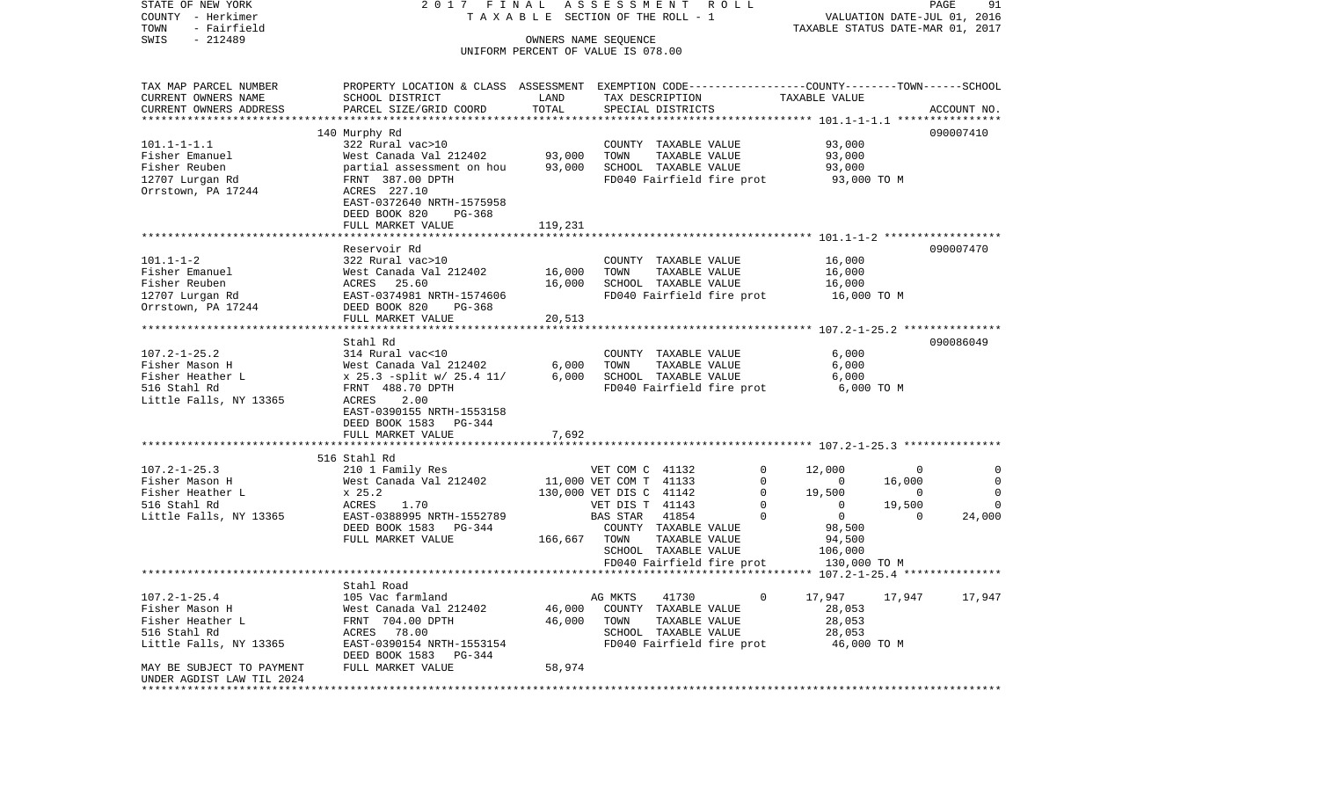COUNTY - Herkimer T A X A B L E SECTION OF THE ROLL - 1 VALUATION DATE-JUL 01, 2016 TOWN - Fairfield TAXABLE STATUS DATE-MAR 01, 2017 SWIS - 212489 OWNERS NAME SEQUENCE UNIFORM PERCENT OF VALUE IS 078.00TAX MAP PARCEL NUMBER PROPERTY LOCATION & CLASS ASSESSMENT EXEMPTION CODE------------------COUNTY--------TOWN------SCHOOL CURRENT OWNERS NAME SCHOOL DISTRICT LAND TAX DESCRIPTION TAXABLE VALUECURRENT OWNERS ADDRESS PARCEL SIZE/GRID COORD TOTAL SPECIAL DISTRICTS ACCOUNT NO. \*\*\*\*\*\*\*\*\*\*\*\*\*\*\*\*\*\*\*\*\*\*\*\*\*\*\*\*\*\*\*\*\*\*\*\*\*\*\*\*\*\*\*\*\*\*\*\*\*\*\*\*\*\*\*\*\*\*\*\*\*\*\*\*\*\*\*\*\*\*\*\*\*\*\*\*\*\*\*\*\*\*\*\*\*\*\*\*\*\*\*\*\*\*\*\*\*\*\*\*\*\*\* 101.1-1-1.1 \*\*\*\*\*\*\*\*\*\*\*\*\*\*\*\* 140 Murphy Rd 090007410 101.1-1-1.1 322 Rural vac>10 COUNTY TAXABLE VALUE 93,000 Fisher Emanuel West Canada Val 212402 93,000 TOWN TAXABLE VALUE 93,000 Fisher Reuben partial assessment on hou 93,000 SCHOOL TAXABLE VALUE 93,000 12707 Lurgan Rd FRNT 387.00 DPTH FD040 Fairfield fire prot 93,000 TO M Orrstown, PA 17244 ACRES 227.10 EAST-0372640 NRTH-1575958 DEED BOOK 820 PG-368FULL MARKET VALUE 119,231 \*\*\*\*\*\*\*\*\*\*\*\*\*\*\*\*\*\*\*\*\*\*\*\*\*\*\*\*\*\*\*\*\*\*\*\*\*\*\*\*\*\*\*\*\*\*\*\*\*\*\*\*\*\*\*\*\*\*\*\*\*\*\*\*\*\*\*\*\*\*\*\*\*\*\*\*\*\*\*\*\*\*\*\*\*\*\*\*\*\*\*\*\*\*\*\*\*\*\*\*\*\*\* 101.1-1-2 \*\*\*\*\*\*\*\*\*\*\*\*\*\*\*\*\*\*Reservoir Rd 090007470 101.1-1-2 322 Rural vac>10 COUNTY TAXABLE VALUE 16,000 Fisher Emanuel West Canada Val 212402 16,000 TOWN TAXABLE VALUE 16,000 Fisher Reuben ACRES 25.60 16,000 SCHOOL TAXABLE VALUE 16,000 12707 Lurgan Rd EAST-0374981 NRTH-1574606 FD040 Fairfield fire prot 16,000 TO M Orrstown, PA 17244 DEED BOOK 820 PG-368 FULL MARKET VALUE 20,513 \*\*\*\*\*\*\*\*\*\*\*\*\*\*\*\*\*\*\*\*\*\*\*\*\*\*\*\*\*\*\*\*\*\*\*\*\*\*\*\*\*\*\*\*\*\*\*\*\*\*\*\*\*\*\*\*\*\*\*\*\*\*\*\*\*\*\*\*\*\*\*\*\*\*\*\*\*\*\*\*\*\*\*\*\*\*\*\*\*\*\*\*\*\*\*\*\*\*\*\*\*\*\* 107.2-1-25.2 \*\*\*\*\*\*\*\*\*\*\*\*\*\*\* Stahl Rd 090086049107.2-1-25.2 314 Rural vac<10 COUNTY TAXABLE VALUE 6,000 Fisher Mason H West Canada Val 212402 6,000 TOWN TAXABLE VALUE 6,000 Fisher Heather L x 25.3 -split w/ 25.4 11/ 6,000 SCHOOL TAXABLE VALUE 6,000 516 Stahl Rd FRNT 488.70 DPTH FD040 Fairfield fire prot 6,000 TO M Little Falls, NY 13365 ACRES 2.00 EAST-0390155 NRTH-1553158 DEED BOOK 1583 PG-344FULL MARKET VALUE 7,692 \*\*\*\*\*\*\*\*\*\*\*\*\*\*\*\*\*\*\*\*\*\*\*\*\*\*\*\*\*\*\*\*\*\*\*\*\*\*\*\*\*\*\*\*\*\*\*\*\*\*\*\*\*\*\*\*\*\*\*\*\*\*\*\*\*\*\*\*\*\*\*\*\*\*\*\*\*\*\*\*\*\*\*\*\*\*\*\*\*\*\*\*\*\*\*\*\*\*\*\*\*\*\* 107.2-1-25.3 \*\*\*\*\*\*\*\*\*\*\*\*\*\*\* 516 Stahl Rd107.2-1-25.3 210 1 Family Res VET COM C 41132 0 12,000 0 0 Fisher Mason H West Canada Val 212402 11,000 VET COM T 41133 0 0 16,000 0 Fisher Heather L  $\begin{array}{ccccccccc} x & 25.2 & & & & 130,000 & \text{VET DIS C} & 41142 & & & 0 & & 19,500 & & & 0 \end{array}$ 516 Stahl Rd ACRES 1.70 VET DIS T 41143 0 0 19,500 0 Little Falls, NY 13365 EAST-0388995 NRTH-1552789 BAS STAR 41854 0 0 0 24,000 DEED BOOK 1583 PG-344 COUNTY TAXABLE VALUE 98,500 FULL MARKET VALUE 166,667 TOWN TAXABLE VALUE 94,500 SCHOOL TAXABLE VALUE 106,000 FD040 Fairfield fire prot 130,000 TO M \*\*\*\*\*\*\*\*\*\*\*\*\*\*\*\*\*\*\*\*\*\*\*\*\*\*\*\*\*\*\*\*\*\*\*\*\*\*\*\*\*\*\*\*\*\*\*\*\*\*\*\*\*\*\*\*\*\*\*\*\*\*\*\*\*\*\*\*\*\*\*\*\*\*\*\*\*\*\*\*\*\*\*\*\*\*\*\*\*\*\*\*\*\*\*\*\*\*\*\*\*\*\* 107.2-1-25.4 \*\*\*\*\*\*\*\*\*\*\*\*\*\*\* Stahl Road107.2-1-25.4 105 Vac farmland AG MKTS 41730 0 17,947 17,947 17,947 Fisher Mason H West Canada Val 212402 46,000 COUNTY TAXABLE VALUE 28,053 Fisher Heather L FRNT 704.00 DPTH 46,000 TOWN TAXABLE VALUE 28,053 516 Stahl Rd ACRES 78.00 SCHOOL TAXABLE VALUE 28,053 Little Falls, NY 13365 EAST-0390154 NRTH-1553154 FD040 Fairfield fire prot 46,000 TO M DEED BOOK 1583 PG-344 MAY BE SUBJECT TO PAYMENT FULL MARKET VALUE 58,974 UNDER AGDIST LAW TIL 2024\*\*\*\*\*\*\*\*\*\*\*\*\*\*\*\*\*\*\*\*\*\*\*\*\*\*\*\*\*\*\*\*\*\*\*\*\*\*\*\*\*\*\*\*\*\*\*\*\*\*\*\*\*\*\*\*\*\*\*\*\*\*\*\*\*\*\*\*\*\*\*\*\*\*\*\*\*\*\*\*\*\*\*\*\*\*\*\*\*\*\*\*\*\*\*\*\*\*\*\*\*\*\*\*\*\*\*\*\*\*\*\*\*\*\*\*\*\*\*\*\*\*\*\*\*\*\*\*\*\*\*\*

STATE OF NEW YORK 2 0 1 7 F I N A L A S S E S S M E N T R O L L PAGE 91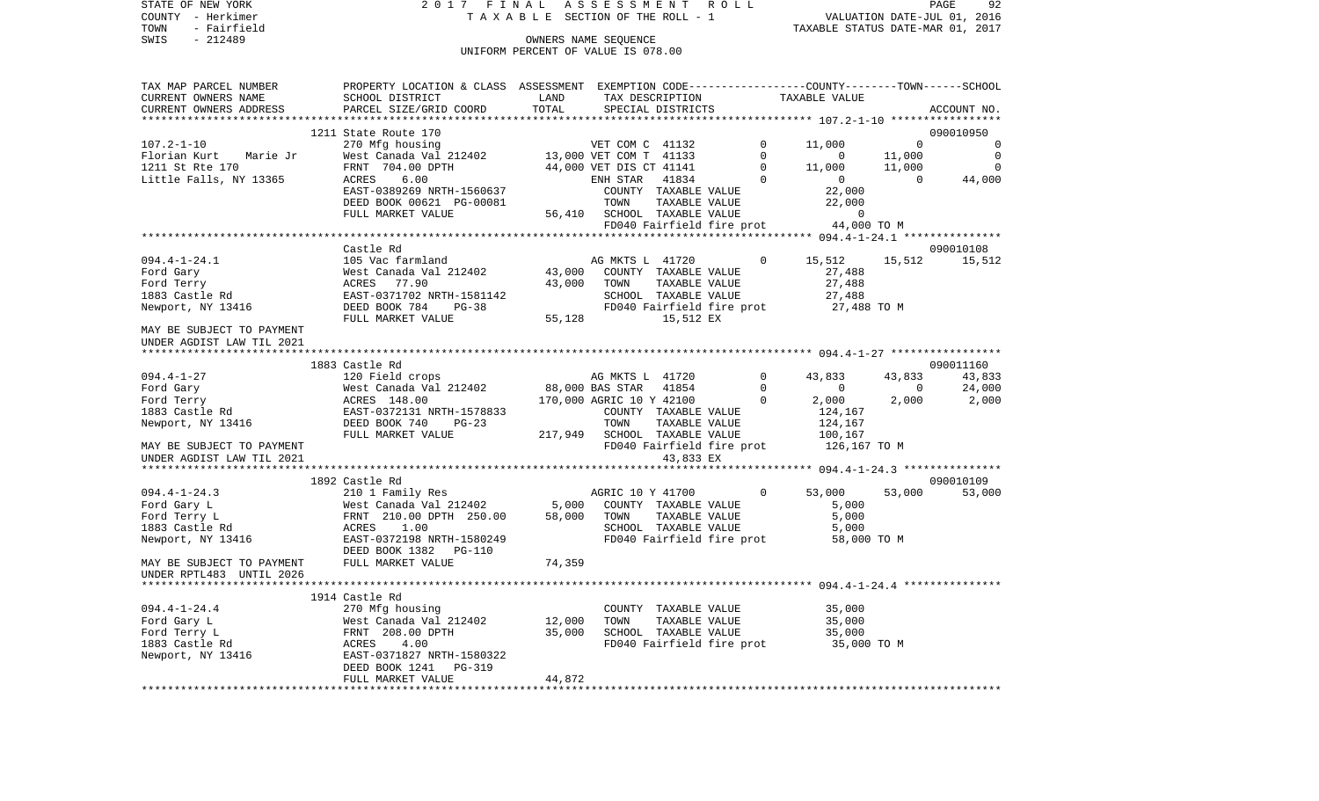STATE OF NEW YORK 2 0 1 7 F I N A L A S S E S S M E N T R O L L PAGE 92COUNTY - Herkimer **T A X A B L E** SECTION OF THE ROLL - 1 VALUATION DATE-JUL 01, 2016 TOWN - Fairfield TAXABLE STATUS DATE-MAR 01, 2017 SWIS - 212489 CONNERS NAME SEQUENCE UNIFORM PERCENT OF VALUE IS 078.00TAX MAP PARCEL NUMBER PROPERTY LOCATION & CLASS ASSESSMENT EXEMPTION CODE------------------COUNTY--------TOWN------SCHOOL CURRENT OWNERS NAME SCHOOL DISTRICT LAND TAX DESCRIPTION TAXABLE VALUECURRENT OWNERS ADDRESS PARCEL SIZE/GRID COORD TOTAL SPECIAL DISTRICTS ACCOUNT NO. \*\*\*\*\*\*\*\*\*\*\*\*\*\*\*\*\*\*\*\*\*\*\*\*\*\*\*\*\*\*\*\*\*\*\*\*\*\*\*\*\*\*\*\*\*\*\*\*\*\*\*\*\*\*\*\*\*\*\*\*\*\*\*\*\*\*\*\*\*\*\*\*\*\*\*\*\*\*\*\*\*\*\*\*\*\*\*\*\*\*\*\*\*\*\*\*\*\*\*\*\*\*\* 107.2-1-10 \*\*\*\*\*\*\*\*\*\*\*\*\*\*\*\*\*1211 State Route 170 090010950 090010950 090010950 090010950 090010950 090010950 090010950 090010950 090010950 107.2-1-10 270 Mfg housing VET COM C 41132 0 11,000 0 0 0 Florian Kurt Marie Jr a West Canada Val 212402 13,000 VET COM T 41133 0 0 11,000 0 0 11,000 1211 St Rte 170 FRNT 704.00 DPTH 44,000 VET DIS CT 41141 0 11,000 11,000 0 Little Falls, NY 13365 ACRES 6.00 ENH STAR 41834 0 0 0 44,000 EAST-0389269 NRTH-1560637 COUNTY TAXABLE VALUE 22,000 DEED BOOK 00621 PG-00081 TOWN TAXABLE VALUE 22,000 FULL MARKET VALUE 56,410 SCHOOL TAXABLE VALUE 0 FD040 Fairfield fire prot 44,000 TO M \*\*\*\*\*\*\*\*\*\*\*\*\*\*\*\*\*\*\*\*\*\*\*\*\*\*\*\*\*\*\*\*\*\*\*\*\*\*\*\*\*\*\*\*\*\*\*\*\*\*\*\*\*\*\*\*\*\*\*\*\*\*\*\*\*\*\*\*\*\*\*\*\*\*\*\*\*\*\*\*\*\*\*\*\*\*\*\*\*\*\*\*\*\*\*\*\*\*\*\*\*\*\* 094.4-1-24.1 \*\*\*\*\*\*\*\*\*\*\*\*\*\*\* Castle Rd 090010108094.4-1-24.1 105 Vac farmland AG MKTS L 41720 0 15.512 15.512 15.512 15.512 Ford Gary 61 12 13 6 West Canada Val 212402 43,000 COUNTY TAXABLE VALUE 27,488 Ford Terry 60 ACRES 77.90 43,000 TOWN TAXABLE VALUE 27,488 1883 Castle Rd EAST-0371702 NRTH-1581142 SCHOOL TAXABLE VALUE 27,488 Newport, NY 13416 DEED BOOK 784 PG-38 FD040 Fairfield fire prot 27,488 TO M<br>FULL MARKET VALUE 55.128 15.512 EX FULL MARKET VALUE 55,128 15,512 EX MAY BE SUBJECT TO PAYMENTUNDER AGDIST LAW TIL 2021 \*\*\*\*\*\*\*\*\*\*\*\*\*\*\*\*\*\*\*\*\*\*\*\*\*\*\*\*\*\*\*\*\*\*\*\*\*\*\*\*\*\*\*\*\*\*\*\*\*\*\*\*\*\*\*\*\*\*\*\*\*\*\*\*\*\*\*\*\*\*\*\*\*\*\*\*\*\*\*\*\*\*\*\*\*\*\*\*\*\*\*\*\*\*\*\*\*\*\*\*\*\*\* 094.4-1-27 \*\*\*\*\*\*\*\*\*\*\*\*\*\*\*\*\* 1883 Castle Rd 090011160094.4-1-27 120 Field crops AG MKTS L 41720 0 43,833 43,833 43,833 43,833 Ford Gary West Canada Val 212402 88,000 BAS STAR 41854 0 0 0 24,000 Ford Terry ACRES 148.00 170,000 AGRIC 10 Y 42100 0 2,000 2,000 2,000 2,000<br>1883 Castle Rd EAST-0372131 NRTH-1578833 COUNTY TAXA COUNTY TAXABLE VALUE Newport, NY 13416 DEED BOOK 740 PG-23 TOWN TAXABLE VALUE 124,167 FULL MARKET VALUE  $217.949$  SCHOOL TAXABLE VALUE  $100.167$ MAY BE SUBJECT TO PAYMENT TO THE SUBJECT TO PAYMENT THE SUBJECT OF THE SUBJECT OF MAY BE SUBJECT TO PAYMENT UNDER AGDIST LAW TIL 2021 43,833 EX \*\*\*\*\*\*\*\*\*\*\*\*\*\*\*\*\*\*\*\*\*\*\*\*\*\*\*\*\*\*\*\*\*\*\*\*\*\*\*\*\*\*\*\*\*\*\*\*\*\*\*\*\*\*\*\*\*\*\*\*\*\*\*\*\*\*\*\*\*\*\*\*\*\*\*\*\*\*\*\*\*\*\*\*\*\*\*\*\*\*\*\*\*\*\*\*\*\*\*\*\*\*\* 094.4-1-24.3 \*\*\*\*\*\*\*\*\*\*\*\*\*\*\* 1892 Castle Rd 090010109094.4-1-24.3 210 1 Family Res AGRIC 10 Y 41700 0 53,000 53,000 53,000 53,000 Ford Gary L West Canada Val 212402 5,000 COUNTY TAXABLE VALUE 5,000 Ford Terry L FRNT 210.00 DPTH 250.00 58,000 TOWN TAXABLE VALUE 5,000 1883 Castle Rd ACRES 1.00 SCHOOL TAXABLE VALUE 5,000 Newport, NY 13416 EAST-0372198 NRTH-1580249 FD040 Fairfield fire prot 58,000 TO M DEED BOOK 1382 PG-110MAY BE SUBJECT TO PAYMENT FULL MARKET VALUE 74,359 UNDER RPTL483 UNTIL 2026 \*\*\*\*\*\*\*\*\*\*\*\*\*\*\*\*\*\*\*\*\*\*\*\*\*\*\*\*\*\*\*\*\*\*\*\*\*\*\*\*\*\*\*\*\*\*\*\*\*\*\*\*\*\*\*\*\*\*\*\*\*\*\*\*\*\*\*\*\*\*\*\*\*\*\*\*\*\*\*\*\*\*\*\*\*\*\*\*\*\*\*\*\*\*\*\*\*\*\*\*\*\*\* 094.4-1-24.4 \*\*\*\*\*\*\*\*\*\*\*\*\*\*\* 1914 Castle Rd094.4-1-24.4 270 Mfg housing COUNTY TAXABLE VALUE 35,000 Ford Gary L West Canada Val 212402 12,000 TOWN TAXABLE VALUE 35,000 Ford Terry L **FRNT 208.00 DPTH** 35,000 SCHOOL TAXABLE VALUE 35,000 1883 Castle Rd **ACRES** 4.00 **ACRES** 4.00 **FD040** Fairfield fire prot 35,000 TO M Newport, NY 13416 EAST-0371827 NRTH-1580322 DEED BOOK 1241 PG-319FULL MARKET VALUE 44,872

\*\*\*\*\*\*\*\*\*\*\*\*\*\*\*\*\*\*\*\*\*\*\*\*\*\*\*\*\*\*\*\*\*\*\*\*\*\*\*\*\*\*\*\*\*\*\*\*\*\*\*\*\*\*\*\*\*\*\*\*\*\*\*\*\*\*\*\*\*\*\*\*\*\*\*\*\*\*\*\*\*\*\*\*\*\*\*\*\*\*\*\*\*\*\*\*\*\*\*\*\*\*\*\*\*\*\*\*\*\*\*\*\*\*\*\*\*\*\*\*\*\*\*\*\*\*\*\*\*\*\*\*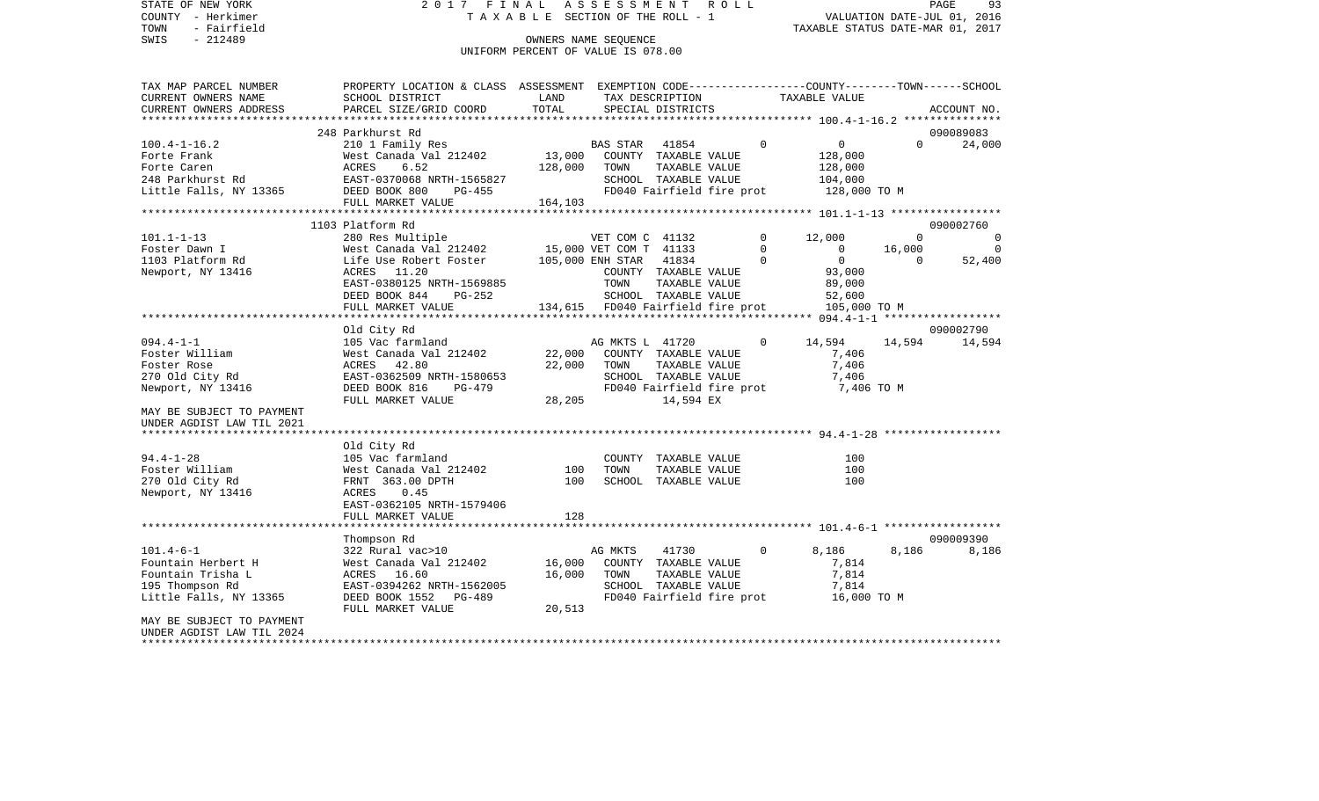| STATE OF NEW YORK                 | 2017 FINAL ASSESSMENT ROLL                                                                                         |                                       |                 |                                                   |                |                                  |                | PAGE<br>93                 |
|-----------------------------------|--------------------------------------------------------------------------------------------------------------------|---------------------------------------|-----------------|---------------------------------------------------|----------------|----------------------------------|----------------|----------------------------|
| COUNTY - Herkimer                 |                                                                                                                    | T A X A B L E SECTION OF THE ROLL - 1 |                 |                                                   |                | VALUATION DATE-JUL 01, 2016      |                |                            |
| TOWN<br>- Fairfield<br>$-212489$  |                                                                                                                    | OWNERS NAME SEOUENCE                  |                 |                                                   |                | TAXABLE STATUS DATE-MAR 01, 2017 |                |                            |
| SWIS                              |                                                                                                                    | UNIFORM PERCENT OF VALUE IS 078.00    |                 |                                                   |                |                                  |                |                            |
|                                   |                                                                                                                    |                                       |                 |                                                   |                |                                  |                |                            |
| TAX MAP PARCEL NUMBER             | PROPERTY LOCATION & CLASS ASSESSMENT EXEMPTION CODE----------------COUNTY-------TOWN------SCHOOL                   |                                       |                 |                                                   |                |                                  |                |                            |
| CURRENT OWNERS NAME               | SCHOOL DISTRICT                                                                                                    | LAND                                  |                 | TAX DESCRIPTION                                   |                | TAXABLE VALUE                    |                |                            |
| CURRENT OWNERS ADDRESS            | PARCEL SIZE/GRID COORD                                                                                             | TOTAL                                 |                 | SPECIAL DISTRICTS                                 |                |                                  |                | ACCOUNT NO.                |
|                                   |                                                                                                                    |                                       |                 |                                                   |                |                                  |                |                            |
|                                   | 248 Parkhurst Rd                                                                                                   |                                       |                 |                                                   |                |                                  |                | 090089083                  |
| $100.4 - 1 - 16.2$                | 210 1 Family Res                                                                                                   |                                       | BAS STAR 41854  |                                                   | $\Omega$       | $\overline{0}$                   | $\Omega$       | 24,000                     |
|                                   |                                                                                                                    | 13,000 COUNTY TAXABLE VALUE           |                 |                                                   |                | 128,000                          |                |                            |
|                                   |                                                                                                                    | 128,000 TOWN                          |                 | TAXABLE VALUE                                     |                | 128,000                          |                |                            |
|                                   |                                                                                                                    |                                       |                 | SCHOOL TAXABLE VALUE<br>FD040 Fairfield fire prot |                | 104,000<br>128,000 TO M          |                |                            |
|                                   | FULL MARKET VALUE                                                                                                  | 164, 103                              |                 |                                                   |                |                                  |                |                            |
|                                   |                                                                                                                    |                                       |                 |                                                   |                |                                  |                |                            |
|                                   | 1103 Platform Rd                                                                                                   |                                       |                 |                                                   |                |                                  |                | 090002760                  |
| 101.1-1-13                        | 280 Res Multiple                                                                                                   |                                       | VET COM C 41132 |                                                   | $\circ$        | 12,000                           | $\overline{0}$ | $\overline{0}$             |
| Foster Dawn I                     |                                                                                                                    |                                       |                 |                                                   | $\mathbf 0$    | $\overline{0}$                   | 16,000         | $\overline{0}$             |
| 1103 Platform Rd                  | West Canada Val 212402          15,000 VET COM T  41133<br>Life Use Robert Foster         105,000 ENH STAR   41834 |                                       |                 |                                                   | $\Omega$       | $\overline{0}$                   | $\Omega$       | 52,400                     |
| Newport, NY 13416                 | ACRES 11.20                                                                                                        |                                       |                 | COUNTY TAXABLE VALUE                              |                | 93,000                           |                |                            |
|                                   | EAST-0380125 NRTH-1569885                                                                                          |                                       | TOWN            | TAXABLE VALUE                                     |                | 89,000                           |                |                            |
|                                   | DEED BOOK 844<br>PG-252                                                                                            |                                       |                 | SCHOOL TAXABLE VALUE                              |                | 52,600                           |                |                            |
|                                   | FULL MARKET VALUE                                                                                                  | 134,615 FD040 Fairfield fire prot     |                 |                                                   |                | 105,000 то м                     |                |                            |
|                                   |                                                                                                                    |                                       |                 |                                                   |                |                                  |                |                            |
| 094.4-1-1                         | Old City Rd<br>105 Vac farmland                                                                                    |                                       | AG MKTS L 41720 |                                                   | $\circ$        | 14,594                           |                | 090002790<br>14,594 14,594 |
| Foster William                    |                                                                                                                    | 22,000                                |                 | COUNTY TAXABLE VALUE                              |                | 7,406                            |                |                            |
| Foster Rose                       |                                                                                                                    | 22,000                                | TOWN            | TAXABLE VALUE                                     |                | 7,406                            |                |                            |
| 270 Old City Rd                   | West Canada Val 212402<br>ACRES   42.80<br>EAST-0362509 NRTH-1580653                                               |                                       |                 | SCHOOL TAXABLE VALUE                              |                | 7,406                            |                |                            |
| Newport, NY 13416                 | DEED BOOK 816<br>PG-479                                                                                            |                                       |                 | FD040 Fairfield fire prot                         |                | 7,406 TO M                       |                |                            |
|                                   | FULL MARKET VALUE                                                                                                  | 28,205                                |                 | 14,594 EX                                         |                |                                  |                |                            |
| MAY BE SUBJECT TO PAYMENT         |                                                                                                                    |                                       |                 |                                                   |                |                                  |                |                            |
| UNDER AGDIST LAW TIL 2021         |                                                                                                                    |                                       |                 |                                                   |                |                                  |                |                            |
|                                   |                                                                                                                    |                                       |                 |                                                   |                |                                  |                |                            |
|                                   | Old City Rd                                                                                                        |                                       |                 |                                                   |                |                                  |                |                            |
| $94.4 - 1 - 28$                   | 105 Vac farmland                                                                                                   |                                       |                 | COUNTY TAXABLE VALUE                              |                | 100                              |                |                            |
| Foster William<br>270 Old City Rd | West Canada Val 212402                                                                                             | 100<br>100                            | TOWN            | TAXABLE VALUE<br>SCHOOL TAXABLE VALUE             |                | 100<br>100                       |                |                            |
| Newport, NY 13416                 | West Canaua<br>FRNT 363.00 DPTH<br>COLL 15                                                                         |                                       |                 |                                                   |                |                                  |                |                            |
|                                   | EAST-0362105 NRTH-1579406                                                                                          |                                       |                 |                                                   |                |                                  |                |                            |
|                                   | FULL MARKET VALUE                                                                                                  | 128                                   |                 |                                                   |                |                                  |                |                            |
|                                   |                                                                                                                    |                                       |                 |                                                   |                |                                  |                |                            |
|                                   | Thompson Rd                                                                                                        |                                       |                 |                                                   |                |                                  |                | 090009390                  |
| 101.4-6-1                         |                                                                                                                    |                                       | AG MKTS         | 41730                                             | $\overline{0}$ | 8,186                            | 8,186          | 8,186                      |
| Fountain Herbert H                | 322 Rural vac>10<br>West Canada Val 212402<br>ACRES 16.60<br>EAST-0394262 NRTH-1562005                             | 16,000                                |                 | COUNTY TAXABLE VALUE                              |                | 7,814                            |                |                            |
| Fountain Trisha L                 |                                                                                                                    | 16,000                                | TOWN            | TAXABLE VALUE                                     |                | 7,814                            |                |                            |
| 195 Thompson Rd                   |                                                                                                                    |                                       |                 | SCHOOL TAXABLE VALUE                              |                | 7,814                            |                |                            |
| Little Falls, NY 13365            | DEED BOOK 1552 PG-489                                                                                              |                                       |                 | FD040 Fairfield fire prot                         |                | 16,000 TO M                      |                |                            |
|                                   | FULL MARKET VALUE                                                                                                  | 20,513                                |                 |                                                   |                |                                  |                |                            |
| MAY BE SUBJECT TO PAYMENT         |                                                                                                                    |                                       |                 |                                                   |                |                                  |                |                            |

UNDER AGDIST LAW TIL 2024 \*\*\*\*\*\*\*\*\*\*\*\*\*\*\*\*\*\*\*\*\*\*\*\*\*\*\*\*\*\*\*\*\*\*\*\*\*\*\*\*\*\*\*\*\*\*\*\*\*\*\*\*\*\*\*\*\*\*\*\*\*\*\*\*\*\*\*\*\*\*\*\*\*\*\*\*\*\*\*\*\*\*\*\*\*\*\*\*\*\*\*\*\*\*\*\*\*\*\*\*\*\*\*\*\*\*\*\*\*\*\*\*\*\*\*\*\*\*\*\*\*\*\*\*\*\*\*\*\*\*\*\*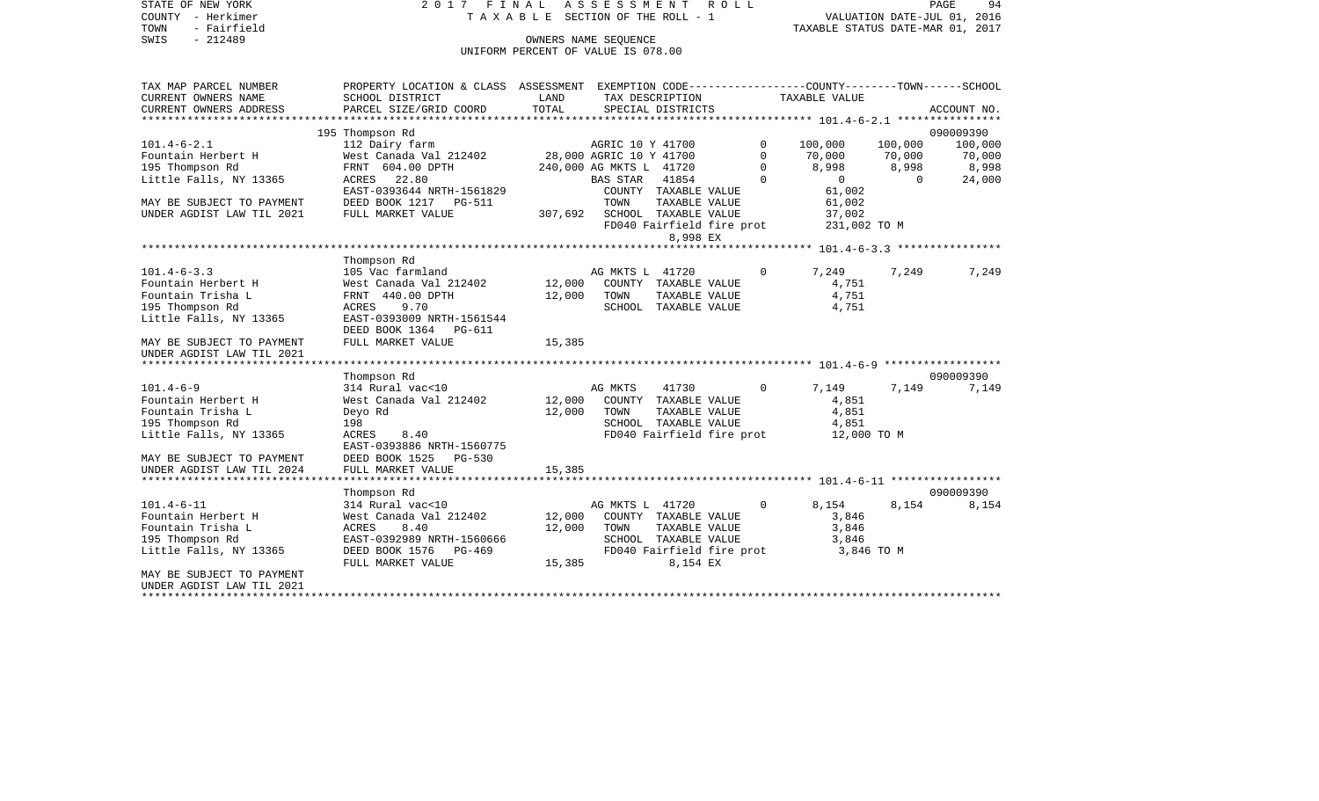STATE OF NEW YORK 2 0 1 7 F I N A L A S S E S S M E N T R O L L PAGE 94COUNTY - Herkimer **T A X A B L E SECTION OF THE ROLL - 1** VALUATION DATE-JUL 01, 2016 TOWN - Fairfield TAXABLE STATUS DATE-MAR 01, 2017 SWIS - 212489 OWNERS NAME SEQUENCE UNIFORM PERCENT OF VALUE IS 078.00TAX MAP PARCEL NUMBER PROPERTY LOCATION & CLASS ASSESSMENT EXEMPTION CODE------------------COUNTY--------TOWN------SCHOOL CURRENT OWNERS NAME SCHOOL DISTRICT LAND TAX DESCRIPTION TAXABLE VALUECURRENT OWNERS ADDRESS PARCEL SIZE/GRID COORD TOTAL SPECIAL DISTRICTS ACCOUNT NO. \*\*\*\*\*\*\*\*\*\*\*\*\*\*\*\*\*\*\*\*\*\*\*\*\*\*\*\*\*\*\*\*\*\*\*\*\*\*\*\*\*\*\*\*\*\*\*\*\*\*\*\*\*\*\*\*\*\*\*\*\*\*\*\*\*\*\*\*\*\*\*\*\*\*\*\*\*\*\*\*\*\*\*\*\*\*\*\*\*\*\*\*\*\*\*\*\*\*\*\*\*\*\* 101.4-6-2.1 \*\*\*\*\*\*\*\*\*\*\*\*\*\*\*\* 195 Thompson Rd 090009390 101.4-6-2.1 112 Dairy farm AGRIC 10 Y 41700 0 100,000 100,000 100,000 Fountain Herbert H West Canada Val 212402 28,000 AGRIC 10 Y 41700 0 70,000 70,000 70,000 195 Thompson Rd FRNT 604.00 DPTH 240,000 AG MKTS L 41720 0 8,998 8,998 8,998 Little Falls, NY 13365 ACRES 22.80 BAS STAR 41854 0 0 0 24,000 EAST-0393644 NRTH-1561829 COUNTY TAXABLE VALUE 61,002 MAY BE SUBJECT TO PAYMENT DEED BOOK 1217 PG-511 TOWN TAXABLE VALUE 61,002 UNDER AGDIST LAW TIL 2021 FULL MARKET VALUE 307,692 SCHOOL TAXABLE VALUE 37,002 FD040 Fairfield fire prot 231,002 TO M 8,998 EX \*\*\*\*\*\*\*\*\*\*\*\*\*\*\*\*\*\*\*\*\*\*\*\*\*\*\*\*\*\*\*\*\*\*\*\*\*\*\*\*\*\*\*\*\*\*\*\*\*\*\*\*\*\*\*\*\*\*\*\*\*\*\*\*\*\*\*\*\*\*\*\*\*\*\*\*\*\*\*\*\*\*\*\*\*\*\*\*\*\*\*\*\*\*\*\*\*\*\*\*\*\*\* 101.4-6-3.3 \*\*\*\*\*\*\*\*\*\*\*\*\*\*\*\* Thompson Rd 101.4-6-3.3 105 105 Vac farmland 122402 12,000 AG MKTS L 41720 17,249 7,249 7,249 7,249<br>12,000 COUNTY TAXABLE VALUE 4,751 4,751 Fountain Herbert H West Canada Val 212402 12,000 COUNTY TAXABLE VALUE 4,751 Fountain Trisha L 6,751 CHRNT 440.00 DPTH 12,000 TOWN TAXABLE VALUE 4,751 195 Thompson Rd ACRES 9.70 SCHOOL TAXABLE VALUE 4,751 Little Falls, NY 13365 EAST-0393009 NRTH-1561544 DEED BOOK 1364 PG-611MAY BE SUBJECT TO PAYMENT FULL MARKET VALUE 15,385 UNDER AGDIST LAW TIL 2021 \*\*\*\*\*\*\*\*\*\*\*\*\*\*\*\*\*\*\*\*\*\*\*\*\*\*\*\*\*\*\*\*\*\*\*\*\*\*\*\*\*\*\*\*\*\*\*\*\*\*\*\*\*\*\*\*\*\*\*\*\*\*\*\*\*\*\*\*\*\*\*\*\*\*\*\*\*\*\*\*\*\*\*\*\*\*\*\*\*\*\*\*\*\*\*\*\*\*\*\*\*\*\* 101.4-6-9 \*\*\*\*\*\*\*\*\*\*\*\*\*\*\*\*\*\* Thompson Rd 090009390 101.4-6-9 314 Rural vac<10 AG MKTS 41730 0 7,149 7,149 7,149 Fountain Herbert H West Canada Val 212402 12,000 COUNTY TAXABLE VALUE 4,851 Fountain Trisha L **Deyo Rd** 12,000 TOWN TAXABLE VALUE 4,851 195 Thompson Rd 198 SCHOOL TAXABLE VALUE 4,851 Little Falls, NY 13365 ACRES 8.40 ACRES 8.40 FD040 Fairfield fire prot 12,000 TO M EAST-0393886 NRTH-1560775 MAY BE SUBJECT TO PAYMENT DEED BOOK 1525 PG-530UNDER AGDIST LAW TIL 2024 FULL MARKET VALUE 15,385 \*\*\*\*\*\*\*\*\*\*\*\*\*\*\*\*\*\*\*\*\*\*\*\*\*\*\*\*\*\*\*\*\*\*\*\*\*\*\*\*\*\*\*\*\*\*\*\*\*\*\*\*\*\*\*\*\*\*\*\*\*\*\*\*\*\*\*\*\*\*\*\*\*\*\*\*\*\*\*\*\*\*\*\*\*\*\*\*\*\*\*\*\*\*\*\*\*\*\*\*\*\*\* 101.4-6-11 \*\*\*\*\*\*\*\*\*\*\*\*\*\*\*\*\* Thompson Rd 090009390 101.4-6-11 314 Rural vac<10 AG MKTS L 41720 0 8,154 8,154 8,154 Fountain Herbert H West Canada Val 212402 12,000 COUNTY TAXABLE VALUE 3,846 Fountain Trisha L **ACRES** 8.40 12,000 TOWN TAXABLE VALUE 3,846 195 Thompson Rd EAST-0392989 NRTH-1560666 SCHOOL TAXABLE VALUE 3,846 FD040 Fairfield fire prot FULL MARKET VALUE  $15,385$  8,154 EX MAY BE SUBJECT TO PAYMENTUNDER AGDIST LAW TIL 2021

\*\*\*\*\*\*\*\*\*\*\*\*\*\*\*\*\*\*\*\*\*\*\*\*\*\*\*\*\*\*\*\*\*\*\*\*\*\*\*\*\*\*\*\*\*\*\*\*\*\*\*\*\*\*\*\*\*\*\*\*\*\*\*\*\*\*\*\*\*\*\*\*\*\*\*\*\*\*\*\*\*\*\*\*\*\*\*\*\*\*\*\*\*\*\*\*\*\*\*\*\*\*\*\*\*\*\*\*\*\*\*\*\*\*\*\*\*\*\*\*\*\*\*\*\*\*\*\*\*\*\*\*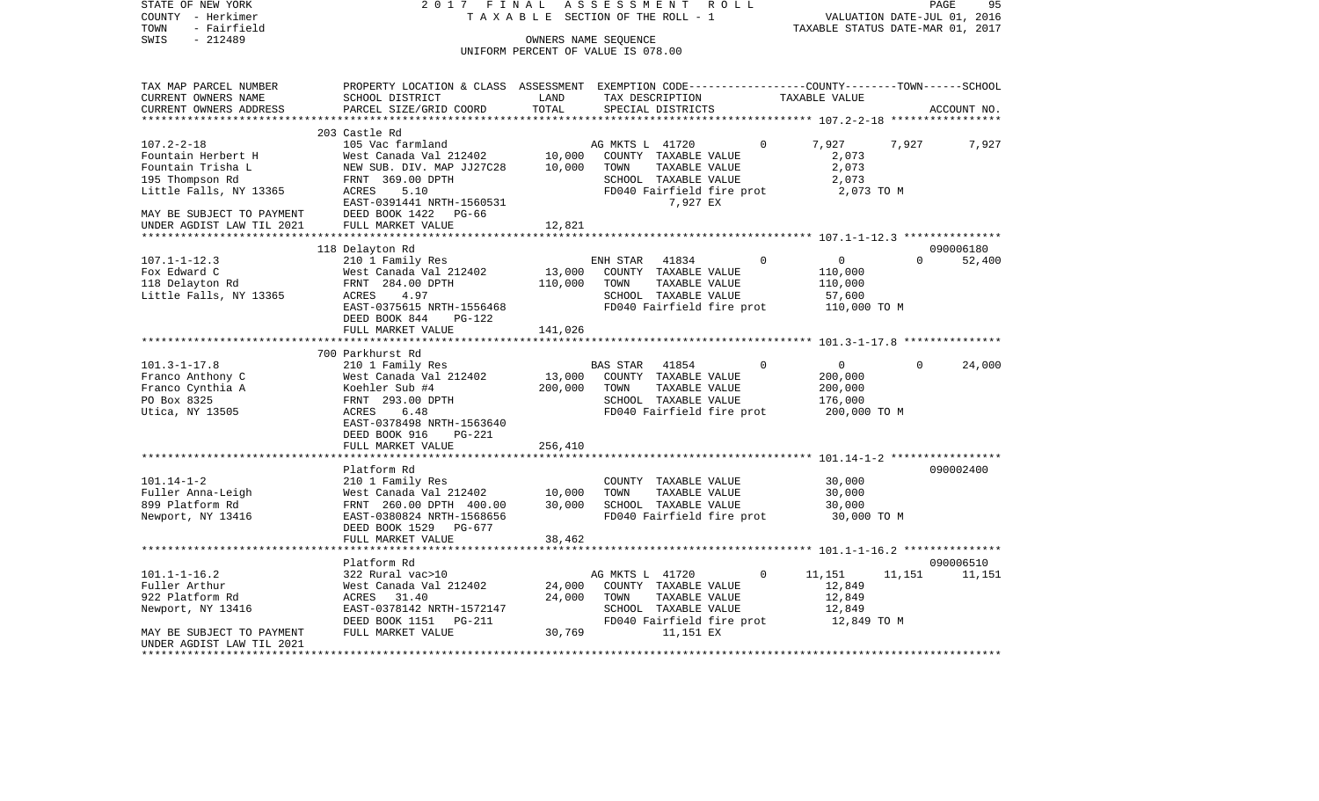| STATE OF NEW YORK<br>COUNTY - Herkimer<br>- Fairfield<br>TOWN<br>$-212489$<br>SWIS | 2017 FINAL                                                                                      |               | ASSESSMENT<br>TAXABLE SECTION OF THE ROLL - 1<br>OWNERS NAME SEQUENCE<br>UNIFORM PERCENT OF VALUE IS 078.00 |               | R O L L  | TAXABLE STATUS DATE-MAR 01, 2017 |             | 95<br>PAGE<br>VALUATION DATE-JUL 01, 2016 |
|------------------------------------------------------------------------------------|-------------------------------------------------------------------------------------------------|---------------|-------------------------------------------------------------------------------------------------------------|---------------|----------|----------------------------------|-------------|-------------------------------------------|
| TAX MAP PARCEL NUMBER                                                              | PROPERTY LOCATION & CLASS ASSESSMENT EXEMPTION CODE---------------COUNTY-------TOWN------SCHOOL |               |                                                                                                             |               |          |                                  |             |                                           |
| CURRENT OWNERS NAME<br>CURRENT OWNERS ADDRESS                                      | SCHOOL DISTRICT<br>PARCEL SIZE/GRID COORD                                                       | LAND<br>TOTAL | TAX DESCRIPTION<br>SPECIAL DISTRICTS                                                                        |               |          | TAXABLE VALUE                    |             | ACCOUNT NO.                               |
|                                                                                    |                                                                                                 |               |                                                                                                             |               |          |                                  |             |                                           |
| $107.2 - 2 - 18$                                                                   | 203 Castle Rd<br>105 Vac farmland                                                               |               | AG MKTS L 41720                                                                                             |               | $\Omega$ | 7,927                            | 7,927       | 7,927                                     |
| Fountain Herbert H                                                                 | West Canada Val 212402                                                                          | 10,000        | COUNTY TAXABLE VALUE                                                                                        |               |          | 2,073                            |             |                                           |
| Fountain Trisha L                                                                  | NEW SUB. DIV. MAP JJ27C28                                                                       | 10,000        | TOWN                                                                                                        | TAXABLE VALUE |          | 2,073                            |             |                                           |
| 195 Thompson Rd                                                                    | FRNT 369.00 DPTH                                                                                |               | SCHOOL TAXABLE VALUE                                                                                        |               |          | 2,073                            |             |                                           |
| Little Falls, NY 13365                                                             | ACRES<br>5.10                                                                                   |               | FD040 Fairfield fire prot                                                                                   |               |          | 2,073 TO M                       |             |                                           |
|                                                                                    | EAST-0391441 NRTH-1560531                                                                       |               |                                                                                                             | 7,927 EX      |          |                                  |             |                                           |
| MAY BE SUBJECT TO PAYMENT                                                          | DEED BOOK 1422<br>PG-66                                                                         |               |                                                                                                             |               |          |                                  |             |                                           |
| UNDER AGDIST LAW TIL 2021                                                          | FULL MARKET VALUE                                                                               | 12,821        |                                                                                                             |               |          |                                  |             |                                           |
|                                                                                    | 118 Delayton Rd                                                                                 |               |                                                                                                             |               |          |                                  |             | 090006180                                 |
| $107.1 - 1 - 12.3$                                                                 | 210 1 Family Res                                                                                |               | ENH STAR                                                                                                    | 41834         | $\Omega$ | $\overline{0}$                   | $\Omega$    | 52,400                                    |
| Fox Edward C                                                                       | West Canada Val 212402                                                                          | 13,000        | COUNTY TAXABLE VALUE                                                                                        |               |          | 110,000                          |             |                                           |
| 118 Delayton Rd                                                                    | FRNT 284.00 DPTH                                                                                | 110,000       | TOWN                                                                                                        | TAXABLE VALUE |          | 110,000                          |             |                                           |
| Little Falls, NY 13365                                                             | ACRES<br>4.97                                                                                   |               | SCHOOL TAXABLE VALUE                                                                                        |               |          | 57,600                           |             |                                           |
|                                                                                    | EAST-0375615 NRTH-1556468                                                                       |               | FD040 Fairfield fire prot                                                                                   |               |          | 110,000 TO M                     |             |                                           |
|                                                                                    | DEED BOOK 844<br><b>PG-122</b>                                                                  |               |                                                                                                             |               |          |                                  |             |                                           |
|                                                                                    | FULL MARKET VALUE                                                                               | 141,026       |                                                                                                             |               |          |                                  |             |                                           |
|                                                                                    | 700 Parkhurst Rd                                                                                |               |                                                                                                             |               |          |                                  |             |                                           |
| $101.3 - 1 - 17.8$                                                                 | 210 1 Family Res                                                                                |               | <b>BAS STAR</b>                                                                                             | 41854         | $\Omega$ | $\overline{0}$                   | $\mathbf 0$ | 24,000                                    |
| Franco Anthony C                                                                   | West Canada Val 212402                                                                          | 13,000        | COUNTY TAXABLE VALUE                                                                                        |               |          | 200,000                          |             |                                           |
| Franco Cynthia A                                                                   | Koehler Sub #4                                                                                  | 200,000       | TOWN                                                                                                        | TAXABLE VALUE |          | 200,000                          |             |                                           |
| PO Box 8325                                                                        | FRNT 293.00 DPTH                                                                                |               | SCHOOL TAXABLE VALUE                                                                                        |               |          | 176,000                          |             |                                           |
| Utica, NY 13505                                                                    | 6.48<br>ACRES                                                                                   |               | FD040 Fairfield fire prot                                                                                   |               |          | 200,000 TO M                     |             |                                           |
|                                                                                    | EAST-0378498 NRTH-1563640                                                                       |               |                                                                                                             |               |          |                                  |             |                                           |
|                                                                                    | DEED BOOK 916<br>$PG-221$                                                                       |               |                                                                                                             |               |          |                                  |             |                                           |
|                                                                                    | FULL MARKET VALUE<br>************************                                                   | 256,410       |                                                                                                             |               |          |                                  |             |                                           |
|                                                                                    | Platform Rd                                                                                     |               |                                                                                                             |               |          |                                  |             | 090002400                                 |
| $101.14 - 1 - 2$                                                                   | 210 1 Family Res                                                                                |               | COUNTY TAXABLE VALUE                                                                                        |               |          | 30,000                           |             |                                           |
| Fuller Anna-Leigh                                                                  | West Canada Val 212402                                                                          | 10,000        | TOWN                                                                                                        | TAXABLE VALUE |          | 30,000                           |             |                                           |
| 899 Platform Rd                                                                    | FRNT 260.00 DPTH 400.00                                                                         | 30,000        | SCHOOL TAXABLE VALUE                                                                                        |               |          | 30,000                           |             |                                           |
| Newport, NY 13416                                                                  | EAST-0380824 NRTH-1568656                                                                       |               | FD040 Fairfield fire prot                                                                                   |               |          | 30,000 TO M                      |             |                                           |
|                                                                                    | DEED BOOK 1529 PG-677                                                                           |               |                                                                                                             |               |          |                                  |             |                                           |
|                                                                                    | FULL MARKET VALUE                                                                               | 38,462        |                                                                                                             |               |          |                                  |             |                                           |
|                                                                                    |                                                                                                 |               |                                                                                                             |               |          |                                  |             |                                           |
|                                                                                    | Platform Rd                                                                                     |               |                                                                                                             |               | $\Omega$ |                                  |             | 090006510                                 |
| $101.1 - 1 - 16.2$<br>Fuller Arthur                                                | 322 Rural vac>10<br>West Canada Val 212402                                                      | 24,000        | AG MKTS L 41720<br>COUNTY TAXABLE VALUE                                                                     |               |          | 11,151<br>12,849                 | 11,151      | 11,151                                    |
| 922 Platform Rd                                                                    | ACRES 31.40                                                                                     | 24,000        | TOWN                                                                                                        | TAXABLE VALUE |          | 12,849                           |             |                                           |
| Newport, NY 13416                                                                  | EAST-0378142 NRTH-1572147                                                                       |               | SCHOOL TAXABLE VALUE                                                                                        |               |          | 12,849                           |             |                                           |
|                                                                                    | DEED BOOK 1151 PG-211                                                                           |               | FD040 Fairfield fire prot                                                                                   |               |          | 12,849 TO M                      |             |                                           |
| MAY BE SUBJECT TO PAYMENT                                                          | FULL MARKET VALUE                                                                               | 30,769        |                                                                                                             | 11,151 EX     |          |                                  |             |                                           |
| UNDER AGDIST LAW TIL 2021                                                          |                                                                                                 |               |                                                                                                             |               |          |                                  |             |                                           |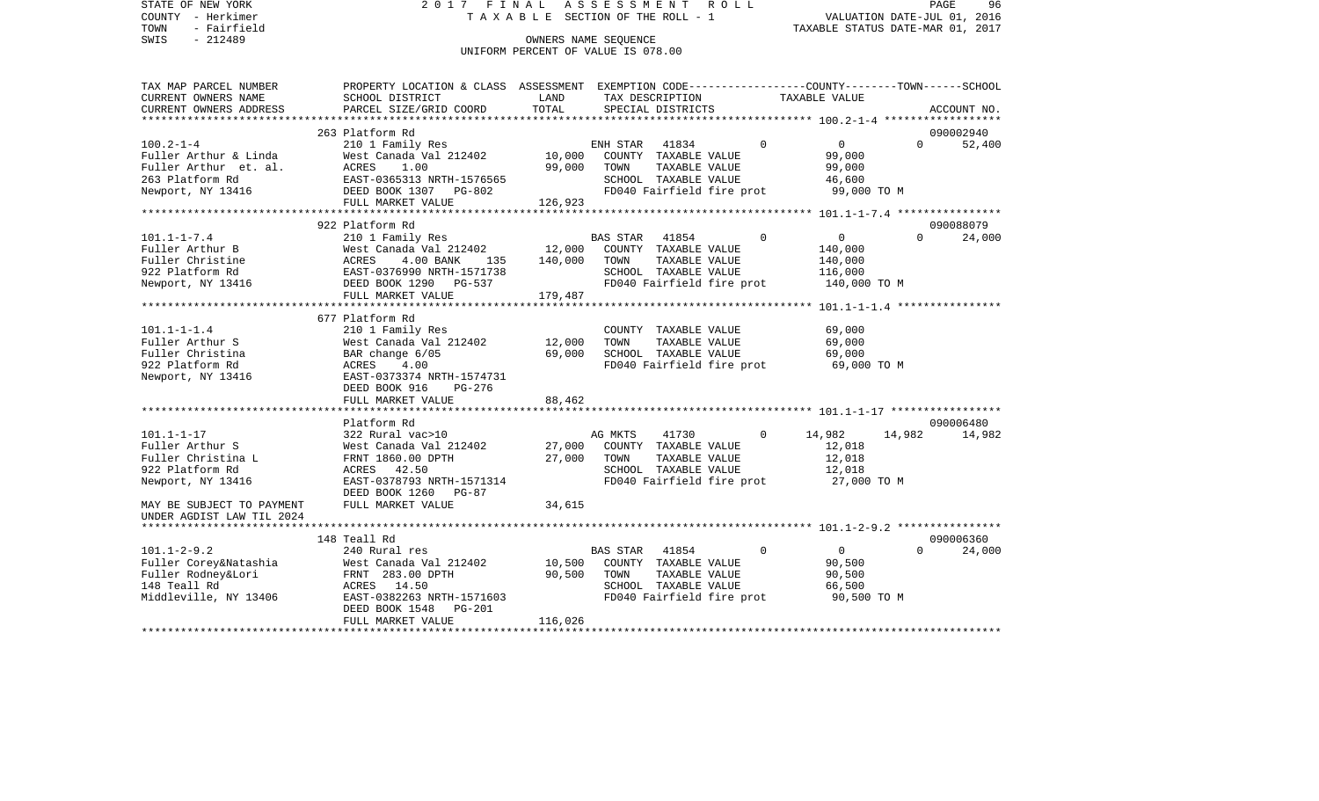STATE OF NEW YORK 2 0 1 7 F I N A L A S S E S S M E N T R O L L PAGE 96COUNTY - Herkimer **T A X A B L E** SECTION OF THE ROLL - 1 VALUATION DATE-JUL 01, 2016 TOWN - Fairfield TAXABLE STATUS DATE-MAR 01, 2017 SWIS - 212489 CONNERS NAME SEQUENCE UNIFORM PERCENT OF VALUE IS 078.00TAX MAP PARCEL NUMBER PROPERTY LOCATION & CLASS ASSESSMENT EXEMPTION CODE------------------COUNTY--------TOWN------SCHOOL CURRENT OWNERS NAME SCHOOL DISTRICT LAND TAX DESCRIPTION TAXABLE VALUECURRENT OWNERS ADDRESS PARCEL SIZE/GRID COORD TOTAL SPECIAL DISTRICTS ACCOUNT NO. \*\*\*\*\*\*\*\*\*\*\*\*\*\*\*\*\*\*\*\*\*\*\*\*\*\*\*\*\*\*\*\*\*\*\*\*\*\*\*\*\*\*\*\*\*\*\*\*\*\*\*\*\*\*\*\*\*\*\*\*\*\*\*\*\*\*\*\*\*\*\*\*\*\*\*\*\*\*\*\*\*\*\*\*\*\*\*\*\*\*\*\*\*\*\*\*\*\*\*\*\*\*\* 100.2-1-4 \*\*\*\*\*\*\*\*\*\*\*\*\*\*\*\*\*\* 263 Platform Rd 090002940100.2-1-4 210 1 Family Res ENH STAR 41834 0 0 0 52,400 Fuller Arthur & Linda West Canada Val 212402 10,000 COUNTY TAXABLE VALUE 99,000 Fuller Arthur et. al. ACRES 1.00 99,000 TOWN TAXABLE VALUE 99,000 263 Platform Rd EAST-0365313 NRTH-1576565 SCHOOL TAXABLE VALUE 46,600 Newport, NY 13416 **DEED BOOK 1307** PG-802 **FD040 Fairfield fire prot** 99,000 TO M FULL MARKET VALUE 126,923 \*\*\*\*\*\*\*\*\*\*\*\*\*\*\*\*\*\*\*\*\*\*\*\*\*\*\*\*\*\*\*\*\*\*\*\*\*\*\*\*\*\*\*\*\*\*\*\*\*\*\*\*\*\*\*\*\*\*\*\*\*\*\*\*\*\*\*\*\*\*\*\*\*\*\*\*\*\*\*\*\*\*\*\*\*\*\*\*\*\*\*\*\*\*\*\*\*\*\*\*\*\*\* 101.1-1-7.4 \*\*\*\*\*\*\*\*\*\*\*\*\*\*\*\* 922 Platform Rd 090088079101.1-1-7.4 210 1 Family Res BAS STAR 41854 0 0 0 24,000 12.000 COUNTY TAXABLE VALUE 140,000 Fuller Christine ACRES 4.00 BANK 135 140,000 TOWN TAXABLE VALUE 140,000 922 Platform Rd EAST-0376990 NRTH-1571738 SCHOOL TAXABLE VALUE 116,000 Newport, NY 13416 **DEED BOOK 1290** PG-537 **FD040 Fairfield fire prot** 140,000 TO M FULL MARKET VALUE 179,487 \*\*\*\*\*\*\*\*\*\*\*\*\*\*\*\*\*\*\*\*\*\*\*\*\*\*\*\*\*\*\*\*\*\*\*\*\*\*\*\*\*\*\*\*\*\*\*\*\*\*\*\*\*\*\*\*\*\*\*\*\*\*\*\*\*\*\*\*\*\*\*\*\*\*\*\*\*\*\*\*\*\*\*\*\*\*\*\*\*\*\*\*\*\*\*\*\*\*\*\*\*\*\* 101.1-1-1.4 \*\*\*\*\*\*\*\*\*\*\*\*\*\*\*\* 677 Platform Rd101.1-1-1.4 210 1 Family Res COUNTY TAXABLE VALUE 69,000 Fuller Arthur S West Canada Val 212402 12,000 TOWN TAXABLE VALUE 69,000 Fuller Christina  $\begin{array}{cccc}\n\text{BAR change } 6/05 \\
\text{Faller} & 69,000 \\
\text{SCHOOL} & \text{TAXABLE VALUE} \\
\end{array}$ 922 Platform Rd ACRES 4.00 FD040 Fairfield fire prot 69,000 TO M Newport, NY 13416 EAST-0373374 NRTH-1574731 DEED BOOK 916 PG-276FULL MARKET VALUE 88,462 \*\*\*\*\*\*\*\*\*\*\*\*\*\*\*\*\*\*\*\*\*\*\*\*\*\*\*\*\*\*\*\*\*\*\*\*\*\*\*\*\*\*\*\*\*\*\*\*\*\*\*\*\*\*\*\*\*\*\*\*\*\*\*\*\*\*\*\*\*\*\*\*\*\*\*\*\*\*\*\*\*\*\*\*\*\*\*\*\*\*\*\*\*\*\*\*\*\*\*\*\*\*\* 101.1-1-17 \*\*\*\*\*\*\*\*\*\*\*\*\*\*\*\*\* Platform Rd 090006480101.1-1-17 322 Rural vac>10 AG MKTS 41730 0 14,982 14,982 14,982 Fuller Arthur S West Canada Val 212402 27,000 COUNTY TAXABLE VALUE 12,018 Fuller Christina L FRNT 1860.00 DPTH 27,000 TOWN TAXABLE VALUE 12,018 922 Platform Rd ACRES 42.50 SCHOOL TAXABLE VALUE 12,018 Newport, NY 13416 EAST-0378793 NRTH-1571314 FD040 Fairfield fire prot 27,000 TO M DEED BOOK 1260 PG-87MAY BE SUBJECT TO PAYMENT FULL MARKET VALUE  $34.615$ UNDER AGDIST LAW TIL 2024 \*\*\*\*\*\*\*\*\*\*\*\*\*\*\*\*\*\*\*\*\*\*\*\*\*\*\*\*\*\*\*\*\*\*\*\*\*\*\*\*\*\*\*\*\*\*\*\*\*\*\*\*\*\*\*\*\*\*\*\*\*\*\*\*\*\*\*\*\*\*\*\*\*\*\*\*\*\*\*\*\*\*\*\*\*\*\*\*\*\*\*\*\*\*\*\*\*\*\*\*\*\*\* 101.1-2-9.2 \*\*\*\*\*\*\*\*\*\*\*\*\*\*\*\* 148 Teall Rd 09000636024.000 101.1-2-9.2 240 Rural res BAS STAR 41854 0 0 0 24,000 Fuller Corey&Natashia West Canada Val 212402 10,500 COUNTY TAXABLE VALUE 90,500 Fuller Rodney&Lori **FRNT 283.00 DPTH** 90,500 TOWN TAXABLE VALUE 90,500 148 Teall Rd ACRES 14.50 SCHOOL TAXABLE VALUE 66,500 Middleville, NY 13406 EAST-0382263 NRTH-1571603 FD040 Fairfield fire prot 90,500 TO M DEED BOOK 1548 PG-201

\*\*\*\*\*\*\*\*\*\*\*\*\*\*\*\*\*\*\*\*\*\*\*\*\*\*\*\*\*\*\*\*\*\*\*\*\*\*\*\*\*\*\*\*\*\*\*\*\*\*\*\*\*\*\*\*\*\*\*\*\*\*\*\*\*\*\*\*\*\*\*\*\*\*\*\*\*\*\*\*\*\*\*\*\*\*\*\*\*\*\*\*\*\*\*\*\*\*\*\*\*\*\*\*\*\*\*\*\*\*\*\*\*\*\*\*\*\*\*\*\*\*\*\*\*\*\*\*\*\*\*\*

FULL MARKET VALUE 116,026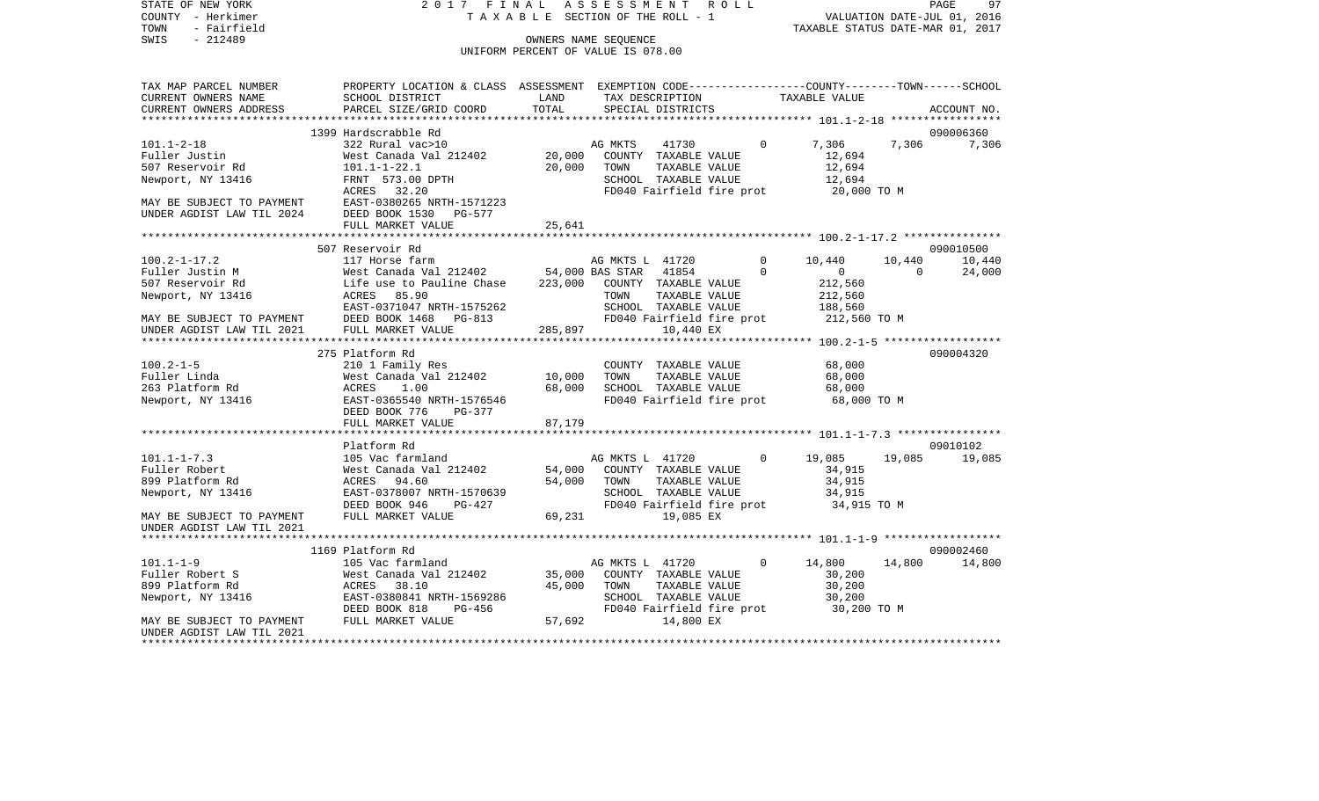SWIS - Fairfield<br>
SWIS - 212489 OWNERS NAME SEQUENCE

STATE OF NEW YORK 2017 FINAL ASSESSMENT ROLL COUNTY - Herkimer T A X A B L E SECTION OF THE ROLL - 1

TOWN - Fairfield TAXABLE STATUS DATE-MAR 01, 2017

## UNIFORM PERCENT OF VALUE IS 078.00

| TAX MAP PARCEL NUMBER     | PROPERTY LOCATION & CLASS ASSESSMENT |                 |                 |                           |             | EXEMPTION CODE-----------------COUNTY-------TOWN------SCHOOL |          |             |
|---------------------------|--------------------------------------|-----------------|-----------------|---------------------------|-------------|--------------------------------------------------------------|----------|-------------|
| CURRENT OWNERS NAME       | SCHOOL DISTRICT                      | LAND            |                 | TAX DESCRIPTION           |             | TAXABLE VALUE                                                |          |             |
| CURRENT OWNERS ADDRESS    | PARCEL SIZE/GRID COORD               | TOTAL           |                 | SPECIAL DISTRICTS         |             |                                                              |          | ACCOUNT NO. |
| ***********************   |                                      |                 |                 |                           |             |                                                              |          |             |
|                           | 1399 Hardscrabble Rd                 |                 |                 |                           |             |                                                              |          | 090006360   |
| $101.1 - 2 - 18$          | 322 Rural vac>10                     |                 | AG MKTS         | 41730                     | $\mathbf 0$ | 7,306                                                        | 7,306    | 7,306       |
| Fuller Justin             | West Canada Val 212402               | 20,000          |                 | COUNTY TAXABLE VALUE      |             | 12,694                                                       |          |             |
| 507 Reservoir Rd          | $101.1 - 1 - 22.1$                   | 20,000          | TOWN            | TAXABLE VALUE             |             | 12,694                                                       |          |             |
| Newport, NY 13416         | FRNT 573.00 DPTH                     |                 |                 | SCHOOL TAXABLE VALUE      |             | 12,694                                                       |          |             |
|                           | 32.20<br>ACRES                       |                 |                 | FD040 Fairfield fire prot |             | 20,000 TO M                                                  |          |             |
| MAY BE SUBJECT TO PAYMENT | EAST-0380265 NRTH-1571223            |                 |                 |                           |             |                                                              |          |             |
| UNDER AGDIST LAW TIL 2024 | DEED BOOK 1530<br>PG-577             |                 |                 |                           |             |                                                              |          |             |
|                           | FULL MARKET VALUE                    | 25,641          |                 |                           |             |                                                              |          |             |
|                           |                                      |                 |                 |                           |             |                                                              |          |             |
|                           | 507 Reservoir Rd                     |                 |                 |                           |             |                                                              |          | 090010500   |
| $100.2 - 1 - 17.2$        | 117 Horse farm                       |                 | AG MKTS L 41720 |                           | $\Omega$    | 10,440                                                       | 10,440   | 10,440      |
| Fuller Justin M           | West Canada Val 212402               | 54,000 BAS STAR |                 | 41854                     | $\Omega$    | $\mathbf{0}$                                                 | $\Omega$ | 24,000      |
| 507 Reservoir Rd          | Life use to Pauline Chase            | 223,000         |                 | COUNTY TAXABLE VALUE      |             | 212,560                                                      |          |             |
| Newport, NY 13416         | 85.90<br>ACRES                       |                 | TOWN            | TAXABLE VALUE             |             | 212,560                                                      |          |             |
|                           | EAST-0371047 NRTH-1575262            |                 |                 | SCHOOL TAXABLE VALUE      |             | 188,560                                                      |          |             |
|                           | DEED BOOK 1468<br>PG-813             |                 |                 |                           |             |                                                              |          |             |
| MAY BE SUBJECT TO PAYMENT | FULL MARKET VALUE                    | 285,897         |                 | FD040 Fairfield fire prot |             | 212,560 TO M                                                 |          |             |
| UNDER AGDIST LAW TIL 2021 |                                      |                 |                 | 10,440 EX                 |             |                                                              |          |             |
|                           |                                      |                 |                 |                           |             |                                                              |          | 090004320   |
| $100.2 - 1 - 5$           | 275 Platform Rd                      |                 |                 |                           |             |                                                              |          |             |
|                           | 210 1 Family Res                     |                 | TOWN            | COUNTY TAXABLE VALUE      |             | 68,000                                                       |          |             |
| Fuller Linda              | West Canada Val 212402               | 10,000          |                 | TAXABLE VALUE             |             | 68,000                                                       |          |             |
| 263 Platform Rd           | 1.00<br>ACRES                        | 68,000          |                 | SCHOOL TAXABLE VALUE      |             | 68,000                                                       |          |             |
| Newport, NY 13416         | EAST-0365540 NRTH-1576546            |                 |                 | FD040 Fairfield fire prot |             | 68,000 TO M                                                  |          |             |
|                           | DEED BOOK 776<br>$PG-377$            |                 |                 |                           |             |                                                              |          |             |
|                           | FULL MARKET VALUE                    | 87,179          |                 |                           |             |                                                              |          |             |
|                           |                                      |                 |                 |                           |             |                                                              |          |             |
|                           | Platform Rd                          |                 |                 |                           |             |                                                              |          | 09010102    |
| $101.1 - 1 - 7.3$         | 105 Vac farmland                     |                 | AG MKTS L 41720 |                           | $\Omega$    | 19,085                                                       | 19,085   | 19,085      |
| Fuller Robert             | West Canada Val 212402               | 54,000          |                 | COUNTY TAXABLE VALUE      |             | 34,915                                                       |          |             |
| 899 Platform Rd           | ACRES<br>94.60                       | 54,000          | TOWN            | TAXABLE VALUE             |             | 34,915                                                       |          |             |
| Newport, NY 13416         | EAST-0378007 NRTH-1570639            |                 |                 | SCHOOL TAXABLE VALUE      |             | 34,915                                                       |          |             |
|                           | DEED BOOK 946<br>PG-427              |                 |                 | FD040 Fairfield fire prot |             | 34,915 TO M                                                  |          |             |
| MAY BE SUBJECT TO PAYMENT | FULL MARKET VALUE                    | 69,231          |                 | 19,085 EX                 |             |                                                              |          |             |
| UNDER AGDIST LAW TIL 2021 |                                      |                 |                 |                           |             |                                                              |          |             |
|                           |                                      |                 |                 |                           |             |                                                              |          |             |
|                           | 1169 Platform Rd                     |                 |                 |                           |             |                                                              |          | 090002460   |
| $101.1 - 1 - 9$           | 105 Vac farmland                     |                 | AG MKTS L 41720 |                           | $\mathbf 0$ | 14,800                                                       | 14,800   | 14,800      |
| Fuller Robert S           | West Canada Val 212402               | 35,000          |                 | COUNTY TAXABLE VALUE      |             | 30,200                                                       |          |             |
| 899 Platform Rd           | 38.10<br>ACRES                       | 45,000          | TOWN            | TAXABLE VALUE             |             | 30,200                                                       |          |             |
| Newport, NY 13416         | EAST-0380841 NRTH-1569286            |                 |                 | SCHOOL TAXABLE VALUE      |             | 30,200                                                       |          |             |
|                           | DEED BOOK 818<br>PG-456              |                 |                 | FD040 Fairfield fire prot |             | 30,200 TO M                                                  |          |             |
| MAY BE SUBJECT TO PAYMENT | FULL MARKET VALUE                    | 57,692          |                 | 14,800 EX                 |             |                                                              |          |             |
| UNDER AGDIST LAW TIL 2021 |                                      |                 |                 |                           |             |                                                              |          |             |
|                           |                                      |                 |                 |                           |             |                                                              |          |             |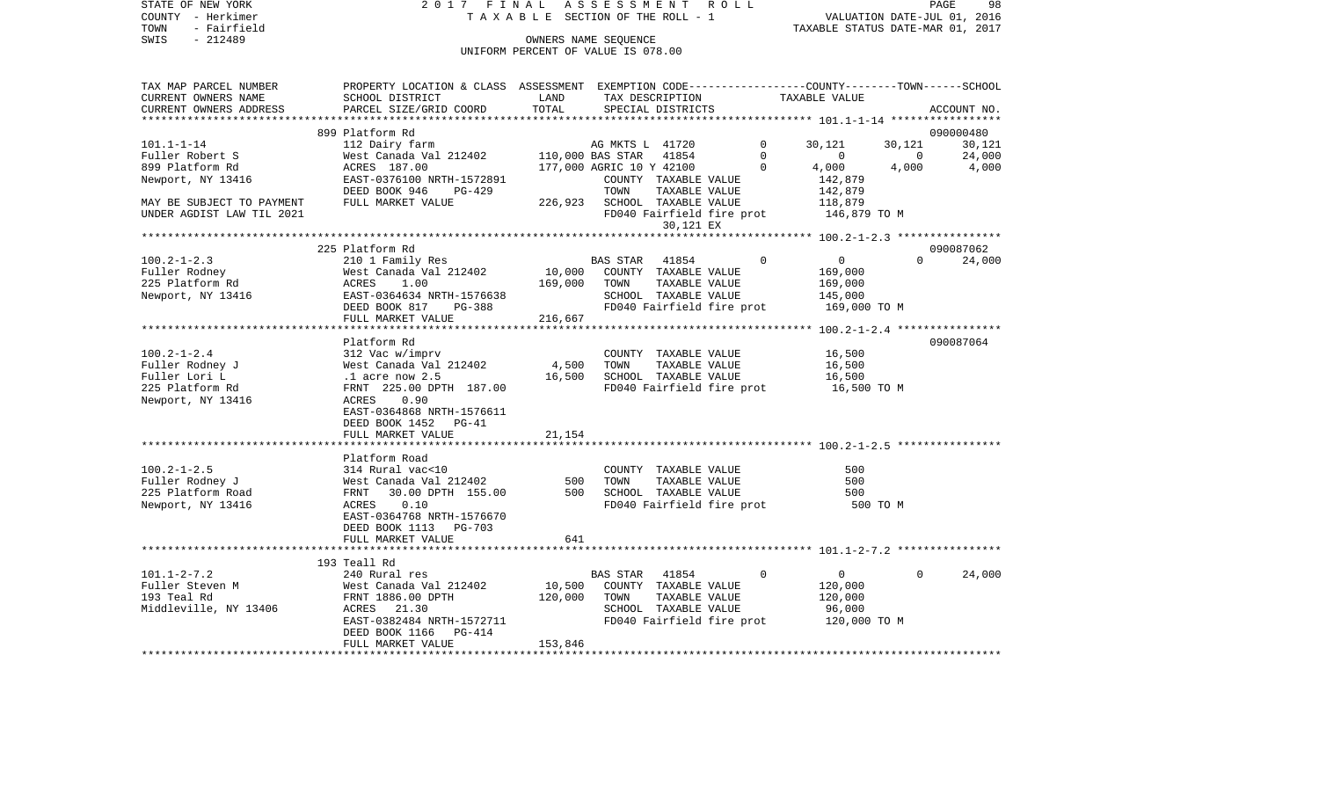STATE OF NEW YORK 2 0 1 7 F I N A L A S S E S S M E N T R O L L PAGE 98COUNTY - Herkimer **T A X A B L E** SECTION OF THE ROLL - 1 VALUATION DATE-JUL 01, 2016 TOWN - Fairfield TAXABLE STATUS DATE-MAR 01, 2017 SWIS - 212489 CONNERS NAME SEQUENCE UNIFORM PERCENT OF VALUE IS 078.00TAX MAP PARCEL NUMBER PROPERTY LOCATION & CLASS ASSESSMENT EXEMPTION CODE------------------COUNTY--------TOWN------SCHOOL CURRENT OWNERS NAME SCHOOL DISTRICT LAND TAX DESCRIPTION TAXABLE VALUECURRENT OWNERS ADDRESS PARCEL SIZE/GRID COORD TOTAL SPECIAL DISTRICTS ACCOUNT NO. \*\*\*\*\*\*\*\*\*\*\*\*\*\*\*\*\*\*\*\*\*\*\*\*\*\*\*\*\*\*\*\*\*\*\*\*\*\*\*\*\*\*\*\*\*\*\*\*\*\*\*\*\*\*\*\*\*\*\*\*\*\*\*\*\*\*\*\*\*\*\*\*\*\*\*\*\*\*\*\*\*\*\*\*\*\*\*\*\*\*\*\*\*\*\*\*\*\*\*\*\*\*\* 101.1-1-14 \*\*\*\*\*\*\*\*\*\*\*\*\*\*\*\*\* 899 Platform Rd 09000048030.121 101.1-1-14 112 Dairy farm AG MKTS L 41720 0 30,121 30,121 30,121 Fuller Robert S West Canada Val 212402 110,000 BAS STAR 41854 0 0 0 24,000 899 Platform Rd ACRES 187.00 177,000 AGRIC 10 Y 42100 0 4,000 4,000 4,000 4,000 Newport, NY 13416 EAST-0376100 NRTH-1572891 COUNTY TAXABLE VALUE 142,879 DEED BOOK 946 PG-429 TOWN TAXABLE VALUE MAY BE SUBJECT TO PAYMENT FULL MARKET VALUE 226,923 SCHOOL TAXABLE VALUE 118,879 UNDER AGDIST LAW TIL 2021 **FD040** Fairfield fire prot 146,879 TO M 30,121 EX \*\*\*\*\*\*\*\*\*\*\*\*\*\*\*\*\*\*\*\*\*\*\*\*\*\*\*\*\*\*\*\*\*\*\*\*\*\*\*\*\*\*\*\*\*\*\*\*\*\*\*\*\*\*\*\*\*\*\*\*\*\*\*\*\*\*\*\*\*\*\*\*\*\*\*\*\*\*\*\*\*\*\*\*\*\*\*\*\*\*\*\*\*\*\*\*\*\*\*\*\*\*\* 100.2-1-2.3 \*\*\*\*\*\*\*\*\*\*\*\*\*\*\*\* 225 Platform Rd 090087062100.2-1-2.3 210 1 Family Res BAS STAR 41854 0 0 0 24,000 Fuller Rodney West Canada Val 212402 10,000 COUNTY TAXABLE VALUE 169,000 225 Platform Rd ACRES 1.00 169,000 TOWN TAXABLE VALUE 169,000 Newport, NY 13416 6 EAST-0364634 NRTH-1576638 SCHOOL TAXABLE VALUE 145,000 DEED BOOK 817 PG-388 FD040 Fairfield fire prot 169,000 TO M<br>FULL MARKET VALUE 216.667 FULL MARKET VALUE \*\*\*\*\*\*\*\*\*\*\*\*\*\*\*\*\*\*\*\*\*\*\*\*\*\*\*\*\*\*\*\*\*\*\*\*\*\*\*\*\*\*\*\*\*\*\*\*\*\*\*\*\*\*\*\*\*\*\*\*\*\*\*\*\*\*\*\*\*\*\*\*\*\*\*\*\*\*\*\*\*\*\*\*\*\*\*\*\*\*\*\*\*\*\*\*\*\*\*\*\*\*\* 100.2-1-2.4 \*\*\*\*\*\*\*\*\*\*\*\*\*\*\*\* Platform Rd 090087064100.2-1-2.4 312 Vac w/imprv COUNTY TAXABLE VALUE 16,500 Fuller Rodney J West Canada Val 212402 4,500 TOWN TAXABLE VALUE 16,500 Fuller Lori L **.1** acre now 2.5 16,500 SCHOOL TAXABLE VALUE 16,500 225 Platform Rd FRNT 225.00 DPTH 187.00 FD040 Fairfield fire prot 16,500 TO M Newport, NY 13416 <br>
ACRES 0.90 EAST-0364868 NRTH-1576611 DEED BOOK 1452 PG-41FULL MARKET VALUE 21,154 \*\*\*\*\*\*\*\*\*\*\*\*\*\*\*\*\*\*\*\*\*\*\*\*\*\*\*\*\*\*\*\*\*\*\*\*\*\*\*\*\*\*\*\*\*\*\*\*\*\*\*\*\*\*\*\*\*\*\*\*\*\*\*\*\*\*\*\*\*\*\*\*\*\*\*\*\*\*\*\*\*\*\*\*\*\*\*\*\*\*\*\*\*\*\*\*\*\*\*\*\*\*\* 100.2-1-2.5 \*\*\*\*\*\*\*\*\*\*\*\*\*\*\*\* Platform Road100.2-1-2.5 314 Rural vac<10 COUNTY TAXABLE VALUE 500Fuller Rodney J West Canada Val 212402 500 TOWN TAXABLE VALUE 500 225 Platform Road **FRNT 30.00 DPTH 155.00** 500 SCHOOL TAXABLE VALUE 500 Newport, NY 13416 ACRES 0.10 FD040 Fairfield fire prot 500 TO M EAST-0364768 NRTH-1576670 DEED BOOK 1113 PG-703 FULL MARKET VALUE 641 \*\*\*\*\*\*\*\*\*\*\*\*\*\*\*\*\*\*\*\*\*\*\*\*\*\*\*\*\*\*\*\*\*\*\*\*\*\*\*\*\*\*\*\*\*\*\*\*\*\*\*\*\*\*\*\*\*\*\*\*\*\*\*\*\*\*\*\*\*\*\*\*\*\*\*\*\*\*\*\*\*\*\*\*\*\*\*\*\*\*\*\*\*\*\*\*\*\*\*\*\*\*\* 101.1-2-7.2 \*\*\*\*\*\*\*\*\*\*\*\*\*\*\*\* 193 Teall Rd101.1-2-7.2 240 Rural res BAS STAR 41854 0 0 0 24,000 Fuller Steven M West Canada Val 212402 10,500 COUNTY TAXABLE VALUE 120,000 193 Teal Rd FRNT 1886.00 DPTH 120,000 TOWN TAXABLE VALUE 120,000 Middleville, NY 13406 ACRES 21.30 SCHOOL TAXABLE VALUE 96,000 EAST-0382484 NRTH-1572711 FD040 Fairfield fire prot 120,000 TO M DEED BOOK 1166 PG-414FULL MARKET VALUE 153,846

\*\*\*\*\*\*\*\*\*\*\*\*\*\*\*\*\*\*\*\*\*\*\*\*\*\*\*\*\*\*\*\*\*\*\*\*\*\*\*\*\*\*\*\*\*\*\*\*\*\*\*\*\*\*\*\*\*\*\*\*\*\*\*\*\*\*\*\*\*\*\*\*\*\*\*\*\*\*\*\*\*\*\*\*\*\*\*\*\*\*\*\*\*\*\*\*\*\*\*\*\*\*\*\*\*\*\*\*\*\*\*\*\*\*\*\*\*\*\*\*\*\*\*\*\*\*\*\*\*\*\*\*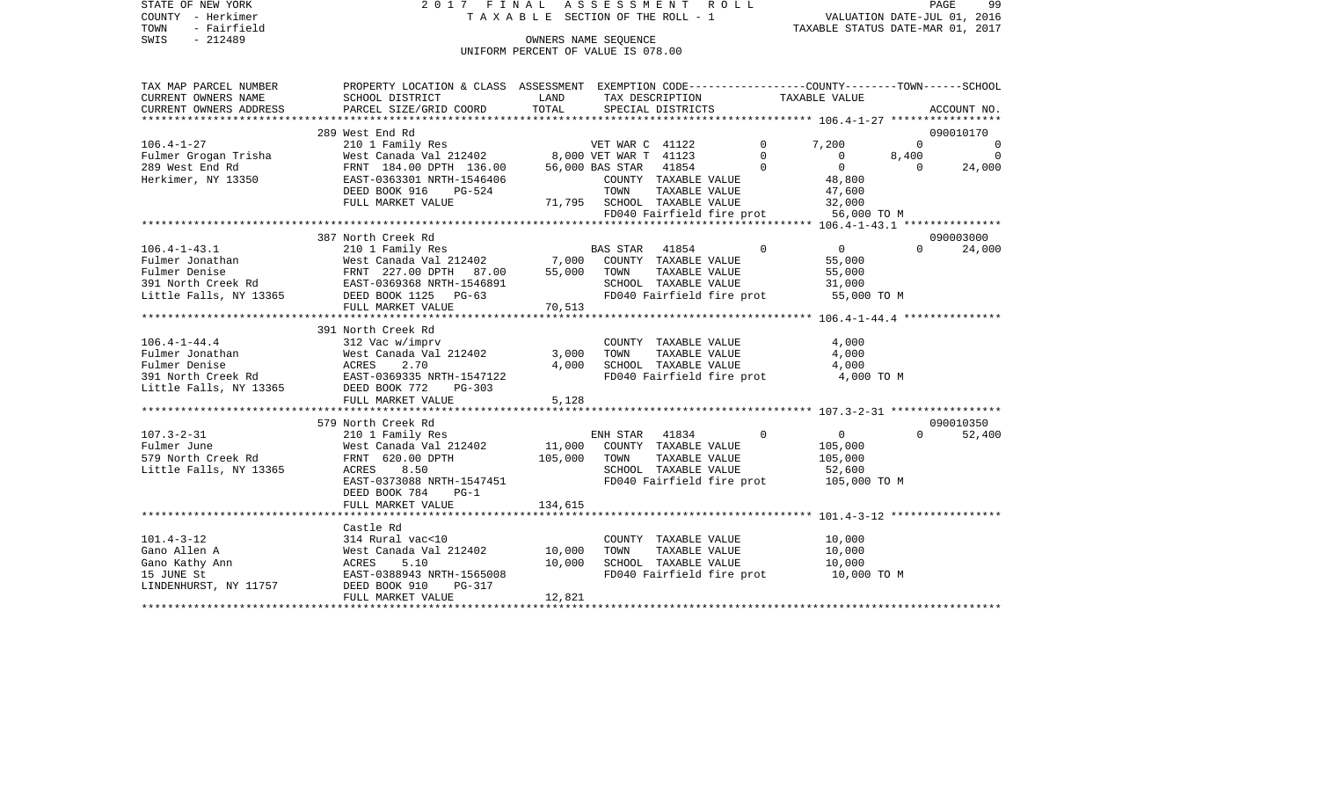COUNTY - Herkimer T A X A B L E SECTION OF THE ROLL - 1 VALUATION DATE-JUL 01, 2016

STATE OF NEW YORK 2017 FINAL ASSESSMENT ROLL

PAGE 99 ر - FAUR<br>VALUATION DATE-JUL 01, 2016<br>TAXABLE STATUS DATE-MAR 01, 2017

## OWNERS NAME SEQUENCE UNIFORM PERCENT OF VALUE IS 078.00

| TAX MAP PARCEL NUMBER               | PROPERTY LOCATION & CLASS ASSESSMENT EXEMPTION CODE----------------COUNTY-------TOWN-----SCHOOL |        |                                                   |                                                       |                   |                                           |                |                          |
|-------------------------------------|-------------------------------------------------------------------------------------------------|--------|---------------------------------------------------|-------------------------------------------------------|-------------------|-------------------------------------------|----------------|--------------------------|
| CURRENT OWNERS NAME                 | SCHOOL DISTRICT                                                                                 | LAND   |                                                   |                                                       |                   | TAX DESCRIPTION TAXABLE VALUE             |                |                          |
| CURRENT OWNERS ADDRESS              | PARCEL SIZE/GRID COORD                                                                          | TOTAL  |                                                   | SPECIAL DISTRICTS                                     |                   |                                           |                | ACCOUNT NO.              |
|                                     |                                                                                                 |        |                                                   |                                                       |                   |                                           |                |                          |
|                                     | 289 West End Rd                                                                                 |        |                                                   |                                                       |                   |                                           |                | 090010170                |
|                                     |                                                                                                 |        |                                                   |                                                       | $0 \qquad \qquad$ | 7,200                                     | $\overline{0}$ | $\overline{\phantom{0}}$ |
|                                     |                                                                                                 |        |                                                   |                                                       | $\Omega$          | $\overline{0}$                            | 8,400          | $\overline{a}$           |
|                                     |                                                                                                 |        |                                                   |                                                       | $\Omega$          | $\begin{array}{c} 0 \ 48,800 \end{array}$ | $\overline{0}$ | 24,000                   |
|                                     |                                                                                                 |        |                                                   | COUNTY TAXABLE VALUE                                  |                   |                                           |                |                          |
|                                     | DEED BOOK 916<br>PG-524                                                                         |        | TOWN                                              | TAXABLE VALUE                                         |                   | 47,600                                    |                |                          |
|                                     |                                                                                                 |        |                                                   |                                                       |                   |                                           |                |                          |
|                                     |                                                                                                 |        |                                                   |                                                       |                   |                                           |                |                          |
|                                     |                                                                                                 |        |                                                   |                                                       |                   |                                           |                |                          |
|                                     | 387 North Creek Rd                                                                              |        |                                                   |                                                       |                   |                                           |                | 090003000                |
|                                     |                                                                                                 |        |                                                   |                                                       |                   | BAS STAR 41854 0 0 0                      |                | $0 \t 24,000$            |
|                                     |                                                                                                 |        |                                                   |                                                       |                   | 55,000<br>55.000                          |                |                          |
|                                     |                                                                                                 |        |                                                   |                                                       |                   | 55,000                                    |                |                          |
|                                     | 391 North Creek Rd<br>EAST-0369368 NRTH-1546891                                                 |        |                                                   |                                                       |                   | SCHOOL TAXABLE VALUE 31,000               |                |                          |
|                                     | Little Falls, NY 13365 DEED BOOK 1125 PG-63                                                     |        |                                                   | FD040 Fairfield fire prot                             |                   | 55,000 TO M                               |                |                          |
|                                     | FULL MARKET VALUE                                                                               | 70,513 |                                                   |                                                       |                   |                                           |                |                          |
|                                     |                                                                                                 |        |                                                   |                                                       |                   |                                           |                |                          |
|                                     | 391 North Creek Rd                                                                              |        |                                                   |                                                       |                   |                                           |                |                          |
|                                     | $106.4 - 1 - 44.4$ 312 Vac w/imprv                                                              |        |                                                   |                                                       |                   | COUNTY TAXABLE VALUE 4,000                |                |                          |
|                                     |                                                                                                 |        |                                                   |                                                       |                   | 4,000                                     |                |                          |
|                                     |                                                                                                 |        |                                                   | TOWN       TAXABLE  VALUE<br>SCHOOL    TAXABLE  VALUE |                   | 4,000                                     |                |                          |
|                                     |                                                                                                 |        |                                                   |                                                       |                   | FD040 Fairfield fire prot 4,000 TO M      |                |                          |
|                                     |                                                                                                 |        |                                                   |                                                       |                   |                                           |                |                          |
|                                     |                                                                                                 |        |                                                   |                                                       |                   |                                           |                |                          |
|                                     |                                                                                                 |        |                                                   |                                                       |                   |                                           |                |                          |
|                                     | 579 North Creek Rd                                                                              |        |                                                   |                                                       |                   |                                           |                | 090010350                |
|                                     |                                                                                                 |        | ENH STAR 41834 0                                  |                                                       |                   | $\overline{0}$                            | $\Omega$       | 52,400                   |
|                                     |                                                                                                 |        |                                                   |                                                       |                   | 105,000                                   |                |                          |
|                                     |                                                                                                 |        |                                                   | TAXABLE VALUE                                         |                   | 105,000                                   |                |                          |
| Little Falls, NY 13365              | ACRES 8.50                                                                                      |        |                                                   | SCHOOL TAXABLE VALUE                                  |                   | 52,600                                    |                |                          |
|                                     | EAST-0373088 NRTH-1547451                                                                       |        | SCHOOL TAXABLE VALUE<br>FD040 Fairfield fire prot |                                                       |                   | 105,000 TO M                              |                |                          |
|                                     | DEED BOOK 784 PG-1                                                                              |        |                                                   |                                                       |                   |                                           |                |                          |
|                                     |                                                                                                 |        |                                                   |                                                       |                   |                                           |                |                          |
|                                     |                                                                                                 |        |                                                   |                                                       |                   |                                           |                |                          |
|                                     | Castle Rd                                                                                       |        |                                                   |                                                       |                   |                                           |                |                          |
| $101.4 - 3 - 12$                    |                                                                                                 |        |                                                   |                                                       |                   | COUNTY TAXABLE VALUE 10,000               |                |                          |
| Gano Allen A                        |                                                                                                 |        | TOWN                                              | TAXABLE VALUE                                         |                   | 10,000                                    |                |                          |
| Gano Kathy Ann                      |                                                                                                 | 10,000 |                                                   | SCHOOL TAXABLE VALUE                                  |                   | 10,000                                    |                |                          |
| 15 JUNE St                          | ACRES 5.10<br>EAST-0388943 NRTH-1565008                                                         |        |                                                   | FD040 Fairfield fire prot                             |                   | 10,000 TO M                               |                |                          |
| LINDENHURST, NY 11757 DEED BOOK 910 | PG-317                                                                                          |        |                                                   |                                                       |                   |                                           |                |                          |
|                                     | FULL MARKET VALUE                                                                               | 12,821 |                                                   |                                                       |                   |                                           |                |                          |
|                                     |                                                                                                 |        |                                                   |                                                       |                   |                                           |                |                          |
|                                     |                                                                                                 |        |                                                   |                                                       |                   |                                           |                |                          |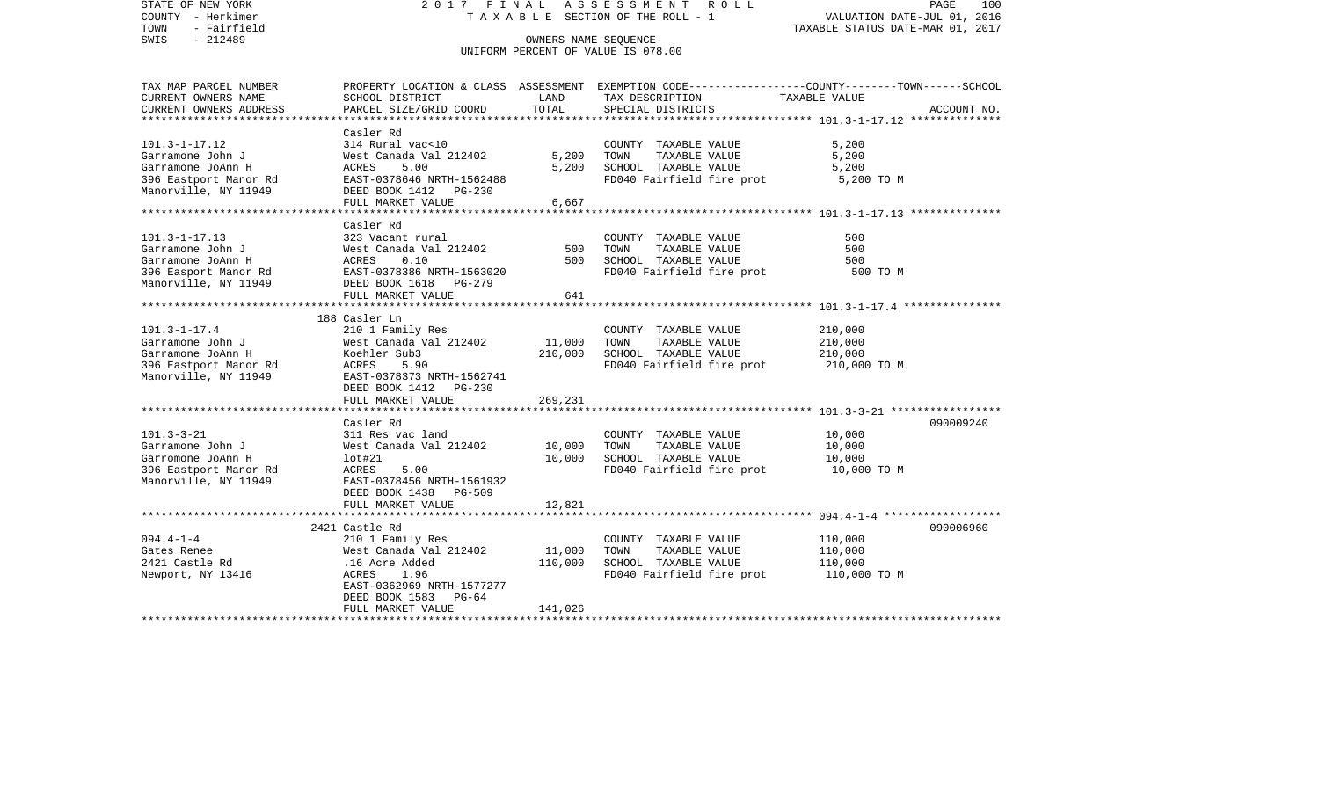STATE OF NEW YORK 2 0 1 7 F I N A L A S S E S S M E N T R O L L PAGE 100COUNTY - Herkimer T A X A B L E SECTION OF THE ROLL - 1 VALUATION DATE-JUL 01, 2016 TOWN - Fairfield TAXABLE STATUS DATE-MAR 01, 2017 SWIS - 212489 CONNERS NAME SEQUENCE UNIFORM PERCENT OF VALUE IS 078.00TAX MAP PARCEL NUMBER PROPERTY LOCATION & CLASS ASSESSMENT EXEMPTION CODE------------------COUNTY--------TOWN------SCHOOL CURRENT OWNERS NAME SCHOOL DISTRICT LAND TAX DESCRIPTION TAXABLE VALUECURRENT OWNERS ADDRESS PARCEL SIZE/GRID COORD TOTAL SPECIAL DISTRICTS ACCOUNT NO. \*\*\*\*\*\*\*\*\*\*\*\*\*\*\*\*\*\*\*\*\*\*\*\*\*\*\*\*\*\*\*\*\*\*\*\*\*\*\*\*\*\*\*\*\*\*\*\*\*\*\*\*\*\*\*\*\*\*\*\*\*\*\*\*\*\*\*\*\*\*\*\*\*\*\*\*\*\*\*\*\*\*\*\*\*\*\*\*\*\*\*\*\*\*\*\*\*\*\*\*\*\*\* 101.3-1-17.12 \*\*\*\*\*\*\*\*\*\*\*\*\*\* Casler Rd $314$  Rural vac< $10$ 101.3-1-17.12 314 Rural vac<10 COUNTY TAXABLE VALUE 5,200 Garramone John J West Canada Val 212402 5,200 TOWN TAXABLE VALUE 5,200 Garramone JoAnn H ACRES 5.00 5,200 SCHOOL TAXABLE VALUE 5,200 396 Eastport Manor Rd EAST-0378646 NRTH-1562488 FD040 Fairfield fire prot 5,200 TO M<br>Manorville, NY 11949 DEED BOOK 1412 PG-230 DEED BOOK 1412 PG-230 FULL MARKET VALUE 6,667 \*\*\*\*\*\*\*\*\*\*\*\*\*\*\*\*\*\*\*\*\*\*\*\*\*\*\*\*\*\*\*\*\*\*\*\*\*\*\*\*\*\*\*\*\*\*\*\*\*\*\*\*\*\*\*\*\*\*\*\*\*\*\*\*\*\*\*\*\*\*\*\*\*\*\*\*\*\*\*\*\*\*\*\*\*\*\*\*\*\*\*\*\*\*\*\*\*\*\*\*\*\*\* 101.3-1-17.13 \*\*\*\*\*\*\*\*\*\*\*\*\*\* Casler Rd101.3-1-17.13 323 Vacant rural COUNTY TAXABLE VALUE 500500 Garramone John J West Canada Val 212402 500 TOWN TAXABLE VALUE 500Garramone JoAnn H ACRES 0.10 500 SCHOOL TAXABLE VALUE 500396 Easport Manor Rd EAST-0378386 NRTH-1563020 FD040 Fairfield fire prot 500 TO M Manorville, NY 11949 DEED BOOK 1618 PG-279 FULL MARKET VALUE 641 \*\*\*\*\*\*\*\*\*\*\*\*\*\*\*\*\*\*\*\*\*\*\*\*\*\*\*\*\*\*\*\*\*\*\*\*\*\*\*\*\*\*\*\*\*\*\*\*\*\*\*\*\*\*\*\*\*\*\*\*\*\*\*\*\*\*\*\*\*\*\*\*\*\*\*\*\*\*\*\*\*\*\*\*\*\*\*\*\*\*\*\*\*\*\*\*\*\*\*\*\*\*\* 101.3-1-17.4 \*\*\*\*\*\*\*\*\*\*\*\*\*\*\* 188 Casler Ln101.3-1-17.4 210 1 Family Res COUNTY TAXABLE VALUE 210,000 Garramone John J West Canada Val 212402 11,000 TOWN TAXABLE VALUE 210,000 Garramone JoAnn H Koehler Sub3 210,000 SCHOOL TAXABLE VALUE 210,000 396 Eastport Manor Rd  $ACRES$  5.90  $S$  FD040 Fairfield fire prot 210,000 TO M Manorville, NY 11949 EAST-0378373 NRTH-1562741 DEED BOOK 1412 PG-230 FULL MARKET VALUE 269,231 \*\*\*\*\*\*\*\*\*\*\*\*\*\*\*\*\*\*\*\*\*\*\*\*\*\*\*\*\*\*\*\*\*\*\*\*\*\*\*\*\*\*\*\*\*\*\*\*\*\*\*\*\*\*\*\*\*\*\*\*\*\*\*\*\*\*\*\*\*\*\*\*\*\*\*\*\*\*\*\*\*\*\*\*\*\*\*\*\*\*\*\*\*\*\*\*\*\*\*\*\*\*\* 101.3-3-21 \*\*\*\*\*\*\*\*\*\*\*\*\*\*\*\*\* Casler Rd 090009240101.3-3-21 311 Res vac land COUNTY TAXABLE VALUE 10,000 Garramone John J West Canada Val 212402 10,000 TOWN TAXABLE VALUE 10,000 Garromone JoAnn H lot#21 10,000 SCHOOL TAXABLE VALUE 10,000 396 Eastport Manor Rd  $ACRES$  5.00 FOD ACRES FD040 Fairfield fire prot 10,000 TO M Manorville, NY 11949 EAST-0378456 NRTH-1561932 DEED BOOK 1438 PG-509FULL MARKET VALUE 12,821 \*\*\*\*\*\*\*\*\*\*\*\*\*\*\*\*\*\*\*\*\*\*\*\*\*\*\*\*\*\*\*\*\*\*\*\*\*\*\*\*\*\*\*\*\*\*\*\*\*\*\*\*\*\*\*\*\*\*\*\*\*\*\*\*\*\*\*\*\*\*\*\*\*\*\*\*\*\*\*\*\*\*\*\*\*\*\*\*\*\*\*\*\*\*\*\*\*\*\*\*\*\*\* 094.4-1-4 \*\*\*\*\*\*\*\*\*\*\*\*\*\*\*\*\*\* 2421 Castle Rd 090006960094.4-1-4 210 1 Family Res COUNTY TAXABLE VALUE 110,000 West Canada Val  $212402$  11,000 TOWN 2421 Castle Rd .16 Acre Added 110,000 SCHOOL TAXABLE VALUE 110,000 Newport, NY 13416 ACRES 1.96 FD040 Fairfield fire prot 110,000 TO M EAST-0362969 NRTH-1577277 DEED BOOK 1583 PG-64 FULL MARKET VALUE 141,026 \*\*\*\*\*\*\*\*\*\*\*\*\*\*\*\*\*\*\*\*\*\*\*\*\*\*\*\*\*\*\*\*\*\*\*\*\*\*\*\*\*\*\*\*\*\*\*\*\*\*\*\*\*\*\*\*\*\*\*\*\*\*\*\*\*\*\*\*\*\*\*\*\*\*\*\*\*\*\*\*\*\*\*\*\*\*\*\*\*\*\*\*\*\*\*\*\*\*\*\*\*\*\*\*\*\*\*\*\*\*\*\*\*\*\*\*\*\*\*\*\*\*\*\*\*\*\*\*\*\*\*\*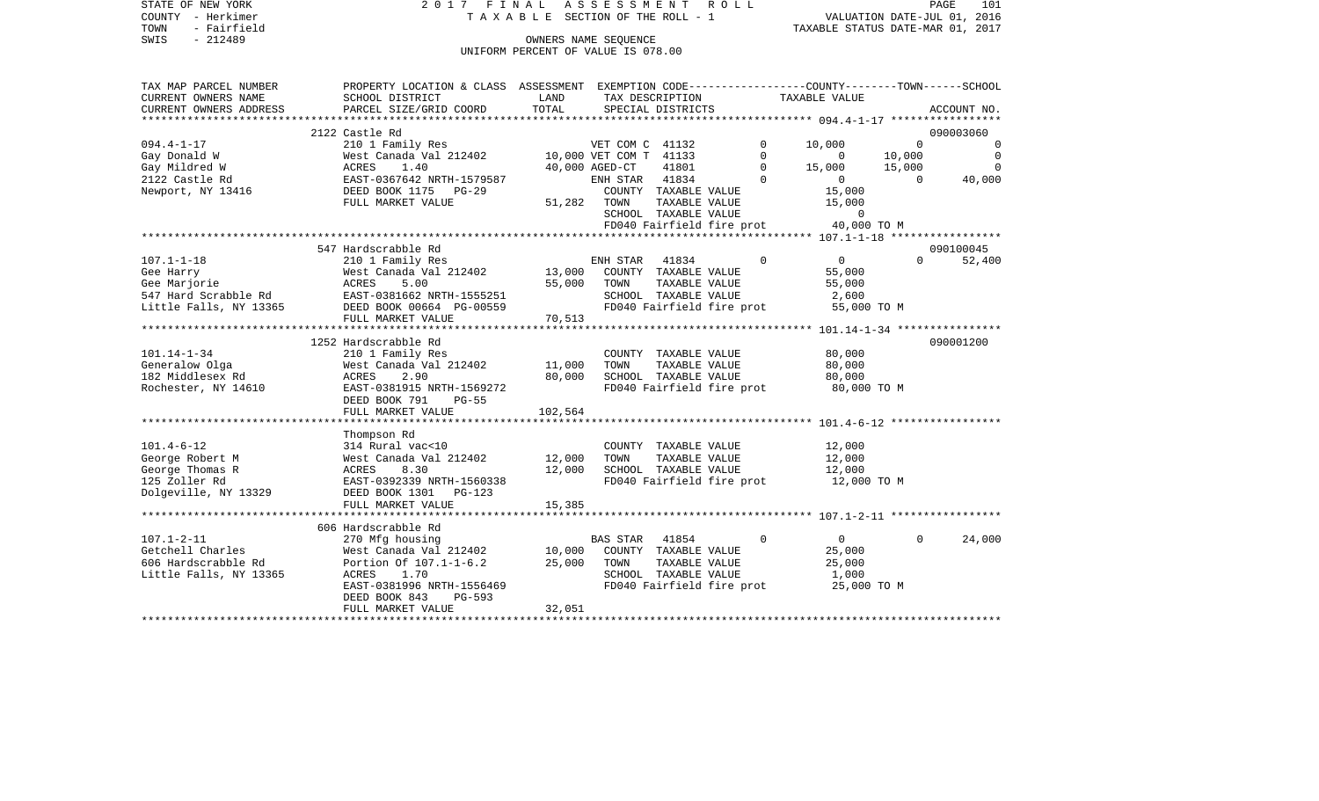STATE OF NEW YORK 2 0 1 7 F I N A L A S S E S S M E N T R O L L PAGE 101COUNTY - Herkimer **T A X A B L E** SECTION OF THE ROLL - 1 VALUATION DATE-JUL 01, 2016 TOWN - Fairfield TAXABLE STATUS DATE-MAR 01, 2017 SWIS - 212489 OWNERS NAME SEQUENCE UNIFORM PERCENT OF VALUE IS 078.00TAX MAP PARCEL NUMBER PROPERTY LOCATION & CLASS ASSESSMENT EXEMPTION CODE------------------COUNTY--------TOWN------SCHOOL CURRENT OWNERS NAME SCHOOL DISTRICT LAND TAX DESCRIPTION TAXABLE VALUECURRENT OWNERS ADDRESS PARCEL SIZE/GRID COORD TOTAL SPECIAL DISTRICTS ACCOUNT NO. \*\*\*\*\*\*\*\*\*\*\*\*\*\*\*\*\*\*\*\*\*\*\*\*\*\*\*\*\*\*\*\*\*\*\*\*\*\*\*\*\*\*\*\*\*\*\*\*\*\*\*\*\*\*\*\*\*\*\*\*\*\*\*\*\*\*\*\*\*\*\*\*\*\*\*\*\*\*\*\*\*\*\*\*\*\*\*\*\*\*\*\*\*\*\*\*\*\*\*\*\*\*\* 094.4-1-17 \*\*\*\*\*\*\*\*\*\*\*\*\*\*\*\*\* 2122 Castle Rd 090003060094.4-1-17 210 1 Family Res VET COM C 41132 0 10,000 0 0 0 Gay Donald W West Canada Val 212402 10,000 VET COM T 41133 0 0 10,000 0 Gay Mildred W ACRES 1.40 40,000 AGED-CT 41801 0 15,000 15,000 0 2122 Castle Rd EAST-0367642 NRTH-1579587 ENH STAR 41834 0 0 0 40,000 Newport, NY 13416 DEED BOOK 1175 PG-29 COUNTY TAXABLE VALUE 15,000 FULL MARKET VALUE 51,282 TOWN TAXABLE VALUE 15,000 SCHOOL TAXABLE VALUE 0 FD040 Fairfield fire prot 40,000 TO M \*\*\*\*\*\*\*\*\*\*\*\*\*\*\*\*\*\*\*\*\*\*\*\*\*\*\*\*\*\*\*\*\*\*\*\*\*\*\*\*\*\*\*\*\*\*\*\*\*\*\*\*\*\*\*\*\*\*\*\*\*\*\*\*\*\*\*\*\*\*\*\*\*\*\*\*\*\*\*\*\*\*\*\*\*\*\*\*\*\*\*\*\*\*\*\*\*\*\*\*\*\*\* 107.1-1-18 \*\*\*\*\*\*\*\*\*\*\*\*\*\*\*\*\* 547 Hardscrabble Rd 090100045107.1-1-18 210 1 Family Res ENH STAR 41834 0 0 0 52,400 Gee Harry **12.12 Example 20 Sect Canada Val 212402** 13,000 COUNTY TAXABLE VALUE 55,000 Gee Marjorie ACRES 5.00 55,000 TOWN TAXABLE VALUE 55,000 547 Hard Scrabble Rd EAST-0381662 NRTH-1555251 SCHOOL TAXABLE VALUE 2,600 Little Falls, NY 13365 DEED BOOK 00664 PG-00559 FD040 Fairfield fire prot 55,000 TO M<br>FULL MARKET VALUE 70.513 FULL MARKET VALUE 70,513 \*\*\*\*\*\*\*\*\*\*\*\*\*\*\*\*\*\*\*\*\*\*\*\*\*\*\*\*\*\*\*\*\*\*\*\*\*\*\*\*\*\*\*\*\*\*\*\*\*\*\*\*\*\*\*\*\*\*\*\*\*\*\*\*\*\*\*\*\*\*\*\*\*\*\*\*\*\*\*\*\*\*\*\*\*\*\*\*\*\*\*\*\*\*\*\*\*\*\*\*\*\*\* 101.14-1-34 \*\*\*\*\*\*\*\*\*\*\*\*\*\*\*\* 1252 Hardscrabble Rd 090001200101.14-1-34 210 1 Family Res COUNTY TAXABLE VALUE 80,000 Generalow Olga West Canada Val 212402 11,000 TOWN TAXABLE VALUE 80,000 182 Middlesex Rd ACRES 2.90 80,000 SCHOOL TAXABLE VALUE 80,000 Rochester, NY 14610 EAST-0381915 NRTH-1569272 FD040 Fairfield fire prot 80,000 TO M DEED BOOK 791 PG-55FULL MARKET VALUE 102,564 \*\*\*\*\*\*\*\*\*\*\*\*\*\*\*\*\*\*\*\*\*\*\*\*\*\*\*\*\*\*\*\*\*\*\*\*\*\*\*\*\*\*\*\*\*\*\*\*\*\*\*\*\*\*\*\*\*\*\*\*\*\*\*\*\*\*\*\*\*\*\*\*\*\*\*\*\*\*\*\*\*\*\*\*\*\*\*\*\*\*\*\*\*\*\*\*\*\*\*\*\*\*\* 101.4-6-12 \*\*\*\*\*\*\*\*\*\*\*\*\*\*\*\*\* Thompson Rd 101.4-6-12 314 Rural vac<10 COUNTY TAXABLE VALUE 12,000 George Robert M **West Canada Val 212402** 12,000 TOWN TAXABLE VALUE 12,000 George Thomas R  $ACRES$  8.30 12,000 SCHOOL TAXABLE VALUE 12,000 125 Zoller Rd EAST-0392339 NRTH-1560338 FD040 Fairfield fire prot 12,000 TO M Dolgeville, NY 13329 DEED BOOK 1301 PG-123 FULL MARKET VALUE 15,385 \*\*\*\*\*\*\*\*\*\*\*\*\*\*\*\*\*\*\*\*\*\*\*\*\*\*\*\*\*\*\*\*\*\*\*\*\*\*\*\*\*\*\*\*\*\*\*\*\*\*\*\*\*\*\*\*\*\*\*\*\*\*\*\*\*\*\*\*\*\*\*\*\*\*\*\*\*\*\*\*\*\*\*\*\*\*\*\*\*\*\*\*\*\*\*\*\*\*\*\*\*\*\* 107.1-2-11 \*\*\*\*\*\*\*\*\*\*\*\*\*\*\*\*\* 606 Hardscrabble Rd107.1-2-11 270 Mfg housing BAS STAR 41854 0 0 0 24,000 West Canada Val 212402 10,000 606 Hardscrabble Rd Portion Of 107.1-1-6.2 25,000 TOWN TAXABLE VALUE 25,000 Little Falls, NY 13365 ACRES 1.70 SCHOOL TAXABLE VALUE 1,000

EAST-0381996 NRTH-1556469 FD040 Fairfield fire prot 25,000 TO M

\*\*\*\*\*\*\*\*\*\*\*\*\*\*\*\*\*\*\*\*\*\*\*\*\*\*\*\*\*\*\*\*\*\*\*\*\*\*\*\*\*\*\*\*\*\*\*\*\*\*\*\*\*\*\*\*\*\*\*\*\*\*\*\*\*\*\*\*\*\*\*\*\*\*\*\*\*\*\*\*\*\*\*\*\*\*\*\*\*\*\*\*\*\*\*\*\*\*\*\*\*\*\*\*\*\*\*\*\*\*\*\*\*\*\*\*\*\*\*\*\*\*\*\*\*\*\*\*\*\*\*\*

DEED BOOK 843 PG-593

FULL MARKET VALUE 32.051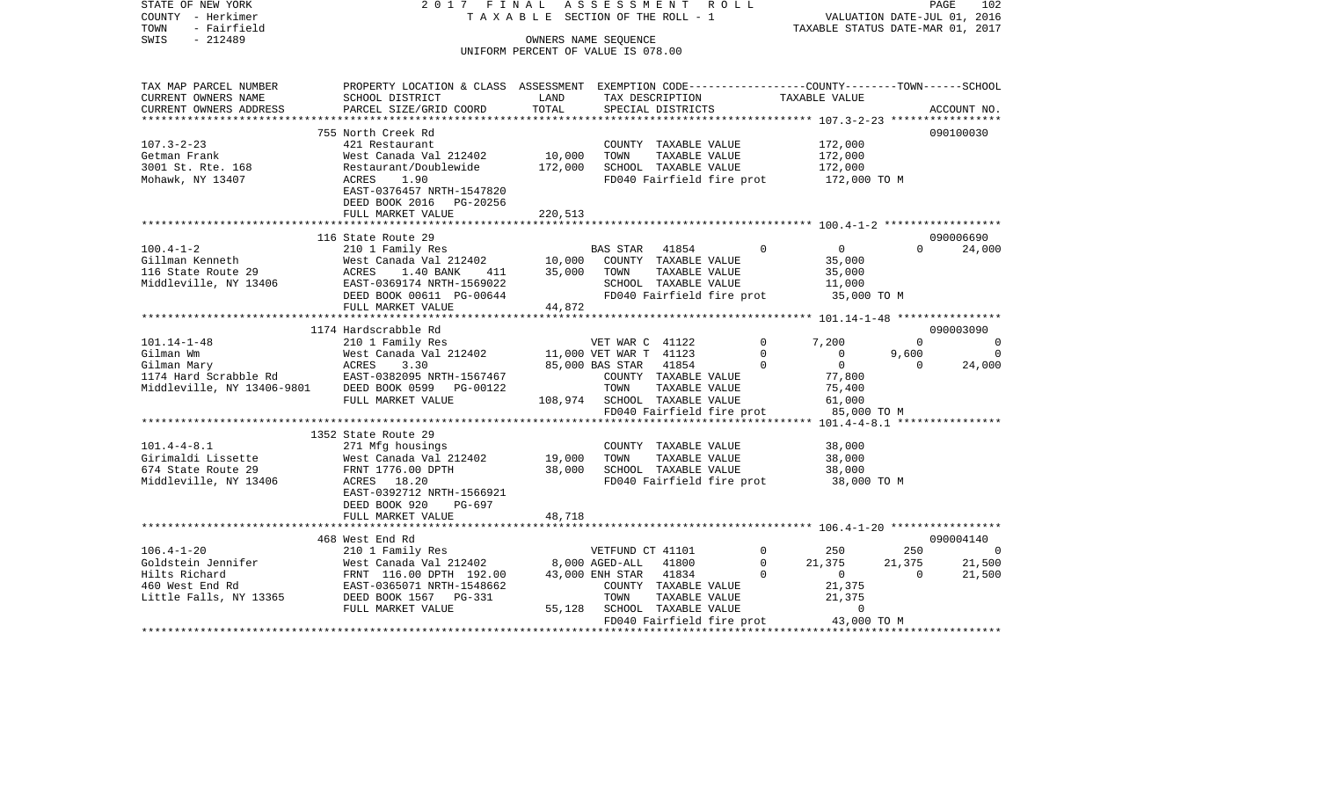| STATE OF NEW YORK<br>COUNTY - Herkimer<br>TOWN<br>- Fairfield<br>SWIS<br>$-212489$ | 2017 FINAL                                                                                                         | TAXABLE SECTION OF THE ROLL - 1<br>OWNERS NAME SEQUENCE |                                          | ASSESSMENT ROLL                                   |             | TAXABLE STATUS DATE-MAR 01, 2017      | VALUATION DATE-JUL 01, 2016 | PAGE<br>102         |
|------------------------------------------------------------------------------------|--------------------------------------------------------------------------------------------------------------------|---------------------------------------------------------|------------------------------------------|---------------------------------------------------|-------------|---------------------------------------|-----------------------------|---------------------|
|                                                                                    |                                                                                                                    | UNIFORM PERCENT OF VALUE IS 078.00                      |                                          |                                                   |             |                                       |                             |                     |
| TAX MAP PARCEL NUMBER<br>CURRENT OWNERS NAME                                       | PROPERTY LOCATION & CLASS ASSESSMENT EXEMPTION CODE----------------COUNTY-------TOWN-----SCHOOL<br>SCHOOL DISTRICT | LAND                                                    |                                          | TAX DESCRIPTION                                   |             | TAXABLE VALUE                         |                             |                     |
| CURRENT OWNERS ADDRESS<br>*********************                                    | PARCEL SIZE/GRID COORD                                                                                             | TOTAL                                                   |                                          | SPECIAL DISTRICTS                                 |             |                                       |                             | ACCOUNT NO.         |
|                                                                                    | 755 North Creek Rd                                                                                                 |                                                         |                                          |                                                   |             |                                       |                             | 090100030           |
| $107.3 - 2 - 23$                                                                   | 421 Restaurant                                                                                                     |                                                         |                                          | COUNTY TAXABLE VALUE                              |             | 172,000                               |                             |                     |
| Getman Frank                                                                       | West Canada Val 212402                                                                                             | 10,000                                                  | TOWN                                     | TAXABLE VALUE                                     |             | 172,000                               |                             |                     |
| 3001 St. Rte. 168                                                                  | Restaurant/Doublewide                                                                                              | 172,000                                                 |                                          | SCHOOL TAXABLE VALUE                              |             | 172,000                               |                             |                     |
| Mohawk, NY 13407                                                                   | ACRES<br>1.90<br>EAST-0376457 NRTH-1547820<br>DEED BOOK 2016 PG-20256<br>FULL MARKET VALUE                         | 220,513                                                 |                                          | FD040 Fairfield fire prot                         |             | 172,000 TO M                          |                             |                     |
|                                                                                    |                                                                                                                    |                                                         |                                          |                                                   |             |                                       |                             |                     |
|                                                                                    | 116 State Route 29                                                                                                 |                                                         |                                          |                                                   |             |                                       |                             | 090006690           |
| $100.4 - 1 - 2$                                                                    | 210 1 Family Res                                                                                                   |                                                         | BAS STAR                                 | 41854                                             | $\Omega$    | $\overline{0}$                        | $\Omega$                    | 24,000              |
| Gillman Kenneth                                                                    | West Canada Val 212402                                                                                             | 10,000                                                  |                                          | COUNTY TAXABLE VALUE                              |             | 35,000                                |                             |                     |
| 116 State Route 29                                                                 | ACRES<br>1.40 BANK<br>411                                                                                          | 35,000                                                  | TOWN                                     | TAXABLE VALUE                                     |             | 35,000                                |                             |                     |
| Middleville, NY 13406                                                              | EAST-0369174 NRTH-1569022                                                                                          |                                                         |                                          | SCHOOL TAXABLE VALUE                              |             | 11,000                                |                             |                     |
|                                                                                    | DEED BOOK 00611 PG-00644                                                                                           |                                                         |                                          | FD040 Fairfield fire prot                         |             | 35,000 TO M                           |                             |                     |
|                                                                                    | FULL MARKET VALUE                                                                                                  | 44,872                                                  |                                          |                                                   |             |                                       |                             |                     |
|                                                                                    | 1174 Hardscrabble Rd                                                                                               |                                                         |                                          |                                                   |             |                                       |                             | 090003090           |
| $101.14 - 1 - 48$                                                                  | 210 1 Family Res                                                                                                   |                                                         | VET WAR C 41122                          |                                                   | $\Omega$    | 7,200                                 | $\Omega$                    |                     |
| Gilman Wm                                                                          | West Canada Val 212402                                                                                             |                                                         | 11,000 VET WAR T 41123                   |                                                   | $\mathbf 0$ | $\overline{0}$                        | 9,600                       | $\overline{0}$      |
| Gilman Mary                                                                        | ACRES<br>3.30                                                                                                      |                                                         | 85,000 BAS STAR                          | 41854                                             | 0           | $\overline{0}$                        | $\Omega$                    | 24,000              |
|                                                                                    |                                                                                                                    |                                                         |                                          | COUNTY TAXABLE VALUE                              |             | 77,800                                |                             |                     |
| Middleville, NY 13406-9801                                                         | DEED BOOK 0599 PG-00122                                                                                            |                                                         | TOWN                                     | TAXABLE VALUE                                     |             | 75,400                                |                             |                     |
|                                                                                    | FULL MARKET VALUE                                                                                                  |                                                         |                                          | 108,974 SCHOOL TAXABLE VALUE                      |             | 61,000                                |                             |                     |
|                                                                                    |                                                                                                                    |                                                         |                                          | FD040 Fairfield fire prot                         |             | 85,000 TO M                           |                             |                     |
|                                                                                    |                                                                                                                    |                                                         |                                          |                                                   |             |                                       |                             |                     |
|                                                                                    | 1352 State Route 29                                                                                                |                                                         |                                          |                                                   |             |                                       |                             |                     |
| $101.4 - 4 - 8.1$                                                                  | 271 Mfg housings                                                                                                   |                                                         |                                          | COUNTY TAXABLE VALUE                              |             | 38,000                                |                             |                     |
| Girimaldi Lissette                                                                 | West Canada Val 212402                                                                                             | 19,000                                                  | TOWN                                     | TAXABLE VALUE                                     |             | 38,000                                |                             |                     |
| 674 State Route 29<br>Middleville, NY 13406                                        | FRNT 1776.00 DPTH<br>ACRES 18.20                                                                                   | 38,000                                                  |                                          | SCHOOL TAXABLE VALUE<br>FD040 Fairfield fire prot |             | 38,000<br>38,000 TO M                 |                             |                     |
|                                                                                    | EAST-0392712 NRTH-1566921<br>DEED BOOK 920<br>PG-697                                                               |                                                         |                                          |                                                   |             |                                       |                             |                     |
|                                                                                    | FULL MARKET VALUE                                                                                                  | 48,718                                                  |                                          |                                                   |             |                                       |                             |                     |
|                                                                                    |                                                                                                                    |                                                         |                                          |                                                   |             |                                       |                             |                     |
| $106.4 - 1 - 20$                                                                   | 468 West End Rd                                                                                                    |                                                         |                                          |                                                   | $\Omega$    |                                       |                             | 090004140<br>$\cap$ |
| Goldstein Jennifer                                                                 | 210 1 Family Res<br>West Canada Val 212402                                                                         |                                                         | VETFUND CT 41101<br>8,000 AGED-ALL 41800 |                                                   | $\Omega$    | 250<br>21,375                         | 250<br>21,375               | 21,500              |
| Hilts Richard                                                                      | FRNT 116.00 DPTH 192.00                                                                                            |                                                         | 43,000 ENH STAR 41834                    |                                                   | $\Omega$    | $\overline{0}$                        | $\Omega$                    | 21,500              |
| 460 West End Rd                                                                    | EAST-0365071 NRTH-1548662                                                                                          |                                                         |                                          | COUNTY TAXABLE VALUE                              |             | 21,375                                |                             |                     |
| Little Falls, NY 13365                                                             | DEED BOOK 1567 PG-331                                                                                              |                                                         | TOWN                                     | TAXABLE VALUE                                     |             | 21,375                                |                             |                     |
|                                                                                    | FULL MARKET VALUE                                                                                                  | 55,128                                                  |                                          | SCHOOL TAXABLE VALUE                              |             | 0                                     |                             |                     |
|                                                                                    |                                                                                                                    |                                                         |                                          |                                                   |             | FD040 Fairfield fire prot 43,000 TO M |                             |                     |
|                                                                                    |                                                                                                                    |                                                         |                                          |                                                   |             |                                       |                             |                     |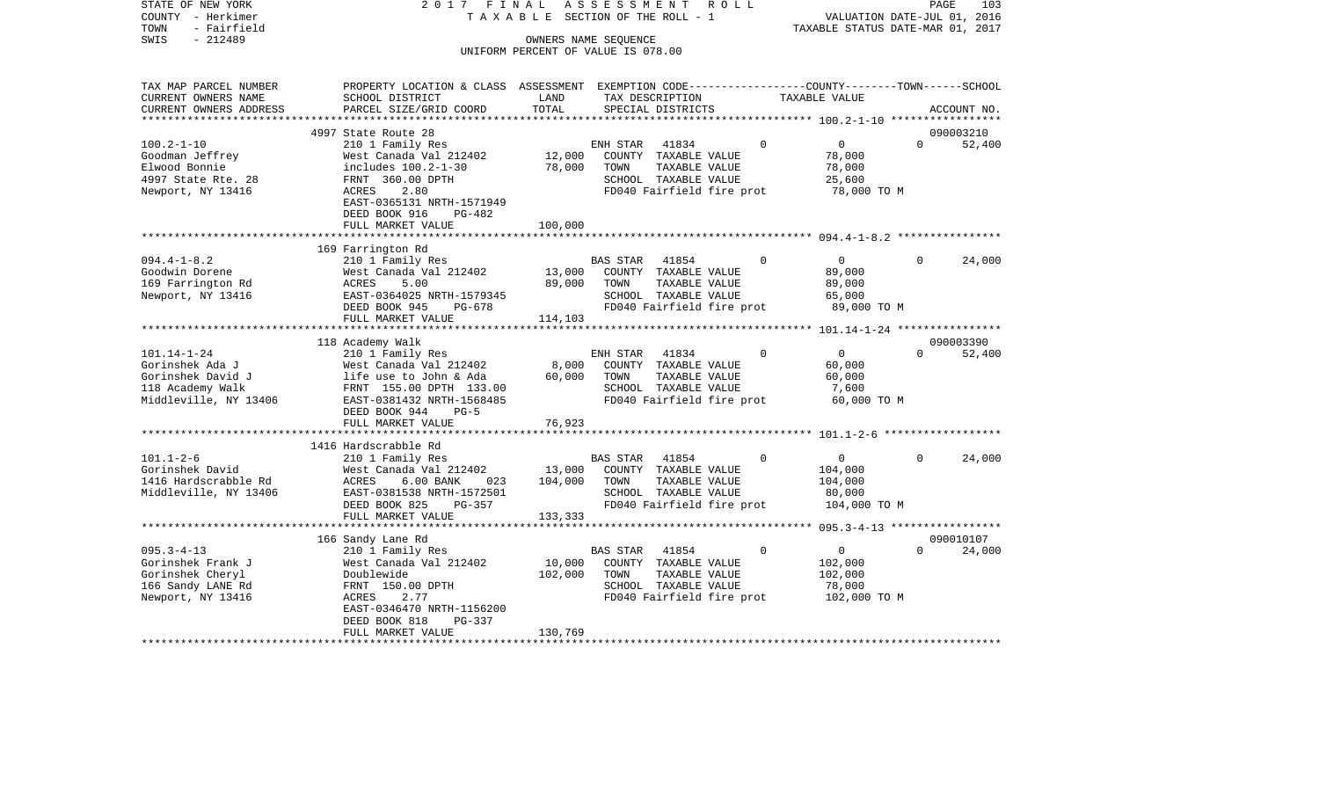| STATE OF NEW YORK<br>COUNTY - Herkimer<br>TOWN<br>- Fairfield | 2017 FINAL                                                                                      | TAXABLE SECTION OF THE ROLL - 1    | ASSESSMENT      |                           | R O L L |                | VALUATION DATE-JUL 01, 2016<br>TAXABLE STATUS DATE-MAR 01, 2017 |          | PAGE<br>103 |
|---------------------------------------------------------------|-------------------------------------------------------------------------------------------------|------------------------------------|-----------------|---------------------------|---------|----------------|-----------------------------------------------------------------|----------|-------------|
| $-212489$<br>SWIS                                             |                                                                                                 | OWNERS NAME SEQUENCE               |                 |                           |         |                |                                                                 |          |             |
|                                                               |                                                                                                 | UNIFORM PERCENT OF VALUE IS 078.00 |                 |                           |         |                |                                                                 |          |             |
|                                                               |                                                                                                 |                                    |                 |                           |         |                |                                                                 |          |             |
| TAX MAP PARCEL NUMBER                                         | PROPERTY LOCATION & CLASS ASSESSMENT EXEMPTION CODE----------------COUNTY-------TOWN-----SCHOOL |                                    |                 |                           |         |                |                                                                 |          |             |
| CURRENT OWNERS NAME                                           | SCHOOL DISTRICT                                                                                 | LAND                               |                 | TAX DESCRIPTION           |         |                | TAXABLE VALUE                                                   |          |             |
| CURRENT OWNERS ADDRESS                                        | PARCEL SIZE/GRID COORD                                                                          | TOTAL                              |                 | SPECIAL DISTRICTS         |         |                |                                                                 |          | ACCOUNT NO. |
| ***********************                                       |                                                                                                 |                                    |                 |                           |         |                |                                                                 |          |             |
|                                                               | 4997 State Route 28                                                                             |                                    |                 |                           |         |                |                                                                 |          | 090003210   |
| $100.2 - 1 - 10$                                              | 210 1 Family Res                                                                                |                                    | ENH STAR 41834  |                           |         | $\circ$        | $\overline{0}$                                                  | $\Omega$ | 52,400      |
| Goodman Jeffrey                                               | West Canada Val 212402                                                                          | 12,000                             |                 | COUNTY TAXABLE VALUE      |         |                | 78,000                                                          |          |             |
| Elwood Bonnie                                                 | includes 100.2-1-30                                                                             | 78,000                             | TOWN            | TAXABLE VALUE             |         |                | 78,000                                                          |          |             |
| 4997 State Rte. 28                                            | FRNT 360.00 DPTH                                                                                |                                    |                 | SCHOOL TAXABLE VALUE      |         |                | 25,600                                                          |          |             |
| Newport, NY 13416                                             | ACRES<br>2.80                                                                                   |                                    |                 | FD040 Fairfield fire prot |         |                | 78,000 TO M                                                     |          |             |
|                                                               | EAST-0365131 NRTH-1571949                                                                       |                                    |                 |                           |         |                |                                                                 |          |             |
|                                                               | DEED BOOK 916<br>PG-482                                                                         |                                    |                 |                           |         |                |                                                                 |          |             |
|                                                               | FULL MARKET VALUE                                                                               | 100,000                            |                 |                           |         |                |                                                                 |          |             |
|                                                               | 169 Farrington Rd                                                                               |                                    |                 |                           |         |                |                                                                 |          |             |
| $094.4 - 1 - 8.2$                                             | 210 1 Family Res                                                                                |                                    | BAS STAR        | 41854                     |         | $\overline{0}$ | $\overline{0}$                                                  | 0        | 24,000      |
| Goodwin Dorene                                                | West Canada Val 212402                                                                          | 13,000                             |                 | COUNTY TAXABLE VALUE      |         |                | 89,000                                                          |          |             |
| 169 Farrington Rd                                             | ACRES<br>5.00                                                                                   | 89,000                             | TOWN            | TAXABLE VALUE             |         |                | 89,000                                                          |          |             |
| Newport, NY 13416                                             | EAST-0364025 NRTH-1579345                                                                       |                                    |                 | SCHOOL TAXABLE VALUE      |         |                | 65,000                                                          |          |             |
|                                                               | DEED BOOK 945<br>PG-678                                                                         |                                    |                 | FD040 Fairfield fire prot |         |                | 89,000 TO M                                                     |          |             |
|                                                               | FULL MARKET VALUE                                                                               | 114,103                            |                 |                           |         |                |                                                                 |          |             |
|                                                               | ************************                                                                        |                                    |                 |                           |         |                |                                                                 |          |             |
|                                                               | 118 Academy Walk                                                                                |                                    |                 |                           |         |                |                                                                 |          | 090003390   |
| $101.14 - 1 - 24$                                             | 210 1 Family Res                                                                                |                                    | ENH STAR 41834  |                           |         | $\Omega$       | $\overline{0}$                                                  | $\Omega$ | 52,400      |
| Gorinshek Ada J                                               | West Canada Val 212402                                                                          | 8,000                              |                 | COUNTY TAXABLE VALUE      |         |                | 60,000                                                          |          |             |
| Gorinshek David J                                             | life use to John & Ada                                                                          | 60,000                             | TOWN            | TAXABLE VALUE             |         |                | 60,000                                                          |          |             |
| 118 Academy Walk                                              | FRNT 155.00 DPTH 133.00                                                                         |                                    |                 | SCHOOL TAXABLE VALUE      |         |                | 7,600                                                           |          |             |
| Middleville, NY 13406                                         | EAST-0381432 NRTH-1568485                                                                       |                                    |                 | FD040 Fairfield fire prot |         |                | 60,000 TO M                                                     |          |             |
|                                                               | DEED BOOK 944<br>$PG-5$                                                                         |                                    |                 |                           |         |                |                                                                 |          |             |
|                                                               | FULL MARKET VALUE                                                                               | 76,923                             |                 |                           |         |                |                                                                 |          |             |
|                                                               |                                                                                                 |                                    |                 |                           |         |                |                                                                 |          |             |
|                                                               | 1416 Hardscrabble Rd                                                                            |                                    |                 |                           |         |                |                                                                 |          |             |
| $101.1 - 2 - 6$                                               | 210 1 Family Res                                                                                |                                    | <b>BAS STAR</b> | 41854                     |         | $\mathbf 0$    | $\overline{0}$                                                  | $\Omega$ | 24,000      |
| Gorinshek David                                               | West Canada Val 212402                                                                          | 13,000                             |                 | COUNTY TAXABLE VALUE      |         |                | 104,000                                                         |          |             |
| 1416 Hardscrabble Rd                                          | ACRES<br>$6.00$ BANK<br>023                                                                     | 104,000                            | TOWN            | TAXABLE VALUE             |         |                | 104,000                                                         |          |             |
| Middleville, NY 13406                                         | EAST-0381538 NRTH-1572501                                                                       |                                    |                 | SCHOOL TAXABLE VALUE      |         |                | 80,000                                                          |          |             |
|                                                               | DEED BOOK 825<br>PG-357                                                                         |                                    |                 | FD040 Fairfield fire prot |         |                | 104,000 TO M                                                    |          |             |
|                                                               | FULL MARKET VALUE                                                                               | 133,333                            |                 |                           |         |                |                                                                 |          |             |
|                                                               |                                                                                                 |                                    |                 |                           |         |                |                                                                 |          |             |
|                                                               | 166 Sandy Lane Rd                                                                               |                                    |                 |                           |         |                |                                                                 |          | 090010107   |
| $095.3 - 4 - 13$                                              | 210 1 Family Res                                                                                |                                    | BAS STAR        | 41854                     |         | 0              | $\overline{0}$                                                  | $\Omega$ | 24,000      |
| Gorinshek Frank J                                             | West Canada Val 212402                                                                          | 10,000                             |                 | COUNTY TAXABLE VALUE      |         |                | 102,000                                                         |          |             |
| Gorinshek Cheryl                                              | Doublewide                                                                                      | 102,000                            | TOWN            | TAXABLE VALUE             |         |                | 102,000                                                         |          |             |
| 166 Sandy LANE Rd                                             | FRNT 150.00 DPTH                                                                                |                                    |                 | SCHOOL TAXABLE VALUE      |         |                | 78,000                                                          |          |             |
| Newport, NY 13416                                             | 2.77<br>ACRES                                                                                   |                                    |                 | FD040 Fairfield fire prot |         |                | 102,000 TO M                                                    |          |             |
|                                                               | EAST-0346470 NRTH-1156200                                                                       |                                    |                 |                           |         |                |                                                                 |          |             |
|                                                               | DEED BOOK 818<br>PG-337<br>FULL MARKET VALUE                                                    | 130,769                            |                 |                           |         |                |                                                                 |          |             |
|                                                               |                                                                                                 |                                    |                 |                           |         |                |                                                                 |          |             |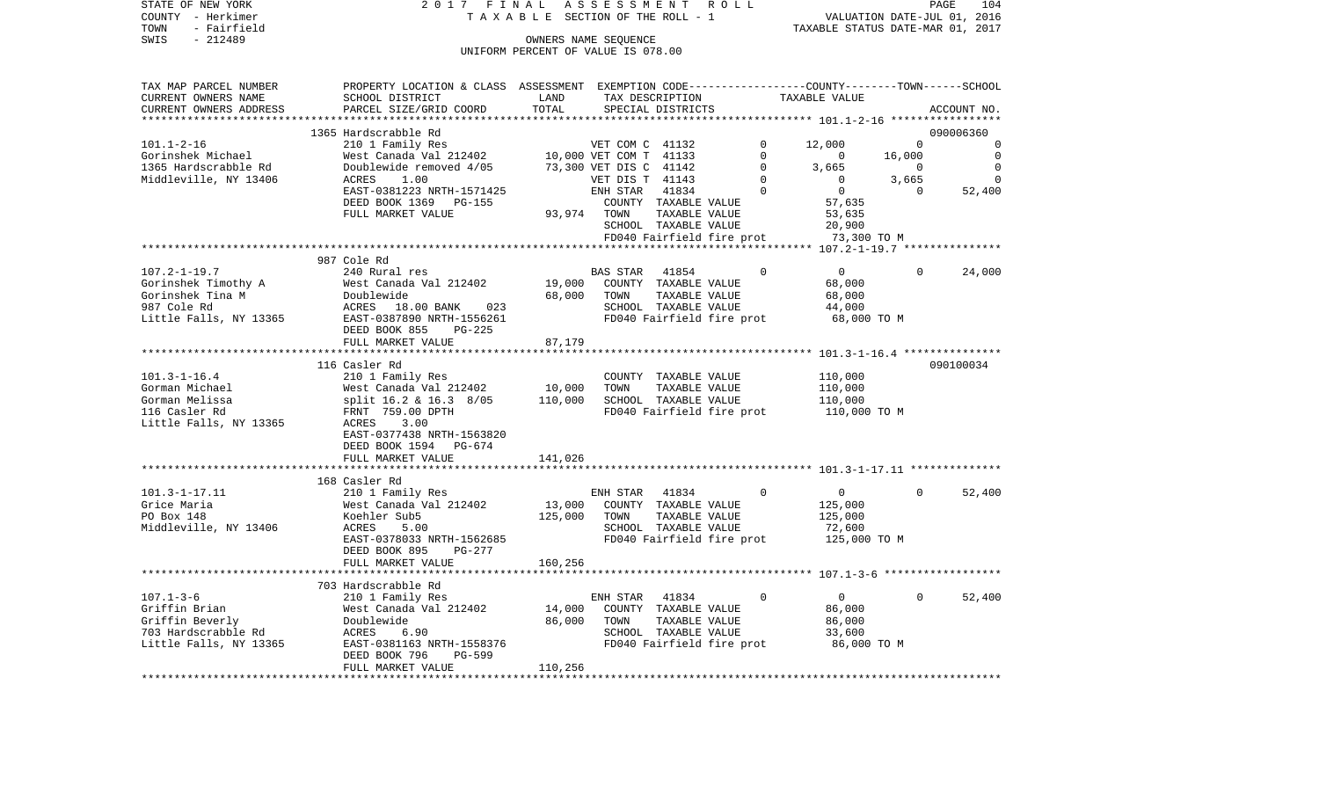| TOWN<br>- Fairfield    |                                                                                                 |                                    |                        |                                       |                           | TAXABLE STATUS DATE-MAR 01, 2017                    |             |             |
|------------------------|-------------------------------------------------------------------------------------------------|------------------------------------|------------------------|---------------------------------------|---------------------------|-----------------------------------------------------|-------------|-------------|
| SWIS<br>$-212489$      |                                                                                                 |                                    | OWNERS NAME SEQUENCE   |                                       |                           |                                                     |             |             |
|                        |                                                                                                 | UNIFORM PERCENT OF VALUE IS 078.00 |                        |                                       |                           |                                                     |             |             |
| TAX MAP PARCEL NUMBER  | PROPERTY LOCATION & CLASS ASSESSMENT EXEMPTION CODE---------------COUNTY-------TOWN------SCHOOL |                                    |                        |                                       |                           |                                                     |             |             |
| CURRENT OWNERS NAME    | SCHOOL DISTRICT                                                                                 | LAND                               |                        | TAX DESCRIPTION                       |                           | TAXABLE VALUE                                       |             |             |
| CURRENT OWNERS ADDRESS | PARCEL SIZE/GRID COORD                                                                          | TOTAL                              |                        | SPECIAL DISTRICTS                     |                           |                                                     |             |             |
| *****************      | **************************                                                                      | **********                         |                        |                                       |                           | ********************* 101.1-2-16 ****************** |             | ACCOUNT NO. |
|                        | 1365 Hardscrabble Rd                                                                            |                                    |                        |                                       |                           |                                                     |             | 090006360   |
| $101.1 - 2 - 16$       | 210 1 Family Res                                                                                |                                    | VET COM C 41132        |                                       | $\Omega$                  | 12,000                                              | $\Omega$    | $\Omega$    |
| Gorinshek Michael      | West Canada Val 212402                                                                          |                                    | 10,000 VET COM T 41133 |                                       | $\mathbf 0$               | 0                                                   | 16,000      | $\mathbf 0$ |
| 1365 Hardscrabble Rd   | Doublewide removed 4/05                                                                         |                                    | 73,300 VET DIS C 41142 |                                       | $\Omega$                  | 3,665                                               | 0           | $\Omega$    |
| Middleville, NY 13406  | ACRES<br>1.00                                                                                   |                                    | VET DIS T 41143        |                                       | $\Omega$                  | $\Omega$                                            | 3,665       | $\Omega$    |
|                        | EAST-0381223 NRTH-1571425                                                                       |                                    | ENH STAR               | 41834                                 | $\Omega$                  | $\mathbf 0$                                         | $\Omega$    | 52,400      |
|                        | DEED BOOK 1369<br>PG-155                                                                        |                                    |                        | COUNTY TAXABLE VALUE                  |                           | 57,635                                              |             |             |
|                        | FULL MARKET VALUE                                                                               | 93,974                             | TOWN                   | TAXABLE VALUE                         |                           | 53,635                                              |             |             |
|                        |                                                                                                 |                                    |                        | SCHOOL TAXABLE VALUE                  |                           | 20,900                                              |             |             |
|                        |                                                                                                 |                                    |                        |                                       | FD040 Fairfield fire prot | 73,300 TO M                                         |             |             |
|                        |                                                                                                 |                                    |                        |                                       |                           |                                                     |             |             |
|                        | 987 Cole Rd                                                                                     |                                    |                        |                                       |                           |                                                     |             |             |
| $107.2 - 1 - 19.7$     | 240 Rural res                                                                                   |                                    | <b>BAS STAR</b>        | 41854                                 | $\mathbf 0$               | 0                                                   | $\mathbf 0$ | 24,000      |
| Gorinshek Timothy A    | West Canada Val 212402                                                                          | 19,000                             |                        | COUNTY TAXABLE VALUE                  |                           | 68,000                                              |             |             |
| Gorinshek Tina M       | Doublewide                                                                                      | 68,000                             | TOWN                   | TAXABLE VALUE                         |                           | 68,000                                              |             |             |
| 987 Cole Rd            | 18.00 BANK<br>ACRES<br>023                                                                      |                                    |                        | SCHOOL TAXABLE VALUE                  |                           | 44,000                                              |             |             |
| Little Falls, NY 13365 | EAST-0387890 NRTH-1556261                                                                       |                                    |                        |                                       | FD040 Fairfield fire prot | 68,000 TO M                                         |             |             |
|                        | DEED BOOK 855<br>$PG-225$                                                                       |                                    |                        |                                       |                           |                                                     |             |             |
|                        | FULL MARKET VALUE                                                                               | 87,179                             |                        |                                       |                           |                                                     |             |             |
|                        |                                                                                                 |                                    |                        |                                       |                           |                                                     |             |             |
| $101.3 - 1 - 16.4$     | 116 Casler Rd                                                                                   |                                    |                        |                                       |                           | 110,000                                             |             | 090100034   |
| Gorman Michael         | 210 1 Family Res                                                                                | 10,000                             | TOWN                   | COUNTY TAXABLE VALUE<br>TAXABLE VALUE |                           | 110,000                                             |             |             |
| Gorman Melissa         | West Canada Val 212402<br>split 16.2 & 16.3 8/05                                                | 110,000                            |                        | SCHOOL TAXABLE VALUE                  |                           | 110,000                                             |             |             |
| 116 Casler Rd          | FRNT 759.00 DPTH                                                                                |                                    |                        |                                       | FD040 Fairfield fire prot | 110,000 TO M                                        |             |             |
| Little Falls, NY 13365 | 3.00<br>ACRES                                                                                   |                                    |                        |                                       |                           |                                                     |             |             |
|                        | EAST-0377438 NRTH-1563820                                                                       |                                    |                        |                                       |                           |                                                     |             |             |
|                        | DEED BOOK 1594<br>PG-674                                                                        |                                    |                        |                                       |                           |                                                     |             |             |
|                        | FULL MARKET VALUE                                                                               | 141,026                            |                        |                                       |                           |                                                     |             |             |
|                        | **************************                                                                      |                                    |                        |                                       |                           |                                                     |             |             |
|                        | 168 Casler Rd                                                                                   |                                    |                        |                                       |                           |                                                     |             |             |
| $101.3 - 1 - 17.11$    | 210 1 Family Res                                                                                |                                    | ENH STAR               | 41834                                 | 0                         | 0                                                   | 0           | 52,400      |
| Grice Maria            | West Canada Val 212402                                                                          | 13,000                             |                        | COUNTY TAXABLE VALUE                  |                           | 125,000                                             |             |             |
| PO Box 148             | Koehler Sub5                                                                                    | 125,000                            | TOWN                   | TAXABLE VALUE                         |                           | 125,000                                             |             |             |
| Middleville, NY 13406  | ACRES<br>5.00                                                                                   |                                    |                        | SCHOOL TAXABLE VALUE                  |                           | 72,600                                              |             |             |
|                        | EAST-0378033 NRTH-1562685                                                                       |                                    |                        |                                       | FD040 Fairfield fire prot | 125,000 TO M                                        |             |             |
|                        | DEED BOOK 895<br>PG-277                                                                         |                                    |                        |                                       |                           |                                                     |             |             |
|                        | FULL MARKET VALUE                                                                               | 160,256                            |                        |                                       |                           |                                                     |             |             |
|                        | ******************************                                                                  |                                    |                        |                                       |                           |                                                     |             |             |
|                        | 703 Hardscrabble Rd                                                                             |                                    |                        |                                       |                           |                                                     |             |             |
| $107.1 - 3 - 6$        | 210 1 Family Res                                                                                |                                    | ENH STAR               | 41834                                 | $\Omega$                  | $\mathbf{0}$                                        | $\Omega$    | 52,400      |
| Griffin Brian          | West Canada Val 212402                                                                          | 14,000                             |                        | COUNTY TAXABLE VALUE                  |                           | 86,000                                              |             |             |
| Griffin Beverly        | Doublewide                                                                                      | 86,000                             | TOWN                   | TAXABLE VALUE                         |                           | 86,000                                              |             |             |
| 703 Hardscrabble Rd    | 6.90<br>ACRES                                                                                   |                                    |                        | SCHOOL TAXABLE VALUE                  |                           | 33,600                                              |             |             |
| Little Falls, NY 13365 | EAST-0381163 NRTH-1558376<br><b>PG-599</b>                                                      |                                    |                        |                                       | FD040 Fairfield fire prot | 86,000 TO M                                         |             |             |
|                        | DEED BOOK 796<br>FULL MARKET VALUE                                                              | 110,256                            |                        |                                       |                           |                                                     |             |             |
|                        | * * * * * * * * * * * * * * * * * * *                                                           | *********                          |                        |                                       |                           |                                                     |             |             |

STATE OF NEW YORK 2 0 1 7 F I N A L A S S E S S M E N T R O L L PAGE 104 COUNTY - Herkimer T A X A B L E SECTION OF THE ROLL - 1 VALUATION DATE-JUL 01, 2016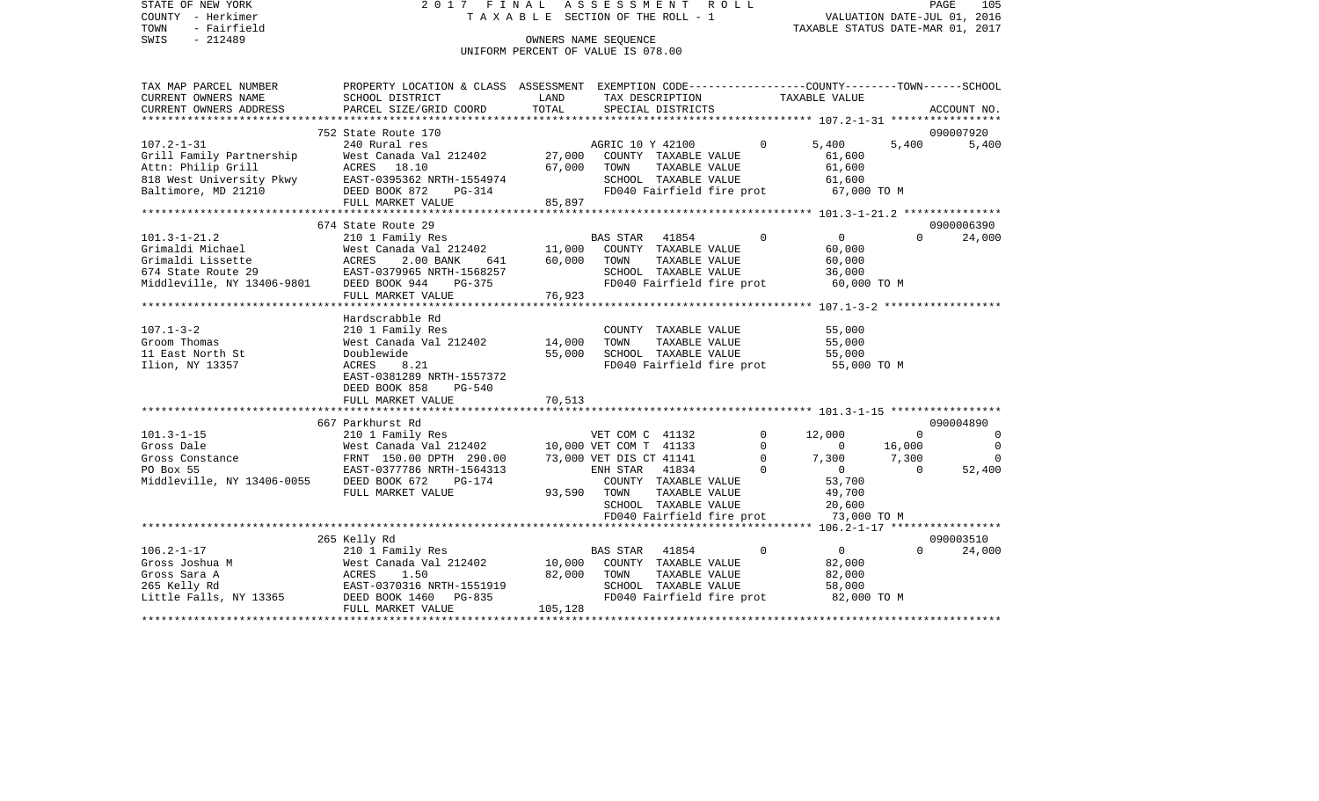STATE OF NEW YORK 2017 FINAL ASSESSMENT ROLL PAGE 105 COUNTY - Herkimer  $T A X A B L E$  SECTION OF THE ROLL - 1 TOWN - Fairfield TAXABLE STATUS DATE-MAR 01, 2017 OWNERS NAME SEQUENCE UNIFORM PERCENT OF VALUE IS 078.00

| TAX MAP PARCEL NUMBER      | PROPERTY LOCATION & CLASS ASSESSMENT EXEMPTION CODE----------------COUNTY-------TOWN-----SCHOOL |         |                                       |          |                |           |             |
|----------------------------|-------------------------------------------------------------------------------------------------|---------|---------------------------------------|----------|----------------|-----------|-------------|
| CURRENT OWNERS NAME        | SCHOOL DISTRICT                                                                                 | LAND    | TAX DESCRIPTION                       |          | TAXABLE VALUE  |           |             |
| CURRENT OWNERS ADDRESS     | PARCEL SIZE/GRID COORD                                                                          | TOTAL   | SPECIAL DISTRICTS                     |          |                |           | ACCOUNT NO. |
|                            |                                                                                                 |         |                                       |          |                |           |             |
|                            | 752 State Route 170                                                                             |         |                                       |          |                |           | 090007920   |
| $107.2 - 1 - 31$           | 240 Rural res                                                                                   |         | AGRIC 10 Y 42100                      | $\Omega$ | 5,400          | 5,400     | 5,400       |
| Grill Family Partnership   | West Canada Val 212402                                                                          | 27,000  | COUNTY TAXABLE VALUE                  |          | 61,600         |           |             |
| Attn: Philip Grill         | ACRES 18.10                                                                                     | 67,000  | TOWN<br>TAXABLE VALUE                 |          | 61,600         |           |             |
| 818 West University Pkwy   | EAST-0395362 NRTH-1554974                                                                       |         | SCHOOL TAXABLE VALUE                  |          | 61,600         |           |             |
| Baltimore, MD 21210        | DEED BOOK 872<br>PG-314                                                                         |         | FD040 Fairfield fire prot             |          | 67,000 TO M    |           |             |
|                            | FULL MARKET VALUE                                                                               | 85,897  |                                       |          |                |           |             |
|                            |                                                                                                 |         |                                       |          |                |           |             |
|                            | 674 State Route 29                                                                              |         |                                       |          |                |           | 0900006390  |
| $101.3 - 1 - 21.2$         | 210 1 Family Res                                                                                |         | <b>BAS STAR</b><br>41854              | $\Omega$ | $\overline{0}$ | $\Omega$  | 24,000      |
| Grimaldi Michael           | West Canada Val 212402                                                                          | 11,000  | COUNTY TAXABLE VALUE                  |          | 60,000         |           |             |
| Grimaldi Lissette          | ACRES<br>2.00 BANK<br>641                                                                       | 60,000  | TOWN<br>TAXABLE VALUE                 |          | 60,000         |           |             |
| 674 State Route 29         | EAST-0379965 NRTH-1568257                                                                       |         | SCHOOL TAXABLE VALUE                  |          | 36,000         |           |             |
| Middleville, NY 13406-9801 | DEED BOOK 944<br>PG-375                                                                         |         | FD040 Fairfield fire prot             |          | 60,000 TO M    |           |             |
|                            | FULL MARKET VALUE                                                                               | 76,923  |                                       |          |                |           |             |
|                            | ********************************                                                                |         |                                       |          |                |           |             |
|                            | Hardscrabble Rd                                                                                 |         |                                       |          |                |           |             |
| $107.1 - 3 - 2$            | 210 1 Family Res                                                                                |         | COUNTY TAXABLE VALUE                  |          | 55,000         |           |             |
| Groom Thomas               | West Canada Val 212402                                                                          | 14,000  | TOWN<br>TAXABLE VALUE                 |          | 55,000         |           |             |
| 11 East North St           | Doublewide                                                                                      | 55,000  | SCHOOL TAXABLE VALUE                  |          | 55,000         |           |             |
| Ilion, NY 13357            | ACRES<br>8.21                                                                                   |         | FD040 Fairfield fire prot 55,000 TO M |          |                |           |             |
|                            | EAST-0381289 NRTH-1557372                                                                       |         |                                       |          |                |           |             |
|                            | DEED BOOK 858<br>$PG-540$                                                                       |         |                                       |          |                |           |             |
|                            | FULL MARKET VALUE                                                                               | 70,513  |                                       |          |                |           |             |
|                            |                                                                                                 |         |                                       |          |                |           |             |
|                            | 667 Parkhurst Rd                                                                                |         |                                       |          |                |           | 090004890   |
| $101.3 - 1 - 15$           | 210 1 Family Res                                                                                |         | VET COM C 41132                       | $\Omega$ | 12,000         | $\bigcap$ | $\Omega$    |
| Gross Dale                 | West Canada Val 212402                                                                          |         | 10,000 VET COM T 41133                | $\Omega$ | $\Omega$       | 16,000    | $\Omega$    |
| Gross Constance            | FRNT 150.00 DPTH 290.00                                                                         |         | 73,000 VET DIS CT 41141               | $\Omega$ | 7,300          | 7,300     | $\Omega$    |
|                            | EAST-0377786 NRTH-1564313                                                                       |         | ENH STAR 41834                        | $\Omega$ | $\Omega$       | $\bigcap$ | 52,400      |
| PO Box 55                  |                                                                                                 |         |                                       |          |                |           |             |
| Middleville, NY 13406-0055 | DEED BOOK 672<br>$PG-174$                                                                       |         | COUNTY TAXABLE VALUE                  |          | 53,700         |           |             |
|                            | FULL MARKET VALUE                                                                               | 93,590  | TOWN<br>TAXABLE VALUE                 |          | 49,700         |           |             |
|                            |                                                                                                 |         | SCHOOL TAXABLE VALUE                  |          | 20,600         |           |             |
|                            |                                                                                                 |         | FD040 Fairfield fire prot             |          | 73,000 TO M    |           |             |
|                            |                                                                                                 |         |                                       |          |                |           |             |
|                            | 265 Kelly Rd                                                                                    |         |                                       |          |                |           | 090003510   |
| $106.2 - 1 - 17$           | 210 1 Family Res                                                                                |         | BAS STAR 41854                        | $\Omega$ | $\overline{0}$ | $\Omega$  | 24,000      |
| Gross Joshua M             | West Canada Val 212402                                                                          | 10,000  | COUNTY TAXABLE VALUE                  |          | 82,000         |           |             |
| Gross Sara A               | ACRES<br>1.50                                                                                   | 82,000  | TOWN<br>TAXABLE VALUE                 |          | 82,000         |           |             |
| 265 Kelly Rd               | EAST-0370316 NRTH-1551919                                                                       |         | SCHOOL TAXABLE VALUE                  |          | 58,000         |           |             |
| Little Falls, NY 13365     | DEED BOOK 1460<br>PG-835                                                                        |         | FD040 Fairfield fire prot             |          | 82,000 TO M    |           |             |
|                            | FULL MARKET VALUE                                                                               | 105,128 |                                       |          |                |           |             |
|                            |                                                                                                 |         |                                       |          |                |           |             |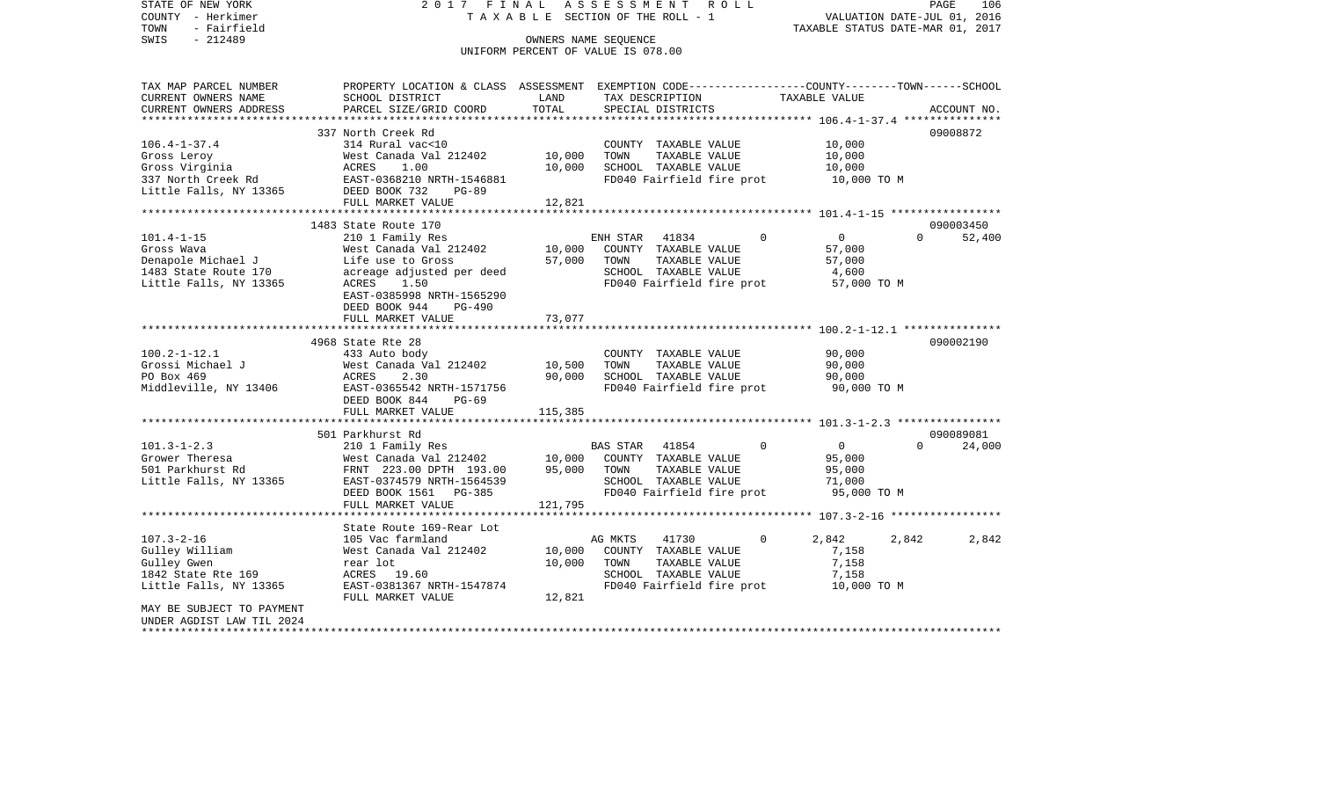STATE OF NEW YORK 2 0 1 7 F I N A L A S S E S S M E N T R O L L PAGE 106VALUATION DATE-JUL 01, 2016 COUNTY - Herkimer T A X A B L E SECTION OF THE ROLL - 1 TOWN - Fairfield TAXABLE STATUS DATE-MAR 01, 2017 SWIS - 212489 CONNERS NAME SEQUENCE UNIFORM PERCENT OF VALUE IS 078.00TAX MAP PARCEL NUMBER PROPERTY LOCATION & CLASS ASSESSMENT EXEMPTION CODE------------------COUNTY--------TOWN------SCHOOL CURRENT OWNERS NAME SCHOOL DISTRICT LAND TAX DESCRIPTION TAXABLE VALUECURRENT OWNERS ADDRESS PARCEL SIZE/GRID COORD TOTAL SPECIAL DISTRICTS ACCOUNT NO. \*\*\*\*\*\*\*\*\*\*\*\*\*\*\*\*\*\*\*\*\*\*\*\*\*\*\*\*\*\*\*\*\*\*\*\*\*\*\*\*\*\*\*\*\*\*\*\*\*\*\*\*\*\*\*\*\*\*\*\*\*\*\*\*\*\*\*\*\*\*\*\*\*\*\*\*\*\*\*\*\*\*\*\*\*\*\*\*\*\*\*\*\*\*\*\*\*\*\*\*\*\*\* 106.4-1-37.4 \*\*\*\*\*\*\*\*\*\*\*\*\*\*\* 337 North Creek Rd 09008872106.4-1-37.4 314 Rural vac<10 COUNTY TAXABLE VALUE 10,000 Gross Leroy **Example 3 New Standa Val 212402** 10,000 TOWN TAXABLE VALUE 10,000 Gross Virginia  $ACRES$  1.00 10,000 SCHOOL TAXABLE VALUE 10,000 337 North Creek Rd **EAST-0368210 NRTH-1546881** FD040 Fairfield fire prot 10,000 TO M Little Falls, NY 13365 DEED BOOK 732 PG-89 FULL MARKET VALUE 12,821 \*\*\*\*\*\*\*\*\*\*\*\*\*\*\*\*\*\*\*\*\*\*\*\*\*\*\*\*\*\*\*\*\*\*\*\*\*\*\*\*\*\*\*\*\*\*\*\*\*\*\*\*\*\*\*\*\*\*\*\*\*\*\*\*\*\*\*\*\*\*\*\*\*\*\*\*\*\*\*\*\*\*\*\*\*\*\*\*\*\*\*\*\*\*\*\*\*\*\*\*\*\*\* 101.4-1-15 \*\*\*\*\*\*\*\*\*\*\*\*\*\*\*\*\*1483 State Route 170 090003450 090003450 090003450 090003450 090003450 090003450 090003450 090003450 090003450 101.4-1-15 210 1 Family Res ENH STAR 41834 0 0 0 52,400 Gross Wava West Canada Val 212402 10,000 COUNTY TAXABLE VALUE 57,000 Denapole Michael J **Life use to Gross** 57,000 TOWN TAXABLE VALUE 57,000 1483 State Route 170 acreage adjusted per deed SCHOOL TAXABLE VALUE 4,600 Little Falls, NY 13365 ACRES 1.50 ACRES 1.50 FD040 Fairfield fire prot 57,000 TO M EAST-0385998 NRTH-1565290 DEED BOOK 944 PG-490FULL MARKET VALUE 73,077 \*\*\*\*\*\*\*\*\*\*\*\*\*\*\*\*\*\*\*\*\*\*\*\*\*\*\*\*\*\*\*\*\*\*\*\*\*\*\*\*\*\*\*\*\*\*\*\*\*\*\*\*\*\*\*\*\*\*\*\*\*\*\*\*\*\*\*\*\*\*\*\*\*\*\*\*\*\*\*\*\*\*\*\*\*\*\*\*\*\*\*\*\*\*\*\*\*\*\*\*\*\*\* 100.2-1-12.1 \*\*\*\*\*\*\*\*\*\*\*\*\*\*\* 4968 State Rte 28 090002190100.2-1-12.1 433 Auto body COUNTY TAXABLE VALUE 90,000 Grossi Michael J West Canada Val 212402 10,500 TOWN TAXABLE VALUE 90,000 PO Box 469 ACRES 2.30 90,000 SCHOOL TAXABLE VALUE 90,000 Middleville, NY 13406 EAST-0365542 NRTH-1571756 FD040 Fairfield fire prot 90,000 TO M DEED BOOK 844 PG-69FULL MARKET VALUE 115,385 \*\*\*\*\*\*\*\*\*\*\*\*\*\*\*\*\*\*\*\*\*\*\*\*\*\*\*\*\*\*\*\*\*\*\*\*\*\*\*\*\*\*\*\*\*\*\*\*\*\*\*\*\*\*\*\*\*\*\*\*\*\*\*\*\*\*\*\*\*\*\*\*\*\*\*\*\*\*\*\*\*\*\*\*\*\*\*\*\*\*\*\*\*\*\*\*\*\*\*\*\*\*\* 101.3-1-2.3 \*\*\*\*\*\*\*\*\*\*\*\*\*\*\*\* 501 Parkhurst Rd 090089081101.3-1-2.3 210 1 Family Res BAS STAR 41854 0 0 0 24,000 Grower Theresa 6000 West Canada Val 212402 10,000 COUNTY TAXABLE VALUE 95,000 501 Parkhurst Rd FRNT 223.00 DPTH 193.00 95,000 TOWN TAXABLE VALUE 95,000 Little Falls, NY 13365 EAST-0374579 NRTH-1564539 SCHOOL TAXABLE VALUE 71,000 DEED BOOK 1561 PG-385 FD040 Fairfield fire prot 95,000 TO M FULL MARKET VALUE 121,795 \*\*\*\*\*\*\*\*\*\*\*\*\*\*\*\*\*\*\*\*\*\*\*\*\*\*\*\*\*\*\*\*\*\*\*\*\*\*\*\*\*\*\*\*\*\*\*\*\*\*\*\*\*\*\*\*\*\*\*\*\*\*\*\*\*\*\*\*\*\*\*\*\*\*\*\*\*\*\*\*\*\*\*\*\*\*\*\*\*\*\*\*\*\*\*\*\*\*\*\*\*\*\* 107.3-2-16 \*\*\*\*\*\*\*\*\*\*\*\*\*\*\*\*\* State Route 169-Rear Lot107.3-2-16 105 Vac farmland AG MKTS 41730 0 2,842 2,842 2,842 Gulley William  $V = 7,158$ <br>Gulley William  $V = 7,158$ Gulley Gwen rear lot 10,000 TOWN TAXABLE VALUE 7,158 1842 State Rte 169 ACRES 19.60 SCHOOL TAXABLE VALUE 7,158 Little Falls, NY 13365 EAST-0381367 NRTH-1547874 FD040 Fairfield fire prot 10,000 TO M FULL MARKET VALUE 12,821 MAY BE SUBJECT TO PAYMENT UNDER AGDIST LAW TIL 2024\*\*\*\*\*\*\*\*\*\*\*\*\*\*\*\*\*\*\*\*\*\*\*\*\*\*\*\*\*\*\*\*\*\*\*\*\*\*\*\*\*\*\*\*\*\*\*\*\*\*\*\*\*\*\*\*\*\*\*\*\*\*\*\*\*\*\*\*\*\*\*\*\*\*\*\*\*\*\*\*\*\*\*\*\*\*\*\*\*\*\*\*\*\*\*\*\*\*\*\*\*\*\*\*\*\*\*\*\*\*\*\*\*\*\*\*\*\*\*\*\*\*\*\*\*\*\*\*\*\*\*\*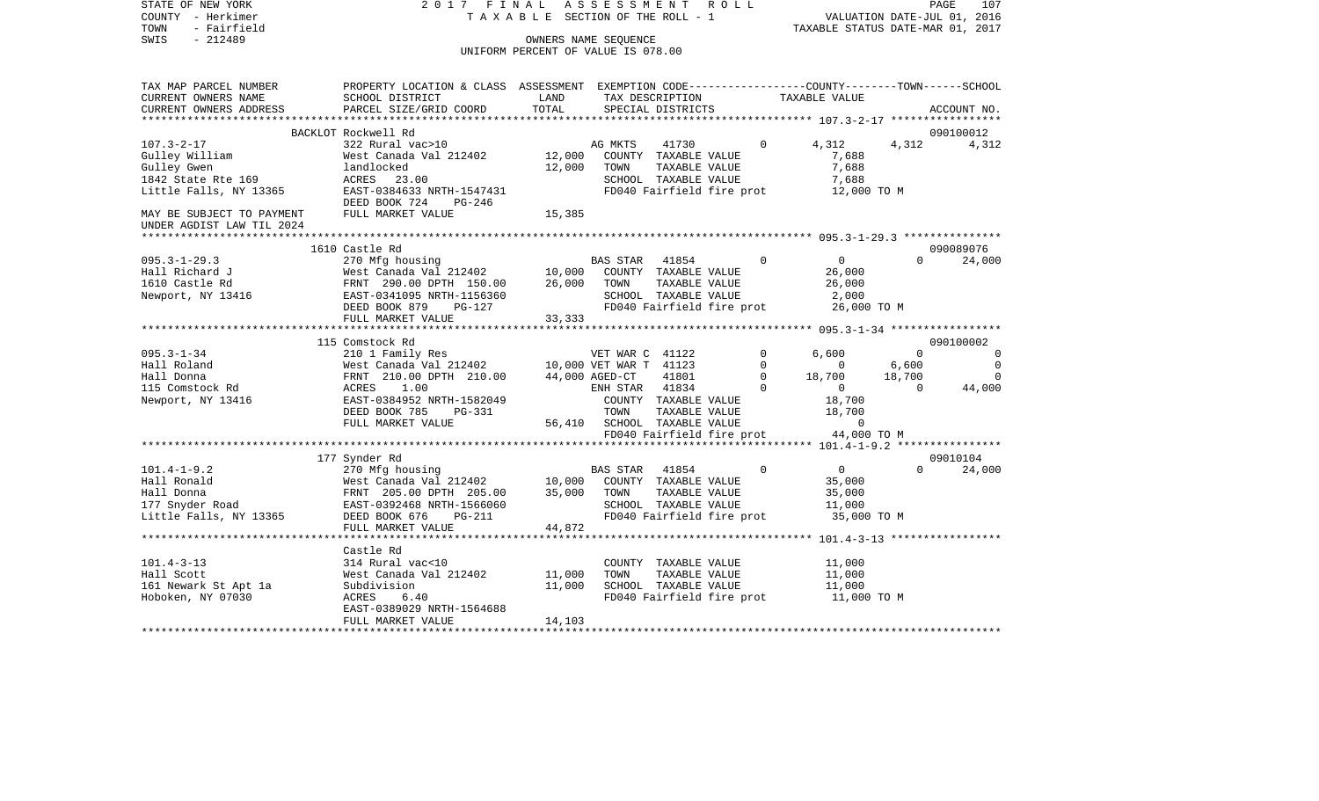| STATE OF NEW YORK<br>COUNTY - Herkimer<br>TOWN<br>- Fairfield<br>$-212489$<br>SWIS                                                                                                                                                                     | 2017 FINAL                                                                                                        | TAXABLE SECTION OF THE ROLL - 1<br>UNIFORM PERCENT OF VALUE IS 078.00 | ASSESSMENT ROLL<br>OWNERS NAME SEQUENCE |                           |                | VALUATION DATE-JUL 01, 2016<br>TAXABLE STATUS DATE-MAR 01, 2017 |                          | PAGE<br>107                                            |
|--------------------------------------------------------------------------------------------------------------------------------------------------------------------------------------------------------------------------------------------------------|-------------------------------------------------------------------------------------------------------------------|-----------------------------------------------------------------------|-----------------------------------------|---------------------------|----------------|-----------------------------------------------------------------|--------------------------|--------------------------------------------------------|
| TAX MAP PARCEL NUMBER<br>CURRENT OWNERS NAME                                                                                                                                                                                                           | PROPERTY LOCATION & CLASS ASSESSMENT EXEMPTION CODE---------------COUNTY-------TOWN-----SCHOOL<br>SCHOOL DISTRICT | LAND                                                                  |                                         |                           |                | TAX DESCRIPTION TAXABLE VALUE                                   |                          |                                                        |
| CURRENT OWNERS ADDRESS<br>***********************                                                                                                                                                                                                      | PARCEL SIZE/GRID COORD                                                                                            | TOTAL                                                                 |                                         | SPECIAL DISTRICTS         |                |                                                                 |                          | ACCOUNT NO.                                            |
|                                                                                                                                                                                                                                                        | BACKLOT Rockwell Rd                                                                                               |                                                                       |                                         |                           |                |                                                                 |                          | 090100012                                              |
| $107.3 - 2 - 17$                                                                                                                                                                                                                                       | 322 Rural vac>10                                                                                                  |                                                                       | AG MKTS                                 | 41730                     |                | 0 $4,312$                                                       |                          | 4,312 4,312                                            |
| Gulley William                                                                                                                                                                                                                                         | West Canada Val 212402 12,000                                                                                     |                                                                       |                                         | COUNTY TAXABLE VALUE      |                | $7,688$<br>$7,688$                                              |                          |                                                        |
| Gulley Gwen                                                                                                                                                                                                                                            | landlocked                                                                                                        | 12,000                                                                | TOWN                                    | TAXABLE VALUE             |                |                                                                 |                          |                                                        |
| 1842 State Rte 169<br>Little Falls, NY 13365 EAST-0384633 1                                                                                                                                                                                            |                                                                                                                   |                                                                       |                                         | SCHOOL TAXABLE VALUE      |                | 7,688<br>FD040 Fairfield fire prot 12,000 TO M                  |                          |                                                        |
|                                                                                                                                                                                                                                                        | EAST-0384633 NRTH-1547431<br>DEED BOOK 724<br>PG-246                                                              |                                                                       |                                         |                           |                |                                                                 |                          |                                                        |
| MAY BE SUBJECT TO PAYMENT                                                                                                                                                                                                                              | FULL MARKET VALUE                                                                                                 | 15,385                                                                |                                         |                           |                |                                                                 |                          |                                                        |
| UNDER AGDIST LAW TIL 2024                                                                                                                                                                                                                              |                                                                                                                   |                                                                       |                                         |                           |                |                                                                 |                          |                                                        |
|                                                                                                                                                                                                                                                        |                                                                                                                   |                                                                       |                                         |                           |                |                                                                 |                          | 090089076                                              |
|                                                                                                                                                                                                                                                        | 1610 Castle Rd                                                                                                    |                                                                       | BAS STAR 41854 0                        |                           |                | $\overline{0}$                                                  | $\Omega$                 | 24,000                                                 |
|                                                                                                                                                                                                                                                        |                                                                                                                   |                                                                       |                                         |                           |                |                                                                 |                          |                                                        |
|                                                                                                                                                                                                                                                        | West Canada Val 212402 10,000 COUNTY TAXABLE VALUE<br>FRNT 290.00 DPTH 150.00 26,000 TOWN TAXABLE VALUE           |                                                                       |                                         |                           |                | 26,000<br>26,000                                                |                          |                                                        |
|                                                                                                                                                                                                                                                        |                                                                                                                   |                                                                       |                                         | SCHOOL TAXABLE VALUE      |                | 2,000                                                           |                          |                                                        |
|                                                                                                                                                                                                                                                        |                                                                                                                   |                                                                       |                                         |                           |                | FD040 Fairfield fire prot 26,000 TO M                           |                          |                                                        |
| 095.3-1-29.3<br>Hall Richard J<br>1610 Castle Rd<br>Newport, NY 13416<br>Newport, NY 13416<br>CAST-0341095 NRTH-1156360<br>DEED BOOK 879<br>PG-127                                                                                                     |                                                                                                                   | 33,333                                                                |                                         |                           |                |                                                                 |                          |                                                        |
|                                                                                                                                                                                                                                                        |                                                                                                                   |                                                                       |                                         |                           |                |                                                                 |                          |                                                        |
|                                                                                                                                                                                                                                                        | 115 Comstock Rd                                                                                                   |                                                                       |                                         |                           |                |                                                                 |                          | 090100002                                              |
| $095.3 - 1 - 34$                                                                                                                                                                                                                                       | 210 1 Family Res                                                                                                  |                                                                       | VET WAR C 41122                         |                           | $\circ$        | 6,600                                                           | $\bigcirc$               | $\overline{0}$                                         |
|                                                                                                                                                                                                                                                        | West Canada Val 212402 10,000 VET WAR T 41123<br>FRNT 210.00 DPTH 210.00 44,000 AGED-CT 41801                     |                                                                       |                                         |                           | $\overline{0}$ | $\overline{0}$<br>$0$ 18,700                                    | 6,600                    | $\overline{0}$<br>$\begin{matrix} 0 \\ 0 \end{matrix}$ |
|                                                                                                                                                                                                                                                        | ACRES<br>1.00                                                                                                     |                                                                       | ENH STAR 41834                          |                           | $\overline{0}$ | $\overline{0}$                                                  | 18,700<br>$\overline{0}$ | 44,000                                                 |
| Hall Roland<br>Hall Donna<br>115 Comstock Rd<br>Newport, NY 13416                                                                                                                                                                                      | EAST-0384952 NRTH-1582049                                                                                         |                                                                       |                                         | COUNTY TAXABLE VALUE      |                |                                                                 |                          |                                                        |
|                                                                                                                                                                                                                                                        | DEED BOOK 785<br>PG-331                                                                                           |                                                                       | TOWN                                    | TAXABLE VALUE             |                | 18,700<br>18,700                                                |                          |                                                        |
|                                                                                                                                                                                                                                                        | FULL MARKET VALUE                                                                                                 |                                                                       | 56,410 SCHOOL TAXABLE VALUE             |                           |                | $\sim$ 0                                                        |                          |                                                        |
|                                                                                                                                                                                                                                                        |                                                                                                                   |                                                                       |                                         |                           |                | FD040 Fairfield fire prot 44,000 TO M                           |                          |                                                        |
|                                                                                                                                                                                                                                                        |                                                                                                                   |                                                                       |                                         |                           |                |                                                                 |                          |                                                        |
|                                                                                                                                                                                                                                                        | 177 Synder Rd                                                                                                     |                                                                       |                                         |                           |                |                                                                 |                          | 09010104                                               |
|                                                                                                                                                                                                                                                        |                                                                                                                   |                                                                       | BAS STAR 41854                          |                           | $\mathbf 0$    | $\overline{0}$                                                  |                          | $\Omega$<br>24,000                                     |
|                                                                                                                                                                                                                                                        |                                                                                                                   |                                                                       | 10,000 COUNTY TAXABLE VALUE             |                           |                | 35,000                                                          |                          |                                                        |
|                                                                                                                                                                                                                                                        |                                                                                                                   | 35,000 TOWN                                                           |                                         | TAXABLE VALUE             |                | 35,000                                                          |                          |                                                        |
|                                                                                                                                                                                                                                                        |                                                                                                                   |                                                                       |                                         | SCHOOL TAXABLE VALUE      |                | 11,000                                                          |                          |                                                        |
| 101.4-1-9.2<br>Hall Ronald<br>Hall Donna<br>177 Snyder Road<br>177 Snyder Road<br>177 Snyder Road<br>177 Snyder Road<br>177 Snyder Road<br>187 Snyder Road<br>187 Snyder Road<br>187 Snyder Road<br>1885 DEED BOOK 676 PG-211<br>187 SNP SNP SNP SNP S |                                                                                                                   | 44,872                                                                |                                         |                           |                | FD040 Fairfield fire prot 35,000 TO M                           |                          |                                                        |
|                                                                                                                                                                                                                                                        | ************************                                                                                          |                                                                       |                                         |                           |                |                                                                 |                          |                                                        |
|                                                                                                                                                                                                                                                        | Castle Rd                                                                                                         |                                                                       |                                         |                           |                |                                                                 |                          |                                                        |
| $101.4 - 3 - 13$                                                                                                                                                                                                                                       | 314 Rural vac<10                                                                                                  |                                                                       |                                         |                           |                | COUNTY TAXABLE VALUE 11,000                                     |                          |                                                        |
| Hall Scott                                                                                                                                                                                                                                             | West Canada Val 212402 11,000                                                                                     |                                                                       | TOWN                                    | TAXABLE VALUE             |                | 11,000                                                          |                          |                                                        |
|                                                                                                                                                                                                                                                        | Subdivision                                                                                                       | 11,000                                                                |                                         | SCHOOL TAXABLE VALUE      |                | 11,000                                                          |                          |                                                        |
| 161 Newark St Apt 1a<br>Hoboken, NY 07030                                                                                                                                                                                                              | ACRES<br>6.40                                                                                                     |                                                                       |                                         | FD040 Fairfield fire prot |                | 11,000 TO M                                                     |                          |                                                        |
|                                                                                                                                                                                                                                                        | EAST-0389029 NRTH-1564688                                                                                         |                                                                       |                                         |                           |                |                                                                 |                          |                                                        |
|                                                                                                                                                                                                                                                        | FULL MARKET VALUE                                                                                                 | 14,103                                                                |                                         |                           |                |                                                                 |                          |                                                        |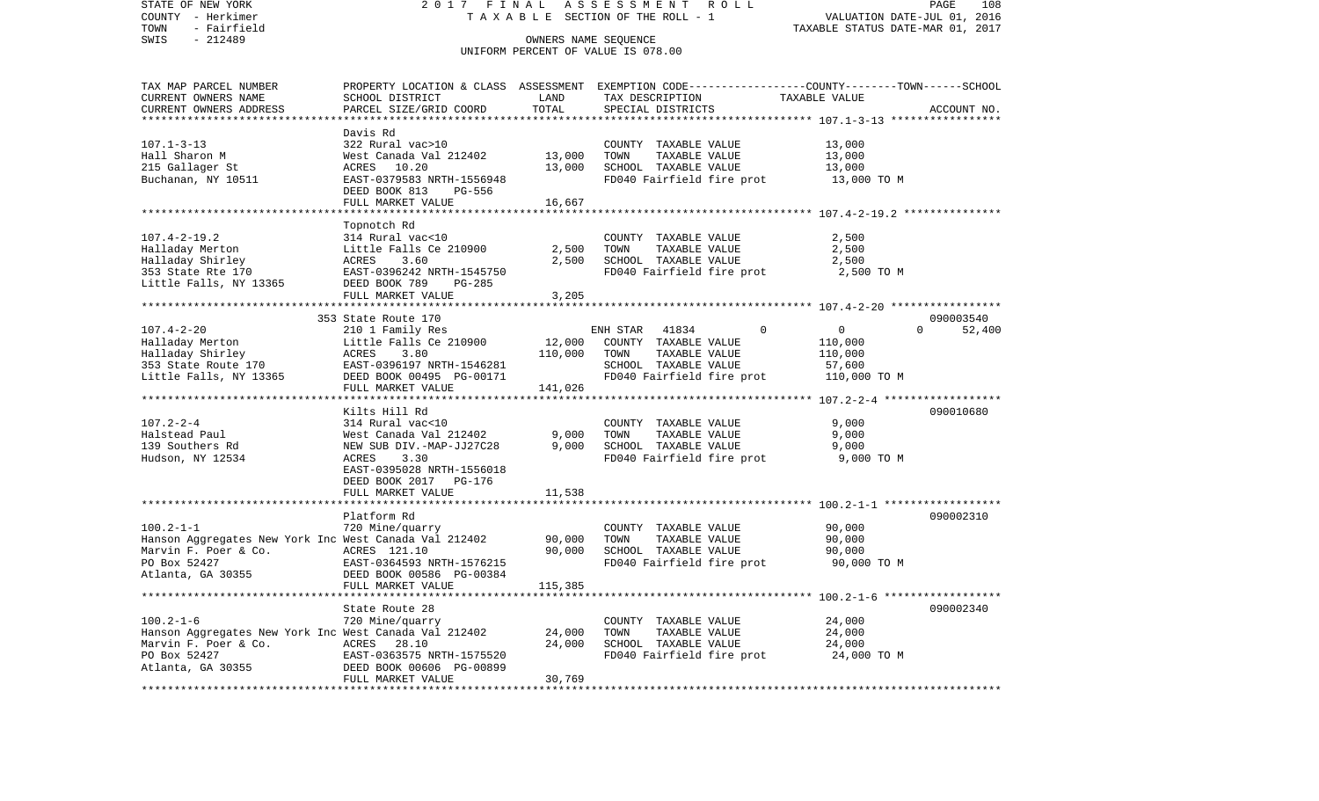COUNTY - Herkimer T A X A B L E SECTION OF THE ROLL - 1 VALUATION DATE-JUL 01, 2016 TOWN - Fairfield TAXABLE STATUS DATE-MAR 01, 2017 SWIS - 212489 CONNERS NAME SEQUENCE UNIFORM PERCENT OF VALUE IS 078.00TAX MAP PARCEL NUMBER PROPERTY LOCATION & CLASS ASSESSMENT EXEMPTION CODE------------------COUNTY--------TOWN------SCHOOL CURRENT OWNERS NAME SCHOOL DISTRICT LAND TAX DESCRIPTION TAXABLE VALUECURRENT OWNERS ADDRESS PARCEL SIZE/GRID COORD TOTAL SPECIAL DISTRICTS ACCOUNT NO. \*\*\*\*\*\*\*\*\*\*\*\*\*\*\*\*\*\*\*\*\*\*\*\*\*\*\*\*\*\*\*\*\*\*\*\*\*\*\*\*\*\*\*\*\*\*\*\*\*\*\*\*\*\*\*\*\*\*\*\*\*\*\*\*\*\*\*\*\*\*\*\*\*\*\*\*\*\*\*\*\*\*\*\*\*\*\*\*\*\*\*\*\*\*\*\*\*\*\*\*\*\*\* 107.1-3-13 \*\*\*\*\*\*\*\*\*\*\*\*\*\*\*\*\* Davis Rd322 Rural vac>10 107.1-3-13 322 Rural vac>10 COUNTY TAXABLE VALUE 13,000 Hall Sharon M West Canada Val 212402 13,000 TOWN TAXABLE VALUE 13,000 215 Gallager St ACRES 10.20 13,000 SCHOOL TAXABLE VALUE 13,000 Buchanan, NY 10511 **EAST-0379583 NRTH-1556948** FD040 Fairfield fire prot 13,000 TO M DEED BOOK 813 PG-556FULL MARKET VALUE 16,667 \*\*\*\*\*\*\*\*\*\*\*\*\*\*\*\*\*\*\*\*\*\*\*\*\*\*\*\*\*\*\*\*\*\*\*\*\*\*\*\*\*\*\*\*\*\*\*\*\*\*\*\*\*\*\*\*\*\*\*\*\*\*\*\*\*\*\*\*\*\*\*\*\*\*\*\*\*\*\*\*\*\*\*\*\*\*\*\*\*\*\*\*\*\*\*\*\*\*\*\*\*\*\* 107.4-2-19.2 \*\*\*\*\*\*\*\*\*\*\*\*\*\*\* Topnotch Rd 107.4-2-19.2 314 Rural vac<10 COUNTY TAXABLE VALUE 2,500 Halladay Merton Little Falls Ce 210900 2,500 TOWN TAXABLE VALUE 2,500 Halladay Shirley ACRES 3.60 2,500 SCHOOL TAXABLE VALUE 2,500 353 State Rte 170 EAST-0396242 NRTH-1545750 FD040 Fairfield fire prot 2,500 TO M Little Falls, NY 13365 DEED BOOK 789 PG-285 FULL MARKET VALUE 3,205 \*\*\*\*\*\*\*\*\*\*\*\*\*\*\*\*\*\*\*\*\*\*\*\*\*\*\*\*\*\*\*\*\*\*\*\*\*\*\*\*\*\*\*\*\*\*\*\*\*\*\*\*\*\*\*\*\*\*\*\*\*\*\*\*\*\*\*\*\*\*\*\*\*\*\*\*\*\*\*\*\*\*\*\*\*\*\*\*\*\*\*\*\*\*\*\*\*\*\*\*\*\*\* 107.4-2-20 \*\*\*\*\*\*\*\*\*\*\*\*\*\*\*\*\* 353 State Route 170 09000354052,400 107.4-2-20 210 1 Family Res ENH STAR 41834 0 0 0 0 Halladay Merton Little Falls Ce 210900 12,000 COUNTY TAXABLE VALUE 110,000 Halladay Shirley  $ACRES$  3.80 110,000 TOWN TAXABLE VALUE 110,000 353 State Route 170 EAST-0396197 NRTH-1546281 SCHOOL TAXABLE VALUE 57,600 Little Falls, NY 13365 DEED BOOK 00495 PG-00171 FD040 Fairfield fire prot 110,000 TO M FULL MARKET VALUE 141,026 \*\*\*\*\*\*\*\*\*\*\*\*\*\*\*\*\*\*\*\*\*\*\*\*\*\*\*\*\*\*\*\*\*\*\*\*\*\*\*\*\*\*\*\*\*\*\*\*\*\*\*\*\*\*\*\*\*\*\*\*\*\*\*\*\*\*\*\*\*\*\*\*\*\*\*\*\*\*\*\*\*\*\*\*\*\*\*\*\*\*\*\*\*\*\*\*\*\*\*\*\*\*\* 107.2-2-4 \*\*\*\*\*\*\*\*\*\*\*\*\*\*\*\*\*\* Kilts Hill Rd 090010680107.2-2-4 314 Rural vac<10 COUNTY TAXABLE VALUE 9,000 Halstead Paul West Canada Val 212402 9,000 TOWN TAXABLE VALUE 9,000 139 Southers Rd NEW SUB DIV.-MAP-JJ27C28 9,000 SCHOOL TAXABLE VALUE 9,000 Hudson, NY 12534 ACRES 3.30 FD040 Fairfield fire prot 9,000 TO M EAST-0395028 NRTH-1556018 DEED BOOK 2017 PG-176FULL MARKET VALUE 11,538 \*\*\*\*\*\*\*\*\*\*\*\*\*\*\*\*\*\*\*\*\*\*\*\*\*\*\*\*\*\*\*\*\*\*\*\*\*\*\*\*\*\*\*\*\*\*\*\*\*\*\*\*\*\*\*\*\*\*\*\*\*\*\*\*\*\*\*\*\*\*\*\*\*\*\*\*\*\*\*\*\*\*\*\*\*\*\*\*\*\*\*\*\*\*\*\*\*\*\*\*\*\*\* 100.2-1-1 \*\*\*\*\*\*\*\*\*\*\*\*\*\*\*\*\*\*Platform Rd 090002310 100.2-1-1 720 Mine/quarry COUNTY TAXABLE VALUE 90,000 Hanson Aggregates New York Inc West Canada Val 212402 90,000 TOWN TAXABLE VALUE 90,000<br>Marvin F. Poer & Co. ACRES 121.10 90.000 SCHOOL TAXABLE VALUE 90.000 SCHOOL TAXABLE VALUE PO Box 52427 EAST-0364593 NRTH-1576215 FD040 Fairfield fire prot 90,000 TO M Atlanta, GA 30355 DEED BOOK 00586 PG-00384 FULL MARKET VALUE 115,385 \*\*\*\*\*\*\*\*\*\*\*\*\*\*\*\*\*\*\*\*\*\*\*\*\*\*\*\*\*\*\*\*\*\*\*\*\*\*\*\*\*\*\*\*\*\*\*\*\*\*\*\*\*\*\*\*\*\*\*\*\*\*\*\*\*\*\*\*\*\*\*\*\*\*\*\*\*\*\*\*\*\*\*\*\*\*\*\*\*\*\*\*\*\*\*\*\*\*\*\*\*\*\* 100.2-1-6 \*\*\*\*\*\*\*\*\*\*\*\*\*\*\*\*\*\*State Route 28 090002340 100.2-1-6 720 Mine/quarry COUNTY TAXABLE VALUE 24,000 Hanson Aggregates New York Inc West Canada Val 212402 24,000 TOWN TAXABLE VALUE 24,000 Marvin F. Poer & Co. ACRES 28.10 24,000 SCHOOL TAXABLE VALUE 24,000 PO Box 52427 **EAST-0363575 NRTH-1575520** FD040 Fairfield fire prot 24,000 TO M Atlanta, GA 30355 DEED BOOK 00606 PG-00899 FULL MARKET VALUE 30,769 \*\*\*\*\*\*\*\*\*\*\*\*\*\*\*\*\*\*\*\*\*\*\*\*\*\*\*\*\*\*\*\*\*\*\*\*\*\*\*\*\*\*\*\*\*\*\*\*\*\*\*\*\*\*\*\*\*\*\*\*\*\*\*\*\*\*\*\*\*\*\*\*\*\*\*\*\*\*\*\*\*\*\*\*\*\*\*\*\*\*\*\*\*\*\*\*\*\*\*\*\*\*\*\*\*\*\*\*\*\*\*\*\*\*\*\*\*\*\*\*\*\*\*\*\*\*\*\*\*\*\*\*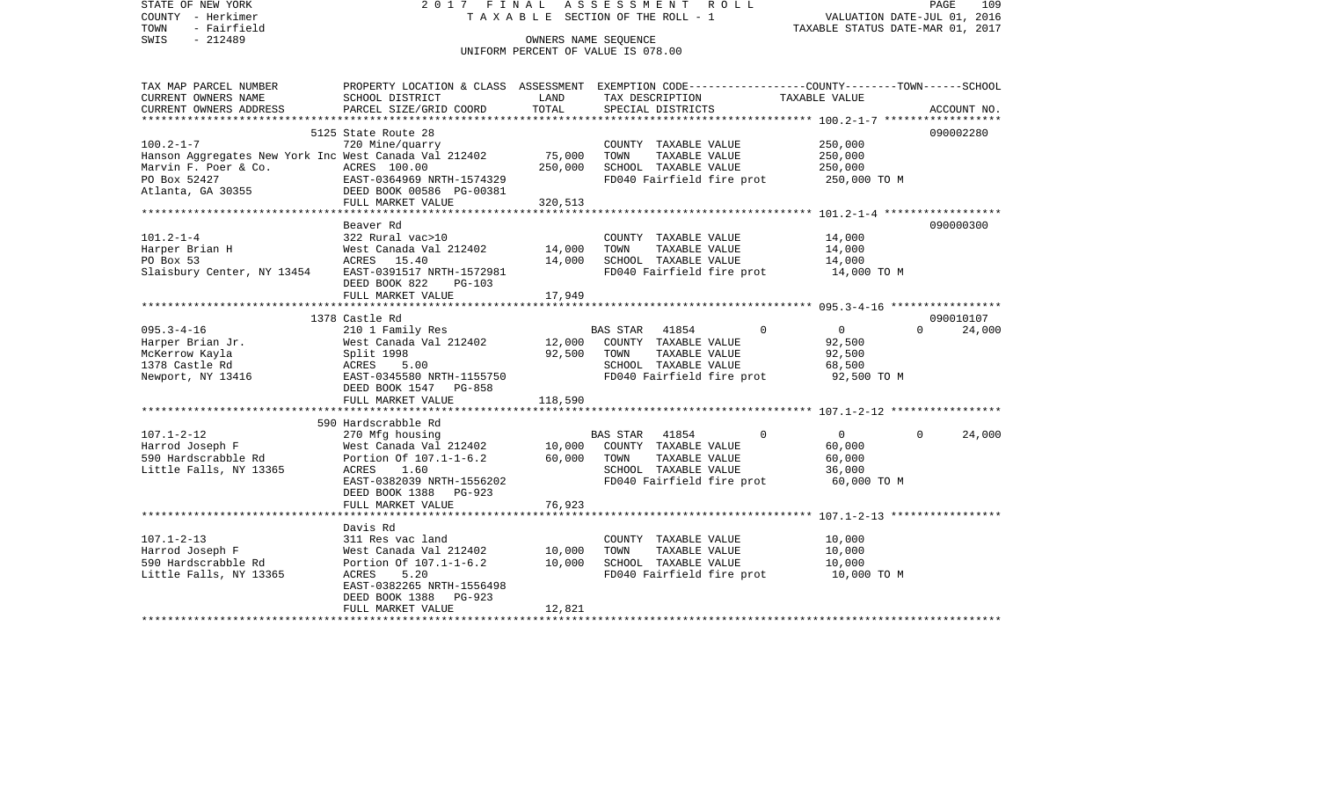| STATE OF NEW YORK<br>COUNTY - Herkimer<br>- Fairfield<br>TOWN<br>SWIS<br>- 212489                                 | 2017 FINAL                                                                                                                                                                          |                              | ASSESSMENT ROLL<br>TAXABLE SECTION OF THE ROLL - 1<br>OWNERS NAME SEQUENCE<br>UNIFORM PERCENT OF VALUE IS 078.00                        | VALUATION DATE-JUL 01, 2016<br>TAXABLE STATUS DATE-MAR 01, 2017            | 109<br>PAGE                     |
|-------------------------------------------------------------------------------------------------------------------|-------------------------------------------------------------------------------------------------------------------------------------------------------------------------------------|------------------------------|-----------------------------------------------------------------------------------------------------------------------------------------|----------------------------------------------------------------------------|---------------------------------|
| TAX MAP PARCEL NUMBER<br>CURRENT OWNERS NAME<br>CURRENT OWNERS ADDRESS                                            | SCHOOL DISTRICT<br>PARCEL SIZE/GRID COORD                                                                                                                                           | LAND<br>TOTAL                | PROPERTY LOCATION & CLASS ASSESSMENT EXEMPTION CODE---------------COUNTY-------TOWN------SCHOOL<br>TAX DESCRIPTION<br>SPECIAL DISTRICTS | TAXABLE VALUE                                                              | ACCOUNT NO.                     |
| $100.2 - 1 - 7$<br>Hanson Aggregates New York Inc West Canada Val 212402                                          | 5125 State Route 28<br>720 Mine/quarry<br>FULL MARKET VALUE                                                                                                                         | 75,000<br>250,000<br>320,513 | COUNTY TAXABLE VALUE<br>TAXABLE VALUE<br>TOWN<br>SCHOOL TAXABLE VALUE<br>FD040 Fairfield fire prot                                      | 250,000<br>250,000<br>250,000<br>250,000 TO M                              | 090002280                       |
| $101.2 - 1 - 4$                                                                                                   | Beaver Rd<br>322 Rural vac>10<br>DEED BOOK 822<br>PG-103                                                                                                                            | 14,000<br>14,000             | COUNTY TAXABLE VALUE<br>TOWN<br>TAXABLE VALUE<br>SCHOOL TAXABLE VALUE<br>FD040 Fairfield fire prot                                      | 14,000<br>14,000<br>14,000<br>14,000 TO M                                  | 090000300                       |
|                                                                                                                   | FULL MARKET VALUE                                                                                                                                                                   | 17,949                       |                                                                                                                                         |                                                                            |                                 |
| $095.3 - 4 - 16$<br>Harper Brian Jr.<br>McKerrow Kayla<br>1378 Castle Rd<br>Newport, NY 13416                     | 1378 Castle Rd<br>210 1 Family Res<br>West Canada Val 212402<br>Split 1998<br>ACRES<br>5.00<br>EAST-0345580 NRTH-1155750<br>DEED BOOK 1547 PG-858                                   |                              | BAS STAR 41854<br>12,000 COUNTY TAXABLE VALUE<br>92,500 TOWN<br>TAXABLE VALUE<br>SCHOOL TAXABLE VALUE<br>FD040 Fairfield fire prot      | $\mathbf 0$<br>$\overline{0}$<br>92,500<br>92,500<br>68,500<br>92,500 TO M | 090010107<br>$\Omega$<br>24,000 |
|                                                                                                                   | FULL MARKET VALUE<br>**************************                                                                                                                                     | 118,590                      |                                                                                                                                         |                                                                            |                                 |
| $107.1 - 2 - 12$<br>Harrod Joseph F<br>590 Hardscrabble Rd<br>Little Falls, NY 13365                              | 590 Hardscrabble Rd<br>270 Mfg housing<br>West Canada Val 212402 10,000<br>Portion Of 107.1-1-6.2<br>ACRES<br>1.60<br>EAST-0382039 NRTH-1556202<br>DEED BOOK 1388 PG-923            | 60,000<br>76,923             | BAS STAR 41854<br>COUNTY TAXABLE VALUE<br>TOWN<br>TAXABLE VALUE<br>SCHOOL TAXABLE VALUE<br>FD040 Fairfield fire prot                    | $\overline{0}$<br>$\Omega$<br>60,000<br>60,000<br>36,000<br>60,000 TO M    | $\Omega$<br>24,000              |
|                                                                                                                   | FULL MARKET VALUE                                                                                                                                                                   |                              |                                                                                                                                         |                                                                            |                                 |
| $107.1 - 2 - 13$<br>Harrod Joseph F<br>590 Hardscrabble Rd<br>Little Falls, NY 13365<br>************************* | Davis Rd<br>311 Res vac land<br>West Canada Val 212402<br>Portion Of 107.1-1-6.2 10,000<br>ACRES<br>5.20<br>EAST-0382265 NRTH-1556498<br>DEED BOOK 1388 PG-923<br>FULL MARKET VALUE | 10,000<br>12,821             | COUNTY TAXABLE VALUE<br>TOWN<br>TAXABLE VALUE<br>SCHOOL TAXABLE VALUE<br>FD040 Fairfield fire prot                                      | 10,000<br>10,000<br>10,000<br>10,000 TO M                                  |                                 |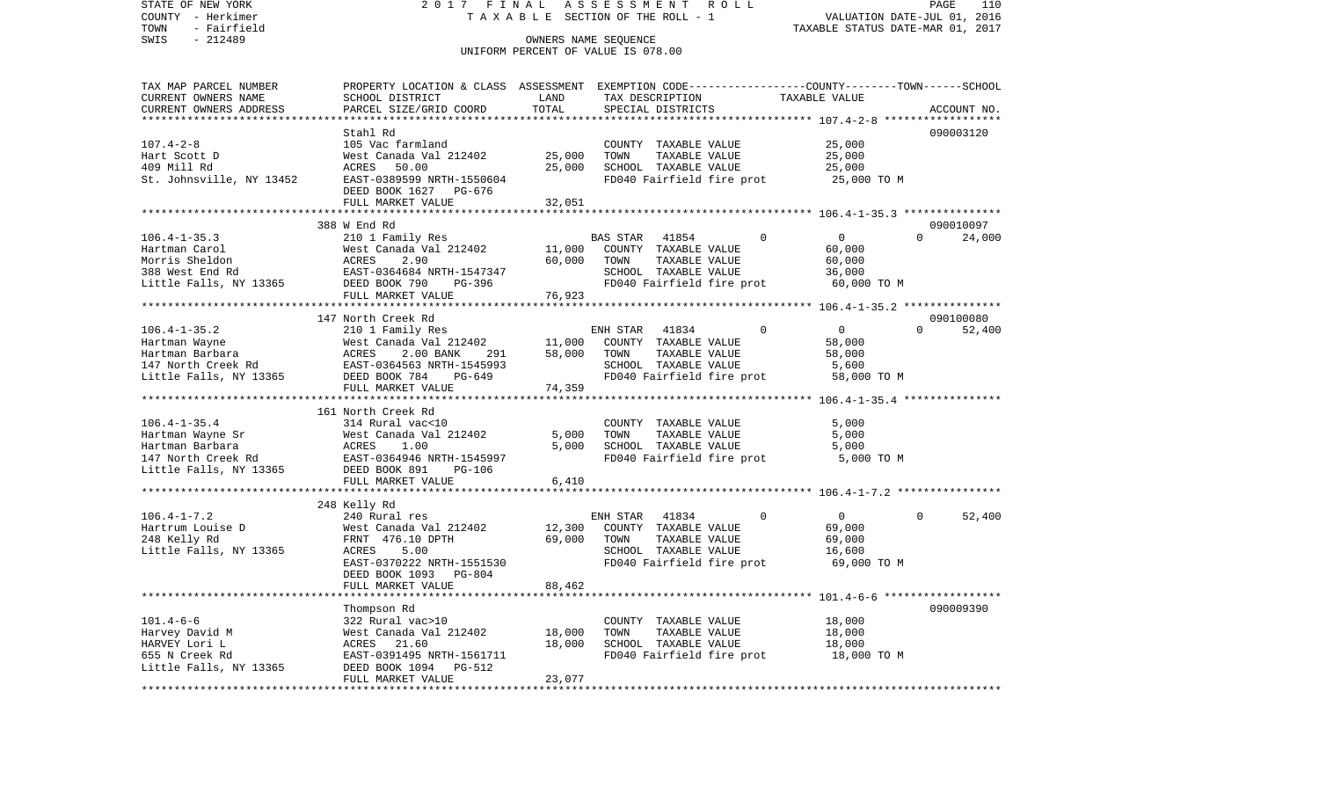STATE OF NEW YORK 2 0 1 7 F I N A L A S S E S S M E N T R O L L PAGE 110VALUATION DATE-JUL 01, 2016 COUNTY - Herkimer T A X A B L E SECTION OF THE ROLL - 1 TOWN - Fairfield TAXABLE STATUS DATE-MAR 01, 2017 SWIS - 212489 OWNERS NAME SEQUENCE UNIFORM PERCENT OF VALUE IS 078.00TAX MAP PARCEL NUMBER PROPERTY LOCATION & CLASS ASSESSMENT EXEMPTION CODE------------------COUNTY--------TOWN------SCHOOL CURRENT OWNERS NAME SCHOOL DISTRICT LAND TAX DESCRIPTION TAXABLE VALUECURRENT OWNERS ADDRESS PARCEL SIZE/GRID COORD TOTAL SPECIAL DISTRICTS ACCOUNT NO. \*\*\*\*\*\*\*\*\*\*\*\*\*\*\*\*\*\*\*\*\*\*\*\*\*\*\*\*\*\*\*\*\*\*\*\*\*\*\*\*\*\*\*\*\*\*\*\*\*\*\*\*\*\*\*\*\*\*\*\*\*\*\*\*\*\*\*\*\*\*\*\*\*\*\*\*\*\*\*\*\*\*\*\*\*\*\*\*\*\*\*\*\*\*\*\*\*\*\*\*\*\*\* 107.4-2-8 \*\*\*\*\*\*\*\*\*\*\*\*\*\*\*\*\*\* Stahl Rd 090003120090003120 107.4-2-8 105 Vac farmland COUNTY TAXABLE VALUE 25,000 Hart Scott D West Canada Val 212402 25,000 TOWN TAXABLE VALUE 25,000 409 Mill Rd ACRES 50.00 25,000 SCHOOL TAXABLE VALUE 25,000 St. Johnsville, NY 13452 EAST-0389599 NRTH-1550604 FD040 Fairfield fire prot 25,000 TO M DEED BOOK 1627 PG-676FULL MARKET VALUE 32,051 \*\*\*\*\*\*\*\*\*\*\*\*\*\*\*\*\*\*\*\*\*\*\*\*\*\*\*\*\*\*\*\*\*\*\*\*\*\*\*\*\*\*\*\*\*\*\*\*\*\*\*\*\*\*\*\*\*\*\*\*\*\*\*\*\*\*\*\*\*\*\*\*\*\*\*\*\*\*\*\*\*\*\*\*\*\*\*\*\*\*\*\*\*\*\*\*\*\*\*\*\*\*\* 106.4-1-35.3 \*\*\*\*\*\*\*\*\*\*\*\*\*\*\* 388 W End Rd 090010097106.4-1-35.3 210 1 Family Res BAS STAR 41854 0 0 0 24,000 Hartman Carol West Canada Val 212402 11,000 COUNTY TAXABLE VALUE 60,000 Morris Sheldon ACRES 2.90 60,000 TOWN TAXABLE VALUE 60,000 388 West End Rd EAST-0364684 NRTH-1547347 SCHOOL TAXABLE VALUE 36,000 Little Falls, NY 13365 DEED BOOK 790 PG-396 FD040 Fairfield fire prot 60,000 TO M FULL MARKET VALUE 76,923 \*\*\*\*\*\*\*\*\*\*\*\*\*\*\*\*\*\*\*\*\*\*\*\*\*\*\*\*\*\*\*\*\*\*\*\*\*\*\*\*\*\*\*\*\*\*\*\*\*\*\*\*\*\*\*\*\*\*\*\*\*\*\*\*\*\*\*\*\*\*\*\*\*\*\*\*\*\*\*\*\*\*\*\*\*\*\*\*\*\*\*\*\*\*\*\*\*\*\*\*\*\*\* 106.4-1-35.2 \*\*\*\*\*\*\*\*\*\*\*\*\*\*\* 147 North Creek Rd 09010008052,400 106.4-1-35.2 210 1 Family Res ENH STAR 41834 0 0 0 0 Hartman Wayne West Canada Val 212402 11,000 COUNTY TAXABLE VALUE 58,000 Hartman Barbara ACRES 2.00 BANK 291 58,000 TOWN TAXABLE VALUE 58,000 147 North Creek Rd EAST-0364563 NRTH-1545993 SCHOOL TAXABLE VALUE 5,600 Little Falls, NY 13365 DEED BOOK 784 PG-649 FD040 Fairfield fire prot 58,000 TO M FULL MARKET VALUE 74,359 \*\*\*\*\*\*\*\*\*\*\*\*\*\*\*\*\*\*\*\*\*\*\*\*\*\*\*\*\*\*\*\*\*\*\*\*\*\*\*\*\*\*\*\*\*\*\*\*\*\*\*\*\*\*\*\*\*\*\*\*\*\*\*\*\*\*\*\*\*\*\*\*\*\*\*\*\*\*\*\*\*\*\*\*\*\*\*\*\*\*\*\*\*\*\*\*\*\*\*\*\*\*\* 106.4-1-35.4 \*\*\*\*\*\*\*\*\*\*\*\*\*\*\* 161 North Creek Rd106.4-1-35.4 314 Rural vac<10 COUNTY TAXABLE VALUE 5,000 Hartman Wayne Sr West Canada Val 212402 5,000 TOWN TAXABLE VALUE 5,000 Hartman Barbara ACRES 1.00 5,000 SCHOOL TAXABLE VALUE 5,000 147 North Creek Rd EAST-0364946 NRTH-1545997 FD040 Fairfield fire prot 5,000 TO M Little Falls, NY 13365 DEED BOOK 891 PG-106 FULL MARKET VALUE 6,410 \*\*\*\*\*\*\*\*\*\*\*\*\*\*\*\*\*\*\*\*\*\*\*\*\*\*\*\*\*\*\*\*\*\*\*\*\*\*\*\*\*\*\*\*\*\*\*\*\*\*\*\*\*\*\*\*\*\*\*\*\*\*\*\*\*\*\*\*\*\*\*\*\*\*\*\*\*\*\*\*\*\*\*\*\*\*\*\*\*\*\*\*\*\*\*\*\*\*\*\*\*\*\* 106.4-1-7.2 \*\*\*\*\*\*\*\*\*\*\*\*\*\*\*\* 248 Kelly Rd 106.4-1-7.2 240 Rural res ENH STAR 41834 0 0 0 52,400 Hartrum Louise D West Canada Val 212402 12,300 COUNTY TAXABLE VALUE 69,000 248 Kelly Rd FRNT 476.10 DPTH 69,000 TOWN TAXABLE VALUE 69,000 SCHOOL TAXABLE VALUE EAST-0370222 NRTH-1551530 FD040 Fairfield fire prot 69,000 TO M DEED BOOK 1093 PG-804FULL MARKET VALUE 88,462 \*\*\*\*\*\*\*\*\*\*\*\*\*\*\*\*\*\*\*\*\*\*\*\*\*\*\*\*\*\*\*\*\*\*\*\*\*\*\*\*\*\*\*\*\*\*\*\*\*\*\*\*\*\*\*\*\*\*\*\*\*\*\*\*\*\*\*\*\*\*\*\*\*\*\*\*\*\*\*\*\*\*\*\*\*\*\*\*\*\*\*\*\*\*\*\*\*\*\*\*\*\*\* 101.4-6-6 \*\*\*\*\*\*\*\*\*\*\*\*\*\*\*\*\*\* Thompson Rd 090009390 101.4-6-6 322 Rural vac>10 COUNTY TAXABLE VALUE 18,000 Harvey David M West Canada Val 212402 18,000 TOWN TAXABLE VALUE 18,000 HARVEY Lori Lackers 21.60 18,000 SCHOOL TAXABLE VALUE 18,000 655 N Creek Rd EAST-0391495 NRTH-1561711 FD040 Fairfield fire prot 18,000 TO M

\*\*\*\*\*\*\*\*\*\*\*\*\*\*\*\*\*\*\*\*\*\*\*\*\*\*\*\*\*\*\*\*\*\*\*\*\*\*\*\*\*\*\*\*\*\*\*\*\*\*\*\*\*\*\*\*\*\*\*\*\*\*\*\*\*\*\*\*\*\*\*\*\*\*\*\*\*\*\*\*\*\*\*\*\*\*\*\*\*\*\*\*\*\*\*\*\*\*\*\*\*\*\*\*\*\*\*\*\*\*\*\*\*\*\*\*\*\*\*\*\*\*\*\*\*\*\*\*\*\*\*\*

Little Falls, NY 13365 DEED BOOK 1094 PG-512

FULL MARKET VALUE 23,077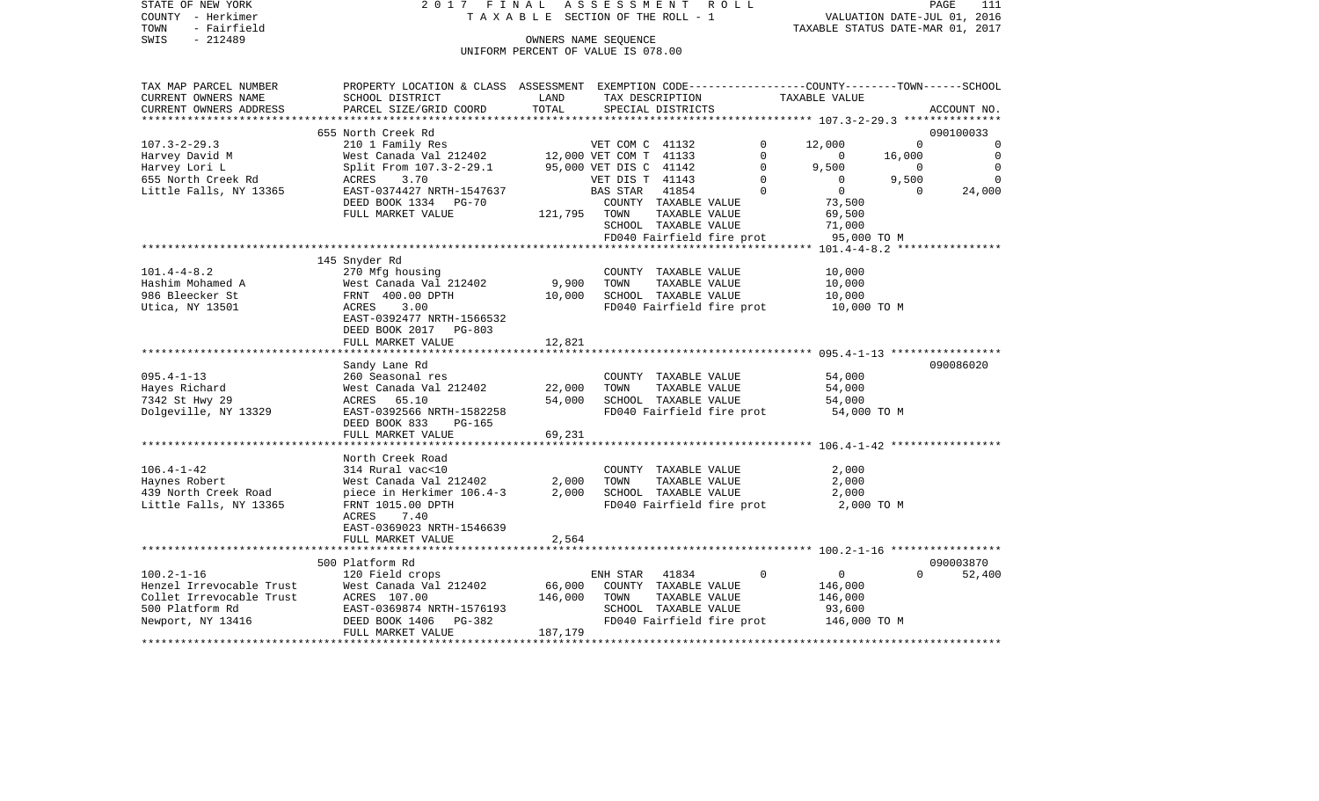| STATE OF NEW YORK<br>COUNTY - Herkimer | 2017                                                                                            | FINAL<br>TAXABLE SECTION OF THE ROLL - 1 | ASSESSMENT             |                      | R O L L                   |                                     |             | PAGE<br>111<br>VALUATION DATE-JUL 01, 2016 |
|----------------------------------------|-------------------------------------------------------------------------------------------------|------------------------------------------|------------------------|----------------------|---------------------------|-------------------------------------|-------------|--------------------------------------------|
| TOWN<br>- Fairfield                    |                                                                                                 |                                          |                        |                      |                           | TAXABLE STATUS DATE-MAR 01, 2017    |             |                                            |
| $-212489$<br>SWIS                      |                                                                                                 |                                          | OWNERS NAME SEQUENCE   |                      |                           |                                     |             |                                            |
|                                        |                                                                                                 | UNIFORM PERCENT OF VALUE IS 078.00       |                        |                      |                           |                                     |             |                                            |
| TAX MAP PARCEL NUMBER                  | PROPERTY LOCATION & CLASS ASSESSMENT EXEMPTION CODE---------------COUNTY-------TOWN------SCHOOL |                                          |                        |                      |                           |                                     |             |                                            |
| CURRENT OWNERS NAME                    | SCHOOL DISTRICT                                                                                 | LAND                                     |                        | TAX DESCRIPTION      |                           | TAXABLE VALUE                       |             |                                            |
| CURRENT OWNERS ADDRESS                 | PARCEL SIZE/GRID COORD                                                                          | TOTAL                                    |                        | SPECIAL DISTRICTS    |                           |                                     |             | ACCOUNT NO.                                |
|                                        |                                                                                                 |                                          |                        |                      |                           |                                     |             |                                            |
|                                        | 655 North Creek Rd                                                                              |                                          |                        |                      |                           |                                     |             | 090100033                                  |
| $107.3 - 2 - 29.3$                     | 210 1 Family Res                                                                                |                                          | VET COM C 41132        |                      | 0                         | 12,000                              | $\mathbf 0$ | $\mathbf 0$                                |
| Harvey David M                         | West Canada Val 212402                                                                          |                                          | 12,000 VET COM T 41133 |                      | $\Omega$                  | $\overline{0}$                      | 16,000      | $\Omega$                                   |
| Harvey Lori L                          | Split From 107.3-2-29.1                                                                         |                                          | 95,000 VET DIS C 41142 |                      | 0                         | 9,500                               | 0           | $\Omega$                                   |
| 655 North Creek Rd                     | 3.70<br>ACRES                                                                                   |                                          | VET DIS T 41143        |                      | $\Omega$                  | $\Omega$                            | 9,500       | $\Omega$                                   |
| Little Falls, NY 13365                 | EAST-0374427 NRTH-1547637                                                                       |                                          | BAS STAR               | 41854                | $\Omega$                  | $\mathbf{0}$                        | $\Omega$    | 24,000                                     |
|                                        | DEED BOOK 1334<br><b>PG-70</b>                                                                  |                                          |                        | COUNTY TAXABLE VALUE |                           | 73,500                              |             |                                            |
|                                        | FULL MARKET VALUE                                                                               | 121,795                                  | TOWN                   | TAXABLE VALUE        |                           | 69,500                              |             |                                            |
|                                        |                                                                                                 |                                          |                        | SCHOOL TAXABLE VALUE |                           | 71,000                              |             |                                            |
|                                        | *************************************                                                           |                                          |                        |                      | FD040 Fairfield fire prot | 95,000 TO M                         |             |                                            |
|                                        |                                                                                                 |                                          |                        |                      |                           | ***** 101.4-4-8.2 ***************** |             |                                            |
| $101.4 - 4 - 8.2$                      | 145 Snyder Rd<br>270 Mfg housing                                                                |                                          |                        | COUNTY TAXABLE VALUE |                           | 10,000                              |             |                                            |
| Hashim Mohamed A                       | West Canada Val 212402                                                                          | 9,900                                    | TOWN                   | TAXABLE VALUE        |                           | 10,000                              |             |                                            |
| 986 Bleecker St                        | FRNT 400.00 DPTH                                                                                | 10,000                                   |                        | SCHOOL TAXABLE VALUE |                           | 10,000                              |             |                                            |
| Utica, NY 13501                        | 3.00<br>ACRES                                                                                   |                                          |                        |                      | FD040 Fairfield fire prot | 10,000 TO M                         |             |                                            |
|                                        | EAST-0392477 NRTH-1566532                                                                       |                                          |                        |                      |                           |                                     |             |                                            |
|                                        | DEED BOOK 2017 PG-803                                                                           |                                          |                        |                      |                           |                                     |             |                                            |
|                                        | FULL MARKET VALUE                                                                               | 12,821                                   |                        |                      |                           |                                     |             |                                            |
|                                        |                                                                                                 |                                          |                        |                      |                           |                                     |             |                                            |
|                                        | Sandy Lane Rd                                                                                   |                                          |                        |                      |                           |                                     |             | 090086020                                  |
| $095.4 - 1 - 13$                       | 260 Seasonal res                                                                                |                                          |                        | COUNTY TAXABLE VALUE |                           | 54,000                              |             |                                            |
| Hayes Richard                          | West Canada Val 212402                                                                          | 22,000                                   | TOWN                   | TAXABLE VALUE        |                           | 54,000                              |             |                                            |
| 7342 St Hwy 29                         | 65.10<br>ACRES                                                                                  | 54,000                                   |                        | SCHOOL TAXABLE VALUE |                           | 54,000                              |             |                                            |
| Dolgeville, NY 13329                   | EAST-0392566 NRTH-1582258<br>DEED BOOK 833<br>PG-165                                            |                                          |                        |                      | FD040 Fairfield fire prot | 54,000 TO M                         |             |                                            |
|                                        | FULL MARKET VALUE                                                                               | 69,231                                   |                        |                      |                           |                                     |             |                                            |
|                                        |                                                                                                 |                                          |                        |                      |                           |                                     |             |                                            |
|                                        | North Creek Road                                                                                |                                          |                        |                      |                           |                                     |             |                                            |
| $106.4 - 1 - 42$                       | 314 Rural vac<10                                                                                |                                          |                        | COUNTY TAXABLE VALUE |                           | 2,000                               |             |                                            |
| Haynes Robert                          | West Canada Val 212402                                                                          | 2,000                                    | TOWN                   | TAXABLE VALUE        |                           | 2,000                               |             |                                            |
| 439 North Creek Road                   | piece in Herkimer 106.4-3                                                                       | 2,000                                    |                        | SCHOOL TAXABLE VALUE |                           | 2,000                               |             |                                            |
| Little Falls, NY 13365                 | FRNT 1015.00 DPTH                                                                               |                                          |                        |                      | FD040 Fairfield fire prot | 2,000 TO M                          |             |                                            |
|                                        | ACRES<br>7.40                                                                                   |                                          |                        |                      |                           |                                     |             |                                            |
|                                        | EAST-0369023 NRTH-1546639                                                                       |                                          |                        |                      |                           |                                     |             |                                            |
|                                        | FULL MARKET VALUE                                                                               | 2,564                                    |                        |                      |                           |                                     |             |                                            |
|                                        | ****************************<br>500 Platform Rd                                                 |                                          |                        |                      |                           |                                     |             | 090003870                                  |
| $100.2 - 1 - 16$                       | 120 Field crops                                                                                 |                                          | ENH STAR               | 41834                | $\Omega$                  | $\overline{0}$                      | $\Omega$    | 52,400                                     |
| Henzel Irrevocable Trust               | West Canada Val 212402                                                                          | 66,000                                   |                        | COUNTY TAXABLE VALUE |                           | 146,000                             |             |                                            |
| Collet Irrevocable Trust               | ACRES 107.00                                                                                    | 146,000                                  | TOWN                   | TAXABLE VALUE        |                           | 146,000                             |             |                                            |
| 500 Platform Rd                        | EAST-0369874 NRTH-1576193                                                                       |                                          |                        | SCHOOL TAXABLE VALUE |                           | 93,600                              |             |                                            |
| Newport, NY 13416                      | DEED BOOK 1406<br>PG-382                                                                        |                                          |                        |                      | FD040 Fairfield fire prot | 146,000 TO M                        |             |                                            |
|                                        | FULL MARKET VALUE                                                                               | 187,179                                  |                        |                      |                           |                                     |             |                                            |
|                                        |                                                                                                 | ************                             |                        |                      |                           |                                     |             | *****************                          |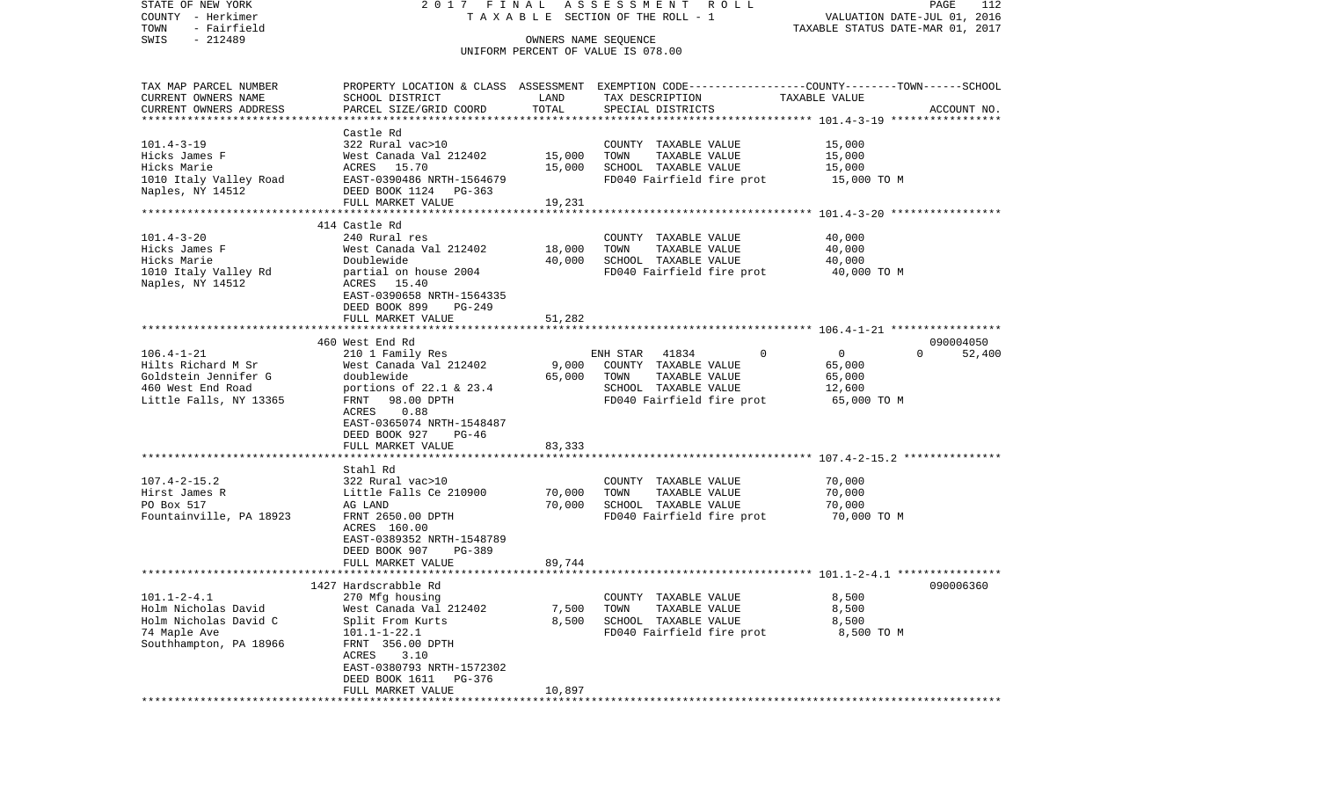| STATE OF NEW YORK                 |                                           |                      | 2017 FINAL ASSESSMENT ROLL                                                                       |                                  | PAGE<br>112        |
|-----------------------------------|-------------------------------------------|----------------------|--------------------------------------------------------------------------------------------------|----------------------------------|--------------------|
| COUNTY - Herkimer                 |                                           |                      | TAXABLE SECTION OF THE ROLL - 1                                                                  | VALUATION DATE-JUL 01, 2016      |                    |
| TOWN<br>- Fairfield               |                                           |                      |                                                                                                  | TAXABLE STATUS DATE-MAR 01, 2017 |                    |
| $-212489$<br>SWIS                 |                                           | OWNERS NAME SEQUENCE |                                                                                                  |                                  |                    |
|                                   |                                           |                      | UNIFORM PERCENT OF VALUE IS 078.00                                                               |                                  |                    |
| TAX MAP PARCEL NUMBER             |                                           |                      | PROPERTY LOCATION & CLASS ASSESSMENT EXEMPTION CODE----------------COUNTY-------TOWN------SCHOOL |                                  |                    |
| CURRENT OWNERS NAME               | SCHOOL DISTRICT                           | LAND                 | TAX DESCRIPTION                                                                                  | TAXABLE VALUE                    |                    |
| CURRENT OWNERS ADDRESS            | PARCEL SIZE/GRID COORD                    | TOTAL                | SPECIAL DISTRICTS                                                                                |                                  | ACCOUNT NO.        |
| **************************        |                                           |                      |                                                                                                  |                                  |                    |
|                                   | Castle Rd                                 |                      |                                                                                                  |                                  |                    |
| $101.4 - 3 - 19$<br>Hicks James F | 322 Rural vac>10                          | 15,000               | COUNTY TAXABLE VALUE<br>TOWN                                                                     | 15,000                           |                    |
| Hicks Marie                       | West Canada Val 212402<br>ACRES 15.70     | 15,000               | TAXABLE VALUE<br>SCHOOL TAXABLE VALUE                                                            | 15,000<br>15,000                 |                    |
| 1010 Italy Valley Road            | EAST-0390486 NRTH-1564679                 |                      | FD040 Fairfield fire prot                                                                        | 15,000 TO M                      |                    |
| Naples, NY 14512                  | DEED BOOK 1124 PG-363                     |                      |                                                                                                  |                                  |                    |
|                                   | FULL MARKET VALUE                         | 19,231               |                                                                                                  |                                  |                    |
|                                   |                                           |                      |                                                                                                  |                                  |                    |
|                                   | 414 Castle Rd                             |                      |                                                                                                  |                                  |                    |
| $101.4 - 3 - 20$                  | 240 Rural res                             |                      | COUNTY TAXABLE VALUE                                                                             | 40,000                           |                    |
| Hicks James F                     | West Canada Val 212402                    | 18,000               | TOWN<br>TAXABLE VALUE                                                                            | 40,000                           |                    |
| Hicks Marie                       | Doublewide                                | 40,000               | SCHOOL TAXABLE VALUE                                                                             | 40,000                           |                    |
| 1010 Italy Valley Rd              | partial on house 2004                     |                      | FD040 Fairfield fire prot                                                                        | 40,000 TO M                      |                    |
| Naples, NY 14512                  | ACRES 15.40                               |                      |                                                                                                  |                                  |                    |
|                                   | EAST-0390658 NRTH-1564335                 |                      |                                                                                                  |                                  |                    |
|                                   | DEED BOOK 899<br>PG-249                   |                      |                                                                                                  |                                  |                    |
|                                   | FULL MARKET VALUE                         | 51,282               |                                                                                                  |                                  |                    |
|                                   |                                           |                      |                                                                                                  |                                  | 090004050          |
| $106.4 - 1 - 21$                  | 460 West End Rd<br>210 1 Family Res       |                      | $\mathbf 0$<br>ENH STAR 41834                                                                    | $\overline{0}$                   | $\Omega$<br>52,400 |
| Hilts Richard M Sr                | West Canada Val 212402                    | 9,000                | COUNTY TAXABLE VALUE                                                                             | 65,000                           |                    |
| Goldstein Jennifer G              | doublewide                                | 65,000               | TAXABLE VALUE<br>TOWN                                                                            | 65,000                           |                    |
| 460 West End Road                 | portions of $22.1$ & $23.4$               |                      | SCHOOL TAXABLE VALUE                                                                             | 12,600                           |                    |
| Little Falls, NY 13365            | FRNT 98.00 DPTH                           |                      | FD040 Fairfield fire prot                                                                        | 65,000 TO M                      |                    |
|                                   | 0.88<br>ACRES                             |                      |                                                                                                  |                                  |                    |
|                                   | EAST-0365074 NRTH-1548487                 |                      |                                                                                                  |                                  |                    |
|                                   | DEED BOOK 927<br>PG-46                    |                      |                                                                                                  |                                  |                    |
|                                   | FULL MARKET VALUE                         | 83,333               |                                                                                                  |                                  |                    |
|                                   |                                           |                      |                                                                                                  |                                  |                    |
|                                   | Stahl Rd                                  |                      |                                                                                                  |                                  |                    |
| $107.4 - 2 - 15.2$                | 322 Rural vac>10                          |                      | COUNTY TAXABLE VALUE                                                                             | 70,000                           |                    |
| Hirst James R                     | Little Falls Ce 210900                    | 70,000               | TOWN<br>TAXABLE VALUE                                                                            | 70,000                           |                    |
| PO Box 517                        | AG LAND                                   | 70,000               | SCHOOL TAXABLE VALUE                                                                             | 70,000                           |                    |
| Fountainville, PA 18923           | FRNT 2650.00 DPTH                         |                      | FD040 Fairfield fire prot                                                                        | 70,000 TO M                      |                    |
|                                   | ACRES 160.00<br>EAST-0389352 NRTH-1548789 |                      |                                                                                                  |                                  |                    |
|                                   | PG-389<br>DEED BOOK 907                   |                      |                                                                                                  |                                  |                    |
|                                   | FULL MARKET VALUE                         | 89,744               |                                                                                                  |                                  |                    |
|                                   |                                           |                      |                                                                                                  |                                  |                    |
|                                   | 1427 Hardscrabble Rd                      |                      |                                                                                                  |                                  | 090006360          |
| $101.1 - 2 - 4.1$                 | 270 Mfg housing                           |                      | COUNTY TAXABLE VALUE                                                                             | 8,500                            |                    |
| Holm Nicholas David               | West Canada Val 212402                    | 7,500                | TOWN<br>TAXABLE VALUE                                                                            | 8,500                            |                    |
| Holm Nicholas David C             | Split From Kurts                          | 8,500                | SCHOOL TAXABLE VALUE                                                                             | 8,500                            |                    |
| 74 Maple Ave                      | $101.1 - 1 - 22.1$                        |                      | FD040 Fairfield fire prot                                                                        | 8,500 TO M                       |                    |
| Southhampton, PA 18966            | FRNT 356.00 DPTH                          |                      |                                                                                                  |                                  |                    |
|                                   | 3.10<br>ACRES                             |                      |                                                                                                  |                                  |                    |
|                                   | EAST-0380793 NRTH-1572302                 |                      |                                                                                                  |                                  |                    |
|                                   | DEED BOOK 1611<br>PG-376                  |                      |                                                                                                  |                                  |                    |
|                                   | FULL MARKET VALUE                         | 10,897               |                                                                                                  |                                  |                    |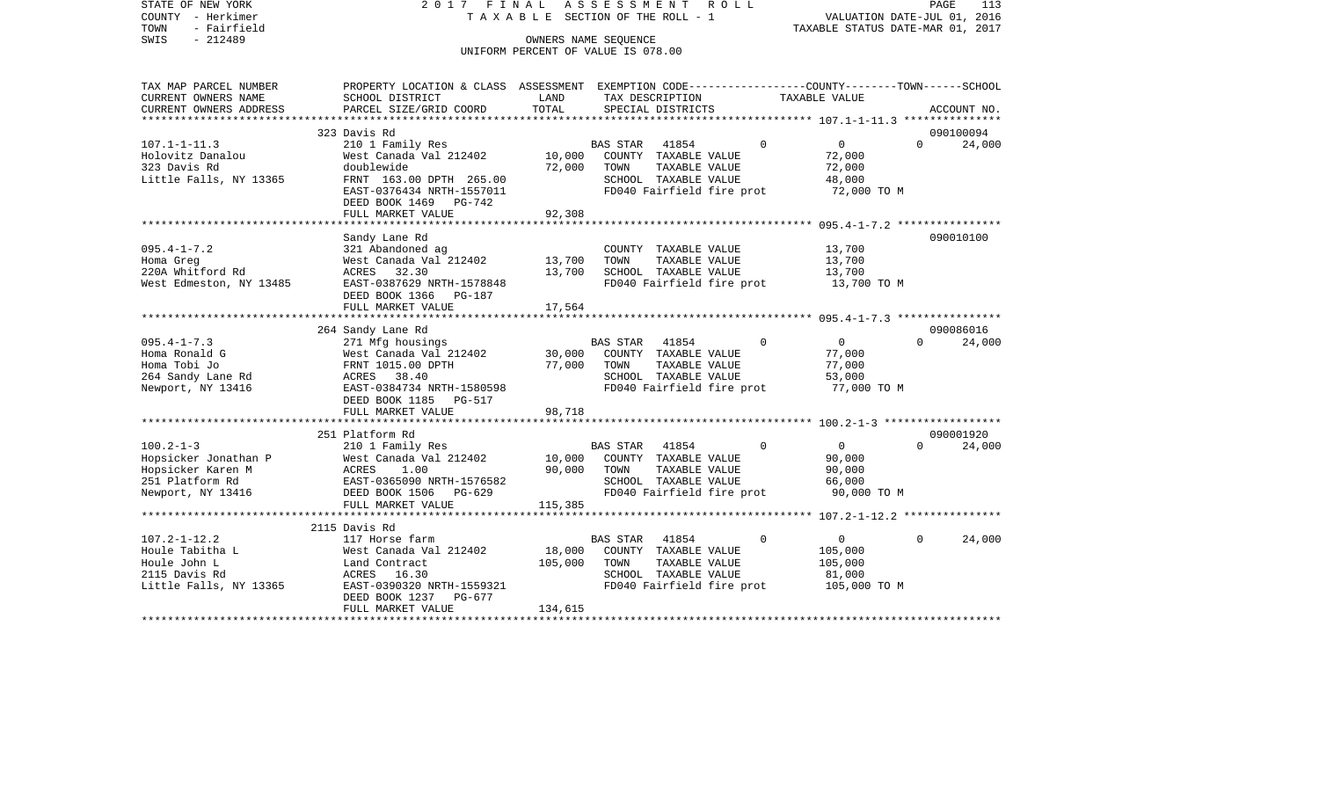STATE OF NEW YORK 2 0 1 7 F I N A L A S S E S S M E N T R O L L PAGE 113113 COUNTY - Herkimer T A X A B L E SECTION OF THE ROLL - 1 VALUATION DATE-JUL 01, 2016 TOWN - Fairfield TAXABLE STATUS DATE-MAR 01, 2017 SWIS - 212489 OWNERS NAME SEQUENCE UNIFORM PERCENT OF VALUE IS 078.00TAX MAP PARCEL NUMBER PROPERTY LOCATION & CLASS ASSESSMENT EXEMPTION CODE------------------COUNTY--------TOWN------SCHOOL CURRENT OWNERS NAME SCHOOL DISTRICT LAND TAX DESCRIPTION TAXABLE VALUECURRENT OWNERS ADDRESS PARCEL SIZE/GRID COORD TOTAL SPECIAL DISTRICTS ACCOUNT NO. \*\*\*\*\*\*\*\*\*\*\*\*\*\*\*\*\*\*\*\*\*\*\*\*\*\*\*\*\*\*\*\*\*\*\*\*\*\*\*\*\*\*\*\*\*\*\*\*\*\*\*\*\*\*\*\*\*\*\*\*\*\*\*\*\*\*\*\*\*\*\*\*\*\*\*\*\*\*\*\*\*\*\*\*\*\*\*\*\*\*\*\*\*\*\*\*\*\*\*\*\*\*\* 107.1-1-11.3 \*\*\*\*\*\*\*\*\*\*\*\*\*\*\* 323 Davis Rd 09010009424,000 107.1-1-11.3 210 1 Family Res BAS STAR 41854 0 0 0 Holovitz Danalou West Canada Val 212402 10,000 COUNTY TAXABLE VALUE 72,000 323 Davis Rd doublewide 72,000 TOWN TAXABLE VALUE 72,000 Little Falls, NY 13365 FRNT 163.00 DPTH 265.00 SCHOOL TAXABLE VALUE 48,000 EAST-0376434 NRTH-1557011 FD040 Fairfield fire prot 72,000 TO M DEED BOOK 1469 PG-742 FULL MARKET VALUE 92,308 \*\*\*\*\*\*\*\*\*\*\*\*\*\*\*\*\*\*\*\*\*\*\*\*\*\*\*\*\*\*\*\*\*\*\*\*\*\*\*\*\*\*\*\*\*\*\*\*\*\*\*\*\*\*\*\*\*\*\*\*\*\*\*\*\*\*\*\*\*\*\*\*\*\*\*\*\*\*\*\*\*\*\*\*\*\*\*\*\*\*\*\*\*\*\*\*\*\*\*\*\*\*\* 095.4-1-7.2 \*\*\*\*\*\*\*\*\*\*\*\*\*\*\*\*Sandy Lane Rd 090010100

|                         | FULL MARKET VALUE             | 92,308                                                       |                          |
|-------------------------|-------------------------------|--------------------------------------------------------------|--------------------------|
|                         | Sandy Lane Rd                 |                                                              | 090010100                |
| $095.4 - 1 - 7.2$       | 321 Abandoned ag              | COUNTY TAXABLE VALUE<br>13,700                               |                          |
| Homa Greg               | West Canada Val 212402 13,700 | TAXABLE VALUE<br>13,700<br>TOWN                              |                          |
| 220A Whitford Rd        | ACRES 32.30                   | 13,700<br>SCHOOL TAXABLE VALUE<br>13,700                     |                          |
| West Edmeston, NY 13485 | EAST-0387629 NRTH-1578848     | FD040 Fairfield fire prot 13,700 TO M                        |                          |
|                         | DEED BOOK 1366 PG-187         |                                                              |                          |
|                         | FULL MARKET VALUE             | 17,564                                                       |                          |
|                         |                               |                                                              |                          |
|                         | 264 Sandy Lane Rd             |                                                              | 090086016                |
| $095.4 - 1 - 7.3$       | 271 Mfg housings              | <b>BAS STAR</b><br>$\mathbf 0$<br>41854<br>$\overline{0}$    | $\Omega$<br>24,000       |
| Homa Ronald G           |                               | West Canada Val 212402 30,000 COUNTY TAXABLE VALUE<br>77,000 |                          |
| Homa Tobi Jo            | FRNT 1015.00 DPTH             | 77,000<br>TOWN<br>TAXABLE VALUE<br>77,000                    |                          |
| 264 Sandy Lane Rd       | ACRES 38.40                   | 53,000<br>SCHOOL TAXABLE VALUE                               |                          |
| Newport, NY 13416       | EAST-0384734 NRTH-1580598     | FD040 Fairfield fire prot<br>77,000 TO M                     |                          |
|                         | DEED BOOK 1185 PG-517         |                                                              |                          |
|                         | FULL MARKET VALUE             | 98,718                                                       |                          |
|                         |                               |                                                              |                          |
|                         | 251 Platform Rd               |                                                              | 090001920                |
| $100.2 - 1 - 3$         | 210 1 Family Res              | $\Omega$<br><b>BAS STAR</b><br>41854<br>$\overline{0}$       | 24,000<br>$\Omega$       |
| Hopsicker Jonathan P    |                               | West Canada Val 212402 10,000 COUNTY TAXABLE VALUE<br>90,000 |                          |
| Hopsicker Karen M       | 1.00<br>ACRES                 | 90,000<br>TOWN<br>90,000<br>TAXABLE VALUE                    |                          |
| 251 Platform Rd         | EAST-0365090 NRTH-1576582     | 66,000<br>SCHOOL TAXABLE VALUE                               |                          |
| Newport, NY 13416       | DEED BOOK 1506 PG-629         | FD040 Fairfield fire prot 90,000 TO M                        |                          |
|                         | FULL MARKET VALUE             | 115,385                                                      |                          |
|                         |                               |                                                              |                          |
|                         | 2115 Davis Rd                 |                                                              |                          |
| $107.2 - 1 - 12.2$      | 117 Horse farm                | BAS STAR 41854<br>$\mathbf 0$<br>$\overline{0}$              | $\overline{0}$<br>24,000 |
| Houle Tabitha L         | West Canada Val 212402        | 18,000<br>COUNTY TAXABLE VALUE<br>105,000                    |                          |
| Houle John L            | Land Contract                 | 105,000<br>TAXABLE VALUE<br>105,000<br>TOWN                  |                          |
| 2115 Davis Rd           | ACRES 16.30                   | SCHOOL TAXABLE VALUE<br>81,000                               |                          |
| Little Falls, NY 13365  | EAST-0390320 NRTH-1559321     | FD040 Fairfield fire prot 105,000 TO M                       |                          |
|                         | DEED BOOK 1237<br>PG-677      |                                                              |                          |
|                         | FULL MARKET VALUE             | 134,615                                                      |                          |
|                         |                               |                                                              |                          |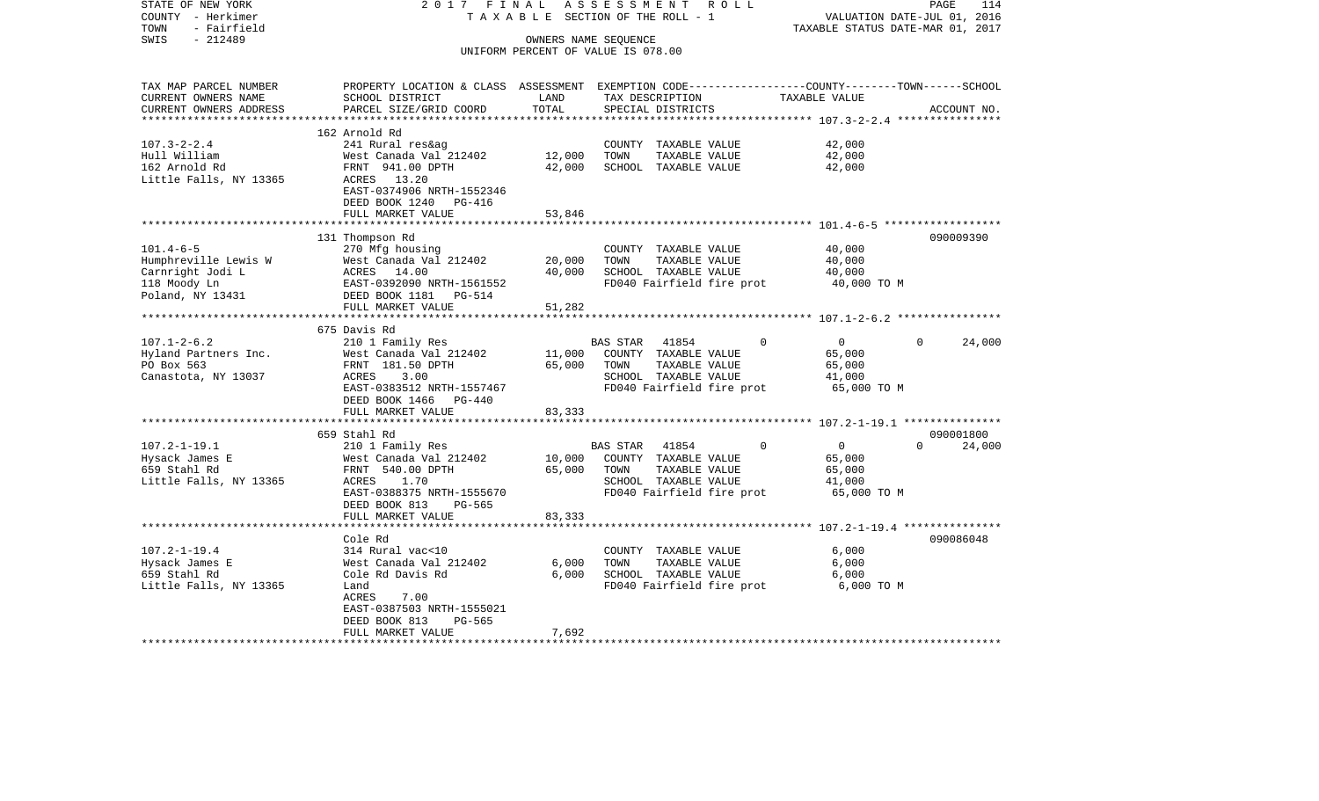| STATE OF NEW YORK<br>COUNTY - Herkimer<br>TOWN<br>- Fairfield | 2017 FINAL                                                                                       |               | ASSESSMENT<br>R O L L<br>TAXABLE SECTION OF THE ROLL - 1 |                               | PAGE<br>114<br>VALUATION DATE-JUL 01, 2016<br>TAXABLE STATUS DATE-MAR 01, 2017 |
|---------------------------------------------------------------|--------------------------------------------------------------------------------------------------|---------------|----------------------------------------------------------|-------------------------------|--------------------------------------------------------------------------------|
| $-212489$<br>SWIS                                             |                                                                                                  |               | OWNERS NAME SEQUENCE                                     |                               |                                                                                |
|                                                               |                                                                                                  |               | UNIFORM PERCENT OF VALUE IS 078.00                       |                               |                                                                                |
| TAX MAP PARCEL NUMBER                                         | PROPERTY LOCATION & CLASS ASSESSMENT EXEMPTION CODE----------------COUNTY-------TOWN------SCHOOL |               |                                                          |                               |                                                                                |
| CURRENT OWNERS NAME                                           | SCHOOL DISTRICT                                                                                  | LAND<br>TOTAL | TAX DESCRIPTION                                          | TAXABLE VALUE                 |                                                                                |
| CURRENT OWNERS ADDRESS                                        | PARCEL SIZE/GRID COORD                                                                           |               | SPECIAL DISTRICTS                                        |                               | ACCOUNT NO.                                                                    |
|                                                               | 162 Arnold Rd                                                                                    |               |                                                          |                               |                                                                                |
| $107.3 - 2 - 2.4$                                             | 241 Rural res&ag                                                                                 |               | COUNTY TAXABLE VALUE                                     | 42,000                        |                                                                                |
| Hull William                                                  | West Canada Val 212402                                                                           | 12,000        | TOWN<br>TAXABLE VALUE                                    | 42,000                        |                                                                                |
| 162 Arnold Rd                                                 | FRNT 941.00 DPTH                                                                                 | 42,000        | SCHOOL TAXABLE VALUE                                     | 42,000                        |                                                                                |
| Little Falls, NY 13365                                        | ACRES 13.20<br>EAST-0374906 NRTH-1552346<br>DEED BOOK 1240 PG-416                                |               |                                                          |                               |                                                                                |
|                                                               | FULL MARKET VALUE                                                                                | 53,846        |                                                          |                               |                                                                                |
|                                                               |                                                                                                  |               |                                                          |                               |                                                                                |
|                                                               | 131 Thompson Rd                                                                                  |               |                                                          |                               | 090009390                                                                      |
| $101.4 - 6 - 5$                                               | 270 Mfg housing                                                                                  |               | COUNTY TAXABLE VALUE                                     | 40,000                        |                                                                                |
| Humphreville Lewis W                                          | West Canada Val 212402                                                                           | 20,000        | TAXABLE VALUE<br>TOWN                                    | 40,000                        |                                                                                |
| Carnright Jodi L                                              | ACRES 14.00                                                                                      | 40,000        | SCHOOL TAXABLE VALUE                                     | 40,000                        |                                                                                |
| 118 Moody Ln<br>Poland, NY 13431                              | EAST-0392090 NRTH-1561552<br>DEED BOOK 1181    PG-514                                            |               | FD040 Fairfield fire prot                                | 40,000 TO M                   |                                                                                |
|                                                               | FULL MARKET VALUE                                                                                | 51,282        |                                                          |                               |                                                                                |
|                                                               |                                                                                                  |               |                                                          |                               |                                                                                |
|                                                               | 675 Davis Rd                                                                                     |               |                                                          |                               |                                                                                |
| $107.1 - 2 - 6.2$                                             | 210 1 Family Res                                                                                 |               | BAS STAR 41854                                           | $\overline{0}$<br>$\mathbf 0$ | $\Omega$<br>24,000                                                             |
| Hyland Partners Inc.                                          | West Canada Val 212402                                                                           |               | 11,000 COUNTY TAXABLE VALUE                              | 65,000                        |                                                                                |
| PO Box 563                                                    | FRNT 181.50 DPTH                                                                                 | 65,000        | TOWN<br>TAXABLE VALUE                                    | 65,000                        |                                                                                |
| Canastota, NY 13037                                           | ACRES<br>3.00                                                                                    |               | SCHOOL TAXABLE VALUE                                     | 41,000                        |                                                                                |
|                                                               | EAST-0383512 NRTH-1557467                                                                        |               | FD040 Fairfield fire prot                                | 65,000 TO M                   |                                                                                |
|                                                               | DEED BOOK 1466 PG-440                                                                            | 83,333        |                                                          |                               |                                                                                |
|                                                               | FULL MARKET VALUE                                                                                |               |                                                          |                               |                                                                                |
|                                                               | 659 Stahl Rd                                                                                     |               |                                                          |                               | 090001800                                                                      |
| $107.2 - 1 - 19.1$                                            | 210 1 Family Res                                                                                 |               | BAS STAR 41854                                           | $\Omega$<br>$\overline{0}$    | $\Omega$<br>24,000                                                             |
| Hysack James E                                                | West Canada Val 212402                                                                           |               | 10,000 COUNTY TAXABLE VALUE                              | 65,000                        |                                                                                |
| 659 Stahl Rd                                                  | FRNT 540.00 DPTH                                                                                 | 65,000        | TOWN<br>TAXABLE VALUE                                    | 65,000                        |                                                                                |
| Little Falls, NY 13365                                        | ACRES 1.70                                                                                       |               | SCHOOL TAXABLE VALUE                                     | 41,000                        |                                                                                |
|                                                               | EAST-0388375 NRTH-1555670<br>DEED BOOK 813<br>PG-565                                             |               | FD040 Fairfield fire prot                                | 65,000 TO M                   |                                                                                |
|                                                               | FULL MARKET VALUE                                                                                | 83,333        |                                                          |                               |                                                                                |
|                                                               | Cole Rd                                                                                          |               |                                                          |                               | 090086048                                                                      |
| $107.2 - 1 - 19.4$                                            | 314 Rural vac<10                                                                                 |               | COUNTY TAXABLE VALUE                                     | 6,000                         |                                                                                |
| Hysack James E                                                | West Canada Val 212402                                                                           | 6,000         | TOWN<br>TAXABLE VALUE                                    | 6,000                         |                                                                                |
| 659 Stahl Rd                                                  | Cole Rd Davis Rd                                                                                 | 6,000         | SCHOOL TAXABLE VALUE                                     | 6,000                         |                                                                                |
| Little Falls, NY 13365                                        | Land                                                                                             |               | FD040 Fairfield fire prot                                | 6,000 TO M                    |                                                                                |
|                                                               | ACRES<br>7.00                                                                                    |               |                                                          |                               |                                                                                |
|                                                               | EAST-0387503 NRTH-1555021                                                                        |               |                                                          |                               |                                                                                |
|                                                               | DEED BOOK 813<br>PG-565                                                                          |               |                                                          |                               |                                                                                |
|                                                               | FULL MARKET VALUE                                                                                | 7,692         |                                                          |                               |                                                                                |
|                                                               |                                                                                                  |               |                                                          |                               |                                                                                |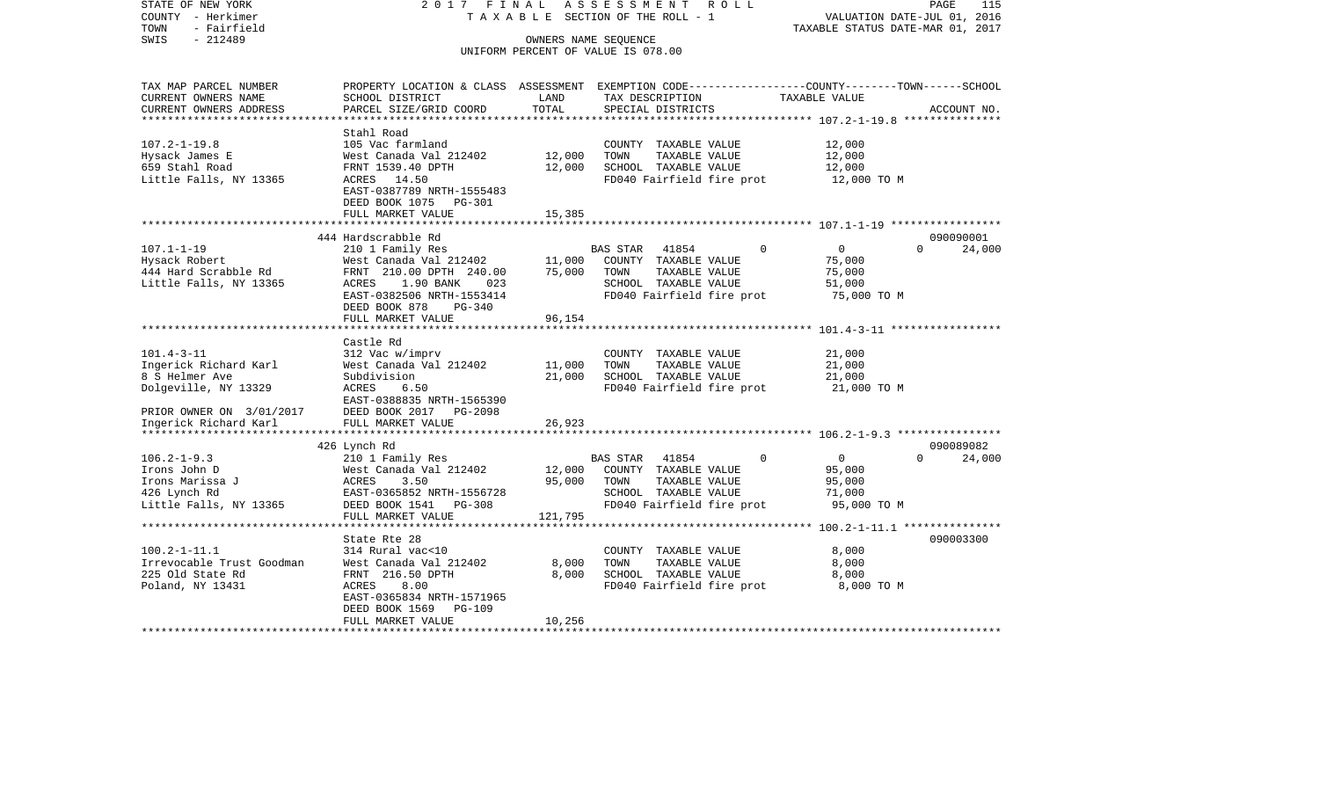| COUNTY<br>– Herkimer<br>TOWN<br>- Fairfield       |                                              |                  | TAXABLE SECTION OF THE ROLL - 1                                                                | TAXABLE STATUS DATE-MAR 01, 2017 | VALUATION DATE-JUL 01, 2016 |
|---------------------------------------------------|----------------------------------------------|------------------|------------------------------------------------------------------------------------------------|----------------------------------|-----------------------------|
| $-212489$<br>SWIS                                 |                                              |                  | OWNERS NAME SEOUENCE<br>UNIFORM PERCENT OF VALUE IS 078.00                                     |                                  |                             |
|                                                   |                                              |                  |                                                                                                |                                  |                             |
| TAX MAP PARCEL NUMBER                             |                                              |                  | PROPERTY LOCATION & CLASS ASSESSMENT EXEMPTION CODE---------------COUNTY-------TOWN-----SCHOOL |                                  |                             |
| CURRENT OWNERS NAME                               | SCHOOL DISTRICT                              | LAND             | TAX DESCRIPTION                                                                                | TAXABLE VALUE                    |                             |
| CURRENT OWNERS ADDRESS<br>*********************** | PARCEL SIZE/GRID COORD<br>****************** | TOTAL            | SPECIAL DISTRICTS                                                                              |                                  | ACCOUNT NO.                 |
|                                                   | Stahl Road                                   |                  |                                                                                                |                                  |                             |
| $107.2 - 1 - 19.8$                                | 105 Vac farmland                             |                  | COUNTY TAXABLE VALUE                                                                           | 12,000                           |                             |
| Hysack James E                                    | West Canada Val 212402                       | 12,000           | TOWN<br>TAXABLE VALUE                                                                          | 12,000                           |                             |
| 659 Stahl Road                                    | FRNT 1539.40 DPTH                            | 12,000           | SCHOOL TAXABLE VALUE                                                                           | 12,000                           |                             |
| Little Falls, NY 13365                            | ACRES 14.50                                  |                  | FD040 Fairfield fire prot                                                                      | 12,000 TO M                      |                             |
|                                                   | EAST-0387789 NRTH-1555483                    |                  |                                                                                                |                                  |                             |
|                                                   | DEED BOOK 1075 PG-301                        |                  |                                                                                                |                                  |                             |
|                                                   | FULL MARKET VALUE                            | 15,385           |                                                                                                |                                  |                             |
|                                                   | 444 Hardscrabble Rd                          |                  |                                                                                                |                                  | 090090001                   |
| $107.1 - 1 - 19$                                  | 210 1 Family Res                             |                  | 41854<br>$\Omega$<br>BAS STAR                                                                  | $\mathbf 0$                      | $\Omega$<br>24,000          |
| Hysack Robert                                     | West Canada Val 212402                       | 11,000           | COUNTY TAXABLE VALUE                                                                           | 75,000                           |                             |
| 444 Hard Scrabble Rd                              | FRNT 210.00 DPTH 240.00                      | 75,000           | TOWN<br>TAXABLE VALUE                                                                          | 75,000                           |                             |
| Little Falls, NY 13365                            | ACRES<br>1.90 BANK<br>023                    |                  | SCHOOL TAXABLE VALUE                                                                           | 51,000                           |                             |
|                                                   | EAST-0382506 NRTH-1553414                    |                  | FD040 Fairfield fire prot                                                                      | 75,000 TO M                      |                             |
|                                                   | DEED BOOK 878<br>$PG-340$                    |                  |                                                                                                |                                  |                             |
|                                                   | FULL MARKET VALUE                            | 96,154           |                                                                                                |                                  |                             |
|                                                   | Castle Rd                                    |                  |                                                                                                |                                  |                             |
| $101.4 - 3 - 11$                                  | 312 Vac w/imprv                              |                  | COUNTY TAXABLE VALUE                                                                           | 21,000                           |                             |
| Ingerick Richard Karl                             | West Canada Val 212402                       | 11,000           | TOWN<br>TAXABLE VALUE                                                                          | 21,000                           |                             |
| 8 S Helmer Ave                                    | Subdivision                                  | 21,000           | SCHOOL TAXABLE VALUE                                                                           | 21,000                           |                             |
| Dolgeville, NY 13329                              | ACRES<br>6.50                                |                  | FD040 Fairfield fire prot                                                                      | 21,000 TO M                      |                             |
|                                                   | EAST-0388835 NRTH-1565390                    |                  |                                                                                                |                                  |                             |
| PRIOR OWNER ON 3/01/2017                          | DEED BOOK 2017 PG-2098                       |                  |                                                                                                |                                  |                             |
| Ingerick Richard Karl                             | FULL MARKET VALUE                            | 26,923           |                                                                                                |                                  |                             |
| *****************                                 | ************************                     | **************** |                                                                                                |                                  | 090089082                   |
| $106.2 - 1 - 9.3$                                 | 426 Lynch Rd<br>210 1 Family Res             |                  | <b>BAS STAR</b><br>41854<br>$\Omega$                                                           | $\overline{0}$                   | 24,000<br>$\Omega$          |
| Irons John D                                      | West Canada Val 212402                       | 12,000           | COUNTY TAXABLE VALUE                                                                           | 95,000                           |                             |
| Irons Marissa J                                   | <b>ACRES</b><br>3.50                         | 95,000           | TOWN<br>TAXABLE VALUE                                                                          | 95,000                           |                             |
| 426 Lynch Rd                                      | EAST-0365852 NRTH-1556728                    |                  | SCHOOL TAXABLE VALUE                                                                           | 71,000                           |                             |
| Little Falls, NY 13365                            | DEED BOOK 1541<br>PG-308                     |                  | FD040 Fairfield fire prot                                                                      | 95,000 TO M                      |                             |
|                                                   | FULL MARKET VALUE                            | 121,795          |                                                                                                |                                  |                             |
|                                                   |                                              |                  |                                                                                                |                                  |                             |
|                                                   | State Rte 28                                 |                  |                                                                                                |                                  | 090003300                   |
| $100.2 - 1 - 11.1$                                | 314 Rural vac<10                             | 8,000            | COUNTY TAXABLE VALUE<br>TOWN<br>TAXABLE VALUE                                                  | 8,000                            |                             |
| Irrevocable Trust Goodman<br>225 Old State Rd     | West Canada Val 212402<br>FRNT 216.50 DPTH   | 8,000            | SCHOOL TAXABLE VALUE                                                                           | 8,000<br>8,000                   |                             |
| Poland, NY 13431                                  | ACRES<br>8.00                                |                  | FD040 Fairfield fire prot                                                                      | 8,000 TO M                       |                             |
|                                                   | EAST-0365834 NRTH-1571965                    |                  |                                                                                                |                                  |                             |
|                                                   | DEED BOOK 1569<br><b>PG-109</b>              |                  |                                                                                                |                                  |                             |
|                                                   | FULL MARKET VALUE                            | 10,256           |                                                                                                |                                  |                             |
| ***********************                           |                                              |                  |                                                                                                |                                  |                             |

PAGE 115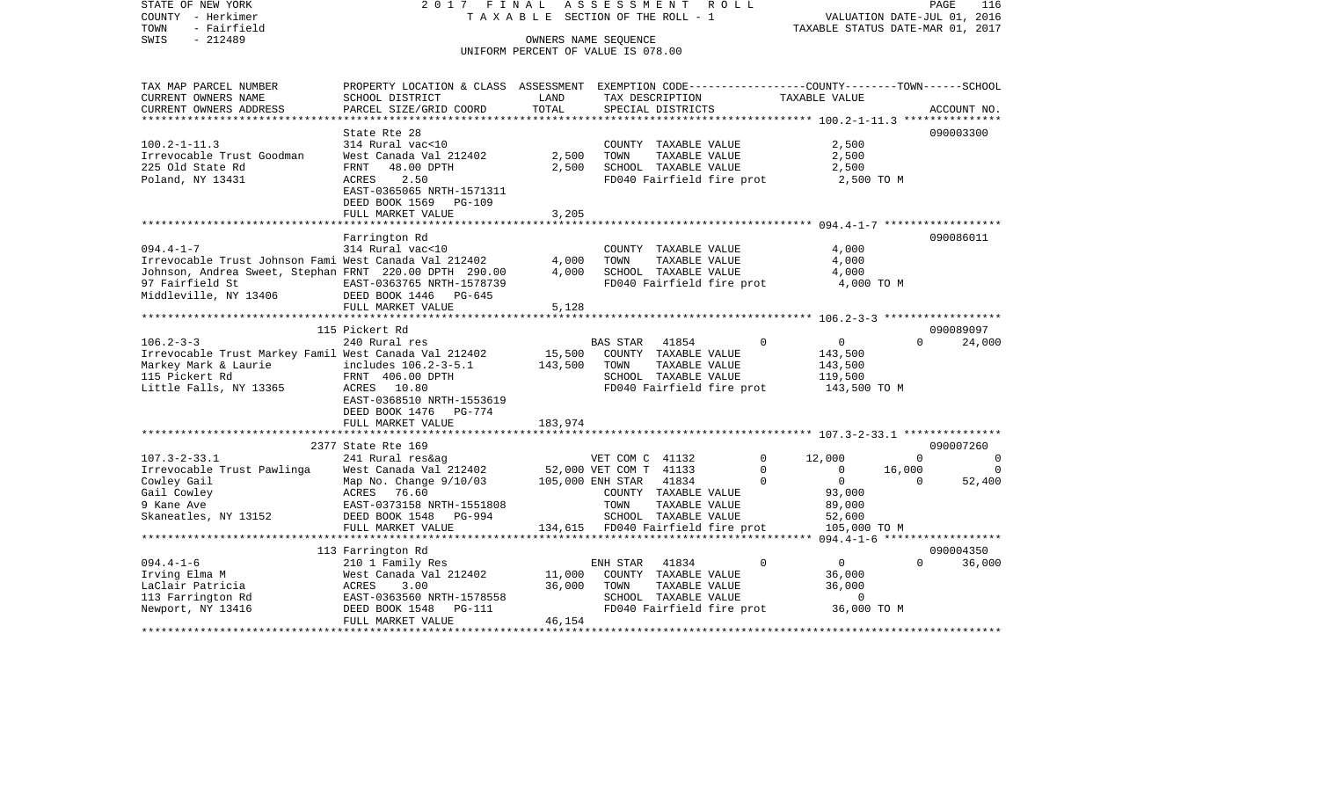COUNTY - Herkimer **T A X A B L E** SECTION OF THE ROLL - 1 VALUATION DATE-JUL 01, 2016 TOWN - Fairfield TAXABLE STATUS DATE-MAR 01, 2017 SWIS - 212489 CONNERS NAME SEQUENCE UNIFORM PERCENT OF VALUE IS 078.00TAX MAP PARCEL NUMBER PROPERTY LOCATION & CLASS ASSESSMENT EXEMPTION CODE------------------COUNTY--------TOWN------SCHOOL CURRENT OWNERS NAME SCHOOL DISTRICT LAND TAX DESCRIPTION TAXABLE VALUECURRENT OWNERS ADDRESS PARCEL SIZE/GRID COORD TOTAL SPECIAL DISTRICTS ACCOUNT NO. \*\*\*\*\*\*\*\*\*\*\*\*\*\*\*\*\*\*\*\*\*\*\*\*\*\*\*\*\*\*\*\*\*\*\*\*\*\*\*\*\*\*\*\*\*\*\*\*\*\*\*\*\*\*\*\*\*\*\*\*\*\*\*\*\*\*\*\*\*\*\*\*\*\*\*\*\*\*\*\*\*\*\*\*\*\*\*\*\*\*\*\*\*\*\*\*\*\*\*\*\*\*\* 100.2-1-11.3 \*\*\*\*\*\*\*\*\*\*\*\*\*\*\*State Rte 28 090003300 100.2-1-11.3 314 Rural vac<10 COUNTY TAXABLE VALUE 2,500 Irrevocable Trust Goodman West Canada Val 212402 2,500 TOWN TAXABLE VALUE 2,500 225 Old State Rd FRNT 48.00 DPTH 2,500 SCHOOL TAXABLE VALUE 2,500 Poland, NY 13431 **ACRES** 2.50 **ACRES** 2.50 **FD040** Fairfield fire prot 2,500 TO M EAST-0365065 NRTH-1571311 DEED BOOK 1569 PG-109FULL MARKET VALUE 3,205 \*\*\*\*\*\*\*\*\*\*\*\*\*\*\*\*\*\*\*\*\*\*\*\*\*\*\*\*\*\*\*\*\*\*\*\*\*\*\*\*\*\*\*\*\*\*\*\*\*\*\*\*\*\*\*\*\*\*\*\*\*\*\*\*\*\*\*\*\*\*\*\*\*\*\*\*\*\*\*\*\*\*\*\*\*\*\*\*\*\*\*\*\*\*\*\*\*\*\*\*\*\*\* 094.4-1-7 \*\*\*\*\*\*\*\*\*\*\*\*\*\*\*\*\*\* Farrington Rd 090086011 094.4-1-7 314 Rural vac<10 COUNTY TAXABLE VALUE 4,000 Irrevocable Trust Johnson Fami West Canada Val 212402 4,000 TOWN TAXABLE VALUE 4,000 Johnson, Andrea Sweet, Stephan FRNT 220.00 DPTH 290.00 4,000 SCHOOL TAXABLE VALUE 4,000 97 Fairfield St EAST-0363765 NRTH-1578739 FD040 Fairfield fire prot 4,000 TO M Middleville, NY 13406 DEED BOOK 1446 PG-645 FULL MARKET VALUE 5,128 \*\*\*\*\*\*\*\*\*\*\*\*\*\*\*\*\*\*\*\*\*\*\*\*\*\*\*\*\*\*\*\*\*\*\*\*\*\*\*\*\*\*\*\*\*\*\*\*\*\*\*\*\*\*\*\*\*\*\*\*\*\*\*\*\*\*\*\*\*\*\*\*\*\*\*\*\*\*\*\*\*\*\*\*\*\*\*\*\*\*\*\*\*\*\*\*\*\*\*\*\*\*\* 106.2-3-3 \*\*\*\*\*\*\*\*\*\*\*\*\*\*\*\*\*\* 115 Pickert Rd 090089097106.2-3-3 240 Rural res BAS STAR 41854 0 0 0 24,000 Irrevocable Trust Markey Famil West Canada Val 212402 15,500 COUNTY TAXABLE VALUE 143,500 Markey Mark & Laurie **includes 106.2-3-5.1** 143,500 TOWN TAXABLE VALUE 143,500 115 Pickert Rd FRNT 406.00 DPTH SCHOOL TAXABLE VALUE 119,500 Little Falls, NY 13365 ACRES 10.80 ACRES 10.80 FD040 Fairfield fire prot 143,500 TO M EAST-0368510 NRTH-1553619 DEED BOOK 1476 PG-774FULL MARKET VALUE 183,974 \*\*\*\*\*\*\*\*\*\*\*\*\*\*\*\*\*\*\*\*\*\*\*\*\*\*\*\*\*\*\*\*\*\*\*\*\*\*\*\*\*\*\*\*\*\*\*\*\*\*\*\*\*\*\*\*\*\*\*\*\*\*\*\*\*\*\*\*\*\*\*\*\*\*\*\*\*\*\*\*\*\*\*\*\*\*\*\*\*\*\*\*\*\*\*\*\*\*\*\*\*\*\* 107.3-2-33.1 \*\*\*\*\*\*\*\*\*\*\*\*\*\*\* 2377 State Rte 169 090007260107.3-2-33.1 241 Rural res&ag VET COM C 41132 0 12,000 0 0 Irrevocable Trust Pawlinga West Canada Val 212402 52,000 VET COM T 41133 0 0 0 16,000 0<br>Cowley Gail 0 0 52.400 Cowley Gail 6 Map No. Change 9/10/03 105,000 ENH STAR 41834 0 0 0 0 52,400 Gail Cowley ACRES 76.60 COUNTY TAXABLE VALUE 93,000 9 Kane Ave EAST-0373158 NRTH-1551808 TOWN TAXABLE VALUE 89,000 Skaneatles, NY 13152 DEED BOOK 1548 PG-994 SCHOOL TAXABLE VALUE 52,600 FULL MARKET VALUE 134,615 FD040 Fairfield fire prot 105,000 TO M \*\*\*\*\*\*\*\*\*\*\*\*\*\*\*\*\*\*\*\*\*\*\*\*\*\*\*\*\*\*\*\*\*\*\*\*\*\*\*\*\*\*\*\*\*\*\*\*\*\*\*\*\*\*\*\*\*\*\*\*\*\*\*\*\*\*\*\*\*\*\*\*\*\*\*\*\*\*\*\*\*\*\*\*\*\*\*\*\*\*\*\*\*\*\*\*\*\*\*\*\*\*\* 094.4-1-6 \*\*\*\*\*\*\*\*\*\*\*\*\*\*\*\*\*\* 113 Farrington Rd 090004350 094.4-1-6 210 1 Family Res ENH STAR 41834 0 0 0 36,000 Irving Elma M West Canada Val 212402 11,000 COUNTY TAXABLE VALUE 36,000 LaClair Patricia ACRES 3.00 36,000 TOWN TAXABLE VALUE 36,000 113 Farrington Rd EAST-0363560 NRTH-1578558 SCHOOL TAXABLE VALUE 0 Newport, NY 13416 **DEED BOOK 1548** PG-111 **FD040 Fairfield fire prot** 36,000 TO M FULL MARKET VALUE 46,154 \*\*\*\*\*\*\*\*\*\*\*\*\*\*\*\*\*\*\*\*\*\*\*\*\*\*\*\*\*\*\*\*\*\*\*\*\*\*\*\*\*\*\*\*\*\*\*\*\*\*\*\*\*\*\*\*\*\*\*\*\*\*\*\*\*\*\*\*\*\*\*\*\*\*\*\*\*\*\*\*\*\*\*\*\*\*\*\*\*\*\*\*\*\*\*\*\*\*\*\*\*\*\*\*\*\*\*\*\*\*\*\*\*\*\*\*\*\*\*\*\*\*\*\*\*\*\*\*\*\*\*\*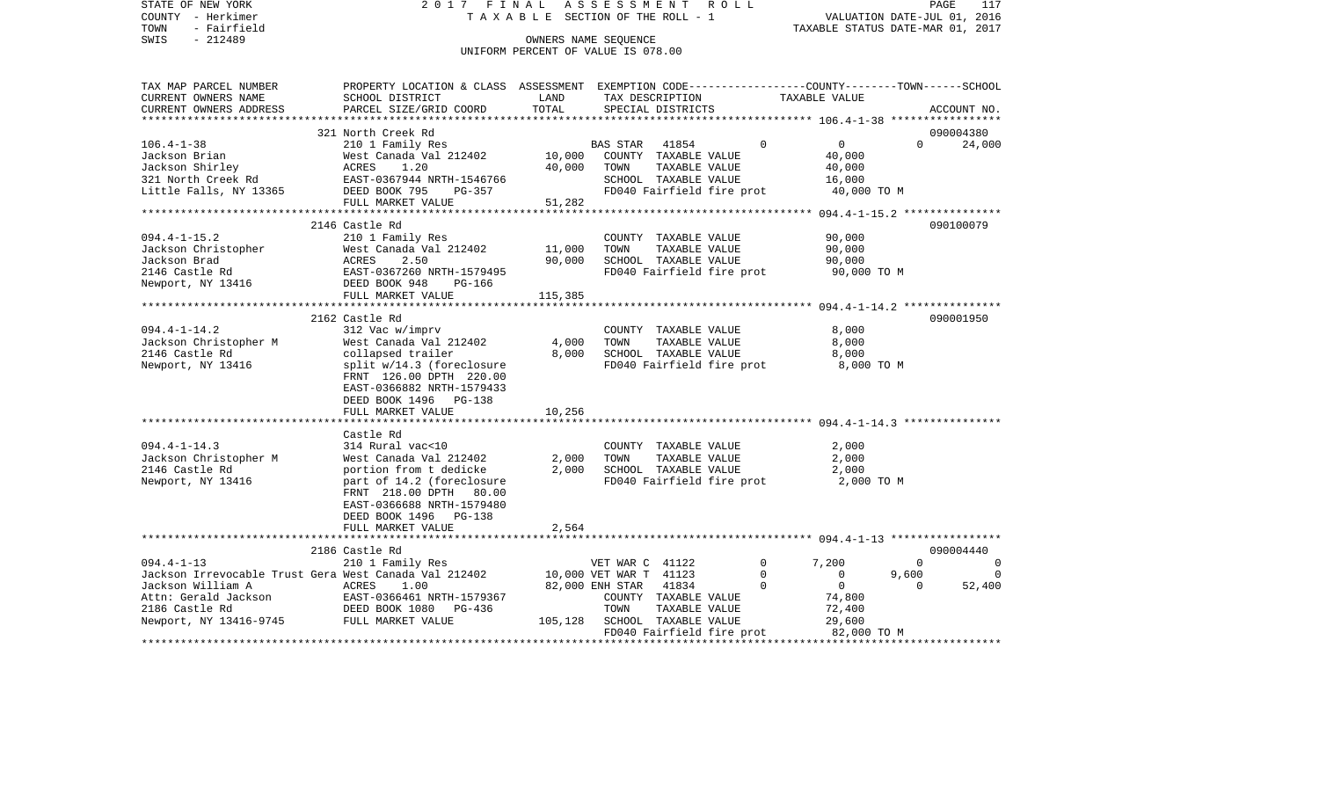STATE OF NEW YORK 2 0 1 7 F I N A L A S S E S S M E N T R O L L PAGE 117COUNTY - Herkimer **T A X A B L E** SECTION OF THE ROLL - 1 VALUATION DATE-JUL 01, 2016 TOWN - Fairfield TAXABLE STATUS DATE-MAR 01, 2017 SWIS - 212489 CONNERS NAME SEQUENCE UNIFORM PERCENT OF VALUE IS 078.00TAX MAP PARCEL NUMBER PROPERTY LOCATION & CLASS ASSESSMENT EXEMPTION CODE------------------COUNTY--------TOWN------SCHOOL CURRENT OWNERS NAME SCHOOL DISTRICT LAND TAX DESCRIPTION TAXABLE VALUECURRENT OWNERS ADDRESS PARCEL SIZE/GRID COORD TOTAL SPECIAL DISTRICTS ACCOUNT NO. \*\*\*\*\*\*\*\*\*\*\*\*\*\*\*\*\*\*\*\*\*\*\*\*\*\*\*\*\*\*\*\*\*\*\*\*\*\*\*\*\*\*\*\*\*\*\*\*\*\*\*\*\*\*\*\*\*\*\*\*\*\*\*\*\*\*\*\*\*\*\*\*\*\*\*\*\*\*\*\*\*\*\*\*\*\*\*\*\*\*\*\*\*\*\*\*\*\*\*\*\*\*\* 106.4-1-38 \*\*\*\*\*\*\*\*\*\*\*\*\*\*\*\*\* 321 North Creek Rd 090004380106.4-1-38 210 1 Family Res BAS STAR 41854 0 0 0 24,000 Jackson Brian West Canada Val 212402 10,000 COUNTY TAXABLE VALUE 40,000 Jackson Shirley ACRES 1.20 40,000 TOWN TAXABLE VALUE 40,000 321 North Creek Rd EAST-0367944 NRTH-1546766 SCHOOL TAXABLE VALUE 16,000 Little Falls, NY 13365 DEED BOOK 795 PG-357 FD040 Fairfield fire prot 40,000 TO M FULL MARKET VALUE 51,282 \*\*\*\*\*\*\*\*\*\*\*\*\*\*\*\*\*\*\*\*\*\*\*\*\*\*\*\*\*\*\*\*\*\*\*\*\*\*\*\*\*\*\*\*\*\*\*\*\*\*\*\*\*\*\*\*\*\*\*\*\*\*\*\*\*\*\*\*\*\*\*\*\*\*\*\*\*\*\*\*\*\*\*\*\*\*\*\*\*\*\*\*\*\*\*\*\*\*\*\*\*\*\* 094.4-1-15.2 \*\*\*\*\*\*\*\*\*\*\*\*\*\*\* 2146 Castle Rd 090100079094.4-1-15.2 210 1 Family Res COUNTY TAXABLE VALUE 90,000 Jackson Christopher West Canada Val 212402 11,000 TOWN Jackson Brad ACRES 2.50 90,000 SCHOOL TAXABLE VALUE 90,000 2146 Castle Rd EAST-0367260 NRTH-1579495 FD040 Fairfield fire prot 90,000 TO M Newport, NY 13416 DEED BOOK 948 PG-166 FULL MARKET VALUE 115,385 \*\*\*\*\*\*\*\*\*\*\*\*\*\*\*\*\*\*\*\*\*\*\*\*\*\*\*\*\*\*\*\*\*\*\*\*\*\*\*\*\*\*\*\*\*\*\*\*\*\*\*\*\*\*\*\*\*\*\*\*\*\*\*\*\*\*\*\*\*\*\*\*\*\*\*\*\*\*\*\*\*\*\*\*\*\*\*\*\*\*\*\*\*\*\*\*\*\*\*\*\*\*\* 094.4-1-14.2 \*\*\*\*\*\*\*\*\*\*\*\*\*\*\* 2162 Castle Rd 090001950094.4-1-14.2 312 Vac w/imprv COUNTY TAXABLE VALUE 8,000 Jackson Christopher M West Canada Val 212402 4,000 TOWN TAXABLE VALUE 8,000 2146 Castle Rd collapsed trailer 8,000 SCHOOL TAXABLE VALUE 8,000 Newport, NY 13416 split w/14.3 (foreclosure FD040 Fairfield fire prot 8,000 TO M FRNT 126.00 DPTH 220.00 EAST-0366882 NRTH-1579433 DEED BOOK 1496 PG-138FULL MARKET VALUE 10,256 \*\*\*\*\*\*\*\*\*\*\*\*\*\*\*\*\*\*\*\*\*\*\*\*\*\*\*\*\*\*\*\*\*\*\*\*\*\*\*\*\*\*\*\*\*\*\*\*\*\*\*\*\*\*\*\*\*\*\*\*\*\*\*\*\*\*\*\*\*\*\*\*\*\*\*\*\*\*\*\*\*\*\*\*\*\*\*\*\*\*\*\*\*\*\*\*\*\*\*\*\*\*\* 094.4-1-14.3 \*\*\*\*\*\*\*\*\*\*\*\*\*\*\* Castle Rd094.4-1-14.3 314 Rural vac<10 COUNTY TAXABLE VALUE 2,000 Jackson Christopher M West Canada Val 212402 2,000 TOWN TAXABLE VALUE 2,000 2146 Castle Rd portion from t dedicke 2,000 SCHOOL TAXABLE VALUE 2,000 Newport, NY 13416 **part of 14.2** (foreclosure FD040 Fairfield fire prot 2,000 TO M FRNT 218.00 DPTH 80.00 EAST-0366688 NRTH-1579480 DEED BOOK 1496 PG-138 FULL MARKET VALUE 2,564 \*\*\*\*\*\*\*\*\*\*\*\*\*\*\*\*\*\*\*\*\*\*\*\*\*\*\*\*\*\*\*\*\*\*\*\*\*\*\*\*\*\*\*\*\*\*\*\*\*\*\*\*\*\*\*\*\*\*\*\*\*\*\*\*\*\*\*\*\*\*\*\*\*\*\*\*\*\*\*\*\*\*\*\*\*\*\*\*\*\*\*\*\*\*\*\*\*\*\*\*\*\*\* 094.4-1-13 \*\*\*\*\*\*\*\*\*\*\*\*\*\*\*\*\* 2186 Castle Rd 090004440094.4-1-13 210 1 Family Res VET WAR C 41122 0 7,200 0 0 0 Jackson Irrevocable Trust Gera West Canada Val 212402 10,000 VET WAR T 41123 0 0 9,600 0 Jackson William A ACRES 1.00 82,000 ENH STAR 41834 0 0 0 52,400 Attn: Gerald Jackson EAST-0366461 NRTH-1579367 COUNTY TAXABLE VALUE 74,800 2186 Castle Rd DEED BOOK 1080 PG-436 TOWN TAXABLE VALUE 72,400 Newport, NY 13416-9745 FULL MARKET VALUE 105,128 SCHOOL TAXABLE VALUE 29,600 FD040 Fairfield fire prot 82,000 TO M \*\*\*\*\*\*\*\*\*\*\*\*\*\*\*\*\*\*\*\*\*\*\*\*\*\*\*\*\*\*\*\*\*\*\*\*\*\*\*\*\*\*\*\*\*\*\*\*\*\*\*\*\*\*\*\*\*\*\*\*\*\*\*\*\*\*\*\*\*\*\*\*\*\*\*\*\*\*\*\*\*\*\*\*\*\*\*\*\*\*\*\*\*\*\*\*\*\*\*\*\*\*\*\*\*\*\*\*\*\*\*\*\*\*\*\*\*\*\*\*\*\*\*\*\*\*\*\*\*\*\*\*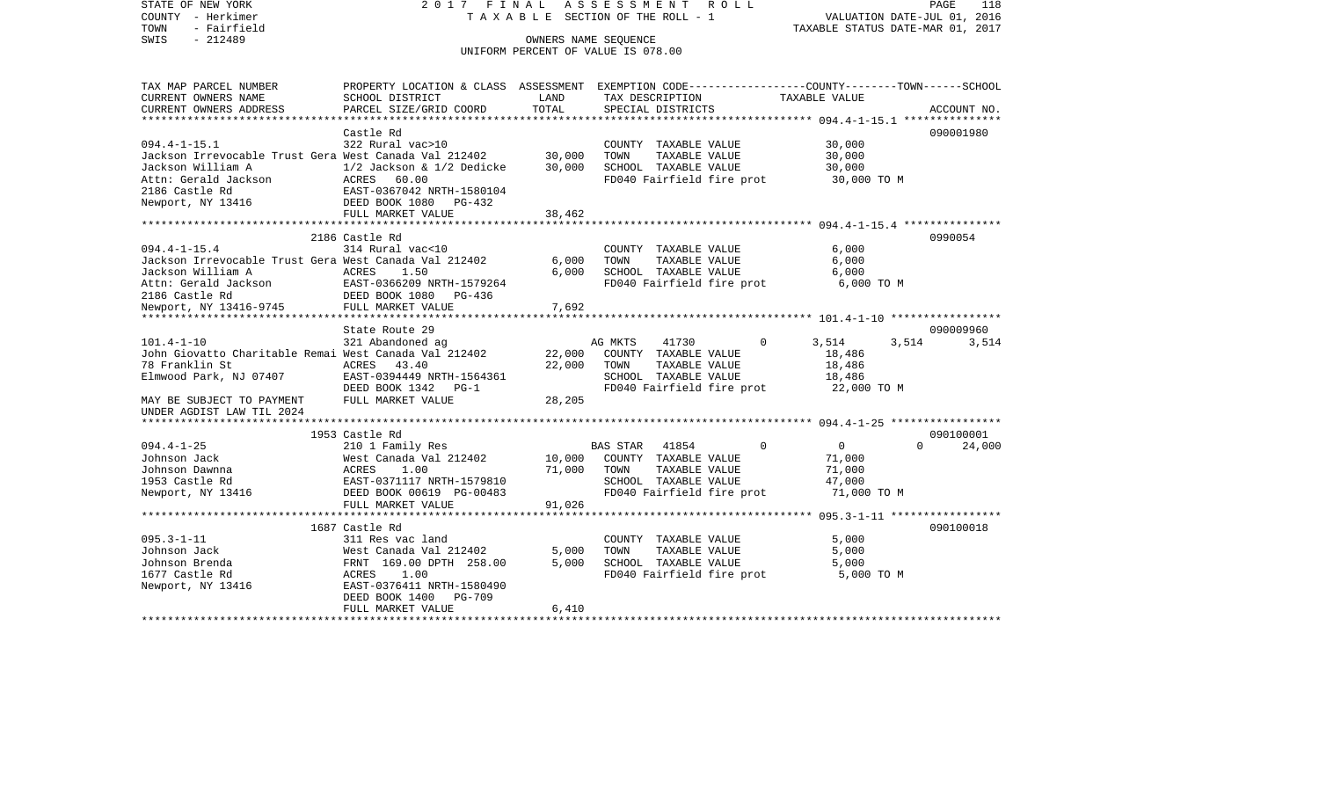STATE OF NEW YORK 2 0 1 7 F I N A L A S S E S S M E N T R O L L PAGE 118COUNTY - Herkimer T A X A B L E SECTION OF THE ROLL - 1 VALUATION DATE-JUL 01, 2016 TOWN - Fairfield TAXABLE STATUS DATE-MAR 01, 2017 SWIS - 212489 CONNERS NAME SEQUENCE UNIFORM PERCENT OF VALUE IS 078.00TAX MAP PARCEL NUMBER PROPERTY LOCATION & CLASS ASSESSMENT EXEMPTION CODE------------------COUNTY--------TOWN------SCHOOL CURRENT OWNERS NAME SCHOOL DISTRICT LAND TAX DESCRIPTION TAXABLE VALUECURRENT OWNERS ADDRESS PARCEL SIZE/GRID COORD TOTAL SPECIAL DISTRICTS ACCOUNT NO. \*\*\*\*\*\*\*\*\*\*\*\*\*\*\*\*\*\*\*\*\*\*\*\*\*\*\*\*\*\*\*\*\*\*\*\*\*\*\*\*\*\*\*\*\*\*\*\*\*\*\*\*\*\*\*\*\*\*\*\*\*\*\*\*\*\*\*\*\*\*\*\*\*\*\*\*\*\*\*\*\*\*\*\*\*\*\*\*\*\*\*\*\*\*\*\*\*\*\*\*\*\*\* 094.4-1-15.1 \*\*\*\*\*\*\*\*\*\*\*\*\*\*\* Castle Rd 090001980090001980 094.4-1-15.1 322 Rural vac>10 COUNTY TAXABLE VALUE 30,000 Jackson Irrevocable Trust Gera West Canada Val 212402 30,000 TOWN TAXABLE VALUE 30,000 Jackson William A 1/2 Jackson & 1/2 Dedicke 30,000 SCHOOL TAXABLE VALUE 30,000 Attn: Gerald Jackson  $ACRES$  60.00  $ACRES$  60.00  $FDD40$   $FD040$   $Fairfield$  fire prot 30,000 TO M 2186 Castle Rd EAST-0367042 NRTH-1580104Newport, NY 13416 DEED BOOK 1080 PG-432 FULL MARKET VALUE 38,462 \*\*\*\*\*\*\*\*\*\*\*\*\*\*\*\*\*\*\*\*\*\*\*\*\*\*\*\*\*\*\*\*\*\*\*\*\*\*\*\*\*\*\*\*\*\*\*\*\*\*\*\*\*\*\*\*\*\*\*\*\*\*\*\*\*\*\*\*\*\*\*\*\*\*\*\*\*\*\*\*\*\*\*\*\*\*\*\*\*\*\*\*\*\*\*\*\*\*\*\*\*\*\* 094.4-1-15.4 \*\*\*\*\*\*\*\*\*\*\*\*\*\*\* 2186 Castle Rd 0990054094.4-1-15.4 314 Rural vac<10 COUNTY TAXABLE VALUE 6,000 Jackson Irrevocable Trust Gera West Canada Val 212402 6,000 TOWN TAXABLE VALUE 6,000 Jackson William A ACRES 1.50 6,000 SCHOOL TAXABLE VALUE 6,000 Attn: Gerald Jackson EAST-0366209 NRTH-1579264 FD040 Fairfield fire prot 6,000 TO M 2186 Castle Rd DEED BOOK 1080 PG-436 Newport, NY 13416-9745 FULL MARKET VALUE 7,692 \*\*\*\*\*\*\*\*\*\*\*\*\*\*\*\*\*\*\*\*\*\*\*\*\*\*\*\*\*\*\*\*\*\*\*\*\*\*\*\*\*\*\*\*\*\*\*\*\*\*\*\*\*\*\*\*\*\*\*\*\*\*\*\*\*\*\*\*\*\*\*\*\*\*\*\*\*\*\*\*\*\*\*\*\*\*\*\*\*\*\*\*\*\*\*\*\*\*\*\*\*\*\* 101.4-1-10 \*\*\*\*\*\*\*\*\*\*\*\*\*\*\*\*\*State Route 29 090009960 101.4-1-10 321 Abandoned ag AG MKTS 41730 0 3,514 3,514 3,514 John Giovatto Charitable Remai West Canada Val 212402 22,000 COUNTY TAXABLE VALUE 18,486 78 Franklin St ACRES 43.40 22,000 TOWN TAXABLE VALUE 18,486 Elmwood Park, NJ 07407 EAST-0394449 NRTH-1564361 SCHOOL TAXABLE VALUE 18,486 DEED BOOK 1342 PG-1 FD040 Fairfield fire prot 22,000 TO M MAY BE SUBJECT TO PAYMENT FULL MARKET VALUE  $28,205$ UNDER AGDIST LAW TIL 2024 \*\*\*\*\*\*\*\*\*\*\*\*\*\*\*\*\*\*\*\*\*\*\*\*\*\*\*\*\*\*\*\*\*\*\*\*\*\*\*\*\*\*\*\*\*\*\*\*\*\*\*\*\*\*\*\*\*\*\*\*\*\*\*\*\*\*\*\*\*\*\*\*\*\*\*\*\*\*\*\*\*\*\*\*\*\*\*\*\*\*\*\*\*\*\*\*\*\*\*\*\*\*\* 094.4-1-25 \*\*\*\*\*\*\*\*\*\*\*\*\*\*\*\*\* 1953 Castle Rd 090100001094.4-1-25 210 1 Family Res BAS STAR 41854 0 0 0 24,000 Johnson Jack West Canada Val 212402 10,000 COUNTY TAXABLE VALUE 71,000 Johnson Dawnna ACRES 1.00 71,000 TOWN TAXABLE VALUE 71,000 1953 Castle Rd EAST-0371117 NRTH-1579810 SCHOOL TAXABLE VALUE 47,000 Newport, NY 13416 **DEED BOOK 00619 PG-00483** FD040 Fairfield fire prot 71,000 TO M FULL MARKET VALUE 91,026 \*\*\*\*\*\*\*\*\*\*\*\*\*\*\*\*\*\*\*\*\*\*\*\*\*\*\*\*\*\*\*\*\*\*\*\*\*\*\*\*\*\*\*\*\*\*\*\*\*\*\*\*\*\*\*\*\*\*\*\*\*\*\*\*\*\*\*\*\*\*\*\*\*\*\*\*\*\*\*\*\*\*\*\*\*\*\*\*\*\*\*\*\*\*\*\*\*\*\*\*\*\*\* 095.3-1-11 \*\*\*\*\*\*\*\*\*\*\*\*\*\*\*\*\* 1687 Castle Rd 090100018095.3-1-11 311 Res vac land COUNTY TAXABLE VALUE 5,000 Johnson Jack West Canada Val 212402 5,000 TOWN TAXABLE VALUE 5,000 Johnson Brenda FRNT 169.00 DPTH 258.00 5,000 SCHOOL TAXABLE VALUE 5,000 1677 Castle Rd **ACRES** 1.00 FD040 Fairfield fire prot 5,000 TO M Newport, NY 13416 EAST-0376411 NRTH-1580490 DEED BOOK 1400 PG-709FULL MARKET VALUE 6,410 \*\*\*\*\*\*\*\*\*\*\*\*\*\*\*\*\*\*\*\*\*\*\*\*\*\*\*\*\*\*\*\*\*\*\*\*\*\*\*\*\*\*\*\*\*\*\*\*\*\*\*\*\*\*\*\*\*\*\*\*\*\*\*\*\*\*\*\*\*\*\*\*\*\*\*\*\*\*\*\*\*\*\*\*\*\*\*\*\*\*\*\*\*\*\*\*\*\*\*\*\*\*\*\*\*\*\*\*\*\*\*\*\*\*\*\*\*\*\*\*\*\*\*\*\*\*\*\*\*\*\*\*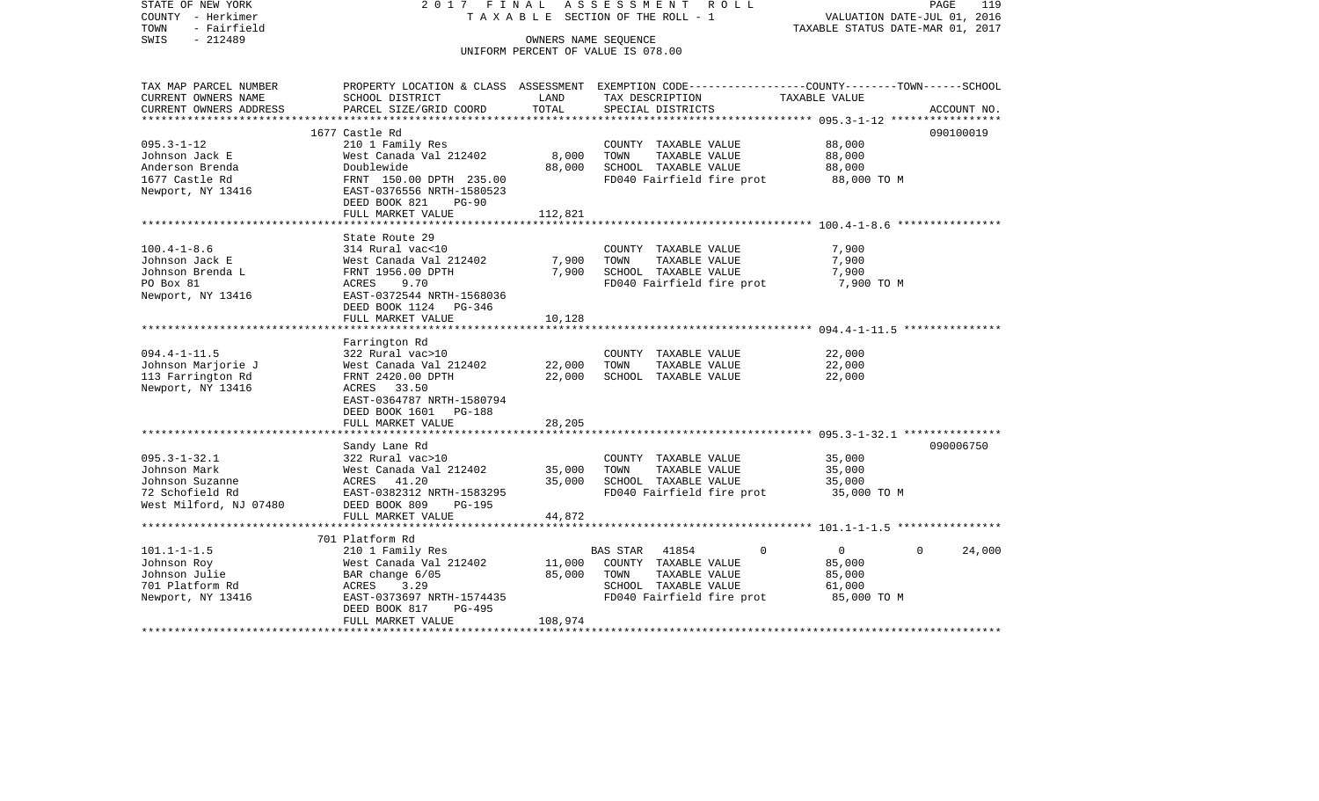COUNTY - Herkimer T A X A B L E SECTION OF THE ROLL - 1 VALUATION DATE-JUL 01, 2016 TOWN - Fairfield TAXABLE STATUS DATE-MAR 01, 2017 SWIS - 212489 OWNERS NAME SEQUENCE UNIFORM PERCENT OF VALUE IS 078.00TAX MAP PARCEL NUMBER PROPERTY LOCATION & CLASS ASSESSMENT EXEMPTION CODE------------------COUNTY--------TOWN------SCHOOL CURRENT OWNERS NAME SCHOOL DISTRICT LAND TAX DESCRIPTION TAXABLE VALUECURRENT OWNERS ADDRESS PARCEL SIZE/GRID COORD TOTAL SPECIAL DISTRICTS ACCOUNT NO. \*\*\*\*\*\*\*\*\*\*\*\*\*\*\*\*\*\*\*\*\*\*\*\*\*\*\*\*\*\*\*\*\*\*\*\*\*\*\*\*\*\*\*\*\*\*\*\*\*\*\*\*\*\*\*\*\*\*\*\*\*\*\*\*\*\*\*\*\*\*\*\*\*\*\*\*\*\*\*\*\*\*\*\*\*\*\*\*\*\*\*\*\*\*\*\*\*\*\*\*\*\*\* 095.3-1-12 \*\*\*\*\*\*\*\*\*\*\*\*\*\*\*\*\*1677 Castle Rd 090100019 095.3-1-12 210 1 Family Res COUNTY TAXABLE VALUE 88,000 Johnson Jack E West Canada Val 212402 8,000 TOWN TAXABLE VALUE 88,000 Anderson Brenda Doublewide 88,000 SCHOOL TAXABLE VALUE 88,000 1677 Castle Rd FRNT 150.00 DPTH 235.00 FD040 Fairfield fire prot 88,000 TO M EAST-0376556 NRTH-1580523 DEED BOOK 821 PG-90FULL MARKET VALUE 112,821 \*\*\*\*\*\*\*\*\*\*\*\*\*\*\*\*\*\*\*\*\*\*\*\*\*\*\*\*\*\*\*\*\*\*\*\*\*\*\*\*\*\*\*\*\*\*\*\*\*\*\*\*\*\*\*\*\*\*\*\*\*\*\*\*\*\*\*\*\*\*\*\*\*\*\*\*\*\*\*\*\*\*\*\*\*\*\*\*\*\*\*\*\*\*\*\*\*\*\*\*\*\*\* 100.4-1-8.6 \*\*\*\*\*\*\*\*\*\*\*\*\*\*\*\* State Route 29100.4-1-8.6 314 Rural vac<10 COUNTY TAXABLE VALUE 7,900 Johnson Jack E West Canada Val 212402 7,900 TOWN TAXABLE VALUE 7,900 Johnson Brenda L FRNT 1956.00 DPTH 7,900 SCHOOL TAXABLE VALUE 7,900 PO Box 81 ACRES 9.70 ACRES 9.70 FD040 Fairfield fire prot 7,900 TO M Newport, NY 13416 EAST-0372544 NRTH-1568036 DEED BOOK 1124 PG-346 FULL MARKET VALUE 10,128 \*\*\*\*\*\*\*\*\*\*\*\*\*\*\*\*\*\*\*\*\*\*\*\*\*\*\*\*\*\*\*\*\*\*\*\*\*\*\*\*\*\*\*\*\*\*\*\*\*\*\*\*\*\*\*\*\*\*\*\*\*\*\*\*\*\*\*\*\*\*\*\*\*\*\*\*\*\*\*\*\*\*\*\*\*\*\*\*\*\*\*\*\*\*\*\*\*\*\*\*\*\*\* 094.4-1-11.5 \*\*\*\*\*\*\*\*\*\*\*\*\*\*\* Farrington Rd 094.4-1-11.5 322 Rural vac>10 COUNTY TAXABLE VALUE 22,000 Johnson Marjorie J West Canada Val 212402 22,000 TOWN TAXABLE VALUE 22,000 113 Farrington Rd FRNT 2420.00 DPTH 22,000 SCHOOL TAXABLE VALUE 22,000 Newport, NY 13416 ACRES 33.50 EAST-0364787 NRTH-1580794 DEED BOOK 1601 PG-188 FULL MARKET VALUE 28,205 \*\*\*\*\*\*\*\*\*\*\*\*\*\*\*\*\*\*\*\*\*\*\*\*\*\*\*\*\*\*\*\*\*\*\*\*\*\*\*\*\*\*\*\*\*\*\*\*\*\*\*\*\*\*\*\*\*\*\*\*\*\*\*\*\*\*\*\*\*\*\*\*\*\*\*\*\*\*\*\*\*\*\*\*\*\*\*\*\*\*\*\*\*\*\*\*\*\*\*\*\*\*\* 095.3-1-32.1 \*\*\*\*\*\*\*\*\*\*\*\*\*\*\* Sandy Lane Rd 090006750 095.3-1-32.1 322 Rural vac>10 COUNTY TAXABLE VALUE 35,000 Johnson Mark West Canada Val 212402 35,000 TOWN TAXABLE VALUE 35,000 Johnson Suzanne ACRES 41.20 35,000 SCHOOL TAXABLE VALUE 35,000 72 Schofield Rd EAST-0382312 NRTH-1583295 FD040 Fairfield fire prot 35,000 TO M West Milford, NJ 07480 DEED BOOK 809 PG-195 FULL MARKET VALUE 44,872 \*\*\*\*\*\*\*\*\*\*\*\*\*\*\*\*\*\*\*\*\*\*\*\*\*\*\*\*\*\*\*\*\*\*\*\*\*\*\*\*\*\*\*\*\*\*\*\*\*\*\*\*\*\*\*\*\*\*\*\*\*\*\*\*\*\*\*\*\*\*\*\*\*\*\*\*\*\*\*\*\*\*\*\*\*\*\*\*\*\*\*\*\*\*\*\*\*\*\*\*\*\*\* 101.1-1-1.5 \*\*\*\*\*\*\*\*\*\*\*\*\*\*\*\* 701 Platform Rd 101.1-1-1.5 210 1 Family Res BAS STAR 41854 0 0 0 24,000 Johnson Roy West Canada Val 212402 11,000 COUNTY TAXABLE VALUE 85,000 Johnson Julie BAR change 6/05 85,000 TOWN TAXABLE VALUE 85,000 701 Platform Rd ACRES 3.29 SCHOOL TAXABLE VALUE 61,000 Newport, NY 13416 **EAST-0373697 NRTH-1574435** FD040 Fairfield fire prot 85,000 TO M DEED BOOK 817 PG-495FULL MARKET VALUE 108.974 \*\*\*\*\*\*\*\*\*\*\*\*\*\*\*\*\*\*\*\*\*\*\*\*\*\*\*\*\*\*\*\*\*\*\*\*\*\*\*\*\*\*\*\*\*\*\*\*\*\*\*\*\*\*\*\*\*\*\*\*\*\*\*\*\*\*\*\*\*\*\*\*\*\*\*\*\*\*\*\*\*\*\*\*\*\*\*\*\*\*\*\*\*\*\*\*\*\*\*\*\*\*\*\*\*\*\*\*\*\*\*\*\*\*\*\*\*\*\*\*\*\*\*\*\*\*\*\*\*\*\*\*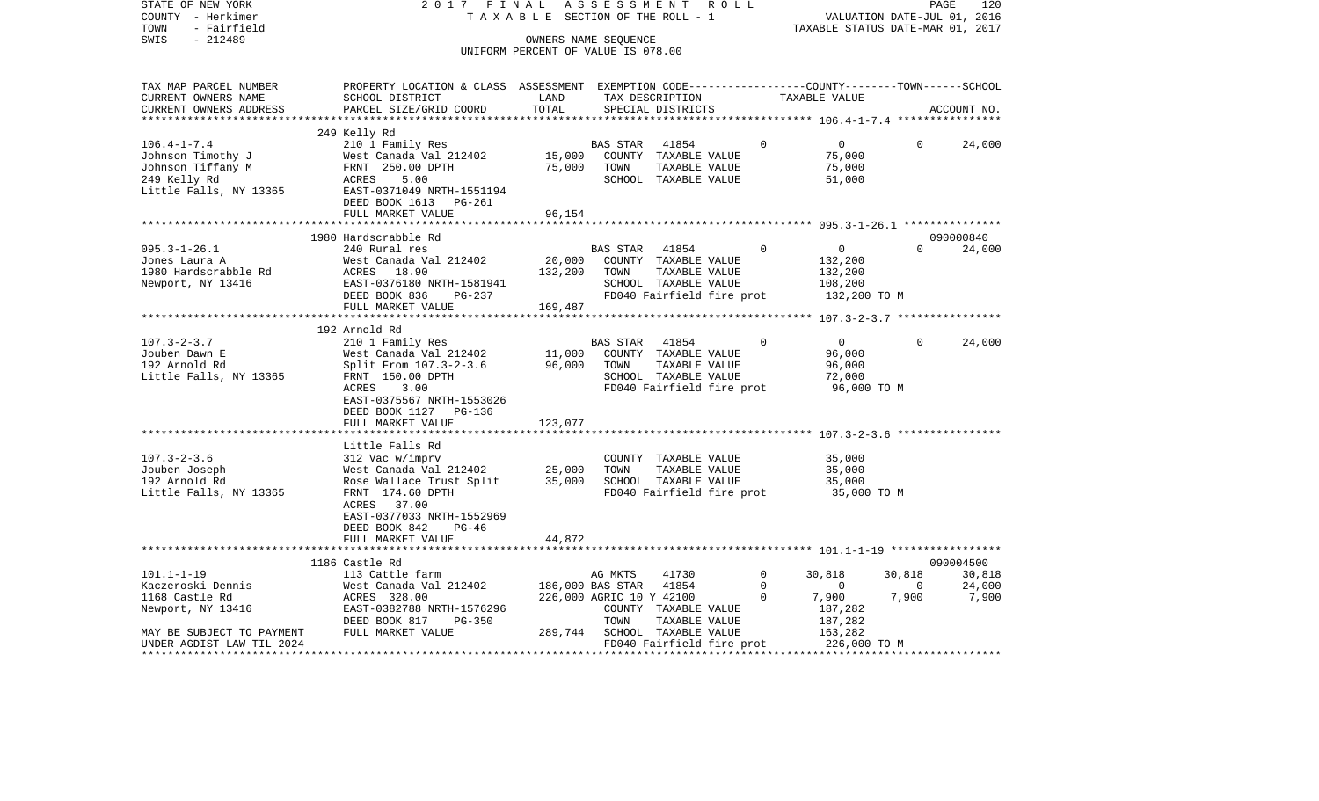| STATE OF NEW YORK<br>COUNTY - Herkimer                                    | 2017 FINAL                                                                                                                                                                          | TAXABLE SECTION OF THE ROLL - 1    |                          | ASSESSMENT ROLL                                           |             |                                                                 |                | PAGE<br>120 |
|---------------------------------------------------------------------------|-------------------------------------------------------------------------------------------------------------------------------------------------------------------------------------|------------------------------------|--------------------------|-----------------------------------------------------------|-------------|-----------------------------------------------------------------|----------------|-------------|
| - Fairfield<br>TOWN                                                       |                                                                                                                                                                                     |                                    |                          |                                                           |             | VALUATION DATE-JUL 01, 2016<br>TAXABLE STATUS DATE-MAR 01, 2017 |                |             |
| $-212489$<br>SWIS                                                         |                                                                                                                                                                                     | OWNERS NAME SEQUENCE               |                          |                                                           |             |                                                                 |                |             |
|                                                                           |                                                                                                                                                                                     | UNIFORM PERCENT OF VALUE IS 078.00 |                          |                                                           |             |                                                                 |                |             |
|                                                                           |                                                                                                                                                                                     |                                    |                          |                                                           |             |                                                                 |                |             |
| TAX MAP PARCEL NUMBER                                                     | PROPERTY LOCATION & CLASS ASSESSMENT EXEMPTION CODE---------------COUNTY-------TOWN-----SCHOOL                                                                                      |                                    |                          |                                                           |             |                                                                 |                |             |
| CURRENT OWNERS NAME                                                       | SCHOOL DISTRICT                                                                                                                                                                     | LAND                               |                          |                                                           |             | TAXABLE VALUE                                                   |                |             |
| CURRENT OWNERS ADDRESS                                                    | PARCEL SIZE/GRID COORD                                                                                                                                                              | TOTAL                              |                          | TAX DESCRIPTION<br>SPECIAL DISTRICTS<br>SPECIAL DISTRICTS |             |                                                                 |                | ACCOUNT NO. |
|                                                                           |                                                                                                                                                                                     |                                    |                          |                                                           |             |                                                                 |                |             |
|                                                                           | 249 Kelly Rd                                                                                                                                                                        |                                    |                          |                                                           |             |                                                                 |                |             |
| $106.4 - 1 - 7.4$                                                         | 210 1 Family Res                                                                                                                                                                    |                                    | <b>BAS STAR</b>          | 41854                                                     | $\Omega$    | $\overline{0}$                                                  | $\Omega$       | 24,000      |
| Johnson Timothy J                                                         | West Canada Val 212402                                                                                                                                                              | 15,000                             |                          | COUNTY TAXABLE VALUE                                      |             | 75,000                                                          |                |             |
| Johnson Tiffany M                                                         | $\begin{array}{cc}\n\text{FRNT} & 250.00 \text{ DPTH} \\ \text{AGPES} & 5.00\n\end{array}$                                                                                          | 75,000                             | TOWN                     | TAXABLE VALUE                                             |             | 75,000                                                          |                |             |
| 249 Kelly Rd                                                              | 5.00<br>ACRES                                                                                                                                                                       |                                    |                          | SCHOOL TAXABLE VALUE                                      |             | 51,000                                                          |                |             |
| Little Falls, NY 13365                                                    | ACRES 5.00<br>EAST-0371049 NRTH-1551194                                                                                                                                             |                                    |                          |                                                           |             |                                                                 |                |             |
|                                                                           | DEED BOOK 1613 PG-261                                                                                                                                                               |                                    |                          |                                                           |             |                                                                 |                |             |
|                                                                           | FULL MARKET VALUE                                                                                                                                                                   | 96,154                             |                          |                                                           |             |                                                                 |                |             |
|                                                                           |                                                                                                                                                                                     |                                    |                          |                                                           |             |                                                                 |                |             |
|                                                                           | 1980 Hardscrabble Rd                                                                                                                                                                |                                    |                          |                                                           |             |                                                                 |                | 090000840   |
| $095.3 - 1 - 26.1$                                                        | 240 Rural res                                                                                                                                                                       |                                    | BAS STAR                 | 41854                                                     | $\Omega$    | $\overline{0}$                                                  | $\Omega$       | 24,000      |
| Jones Laura A                                                             | EXECUTIVE MELTINE VALUE<br>NEXT-0376180 NRTH-1581941 20,000 COUNTY TAXABLE VALUE<br>REST-0376180 NRTH-1581941 5CHOOL TAXABLE VALUE<br>DEED BOOK 836 PG-237 PD040 Fairfield fire pro |                                    |                          |                                                           |             | 132,200                                                         |                |             |
| 1980 Hardscrabble Rd<br>Newport, NY 13416                                 |                                                                                                                                                                                     |                                    |                          |                                                           |             | 132,200                                                         |                |             |
|                                                                           |                                                                                                                                                                                     |                                    |                          | SCHOOL TAXABLE VALUE                                      |             | 108,200                                                         |                |             |
|                                                                           |                                                                                                                                                                                     |                                    |                          | FD040 Fairfield fire prot                                 |             | 132,200 TO M                                                    |                |             |
|                                                                           | FULL MARKET VALUE                                                                                                                                                                   | 169,487                            |                          |                                                           |             |                                                                 |                |             |
|                                                                           |                                                                                                                                                                                     |                                    |                          |                                                           |             |                                                                 |                |             |
|                                                                           | 192 Arnold Rd                                                                                                                                                                       |                                    |                          |                                                           |             |                                                                 |                |             |
| $107.3 - 2 - 3.7$                                                         | 210 1 Family Res                                                                                                                                                                    |                                    |                          | BAS STAR 41854                                            | $\Omega$    | $\overline{0}$                                                  | $\Omega$       | 24,000      |
| Jouben Dawn E                                                             | West Canada Val 212402                                                                                                                                                              | 11,000<br>96,000                   |                          | COUNTY TAXABLE VALUE                                      |             | 96,000                                                          |                |             |
| 192 Arnold Rd                                                             | Split From 107.3-2-3.6                                                                                                                                                              |                                    | TOWN                     | TAXABLE VALUE                                             |             | 96,000                                                          |                |             |
| Little Falls, NY 13365                                                    | FRNT 150.00 DPTH                                                                                                                                                                    |                                    |                          | SCHOOL TAXABLE VALUE                                      |             | 72,000                                                          |                |             |
|                                                                           | ACRES<br>3.00                                                                                                                                                                       |                                    |                          |                                                           |             | FD040 Fairfield fire prot 96,000 TO M                           |                |             |
|                                                                           | EAST-0375567 NRTH-1553026                                                                                                                                                           |                                    |                          |                                                           |             |                                                                 |                |             |
|                                                                           | DEED BOOK 1127 PG-136                                                                                                                                                               |                                    |                          |                                                           |             |                                                                 |                |             |
|                                                                           | FULL MARKET VALUE                                                                                                                                                                   | 123,077                            |                          |                                                           |             |                                                                 |                |             |
|                                                                           | Little Falls Rd                                                                                                                                                                     |                                    |                          |                                                           |             |                                                                 |                |             |
|                                                                           | 312 Vac w/imprv                                                                                                                                                                     |                                    |                          |                                                           |             |                                                                 |                |             |
| $107.3 - 2 - 3.6$<br>Jouben Joseph                                        | $West$ Canada Val 212402 25,000                                                                                                                                                     |                                    | TOWN                     | COUNTY TAXABLE VALUE<br>TAXABLE VALUE                     |             | 35,000<br>35,000                                                |                |             |
| 192 Arnold Rd                                                             |                                                                                                                                                                                     |                                    |                          |                                                           |             | 35,000                                                          |                |             |
| Little Falls, NY 13365                                                    | Rose Wallace Trust Split 35,000 SCHOOL TAXABLE VALUE                                                                                                                                |                                    |                          |                                                           |             | FD040 Fairfield fire prot 35,000 TO M                           |                |             |
|                                                                           | FRNT 174.60 DPTH<br>ACRES 37.00                                                                                                                                                     |                                    |                          |                                                           |             |                                                                 |                |             |
|                                                                           | EAST-0377033 NRTH-1552969                                                                                                                                                           |                                    |                          |                                                           |             |                                                                 |                |             |
|                                                                           | DEED BOOK 842<br>PG-46                                                                                                                                                              |                                    |                          |                                                           |             |                                                                 |                |             |
|                                                                           | FULL MARKET VALUE                                                                                                                                                                   | 44,872                             |                          |                                                           |             |                                                                 |                |             |
|                                                                           |                                                                                                                                                                                     |                                    |                          |                                                           |             |                                                                 |                |             |
|                                                                           | 1186 Castle Rd                                                                                                                                                                      |                                    |                          |                                                           |             |                                                                 |                | 090004500   |
| $101.1 - 1 - 19$                                                          | 113 Cattle farm                                                                                                                                                                     |                                    | AG MKTS                  | 41730                                                     | $\mathbf 0$ | 30,818                                                          | 30,818         | 30,818      |
|                                                                           | West Canada Val 212402                                                                                                                                                              | 186,000 BAS STAR 41854             |                          |                                                           | $\mathbf 0$ | $\overline{0}$                                                  | $\overline{0}$ | 24,000      |
|                                                                           | ACRES 328.00                                                                                                                                                                        |                                    | 226,000 AGRIC 10 Y 42100 |                                                           | $\Omega$    | 7,900                                                           | 7,900          | 7,900       |
|                                                                           | EAST-0382788 NRTH-1576296                                                                                                                                                           |                                    |                          | COUNTY TAXABLE VALUE                                      |             | 187,282                                                         |                |             |
|                                                                           | DEED BOOK 817 PG-350                                                                                                                                                                |                                    | TOWN                     | TAXABLE VALUE                                             |             | 187,282                                                         |                |             |
| -----><br>Newport, NY 13416<br>MAY BE SUPITE<br>MAY BE SUBJECT TO PAYMENT | FULL MARKET VALUE                                                                                                                                                                   |                                    |                          | 289,744 SCHOOL TAXABLE VALUE                              |             | 163,282                                                         |                |             |
| UNDER AGDIST LAW TIL 2024                                                 |                                                                                                                                                                                     |                                    |                          | FD040 Fairfield fire prot                                 |             | 226,000 TO M                                                    |                |             |
|                                                                           |                                                                                                                                                                                     |                                    |                          |                                                           |             |                                                                 |                |             |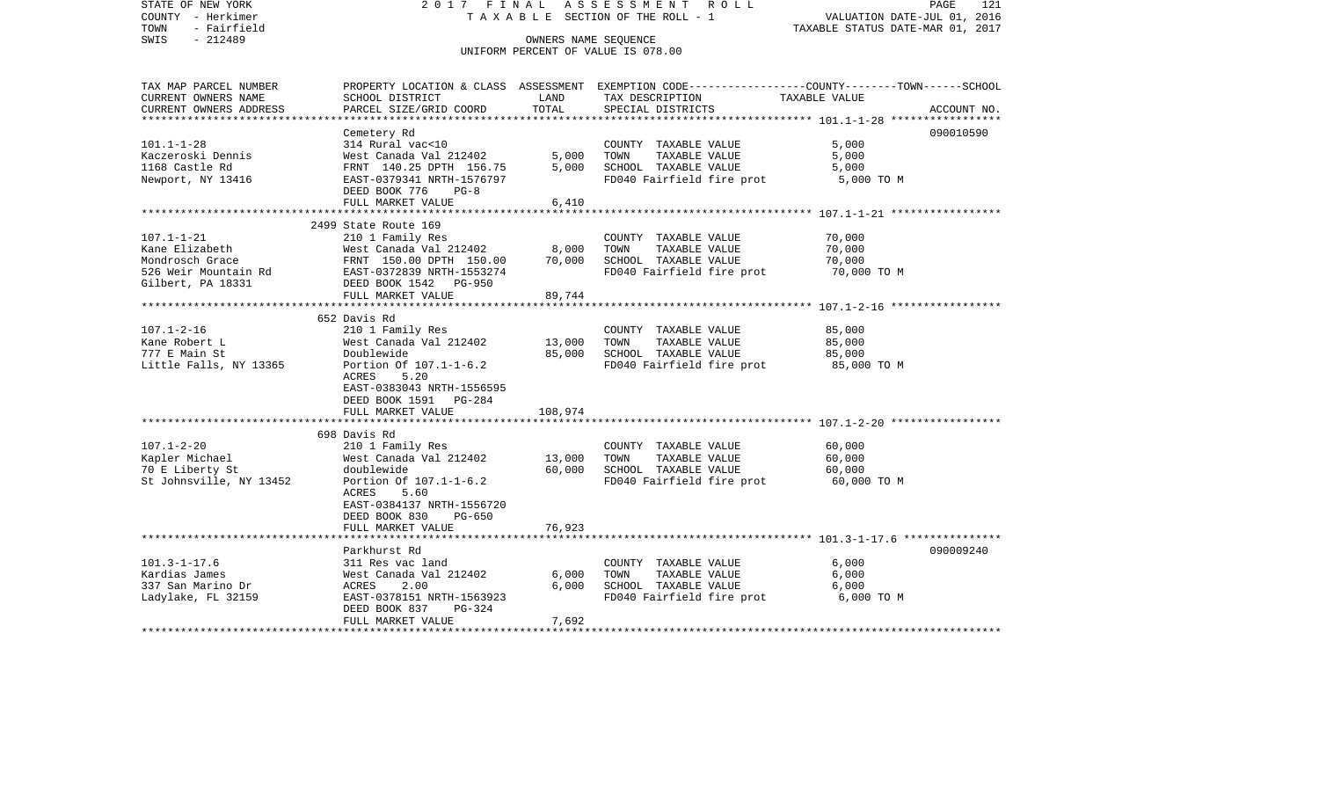STATE OF NEW YORK 2 0 1 7 F I N A L A S S E S S M E N T R O L L PAGE 121COUNTY - Herkimer T A X A B L E SECTION OF THE ROLL - 1 VALUATION DATE-JUL 01, 2016 TOWN - Fairfield TAXABLE STATUS DATE-MAR 01, 2017 SWIS - 212489 CONNERS NAME SEQUENCE UNIFORM PERCENT OF VALUE IS 078.00TAX MAP PARCEL NUMBER PROPERTY LOCATION & CLASS ASSESSMENT EXEMPTION CODE------------------COUNTY--------TOWN------SCHOOL CURRENT OWNERS NAME SCHOOL DISTRICT LAND TAX DESCRIPTION TAXABLE VALUECURRENT OWNERS ADDRESS PARCEL SIZE/GRID COORD TOTAL SPECIAL DISTRICTS ACCOUNT NO. \*\*\*\*\*\*\*\*\*\*\*\*\*\*\*\*\*\*\*\*\*\*\*\*\*\*\*\*\*\*\*\*\*\*\*\*\*\*\*\*\*\*\*\*\*\*\*\*\*\*\*\*\*\*\*\*\*\*\*\*\*\*\*\*\*\*\*\*\*\*\*\*\*\*\*\*\*\*\*\*\*\*\*\*\*\*\*\*\*\*\*\*\*\*\*\*\*\*\*\*\*\*\* 101.1-1-28 \*\*\*\*\*\*\*\*\*\*\*\*\*\*\*\*\* Cemetery Rd 090010590 101.1-1-28 314 Rural vac<10 COUNTY TAXABLE VALUE 5,000 Kaczeroski Dennis West Canada Val 212402 5,000 TOWN TAXABLE VALUE 5,000 1168 Castle Rd FRNT 140.25 DPTH 156.75 5,000 SCHOOL TAXABLE VALUE 5,000 Newport, NY 13416 EAST-0379341 NRTH-1576797 FD040 Fairfield fire prot 5,000 TO M DEED BOOK 776 PG-8FULL MARKET VALUE 6,410 \*\*\*\*\*\*\*\*\*\*\*\*\*\*\*\*\*\*\*\*\*\*\*\*\*\*\*\*\*\*\*\*\*\*\*\*\*\*\*\*\*\*\*\*\*\*\*\*\*\*\*\*\*\*\*\*\*\*\*\*\*\*\*\*\*\*\*\*\*\*\*\*\*\*\*\*\*\*\*\*\*\*\*\*\*\*\*\*\*\*\*\*\*\*\*\*\*\*\*\*\*\*\* 107.1-1-21 \*\*\*\*\*\*\*\*\*\*\*\*\*\*\*\*\* 2499 State Route 169 107.1-1-21 210 1 Family Res COUNTY TAXABLE VALUE 70,000 West Canada Val 212402 8,000 TOWN Mondrosch Grace FRNT 150.00 DPTH 150.00 70,000 SCHOOL TAXABLE VALUE 70,000 526 Weir Mountain Rd EAST-0372839 NRTH-1553274 FD040 Fairfield fire prot 70,000 TO M Gilbert, PA 18331 DEED BOOK 1542 PG-950 FULL MARKET VALUE 89,744 \*\*\*\*\*\*\*\*\*\*\*\*\*\*\*\*\*\*\*\*\*\*\*\*\*\*\*\*\*\*\*\*\*\*\*\*\*\*\*\*\*\*\*\*\*\*\*\*\*\*\*\*\*\*\*\*\*\*\*\*\*\*\*\*\*\*\*\*\*\*\*\*\*\*\*\*\*\*\*\*\*\*\*\*\*\*\*\*\*\*\*\*\*\*\*\*\*\*\*\*\*\*\* 107.1-2-16 \*\*\*\*\*\*\*\*\*\*\*\*\*\*\*\*\* 652 Davis Rd107.1-2-16 210 1 Family Res COUNTY TAXABLE VALUE 85,000 Kane Robert L **West Canada Val 212402** 13,000 TOWN TAXABLE VALUE 85,000 777 E Main St Doublewide 85,000 SCHOOL TAXABLE VALUE 85,000 Little Falls, NY 13365 Portion Of 107.1-1-6.2 FD040 Fairfield fire prot 85,000 TO M ACRES 5.20 EAST-0383043 NRTH-1556595 DEED BOOK 1591 PG-284FULL MARKET VALUE 108,974 \*\*\*\*\*\*\*\*\*\*\*\*\*\*\*\*\*\*\*\*\*\*\*\*\*\*\*\*\*\*\*\*\*\*\*\*\*\*\*\*\*\*\*\*\*\*\*\*\*\*\*\*\*\*\*\*\*\*\*\*\*\*\*\*\*\*\*\*\*\*\*\*\*\*\*\*\*\*\*\*\*\*\*\*\*\*\*\*\*\*\*\*\*\*\*\*\*\*\*\*\*\*\* 107.1-2-20 \*\*\*\*\*\*\*\*\*\*\*\*\*\*\*\*\* 698 Davis Rd107.1-2-20 210 1 Family Res COUNTY TAXABLE VALUE 60,000 Kapler Michael 60,000 West Canada Val 212402 13,000 TOWN TAXABLE VALUE 60,000 70 E Liberty St doublewide 60,000 SCHOOL TAXABLE VALUE 60,000 St Johnsville, NY 13452 Portion Of 107.1-1-6.2 FD040 Fairfield fire prot 60,000 TO M ACRES 5.60 EAST-0384137 NRTH-1556720 DEED BOOK 830 PG-650FULL MARKET VALUE 76,923 \*\*\*\*\*\*\*\*\*\*\*\*\*\*\*\*\*\*\*\*\*\*\*\*\*\*\*\*\*\*\*\*\*\*\*\*\*\*\*\*\*\*\*\*\*\*\*\*\*\*\*\*\*\*\*\*\*\*\*\*\*\*\*\*\*\*\*\*\*\*\*\*\*\*\*\*\*\*\*\*\*\*\*\*\*\*\*\*\*\*\*\*\*\*\*\*\*\*\*\*\*\*\* 101.3-1-17.6 \*\*\*\*\*\*\*\*\*\*\*\*\*\*\* Parkhurst Rd 090009240101.3-1-17.6 311 Res vac land COUNTY TAXABLE VALUE 6,000 Kardias James West Canada Val 212402 6,000 TOWN TAXABLE VALUE 6,000 337 San Marino Dr ACRES 2.00 6,000 SCHOOL TAXABLE VALUE 6,000 Ladylake, FL 32159 **EAST-0378151 NRTH-1563923** FD040 Fairfield fire prot 6,000 TO M DEED BOOK 837 PG-324FULL MARKET VALUE 7,692 \*\*\*\*\*\*\*\*\*\*\*\*\*\*\*\*\*\*\*\*\*\*\*\*\*\*\*\*\*\*\*\*\*\*\*\*\*\*\*\*\*\*\*\*\*\*\*\*\*\*\*\*\*\*\*\*\*\*\*\*\*\*\*\*\*\*\*\*\*\*\*\*\*\*\*\*\*\*\*\*\*\*\*\*\*\*\*\*\*\*\*\*\*\*\*\*\*\*\*\*\*\*\*\*\*\*\*\*\*\*\*\*\*\*\*\*\*\*\*\*\*\*\*\*\*\*\*\*\*\*\*\*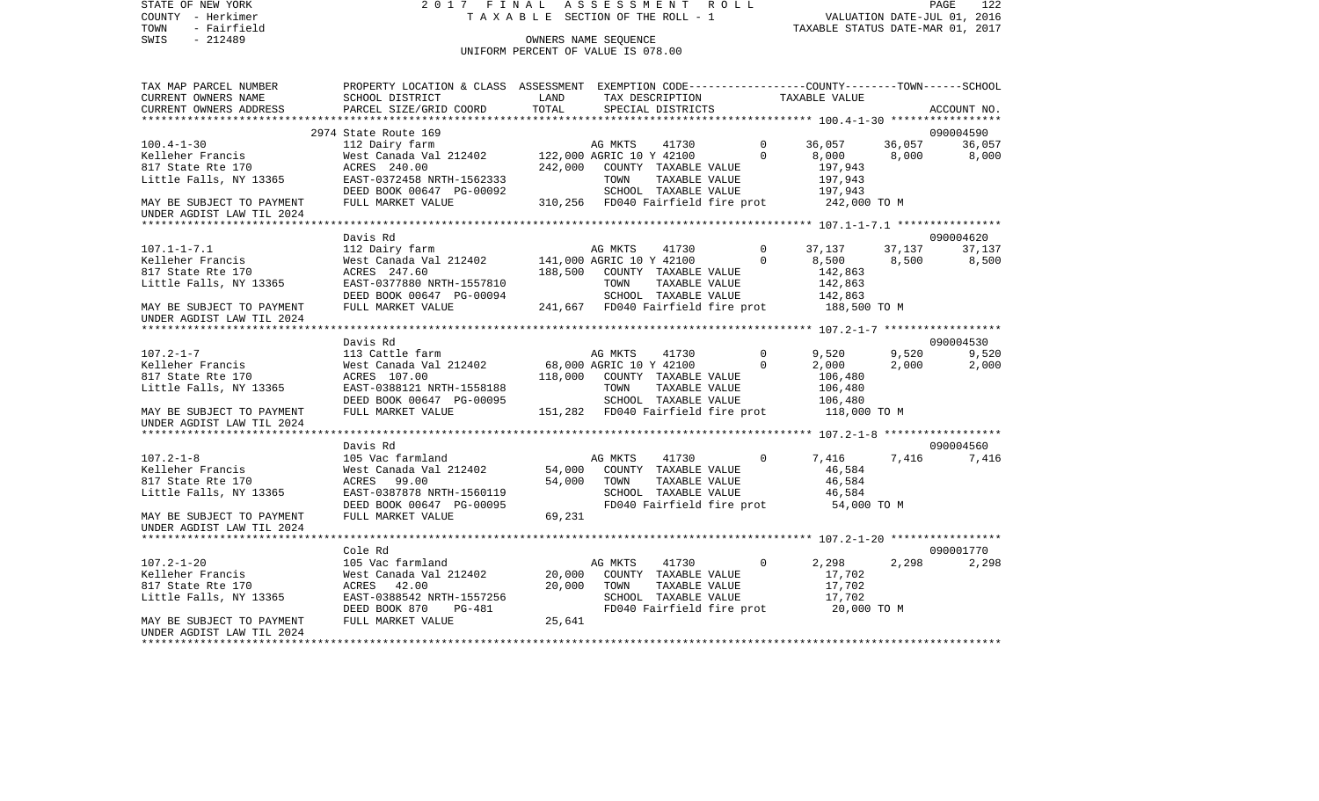STATE OF NEW YORK 2 0 1 7 F I N A L A S S E S S M E N T R O L L PAGE 122COUNTY - Herkimer **T A X A B L E** SECTION OF THE ROLL - 1 VALUATION DATE-JUL 01, 2016 TOWN - Fairfield TAXABLE STATUS DATE-MAR 01, 2017 SWIS - 212489 CONNERS NAME SEQUENCE UNIFORM PERCENT OF VALUE IS 078.00TAX MAP PARCEL NUMBER PROPERTY LOCATION & CLASS ASSESSMENT EXEMPTION CODE------------------COUNTY--------TOWN------SCHOOL CURRENT OWNERS NAME SCHOOL DISTRICT LAND TAX DESCRIPTION TAXABLE VALUECURRENT OWNERS ADDRESS PARCEL SIZE/GRID COORD TOTAL SPECIAL DISTRICTS ACCOUNT NO. \*\*\*\*\*\*\*\*\*\*\*\*\*\*\*\*\*\*\*\*\*\*\*\*\*\*\*\*\*\*\*\*\*\*\*\*\*\*\*\*\*\*\*\*\*\*\*\*\*\*\*\*\*\*\*\*\*\*\*\*\*\*\*\*\*\*\*\*\*\*\*\*\*\*\*\*\*\*\*\*\*\*\*\*\*\*\*\*\*\*\*\*\*\*\*\*\*\*\*\*\*\*\* 100.4-1-30 \*\*\*\*\*\*\*\*\*\*\*\*\*\*\*\*\* 2974 State Route 169 090004590100.4-1-30 112 Dairy farm AG MKTS 41730 0 36,057 36,057 36,057 Kelleher Francis 6,000 West Canada Val 212402 122,000 AGRIC 10 Y 42100 0 8,000 8,000 8,000 8,000 817 State Rte 170 ACRES 240.00 242,000 COUNTY TAXABLE VALUE 197,943 Little Falls, NY 13365 **EAST-0372458 NRTH-1562333** TOWN TAXABLE VALUE 197,943 DEED BOOK 00647 PG-00092 SCHOOL TAXABLE VALUE 197,943 MAY BE SUBJECT TO PAYMENT FULL MARKET VALUE 310,256 FD040 Fairfield fire prot 242,000 TO M UNDER AGDIST LAW TIL 2024 \*\*\*\*\*\*\*\*\*\*\*\*\*\*\*\*\*\*\*\*\*\*\*\*\*\*\*\*\*\*\*\*\*\*\*\*\*\*\*\*\*\*\*\*\*\*\*\*\*\*\*\*\*\*\*\*\*\*\*\*\*\*\*\*\*\*\*\*\*\*\*\*\*\*\*\*\*\*\*\*\*\*\*\*\*\*\*\*\*\*\*\*\*\*\*\*\*\*\*\*\*\*\* 107.1-1-7.1 \*\*\*\*\*\*\*\*\*\*\*\*\*\*\*\* Davis Rd 090004620107.1-1-7.1 112 Dairy farm AG MKTS 41730 0 37,137 37,137 37,137 Kelleher Francis West Canada Val 212402 141,000 AGRIC 10 Y 42100 0 8,500 8,500 8,500 817 State Rte 170 ACRES 247.60 188,500 COUNTY TAXABLE VALUE 142,863 Little Falls, NY 13365 EAST-0377880 NRTH-1557810 TOWN TAXABLE VALUE 142,863 DEED BOOK 00647 PG-00094 SCHOOL TAXABLE VALUE 142,863 MAY BE SUBJECT TO PAYMENT FULL MARKET VALUE 241,667 FD040 Fairfield fire prot 188,500 TO M UNDER AGDIST LAW TIL 2024 \*\*\*\*\*\*\*\*\*\*\*\*\*\*\*\*\*\*\*\*\*\*\*\*\*\*\*\*\*\*\*\*\*\*\*\*\*\*\*\*\*\*\*\*\*\*\*\*\*\*\*\*\*\*\*\*\*\*\*\*\*\*\*\*\*\*\*\*\*\*\*\*\*\*\*\*\*\*\*\*\*\*\*\*\*\*\*\*\*\*\*\*\*\*\*\*\*\*\*\*\*\*\* 107.2-1-7 \*\*\*\*\*\*\*\*\*\*\*\*\*\*\*\*\*\* Davis Rd 090004530107.2-1-7 113 Cattle farm AG MKTS 41730 0 9,520 9,520 9,520 9,520 Kelleher Francis West Canada Val 212402 68,000 AGRIC 10 Y 42100 0 2,000 2,000 2,000 817 State Rte 170 ACRES 107.00 118,000 COUNTY TAXABLE VALUE 106,480 Little Falls, NY 13365 EAST-0388121 NRTH-1558188 TOWN TAXABLE VALUE 106,480 DEED BOOK 00647 PG-00095 SCHOOL TAXABLE VALUE 106,480 MAY BE SUBJECT TO PAYMENT FULL MARKET VALUE 151,282 FD040 Fairfield fire prot 118,000 TO M UNDER AGDIST LAW TIL 2024 \*\*\*\*\*\*\*\*\*\*\*\*\*\*\*\*\*\*\*\*\*\*\*\*\*\*\*\*\*\*\*\*\*\*\*\*\*\*\*\*\*\*\*\*\*\*\*\*\*\*\*\*\*\*\*\*\*\*\*\*\*\*\*\*\*\*\*\*\*\*\*\*\*\*\*\*\*\*\*\*\*\*\*\*\*\*\*\*\*\*\*\*\*\*\*\*\*\*\*\*\*\*\* 107.2-1-8 \*\*\*\*\*\*\*\*\*\*\*\*\*\*\*\*\*\* Davis Rd 090004560107.2-1-8 105 Vac farmland AG MKTS 41730 0 7,416 7,416 7,416 Kelleher Francis West Canada Val 212402 54,000 COUNTY TAXABLE VALUE 46,584 817 State Rte 170 ACRES 99.00 54,000 TOWN TAXABLE VALUE 46,584 Little Falls, NY 13365 EAST-0387878 NRTH-1560119 SCHOOL TAXABLE VALUE 46,584 DEED BOOK 00647 PG-00095 FD040 Fairfield fire prot 54,000 TO M MAY BE SUBJECT TO PAYMENT FULL MARKET VALUE 69,231 UNDER AGDIST LAW TIL 2024 \*\*\*\*\*\*\*\*\*\*\*\*\*\*\*\*\*\*\*\*\*\*\*\*\*\*\*\*\*\*\*\*\*\*\*\*\*\*\*\*\*\*\*\*\*\*\*\*\*\*\*\*\*\*\*\*\*\*\*\*\*\*\*\*\*\*\*\*\*\*\*\*\*\*\*\*\*\*\*\*\*\*\*\*\*\*\*\*\*\*\*\*\*\*\*\*\*\*\*\*\*\*\* 107.2-1-20 \*\*\*\*\*\*\*\*\*\*\*\*\*\*\*\*\* Cole Rd 090001770107.2-1-20 105 Vac farmland 19 AG MKTS 41730 0 2,298 2,298 2,298 2,298 Kelleher Francis West Canada Val 212402 20,000 COUNTY TAXABLE VALUE 17,702 817 State Rte 170 ACRES 42.00 20,000 TOWN TAXABLE VALUE 17,702 Little Falls, NY 13365 EAST-0388542 NRTH-1557256 SCHOOL TAXABLE VALUE 17,702 DEED BOOK 870 PG-481 FD040 Fairfield fire prot 20,000 TO M MAY BE SUBJECT TO PAYMENT FULL MARKET VALUE  $25,641$ UNDER AGDIST LAW TIL 2024\*\*\*\*\*\*\*\*\*\*\*\*\*\*\*\*\*\*\*\*\*\*\*\*\*\*\*\*\*\*\*\*\*\*\*\*\*\*\*\*\*\*\*\*\*\*\*\*\*\*\*\*\*\*\*\*\*\*\*\*\*\*\*\*\*\*\*\*\*\*\*\*\*\*\*\*\*\*\*\*\*\*\*\*\*\*\*\*\*\*\*\*\*\*\*\*\*\*\*\*\*\*\*\*\*\*\*\*\*\*\*\*\*\*\*\*\*\*\*\*\*\*\*\*\*\*\*\*\*\*\*\*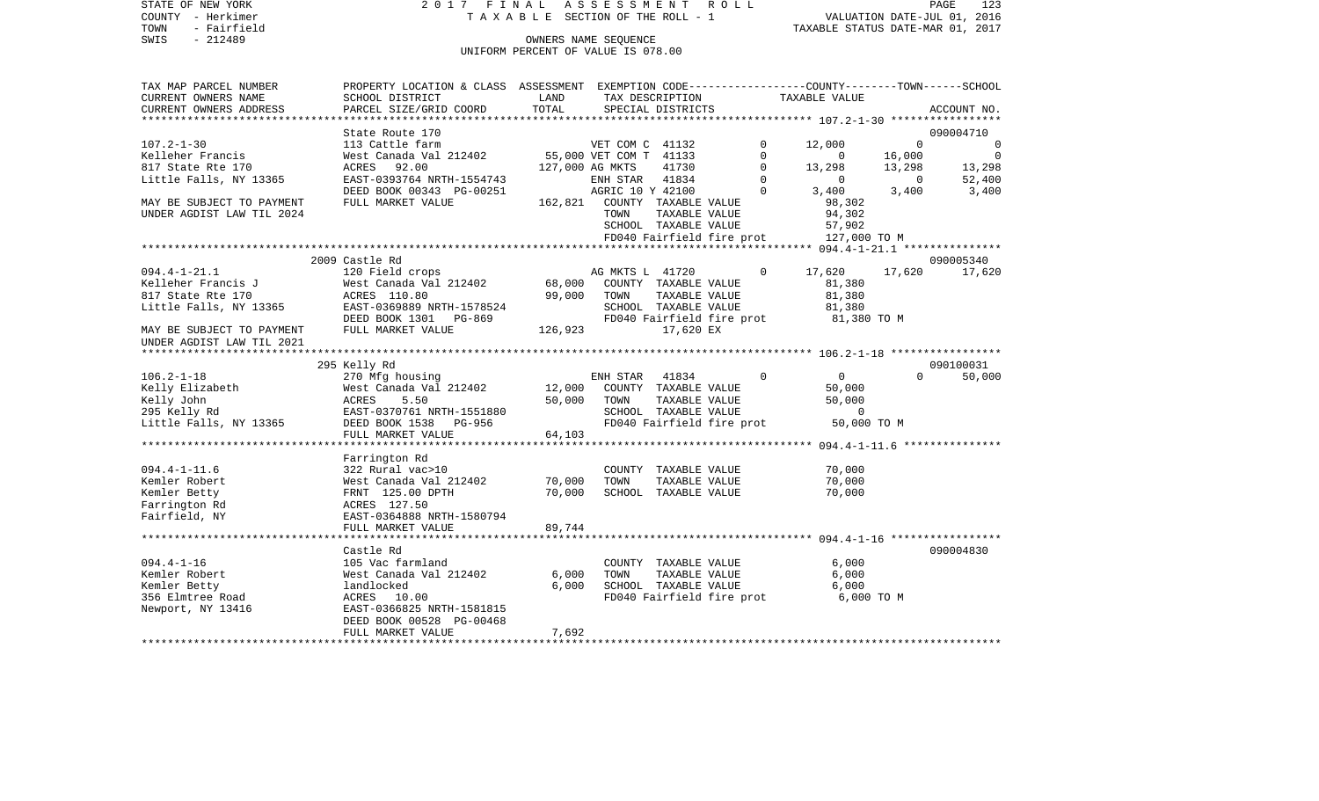STATE OF NEW YORK 2 0 1 7 F I N A L A S S E S S M E N T R O L L PAGE 123COUNTY - Herkimer **T A X A B L E** SECTION OF THE ROLL - 1 VALUATION DATE-JUL 01, 2016 TOWN - Fairfield TAXABLE STATUS DATE-MAR 01, 2017 SWIS - 212489 CONNERS NAME SEQUENCE UNIFORM PERCENT OF VALUE IS 078.00TAX MAP PARCEL NUMBER PROPERTY LOCATION & CLASS ASSESSMENT EXEMPTION CODE------------------COUNTY--------TOWN------SCHOOL CURRENT OWNERS NAME SCHOOL DISTRICT LAND TAX DESCRIPTION TAXABLE VALUECURRENT OWNERS ADDRESS PARCEL SIZE/GRID COORD TOTAL SPECIAL DISTRICTS ACCOUNT NO. \*\*\*\*\*\*\*\*\*\*\*\*\*\*\*\*\*\*\*\*\*\*\*\*\*\*\*\*\*\*\*\*\*\*\*\*\*\*\*\*\*\*\*\*\*\*\*\*\*\*\*\*\*\*\*\*\*\*\*\*\*\*\*\*\*\*\*\*\*\*\*\*\*\*\*\*\*\*\*\*\*\*\*\*\*\*\*\*\*\*\*\*\*\*\*\*\*\*\*\*\*\*\* 107.2-1-30 \*\*\*\*\*\*\*\*\*\*\*\*\*\*\*\*\*State Route 170 090004710 107.2-1-30 113 Cattle farm VET COM C 41132 0 12,000 0 0 0 Kelleher Francis West Canada Val 212402 55,000 VET COM T 41133 0 16,000 0 817 State Rte 170 ACRES 92.00 127,000 AG MKTS 41730 0 13,298 13,298 13,298 Little Falls, NY 13365 EAST-0393764 NRTH-1554743 ENH STAR 41834 0 0 0 52,400 DEED BOOK 00343 PG-00251 AGRIC 10 Y 42100 0 3,400 3,400 3,400 3,400 MAY BE SUBJECT TO PAYMENT FULL MARKET VALUE 162.821 COUNTY TAXABLE VALUE 98.302 UNDER AGDIST LAW TIL 2024 **The Set of the Set of Act of Town TAXABLE VALUE** 94,302 SCHOOL TAXABLE VALUE 57,902 FD040 Fairfield fire prot 127,000 TO M \*\*\*\*\*\*\*\*\*\*\*\*\*\*\*\*\*\*\*\*\*\*\*\*\*\*\*\*\*\*\*\*\*\*\*\*\*\*\*\*\*\*\*\*\*\*\*\*\*\*\*\*\*\*\*\*\*\*\*\*\*\*\*\*\*\*\*\*\*\*\*\*\*\*\*\*\*\*\*\*\*\*\*\*\*\*\*\*\*\*\*\*\*\*\*\*\*\*\*\*\*\*\* 094.4-1-21.1 \*\*\*\*\*\*\*\*\*\*\*\*\*\*\* 2009 Castle Rd 090005340094.4-1-21.1 120 Field crops AG MKTS L 41720 0 17.620 17.620 17.620 17.620 Kelleher Francis J West Canada Val 212402 68,000 COUNTY TAXABLE VALUE 81,380 817 State Rte 170 ACRES 110.80 99,000 TOWN TAXABLE VALUE 81,380 Little Falls, NY 13365 688 EAST-0369889 NRTH-1578524 SCHOOL TAXABLE VALUE 81,380 DEED BOOK 1301 PG-869 FD040 Fairfield fire prot 81,380 TO M<br>FULL MARKET VALUE 126.923 17.620 EX MAY BE SUBJECT TO PAYMENT FULL MARKET VALUE 126,923 17,620 EX UNDER AGDIST LAW TIL 2021 \*\*\*\*\*\*\*\*\*\*\*\*\*\*\*\*\*\*\*\*\*\*\*\*\*\*\*\*\*\*\*\*\*\*\*\*\*\*\*\*\*\*\*\*\*\*\*\*\*\*\*\*\*\*\*\*\*\*\*\*\*\*\*\*\*\*\*\*\*\*\*\*\*\*\*\*\*\*\*\*\*\*\*\*\*\*\*\*\*\*\*\*\*\*\*\*\*\*\*\*\*\*\* 106.2-1-18 \*\*\*\*\*\*\*\*\*\*\*\*\*\*\*\*\* 295 Kelly Rd 090100031 106.2-1-18 270 Mfg housing ENH STAR 41834 0 0 0 50,000 Kelly Elizabeth 60,000 West Canada Val 212402 12,000 COUNTY TAXABLE VALUE 50,000 Kelly John ACRES 5.50 50,000 TOWN TAXABLE VALUE 50,000 EAST-0370761 NRTH-1551880 SCHOOL TAXABLE VALUE 0 Little Falls, NY 13365 DEED BOOK 1538 PG-956 FD040 Fairfield fire prot 50,000 TO M FULL MARKET VALUE 64,103 \*\*\*\*\*\*\*\*\*\*\*\*\*\*\*\*\*\*\*\*\*\*\*\*\*\*\*\*\*\*\*\*\*\*\*\*\*\*\*\*\*\*\*\*\*\*\*\*\*\*\*\*\*\*\*\*\*\*\*\*\*\*\*\*\*\*\*\*\*\*\*\*\*\*\*\*\*\*\*\*\*\*\*\*\*\*\*\*\*\*\*\*\*\*\*\*\*\*\*\*\*\*\* 094.4-1-11.6 \*\*\*\*\*\*\*\*\*\*\*\*\*\*\* Farrington Rd 094.4-1-11.6 322 Rural vac>10 COUNTY TAXABLE VALUE 70,000 Kemler Robert **West Canada Val 212402** 70,000 TOWN TAXABLE VALUE 70,000 Kemler Betty **FRNT 125.00 DPTH** 70,000 SCHOOL TAXABLE VALUE 70,000 Farrington Rd ACRES 127.50 Fairfield, NY EAST-0364888 NRTH-1580794 FULL MARKET VALUE 89,744 \*\*\*\*\*\*\*\*\*\*\*\*\*\*\*\*\*\*\*\*\*\*\*\*\*\*\*\*\*\*\*\*\*\*\*\*\*\*\*\*\*\*\*\*\*\*\*\*\*\*\*\*\*\*\*\*\*\*\*\*\*\*\*\*\*\*\*\*\*\*\*\*\*\*\*\*\*\*\*\*\*\*\*\*\*\*\*\*\*\*\*\*\*\*\*\*\*\*\*\*\*\*\* 094.4-1-16 \*\*\*\*\*\*\*\*\*\*\*\*\*\*\*\*\* Castle Rd 090004830094.4-1-16 105 Vac farmland COUNTY TAXABLE VALUE 6,000 Kemler Robert West Canada Val 212402 6,000 TOWN TAXABLE VALUE 6,000 Kemler Betty landlocked 6,000 SCHOOL TAXABLE VALUE 6,000

356 Elmtree Road ACRES 10.00 FD040 Fairfield fire prot 6,000 TO M

\*\*\*\*\*\*\*\*\*\*\*\*\*\*\*\*\*\*\*\*\*\*\*\*\*\*\*\*\*\*\*\*\*\*\*\*\*\*\*\*\*\*\*\*\*\*\*\*\*\*\*\*\*\*\*\*\*\*\*\*\*\*\*\*\*\*\*\*\*\*\*\*\*\*\*\*\*\*\*\*\*\*\*\*\*\*\*\*\*\*\*\*\*\*\*\*\*\*\*\*\*\*\*\*\*\*\*\*\*\*\*\*\*\*\*\*\*\*\*\*\*\*\*\*\*\*\*\*\*\*\*\*

EAST-0366825 NRTH-1581815 DEED BOOK 00528 PG-00468

FULL MARKET VALUE 7,692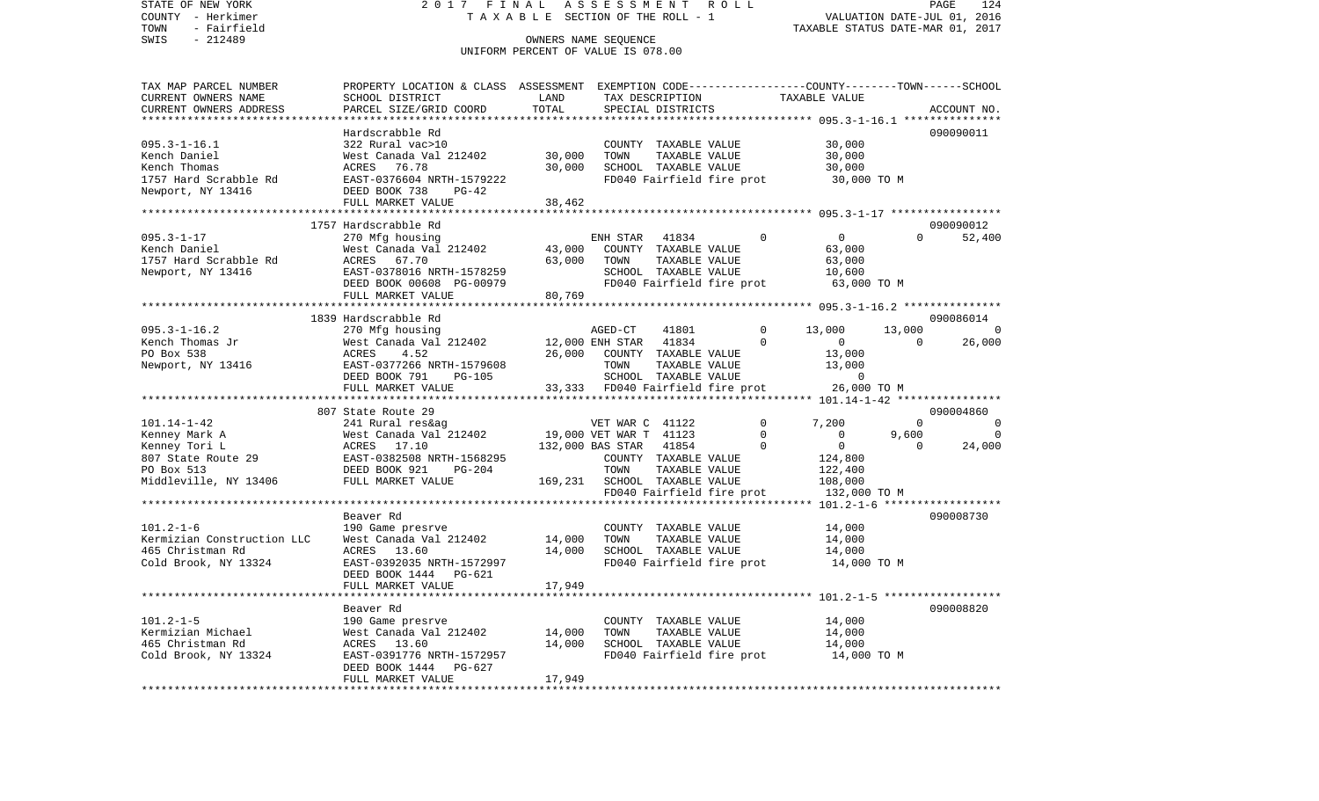STATE OF NEW YORK 2 0 1 7 F I N A L A S S E S S M E N T R O L L PAGE 124COUNTY - Herkimer T A X A B L E SECTION OF THE ROLL - 1 VALUATION DATE-JUL 01, 2016 TOWN - Fairfield TAXABLE STATUS DATE-MAR 01, 2017 SWIS - 212489 OWNERS NAME SEQUENCE UNIFORM PERCENT OF VALUE IS 078.00TAX MAP PARCEL NUMBER PROPERTY LOCATION & CLASS ASSESSMENT EXEMPTION CODE------------------COUNTY--------TOWN------SCHOOL CURRENT OWNERS NAME SCHOOL DISTRICT LAND TAX DESCRIPTION TAXABLE VALUECURRENT OWNERS ADDRESS PARCEL SIZE/GRID COORD TOTAL SPECIAL DISTRICTS ACCOUNT NO. \*\*\*\*\*\*\*\*\*\*\*\*\*\*\*\*\*\*\*\*\*\*\*\*\*\*\*\*\*\*\*\*\*\*\*\*\*\*\*\*\*\*\*\*\*\*\*\*\*\*\*\*\*\*\*\*\*\*\*\*\*\*\*\*\*\*\*\*\*\*\*\*\*\*\*\*\*\*\*\*\*\*\*\*\*\*\*\*\*\*\*\*\*\*\*\*\*\*\*\*\*\*\* 095.3-1-16.1 \*\*\*\*\*\*\*\*\*\*\*\*\*\*\* Hardscrabble Rd 090090011095.3-1-16.1 322 Rural vac>10 COUNTY TAXABLE VALUE 30,000 Kench Daniel **Manual West Canada Val 212402** 30,000 TOWN TAXABLE VALUE 30,000 Kench Thomas ACRES 76.78 30,000 SCHOOL TAXABLE VALUE 30,000 1757 Hard Scrabble Rd EAST-0376604 NRTH-1579222 FD040 Fairfield fire prot 30,000 TO M Newport, NY 13416 DEED BOOK 738 PG-42 FULL MARKET VALUE 38,462 \*\*\*\*\*\*\*\*\*\*\*\*\*\*\*\*\*\*\*\*\*\*\*\*\*\*\*\*\*\*\*\*\*\*\*\*\*\*\*\*\*\*\*\*\*\*\*\*\*\*\*\*\*\*\*\*\*\*\*\*\*\*\*\*\*\*\*\*\*\*\*\*\*\*\*\*\*\*\*\*\*\*\*\*\*\*\*\*\*\*\*\*\*\*\*\*\*\*\*\*\*\*\* 095.3-1-17 \*\*\*\*\*\*\*\*\*\*\*\*\*\*\*\*\* 1757 Hardscrabble Rd 090090012095.3-1-17 270 Mfg housing ENH STAR 41834 0 0 0 52,400 Kench Daniel West Canada Val 212402 43,000 COUNTY TAXABLE VALUE 63,000 1757 Hard Scrabble Rd ACRES 67.70 63,000 TOWN TAXABLE VALUE 63,000 Newport, NY 13416 EAST-0378016 NRTH-1578259 SCHOOL TAXABLE VALUE 10,600 DEED BOOK 00608 PG-00979 FD040 Fairfield fire prot 63,000 TO M FULL MARKET VALUE 80,769 \*\*\*\*\*\*\*\*\*\*\*\*\*\*\*\*\*\*\*\*\*\*\*\*\*\*\*\*\*\*\*\*\*\*\*\*\*\*\*\*\*\*\*\*\*\*\*\*\*\*\*\*\*\*\*\*\*\*\*\*\*\*\*\*\*\*\*\*\*\*\*\*\*\*\*\*\*\*\*\*\*\*\*\*\*\*\*\*\*\*\*\*\*\*\*\*\*\*\*\*\*\*\* 095.3-1-16.2 \*\*\*\*\*\*\*\*\*\*\*\*\*\*\* 1839 Hardscrabble Rd 090086014095.3-1-16.2 270 Mfg housing AGED-CT 41801 0 13,000 13,000 0 Kench Thomas Jr West Canada Val 212402 12,000 ENH STAR 41834 0 0 0 26,000 PO Box 538 ACRES 4.52 26,000 COUNTY TAXABLE VALUE 13,000 Newport, NY 13416 **EAST-0377266 NRTH-1579608** TOWN TAXABLE VALUE 13,000 DEED BOOK 791 PG-105 SCHOOL TAXABLE VALUE 0 FULL MARKET VALUE 33,333 FD040 Fairfield fire prot 26,000 TO M \*\*\*\*\*\*\*\*\*\*\*\*\*\*\*\*\*\*\*\*\*\*\*\*\*\*\*\*\*\*\*\*\*\*\*\*\*\*\*\*\*\*\*\*\*\*\*\*\*\*\*\*\*\*\*\*\*\*\*\*\*\*\*\*\*\*\*\*\*\*\*\*\*\*\*\*\*\*\*\*\*\*\*\*\*\*\*\*\*\*\*\*\*\*\*\*\*\*\*\*\*\*\* 101.14-1-42 \*\*\*\*\*\*\*\*\*\*\*\*\*\*\*\* 807 State Route 29 090004860101.14-1-42 241 Rural res&ag VET WAR C 41122 0 7,200 0 0 Kenney Mark A West Canada Val 212402 19,000 VET WAR T 41123 0 9,600 0 Kenney Tori L **ACRES** 17.10 132,000 BAS STAR 41854 0 0 0 24,000 807 State Route 29 EAST-0382508 NRTH-1568295 COUNTY TAXABLE VALUE 124,800 PO Box 513 DEED BOOK 921 PG-204 TOWN TAXABLE VALUE 122,400 Middleville, NY 13406 FULL MARKET VALUE 169,231 SCHOOL TAXABLE VALUE 108,000 FD040 Fairfield fire prot 132,000 TO M \*\*\*\*\*\*\*\*\*\*\*\*\*\*\*\*\*\*\*\*\*\*\*\*\*\*\*\*\*\*\*\*\*\*\*\*\*\*\*\*\*\*\*\*\*\*\*\*\*\*\*\*\*\*\*\*\*\*\*\*\*\*\*\*\*\*\*\*\*\*\*\*\*\*\*\*\*\*\*\*\*\*\*\*\*\*\*\*\*\*\*\*\*\*\*\*\*\*\*\*\*\*\* 101.2-1-6 \*\*\*\*\*\*\*\*\*\*\*\*\*\*\*\*\*\* Beaver Rd 090008730090008730 101.2-1-6 190 Game presrve COUNTY TAXABLE VALUE 14,000 Kermizian Construction LLC West Canada Val 212402 14,000 TOWN TAXABLE VALUE 14,000 465 Christman Rd ACRES 13.60 14,000 SCHOOL TAXABLE VALUE 14,000 Cold Brook, NY 13324 EAST-0392035 NRTH-1572997 FD040 Fairfield fire prot 14,000 TO M DEED BOOK 1444 PG-621FULL MARKET VALUE 17,949 \*\*\*\*\*\*\*\*\*\*\*\*\*\*\*\*\*\*\*\*\*\*\*\*\*\*\*\*\*\*\*\*\*\*\*\*\*\*\*\*\*\*\*\*\*\*\*\*\*\*\*\*\*\*\*\*\*\*\*\*\*\*\*\*\*\*\*\*\*\*\*\*\*\*\*\*\*\*\*\*\*\*\*\*\*\*\*\*\*\*\*\*\*\*\*\*\*\*\*\*\*\*\* 101.2-1-5 \*\*\*\*\*\*\*\*\*\*\*\*\*\*\*\*\*\* Beaver Rd 090008820101.2-1-5 190 Game presrve COUNTY TAXABLE VALUE 14,000 Kermizian Michael  $\sim$  West Canada Val 212402 14,000 TOWN TAXABLE VALUE 14,000 465 Christman Rd ACRES 13.60 14,000 SCHOOL TAXABLE VALUE 14,000 Cold Brook, NY 13324 EAST-0391776 NRTH-1572957 FD040 Fairfield fire prot 14,000 TO M DEED BOOK 1444 PG-627

\*\*\*\*\*\*\*\*\*\*\*\*\*\*\*\*\*\*\*\*\*\*\*\*\*\*\*\*\*\*\*\*\*\*\*\*\*\*\*\*\*\*\*\*\*\*\*\*\*\*\*\*\*\*\*\*\*\*\*\*\*\*\*\*\*\*\*\*\*\*\*\*\*\*\*\*\*\*\*\*\*\*\*\*\*\*\*\*\*\*\*\*\*\*\*\*\*\*\*\*\*\*\*\*\*\*\*\*\*\*\*\*\*\*\*\*\*\*\*\*\*\*\*\*\*\*\*\*\*\*\*\*

FULL MARKET VALUE 17,949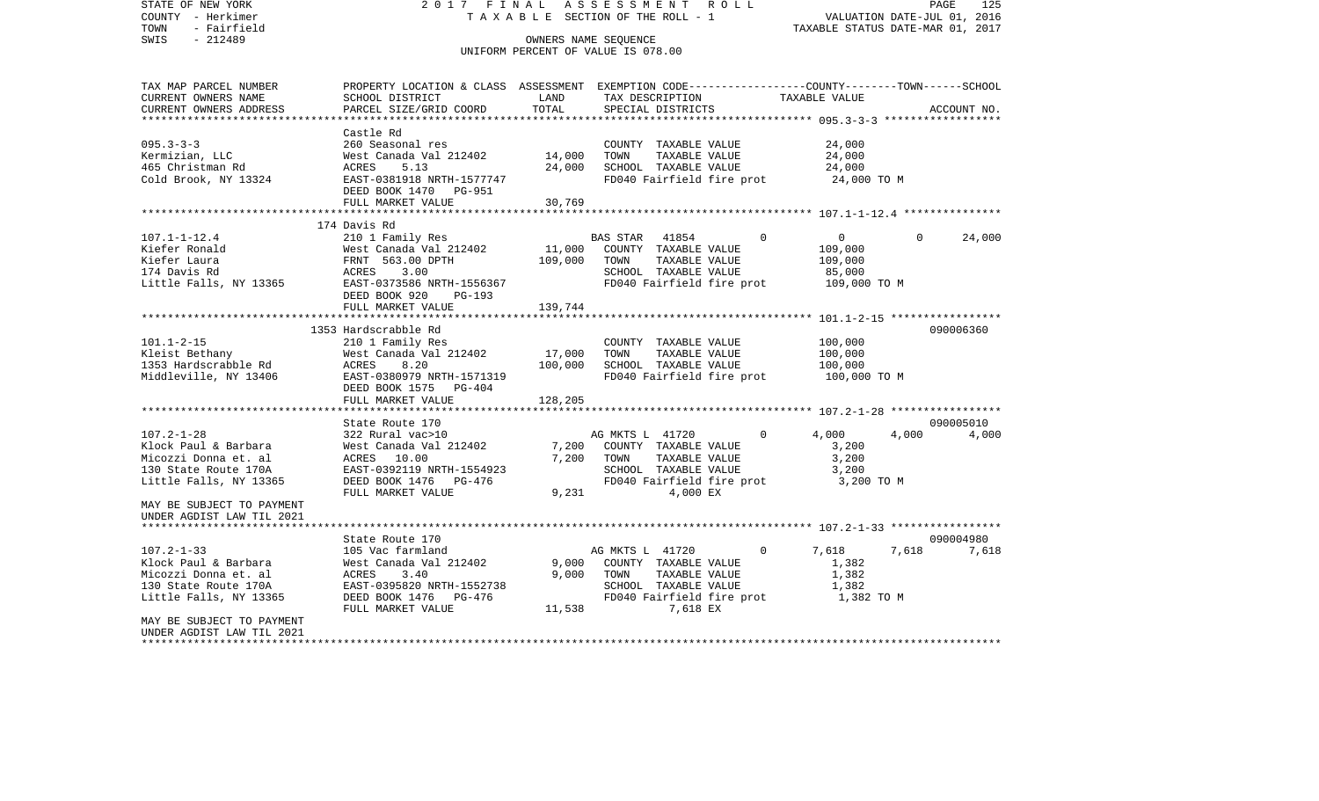STATE OF NEW YORK 2 0 1 7 F I N A L A S S E S S M E N T R O L L PAGE 125COUNTY - Herkimer T A X A B L E SECTION OF THE ROLL - 1 VALUATION DATE-JUL 01, 2016 TOWN - Fairfield TAXABLE STATUS DATE-MAR 01, 2017 SWIS - 212489 CONNERS NAME SEQUENCE UNIFORM PERCENT OF VALUE IS 078.00TAX MAP PARCEL NUMBER PROPERTY LOCATION & CLASS ASSESSMENT EXEMPTION CODE------------------COUNTY--------TOWN------SCHOOL CURRENT OWNERS NAME SCHOOL DISTRICT LAND TAX DESCRIPTION TAXABLE VALUECURRENT OWNERS ADDRESS PARCEL SIZE/GRID COORD TOTAL SPECIAL DISTRICTS ACCOUNT NO. \*\*\*\*\*\*\*\*\*\*\*\*\*\*\*\*\*\*\*\*\*\*\*\*\*\*\*\*\*\*\*\*\*\*\*\*\*\*\*\*\*\*\*\*\*\*\*\*\*\*\*\*\*\*\*\*\*\*\*\*\*\*\*\*\*\*\*\*\*\*\*\*\*\*\*\*\*\*\*\*\*\*\*\*\*\*\*\*\*\*\*\*\*\*\*\*\*\*\*\*\*\*\* 095.3-3-3 \*\*\*\*\*\*\*\*\*\*\*\*\*\*\*\*\*\* Castle Rd095.3-3-3 260 Seasonal res COUNTY TAXABLE VALUE 24,000 Kermizian, LLC 62,000 West Canada Val 212402 14,000 TOWN TAXABLE VALUE 24,000 465 Christman Rd ACRES 5.13 24,000 SCHOOL TAXABLE VALUE 24,000 Cold Brook, NY 13324 EAST-0381918 NRTH-1577747 FD040 Fairfield fire prot 24,000 TO M DEED BOOK 1470 PG-951FULL MARKET VALUE 30,769 \*\*\*\*\*\*\*\*\*\*\*\*\*\*\*\*\*\*\*\*\*\*\*\*\*\*\*\*\*\*\*\*\*\*\*\*\*\*\*\*\*\*\*\*\*\*\*\*\*\*\*\*\*\*\*\*\*\*\*\*\*\*\*\*\*\*\*\*\*\*\*\*\*\*\*\*\*\*\*\*\*\*\*\*\*\*\*\*\*\*\*\*\*\*\*\*\*\*\*\*\*\*\* 107.1-1-12.4 \*\*\*\*\*\*\*\*\*\*\*\*\*\*\* 174 Davis Rd107.1-1-12.4 210 1 Family Res BAS STAR 41854 0 0 0 24,000 Kiefer Ronald 60 = 109,000 West Canada Val 212402 = 11,000 COUNTY TAXABLE VALUE 109,000 Kiefer Laura FRNT 563.00 DPTH 109,000 TOWN TAXABLE VALUE 109,000 174 Davis Rd ACRES 3.00 SCHOOL TAXABLE VALUE 85,000 Little Falls, NY 13365 EAST-0373586 NRTH-1556367 FD040 Fairfield fire prot 109,000 TO M DEED BOOK 920 PG-193 FULL MARKET VALUE 139,744 \*\*\*\*\*\*\*\*\*\*\*\*\*\*\*\*\*\*\*\*\*\*\*\*\*\*\*\*\*\*\*\*\*\*\*\*\*\*\*\*\*\*\*\*\*\*\*\*\*\*\*\*\*\*\*\*\*\*\*\*\*\*\*\*\*\*\*\*\*\*\*\*\*\*\*\*\*\*\*\*\*\*\*\*\*\*\*\*\*\*\*\*\*\*\*\*\*\*\*\*\*\*\* 101.1-2-15 \*\*\*\*\*\*\*\*\*\*\*\*\*\*\*\*\* 1353 Hardscrabble Rd 090006360101.1-2-15 210 1 Family Res COUNTY TAXABLE VALUE 100,000 Kleist Bethany 6000 West Canada Val 212402 17,000 TOWN TAXABLE VALUE 100,000 1353 Hardscrabble Rd ACRES 8.20 100,000 SCHOOL TAXABLE VALUE 100,000 Middleville, NY 13406 EAST-0380979 NRTH-1571319 FD040 Fairfield fire prot 100,000 TO M DEED BOOK 1575 PG-404 FULL MARKET VALUE 128,205 \*\*\*\*\*\*\*\*\*\*\*\*\*\*\*\*\*\*\*\*\*\*\*\*\*\*\*\*\*\*\*\*\*\*\*\*\*\*\*\*\*\*\*\*\*\*\*\*\*\*\*\*\*\*\*\*\*\*\*\*\*\*\*\*\*\*\*\*\*\*\*\*\*\*\*\*\*\*\*\*\*\*\*\*\*\*\*\*\*\*\*\*\*\*\*\*\*\*\*\*\*\*\* 107.2-1-28 \*\*\*\*\*\*\*\*\*\*\*\*\*\*\*\*\*State Route 170 090005010 107.2-1-28 322 Rural vac>10 AG MKTS L 41720 0 4,000 4,000 4,000 Klock Paul & Barbara West Canada Val 212402 7,200 COUNTY TAXABLE VALUE 3,200 Micozzi Donna et. al ACRES 10.00 7,200 TOWN TAXABLE VALUE 3,200 130 State Route 170A EAST-0392119 NRTH-1554923 SCHOOL TAXABLE VALUE 3,200 Little Falls, NY 13365 DEED BOOK 1476 PG-476 FD040 Fairfield fire prot 3,200 TO M FULL MARKET VALUE  $9.231$   $4.000$  EX MAY BE SUBJECT TO PAYMENTUNDER AGDIST LAW TIL 2021 \*\*\*\*\*\*\*\*\*\*\*\*\*\*\*\*\*\*\*\*\*\*\*\*\*\*\*\*\*\*\*\*\*\*\*\*\*\*\*\*\*\*\*\*\*\*\*\*\*\*\*\*\*\*\*\*\*\*\*\*\*\*\*\*\*\*\*\*\*\*\*\*\*\*\*\*\*\*\*\*\*\*\*\*\*\*\*\*\*\*\*\*\*\*\*\*\*\*\*\*\*\*\* 107.2-1-33 \*\*\*\*\*\*\*\*\*\*\*\*\*\*\*\*\*State Route 170 090004980 7.618 107.2-1-33 105 Vac farmland AG MKTS L 41720 0 7,618 7,618 7,618 Klock Paul & Barbara West Canada Val 212402 9,000 COUNTY TAXABLE VALUE 1,382 Micozzi Donna et. al ACRES 3.40 9,000 TOWN TAXABLE VALUE 1,382 130 State Route 170A EAST-0395820 NRTH-1552738 SCHOOL TAXABLE VALUE 1,382 Little Falls, NY 13365 DEED BOOK 1476 PG-476 FD040 Fairfield fire prot 1,382 TO M FULL MARKET VALUE **11,538** 7,618 EX MAY BE SUBJECT TO PAYMENTUNDER AGDIST LAW TIL 2021\*\*\*\*\*\*\*\*\*\*\*\*\*\*\*\*\*\*\*\*\*\*\*\*\*\*\*\*\*\*\*\*\*\*\*\*\*\*\*\*\*\*\*\*\*\*\*\*\*\*\*\*\*\*\*\*\*\*\*\*\*\*\*\*\*\*\*\*\*\*\*\*\*\*\*\*\*\*\*\*\*\*\*\*\*\*\*\*\*\*\*\*\*\*\*\*\*\*\*\*\*\*\*\*\*\*\*\*\*\*\*\*\*\*\*\*\*\*\*\*\*\*\*\*\*\*\*\*\*\*\*\*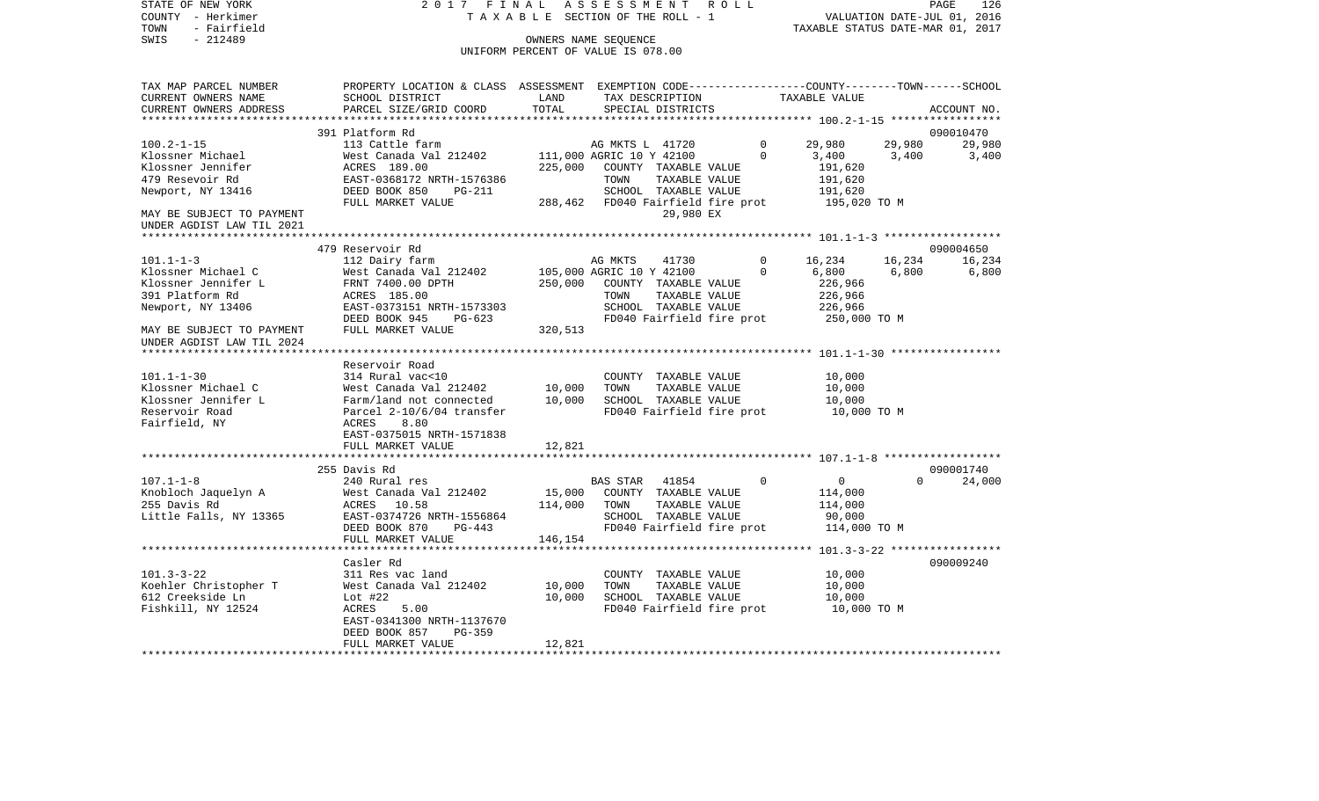VALUATION DATE-JUL 01, 2016 TOWN - Fairfield TAXABLE STATUS DATE-MAR 01, 2017 SWIS - 212489 CONNERS NAME SEQUENCE UNIFORM PERCENT OF VALUE IS 078.00TAX MAP PARCEL NUMBER PROPERTY LOCATION & CLASS ASSESSMENT EXEMPTION CODE------------------COUNTY--------TOWN------SCHOOL CURRENT OWNERS NAME SCHOOL DISTRICT LAND TAX DESCRIPTION TAXABLE VALUECURRENT OWNERS ADDRESS PARCEL SIZE/GRID COORD TOTAL SPECIAL DISTRICTS ACCOUNT NO. \*\*\*\*\*\*\*\*\*\*\*\*\*\*\*\*\*\*\*\*\*\*\*\*\*\*\*\*\*\*\*\*\*\*\*\*\*\*\*\*\*\*\*\*\*\*\*\*\*\*\*\*\*\*\*\*\*\*\*\*\*\*\*\*\*\*\*\*\*\*\*\*\*\*\*\*\*\*\*\*\*\*\*\*\*\*\*\*\*\*\*\*\*\*\*\*\*\*\*\*\*\*\* 100.2-1-15 \*\*\*\*\*\*\*\*\*\*\*\*\*\*\*\*\* 391 Platform Rd 090010470100.2-1-15 113 Cattle farm AG MKTS L 41720 0 29,980 29,980 29,980 Klossner Michael 6.400 West Canada Val 212402 111,000 AGRIC 10 Y 42100 0 3,400 3,400 3,400 3,400 Klossner Jennifer ACRES 189.00 225,000 COUNTY TAXABLE VALUE 191,620 479 Resevoir Rd EAST-0368172 NRTH-1576386 TOWN TAXABLE VALUE 191,620 Newport, NY 13416 **DEED BOOK 850** PG-211 SCHOOL TAXABLE VALUE 191,620 FULL MARKET VALUE 288,462 FD040 Fairfield fire prot 195,020 TO M MAY BE SUBJECT TO PAYMENT 29,980 EX UNDER AGDIST LAW TIL 2021 \*\*\*\*\*\*\*\*\*\*\*\*\*\*\*\*\*\*\*\*\*\*\*\*\*\*\*\*\*\*\*\*\*\*\*\*\*\*\*\*\*\*\*\*\*\*\*\*\*\*\*\*\*\*\*\*\*\*\*\*\*\*\*\*\*\*\*\*\*\*\*\*\*\*\*\*\*\*\*\*\*\*\*\*\*\*\*\*\*\*\*\*\*\*\*\*\*\*\*\*\*\*\* 101.1-1-3 \*\*\*\*\*\*\*\*\*\*\*\*\*\*\*\*\*\* 479 Reservoir Rd 090004650101.1-1-3 112 Dairy farm AG MKTS 41730 0 16,234 16,234 16,234 Klossner Michael C West Canada Val 212402 105,000 AGRIC 10 Y 42100 0 6,800 6,800 6,800 Klossner Jennifer L FRNT 7400.00 DPTH 250,000 COUNTY TAXABLE VALUE 226,966 391 Platform Rd ACRES 185.00 TOWN TAXABLE VALUE 226,966 Newport, NY 13406 EAST-0373151 NRTH-1573303 SCHOOL TAXABLE VALUE 226,966 DEED BOOK 945 PG-623 FD040 Fairfield fire prot 250,000 TO M<br>FULL MARKET VALUE 320,513 MAY BE SUBJECT TO PAYMENT FULL MARKET VALUE UNDER AGDIST LAW TIL 2024 \*\*\*\*\*\*\*\*\*\*\*\*\*\*\*\*\*\*\*\*\*\*\*\*\*\*\*\*\*\*\*\*\*\*\*\*\*\*\*\*\*\*\*\*\*\*\*\*\*\*\*\*\*\*\*\*\*\*\*\*\*\*\*\*\*\*\*\*\*\*\*\*\*\*\*\*\*\*\*\*\*\*\*\*\*\*\*\*\*\*\*\*\*\*\*\*\*\*\*\*\*\*\* 101.1-1-30 \*\*\*\*\*\*\*\*\*\*\*\*\*\*\*\*\* Reservoir Road101.1-1-30 314 Rural vac<10 COUNTY TAXABLE VALUE 10,000 Klossner Michael C 60 West Canada Val 212402 10,000 TOWN TAXABLE VALUE 10,000 Klossner Jennifer L Farm/land not connected 10,000 SCHOOL TAXABLE VALUE 10,000 Reservoir Road Parcel 2-10/6/04 transfer FD040 Fairfield fire prot 10,000 TO M Fairfield, NY 680 ACRES 8.80 EAST-0375015 NRTH-1571838FULL MARKET VALUE 12,821 \*\*\*\*\*\*\*\*\*\*\*\*\*\*\*\*\*\*\*\*\*\*\*\*\*\*\*\*\*\*\*\*\*\*\*\*\*\*\*\*\*\*\*\*\*\*\*\*\*\*\*\*\*\*\*\*\*\*\*\*\*\*\*\*\*\*\*\*\*\*\*\*\*\*\*\*\*\*\*\*\*\*\*\*\*\*\*\*\*\*\*\*\*\*\*\*\*\*\*\*\*\*\* 107.1-1-8 \*\*\*\*\*\*\*\*\*\*\*\*\*\*\*\*\*\* 255 Davis Rd 090001740107.1-1-8 240 Rural res BAS STAR 41854 0 0 0 24,000 Knobloch Jaquelyn A West Canada Val 212402 15,000 COUNTY TAXABLE VALUE 114,000 255 Davis Rd ACRES 10.58 114,000 TOWN TAXABLE VALUE 114,000 Little Falls, NY 13365 EAST-0374726 NRTH-1556864 SCHOOL TAXABLE VALUE 90,000 DEED BOOK 870 PG-443 FD040 Fairfield fire prot 114,000 TO M FULL MARKET VALUE 146,154 \*\*\*\*\*\*\*\*\*\*\*\*\*\*\*\*\*\*\*\*\*\*\*\*\*\*\*\*\*\*\*\*\*\*\*\*\*\*\*\*\*\*\*\*\*\*\*\*\*\*\*\*\*\*\*\*\*\*\*\*\*\*\*\*\*\*\*\*\*\*\*\*\*\*\*\*\*\*\*\*\*\*\*\*\*\*\*\*\*\*\*\*\*\*\*\*\*\*\*\*\*\*\* 101.3-3-22 \*\*\*\*\*\*\*\*\*\*\*\*\*\*\*\*\* Casler Rd 090009240101.3-3-22 311 Res vac land COUNTY TAXABLE VALUE 10,000 Koehler Christopher T West Canada Val 212402 10,000 TOWN TAXABLE VALUE 10,000 612 Creekside Ln Lot #22 10,000 SCHOOL TAXABLE VALUE 10,000 Fishkill, NY 12524 ACRES 5.00 FORD FORD FORD FORD FORD TO M EAST-0341300 NRTH-1137670 DEED BOOK 857 PG-359FULL MARKET VALUE 12,821 \*\*\*\*\*\*\*\*\*\*\*\*\*\*\*\*\*\*\*\*\*\*\*\*\*\*\*\*\*\*\*\*\*\*\*\*\*\*\*\*\*\*\*\*\*\*\*\*\*\*\*\*\*\*\*\*\*\*\*\*\*\*\*\*\*\*\*\*\*\*\*\*\*\*\*\*\*\*\*\*\*\*\*\*\*\*\*\*\*\*\*\*\*\*\*\*\*\*\*\*\*\*\*\*\*\*\*\*\*\*\*\*\*\*\*\*\*\*\*\*\*\*\*\*\*\*\*\*\*\*\*\*

STATE OF NEW YORK 2 0 1 7 F I N A L A S S E S S M E N T R O L L PAGE 126

COUNTY - Herkimer T A X A B L E SECTION OF THE ROLL - 1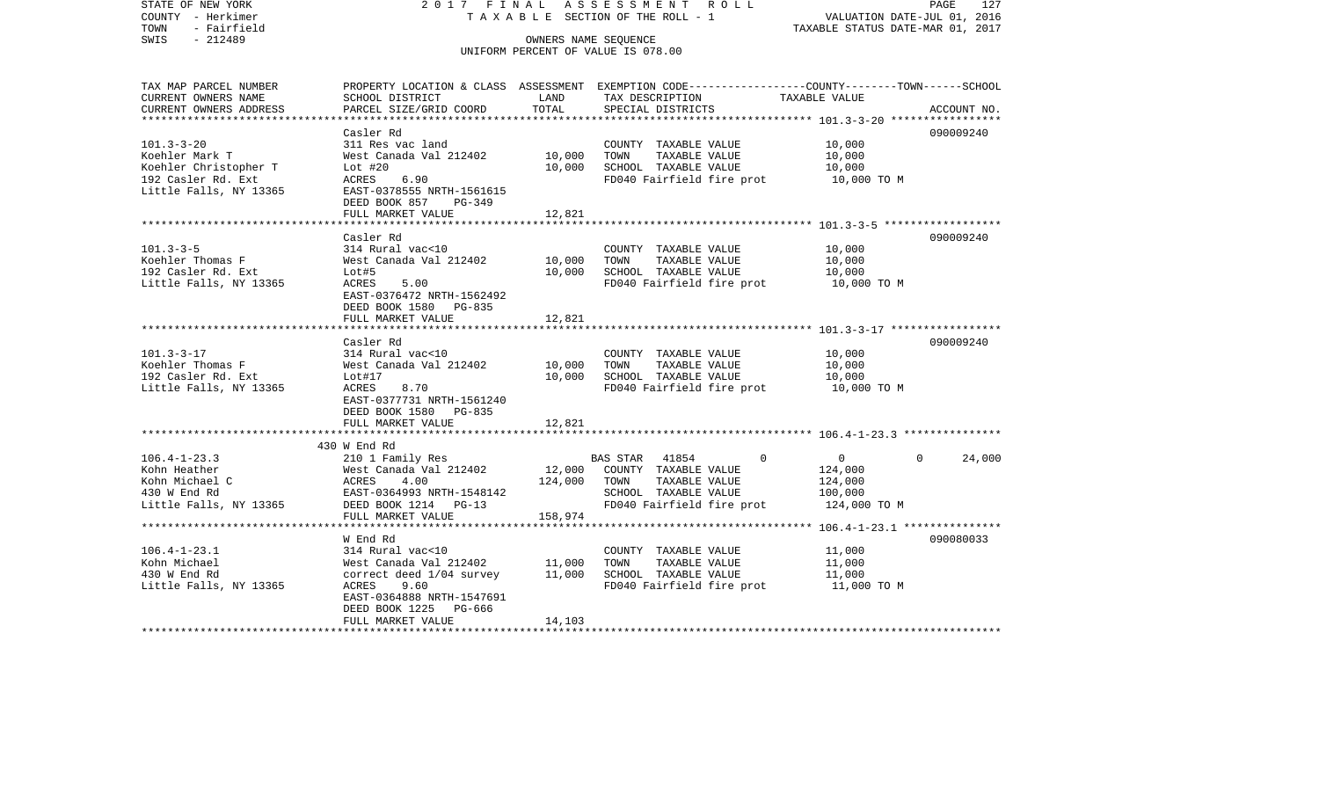| COUNTY<br>– Herkimer<br>TOWN<br>- Fairfield  | TAXABLE                                            |                        | SECTION OF THE ROLL - 1                                                                        | TAXABLE STATUS DATE-MAR 01, 2017 | VALUATION DATE-JUL 01, 2016 |
|----------------------------------------------|----------------------------------------------------|------------------------|------------------------------------------------------------------------------------------------|----------------------------------|-----------------------------|
| SWIS<br>$-212489$                            |                                                    |                        | OWNERS NAME SEQUENCE<br>UNIFORM PERCENT OF VALUE IS 078.00                                     |                                  |                             |
|                                              |                                                    |                        |                                                                                                |                                  |                             |
| TAX MAP PARCEL NUMBER                        |                                                    |                        | PROPERTY LOCATION & CLASS ASSESSMENT EXEMPTION CODE---------------COUNTY-------TOWN-----SCHOOL |                                  |                             |
| CURRENT OWNERS NAME                          | SCHOOL DISTRICT                                    | LAND                   | TAX DESCRIPTION                                                                                | TAXABLE VALUE                    |                             |
| CURRENT OWNERS ADDRESS                       | PARCEL SIZE/GRID COORD                             | TOTAL                  | SPECIAL DISTRICTS                                                                              |                                  | ACCOUNT NO.                 |
| ***********************                      | *************************                          |                        |                                                                                                |                                  |                             |
| $101.3 - 3 - 20$                             | Casler Rd                                          |                        |                                                                                                |                                  | 090009240                   |
| Koehler Mark T                               | 311 Res vac land<br>West Canada Val 212402         | 10,000                 | COUNTY TAXABLE VALUE<br>TOWN<br>TAXABLE VALUE                                                  | 10,000<br>10,000                 |                             |
| Koehler Christopher T                        | Lot $#20$                                          | 10,000                 | SCHOOL TAXABLE VALUE                                                                           | 10,000                           |                             |
| 192 Casler Rd. Ext                           | ACRES<br>6.90                                      |                        | FD040 Fairfield fire prot                                                                      | 10,000 TO M                      |                             |
| Little Falls, NY 13365                       | EAST-0378555 NRTH-1561615                          |                        |                                                                                                |                                  |                             |
|                                              | DEED BOOK 857<br>PG-349                            |                        |                                                                                                |                                  |                             |
|                                              | FULL MARKET VALUE                                  | 12,821                 |                                                                                                |                                  |                             |
|                                              | ***************************                        |                        |                                                                                                |                                  |                             |
|                                              | Casler Rd                                          |                        |                                                                                                |                                  | 090009240                   |
| $101.3 - 3 - 5$                              | 314 Rural vac<10                                   |                        | COUNTY TAXABLE VALUE                                                                           | 10,000                           |                             |
| Koehler Thomas F                             | West Canada Val 212402                             | 10,000                 | TOWN<br>TAXABLE VALUE                                                                          | 10,000                           |                             |
| 192 Casler Rd. Ext<br>Little Falls, NY 13365 | Lot#5<br>ACRES<br>5.00                             | 10,000                 | SCHOOL TAXABLE VALUE<br>FD040 Fairfield fire prot                                              | 10,000<br>10,000 TO M            |                             |
|                                              | EAST-0376472 NRTH-1562492                          |                        |                                                                                                |                                  |                             |
|                                              | DEED BOOK 1580 PG-835                              |                        |                                                                                                |                                  |                             |
|                                              | FULL MARKET VALUE                                  | 12,821                 |                                                                                                |                                  |                             |
|                                              |                                                    |                        |                                                                                                |                                  |                             |
|                                              | Casler Rd                                          |                        |                                                                                                |                                  | 090009240                   |
| $101.3 - 3 - 17$                             | 314 Rural vac<10                                   |                        | COUNTY TAXABLE VALUE                                                                           | 10,000                           |                             |
| Koehler Thomas F                             | West Canada Val 212402                             | 10,000                 | TOWN<br>TAXABLE VALUE                                                                          | 10,000                           |                             |
| 192 Casler Rd. Ext                           | Lot#17                                             | 10,000                 | SCHOOL TAXABLE VALUE                                                                           | 10,000                           |                             |
| Little Falls, NY 13365                       | ACRES<br>8.70                                      |                        | FD040 Fairfield fire prot                                                                      | 10,000 TO M                      |                             |
|                                              | EAST-0377731 NRTH-1561240<br>DEED BOOK 1580 PG-835 |                        |                                                                                                |                                  |                             |
|                                              | FULL MARKET VALUE                                  | 12,821                 |                                                                                                |                                  |                             |
|                                              | **********************                             | *************          |                                                                                                |                                  |                             |
|                                              | 430 W End Rd                                       |                        |                                                                                                |                                  |                             |
| $106.4 - 1 - 23.3$                           | 210 1 Family Res                                   |                        | <b>BAS STAR</b><br>41854<br>$\Omega$                                                           | $\circ$                          | 24,000<br>$\Omega$          |
| Kohn Heather                                 | West Canada Val 212402                             | 12,000                 | COUNTY TAXABLE VALUE                                                                           | 124,000                          |                             |
| Kohn Michael C                               | 4.00<br><b>ACRES</b>                               | 124,000                | TOWN<br>TAXABLE VALUE                                                                          | 124,000                          |                             |
| 430 W End Rd                                 | EAST-0364993 NRTH-1548142                          |                        | SCHOOL TAXABLE VALUE                                                                           | 100,000                          |                             |
| Little Falls, NY 13365                       | DEED BOOK 1214 PG-13                               |                        | FD040 Fairfield fire prot                                                                      | 124,000 TO M                     |                             |
|                                              | FULL MARKET VALUE<br>**************************    | 158,974<br>*********** |                                                                                                |                                  |                             |
|                                              | W End Rd                                           |                        |                                                                                                |                                  | 090080033                   |
| $106.4 - 1 - 23.1$                           | 314 Rural vac<10                                   |                        | COUNTY TAXABLE VALUE                                                                           | 11,000                           |                             |
| Kohn Michael                                 | West Canada Val 212402                             | 11,000                 | TOWN<br>TAXABLE VALUE                                                                          | 11,000                           |                             |
| 430 W End Rd                                 | correct deed 1/04 survey                           | 11,000                 | SCHOOL TAXABLE VALUE                                                                           | 11,000                           |                             |
| Little Falls, NY 13365                       | ACRES<br>9.60                                      |                        | FD040 Fairfield fire prot                                                                      | 11,000 TO M                      |                             |
|                                              | EAST-0364888 NRTH-1547691                          |                        |                                                                                                |                                  |                             |
|                                              | DEED BOOK 1225<br>PG-666                           |                        |                                                                                                |                                  |                             |
|                                              | FULL MARKET VALUE                                  | 14,103                 |                                                                                                |                                  |                             |
|                                              |                                                    |                        |                                                                                                |                                  |                             |

PAGE 127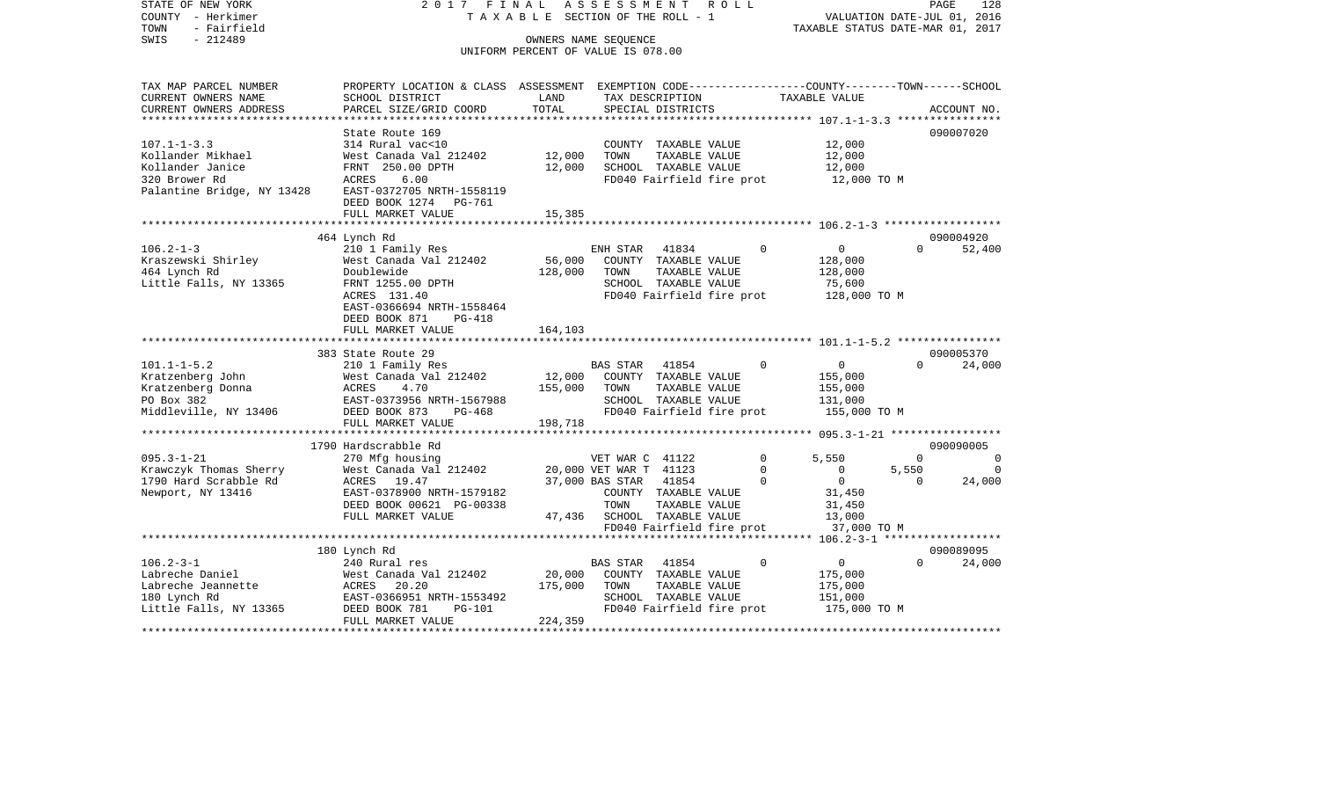STATE OF NEW YORK 2 0 1 7 F I N A L A S S E S S M E N T R O L L PAGE 128COUNTY - Herkimer **T A X A B L E SECTION OF THE ROLL - 1** VALUATION DATE-JUL 01, 2016 TOWN - Fairfield TAXABLE STATUS DATE-MAR 01, 2017 SWIS - 212489 OWNERS NAME SEQUENCE UNIFORM PERCENT OF VALUE IS 078.00TAX MAP PARCEL NUMBER PROPERTY LOCATION & CLASS ASSESSMENT EXEMPTION CODE------------------COUNTY--------TOWN------SCHOOL CURRENT OWNERS NAME SCHOOL DISTRICT LAND TAX DESCRIPTION TAXABLE VALUECURRENT OWNERS ADDRESS PARCEL SIZE/GRID COORD TOTAL SPECIAL DISTRICTS ACCOUNT NO. \*\*\*\*\*\*\*\*\*\*\*\*\*\*\*\*\*\*\*\*\*\*\*\*\*\*\*\*\*\*\*\*\*\*\*\*\*\*\*\*\*\*\*\*\*\*\*\*\*\*\*\*\*\*\*\*\*\*\*\*\*\*\*\*\*\*\*\*\*\*\*\*\*\*\*\*\*\*\*\*\*\*\*\*\*\*\*\*\*\*\*\*\*\*\*\*\*\*\*\*\*\*\* 107.1-1-3.3 \*\*\*\*\*\*\*\*\*\*\*\*\*\*\*\*State Route 169 090007020 107.1-1-3.3 314 Rural vac<10 COUNTY TAXABLE VALUE 12,000 Kollander Mikhael West Canada Val 212402 12,000 TOWN TAXABLE VALUE 12,000 Kollander Janice FRNT 250.00 DPTH 12,000 SCHOOL TAXABLE VALUE 12,000 320 Brower Rd
12,000 TO M
ACRES
6.00
Falantine Bridge, NY 13428
EAST-0372705 NRTH-1558119
BPALANTINE BRIDGE, NY 13428
EAST-0372705 NRTH-1558119
BPALANTINE BRIDGE, NY 13428
EAST-0372705 NRTH-1558119 Palantine Bridge, NY 13428 DEED BOOK 1274 PG-761FULL MARKET VALUE 15,385 \*\*\*\*\*\*\*\*\*\*\*\*\*\*\*\*\*\*\*\*\*\*\*\*\*\*\*\*\*\*\*\*\*\*\*\*\*\*\*\*\*\*\*\*\*\*\*\*\*\*\*\*\*\*\*\*\*\*\*\*\*\*\*\*\*\*\*\*\*\*\*\*\*\*\*\*\*\*\*\*\*\*\*\*\*\*\*\*\*\*\*\*\*\*\*\*\*\*\*\*\*\*\* 106.2-1-3 \*\*\*\*\*\*\*\*\*\*\*\*\*\*\*\*\*\* 464 Lynch Rd 090004920 106.2-1-3 210 1 Family Res ENH STAR 41834 0 0 0 0 Kraszewski Shirley West Canada Val 212402 56,000 COUNTY TAXABLE VALUE 128,000 464 Lynch Rd Doublewide 128,000 TOWN TAXABLE VALUE 128,000 Little Falls, NY 13365 FRNT 1255.00 DPTH SCHOOL TAXABLE VALUE 75,600 ACRES 131.40 FD040 Fairfield fire prot 128,000 TO M EAST-0366694 NRTH-1558464 DEED BOOK 871 PG-418FULL MARKET VALUE 164.103 \*\*\*\*\*\*\*\*\*\*\*\*\*\*\*\*\*\*\*\*\*\*\*\*\*\*\*\*\*\*\*\*\*\*\*\*\*\*\*\*\*\*\*\*\*\*\*\*\*\*\*\*\*\*\*\*\*\*\*\*\*\*\*\*\*\*\*\*\*\*\*\*\*\*\*\*\*\*\*\*\*\*\*\*\*\*\*\*\*\*\*\*\*\*\*\*\*\*\*\*\*\*\* 101.1-1-5.2 \*\*\*\*\*\*\*\*\*\*\*\*\*\*\*\* 383 State Route 29 090005370101.1-1-5.2 210 1 Family Res BAS STAR 41854 0 0 0 24,000 Kratzenberg John  $\blacksquare$  West Canada Val 212402 12,000 COUNTY TAXABLE VALUE 155,000 Kratzenberg Donna ACRES 4.70 155,000 TOWN TAXABLE VALUE 155,000 PO Box 382 EAST-0373956 NRTH-1567988 SCHOOL TAXABLE VALUE 131,000 Middleville, NY 13406 DEED BOOK 873 PG-468 FD040 Fairfield fire prot 155,000 TO M FULL MARKET VALUE 198,718 \*\*\*\*\*\*\*\*\*\*\*\*\*\*\*\*\*\*\*\*\*\*\*\*\*\*\*\*\*\*\*\*\*\*\*\*\*\*\*\*\*\*\*\*\*\*\*\*\*\*\*\*\*\*\*\*\*\*\*\*\*\*\*\*\*\*\*\*\*\*\*\*\*\*\*\*\*\*\*\*\*\*\*\*\*\*\*\*\*\*\*\*\*\*\*\*\*\*\*\*\*\*\* 095.3-1-21 \*\*\*\*\*\*\*\*\*\*\*\*\*\*\*\*\* 1790 Hardscrabble Rd 090090005095.3-1-21 270 Mfg housing VET WAR C 41122 0 5,550 0 0 Krawczyk Thomas Sherry West Canada Val 212402 20,000 VET WAR T  $41123$  0 0 5,550 0<br>1790 Hard Scrabble Rd acres 19.47 37.000 BAS STAR 41854 0 0 0 0 24.000 1790 Hard Scrabble Rd ACRES 19.47 37,000 BAS STAR 41854 0 0 0 24,000 Newport, NY 13416 EAST-0378900 NRTH-1579182 COUNTY TAXABLE VALUE 31,450 DEED BOOK 00621 PG-00338 TOWN TAXABLE VALUE 31,450 FULL MARKET VALUE  $47,436$  SCHOOL TAXABLE VALUE 13,000 FD040 Fairfield fire prot 37,000 TO M \*\*\*\*\*\*\*\*\*\*\*\*\*\*\*\*\*\*\*\*\*\*\*\*\*\*\*\*\*\*\*\*\*\*\*\*\*\*\*\*\*\*\*\*\*\*\*\*\*\*\*\*\*\*\*\*\*\*\*\*\*\*\*\*\*\*\*\*\*\*\*\*\*\*\*\*\*\*\*\*\*\*\*\*\*\*\*\*\*\*\*\*\*\*\*\*\*\*\*\*\*\*\* 106.2-3-1 \*\*\*\*\*\*\*\*\*\*\*\*\*\*\*\*\*\* 180 Lynch Rd 090089095 106.2-3-1 240 Rural res BAS STAR 41854 0 0 0 24,000 Labreche Daniel West Canada Val 212402 20,000 COUNTY TAXABLE VALUE 175,000 Labreche Jeannette ACRES 20.20 175,000 TOWN TAXABLE VALUE 175,000 180 Lynch Rd EAST-0366951 NRTH-1553492 SCHOOL TAXABLE VALUE 151,000 Little Falls, NY 13365  $DEED BOOK 781 PG-101$  FD040 Fairfield fire prot FULL MARKET VALUE 224,359 \*\*\*\*\*\*\*\*\*\*\*\*\*\*\*\*\*\*\*\*\*\*\*\*\*\*\*\*\*\*\*\*\*\*\*\*\*\*\*\*\*\*\*\*\*\*\*\*\*\*\*\*\*\*\*\*\*\*\*\*\*\*\*\*\*\*\*\*\*\*\*\*\*\*\*\*\*\*\*\*\*\*\*\*\*\*\*\*\*\*\*\*\*\*\*\*\*\*\*\*\*\*\*\*\*\*\*\*\*\*\*\*\*\*\*\*\*\*\*\*\*\*\*\*\*\*\*\*\*\*\*\*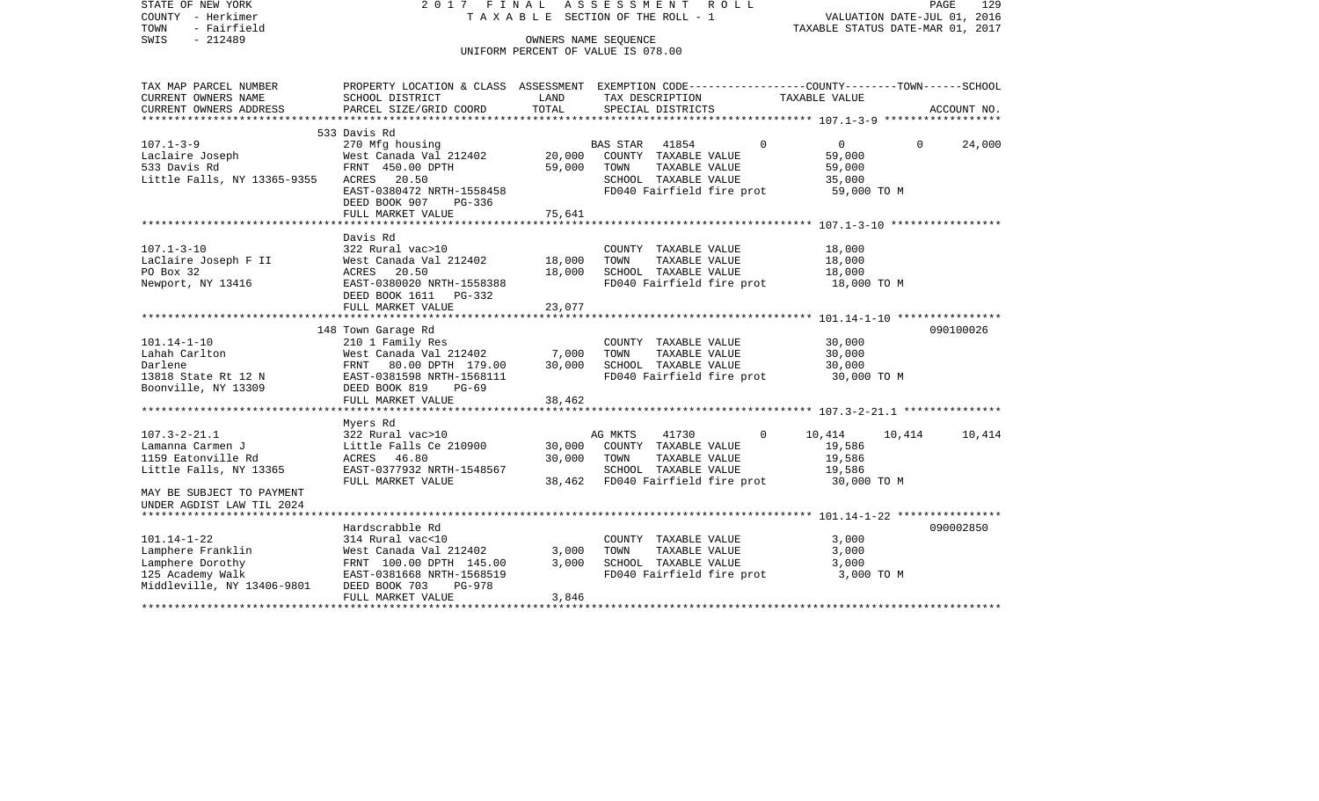| STATE OF NEW YORK<br>COUNTY - Herkimer<br>- Fairfield<br>TOWN<br>SWIS<br>$-212489$ | 2017 FINAL                                                                                                         |                | ASSESSMENT ROLL<br>TAXABLE SECTION OF THE ROLL - 1<br>OWNERS NAME SEQUENCE<br>UNIFORM PERCENT OF VALUE IS 078.00 |          | VALUATION DATE-JUL 01, 2016<br>TAXABLE STATUS DATE-MAR 01, 2017 | PAGE     | 129         |
|------------------------------------------------------------------------------------|--------------------------------------------------------------------------------------------------------------------|----------------|------------------------------------------------------------------------------------------------------------------|----------|-----------------------------------------------------------------|----------|-------------|
| TAX MAP PARCEL NUMBER<br>CURRENT OWNERS NAME                                       | PROPERTY LOCATION & CLASS ASSESSMENT EXEMPTION CODE----------------COUNTY-------TOWN-----SCHOOL<br>SCHOOL DISTRICT | LAND           | TAX DESCRIPTION                                                                                                  |          | TAXABLE VALUE                                                   |          |             |
| CURRENT OWNERS ADDRESS                                                             | PARCEL SIZE/GRID COORD                                                                                             | TOTAL          | SPECIAL DISTRICTS                                                                                                |          |                                                                 |          | ACCOUNT NO. |
|                                                                                    |                                                                                                                    |                |                                                                                                                  |          |                                                                 |          |             |
|                                                                                    | 533 Davis Rd                                                                                                       |                |                                                                                                                  |          |                                                                 |          |             |
| $107.1 - 3 - 9$                                                                    | 270 Mfg housing                                                                                                    |                | BAS STAR<br>41854                                                                                                | $\Omega$ | $\overline{0}$                                                  | $\Omega$ | 24,000      |
| Laclaire Joseph                                                                    | West Canada Val 212402                                                                                             | 20,000         | COUNTY TAXABLE VALUE                                                                                             |          | 59,000                                                          |          |             |
| 533 Davis Rd                                                                       | FRNT 450.00 DPTH                                                                                                   | 59,000         | TOWN<br>TAXABLE VALUE                                                                                            |          | 59,000                                                          |          |             |
| Little Falls, NY 13365-9355                                                        | ACRES 20.50<br>EAST-0380472 NRTH-1558458                                                                           |                | SCHOOL TAXABLE VALUE<br>FD040 Fairfield fire prot                                                                |          | 35,000<br>59,000 TO M                                           |          |             |
|                                                                                    | DEED BOOK 907<br>PG-336                                                                                            |                |                                                                                                                  |          |                                                                 |          |             |
|                                                                                    | FULL MARKET VALUE                                                                                                  | 75,641         |                                                                                                                  |          |                                                                 |          |             |
|                                                                                    |                                                                                                                    |                |                                                                                                                  |          |                                                                 |          |             |
|                                                                                    | Davis Rd                                                                                                           |                |                                                                                                                  |          |                                                                 |          |             |
| $107.1 - 3 - 10$                                                                   | 322 Rural vac>10                                                                                                   |                | COUNTY TAXABLE VALUE                                                                                             |          | 18,000                                                          |          |             |
| LaClaire Joseph F II                                                               | West Canada Val 212402                                                                                             | 18,000         | TOWN<br>TAXABLE VALUE                                                                                            |          | 18,000                                                          |          |             |
| PO Box 32                                                                          | ACRES 20.50                                                                                                        | 18,000         | SCHOOL TAXABLE VALUE                                                                                             |          | 18,000                                                          |          |             |
| Newport, NY 13416                                                                  | EAST-0380020 NRTH-1558388                                                                                          |                | FD040 Fairfield fire prot                                                                                        |          | 18,000 TO M                                                     |          |             |
|                                                                                    | DEED BOOK 1611<br>PG-332<br>FULL MARKET VALUE                                                                      | 23,077         |                                                                                                                  |          |                                                                 |          |             |
|                                                                                    |                                                                                                                    |                |                                                                                                                  |          |                                                                 |          |             |
|                                                                                    | 148 Town Garage Rd                                                                                                 |                |                                                                                                                  |          |                                                                 |          | 090100026   |
| $101.14 - 1 - 10$                                                                  | 210 1 Family Res                                                                                                   |                | COUNTY TAXABLE VALUE                                                                                             |          | 30,000                                                          |          |             |
| Lahah Carlton                                                                      | West Canada Val 212402                                                                                             | 7,000          | TOWN<br>TAXABLE VALUE                                                                                            |          | 30,000                                                          |          |             |
| Darlene                                                                            | FRNT 80.00 DPTH 179.00                                                                                             | 30,000         | SCHOOL TAXABLE VALUE                                                                                             |          | 30,000                                                          |          |             |
| 13818 State Rt 12 N                                                                | EAST-0381598 NRTH-1568111                                                                                          |                | FD040 Fairfield fire prot                                                                                        |          | 30,000 TO M                                                     |          |             |
| Boonville, NY 13309                                                                | DEED BOOK 819<br>$PG-69$                                                                                           |                |                                                                                                                  |          |                                                                 |          |             |
|                                                                                    | FULL MARKET VALUE                                                                                                  | 38,462         |                                                                                                                  |          |                                                                 |          |             |
|                                                                                    | Myers Rd                                                                                                           |                |                                                                                                                  |          |                                                                 |          |             |
| $107.3 - 2 - 21.1$                                                                 | 322 Rural vac>10                                                                                                   |                | AG MKTS<br>41730                                                                                                 | $\Omega$ | 10,414                                                          | 10,414   | 10,414      |
| Lamanna Carmen J                                                                   | Little Falls Ce 210900                                                                                             | 30,000         | COUNTY TAXABLE VALUE                                                                                             |          | 19,586                                                          |          |             |
| 1159 Eatonville Rd                                                                 | ACRES 46.80                                                                                                        | 30,000         | TOWN<br>TAXABLE VALUE                                                                                            |          | 19,586                                                          |          |             |
| Little Falls, NY 13365                                                             | EAST-0377932 NRTH-1548567                                                                                          |                | SCHOOL TAXABLE VALUE                                                                                             |          | 19,586                                                          |          |             |
|                                                                                    | FULL MARKET VALUE                                                                                                  | 38,462         | FD040 Fairfield fire prot                                                                                        |          | 30,000 TO M                                                     |          |             |
| MAY BE SUBJECT TO PAYMENT<br>UNDER AGDIST LAW TIL 2024                             |                                                                                                                    |                |                                                                                                                  |          |                                                                 |          |             |
|                                                                                    |                                                                                                                    |                |                                                                                                                  |          |                                                                 |          |             |
|                                                                                    | Hardscrabble Rd                                                                                                    |                |                                                                                                                  |          |                                                                 |          | 090002850   |
| $101.14 - 1 - 22$                                                                  | 314 Rural vac<10                                                                                                   |                | COUNTY TAXABLE VALUE                                                                                             |          | 3,000                                                           |          |             |
| Lamphere Franklin<br>Lamphere Dorothy                                              | West Canada Val 212402                                                                                             | 3,000<br>3,000 | TAXABLE VALUE<br>TOWN<br>SCHOOL TAXABLE VALUE                                                                    |          | 3,000                                                           |          |             |
| 125 Academy Walk                                                                   | FRNT 100.00 DPTH 145.00<br>EAST-0381668 NRTH-1568519                                                               |                | FD040 Fairfield fire prot                                                                                        |          | 3,000<br>3,000 TO M                                             |          |             |
| Middleville, NY 13406-9801                                                         | DEED BOOK 703<br>PG-978                                                                                            |                |                                                                                                                  |          |                                                                 |          |             |
|                                                                                    | FULL MARKET VALUE                                                                                                  | 3,846          |                                                                                                                  |          |                                                                 |          |             |
|                                                                                    |                                                                                                                    |                |                                                                                                                  |          |                                                                 |          |             |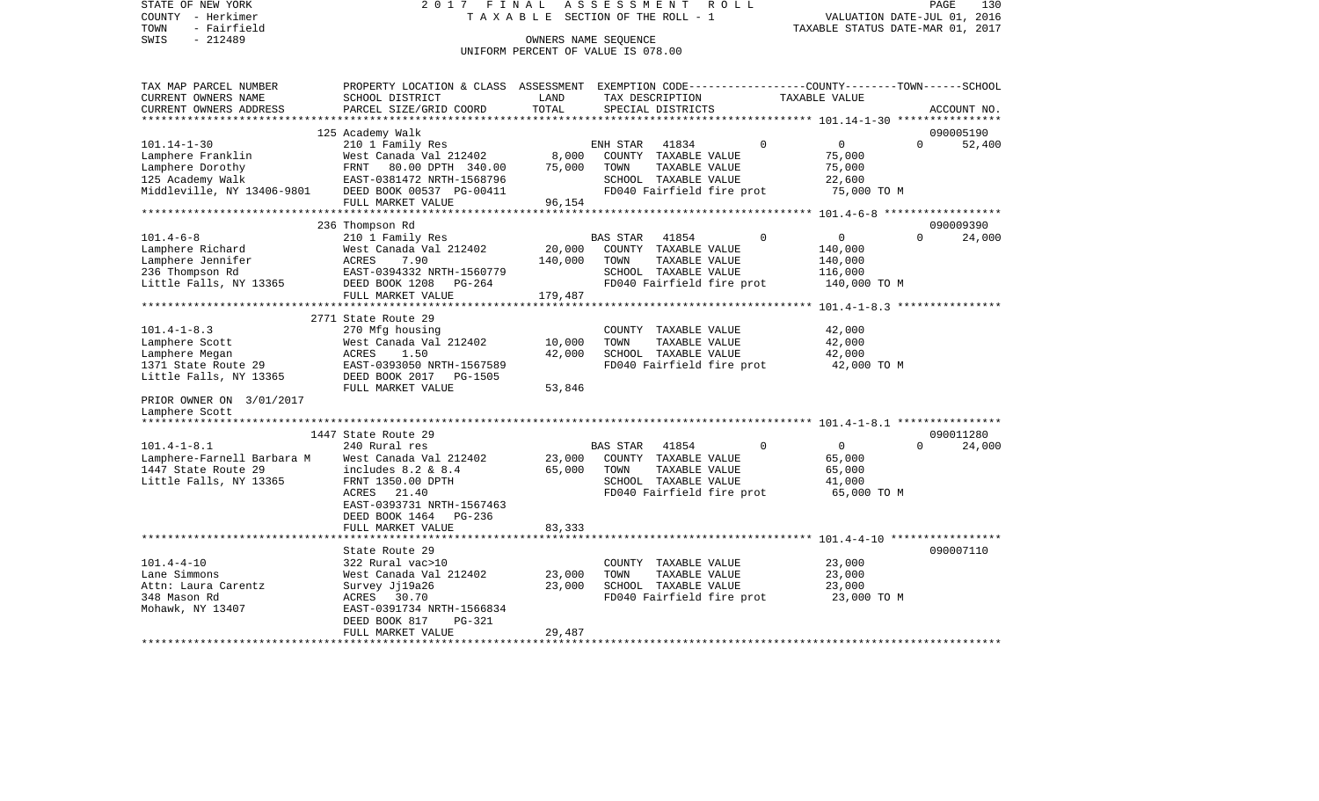STATE OF NEW YORK 2 0 1 7 F I N A L A S S E S S M E N T R O L L PAGE 130COUNTY - Herkimer **T A X A B L E** SECTION OF THE ROLL - 1 VALUATION DATE-JUL 01, 2016 TOWN - Fairfield TAXABLE STATUS DATE-MAR 01, 2017 SWIS - 212489 CONNERS NAME SEQUENCE UNIFORM PERCENT OF VALUE IS 078.00TAX MAP PARCEL NUMBER PROPERTY LOCATION & CLASS ASSESSMENT EXEMPTION CODE------------------COUNTY--------TOWN------SCHOOL CURRENT OWNERS NAME SCHOOL DISTRICT LAND TAX DESCRIPTION TAXABLE VALUECURRENT OWNERS ADDRESS PARCEL SIZE/GRID COORD TOTAL SPECIAL DISTRICTS ACCOUNT NO. \*\*\*\*\*\*\*\*\*\*\*\*\*\*\*\*\*\*\*\*\*\*\*\*\*\*\*\*\*\*\*\*\*\*\*\*\*\*\*\*\*\*\*\*\*\*\*\*\*\*\*\*\*\*\*\*\*\*\*\*\*\*\*\*\*\*\*\*\*\*\*\*\*\*\*\*\*\*\*\*\*\*\*\*\*\*\*\*\*\*\*\*\*\*\*\*\*\*\*\*\*\*\* 101.14-1-30 \*\*\*\*\*\*\*\*\*\*\*\*\*\*\*\* 125 Academy Walk 090005190 101.14-1-30 210 1 Family Res ENH STAR 41834 0 0 0 52,400 Lamphere Franklin West Canada Val 212402 8,000 COUNTY TAXABLE VALUE 75,000 Lamphere Dorothy FRNT 80.00 DPTH 340.00 75,000 TOWN TAXABLE VALUE 75,000 125 Academy Walk EAST-0381472 NRTH-1568796 SCHOOL TAXABLE VALUE 22,600 Middleville, NY 13406-9801 DEED BOOK 00537 PG-00411 FD040 Fairfield fire prot 75,000 TO M FULL MARKET VALUE 96,154 \*\*\*\*\*\*\*\*\*\*\*\*\*\*\*\*\*\*\*\*\*\*\*\*\*\*\*\*\*\*\*\*\*\*\*\*\*\*\*\*\*\*\*\*\*\*\*\*\*\*\*\*\*\*\*\*\*\*\*\*\*\*\*\*\*\*\*\*\*\*\*\*\*\*\*\*\*\*\*\*\*\*\*\*\*\*\*\*\*\*\*\*\*\*\*\*\*\*\*\*\*\*\* 101.4-6-8 \*\*\*\*\*\*\*\*\*\*\*\*\*\*\*\*\*\* 236 Thompson Rd 090009390 101.4-6-8 210 1 Family Res BAS STAR 41854 0 0 0 24,000 Lamphere Richard West Canada Val 212402 20,000 COUNTY TAXABLE VALUE 140,000 Lamphere Jennifer  $ACRES$  7.90 140,000 TOWN TAXABLE VALUE 140,000 236 Thompson Rd EAST-0394332 NRTH-1560779 SCHOOL TAXABLE VALUE 116,000 Little Falls, NY 13365 DEED BOOK 1208 PG-264 FD040 Fairfield fire prot 140,000 TO M FULL MARKET VALUE 179,487 \*\*\*\*\*\*\*\*\*\*\*\*\*\*\*\*\*\*\*\*\*\*\*\*\*\*\*\*\*\*\*\*\*\*\*\*\*\*\*\*\*\*\*\*\*\*\*\*\*\*\*\*\*\*\*\*\*\*\*\*\*\*\*\*\*\*\*\*\*\*\*\*\*\*\*\*\*\*\*\*\*\*\*\*\*\*\*\*\*\*\*\*\*\*\*\*\*\*\*\*\*\*\* 101.4-1-8.3 \*\*\*\*\*\*\*\*\*\*\*\*\*\*\*\* 2771 State Route 29101.4-1-8.3 270 Mfg housing COUNTY TAXABLE VALUE 42,000 Lamphere Scott  $\sim$  West Canada Val 212402 10,000 TOWN TAXABLE VALUE 42,000 Lamphere Megan  $ACRES$  1.50  $42,000$  SCHOOL TAXABLE VALUE  $42,000$ 1371 State Route 29 EAST-0393050 NRTH-1567589 FD040 Fairfield fire prot 42,000 TO M Little Falls, NY 13365 DEED BOOK 2017 PG-1505 FULL MARKET VALUE 53,846 PRIOR OWNER ON 3/01/2017 Lamphere Scott \*\*\*\*\*\*\*\*\*\*\*\*\*\*\*\*\*\*\*\*\*\*\*\*\*\*\*\*\*\*\*\*\*\*\*\*\*\*\*\*\*\*\*\*\*\*\*\*\*\*\*\*\*\*\*\*\*\*\*\*\*\*\*\*\*\*\*\*\*\*\*\*\*\*\*\*\*\*\*\*\*\*\*\*\*\*\*\*\*\*\*\*\*\*\*\*\*\*\*\*\*\*\* 101.4-1-8.1 \*\*\*\*\*\*\*\*\*\*\*\*\*\*\*\* 1447 State Route 29 090011280101.4-1-8.1 240 Rural res BAS STAR 41854 0 0 0 24,000 Lamphere-Farnell Barbara M West Canada Val 212402 23,000 COUNTY TAXABLE VALUE 65,000 1447 State Route 29 includes 8.2 & 8.4 65,000 TOWN TAXABLE VALUE 65,000 Little Falls, NY 13365 FRNT 1350.00 DPTH SCHOOL TAXABLE VALUE 41,000 ACRES 21.40 **FD040** Fairfield fire prot 65,000 TO M EAST-0393731 NRTH-1567463 DEED BOOK 1464 PG-236 FULL MARKET VALUE 83,333 \*\*\*\*\*\*\*\*\*\*\*\*\*\*\*\*\*\*\*\*\*\*\*\*\*\*\*\*\*\*\*\*\*\*\*\*\*\*\*\*\*\*\*\*\*\*\*\*\*\*\*\*\*\*\*\*\*\*\*\*\*\*\*\*\*\*\*\*\*\*\*\*\*\*\*\*\*\*\*\*\*\*\*\*\*\*\*\*\*\*\*\*\*\*\*\*\*\*\*\*\*\*\* 101.4-4-10 \*\*\*\*\*\*\*\*\*\*\*\*\*\*\*\*\*State Route 29 090007110 101.4-4-10 322 Rural vac>10 COUNTY TAXABLE VALUE 23,000 Lane Simmons 6 6 23,000 West Canada Val 212402 23,000 TOWN TAXABLE VALUE 23,000 Attn: Laura Carentz Survey Jj19a26 23,000 SCHOOL TAXABLE VALUE 23,000 348 Mason Rd ACRES 30.70 FD040 Fairfield fire prot 23,000 TO M Mohawk, NY 13407 EAST-0391734 NRTH-1566834 DEED BOOK 817 PG-321FULL MARKET VALUE 29,487 \*\*\*\*\*\*\*\*\*\*\*\*\*\*\*\*\*\*\*\*\*\*\*\*\*\*\*\*\*\*\*\*\*\*\*\*\*\*\*\*\*\*\*\*\*\*\*\*\*\*\*\*\*\*\*\*\*\*\*\*\*\*\*\*\*\*\*\*\*\*\*\*\*\*\*\*\*\*\*\*\*\*\*\*\*\*\*\*\*\*\*\*\*\*\*\*\*\*\*\*\*\*\*\*\*\*\*\*\*\*\*\*\*\*\*\*\*\*\*\*\*\*\*\*\*\*\*\*\*\*\*\*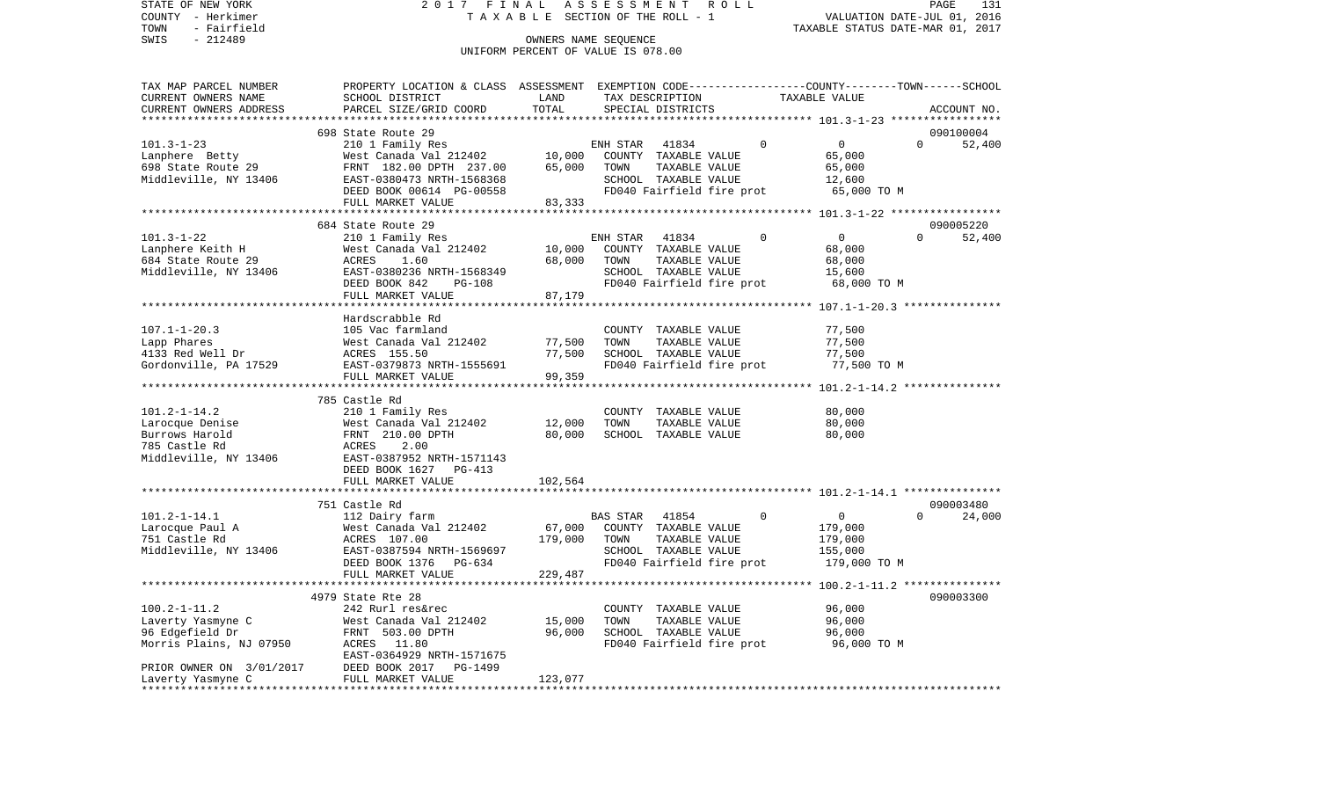STATE OF NEW YORK 2 0 1 7 F I N A L A S S E S S M E N T R O L L PAGE 131COUNTY - Herkimer **T A X A B L E** SECTION OF THE ROLL - 1 VALUATION DATE-JUL 01, 2016 TOWN - Fairfield TAXABLE STATUS DATE-MAR 01, 2017 SWIS - 212489 CONNERS NAME SEQUENCE UNIFORM PERCENT OF VALUE IS 078.00

TAX MAP PARCEL NUMBER PROPERTY LOCATION & CLASS ASSESSMENT EXEMPTION CODE------------------COUNTY--------TOWN------SCHOOL

CURRENT OWNERS NAME SCHOOL DISTRICT LAND TAX DESCRIPTION TAXABLE VALUECURRENT OWNERS ADDRESS PARCEL SIZE/GRID COORD TOTAL SPECIAL DISTRICTS ACCOUNT NO. \*\*\*\*\*\*\*\*\*\*\*\*\*\*\*\*\*\*\*\*\*\*\*\*\*\*\*\*\*\*\*\*\*\*\*\*\*\*\*\*\*\*\*\*\*\*\*\*\*\*\*\*\*\*\*\*\*\*\*\*\*\*\*\*\*\*\*\*\*\*\*\*\*\*\*\*\*\*\*\*\*\*\*\*\*\*\*\*\*\*\*\*\*\*\*\*\*\*\*\*\*\*\* 101.3-1-23 \*\*\*\*\*\*\*\*\*\*\*\*\*\*\*\*\* 698 State Route 29 090100004101.3-1-23 210 1 Family Res ENH STAR 41834 0 0 0 52,400 Lanphere Betty 65,000 West Canada Val 212402 10,000 COUNTY TAXABLE VALUE 65,000 698 State Route 29 FRNT 182.00 DPTH 237.00 65,000 TOWN TAXABLE VALUE 65,000 Middleville, NY 13406 EAST-0380473 NRTH-1568368 SCHOOL TAXABLE VALUE 12,600 DEED BOOK 00614 PG-00558 FD040 Fairfield fire prot 65,000 TO M FULL MARKET VALUE 83,333 \*\*\*\*\*\*\*\*\*\*\*\*\*\*\*\*\*\*\*\*\*\*\*\*\*\*\*\*\*\*\*\*\*\*\*\*\*\*\*\*\*\*\*\*\*\*\*\*\*\*\*\*\*\*\*\*\*\*\*\*\*\*\*\*\*\*\*\*\*\*\*\*\*\*\*\*\*\*\*\*\*\*\*\*\*\*\*\*\*\*\*\*\*\*\*\*\*\*\*\*\*\*\* 101.3-1-22 \*\*\*\*\*\*\*\*\*\*\*\*\*\*\*\*\* 684 State Route 29 090005220101.3-1-22 210 1 Family Res ENH STAR 41834 0 0 0 52,400 Lanphere Keith H West Canada Val 212402 10,000 COUNTY TAXABLE VALUE 68,000 684 State Route 29 ACRES 1.60 68,000 TOWN TAXABLE VALUE 68,000 Middleville, NY 13406 EAST-0380236 NRTH-1568349 SCHOOL TAXABLE VALUE 15,600 DEED BOOK 842 PG-108 FD040 Fairfield fire prot 68,000 TO M FULL MARKET VALUE 87,179 \*\*\*\*\*\*\*\*\*\*\*\*\*\*\*\*\*\*\*\*\*\*\*\*\*\*\*\*\*\*\*\*\*\*\*\*\*\*\*\*\*\*\*\*\*\*\*\*\*\*\*\*\*\*\*\*\*\*\*\*\*\*\*\*\*\*\*\*\*\*\*\*\*\*\*\*\*\*\*\*\*\*\*\*\*\*\*\*\*\*\*\*\*\*\*\*\*\*\*\*\*\*\* 107.1-1-20.3 \*\*\*\*\*\*\*\*\*\*\*\*\*\*\* Hardscrabble Rd107.1-1-20.3 105 Vac farmland COUNTY TAXABLE VALUE 77,500 Lapp Phares West Canada Val 212402 77,500 TOWN TAXABLE VALUE 77,500 4133 Red Well Dr ACRES 155.50 77,500 SCHOOL TAXABLE VALUE 77,500 Gordonville, PA 17529 EAST-0379873 NRTH-1555691 FD040 Fairfield fire prot 37,500 TO M FULL MARKET VALUE 99,359 \*\*\*\*\*\*\*\*\*\*\*\*\*\*\*\*\*\*\*\*\*\*\*\*\*\*\*\*\*\*\*\*\*\*\*\*\*\*\*\*\*\*\*\*\*\*\*\*\*\*\*\*\*\*\*\*\*\*\*\*\*\*\*\*\*\*\*\*\*\*\*\*\*\*\*\*\*\*\*\*\*\*\*\*\*\*\*\*\*\*\*\*\*\*\*\*\*\*\*\*\*\*\* 101.2-1-14.2 \*\*\*\*\*\*\*\*\*\*\*\*\*\*\* 785 Castle Rd101.2-1-14.2 210 1 Family Res COUNTY TAXABLE VALUE 80,000 Larocque Denise West Canada Val 212402 12,000 TOWN TAXABLE VALUE 80,000 Burrows Harold FRNT 210.00 DPTH 80,000 SCHOOL TAXABLE VALUE 80,000 785 Castle Rd ACRES 2.00 Middleville, NY 13406 EAST-0387952 NRTH-1571143 DEED BOOK 1627 PG-413FULL MARKET VALUE 102.564 \*\*\*\*\*\*\*\*\*\*\*\*\*\*\*\*\*\*\*\*\*\*\*\*\*\*\*\*\*\*\*\*\*\*\*\*\*\*\*\*\*\*\*\*\*\*\*\*\*\*\*\*\*\*\*\*\*\*\*\*\*\*\*\*\*\*\*\*\*\*\*\*\*\*\*\*\*\*\*\*\*\*\*\*\*\*\*\*\*\*\*\*\*\*\*\*\*\*\*\*\*\*\* 101.2-1-14.1 \*\*\*\*\*\*\*\*\*\*\*\*\*\*\* 751 Castle Rd 090003480101.2-1-14.1 112 Dairy farm BAS STAR 41854 0 0 0 24,000 Larocque Paul A West Canada Val 212402 67,000 COUNTY TAXABLE VALUE 179,000 751 Castle Rd ACRES 107.00 179,000 TOWN TAXABLE VALUE 179,000 Middleville, NY 13406 EAST-0387594 NRTH-1569697 SCHOOL TAXABLE VALUE 155,000 DEED BOOK 1376 PG-634 FD040 Fairfield fire prot 179,000 TO M FULL MARKET VALUE 229,487 \*\*\*\*\*\*\*\*\*\*\*\*\*\*\*\*\*\*\*\*\*\*\*\*\*\*\*\*\*\*\*\*\*\*\*\*\*\*\*\*\*\*\*\*\*\*\*\*\*\*\*\*\*\*\*\*\*\*\*\*\*\*\*\*\*\*\*\*\*\*\*\*\*\*\*\*\*\*\*\*\*\*\*\*\*\*\*\*\*\*\*\*\*\*\*\*\*\*\*\*\*\*\* 100.2-1-11.2 \*\*\*\*\*\*\*\*\*\*\*\*\*\*\* 4979 State Rte 28 090003300100.2-1-11.2 242 Rurl res&rec COUNTY TAXABLE VALUE 96,000 Laverty Yasmyne C West Canada Val 212402 15,000 TOWN TAXABLE VALUE 96,000 96 Edgefield Dr FRNT 503.00 DPTH 96,000 SCHOOL TAXABLE VALUE 96,000 Morris Plains, NJ 07950 ACRES 11.80 ACRES 11.80 FD040 Fairfield fire prot 96,000 TO M EAST-0364929 NRTH-1571675 PRIOR OWNER ON 3/01/2017 DEED BOOK 2017 PG-1499 Laverty Yasmyne C FULL MARKET VALUE 123,077 \*\*\*\*\*\*\*\*\*\*\*\*\*\*\*\*\*\*\*\*\*\*\*\*\*\*\*\*\*\*\*\*\*\*\*\*\*\*\*\*\*\*\*\*\*\*\*\*\*\*\*\*\*\*\*\*\*\*\*\*\*\*\*\*\*\*\*\*\*\*\*\*\*\*\*\*\*\*\*\*\*\*\*\*\*\*\*\*\*\*\*\*\*\*\*\*\*\*\*\*\*\*\*\*\*\*\*\*\*\*\*\*\*\*\*\*\*\*\*\*\*\*\*\*\*\*\*\*\*\*\*\*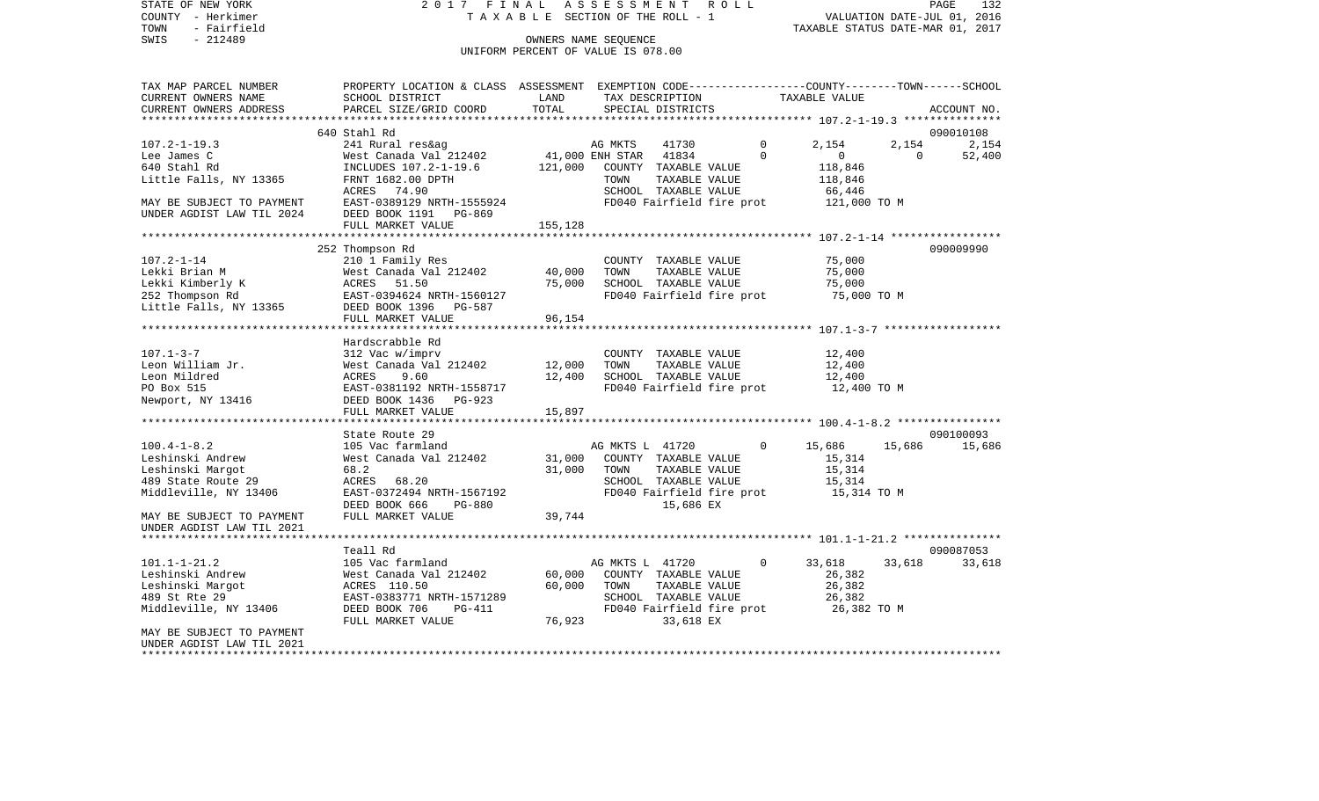STATE OF NEW YORK 2017 FINAL ASSESSMENT ROLL COUNTY - Herkimer T A X A B L E SECTION OF THE ROLL - 1 TOWN - Fairfield TAXABLE STATUS DATE-MAR 01, 2017 SWIS - Fairfield<br>
SWIS - 212489 OWNERS NAME SEQUENCE

UNIFORM PERCENT OF VALUE IS 078.00

| TAX MAP PARCEL NUMBER                     | PROPERTY LOCATION & CLASS ASSESSMENT EXEMPTION CODE---------------COUNTY-------TOWN------SCHOOL |         |                                     |                |                |          |             |
|-------------------------------------------|-------------------------------------------------------------------------------------------------|---------|-------------------------------------|----------------|----------------|----------|-------------|
| CURRENT OWNERS NAME                       | SCHOOL DISTRICT                                                                                 | LAND    | TAX DESCRIPTION                     |                | TAXABLE VALUE  |          |             |
| CURRENT OWNERS ADDRESS                    | PARCEL SIZE/GRID COORD                                                                          | TOTAL   | SPECIAL DISTRICTS                   |                |                |          | ACCOUNT NO. |
|                                           |                                                                                                 |         |                                     |                |                |          |             |
|                                           | 640 Stahl Rd                                                                                    |         |                                     |                |                |          | 090010108   |
| $107.2 - 1 - 19.3$                        | 241 Rural res&ag                                                                                |         | 41730                               | $\mathbf 0$    | 2,154          | 2,154    | 2,154       |
| Lee James C                               | West Canada Val 212402                                                                          |         | AG MKTS<br>41,000 ENH STAR<br>41834 | $\Omega$       | $\overline{0}$ | $\Omega$ | 52,400      |
| 640 Stahl Rd                              | INCLUDES 107.2-1-19.6 121,000                                                                   |         | COUNTY TAXABLE VALUE                |                | 118,846        |          |             |
| Little Falls, NY 13365                    | FRNT 1682.00 DPTH                                                                               |         | TOWN<br>TAXABLE VALUE               |                | 118,846        |          |             |
|                                           | ACRES 74.90                                                                                     |         | SCHOOL TAXABLE VALUE                |                | 66,446         |          |             |
| MAY BE SUBJECT TO PAYMENT                 | EAST-0389129 NRTH-1555924                                                                       |         | FD040 Fairfield fire prot           |                | 121,000 TO M   |          |             |
| UNDER AGDIST LAW TIL 2024                 | DEED BOOK 1191 PG-869                                                                           |         |                                     |                |                |          |             |
|                                           | FULL MARKET VALUE                                                                               | 155,128 |                                     |                |                |          |             |
|                                           |                                                                                                 |         |                                     |                |                |          |             |
|                                           | 252 Thompson Rd                                                                                 |         |                                     |                |                |          | 090009990   |
| $107.2 - 1 - 14$                          | 210 1 Family Res                                                                                |         | COUNTY TAXABLE VALUE                |                | 75,000         |          |             |
| Lekki Brian M                             | West Canada Val 212402                                                                          | 40,000  | TOWN<br>TAXABLE VALUE               |                | 75,000         |          |             |
| Lekki Kimberly K                          | ACRES 51.50                                                                                     | 75,000  | SCHOOL TAXABLE VALUE                |                | 75,000         |          |             |
| 252 Thompson Rd                           | EAST-0394624 NRTH-1560127                                                                       |         | FD040 Fairfield fire prot           |                | 75,000 TO M    |          |             |
| 252 Thompson Rd<br>Little Falls, NY 13365 | DEED BOOK 1396 PG-587                                                                           |         |                                     |                |                |          |             |
|                                           | FULL MARKET VALUE                                                                               | 96,154  |                                     |                |                |          |             |
|                                           |                                                                                                 |         |                                     |                |                |          |             |
|                                           | Hardscrabble Rd                                                                                 |         |                                     |                |                |          |             |
| $107.1 - 3 - 7$                           | 312 Vac w/imprv                                                                                 |         | COUNTY TAXABLE VALUE                |                | 12,400         |          |             |
| Leon William Jr.                          | West Canada Val 212402                                                                          | 12,000  | TOWN<br>TAXABLE VALUE               |                | 12,400         |          |             |
| Leon Mildred                              | 9.60<br>ACRES                                                                                   | 12,400  | SCHOOL TAXABLE VALUE                |                | 12,400         |          |             |
| PO Box 515                                | EAST-0381192 NRTH-1558717                                                                       |         | FD040 Fairfield fire prot           |                | 12,400 TO M    |          |             |
| Newport, NY 13416                         | DEED BOOK 1436 PG-923                                                                           |         |                                     |                |                |          |             |
|                                           | FULL MARKET VALUE                                                                               | 15,897  |                                     |                |                |          |             |
|                                           |                                                                                                 |         |                                     |                |                |          |             |
|                                           | State Route 29                                                                                  |         |                                     |                |                |          | 090100093   |
| $100.4 - 1 - 8.2$                         | 105 Vac farmland                                                                                |         | AG MKTS L 41720                     | $\Omega$       | 15,686         | 15,686   | 15,686      |
| Leshinski Andrew                          | West Canada Val 212402                                                                          | 31,000  | COUNTY TAXABLE VALUE                |                | 15,314         |          |             |
| Leshinski Margot                          | 68.2                                                                                            | 31,000  | TOWN<br>TAXABLE VALUE               |                | 15,314         |          |             |
| 489 State Route 29                        | ACRES 68.20                                                                                     |         | SCHOOL TAXABLE VALUE                |                | 15,314         |          |             |
| Middleville, NY 13406                     | EAST-0372494 NRTH-1567192                                                                       |         | FD040 Fairfield fire prot           |                | 15,314 TO M    |          |             |
|                                           | DEED BOOK 666<br>PG-880                                                                         |         | 15,686 EX                           |                |                |          |             |
| MAY BE SUBJECT TO PAYMENT                 | FULL MARKET VALUE                                                                               | 39,744  |                                     |                |                |          |             |
| UNDER AGDIST LAW TIL 2021                 |                                                                                                 |         |                                     |                |                |          |             |
|                                           |                                                                                                 |         |                                     |                |                |          |             |
|                                           | Teall Rd                                                                                        |         |                                     |                |                |          | 090087053   |
| $101.1 - 1 - 21.2$                        | 105 Vac farmland                                                                                |         | AG MKTS L 41720                     | $\overline{0}$ | 33,618         | 33,618   | 33,618      |
| Leshinski Andrew                          | West Canada Val 212402                                                                          | 60,000  | COUNTY TAXABLE VALUE                |                | 26,382         |          |             |
| Leshinski Margot                          | ACRES 110.50                                                                                    | 60,000  | TOWN<br>TAXABLE VALUE               |                | 26,382         |          |             |
| 489 St Rte 29                             | EAST-0383771 NRTH-1571289                                                                       |         | SCHOOL TAXABLE VALUE                |                | 26,382         |          |             |
| Middleville, NY 13406                     | DEED BOOK 706<br>$PG-411$                                                                       |         | FD040 Fairfield fire prot           |                | 26,382 TO M    |          |             |
|                                           | FULL MARKET VALUE                                                                               | 76,923  | 33,618 EX                           |                |                |          |             |
| MAY BE SUBJECT TO PAYMENT                 |                                                                                                 |         |                                     |                |                |          |             |
| UNDER AGDIST LAW TIL 2021                 |                                                                                                 |         |                                     |                |                |          |             |
|                                           |                                                                                                 |         |                                     |                |                |          |             |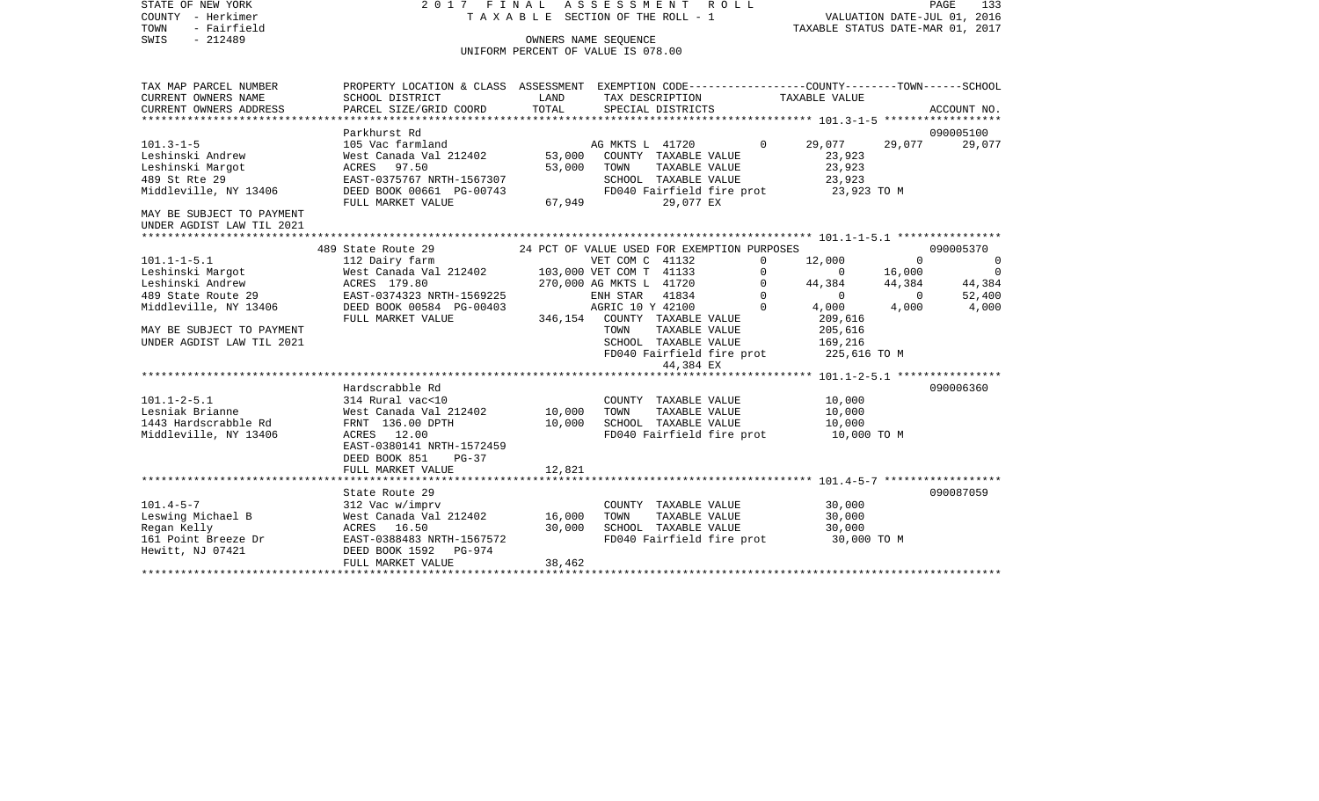| STATE OF NEW YORK<br>COUNTY - Herkimer                                                                                                                            |                                                                                                                                                                                                                                                          |        | 2017 FINAL ASSESSMENT ROLL<br>TAXABLE SECTION OF THE ROLL - 1 |               | VALUATION DATE-JUL 01, 2016      |                         | PAGE<br>133                 |
|-------------------------------------------------------------------------------------------------------------------------------------------------------------------|----------------------------------------------------------------------------------------------------------------------------------------------------------------------------------------------------------------------------------------------------------|--------|---------------------------------------------------------------|---------------|----------------------------------|-------------------------|-----------------------------|
| TOWN - Fairfield                                                                                                                                                  |                                                                                                                                                                                                                                                          |        |                                                               |               | TAXABLE STATUS DATE-MAR 01, 2017 |                         |                             |
| SWIS - 212489                                                                                                                                                     |                                                                                                                                                                                                                                                          |        | OWNERS NAME SEOUENCE                                          |               |                                  |                         |                             |
|                                                                                                                                                                   |                                                                                                                                                                                                                                                          |        | UNIFORM PERCENT OF VALUE IS 078.00                            |               |                                  |                         |                             |
| TAX MAP PARCEL NUMBER                                                                                                                                             | PROPERTY LOCATION & CLASS ASSESSMENT EXEMPTION CODE---------------COUNTY-------TOWN------SCHOOL                                                                                                                                                          |        |                                                               |               |                                  |                         |                             |
| CURRENT OWNERS NAME                                                                                                                                               | SCHOOL DISTRICT                                                                                                                                                                                                                                          |        | LAND TAX DESCRIPTION                                          |               | TAXABLE VALUE                    |                         |                             |
| CURRENT OWNERS ADDRESS                                                                                                                                            | PARCEL SIZE/GRID COORD                                                                                                                                                                                                                                   | TOTAL  | SPECIAL DISTRICTS                                             |               |                                  |                         | ACCOUNT NO.                 |
|                                                                                                                                                                   |                                                                                                                                                                                                                                                          |        |                                                               |               |                                  |                         |                             |
|                                                                                                                                                                   | Parkhurst Rd<br>Parkhurst Rd<br>105 Vac farmland<br>West Canada Val 212402 53,000 COUNTY TAXABLE VALUE<br>ACRES 97.50 53,000 TOWN TAXABLE VALUE 23,923<br>EAST-0375767 NRTH-1567307 5CHOOL TAXABLE VALUE 23,923<br>DEED BOOK 00661 PG-00743 FD040 Fairfi |        |                                                               |               |                                  |                         | 090005100                   |
| $101.3 - 1 - 5$                                                                                                                                                   |                                                                                                                                                                                                                                                          |        |                                                               |               |                                  |                         |                             |
| Leshinski Andrew                                                                                                                                                  |                                                                                                                                                                                                                                                          |        |                                                               |               |                                  |                         |                             |
| Leshinski Margot                                                                                                                                                  |                                                                                                                                                                                                                                                          |        |                                                               |               |                                  |                         |                             |
| 489 St Rte 29                                                                                                                                                     |                                                                                                                                                                                                                                                          |        |                                                               |               |                                  |                         |                             |
| Middleville, NY 13406                                                                                                                                             |                                                                                                                                                                                                                                                          |        |                                                               |               |                                  |                         |                             |
|                                                                                                                                                                   |                                                                                                                                                                                                                                                          |        |                                                               |               |                                  |                         |                             |
| MAY BE SUBJECT TO PAYMENT                                                                                                                                         |                                                                                                                                                                                                                                                          |        |                                                               |               |                                  |                         |                             |
| UNDER AGDIST LAW TIL 2021                                                                                                                                         |                                                                                                                                                                                                                                                          |        |                                                               |               |                                  |                         |                             |
|                                                                                                                                                                   |                                                                                                                                                                                                                                                          |        |                                                               |               |                                  |                         |                             |
|                                                                                                                                                                   | 489 State Route 29                                                                                                                                                                                                                                       |        | 24 PCT OF VALUE USED FOR EXEMPTION PURPOSES                   |               |                                  | $\overline{0}$          | 090005370<br>$\overline{0}$ |
|                                                                                                                                                                   |                                                                                                                                                                                                                                                          |        |                                                               |               |                                  | 16,000                  | $\overline{0}$              |
|                                                                                                                                                                   |                                                                                                                                                                                                                                                          |        |                                                               |               |                                  |                         |                             |
|                                                                                                                                                                   |                                                                                                                                                                                                                                                          |        |                                                               |               | 44,384 44,384                    |                         | 44,384                      |
|                                                                                                                                                                   |                                                                                                                                                                                                                                                          |        |                                                               |               |                                  | $\overline{0}$<br>4,000 | 52,400<br>4,000             |
|                                                                                                                                                                   | 101.1-1-5.1<br>Leshinski Margot (12.000 Mest Canada Val 212402 (13.000 VET COM C 41132 0 12,000 (12,000 Mest Canada Val 212402 (13.000 VET COM C 41133 0 12,000 (12,000 Mest Canada Val 212402 103,000 VET COM T 41133 0 0 0 0 0                         |        |                                                               |               | 209,616                          |                         |                             |
| MAY BE SUBJECT TO PAYMENT                                                                                                                                         |                                                                                                                                                                                                                                                          |        | TOWN<br>TAXABLE VALUE                                         |               | 205,616                          |                         |                             |
| UNDER AGDIST LAW TIL 2021                                                                                                                                         |                                                                                                                                                                                                                                                          |        | SCHOOL TAXABLE VALUE                                          |               | 169,216                          |                         |                             |
|                                                                                                                                                                   |                                                                                                                                                                                                                                                          |        |                                                               |               | 225,616 TO M                     |                         |                             |
|                                                                                                                                                                   |                                                                                                                                                                                                                                                          |        | FD040 Fairfield fire prot<br>44,384 EX                        |               |                                  |                         |                             |
|                                                                                                                                                                   |                                                                                                                                                                                                                                                          |        |                                                               |               |                                  |                         |                             |
|                                                                                                                                                                   | Hardscrabble Rd                                                                                                                                                                                                                                          |        |                                                               |               |                                  |                         | 090006360                   |
| $101.1 - 2 - 5.1$                                                                                                                                                 |                                                                                                                                                                                                                                                          |        | COUNTY TAXABLE VALUE                                          |               | 10,000                           |                         |                             |
| Lesniak Brianne                                                                                                                                                   | 314 Rural vac<10 COUNTY<br>West Canada Val 212402 10,000 TOWN                                                                                                                                                                                            |        |                                                               | TAXABLE VALUE | 10,000                           |                         |                             |
| 1443 Hardscrabble Rd                                                                                                                                              |                                                                                                                                                                                                                                                          |        |                                                               |               | 10,000                           |                         |                             |
| Middleville, NY 13406                                                                                                                                             |                                                                                                                                                                                                                                                          |        | FD040 Fairfield fire prot 10,000 TO M                         |               |                                  |                         |                             |
|                                                                                                                                                                   | EAST-0380141 NRTH-1572459                                                                                                                                                                                                                                |        |                                                               |               |                                  |                         |                             |
|                                                                                                                                                                   | DEED BOOK 851 PG-37                                                                                                                                                                                                                                      |        |                                                               |               |                                  |                         |                             |
|                                                                                                                                                                   | FULL MARKET VALUE                                                                                                                                                                                                                                        | 12,821 |                                                               |               |                                  |                         |                             |
|                                                                                                                                                                   |                                                                                                                                                                                                                                                          |        |                                                               |               |                                  |                         |                             |
|                                                                                                                                                                   |                                                                                                                                                                                                                                                          |        |                                                               |               |                                  |                         | 090087059                   |
|                                                                                                                                                                   |                                                                                                                                                                                                                                                          |        | COUNTY TAXABLE VALUE                                          |               | 30,000                           |                         |                             |
|                                                                                                                                                                   |                                                                                                                                                                                                                                                          |        | TAXABLE VALUE                                                 |               | 30,000                           |                         |                             |
|                                                                                                                                                                   |                                                                                                                                                                                                                                                          |        | 30,000 SCHOOL TAXABLE VALUE                                   |               | 30,000                           |                         |                             |
|                                                                                                                                                                   | EAST-0388483 NRTH-1567572 FD040 Fairfield fire prot                                                                                                                                                                                                      |        |                                                               |               | 30,000 TO M                      |                         |                             |
| VA<br>State Route 29<br>State Route 29<br>312 Vac w/imprv<br>eily<br>42 B<br>West Canada Val 21<br>42 ACRES<br>16.50<br>Hewitt, NJ 07421<br>ACRES<br>FAST-0388402 | DEED BOOK 1592    PG-974                                                                                                                                                                                                                                 |        |                                                               |               |                                  |                         |                             |
|                                                                                                                                                                   |                                                                                                                                                                                                                                                          | 38,462 |                                                               |               |                                  |                         |                             |
|                                                                                                                                                                   |                                                                                                                                                                                                                                                          |        |                                                               |               |                                  |                         |                             |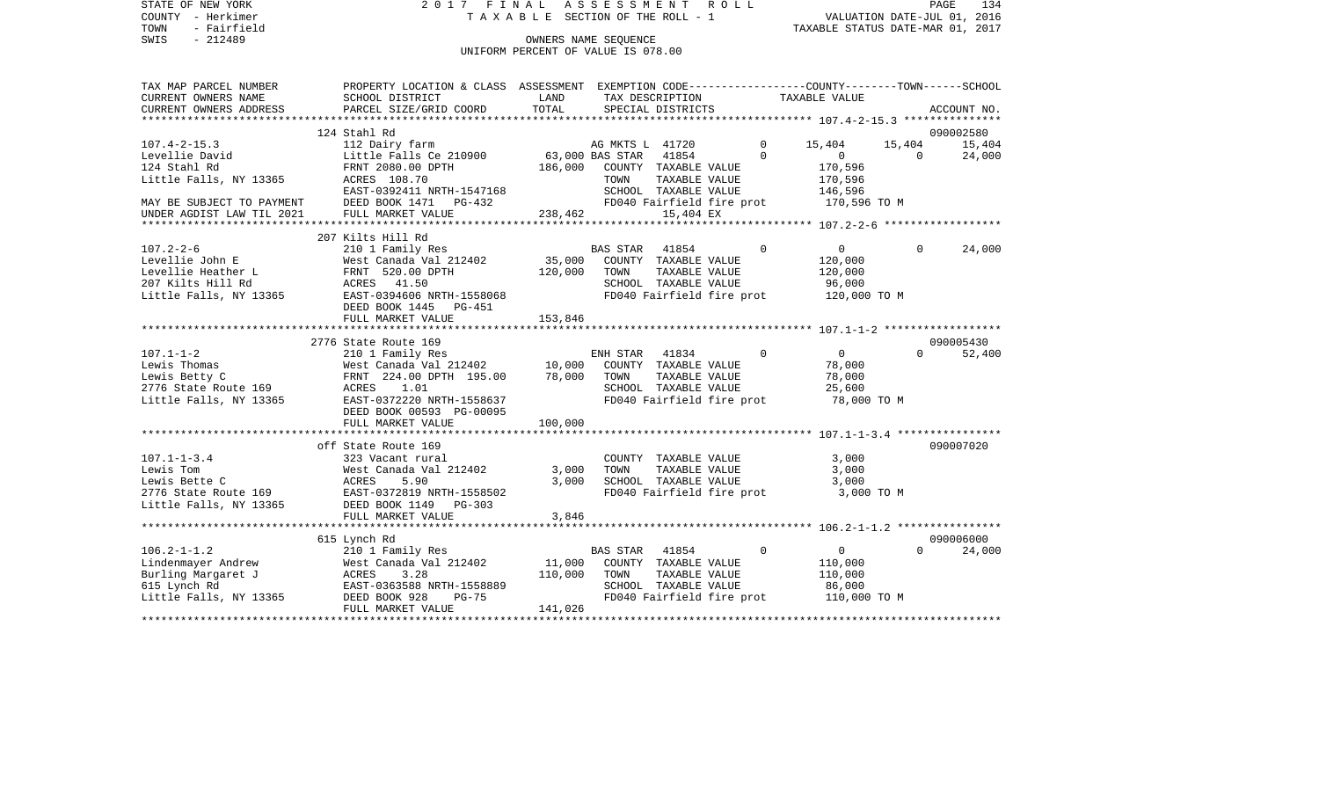STATE OF NEW YORK 2017 FINAL ASSESSMENT ROLL COUNTY - Herkimer T A X A B L E SECTION OF THE ROLL - 1 TOWN - Fairfield TAXABLE STATUS DATE-MAR 01, 2017 SWIS - Fairfield<br>
SWIS - 212489 OWNERS NAME SEQUENCE

UNIFORM PERCENT OF VALUE IS 078.00

| TAX MAP PARCEL NUMBER                          | PROPERTY LOCATION & CLASS ASSESSMENT EXEMPTION CODE---------------COUNTY-------TOWN------SCHOOL |               |                                                 |                |                                        |          |             |
|------------------------------------------------|-------------------------------------------------------------------------------------------------|---------------|-------------------------------------------------|----------------|----------------------------------------|----------|-------------|
| CURRENT OWNERS NAME<br>CURRENT OWNERS ADDRESS  | SCHOOL DISTRICT<br>PARCEL SIZE/GRID COORD                                                       | LAND<br>TOTAL | TAX DESCRIPTION<br>SPECIAL DISTRICTS            |                | TAXABLE VALUE                          |          | ACCOUNT NO. |
|                                                |                                                                                                 |               |                                                 |                |                                        |          |             |
|                                                | 124 Stahl Rd                                                                                    |               |                                                 |                |                                        |          | 090002580   |
| $107.4 - 2 - 15.3$                             | 112 Dairy farm                                                                                  |               |                                                 | $\Omega$       | 15,404                                 | 15,404   | 15,404      |
| Levellie David                                 | Little Falls Ce 210900                                                                          |               | AG MKTS L 41720<br>210900 63,000 BAS STAR 41854 | $\Omega$       | $\overline{0}$                         | $\Omega$ | 24,000      |
| 124 Stahl Rd                                   | FRNT 2080.00 DPTH                                                                               | 186,000       | COUNTY TAXABLE VALUE                            |                | 170,596                                |          |             |
| Little Falls, NY 13365                         | ACRES 108.70                                                                                    |               | TOWN<br>TAXABLE VALUE                           |                | 170,596                                |          |             |
|                                                | EAST-0392411 NRTH-1547168                                                                       |               | SCHOOL TAXABLE VALUE                            |                | 146,596                                |          |             |
| MAY BE SUBJECT TO PAYMENT                      | DEED BOOK 1471 PG-432                                                                           |               |                                                 |                | FD040 Fairfield fire prot 170,596 TO M |          |             |
| UNDER AGDIST LAW TIL 2021                      | FULL MARKET VALUE                                                                               | 238,462       | 15,404 EX                                       |                |                                        |          |             |
|                                                |                                                                                                 |               |                                                 |                |                                        |          |             |
|                                                | 207 Kilts Hill Rd                                                                               |               |                                                 |                |                                        |          |             |
| $107.2 - 2 - 6$                                | 210 1 Family Res                                                                                |               | BAS STAR 41854                                  | $\Omega$       | $\overline{0}$                         | $\Omega$ | 24,000      |
| Levellie John E                                | West Canada Val 212402 35,000                                                                   |               | COUNTY TAXABLE VALUE                            |                | 120,000                                |          |             |
| Levellie Heather L<br>207 Kilts Hill Rd        | FRNT 520.00 DPTH<br>ACRES 41.50                                                                 | 120,000       | TOWN<br>TAXABLE VALUE<br>SCHOOL TAXABLE VALUE   |                | 120,000<br>96,000                      |          |             |
| Little Falls, NY 13365                         | EAST-0394606 NRTH-1558068                                                                       |               |                                                 |                | FD040 Fairfield fire prot 120,000 TO M |          |             |
|                                                | DEED BOOK 1445 PG-451                                                                           |               |                                                 |                |                                        |          |             |
|                                                | FULL MARKET VALUE                                                                               | 153,846       |                                                 |                |                                        |          |             |
|                                                |                                                                                                 |               |                                                 |                |                                        |          |             |
|                                                | 2776 State Route 169                                                                            |               |                                                 |                |                                        |          | 090005430   |
| $107.1 - 1 - 2$                                | 210 1 Family Res                                                                                |               | ENH STAR<br>41834                               | $\Omega$       | $\Omega$                               | $\Omega$ | 52,400      |
| Lewis Thomas                                   | West Canada Val 212402 10,000<br>FRNT 224.00 DPTH 195.00 78,000                                 |               | COUNTY TAXABLE VALUE                            |                | 78,000                                 |          |             |
| Lewis Betty C                                  |                                                                                                 |               | TOWN<br>TAXABLE VALUE                           |                | 78,000                                 |          |             |
| 2776 State Route 169                           |                                                                                                 |               | SCHOOL TAXABLE VALUE                            |                | 25,600                                 |          |             |
| Little Falls, NY 13365                         | ACRES 1.01<br>EAST-0372220 NRTH-1558637                                                         |               | FD040 Fairfield fire prot                       |                | 78,000 TO M                            |          |             |
|                                                | DEED BOOK 00593 PG-00095                                                                        |               |                                                 |                |                                        |          |             |
|                                                | FULL MARKET VALUE                                                                               | 100,000       |                                                 |                |                                        |          |             |
|                                                |                                                                                                 |               |                                                 |                |                                        |          |             |
|                                                | off State Route 169                                                                             |               |                                                 |                |                                        |          | 090007020   |
| $107.1 - 1 - 3.4$<br>Lewis Tom                 | 323 Vacant rural<br>West Canada Val 212402                                                      | 3,000         | COUNTY TAXABLE VALUE<br>TOWN                    | TAXABLE VALUE  | 3,000<br>3,000                         |          |             |
| Lewis Bette C                                  | 5.90<br>ACRES                                                                                   | 3,000         | SCHOOL TAXABLE VALUE                            |                | 3,000                                  |          |             |
| 2776 State Route 169 EAST-0372819 NRTH-1558502 |                                                                                                 |               | FD040 Fairfield fire prot                       |                | 3,000 TO M                             |          |             |
| Little Falls, NY 13365 DEED BOOK 1149 PG-303   |                                                                                                 |               |                                                 |                |                                        |          |             |
|                                                | FULL MARKET VALUE                                                                               | 3,846         |                                                 |                |                                        |          |             |
|                                                |                                                                                                 |               |                                                 |                |                                        |          |             |
|                                                | 615 Lynch Rd                                                                                    |               |                                                 |                |                                        |          | 090006000   |
| $106.2 - 1 - 1.2$                              | 210 1 Family Res                                                                                |               | BAS STAR<br>41854                               | $\overline{0}$ | $\overline{0}$                         | $\Omega$ | 24,000      |
| Lindenmayer Andrew                             | West Canada Val 212402                                                                          | 11,000        | COUNTY TAXABLE VALUE                            |                | 110,000                                |          |             |
| Burling Margaret J                             | ACRES<br>3.28                                                                                   | 110,000       | TOWN<br>TAXABLE VALUE                           |                | 110,000                                |          |             |
| 615 Lynch Rd                                   | EAST-0363588 NRTH-1558889                                                                       |               | SCHOOL TAXABLE VALUE                            |                | 86,000                                 |          |             |
| Little Falls, NY 13365                         | DEED BOOK 928<br>PG-75                                                                          |               |                                                 |                | FD040 Fairfield fire prot 110,000 TO M |          |             |
|                                                | FULL MARKET VALUE                                                                               | 141,026       |                                                 |                |                                        |          |             |
|                                                |                                                                                                 |               |                                                 |                |                                        |          |             |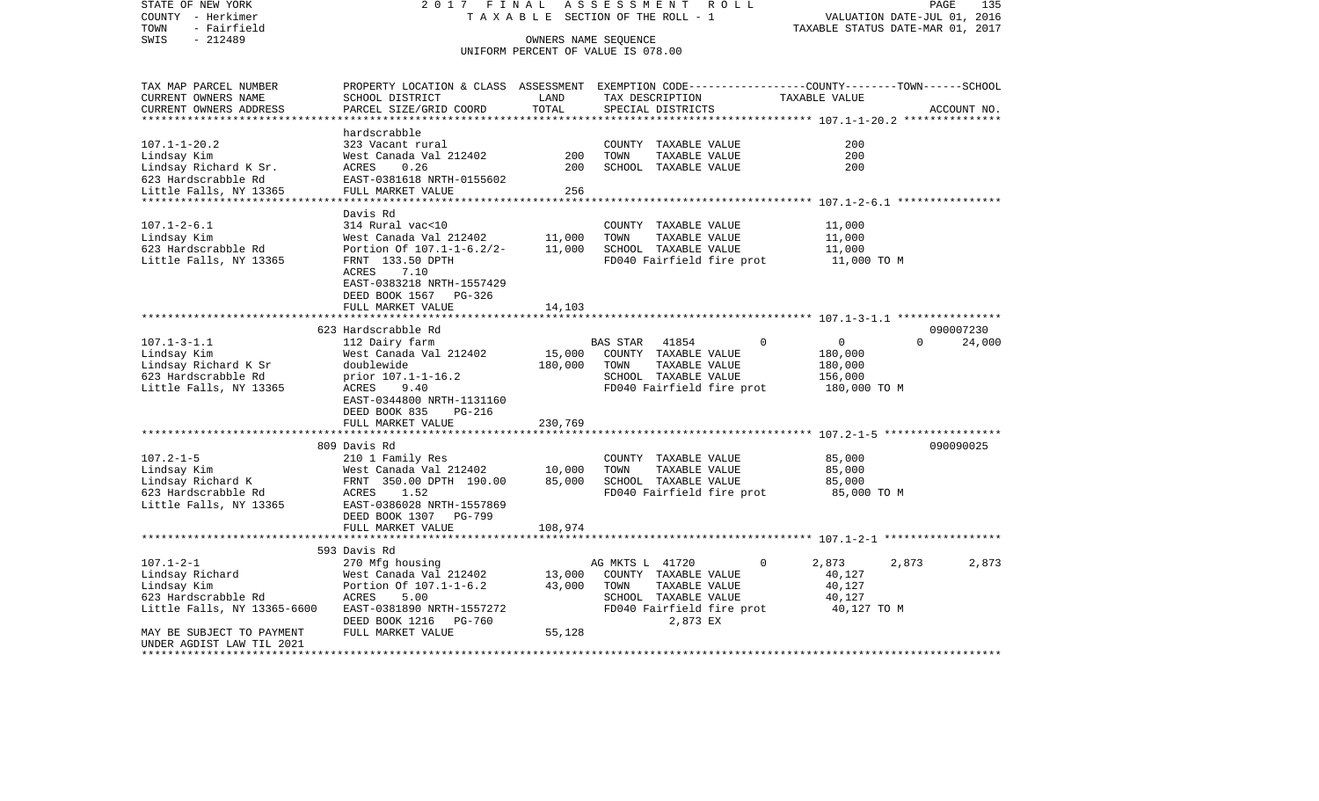| STATE OF NEW YORK<br>COUNTY - Herkimer<br>TOWN<br>- Fairfield | 2017<br>FINAL<br>TAXABLE                            | PAGE<br>135<br>2016<br>VALUATION DATE-JUL 01,<br>TAXABLE STATUS DATE-MAR 01, 2017 |                                                            |                                                                                                 |        |
|---------------------------------------------------------------|-----------------------------------------------------|-----------------------------------------------------------------------------------|------------------------------------------------------------|-------------------------------------------------------------------------------------------------|--------|
| SWIS<br>$-212489$                                             |                                                     |                                                                                   |                                                            |                                                                                                 |        |
|                                                               |                                                     |                                                                                   | OWNERS NAME SEQUENCE<br>UNIFORM PERCENT OF VALUE IS 078.00 |                                                                                                 |        |
| TAX MAP PARCEL NUMBER                                         |                                                     |                                                                                   |                                                            | PROPERTY LOCATION & CLASS ASSESSMENT EXEMPTION CODE---------------COUNTY-------TOWN------SCHOOL |        |
| CURRENT OWNERS NAME                                           | SCHOOL DISTRICT                                     | LAND                                                                              | TAX DESCRIPTION                                            | TAXABLE VALUE                                                                                   |        |
| CURRENT OWNERS ADDRESS                                        | PARCEL SIZE/GRID COORD                              | TOTAL                                                                             | SPECIAL DISTRICTS                                          | ACCOUNT NO.<br>********************************* 107.1-1-20.2 ***************                   |        |
|                                                               | hardscrabble                                        |                                                                                   |                                                            |                                                                                                 |        |
| $107.1 - 1 - 20.2$                                            | 323 Vacant rural                                    |                                                                                   | COUNTY TAXABLE VALUE                                       | 200                                                                                             |        |
| Lindsay Kim                                                   | West Canada Val 212402                              | 200                                                                               | TOWN<br>TAXABLE VALUE                                      | 200                                                                                             |        |
| Lindsay Richard K Sr.                                         | ACRES<br>0.26                                       | 200                                                                               | SCHOOL TAXABLE VALUE                                       | 200                                                                                             |        |
| 623 Hardscrabble Rd                                           | EAST-0381618 NRTH-0155602                           |                                                                                   |                                                            |                                                                                                 |        |
| Little Falls, NY 13365                                        | FULL MARKET VALUE                                   | 256                                                                               |                                                            |                                                                                                 |        |
|                                                               | *************************                           | * * * * * * * * * * * *                                                           |                                                            | ************** 107.1-2-6.1 *****************                                                    |        |
|                                                               | Davis Rd                                            |                                                                                   |                                                            |                                                                                                 |        |
| $107.1 - 2 - 6.1$                                             | 314 Rural vac<10                                    |                                                                                   | COUNTY TAXABLE VALUE                                       | 11,000                                                                                          |        |
| Lindsay Kim<br>623 Hardscrabble Rd                            | West Canada Val 212402<br>Portion Of 107.1-1-6.2/2- | 11,000<br>11,000                                                                  | TAXABLE VALUE<br>TOWN<br>SCHOOL TAXABLE VALUE              | 11,000<br>11,000                                                                                |        |
| Little Falls, NY 13365                                        | FRNT 133.50 DPTH                                    |                                                                                   | FD040 Fairfield fire prot                                  | 11,000 TO M                                                                                     |        |
|                                                               | ACRES<br>7.10                                       |                                                                                   |                                                            |                                                                                                 |        |
|                                                               | EAST-0383218 NRTH-1557429                           |                                                                                   |                                                            |                                                                                                 |        |
|                                                               | DEED BOOK 1567<br>PG-326                            |                                                                                   |                                                            |                                                                                                 |        |
|                                                               | FULL MARKET VALUE                                   | 14,103                                                                            |                                                            |                                                                                                 |        |
|                                                               | *******************                                 |                                                                                   |                                                            |                                                                                                 |        |
|                                                               | 623 Hardscrabble Rd                                 |                                                                                   |                                                            | 090007230                                                                                       |        |
| $107.1 - 3 - 1.1$                                             | 112 Dairy farm                                      |                                                                                   | 41854<br>$\Omega$<br><b>BAS STAR</b>                       | 0<br>$\Omega$                                                                                   | 24,000 |
| Lindsay Kim<br>Lindsay Richard K Sr                           | West Canada Val 212402<br>doublewide                | 15,000<br>180,000                                                                 | COUNTY TAXABLE VALUE<br>TAXABLE VALUE<br>TOWN              | 180,000<br>180,000                                                                              |        |
| 623 Hardscrabble Rd                                           | prior 107.1-1-16.2                                  |                                                                                   | SCHOOL TAXABLE VALUE                                       | 156,000                                                                                         |        |
| Little Falls, NY 13365                                        | ACRES<br>9.40                                       |                                                                                   | FD040 Fairfield fire prot                                  | 180,000 TO M                                                                                    |        |
|                                                               | EAST-0344800 NRTH-1131160                           |                                                                                   |                                                            |                                                                                                 |        |
|                                                               | DEED BOOK 835<br><b>PG-216</b>                      |                                                                                   |                                                            |                                                                                                 |        |
|                                                               | FULL MARKET VALUE                                   | 230,769                                                                           |                                                            |                                                                                                 |        |
|                                                               | ********<br>**************                          | * * * * * * * * * * *                                                             |                                                            | **************************************507.2-1-5*******************                              |        |
|                                                               | 809 Davis Rd                                        |                                                                                   |                                                            | 090090025                                                                                       |        |
| $107.2 - 1 - 5$                                               | 210 1 Family Res                                    |                                                                                   | COUNTY TAXABLE VALUE<br>TAXABLE VALUE<br>TOWN              | 85,000<br>85,000                                                                                |        |
| Lindsay Kim<br>Lindsay Richard K                              | West Canada Val 212402<br>FRNT 350.00 DPTH 190.00   | 10,000<br>85,000                                                                  | SCHOOL TAXABLE VALUE                                       | 85,000                                                                                          |        |
| 623 Hardscrabble Rd                                           | ACRES<br>1.52                                       |                                                                                   | FD040 Fairfield fire prot                                  | 85,000 TO M                                                                                     |        |
| Little Falls, NY 13365                                        | EAST-0386028 NRTH-1557869                           |                                                                                   |                                                            |                                                                                                 |        |
|                                                               | DEED BOOK 1307<br>PG-799                            |                                                                                   |                                                            |                                                                                                 |        |
|                                                               | FULL MARKET VALUE                                   | 108,974                                                                           |                                                            |                                                                                                 |        |
|                                                               |                                                     |                                                                                   |                                                            | ******************** 107.1-2-1 *******************                                              |        |
|                                                               | 593 Davis Rd                                        |                                                                                   |                                                            |                                                                                                 |        |
| $107.1 - 2 - 1$                                               | 270 Mfg housing                                     |                                                                                   | AG MKTS L 41720<br>$\Omega$                                | 2,873<br>2,873                                                                                  | 2,873  |
| Lindsay Richard                                               | West Canada Val 212402                              | 13,000                                                                            | COUNTY TAXABLE VALUE                                       | 40,127                                                                                          |        |
| Lindsay Kim<br>623 Hardscrabble Rd                            | Portion Of 107.1-1-6.2<br>ACRES<br>5.00             | 43,000                                                                            | TOWN<br>TAXABLE VALUE<br>SCHOOL TAXABLE VALUE              | 40,127<br>40,127                                                                                |        |
| Little Falls, NY 13365-6600                                   | EAST-0381890 NRTH-1557272                           |                                                                                   | FD040 Fairfield fire prot                                  | 40,127 TO M                                                                                     |        |
|                                                               | DEED BOOK 1216<br>PG-760                            |                                                                                   | 2,873 EX                                                   |                                                                                                 |        |
| MAY BE SUBJECT TO PAYMENT                                     | FULL MARKET VALUE                                   | 55,128                                                                            |                                                            |                                                                                                 |        |
| UNDER AGDIST LAW TIL 2021                                     |                                                     |                                                                                   |                                                            |                                                                                                 |        |
| *****************                                             |                                                     |                                                                                   |                                                            |                                                                                                 |        |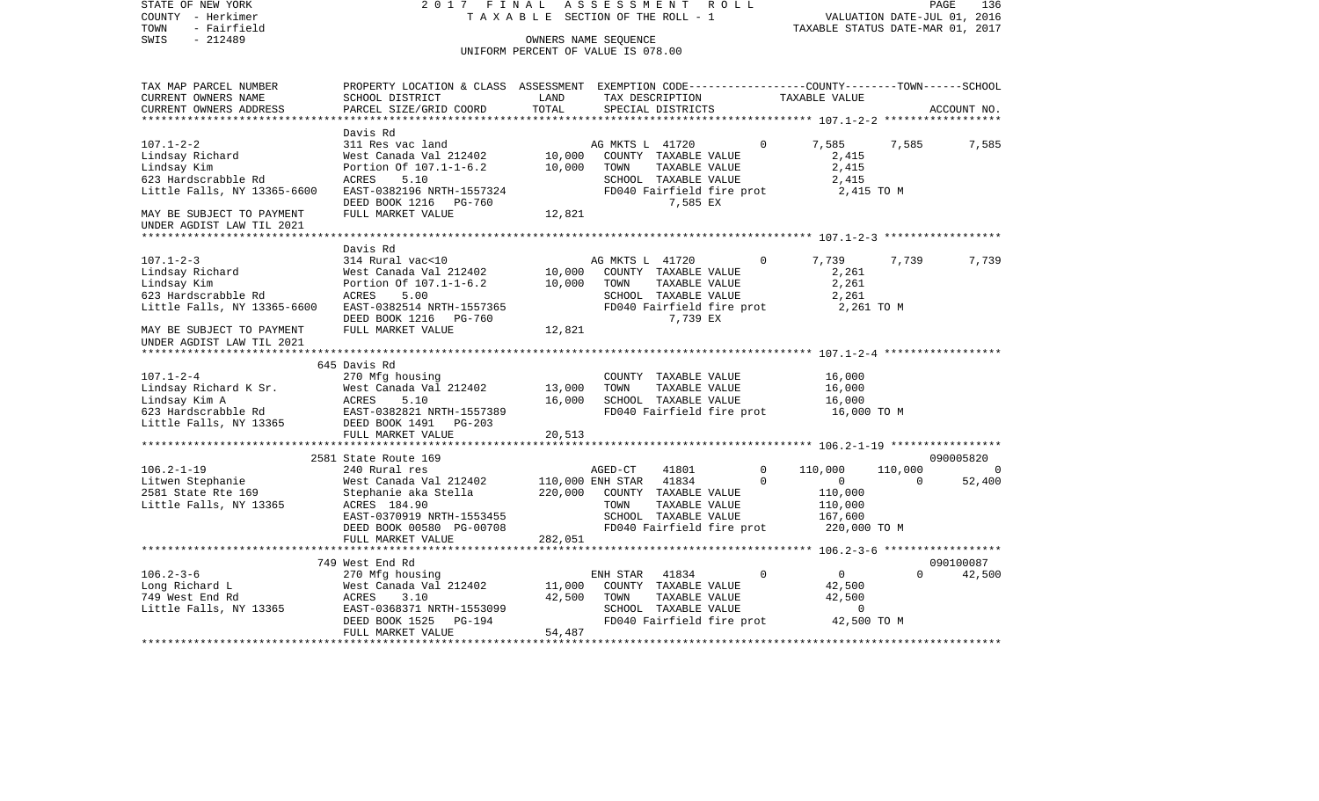| COUNTY<br>- Herkimer<br>TOWN<br>- Fairfield<br>SWIS<br>$-212489$ | TAXABLE SECTION OF THE ROLL - 1<br>OWNERS NAME SEOUENCE                                                            |                                    |                  |                                       |  | VALUATION DATE-JUL 01, 2016<br>TAXABLE STATUS DATE-MAR 01, 2017 |                   |          |             |
|------------------------------------------------------------------|--------------------------------------------------------------------------------------------------------------------|------------------------------------|------------------|---------------------------------------|--|-----------------------------------------------------------------|-------------------|----------|-------------|
|                                                                  |                                                                                                                    | UNIFORM PERCENT OF VALUE IS 078.00 |                  |                                       |  |                                                                 |                   |          |             |
| TAX MAP PARCEL NUMBER<br>CURRENT OWNERS NAME                     | PROPERTY LOCATION & CLASS ASSESSMENT EXEMPTION CODE---------------COUNTY-------TOWN------SCHOOL<br>SCHOOL DISTRICT | LAND                               |                  | TAX DESCRIPTION                       |  |                                                                 | TAXABLE VALUE     |          |             |
| CURRENT OWNERS ADDRESS<br>*************************              | PARCEL SIZE/GRID COORD                                                                                             | TOTAL                              |                  | SPECIAL DISTRICTS                     |  |                                                                 |                   |          | ACCOUNT NO. |
|                                                                  | Davis Rd                                                                                                           |                                    |                  |                                       |  |                                                                 |                   |          |             |
| $107.1 - 2 - 2$                                                  | 311 Res vac land                                                                                                   |                                    | AG MKTS L 41720  |                                       |  | $\Omega$                                                        | 7,585             | 7,585    | 7,585       |
| Lindsay Richard                                                  | West Canada Val 212402                                                                                             | 10,000                             |                  | COUNTY TAXABLE VALUE                  |  |                                                                 | 2,415             |          |             |
| Lindsay Kim                                                      | Portion Of 107.1-1-6.2                                                                                             | 10,000                             | TOWN             | TAXABLE VALUE                         |  |                                                                 | 2,415             |          |             |
| 623 Hardscrabble Rd                                              | 5.10<br>ACRES                                                                                                      |                                    |                  | SCHOOL TAXABLE VALUE                  |  |                                                                 | 2,415             |          |             |
| Little Falls, NY 13365-6600                                      | EAST-0382196 NRTH-1557324<br>DEED BOOK 1216<br>PG-760                                                              |                                    |                  | FD040 Fairfield fire prot<br>7,585 EX |  |                                                                 | 2,415 TO M        |          |             |
| MAY BE SUBJECT TO PAYMENT                                        | FULL MARKET VALUE                                                                                                  | 12,821                             |                  |                                       |  |                                                                 |                   |          |             |
| UNDER AGDIST LAW TIL 2021                                        |                                                                                                                    |                                    |                  |                                       |  |                                                                 |                   |          |             |
|                                                                  |                                                                                                                    |                                    |                  |                                       |  |                                                                 |                   |          |             |
|                                                                  | Davis Rd                                                                                                           |                                    |                  |                                       |  |                                                                 |                   |          |             |
| $107.1 - 2 - 3$                                                  | 314 Rural vac<10<br>West Canada Val 212402                                                                         | 10,000                             | AG MKTS L 41720  |                                       |  | 0                                                               | 7,739<br>2,261    | 7,739    | 7,739       |
| Lindsay Richard<br>Lindsay Kim                                   | Portion Of 107.1-1-6.2                                                                                             | 10,000                             | TOWN             | COUNTY TAXABLE VALUE<br>TAXABLE VALUE |  |                                                                 | 2,261             |          |             |
| 623 Hardscrabble Rd                                              | 5.00<br>ACRES                                                                                                      |                                    |                  | SCHOOL TAXABLE VALUE                  |  |                                                                 | 2,261             |          |             |
| Little Falls, NY 13365-6600                                      | EAST-0382514 NRTH-1557365                                                                                          |                                    |                  | FD040 Fairfield fire prot             |  |                                                                 | 2,261 TO M        |          |             |
|                                                                  | DEED BOOK 1216<br><b>PG-760</b>                                                                                    |                                    |                  | 7,739 EX                              |  |                                                                 |                   |          |             |
| MAY BE SUBJECT TO PAYMENT<br>UNDER AGDIST LAW TIL 2021           | FULL MARKET VALUE                                                                                                  | 12,821                             |                  |                                       |  |                                                                 |                   |          |             |
| *********************                                            |                                                                                                                    |                                    |                  |                                       |  |                                                                 |                   |          |             |
|                                                                  | 645 Davis Rd                                                                                                       |                                    |                  |                                       |  |                                                                 |                   |          |             |
| $107.1 - 2 - 4$                                                  | 270 Mfg housing                                                                                                    |                                    |                  | COUNTY TAXABLE VALUE                  |  |                                                                 | 16,000            |          |             |
| Lindsay Richard K Sr.                                            | West Canada Val 212402                                                                                             | 13,000                             | TOWN             | TAXABLE VALUE                         |  |                                                                 | 16,000            |          |             |
| Lindsay Kim A                                                    | ACRES<br>5.10                                                                                                      | 16,000                             |                  | SCHOOL TAXABLE VALUE                  |  |                                                                 | 16,000            |          |             |
| 623 Hardscrabble Rd                                              | EAST-0382821 NRTH-1557389                                                                                          |                                    |                  | FD040 Fairfield fire prot             |  |                                                                 | 16,000 TO M       |          |             |
| Little Falls, NY 13365                                           | DEED BOOK 1491<br>$PG-203$                                                                                         |                                    |                  |                                       |  |                                                                 |                   |          |             |
|                                                                  | FULL MARKET VALUE<br>*************************                                                                     | 20,513                             |                  |                                       |  |                                                                 |                   |          |             |
|                                                                  | 2581 State Route 169                                                                                               |                                    |                  |                                       |  |                                                                 |                   |          | 090005820   |
| $106.2 - 1 - 19$                                                 | 240 Rural res                                                                                                      |                                    | AGED-CT          | 41801                                 |  | 0                                                               | 110,000           | 110,000  |             |
| Litwen Stephanie                                                 | West Canada Val 212402                                                                                             |                                    | 110,000 ENH STAR | 41834                                 |  | $\Omega$                                                        | $\circ$           | $\Omega$ | 52,400      |
| 2581 State Rte 169                                               | Stephanie aka Stella                                                                                               | 220,000                            |                  | COUNTY TAXABLE VALUE                  |  |                                                                 | 110,000           |          |             |
| Little Falls, NY 13365                                           | ACRES 184.90                                                                                                       |                                    | TOWN             | TAXABLE VALUE                         |  |                                                                 | 110,000           |          |             |
|                                                                  | EAST-0370919 NRTH-1553455                                                                                          |                                    |                  | SCHOOL TAXABLE VALUE                  |  |                                                                 | 167,600           |          |             |
|                                                                  | DEED BOOK 00580 PG-00708                                                                                           |                                    |                  | FD040 Fairfield fire prot             |  |                                                                 | 220,000 TO M      |          |             |
|                                                                  | FULL MARKET VALUE                                                                                                  | 282,051                            |                  |                                       |  |                                                                 |                   |          |             |
|                                                                  |                                                                                                                    |                                    |                  |                                       |  |                                                                 |                   |          |             |
|                                                                  | 749 West End Rd                                                                                                    |                                    |                  |                                       |  | $\Omega$                                                        |                   |          | 090100087   |
| $106.2 - 3 - 6$<br>Long Richard L                                | 270 Mfg housing<br>West Canada Val 212402                                                                          | 11,000                             | ENH STAR         | 41834<br>COUNTY TAXABLE VALUE         |  |                                                                 | $\circ$<br>42,500 | $\Omega$ | 42,500      |
| 749 West End Rd                                                  | ACRES<br>3.10                                                                                                      | 42,500                             | TOWN             | TAXABLE VALUE                         |  |                                                                 | 42,500            |          |             |
| Little Falls, NY 13365                                           | EAST-0368371 NRTH-1553099                                                                                          |                                    |                  | SCHOOL TAXABLE VALUE                  |  |                                                                 | 0                 |          |             |
|                                                                  | DEED BOOK 1525<br><b>PG-194</b>                                                                                    |                                    |                  | FD040 Fairfield fire prot             |  |                                                                 | 42,500 TO M       |          |             |
|                                                                  | FULL MARKET VALUE                                                                                                  | 54,487                             |                  |                                       |  |                                                                 |                   |          |             |
|                                                                  |                                                                                                                    |                                    |                  |                                       |  |                                                                 |                   |          |             |

PAGE 136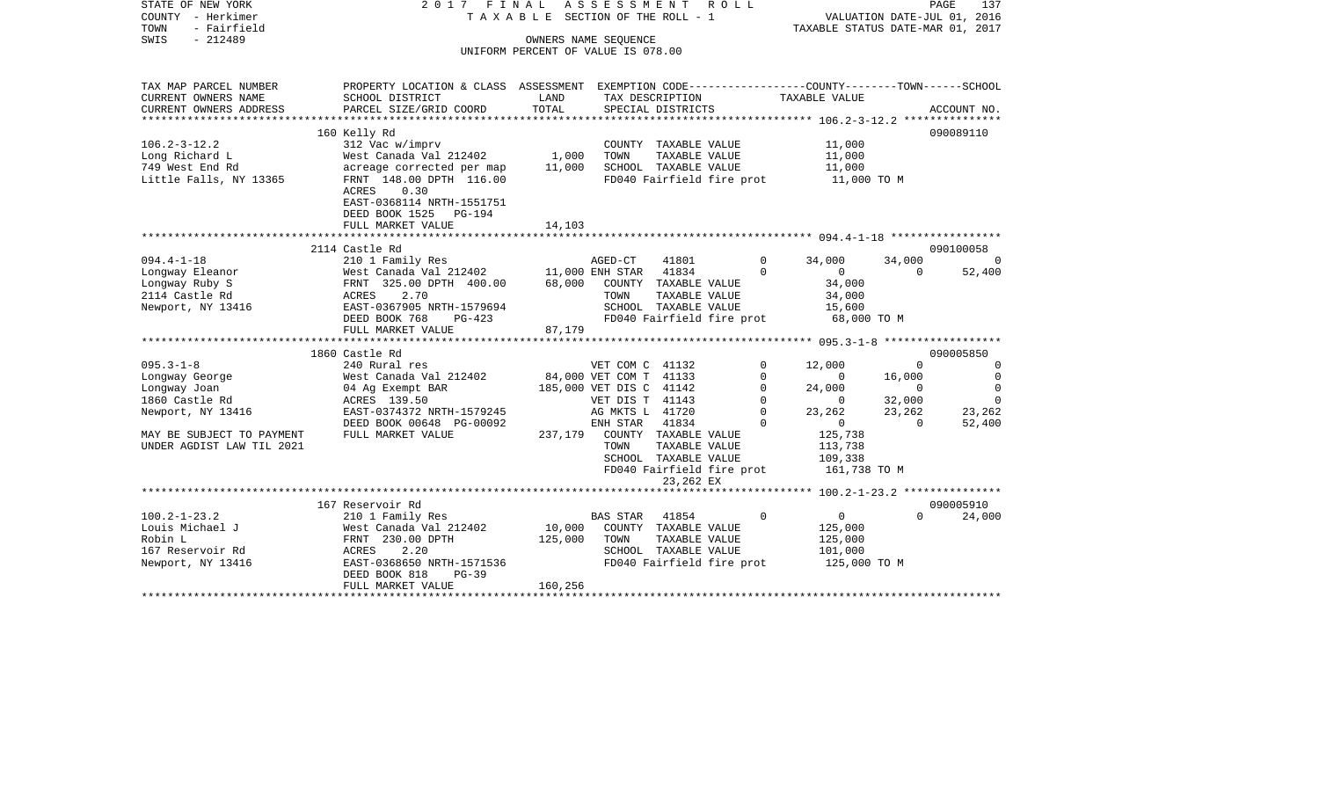| STATE OF NEW YORK<br>COUNTY - Herkimer<br>- Fairfield<br>TOWN | ASSESSMENT<br>2017 FINAL<br>R O L L<br>T A X A B L E SECTION OF THE ROLL - 1                    |                                         |                         |                                                   |             |                                                    | PAGE<br>137<br>VALUATION DATE-JUL 01, 2016<br>TAXABLE STATUS DATE-MAR 01, 2017 |                |  |
|---------------------------------------------------------------|-------------------------------------------------------------------------------------------------|-----------------------------------------|-------------------------|---------------------------------------------------|-------------|----------------------------------------------------|--------------------------------------------------------------------------------|----------------|--|
| SWIS<br>$-212489$                                             |                                                                                                 | OWNERS NAME SEQUENCE                    |                         |                                                   |             |                                                    |                                                                                |                |  |
|                                                               |                                                                                                 | UNIFORM PERCENT OF VALUE IS 078.00      |                         |                                                   |             |                                                    |                                                                                |                |  |
|                                                               |                                                                                                 |                                         |                         |                                                   |             |                                                    |                                                                                |                |  |
| TAX MAP PARCEL NUMBER                                         | PROPERTY LOCATION & CLASS ASSESSMENT EXEMPTION CODE---------------COUNTY-------TOWN------SCHOOL |                                         |                         |                                                   |             |                                                    |                                                                                |                |  |
| CURRENT OWNERS NAME                                           | SCHOOL DISTRICT                                                                                 | LAND                                    |                         | TAX DESCRIPTION                                   |             | TAXABLE VALUE                                      |                                                                                |                |  |
| CURRENT OWNERS ADDRESS                                        | PARCEL SIZE/GRID COORD                                                                          | TOTAL                                   |                         | SPECIAL DISTRICTS                                 |             |                                                    |                                                                                | ACCOUNT NO.    |  |
|                                                               |                                                                                                 |                                         |                         |                                                   |             |                                                    |                                                                                |                |  |
| $106.2 - 3 - 12.2$                                            | 160 Kelly Rd<br>312 Vac w/imprv                                                                 |                                         |                         | COUNTY TAXABLE VALUE                              |             | 11,000                                             |                                                                                | 090089110      |  |
| Long Richard L                                                | West Canada Val 212402                                                                          | 1,000                                   | TOWN                    | TAXABLE VALUE                                     |             | 11,000                                             |                                                                                |                |  |
| 749 West End Rd                                               | acreage corrected per map                                                                       | 11,000                                  |                         | SCHOOL TAXABLE VALUE                              |             | 11,000                                             |                                                                                |                |  |
| Little Falls, NY 13365                                        | FRNT 148.00 DPTH 116.00                                                                         |                                         |                         | FD040 Fairfield fire prot                         |             | 11,000 TO M                                        |                                                                                |                |  |
|                                                               | <b>ACRES</b><br>0.30<br>EAST-0368114 NRTH-1551751                                               |                                         |                         |                                                   |             |                                                    |                                                                                |                |  |
|                                                               | DEED BOOK 1525 PG-194                                                                           |                                         |                         |                                                   |             |                                                    |                                                                                |                |  |
|                                                               | FULL MARKET VALUE                                                                               | 14,103                                  |                         |                                                   |             |                                                    |                                                                                |                |  |
|                                                               |                                                                                                 |                                         |                         |                                                   |             |                                                    |                                                                                |                |  |
|                                                               | 2114 Castle Rd                                                                                  |                                         |                         |                                                   |             |                                                    |                                                                                | 090100058      |  |
| $094.4 - 1 - 18$                                              | 210 1 Family Res                                                                                |                                         | AGED-CT                 | 41801                                             | $\Omega$    | 34,000                                             | 34,000                                                                         | $\Omega$       |  |
| Longway Eleanor                                               | West Canada Val 212402                                                                          |                                         | 11,000 ENH STAR         | 41834                                             | $\Omega$    | $\mathbf{0}$                                       | $\Omega$                                                                       | 52,400         |  |
| Longway Ruby S                                                | FRNT 325.00 DPTH 400.00                                                                         | 68,000                                  |                         | COUNTY TAXABLE VALUE                              |             | 34,000                                             |                                                                                |                |  |
| 2114 Castle Rd                                                | ACRES<br>2.70                                                                                   |                                         | TOWN                    | TAXABLE VALUE                                     |             | 34,000                                             |                                                                                |                |  |
| Newport, NY 13416                                             | EAST-0367905 NRTH-1579694                                                                       |                                         |                         | SCHOOL TAXABLE VALUE                              |             | 15,600                                             |                                                                                |                |  |
|                                                               | DEED BOOK 768<br>$PG-423$                                                                       |                                         |                         | FD040 Fairfield fire prot                         |             | 68,000 TO M                                        |                                                                                |                |  |
|                                                               | FULL MARKET VALUE                                                                               | 87,179<br>***************************** |                         |                                                   |             |                                                    |                                                                                |                |  |
|                                                               | 1860 Castle Rd                                                                                  |                                         |                         |                                                   |             | ******************** 095.3-1-8 ******************* |                                                                                | 090005850      |  |
| $095.3 - 1 - 8$                                               | 240 Rural res                                                                                   |                                         | VET COM C 41132         |                                                   | $\Omega$    | 12,000                                             | $\Omega$                                                                       | $\Omega$       |  |
| Longway George                                                | West Canada Val 212402                                                                          |                                         | 84,000 VET COM T 41133  |                                                   | 0           | $\mathbf{0}$                                       | 16,000                                                                         | $\overline{0}$ |  |
| Longway Joan                                                  | 04 Ag Exempt BAR                                                                                |                                         | 185,000 VET DIS C 41142 |                                                   | $\Omega$    | 24,000                                             | $\overline{0}$                                                                 | $\Omega$       |  |
| 1860 Castle Rd                                                | ACRES 139.50                                                                                    |                                         | VET DIS T 41143         |                                                   | $\mathbf 0$ | $\mathbf{0}$                                       | 32,000                                                                         | $\Omega$       |  |
| Newport, NY 13416                                             | EAST-0374372 NRTH-1579245                                                                       |                                         | AG MKTS L 41720         |                                                   | $\Omega$    | 23,262                                             | 23,262                                                                         | 23,262         |  |
|                                                               | DEED BOOK 00648 PG-00092                                                                        |                                         | ENH STAR                | 41834                                             | $\Omega$    | $\Omega$                                           | $\Omega$                                                                       | 52,400         |  |
| MAY BE SUBJECT TO PAYMENT                                     | FULL MARKET VALUE                                                                               | 237,179                                 |                         | COUNTY TAXABLE VALUE                              |             | 125,738                                            |                                                                                |                |  |
| UNDER AGDIST LAW TIL 2021                                     |                                                                                                 |                                         | TOWN                    | TAXABLE VALUE                                     |             | 113,738                                            |                                                                                |                |  |
|                                                               |                                                                                                 |                                         |                         | SCHOOL TAXABLE VALUE                              |             | 109,338                                            |                                                                                |                |  |
|                                                               |                                                                                                 |                                         |                         | FD040 Fairfield fire prot                         |             | 161,738 TO M                                       |                                                                                |                |  |
|                                                               |                                                                                                 |                                         |                         | 23,262 EX                                         |             |                                                    |                                                                                |                |  |
|                                                               |                                                                                                 |                                         |                         |                                                   |             |                                                    |                                                                                |                |  |
|                                                               | 167 Reservoir Rd                                                                                |                                         |                         |                                                   |             |                                                    |                                                                                | 090005910      |  |
| $100.2 - 1 - 23.2$                                            | 210 1 Family Res                                                                                |                                         | <b>BAS STAR</b>         | 41854                                             | $\Omega$    | $\overline{0}$                                     | $\Omega$                                                                       | 24,000         |  |
| Louis Michael J                                               | West Canada Val 212402                                                                          | 10,000                                  |                         | COUNTY TAXABLE VALUE                              |             | 125,000                                            |                                                                                |                |  |
| Robin L                                                       | FRNT 230.00 DPTH                                                                                | 125,000                                 | TOWN                    | TAXABLE VALUE                                     |             | 125,000                                            |                                                                                |                |  |
| 167 Reservoir Rd<br>Newport, NY 13416                         | 2.20<br>ACRES<br>EAST-0368650 NRTH-1571536                                                      |                                         |                         | SCHOOL TAXABLE VALUE<br>FD040 Fairfield fire prot |             | 101,000<br>125,000 TO M                            |                                                                                |                |  |
|                                                               | DEED BOOK 818<br>$PG-39$                                                                        |                                         |                         |                                                   |             |                                                    |                                                                                |                |  |
|                                                               | FULL MARKET VALUE                                                                               | 160,256                                 |                         |                                                   |             |                                                    |                                                                                |                |  |
|                                                               |                                                                                                 |                                         |                         |                                                   |             |                                                    |                                                                                |                |  |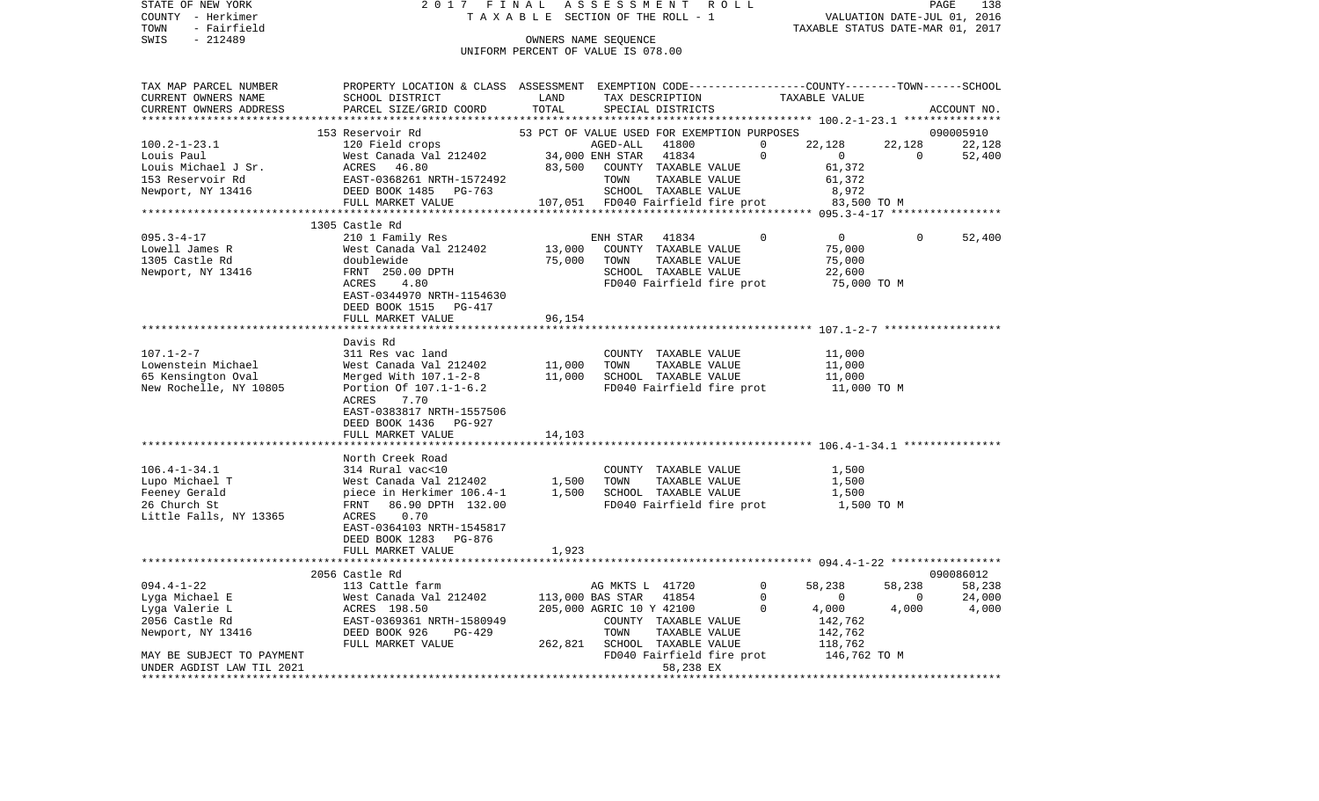| STATE OF NEW YORK                        | 2017 FINAL                                                                                                        |                                             | ASSESSMENT                   |                           | R O L L |             |                                               |                          | PAGE<br>138                 |
|------------------------------------------|-------------------------------------------------------------------------------------------------------------------|---------------------------------------------|------------------------------|---------------------------|---------|-------------|-----------------------------------------------|--------------------------|-----------------------------|
| COUNTY - Herkimer<br>TOWN<br>- Fairfield | TAXABLE SECTION OF THE ROLL - 1                                                                                   |                                             |                              |                           |         |             | TAXABLE STATUS DATE-MAR 01, 2017              |                          | VALUATION DATE-JUL 01, 2016 |
| SWIS<br>$-212489$                        | OWNERS NAME SEQUENCE                                                                                              |                                             |                              |                           |         |             |                                               |                          |                             |
|                                          | UNIFORM PERCENT OF VALUE IS 078.00                                                                                |                                             |                              |                           |         |             |                                               |                          |                             |
|                                          |                                                                                                                   |                                             |                              |                           |         |             |                                               |                          |                             |
| TAX MAP PARCEL NUMBER                    |                                                                                                                   |                                             |                              |                           |         |             |                                               |                          |                             |
| CURRENT OWNERS NAME                      | PROPERTY LOCATION & CLASS ASSESSMENT EXEMPTION CODE---------------COUNTY-------TOWN-----SCHOOL<br>SCHOOL DISTRICT | LAND                                        |                              | TAX DESCRIPTION           |         |             | TAXABLE VALUE                                 |                          |                             |
| CURRENT OWNERS ADDRESS                   | PARCEL SIZE/GRID COORD                                                                                            | TOTAL                                       |                              | SPECIAL DISTRICTS         |         |             |                                               |                          | ACCOUNT NO.                 |
|                                          |                                                                                                                   | ********************                        |                              |                           |         |             |                                               |                          |                             |
|                                          | 153 Reservoir Rd                                                                                                  | 53 PCT OF VALUE USED FOR EXEMPTION PURPOSES |                              |                           |         |             |                                               |                          | 090005910                   |
| $100.2 - 1 - 23.1$                       | 120 Field crops                                                                                                   |                                             | AGED-ALL                     | 41800                     |         | $\mathbf 0$ | 22,128                                        | 22,128                   | 22,128                      |
| Louis Paul                               | West Canada Val 212402                                                                                            |                                             | 34,000 ENH STAR              | 41834                     |         | $\mathbf 0$ | $\overline{0}$                                | $\overline{0}$           | 52,400                      |
| Louis Michael J Sr.                      | ACRES<br>46.80                                                                                                    | 83,500                                      |                              | COUNTY TAXABLE VALUE      |         |             | 61,372                                        |                          |                             |
| 153 Reservoir Rd                         | EAST-0368261 NRTH-1572492                                                                                         |                                             | TOWN                         | TAXABLE VALUE             |         |             | 61,372                                        |                          |                             |
| Newport, NY 13416                        | DEED BOOK 1485 PG-763                                                                                             |                                             |                              | SCHOOL TAXABLE VALUE      |         |             | 8,972                                         |                          |                             |
|                                          | FULL MARKET VALUE                                                                                                 |                                             |                              |                           |         |             | 107,051 FD040 Fairfield fire prot 83,500 TO M |                          |                             |
|                                          |                                                                                                                   |                                             |                              |                           |         |             |                                               |                          |                             |
|                                          | 1305 Castle Rd                                                                                                    |                                             |                              |                           |         |             |                                               |                          |                             |
| $095.3 - 4 - 17$                         | 210 1 Family Res                                                                                                  |                                             | ENH STAR                     | 41834                     |         | $\mathbf 0$ | $\overline{0}$                                | $\Omega$                 | 52,400                      |
| Lowell James R                           | West Canada Val 212402                                                                                            | 13,000                                      |                              | COUNTY TAXABLE VALUE      |         |             | 75,000                                        |                          |                             |
| 1305 Castle Rd                           | doublewide                                                                                                        | 75,000                                      | TOWN                         | TAXABLE VALUE             |         |             | 75,000                                        |                          |                             |
| Newport, NY 13416                        | FRNT 250.00 DPTH                                                                                                  |                                             |                              | SCHOOL TAXABLE VALUE      |         |             | 22,600                                        |                          |                             |
|                                          | 4.80<br>ACRES                                                                                                     |                                             |                              | FD040 Fairfield fire prot |         |             | 75,000 TO M                                   |                          |                             |
|                                          | EAST-0344970 NRTH-1154630                                                                                         |                                             |                              |                           |         |             |                                               |                          |                             |
|                                          | DEED BOOK 1515 PG-417                                                                                             |                                             |                              |                           |         |             |                                               |                          |                             |
|                                          | FULL MARKET VALUE                                                                                                 | 96,154                                      |                              |                           |         |             |                                               |                          |                             |
|                                          |                                                                                                                   |                                             |                              |                           |         |             |                                               |                          |                             |
|                                          | Davis Rd                                                                                                          |                                             |                              |                           |         |             |                                               |                          |                             |
| $107.1 - 2 - 7$                          | 311 Res vac land                                                                                                  |                                             |                              | COUNTY TAXABLE VALUE      |         |             | 11,000                                        |                          |                             |
| Lowenstein Michael                       | West Canada Val 212402                                                                                            | 11,000                                      | TOWN                         | TAXABLE VALUE             |         |             | 11,000                                        |                          |                             |
| 65 Kensington Oval                       | Merged With 107.1-2-8                                                                                             | 11,000                                      |                              | SCHOOL TAXABLE VALUE      |         |             | 11,000                                        |                          |                             |
| New Rochelle, NY 10805                   | Portion Of 107.1-1-6.2                                                                                            |                                             |                              | FD040 Fairfield fire prot |         |             | 11,000 TO M                                   |                          |                             |
|                                          | ACRES<br>7.70                                                                                                     |                                             |                              |                           |         |             |                                               |                          |                             |
|                                          | EAST-0383817 NRTH-1557506                                                                                         |                                             |                              |                           |         |             |                                               |                          |                             |
|                                          | DEED BOOK 1436 PG-927                                                                                             |                                             |                              |                           |         |             |                                               |                          |                             |
|                                          | FULL MARKET VALUE                                                                                                 | 14,103                                      |                              |                           |         |             |                                               |                          |                             |
|                                          |                                                                                                                   |                                             |                              |                           |         |             |                                               |                          |                             |
|                                          | North Creek Road                                                                                                  |                                             |                              |                           |         |             |                                               |                          |                             |
| $106.4 - 1 - 34.1$                       | 314 Rural vac<10                                                                                                  |                                             |                              | COUNTY TAXABLE VALUE      |         |             | 1,500                                         |                          |                             |
| Lupo Michael T                           | West Canada Val 212402                                                                                            | 1,500                                       | TOWN                         | TAXABLE VALUE             |         |             | 1,500                                         |                          |                             |
| Feeney Gerald                            | piece in Herkimer 106.4-1                                                                                         | 1,500                                       |                              | SCHOOL TAXABLE VALUE      |         |             | 1,500                                         |                          |                             |
| 26 Church St                             | FRNT<br>86.90 DPTH 132.00                                                                                         |                                             |                              | FD040 Fairfield fire prot |         |             | 1,500 TO M                                    |                          |                             |
| Little Falls, NY 13365                   | ACRES<br>0.70                                                                                                     |                                             |                              |                           |         |             |                                               |                          |                             |
|                                          | EAST-0364103 NRTH-1545817                                                                                         |                                             |                              |                           |         |             |                                               |                          |                             |
|                                          | DEED BOOK 1283 PG-876                                                                                             |                                             |                              |                           |         |             |                                               |                          |                             |
|                                          | FULL MARKET VALUE                                                                                                 | 1,923                                       |                              |                           |         |             |                                               |                          |                             |
|                                          | *******************************                                                                                   |                                             |                              |                           |         |             |                                               |                          |                             |
|                                          | 2056 Castle Rd                                                                                                    |                                             |                              |                           |         |             |                                               |                          | 090086012                   |
| $094.4 - 1 - 22$                         | 113 Cattle farm                                                                                                   |                                             | AG MKTS L 41720              |                           |         | $\mathbf 0$ | 58,238                                        | 58,238                   | 58,238                      |
| Lyga Michael E                           | West Canada Val 212402                                                                                            |                                             | 113,000 BAS STAR 41854       |                           |         | $\mathbf 0$ | $\overline{0}$                                | $\overline{\phantom{0}}$ | 24,000                      |
| Lyga Valerie L                           | ACRES 198.50                                                                                                      |                                             | 205,000 AGRIC 10 Y 42100     |                           |         | $\Omega$    | 4,000                                         | 4,000                    | 4,000                       |
| 2056 Castle Rd                           | EAST-0369361 NRTH-1580949                                                                                         |                                             |                              | COUNTY TAXABLE VALUE      |         |             | 142,762                                       |                          |                             |
| Newport, NY 13416                        | DEED BOOK 926<br>PG-429                                                                                           |                                             | TOWN                         | TAXABLE VALUE             |         |             | 142,762                                       |                          |                             |
|                                          | FULL MARKET VALUE                                                                                                 |                                             | 262,821 SCHOOL TAXABLE VALUE |                           |         |             | 118,762                                       |                          |                             |
| MAY BE SUBJECT TO PAYMENT                |                                                                                                                   |                                             |                              | FD040 Fairfield fire prot |         |             | 146,762 TO M                                  |                          |                             |
| UNDER AGDIST LAW TIL 2021                |                                                                                                                   |                                             |                              | 58,238 EX<br>.            |         |             |                                               |                          |                             |
| ******************************           |                                                                                                                   |                                             |                              |                           |         |             |                                               |                          |                             |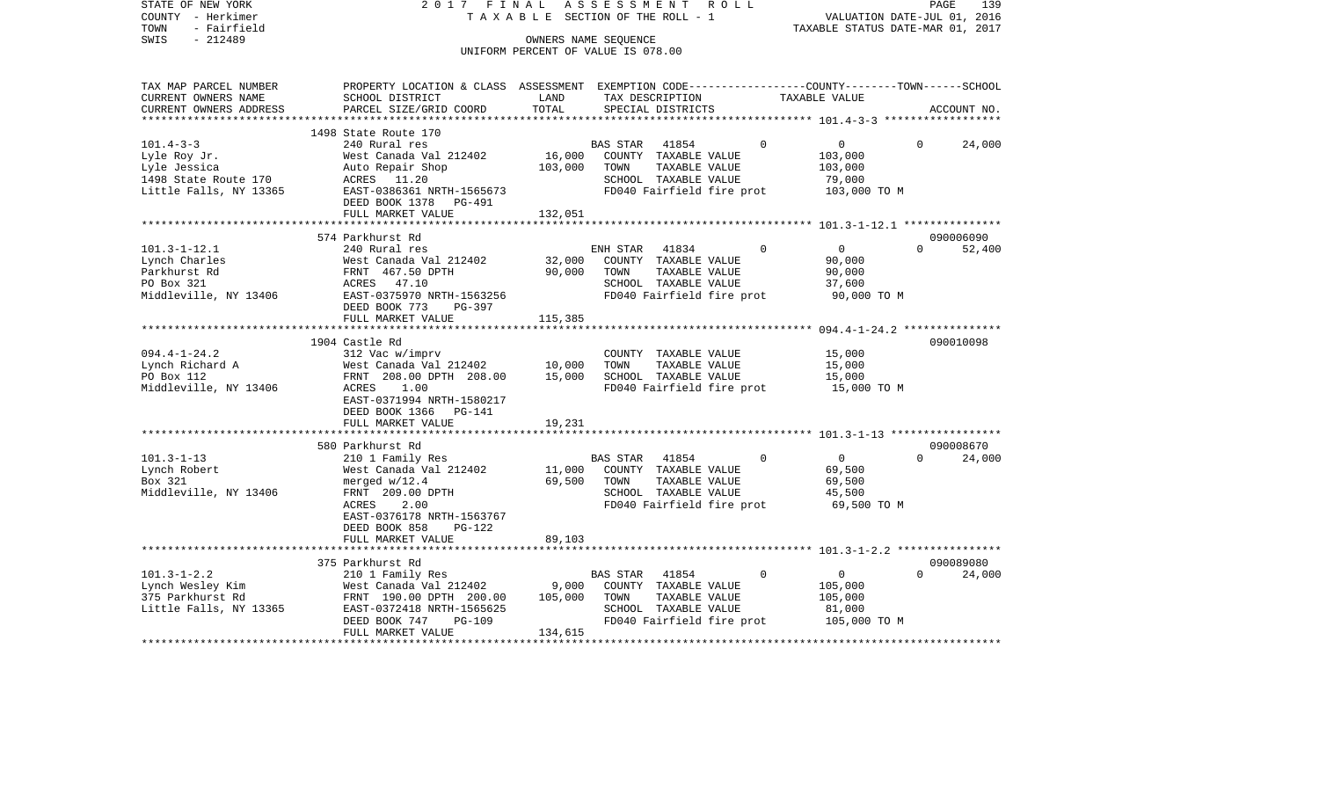| COUNTY<br>- Herkimer<br>- Fairfield<br>TOWN<br>SWIS<br>$-212489$ | T A X A B L E SECTION OF THE ROLL - 1<br>OWNERS NAME SEOUENCE<br>UNIFORM PERCENT OF VALUE IS 078.00 |         |                                               |          | VALUATION DATE-JUL 01, 2016<br>TAXABLE STATUS DATE-MAR 01, 2017 |          |             |  |
|------------------------------------------------------------------|-----------------------------------------------------------------------------------------------------|---------|-----------------------------------------------|----------|-----------------------------------------------------------------|----------|-------------|--|
| TAX MAP PARCEL NUMBER                                            | PROPERTY LOCATION & CLASS ASSESSMENT EXEMPTION CODE---------------COUNTY-------TOWN------SCHOOL     |         |                                               |          |                                                                 |          |             |  |
| CURRENT OWNERS NAME                                              | SCHOOL DISTRICT                                                                                     | LAND    | TAX DESCRIPTION                               |          | TAXABLE VALUE                                                   |          |             |  |
| CURRENT OWNERS ADDRESS                                           | PARCEL SIZE/GRID COORD                                                                              | TOTAL   | SPECIAL DISTRICTS                             |          |                                                                 |          | ACCOUNT NO. |  |
|                                                                  |                                                                                                     |         |                                               |          |                                                                 |          |             |  |
|                                                                  | 1498 State Route 170                                                                                |         |                                               |          |                                                                 |          |             |  |
| $101.4 - 3 - 3$                                                  | 240 Rural res                                                                                       |         | BAS STAR<br>41854                             | $\Omega$ | $\overline{0}$                                                  | $\Omega$ | 24,000      |  |
| Lyle Roy Jr.                                                     | West Canada Val 212402                                                                              | 16,000  | COUNTY TAXABLE VALUE                          |          | 103,000                                                         |          |             |  |
| Lyle Jessica                                                     | Auto Repair Shop<br>ACRES 11.20                                                                     | 103,000 | TOWN<br>TAXABLE VALUE<br>SCHOOL TAXABLE VALUE |          | 103,000                                                         |          |             |  |
| 1498 State Route 170<br>Little Falls, NY 13365                   | EAST-0386361 NRTH-1565673                                                                           |         | FD040 Fairfield fire prot                     |          | 79,000<br>103,000 TO M                                          |          |             |  |
|                                                                  | DEED BOOK 1378<br>PG-491                                                                            |         |                                               |          |                                                                 |          |             |  |
|                                                                  | FULL MARKET VALUE                                                                                   | 132,051 |                                               |          |                                                                 |          |             |  |
|                                                                  |                                                                                                     |         |                                               |          |                                                                 |          |             |  |
|                                                                  | 574 Parkhurst Rd                                                                                    |         |                                               |          |                                                                 |          | 090006090   |  |
| $101.3 - 1 - 12.1$                                               | 240 Rural res                                                                                       |         | ENH STAR<br>41834                             | $\Omega$ | $\mathbf{0}$                                                    | $\Omega$ | 52,400      |  |
| Lynch Charles                                                    | West Canada Val 212402                                                                              | 32,000  | COUNTY TAXABLE VALUE                          |          | 90,000                                                          |          |             |  |
| Parkhurst Rd                                                     | FRNT 467.50 DPTH                                                                                    | 90,000  | TOWN<br>TAXABLE VALUE                         |          | 90,000                                                          |          |             |  |
| PO Box 321                                                       | ACRES 47.10                                                                                         |         | SCHOOL TAXABLE VALUE                          |          | 37,600                                                          |          |             |  |
| Middleville, NY 13406                                            | EAST-0375970 NRTH-1563256                                                                           |         | FD040 Fairfield fire prot                     |          | 90,000 TO M                                                     |          |             |  |
|                                                                  | DEED BOOK 773<br>PG-397                                                                             |         |                                               |          |                                                                 |          |             |  |
|                                                                  | FULL MARKET VALUE<br>*******************************                                                | 115,385 |                                               |          |                                                                 |          |             |  |
|                                                                  | 1904 Castle Rd                                                                                      |         |                                               |          |                                                                 |          | 090010098   |  |
| $094.4 - 1 - 24.2$                                               | 312 Vac w/imprv                                                                                     |         | COUNTY TAXABLE VALUE                          |          | 15,000                                                          |          |             |  |
| Lynch Richard A                                                  | West Canada Val 212402                                                                              | 10,000  | TOWN<br>TAXABLE VALUE                         |          | 15,000                                                          |          |             |  |
| PO Box 112                                                       | FRNT 208.00 DPTH 208.00                                                                             | 15,000  | SCHOOL TAXABLE VALUE                          |          | 15,000                                                          |          |             |  |
| Middleville, NY 13406                                            | 1.00<br>ACRES                                                                                       |         | FD040 Fairfield fire prot                     |          | 15,000 TO M                                                     |          |             |  |
|                                                                  | EAST-0371994 NRTH-1580217                                                                           |         |                                               |          |                                                                 |          |             |  |
|                                                                  | DEED BOOK 1366 PG-141                                                                               |         |                                               |          |                                                                 |          |             |  |
|                                                                  | FULL MARKET VALUE                                                                                   | 19,231  |                                               |          |                                                                 |          |             |  |
|                                                                  |                                                                                                     |         |                                               |          |                                                                 |          |             |  |
|                                                                  | 580 Parkhurst Rd                                                                                    |         |                                               |          |                                                                 |          | 090008670   |  |
| $101.3 - 1 - 13$                                                 | 210 1 Family Res                                                                                    |         | 41854<br>BAS STAR                             | $\Omega$ | $\overline{0}$                                                  | $\Omega$ | 24,000      |  |
| Lynch Robert                                                     | West Canada Val 212402                                                                              | 11,000  | COUNTY TAXABLE VALUE                          |          | 69,500                                                          |          |             |  |
| Box 321                                                          | merged $w/12.4$                                                                                     | 69,500  | TOWN<br>TAXABLE VALUE                         |          | 69,500                                                          |          |             |  |
| Middleville, NY 13406                                            | FRNT 209.00 DPTH                                                                                    |         | SCHOOL TAXABLE VALUE                          |          | 45,500                                                          |          |             |  |
|                                                                  | 2.00<br>ACRES                                                                                       |         | FD040 Fairfield fire prot                     |          | 69,500 TO M                                                     |          |             |  |
|                                                                  | EAST-0376178 NRTH-1563767<br>DEED BOOK 858<br>PG-122                                                |         |                                               |          |                                                                 |          |             |  |
|                                                                  | FULL MARKET VALUE                                                                                   | 89,103  |                                               |          |                                                                 |          |             |  |
|                                                                  | ****************************                                                                        |         |                                               |          |                                                                 |          |             |  |
|                                                                  | 375 Parkhurst Rd                                                                                    |         |                                               |          |                                                                 |          | 090089080   |  |
| $101.3 - 1 - 2.2$                                                | 210 1 Family Res                                                                                    |         | 41854<br><b>BAS STAR</b>                      | $\Omega$ | $\mathbf 0$                                                     | $\Omega$ | 24,000      |  |
| Lynch Wesley Kim                                                 | West Canada Val 212402                                                                              | 9,000   | COUNTY TAXABLE VALUE                          |          | 105,000                                                         |          |             |  |
| 375 Parkhurst Rd                                                 | FRNT 190.00 DPTH 200.00                                                                             | 105,000 | TOWN<br>TAXABLE VALUE                         |          | 105,000                                                         |          |             |  |
| Little Falls, NY 13365                                           | EAST-0372418 NRTH-1565625                                                                           |         | SCHOOL TAXABLE VALUE                          |          | 81,000                                                          |          |             |  |
|                                                                  | DEED BOOK 747<br><b>PG-109</b>                                                                      |         | FD040 Fairfield fire prot                     |          | 105,000 TO M                                                    |          |             |  |
|                                                                  | FULL MARKET VALUE                                                                                   | 134,615 |                                               |          |                                                                 |          |             |  |
|                                                                  |                                                                                                     |         |                                               |          |                                                                 |          |             |  |

PAGE 139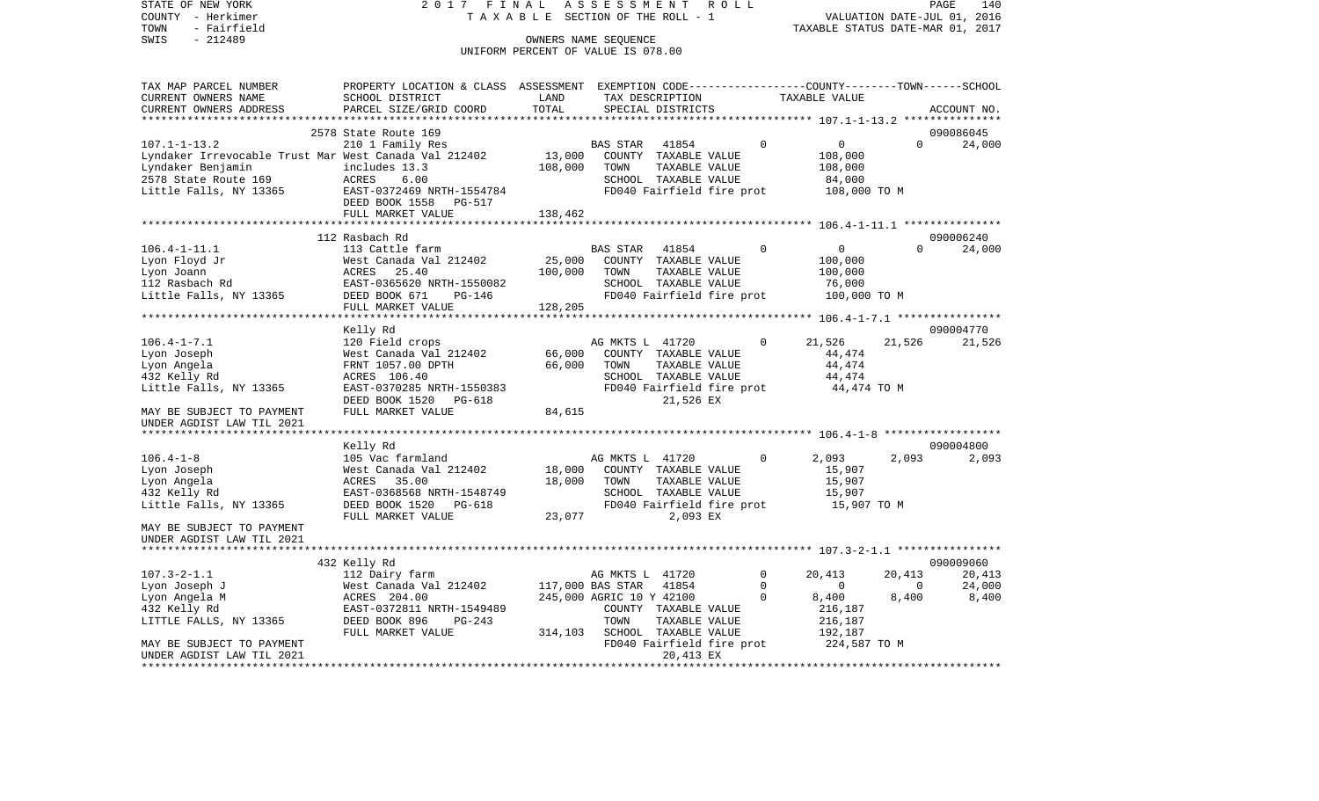COUNTY - Herkimer **T A X A B L E** SECTION OF THE ROLL - 1 VALUATION DATE-JUL 01, 2016 TOWN - Fairfield TAXABLE STATUS DATE-MAR 01, 2017 SWIS - 212489 CONNERS NAME SEQUENCE UNIFORM PERCENT OF VALUE IS 078.00TAX MAP PARCEL NUMBER PROPERTY LOCATION & CLASS ASSESSMENT EXEMPTION CODE------------------COUNTY--------TOWN------SCHOOL CURRENT OWNERS NAME SCHOOL DISTRICT LAND TAX DESCRIPTION TAXABLE VALUECURRENT OWNERS ADDRESS PARCEL SIZE/GRID COORD TOTAL SPECIAL DISTRICTS ACCOUNT NO. \*\*\*\*\*\*\*\*\*\*\*\*\*\*\*\*\*\*\*\*\*\*\*\*\*\*\*\*\*\*\*\*\*\*\*\*\*\*\*\*\*\*\*\*\*\*\*\*\*\*\*\*\*\*\*\*\*\*\*\*\*\*\*\*\*\*\*\*\*\*\*\*\*\*\*\*\*\*\*\*\*\*\*\*\*\*\*\*\*\*\*\*\*\*\*\*\*\*\*\*\*\*\* 107.1-1-13.2 \*\*\*\*\*\*\*\*\*\*\*\*\*\*\* 2578 State Route 169 090086045107.1-1-13.2 210 1 Family Res BAS STAR 41854 0 0 0 24,000 Lyndaker Irrevocable Trust Mar West Canada Val 212402 13,000 COUNTY TAXABLE VALUE 108,000 Lyndaker Benjamin includes 13.3 108,000 TOWN TAXABLE VALUE 108,000 2578 State Route 169 ACRES 6.00 SCHOOL TAXABLE VALUE 84,000 Little Falls, NY 13365 EAST-0372469 NRTH-1554784 FD040 Fairfield fire prot 108,000 TO M DEED BOOK 1558 PG-517FULL MARKET VALUE 138,462 \*\*\*\*\*\*\*\*\*\*\*\*\*\*\*\*\*\*\*\*\*\*\*\*\*\*\*\*\*\*\*\*\*\*\*\*\*\*\*\*\*\*\*\*\*\*\*\*\*\*\*\*\*\*\*\*\*\*\*\*\*\*\*\*\*\*\*\*\*\*\*\*\*\*\*\*\*\*\*\*\*\*\*\*\*\*\*\*\*\*\*\*\*\*\*\*\*\*\*\*\*\*\* 106.4-1-11.1 \*\*\*\*\*\*\*\*\*\*\*\*\*\*\* 112 Rasbach Rd 090006240106.4-1-11.1 113 Cattle farm BAS STAR 41854 0 0 0 24,000 Lyon Floyd Jr West Canada Val 212402 25,000 COUNTY TAXABLE VALUE 100,000 Lyon Joann ACRES 25.40 100,000 TOWN TAXABLE VALUE 100,000 112 Rasbach Rd EAST-0365620 NRTH-1550082 SCHOOL TAXABLE VALUE 76,000 Little Falls, NY 13365 DEED BOOK 671 PG-146 FD040 Fairfield fire prot 100,000 TO M FULL MARKET VALUE 128,205 \*\*\*\*\*\*\*\*\*\*\*\*\*\*\*\*\*\*\*\*\*\*\*\*\*\*\*\*\*\*\*\*\*\*\*\*\*\*\*\*\*\*\*\*\*\*\*\*\*\*\*\*\*\*\*\*\*\*\*\*\*\*\*\*\*\*\*\*\*\*\*\*\*\*\*\*\*\*\*\*\*\*\*\*\*\*\*\*\*\*\*\*\*\*\*\*\*\*\*\*\*\*\* 106.4-1-7.1 \*\*\*\*\*\*\*\*\*\*\*\*\*\*\*\* Kelly Rd 090004770 106.4-1-7.1 120 Field crops AG MKTS L 41720 0 21,526 21,526 21,526 Lyon Joseph 64,474 West Canada Val 212402 66,000 COUNTY TAXABLE VALUE 44,474 Lyon Angela FRNT 1057.00 DPTH 66,000 TOWN TAXABLE VALUE 44,474 432 Kelly Rd ACRES 106.40 SCHOOL TAXABLE VALUE 44,474 Little Falls, NY 13365 EAST-0370285 NRTH-1550383 FD040 Fairfield fire prot 44,474 TO M DEED BOOK 1520 PG-618 21,526 EX MAY BE SUBJECT TO PAYMENT FULL MARKET VALUE 64,615 UNDER AGDIST LAW TIL 2021 \*\*\*\*\*\*\*\*\*\*\*\*\*\*\*\*\*\*\*\*\*\*\*\*\*\*\*\*\*\*\*\*\*\*\*\*\*\*\*\*\*\*\*\*\*\*\*\*\*\*\*\*\*\*\*\*\*\*\*\*\*\*\*\*\*\*\*\*\*\*\*\*\*\*\*\*\*\*\*\*\*\*\*\*\*\*\*\*\*\*\*\*\*\*\*\*\*\*\*\*\*\*\* 106.4-1-8 \*\*\*\*\*\*\*\*\*\*\*\*\*\*\*\*\*\* Kelly Rd 090004800 106.4-1-8 105 Vac farmland 1968 NG MKTS L 41720 0 2,093 2,093 2,093 2,093 Lyon Joseph West Canada Val 212402 18,000 COUNTY TAXABLE VALUE 15,907 Lyon Angela ACRES 35.00 18,000 TOWN TAXABLE VALUE 15,907 432 Kelly Rd EAST-0368568 NRTH-1548749 SCHOOL TAXABLE VALUE 15,907 Little Falls, NY 13365 DEED BOOK 1520 PG-618 FD040 Fairfield fire prot 15,907 TO M FULL MARKET VALUE 23,077 2,093 EX MAY BE SUBJECT TO PAYMENTUNDER AGDIST LAW TIL 2021 \*\*\*\*\*\*\*\*\*\*\*\*\*\*\*\*\*\*\*\*\*\*\*\*\*\*\*\*\*\*\*\*\*\*\*\*\*\*\*\*\*\*\*\*\*\*\*\*\*\*\*\*\*\*\*\*\*\*\*\*\*\*\*\*\*\*\*\*\*\*\*\*\*\*\*\*\*\*\*\*\*\*\*\*\*\*\*\*\*\*\*\*\*\*\*\*\*\*\*\*\*\*\* 107.3-2-1.1 \*\*\*\*\*\*\*\*\*\*\*\*\*\*\*\* 432 Kelly Rd 090009060 107.3-2-1.1 112 Dairy farm AG MKTS L 41720 0 20,413 20,413 20,413 Lyon Joseph J West Canada Val 212402 117,000 BAS STAR 41854 0 0 0 24,000 Lyon Angela M 6,400 6,400 245,000 AGRIC 10 Y 42100 0 8,400 8,400 8,400 8,400 432 Kelly Rd EAST-0372811 NRTH-1549489 COUNTY TAXABLE VALUE 216,187 LITTLE FALLS, NY 13365 DEED BOOK 896 PG-243 TOWN TAXABLE VALUE 216,187 FULL MARKET VALUE 314,103 SCHOOL TAXABLE VALUE 192,187 MAY BE SUBJECT TO PAYMENT TO THE SUBJECT TO PAYMENT THE SUBJECT OF THE SUBJECT OF A LIFE PROTO MAY BE SUBJECT TO PAYMENT UNDER AGDIST LAW TIL 2021 20,413 EX \*\*\*\*\*\*\*\*\*\*\*\*\*\*\*\*\*\*\*\*\*\*\*\*\*\*\*\*\*\*\*\*\*\*\*\*\*\*\*\*\*\*\*\*\*\*\*\*\*\*\*\*\*\*\*\*\*\*\*\*\*\*\*\*\*\*\*\*\*\*\*\*\*\*\*\*\*\*\*\*\*\*\*\*\*\*\*\*\*\*\*\*\*\*\*\*\*\*\*\*\*\*\*\*\*\*\*\*\*\*\*\*\*\*\*\*\*\*\*\*\*\*\*\*\*\*\*\*\*\*\*\*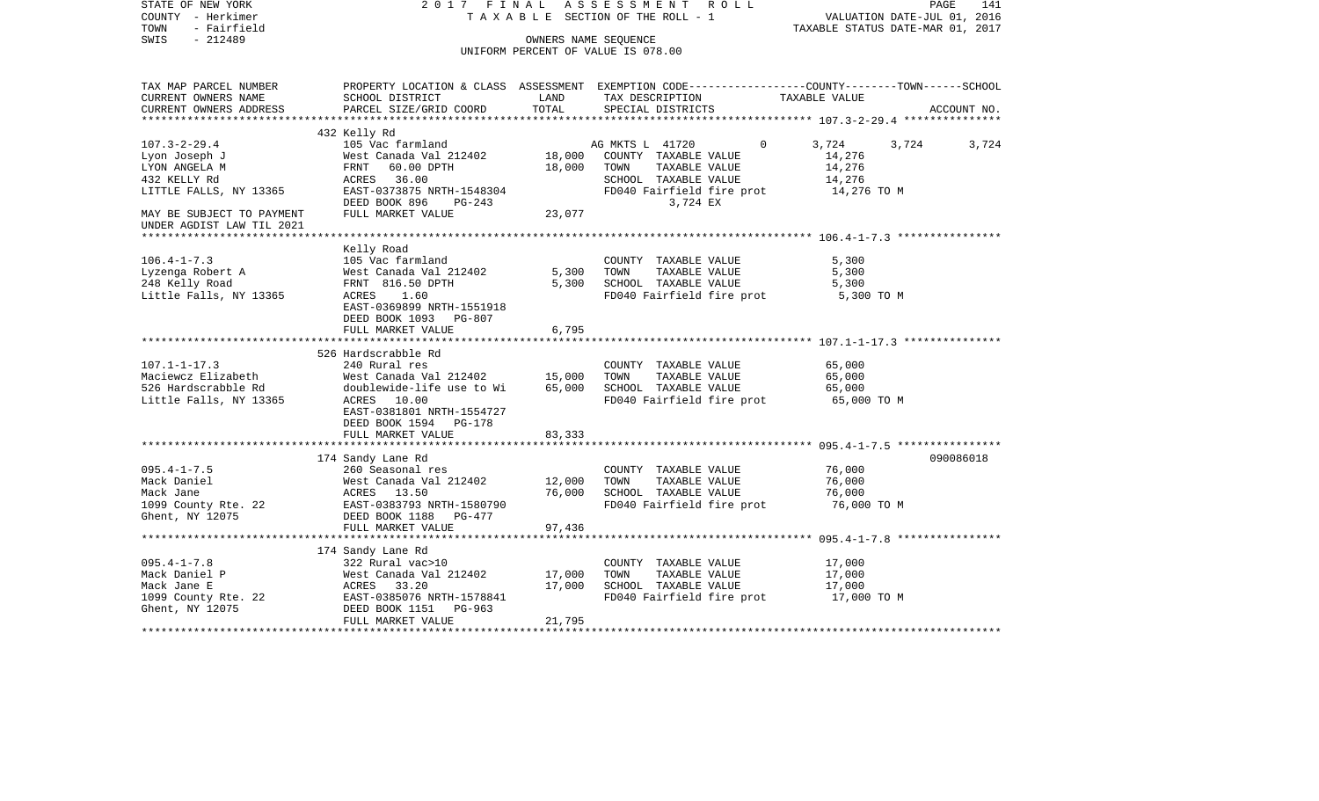| STATE OF NEW YORK<br>COUNTY - Herkimer<br>TOWN<br>- Fairfield<br>$-212489$<br>SWIS                                                                       | 2017 FINAL                                                                                                         |        | TAXABLE SECTION OF THE ROLL - 1<br>OWNERS NAME SEQUENCE<br>UNIFORM PERCENT OF VALUE IS 078.00 | ASSESSMENT ROLL               |                                       | PAGE<br>141<br>VALUATION DATE-JUL 01, 2016<br>TAXABLE STATUS DATE-MAR 01, 2017 |
|----------------------------------------------------------------------------------------------------------------------------------------------------------|--------------------------------------------------------------------------------------------------------------------|--------|-----------------------------------------------------------------------------------------------|-------------------------------|---------------------------------------|--------------------------------------------------------------------------------|
| TAX MAP PARCEL NUMBER<br>CURRENT OWNERS NAME                                                                                                             | PROPERTY LOCATION & CLASS ASSESSMENT EXEMPTION CODE----------------COUNTY-------TOWN-----SCHOOL<br>SCHOOL DISTRICT | LAND   |                                                                                               | TAX DESCRIPTION TAXABLE VALUE |                                       |                                                                                |
| CURRENT OWNERS ADDRESS<br>***********************                                                                                                        | PARCEL SIZE/GRID COORD                                                                                             | TOTAL  | SPECIAL DISTRICTS                                                                             |                               |                                       | ACCOUNT NO.                                                                    |
|                                                                                                                                                          | 432 Kelly Rd                                                                                                       |        |                                                                                               |                               |                                       |                                                                                |
| $107.3 - 2 - 29.4$                                                                                                                                       | 105 Vac farmland                                                                                                   |        | AG MKTS L 41720                                                                               | $\Omega$                      | 3,724                                 | 3,724<br>3,724                                                                 |
| Lyon Joseph J                                                                                                                                            | West Canada Val 212402 18,000                                                                                      |        |                                                                                               | COUNTY TAXABLE VALUE          | 14,276                                |                                                                                |
| LYON ANGELA M                                                                                                                                            | FRNT 60.00 DPTH                                                                                                    | 18,000 |                                                                                               | TOWN TAXABLE VALUE            | 14,276                                |                                                                                |
| 432 KELLY Rd                                                                                                                                             | ACRES 36.00                                                                                                        |        |                                                                                               | SCHOOL TAXABLE VALUE          | 14,276                                |                                                                                |
| LITTLE FALLS, NY 13365                                                                                                                                   | EAST-0373875 NRTH-1548304                                                                                          |        |                                                                                               | FD040 Fairfield fire prot     | 14,276 TO M                           |                                                                                |
|                                                                                                                                                          | DEED BOOK 896 PG-243                                                                                               |        |                                                                                               | 3,724 EX                      |                                       |                                                                                |
| MAY BE SUBJECT TO PAYMENT                                                                                                                                | FULL MARKET VALUE                                                                                                  | 23,077 |                                                                                               |                               |                                       |                                                                                |
| UNDER AGDIST LAW TIL 2021                                                                                                                                |                                                                                                                    |        |                                                                                               |                               |                                       |                                                                                |
|                                                                                                                                                          | Kelly Road                                                                                                         |        |                                                                                               |                               |                                       |                                                                                |
| $106.4 - 1 - 7.3$                                                                                                                                        | 105 Vac farmland                                                                                                   |        |                                                                                               | COUNTY TAXABLE VALUE          | 5,300                                 |                                                                                |
|                                                                                                                                                          |                                                                                                                    | 5,300  |                                                                                               | TOWN TAXABLE VALUE            | 5,300                                 |                                                                                |
| Lyzenga Robert A<br>248 Kelly Road<br>248 Kelly Road                                                                                                     | West Canada Val 212402<br>FRNT  816.50 DPTH                                                                        |        |                                                                                               | 5,300 SCHOOL TAXABLE VALUE    | 5,300                                 |                                                                                |
| Little Falls, NY 13365                                                                                                                                   | ACRES 1.60                                                                                                         |        |                                                                                               | FD040 Fairfield fire prot     | 5,300 TO M                            |                                                                                |
|                                                                                                                                                          | EAST-0369899 NRTH-1551918<br>DEED BOOK 1093 PG-807                                                                 |        |                                                                                               |                               |                                       |                                                                                |
|                                                                                                                                                          | FULL MARKET VALUE                                                                                                  | 6,795  |                                                                                               |                               |                                       |                                                                                |
|                                                                                                                                                          |                                                                                                                    |        |                                                                                               |                               |                                       |                                                                                |
|                                                                                                                                                          | 526 Hardscrabble Rd                                                                                                |        |                                                                                               |                               |                                       |                                                                                |
| $107.1 - 1 - 17.3$                                                                                                                                       | 240 Rural res                                                                                                      |        |                                                                                               | COUNTY TAXABLE VALUE          | 65,000                                |                                                                                |
| Maciewcz Elizabeth                                                                                                                                       | West Canada Val 212402 15,000                                                                                      |        | TOWN                                                                                          | TAXABLE VALUE                 | 65,000                                |                                                                                |
| 526 Hardscrabble Rd                                                                                                                                      | doublewide-life use to Wi                                                                                          | 65,000 |                                                                                               | SCHOOL TAXABLE VALUE          | 65,000                                |                                                                                |
| Little Falls, NY 13365                                                                                                                                   | ACRES 10.00                                                                                                        |        |                                                                                               |                               | FD040 Fairfield fire prot 65,000 TO M |                                                                                |
|                                                                                                                                                          | EAST-0381801 NRTH-1554727                                                                                          |        |                                                                                               |                               |                                       |                                                                                |
|                                                                                                                                                          | DEED BOOK 1594 PG-178                                                                                              |        |                                                                                               |                               |                                       |                                                                                |
|                                                                                                                                                          | FULL MARKET VALUE                                                                                                  | 83,333 |                                                                                               |                               |                                       |                                                                                |
|                                                                                                                                                          | 174 Sandy Lane Rd                                                                                                  |        |                                                                                               |                               |                                       | 090086018                                                                      |
|                                                                                                                                                          |                                                                                                                    |        |                                                                                               | COUNTY TAXABLE VALUE          | 76,000                                |                                                                                |
|                                                                                                                                                          |                                                                                                                    | 12,000 | TOWN                                                                                          | TAXABLE VALUE                 | 76,000                                |                                                                                |
| 095.4-1-7.5<br>Mack Daniel West Canada Val 212402<br>Mack Jane Mest Canada Val 212402<br>1099 County Rte. 22<br>Ghent, NY 12075<br>DEED BOOK 1188 PG-477 |                                                                                                                    | 76,000 |                                                                                               | SCHOOL TAXABLE VALUE          | 76,000                                |                                                                                |
|                                                                                                                                                          |                                                                                                                    |        |                                                                                               | FD040 Fairfield fire prot     | 76,000 TO M                           |                                                                                |
|                                                                                                                                                          |                                                                                                                    |        |                                                                                               |                               |                                       |                                                                                |
|                                                                                                                                                          | FULL MARKET VALUE                                                                                                  | 97,436 |                                                                                               |                               |                                       |                                                                                |
|                                                                                                                                                          |                                                                                                                    |        |                                                                                               |                               |                                       |                                                                                |
|                                                                                                                                                          | 174 Sandy Lane Rd                                                                                                  |        |                                                                                               |                               |                                       |                                                                                |
| $095.4 - 1 - 7.8$                                                                                                                                        | 322 Rural vac>10                                                                                                   |        |                                                                                               | COUNTY TAXABLE VALUE          | 17,000                                |                                                                                |
| Mack Daniel P                                                                                                                                            | West Canada Val 212402 17,000                                                                                      |        | TOWN                                                                                          | TAXABLE VALUE                 | 17,000                                |                                                                                |
| Mack Jane E                                                                                                                                              |                                                                                                                    | 17,000 |                                                                                               | SCHOOL TAXABLE VALUE          | 17,000                                |                                                                                |
| 1099 County Rte. 22<br>Ghent, NY 12075                                                                                                                   | West Canada Val 212402<br>ACRES 33.20<br>EAST-0385076 NRTH-1578841<br>DEED BOOK 1151 PG-963                        |        |                                                                                               | FD040 Fairfield fire prot     | 17,000 TO M                           |                                                                                |
| Ghent, NY 12075                                                                                                                                          | FULL MARKET VALUE                                                                                                  | 21,795 |                                                                                               |                               |                                       |                                                                                |
|                                                                                                                                                          |                                                                                                                    |        |                                                                                               |                               |                                       |                                                                                |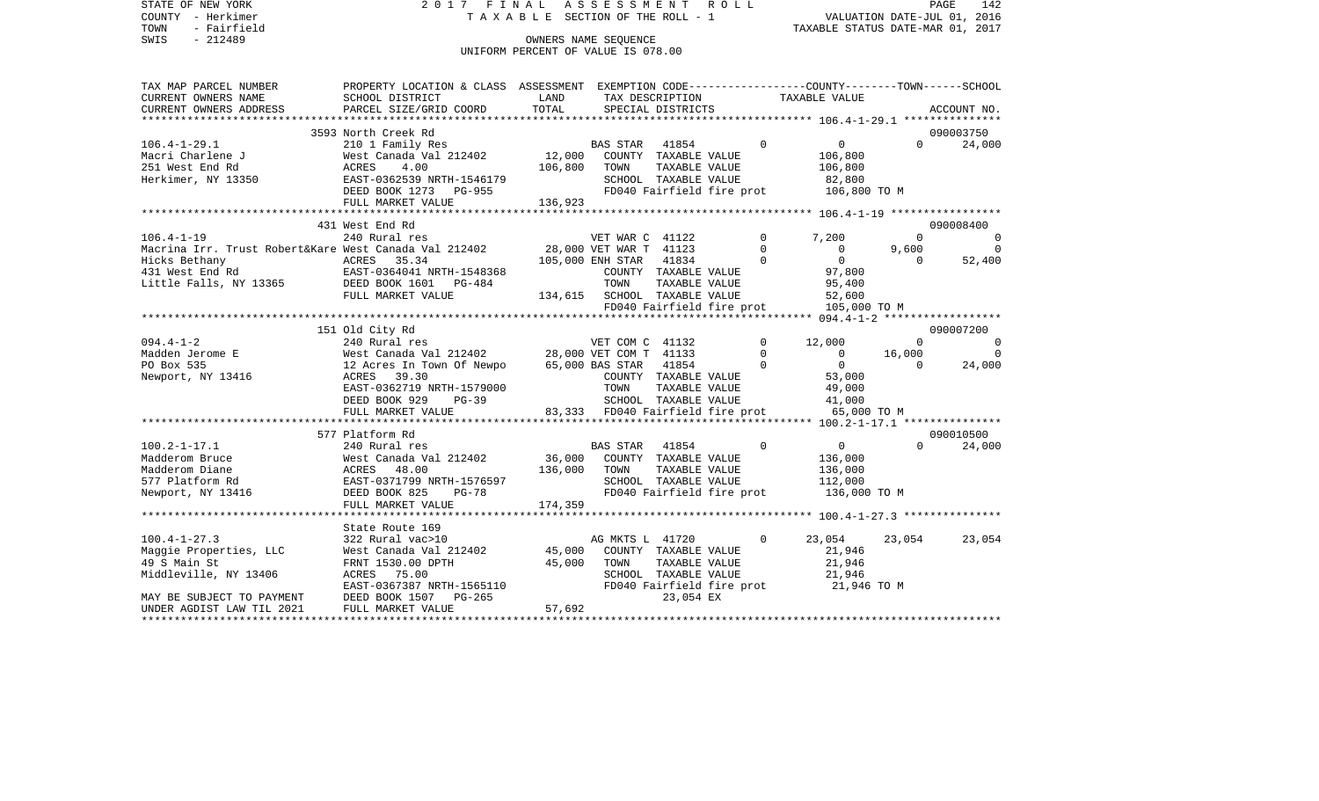STATE OF NEW YORK 2 0 1 7 F I N A L A S S E S S M E N T R O L L PAGE 142COUNTY - Herkimer **T A X A B L E** SECTION OF THE ROLL - 1 VALUATION DATE-JUL 01, 2016 TOWN - Fairfield TAXABLE STATUS DATE-MAR 01, 2017 SWIS - 212489 CONNERS NAME SEQUENCE UNIFORM PERCENT OF VALUE IS 078.00TAX MAP PARCEL NUMBER PROPERTY LOCATION & CLASS ASSESSMENT EXEMPTION CODE------------------COUNTY--------TOWN------SCHOOL CURRENT OWNERS NAME SCHOOL DISTRICT LAND TAX DESCRIPTION TAXABLE VALUECURRENT OWNERS ADDRESS PARCEL SIZE/GRID COORD TOTAL SPECIAL DISTRICTS ACCOUNT NO. \*\*\*\*\*\*\*\*\*\*\*\*\*\*\*\*\*\*\*\*\*\*\*\*\*\*\*\*\*\*\*\*\*\*\*\*\*\*\*\*\*\*\*\*\*\*\*\*\*\*\*\*\*\*\*\*\*\*\*\*\*\*\*\*\*\*\*\*\*\*\*\*\*\*\*\*\*\*\*\*\*\*\*\*\*\*\*\*\*\*\*\*\*\*\*\*\*\*\*\*\*\*\* 106.4-1-29.1 \*\*\*\*\*\*\*\*\*\*\*\*\*\*\* 3593 North Creek Rd 090003750106.4-1-29.1 210 1 Family Res BAS STAR 41854 0 0 0 24,000 Macri Charlene J West Canada Val 212402 12,000 COUNTY TAXABLE VALUE 106,800 251 West End Rd ACRES 4.00 106,800 TOWN TAXABLE VALUE 106,800 Herkimer, NY 13350 EAST-0362539 NRTH-1546179 SCHOOL TAXABLE VALUE 82,800 DEED BOOK 1273 PG-955 FD040 Fairfield fire prot 106,800 TO M FULL MARKET VALUE 136,923 \*\*\*\*\*\*\*\*\*\*\*\*\*\*\*\*\*\*\*\*\*\*\*\*\*\*\*\*\*\*\*\*\*\*\*\*\*\*\*\*\*\*\*\*\*\*\*\*\*\*\*\*\*\*\*\*\*\*\*\*\*\*\*\*\*\*\*\*\*\*\*\*\*\*\*\*\*\*\*\*\*\*\*\*\*\*\*\*\*\*\*\*\*\*\*\*\*\*\*\*\*\*\* 106.4-1-19 \*\*\*\*\*\*\*\*\*\*\*\*\*\*\*\*\* 431 West End Rd 090008400106.4-1-19 240 Rural res VET WAR C 41122 0 7,200 0 0 Macrina Irr. Trust Robert&Kare West Canada Val 212402 28,000 VET WAR T 41123 0 0 9,600 0 Hicks Bethany ACRES 35.34 105,000 ENH STAR 41834 0 0 0 52,400 431 West End Rd EAST-0364041 NRTH-1548368 COUNTY TAXABLE VALUE 97,800 Little Falls, NY 13365 DEED BOOK 1601 PG-484 TOWN TAXABLE VALUE 95,400 FULL MARKET VALUE  $134,615$  SCHOOL TAXABLE VALUE  $52,600$ FD040 Fairfield fire prot 105,000 TO M<br>\*\*\*\*\*\*\*\*\*\*\*\*\*\*\*\*\*\*\*\*\*\*\*\*\*\*\*\*\*\*\*\* 094.4-1-2 \*\*\*\*\*\*\*\*\*\*\*\*\*\*\*\*\* \*\*\*\*\*\*\*\*\*\*\*\*\*\*\*\*\*\*\*\*\*\*\*\*\*\*\*\*\*\*\*\*\*\*\*\*\*\*\*\*\*\*\*\*\*\*\*\*\*\*\*\*\*\*\*\*\*\*\*\*\*\*\*\*\*\*\*\*\*\*\*\*\*\*\*\*\*\*\*\*\*\*\*\*\*\*\*\*\*\*\*\*\*\*\*\*\*\*\*\*\*\*\* 094.4-1-2 \*\*\*\*\*\*\*\*\*\*\*\*\*\*\*\*\*\* 151 Old City Rd 090007200 094.4-1-2 240 Rural res VET COM C 41132 0 12,000 0 0 0 Madden Jerome E West Canada Val 212402 28,000 VET COM T 41133 0 0 16,000 0 PO Box 535 12 Acres In Town Of Newpo 65,000 BAS STAR 41854 0 0 0 24,000 Newport, NY 13416 ACRES 39.30 COUNTY TAXABLE VALUE 53,000 EAST-0362719 NRTH-1579000 TOWN TAXABLE VALUE 49,000 DEED BOOK 929 PG-39 SCHOOL TAXABLE VALUE 41,000 FULL MARKET VALUE 83,333 FD040 Fairfield fire prot 65,000 TO M \*\*\*\*\*\*\*\*\*\*\*\*\*\*\*\*\*\*\*\*\*\*\*\*\*\*\*\*\*\*\*\*\*\*\*\*\*\*\*\*\*\*\*\*\*\*\*\*\*\*\*\*\*\*\*\*\*\*\*\*\*\*\*\*\*\*\*\*\*\*\*\*\*\*\*\*\*\*\*\*\*\*\*\*\*\*\*\*\*\*\*\*\*\*\*\*\*\*\*\*\*\*\* 100.2-1-17.1 \*\*\*\*\*\*\*\*\*\*\*\*\*\*\* 577 Platform Rd 090010500100.2-1-17.1 240 Rural res BAS STAR 41854 0 0 0 24,000 Madderom Bruce West Canada Val 212402 36,000 COUNTY TAXABLE VALUE 136,000 Madderom Diane ACRES 48.00 136,000 TOWN TAXABLE VALUE 136,000 577 Platform Rd EAST-0371799 NRTH-1576597 SCHOOL TAXABLE VALUE 112,000 Newport, NY 13416 **DEED BOOK 825** PG-78 FD040 Fairfield fire prot 136,000 TO M FULL MARKET VALUE 174,359 \*\*\*\*\*\*\*\*\*\*\*\*\*\*\*\*\*\*\*\*\*\*\*\*\*\*\*\*\*\*\*\*\*\*\*\*\*\*\*\*\*\*\*\*\*\*\*\*\*\*\*\*\*\*\*\*\*\*\*\*\*\*\*\*\*\*\*\*\*\*\*\*\*\*\*\*\*\*\*\*\*\*\*\*\*\*\*\*\*\*\*\*\*\*\*\*\*\*\*\*\*\*\* 100.4-1-27.3 \*\*\*\*\*\*\*\*\*\*\*\*\*\*\* State Route 169100.4-1-27.3 322 Rural vac>10 AG MKTS L 41720 0 23,054 23,054 23,054 Maggie Properties, LLC West Canada Val 212402 45,000 COUNTY TAXABLE VALUE 21,946 49 S Main St FRNT 1530.00 DPTH 45,000 TOWN TAXABLE VALUE 21,946 Middleville, NY 13406 ACRES 75.00 SCHOOL TAXABLE VALUE 21,946 EAST-0367387 NRTH-1565110 FD040 Fairfield fire prot 21,946 TO M MAY BE SUBJECT TO PAYMENT DEED BOOK 1507 PG-265 23,054 EX UNDER AGDIST LAW TIL 2021 FULL MARKET VALUE 57,692 \*\*\*\*\*\*\*\*\*\*\*\*\*\*\*\*\*\*\*\*\*\*\*\*\*\*\*\*\*\*\*\*\*\*\*\*\*\*\*\*\*\*\*\*\*\*\*\*\*\*\*\*\*\*\*\*\*\*\*\*\*\*\*\*\*\*\*\*\*\*\*\*\*\*\*\*\*\*\*\*\*\*\*\*\*\*\*\*\*\*\*\*\*\*\*\*\*\*\*\*\*\*\*\*\*\*\*\*\*\*\*\*\*\*\*\*\*\*\*\*\*\*\*\*\*\*\*\*\*\*\*\*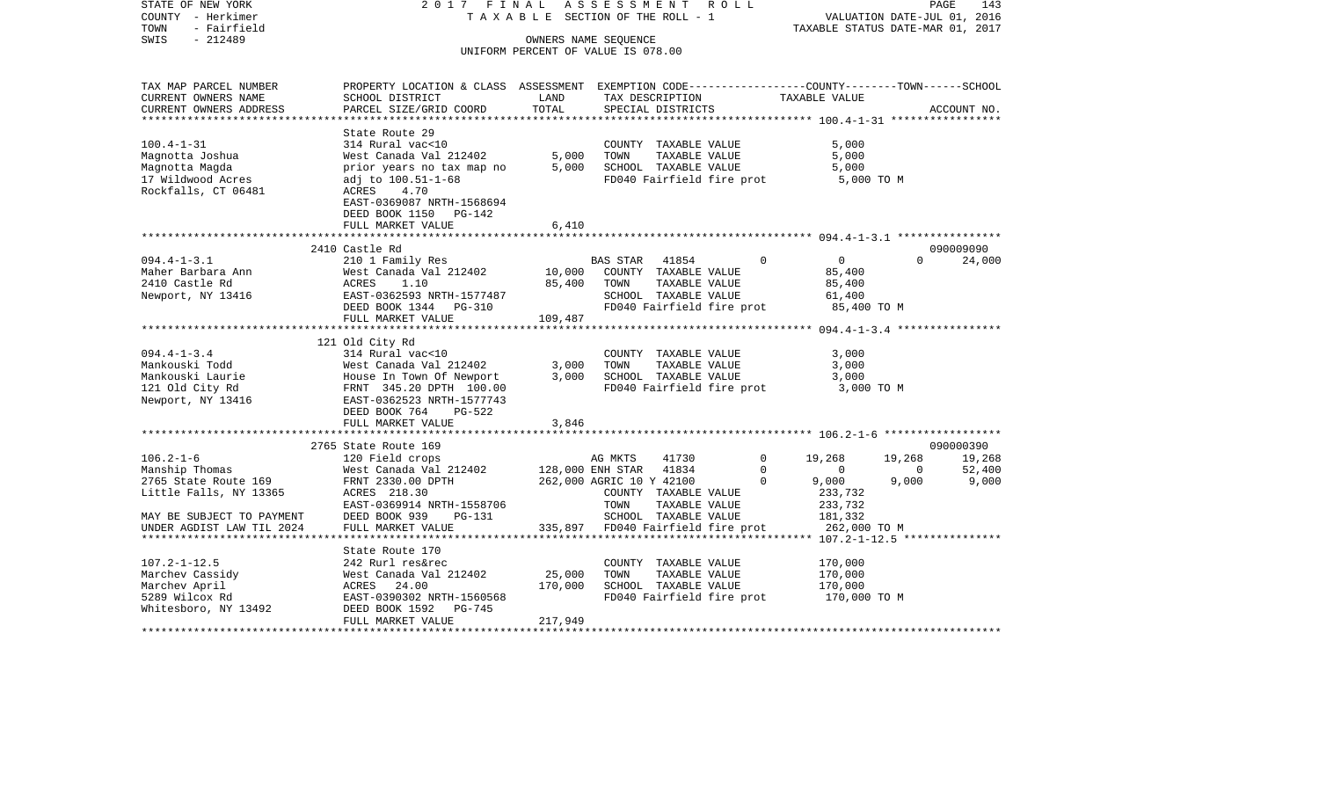COUNTY - Herkimer T A X A B L E SECTION OF THE ROLL - 1 VALUATION DATE-JUL 01, 2016 TOWN - Fairfield TAXABLE STATUS DATE-MAR 01, 2017 SWIS - 212489 OWNERS NAME SEQUENCE UNIFORM PERCENT OF VALUE IS 078.00TAX MAP PARCEL NUMBER PROPERTY LOCATION & CLASS ASSESSMENT EXEMPTION CODE------------------COUNTY--------TOWN------SCHOOL CURRENT OWNERS NAME SCHOOL DISTRICT LAND TAX DESCRIPTION TAXABLE VALUECURRENT OWNERS ADDRESS PARCEL SIZE/GRID COORD TOTAL SPECIAL DISTRICTS ACCOUNT NO. \*\*\*\*\*\*\*\*\*\*\*\*\*\*\*\*\*\*\*\*\*\*\*\*\*\*\*\*\*\*\*\*\*\*\*\*\*\*\*\*\*\*\*\*\*\*\*\*\*\*\*\*\*\*\*\*\*\*\*\*\*\*\*\*\*\*\*\*\*\*\*\*\*\*\*\*\*\*\*\*\*\*\*\*\*\*\*\*\*\*\*\*\*\*\*\*\*\*\*\*\*\*\* 100.4-1-31 \*\*\*\*\*\*\*\*\*\*\*\*\*\*\*\*\* State Route 29 100.4-1-31 314 Rural vac<10 COUNTY TAXABLE VALUE 5,000 Magnotta Joshua West Canada Val 212402 5,000 TOWN TAXABLE VALUE 5,000 Magnotta Magda **prior years no tax map no 5,000 SCHOOL TAXABLE VALUE** 5,000 17 Wildwood Acres adj to 100.51-1-68 FD040 Fairfield fire prot 5,000 TO M Rockfalls, CT 06481 ACRES 4.70 EAST-0369087 NRTH-1568694 DEED BOOK 1150 PG-142 FULL MARKET VALUE 6,410 \*\*\*\*\*\*\*\*\*\*\*\*\*\*\*\*\*\*\*\*\*\*\*\*\*\*\*\*\*\*\*\*\*\*\*\*\*\*\*\*\*\*\*\*\*\*\*\*\*\*\*\*\*\*\*\*\*\*\*\*\*\*\*\*\*\*\*\*\*\*\*\*\*\*\*\*\*\*\*\*\*\*\*\*\*\*\*\*\*\*\*\*\*\*\*\*\*\*\*\*\*\*\* 094.4-1-3.1 \*\*\*\*\*\*\*\*\*\*\*\*\*\*\*\* 2410 Castle Rd 090009090094.4-1-3.1 210 1 Family Res BAS STAR 41854 0 0 0 24,000 Maher Barbara Ann West Canada Val 212402 10,000 COUNTY TAXABLE VALUE 85,400 2410 Castle Rd ACRES 1.10 85,400 TOWN TAXABLE VALUE 85,400 Newport, NY 13416 **EAST-0362593 NRTH-1577487** SCHOOL TAXABLE VALUE 61,400 DEED BOOK 1344 PG-310 FD040 Fairfield fire prot 85,400 TO M FULL MARKET VALUE 109,487 \*\*\*\*\*\*\*\*\*\*\*\*\*\*\*\*\*\*\*\*\*\*\*\*\*\*\*\*\*\*\*\*\*\*\*\*\*\*\*\*\*\*\*\*\*\*\*\*\*\*\*\*\*\*\*\*\*\*\*\*\*\*\*\*\*\*\*\*\*\*\*\*\*\*\*\*\*\*\*\*\*\*\*\*\*\*\*\*\*\*\*\*\*\*\*\*\*\*\*\*\*\*\* 094.4-1-3.4 \*\*\*\*\*\*\*\*\*\*\*\*\*\*\*\* 121 Old City Rd 094.4-1-3.4 314 Rural vac<10 COUNTY TAXABLE VALUE 3,000 Mankouski Todd West Canada Val 212402 3,000 TOWN TAXABLE VALUE 3,000 Mankouski Laurie House In Town Of Newport 3,000 SCHOOL TAXABLE VALUE 3,000 121 Old City Rd FRNT 345.20 DPTH 100.00 FD040 Fairfield fire prot 3,000 TO M Newport, NY 13416 EAST-0362523 NRTH-1577743 DEED BOOK 764 PG-522FULL MARKET VALUE 3,846 \*\*\*\*\*\*\*\*\*\*\*\*\*\*\*\*\*\*\*\*\*\*\*\*\*\*\*\*\*\*\*\*\*\*\*\*\*\*\*\*\*\*\*\*\*\*\*\*\*\*\*\*\*\*\*\*\*\*\*\*\*\*\*\*\*\*\*\*\*\*\*\*\*\*\*\*\*\*\*\*\*\*\*\*\*\*\*\*\*\*\*\*\*\*\*\*\*\*\*\*\*\*\* 106.2-1-6 \*\*\*\*\*\*\*\*\*\*\*\*\*\*\*\*\*\* 2765 State Route 169 090000390106.2-1-6 120 Field crops AG MKTS 41730 0 19,268 19,268 19,268 Manship Thomas West Canada Val 212402 128,000 ENH STAR 41834 0 0 0 52,400 2765 State Route 169 FRNT 2330.00 DPTH 262,000 AGRIC 10 Y 42100 0 9,000 9,000 9,000 Little Falls, NY 13365 ACRES 218.30 COUNTY TAXABLE VALUE 233,732 EAST-0369914 NRTH-1558706 TOWN TAXABLE VALUE 233,732 MAY BE SUBJECT TO PAYMENT DEED BOOK 939 PG-131 SCHOOL TAXABLE VALUE 181,332 UNDER AGDIST LAW TIL 2024 FULL MARKET VALUE 335,897 FD040 Fairfield fire prot 262,000 TO M \*\*\*\*\*\*\*\*\*\*\*\*\*\*\*\*\*\*\*\*\*\*\*\*\*\*\*\*\*\*\*\*\*\*\*\*\*\*\*\*\*\*\*\*\*\*\*\*\*\*\*\*\*\*\*\*\*\*\*\*\*\*\*\*\*\*\*\*\*\*\*\*\*\*\*\*\*\*\*\*\*\*\*\*\*\*\*\*\*\*\*\*\*\*\*\*\*\*\*\*\*\*\* 107.2-1-12.5 \*\*\*\*\*\*\*\*\*\*\*\*\*\*\* State Route 170107.2-1-12.5 242 Rurl res&rec COUNTY TAXABLE VALUE 170,000 Marchev Cassidy 600 West Canada Val 212402 25,000 TOWN TAXABLE VALUE 170,000 Marchev April ACRES 24.00 170,000 SCHOOL TAXABLE VALUE 170,000 5289 Wilcox Rd EAST-0390302 NRTH-1560568 FD040 Fairfield fire prot 170,000 TO M Whitesboro, NY 13492 DEED BOOK 1592 PG-745 FULL MARKET VALUE 217,949 \*\*\*\*\*\*\*\*\*\*\*\*\*\*\*\*\*\*\*\*\*\*\*\*\*\*\*\*\*\*\*\*\*\*\*\*\*\*\*\*\*\*\*\*\*\*\*\*\*\*\*\*\*\*\*\*\*\*\*\*\*\*\*\*\*\*\*\*\*\*\*\*\*\*\*\*\*\*\*\*\*\*\*\*\*\*\*\*\*\*\*\*\*\*\*\*\*\*\*\*\*\*\*\*\*\*\*\*\*\*\*\*\*\*\*\*\*\*\*\*\*\*\*\*\*\*\*\*\*\*\*\*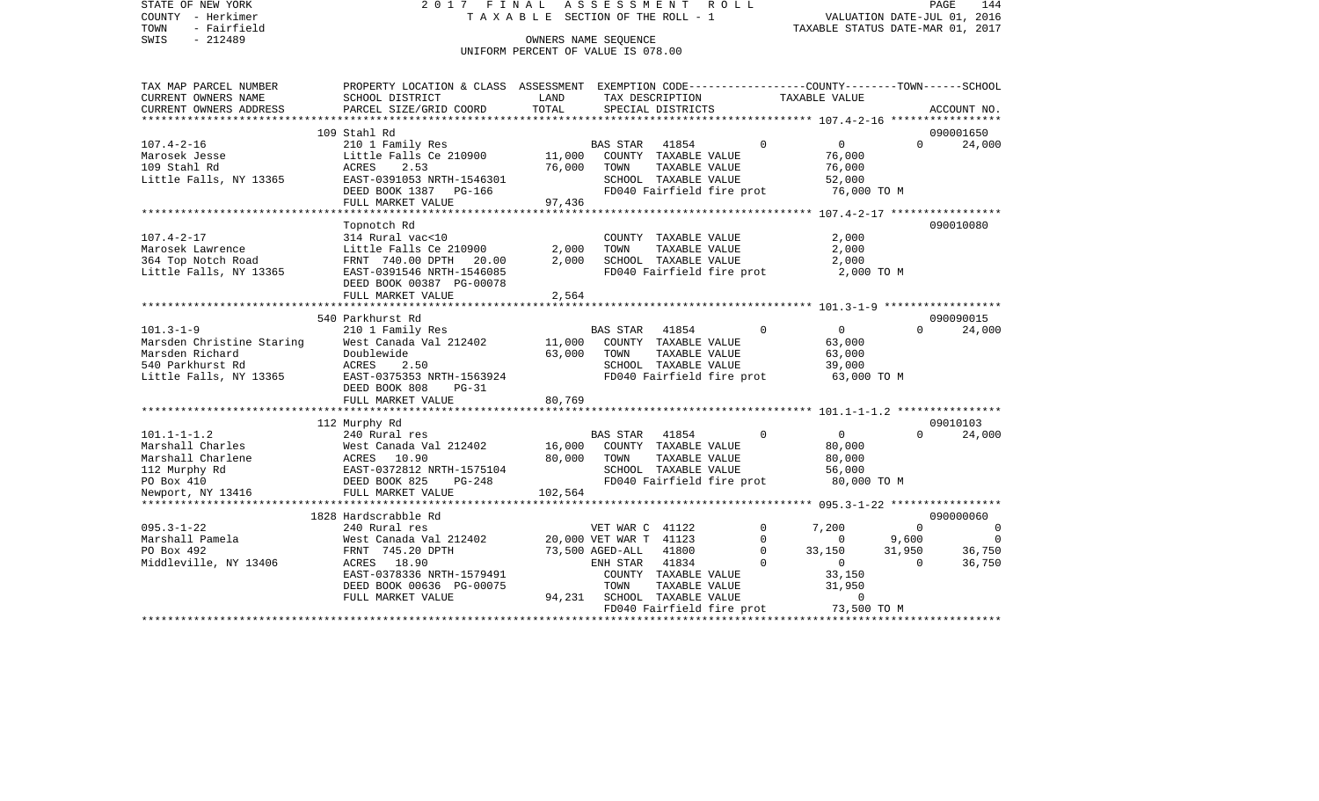STATE OF NEW YORK 2 0 1 7 F I N A L A S S E S S M E N T R O L L PAGE 144COUNTY - Herkimer **T A X A B L E** SECTION OF THE ROLL - 1 VALUATION DATE-JUL 01, 2016 TOWN - Fairfield TAXABLE STATUS DATE-MAR 01, 2017 SWIS - 212489 CONNERS NAME SEQUENCE UNIFORM PERCENT OF VALUE IS 078.00TAX MAP PARCEL NUMBER PROPERTY LOCATION & CLASS ASSESSMENT EXEMPTION CODE------------------COUNTY--------TOWN------SCHOOL CURRENT OWNERS NAME SCHOOL DISTRICT LAND TAX DESCRIPTION TAXABLE VALUECURRENT OWNERS ADDRESS PARCEL SIZE/GRID COORD TOTAL SPECIAL DISTRICTS ACCOUNT NO. \*\*\*\*\*\*\*\*\*\*\*\*\*\*\*\*\*\*\*\*\*\*\*\*\*\*\*\*\*\*\*\*\*\*\*\*\*\*\*\*\*\*\*\*\*\*\*\*\*\*\*\*\*\*\*\*\*\*\*\*\*\*\*\*\*\*\*\*\*\*\*\*\*\*\*\*\*\*\*\*\*\*\*\*\*\*\*\*\*\*\*\*\*\*\*\*\*\*\*\*\*\*\* 107.4-2-16 \*\*\*\*\*\*\*\*\*\*\*\*\*\*\*\*\* 109 Stahl Rd 090001650107.4-2-16 210 1 Family Res BAS STAR 41854 0 0 0 24,000 Marosek Jesse Little Falls Ce 210900 11,000 COUNTY TAXABLE VALUE 76,000 109 Stahl Rd ACRES 2.53 76,000 TOWN TAXABLE VALUE 76,000 Little Falls, NY 13365 628 EAST-0391053 NRTH-1546301 68 SCHOOL TAXABLE VALUE 52,000 DEED BOOK 1387 PG-166 FD040 Fairfield fire prot 76,000 TO M FULL MARKET VALUE 97,436 \*\*\*\*\*\*\*\*\*\*\*\*\*\*\*\*\*\*\*\*\*\*\*\*\*\*\*\*\*\*\*\*\*\*\*\*\*\*\*\*\*\*\*\*\*\*\*\*\*\*\*\*\*\*\*\*\*\*\*\*\*\*\*\*\*\*\*\*\*\*\*\*\*\*\*\*\*\*\*\*\*\*\*\*\*\*\*\*\*\*\*\*\*\*\*\*\*\*\*\*\*\*\* 107.4-2-17 \*\*\*\*\*\*\*\*\*\*\*\*\*\*\*\*\* Topnotch Rd 090010080 107.4-2-17 314 Rural vac<10 COUNTY TAXABLE VALUE 2,000 Marosek Lawrence  $Ltext{ little Falls Ce } 210900$   $2,000$  TOWN TAXABLE VALUE  $2,000$ 364 Top Notch Road FRNT 740.00 DPTH 20.00 2,000 SCHOOL TAXABLE VALUE 2,000 Little Falls, NY 13365 EAST-0391546 NRTH-1546085 FD040 Fairfield fire prot 2,000 TO M DEED BOOK 00387 PG-00078FULL MARKET VALUE 2,564 \*\*\*\*\*\*\*\*\*\*\*\*\*\*\*\*\*\*\*\*\*\*\*\*\*\*\*\*\*\*\*\*\*\*\*\*\*\*\*\*\*\*\*\*\*\*\*\*\*\*\*\*\*\*\*\*\*\*\*\*\*\*\*\*\*\*\*\*\*\*\*\*\*\*\*\*\*\*\*\*\*\*\*\*\*\*\*\*\*\*\*\*\*\*\*\*\*\*\*\*\*\*\* 101.3-1-9 \*\*\*\*\*\*\*\*\*\*\*\*\*\*\*\*\*\* 540 Parkhurst Rd 09009001524,000 101.3-1-9 210 1 Family Res BAS STAR 41854 0 0 0 0 Marsden Christine Staring West Canada Val 212402 11,000 COUNTY TAXABLE VALUE 63,000 Marsden Richard Doublewide 63,000 TOWN TAXABLE VALUE 63,000 540 Parkhurst Rd ACRES 2.50 SCHOOL TAXABLE VALUE 39,000 Little Falls, NY 13365 EAST-0375353 NRTH-1563924 FD040 Fairfield fire prot 63,000 TO M DEED BOOK 808 PG-31FULL MARKET VALUE 80,769 \*\*\*\*\*\*\*\*\*\*\*\*\*\*\*\*\*\*\*\*\*\*\*\*\*\*\*\*\*\*\*\*\*\*\*\*\*\*\*\*\*\*\*\*\*\*\*\*\*\*\*\*\*\*\*\*\*\*\*\*\*\*\*\*\*\*\*\*\*\*\*\*\*\*\*\*\*\*\*\*\*\*\*\*\*\*\*\*\*\*\*\*\*\*\*\*\*\*\*\*\*\*\* 101.1-1-1.2 \*\*\*\*\*\*\*\*\*\*\*\*\*\*\*\* 112 Murphy Rd 09010103 101.1-1-1.2 240 Rural res BAS STAR 41854 0 0 0 24,000 Marshall Charles 60,000 West Canada Val 212402 16,000 COUNTY TAXABLE VALUE 80,000 Marshall Charlene ACRES 10.90 80,000 TOWN TAXABLE VALUE 80,000 112 Murphy Rd EAST-0372812 NRTH-1575104 SCHOOL TAXABLE VALUE 56,000 PO Box 410 **DEED BOOK 825** PG-248 FD040 Fairfield fire prot 80,000 TO M Newport, NY 13416 FULL MARKET VALUE 102,564 \*\*\*\*\*\*\*\*\*\*\*\*\*\*\*\*\*\*\*\*\*\*\*\*\*\*\*\*\*\*\*\*\*\*\*\*\*\*\*\*\*\*\*\*\*\*\*\*\*\*\*\*\*\*\*\*\*\*\*\*\*\*\*\*\*\*\*\*\*\*\*\*\*\*\*\*\*\*\*\*\*\*\*\*\*\*\*\*\*\*\*\*\*\*\*\*\*\*\*\*\*\*\* 095.3-1-22 \*\*\*\*\*\*\*\*\*\*\*\*\*\*\*\*\* 1828 Hardscrabble Rd 090000060095.3-1-22 240 Rural res 240 Rural res VET WAR C 41122 0 7,200 0 0 0 Marshall Pamela West Canada Val 212402 20,000 VET WAR T 41123 0 0 9,600 0 PO Box 492 FRNT 745.20 DPTH 73,500 AGED-ALL 41800 0 33,150 31,950 36,750 Middleville, NY 13406 ACRES 18.90 ENH STAR 41834 0 0 0 36,750 EAST-0378336 NRTH-1579491 COUNTY TAXABLE VALUE 33,150 DEED BOOK 00636 PG-00075 TOWN TAXABLE VALUE 31,950 FULL MARKET VALUE  $94,231$  SCHOOL TAXABLE VALUE 0 FD040 Fairfield fire prot 73,500 TO M \*\*\*\*\*\*\*\*\*\*\*\*\*\*\*\*\*\*\*\*\*\*\*\*\*\*\*\*\*\*\*\*\*\*\*\*\*\*\*\*\*\*\*\*\*\*\*\*\*\*\*\*\*\*\*\*\*\*\*\*\*\*\*\*\*\*\*\*\*\*\*\*\*\*\*\*\*\*\*\*\*\*\*\*\*\*\*\*\*\*\*\*\*\*\*\*\*\*\*\*\*\*\*\*\*\*\*\*\*\*\*\*\*\*\*\*\*\*\*\*\*\*\*\*\*\*\*\*\*\*\*\*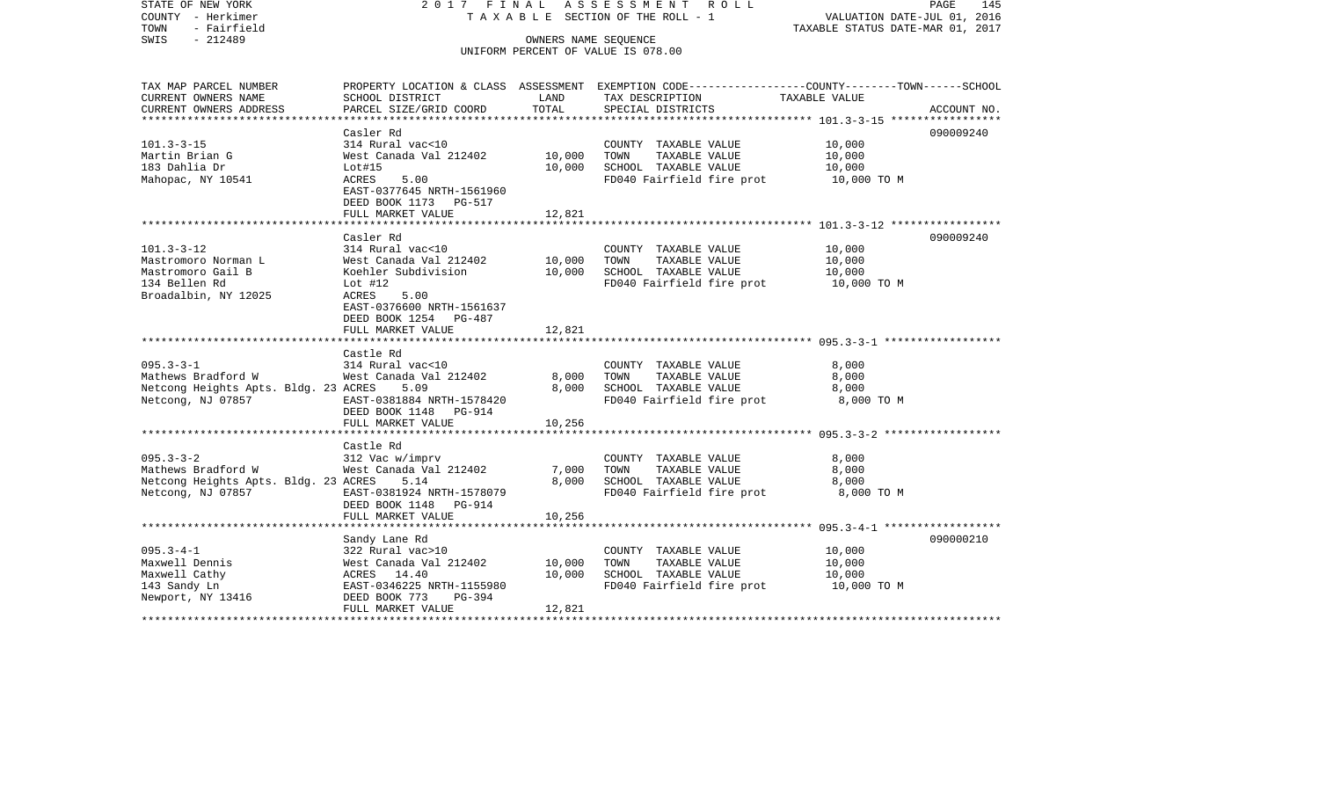COUNTY - Herkimer T A X A B L E SECTION OF THE ROLL - 1 VALUATION DATE-JUL 01, 2016 TOWN - Fairfield TAXABLE STATUS DATE-MAR 01, 2017 SWIS - 212489 OWNERS NAME SEQUENCE UNIFORM PERCENT OF VALUE IS 078.00TAX MAP PARCEL NUMBER PROPERTY LOCATION & CLASS ASSESSMENT EXEMPTION CODE------------------COUNTY--------TOWN------SCHOOL CURRENT OWNERS NAME SCHOOL DISTRICT LAND TAX DESCRIPTION TAXABLE VALUECURRENT OWNERS ADDRESS PARCEL SIZE/GRID COORD TOTAL SPECIAL DISTRICTS ACCOUNT NO. \*\*\*\*\*\*\*\*\*\*\*\*\*\*\*\*\*\*\*\*\*\*\*\*\*\*\*\*\*\*\*\*\*\*\*\*\*\*\*\*\*\*\*\*\*\*\*\*\*\*\*\*\*\*\*\*\*\*\*\*\*\*\*\*\*\*\*\*\*\*\*\*\*\*\*\*\*\*\*\*\*\*\*\*\*\*\*\*\*\*\*\*\*\*\*\*\*\*\*\*\*\*\* 101.3-3-15 \*\*\*\*\*\*\*\*\*\*\*\*\*\*\*\*\* Casler Rd 090009240090009240 101.3-3-15 314 Rural vac<10 COUNTY TAXABLE VALUE 10,000 Martin Brian G West Canada Val 212402 10,000 TOWN TAXABLE VALUE 10,000 183 Dahlia Dr Lot#15 10,000 SCHOOL TAXABLE VALUE 10,000 Mahopac, NY 10541 ACRES 5.00 FD040 Fairfield fire prot 10,000 TO M EAST-0377645 NRTH-1561960 DEED BOOK 1173 PG-517FULL MARKET VALUE 12,821 \*\*\*\*\*\*\*\*\*\*\*\*\*\*\*\*\*\*\*\*\*\*\*\*\*\*\*\*\*\*\*\*\*\*\*\*\*\*\*\*\*\*\*\*\*\*\*\*\*\*\*\*\*\*\*\*\*\*\*\*\*\*\*\*\*\*\*\*\*\*\*\*\*\*\*\*\*\*\*\*\*\*\*\*\*\*\*\*\*\*\*\*\*\*\*\*\*\*\*\*\*\*\* 101.3-3-12 \*\*\*\*\*\*\*\*\*\*\*\*\*\*\*\*\* Casler Rd 090009240101.3-3-12 314 Rural vac<10 COUNTY TAXABLE VALUE 10,000 Mastromoro Norman L West Canada Val 212402 10,000 TOWN TAXABLE VALUE 10,000 Mastromoro Gail B Koehler Subdivision 10,000 SCHOOL TAXABLE VALUE 10,000 134 Bellen Rd Lot #12 FD040 Fairfield fire prot 10,000 TO M Broadalbin, NY 12025 ACRES 5.00 EAST-0376600 NRTH-1561637 DEED BOOK 1254 PG-487FULL MARKET VALUE 12.821 \*\*\*\*\*\*\*\*\*\*\*\*\*\*\*\*\*\*\*\*\*\*\*\*\*\*\*\*\*\*\*\*\*\*\*\*\*\*\*\*\*\*\*\*\*\*\*\*\*\*\*\*\*\*\*\*\*\*\*\*\*\*\*\*\*\*\*\*\*\*\*\*\*\*\*\*\*\*\*\*\*\*\*\*\*\*\*\*\*\*\*\*\*\*\*\*\*\*\*\*\*\*\* 095.3-3-1 \*\*\*\*\*\*\*\*\*\*\*\*\*\*\*\*\*\* Castle Rd095.3-3-1 314 Rural vac<10 COUNTY TAXABLE VALUE 8,000 Mathews Bradford W 65.000 West Canada Val 212402 8,000 TOWN TAXABLE VALUE 8,000 Netcong Heights Apts. Bldg. 23 ACRES 5.09 8,000 SCHOOL TAXABLE VALUE 8,000 Netcong, NJ 07857 EAST-0381884 NRTH-1578420 FD040 Fairfield fire prot 8,000 TO M DEED BOOK 1148 PG-914FULL MARKET VALUE 10,256 \*\*\*\*\*\*\*\*\*\*\*\*\*\*\*\*\*\*\*\*\*\*\*\*\*\*\*\*\*\*\*\*\*\*\*\*\*\*\*\*\*\*\*\*\*\*\*\*\*\*\*\*\*\*\*\*\*\*\*\*\*\*\*\*\*\*\*\*\*\*\*\*\*\*\*\*\*\*\*\*\*\*\*\*\*\*\*\*\*\*\*\*\*\*\*\*\*\*\*\*\*\*\* 095.3-3-2 \*\*\*\*\*\*\*\*\*\*\*\*\*\*\*\*\*\* Castle Rd 095.3-3-2 312 Vac w/imprv COUNTY TAXABLE VALUE 8,000 Mathews Bradford W West Canada Val 212402 7,000 TOWN TAXABLE VALUE 8,000 Netcong Heights Apts. Bldg. 23 ACRES 5.14 8,000 SCHOOL TAXABLE VALUE 8,000 Netcong, NJ 07857 **EAST-0381924 NRTH-1578079** FD040 Fairfield fire prot 8,000 TO M DEED BOOK 1148 PG-914FULL MARKET VALUE 10,256 \*\*\*\*\*\*\*\*\*\*\*\*\*\*\*\*\*\*\*\*\*\*\*\*\*\*\*\*\*\*\*\*\*\*\*\*\*\*\*\*\*\*\*\*\*\*\*\*\*\*\*\*\*\*\*\*\*\*\*\*\*\*\*\*\*\*\*\*\*\*\*\*\*\*\*\*\*\*\*\*\*\*\*\*\*\*\*\*\*\*\*\*\*\*\*\*\*\*\*\*\*\*\* 095.3-4-1 \*\*\*\*\*\*\*\*\*\*\*\*\*\*\*\*\*\* Sandy Lane Rd 090000210 095.3-4-1 322 Rural vac>10 COUNTY TAXABLE VALUE 10,000 Maxwell Dennis West Canada Val 212402 10,000 TOWN TAXABLE VALUE 10,000 Maxwell Cathy  $ACRES$  14.40 10,000 SCHOOL TAXABLE VALUE 10,000 143 Sandy Ln EAST-0346225 NRTH-1155980 FD040 Fairfield fire prot 10,000 TO M Newport, NY 13416 DEED BOOK 773 PG-394 FULL MARKET VALUE 12.821 \*\*\*\*\*\*\*\*\*\*\*\*\*\*\*\*\*\*\*\*\*\*\*\*\*\*\*\*\*\*\*\*\*\*\*\*\*\*\*\*\*\*\*\*\*\*\*\*\*\*\*\*\*\*\*\*\*\*\*\*\*\*\*\*\*\*\*\*\*\*\*\*\*\*\*\*\*\*\*\*\*\*\*\*\*\*\*\*\*\*\*\*\*\*\*\*\*\*\*\*\*\*\*\*\*\*\*\*\*\*\*\*\*\*\*\*\*\*\*\*\*\*\*\*\*\*\*\*\*\*\*\*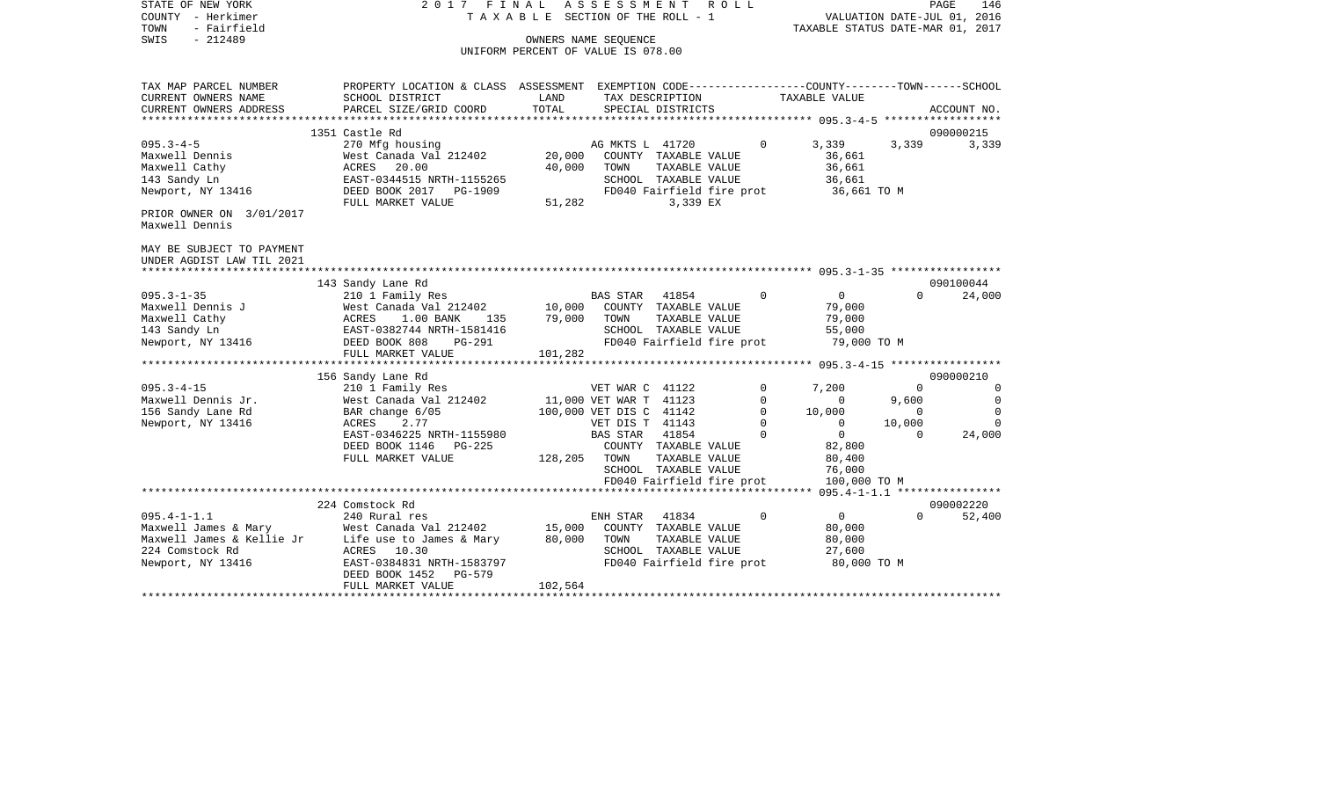| STATE OF NEW YORK<br>COUNTY - Herkimer<br>- Fairfield<br>TOWN<br>$-212489$<br>SWIS                                                    | 2017<br>FINAL                                                                                                                                                                       | TAXABLE SECTION OF THE ROLL - 1<br>UNIFORM PERCENT OF VALUE IS 078.00 | ASSESSMENT<br>OWNERS NAME SEQUENCE                                                                                 | ROLL                                                                                                   |                                                             | TAXABLE STATUS DATE-MAR 01, 2017                                                                  |                                                     | PAGE<br>146<br>VALUATION DATE-JUL 01, 2016                      |
|---------------------------------------------------------------------------------------------------------------------------------------|-------------------------------------------------------------------------------------------------------------------------------------------------------------------------------------|-----------------------------------------------------------------------|--------------------------------------------------------------------------------------------------------------------|--------------------------------------------------------------------------------------------------------|-------------------------------------------------------------|---------------------------------------------------------------------------------------------------|-----------------------------------------------------|-----------------------------------------------------------------|
| TAX MAP PARCEL NUMBER<br>CURRENT OWNERS NAME<br>CURRENT OWNERS ADDRESS<br>***********************                                     | PROPERTY LOCATION & CLASS ASSESSMENT EXEMPTION CODE---------------COUNTY-------TOWN-----SCHOOL<br>SCHOOL DISTRICT<br>PARCEL SIZE/GRID COORD<br>*****************************        | LAND<br>TOTAL                                                         |                                                                                                                    | TAX DESCRIPTION<br>SPECIAL DISTRICTS                                                                   |                                                             | TAXABLE VALUE                                                                                     |                                                     | ACCOUNT NO.                                                     |
|                                                                                                                                       | 1351 Castle Rd                                                                                                                                                                      |                                                                       |                                                                                                                    |                                                                                                        |                                                             |                                                                                                   |                                                     | 090000215                                                       |
| $095.3 - 4 - 5$<br>Maxwell Dennis<br>Maxwell Cathy<br>143 Sandy Ln<br>Newport, NY 13416<br>PRIOR OWNER ON 3/01/2017<br>Maxwell Dennis | 270 Mfg housing<br>West Canada Val 212402<br>ACRES<br>20.00<br>EAST-0344515 NRTH-1155265<br>DEED BOOK 2017<br>PG-1909<br>FULL MARKET VALUE                                          | 20,000<br>40,000<br>51,282                                            | AG MKTS L 41720<br>TOWN                                                                                            | COUNTY TAXABLE VALUE<br>TAXABLE VALUE<br>SCHOOL TAXABLE VALUE<br>FD040 Fairfield fire prot<br>3,339 EX | $\Omega$                                                    | 3,339<br>36,661<br>36,661<br>36,661<br>36,661 TO M                                                | 3,339                                               | 3,339                                                           |
| MAY BE SUBJECT TO PAYMENT<br>UNDER AGDIST LAW TIL 2021                                                                                |                                                                                                                                                                                     |                                                                       |                                                                                                                    |                                                                                                        |                                                             |                                                                                                   |                                                     |                                                                 |
|                                                                                                                                       | 143 Sandy Lane Rd                                                                                                                                                                   |                                                                       |                                                                                                                    |                                                                                                        |                                                             |                                                                                                   |                                                     | 090100044                                                       |
| $095.3 - 1 - 35$<br>Maxwell Dennis J<br>Maxwell Cathy<br>143 Sandy Ln<br>Newport, NY 13416                                            | 210 1 Family Res<br>West Canada Val 212402<br>ACRES<br>1.00 BANK<br>135<br>EAST-0382744 NRTH-1581416<br>DEED BOOK 808<br>$PG-291$                                                   | 10,000<br>79,000                                                      | BAS STAR<br>TOWN                                                                                                   | 41854<br>COUNTY TAXABLE VALUE<br>TAXABLE VALUE<br>SCHOOL TAXABLE VALUE<br>FD040 Fairfield fire prot    | $\Omega$                                                    | $\overline{0}$<br>79,000<br>79,000<br>55,000<br>79,000 TO M                                       | $\Omega$                                            | 24,000                                                          |
|                                                                                                                                       | FULL MARKET VALUE                                                                                                                                                                   | 101,282                                                               |                                                                                                                    |                                                                                                        |                                                             |                                                                                                   |                                                     |                                                                 |
|                                                                                                                                       | *****************************                                                                                                                                                       |                                                                       |                                                                                                                    |                                                                                                        |                                                             |                                                                                                   |                                                     |                                                                 |
| $095.3 - 4 - 15$<br>Maxwell Dennis Jr.<br>156 Sandy Lane Rd<br>Newport, NY 13416                                                      | 156 Sandy Lane Rd<br>210 1 Family Res<br>West Canada Val 212402<br>BAR change 6/05<br>2.77<br>ACRES<br>EAST-0346225 NRTH-1155980<br>DEED BOOK 1146<br>$PG-225$<br>FULL MARKET VALUE | 128,205                                                               | VET WAR C 41122<br>11,000 VET WAR T 41123<br>100,000 VET DIS C 41142<br>VET DIS T 41143<br><b>BAS STAR</b><br>TOWN | 41854<br>COUNTY TAXABLE VALUE<br>TAXABLE VALUE<br>SCHOOL TAXABLE VALUE<br>FD040 Fairfield fire prot    | $\Omega$<br>$\mathbf 0$<br>$\Omega$<br>$\Omega$<br>$\Omega$ | 7,200<br>0<br>10,000<br>$\mathbf{0}$<br>$\mathbf 0$<br>82,800<br>80,400<br>76,000<br>100,000 TO M | $\Omega$<br>9,600<br>$\Omega$<br>10,000<br>$\Omega$ | 090000210<br>0<br>$\mathbf 0$<br>$\Omega$<br>$\Omega$<br>24,000 |
|                                                                                                                                       | ********************                                                                                                                                                                |                                                                       |                                                                                                                    |                                                                                                        |                                                             |                                                                                                   |                                                     | $095.4 - 1 - 1.1$ *****************                             |
|                                                                                                                                       | 224 Comstock Rd                                                                                                                                                                     |                                                                       |                                                                                                                    |                                                                                                        |                                                             |                                                                                                   |                                                     | 090002220                                                       |
| $095.4 - 1 - 1.1$<br>Maxwell James & Mary<br>Maxwell James & Kellie Jr<br>224 Comstock Rd<br>Newport, NY 13416                        | 240 Rural res<br>West Canada Val 212402<br>Life use to James & Mary<br>10.30<br>ACRES<br>EAST-0384831 NRTH-1583797<br>DEED BOOK 1452<br>$PG-579$<br>FULL MARKET VALUE               | 15,000<br>80,000<br>102,564                                           | ENH STAR<br>TOWN                                                                                                   | 41834<br>COUNTY TAXABLE VALUE<br>TAXABLE VALUE<br>SCHOOL TAXABLE VALUE<br>FD040 Fairfield fire prot    | $\mathbf 0$                                                 | $\circ$<br>80,000<br>80,000<br>27,600<br>80,000 TO M                                              | $\Omega$                                            | 52,400                                                          |
|                                                                                                                                       | ********************                                                                                                                                                                |                                                                       |                                                                                                                    |                                                                                                        |                                                             |                                                                                                   |                                                     |                                                                 |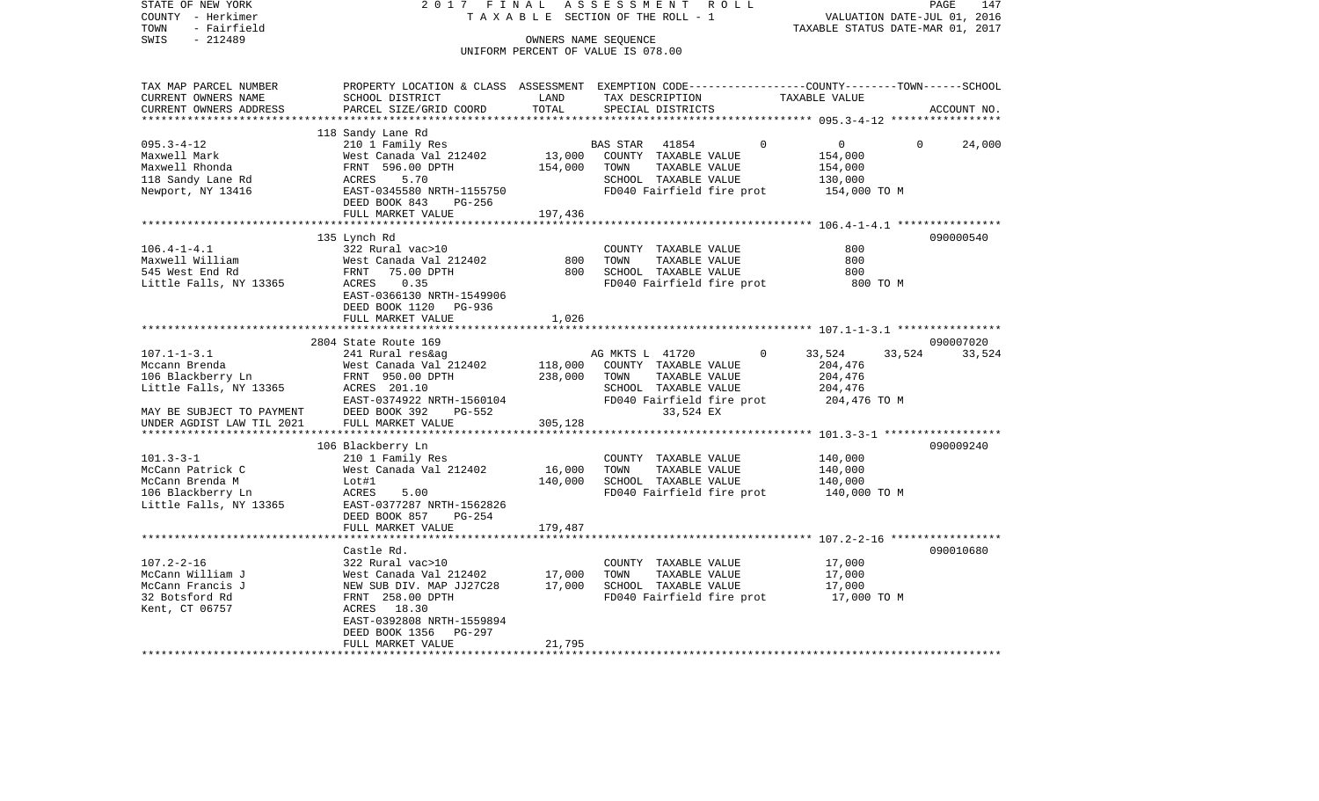| COUNTY - Herkimer<br>TOWN<br>- Fairfield |                                                                                                  |         | T A X A B L E SECTION OF THE ROLL - 1 | VALUATION DATE-JUL 01, 2016<br>TAXABLE STATUS DATE-MAR 01, 2017 |               |
|------------------------------------------|--------------------------------------------------------------------------------------------------|---------|---------------------------------------|-----------------------------------------------------------------|---------------|
| SWIS<br>$-212489$                        |                                                                                                  |         | OWNERS NAME SEOUENCE                  |                                                                 |               |
|                                          |                                                                                                  |         | UNIFORM PERCENT OF VALUE IS 078.00    |                                                                 |               |
|                                          |                                                                                                  |         |                                       |                                                                 |               |
| TAX MAP PARCEL NUMBER                    | PROPERTY LOCATION & CLASS ASSESSMENT EXEMPTION CODE----------------COUNTY-------TOWN------SCHOOL |         |                                       |                                                                 |               |
| CURRENT OWNERS NAME                      | SCHOOL DISTRICT                                                                                  | LAND    | TAX DESCRIPTION                       | TAXABLE VALUE                                                   |               |
| CURRENT OWNERS ADDRESS                   | PARCEL SIZE/GRID COORD                                                                           | TOTAL   | SPECIAL DISTRICTS                     |                                                                 | ACCOUNT NO.   |
|                                          |                                                                                                  |         |                                       |                                                                 |               |
|                                          | 118 Sandy Lane Rd                                                                                |         |                                       |                                                                 |               |
| $095.3 - 4 - 12$                         | 210 1 Family Res                                                                                 |         | BAS STAR 41854                        | $\Omega$<br>$0 \qquad \qquad$<br>$\Omega$                       | 24,000        |
| Maxwell Mark                             | West Canada Val 212402                                                                           | 13,000  | COUNTY TAXABLE VALUE                  | 154,000                                                         |               |
| Maxwell Rhonda                           | FRNT 596.00 DPTH                                                                                 | 154,000 | TOWN<br>TAXABLE VALUE                 | 154,000                                                         |               |
| 118 Sandy Lane Rd                        | ACRES<br>5.70                                                                                    |         | SCHOOL TAXABLE VALUE                  | 130,000                                                         |               |
| Newport, NY 13416                        | EAST-0345580 NRTH-1155750                                                                        |         | FD040 Fairfield fire prot             | 154,000 TO M                                                    |               |
|                                          | DEED BOOK 843<br>PG-256                                                                          |         |                                       |                                                                 |               |
|                                          | FULL MARKET VALUE                                                                                | 197,436 |                                       |                                                                 |               |
|                                          |                                                                                                  |         |                                       |                                                                 |               |
|                                          | 135 Lynch Rd                                                                                     |         |                                       |                                                                 | 090000540     |
| $106.4 - 1 - 4.1$                        | 322 Rural vac>10                                                                                 |         | COUNTY TAXABLE VALUE                  | 800                                                             |               |
| Maxwell William                          | West Canada Val 212402                                                                           | 800     | TOWN<br>TAXABLE VALUE                 | 800                                                             |               |
| 545 West End Rd                          | FRNT 75.00 DPTH                                                                                  | 800     | SCHOOL TAXABLE VALUE                  | 800                                                             |               |
| Little Falls, NY 13365                   | ACRES<br>0.35                                                                                    |         | FD040 Fairfield fire prot             | 800 TO M                                                        |               |
|                                          | EAST-0366130 NRTH-1549906                                                                        |         |                                       |                                                                 |               |
|                                          | DEED BOOK 1120 PG-936                                                                            |         |                                       |                                                                 |               |
|                                          | FULL MARKET VALUE                                                                                | 1,026   |                                       |                                                                 |               |
|                                          |                                                                                                  |         |                                       |                                                                 |               |
|                                          | 2804 State Route 169                                                                             |         |                                       |                                                                 | 090007020     |
| $107.1 - 1 - 3.1$                        | 241 Rural res&ag                                                                                 |         | AG MKTS L 41720                       | $\Omega$<br>33,524                                              | 33,524 33,524 |
| Mccann Brenda                            | West Canada Val 212402                                                                           | 118,000 | COUNTY TAXABLE VALUE                  | 204,476                                                         |               |
| 106 Blackberry Ln                        | FRNT 950.00 DPTH                                                                                 | 238,000 | TOWN<br>TAXABLE VALUE                 | 204,476                                                         |               |
| Little Falls, NY 13365                   | ACRES 201.10                                                                                     |         | SCHOOL TAXABLE VALUE                  | 204,476                                                         |               |
|                                          | EAST-0374922 NRTH-1560104                                                                        |         | FD040 Fairfield fire prot             | 204,476 TO M                                                    |               |
| MAY BE SUBJECT TO PAYMENT                | DEED BOOK 392<br>PG-552                                                                          |         | 33,524 EX                             |                                                                 |               |
| UNDER AGDIST LAW TIL 2021                | FULL MARKET VALUE                                                                                | 305,128 |                                       |                                                                 |               |
|                                          |                                                                                                  |         |                                       |                                                                 |               |
|                                          | 106 Blackberry Ln                                                                                |         |                                       |                                                                 | 090009240     |
| $101.3 - 3 - 1$                          | 210 1 Family Res                                                                                 |         | COUNTY TAXABLE VALUE                  | 140,000                                                         |               |
| McCann Patrick C                         | West Canada Val 212402                                                                           | 16,000  | TAXABLE VALUE<br>TOWN                 | 140,000                                                         |               |
| McCann Brenda M                          | Lot#1                                                                                            | 140,000 | SCHOOL TAXABLE VALUE                  | 140,000                                                         |               |
| 106 Blackberry Ln                        | ACRES<br>5.00                                                                                    |         | FD040 Fairfield fire prot             | 140,000 TO M                                                    |               |
| Little Falls, NY 13365                   | EAST-0377287 NRTH-1562826                                                                        |         |                                       |                                                                 |               |
|                                          | DEED BOOK 857<br>PG-254                                                                          |         |                                       |                                                                 |               |
|                                          | FULL MARKET VALUE                                                                                | 179,487 |                                       |                                                                 |               |
|                                          |                                                                                                  |         |                                       |                                                                 |               |
|                                          | Castle Rd.                                                                                       |         |                                       |                                                                 | 090010680     |
| $107.2 - 2 - 16$                         | 322 Rural vac>10                                                                                 |         | COUNTY TAXABLE VALUE                  | 17,000                                                          |               |
| McCann William J                         | West Canada Val 212402                                                                           | 17,000  | TOWN<br>TAXABLE VALUE                 | 17,000                                                          |               |
| McCann Francis J                         | NEW SUB DIV. MAP JJ27C28                                                                         | 17,000  | SCHOOL TAXABLE VALUE                  | 17,000                                                          |               |
| 32 Botsford Rd                           | FRNT 258.00 DPTH                                                                                 |         | FD040 Fairfield fire prot             | 17,000 TO M                                                     |               |
| Kent, CT 06757                           | ACRES 18.30                                                                                      |         |                                       |                                                                 |               |
|                                          | EAST-0392808 NRTH-1559894                                                                        |         |                                       |                                                                 |               |
|                                          | DEED BOOK 1356 PG-297                                                                            |         |                                       |                                                                 |               |
|                                          | FULL MARKET VALUE                                                                                | 21,795  |                                       |                                                                 |               |
|                                          |                                                                                                  |         |                                       |                                                                 |               |

PAGE 147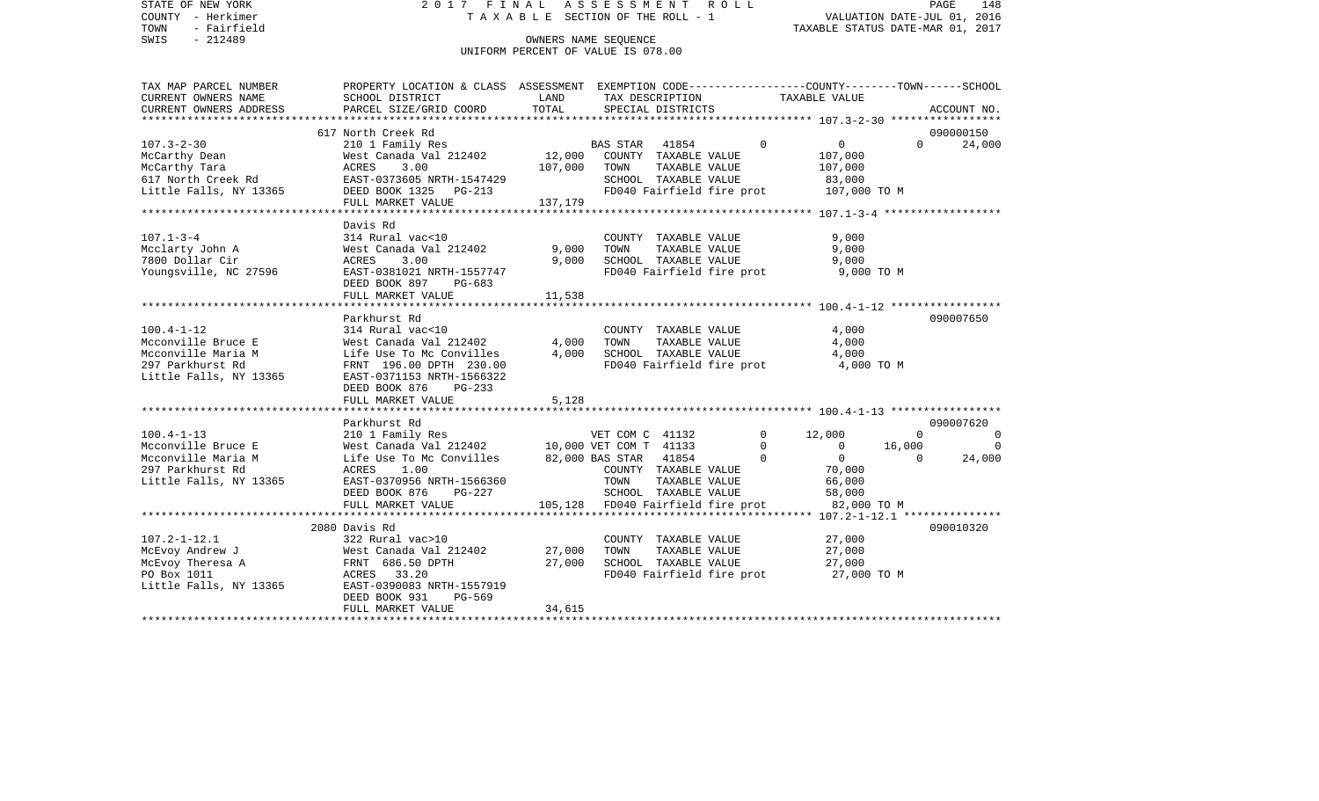STATE OF NEW YORK 2 0 1 7 F I N A L A S S E S S M E N T R O L L PAGE 148VALUATION DATE-JUL 01, 2016 COUNTY - Herkimer T A X A B L E SECTION OF THE ROLL - 1 TOWN - Fairfield TAXABLE STATUS DATE-MAR 01, 2017 SWIS - 212489 CONNERS NAME SEQUENCE UNIFORM PERCENT OF VALUE IS 078.00TAX MAP PARCEL NUMBER PROPERTY LOCATION & CLASS ASSESSMENT EXEMPTION CODE------------------COUNTY--------TOWN------SCHOOL CURRENT OWNERS NAME SCHOOL DISTRICT LAND TAX DESCRIPTION TAXABLE VALUECURRENT OWNERS ADDRESS PARCEL SIZE/GRID COORD TOTAL SPECIAL DISTRICTS ACCOUNT NO. \*\*\*\*\*\*\*\*\*\*\*\*\*\*\*\*\*\*\*\*\*\*\*\*\*\*\*\*\*\*\*\*\*\*\*\*\*\*\*\*\*\*\*\*\*\*\*\*\*\*\*\*\*\*\*\*\*\*\*\*\*\*\*\*\*\*\*\*\*\*\*\*\*\*\*\*\*\*\*\*\*\*\*\*\*\*\*\*\*\*\*\*\*\*\*\*\*\*\*\*\*\*\* 107.3-2-30 \*\*\*\*\*\*\*\*\*\*\*\*\*\*\*\*\* 617 North Creek Rd 090000150107.3-2-30 210 1 Family Res BAS STAR 41854 0 0 0 24,000 McCarthy Dean 61 West Canada Val 212402 12,000 COUNTY TAXABLE VALUE 107,000 McCarthy Tara  $ACRES$  3.00 107,000 TOWN TAXABLE VALUE 107,000 617 North Creek Rd EAST-0373605 NRTH-1547429 SCHOOL TAXABLE VALUE 83,000 Little Falls, NY 13365 DEED BOOK 1325 PG-213 FD040 Fairfield fire prot 107,000 TO M FULL MARKET VALUE 137,179 \*\*\*\*\*\*\*\*\*\*\*\*\*\*\*\*\*\*\*\*\*\*\*\*\*\*\*\*\*\*\*\*\*\*\*\*\*\*\*\*\*\*\*\*\*\*\*\*\*\*\*\*\*\*\*\*\*\*\*\*\*\*\*\*\*\*\*\*\*\*\*\*\*\*\*\*\*\*\*\*\*\*\*\*\*\*\*\*\*\*\*\*\*\*\*\*\*\*\*\*\*\*\* 107.1-3-4 \*\*\*\*\*\*\*\*\*\*\*\*\*\*\*\*\*\* Davis Rd107.1-3-4 314 Rural vac<10 COUNTY TAXABLE VALUE 9,000 Mcclarty John A West Canada Val 212402 9,000 TOWN TAXABLE VALUE 9,000 7800 Dollar Cir ACRES 3.00 9,000 SCHOOL TAXABLE VALUE 9,000 Youngsville, NC 27596 EAST-0381021 NRTH-1557747 FD040 Fairfield fire prot 9,000 TO M DEED BOOK 897 PG-683FULL MARKET VALUE 11,538 \*\*\*\*\*\*\*\*\*\*\*\*\*\*\*\*\*\*\*\*\*\*\*\*\*\*\*\*\*\*\*\*\*\*\*\*\*\*\*\*\*\*\*\*\*\*\*\*\*\*\*\*\*\*\*\*\*\*\*\*\*\*\*\*\*\*\*\*\*\*\*\*\*\*\*\*\*\*\*\*\*\*\*\*\*\*\*\*\*\*\*\*\*\*\*\*\*\*\*\*\*\*\* 100.4-1-12 \*\*\*\*\*\*\*\*\*\*\*\*\*\*\*\*\* Parkhurst Rd 090007650100.4-1-12 314 Rural vac<10 COUNTY TAXABLE VALUE 4,000 Mcconville Bruce E West Canada Val 212402 4,000 TOWN TAXABLE VALUE 4,000 Mcconville Maria M  $L$ ife Use To Mc Convilles  $4,000$  SCHOOL TAXABLE VALUE  $4,000$ 297 Parkhurst Rd FRNT 196.00 DPTH 230.00 FDD40 Fairfield fire prot 4,000 TO M Little Falls, NY 13365 EAST-0371153 NRTH-1566322 DEED BOOK 876 PG-233FULL MARKET VALUE 5,128 \*\*\*\*\*\*\*\*\*\*\*\*\*\*\*\*\*\*\*\*\*\*\*\*\*\*\*\*\*\*\*\*\*\*\*\*\*\*\*\*\*\*\*\*\*\*\*\*\*\*\*\*\*\*\*\*\*\*\*\*\*\*\*\*\*\*\*\*\*\*\*\*\*\*\*\*\*\*\*\*\*\*\*\*\*\*\*\*\*\*\*\*\*\*\*\*\*\*\*\*\*\*\* 100.4-1-13 \*\*\*\*\*\*\*\*\*\*\*\*\*\*\*\*\* Parkhurst Rd 090007620100.4-1-13 210 1 Family Res VET COM C 41132 0 12,000 0 0 0 Mcconville Bruce E West Canada Val 212402 10,000 VET COM T 41133 0 0 16,000 0 Mcconville Maria M and Music Use To Mc Convilles and 82,000 BAS STAR 41854 0 0 0 0 24,000 297 Parkhurst Rd ACRES 1.00 COUNTY TAXABLE VALUE 70,000 Little Falls, NY 13365 EAST-0370956 NRTH-1566360 TOWN TAXABLE VALUE 66,000 DEED BOOK 876 PG-227 SCHOOL TAXABLE VALUE 58,000 FULL MARKET VALUE 105,128 FD040 Fairfield fire prot 82,000 TO M \*\*\*\*\*\*\*\*\*\*\*\*\*\*\*\*\*\*\*\*\*\*\*\*\*\*\*\*\*\*\*\*\*\*\*\*\*\*\*\*\*\*\*\*\*\*\*\*\*\*\*\*\*\*\*\*\*\*\*\*\*\*\*\*\*\*\*\*\*\*\*\*\*\*\*\*\*\*\*\*\*\*\*\*\*\*\*\*\*\*\*\*\*\*\*\*\*\*\*\*\*\*\* 107.2-1-12.1 \*\*\*\*\*\*\*\*\*\*\*\*\*\*\* 2080 Davis Rd 090010320107.2-1-12.1 322 Rural vac>10 COUNTY TAXABLE VALUE 27,000 McEvoy Andrew J West Canada Val 212402 27,000 TOWN TAXABLE VALUE 27,000 McEvoy Theresa A **FRNT 686.50 DPTH** 27,000 SCHOOL TAXABLE VALUE PO Box 1011 **ACRES** 33.20 **FD040** Fairfield fire prot 27,000 TO M Little Falls, NY 13365 EAST-0390083 NRTH-1557919 DEED BOOK 931 PG-569FULL MARKET VALUE 34,615 \*\*\*\*\*\*\*\*\*\*\*\*\*\*\*\*\*\*\*\*\*\*\*\*\*\*\*\*\*\*\*\*\*\*\*\*\*\*\*\*\*\*\*\*\*\*\*\*\*\*\*\*\*\*\*\*\*\*\*\*\*\*\*\*\*\*\*\*\*\*\*\*\*\*\*\*\*\*\*\*\*\*\*\*\*\*\*\*\*\*\*\*\*\*\*\*\*\*\*\*\*\*\*\*\*\*\*\*\*\*\*\*\*\*\*\*\*\*\*\*\*\*\*\*\*\*\*\*\*\*\*\*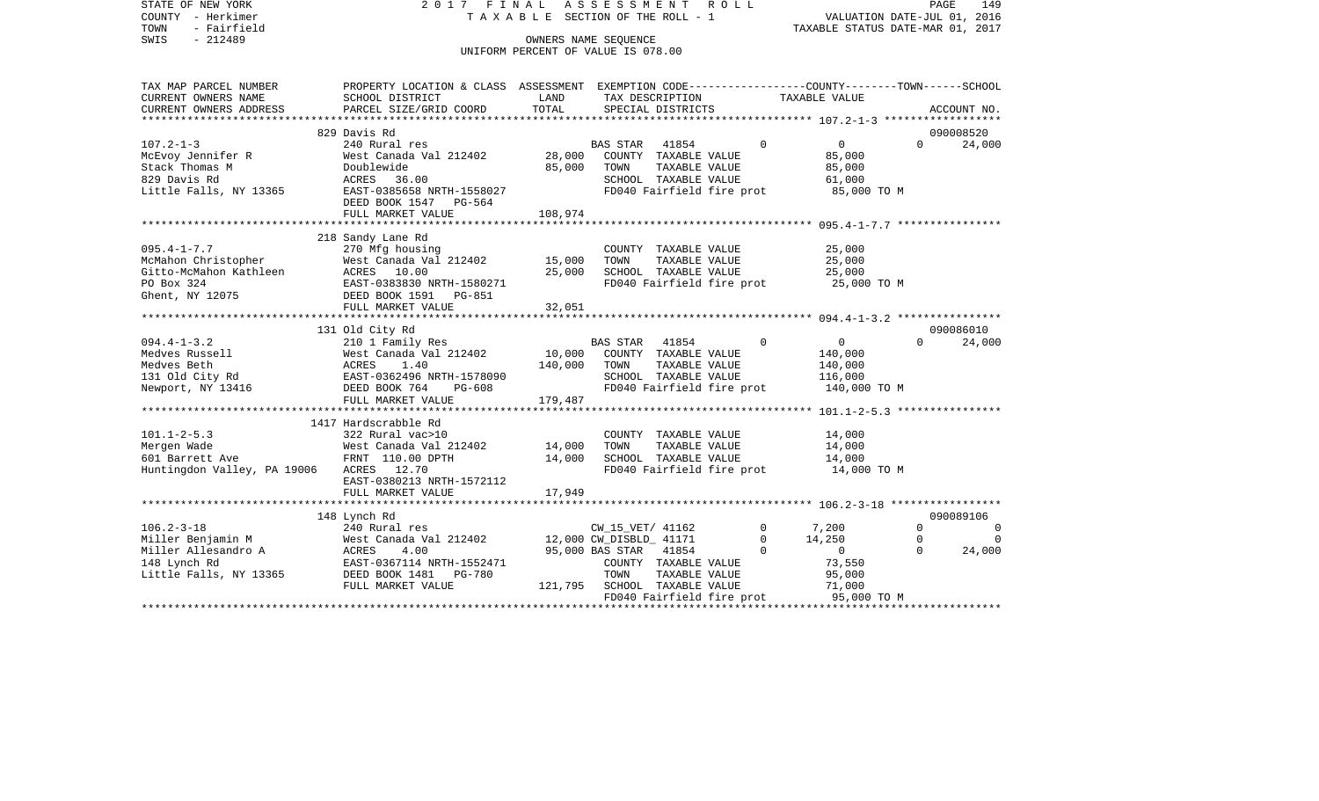STATE OF NEW YORK 2017 FINAL ASSESSMENT ROLL COUNTY - Herkimer T A X A B L E SECTION OF THE ROLL - 1 TOWN - Fairfield TAXABLE STATUS DATE-MAR 01, 2017 SWIS - Fairfield<br>
SWIS - 212489 OWNERS NAME SEQUENCE UNIFORM PERCENT OF VALUE IS 078.00

| TAX MAP PARCEL NUMBER                   | PROPERTY LOCATION & CLASS ASSESSMENT EXEMPTION CODE----------------COUNTY-------TOWN------SCHOOL |         |                                                   |                |                |          |           |
|-----------------------------------------|--------------------------------------------------------------------------------------------------|---------|---------------------------------------------------|----------------|----------------|----------|-----------|
| CURRENT OWNERS NAME                     | SCHOOL DISTRICT                                                                                  | LAND    | TAX DESCRIPTION                                   | TAXABLE VALUE  |                |          |           |
|                                         |                                                                                                  |         |                                                   |                |                |          |           |
|                                         |                                                                                                  |         |                                                   |                |                |          |           |
|                                         | 829 Davis Rd                                                                                     |         |                                                   |                |                |          | 090008520 |
| $107.2 - 1 - 3$                         | 240 Rural res<br>West Canada Val 212402 28,000                                                   |         | BAS STAR 41854                                    | $\Omega$       | $\overline{0}$ | $\Omega$ | 24,000    |
| McEvoy Jennifer R                       |                                                                                                  |         | COUNTY TAXABLE VALUE                              |                | 85,000         |          |           |
| Stack Thomas M<br>829 Davis Rd          | Doublewide                                                                                       | 85,000  | TAXABLE VALUE<br>TOWN                             |                | 85,000         |          |           |
|                                         | ACRES 36.00<br>EAST-0385658 NRTH-1558027                                                         |         | SCHOOL TAXABLE VALUE<br>FD040 Fairfield fire prot |                | 61,000         |          |           |
| Little Falls, NY 13365                  |                                                                                                  |         |                                                   |                | 85,000 TO M    |          |           |
|                                         | DEED BOOK 1547 PG-564<br>FULL MARKET VALUE                                                       | 108,974 |                                                   |                |                |          |           |
|                                         |                                                                                                  |         |                                                   |                |                |          |           |
|                                         | 218 Sandy Lane Rd                                                                                |         |                                                   |                |                |          |           |
| $095.4 - 1 - 7.7$                       | 270 Mfg housing                                                                                  |         | COUNTY TAXABLE VALUE                              |                | 25,000         |          |           |
| McMahon Christopher                     | West Canada Val 212402 15,000                                                                    |         | TOWN<br>TAXABLE VALUE                             |                | 25,000         |          |           |
| Gitto-McMahon Kathleen                  | ACRES 10.00                                                                                      | 25,000  | SCHOOL TAXABLE VALUE                              |                | 25,000         |          |           |
| PO Box 324                              | EAST-0383830 NRTH-1580271                                                                        |         | FD040 Fairfield fire prot 25,000 TO M             |                |                |          |           |
| Ghent, NY 12075                         | DEED BOOK 1591    PG-851                                                                         |         |                                                   |                |                |          |           |
|                                         | FULL MARKET VALUE                                                                                | 32,051  |                                                   |                |                |          |           |
|                                         |                                                                                                  |         |                                                   |                |                |          |           |
|                                         | 131 Old City Rd                                                                                  |         |                                                   |                |                |          | 090086010 |
| $094.4 - 1 - 3.2$                       | 210 1 Family Res                                                                                 |         | BAS STAR 41854                                    | $\Omega$       | $\mathsf{O}$   | $\Omega$ | 24,000    |
| Medves Russell                          |                                                                                                  |         | 10,000 COUNTY TAXABLE VALUE                       |                | 140,000        |          |           |
| Medves Beth                             | West Canada Val 212402<br>ACRES 1.40 140,000<br>EAST-0362496 NRTH-1578090 140,000                |         | TOWN<br>TAXABLE VALUE                             |                | 140,000        |          |           |
| 131 Old City Rd                         |                                                                                                  |         | SCHOOL TAXABLE VALUE                              |                | 116,000        |          |           |
| Newport, NY 13416                       |                                                                                                  |         | FD040 Fairfield fire prot                         |                | 140,000 TO M   |          |           |
|                                         | FULL MARKET VALUE                                                                                | 179,487 |                                                   |                |                |          |           |
|                                         |                                                                                                  |         |                                                   |                |                |          |           |
|                                         | 1417 Hardscrabble Rd                                                                             |         |                                                   |                |                |          |           |
| $101.1 - 2 - 5.3$                       | 322 Rural vac>10                                                                                 |         | COUNTY TAXABLE VALUE                              |                | 14,000         |          |           |
| Mergen Wade                             | West Canada Val 212402                                                                           | 14,000  | TOWN<br>TAXABLE VALUE                             |                | 14,000         |          |           |
| 601 Barrett Ave                         | FRNT 110.00 DPTH                                                                                 | 14,000  | SCHOOL TAXABLE VALUE                              |                | 14,000         |          |           |
| Huntingdon Valley, PA 19006 ACRES 12.70 |                                                                                                  |         | FD040 Fairfield fire prot 14,000 TO M             |                |                |          |           |
|                                         | EAST-0380213 NRTH-1572112                                                                        |         |                                                   |                |                |          |           |
|                                         | FULL MARKET VALUE                                                                                | 17,949  |                                                   |                |                |          |           |
|                                         |                                                                                                  |         |                                                   |                |                |          |           |
|                                         | 148 Lynch Rd                                                                                     |         |                                                   |                |                |          | 090089106 |
| $106.2 - 3 - 18$                        | 240 Rural res                                                                                    |         | CW_15_VET/ 41162                                  | $\overline{0}$ | 7,200          | $\Omega$ | $\Omega$  |
| Miller Benjamin M                       | West Canada Val 212402 12,000 CW_DISBLD_ 41171                                                   |         |                                                   | $\Omega$       | 14,250         | $\Omega$ | $\Omega$  |
| Miller Allesandro A                     | ACRES<br>4.00                                                                                    |         | 95,000 BAS STAR 41854                             | $\mathbf 0$    | $\overline{0}$ | $\Omega$ | 24,000    |
| 148 Lynch Rd                            | EAST-0367114 NRTH-1552471                                                                        |         | COUNTY TAXABLE VALUE                              |                | 73,550         |          |           |
| Little Falls, NY 13365                  | DEED BOOK 1481   PG-780                                                                          |         | TAXABLE VALUE<br>TOWN                             |                | 95,000         |          |           |
|                                         | FULL MARKET VALUE                                                                                |         | 121,795 SCHOOL TAXABLE VALUE                      |                | 71,000         |          |           |
|                                         |                                                                                                  |         | FD040 Fairfield fire prot                         |                | 95,000 TO M    |          |           |
|                                         |                                                                                                  |         |                                                   |                |                |          |           |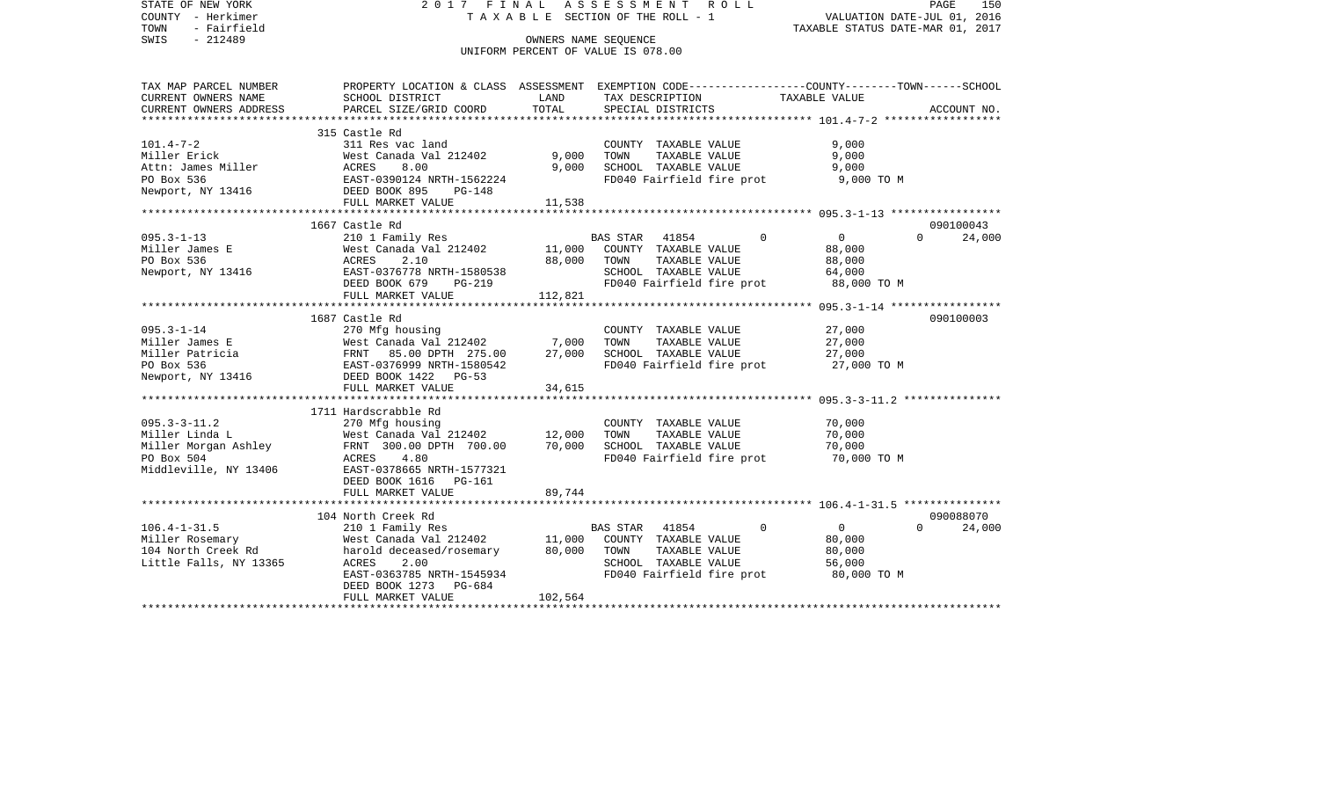STATE OF NEW YORK 2 0 1 7 F I N A L A S S E S S M E N T R O L L PAGE 150COUNTY - Herkimer **T A X A B L E** SECTION OF THE ROLL - 1 VALUATION DATE-JUL 01, 2016 TOWN - Fairfield TAXABLE STATUS DATE-MAR 01, 2017 SWIS - 212489 CONNERS NAME SEQUENCE UNIFORM PERCENT OF VALUE IS 078.00TAX MAP PARCEL NUMBER PROPERTY LOCATION & CLASS ASSESSMENT EXEMPTION CODE------------------COUNTY--------TOWN------SCHOOL CURRENT OWNERS NAME SCHOOL DISTRICT LAND TAX DESCRIPTION TAXABLE VALUECURRENT OWNERS ADDRESS PARCEL SIZE/GRID COORD TOTAL SPECIAL DISTRICTS ACCOUNT NO. \*\*\*\*\*\*\*\*\*\*\*\*\*\*\*\*\*\*\*\*\*\*\*\*\*\*\*\*\*\*\*\*\*\*\*\*\*\*\*\*\*\*\*\*\*\*\*\*\*\*\*\*\*\*\*\*\*\*\*\*\*\*\*\*\*\*\*\*\*\*\*\*\*\*\*\*\*\*\*\*\*\*\*\*\*\*\*\*\*\*\*\*\*\*\*\*\*\*\*\*\*\*\* 101.4-7-2 \*\*\*\*\*\*\*\*\*\*\*\*\*\*\*\*\*\* 315 Castle Rd311 Res yac land 101.4-7-2 311 Res vac land COUNTY TAXABLE VALUE 9,000 Miller Erick West Canada Val 212402 9,000 TOWN TAXABLE VALUE 9,000 Attn: James Miller ACRES 8.00 9,000 SCHOOL TAXABLE VALUE 9,000 PO Box 536 EAST-0390124 NRTH-1562224 FD040 Fairfield fire prot 9,000 TO M DEED BOOK 895 PG-148 FULL MARKET VALUE 11,538 \*\*\*\*\*\*\*\*\*\*\*\*\*\*\*\*\*\*\*\*\*\*\*\*\*\*\*\*\*\*\*\*\*\*\*\*\*\*\*\*\*\*\*\*\*\*\*\*\*\*\*\*\*\*\*\*\*\*\*\*\*\*\*\*\*\*\*\*\*\*\*\*\*\*\*\*\*\*\*\*\*\*\*\*\*\*\*\*\*\*\*\*\*\*\*\*\*\*\*\*\*\*\* 095.3-1-13 \*\*\*\*\*\*\*\*\*\*\*\*\*\*\*\*\* 1667 Castle Rd 090100043095.3-1-13 210 1 Family Res BAS STAR 41854 0 0 0 24,000 11.000 COUNTY TAXABLE VALUE 88,000 PO Box 536 ACRES 2.10 88,000 TOWN TAXABLE VALUE 88,000 Newport, NY 13416 EAST-0376778 NRTH-1580538 SCHOOL TAXABLE VALUE 64,000 DEED BOOK 679 PG-219 FDD40 Fairfield fire prot 88,000 TO M FULL MARKET VALUE 112,821 \*\*\*\*\*\*\*\*\*\*\*\*\*\*\*\*\*\*\*\*\*\*\*\*\*\*\*\*\*\*\*\*\*\*\*\*\*\*\*\*\*\*\*\*\*\*\*\*\*\*\*\*\*\*\*\*\*\*\*\*\*\*\*\*\*\*\*\*\*\*\*\*\*\*\*\*\*\*\*\*\*\*\*\*\*\*\*\*\*\*\*\*\*\*\*\*\*\*\*\*\*\*\* 095.3-1-14 \*\*\*\*\*\*\*\*\*\*\*\*\*\*\*\*\* 1687 Castle Rd 090100003095.3-1-14 270 Mfg housing COUNTY TAXABLE VALUE 27,000 Miller James E West Canada Val 212402 7,000 TOWN TAXABLE VALUE 27,000 Miller Patricia  $FRT$  85.00 DPTH 275.00 27,000 SCHOOL TAXABLE VALUE 27,000 PO Box 536 EAST-0376999 NRTH-1580542 FD040 Fairfield fire prot 27,000 TO M Newport, NY 13416 DEED BOOK 1422 PG-53 FULL MARKET VALUE 34,615 \*\*\*\*\*\*\*\*\*\*\*\*\*\*\*\*\*\*\*\*\*\*\*\*\*\*\*\*\*\*\*\*\*\*\*\*\*\*\*\*\*\*\*\*\*\*\*\*\*\*\*\*\*\*\*\*\*\*\*\*\*\*\*\*\*\*\*\*\*\*\*\*\*\*\*\*\*\*\*\*\*\*\*\*\*\*\*\*\*\*\*\*\*\*\*\*\*\*\*\*\*\*\* 095.3-3-11.2 \*\*\*\*\*\*\*\*\*\*\*\*\*\*\* 1711 Hardscrabble Rd095.3-3-11.2 270 Mfg housing COUNTY TAXABLE VALUE 70,000 Miller Linda L West Canada Val 212402 12,000 TOWN TAXABLE VALUE 70,000 Miller Morgan Ashley FRNT 300.00 DPTH 700.00 70,000 SCHOOL TAXABLE VALUE 70,000 PO Box 504 ACRES 4.80 FD040 Fairfield fire prot 70,000 TO M EAST-0378665 NRTH-1577321 DEED BOOK 1616 PG-161FULL MARKET VALUE 89,744 \*\*\*\*\*\*\*\*\*\*\*\*\*\*\*\*\*\*\*\*\*\*\*\*\*\*\*\*\*\*\*\*\*\*\*\*\*\*\*\*\*\*\*\*\*\*\*\*\*\*\*\*\*\*\*\*\*\*\*\*\*\*\*\*\*\*\*\*\*\*\*\*\*\*\*\*\*\*\*\*\*\*\*\*\*\*\*\*\*\*\*\*\*\*\*\*\*\*\*\*\*\*\* 106.4-1-31.5 \*\*\*\*\*\*\*\*\*\*\*\*\*\*\* 104 North Creek Rd 090088070106.4-1-31.5 210 1 Family Res BAS STAR 41854 0 0 0 24,000 Miller Rosemary West Canada Val 212402 11,000 COUNTY TAXABLE VALUE 80,000 harold deceased/rosemary 80,000 TOWN Little Falls, NY 13365 ACRES 2.00 SCHOOL TAXABLE VALUE 56,000 EAST-0363785 NRTH-1545934 FD040 Fairfield fire prot 80,000 TO M DEED BOOK 1273 PG-684FULL MARKET VALUE 102,564 \*\*\*\*\*\*\*\*\*\*\*\*\*\*\*\*\*\*\*\*\*\*\*\*\*\*\*\*\*\*\*\*\*\*\*\*\*\*\*\*\*\*\*\*\*\*\*\*\*\*\*\*\*\*\*\*\*\*\*\*\*\*\*\*\*\*\*\*\*\*\*\*\*\*\*\*\*\*\*\*\*\*\*\*\*\*\*\*\*\*\*\*\*\*\*\*\*\*\*\*\*\*\*\*\*\*\*\*\*\*\*\*\*\*\*\*\*\*\*\*\*\*\*\*\*\*\*\*\*\*\*\*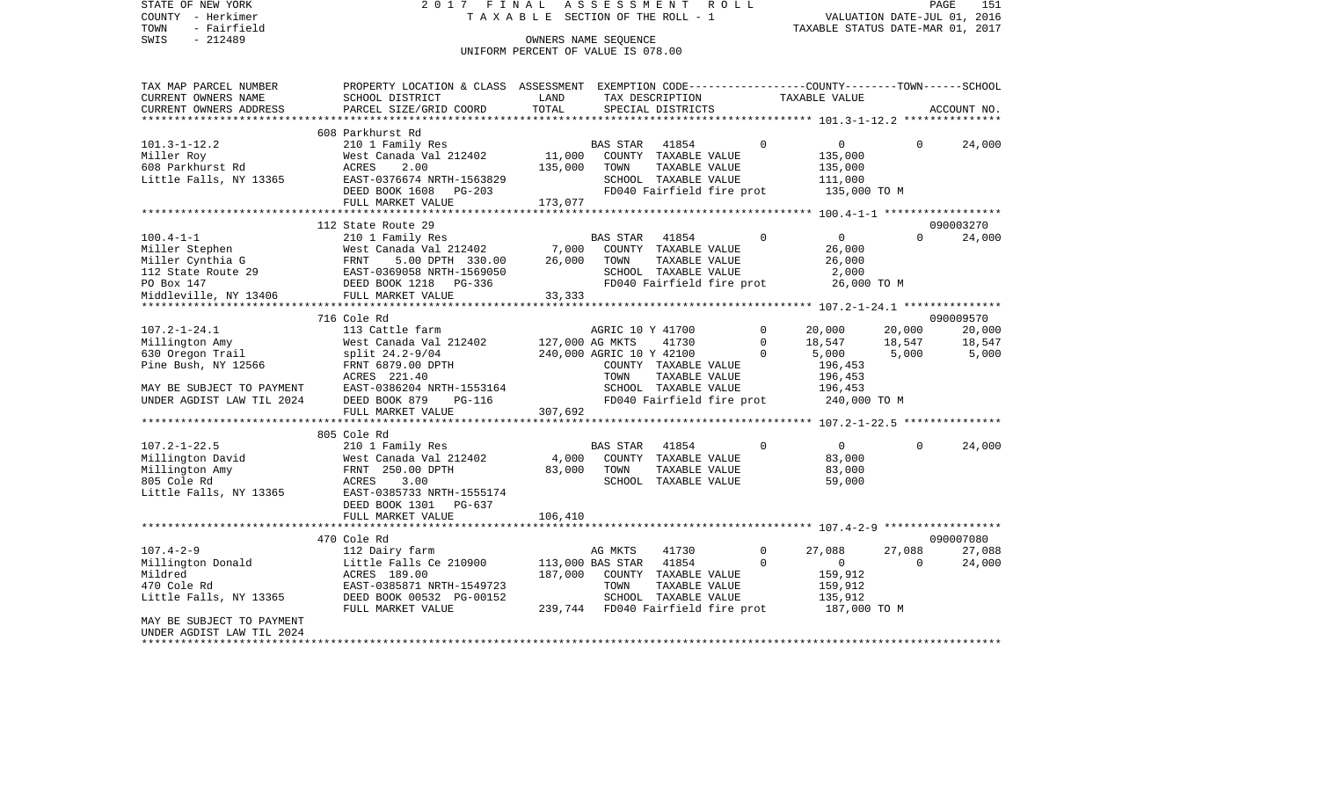STATE OF NEW YORK 2 0 1 7 F I N A L A S S E S S M E N T R O L L PAGE 151COUNTY - Herkimer **T A X A B L E** SECTION OF THE ROLL - 1 VALUATION DATE-JUL 01, 2016 TOWN - Fairfield TAXABLE STATUS DATE-MAR 01, 2017 SWIS - 212489 CONNERS NAME SEQUENCE UNIFORM PERCENT OF VALUE IS 078.00TAX MAP PARCEL NUMBER PROPERTY LOCATION & CLASS ASSESSMENT EXEMPTION CODE------------------COUNTY--------TOWN------SCHOOL CURRENT OWNERS NAME SCHOOL DISTRICT LAND TAX DESCRIPTION TAXABLE VALUECURRENT OWNERS ADDRESS PARCEL SIZE/GRID COORD TOTAL SPECIAL DISTRICTS ACCOUNT NO. \*\*\*\*\*\*\*\*\*\*\*\*\*\*\*\*\*\*\*\*\*\*\*\*\*\*\*\*\*\*\*\*\*\*\*\*\*\*\*\*\*\*\*\*\*\*\*\*\*\*\*\*\*\*\*\*\*\*\*\*\*\*\*\*\*\*\*\*\*\*\*\*\*\*\*\*\*\*\*\*\*\*\*\*\*\*\*\*\*\*\*\*\*\*\*\*\*\*\*\*\*\*\* 101.3-1-12.2 \*\*\*\*\*\*\*\*\*\*\*\*\*\*\* 608 Parkhurst Rd 101.3-1-12.2 210 1 Family Res BAS STAR 41854 0 0 0 24,000 Miller Roy **Miller Roy Communist Canada Val 212402** 11,000 COUNTY TAXABLE VALUE 135,000 608 Parkhurst Rd ACRES 2.00 135,000 TOWN TAXABLE VALUE 135,000 Little Falls, NY 13365 EAST-0376674 NRTH-1563829 SCHOOL TAXABLE VALUE 111,000 DEED BOOK 1608 PG-203 FD040 Fairfield fire prot 135,000 TO M FULL MARKET VALUE 173,077 \*\*\*\*\*\*\*\*\*\*\*\*\*\*\*\*\*\*\*\*\*\*\*\*\*\*\*\*\*\*\*\*\*\*\*\*\*\*\*\*\*\*\*\*\*\*\*\*\*\*\*\*\*\*\*\*\*\*\*\*\*\*\*\*\*\*\*\*\*\*\*\*\*\*\*\*\*\*\*\*\*\*\*\*\*\*\*\*\*\*\*\*\*\*\*\*\*\*\*\*\*\*\* 100.4-1-1 \*\*\*\*\*\*\*\*\*\*\*\*\*\*\*\*\*\* 112 State Route 29 090003270100.4-1-1 210 1 Family Res BAS STAR 41854 0 0 0 24,000 Miller Stephen West Canada Val 212402 7,000 COUNTY TAXABLE VALUE 26,000 Miller Cynthia G FRNT 5.00 DPTH 330.00 26,000 TOWN TAXABLE VALUE 26,000 112 State Route 29 EAST-0369058 NRTH-1569050 SCHOOL TAXABLE VALUE 2,000 PO Box 147 **DEED BOOK 1218** PG-336 **FD040** Fairfield fire prot 26,000 TO M Middleville, NY 13406 FULL MARKET VALUE 33,333 \*\*\*\*\*\*\*\*\*\*\*\*\*\*\*\*\*\*\*\*\*\*\*\*\*\*\*\*\*\*\*\*\*\*\*\*\*\*\*\*\*\*\*\*\*\*\*\*\*\*\*\*\*\*\*\*\*\*\*\*\*\*\*\*\*\*\*\*\*\*\*\*\*\*\*\*\*\*\*\*\*\*\*\*\*\*\*\*\*\*\*\*\*\*\*\*\*\*\*\*\*\*\* 107.2-1-24.1 \*\*\*\*\*\*\*\*\*\*\*\*\*\*\* 716 Cole Rd 09000957020.000 107.2-1-24.1 113 Cattle farm AGRIC 10 Y 41700 0 20,000 20,000 20,000 Millington Amy 68 West Canada Val 212402 127,000 AG MKTS 41730 0 18,547 18,547 18,547 630 Oregon Trail split 24.2-9/04 240,000 AGRIC 10 Y 42100 0 5,000 5,000 5,000 Pine Bush, NY 12566 FRNT 6879.00 DPTH COUNTY TAXABLE VALUE 196,453 ACRES 221.40 TOWN TAXABLE VALUE 196,453 MAY BE SUBJECT TO PAYMENT EAST-0386204 NRTH-1553164 SCHOOL TAXABLE VALUE 196,453 UNDER AGDIST LAW TIL 2024 DEED BOOK 879 PG-116 FD040 Fairfield fire prot 240,000 TO M<br>FULL MARKET VALUE 307.692 FULL MARKET VALUE \*\*\*\*\*\*\*\*\*\*\*\*\*\*\*\*\*\*\*\*\*\*\*\*\*\*\*\*\*\*\*\*\*\*\*\*\*\*\*\*\*\*\*\*\*\*\*\*\*\*\*\*\*\*\*\*\*\*\*\*\*\*\*\*\*\*\*\*\*\*\*\*\*\*\*\*\*\*\*\*\*\*\*\*\*\*\*\*\*\*\*\*\*\*\*\*\*\*\*\*\*\*\* 107.2-1-22.5 \*\*\*\*\*\*\*\*\*\*\*\*\*\*\* 805 Cole Rd107.2-1-22.5 210 1 Family Res BAS STAR 41854 0 0 0 24,000 Millington David **West Canada Val 212402** 4,000 COUNTY TAXABLE VALUE 83,000 Millington Amy FRNT 250.00 DPTH 83,000 TOWN TAXABLE VALUE 83,000 805 Cole Rd ACRES 3.00 SCHOOL TAXABLE VALUE 59,000 Little Falls, NY 13365 EAST-0385733 NRTH-1555174 DEED BOOK 1301 PG-637FULL MARKET VALUE 106,410 \*\*\*\*\*\*\*\*\*\*\*\*\*\*\*\*\*\*\*\*\*\*\*\*\*\*\*\*\*\*\*\*\*\*\*\*\*\*\*\*\*\*\*\*\*\*\*\*\*\*\*\*\*\*\*\*\*\*\*\*\*\*\*\*\*\*\*\*\*\*\*\*\*\*\*\*\*\*\*\*\*\*\*\*\*\*\*\*\*\*\*\*\*\*\*\*\*\*\*\*\*\*\* 107.4-2-9 \*\*\*\*\*\*\*\*\*\*\*\*\*\*\*\*\*\* 470 Cole Rd 09000708027.088 107.4-2-9 112 Dairy farm AG MKTS 41730 0 27,088 27,088 27,088 Millington Donald **Little Falls Ce 210900** 113,000 BAS STAR 41854 0 0 0 24,000 Mildred ACRES 189.00 187,000 COUNTY TAXABLE VALUE 159,912 470 Cole Rd EAST-0385871 NRTH-1549723 TOWN TAXABLE VALUE 159,912 Little Falls, NY 13365 DEED BOOK 00532 PG-00152 SCHOOL TAXABLE VALUE 135,912 FULL MARKET VALUE 239,744 FD040 Fairfield fire prot 187,000 TO M MAY BE SUBJECT TO PAYMENT

UNDER AGDIST LAW TIL 2024

\*\*\*\*\*\*\*\*\*\*\*\*\*\*\*\*\*\*\*\*\*\*\*\*\*\*\*\*\*\*\*\*\*\*\*\*\*\*\*\*\*\*\*\*\*\*\*\*\*\*\*\*\*\*\*\*\*\*\*\*\*\*\*\*\*\*\*\*\*\*\*\*\*\*\*\*\*\*\*\*\*\*\*\*\*\*\*\*\*\*\*\*\*\*\*\*\*\*\*\*\*\*\*\*\*\*\*\*\*\*\*\*\*\*\*\*\*\*\*\*\*\*\*\*\*\*\*\*\*\*\*\*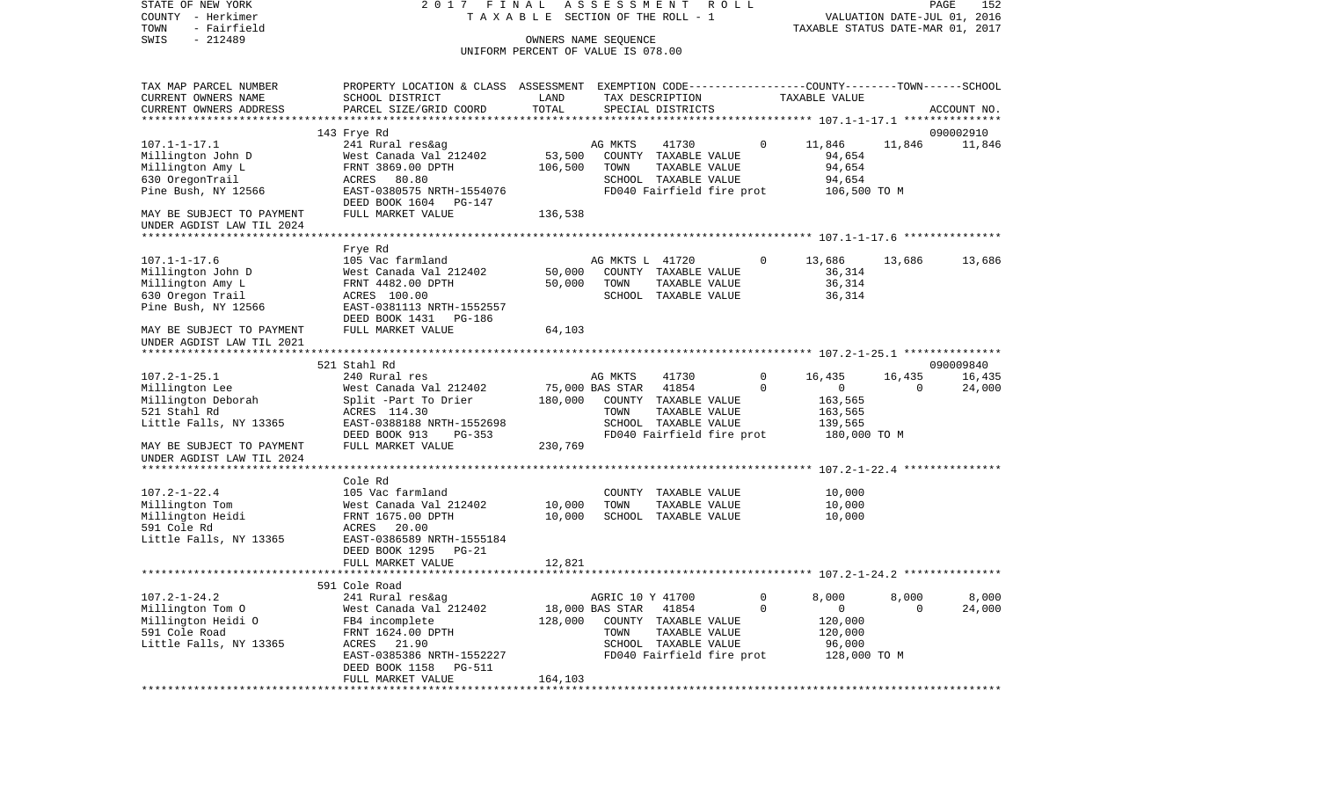| STATE OF NEW YORK         | 2017 FINAL                                                                                      |         | ASSESSMENT                         | R O L L                   |          |                                        |          | PAGE<br>152 |
|---------------------------|-------------------------------------------------------------------------------------------------|---------|------------------------------------|---------------------------|----------|----------------------------------------|----------|-------------|
| COUNTY - Herkimer         |                                                                                                 |         | TAXABLE SECTION OF THE ROLL - 1    |                           |          | VALUATION DATE-JUL 01, 2016            |          |             |
| TOWN<br>- Fairfield       |                                                                                                 |         |                                    |                           |          | TAXABLE STATUS DATE-MAR 01, 2017       |          |             |
| $-212489$<br>SWIS         |                                                                                                 |         | OWNERS NAME SEOUENCE               |                           |          |                                        |          |             |
|                           |                                                                                                 |         | UNIFORM PERCENT OF VALUE IS 078.00 |                           |          |                                        |          |             |
| TAX MAP PARCEL NUMBER     | PROPERTY LOCATION & CLASS ASSESSMENT EXEMPTION CODE---------------COUNTY-------TOWN------SCHOOL |         |                                    |                           |          |                                        |          |             |
| CURRENT OWNERS NAME       | SCHOOL DISTRICT                                                                                 | LAND    | TAX DESCRIPTION                    |                           |          | TAXABLE VALUE                          |          |             |
| CURRENT OWNERS ADDRESS    | PARCEL SIZE/GRID COORD                                                                          | TOTAL   | SPECIAL DISTRICTS                  |                           |          |                                        |          | ACCOUNT NO. |
|                           |                                                                                                 |         |                                    |                           |          |                                        |          |             |
|                           | 143 Frye Rd                                                                                     |         |                                    |                           |          |                                        |          | 090002910   |
| $107.1 - 1 - 17.1$        | 241 Rural res&ag                                                                                |         | AG MKTS                            | 41730                     | $\circ$  | 11,846                                 | 11,846   | 11,846      |
| Millington John D         | West Canada Val 212402                                                                          | 53,500  |                                    | COUNTY TAXABLE VALUE      |          | 94,654                                 |          |             |
| Millington Amy L          | FRNT 3869.00 DPTH                                                                               | 106,500 | TOWN                               | TAXABLE VALUE             |          | 94,654                                 |          |             |
| 630 OregonTrail           | ACRES 80.80                                                                                     |         |                                    | SCHOOL TAXABLE VALUE      |          | 94,654                                 |          |             |
| Pine Bush, NY 12566       | EAST-0380575 NRTH-1554076                                                                       |         |                                    |                           |          | FD040 Fairfield fire prot 106,500 TO M |          |             |
|                           | DEED BOOK 1604 PG-147                                                                           |         |                                    |                           |          |                                        |          |             |
| MAY BE SUBJECT TO PAYMENT | FULL MARKET VALUE                                                                               | 136,538 |                                    |                           |          |                                        |          |             |
| UNDER AGDIST LAW TIL 2024 |                                                                                                 |         |                                    |                           |          |                                        |          |             |
|                           |                                                                                                 |         |                                    |                           |          |                                        |          |             |
|                           | Frye Rd                                                                                         |         |                                    |                           |          |                                        |          |             |
| $107.1 - 1 - 17.6$        | 105 Vac farmland                                                                                |         | AG MKTS L 41720                    |                           | 0        | 13,686                                 | 13,686   | 13,686      |
| Millington John D         | West Canada Val 212402                                                                          | 50,000  |                                    | COUNTY TAXABLE VALUE      |          | 36,314                                 |          |             |
| Millington Amy L          | FRNT 4482.00 DPTH                                                                               | 50,000  | TOWN                               | TAXABLE VALUE             |          | 36,314                                 |          |             |
| 630 Oregon Trail          | ACRES 100.00                                                                                    |         |                                    | SCHOOL TAXABLE VALUE      |          | 36,314                                 |          |             |
| Pine Bush, NY 12566       | EAST-0381113 NRTH-1552557                                                                       |         |                                    |                           |          |                                        |          |             |
|                           | DEED BOOK 1431 PG-186                                                                           |         |                                    |                           |          |                                        |          |             |
| MAY BE SUBJECT TO PAYMENT | FULL MARKET VALUE                                                                               | 64,103  |                                    |                           |          |                                        |          |             |
| UNDER AGDIST LAW TIL 2021 |                                                                                                 |         |                                    |                           |          |                                        |          |             |
|                           |                                                                                                 |         |                                    |                           |          |                                        |          |             |
|                           | 521 Stahl Rd                                                                                    |         |                                    |                           |          |                                        |          | 090009840   |
| $107.2 - 1 - 25.1$        | 240 Rural res                                                                                   |         | AG MKTS                            | 41730                     | 0        | 16,435                                 | 16,435   | 16,435      |
| Millington Lee            | West Canada Val 212402                                                                          |         | 75,000 BAS STAR                    | 41854                     | $\Omega$ | $\overline{0}$                         | $\Omega$ | 24,000      |
| Millington Deborah        | Split -Part To Drier                                                                            | 180,000 | COUNTY TAXABLE VALUE               |                           |          | 163,565                                |          |             |
| 521 Stahl Rd              | ACRES 114.30                                                                                    |         | TOWN                               | TAXABLE VALUE             |          | 163,565                                |          |             |
| Little Falls, NY 13365    | EAST-0388188 NRTH-1552698                                                                       |         |                                    | SCHOOL TAXABLE VALUE      |          | 139,565                                |          |             |
|                           | DEED BOOK 913<br>PG-353                                                                         |         |                                    | FD040 Fairfield fire prot |          | 180,000 TO M                           |          |             |
| MAY BE SUBJECT TO PAYMENT | FULL MARKET VALUE                                                                               | 230,769 |                                    |                           |          |                                        |          |             |
| UNDER AGDIST LAW TIL 2024 |                                                                                                 |         |                                    |                           |          |                                        |          |             |
|                           |                                                                                                 |         |                                    |                           |          |                                        |          |             |
|                           | Cole Rd                                                                                         |         |                                    |                           |          |                                        |          |             |
| $107.2 - 1 - 22.4$        | 105 Vac farmland                                                                                |         |                                    | COUNTY TAXABLE VALUE      |          | 10,000                                 |          |             |
| Millington Tom            | West Canada Val 212402                                                                          | 10,000  | TOWN                               | TAXABLE VALUE             |          | 10,000                                 |          |             |
| Millington Heidi          | FRNT 1675.00 DPTH                                                                               | 10,000  |                                    | SCHOOL TAXABLE VALUE      |          | 10,000                                 |          |             |
| 591 Cole Rd               | ACRES 20.00                                                                                     |         |                                    |                           |          |                                        |          |             |
| Little Falls, NY 13365    | EAST-0386589 NRTH-1555184                                                                       |         |                                    |                           |          |                                        |          |             |
|                           | DEED BOOK 1295<br>$PG-21$                                                                       |         |                                    |                           |          |                                        |          |             |
|                           | FULL MARKET VALUE                                                                               | 12,821  |                                    |                           |          |                                        |          |             |
|                           |                                                                                                 |         |                                    |                           |          |                                        |          |             |
|                           | 591 Cole Road                                                                                   |         |                                    |                           |          |                                        |          |             |
| $107.2 - 1 - 24.2$        | 241 Rural res&ag                                                                                |         | AGRIC 10 Y 41700                   |                           | 0        | 8,000                                  | 8,000    | 8,000       |
| Millington Tom O          | West Canada Val 212402                                                                          |         | 18,000 BAS STAR                    | 41854                     | 0        | 0                                      | 0        | 24,000      |
| Millington Heidi O        | FB4 incomplete                                                                                  | 128,000 |                                    | COUNTY TAXABLE VALUE      |          | 120,000                                |          |             |
| 591 Cole Road             | FRNT 1624.00 DPTH                                                                               |         | TOWN                               | TAXABLE VALUE             |          | 120,000                                |          |             |
| Little Falls, NY 13365    | ACRES 21.90                                                                                     |         |                                    | SCHOOL TAXABLE VALUE      |          | 96,000                                 |          |             |
|                           | EAST-0385386 NRTH-1552227                                                                       |         |                                    | FD040 Fairfield fire prot |          | 128,000 TO M                           |          |             |
|                           | DEED BOOK 1158<br><b>PG-511</b>                                                                 |         |                                    |                           |          |                                        |          |             |
|                           | FULL MARKET VALUE                                                                               | 164,103 |                                    |                           |          |                                        |          |             |
| ************              |                                                                                                 |         |                                    |                           |          |                                        |          |             |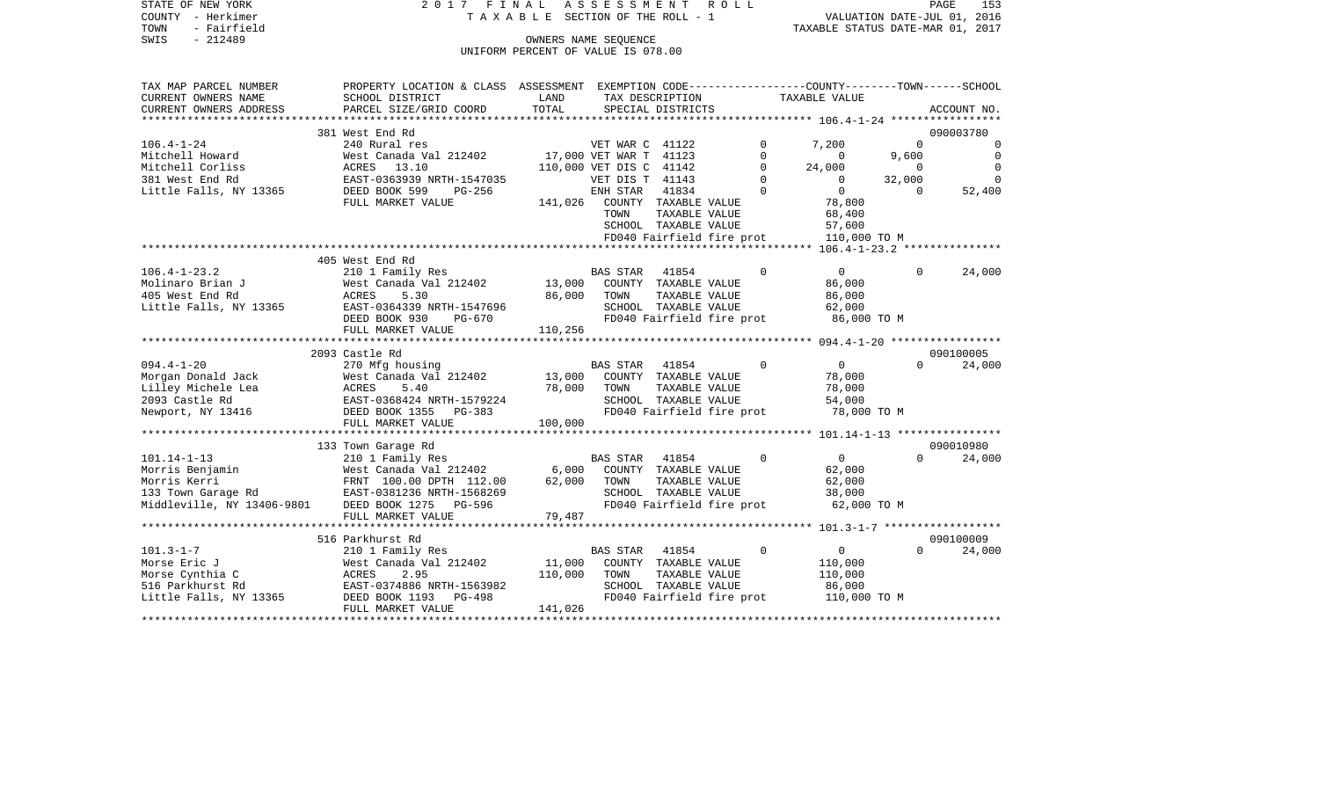| TOWN<br>- Fairfield<br>SWIS<br>$-212489$  |                                                                                                |                                    | OWNERS NAME SEOUENCE    |                                       |             | TAXABLE STATUS DATE-MAR 01, 2017 |                |                |
|-------------------------------------------|------------------------------------------------------------------------------------------------|------------------------------------|-------------------------|---------------------------------------|-------------|----------------------------------|----------------|----------------|
|                                           |                                                                                                | UNIFORM PERCENT OF VALUE IS 078.00 |                         |                                       |             |                                  |                |                |
| TAX MAP PARCEL NUMBER                     | PROPERTY LOCATION & CLASS ASSESSMENT EXEMPTION CODE---------------COUNTY-------TOWN-----SCHOOL |                                    |                         |                                       |             |                                  |                |                |
| CURRENT OWNERS NAME                       | SCHOOL DISTRICT                                                                                | LAND                               |                         | TAX DESCRIPTION                       |             | TAXABLE VALUE                    |                |                |
| CURRENT OWNERS ADDRESS                    | PARCEL SIZE/GRID COORD                                                                         | TOTAL                              |                         | SPECIAL DISTRICTS                     |             |                                  |                | ACCOUNT NO.    |
|                                           | ***************************                                                                    | **************                     |                         |                                       |             |                                  |                |                |
|                                           | 381 West End Rd                                                                                |                                    |                         |                                       |             |                                  |                | 090003780      |
| $106.4 - 1 - 24$                          | 240 Rural res                                                                                  |                                    | VET WAR C 41122         |                                       | $\Omega$    | 7,200                            | $\Omega$       | 0              |
| Mitchell Howard                           | West Canada Val 212402                                                                         |                                    | 17,000 VET WAR T 41123  |                                       | $\mathbf 0$ | $\overline{0}$                   | 9,600          | $\overline{0}$ |
| Mitchell Corliss                          | ACRES 13.10                                                                                    |                                    | 110,000 VET DIS C 41142 |                                       | 0           | 24,000                           | $\overline{0}$ | $\Omega$       |
| 381 West End Rd                           | EAST-0363939 NRTH-1547035                                                                      |                                    | VET DIS T 41143         |                                       | $\Omega$    | $\Omega$                         | 32,000         | $\Omega$       |
| Little Falls, NY 13365                    | DEED BOOK 599<br>$PG-256$                                                                      |                                    | ENH STAR                | 41834                                 | $\Omega$    | $\circ$                          | $\Omega$       | 52,400         |
|                                           | FULL MARKET VALUE                                                                              | 141,026                            |                         | COUNTY TAXABLE VALUE                  |             | 78,800                           |                |                |
|                                           |                                                                                                |                                    | TOWN                    | TAXABLE VALUE                         |             | 68,400                           |                |                |
|                                           |                                                                                                |                                    |                         | SCHOOL TAXABLE VALUE                  |             | 57,600                           |                |                |
|                                           |                                                                                                |                                    |                         | FD040 Fairfield fire prot             |             | 110,000 TO M                     |                |                |
|                                           |                                                                                                |                                    |                         |                                       |             |                                  |                |                |
|                                           | 405 West End Rd                                                                                |                                    |                         |                                       |             |                                  |                |                |
| $106.4 - 1 - 23.2$                        | 210 1 Family Res                                                                               |                                    | <b>BAS STAR</b>         | 41854                                 | $\Omega$    | $\overline{0}$                   | $\Omega$       | 24,000         |
| Molinaro Brian J<br>405 West End Rd       | West Canada Val 212402<br>ACRES<br>5.30                                                        | 13,000<br>86,000                   |                         | COUNTY TAXABLE VALUE                  |             | 86,000                           |                |                |
| Little Falls, NY 13365                    | EAST-0364339 NRTH-1547696                                                                      |                                    | TOWN                    | TAXABLE VALUE<br>SCHOOL TAXABLE VALUE |             | 86,000<br>62,000                 |                |                |
|                                           | DEED BOOK 930<br><b>PG-670</b>                                                                 |                                    |                         | FD040 Fairfield fire prot             |             | 86,000 TO M                      |                |                |
|                                           | FULL MARKET VALUE                                                                              | 110,256                            |                         |                                       |             |                                  |                |                |
|                                           |                                                                                                |                                    |                         |                                       |             |                                  |                |                |
|                                           | 2093 Castle Rd                                                                                 |                                    |                         |                                       |             |                                  |                | 090100005      |
| $094.4 - 1 - 20$                          | 270 Mfg housing                                                                                |                                    | <b>BAS STAR</b>         | 41854                                 | $\Omega$    | $\overline{0}$                   | $\Omega$       | 24,000         |
| Morgan Donald Jack                        | West Canada Val 212402                                                                         | 13,000                             |                         | COUNTY TAXABLE VALUE                  |             | 78,000                           |                |                |
| Lilley Michele Lea                        | ACRES<br>5.40                                                                                  | 78,000                             | TOWN                    | TAXABLE VALUE                         |             | 78,000                           |                |                |
| 2093 Castle Rd                            | EAST-0368424 NRTH-1579224                                                                      |                                    |                         | SCHOOL TAXABLE VALUE                  |             | 54,000                           |                |                |
| Newport, NY 13416                         | DEED BOOK 1355<br>PG-383                                                                       |                                    |                         | FD040 Fairfield fire prot             |             | 78,000 TO M                      |                |                |
|                                           | FULL MARKET VALUE                                                                              | 100,000                            |                         |                                       |             |                                  |                |                |
|                                           |                                                                                                |                                    |                         |                                       |             |                                  |                |                |
|                                           | 133 Town Garage Rd                                                                             |                                    |                         |                                       |             |                                  |                | 090010980      |
| 101.14-1-13                               | 210 1 Family Res                                                                               |                                    | <b>BAS STAR</b>         | 41854                                 | $\Omega$    | $\overline{0}$                   | $\Omega$       | 24,000         |
| Morris Benjamin                           | West Canada Val 212402                                                                         | 6,000                              |                         | COUNTY TAXABLE VALUE                  |             | 62,000                           |                |                |
| Morris Kerri                              | FRNT 100.00 DPTH 112.00<br>EAST-0381236 NRTH-1568269                                           | 62,000                             | TOWN                    | TAXABLE VALUE                         |             | 62,000                           |                |                |
| 133 Town Garage Rd                        |                                                                                                |                                    |                         | SCHOOL TAXABLE VALUE                  |             | 38,000                           |                |                |
| Middleville, NY 13406-9801 DEED BOOK 1275 | PG-596                                                                                         |                                    |                         | FD040 Fairfield fire prot             |             | 62,000 TO M                      |                |                |
|                                           | FULL MARKET VALUE<br>*************************                                                 | 79,487                             |                         |                                       |             |                                  |                |                |
|                                           |                                                                                                |                                    |                         |                                       |             |                                  |                |                |
|                                           | 516 Parkhurst Rd                                                                               |                                    |                         |                                       |             |                                  |                | 090100009      |
| $101.3 - 1 - 7$                           | 210 1 Family Res                                                                               |                                    | <b>BAS STAR</b>         | 41854                                 | $\Omega$    | $\mathbf 0$                      | $\Omega$       | 24,000         |
| Morse Eric J                              | West Canada Val 212402<br>ACRES<br>2.95                                                        | 11,000<br>110,000                  | TOWN                    | COUNTY TAXABLE VALUE<br>TAXABLE VALUE |             | 110,000                          |                |                |
| Morse Cynthia C<br>516 Parkhurst Rd       | EAST-0374886 NRTH-1563982                                                                      |                                    |                         | SCHOOL TAXABLE VALUE                  |             | 110,000<br>86,000                |                |                |
| Little Falls, NY 13365                    | DEED BOOK 1193<br>PG-498                                                                       |                                    |                         | FD040 Fairfield fire prot             |             | 110,000 TO M                     |                |                |
|                                           | FULL MARKET VALUE                                                                              | 141,026                            |                         |                                       |             |                                  |                |                |
|                                           |                                                                                                |                                    |                         |                                       |             |                                  |                |                |

STATE OF NEW YORK 2 0 1 7 F I N A L A S S E S S M E N T R O L L PAGE 153 COUNTY - Herkimer T A X A B L E SECTION OF THE ROLL - 1 VALUATION DATE-JUL 01, 2016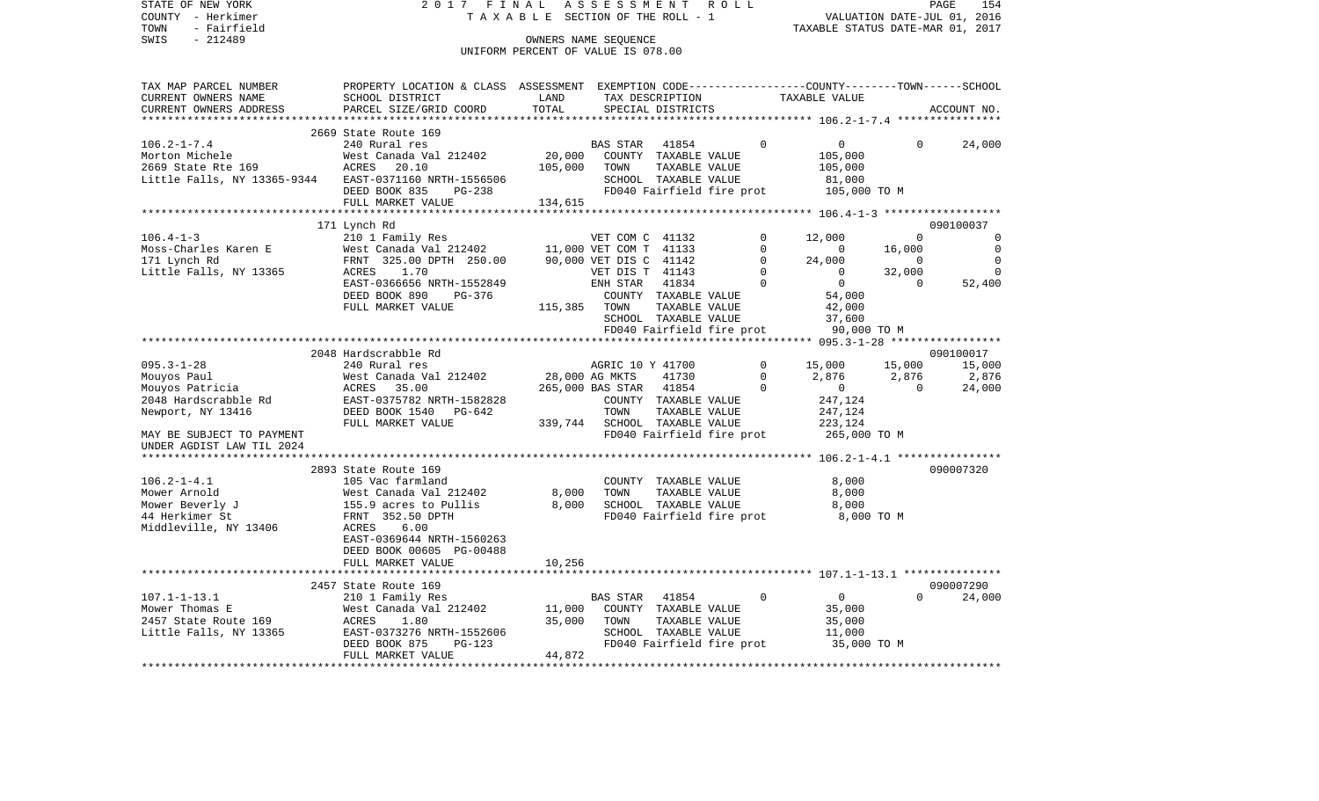| STATE OF NEW YORK           | 2017 FINAL                                                                                      |                                    | ASSESSMENT                                |                      | ROLL                       |                                  |                    | PAGE<br>154                   |
|-----------------------------|-------------------------------------------------------------------------------------------------|------------------------------------|-------------------------------------------|----------------------|----------------------------|----------------------------------|--------------------|-------------------------------|
| COUNTY - Herkimer           | TAXABLE                                                                                         |                                    | SECTION OF THE ROLL - 1                   |                      |                            |                                  |                    | VALUATION DATE-JUL 01, 2016   |
| TOWN<br>- Fairfield         |                                                                                                 |                                    |                                           |                      |                            | TAXABLE STATUS DATE-MAR 01, 2017 |                    |                               |
| $-212489$<br>SWIS           |                                                                                                 |                                    | OWNERS NAME SEQUENCE                      |                      |                            |                                  |                    |                               |
|                             |                                                                                                 | UNIFORM PERCENT OF VALUE IS 078.00 |                                           |                      |                            |                                  |                    |                               |
| TAX MAP PARCEL NUMBER       | PROPERTY LOCATION & CLASS ASSESSMENT EXEMPTION CODE---------------COUNTY-------TOWN------SCHOOL |                                    |                                           |                      |                            |                                  |                    |                               |
| CURRENT OWNERS NAME         | SCHOOL DISTRICT                                                                                 | LAND                               |                                           | TAX DESCRIPTION      |                            | TAXABLE VALUE                    |                    |                               |
| CURRENT OWNERS ADDRESS      | PARCEL SIZE/GRID COORD                                                                          | TOTAL                              |                                           | SPECIAL DISTRICTS    |                            |                                  |                    | ACCOUNT NO.                   |
| ***********************     | *****************************                                                                   |                                    |                                           |                      |                            |                                  |                    |                               |
|                             | 2669 State Route 169                                                                            |                                    |                                           |                      |                            |                                  |                    |                               |
| $106.2 - 1 - 7.4$           | 240 Rural res                                                                                   |                                    | <b>BAS STAR</b>                           | 41854                | 0                          | 0                                | 0                  | 24,000                        |
| Morton Michele              | West Canada Val 212402                                                                          | 20,000                             |                                           | COUNTY TAXABLE VALUE |                            | 105,000                          |                    |                               |
| 2669 State Rte 169          | ACRES<br>20.10                                                                                  | 105,000                            | TOWN                                      | TAXABLE VALUE        |                            | 105,000                          |                    |                               |
| Little Falls, NY 13365-9344 | EAST-0371160 NRTH-1556506                                                                       |                                    |                                           | SCHOOL TAXABLE VALUE |                            | 81,000                           |                    |                               |
|                             | DEED BOOK 835<br>PG-238                                                                         |                                    |                                           |                      | FD040 Fairfield fire prot  | 105,000 TO M                     |                    |                               |
|                             | FULL MARKET VALUE                                                                               | 134,615                            |                                           |                      |                            |                                  |                    |                               |
|                             |                                                                                                 |                                    |                                           |                      |                            |                                  |                    |                               |
|                             | 171 Lynch Rd                                                                                    |                                    |                                           |                      |                            |                                  |                    | 090100037                     |
| $106.4 - 1 - 3$             | 210 1 Family Res                                                                                |                                    | VET COM C 41132                           |                      | $\Omega$                   | 12,000                           | $\Omega$           | 0                             |
| Moss-Charles Karen E        | West Canada Val 212402                                                                          |                                    | 11,000 VET COM T 41133                    |                      | $\mathbf 0$                | $\mathbf 0$                      | 16,000             | $\mathbf 0$                   |
| 171 Lynch Rd                | FRNT 325.00 DPTH 250.00                                                                         |                                    | 90,000 VET DIS C 41142<br>VET DIS T 41143 |                      | $\mathbf 0$<br>$\mathbf 0$ | 24,000<br>$\mathbf 0$            | $\mathbf 0$        | $\mathbf 0$<br>$\overline{0}$ |
| Little Falls, NY 13365      | ACRES<br>1.70<br>EAST-0366656 NRTH-1552849                                                      |                                    | ENH STAR                                  | 41834                | $\Omega$                   | $\Omega$                         | 32,000<br>$\Omega$ | 52,400                        |
|                             | DEED BOOK 890<br>PG-376                                                                         |                                    |                                           | COUNTY TAXABLE VALUE |                            | 54,000                           |                    |                               |
|                             | FULL MARKET VALUE                                                                               | 115,385                            | TOWN                                      | TAXABLE VALUE        |                            | 42,000                           |                    |                               |
|                             |                                                                                                 |                                    |                                           | SCHOOL TAXABLE VALUE |                            | 37,600                           |                    |                               |
|                             |                                                                                                 |                                    |                                           |                      | FD040 Fairfield fire prot  | 90,000 TO M                      |                    |                               |
|                             |                                                                                                 |                                    |                                           |                      |                            |                                  |                    |                               |
|                             | 2048 Hardscrabble Rd                                                                            |                                    |                                           |                      |                            |                                  |                    | 090100017                     |
| $095.3 - 1 - 28$            | 240 Rural res                                                                                   |                                    | AGRIC 10 Y 41700                          |                      | $\mathbf 0$                | 15,000                           | 15,000             | 15,000                        |
| Mouyos Paul                 | West Canada Val 212402                                                                          |                                    | 28,000 AG MKTS                            | 41730                | $\mathbf 0$                | 2,876                            | 2,876              | 2,876                         |
| Mouyos Patricia             | 35.00<br>ACRES                                                                                  |                                    | 265,000 BAS STAR                          | 41854                | $\Omega$                   | $\mathbf 0$                      | $\mathbf 0$        | 24,000                        |
| 2048 Hardscrabble Rd        | EAST-0375782 NRTH-1582828                                                                       |                                    |                                           | COUNTY TAXABLE VALUE |                            | 247,124                          |                    |                               |
| Newport, NY 13416           | DEED BOOK 1540<br>PG-642                                                                        |                                    | TOWN                                      | TAXABLE VALUE        |                            | 247,124                          |                    |                               |
|                             | FULL MARKET VALUE                                                                               | 339,744                            |                                           | SCHOOL TAXABLE VALUE |                            | 223,124                          |                    |                               |
| MAY BE SUBJECT TO PAYMENT   |                                                                                                 |                                    |                                           |                      | FD040 Fairfield fire prot  | 265,000 TO M                     |                    |                               |
| UNDER AGDIST LAW TIL 2024   |                                                                                                 |                                    |                                           |                      |                            |                                  |                    |                               |
|                             |                                                                                                 |                                    |                                           |                      |                            |                                  |                    |                               |
|                             | 2893 State Route 169                                                                            |                                    |                                           |                      |                            |                                  |                    | 090007320                     |
| $106.2 - 1 - 4.1$           | 105 Vac farmland                                                                                |                                    |                                           | COUNTY TAXABLE VALUE |                            | 8,000                            |                    |                               |
| Mower Arnold                | West Canada Val 212402                                                                          | 8,000                              | TOWN                                      | TAXABLE VALUE        |                            | 8,000                            |                    |                               |
| Mower Beverly J             | 155.9 acres to Pullis                                                                           | 8,000                              |                                           | SCHOOL TAXABLE VALUE |                            | 8,000                            |                    |                               |
| 44 Herkimer St              | FRNT 352.50 DPTH<br>ACRES<br>6.00                                                               |                                    |                                           |                      | FD040 Fairfield fire prot  | 8,000 TO M                       |                    |                               |
| Middleville, NY 13406       | EAST-0369644 NRTH-1560263                                                                       |                                    |                                           |                      |                            |                                  |                    |                               |
|                             | DEED BOOK 00605 PG-00488                                                                        |                                    |                                           |                      |                            |                                  |                    |                               |
|                             | FULL MARKET VALUE                                                                               | 10,256                             |                                           |                      |                            |                                  |                    |                               |
|                             |                                                                                                 |                                    |                                           |                      |                            |                                  |                    |                               |
|                             | 2457 State Route 169                                                                            |                                    |                                           |                      |                            |                                  |                    | 090007290                     |
| $107.1 - 1 - 13.1$          | 210 1 Family Res                                                                                |                                    | BAS STAR                                  | 41854                | $\Omega$                   | $\circ$                          | $\Omega$           | 24,000                        |
| Mower Thomas E              | West Canada Val 212402                                                                          | 11,000                             |                                           | COUNTY TAXABLE VALUE |                            | 35,000                           |                    |                               |
| 2457 State Route 169        | <b>ACRES</b><br>1.80                                                                            | 35,000                             | TOWN                                      | TAXABLE VALUE        |                            | 35,000                           |                    |                               |
| Little Falls, NY 13365      | EAST-0373276 NRTH-1552606                                                                       |                                    |                                           | SCHOOL TAXABLE VALUE |                            | 11,000                           |                    |                               |
|                             | DEED BOOK 875<br>PG-123                                                                         |                                    |                                           |                      | FD040 Fairfield fire prot  | 35,000 TO M                      |                    |                               |
|                             | FULL MARKET VALUE                                                                               | 44,872                             |                                           |                      |                            |                                  |                    |                               |
|                             |                                                                                                 |                                    |                                           |                      |                            |                                  |                    |                               |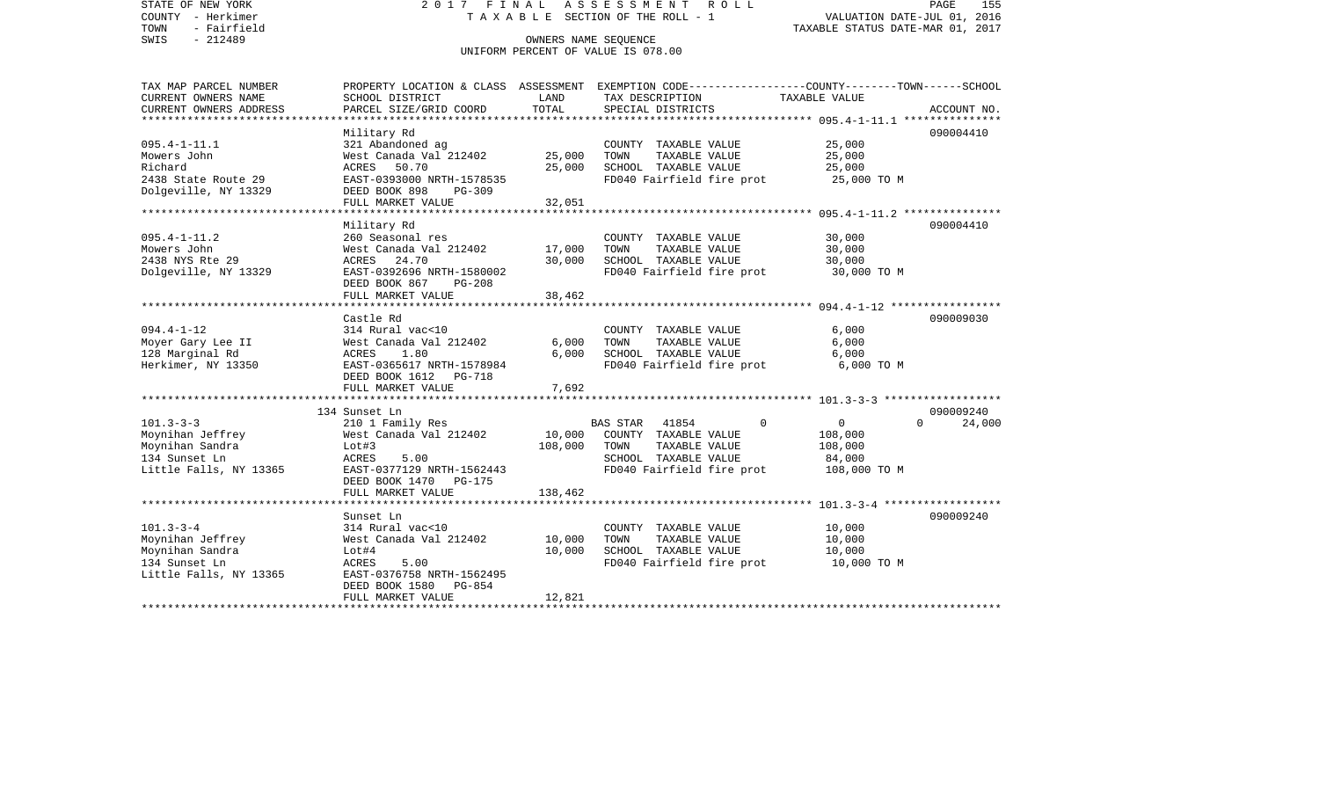STATE OF NEW YORK 2 0 1 7 F I N A L A S S E S S M E N T R O L L PAGE 155COUNTY - Herkimer **T A X A B L E SECTION OF THE ROLL - 1** VALUATION DATE-JUL 01, 2016 TOWN - Fairfield TAXABLE STATUS DATE-MAR 01, 2017 SWIS - 212489 OWNERS NAME SEQUENCE UNIFORM PERCENT OF VALUE IS 078.00TAX MAP PARCEL NUMBER PROPERTY LOCATION & CLASS ASSESSMENT EXEMPTION CODE------------------COUNTY--------TOWN------SCHOOL CURRENT OWNERS NAME SCHOOL DISTRICT LAND TAX DESCRIPTION TAXABLE VALUECURRENT OWNERS ADDRESS PARCEL SIZE/GRID COORD TOTAL SPECIAL DISTRICTS ACCOUNT NO. \*\*\*\*\*\*\*\*\*\*\*\*\*\*\*\*\*\*\*\*\*\*\*\*\*\*\*\*\*\*\*\*\*\*\*\*\*\*\*\*\*\*\*\*\*\*\*\*\*\*\*\*\*\*\*\*\*\*\*\*\*\*\*\*\*\*\*\*\*\*\*\*\*\*\*\*\*\*\*\*\*\*\*\*\*\*\*\*\*\*\*\*\*\*\*\*\*\*\*\*\*\*\* 095.4-1-11.1 \*\*\*\*\*\*\*\*\*\*\*\*\*\*\* Military Rd 090004410 095.4-1-11.1 321 Abandoned ag COUNTY TAXABLE VALUE 25,000 Mowers John West Canada Val 212402 25,000 TOWN TAXABLE VALUE 25,000 Richard ACRES 50.70 25,000 SCHOOL TAXABLE VALUE 25,000 2438 State Route 29 **EAST-0393000 NRTH-1578535** FD040 Fairfield fire prot 25,000 TO M Dolgeville, NY 13329 DEED BOOK 898 PG-309 FULL MARKET VALUE 32,051 \*\*\*\*\*\*\*\*\*\*\*\*\*\*\*\*\*\*\*\*\*\*\*\*\*\*\*\*\*\*\*\*\*\*\*\*\*\*\*\*\*\*\*\*\*\*\*\*\*\*\*\*\*\*\*\*\*\*\*\*\*\*\*\*\*\*\*\*\*\*\*\*\*\*\*\*\*\*\*\*\*\*\*\*\*\*\*\*\*\*\*\*\*\*\*\*\*\*\*\*\*\*\* 095.4-1-11.2 \*\*\*\*\*\*\*\*\*\*\*\*\*\*\* Military Rd 090004410 095.4-1-11.2 260 Seasonal res COUNTY TAXABLE VALUE 30,000 Mowers John West Canada Val 212402 17,000 TOWN TAXABLE VALUE 30,000 2438 NYS Rte 29 ACRES 24.70 30,000 SCHOOL TAXABLE VALUE 30,000 Dolgeville, NY 13329 BAST-0392696 NRTH-1580002 FD040 Fairfield fire prot 30,000 TO M DEED BOOK 867 PG-208 FULL MARKET VALUE 38,462 \*\*\*\*\*\*\*\*\*\*\*\*\*\*\*\*\*\*\*\*\*\*\*\*\*\*\*\*\*\*\*\*\*\*\*\*\*\*\*\*\*\*\*\*\*\*\*\*\*\*\*\*\*\*\*\*\*\*\*\*\*\*\*\*\*\*\*\*\*\*\*\*\*\*\*\*\*\*\*\*\*\*\*\*\*\*\*\*\*\*\*\*\*\*\*\*\*\*\*\*\*\*\* 094.4-1-12 \*\*\*\*\*\*\*\*\*\*\*\*\*\*\*\*\* Castle Rd 090009030094.4-1-12 314 Rural vac<10 COUNTY TAXABLE VALUE 6,000 Moyer Gary Lee II West Canada Val 212402 6,000 TOWN TAXABLE VALUE 6,000 128 Marginal Rd ACRES 1.80 6,000 SCHOOL TAXABLE VALUE 6,000 Herkimer, NY 13350 EAST-0365617 NRTH-1578984 FD040 Fairfield fire prot 6,000 TO M DEED BOOK 1612 PG-718 FULL MARKET VALUE 7,692 \*\*\*\*\*\*\*\*\*\*\*\*\*\*\*\*\*\*\*\*\*\*\*\*\*\*\*\*\*\*\*\*\*\*\*\*\*\*\*\*\*\*\*\*\*\*\*\*\*\*\*\*\*\*\*\*\*\*\*\*\*\*\*\*\*\*\*\*\*\*\*\*\*\*\*\*\*\*\*\*\*\*\*\*\*\*\*\*\*\*\*\*\*\*\*\*\*\*\*\*\*\*\* 101.3-3-3 \*\*\*\*\*\*\*\*\*\*\*\*\*\*\*\*\*\* 134 Sunset Ln 090009240101.3-3-3 210 1 Family Res BAS STAR 41854 0 0 0 24,000 Moynihan Jeffrey West Canada Val 212402 10,000 COUNTY TAXABLE VALUE 108,000 Moynihan Sandra Lot#3 108,000 TOWN TAXABLE VALUE 108,000 134 Sunset Ln ACRES 5.00 SCHOOL TAXABLE VALUE 84,000 Little Falls, NY 13365 EAST-0377129 NRTH-1562443 FD040 Fairfield fire prot 108,000 TO M DEED BOOK 1470 PG-175FULL MARKET VALUE 138,462 \*\*\*\*\*\*\*\*\*\*\*\*\*\*\*\*\*\*\*\*\*\*\*\*\*\*\*\*\*\*\*\*\*\*\*\*\*\*\*\*\*\*\*\*\*\*\*\*\*\*\*\*\*\*\*\*\*\*\*\*\*\*\*\*\*\*\*\*\*\*\*\*\*\*\*\*\*\*\*\*\*\*\*\*\*\*\*\*\*\*\*\*\*\*\*\*\*\*\*\*\*\*\* 101.3-3-4 \*\*\*\*\*\*\*\*\*\*\*\*\*\*\*\*\*\* Sunset Ln 090009240090009240 101.3-3-4 314 Rural vac<10 COUNTY TAXABLE VALUE 10,000 Moynihan Jeffrey West Canada Val 212402 10,000 TOWN TAXABLE VALUE 10,000 Lot#4 10,000 SCHOOL TAXABLE VALUE 134 Sunset Ln ACRES 5.00 FD040 Fairfield fire prot 10,000 TO M Little Falls, NY 13365 EAST-0376758 NRTH-1562495 DEED BOOK 1580 PG-854FULL MARKET VALUE 12,821 \*\*\*\*\*\*\*\*\*\*\*\*\*\*\*\*\*\*\*\*\*\*\*\*\*\*\*\*\*\*\*\*\*\*\*\*\*\*\*\*\*\*\*\*\*\*\*\*\*\*\*\*\*\*\*\*\*\*\*\*\*\*\*\*\*\*\*\*\*\*\*\*\*\*\*\*\*\*\*\*\*\*\*\*\*\*\*\*\*\*\*\*\*\*\*\*\*\*\*\*\*\*\*\*\*\*\*\*\*\*\*\*\*\*\*\*\*\*\*\*\*\*\*\*\*\*\*\*\*\*\*\*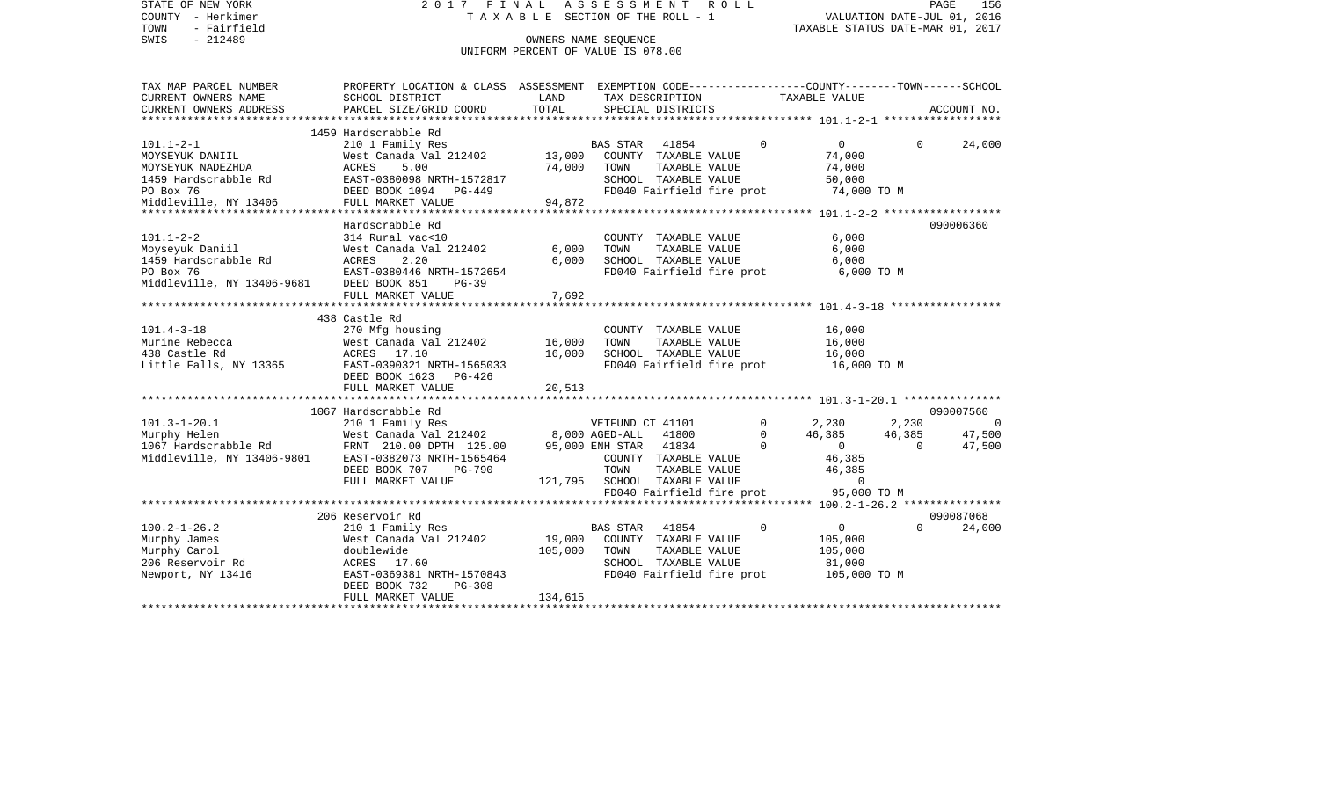| STATE OF NEW YORK<br>COUNTY - Herkimer<br>TOWN<br>- Fairfield<br>SWIS<br>$-212489$ | 2017 FINAL                                                                                                         | TAXABLE SECTION OF THE ROLL - 1<br>OWNERS NAME SEOUENCE<br>UNIFORM PERCENT OF VALUE IS 078.00 | ASSESSMENT                   |                                       | ROLL |             | TAXABLE STATUS DATE-MAR 01, 2017      | VALUATION DATE-JUL 01, 2016 | PAGE<br>156    |
|------------------------------------------------------------------------------------|--------------------------------------------------------------------------------------------------------------------|-----------------------------------------------------------------------------------------------|------------------------------|---------------------------------------|------|-------------|---------------------------------------|-----------------------------|----------------|
| TAX MAP PARCEL NUMBER<br>CURRENT OWNERS NAME                                       | PROPERTY LOCATION & CLASS ASSESSMENT EXEMPTION CODE----------------COUNTY-------TOWN-----SCHOOL<br>SCHOOL DISTRICT | LAND                                                                                          |                              | TAX DESCRIPTION                       |      |             | TAXABLE VALUE                         |                             |                |
| CURRENT OWNERS ADDRESS                                                             | PARCEL SIZE/GRID COORD                                                                                             | TOTAL                                                                                         |                              | SPECIAL DISTRICTS                     |      |             |                                       |                             | ACCOUNT NO.    |
|                                                                                    | 1459 Hardscrabble Rd                                                                                               |                                                                                               |                              |                                       |      |             |                                       |                             |                |
| $101.1 - 2 - 1$                                                                    | 210 1 Family Res                                                                                                   |                                                                                               | BAS STAR 41854               |                                       |      | $\Omega$    | $\overline{0}$                        | $\Omega$                    | 24,000         |
| MOYSEYUK DANIIL                                                                    | West Canada Val 212402                                                                                             | 13,000 COUNTY TAXABLE VALUE                                                                   |                              |                                       |      |             | 74,000                                |                             |                |
| MOYSEYUK NADEZHDA                                                                  | 5.00<br>ACRES                                                                                                      | 74,000                                                                                        | TOWN                         | TAXABLE VALUE                         |      |             | 74,000                                |                             |                |
| 1459 Hardscrabble Rd                                                               | EAST-0380098 NRTH-1572817                                                                                          |                                                                                               |                              | SCHOOL TAXABLE VALUE                  |      |             | 50,000                                |                             |                |
| PO Box 76                                                                          | DEED BOOK 1094 PG-449                                                                                              |                                                                                               |                              |                                       |      |             | FD040 Fairfield fire prot 74,000 TO M |                             |                |
| Middleville, NY 13406                                                              | FULL MARKET VALUE                                                                                                  | 94,872                                                                                        |                              |                                       |      |             |                                       |                             |                |
|                                                                                    |                                                                                                                    |                                                                                               |                              |                                       |      |             |                                       |                             |                |
| $101.1 - 2 - 2$                                                                    | Hardscrabble Rd<br>314 Rural vac<10                                                                                |                                                                                               |                              |                                       |      |             | 6,000                                 |                             | 090006360      |
| Moyseyuk Daniil                                                                    | West Canada Val 212402                                                                                             | 6,000                                                                                         | TOWN                         | COUNTY TAXABLE VALUE<br>TAXABLE VALUE |      |             | 6,000                                 |                             |                |
| 1459 Hardscrabble Rd                                                               | ACRES<br>2.20                                                                                                      | 6,000                                                                                         |                              | SCHOOL TAXABLE VALUE                  |      |             | 6,000                                 |                             |                |
| PO Box 76                                                                          | EAST-0380446 NRTH-1572654                                                                                          |                                                                                               |                              | FD040 Fairfield fire prot             |      |             | 6,000 TO M                            |                             |                |
| Middleville, NY 13406-9681 DEED BOOK 851                                           | $PG-39$                                                                                                            |                                                                                               |                              |                                       |      |             |                                       |                             |                |
|                                                                                    | FULL MARKET VALUE                                                                                                  | 7,692                                                                                         |                              |                                       |      |             |                                       |                             |                |
|                                                                                    |                                                                                                                    | ************                                                                                  |                              |                                       |      |             |                                       |                             |                |
|                                                                                    | 438 Castle Rd                                                                                                      |                                                                                               |                              |                                       |      |             |                                       |                             |                |
| $101.4 - 3 - 18$                                                                   | 270 Mfg housing                                                                                                    |                                                                                               |                              | COUNTY TAXABLE VALUE                  |      |             | 16,000                                |                             |                |
| Murine Rebecca                                                                     | West Canada Val 212402                                                                                             | 16,000                                                                                        | TOWN                         | TAXABLE VALUE                         |      |             | 16,000                                |                             |                |
| 438 Castle Rd                                                                      | ACRES 17.10                                                                                                        | 16,000                                                                                        |                              | SCHOOL TAXABLE VALUE                  |      |             | 16,000                                |                             |                |
| Little Falls, NY 13365                                                             | EAST-0390321 NRTH-1565033<br>DEED BOOK 1623 PG-426                                                                 |                                                                                               |                              | FD040 Fairfield fire prot             |      |             | 16,000 TO M                           |                             |                |
|                                                                                    | FULL MARKET VALUE                                                                                                  | 20,513                                                                                        |                              |                                       |      |             |                                       |                             |                |
|                                                                                    | 1067 Hardscrabble Rd                                                                                               |                                                                                               |                              |                                       |      |             |                                       |                             | 090007560      |
| $101.3 - 1 - 20.1$                                                                 | 210 1 Family Res                                                                                                   |                                                                                               | VETFUND CT 41101             |                                       |      | $\mathbf 0$ | 2,230                                 | 2,230                       | $\overline{0}$ |
| Murphy Helen                                                                       | 210 1 Family Res<br>West Canada Val 212402                                                                         |                                                                                               | 8,000 AGED-ALL 41800         |                                       |      | $\mathbf 0$ | 46,385                                | 46,385                      | 47,500         |
| 1067 Hardscrabble Rd                                                               | FRNT 210.00 DPTH 125.00                                                                                            |                                                                                               | 95,000 ENH STAR 41834        |                                       |      | $\Omega$    | $0 \qquad \qquad$                     | $\Omega$                    | 47,500         |
| Middleville, NY 13406-9801                                                         | EAST-0382073 NRTH-1565464                                                                                          |                                                                                               |                              | COUNTY TAXABLE VALUE                  |      |             | 46,385                                |                             |                |
|                                                                                    | DEED BOOK 707<br>PG-790                                                                                            |                                                                                               | TOWN                         | TAXABLE VALUE                         |      |             | 46,385                                |                             |                |
|                                                                                    | FULL MARKET VALUE                                                                                                  |                                                                                               | 121,795 SCHOOL TAXABLE VALUE |                                       |      |             | $\Omega$                              |                             |                |
|                                                                                    |                                                                                                                    |                                                                                               |                              | FD040 Fairfield fire prot             |      |             | 95,000 TO M                           |                             |                |
|                                                                                    |                                                                                                                    |                                                                                               |                              |                                       |      |             |                                       |                             |                |
|                                                                                    | 206 Reservoir Rd                                                                                                   |                                                                                               |                              |                                       |      |             |                                       |                             | 090087068      |
| $100.2 - 1 - 26.2$                                                                 | 210 1 Family Res                                                                                                   |                                                                                               | BAS STAR                     | 41854                                 |      | $\Omega$    | $0 \qquad \qquad$                     | $\Omega$                    | 24,000         |
| Murphy James                                                                       | West Canada Val 212402                                                                                             | 19,000                                                                                        |                              | COUNTY TAXABLE VALUE                  |      |             | 105,000                               |                             |                |
| Murphy Carol                                                                       | doublewide                                                                                                         | 105,000                                                                                       | TOWN                         | TAXABLE VALUE                         |      |             | 105,000                               |                             |                |
| 206 Reservoir Rd                                                                   | ACRES 17.60                                                                                                        |                                                                                               |                              | SCHOOL TAXABLE VALUE                  |      |             | 81,000                                |                             |                |
| Newport, NY 13416                                                                  | EAST-0369381 NRTH-1570843                                                                                          |                                                                                               |                              | FD040 Fairfield fire prot             |      |             | 105,000 TO M                          |                             |                |
|                                                                                    | PG-308<br>DEED BOOK 732                                                                                            |                                                                                               |                              |                                       |      |             |                                       |                             |                |
|                                                                                    | FULL MARKET VALUE                                                                                                  | 134,615                                                                                       |                              |                                       |      |             |                                       |                             |                |
|                                                                                    |                                                                                                                    |                                                                                               |                              |                                       |      |             |                                       |                             |                |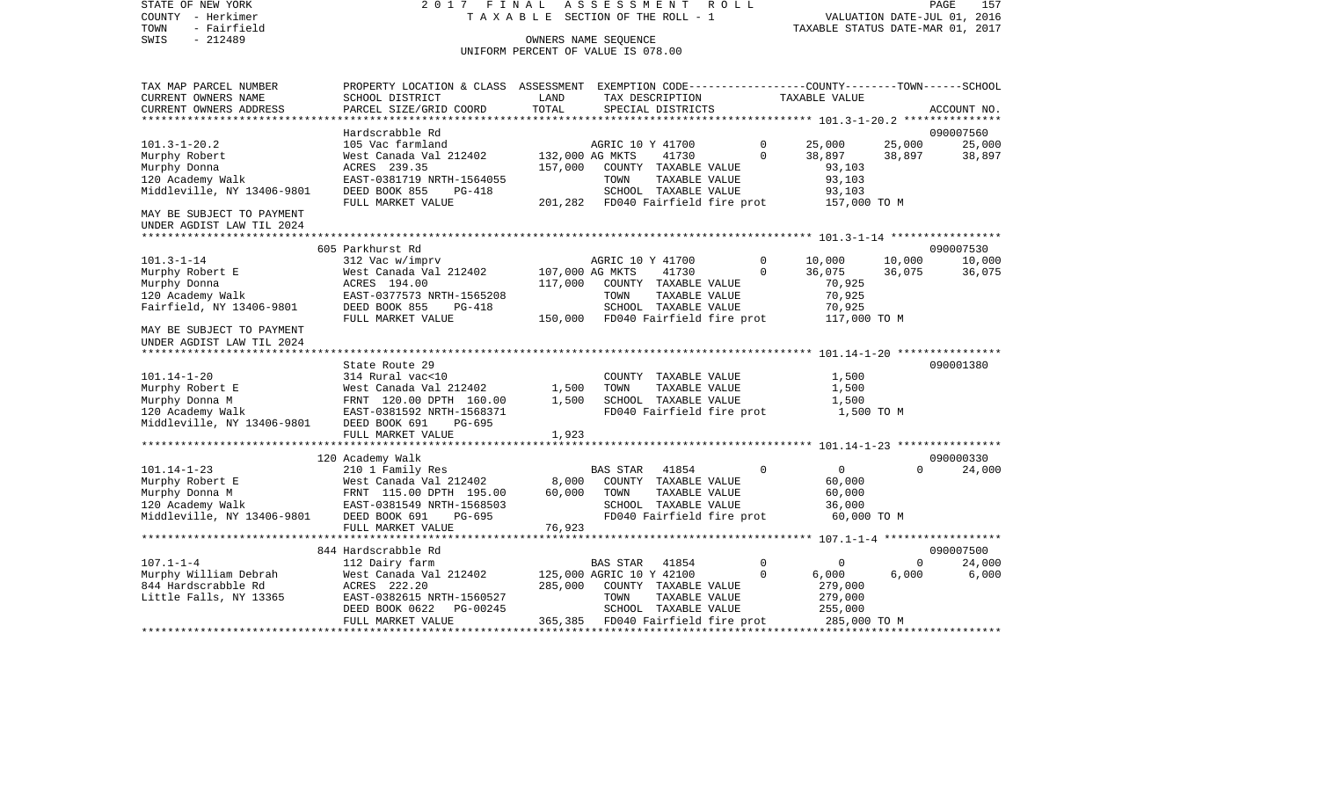VALUATION DATE-JUL 01, 2016 COUNTY - Herkimer T A X A B L E SECTION OF THE ROLL - 1 TOWN - Fairfield TAXABLE STATUS DATE-MAR 01, 2017 SWIS - 212489 CONNERS NAME SEQUENCE UNIFORM PERCENT OF VALUE IS 078.00TAX MAP PARCEL NUMBER PROPERTY LOCATION & CLASS ASSESSMENT EXEMPTION CODE------------------COUNTY--------TOWN------SCHOOL CURRENT OWNERS NAME SCHOOL DISTRICT LAND TAX DESCRIPTION TAXABLE VALUECURRENT OWNERS ADDRESS PARCEL SIZE/GRID COORD TOTAL SPECIAL DISTRICTS ACCOUNT NO. \*\*\*\*\*\*\*\*\*\*\*\*\*\*\*\*\*\*\*\*\*\*\*\*\*\*\*\*\*\*\*\*\*\*\*\*\*\*\*\*\*\*\*\*\*\*\*\*\*\*\*\*\*\*\*\*\*\*\*\*\*\*\*\*\*\*\*\*\*\*\*\*\*\*\*\*\*\*\*\*\*\*\*\*\*\*\*\*\*\*\*\*\*\*\*\*\*\*\*\*\*\*\* 101.3-1-20.2 \*\*\*\*\*\*\*\*\*\*\*\*\*\*\* Hardscrabble Rd 090007560101.3-1-20.2 105 Vac farmland AGRIC 10 Y 41700 0 25,000 25,000 25,000 Murphy Robert 6 68,897 6 68 West Canada Val 212402 132,000 AG MKTS 41730 0 38,897 38,897 38,897 38,897 Murphy Donna ACRES 239.35 157,000 COUNTY TAXABLE VALUE 93,103 120 Academy Walk EAST-0381719 NRTH-1564055 TOWN TAXABLE VALUE 93,103 Middleville, NY 13406-9801 DEED BOOK 855 PG-418 FULL MARKET VALUE 201,282 FD040 Fairfield fire prot 157,000 TO M MAY BE SUBJECT TO PAYMENT UNDER AGDIST LAW TIL 2024 \*\*\*\*\*\*\*\*\*\*\*\*\*\*\*\*\*\*\*\*\*\*\*\*\*\*\*\*\*\*\*\*\*\*\*\*\*\*\*\*\*\*\*\*\*\*\*\*\*\*\*\*\*\*\*\*\*\*\*\*\*\*\*\*\*\*\*\*\*\*\*\*\*\*\*\*\*\*\*\*\*\*\*\*\*\*\*\*\*\*\*\*\*\*\*\*\*\*\*\*\*\*\* 101.3-1-14 \*\*\*\*\*\*\*\*\*\*\*\*\*\*\*\*\* 605 Parkhurst Rd 090007530101.3-1-14 312 Vac w/imprv AGRIC 10 Y 41700 0 10,000 10,000 10,000 Murphy Robert E 6 6,075 West Canada Val 212402 107,000 AG MKTS 41730 0 36,075 36,075 36,075 Murphy Donna ACRES 194.00 117,000 COUNTY TAXABLE VALUE 70,925 120 Academy Walk EAST-0377573 NRTH-1565208 TOWN TAXABLE VALUE 70,925 Fairfield, NY 13406-9801 DEED BOOK 855 PG-418 SCHOOL TAXABLE VALUE 70,925 FULL MARKET VALUE  $150,000$  FD040 Fairfield fire prot  $117,000$  TO M MAY BE SUBJECT TO PAYMENTUNDER AGDIST LAW TIL 2024 \*\*\*\*\*\*\*\*\*\*\*\*\*\*\*\*\*\*\*\*\*\*\*\*\*\*\*\*\*\*\*\*\*\*\*\*\*\*\*\*\*\*\*\*\*\*\*\*\*\*\*\*\*\*\*\*\*\*\*\*\*\*\*\*\*\*\*\*\*\*\*\*\*\*\*\*\*\*\*\*\*\*\*\*\*\*\*\*\*\*\*\*\*\*\*\*\*\*\*\*\*\*\* 101.14-1-20 \*\*\*\*\*\*\*\*\*\*\*\*\*\*\*\*State Route 29 090001380 101.14-1-20 314 Rural vac<10 COUNTY TAXABLE VALUE 1,500 Murphy Robert E 60 West Canada Val 212402 1,500 TOWN TAXABLE VALUE 1,500 Murphy Donna M FRNT 120.00 DPTH 160.00 1,500 SCHOOL TAXABLE VALUE 1,500 FD040 Fairfield fire prot Middleville, NY 13406-9801 DEED BOOK 691 PG-695 FULL MARKET VALUE 1,923 \*\*\*\*\*\*\*\*\*\*\*\*\*\*\*\*\*\*\*\*\*\*\*\*\*\*\*\*\*\*\*\*\*\*\*\*\*\*\*\*\*\*\*\*\*\*\*\*\*\*\*\*\*\*\*\*\*\*\*\*\*\*\*\*\*\*\*\*\*\*\*\*\*\*\*\*\*\*\*\*\*\*\*\*\*\*\*\*\*\*\*\*\*\*\*\*\*\*\*\*\*\*\* 101.14-1-23 \*\*\*\*\*\*\*\*\*\*\*\*\*\*\*\* 120 Academy Walk 090000330 101.14-1-23 210 1 Family Res BAS STAR 41854 0 0 0 24,000 Murphy Robert E West Canada Val 212402 8,000 COUNTY TAXABLE VALUE 60,000 Murphy Donna M FRNT 115.00 DPTH 195.00 60,000 TOWN TAXABLE VALUE 60,000 120 Academy Walk EAST-0381549 NRTH-1568503 SCHOOL TAXABLE VALUE 36,000 Middleville, NY 13406-9801 DEED BOOK 691 PG-695 FD040 Fairfield fire prot 60,000 TO M FULL MARKET VALUE 76,923 \*\*\*\*\*\*\*\*\*\*\*\*\*\*\*\*\*\*\*\*\*\*\*\*\*\*\*\*\*\*\*\*\*\*\*\*\*\*\*\*\*\*\*\*\*\*\*\*\*\*\*\*\*\*\*\*\*\*\*\*\*\*\*\*\*\*\*\*\*\*\*\*\*\*\*\*\*\*\*\*\*\*\*\*\*\*\*\*\*\*\*\*\*\*\*\*\*\*\*\*\*\*\* 107.1-1-4 \*\*\*\*\*\*\*\*\*\*\*\*\*\*\*\*\*\* 844 Hardscrabble Rd 090007500107.1-1-4 112 Dairy farm BAS STAR 41854 0 0 0 24,000 Murphy William Debrah West Canada Val 212402 125,000 AGRIC 10 Y 42100 0 6,000 6,000 6,000 844 Hardscrabble Rd ACRES 222.20 285,000 COUNTY TAXABLE VALUE 279,000 Little Falls, NY 13365 EAST-0382615 NRTH-1560527 TOWN TAXABLE VALUE 279,000 DEED BOOK 0622 PG-00245 SCHOOL TAXABLE VALUE 255,000 FULL MARKET VALUE 365,385 FD040 Fairfield fire prot 285,000 TO M \*\*\*\*\*\*\*\*\*\*\*\*\*\*\*\*\*\*\*\*\*\*\*\*\*\*\*\*\*\*\*\*\*\*\*\*\*\*\*\*\*\*\*\*\*\*\*\*\*\*\*\*\*\*\*\*\*\*\*\*\*\*\*\*\*\*\*\*\*\*\*\*\*\*\*\*\*\*\*\*\*\*\*\*\*\*\*\*\*\*\*\*\*\*\*\*\*\*\*\*\*\*\*\*\*\*\*\*\*\*\*\*\*\*\*\*\*\*\*\*\*\*\*\*\*\*\*\*\*\*\*\*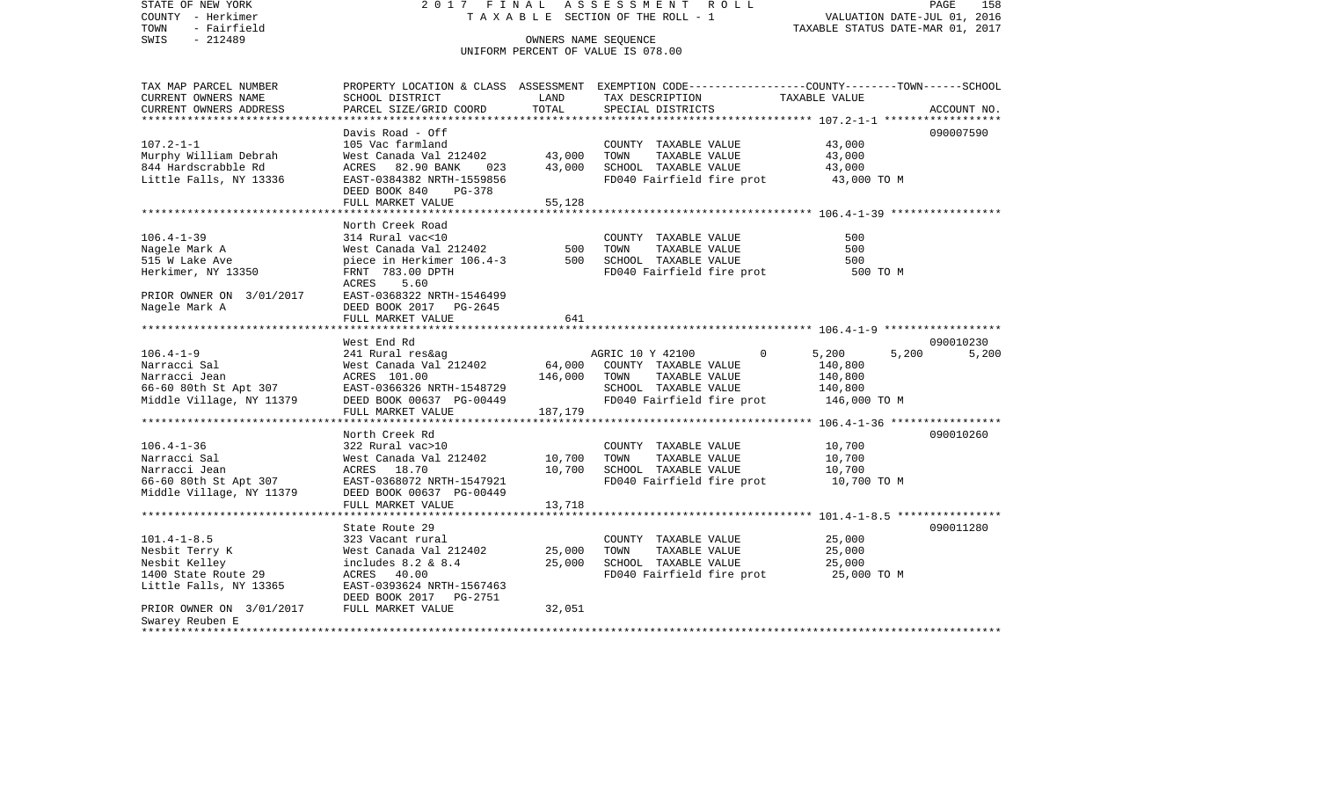STATE OF NEW YORK 2 0 1 7 F I N A L A S S E S S M E N T R O L L PAGE 158COUNTY - Herkimer **T A X A B L E** SECTION OF THE ROLL - 1 VALUATION DATE-JUL 01, 2016 TOWN - Fairfield TAXABLE STATUS DATE-MAR 01, 2017 SWIS - 212489 CONNERS NAME SEQUENCE UNIFORM PERCENT OF VALUE IS 078.00TAX MAP PARCEL NUMBER PROPERTY LOCATION & CLASS ASSESSMENT EXEMPTION CODE------------------COUNTY--------TOWN------SCHOOL CURRENT OWNERS NAME SCHOOL DISTRICT LAND TAX DESCRIPTION TAXABLE VALUECURRENT OWNERS ADDRESS PARCEL SIZE/GRID COORD TOTAL SPECIAL DISTRICTS ACCOUNT NO. \*\*\*\*\*\*\*\*\*\*\*\*\*\*\*\*\*\*\*\*\*\*\*\*\*\*\*\*\*\*\*\*\*\*\*\*\*\*\*\*\*\*\*\*\*\*\*\*\*\*\*\*\*\*\*\*\*\*\*\*\*\*\*\*\*\*\*\*\*\*\*\*\*\*\*\*\*\*\*\*\*\*\*\*\*\*\*\*\*\*\*\*\*\*\*\*\*\*\*\*\*\*\* 107.2-1-1 \*\*\*\*\*\*\*\*\*\*\*\*\*\*\*\*\*\*Davis Road -  $Off$ 090007590 107.2-1-1 105 Vac farmland COUNTY TAXABLE VALUE 43,000 Murphy William Debrah West Canada Val 212402 43,000 TOWN TAXABLE VALUE 43,000 844 Hardscrabble Rd  $ACRES$  82.90 BANK 023 43,000 SCHOOL TAXABLE VALUE 43,000 Little Falls, NY 13336 EAST-0384382 NRTH-1559856 FD040 Fairfield fire prot 43,000 TO M DEED BOOK 840 PG-378FULL MARKET VALUE 55,128 \*\*\*\*\*\*\*\*\*\*\*\*\*\*\*\*\*\*\*\*\*\*\*\*\*\*\*\*\*\*\*\*\*\*\*\*\*\*\*\*\*\*\*\*\*\*\*\*\*\*\*\*\*\*\*\*\*\*\*\*\*\*\*\*\*\*\*\*\*\*\*\*\*\*\*\*\*\*\*\*\*\*\*\*\*\*\*\*\*\*\*\*\*\*\*\*\*\*\*\*\*\*\* 106.4-1-39 \*\*\*\*\*\*\*\*\*\*\*\*\*\*\*\*\* North Creek Road106.4-1-39 314 Rural vac<10 COUNTY TAXABLE VALUE 500Nagele Mark A West Canada Val 212402 500 TOWN TAXABLE VALUE 500 515 W Lake Ave piece in Herkimer 106.4-3 500 SCHOOL TAXABLE VALUE 500 Herkimer, NY 13350 FRNT 783.00 DPTH FD040 Fairfield fire prot 500 TO M ACRES 5.60PRIOR OWNER ON 3/01/2017 EAST-0368322 NRTH-1546499 Nagele Mark A DEED BOOK 2017 PG-2645 FULL MARKET VALUE 641 \*\*\*\*\*\*\*\*\*\*\*\*\*\*\*\*\*\*\*\*\*\*\*\*\*\*\*\*\*\*\*\*\*\*\*\*\*\*\*\*\*\*\*\*\*\*\*\*\*\*\*\*\*\*\*\*\*\*\*\*\*\*\*\*\*\*\*\*\*\*\*\*\*\*\*\*\*\*\*\*\*\*\*\*\*\*\*\*\*\*\*\*\*\*\*\*\*\*\*\*\*\*\* 106.4-1-9 \*\*\*\*\*\*\*\*\*\*\*\*\*\*\*\*\*\* West End Rd 090010230106.4-1-9 241 Rural res&ag AGRIC 10 Y 42100 0 5,200 5,200 5,200 5,200 Narracci Sal West Canada Val 212402 64,000 COUNTY TAXABLE VALUE 140,800 Narracci Jean ACRES 101.00 146,000 TOWN TAXABLE VALUE 140,800 66-60 80th St Apt 307 EAST-0366326 NRTH-1548729 SCHOOL TAXABLE VALUE 140,800 Middle Village, NY 11379 DEED BOOK 00637 PG-00449 FD040 Fairfield fire prot 146,000 TO M<br>FULL MARKET VALUE 187.179 FULL MARKET VALUE \*\*\*\*\*\*\*\*\*\*\*\*\*\*\*\*\*\*\*\*\*\*\*\*\*\*\*\*\*\*\*\*\*\*\*\*\*\*\*\*\*\*\*\*\*\*\*\*\*\*\*\*\*\*\*\*\*\*\*\*\*\*\*\*\*\*\*\*\*\*\*\*\*\*\*\*\*\*\*\*\*\*\*\*\*\*\*\*\*\*\*\*\*\*\*\*\*\*\*\*\*\*\* 106.4-1-36 \*\*\*\*\*\*\*\*\*\*\*\*\*\*\*\*\* North Creek Rd 090010260106.4-1-36 322 Rural vac>10 COUNTY TAXABLE VALUE 10,700 Narracci Sal West Canada Val 212402 10,700 TOWN TAXABLE VALUE 10,700 Narracci Jean ACRES 18.70 10.700 SCHOOL TAXABLE VALUE 10.700 66-60 80th St Apt 307 EAST-0368072 NRTH-1547921 FD040 Fairfield fire prot 10,700 TO M Middle Village, NY 11379 DEED BOOK 00637 PG-00449 FULL MARKET VALUE 13,718 \*\*\*\*\*\*\*\*\*\*\*\*\*\*\*\*\*\*\*\*\*\*\*\*\*\*\*\*\*\*\*\*\*\*\*\*\*\*\*\*\*\*\*\*\*\*\*\*\*\*\*\*\*\*\*\*\*\*\*\*\*\*\*\*\*\*\*\*\*\*\*\*\*\*\*\*\*\*\*\*\*\*\*\*\*\*\*\*\*\*\*\*\*\*\*\*\*\*\*\*\*\*\* 101.4-1-8.5 \*\*\*\*\*\*\*\*\*\*\*\*\*\*\*\*State Route 29 090011280 101.4-1-8.5 323 Vacant rural COUNTY TAXABLE VALUE 25,000 Nesbit Terry K West Canada Val 212402 25,000 TOWN TAXABLE VALUE 25,000 Nesbit Kelley includes 8.2 & 8.4 25,000 SCHOOL TAXABLE VALUE 25,000 1400 State Route 29 ACRES 40.00 FOO40 Fairfield fire prot 25,000 TO M Little Falls, NY 13365 EAST-0393624 NRTH-1567463 DEED BOOK 2017 PG-2751PRIOR OWNER ON 3/01/2017 FULL MARKET VALUE 32.051 Swarey Reuben E \*\*\*\*\*\*\*\*\*\*\*\*\*\*\*\*\*\*\*\*\*\*\*\*\*\*\*\*\*\*\*\*\*\*\*\*\*\*\*\*\*\*\*\*\*\*\*\*\*\*\*\*\*\*\*\*\*\*\*\*\*\*\*\*\*\*\*\*\*\*\*\*\*\*\*\*\*\*\*\*\*\*\*\*\*\*\*\*\*\*\*\*\*\*\*\*\*\*\*\*\*\*\*\*\*\*\*\*\*\*\*\*\*\*\*\*\*\*\*\*\*\*\*\*\*\*\*\*\*\*\*\*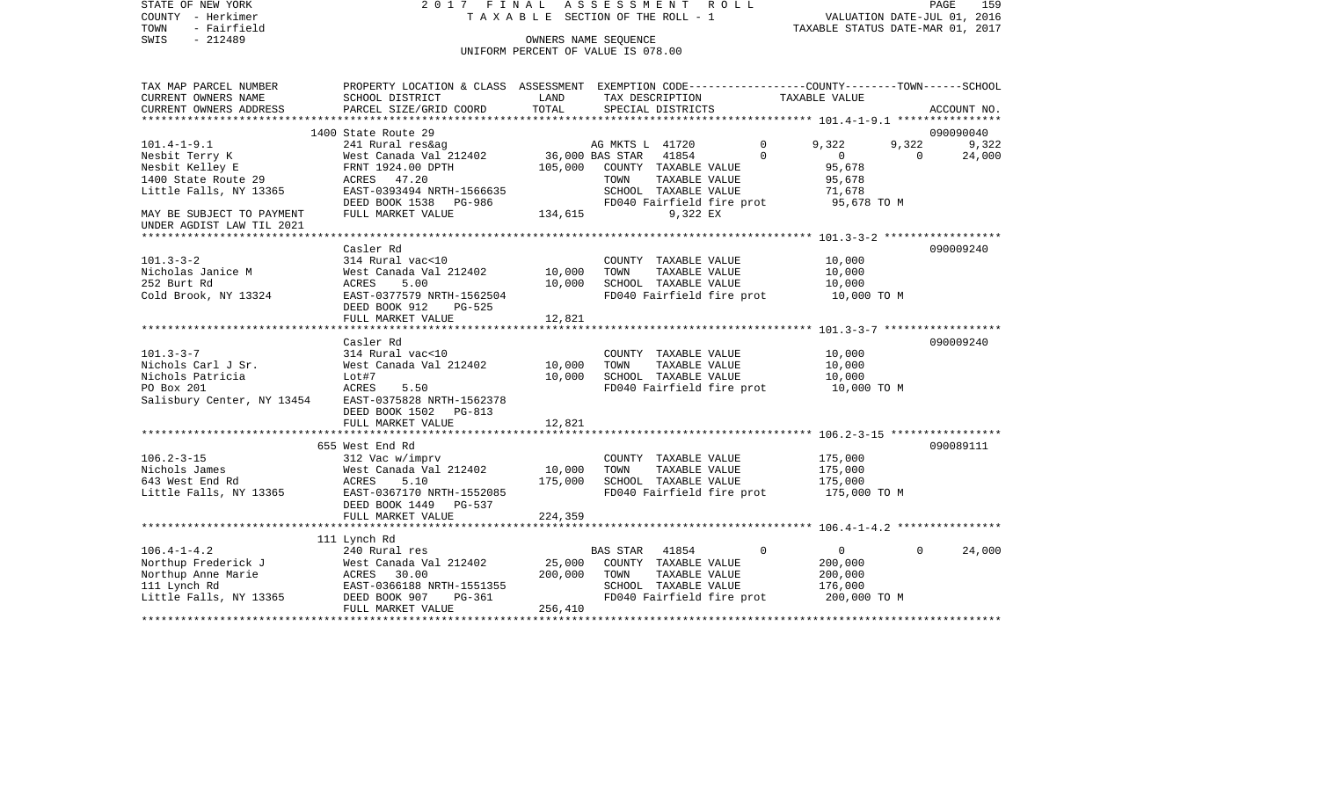| STATE OF NEW YORK<br>COUNTY - Herkimer<br>- Fairfield<br>TOWN<br>$-212489$<br>SWIS | 2017 FINAL                                                                                     | TAXABLE SECTION OF THE ROLL - 1<br>UNIFORM PERCENT OF VALUE IS 078.00 | ASSESSMENT<br>OWNERS NAME SEOUENCE |                                       | R O L L                   | TAXABLE STATUS DATE-MAR 01, 2017                              |          | PAGE<br>159<br>VALUATION DATE-JUL 01, 2016 |
|------------------------------------------------------------------------------------|------------------------------------------------------------------------------------------------|-----------------------------------------------------------------------|------------------------------------|---------------------------------------|---------------------------|---------------------------------------------------------------|----------|--------------------------------------------|
| TAX MAP PARCEL NUMBER                                                              | PROPERTY LOCATION & CLASS ASSESSMENT EXEMPTION CODE---------------COUNTY-------TOWN-----SCHOOL |                                                                       |                                    |                                       |                           |                                                               |          |                                            |
| CURRENT OWNERS NAME                                                                | SCHOOL DISTRICT                                                                                | LAND                                                                  |                                    | TAX DESCRIPTION                       |                           | TAXABLE VALUE                                                 |          |                                            |
| CURRENT OWNERS ADDRESS<br>**********************                                   | PARCEL SIZE/GRID COORD                                                                         | TOTAL                                                                 |                                    | SPECIAL DISTRICTS                     |                           |                                                               |          | ACCOUNT NO.                                |
|                                                                                    | 1400 State Route 29                                                                            |                                                                       |                                    |                                       |                           |                                                               |          | 090090040                                  |
| $101.4 - 1 - 9.1$                                                                  | 241 Rural res&ag                                                                               |                                                                       | AG MKTS L 41720                    |                                       | $\Omega$                  | 9,322                                                         | 9,322    | 9,322                                      |
| Nesbit Terry K                                                                     | West Canada Val 212402                                                                         |                                                                       | 36,000 BAS STAR                    | 41854                                 | $\Omega$                  | $\overline{0}$                                                | $\Omega$ | 24,000                                     |
| Nesbit Kelley E                                                                    | FRNT 1924.00 DPTH                                                                              | 105,000                                                               |                                    | COUNTY TAXABLE VALUE                  |                           | 95,678                                                        |          |                                            |
| 1400 State Route 29                                                                | ACRES 47.20                                                                                    |                                                                       | TOWN                               | TAXABLE VALUE                         |                           | 95,678                                                        |          |                                            |
| Little Falls, NY 13365                                                             | EAST-0393494 NRTH-1566635                                                                      |                                                                       |                                    | SCHOOL TAXABLE VALUE                  |                           | 71,678                                                        |          |                                            |
|                                                                                    | DEED BOOK 1538 PG-986                                                                          |                                                                       |                                    |                                       | FD040 Fairfield fire prot | 95,678 TO M                                                   |          |                                            |
| MAY BE SUBJECT TO PAYMENT<br>UNDER AGDIST LAW TIL 2021<br>*********************    | FULL MARKET VALUE                                                                              | 134,615                                                               |                                    | 9,322 EX                              |                           |                                                               |          |                                            |
|                                                                                    |                                                                                                |                                                                       |                                    |                                       |                           |                                                               |          |                                            |
| $101.3 - 3 - 2$                                                                    | Casler Rd<br>314 Rural vac<10                                                                  |                                                                       |                                    | COUNTY TAXABLE VALUE                  |                           | 10,000                                                        |          | 090009240                                  |
| Nicholas Janice M                                                                  | West Canada Val 212402                                                                         | 10,000                                                                | TOWN                               | TAXABLE VALUE                         |                           | 10,000                                                        |          |                                            |
| 252 Burt Rd                                                                        | ACRES<br>5.00                                                                                  | 10,000                                                                |                                    | SCHOOL TAXABLE VALUE                  |                           | 10,000                                                        |          |                                            |
| Cold Brook, NY 13324                                                               | EAST-0377579 NRTH-1562504                                                                      |                                                                       |                                    |                                       | FD040 Fairfield fire prot | 10,000 TO M                                                   |          |                                            |
|                                                                                    | DEED BOOK 912<br><b>PG-525</b>                                                                 |                                                                       |                                    |                                       |                           |                                                               |          |                                            |
|                                                                                    | FULL MARKET VALUE                                                                              | 12,821                                                                |                                    |                                       |                           |                                                               |          |                                            |
|                                                                                    |                                                                                                |                                                                       |                                    |                                       |                           |                                                               |          |                                            |
| $101.3 - 3 - 7$                                                                    | Casler Rd<br>314 Rural vac<10                                                                  |                                                                       |                                    | COUNTY TAXABLE VALUE                  |                           | 10,000                                                        |          | 090009240                                  |
| Nichols Carl J Sr.                                                                 | West Canada Val 212402                                                                         | 10,000                                                                | TOWN                               | TAXABLE VALUE                         |                           | 10,000                                                        |          |                                            |
| Nichols Patricia                                                                   | Lot#7                                                                                          | 10,000                                                                |                                    | SCHOOL TAXABLE VALUE                  |                           | 10,000                                                        |          |                                            |
| PO Box 201                                                                         | ACRES<br>5.50                                                                                  |                                                                       |                                    |                                       | FD040 Fairfield fire prot | 10,000 TO M                                                   |          |                                            |
| Salisbury Center, NY 13454                                                         | EAST-0375828 NRTH-1562378                                                                      |                                                                       |                                    |                                       |                           |                                                               |          |                                            |
|                                                                                    | DEED BOOK 1502 PG-813                                                                          |                                                                       |                                    |                                       |                           |                                                               |          |                                            |
|                                                                                    | FULL MARKET VALUE                                                                              | 12,821                                                                |                                    |                                       |                           |                                                               |          |                                            |
|                                                                                    | ***********************                                                                        |                                                                       |                                    |                                       |                           | ******************************** 106.2-3-15 ***************** |          |                                            |
| $106.2 - 3 - 15$                                                                   | 655 West End Rd                                                                                |                                                                       |                                    |                                       |                           | 175,000                                                       |          | 090089111                                  |
| Nichols James                                                                      | 312 Vac w/imprv<br>West Canada Val 212402                                                      | 10,000                                                                | TOWN                               | COUNTY TAXABLE VALUE<br>TAXABLE VALUE |                           | 175,000                                                       |          |                                            |
| 643 West End Rd                                                                    | ACRES<br>5.10                                                                                  | 175,000                                                               |                                    | SCHOOL TAXABLE VALUE                  |                           | 175,000                                                       |          |                                            |
| Little Falls, NY 13365                                                             | EAST-0367170 NRTH-1552085                                                                      |                                                                       |                                    |                                       | FD040 Fairfield fire prot | 175,000 TO M                                                  |          |                                            |
|                                                                                    | DEED BOOK 1449<br><b>PG-537</b>                                                                |                                                                       |                                    |                                       |                           |                                                               |          |                                            |
|                                                                                    | FULL MARKET VALUE                                                                              | 224,359                                                               |                                    |                                       |                           |                                                               |          |                                            |
|                                                                                    |                                                                                                |                                                                       |                                    |                                       |                           |                                                               |          |                                            |
|                                                                                    | 111 Lynch Rd                                                                                   |                                                                       |                                    |                                       |                           |                                                               |          |                                            |
| $106.4 - 1 - 4.2$                                                                  | 240 Rural res                                                                                  |                                                                       | <b>BAS STAR</b>                    | 41854                                 | $\Omega$                  | $\overline{0}$                                                | $\Omega$ | 24,000                                     |
| Northup Frederick J                                                                | West Canada Val 212402                                                                         | 25,000                                                                |                                    | COUNTY TAXABLE VALUE                  |                           | 200,000                                                       |          |                                            |
| Northup Anne Marie<br>111 Lynch Rd                                                 | ACRES 30.00<br>EAST-0366188 NRTH-1551355                                                       | 200,000                                                               | TOWN                               | TAXABLE VALUE<br>SCHOOL TAXABLE VALUE |                           | 200,000<br>176,000                                            |          |                                            |
| Little Falls, NY 13365                                                             | DEED BOOK 907<br>PG-361                                                                        |                                                                       |                                    |                                       | FD040 Fairfield fire prot | 200,000 TO M                                                  |          |                                            |
|                                                                                    | FULL MARKET VALUE                                                                              | 256,410                                                               |                                    |                                       |                           |                                                               |          |                                            |
|                                                                                    |                                                                                                |                                                                       |                                    |                                       |                           |                                                               |          |                                            |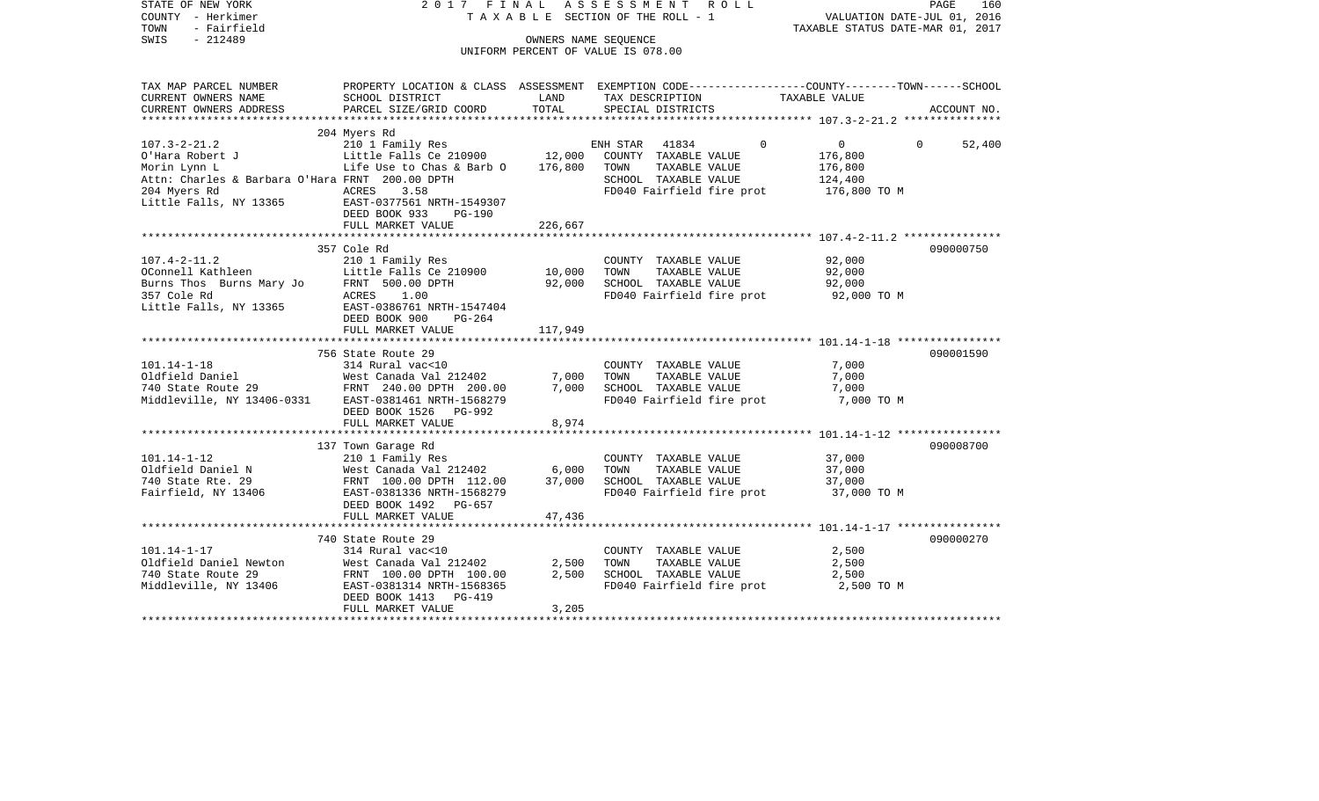| PROPERTY LOCATION & CLASS ASSESSMENT EXEMPTION CODE---------------COUNTY-------TOWN------SCHOOL<br>TAX MAP PARCEL NUMBER<br>CURRENT OWNERS NAME<br>SCHOOL DISTRICT<br>LAND<br>TAX DESCRIPTION<br>TAXABLE VALUE<br>CURRENT OWNERS ADDRESS<br>PARCEL SIZE/GRID COORD<br>TOTAL<br>SPECIAL DISTRICTS<br>ACCOUNT NO.<br>**********************<br>204 Myers Rd | 52,400 |
|-----------------------------------------------------------------------------------------------------------------------------------------------------------------------------------------------------------------------------------------------------------------------------------------------------------------------------------------------------------|--------|
|                                                                                                                                                                                                                                                                                                                                                           |        |
|                                                                                                                                                                                                                                                                                                                                                           |        |
|                                                                                                                                                                                                                                                                                                                                                           |        |
|                                                                                                                                                                                                                                                                                                                                                           |        |
| 210 1 Family Res<br>$107.3 - 2 - 21.2$<br>$\circ$<br>ENH STAR<br>41834<br>0<br>$\overline{0}$                                                                                                                                                                                                                                                             |        |
| Little Falls Ce 210900<br>O'Hara Robert J<br>12,000<br>COUNTY TAXABLE VALUE<br>176,800                                                                                                                                                                                                                                                                    |        |
| Life Use to Chas & Barb O<br>176,800<br>Morin Lynn L<br>TOWN<br>TAXABLE VALUE<br>176,800                                                                                                                                                                                                                                                                  |        |
| Attn: Charles & Barbara O'Hara FRNT 200.00 DPTH<br>SCHOOL TAXABLE VALUE<br>124,400                                                                                                                                                                                                                                                                        |        |
| 204 Myers Rd<br>ACRES<br>3.58<br>FD040 Fairfield fire prot<br>176,800 TO M                                                                                                                                                                                                                                                                                |        |
| Little Falls, NY 13365<br>EAST-0377561 NRTH-1549307                                                                                                                                                                                                                                                                                                       |        |
| DEED BOOK 933<br><b>PG-190</b>                                                                                                                                                                                                                                                                                                                            |        |
| FULL MARKET VALUE<br>226,667<br>***************************<br>**********                                                                                                                                                                                                                                                                                 |        |
| 357 Cole Rd<br>090000750                                                                                                                                                                                                                                                                                                                                  |        |
| $107.4 - 2 - 11.2$<br>210 1 Family Res<br>92,000<br>COUNTY TAXABLE VALUE                                                                                                                                                                                                                                                                                  |        |
| Little Falls Ce 210900<br>10,000<br>TAXABLE VALUE<br>OConnell Kathleen<br>TOWN<br>92,000                                                                                                                                                                                                                                                                  |        |
| FRNT 500.00 DPTH<br>SCHOOL TAXABLE VALUE<br>Burns Thos Burns Mary Jo<br>92,000<br>92,000                                                                                                                                                                                                                                                                  |        |
| 357 Cole Rd<br>1.00<br>FD040 Fairfield fire prot<br>ACRES<br>92,000 TO M                                                                                                                                                                                                                                                                                  |        |
| Little Falls, NY 13365<br>EAST-0386761 NRTH-1547404                                                                                                                                                                                                                                                                                                       |        |
| DEED BOOK 900<br>PG-264                                                                                                                                                                                                                                                                                                                                   |        |
| 117,949<br>FULL MARKET VALUE<br>                                                                                                                                                                                                                                                                                                                          |        |
| 756 State Route 29<br>090001590                                                                                                                                                                                                                                                                                                                           |        |
| $101.14 - 1 - 18$<br>314 Rural vac<10<br>COUNTY TAXABLE VALUE<br>7,000                                                                                                                                                                                                                                                                                    |        |
| Oldfield Daniel<br>West Canada Val 212402<br>7,000<br>TOWN<br>TAXABLE VALUE<br>7,000                                                                                                                                                                                                                                                                      |        |
| 7,000<br>740 State Route 29<br>FRNT 240.00 DPTH 200.00<br>SCHOOL TAXABLE VALUE<br>7,000                                                                                                                                                                                                                                                                   |        |
| Middleville, NY 13406-0331<br>EAST-0381461 NRTH-1568279<br>FD040 Fairfield fire prot<br>7,000 TO M                                                                                                                                                                                                                                                        |        |
| DEED BOOK 1526 PG-992                                                                                                                                                                                                                                                                                                                                     |        |
| FULL MARKET VALUE<br>8,974                                                                                                                                                                                                                                                                                                                                |        |
|                                                                                                                                                                                                                                                                                                                                                           |        |
| 137 Town Garage Rd<br>090008700                                                                                                                                                                                                                                                                                                                           |        |
| $101.14 - 1 - 12$<br>210 1 Family Res<br>37,000<br>COUNTY TAXABLE VALUE                                                                                                                                                                                                                                                                                   |        |
| Oldfield Daniel N<br>West Canada Val 212402<br>6,000<br>TOWN<br>TAXABLE VALUE<br>37,000                                                                                                                                                                                                                                                                   |        |
| 740 State Rte. 29<br>FRNT 100.00 DPTH 112.00<br>37,000<br>SCHOOL TAXABLE VALUE<br>37,000<br>Fairfield, NY 13406<br>FD040 Fairfield fire prot<br>EAST-0381336 NRTH-1568279<br>37,000 TO M                                                                                                                                                                  |        |
| DEED BOOK 1492 PG-657                                                                                                                                                                                                                                                                                                                                     |        |
| FULL MARKET VALUE<br>47,436                                                                                                                                                                                                                                                                                                                               |        |
| ****************************                                                                                                                                                                                                                                                                                                                              |        |
| 090000270<br>740 State Route 29                                                                                                                                                                                                                                                                                                                           |        |
| $101.14 - 1 - 17$<br>314 Rural vac<10<br>COUNTY TAXABLE VALUE<br>2,500                                                                                                                                                                                                                                                                                    |        |
| Oldfield Daniel Newton<br>West Canada Val 212402<br>2,500<br>TOWN<br>TAXABLE VALUE<br>2,500                                                                                                                                                                                                                                                               |        |
| 740 State Route 29<br>FRNT 100.00 DPTH 100.00<br>2,500<br>SCHOOL TAXABLE VALUE<br>2,500                                                                                                                                                                                                                                                                   |        |
| FD040 Fairfield fire prot<br>Middleville, NY 13406<br>EAST-0381314 NRTH-1568365<br>2,500 TO M                                                                                                                                                                                                                                                             |        |
| DEED BOOK 1413<br>PG-419                                                                                                                                                                                                                                                                                                                                  |        |
| 3,205<br>FULL MARKET VALUE                                                                                                                                                                                                                                                                                                                                |        |

PAGE 160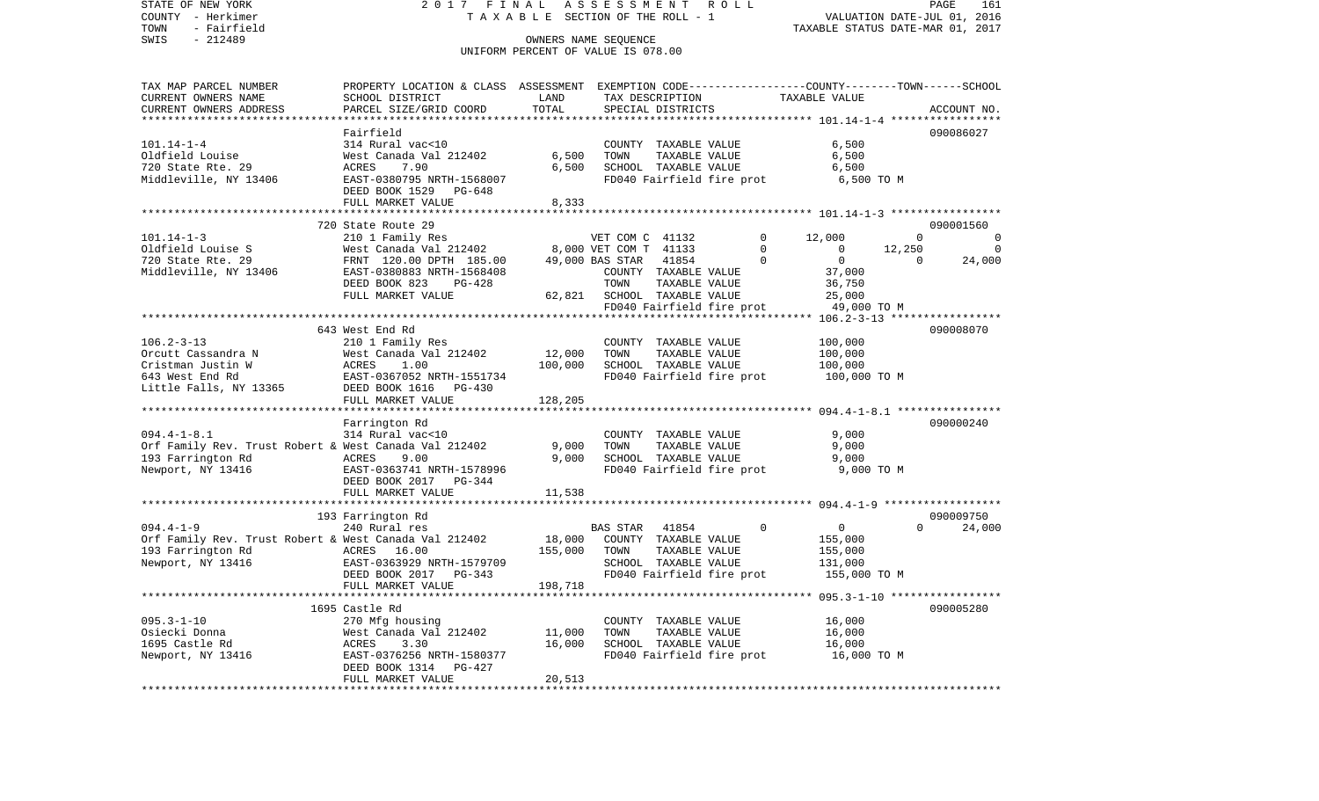COUNTY - Herkimer **T A X A B L E SECTION OF THE ROLL - 1** VALUATION DATE-JUL 01, 2016 TOWN - Fairfield TAXABLE STATUS DATE-MAR 01, 2017 SWIS - 212489 CONNERS NAME SEQUENCE UNIFORM PERCENT OF VALUE IS 078.00TAX MAP PARCEL NUMBER PROPERTY LOCATION & CLASS ASSESSMENT EXEMPTION CODE------------------COUNTY--------TOWN------SCHOOL CURRENT OWNERS NAME SCHOOL DISTRICT LAND TAX DESCRIPTION TAXABLE VALUECURRENT OWNERS ADDRESS PARCEL SIZE/GRID COORD TOTAL SPECIAL DISTRICTS ACCOUNT NO. \*\*\*\*\*\*\*\*\*\*\*\*\*\*\*\*\*\*\*\*\*\*\*\*\*\*\*\*\*\*\*\*\*\*\*\*\*\*\*\*\*\*\*\*\*\*\*\*\*\*\*\*\*\*\*\*\*\*\*\*\*\*\*\*\*\*\*\*\*\*\*\*\*\*\*\*\*\*\*\*\*\*\*\*\*\*\*\*\*\*\*\*\*\*\*\*\*\*\*\*\*\*\* 101.14-1-4 \*\*\*\*\*\*\*\*\*\*\*\*\*\*\*\*\* Fairfield 090086027101.14-1-4 314 Rural vac<10 COUNTY TAXABLE VALUE 6,500 Oldfield Louise West Canada Val 212402 6,500 TOWN TAXABLE VALUE 6,500 720 State Rte. 29 ACRES 7.90 6,500 SCHOOL TAXABLE VALUE 6,500 Middleville, NY 13406 EAST-0380795 NRTH-1568007 FD040 Fairfield fire prot 6,500 TO M DEED BOOK 1529 PG-648FULL MARKET VALUE 8,333 \*\*\*\*\*\*\*\*\*\*\*\*\*\*\*\*\*\*\*\*\*\*\*\*\*\*\*\*\*\*\*\*\*\*\*\*\*\*\*\*\*\*\*\*\*\*\*\*\*\*\*\*\*\*\*\*\*\*\*\*\*\*\*\*\*\*\*\*\*\*\*\*\*\*\*\*\*\*\*\*\*\*\*\*\*\*\*\*\*\*\*\*\*\*\*\*\*\*\*\*\*\*\* 101.14-1-3 \*\*\*\*\*\*\*\*\*\*\*\*\*\*\*\*\* 720 State Route 29 090001560101.14-1-3 210 1 Family Res VET COM C 41132 0 12,000 0 0 Vest Canada Val 212402 8,000 VET COM T 41133 0 0 12,250 0 0 720 State Rte. 29 FRNT 120.00 DPTH 185.00 49,000 BAS STAR 41854 0 0 0 24,000 Middleville, NY 13406 EAST-0380883 NRTH-1568408 COUNTY TAXABLE VALUE 37,000 DEED BOOK 823 PG-428 TOWN TAXABLE VALUE 36,750 FULL MARKET VALUE  $62,821$  SCHOOL TAXABLE VALUE  $25,000$ FD040 Fairfield fire prot 49,000 TO M<br>\*\*\*\*\*\*\*\*\*\*\*\*\*\*\*\*\*\*\*\*\*\*\*\*\*\*\*\*\*\*\*\*\* 106.2-3-13 \*\*\*\*\*\*\*\*\*\*\*\*\*\*\*\*\* \*\*\*\*\*\*\*\*\*\*\*\*\*\*\*\*\*\*\*\*\*\*\*\*\*\*\*\*\*\*\*\*\*\*\*\*\*\*\*\*\*\*\*\*\*\*\*\*\*\*\*\*\*\*\*\*\*\*\*\*\*\*\*\*\*\*\*\*\*\*\*\*\*\*\*\*\*\*\*\*\*\*\*\*\*\*\*\*\*\*\*\*\*\*\*\*\*\*\*\*\*\*\* 106.2-3-13 \*\*\*\*\*\*\*\*\*\*\*\*\*\*\*\*\* 643 West End Rd 090008070106.2-3-13 210 1 Family Res COUNTY TAXABLE VALUE 100,000 Orcutt Cassandra N West Canada Val 212402 12,000 TOWN TAXABLE VALUE 100,000 Cristman Justin W ACRES 1.00 100,000 SCHOOL TAXABLE VALUE 100,000 643 West End Rd EAST-0367052 NRTH-1551734 FD040 Fairfield fire prot 100,000 TO M Little Falls, NY 13365 DEED BOOK 1616 PG-430 FULL MARKET VALUE 128,205 \*\*\*\*\*\*\*\*\*\*\*\*\*\*\*\*\*\*\*\*\*\*\*\*\*\*\*\*\*\*\*\*\*\*\*\*\*\*\*\*\*\*\*\*\*\*\*\*\*\*\*\*\*\*\*\*\*\*\*\*\*\*\*\*\*\*\*\*\*\*\*\*\*\*\*\*\*\*\*\*\*\*\*\*\*\*\*\*\*\*\*\*\*\*\*\*\*\*\*\*\*\*\* 094.4-1-8.1 \*\*\*\*\*\*\*\*\*\*\*\*\*\*\*\* Farrington Rd 090000240 094.4-1-8.1 314 Rural vac<10 COUNTY TAXABLE VALUE 9,000 Orf Family Rev. Trust Robert & West Canada Val 212402 9,000 TOWN TAXABLE VALUE 9,000 193 Farrington Rd ACRES 9.00 9,000 SCHOOL TAXABLE VALUE 9,000 Newport, NY 13416 EAST-0363741 NRTH-1578996 FD040 Fairfield fire prot 9,000 TO M DEED BOOK 2017 PG-344FULL MARKET VALUE 11,538 \*\*\*\*\*\*\*\*\*\*\*\*\*\*\*\*\*\*\*\*\*\*\*\*\*\*\*\*\*\*\*\*\*\*\*\*\*\*\*\*\*\*\*\*\*\*\*\*\*\*\*\*\*\*\*\*\*\*\*\*\*\*\*\*\*\*\*\*\*\*\*\*\*\*\*\*\*\*\*\*\*\*\*\*\*\*\*\*\*\*\*\*\*\*\*\*\*\*\*\*\*\*\* 094.4-1-9 \*\*\*\*\*\*\*\*\*\*\*\*\*\*\*\*\*\* 193 Farrington Rd 090009750 094.4-1-9 240 Rural res BAS STAR 41854 0 0 0 24,000 Orf Family Rev. Trust Robert & West Canada Val 212402 18,000 COUNTY TAXABLE VALUE 155,000<br>193 Farrington Rd 155.000 ACRES 16.00 155.000 TOWN TAXABLE VALUE 155.000 193 Farrington Rd ACRES 16.00 155,000 TOWN Newport, NY 13416 EAST-0363929 NRTH-1579709 SCHOOL TAXABLE VALUE 131,000 DEED BOOK 2017 PG-343 FD040 Fairfield fire prot 155,000 TO M FULL MARKET VALUE 198,718 \*\*\*\*\*\*\*\*\*\*\*\*\*\*\*\*\*\*\*\*\*\*\*\*\*\*\*\*\*\*\*\*\*\*\*\*\*\*\*\*\*\*\*\*\*\*\*\*\*\*\*\*\*\*\*\*\*\*\*\*\*\*\*\*\*\*\*\*\*\*\*\*\*\*\*\*\*\*\*\*\*\*\*\*\*\*\*\*\*\*\*\*\*\*\*\*\*\*\*\*\*\*\* 095.3-1-10 \*\*\*\*\*\*\*\*\*\*\*\*\*\*\*\*\* 1695 Castle Rd 090005280095.3-1-10 270 Mfg housing COUNTY TAXABLE VALUE 16,000 Osiecki Donna West Canada Val 212402 11,000 TOWN TAXABLE VALUE 16,000 1695 Castle Rd ACRES 3.30 16,000 SCHOOL TAXABLE VALUE 16,000 Newport, NY 13416 **EAST-0376256 NRTH-1580377** FD040 Fairfield fire prot 16,000 TO M DEED BOOK 1314 PG-427 FULL MARKET VALUE 20,513 \*\*\*\*\*\*\*\*\*\*\*\*\*\*\*\*\*\*\*\*\*\*\*\*\*\*\*\*\*\*\*\*\*\*\*\*\*\*\*\*\*\*\*\*\*\*\*\*\*\*\*\*\*\*\*\*\*\*\*\*\*\*\*\*\*\*\*\*\*\*\*\*\*\*\*\*\*\*\*\*\*\*\*\*\*\*\*\*\*\*\*\*\*\*\*\*\*\*\*\*\*\*\*\*\*\*\*\*\*\*\*\*\*\*\*\*\*\*\*\*\*\*\*\*\*\*\*\*\*\*\*\*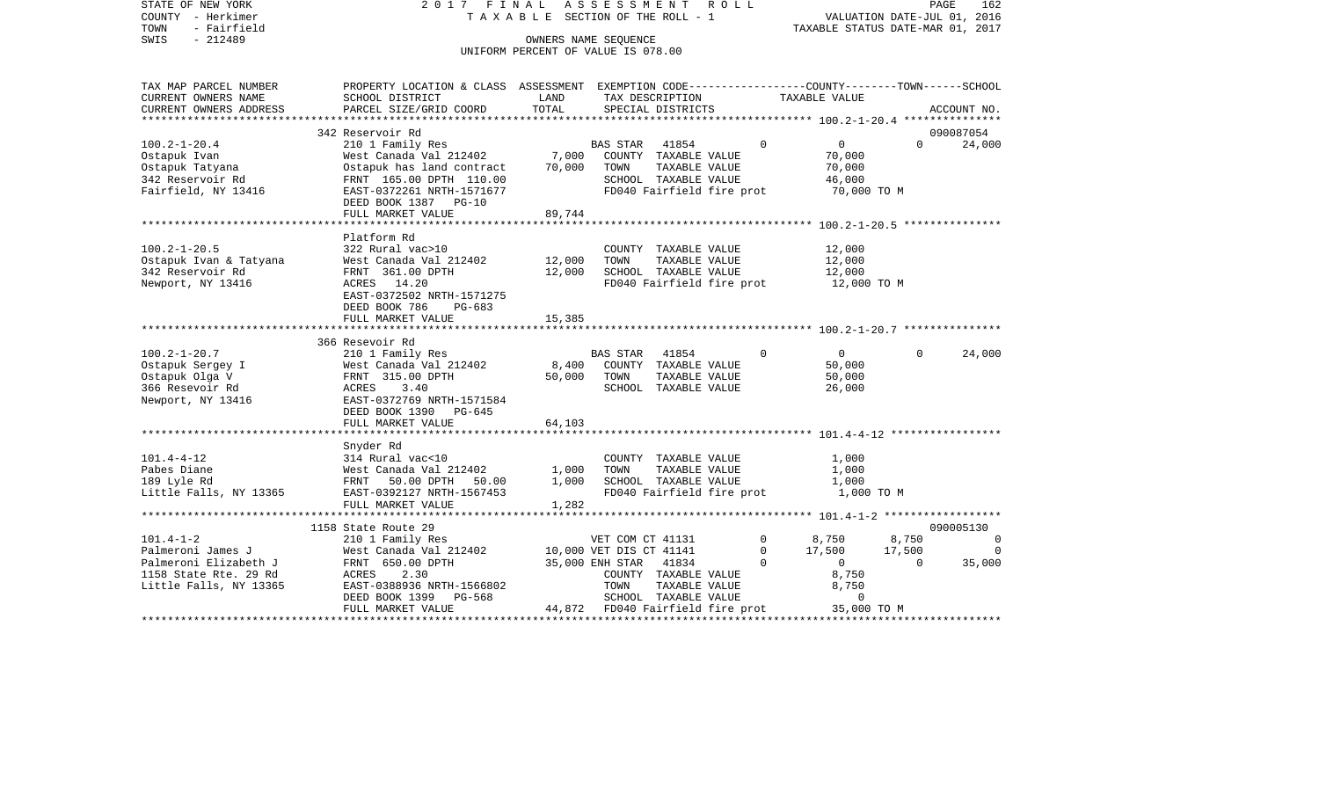| STATE OF NEW YORK<br>COUNTY - Herkimer | 2017 FINAL                                                                                      | TAXABLE SECTION OF THE ROLL - 1    | ASSESSMENT       |                           | ROLL |          |                                  |          | 162<br>PAGE<br>VALUATION DATE-JUL 01, 2016 |
|----------------------------------------|-------------------------------------------------------------------------------------------------|------------------------------------|------------------|---------------------------|------|----------|----------------------------------|----------|--------------------------------------------|
| - Fairfield<br>TOWN                    |                                                                                                 |                                    |                  |                           |      |          | TAXABLE STATUS DATE-MAR 01, 2017 |          |                                            |
| SWIS<br>$-212489$                      |                                                                                                 | OWNERS NAME SEQUENCE               |                  |                           |      |          |                                  |          |                                            |
|                                        |                                                                                                 | UNIFORM PERCENT OF VALUE IS 078.00 |                  |                           |      |          |                                  |          |                                            |
| TAX MAP PARCEL NUMBER                  | PROPERTY LOCATION & CLASS ASSESSMENT EXEMPTION CODE---------------COUNTY-------TOWN------SCHOOL |                                    |                  |                           |      |          |                                  |          |                                            |
| CURRENT OWNERS NAME                    | SCHOOL DISTRICT                                                                                 | LAND                               |                  | TAX DESCRIPTION           |      |          | TAXABLE VALUE                    |          |                                            |
| CURRENT OWNERS ADDRESS                 | PARCEL SIZE/GRID COORD                                                                          | TOTAL                              |                  | SPECIAL DISTRICTS         |      |          |                                  |          | ACCOUNT NO.                                |
| ***********************                |                                                                                                 |                                    |                  |                           |      |          |                                  |          |                                            |
|                                        | 342 Reservoir Rd                                                                                |                                    |                  |                           |      |          |                                  |          | 090087054                                  |
| $100.2 - 1 - 20.4$                     | 210 1 Family Res                                                                                |                                    | <b>BAS STAR</b>  | 41854                     |      | 0        | $\mathsf{O}$                     | $\Omega$ | 24,000                                     |
| Ostapuk Ivan                           | West Canada Val 212402                                                                          | 7,000                              | COUNTY           | TAXABLE VALUE             |      |          | 70,000                           |          |                                            |
| Ostapuk Tatyana                        | Ostapuk has land contract                                                                       | 70,000                             | TOWN             | TAXABLE VALUE             |      |          | 70,000                           |          |                                            |
| 342 Reservoir Rd                       | FRNT 165.00 DPTH 110.00                                                                         |                                    |                  | SCHOOL TAXABLE VALUE      |      |          | 46,000                           |          |                                            |
| Fairfield, NY 13416                    | EAST-0372261 NRTH-1571677                                                                       |                                    |                  | FD040 Fairfield fire prot |      |          | 70,000 TO M                      |          |                                            |
|                                        | DEED BOOK 1387<br>PG-10                                                                         |                                    |                  |                           |      |          |                                  |          |                                            |
|                                        | FULL MARKET VALUE                                                                               | 89,744                             |                  |                           |      |          |                                  |          |                                            |
|                                        | *********************                                                                           |                                    |                  |                           |      |          |                                  |          |                                            |
|                                        | Platform Rd                                                                                     |                                    |                  |                           |      |          |                                  |          |                                            |
| $100.2 - 1 - 20.5$                     | 322 Rural vac>10                                                                                |                                    |                  | COUNTY TAXABLE VALUE      |      |          | 12,000                           |          |                                            |
| Ostapuk Ivan & Tatyana                 | West Canada Val 212402                                                                          | 12,000                             | TOWN             | TAXABLE VALUE             |      |          | 12,000                           |          |                                            |
| 342 Reservoir Rd                       | FRNT 361.00 DPTH                                                                                | 12,000                             |                  | SCHOOL TAXABLE VALUE      |      |          | 12,000                           |          |                                            |
| Newport, NY 13416                      | 14.20<br>ACRES                                                                                  |                                    |                  | FD040 Fairfield fire prot |      |          | 12,000 TO M                      |          |                                            |
|                                        | EAST-0372502 NRTH-1571275                                                                       |                                    |                  |                           |      |          |                                  |          |                                            |
|                                        | DEED BOOK 786<br>$PG-683$                                                                       |                                    |                  |                           |      |          |                                  |          |                                            |
|                                        | FULL MARKET VALUE                                                                               | 15,385                             |                  |                           |      |          |                                  |          |                                            |
|                                        | ***********************                                                                         |                                    |                  |                           |      |          |                                  |          |                                            |
|                                        | 366 Resevoir Rd                                                                                 |                                    |                  |                           |      |          |                                  |          |                                            |
| $100.2 - 1 - 20.7$                     | 210 1 Family Res                                                                                |                                    | <b>BAS STAR</b>  | 41854                     |      | $\Omega$ | $\mathbf 0$                      | $\Omega$ | 24,000                                     |
| Ostapuk Sergey I                       | West Canada Val 212402                                                                          | 8,400                              | <b>COUNTY</b>    | TAXABLE VALUE             |      |          | 50,000                           |          |                                            |
| Ostapuk Olga V                         | FRNT 315.00 DPTH                                                                                | 50,000                             | TOWN             | TAXABLE VALUE             |      |          | 50,000                           |          |                                            |
| 366 Resevoir Rd                        | ACRES<br>3.40                                                                                   |                                    |                  | SCHOOL TAXABLE VALUE      |      |          | 26,000                           |          |                                            |
| Newport, NY 13416                      | EAST-0372769 NRTH-1571584                                                                       |                                    |                  |                           |      |          |                                  |          |                                            |
|                                        | DEED BOOK 1390<br>PG-645                                                                        |                                    |                  |                           |      |          |                                  |          |                                            |
|                                        | FULL MARKET VALUE                                                                               | 64,103                             |                  |                           |      |          |                                  |          |                                            |
|                                        |                                                                                                 |                                    |                  |                           |      |          |                                  |          |                                            |
|                                        | Snyder Rd                                                                                       |                                    |                  |                           |      |          |                                  |          |                                            |
| $101.4 - 4 - 12$                       | 314 Rural vac<10                                                                                |                                    | COUNTY           | TAXABLE VALUE             |      |          | 1,000                            |          |                                            |
| Pabes Diane                            | West Canada Val 212402                                                                          | 1,000                              | TOWN             | TAXABLE VALUE             |      |          | 1,000                            |          |                                            |
| 189 Lyle Rd                            | 50.00 DPTH<br>FRNT<br>50.00                                                                     | 1,000                              |                  | SCHOOL TAXABLE VALUE      |      |          | 1,000                            |          |                                            |
| Little Falls, NY 13365                 | EAST-0392127 NRTH-1567453                                                                       |                                    |                  | FD040 Fairfield fire prot |      |          | 1,000 TO M                       |          |                                            |
|                                        | FULL MARKET VALUE<br>*************************                                                  | 1,282                              |                  |                           |      |          |                                  |          |                                            |
|                                        | 1158 State Route 29                                                                             |                                    |                  |                           |      |          |                                  |          | 090005130                                  |
| $101.4 - 1 - 2$                        | 210 1 Family Res                                                                                |                                    | VET COM CT 41131 |                           |      | 0        | 8,750                            | 8,750    | 0                                          |
|                                        |                                                                                                 |                                    |                  |                           |      |          |                                  |          |                                            |

Palmeroni James J West Canada Val 212402 10,000 VET DIS CT 41141 0 17,500 17,500 0 Palmeroni Elizabeth J FRNT 650.00 DPTH 35,000 ENH STAR 41834 0 0 0 35,000

FULL MARKET VALUE 44,872 FD040 Fairfield fire prot \*\*\*\*\*\*\*\*\*\*\*\*\*\*\*\*\*\*\*\*\*\*\*\*\*\*\*\*\*\*\*\*\*\*\*\*\*\*\*\*\*\*\*\*\*\*\*\*\*\*\*\*\*\*\*\*\*\*\*\*\*\*\*\*\*\*\*\*\*\*\*\*\*\*\*\*\*\*\*\*\*\*\*\*\*\*\*\*\*\*\*\*\*\*\*\*\*\*\*\*\*\*\*\*\*\*\*\*\*\*\*\*\*\*\*\*\*\*\*\*\*\*\*\*\*\*\*\*\*\*\*\*

DEED BOOK 1399 PG-568 SCHOOL TAXABLE VALUE 0

35,000 TO M

1158 State Rte. 29 Rd ACRES 2.30 COUNTY TAXABLE VALUE 8,750 Little Falls, NY 13365 **EAST-0388936 NRTH-1566802** TOWN TAXABLE VALUE 8,750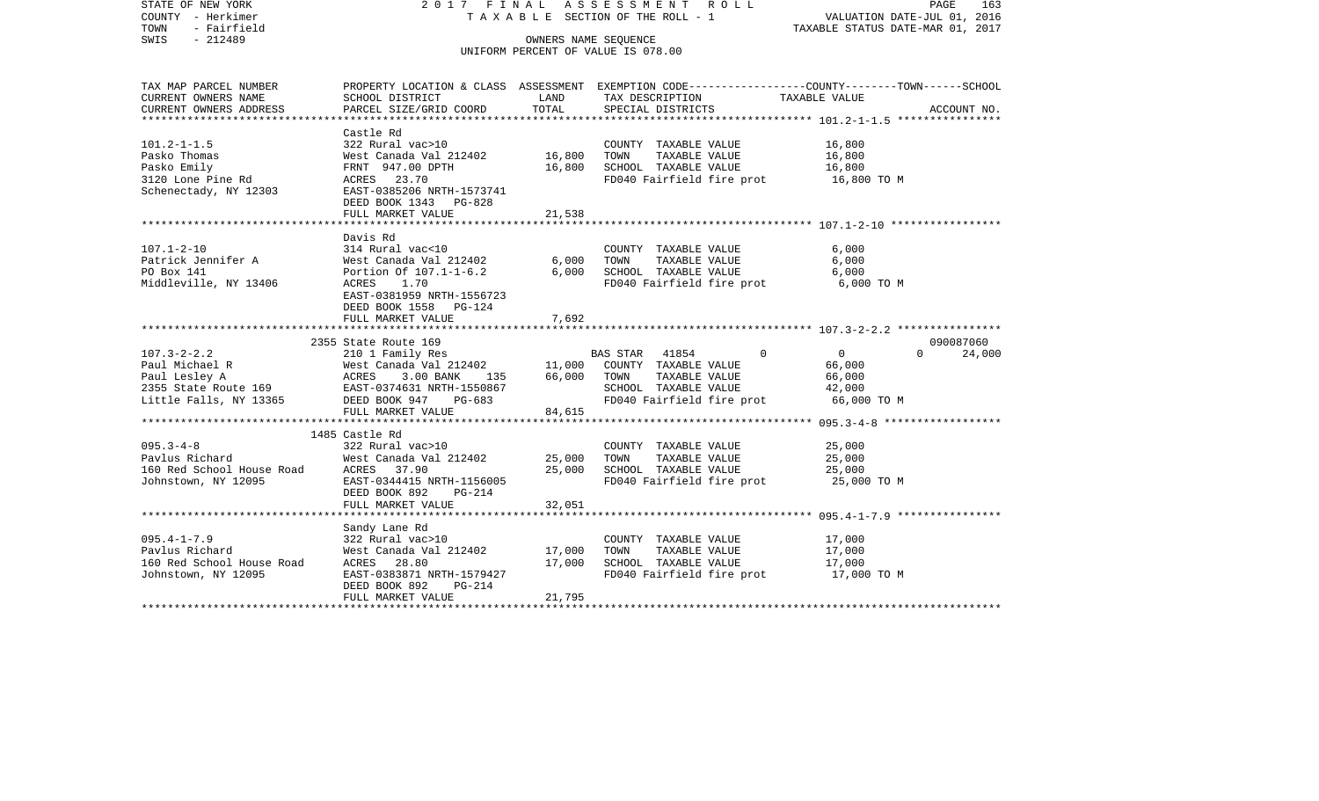| STATE OF NEW YORK<br>COUNTY - Herkimer<br>TOWN<br>- Fairfield<br>SWIS<br>$-212489$ | 2017 FINAL                                         |                  | ASSESSMENT ROLL<br>TAXABLE SECTION OF THE ROLL - 1<br>OWNERS NAME SEQUENCE<br>UNIFORM PERCENT OF VALUE IS 078.00 | PAGE<br>163<br>VALUATION DATE-JUL 01, 2016<br>TAXABLE STATUS DATE-MAR 01, 2017                                    |
|------------------------------------------------------------------------------------|----------------------------------------------------|------------------|------------------------------------------------------------------------------------------------------------------|-------------------------------------------------------------------------------------------------------------------|
| TAX MAP PARCEL NUMBER<br>CURRENT OWNERS NAME                                       | SCHOOL DISTRICT                                    | LAND             | TAX DESCRIPTION                                                                                                  | PROPERTY LOCATION & CLASS ASSESSMENT EXEMPTION CODE----------------COUNTY-------TOWN------SCHOOL<br>TAXABLE VALUE |
| CURRENT OWNERS ADDRESS                                                             | PARCEL SIZE/GRID COORD                             | TOTAL            | SPECIAL DISTRICTS                                                                                                | ACCOUNT NO.                                                                                                       |
|                                                                                    |                                                    |                  |                                                                                                                  |                                                                                                                   |
|                                                                                    | Castle Rd                                          |                  |                                                                                                                  |                                                                                                                   |
| $101.2 - 1 - 1.5$                                                                  | 322 Rural vac>10                                   |                  | COUNTY TAXABLE VALUE                                                                                             | 16,800                                                                                                            |
| Pasko Thomas<br>Pasko Emily                                                        | West Canada Val 212402<br>FRNT 947.00 DPTH         | 16,800<br>16,800 | TOWN<br>TAXABLE VALUE<br>SCHOOL TAXABLE VALUE                                                                    | 16,800<br>16,800                                                                                                  |
| 3120 Lone Pine Rd                                                                  | ACRES 23.70                                        |                  | FD040 Fairfield fire prot                                                                                        | 16,800 TO M                                                                                                       |
| Schenectady, NY 12303                                                              | EAST-0385206 NRTH-1573741<br>DEED BOOK 1343 PG-828 |                  |                                                                                                                  |                                                                                                                   |
|                                                                                    | FULL MARKET VALUE                                  | 21,538           |                                                                                                                  |                                                                                                                   |
|                                                                                    |                                                    |                  |                                                                                                                  |                                                                                                                   |
|                                                                                    | Davis Rd                                           |                  |                                                                                                                  |                                                                                                                   |
| $107.1 - 2 - 10$                                                                   | 314 Rural vac<10                                   |                  | COUNTY TAXABLE VALUE                                                                                             | 6,000                                                                                                             |
| Patrick Jennifer A                                                                 | West Canada Val 212402<br>Portion Of 107.1-1-6.2   | 6,000            | TOWN TAXABLE VALUE                                                                                               | 6,000                                                                                                             |
| PO Box 141<br>Middleville, NY 13406                                                | ACRES 1.70                                         | 6,000            | SCHOOL TAXABLE VALUE                                                                                             | 6,000<br>6,000 TO M                                                                                               |
|                                                                                    | EAST-0381959 NRTH-1556723                          |                  | FD040 Fairfield fire prot                                                                                        |                                                                                                                   |
|                                                                                    | DEED BOOK 1558 PG-124                              |                  |                                                                                                                  |                                                                                                                   |
|                                                                                    | FULL MARKET VALUE                                  | 7,692            |                                                                                                                  |                                                                                                                   |
|                                                                                    |                                                    |                  |                                                                                                                  |                                                                                                                   |
|                                                                                    | 2355 State Route 169                               |                  |                                                                                                                  | 090087060                                                                                                         |
| $107.3 - 2 - 2.2$                                                                  | 210 1 Family Res                                   |                  | BAS STAR 41854<br>$\Omega$                                                                                       | $\overline{0}$<br>$\Omega$<br>24,000                                                                              |
|                                                                                    |                                                    |                  |                                                                                                                  | 66,000                                                                                                            |
|                                                                                    |                                                    |                  | SCHOOL TAXABLE VALUE                                                                                             | 66,000<br>42,000                                                                                                  |
|                                                                                    |                                                    |                  | FD040 Fairfield fire prot                                                                                        | 66,000 TO M                                                                                                       |
|                                                                                    | FULL MARKET VALUE                                  | 84,615           |                                                                                                                  |                                                                                                                   |
|                                                                                    |                                                    |                  |                                                                                                                  |                                                                                                                   |
|                                                                                    | 1485 Castle Rd                                     |                  |                                                                                                                  |                                                                                                                   |
|                                                                                    | 322 Rural vac>10                                   |                  | COUNTY TAXABLE VALUE                                                                                             | 25,000                                                                                                            |
|                                                                                    |                                                    | 25,000           | TOWN TAXABLE VALUE                                                                                               | 25,000                                                                                                            |
|                                                                                    |                                                    | 25,000           | SCHOOL TAXABLE VALUE                                                                                             | 25,000                                                                                                            |
|                                                                                    |                                                    |                  | FD040 Fairfield fire prot                                                                                        | 25,000 TO M                                                                                                       |
|                                                                                    |                                                    |                  |                                                                                                                  |                                                                                                                   |
|                                                                                    | FULL MARKET VALUE                                  | 32,051           |                                                                                                                  |                                                                                                                   |
|                                                                                    | Sandy Lane Rd                                      |                  |                                                                                                                  |                                                                                                                   |
| $095.4 - 1 - 7.9$                                                                  | 322 Rural vac>10                                   |                  | COUNTY TAXABLE VALUE                                                                                             | 17,000                                                                                                            |
| Pavlus Richard                                                                     | West Canada Val 212402                             | 17,000           | TAXABLE VALUE<br>TOWN                                                                                            | 17,000                                                                                                            |
| 160 Red School House Road                                                          | ACRES 28.80                                        | 17,000           | SCHOOL TAXABLE VALUE                                                                                             | 17,000                                                                                                            |
| Johnstown, NY 12095                                                                | EAST-0383871 NRTH-1579427                          |                  | FD040 Fairfield fire prot 17,000 TO M                                                                            |                                                                                                                   |
|                                                                                    | DEED BOOK 892<br>PG-214                            |                  |                                                                                                                  |                                                                                                                   |
|                                                                                    | FULL MARKET VALUE                                  | 21,795           |                                                                                                                  |                                                                                                                   |
|                                                                                    |                                                    |                  |                                                                                                                  |                                                                                                                   |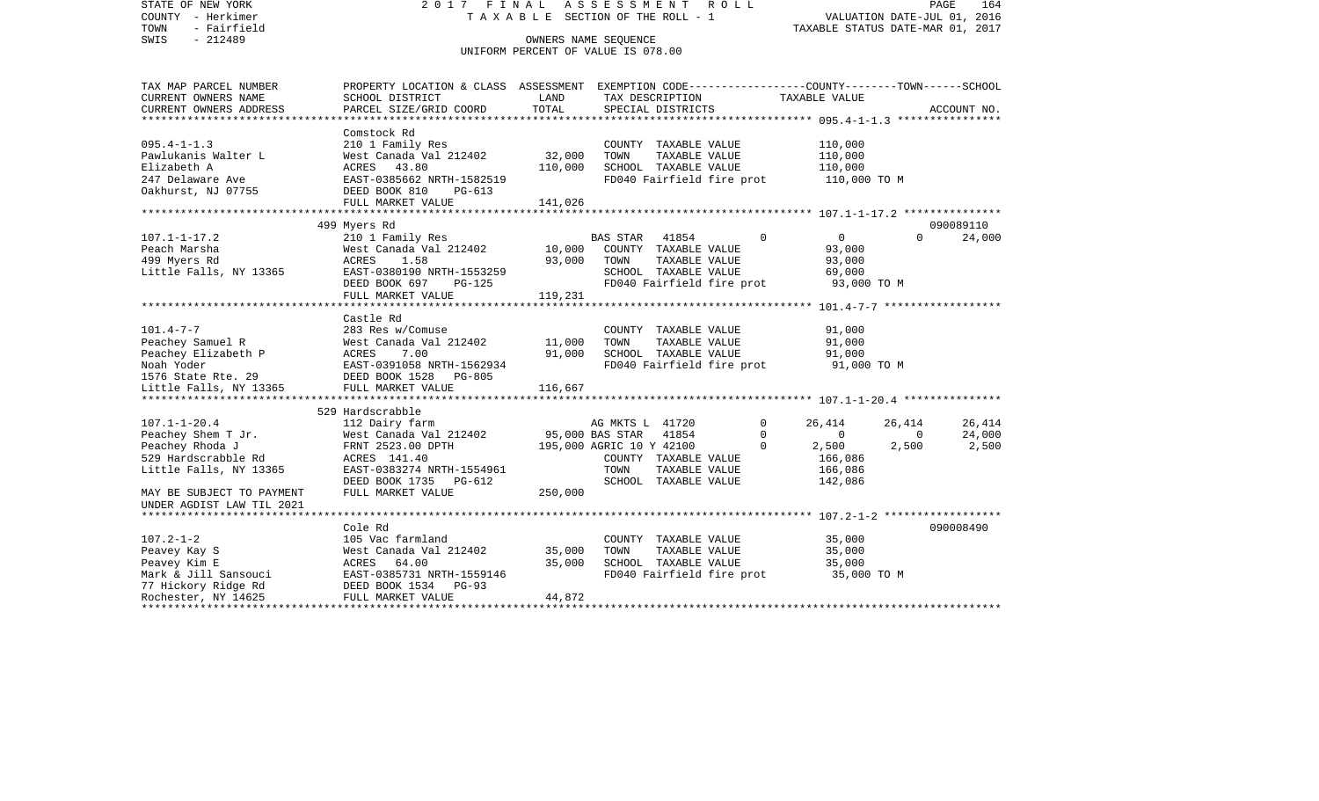STATE OF NEW YORK 2 0 1 7 F I N A L A S S E S S M E N T R O L L PAGE 164VALUATION DATE-JUL 01, 2016 COUNTY - Herkimer T A X A B L E SECTION OF THE ROLL - 1 TOWN - Fairfield TAXABLE STATUS DATE-MAR 01, 2017 SWIS - 212489 OWNERS NAME SEQUENCE UNIFORM PERCENT OF VALUE IS 078.00TAX MAP PARCEL NUMBER PROPERTY LOCATION & CLASS ASSESSMENT EXEMPTION CODE------------------COUNTY--------TOWN------SCHOOL CURRENT OWNERS NAME SCHOOL DISTRICT LAND TAX DESCRIPTION TAXABLE VALUECURRENT OWNERS ADDRESS PARCEL SIZE/GRID COORD TOTAL SPECIAL DISTRICTS ACCOUNT NO. \*\*\*\*\*\*\*\*\*\*\*\*\*\*\*\*\*\*\*\*\*\*\*\*\*\*\*\*\*\*\*\*\*\*\*\*\*\*\*\*\*\*\*\*\*\*\*\*\*\*\*\*\*\*\*\*\*\*\*\*\*\*\*\*\*\*\*\*\*\*\*\*\*\*\*\*\*\*\*\*\*\*\*\*\*\*\*\*\*\*\*\*\*\*\*\*\*\*\*\*\*\*\* 095.4-1-1.3 \*\*\*\*\*\*\*\*\*\*\*\*\*\*\*\* Comstock Rd 095.4-1-1.3 210 1 Family Res COUNTY TAXABLE VALUE 110,000 Pawlukanis Walter L West Canada Val 212402 32,000 TOWN TAXABLE VALUE 110,000 Elizabeth A ACRES 43.80 110,000 SCHOOL TAXABLE VALUE 110,000 247 Delaware Ave EAST-0385662 NRTH-1582519 FD040 Fairfield fire prot 110,000 TO M<br>Oakhurst, NJ 07755 DEED BOOK 810 PG-613 DEED BOOK 810 PG-613 FULL MARKET VALUE 141,026 \*\*\*\*\*\*\*\*\*\*\*\*\*\*\*\*\*\*\*\*\*\*\*\*\*\*\*\*\*\*\*\*\*\*\*\*\*\*\*\*\*\*\*\*\*\*\*\*\*\*\*\*\*\*\*\*\*\*\*\*\*\*\*\*\*\*\*\*\*\*\*\*\*\*\*\*\*\*\*\*\*\*\*\*\*\*\*\*\*\*\*\*\*\*\*\*\*\*\*\*\*\*\* 107.1-1-17.2 \*\*\*\*\*\*\*\*\*\*\*\*\*\*\* 499 Myers Rd 090089110 107.1-1-17.2 210 1 Family Res BAS STAR 41854 0 0 0 24,000 Peach Marsha West Canada Val 212402 10,000 COUNTY TAXABLE VALUE 93,000 499 Myers Rd ACRES 1.58 93,000 TOWN TAXABLE VALUE 93,000 Little Falls, NY 13365 EAST-0380190 NRTH-1553259 SCHOOL TAXABLE VALUE 69,000 DEED BOOK 697 PG-125 FD040 Fairfield fire prot 93,000 TO M FULL MARKET VALUE 119,231 \*\*\*\*\*\*\*\*\*\*\*\*\*\*\*\*\*\*\*\*\*\*\*\*\*\*\*\*\*\*\*\*\*\*\*\*\*\*\*\*\*\*\*\*\*\*\*\*\*\*\*\*\*\*\*\*\*\*\*\*\*\*\*\*\*\*\*\*\*\*\*\*\*\*\*\*\*\*\*\*\*\*\*\*\*\*\*\*\*\*\*\*\*\*\*\*\*\*\*\*\*\*\* 101.4-7-7 \*\*\*\*\*\*\*\*\*\*\*\*\*\*\*\*\*\* Castle Rd101.4-7-7 283 Res w/Comuse COUNTY TAXABLE VALUE 91,000 Peachey Samuel R 61,000 West Canada Val 212402 11,000 TOWN TAXABLE VALUE 91,000 Peachey Elizabeth P ACRES 7.00 91,000 SCHOOL TAXABLE VALUE 91,000 Noah Yoder EAST-0391058 NRTH-1562934 FD040 Fairfield fire prot 91,000 TO M 1576 State Rte. 29 DEED BOOK 1528 PG-805Little Falls, NY 13365 FULL MARKET VALUE 116,667 \*\*\*\*\*\*\*\*\*\*\*\*\*\*\*\*\*\*\*\*\*\*\*\*\*\*\*\*\*\*\*\*\*\*\*\*\*\*\*\*\*\*\*\*\*\*\*\*\*\*\*\*\*\*\*\*\*\*\*\*\*\*\*\*\*\*\*\*\*\*\*\*\*\*\*\*\*\*\*\*\*\*\*\*\*\*\*\*\*\*\*\*\*\*\*\*\*\*\*\*\*\*\* 107.1-1-20.4 \*\*\*\*\*\*\*\*\*\*\*\*\*\*\* 529 Hardscrabble107.1-1-20.4 112 Dairy farm AG MKTS L 41720 0 26,414 26,414 26,414 Peachey Shem T Jr. West Canada Val 212402 95,000 BAS STAR 41854 0 0 0 24,000 Peachey Rhoda J **FRNT 2523.00 DPTH** 195,000 AGRIC 10 Y 42100 0 2,500 2,500 2,500 2,500 529 Hardscrabble Rd ACRES 141.40 COUNTY TAXABLE VALUE 166,086 Little Falls, NY 13365 EAST-0383274 NRTH-1554961 TOWN TAXABLE VALUE 166,086 DEED BOOK 1735 PG-612 SCHOOL TAXABLE VALUE 142,086 MAY BE SUBJECT TO PAYMENT FULL MARKET VALUE 250,000 UNDER AGDIST LAW TIL 2021 \*\*\*\*\*\*\*\*\*\*\*\*\*\*\*\*\*\*\*\*\*\*\*\*\*\*\*\*\*\*\*\*\*\*\*\*\*\*\*\*\*\*\*\*\*\*\*\*\*\*\*\*\*\*\*\*\*\*\*\*\*\*\*\*\*\*\*\*\*\*\*\*\*\*\*\*\*\*\*\*\*\*\*\*\*\*\*\*\*\*\*\*\*\*\*\*\*\*\*\*\*\*\* 107.2-1-2 \*\*\*\*\*\*\*\*\*\*\*\*\*\*\*\*\*\* Cole Rd 090008490107.2-1-2 105 Vac farmland COUNTY TAXABLE VALUE 35,000 Peavey Kay S West Canada Val 212402 35,000 TOWN TAXABLE VALUE 35,000 Peavey Kim E ACRES 64.00 35,000 SCHOOL TAXABLE VALUE 35,000 Mark & Jill Sansouci **EAST-0385731 NRTH-1559146** FD040 Fairfield fire prot 35,000 TO M 77 Hickory Ridge Rd DEED BOOK 1534 PG-93 Rochester, NY 14625 FULL MARKET VALUE 44,872 \*\*\*\*\*\*\*\*\*\*\*\*\*\*\*\*\*\*\*\*\*\*\*\*\*\*\*\*\*\*\*\*\*\*\*\*\*\*\*\*\*\*\*\*\*\*\*\*\*\*\*\*\*\*\*\*\*\*\*\*\*\*\*\*\*\*\*\*\*\*\*\*\*\*\*\*\*\*\*\*\*\*\*\*\*\*\*\*\*\*\*\*\*\*\*\*\*\*\*\*\*\*\*\*\*\*\*\*\*\*\*\*\*\*\*\*\*\*\*\*\*\*\*\*\*\*\*\*\*\*\*\*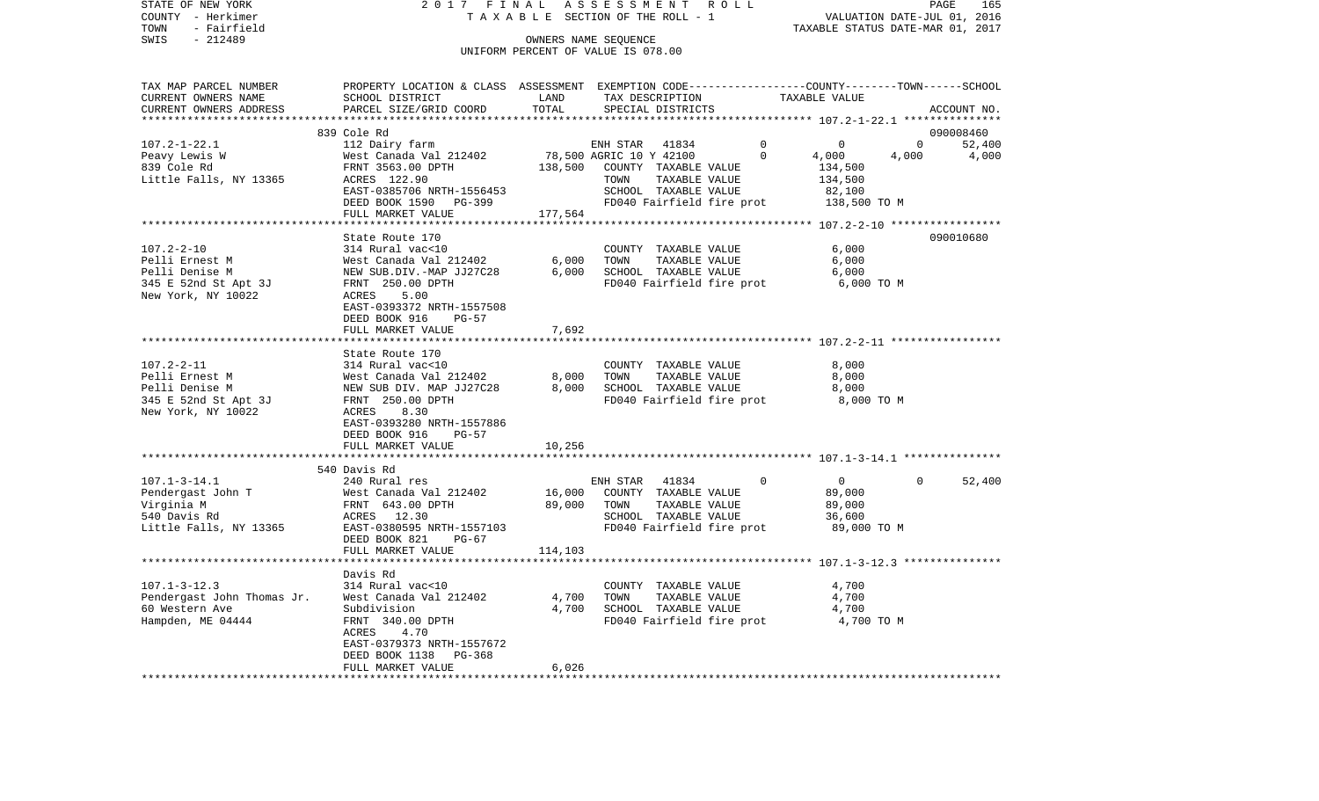| STATE OF NEW YORK          |                                                                                                                                                                                                                                    |             | 2017 FINAL ASSESSMENT ROLL                                        |                                  | PAGE           | 165           |
|----------------------------|------------------------------------------------------------------------------------------------------------------------------------------------------------------------------------------------------------------------------------|-------------|-------------------------------------------------------------------|----------------------------------|----------------|---------------|
| COUNTY - Herkimer          |                                                                                                                                                                                                                                    |             | TAXABLE SECTION OF THE ROLL - 1                                   | VALUATION DATE-JUL 01, 2016      |                |               |
| TOWN - Fairfield           |                                                                                                                                                                                                                                    |             |                                                                   | TAXABLE STATUS DATE-MAR 01, 2017 |                |               |
| $-212489$<br>SWIS          |                                                                                                                                                                                                                                    |             | OWNERS NAME SEQUENCE                                              |                                  |                |               |
|                            |                                                                                                                                                                                                                                    |             | UNIFORM PERCENT OF VALUE IS 078.00                                |                                  |                |               |
|                            | TAX MAP PARCEL NUMBER      PROPERTY LOCATION & CLASS ASSESSMENT EXEMPTION CODE--------------COUNTY-------TOWN------SCHOOL                                                                                                          |             |                                                                   |                                  |                |               |
| CURRENT OWNERS NAME        | SCHOOL DISTRICT                                                                                                                                                                                                                    | <b>LAND</b> | TAX DESCRIPTION TAXABLE VALUE                                     |                                  |                |               |
|                            | CURRENT OWNERS ADDRESS FARCEL SIZE/GRID COORD                                                                                                                                                                                      | TOTAL       | SPECIAL DISTRICTS                                                 |                                  |                | ACCOUNT NO.   |
|                            |                                                                                                                                                                                                                                    |             |                                                                   |                                  |                |               |
|                            | 1999 - 1999 - 1999 - 1999 - 1999 - 1999 - 1999 - 1999 - 1999 - 1999 - 1999 - 1999 - 1999 - 1999 - 1999 - 1999<br>1999 Cole Rd FRNT 3563.00 DPTH 138,500 COUNTY TAXABLE VALUE 134,500<br>138,500 COUNTY TAXABLE VALUE 134,500 - 134 |             |                                                                   |                                  |                | 090008460     |
|                            |                                                                                                                                                                                                                                    |             |                                                                   |                                  |                | $0 \t 52,400$ |
|                            |                                                                                                                                                                                                                                    |             |                                                                   | 4,000 4,000                      |                | 4,000         |
|                            |                                                                                                                                                                                                                                    |             |                                                                   |                                  |                |               |
|                            |                                                                                                                                                                                                                                    |             |                                                                   |                                  |                |               |
|                            |                                                                                                                                                                                                                                    |             |                                                                   |                                  |                |               |
|                            |                                                                                                                                                                                                                                    |             |                                                                   |                                  |                |               |
|                            | FULL MARKET VALUE                                                                                                                                                                                                                  | 177,564     |                                                                   |                                  |                |               |
|                            |                                                                                                                                                                                                                                    |             |                                                                   |                                  |                |               |
|                            | State Route 170                                                                                                                                                                                                                    |             |                                                                   |                                  |                | 090010680     |
| $107.2 - 2 - 10$           | State Route 170<br>314 Rural vac<10                                                                                                                                                                                                |             | COUNTY TAXABLE VALUE 6,000                                        |                                  |                |               |
|                            |                                                                                                                                                                                                                                    |             | TAXABLE VALUE<br>TAXABLE VALUE                                    | 6,000                            |                |               |
|                            |                                                                                                                                                                                                                                    |             |                                                                   | 6,000                            |                |               |
|                            |                                                                                                                                                                                                                                    |             | FD040 Fairfield fire prot 6,000 TO M                              |                                  |                |               |
|                            |                                                                                                                                                                                                                                    |             |                                                                   |                                  |                |               |
|                            | EAST-0393372 NRTH-1557508                                                                                                                                                                                                          |             |                                                                   |                                  |                |               |
|                            | DEED BOOK 916 PG-57                                                                                                                                                                                                                |             |                                                                   |                                  |                |               |
|                            | FULL MARKET VALUE                                                                                                                                                                                                                  | 7,692       |                                                                   |                                  |                |               |
|                            |                                                                                                                                                                                                                                    |             |                                                                   |                                  |                |               |
|                            | State Route 170                                                                                                                                                                                                                    |             |                                                                   |                                  |                |               |
|                            |                                                                                                                                                                                                                                    |             | COUNTY TAXABLE VALUE                                              | 8,000                            |                |               |
|                            |                                                                                                                                                                                                                                    |             | TOWN      TAXABLE VALUE<br>SCHOOL   TAXABLE VALUE                 | 8,000                            |                |               |
|                            | 107.2-2-11<br>Pelli Ernest M 314 Rural vac<br><10<br>Pelli Denise M Mest Canada Val 212402 8,000<br>Pelli Denise M MEW SUB DIV. MAP JJ27C28 8,000<br>                                                                              |             |                                                                   | 8,000                            |                |               |
|                            |                                                                                                                                                                                                                                    |             | FD040 Fairfield fire prot 8,000 TO M                              |                                  |                |               |
|                            |                                                                                                                                                                                                                                    |             |                                                                   |                                  |                |               |
|                            | EAST-0393280 NRTH-1557886                                                                                                                                                                                                          |             |                                                                   |                                  |                |               |
|                            | DEED BOOK 916<br>PG-57                                                                                                                                                                                                             |             |                                                                   |                                  |                |               |
|                            | FULL MARKET VALUE                                                                                                                                                                                                                  | 10,256      |                                                                   |                                  |                |               |
|                            |                                                                                                                                                                                                                                    |             |                                                                   |                                  |                |               |
|                            | 540 Davis Rd                                                                                                                                                                                                                       |             |                                                                   |                                  |                |               |
|                            |                                                                                                                                                                                                                                    |             | ENH STAR 41834<br>16,000 COUNTY TAXABLE VALUE<br>ENH STAR 41834 0 | $\overline{0}$                   | $\overline{0}$ | 52,400        |
|                            | 107.1-3-14.1 240 Rural res<br>Pendergast John T West Canada Val 212402<br>Virginia M FRNT 643.00 DPTH<br>540 Davis Rd RCRES 12.30<br>540 Davis Rd RCRES 12.30                                                                      |             |                                                                   | 89,000                           |                |               |
|                            |                                                                                                                                                                                                                                    | 89,000 TOWN | TAXABLE VALUE                                                     | 89,000                           |                |               |
|                            |                                                                                                                                                                                                                                    |             | SCHOOL TAXABLE VALUE                                              | 36,600                           |                |               |
|                            |                                                                                                                                                                                                                                    |             |                                                                   |                                  |                |               |
|                            | DEED BOOK 821<br>$PG-67$                                                                                                                                                                                                           |             |                                                                   |                                  |                |               |
|                            |                                                                                                                                                                                                                                    |             |                                                                   |                                  |                |               |
|                            | FULL MARKET VALUE                                                                                                                                                                                                                  | 114, 103    |                                                                   |                                  |                |               |
|                            |                                                                                                                                                                                                                                    |             |                                                                   |                                  |                |               |
|                            | Davis Rd                                                                                                                                                                                                                           |             |                                                                   |                                  |                |               |
| $107.1 - 3 - 12.3$         | 314 Rural vac<10                                                                                                                                                                                                                   |             | COUNTY TAXABLE VALUE                                              | 4,700                            |                |               |
| Pendergast John Thomas Jr. | West Canada Val 212402                                                                                                                                                                                                             | 4,700       | TOWN<br>TAXABLE VALUE                                             | 4,700                            |                |               |
| 60 Western Ave             | Subdivision                                                                                                                                                                                                                        | 4,700       | SCHOOL TAXABLE VALUE                                              | 4,700                            |                |               |
| Hampden, ME 04444          | FRNT 340.00 DPTH                                                                                                                                                                                                                   |             | FD040 Fairfield fire prot                                         | 4,700 TO M                       |                |               |
|                            | 4.70<br>ACRES                                                                                                                                                                                                                      |             |                                                                   |                                  |                |               |
|                            | EAST-0379373 NRTH-1557672                                                                                                                                                                                                          |             |                                                                   |                                  |                |               |
|                            | DEED BOOK 1138<br>PG-368<br>FULL MARKET VALUE                                                                                                                                                                                      | 6,026       |                                                                   |                                  |                |               |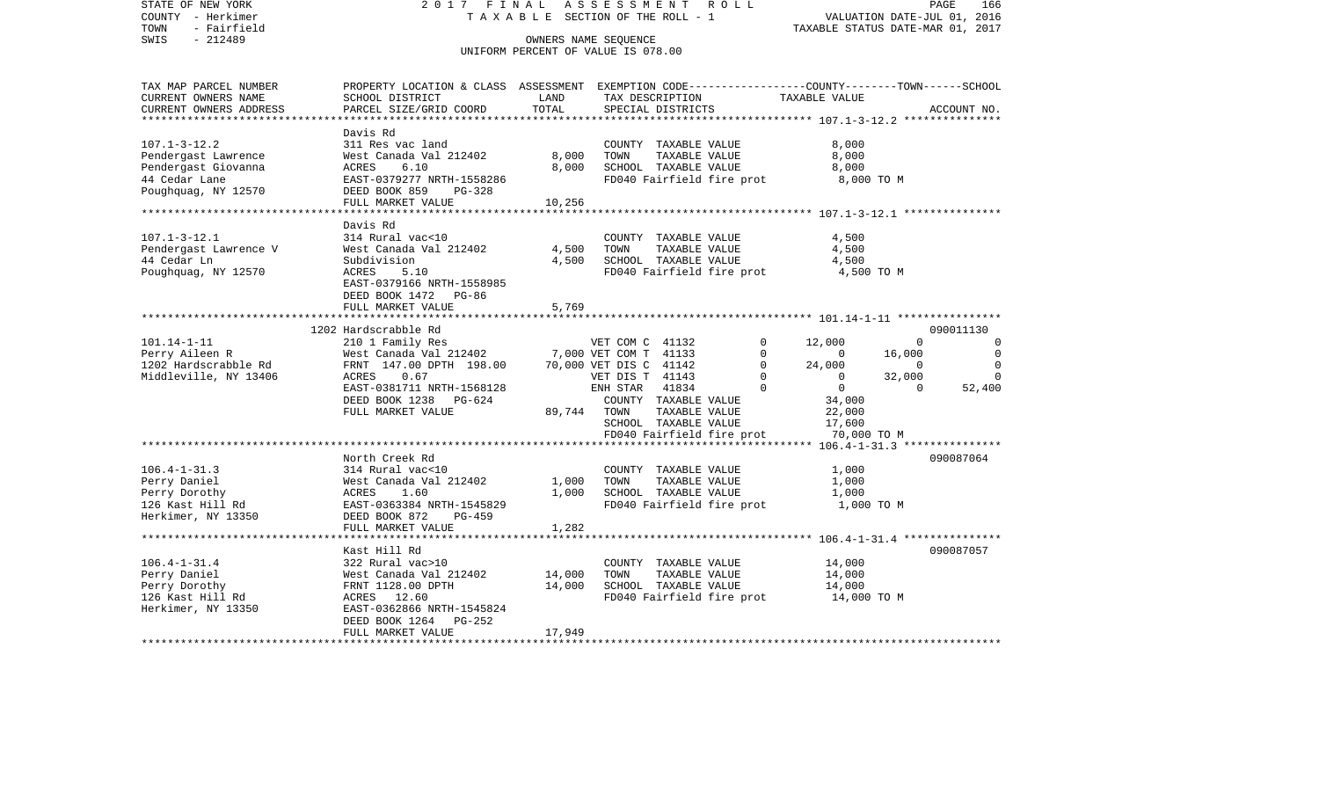| STATE OF NEW YORK<br>COUNTY - Herkimer<br>TOWN<br>- Fairfield<br>$-212489$<br>SWIS                       | 2017 FINAL                                                                                                                                                                                                       |                            | ASSESSMENT ROLL<br>TAXABLE SECTION OF THE ROLL - 1<br>OWNERS NAME SEQUENCE<br>UNIFORM PERCENT OF VALUE IS 078.00                                                                | PAGE<br>166<br>VALUATION DATE-JUL 01, 2016<br>TAXABLE STATUS DATE-MAR 01, 2017                                                                                                                                                                                                                   |
|----------------------------------------------------------------------------------------------------------|------------------------------------------------------------------------------------------------------------------------------------------------------------------------------------------------------------------|----------------------------|---------------------------------------------------------------------------------------------------------------------------------------------------------------------------------|--------------------------------------------------------------------------------------------------------------------------------------------------------------------------------------------------------------------------------------------------------------------------------------------------|
| TAX MAP PARCEL NUMBER<br>CURRENT OWNERS NAME<br>CURRENT OWNERS ADDRESS                                   | SCHOOL DISTRICT<br>PARCEL SIZE/GRID COORD                                                                                                                                                                        | LAND<br>TOTAL              | TAX DESCRIPTION<br>SPECIAL DISTRICTS                                                                                                                                            | PROPERTY LOCATION & CLASS ASSESSMENT EXEMPTION CODE----------------COUNTY-------TOWN------SCHOOL<br>TAXABLE VALUE<br>ACCOUNT NO.                                                                                                                                                                 |
| $107.1 - 3 - 12.2$<br>Pendergast Lawrence<br>Pendergast Giovanna<br>44 Cedar Lane<br>Poughquag, NY 12570 | Davis Rd<br>311 Res vac land<br>West Canada Val 212402<br>ACRES<br>6.10<br>EAST-0379277 NRTH-1558286<br>DEED BOOK 859<br>PG-328<br>FULL MARKET VALUE                                                             | 8,000<br>8.000<br>10,256   | COUNTY TAXABLE VALUE<br>TOWN<br>TAXABLE VALUE<br>SCHOOL TAXABLE VALUE<br>FD040 Fairfield fire prot                                                                              | 8,000<br>8,000<br>8,000<br>8,000 TO M                                                                                                                                                                                                                                                            |
| $107.1 - 3 - 12.1$<br>Pendergast Lawrence V<br>44 Cedar Ln<br>Poughquag, NY 12570                        | Davis Rd<br>314 Rural vac<10<br>West Canada Val 212402<br>Subdivision<br>ACRES<br>5.10<br>EAST-0379166 NRTH-1558985<br>DEED BOOK 1472 PG-86<br>FULL MARKET VALUE                                                 | 4,500<br>4,500<br>5,769    | COUNTY TAXABLE VALUE<br>TOWN<br>TAXABLE VALUE<br>SCHOOL TAXABLE VALUE<br>FD040 Fairfield fire prot                                                                              | 4,500<br>4,500<br>4,500<br>4,500 TO M                                                                                                                                                                                                                                                            |
|                                                                                                          |                                                                                                                                                                                                                  |                            |                                                                                                                                                                                 |                                                                                                                                                                                                                                                                                                  |
| $101.14 - 1 - 11$<br>Perry Aileen R<br>1202 Hardscrabble Rd<br>Middleville, NY 13406                     | 1202 Hardscrabble Rd<br>210 1 Family Res<br>West Canada Val 212402<br>FRNT 147.00 DPTH 198.00 70,000 VET DIS C 41142<br>0.67<br>ACRES<br>EAST-0381711 NRTH-1568128<br>DEED BOOK 1238 PG-624<br>FULL MARKET VALUE |                            | VET COM C 41132<br>7,000 VET COM T 41133<br>$\overline{0}$<br>VET DIS T 41143<br>ENH STAR 41834<br>COUNTY TAXABLE VALUE<br>89,744 TOWN<br>TAXABLE VALUE<br>SCHOOL TAXABLE VALUE | 090011130<br>12,000<br>0<br>$\mathbf 0$<br>$\Omega$<br>$\mathbf 0$<br>$\sim$ 0<br>16,000<br>$\mathbf 0$<br>24,000<br>$\mathbf 0$<br>$\sim$ 0<br>$\overline{0}$<br>$\overline{0}$<br>32,000<br>$\Omega$<br>$\bigcirc$<br>$\overline{0}$<br>$\overline{0}$<br>52,400<br>34,000<br>22,000<br>17,600 |
|                                                                                                          |                                                                                                                                                                                                                  |                            | FD040 Fairfield fire prot                                                                                                                                                       | 70,000 TO M                                                                                                                                                                                                                                                                                      |
| $106.4 - 1 - 31.3$<br>Perry Daniel<br>Perry Dorothy<br>126 Kast Hill Rd<br>Herkimer, NY 13350            | North Creek Rd<br>314 Rural vac<10<br>West Canada Val 212402<br>ACRES 1.60<br>EAST-0363384 NRTH-1545829<br>DEED BOOK 872<br>PG-459                                                                               | 1,000<br>1,000             | COUNTY TAXABLE VALUE<br>TOWN<br>TAXABLE VALUE<br>SCHOOL TAXABLE VALUE<br>FD040 Fairfield fire prot                                                                              | 090087064<br>1,000<br>1,000<br>1,000<br>1,000 TO M                                                                                                                                                                                                                                               |
|                                                                                                          | FULL MARKET VALUE                                                                                                                                                                                                | 1,282                      |                                                                                                                                                                                 |                                                                                                                                                                                                                                                                                                  |
| $106.4 - 1 - 31.4$<br>Perry Daniel<br>Perry Dorothy<br>126 Kast Hill Rd<br>Herkimer, NY 13350            | Kast Hill Rd<br>322 Rural vac>10<br>West Canada Val 212402<br>FRNT 1128.00 DPTH<br>ACRES 12.60<br>EAST-0362866 NRTH-1545824<br>DEED BOOK 1264 PG-252<br>FULL MARKET VALUE                                        | 14,000<br>14,000<br>17,949 | COUNTY TAXABLE VALUE<br>TOWN<br>TAXABLE VALUE<br>SCHOOL TAXABLE VALUE<br>FD040 Fairfield fire prot 14,000 TO M                                                                  | 090087057<br>14,000<br>14,000<br>14,000                                                                                                                                                                                                                                                          |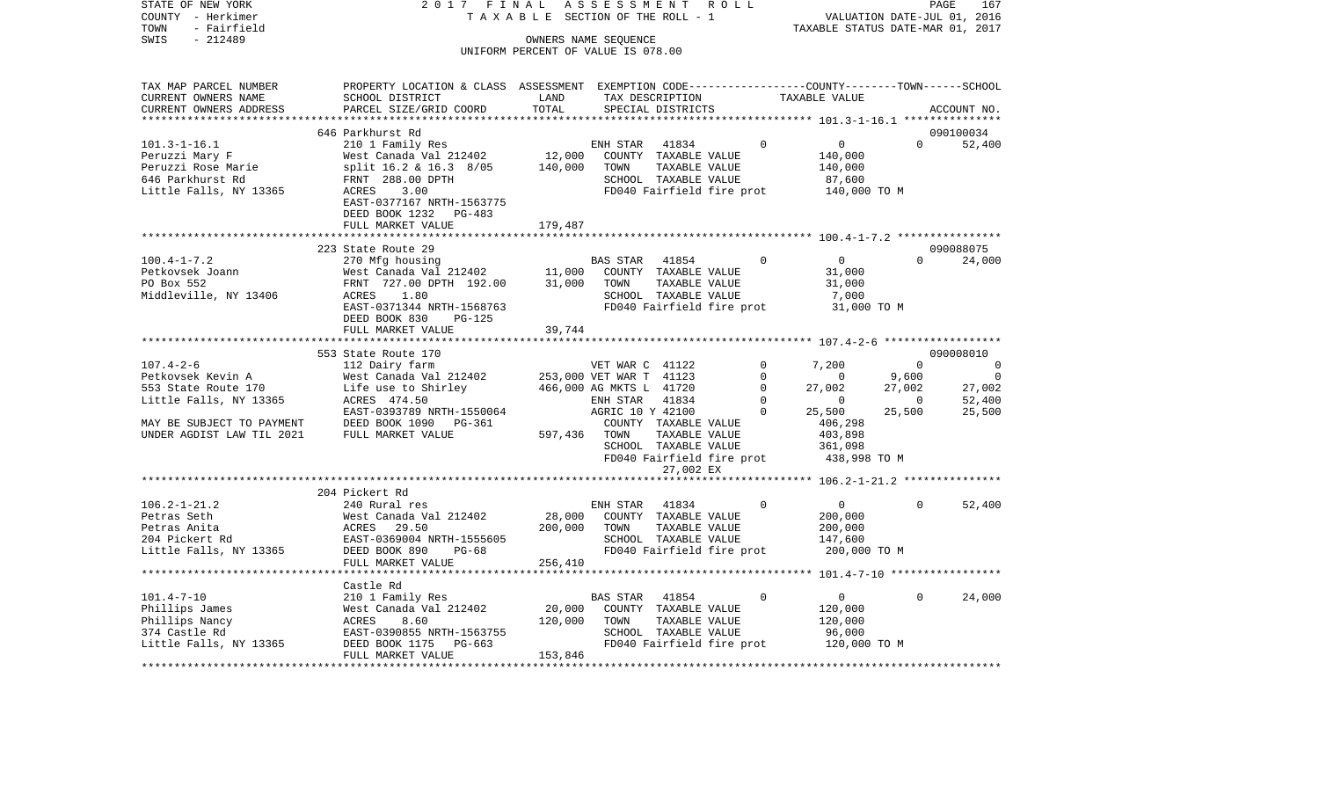| STATE OF NEW YORK                             | PAGE 167<br>TAXABLE SECTION OF THE ROLL - 1 VALUATION DATE-JUL 01, 2016<br>TAXABLE SECTION OF THE ROLL - 1 TAXABLE STATUS DATE-MAR 01, 2017                                                                                                      |                                    |                      |                           |                                                                                                                                                    |          |                                                                             |
|-----------------------------------------------|--------------------------------------------------------------------------------------------------------------------------------------------------------------------------------------------------------------------------------------------------|------------------------------------|----------------------|---------------------------|----------------------------------------------------------------------------------------------------------------------------------------------------|----------|-----------------------------------------------------------------------------|
| COUNTY - Herkimer                             |                                                                                                                                                                                                                                                  |                                    |                      |                           |                                                                                                                                                    |          |                                                                             |
| TOWN - Fairfield                              |                                                                                                                                                                                                                                                  |                                    |                      |                           |                                                                                                                                                    |          |                                                                             |
| SWIS - 212489                                 |                                                                                                                                                                                                                                                  |                                    | OWNERS NAME SEQUENCE |                           |                                                                                                                                                    |          |                                                                             |
|                                               |                                                                                                                                                                                                                                                  | UNIFORM PERCENT OF VALUE IS 078.00 |                      |                           |                                                                                                                                                    |          |                                                                             |
|                                               |                                                                                                                                                                                                                                                  |                                    |                      |                           |                                                                                                                                                    |          |                                                                             |
|                                               |                                                                                                                                                                                                                                                  |                                    |                      |                           |                                                                                                                                                    |          |                                                                             |
|                                               |                                                                                                                                                                                                                                                  |                                    |                      |                           |                                                                                                                                                    |          |                                                                             |
| CURRENT OWNERS ADDRESS PARCEL SIZE/GRID COORD |                                                                                                                                                                                                                                                  | TOTAL                              |                      |                           | TAX DESCRIPTION TAXABLE VALUE SPECIAL DISTRICTS                                                                                                    |          | ACCOUNT NO.                                                                 |
|                                               |                                                                                                                                                                                                                                                  |                                    |                      |                           |                                                                                                                                                    |          |                                                                             |
|                                               | 646 Parkhurst Rd                                                                                                                                                                                                                                 |                                    |                      |                           |                                                                                                                                                    |          | 090100034                                                                   |
|                                               |                                                                                                                                                                                                                                                  |                                    |                      |                           |                                                                                                                                                    |          | 0 52,400                                                                    |
|                                               |                                                                                                                                                                                                                                                  |                                    |                      |                           | ENH STAR 41834 0<br>12,000 COUNTY TAXABLE VALUE 140,000<br>140,000 TOWN TAXABLE VALUE 140,000                                                      |          |                                                                             |
|                                               |                                                                                                                                                                                                                                                  |                                    |                      | SCHOOL TAXABLE VALUE      | 87,600                                                                                                                                             |          |                                                                             |
|                                               |                                                                                                                                                                                                                                                  |                                    |                      |                           | FD040 Fairfield fire prot 140,000 TO M                                                                                                             |          |                                                                             |
|                                               | 101.3-1-16.1<br>Peruzzi Mary F<br>Peruzzi Rose Marie<br>646 Parkhurst Rd<br>Little Falls, NY 13365<br>EAST-0377167 NRTH-1563775                                                                                                                  |                                    |                      |                           |                                                                                                                                                    |          |                                                                             |
|                                               | DEED BOOK 1232 PG-483                                                                                                                                                                                                                            |                                    |                      |                           |                                                                                                                                                    |          |                                                                             |
|                                               | FULL MARKET VALUE                                                                                                                                                                                                                                | 179,487                            |                      |                           |                                                                                                                                                    |          |                                                                             |
|                                               |                                                                                                                                                                                                                                                  |                                    |                      |                           |                                                                                                                                                    |          |                                                                             |
|                                               | 223 State Route 29                                                                                                                                                                                                                               |                                    |                      |                           |                                                                                                                                                    |          | 090088075                                                                   |
|                                               |                                                                                                                                                                                                                                                  |                                    |                      | BAS STAR 41854 0          |                                                                                                                                                    |          | $\Omega$<br>24,000                                                          |
|                                               |                                                                                                                                                                                                                                                  |                                    |                      |                           |                                                                                                                                                    |          |                                                                             |
|                                               |                                                                                                                                                                                                                                                  |                                    |                      |                           |                                                                                                                                                    |          |                                                                             |
|                                               |                                                                                                                                                                                                                                                  |                                    |                      |                           |                                                                                                                                                    |          |                                                                             |
|                                               | 223 State Route 23<br>270 Mfg housing<br>Petkovsek Joann Mest Canada Val 212402 11,000 COUNTY TAXABLE VALUE<br>PO Box 552 FRNT 727.00 DPTH 192.00 31,000 TOWN TAXABLE VALUE<br>Middleville, NY 13406 ACRES 1.80 SCHOOL TAXABLE VALUE<br>         |                                    |                      |                           | AS STAR 41854 0<br>COUNTY TAXABLE VALUE 31,000<br>TOWN TAXABLE VALUE 31,000<br>SCHOOL TAXABLE VALUE 7,000<br>FD040 Fairfield fire prot 31,000 TO M |          |                                                                             |
|                                               | DEED BOOK 830 F<br>FULL MARKET VALUE<br>PG-125                                                                                                                                                                                                   |                                    |                      |                           |                                                                                                                                                    |          |                                                                             |
|                                               |                                                                                                                                                                                                                                                  | 39,744                             |                      |                           |                                                                                                                                                    |          |                                                                             |
|                                               | 553 State Route 170                                                                                                                                                                                                                              |                                    |                      |                           |                                                                                                                                                    |          | 090008010                                                                   |
|                                               | 353 State Route 170<br>253 State Route 170<br>253,000 VET WAR C 41122<br>253,000 VET WAR T 41123<br>253 State Route 170<br>253 State Route 170<br>253 State Route 170<br>253,000 VET WAR T 41123<br>253,000 VET WAR T 41123<br>253,000 VET WAR T |                                    |                      | VET WAR C 41122 0         | 7,200                                                                                                                                              |          |                                                                             |
|                                               |                                                                                                                                                                                                                                                  |                                    |                      |                           |                                                                                                                                                    |          | $\begin{matrix}0&&0\\0&&&&0\\9\, ,\,600&&&&0\end{matrix}$<br>$\overline{0}$ |
|                                               |                                                                                                                                                                                                                                                  |                                    |                      |                           | 000 VET WAR T 41123 0 0 0 9,600<br>000 AG MKTS L 41720 0 27,002 27,002<br>ENH STAR 41834 0 0 0<br>AGRIC 10 Y 42100 0 25,500 25,500                 |          | 27,002                                                                      |
|                                               |                                                                                                                                                                                                                                                  |                                    |                      |                           |                                                                                                                                                    |          | 52,400                                                                      |
|                                               |                                                                                                                                                                                                                                                  |                                    |                      |                           |                                                                                                                                                    |          | 25,500                                                                      |
|                                               |                                                                                                                                                                                                                                                  |                                    |                      | COUNTY TAXABLE VALUE      | 406,298                                                                                                                                            |          |                                                                             |
|                                               |                                                                                                                                                                                                                                                  |                                    |                      | TAXABLE VALUE             |                                                                                                                                                    |          |                                                                             |
|                                               |                                                                                                                                                                                                                                                  |                                    |                      | SCHOOL TAXABLE VALUE      | 403,898<br>361,098                                                                                                                                 |          |                                                                             |
|                                               |                                                                                                                                                                                                                                                  |                                    |                      | FD040 Fairfield fire prot | 438,998 TO M                                                                                                                                       |          |                                                                             |
|                                               |                                                                                                                                                                                                                                                  |                                    |                      | 27,002 EX                 |                                                                                                                                                    |          |                                                                             |
|                                               | 204 Pickert Rd                                                                                                                                                                                                                                   |                                    |                      |                           |                                                                                                                                                    |          |                                                                             |
|                                               |                                                                                                                                                                                                                                                  |                                    |                      |                           |                                                                                                                                                    |          | $0 \t 52,400$                                                               |
|                                               |                                                                                                                                                                                                                                                  |                                    |                      |                           |                                                                                                                                                    |          |                                                                             |
|                                               |                                                                                                                                                                                                                                                  |                                    |                      |                           |                                                                                                                                                    |          |                                                                             |
|                                               |                                                                                                                                                                                                                                                  |                                    |                      |                           |                                                                                                                                                    |          |                                                                             |
|                                               |                                                                                                                                                                                                                                                  |                                    |                      |                           | FD040 Fairfield fire prot 200,000 TO M                                                                                                             |          |                                                                             |
|                                               | 106.2-1-21.2<br>Petras Seth Mest Canada Val 212402 28,000 COUNTY TAXABLE VALUE<br>Petras Anita (ACRES 29.50 200,000 TOWN TAXABLE VALUE 200,000<br>204 Pickert Rd EAST-0369004 NRTH-1555605 200,000 TOWN TAXABLE VALUE 200,000<br>Littl           |                                    |                      |                           |                                                                                                                                                    |          |                                                                             |
|                                               |                                                                                                                                                                                                                                                  |                                    |                      |                           |                                                                                                                                                    |          |                                                                             |
|                                               |                                                                                                                                                                                                                                                  |                                    |                      |                           |                                                                                                                                                    |          |                                                                             |
|                                               |                                                                                                                                                                                                                                                  |                                    |                      |                           | $\overline{0}$                                                                                                                                     | $\Omega$ | 24,000                                                                      |
|                                               |                                                                                                                                                                                                                                                  |                                    |                      |                           | 120,000                                                                                                                                            |          |                                                                             |
|                                               |                                                                                                                                                                                                                                                  |                                    |                      |                           | 120,000                                                                                                                                            |          |                                                                             |
|                                               |                                                                                                                                                                                                                                                  |                                    |                      | SCHOOL TAXABLE VALUE      | 96,000                                                                                                                                             |          |                                                                             |
|                                               |                                                                                                                                                                                                                                                  |                                    |                      |                           | FD040 Fairfield fire prot 120,000 TO M                                                                                                             |          |                                                                             |
|                                               | XAMIN'S CONTROLL AND HARRET VALUE (210 1 FAMIly Res RAS STAR 41854 0<br>Phillips James West Canada Val 212402 20,000 COUNTY TAXABLE VALUE<br>Phillips Nancy ACRES 8.60 120,000 TOWN TAXABLE VALUE<br>20,000 TOWN TAXABLE VALUE<br>20,0           |                                    |                      |                           |                                                                                                                                                    |          |                                                                             |
|                                               |                                                                                                                                                                                                                                                  |                                    |                      |                           |                                                                                                                                                    |          |                                                                             |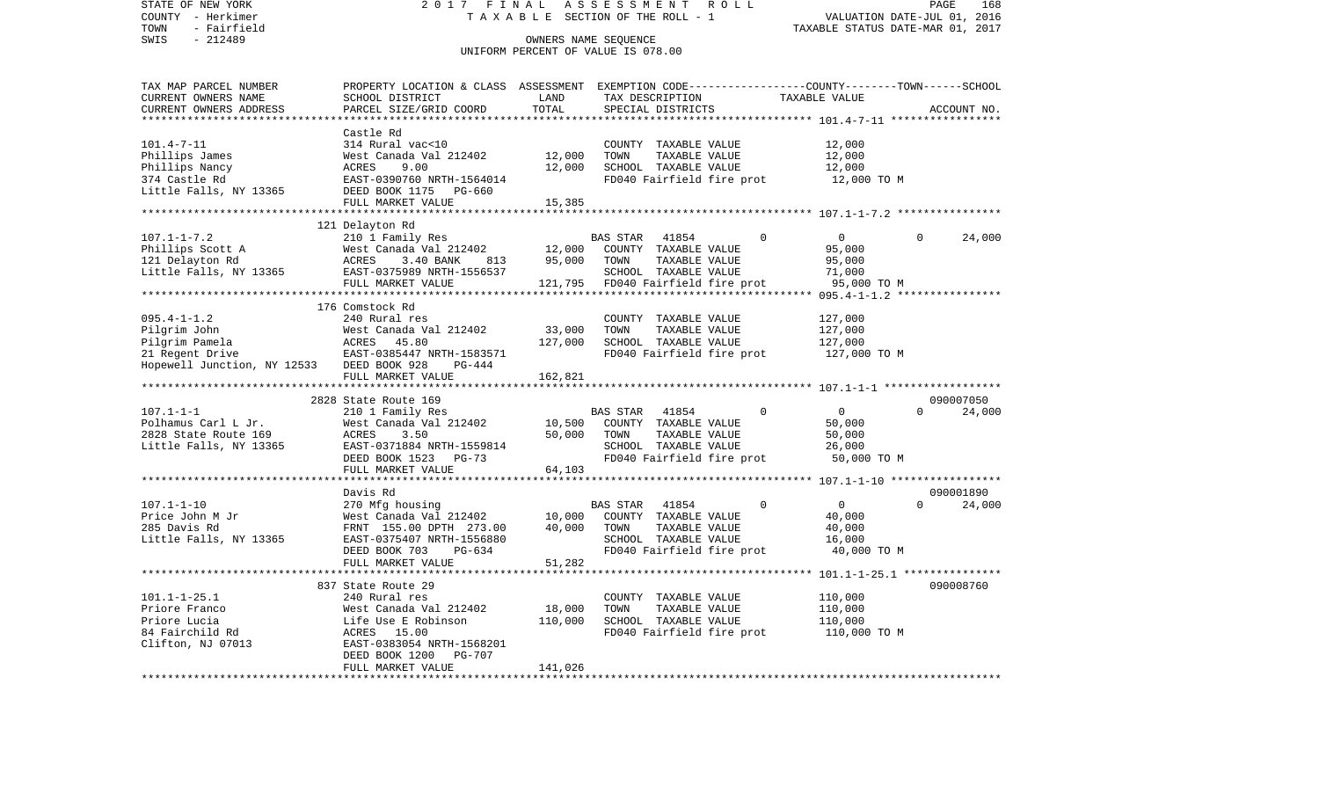STATE OF NEW YORK 2 0 1 7 F I N A L A S S E S S M E N T R O L L PAGE 168COUNTY - Herkimer **T A X A B L E SECTION OF THE ROLL - 1** VALUATION DATE-JUL 01, 2016 TOWN - Fairfield TAXABLE STATUS DATE-MAR 01, 2017 SWIS - 212489 OWNERS NAME SEQUENCE UNIFORM PERCENT OF VALUE IS 078.00TAX MAP PARCEL NUMBER PROPERTY LOCATION & CLASS ASSESSMENT EXEMPTION CODE------------------COUNTY--------TOWN------SCHOOL CURRENT OWNERS NAME SCHOOL DISTRICT LAND TAX DESCRIPTION TAXABLE VALUECURRENT OWNERS ADDRESS PARCEL SIZE/GRID COORD TOTAL SPECIAL DISTRICTS ACCOUNT NO. \*\*\*\*\*\*\*\*\*\*\*\*\*\*\*\*\*\*\*\*\*\*\*\*\*\*\*\*\*\*\*\*\*\*\*\*\*\*\*\*\*\*\*\*\*\*\*\*\*\*\*\*\*\*\*\*\*\*\*\*\*\*\*\*\*\*\*\*\*\*\*\*\*\*\*\*\*\*\*\*\*\*\*\*\*\*\*\*\*\*\*\*\*\*\*\*\*\*\*\*\*\*\* 101.4-7-11 \*\*\*\*\*\*\*\*\*\*\*\*\*\*\*\*\* Castle Rd314 Rural vac<10 101.4-7-11 314 Rural vac<10 COUNTY TAXABLE VALUE 12,000 Phillips James 61 West Canada Val 212402 12,000 TOWN TAXABLE VALUE 12,000 Phillips Nancy ACRES 9.00 12,000 SCHOOL TAXABLE VALUE 12,000 EAST-0390760 NRTH-1564014 FD040 Fairfield fire prot 12,000 TO M Little Falls, NY 13365 DEED BOOK 1175 PG-660 FULL MARKET VALUE 15,385 \*\*\*\*\*\*\*\*\*\*\*\*\*\*\*\*\*\*\*\*\*\*\*\*\*\*\*\*\*\*\*\*\*\*\*\*\*\*\*\*\*\*\*\*\*\*\*\*\*\*\*\*\*\*\*\*\*\*\*\*\*\*\*\*\*\*\*\*\*\*\*\*\*\*\*\*\*\*\*\*\*\*\*\*\*\*\*\*\*\*\*\*\*\*\*\*\*\*\*\*\*\*\* 107.1-1-7.2 \*\*\*\*\*\*\*\*\*\*\*\*\*\*\*\* 121 Delayton Rd 107.1-1-7.2 210 1 Family Res BAS STAR 41854 0 0 0 24,000 Phillips Scott A West Canada Val 212402 12,000 COUNTY TAXABLE VALUE 95,000 121 Delayton Rd ACRES 3.40 BANK 813 95,000 TOWN TAXABLE VALUE 95,000 Little Falls, NY 13365 EAST-0375989 NRTH-1556537 SCHOOL TAXABLE VALUE 71,000 FULL MARKET VALUE 121,795 FD040 Fairfield fire prot 95,000 TO M \*\*\*\*\*\*\*\*\*\*\*\*\*\*\*\*\*\*\*\*\*\*\*\*\*\*\*\*\*\*\*\*\*\*\*\*\*\*\*\*\*\*\*\*\*\*\*\*\*\*\*\*\*\*\*\*\*\*\*\*\*\*\*\*\*\*\*\*\*\*\*\*\*\*\*\*\*\*\*\*\*\*\*\*\*\*\*\*\*\*\*\*\*\*\*\*\*\*\*\*\*\*\* 095.4-1-1.2 \*\*\*\*\*\*\*\*\*\*\*\*\*\*\*\* 176 Comstock Rd095.4-1-1.2 240 Rural res COUNTY TAXABLE VALUE 127,000 Pilgrim John West Canada Val 212402 33,000 TOWN TAXABLE VALUE 127,000 Pilgrim Pamela ACRES 45.80 127,000 SCHOOL TAXABLE VALUE 127,000 21 Regent Drive **EAST-0385447 NRTH-1583571** FD040 Fairfield fire prot 127,000 TO M Hopewell Junction, NY 12533 DEED BOOK 928 PG-444 FULL MARKET VALUE 162,821 \*\*\*\*\*\*\*\*\*\*\*\*\*\*\*\*\*\*\*\*\*\*\*\*\*\*\*\*\*\*\*\*\*\*\*\*\*\*\*\*\*\*\*\*\*\*\*\*\*\*\*\*\*\*\*\*\*\*\*\*\*\*\*\*\*\*\*\*\*\*\*\*\*\*\*\*\*\*\*\*\*\*\*\*\*\*\*\*\*\*\*\*\*\*\*\*\*\*\*\*\*\*\* 107.1-1-1 \*\*\*\*\*\*\*\*\*\*\*\*\*\*\*\*\*\* 2828 State Route 169 090007050107.1-1-1 210 1 Family Res BAS STAR 41854 0 0 0 24,000 Polhamus Carl L Jr. West Canada Val 212402 10,500 COUNTY TAXABLE VALUE 50,000 2828 State Route 169 ACRES 3.50 50,000 TOWN TAXABLE VALUE 50,000 Little Falls, NY 13365 EAST-0371884 NRTH-1559814 SCHOOL TAXABLE VALUE 26,000 DEED BOOK 1523 PG-73 FD040 Fairfield fire prot 50,000 TO M FULL MARKET VALUE 64,103 \*\*\*\*\*\*\*\*\*\*\*\*\*\*\*\*\*\*\*\*\*\*\*\*\*\*\*\*\*\*\*\*\*\*\*\*\*\*\*\*\*\*\*\*\*\*\*\*\*\*\*\*\*\*\*\*\*\*\*\*\*\*\*\*\*\*\*\*\*\*\*\*\*\*\*\*\*\*\*\*\*\*\*\*\*\*\*\*\*\*\*\*\*\*\*\*\*\*\*\*\*\*\* 107.1-1-10 \*\*\*\*\*\*\*\*\*\*\*\*\*\*\*\*\* Davis Rd 090001890107.1-1-10 270 Mfg housing BAS STAR 41854 0 0 0 24,000 Price John M Jr **West Canada Val 212402** 10,000 COUNTY TAXABLE VALUE 40,000 285 Davis Rd FRNT 155.00 DPTH 273.00 40,000 TOWN TAXABLE VALUE 40,000 Little Falls, NY 13365 EAST-0375407 NRTH-1556880 SCHOOL TAXABLE VALUE 16,000 DEED BOOK 703 PG-634 FD040 Fairfield fire prot 40,000 TO M FULL MARKET VALUE 51,282 \*\*\*\*\*\*\*\*\*\*\*\*\*\*\*\*\*\*\*\*\*\*\*\*\*\*\*\*\*\*\*\*\*\*\*\*\*\*\*\*\*\*\*\*\*\*\*\*\*\*\*\*\*\*\*\*\*\*\*\*\*\*\*\*\*\*\*\*\*\*\*\*\*\*\*\*\*\*\*\*\*\*\*\*\*\*\*\*\*\*\*\*\*\*\*\*\*\*\*\*\*\*\* 101.1-1-25.1 \*\*\*\*\*\*\*\*\*\*\*\*\*\*\* 837 State Route 29 090008760101.1-1-25.1 240 Rural res COUNTY TAXABLE VALUE 110,000 Priore Franco West Canada Val 212402 18,000 TOWN TAXABLE VALUE 110,000 Priore Lucia Life Use E Robinson 110,000 SCHOOL TAXABLE VALUE 110,000 84 Fairchild Rd **ACRES** 15.00 **FD040** FD040 Fairfield fire prot 110,000 TO M Clifton, NJ 07013 EAST-0383054 NRTH-1568201 DEED BOOK 1200 PG-707 FULL MARKET VALUE 141,026 \*\*\*\*\*\*\*\*\*\*\*\*\*\*\*\*\*\*\*\*\*\*\*\*\*\*\*\*\*\*\*\*\*\*\*\*\*\*\*\*\*\*\*\*\*\*\*\*\*\*\*\*\*\*\*\*\*\*\*\*\*\*\*\*\*\*\*\*\*\*\*\*\*\*\*\*\*\*\*\*\*\*\*\*\*\*\*\*\*\*\*\*\*\*\*\*\*\*\*\*\*\*\*\*\*\*\*\*\*\*\*\*\*\*\*\*\*\*\*\*\*\*\*\*\*\*\*\*\*\*\*\*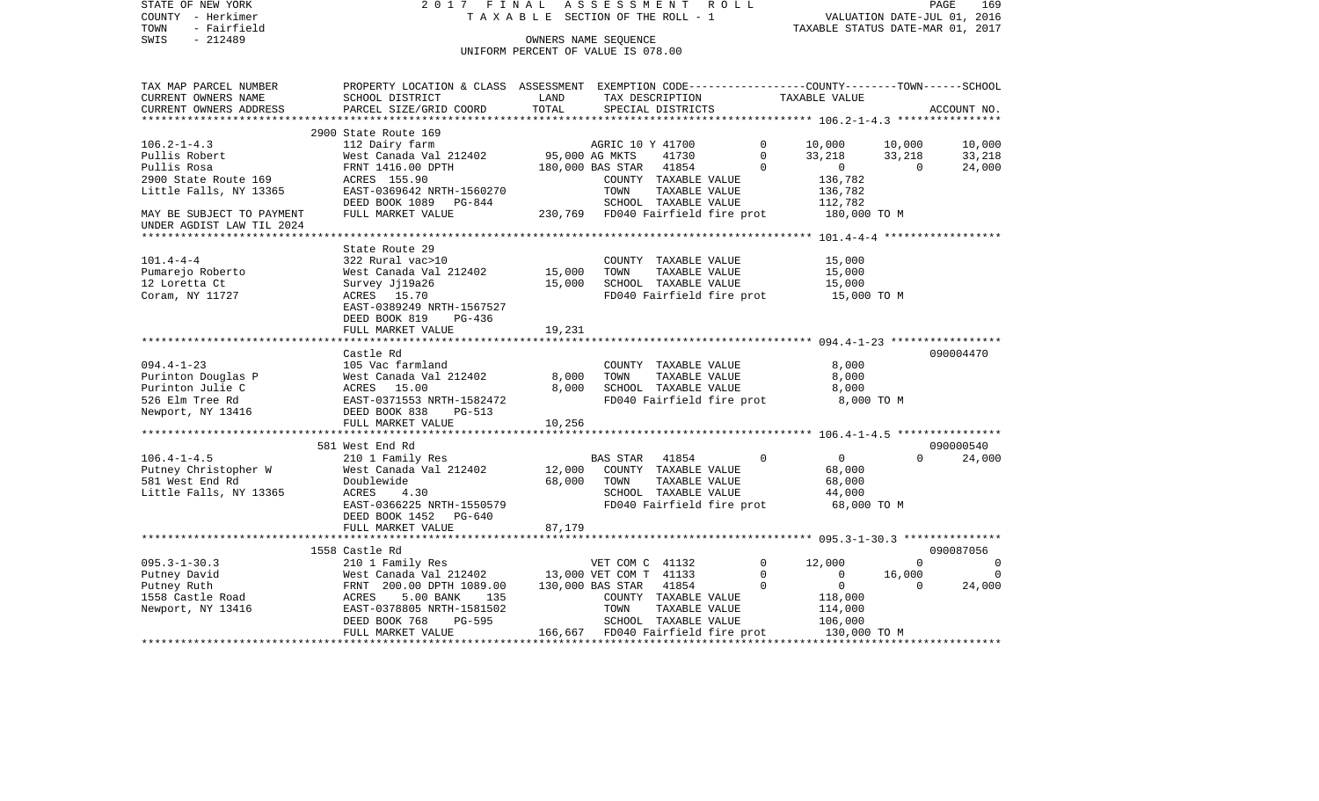| STATE OF NEW YORK<br>COUNTY - Herkimer<br>TOWN<br>- Fairfield<br>$-212489$<br>SWIS | 2017 FINAL                                                                                                                                  | TAXABLE SECTION OF THE ROLL - 1<br>OWNERS NAME SEQUENCE | ASSESSMENT       |                                                               | R O L L                           | VALUATION DATE-JUL 01, 2016<br>TAXABLE STATUS DATE-MAR 01, 2017 |             | PAGE<br>169 |
|------------------------------------------------------------------------------------|---------------------------------------------------------------------------------------------------------------------------------------------|---------------------------------------------------------|------------------|---------------------------------------------------------------|-----------------------------------|-----------------------------------------------------------------|-------------|-------------|
|                                                                                    |                                                                                                                                             | UNIFORM PERCENT OF VALUE IS 078.00                      |                  |                                                               |                                   |                                                                 |             |             |
| TAX MAP PARCEL NUMBER<br>CURRENT OWNERS NAME<br>CURRENT OWNERS ADDRESS             | PROPERTY LOCATION & CLASS ASSESSMENT EXEMPTION CODE---------------COUNTY-------TOWN-----SCHOOL<br>SCHOOL DISTRICT<br>PARCEL SIZE/GRID COORD | LAND<br>TOTAL                                           |                  | SPECIAL DISTRICTS                                             | TAX DESCRIPTION                   | TAXABLE VALUE                                                   |             | ACCOUNT NO. |
|                                                                                    | 2900 State Route 169                                                                                                                        |                                                         |                  |                                                               |                                   |                                                                 |             |             |
| $106.2 - 1 - 4.3$                                                                  | 112 Dairy farm                                                                                                                              |                                                         | AGRIC 10 Y 41700 |                                                               | $\mathbf{0}$                      | 10,000                                                          | 10,000      | 10,000      |
| Pullis Robert                                                                      | West Canada Val 212402                                                                                                                      | 95,000 AG MKTS                                          |                  | 41730                                                         | $\Omega$                          | 33,218                                                          | 33,218      | 33,218      |
| Pullis Rosa                                                                        | FRNT 1416.00 DPTH                                                                                                                           | 180,000 BAS STAR                                        |                  | 41854                                                         | $\Omega$                          | $\overline{0}$                                                  | $\Omega$    | 24,000      |
| 2900 State Route 169<br>Little Falls, NY 13365                                     | ACRES 155.90<br>EAST-0369642 NRTH-1560270<br>DEED BOOK 1089 PG-844                                                                          |                                                         | TOWN             | COUNTY TAXABLE VALUE<br>TAXABLE VALUE<br>SCHOOL TAXABLE VALUE |                                   | 136,782<br>136,782<br>112,782                                   |             |             |
| MAY BE SUBJECT TO PAYMENT                                                          | FULL MARKET VALUE                                                                                                                           |                                                         |                  |                                                               | 230,769 FD040 Fairfield fire prot | 180,000 TO M                                                    |             |             |
| UNDER AGDIST LAW TIL 2024                                                          |                                                                                                                                             |                                                         |                  |                                                               |                                   |                                                                 |             |             |
|                                                                                    |                                                                                                                                             |                                                         |                  |                                                               |                                   |                                                                 |             |             |
|                                                                                    | State Route 29                                                                                                                              |                                                         |                  |                                                               |                                   |                                                                 |             |             |
| $101.4 - 4 - 4$                                                                    | 322 Rural vac>10                                                                                                                            |                                                         |                  | COUNTY TAXABLE VALUE                                          |                                   | 15,000                                                          |             |             |
| Pumarejo Roberto                                                                   | West Canada Val 212402                                                                                                                      | 15,000                                                  | TOWN             | TAXABLE VALUE                                                 |                                   | 15,000                                                          |             |             |
| 12 Loretta Ct<br>Coram, NY 11727                                                   | Survey Jj19a26<br>ACRES 15.70                                                                                                               | 15,000                                                  |                  | SCHOOL TAXABLE VALUE                                          |                                   | 15,000<br>FD040 Fairfield fire prot 15,000 TO M                 |             |             |
|                                                                                    | EAST-0389249 NRTH-1567527                                                                                                                   |                                                         |                  |                                                               |                                   |                                                                 |             |             |
|                                                                                    | DEED BOOK 819<br>PG-436                                                                                                                     |                                                         |                  |                                                               |                                   |                                                                 |             |             |
|                                                                                    | FULL MARKET VALUE                                                                                                                           | 19,231                                                  |                  |                                                               |                                   |                                                                 |             |             |
|                                                                                    |                                                                                                                                             |                                                         |                  |                                                               |                                   |                                                                 |             |             |
|                                                                                    | Castle Rd                                                                                                                                   |                                                         |                  |                                                               |                                   |                                                                 |             | 090004470   |
| $094.4 - 1 - 23$                                                                   | 105 Vac farmland                                                                                                                            |                                                         |                  | COUNTY TAXABLE VALUE                                          |                                   | 8,000                                                           |             |             |
| Purinton Douglas P                                                                 | West Canada Val 212402                                                                                                                      | 8,000<br>8,000                                          | TOWN             | TAXABLE VALUE                                                 |                                   | 8,000                                                           |             |             |
| Purinton Julie C<br>526 Elm Tree Rd                                                | ACRES 15.00<br>EAST-0371553 NRTH-1582472                                                                                                    |                                                         |                  | SCHOOL TAXABLE VALUE                                          | FD040 Fairfield fire prot         | 8,000<br>8,000 TO M                                             |             |             |
| Newport, NY 13416                                                                  | DEED BOOK 838<br>PG-513                                                                                                                     |                                                         |                  |                                                               |                                   |                                                                 |             |             |
|                                                                                    | FULL MARKET VALUE                                                                                                                           | 10,256                                                  |                  |                                                               |                                   |                                                                 |             |             |
|                                                                                    |                                                                                                                                             |                                                         |                  |                                                               |                                   |                                                                 |             |             |
|                                                                                    | 581 West End Rd                                                                                                                             |                                                         |                  |                                                               |                                   |                                                                 |             | 090000540   |
| $106.4 - 1 - 4.5$                                                                  | 210 1 Family Res                                                                                                                            |                                                         | BAS STAR         | 41854                                                         | $\Omega$                          | $\overline{0}$                                                  | $\Omega$    | 24,000      |
| Putney Christopher W                                                               | West Canada Val 212402                                                                                                                      | 12,000                                                  |                  | COUNTY TAXABLE VALUE                                          |                                   | 68,000                                                          |             |             |
| 581 West End Rd                                                                    | Doublewide                                                                                                                                  | 68,000                                                  | TOWN             | TAXABLE VALUE                                                 |                                   | 68,000                                                          |             |             |
| Little Falls, NY 13365                                                             | 4.30<br>ACRES<br>EAST-0366225 NRTH-1550579                                                                                                  |                                                         |                  | SCHOOL TAXABLE VALUE                                          | FD040 Fairfield fire prot         | 44,000<br>68,000 TO M                                           |             |             |
|                                                                                    | DEED BOOK 1452 PG-640                                                                                                                       |                                                         |                  |                                                               |                                   |                                                                 |             |             |
|                                                                                    | FULL MARKET VALUE                                                                                                                           | 87,179                                                  |                  |                                                               |                                   |                                                                 |             |             |
|                                                                                    |                                                                                                                                             |                                                         |                  |                                                               |                                   |                                                                 |             |             |
|                                                                                    | 1558 Castle Rd                                                                                                                              |                                                         |                  |                                                               |                                   |                                                                 |             | 090087056   |
| $095.3 - 1 - 30.3$                                                                 | 210 1 Family Res                                                                                                                            |                                                         | VET COM C 41132  |                                                               | $\mathbf{0}$                      | 12,000                                                          | $\Omega$    | $\Omega$    |
| Putney David                                                                       | West Canada Val 212402 13,000 VET COM T 41133                                                                                               |                                                         |                  |                                                               | $\Omega$                          | $\Omega$                                                        | 16,000      | $\Omega$    |
| Putney Ruth<br>1558 Castle Road                                                    | FRNT 200.00 DPTH 1089.00                                                                                                                    |                                                         | 130,000 BAS STAR | 41854                                                         | $\mathsf{O}$                      | $\overline{0}$                                                  | $\mathbf 0$ | 24,000      |
| Newport, NY 13416                                                                  | ACRES<br>5.00 BANK<br>135<br>EAST-0378805 NRTH-1581502                                                                                      |                                                         | TOWN             | COUNTY TAXABLE VALUE<br>TAXABLE VALUE                         |                                   | 118,000<br>114,000                                              |             |             |
|                                                                                    | DEED BOOK 768<br>PG-595                                                                                                                     |                                                         |                  | SCHOOL TAXABLE VALUE                                          |                                   | 106,000                                                         |             |             |
|                                                                                    | FULL MARKET VALUE                                                                                                                           |                                                         |                  |                                                               | 166,667 FD040 Fairfield fire prot | 130,000 TO M                                                    |             |             |
|                                                                                    |                                                                                                                                             |                                                         |                  |                                                               |                                   |                                                                 |             |             |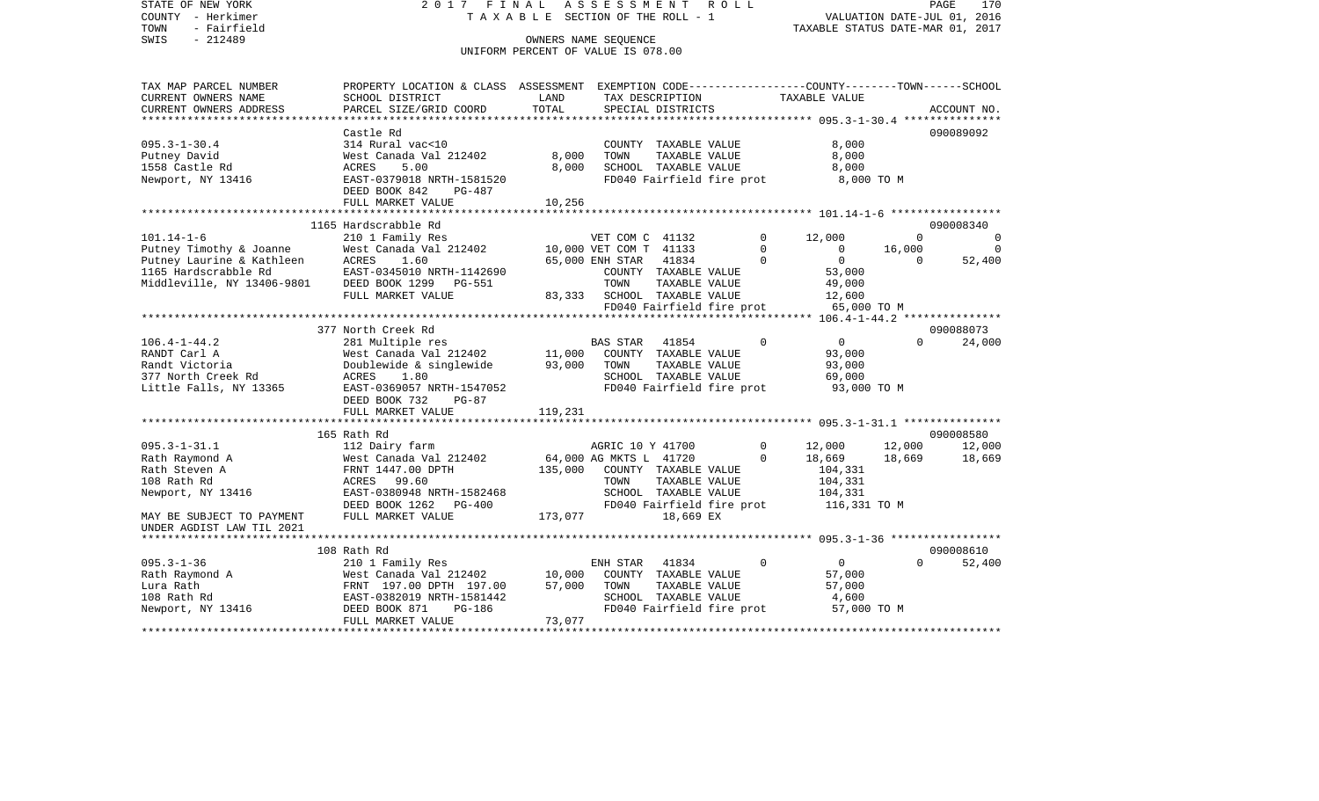STATE OF NEW YORK 2 0 1 7 F I N A L A S S E S S M E N T R O L L PAGE 170VALUATION DATE-JUL 01, 2016 COUNTY - Herkimer T A X A B L E SECTION OF THE ROLL - 1 TOWN - Fairfield TAXABLE STATUS DATE-MAR 01, 2017 SWIS - 212489 OWNERS NAME SEQUENCE UNIFORM PERCENT OF VALUE IS 078.00TAX MAP PARCEL NUMBER PROPERTY LOCATION & CLASS ASSESSMENT EXEMPTION CODE------------------COUNTY--------TOWN------SCHOOL CURRENT OWNERS NAME SCHOOL DISTRICT LAND TAX DESCRIPTION TAXABLE VALUECURRENT OWNERS ADDRESS PARCEL SIZE/GRID COORD TOTAL SPECIAL DISTRICTS ACCOUNT NO. \*\*\*\*\*\*\*\*\*\*\*\*\*\*\*\*\*\*\*\*\*\*\*\*\*\*\*\*\*\*\*\*\*\*\*\*\*\*\*\*\*\*\*\*\*\*\*\*\*\*\*\*\*\*\*\*\*\*\*\*\*\*\*\*\*\*\*\*\*\*\*\*\*\*\*\*\*\*\*\*\*\*\*\*\*\*\*\*\*\*\*\*\*\*\*\*\*\*\*\*\*\*\* 095.3-1-30.4 \*\*\*\*\*\*\*\*\*\*\*\*\*\*\* Castle Rd 090089092095.3-1-30.4 314 Rural vac<10 COUNTY TAXABLE VALUE 8,000 Putney David **West Canada Val 212402** 8,000 TOWN TAXABLE VALUE 8,000 1558 Castle Rd ACRES 5.00 8,000 SCHOOL TAXABLE VALUE 8,000 Newport, NY 13416 **EAST-0379018 NRTH-1581520** FD040 Fairfield fire prot 8,000 TO M DEED BOOK 842 PG-487FULL MARKET VALUE 10,256 \*\*\*\*\*\*\*\*\*\*\*\*\*\*\*\*\*\*\*\*\*\*\*\*\*\*\*\*\*\*\*\*\*\*\*\*\*\*\*\*\*\*\*\*\*\*\*\*\*\*\*\*\*\*\*\*\*\*\*\*\*\*\*\*\*\*\*\*\*\*\*\*\*\*\*\*\*\*\*\*\*\*\*\*\*\*\*\*\*\*\*\*\*\*\*\*\*\*\*\*\*\*\* 101.14-1-6 \*\*\*\*\*\*\*\*\*\*\*\*\*\*\*\*\* 1165 Hardscrabble Rd 090008340101.14-1-6 210 1 Family Res VET COM C 41132 0 12,000 0 0 Putney Timothy & Joanne West Canada Val 212402 10,000 VET COM T 41133 0 0 16,000 0 0 Putney Laurine & Kathleen ACRES 1.60 65,000 ENH STAR 41834 0 0 0 52,400 1165 Hardscrabble Rd EAST-0345010 NRTH-1142690 COUNTY TAXABLE VALUE 53,000 Middleville, NY 13406-9801 DEED BOOK 1299 PG-551 TOWN TAXABLE VALUE 49,000 FULL MARKET VALUE 83,333 SCHOOL TAXABLE VALUE 12,600 FD040 Fairfield fire prot 65,000 TO M<br>\*\*\*\*\*\*\*\*\*\*\*\*\*\*\*\*\*\*\*\*\*\*\*\*\*\*\*\*\*\*\*\* 106.4-1-44.2 \*\*\*\*\*\*\*\*\*\*\*\*\*\*\* \*\*\*\*\*\*\*\*\*\*\*\*\*\*\*\*\*\*\*\*\*\*\*\*\*\*\*\*\*\*\*\*\*\*\*\*\*\*\*\*\*\*\*\*\*\*\*\*\*\*\*\*\*\*\*\*\*\*\*\*\*\*\*\*\*\*\*\*\*\*\*\*\*\*\*\*\*\*\*\*\*\*\*\*\*\*\*\*\*\*\*\*\*\*\*\*\*\*\*\*\*\*\* 106.4-1-44.2 \*\*\*\*\*\*\*\*\*\*\*\*\*\*\* 377 North Creek Rd 090088073106.4-1-44.2 281 Multiple res BAS STAR 41854 0 0 0 24,000 RANDT Carl A 63,000 West Canada Val 212402 11,000 COUNTY TAXABLE VALUE 93,000 Randt Victoria Doublewide & singlewide 93,000 TOWN TAXABLE VALUE 93,000 377 North Creek Rd ACRES 1.80 SCHOOL TAXABLE VALUE 69,000 Little Falls, NY 13365 EAST-0369057 NRTH-1547052 FD040 Fairfield fire prot 93,000 TO M DEED BOOK 732 PG-87FULL MARKET VALUE 119,231 \*\*\*\*\*\*\*\*\*\*\*\*\*\*\*\*\*\*\*\*\*\*\*\*\*\*\*\*\*\*\*\*\*\*\*\*\*\*\*\*\*\*\*\*\*\*\*\*\*\*\*\*\*\*\*\*\*\*\*\*\*\*\*\*\*\*\*\*\*\*\*\*\*\*\*\*\*\*\*\*\*\*\*\*\*\*\*\*\*\*\*\*\*\*\*\*\*\*\*\*\*\*\* 095.3-1-31.1 \*\*\*\*\*\*\*\*\*\*\*\*\*\*\* 165 Rath Rd 090008580095.3-1-31.1 112 Dairy farm AGRIC 10 Y 41700 0 12,000 12,000 12,000 12,000 Rath Raymond A 669 West Canada Val 212402 64,000 AG MKTS L 41720 0 18,669 18,669 18,669 Rath Steven A FRNT 1447.00 DPTH 135,000 COUNTY TAXABLE VALUE 104.331 108 Rath Rd ACRES 99.60 TOWN TAXABLE VALUE 104,331 Newport, NY 13416 **EAST-0380948 NRTH-1582468** SCHOOL TAXABLE VALUE 104,331 DEED BOOK 1262 PG-400 FD040 Fairfield fire prot 116,331 TO M MAY BE SUBJECT TO PAYMENT FULL MARKET VALUE 173,077 18,669 EX UNDER AGDIST LAW TIL 2021 \*\*\*\*\*\*\*\*\*\*\*\*\*\*\*\*\*\*\*\*\*\*\*\*\*\*\*\*\*\*\*\*\*\*\*\*\*\*\*\*\*\*\*\*\*\*\*\*\*\*\*\*\*\*\*\*\*\*\*\*\*\*\*\*\*\*\*\*\*\*\*\*\*\*\*\*\*\*\*\*\*\*\*\*\*\*\*\*\*\*\*\*\*\*\*\*\*\*\*\*\*\*\* 095.3-1-36 \*\*\*\*\*\*\*\*\*\*\*\*\*\*\*\*\* 108 Rath Rd 090008610095.3-1-36 210 1 Family Res ENH STAR 41834 0 0 0 52,400 Rath Raymond A 67,000 West Canada Val 212402 10,000 COUNTY TAXABLE VALUE 57,000 Lura Rath FRNT 197.00 DPTH 197.00 57,000 TOWN TAXABLE VALUE 57,000 108 Rath Rd EAST-0382019 NRTH-1581442 SCHOOL TAXABLE VALUE 4,600 Newport, NY 13416 DEED BOOK 871 PG-186 FD040 Fairfield fire prot 57,000 TO M<br>FULL MARKET VALUE 73,077 FULL MARKET VALUE \*\*\*\*\*\*\*\*\*\*\*\*\*\*\*\*\*\*\*\*\*\*\*\*\*\*\*\*\*\*\*\*\*\*\*\*\*\*\*\*\*\*\*\*\*\*\*\*\*\*\*\*\*\*\*\*\*\*\*\*\*\*\*\*\*\*\*\*\*\*\*\*\*\*\*\*\*\*\*\*\*\*\*\*\*\*\*\*\*\*\*\*\*\*\*\*\*\*\*\*\*\*\*\*\*\*\*\*\*\*\*\*\*\*\*\*\*\*\*\*\*\*\*\*\*\*\*\*\*\*\*\*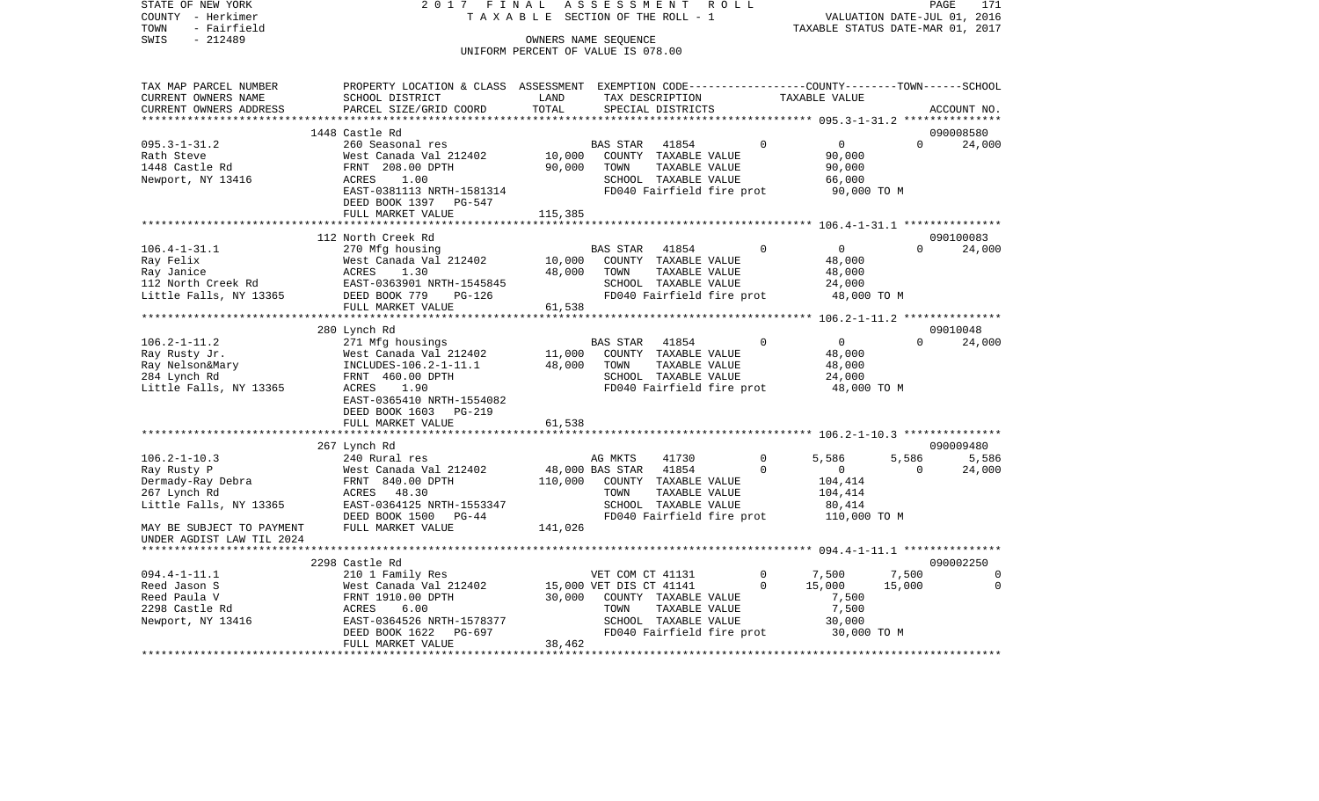| STATE OF NEW YORK<br>COUNTY - Herkimer<br>TOWN<br>- Fairfield | 2017 FINAL ASSESSMENT ROLL<br>TAXABLE SECTION OF THE ROLL - 1                                   |                                    | VALUATION DATE-JUL 01, 2016<br>TAXABLE STATUS DATE-MAR 01, 2017 |                                      | PAGE<br>171    |                 |             |                 |
|---------------------------------------------------------------|-------------------------------------------------------------------------------------------------|------------------------------------|-----------------------------------------------------------------|--------------------------------------|----------------|-----------------|-------------|-----------------|
| SWIS<br>$-212489$                                             |                                                                                                 |                                    | OWNERS NAME SEQUENCE                                            |                                      |                |                 |             |                 |
|                                                               |                                                                                                 | UNIFORM PERCENT OF VALUE IS 078.00 |                                                                 |                                      |                |                 |             |                 |
| TAX MAP PARCEL NUMBER                                         | PROPERTY LOCATION & CLASS ASSESSMENT EXEMPTION CODE---------------COUNTY-------TOWN------SCHOOL |                                    |                                                                 |                                      |                |                 |             |                 |
| CURRENT OWNERS NAME<br>CURRENT OWNERS ADDRESS                 | SCHOOL DISTRICT                                                                                 | LAND<br>TOTAL                      |                                                                 | TAX DESCRIPTION<br>SPECIAL DISTRICTS |                | TAXABLE VALUE   |             | ACCOUNT NO.     |
|                                                               | PARCEL SIZE/GRID COORD                                                                          |                                    |                                                                 |                                      |                |                 |             |                 |
|                                                               | 1448 Castle Rd                                                                                  |                                    |                                                                 |                                      |                |                 |             | 090008580       |
| $095.3 - 1 - 31.2$                                            | 260 Seasonal res                                                                                |                                    | <b>BAS STAR</b>                                                 | 41854                                | $\overline{0}$ | $\overline{0}$  | $\Omega$    | 24,000          |
| Rath Steve                                                    | West Canada Val 212402                                                                          | 10,000                             |                                                                 | COUNTY TAXABLE VALUE                 |                | 90,000          |             |                 |
| 1448 Castle Rd                                                | FRNT 208.00 DPTH                                                                                | 90,000                             | TOWN                                                            | TAXABLE VALUE                        |                | 90,000          |             |                 |
| Newport, NY 13416                                             | 1.00<br>ACRES                                                                                   |                                    |                                                                 | SCHOOL TAXABLE VALUE                 |                | 66,000          |             |                 |
|                                                               | EAST-0381113 NRTH-1581314                                                                       |                                    |                                                                 | FD040 Fairfield fire prot            |                | 90,000 TO M     |             |                 |
|                                                               | DEED BOOK 1397 PG-547                                                                           |                                    |                                                                 |                                      |                |                 |             |                 |
|                                                               | FULL MARKET VALUE                                                                               | 115,385                            |                                                                 |                                      |                |                 |             |                 |
|                                                               | 112 North Creek Rd                                                                              |                                    |                                                                 |                                      |                |                 |             | 090100083       |
| 106.4-1-31.1                                                  | 270 Mfg housing                                                                                 |                                    | BAS STAR                                                        | 41854                                | $\Omega$       | $\overline{0}$  | $\Omega$    | 24,000          |
| Ray Felix                                                     | West Canada Val 212402                                                                          | 10,000                             |                                                                 | COUNTY TAXABLE VALUE                 |                | 48,000          |             |                 |
| Ray Janice                                                    | ACRES<br>1.30                                                                                   | 48,000                             | TOWN                                                            | TAXABLE VALUE                        |                | 48,000          |             |                 |
|                                                               | 112 North Creek Rd EAST-0363901 NRTH-1545845                                                    |                                    |                                                                 | SCHOOL TAXABLE VALUE                 |                | 24,000          |             |                 |
| Little Falls, NY 13365                                        | DEED BOOK 779 PG-126                                                                            |                                    |                                                                 | FD040 Fairfield fire prot            |                |                 | 48,000 TO M |                 |
|                                                               | FULL MARKET VALUE                                                                               | 61,538                             |                                                                 |                                      |                |                 |             |                 |
|                                                               |                                                                                                 |                                    |                                                                 |                                      |                |                 |             |                 |
|                                                               | 280 Lynch Rd                                                                                    |                                    |                                                                 |                                      | $\Omega$       | $\overline{0}$  | $\Omega$    | 09010048        |
| $106.2 - 1 - 11.2$<br>Ray Rusty Jr.                           | 271 Mfg housings                                                                                | 11,000                             | BAS STAR                                                        | 41854<br>COUNTY TAXABLE VALUE        |                | 48,000          |             | 24,000          |
| Ray Nelson&Mary                                               | West Canada Val 212402<br>INCLUDES-106.2-1-11.1<br>EPNT 460.00 DPTH                             | 48,000                             | TOWN                                                            | TAXABLE VALUE                        |                | 48,000          |             |                 |
| 284 Lynch Rd                                                  | FRNT 460.00 DPTH                                                                                |                                    |                                                                 | SCHOOL TAXABLE VALUE                 |                | 24,000          |             |                 |
| Little Falls, NY 13365                                        | ACRES<br>1.90                                                                                   |                                    |                                                                 | FD040 Fairfield fire prot            |                | 48,000 TO M     |             |                 |
|                                                               | EAST-0365410 NRTH-1554082                                                                       |                                    |                                                                 |                                      |                |                 |             |                 |
|                                                               | DEED BOOK 1603 PG-219                                                                           |                                    |                                                                 |                                      |                |                 |             |                 |
|                                                               | FULL MARKET VALUE                                                                               | 61,538                             |                                                                 |                                      |                |                 |             |                 |
|                                                               |                                                                                                 |                                    |                                                                 |                                      |                |                 |             |                 |
| $106.2 - 1 - 10.3$                                            | 267 Lynch Rd<br>240 Rural res                                                                   |                                    |                                                                 | 41730                                | $\Omega$       | 5,586           | 5,586       | 090009480       |
| Ray Rusty P                                                   | West Canada Val 212402                                                                          |                                    | AG MKTS<br>48,000 BAS STAR                                      | 41854                                | $\Omega$       | $\overline{0}$  | $\Omega$    | 5,586<br>24,000 |
|                                                               | FRNT 840.00 DPTH                                                                                | 110,000                            |                                                                 | COUNTY TAXABLE VALUE                 |                | 104,414         |             |                 |
| Dermady-Ray Debra<br>267 Lynch Rd<br>267 Lynch Rd             | ACRES 48.30                                                                                     |                                    | TOWN                                                            | TAXABLE VALUE                        |                | 104,414         |             |                 |
| Little Falls, NY 13365                                        | EAST-0364125 NRTH-1553347                                                                       |                                    |                                                                 | SCHOOL TAXABLE VALUE                 |                | 80,414          |             |                 |
|                                                               | DEED BOOK 1500 PG-44                                                                            |                                    |                                                                 | FD040 Fairfield fire prot            |                | 110,000 TO M    |             |                 |
| MAY BE SUBJECT TO PAYMENT                                     | FULL MARKET VALUE                                                                               | 141,026                            |                                                                 |                                      |                |                 |             |                 |
| UNDER AGDIST LAW TIL 2024                                     |                                                                                                 |                                    |                                                                 |                                      |                |                 |             |                 |
|                                                               |                                                                                                 |                                    |                                                                 |                                      |                |                 |             |                 |
|                                                               | 2298 Castle Rd                                                                                  |                                    |                                                                 |                                      |                |                 |             | 090002250       |
| $094.4 - 1 - 11.1$                                            | 210 1 Family Res                                                                                |                                    | VET COM CT 41131                                                |                                      | $\circ$        | 7,500           | 7,500       | $\overline{0}$  |
| Reed Jason S<br>Reed Paula V                                  | West Canada Val 212402<br>West Canada Val 21<br>FRNT 1910.00 DPTH                               | 30,000                             | 15,000 VET DIS CT 41141                                         | COUNTY TAXABLE VALUE                 | $\Omega$       | 15,000<br>7,500 | 15,000      | $\Omega$        |
| 2298 Castle Rd                                                | ACRES<br>6.00                                                                                   |                                    | TOWN                                                            | TAXABLE VALUE                        |                | 7,500           |             |                 |
| Newport, NY 13416                                             | EAST-0364526 NRTH-1578377                                                                       |                                    |                                                                 | SCHOOL TAXABLE VALUE                 |                | 30,000          |             |                 |
|                                                               | DEED BOOK 1622<br>PG-697                                                                        |                                    |                                                                 | FD040 Fairfield fire prot            |                | 30,000 TO M     |             |                 |
|                                                               | FULL MARKET VALUE                                                                               | 38,462                             |                                                                 |                                      |                |                 |             |                 |
|                                                               |                                                                                                 |                                    |                                                                 |                                      |                |                 |             |                 |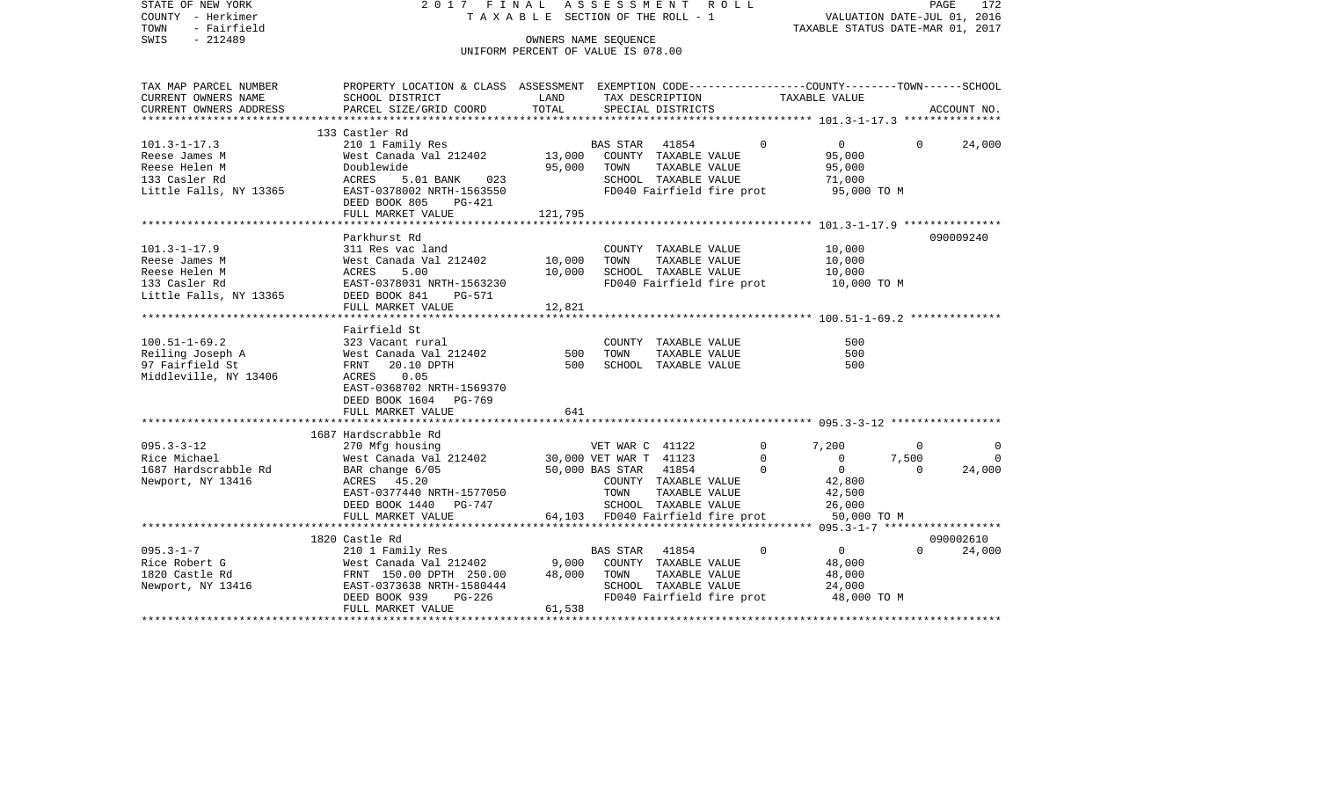| STATE OF NEW YORK<br>COUNTY - Herkimer<br>- Fairfield<br>TOWN | ASSESSMENT ROLL<br>2017 FINAL<br>TAXABLE SECTION OF THE ROLL - 1                                |                                    |                                                 |                                       |                           | PAGE<br>172<br>VALUATION DATE-JUL 01, 2016<br>TAXABLE STATUS DATE-MAR 01, 2017 |                   |                    |  |
|---------------------------------------------------------------|-------------------------------------------------------------------------------------------------|------------------------------------|-------------------------------------------------|---------------------------------------|---------------------------|--------------------------------------------------------------------------------|-------------------|--------------------|--|
| $-212489$<br>SWIS                                             | OWNERS NAME SEOUENCE                                                                            |                                    |                                                 |                                       |                           |                                                                                |                   |                    |  |
|                                                               |                                                                                                 | UNIFORM PERCENT OF VALUE IS 078.00 |                                                 |                                       |                           |                                                                                |                   |                    |  |
| TAX MAP PARCEL NUMBER                                         | PROPERTY LOCATION & CLASS ASSESSMENT EXEMPTION CODE----------------COUNTY-------TOWN-----SCHOOL |                                    |                                                 |                                       |                           |                                                                                |                   |                    |  |
| CURRENT OWNERS NAME                                           | SCHOOL DISTRICT                                                                                 | LAND                               |                                                 | TAX DESCRIPTION                       |                           | TAXABLE VALUE                                                                  |                   |                    |  |
| CURRENT OWNERS ADDRESS                                        | PARCEL SIZE/GRID COORD                                                                          | TOTAL                              |                                                 | SPECIAL DISTRICTS                     |                           |                                                                                |                   | ACCOUNT NO.        |  |
|                                                               |                                                                                                 |                                    |                                                 |                                       |                           |                                                                                |                   |                    |  |
|                                                               | 133 Castler Rd                                                                                  |                                    |                                                 |                                       |                           |                                                                                |                   |                    |  |
| $101.3 - 1 - 17.3$                                            | 210 1 Family Res                                                                                |                                    | BAS STAR                                        | 41854                                 | $\Omega$                  | $0 \qquad \qquad$                                                              | $\Omega$          | 24,000             |  |
| Reese James M<br>Reese Helen M                                | West Canada Val 212402<br>Doublewide                                                            | 13,000<br>95,000                   | TOWN                                            | COUNTY TAXABLE VALUE<br>TAXABLE VALUE |                           | 95,000<br>95,000                                                               |                   |                    |  |
| 133 Casler Rd                                                 | ACRES<br>5.01 BANK<br>023                                                                       |                                    |                                                 | SCHOOL TAXABLE VALUE                  |                           | 71,000                                                                         |                   |                    |  |
| Little Falls, NY 13365                                        | EAST-0378002 NRTH-1563550                                                                       |                                    |                                                 |                                       | FD040 Fairfield fire prot | 95,000 TO M                                                                    |                   |                    |  |
|                                                               | DEED BOOK 805<br>PG-421                                                                         |                                    |                                                 |                                       |                           |                                                                                |                   |                    |  |
|                                                               | FULL MARKET VALUE                                                                               | 121,795                            |                                                 |                                       |                           |                                                                                |                   |                    |  |
|                                                               |                                                                                                 |                                    |                                                 |                                       |                           |                                                                                |                   |                    |  |
|                                                               | Parkhurst Rd                                                                                    |                                    |                                                 |                                       |                           |                                                                                |                   | 090009240          |  |
| $101.3 - 1 - 17.9$                                            | 311 Res vac land                                                                                |                                    |                                                 | COUNTY TAXABLE VALUE                  |                           | 10,000                                                                         |                   |                    |  |
| Reese James M<br>Reese Helen M                                | West Canada Val 212402<br>ACRES<br>5.00                                                         | 10,000<br>10,000                   | TOWN                                            | TAXABLE VALUE<br>SCHOOL TAXABLE VALUE |                           | 10,000<br>10,000                                                               |                   |                    |  |
| 133 Casler Rd                                                 | EAST-0378031 NRTH-1563230                                                                       |                                    |                                                 |                                       | FD040 Fairfield fire prot | 10,000 TO M                                                                    |                   |                    |  |
| Little Falls, NY 13365                                        | DEED BOOK 841<br>PG-571                                                                         |                                    |                                                 |                                       |                           |                                                                                |                   |                    |  |
|                                                               | FULL MARKET VALUE                                                                               | 12,821                             |                                                 |                                       |                           |                                                                                |                   |                    |  |
|                                                               |                                                                                                 |                                    |                                                 |                                       |                           |                                                                                |                   |                    |  |
|                                                               | Fairfield St                                                                                    |                                    |                                                 |                                       |                           |                                                                                |                   |                    |  |
| $100.51 - 1 - 69.2$                                           | 323 Vacant rural                                                                                |                                    |                                                 | COUNTY TAXABLE VALUE                  |                           | 500                                                                            |                   |                    |  |
| Reiling Joseph A                                              | West Canada Val 212402                                                                          | 500<br>500                         | TOWN                                            | TAXABLE VALUE                         |                           | 500<br>500                                                                     |                   |                    |  |
| 97 Fairfield St<br>Middleville, NY 13406                      | FRNT<br>20.10 DPTH<br>ACRES<br>0.05                                                             |                                    |                                                 | SCHOOL TAXABLE VALUE                  |                           |                                                                                |                   |                    |  |
|                                                               | EAST-0368702 NRTH-1569370                                                                       |                                    |                                                 |                                       |                           |                                                                                |                   |                    |  |
|                                                               | DEED BOOK 1604 PG-769                                                                           |                                    |                                                 |                                       |                           |                                                                                |                   |                    |  |
|                                                               | FULL MARKET VALUE                                                                               | 641                                |                                                 |                                       |                           |                                                                                |                   |                    |  |
|                                                               |                                                                                                 |                                    |                                                 |                                       |                           |                                                                                |                   |                    |  |
|                                                               | 1687 Hardscrabble Rd                                                                            |                                    |                                                 |                                       |                           |                                                                                |                   |                    |  |
| $095.3 - 3 - 12$                                              | 270 Mfg housing                                                                                 |                                    | VET WAR C 41122                                 |                                       | $\mathbf{0}$              | 7,200                                                                          | $\Omega$          | $\Omega$           |  |
| Rice Michael<br>1687 Hardscrabble Rd                          | West Canada Val 212402<br>BAR change 6/05                                                       |                                    | 30,000 VET WAR T 41123<br>50,000 BAS STAR 41854 |                                       | $\mathbf{0}$<br>$\Omega$  | $\overline{\phantom{0}}$<br>$\overline{0}$                                     | 7,500<br>$\Omega$ | $\Omega$<br>24,000 |  |
| Newport, NY 13416                                             | ACRES 45.20                                                                                     |                                    |                                                 | COUNTY TAXABLE VALUE                  |                           | 42,800                                                                         |                   |                    |  |
|                                                               | EAST-0377440 NRTH-1577050                                                                       |                                    | TOWN                                            | TAXABLE VALUE                         |                           | 42,500                                                                         |                   |                    |  |
|                                                               | DEED BOOK 1440 PG-747                                                                           |                                    |                                                 | SCHOOL TAXABLE VALUE                  |                           | 26,000                                                                         |                   |                    |  |
|                                                               | FULL MARKET VALUE                                                                               |                                    | 64,103 FD040 Fairfield fire prot                |                                       |                           | 50,000 TO M                                                                    |                   |                    |  |
|                                                               |                                                                                                 |                                    |                                                 |                                       |                           |                                                                                |                   |                    |  |
|                                                               | 1820 Castle Rd                                                                                  |                                    |                                                 |                                       |                           |                                                                                |                   | 090002610          |  |
| $095.3 - 1 - 7$                                               | 210 1 Family Res                                                                                |                                    | <b>BAS STAR</b>                                 | 41854                                 | $\Omega$                  | $\overline{0}$                                                                 | $\Omega$          | 24,000             |  |
| Rice Robert G                                                 | West Canada Val 212402                                                                          | 9,000                              |                                                 | COUNTY TAXABLE VALUE                  |                           | 48,000                                                                         |                   |                    |  |
| 1820 Castle Rd<br>Newport, NY 13416                           | FRNT 150.00 DPTH 250.00<br>EAST-0373638 NRTH-1580444                                            | 48,000                             | TOWN                                            | TAXABLE VALUE<br>SCHOOL TAXABLE VALUE |                           | 48,000<br>24,000                                                               |                   |                    |  |
|                                                               | DEED BOOK 939<br>PG-226                                                                         |                                    |                                                 |                                       | FD040 Fairfield fire prot | 48,000 TO M                                                                    |                   |                    |  |
|                                                               | FULL MARKET VALUE                                                                               | 61,538                             |                                                 |                                       |                           |                                                                                |                   |                    |  |
|                                                               |                                                                                                 |                                    |                                                 |                                       |                           |                                                                                |                   |                    |  |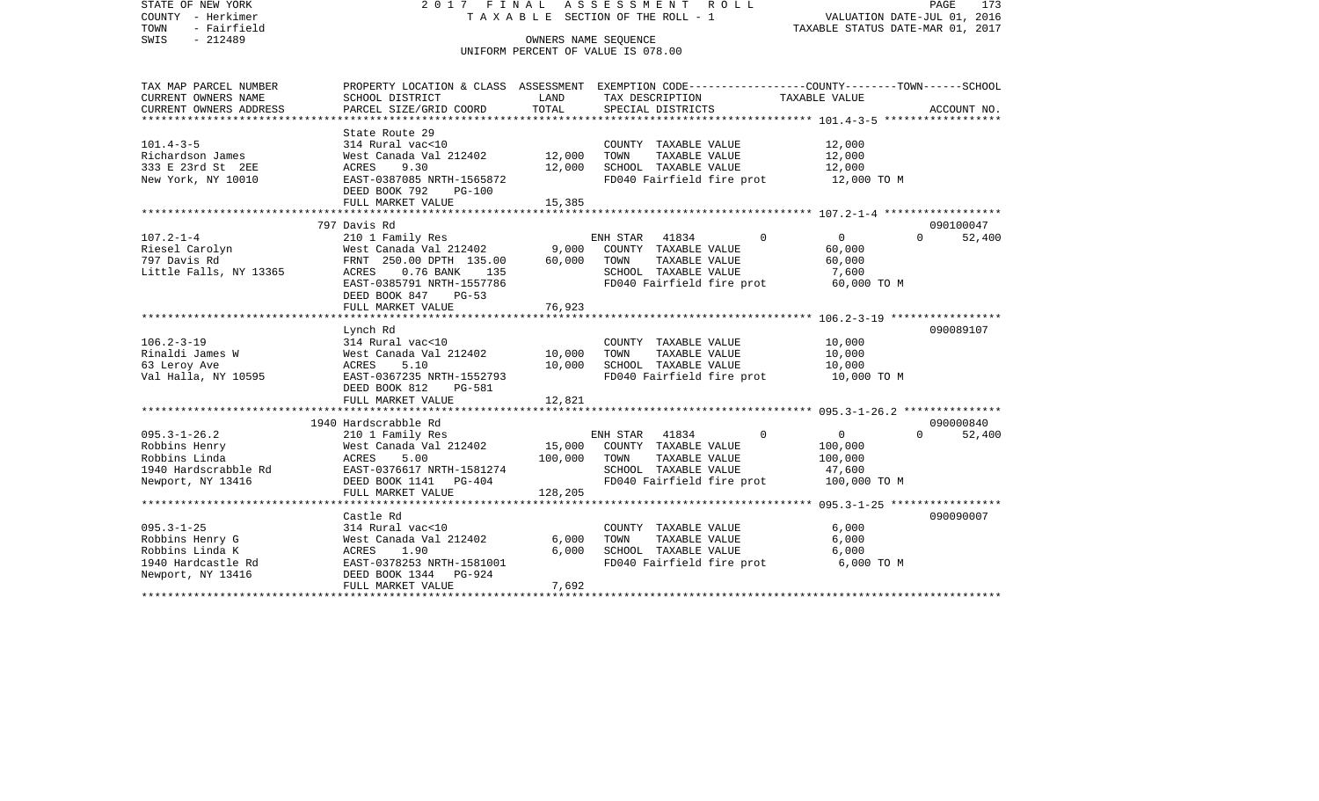| STATE OF NEW YORK<br>COUNTY - Herkimer<br>- Fairfield<br>TOWN<br>$-212489$<br>SWIS | 2017 FINAL<br>T A X A B L E SECTION OF THE ROLL - 1                                                                                   | PAGE<br>173<br>VALUATION DATE-JUL 01, 2016<br>TAXABLE STATUS DATE-MAR 01, 2017 |                                                            |               |                            |             |        |
|------------------------------------------------------------------------------------|---------------------------------------------------------------------------------------------------------------------------------------|--------------------------------------------------------------------------------|------------------------------------------------------------|---------------|----------------------------|-------------|--------|
|                                                                                    |                                                                                                                                       |                                                                                | OWNERS NAME SEOUENCE<br>UNIFORM PERCENT OF VALUE IS 078.00 |               |                            |             |        |
|                                                                                    |                                                                                                                                       |                                                                                |                                                            |               |                            |             |        |
| TAX MAP PARCEL NUMBER<br>CURRENT OWNERS NAME                                       | PROPERTY LOCATION & CLASS ASSESSMENT EXEMPTION CODE----------------COUNTY-------TOWN------SCHOOL<br>SCHOOL DISTRICT                   | LAND                                                                           | TAX DESCRIPTION                                            |               | TAXABLE VALUE              |             |        |
| CURRENT OWNERS ADDRESS<br>************************                                 | PARCEL SIZE/GRID COORD                                                                                                                | TOTAL                                                                          | SPECIAL DISTRICTS                                          |               |                            | ACCOUNT NO. |        |
|                                                                                    | State Route 29                                                                                                                        |                                                                                |                                                            |               |                            |             |        |
| $101.4 - 3 - 5$                                                                    | 314 Rural vac<10                                                                                                                      |                                                                                | COUNTY TAXABLE VALUE                                       |               | 12,000                     |             |        |
| Richardson James                                                                   | West Canada Val 212402                                                                                                                | 12,000                                                                         | TOWN                                                       | TAXABLE VALUE | 12,000                     |             |        |
| 333 E 23rd St 2EE                                                                  | ACRES<br>9.30                                                                                                                         | 12,000                                                                         | SCHOOL TAXABLE VALUE                                       |               | 12,000                     |             |        |
| New York, NY 10010                                                                 | EAST-0387085 NRTH-1565872<br>DEED BOOK 792<br>PG-100                                                                                  |                                                                                | FD040 Fairfield fire prot                                  |               | 12,000 TO M                |             |        |
|                                                                                    | FULL MARKET VALUE                                                                                                                     | 15,385                                                                         |                                                            |               |                            |             |        |
|                                                                                    | 797 Davis Rd                                                                                                                          |                                                                                |                                                            |               |                            | 090100047   |        |
| $107.2 - 1 - 4$                                                                    | 210 1 Family Res                                                                                                                      |                                                                                | ENH STAR<br>41834                                          |               | $\Omega$<br>$\mathbf{0}$   | $\Omega$    | 52,400 |
| Riesel Carolyn                                                                     | West Canada Val 212402                                                                                                                | 9,000                                                                          | COUNTY TAXABLE VALUE                                       |               | 60,000                     |             |        |
| 797 Davis Rd                                                                       | FRNT 250.00 DPTH 135.00                                                                                                               | 60,000                                                                         | TOWN                                                       | TAXABLE VALUE | 60,000                     |             |        |
| Little Falls, NY 13365                                                             | ACRES<br>$0.76$ BANK<br>135                                                                                                           |                                                                                | SCHOOL TAXABLE VALUE                                       |               | 7,600                      |             |        |
|                                                                                    | EAST-0385791 NRTH-1557786<br>DEED BOOK 847<br>$PG-53$                                                                                 |                                                                                | FD040 Fairfield fire prot                                  |               | 60,000 TO M                |             |        |
|                                                                                    | FULL MARKET VALUE                                                                                                                     | 76,923                                                                         |                                                            |               |                            |             |        |
|                                                                                    | Lynch Rd                                                                                                                              |                                                                                |                                                            |               |                            | 090089107   |        |
| $106.2 - 3 - 19$                                                                   | 314 Rural vac<10                                                                                                                      |                                                                                | COUNTY TAXABLE VALUE                                       |               | 10,000                     |             |        |
| Rinaldi James W                                                                    | West Canada Val 212402                                                                                                                | 10,000                                                                         | TOWN                                                       | TAXABLE VALUE | 10,000                     |             |        |
| 63 Leroy Ave                                                                       | ACRES<br>5.10                                                                                                                         | 10,000                                                                         | SCHOOL TAXABLE VALUE                                       |               | 10,000                     |             |        |
| Val Halla, NY 10595                                                                | EAST-0367235 NRTH-1552793                                                                                                             |                                                                                | FD040 Fairfield fire prot                                  |               | 10,000 TO M                |             |        |
|                                                                                    | DEED BOOK 812<br><b>PG-581</b>                                                                                                        |                                                                                |                                                            |               |                            |             |        |
| *****************                                                                  | FULL MARKET VALUE<br>اللواحظة المواطن المواطن المواطن المواطن المواطن المواطن المواطن المواطن المواطن المواطن المواطن المواطن المواطن | 12,821                                                                         |                                                            |               |                            |             |        |
|                                                                                    | 1940 Hardscrabble Rd                                                                                                                  |                                                                                |                                                            |               |                            | 090000840   |        |
| $095.3 - 1 - 26.2$                                                                 | 210 1 Family Res                                                                                                                      |                                                                                | ENH STAR<br>41834                                          |               | $\overline{0}$<br>$\Omega$ | $\Omega$    | 52,400 |
| Robbins Henry                                                                      | West Canada Val 212402                                                                                                                | 15,000                                                                         | COUNTY TAXABLE VALUE                                       |               | 100,000                    |             |        |
| Robbins Linda                                                                      | ACRES<br>5.00                                                                                                                         | 100,000                                                                        | TOWN                                                       | TAXABLE VALUE | 100,000                    |             |        |
| 1940 Hardscrabble Rd                                                               | EAST-0376617 NRTH-1581274                                                                                                             |                                                                                | SCHOOL TAXABLE VALUE                                       |               | 47,600                     |             |        |
| Newport, NY 13416                                                                  | DEED BOOK 1141<br>PG-404                                                                                                              |                                                                                | FD040 Fairfield fire prot                                  |               | 100,000 TO M               |             |        |
|                                                                                    | FULL MARKET VALUE                                                                                                                     | 128,205                                                                        |                                                            |               |                            |             |        |
|                                                                                    |                                                                                                                                       |                                                                                |                                                            |               |                            |             |        |
|                                                                                    | Castle Rd                                                                                                                             |                                                                                |                                                            |               |                            | 090090007   |        |
| $095.3 - 1 - 25$                                                                   | 314 Rural vac<10                                                                                                                      |                                                                                | COUNTY TAXABLE VALUE<br>TOWN                               |               | 6,000                      |             |        |
| Robbins Henry G<br>Robbins Linda K                                                 | West Canada Val 212402<br>ACRES<br>1.90                                                                                               | 6,000<br>6,000                                                                 | SCHOOL TAXABLE VALUE                                       | TAXABLE VALUE | 6,000<br>6,000             |             |        |
| 1940 Hardcastle Rd                                                                 | EAST-0378253 NRTH-1581001                                                                                                             |                                                                                | FD040 Fairfield fire prot                                  |               | 6,000 TO M                 |             |        |
| Newport, NY 13416                                                                  | DEED BOOK 1344<br>PG-924                                                                                                              |                                                                                |                                                            |               |                            |             |        |
|                                                                                    | FULL MARKET VALUE                                                                                                                     | 7,692                                                                          |                                                            |               |                            |             |        |
|                                                                                    |                                                                                                                                       |                                                                                |                                                            |               |                            |             |        |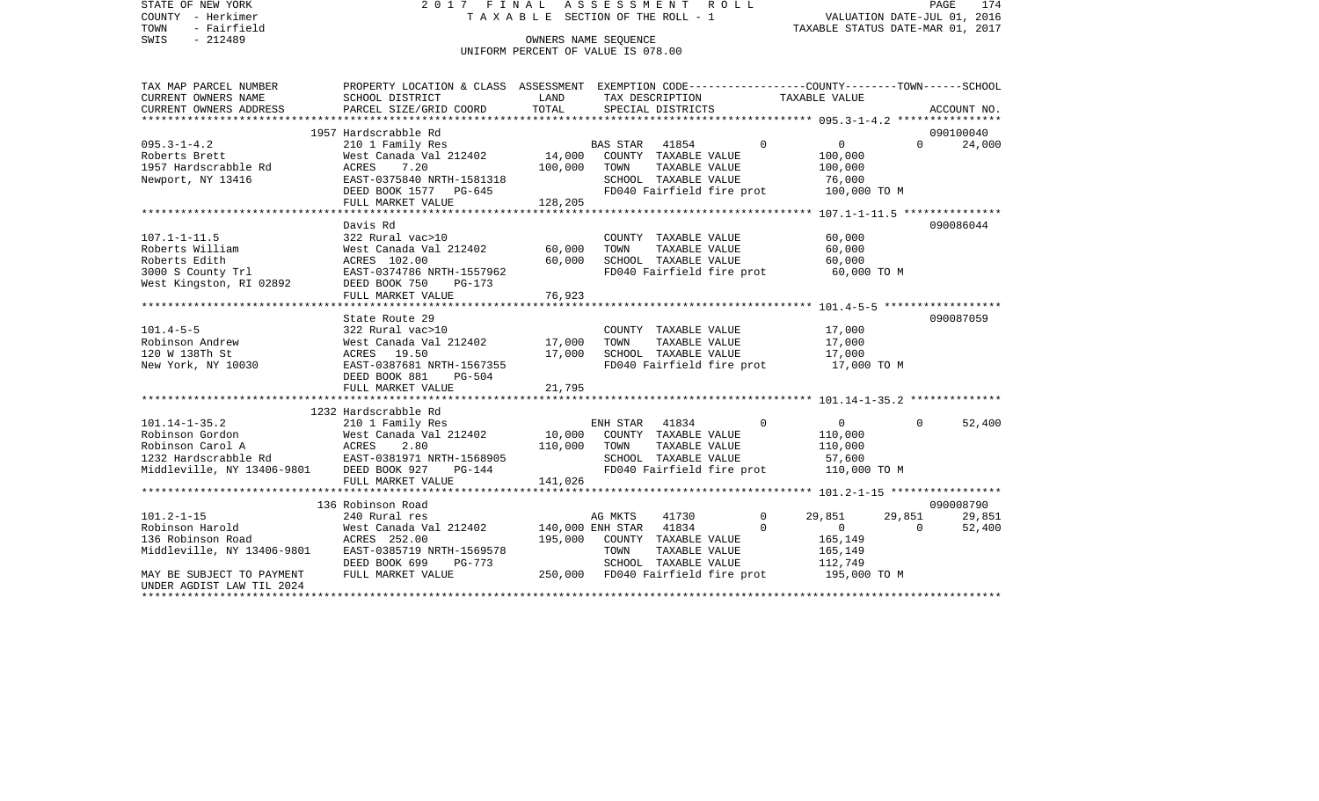STATE OF NEW YORK 2 0 1 7 F I N A L A S S E S S M E N T R O L L PAGE 174VALUATION DATE-JUL 01, 2016 COUNTY - Herkimer T A X A B L E SECTION OF THE ROLL - 1 TOWN - Fairfield TAXABLE STATUS DATE-MAR 01, 2017 SWIS - 212489 CONNERS NAME SEQUENCE UNIFORM PERCENT OF VALUE IS 078.00TAX MAP PARCEL NUMBER PROPERTY LOCATION & CLASS ASSESSMENT EXEMPTION CODE------------------COUNTY--------TOWN------SCHOOL CURRENT OWNERS NAME SCHOOL DISTRICT LAND TAX DESCRIPTION TAXABLE VALUECURRENT OWNERS ADDRESS PARCEL SIZE/GRID COORD TOTAL SPECIAL DISTRICTS ACCOUNT NO. \*\*\*\*\*\*\*\*\*\*\*\*\*\*\*\*\*\*\*\*\*\*\*\*\*\*\*\*\*\*\*\*\*\*\*\*\*\*\*\*\*\*\*\*\*\*\*\*\*\*\*\*\*\*\*\*\*\*\*\*\*\*\*\*\*\*\*\*\*\*\*\*\*\*\*\*\*\*\*\*\*\*\*\*\*\*\*\*\*\*\*\*\*\*\*\*\*\*\*\*\*\*\* 095.3-1-4.2 \*\*\*\*\*\*\*\*\*\*\*\*\*\*\*\* 1957 Hardscrabble Rd 090100040095.3-1-4.2 210 1 Family Res BAS STAR 41854 0 0 0 24,000 Roberts Brett 6100,000 West Canada Val 212402 14,000 COUNTY TAXABLE VALUE 100,000 1957 Hardscrabble Rd ACRES 7.20 100,000 TOWN TAXABLE VALUE 100,000 Newport, NY 13416 EAST-0375840 NRTH-1581318 SCHOOL TAXABLE VALUE 76,000 DEED BOOK 1577 PG-645 FD040 Fairfield fire prot 100,000 TO M FULL MARKET VALUE 128,205 \*\*\*\*\*\*\*\*\*\*\*\*\*\*\*\*\*\*\*\*\*\*\*\*\*\*\*\*\*\*\*\*\*\*\*\*\*\*\*\*\*\*\*\*\*\*\*\*\*\*\*\*\*\*\*\*\*\*\*\*\*\*\*\*\*\*\*\*\*\*\*\*\*\*\*\*\*\*\*\*\*\*\*\*\*\*\*\*\*\*\*\*\*\*\*\*\*\*\*\*\*\*\* 107.1-1-11.5 \*\*\*\*\*\*\*\*\*\*\*\*\*\*\* Davis Rd 090086044107.1-1-11.5 322 Rural vac>10 COUNTY TAXABLE VALUE 60,000 Roberts William West Canada Val 212402 60,000 TOWN TAXABLE VALUE 60,000 Roberts Edith ACRES 102.00 60,000 SCHOOL TAXABLE VALUE 60,000 3000 S County Trl EAST-0374786 NRTH-1557962 FD040 Fairfield fire prot 60,000 TO M West Kingston, RI 02892 DEED BOOK 750 PG-173 FULL MARKET VALUE 76,923 \*\*\*\*\*\*\*\*\*\*\*\*\*\*\*\*\*\*\*\*\*\*\*\*\*\*\*\*\*\*\*\*\*\*\*\*\*\*\*\*\*\*\*\*\*\*\*\*\*\*\*\*\*\*\*\*\*\*\*\*\*\*\*\*\*\*\*\*\*\*\*\*\*\*\*\*\*\*\*\*\*\*\*\*\*\*\*\*\*\*\*\*\*\*\*\*\*\*\*\*\*\*\* 101.4-5-5 \*\*\*\*\*\*\*\*\*\*\*\*\*\*\*\*\*\*State Route 29 090087059 101.4-5-5 322 Rural vac>10 COUNTY TAXABLE VALUE 17,000 Robinson Andrew 617,000 West Canada Val 212402 17,000 TOWN TAXABLE VALUE 17,000 120 W 138Th St ACRES 19.50 17,000 SCHOOL TAXABLE VALUE 17,000 New York, NY 10030 **EAST-0387681 NRTH-1567355** FD040 Fairfield fire prot 17,000 TO M DEED BOOK 881 PG-504FULL MARKET VALUE 21,795 \*\*\*\*\*\*\*\*\*\*\*\*\*\*\*\*\*\*\*\*\*\*\*\*\*\*\*\*\*\*\*\*\*\*\*\*\*\*\*\*\*\*\*\*\*\*\*\*\*\*\*\*\*\*\*\*\*\*\*\*\*\*\*\*\*\*\*\*\*\*\*\*\*\*\*\*\*\*\*\*\*\*\*\*\*\*\*\*\*\*\*\*\*\*\*\*\*\*\*\*\*\*\* 101.14-1-35.2 \*\*\*\*\*\*\*\*\*\*\*\*\*\* 1232 Hardscrabble Rd101.14-1-35.2 210 1 Family Res ENH STAR 41834 0 0 0 52,400 Robinson Gordon 600 West Canada Val 212402 10,000 COUNTY TAXABLE VALUE 110,000 Robinson Carol A ACRES 2.80 110,000 TOWN TAXABLE VALUE 110,000 1232 Hardscrabble Rd EAST-0381971 NRTH-1568905 SCHOOL TAXABLE VALUE 57,600 Middleville, NY 13406-9801 DEED BOOK 927 PG-144 FD040 Fairfield fire prot 110,000 TO M FULL MARKET VALUE 141,026 \*\*\*\*\*\*\*\*\*\*\*\*\*\*\*\*\*\*\*\*\*\*\*\*\*\*\*\*\*\*\*\*\*\*\*\*\*\*\*\*\*\*\*\*\*\*\*\*\*\*\*\*\*\*\*\*\*\*\*\*\*\*\*\*\*\*\*\*\*\*\*\*\*\*\*\*\*\*\*\*\*\*\*\*\*\*\*\*\*\*\*\*\*\*\*\*\*\*\*\*\*\*\* 101.2-1-15 \*\*\*\*\*\*\*\*\*\*\*\*\*\*\*\*\* 136 Robinson Road 090008790101.2-1-15 240 Rural res AG MKTS 41730 0 29,851 29,851 29,851 Robinson Harold 60 62,400 West Canada Val 212402 140,000 ENH STAR 41834 0 0 0 52,400 136 Robinson Road ACRES 252.00 195,000 COUNTY TAXABLE VALUE 165,149 Middleville, NY 13406-9801 EAST-0385719 NRTH-1569578 TOWN TAXABLE VALUE 165,149 DEED BOOK 699 PG-773 SCHOOL TAXABLE VALUE 112,749 MAY BE SUBJECT TO PAYMENT FULL MARKET VALUE  $250,000$  FD040 Fairfield fire prot 195,000 TO M UNDER AGDIST LAW TIL 2024\*\*\*\*\*\*\*\*\*\*\*\*\*\*\*\*\*\*\*\*\*\*\*\*\*\*\*\*\*\*\*\*\*\*\*\*\*\*\*\*\*\*\*\*\*\*\*\*\*\*\*\*\*\*\*\*\*\*\*\*\*\*\*\*\*\*\*\*\*\*\*\*\*\*\*\*\*\*\*\*\*\*\*\*\*\*\*\*\*\*\*\*\*\*\*\*\*\*\*\*\*\*\*\*\*\*\*\*\*\*\*\*\*\*\*\*\*\*\*\*\*\*\*\*\*\*\*\*\*\*\*\*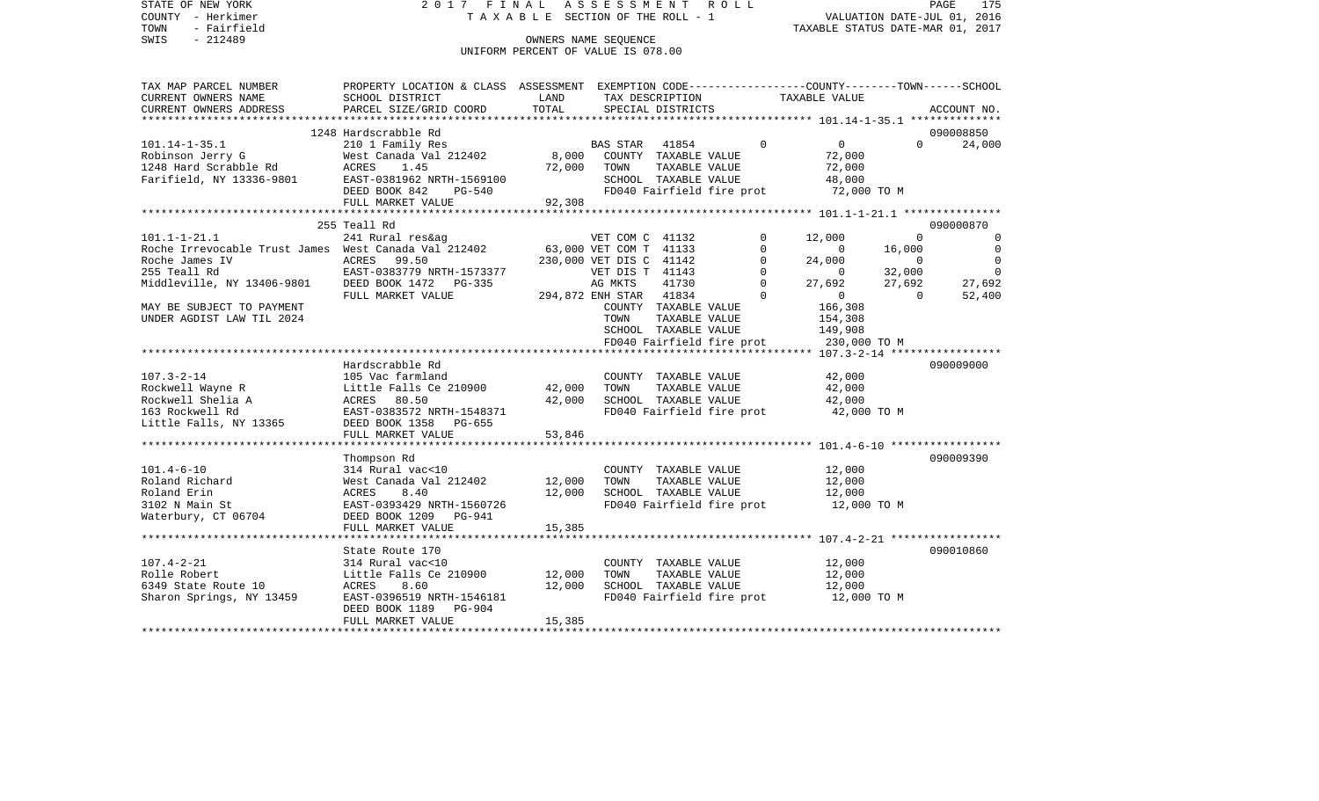STATE OF NEW YORK 2 0 1 7 F I N A L A S S E S S M E N T R O L L PAGE 175VALUATION DATE-JUL 01, 2016 COUNTY - Herkimer T A X A B L E SECTION OF THE ROLL - 1 TOWN - Fairfield TAXABLE STATUS DATE-MAR 01, 2017 SWIS - 212489 CONNERS NAME SEQUENCE UNIFORM PERCENT OF VALUE IS 078.00TAX MAP PARCEL NUMBER PROPERTY LOCATION & CLASS ASSESSMENT EXEMPTION CODE------------------COUNTY--------TOWN------SCHOOL CURRENT OWNERS NAME SCHOOL DISTRICT LAND TAX DESCRIPTION TAXABLE VALUECURRENT OWNERS ADDRESS PARCEL SIZE/GRID COORD TOTAL SPECIAL DISTRICTS ACCOUNT NO. \*\*\*\*\*\*\*\*\*\*\*\*\*\*\*\*\*\*\*\*\*\*\*\*\*\*\*\*\*\*\*\*\*\*\*\*\*\*\*\*\*\*\*\*\*\*\*\*\*\*\*\*\*\*\*\*\*\*\*\*\*\*\*\*\*\*\*\*\*\*\*\*\*\*\*\*\*\*\*\*\*\*\*\*\*\*\*\*\*\*\*\*\*\*\*\*\*\*\*\*\*\*\* 101.14-1-35.1 \*\*\*\*\*\*\*\*\*\*\*\*\*\* 1248 Hardscrabble Rd 090008850101.14-1-35.1 210 1 Family Res BAS STAR 41854 0 0 0 24,000 Robinson Jerry G 600 West Canada Val 212402 8,000 COUNTY TAXABLE VALUE 72,000 1248 Hard Scrabble Rd ACRES 1.45 72,000 TOWN TAXABLE VALUE 72,000 Farifield, NY 13336-9801 EAST-0381962 NRTH-1569100 SCHOOL TAXABLE VALUE 48,000 DEED BOOK 842 PG-540 FD040 Fairfield fire prot 72,000 TO M FULL MARKET VALUE 92,308 \*\*\*\*\*\*\*\*\*\*\*\*\*\*\*\*\*\*\*\*\*\*\*\*\*\*\*\*\*\*\*\*\*\*\*\*\*\*\*\*\*\*\*\*\*\*\*\*\*\*\*\*\*\*\*\*\*\*\*\*\*\*\*\*\*\*\*\*\*\*\*\*\*\*\*\*\*\*\*\*\*\*\*\*\*\*\*\*\*\*\*\*\*\*\*\*\*\*\*\*\*\*\* 101.1-1-21.1 \*\*\*\*\*\*\*\*\*\*\*\*\*\*\* 255 Teall Rd 090000870101.1-1-21.1 241 Rural res&ag VET COM C 41132 0 12,000 0 0 Roche Irrevocable Trust James West Canada Val 212402 63,000 VET COM T 41133 0 0 0 16,000 0 0 0 0 16 Roche James IV ACRES 99.50 230,000 VET DIS C 41142 0 24,000 0 0 255 Teall Rd EAST-0383779 NRTH-1573377 VET DIS T 41143 0 0 32,000 0 Middleville, NY 13406-9801 DEED BOOK 1472 PG-335 AG MKTS 41730 0 27,692 27,692 27,692 FULL MARKET VALUE 294,872 ENH STAR 41834 0 0 0 52,400 MAY BE SUBJECT TO PAYMENT COUNTY TAXABLE VALUE 166,308 UNDER AGDIST LAW TIL 2024 TOWN TAXABLE VALUE 154,308 SCHOOL TAXABLE VALUE 149,908 FD040 Fairfield fire prot 230,000 TO M \*\*\*\*\*\*\*\*\*\*\*\*\*\*\*\*\*\*\*\*\*\*\*\*\*\*\*\*\*\*\*\*\*\*\*\*\*\*\*\*\*\*\*\*\*\*\*\*\*\*\*\*\*\*\*\*\*\*\*\*\*\*\*\*\*\*\*\*\*\*\*\*\*\*\*\*\*\*\*\*\*\*\*\*\*\*\*\*\*\*\*\*\*\*\*\*\*\*\*\*\*\*\* 107.3-2-14 \*\*\*\*\*\*\*\*\*\*\*\*\*\*\*\*\* Hardscrabble Rd 090009000107.3-2-14 105 Vac farmland COUNTY TAXABLE VALUE 42,000 Rockwell Wayne R Little Falls Ce 210900 42,000 TOWN TAXABLE VALUE 42,000<br>Rockwell Shelia A ACRES 80.50 42,000 SCHOOL TAXABLE VA Rockwell Shelia A **ACRES** 80.50 42,000 SCHOOL TAXABLE VALUE 163 Rockwell Rd EAST-0383572 NRTH-1548371 FD040 Fairfield fire prot 42,000 TO M Little Falls, NY 13365 DEED BOOK 1358 PG-655 FULL MARKET VALUE 53,846 \*\*\*\*\*\*\*\*\*\*\*\*\*\*\*\*\*\*\*\*\*\*\*\*\*\*\*\*\*\*\*\*\*\*\*\*\*\*\*\*\*\*\*\*\*\*\*\*\*\*\*\*\*\*\*\*\*\*\*\*\*\*\*\*\*\*\*\*\*\*\*\*\*\*\*\*\*\*\*\*\*\*\*\*\*\*\*\*\*\*\*\*\*\*\*\*\*\*\*\*\*\*\* 101.4-6-10 \*\*\*\*\*\*\*\*\*\*\*\*\*\*\*\*\* Thompson Rd 090009390 101.4-6-10 314 Rural vac<10 COUNTY TAXABLE VALUE 12,000 Roland Richard West Canada Val 212402 12,000 TOWN TAXABLE VALUE 12,000 Roland Erin ACRES 8.40 12,000 SCHOOL TAXABLE VALUE 12,000 3102 N Main St EAST-0393429 NRTH-1560726 FD040 Fairfield fire prot 12,000 TO M Waterbury, CT 06704 DEED BOOK 1209 PG-941 FULL MARKET VALUE 15,385 \*\*\*\*\*\*\*\*\*\*\*\*\*\*\*\*\*\*\*\*\*\*\*\*\*\*\*\*\*\*\*\*\*\*\*\*\*\*\*\*\*\*\*\*\*\*\*\*\*\*\*\*\*\*\*\*\*\*\*\*\*\*\*\*\*\*\*\*\*\*\*\*\*\*\*\*\*\*\*\*\*\*\*\*\*\*\*\*\*\*\*\*\*\*\*\*\*\*\*\*\*\*\* 107.4-2-21 \*\*\*\*\*\*\*\*\*\*\*\*\*\*\*\*\*State Route 170 090010860 107.4-2-21 314 Rural vac<10 COUNTY TAXABLE VALUE 12,000 Rolle Robert Little Falls Ce 210900 12,000 TOWN TAXABLE VALUE 12,000 6349 State Route 10 ACRES 8.60 12,000 SCHOOL TAXABLE VALUE 12,000 Sharon Springs, NY 13459 EAST-0396519 NRTH-1546181 FD040 Fairfield fire prot 12,000 TO M DEED BOOK 1189 PG-904FULL MARKET VALUE 15,385 \*\*\*\*\*\*\*\*\*\*\*\*\*\*\*\*\*\*\*\*\*\*\*\*\*\*\*\*\*\*\*\*\*\*\*\*\*\*\*\*\*\*\*\*\*\*\*\*\*\*\*\*\*\*\*\*\*\*\*\*\*\*\*\*\*\*\*\*\*\*\*\*\*\*\*\*\*\*\*\*\*\*\*\*\*\*\*\*\*\*\*\*\*\*\*\*\*\*\*\*\*\*\*\*\*\*\*\*\*\*\*\*\*\*\*\*\*\*\*\*\*\*\*\*\*\*\*\*\*\*\*\*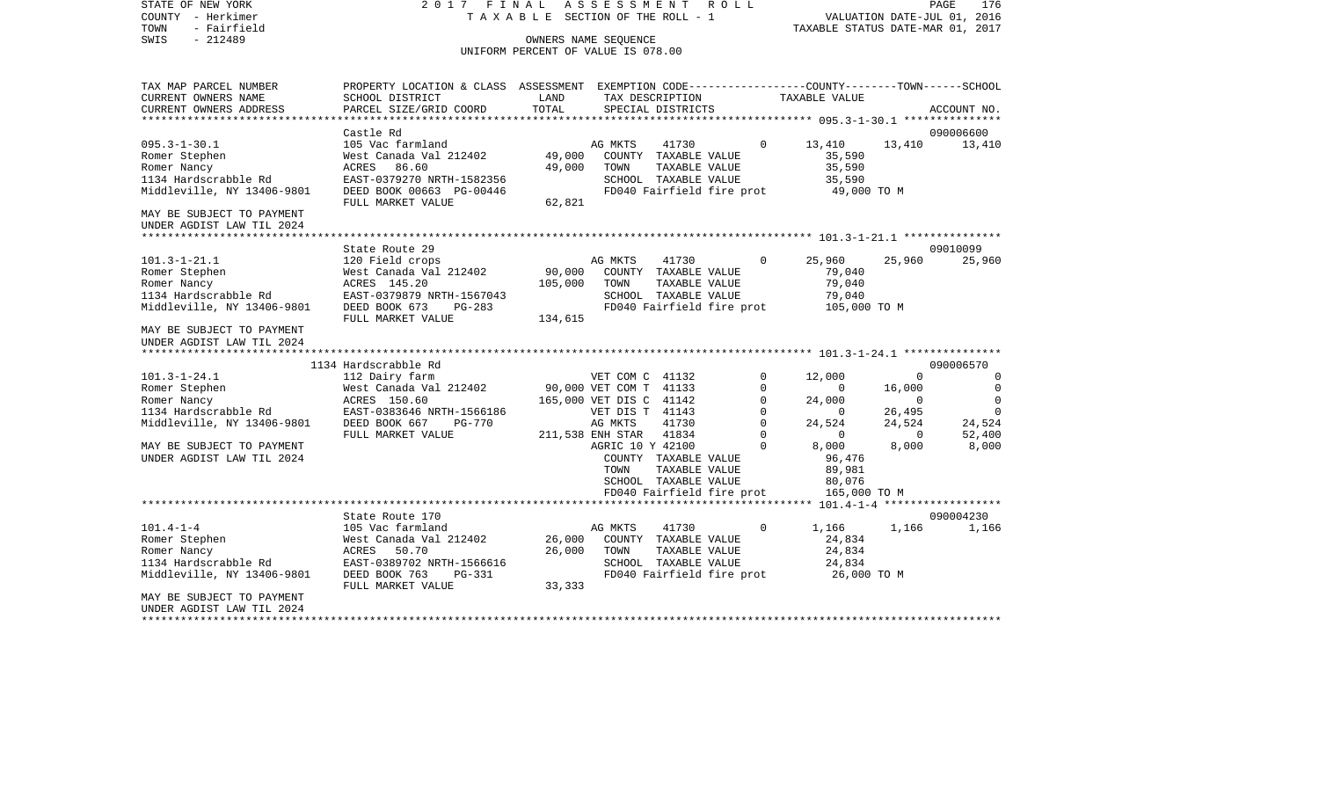COUNTY - Herkimer T A X A B L E SECTION OF THE ROLL - 1 VALUATION DATE-JUL 01, 2016 TOWN - Fairfield TAXABLE STATUS DATE-MAR 01, 2017 SWIS - 212489 OWNERS NAME SEQUENCE UNIFORM PERCENT OF VALUE IS 078.00TAX MAP PARCEL NUMBER PROPERTY LOCATION & CLASS ASSESSMENT EXEMPTION CODE------------------COUNTY--------TOWN------SCHOOL CURRENT OWNERS NAME SCHOOL DISTRICT LAND TAX DESCRIPTION TAXABLE VALUECURRENT OWNERS ADDRESS PARCEL SIZE/GRID COORD TOTAL SPECIAL DISTRICTS ACCOUNT NO. \*\*\*\*\*\*\*\*\*\*\*\*\*\*\*\*\*\*\*\*\*\*\*\*\*\*\*\*\*\*\*\*\*\*\*\*\*\*\*\*\*\*\*\*\*\*\*\*\*\*\*\*\*\*\*\*\*\*\*\*\*\*\*\*\*\*\*\*\*\*\*\*\*\*\*\*\*\*\*\*\*\*\*\*\*\*\*\*\*\*\*\*\*\*\*\*\*\*\*\*\*\*\* 095.3-1-30.1 \*\*\*\*\*\*\*\*\*\*\*\*\*\*\* Castle Rd 090006600095.3-1-30.1 105 Vac farmland 196 AG MKTS 41730 0 13,410 13,410 13,410 13,410 Romer Stephen West Canada Val 212402 49,000 COUNTY TAXABLE VALUE 35,590 Romer Nancy **ACRES 86.60** 49,000 TOWN TAXABLE VALUE 35,590 1134 Hardscrabble Rd EAST-0379270 NRTH-1582356 SCHOOL TAXABLE VALUE 35,590 Middleville, NY 13406-9801 DEED BOOK 00663 PG-00446 FD040 Fairfield fire prot 49,000 TO M FULL MARKET VALUE 62,821 MAY BE SUBJECT TO PAYMENT UNDER AGDIST LAW TIL 2024 \*\*\*\*\*\*\*\*\*\*\*\*\*\*\*\*\*\*\*\*\*\*\*\*\*\*\*\*\*\*\*\*\*\*\*\*\*\*\*\*\*\*\*\*\*\*\*\*\*\*\*\*\*\*\*\*\*\*\*\*\*\*\*\*\*\*\*\*\*\*\*\*\*\*\*\*\*\*\*\*\*\*\*\*\*\*\*\*\*\*\*\*\*\*\*\*\*\*\*\*\*\*\* 101.3-1-21.1 \*\*\*\*\*\*\*\*\*\*\*\*\*\*\* $State$  Route 29 09010099 101.3-1-21.1 120 Field crops AG MKTS 41730 0 25,960 25,960 25,960 Romer Stephen West Canada Val 212402 90,000 COUNTY TAXABLE VALUE 79,040 Romer Nancy ACRES 145.20 105,000 TOWN TAXABLE VALUE 79,040 1134 Hardscrabble Rd EAST-0379879 NRTH-1567043 SCHOOL TAXABLE VALUE 79,040 Middleville, NY 13406-9801 DEED BOOK 673 PG-283 FD040 Fairfield fire prot 105,000 TO M FULL MARKET VALUE 134.615 MAY BE SUBJECT TO PAYMENTUNDER AGDIST LAW TIL 2024 \*\*\*\*\*\*\*\*\*\*\*\*\*\*\*\*\*\*\*\*\*\*\*\*\*\*\*\*\*\*\*\*\*\*\*\*\*\*\*\*\*\*\*\*\*\*\*\*\*\*\*\*\*\*\*\*\*\*\*\*\*\*\*\*\*\*\*\*\*\*\*\*\*\*\*\*\*\*\*\*\*\*\*\*\*\*\*\*\*\*\*\*\*\*\*\*\*\*\*\*\*\*\* 101.3-1-24.1 \*\*\*\*\*\*\*\*\*\*\*\*\*\*\* 1134 Hardscrabble Rd 090006570101.3-1-24.1 112 Dairy farm VET COM C 41132 0 12,000 0 0 0 Romer Stephen West Canada Val 212402 90,000 VET COM T 41133 0 0 16,000 0 Romer Nancy ACRES 150.60 165,000 VET DIS C 41142 0 24,000 0 0 1134 Hardscrabble Rd EAST-0383646 NRTH-1566186 VET DIS T 41143 0 0 26,495 0 Middleville, NY 13406-9801 DEED BOOK 667 PG-770 AG MKTS 41730 0 24,524 24,524 24,524 FULL MARKET VALUE 211,538 ENH STAR 41834 0 0 0 52,400 MAY BE SUBJECT TO PAYMENT **AGRIC 10 Y 42100** 0 8,000 8,000 8,000 8,000 UNDER AGDIST LAW TIL 2024 **COUNTY TAXABLE VALUE** 96,476 TOWN TAXABLE VALUE 89,981 SCHOOL TAXABLE VALUE 80.076 FD040 Fairfield fire prot 165,000 TO M \*\*\*\*\*\*\*\*\*\*\*\*\*\*\*\*\*\*\*\*\*\*\*\*\*\*\*\*\*\*\*\*\*\*\*\*\*\*\*\*\*\*\*\*\*\*\*\*\*\*\*\*\*\*\*\*\*\*\*\*\*\*\*\*\*\*\*\*\*\*\*\*\*\*\*\*\*\*\*\*\*\*\*\*\*\*\*\*\*\*\*\*\*\*\*\*\*\*\*\*\*\*\* 101.4-1-4 \*\*\*\*\*\*\*\*\*\*\*\*\*\*\*\*\*\*State Route 170 090004230 101.4-1-4 105 Vac farmland 105 AG MKTS 41730 0 1,166 1,166 1,166 1,166 Romer Stephen West Canada Val 212402 26,000 COUNTY TAXABLE VALUE 24,834 Romer Nancy ACRES 50.70 26,000 TOWN TAXABLE VALUE 24,834 1134 Hardscrabble Rd EAST-0389702 NRTH-1566616 SCHOOL TAXABLE VALUE 24,834 Middleville, NY 13406-9801 DEED BOOK 763 PG-331 FD040 Fairfield fire prot 26,000 TO M FULL MARKET VALUE 33,333 MAY BE SUBJECT TO PAYMENT UNDER AGDIST LAW TIL 2024\*\*\*\*\*\*\*\*\*\*\*\*\*\*\*\*\*\*\*\*\*\*\*\*\*\*\*\*\*\*\*\*\*\*\*\*\*\*\*\*\*\*\*\*\*\*\*\*\*\*\*\*\*\*\*\*\*\*\*\*\*\*\*\*\*\*\*\*\*\*\*\*\*\*\*\*\*\*\*\*\*\*\*\*\*\*\*\*\*\*\*\*\*\*\*\*\*\*\*\*\*\*\*\*\*\*\*\*\*\*\*\*\*\*\*\*\*\*\*\*\*\*\*\*\*\*\*\*\*\*\*\*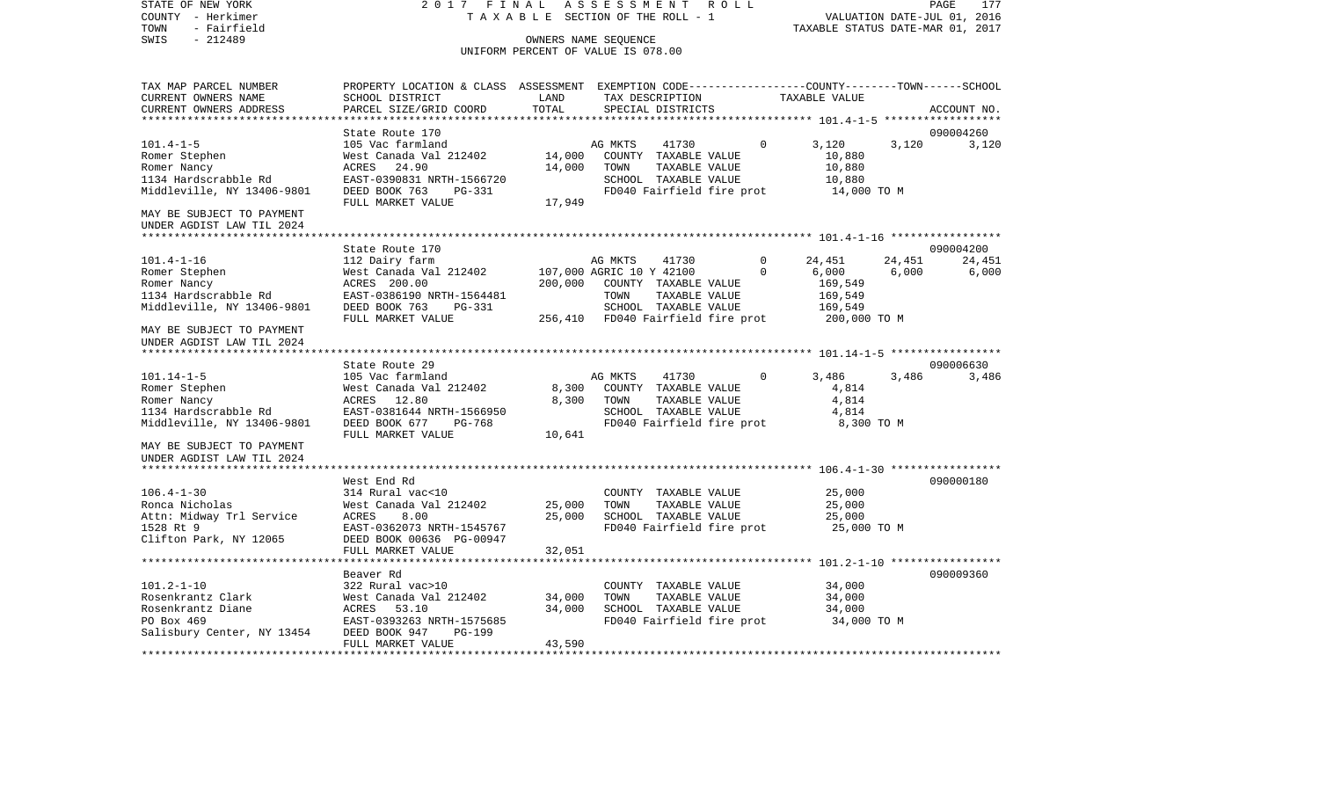COUNTY - Herkimer T A X A B L E SECTION OF THE ROLL - 1 VALUATION DATE-JUL 01, 2016 TOWN - Fairfield TAXABLE STATUS DATE-MAR 01, 2017 SWIS - 212489 CONNERS NAME SEQUENCE UNIFORM PERCENT OF VALUE IS 078.00TAX MAP PARCEL NUMBER PROPERTY LOCATION & CLASS ASSESSMENT EXEMPTION CODE------------------COUNTY--------TOWN------SCHOOL CURRENT OWNERS NAME SCHOOL DISTRICT LAND TAX DESCRIPTION TAXABLE VALUECURRENT OWNERS ADDRESS PARCEL SIZE/GRID COORD TOTAL SPECIAL DISTRICTS ACCOUNT NO. \*\*\*\*\*\*\*\*\*\*\*\*\*\*\*\*\*\*\*\*\*\*\*\*\*\*\*\*\*\*\*\*\*\*\*\*\*\*\*\*\*\*\*\*\*\*\*\*\*\*\*\*\*\*\*\*\*\*\*\*\*\*\*\*\*\*\*\*\*\*\*\*\*\*\*\*\*\*\*\*\*\*\*\*\*\*\*\*\*\*\*\*\*\*\*\*\*\*\*\*\*\*\* 101.4-1-5 \*\*\*\*\*\*\*\*\*\*\*\*\*\*\*\*\*\*State Route 170 090004260 101.4-1-5 105 Vac farmland AG MKTS 41730 0 3,120 3,120 3,120 Romer Stephen 61 West Canada Val 212402 14,000 COUNTY TAXABLE VALUE 10,880 Romer Nancy **ACRES** 24.90 14,000 TOWN TAXABLE VALUE 10,880 1134 Hardscrabble Rd EAST-0390831 NRTH-1566720 SCHOOL TAXABLE VALUE 10,880 Middleville, NY 13406-9801 DEED BOOK 763 PG-331 FD040 Fairfield fire prot 14,000 TO M FULL MARKET VALUE 17,949 MAY BE SUBJECT TO PAYMENT UNDER AGDIST LAW TIL 2024 \*\*\*\*\*\*\*\*\*\*\*\*\*\*\*\*\*\*\*\*\*\*\*\*\*\*\*\*\*\*\*\*\*\*\*\*\*\*\*\*\*\*\*\*\*\*\*\*\*\*\*\*\*\*\*\*\*\*\*\*\*\*\*\*\*\*\*\*\*\*\*\*\*\*\*\*\*\*\*\*\*\*\*\*\*\*\*\*\*\*\*\*\*\*\*\*\*\*\*\*\*\*\* 101.4-1-16 \*\*\*\*\*\*\*\*\*\*\*\*\*\*\*\*\*State Route 170 090004200 101.4-1-16 112 Dairy farm AG MKTS 41730 0 24,451 24,451 24,451 Romer Stephen West Canada Val 212402 107,000 AGRIC 10 Y 42100 0 6,000 6,000 6,000 Romer Nancy **ACRES 200.00** 200,000 COUNTY TAXABLE VALUE 169,549 1134 Hardscrabble Rd EAST-0386190 NRTH-1564481 TOWN TAXABLE VALUE 169,549 Middleville, NY 13406-9801 DEED BOOK 763 PG-331 SCHOOL TAXABLE VALUE 169,549 FULL MARKET VALUE 256,410 FD040 Fairfield fire prot 200,000 TO M MAY BE SUBJECT TO PAYMENTUNDER AGDIST LAW TIL 2024 \*\*\*\*\*\*\*\*\*\*\*\*\*\*\*\*\*\*\*\*\*\*\*\*\*\*\*\*\*\*\*\*\*\*\*\*\*\*\*\*\*\*\*\*\*\*\*\*\*\*\*\*\*\*\*\*\*\*\*\*\*\*\*\*\*\*\*\*\*\*\*\*\*\*\*\*\*\*\*\*\*\*\*\*\*\*\*\*\*\*\*\*\*\*\*\*\*\*\*\*\*\*\* 101.14-1-5 \*\*\*\*\*\*\*\*\*\*\*\*\*\*\*\*\*State Route 29 090006630 101.14-1-5 105 Vac farmland 105 AG MKTS 41730 0 3,486 3,486 3,486 3,486 3,486 3,486 3,486 3,486 3,486 3,486 3,486 3,486 3,486 3,486 3,486 3,486 3,486 3,486 3,486 3,486 3,486 3,486 3,486 3,486 3,486 3,486 3,486 3,486 3,486 Romer Stephen West Canada Val 212402 8,300 COUNTY TAXABLE VALUE 4,814 Romer Nancy ACRES 12.80 8,300 TOWN TAXABLE VALUE 4,814 1134 Hardscrabble Rd EAST-0381644 NRTH-1566950 SCHOOL TAXABLE VALUE 4,814 Middleville, NY 13406-9801 DEED BOOK 677 PG-768 FD040 Fairfield fire prot 8,300 TO M FULL MARKET VALUE 10,641 MAY BE SUBJECT TO PAYMENTUNDER AGDIST LAW TIL 2024 \*\*\*\*\*\*\*\*\*\*\*\*\*\*\*\*\*\*\*\*\*\*\*\*\*\*\*\*\*\*\*\*\*\*\*\*\*\*\*\*\*\*\*\*\*\*\*\*\*\*\*\*\*\*\*\*\*\*\*\*\*\*\*\*\*\*\*\*\*\*\*\*\*\*\*\*\*\*\*\*\*\*\*\*\*\*\*\*\*\*\*\*\*\*\*\*\*\*\*\*\*\*\* 106.4-1-30 \*\*\*\*\*\*\*\*\*\*\*\*\*\*\*\*\* West End Rd 090000180106.4-1-30 314 Rural vac<10 COUNTY TAXABLE VALUE 25,000 Ronca Nicholas West Canada Val 212402 25,000 TOWN TAXABLE VALUE 25,000 Attn: Midway Trl Service ACRES 8.00 25,000 SCHOOL TAXABLE VALUE 25,000 1528 Rt 9 EAST-0362073 NRTH-1545767 FD040 Fairfield fire prot 25,000 TO M Clifton Park, NY 12065 DEED BOOK 00636 PG-00947 FULL MARKET VALUE 32.051 \*\*\*\*\*\*\*\*\*\*\*\*\*\*\*\*\*\*\*\*\*\*\*\*\*\*\*\*\*\*\*\*\*\*\*\*\*\*\*\*\*\*\*\*\*\*\*\*\*\*\*\*\*\*\*\*\*\*\*\*\*\*\*\*\*\*\*\*\*\*\*\*\*\*\*\*\*\*\*\*\*\*\*\*\*\*\*\*\*\*\*\*\*\*\*\*\*\*\*\*\*\*\* 101.2-1-10 \*\*\*\*\*\*\*\*\*\*\*\*\*\*\*\*\* Beaver Rd 090009360101.2-1-10 322 Rural vac>10 COUNTY TAXABLE VALUE 34,000 Rosenkrantz Clark West Canada Val 212402 34,000 TOWN TAXABLE VALUE 34,000 Rosenkrantz Diane ACRES 53.10 34,000 SCHOOL TAXABLE VALUE 34,000 PO Box 469 **EAST-0393263 NRTH-1575685** FD040 Fairfield fire prot 34,000 TO M Salisbury Center, NY 13454 DEED BOOK 947 PG-199 FULL MARKET VALUE 43,590 \*\*\*\*\*\*\*\*\*\*\*\*\*\*\*\*\*\*\*\*\*\*\*\*\*\*\*\*\*\*\*\*\*\*\*\*\*\*\*\*\*\*\*\*\*\*\*\*\*\*\*\*\*\*\*\*\*\*\*\*\*\*\*\*\*\*\*\*\*\*\*\*\*\*\*\*\*\*\*\*\*\*\*\*\*\*\*\*\*\*\*\*\*\*\*\*\*\*\*\*\*\*\*\*\*\*\*\*\*\*\*\*\*\*\*\*\*\*\*\*\*\*\*\*\*\*\*\*\*\*\*\*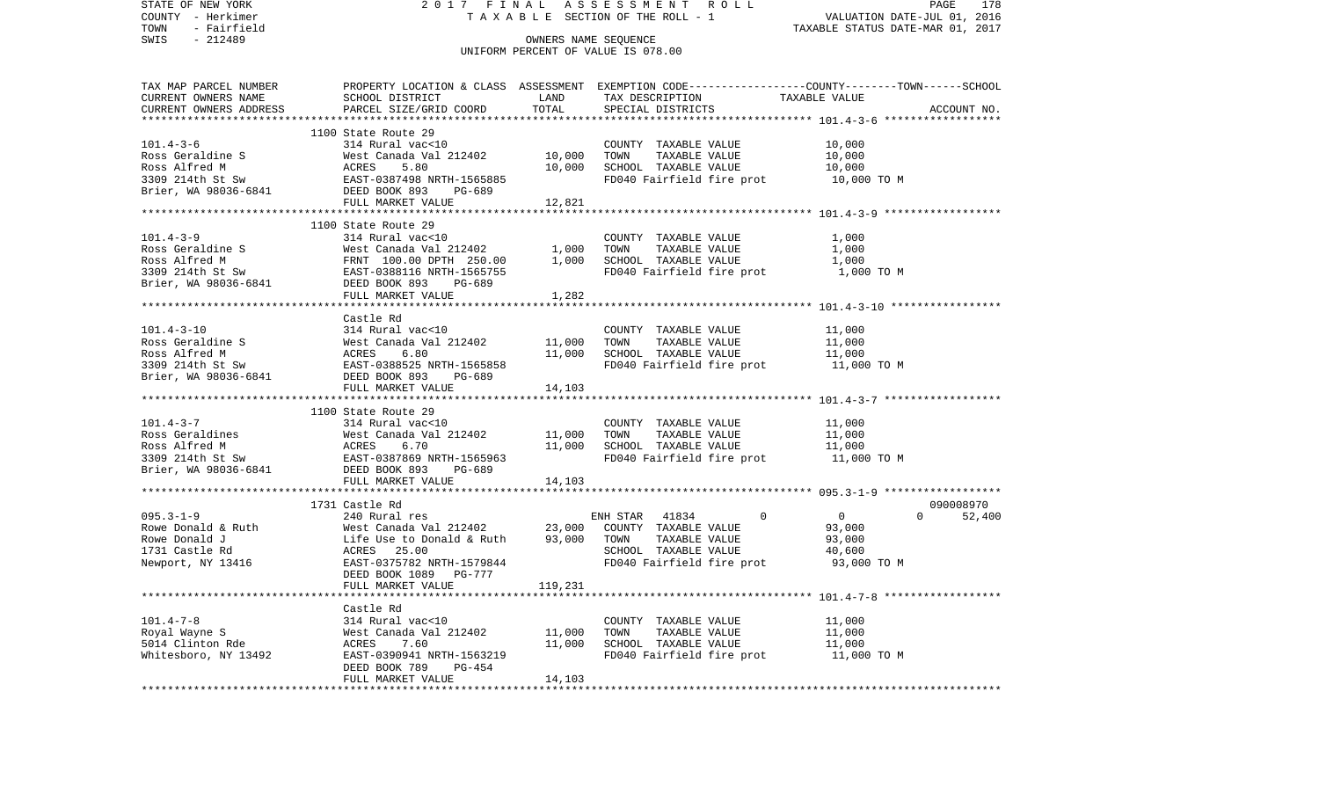STATE OF NEW YORK 2 0 1 7 F I N A L A S S E S S M E N T R O L L PAGE 178VALUATION DATE-JUL 01, 2016 COUNTY - Herkimer T A X A B L E SECTION OF THE ROLL - 1 TOWN - Fairfield TAXABLE STATUS DATE-MAR 01, 2017 SWIS - 212489 CONNERS NAME SEQUENCE UNIFORM PERCENT OF VALUE IS 078.00TAX MAP PARCEL NUMBER PROPERTY LOCATION & CLASS ASSESSMENT EXEMPTION CODE------------------COUNTY--------TOWN------SCHOOL CURRENT OWNERS NAME SCHOOL DISTRICT LAND TAX DESCRIPTION TAXABLE VALUECURRENT OWNERS ADDRESS PARCEL SIZE/GRID COORD TOTAL SPECIAL DISTRICTS ACCOUNT NO. \*\*\*\*\*\*\*\*\*\*\*\*\*\*\*\*\*\*\*\*\*\*\*\*\*\*\*\*\*\*\*\*\*\*\*\*\*\*\*\*\*\*\*\*\*\*\*\*\*\*\*\*\*\*\*\*\*\*\*\*\*\*\*\*\*\*\*\*\*\*\*\*\*\*\*\*\*\*\*\*\*\*\*\*\*\*\*\*\*\*\*\*\*\*\*\*\*\*\*\*\*\*\* 101.4-3-6 \*\*\*\*\*\*\*\*\*\*\*\*\*\*\*\*\*\* 1100 State Route 29 101.4-3-6 314 Rural vac<10 COUNTY TAXABLE VALUE 10,000 Ross Geraldine S 6000 West Canada Val 212402 10,000 TOWN TAXABLE VALUE 10,000 Ross Alfred M **ACRES** 5.80 10,000 SCHOOL TAXABLE VALUE 10,000 3309 214th St Sw **EAST-0387498 NRTH-1565885** FD040 Fairfield fire prot 10,000 TO M Brier, WA 98036-6841 DEED BOOK 893 PG-689 FULL MARKET VALUE 12,821 \*\*\*\*\*\*\*\*\*\*\*\*\*\*\*\*\*\*\*\*\*\*\*\*\*\*\*\*\*\*\*\*\*\*\*\*\*\*\*\*\*\*\*\*\*\*\*\*\*\*\*\*\*\*\*\*\*\*\*\*\*\*\*\*\*\*\*\*\*\*\*\*\*\*\*\*\*\*\*\*\*\*\*\*\*\*\*\*\*\*\*\*\*\*\*\*\*\*\*\*\*\*\* 101.4-3-9 \*\*\*\*\*\*\*\*\*\*\*\*\*\*\*\*\*\* 1100 State Route 29 101.4-3-9 314 Rural vac<10 COUNTY TAXABLE VALUE 1,000 Ross Geraldine S 600 West Canada Val 212402 1,000 TOWN TAXABLE VALUE 1,000 Ross Alfred M **FRNT 100.00 DPTH 250.00** 1,000 SCHOOL TAXABLE VALUE 1,000 3309 214th St Sw **EAST-0388116 NRTH-1565755** FD040 Fairfield fire prot 1,000 TO M Brier, WA 98036-6841 DEED BOOK 893 PG-689 FULL MARKET VALUE 1,282 \*\*\*\*\*\*\*\*\*\*\*\*\*\*\*\*\*\*\*\*\*\*\*\*\*\*\*\*\*\*\*\*\*\*\*\*\*\*\*\*\*\*\*\*\*\*\*\*\*\*\*\*\*\*\*\*\*\*\*\*\*\*\*\*\*\*\*\*\*\*\*\*\*\*\*\*\*\*\*\*\*\*\*\*\*\*\*\*\*\*\*\*\*\*\*\*\*\*\*\*\*\*\* 101.4-3-10 \*\*\*\*\*\*\*\*\*\*\*\*\*\*\*\*\* Castle Rd101.4-3-10 314 Rural vac<10 COUNTY TAXABLE VALUE 11,000 Ross Geraldine S 61,000 West Canada Val 212402 11,000 TOWN TAXABLE VALUE 11,000 Ross Alfred M **ACRES** 6.80 11,000 SCHOOL TAXABLE VALUE 11,000 3309 214th St Sw EAST-0388525 NRTH-1565858 FD040 Fairfield fire prot 11,000 TO M Brier, WA 98036-6841 DEED BOOK 893 PG-689 FULL MARKET VALUE 14,103 \*\*\*\*\*\*\*\*\*\*\*\*\*\*\*\*\*\*\*\*\*\*\*\*\*\*\*\*\*\*\*\*\*\*\*\*\*\*\*\*\*\*\*\*\*\*\*\*\*\*\*\*\*\*\*\*\*\*\*\*\*\*\*\*\*\*\*\*\*\*\*\*\*\*\*\*\*\*\*\*\*\*\*\*\*\*\*\*\*\*\*\*\*\*\*\*\*\*\*\*\*\*\* 101.4-3-7 \*\*\*\*\*\*\*\*\*\*\*\*\*\*\*\*\*\* 1100 State Route 29101.4-3-7 314 Rural vac<10 COUNTY TAXABLE VALUE 11,000 Ross Geraldines 6 11,000 West Canada Val 212402 11,000 TOWN TAXABLE VALUE 11,000 Ross Alfred M **ACRES** 6.70 11,000 SCHOOL TAXABLE VALUE 11,000 3309 214th St Sw **EAST-0387869 NRTH-1565963** FD040 Fairfield fire prot 11,000 TO M Brier, WA 98036-6841 DEED BOOK 893 PG-689 FULL MARKET VALUE 14,103 \*\*\*\*\*\*\*\*\*\*\*\*\*\*\*\*\*\*\*\*\*\*\*\*\*\*\*\*\*\*\*\*\*\*\*\*\*\*\*\*\*\*\*\*\*\*\*\*\*\*\*\*\*\*\*\*\*\*\*\*\*\*\*\*\*\*\*\*\*\*\*\*\*\*\*\*\*\*\*\*\*\*\*\*\*\*\*\*\*\*\*\*\*\*\*\*\*\*\*\*\*\*\* 095.3-1-9 \*\*\*\*\*\*\*\*\*\*\*\*\*\*\*\*\*\* 1731 Castle Rd 090008970095.3-1-9 240 Rural res ENH STAR 41834 0 0 0 52,400 Rowe Donald & Ruth **West Canada Val 212402** 23,000 COUNTY TAXABLE VALUE 93,000 Rowe Donald J Life Use to Donald & Ruth 93,000 TOWN TAXABLE VALUE 93,000 1731 Castle Rd  $ACRES$  25.00  $ACRES$  35.00  $SCHOOL$  TAXABLE VALUE 40,600 Newport, NY 13416 EAST-0375782 NRTH-1579844 FD040 Fairfield fire prot 93,000 TO M DEED BOOK 1089 PG-777FULL MARKET VALUE 119,231 \*\*\*\*\*\*\*\*\*\*\*\*\*\*\*\*\*\*\*\*\*\*\*\*\*\*\*\*\*\*\*\*\*\*\*\*\*\*\*\*\*\*\*\*\*\*\*\*\*\*\*\*\*\*\*\*\*\*\*\*\*\*\*\*\*\*\*\*\*\*\*\*\*\*\*\*\*\*\*\*\*\*\*\*\*\*\*\*\*\*\*\*\*\*\*\*\*\*\*\*\*\*\* 101.4-7-8 \*\*\*\*\*\*\*\*\*\*\*\*\*\*\*\*\*\* Castle Rd101.4-7-8 314 Rural vac<10 COUNTY TAXABLE VALUE 11,000 Royal Wayne S 61.000 West Canada Val 212402 11,000 TOWN TAXABLE VALUE 11,000 5014 Clinton Rde ACRES 7.60 11,000 SCHOOL TAXABLE VALUE 11,000 Whitesboro, NY 13492 **EAST-0390941 NRTH-1563219** FD040 Fairfield fire prot 11,000 TO M DEED BOOK 789 PG-454FULL MARKET VALUE 14,103 \*\*\*\*\*\*\*\*\*\*\*\*\*\*\*\*\*\*\*\*\*\*\*\*\*\*\*\*\*\*\*\*\*\*\*\*\*\*\*\*\*\*\*\*\*\*\*\*\*\*\*\*\*\*\*\*\*\*\*\*\*\*\*\*\*\*\*\*\*\*\*\*\*\*\*\*\*\*\*\*\*\*\*\*\*\*\*\*\*\*\*\*\*\*\*\*\*\*\*\*\*\*\*\*\*\*\*\*\*\*\*\*\*\*\*\*\*\*\*\*\*\*\*\*\*\*\*\*\*\*\*\*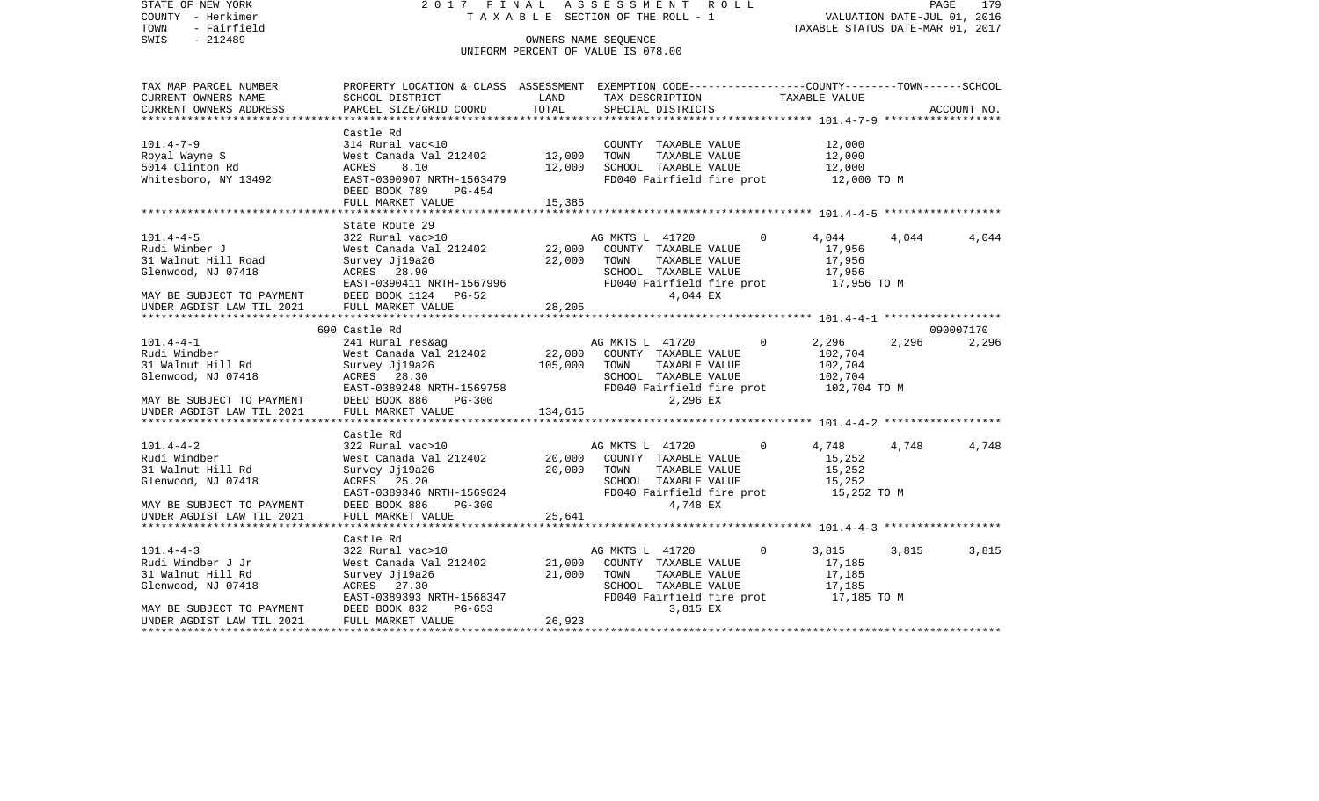STATE OF NEW YORK 2 0 1 7 F I N A L A S S E S S M E N T R O L L PAGE 179COUNTY - Herkimer **T A X A B L E** SECTION OF THE ROLL - 1 VALUATION DATE-JUL 01, 2016 TOWN - Fairfield TAXABLE STATUS DATE-MAR 01, 2017 SWIS - 212489 CONNERS NAME SEQUENCE UNIFORM PERCENT OF VALUE IS 078.00TAX MAP PARCEL NUMBER PROPERTY LOCATION & CLASS ASSESSMENT EXEMPTION CODE------------------COUNTY--------TOWN------SCHOOL CURRENT OWNERS NAME SCHOOL DISTRICT LAND TAX DESCRIPTION TAXABLE VALUECURRENT OWNERS ADDRESS PARCEL SIZE/GRID COORD TOTAL SPECIAL DISTRICTS ACCOUNT NO. \*\*\*\*\*\*\*\*\*\*\*\*\*\*\*\*\*\*\*\*\*\*\*\*\*\*\*\*\*\*\*\*\*\*\*\*\*\*\*\*\*\*\*\*\*\*\*\*\*\*\*\*\*\*\*\*\*\*\*\*\*\*\*\*\*\*\*\*\*\*\*\*\*\*\*\*\*\*\*\*\*\*\*\*\*\*\*\*\*\*\*\*\*\*\*\*\*\*\*\*\*\*\* 101.4-7-9 \*\*\*\*\*\*\*\*\*\*\*\*\*\*\*\*\*\* Castle Rd101.4-7-9 314 Rural vac<10 COUNTY TAXABLE VALUE 12,000 Royal Wayne S 600 West Canada Val 212402 12,000 TOWN TAXABLE VALUE 12,000 5014 Clinton Rd ACRES 8.10 12,000 SCHOOL TAXABLE VALUE 12,000 Whitesboro, NY 13492 EAST-0390907 NRTH-1563479 FD040 Fairfield fire prot 12,000 TO M DEED BOOK 789 PG-454FULL MARKET VALUE 15,385 \*\*\*\*\*\*\*\*\*\*\*\*\*\*\*\*\*\*\*\*\*\*\*\*\*\*\*\*\*\*\*\*\*\*\*\*\*\*\*\*\*\*\*\*\*\*\*\*\*\*\*\*\*\*\*\*\*\*\*\*\*\*\*\*\*\*\*\*\*\*\*\*\*\*\*\*\*\*\*\*\*\*\*\*\*\*\*\*\*\*\*\*\*\*\*\*\*\*\*\*\*\*\* 101.4-4-5 \*\*\*\*\*\*\*\*\*\*\*\*\*\*\*\*\*\* State Route 29101.4-4-5 322 Rural vac>10 AG MKTS L 41720 0 4,044 4,044 4,044 Rudi Winber J West Canada Val 212402 22,000 COUNTY TAXABLE VALUE 17,956 31 Walnut Hill Road Survey Jj19a26 22,000 TOWN TAXABLE VALUE 17,956 Glenwood, NJ 07418 ACRES 28.90 SCHOOL TAXABLE VALUE 17,956 EAST-0390411 NRTH-1567996 FD040 Fairfield fire prot 17,956 TO M MAY BE SUBJECT TO PAYMENT DEED BOOK 1124 PG-52 4,044 EX UNDER AGDIST LAW TIL 2021 FULL MARKET VALUE 28,205 \*\*\*\*\*\*\*\*\*\*\*\*\*\*\*\*\*\*\*\*\*\*\*\*\*\*\*\*\*\*\*\*\*\*\*\*\*\*\*\*\*\*\*\*\*\*\*\*\*\*\*\*\*\*\*\*\*\*\*\*\*\*\*\*\*\*\*\*\*\*\*\*\*\*\*\*\*\*\*\*\*\*\*\*\*\*\*\*\*\*\*\*\*\*\*\*\*\*\*\*\*\*\* 101.4-4-1 \*\*\*\*\*\*\*\*\*\*\*\*\*\*\*\*\*\* 690 Castle Rd 090007170101.4-4-1 241 Rural res&ag AG MKTS L 41720 0 2,296 2,296 2,296 Rudi Windber West Canada Val 212402 22,000 COUNTY TAXABLE VALUE 102,704 31 Walnut Hill Rd Survey Jj19a26 105,000 TOWN TAXABLE VALUE 102,704 Glenwood, NJ 07418 ACRES 28.30 SCHOOL TAXABLE VALUE 102,704 EAST-0389248 NRTH-1569758 FD040 Fairfield fire prot 102,704 TO M MAY BE SUBJECT TO PAYMENT DEED BOOK 886 PG-300 2,296 EX UNDER AGDIST LAW TIL 2021 FULL MARKET VALUE 134,615 \*\*\*\*\*\*\*\*\*\*\*\*\*\*\*\*\*\*\*\*\*\*\*\*\*\*\*\*\*\*\*\*\*\*\*\*\*\*\*\*\*\*\*\*\*\*\*\*\*\*\*\*\*\*\*\*\*\*\*\*\*\*\*\*\*\*\*\*\*\*\*\*\*\*\*\*\*\*\*\*\*\*\*\*\*\*\*\*\*\*\*\*\*\*\*\*\*\*\*\*\*\*\* 101.4-4-2 \*\*\*\*\*\*\*\*\*\*\*\*\*\*\*\*\*\* Castle Rd101.4-4-2 322 Rural vac>10 AG MKTS L 41720 0 4,748 4,748 4,748 4,748 Rudi Windber West Canada Val 212402 20,000 COUNTY TAXABLE VALUE 15,252 31 Walnut Hill Rd Survey Jj19a26 20,000 TOWN TAXABLE VALUE 15,252 Glenwood, NJ 07418 ACRES 25.20 SCHOOL TAXABLE VALUE 15,252 EAST-0389346 NRTH-1569024 FD040 Fairfield fire prot 15,252 TO M MAY BE SUBJECT TO PAYMENT DEED BOOK 886 PG-300 4,748 EX UNDER AGDIST LAW TIL 2021 FULL MARKET VALUE 25,641 \*\*\*\*\*\*\*\*\*\*\*\*\*\*\*\*\*\*\*\*\*\*\*\*\*\*\*\*\*\*\*\*\*\*\*\*\*\*\*\*\*\*\*\*\*\*\*\*\*\*\*\*\*\*\*\*\*\*\*\*\*\*\*\*\*\*\*\*\*\*\*\*\*\*\*\*\*\*\*\*\*\*\*\*\*\*\*\*\*\*\*\*\*\*\*\*\*\*\*\*\*\*\* 101.4-4-3 \*\*\*\*\*\*\*\*\*\*\*\*\*\*\*\*\*\* Castle Rd $322$  Rural vac>10 101.4-4-3 322 Rural vac>10 AG MKTS L 41720 0 3,815 3,815 3,815 Rudi Windber J Jr **West Canada Val 212402** 21,000 COUNTY TAXABLE VALUE 17,185 31 Walnut Hill Rd Survey Jj19a26 21,000 TOWN TAXABLE VALUE 17,185 Glenwood, NJ 07418 ACRES 27.30 SCHOOL TAXABLE VALUE 17,185 EAST-0389393 NRTH-1568347 FD040 Fairfield fire prot 17,185 TO M MAY BE SUBJECT TO PAYMENT DEED BOOK 832 PG-653 3,815 EX UNDER AGDIST LAW TIL 2021 FULL MARKET VALUE 26,923 \*\*\*\*\*\*\*\*\*\*\*\*\*\*\*\*\*\*\*\*\*\*\*\*\*\*\*\*\*\*\*\*\*\*\*\*\*\*\*\*\*\*\*\*\*\*\*\*\*\*\*\*\*\*\*\*\*\*\*\*\*\*\*\*\*\*\*\*\*\*\*\*\*\*\*\*\*\*\*\*\*\*\*\*\*\*\*\*\*\*\*\*\*\*\*\*\*\*\*\*\*\*\*\*\*\*\*\*\*\*\*\*\*\*\*\*\*\*\*\*\*\*\*\*\*\*\*\*\*\*\*\*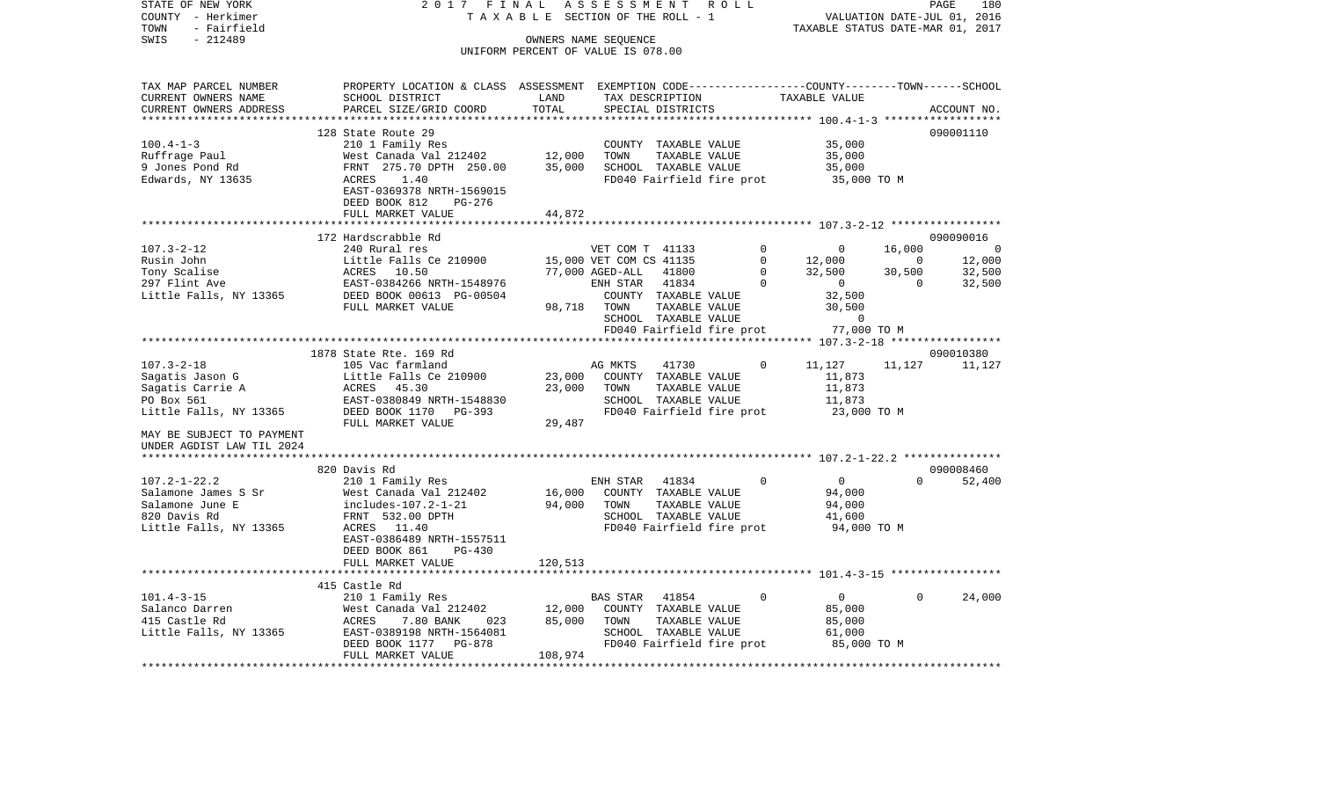STATE OF NEW YORK 2 0 1 7 F I N A L A S S E S S M E N T R O L L PAGE 180COUNTY - Herkimer **T A X A B L E** SECTION OF THE ROLL - 1 VALUATION DATE-JUL 01, 2016 TOWN - Fairfield TAXABLE STATUS DATE-MAR 01, 2017 SWIS - 212489 CONNERS NAME SEQUENCE UNIFORM PERCENT OF VALUE IS 078.00TAX MAP PARCEL NUMBER PROPERTY LOCATION & CLASS ASSESSMENT EXEMPTION CODE------------------COUNTY--------TOWN------SCHOOL CURRENT OWNERS NAME SCHOOL DISTRICT LAND TAX DESCRIPTION TAXABLE VALUECURRENT OWNERS ADDRESS PARCEL SIZE/GRID COORD TOTAL SPECIAL DISTRICTS ACCOUNT NO. \*\*\*\*\*\*\*\*\*\*\*\*\*\*\*\*\*\*\*\*\*\*\*\*\*\*\*\*\*\*\*\*\*\*\*\*\*\*\*\*\*\*\*\*\*\*\*\*\*\*\*\*\*\*\*\*\*\*\*\*\*\*\*\*\*\*\*\*\*\*\*\*\*\*\*\*\*\*\*\*\*\*\*\*\*\*\*\*\*\*\*\*\*\*\*\*\*\*\*\*\*\*\* 100.4-1-3 \*\*\*\*\*\*\*\*\*\*\*\*\*\*\*\*\*\* 128 State Route 29 090001110100.4-1-3 210 1 Family Res COUNTY TAXABLE VALUE 35,000 Ruffrage Paul **West Canada Val 212402** 12,000 TOWN TAXABLE VALUE 35,000 9 Jones Pond Rd FRNT 275.70 DPTH 250.00 35,000 SCHOOL TAXABLE VALUE 35,000 Edwards, NY 13635 ACRES 1.40 FD040 Fairfield fire prot 35,000 TO M EAST-0369378 NRTH-1569015 DEED BOOK 812 PG-276FULL MARKET VALUE 44,872 \*\*\*\*\*\*\*\*\*\*\*\*\*\*\*\*\*\*\*\*\*\*\*\*\*\*\*\*\*\*\*\*\*\*\*\*\*\*\*\*\*\*\*\*\*\*\*\*\*\*\*\*\*\*\*\*\*\*\*\*\*\*\*\*\*\*\*\*\*\*\*\*\*\*\*\*\*\*\*\*\*\*\*\*\*\*\*\*\*\*\*\*\*\*\*\*\*\*\*\*\*\*\* 107.3-2-12 \*\*\*\*\*\*\*\*\*\*\*\*\*\*\*\*\* 172 Hardscrabble Rd 090090016107.3-2-12 240 Rural res VET COM T 41133 0 0 16,000 0 Rusin John Christen Little Falls Ce 210900 15,000 VET COM CS 41135 0 12,000 0 12,000 12,000 Tony Scalise 6 6 6 6 6 6 6 6 6 6 6 6 6 77,000 AGED-ALL 41800 0 32,500 30,500 30,500 32,500 297 Flint Ave EAST-0384266 NRTH-1548976 ENH STAR 41834 0 0 0 32,500 Little Falls, NY 13365 DEED BOOK 00613 PG-00504 COUNTY TAXABLE VALUE 32,500 FULL MARKET VALUE 98,718 TOWN TAXABLE VALUE 30,500 SCHOOL TAXABLE VALUE 0 77.000 TO M FD040 Fairfield fire prot 77,000 TO M \*\*\*\*\*\*\*\*\*\*\*\*\*\*\*\*\*\*\*\*\*\*\*\*\*\*\*\*\*\*\*\*\*\*\*\*\*\*\*\*\*\*\*\*\*\*\*\*\*\*\*\*\*\*\*\*\*\*\*\*\*\*\*\*\*\*\*\*\*\*\*\*\*\*\*\*\*\*\*\*\*\*\*\*\*\*\*\*\*\*\*\*\*\*\*\*\*\*\*\*\*\*\* 107.3-2-18 \*\*\*\*\*\*\*\*\*\*\*\*\*\*\*\*\* 1878 State Rte. 169 Rd 090010380107.3-2-18 105 Vac farmland AG MKTS 41730 0 11,127 11,127 11,127 Sagatis Jason G Little Falls Ce 210900 23,000 COUNTY TAXABLE VALUE 11,873 Sagatis Carrie A ACRES 45.30 23,000 TOWN TAXABLE VALUE 11,873 PO Box 561 EAST-0380849 NRTH-1548830 SCHOOL TAXABLE VALUE 11,873 Little Falls, NY 13365 DEED BOOK 1170 PG-393 FD040 Fairfield fire prot 23,000 TO M FULL MARKET VALUE 29,487 MAY BE SUBJECT TO PAYMENTUNDER AGDIST LAW TIL 2024 \*\*\*\*\*\*\*\*\*\*\*\*\*\*\*\*\*\*\*\*\*\*\*\*\*\*\*\*\*\*\*\*\*\*\*\*\*\*\*\*\*\*\*\*\*\*\*\*\*\*\*\*\*\*\*\*\*\*\*\*\*\*\*\*\*\*\*\*\*\*\*\*\*\*\*\*\*\*\*\*\*\*\*\*\*\*\*\*\*\*\*\*\*\*\*\*\*\*\*\*\*\*\* 107.2-1-22.2 \*\*\*\*\*\*\*\*\*\*\*\*\*\*\* 820 Davis Rd 090008460107.2-1-22.2 210 1 Family Res ENH STAR 41834 0 0 0 52,400 Salamone James S Sr West Canada Val 212402 16,000 COUNTY TAXABLE VALUE 94,000 Salamone June E includes-107.2-1-21 94,000 TOWN TAXABLE VALUE 94,000 820 Davis Rd FRNT 532.00 DPTH SCHOOL TAXABLE VALUE 41,600 Little Falls, NY 13365 ACRES 11.40 ACRES FD040 Fairfield fire prot 94,000 TO M EAST-0386489 NRTH-1557511 DEED BOOK 861 PG-430FULL MARKET VALUE 120,513 \*\*\*\*\*\*\*\*\*\*\*\*\*\*\*\*\*\*\*\*\*\*\*\*\*\*\*\*\*\*\*\*\*\*\*\*\*\*\*\*\*\*\*\*\*\*\*\*\*\*\*\*\*\*\*\*\*\*\*\*\*\*\*\*\*\*\*\*\*\*\*\*\*\*\*\*\*\*\*\*\*\*\*\*\*\*\*\*\*\*\*\*\*\*\*\*\*\*\*\*\*\*\* 101.4-3-15 \*\*\*\*\*\*\*\*\*\*\*\*\*\*\*\*\* 415 Castle Rd101.4-3-15 210 1 Family Res BAS STAR 41854 0 0 0 24,000 Salanco Darren 65,000 West Canada Val 212402 12,000 COUNTY TAXABLE VALUE 85,000 415 Castle Rd **ACRES** 7.80 BANK 023 85,000 TOWN TAXABLE VALUE 85,000 Little Falls, NY 13365 EAST-0389198 NRTH-1564081 SCHOOL TAXABLE VALUE 61,000 DEED BOOK 1177 PG-878 FD040 Fairfield fire prot 85,000 TO M FULL MARKET VALUE 108,974 \*\*\*\*\*\*\*\*\*\*\*\*\*\*\*\*\*\*\*\*\*\*\*\*\*\*\*\*\*\*\*\*\*\*\*\*\*\*\*\*\*\*\*\*\*\*\*\*\*\*\*\*\*\*\*\*\*\*\*\*\*\*\*\*\*\*\*\*\*\*\*\*\*\*\*\*\*\*\*\*\*\*\*\*\*\*\*\*\*\*\*\*\*\*\*\*\*\*\*\*\*\*\*\*\*\*\*\*\*\*\*\*\*\*\*\*\*\*\*\*\*\*\*\*\*\*\*\*\*\*\*\*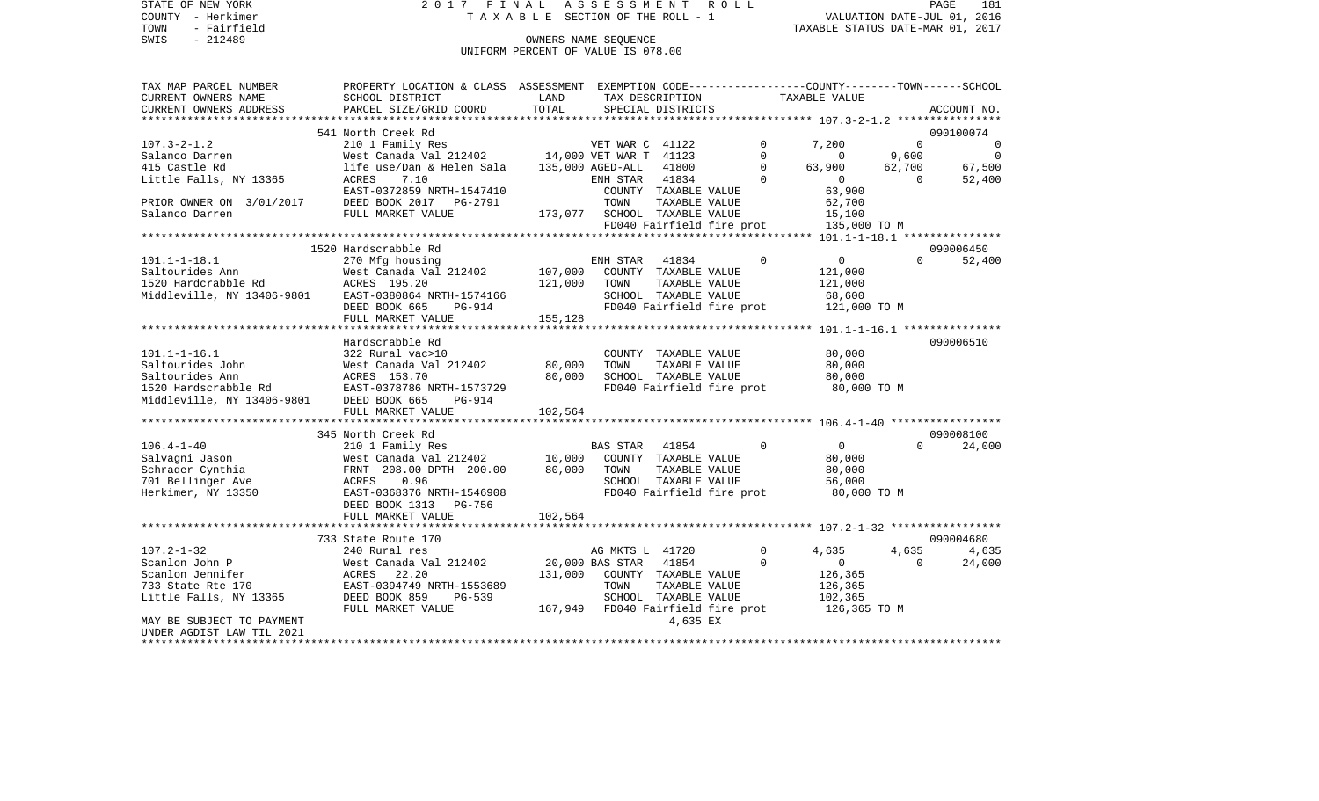TOWN - Fairfield<br>SWIS - 212489

STATE OF NEW YORK 2 0 1 7 F I N A L A S S E S S M E N T R O L L PAGE 181COUNTY - Herkimer  $T A X A B L E$  SECTION OF THE ROLL - 1

PAGE 181 TO THE ROLL - I THE POST CONNERS NAME SECTION OF THE ROLL - 1 TAXABLE STATUS DATE-JUL 01, 2016<br>
TAXABLE STATUS DATE-MAR 01, 2017

UNIFORM PERCENT OF VALUE IS 078.00

| TAX MAP PARCEL NUMBER                    | PROPERTY LOCATION & CLASS ASSESSMENT |         |                                   |                           |             | EXEMPTION CODE-----------------COUNTY-------TOWN------SCHOOL |          |                |
|------------------------------------------|--------------------------------------|---------|-----------------------------------|---------------------------|-------------|--------------------------------------------------------------|----------|----------------|
| CURRENT OWNERS NAME                      | SCHOOL DISTRICT                      | LAND    |                                   | TAX DESCRIPTION           |             | TAXABLE VALUE                                                |          |                |
| CURRENT OWNERS ADDRESS                   | PARCEL SIZE/GRID COORD               | TOTAL   |                                   | SPECIAL DISTRICTS         |             |                                                              |          | ACCOUNT NO.    |
|                                          |                                      |         |                                   |                           |             |                                                              |          |                |
|                                          | 541 North Creek Rd                   |         |                                   |                           |             |                                                              |          | 090100074      |
| $107.3 - 2 - 1.2$                        | 210 1 Family Res                     |         | VET WAR C 41122                   |                           | $\Omega$    | 7,200                                                        | $\Omega$ | $\Omega$       |
| Salanco Darren                           |                                      |         |                                   |                           | $\Omega$    | $\Omega$                                                     | 9,600    | $\overline{0}$ |
| 415 Castle Rd                            | life use/Dan & Helen Sala            |         | 135,000 AGED-ALL                  | 41800                     | $\Omega$    | 63,900                                                       | 62,700   | 67,500         |
| Little Falls, NY 13365                   | 7.10<br>ACRES                        |         | ENH STAR 41834                    |                           | $\Omega$    | $\Omega$                                                     | $\Omega$ | 52,400         |
|                                          | EAST-0372859 NRTH-1547410            |         |                                   | COUNTY TAXABLE VALUE      |             | 63,900                                                       |          |                |
| PRIOR OWNER ON 3/01/2017                 | DEED BOOK 2017 PG-2791               |         | TOWN                              | TAXABLE VALUE             |             | 62,700                                                       |          |                |
| Salanco Darren                           | FULL MARKET VALUE                    |         | 173,077 SCHOOL TAXABLE VALUE      |                           |             | 15,100                                                       |          |                |
|                                          |                                      |         |                                   | FD040 Fairfield fire prot |             | 135,000 TO M                                                 |          |                |
|                                          |                                      |         |                                   |                           |             |                                                              |          |                |
|                                          | 1520 Hardscrabble Rd                 |         |                                   |                           |             |                                                              |          | 090006450      |
| $101.1 - 1 - 18.1$                       | 270 Mfg housing                      |         | ENH STAR                          | 41834                     | $\Omega$    | $\overline{0}$                                               | $\Omega$ | 52,400         |
| Saltourides Ann                          | West Canada Val 212402               | 107,000 |                                   | COUNTY TAXABLE VALUE      |             | 121,000                                                      |          |                |
| 1520 Hardcrabble Rd                      | ACRES 195.20                         | 121,000 | TOWN                              | TAXABLE VALUE             |             | 121,000                                                      |          |                |
| Middleville, NY 13406-9801               | EAST-0380864 NRTH-1574166            |         |                                   | SCHOOL TAXABLE VALUE      |             | 68,600                                                       |          |                |
|                                          |                                      |         |                                   |                           |             |                                                              |          |                |
|                                          | DEED BOOK 665<br>PG-914              |         |                                   | FD040 Fairfield fire prot |             | 121,000 TO M                                                 |          |                |
|                                          | FULL MARKET VALUE                    | 155,128 |                                   |                           |             |                                                              |          |                |
|                                          |                                      |         |                                   |                           |             |                                                              |          |                |
|                                          | Hardscrabble Rd                      |         |                                   |                           |             |                                                              |          | 090006510      |
| $101.1 - 1 - 16.1$                       | 322 Rural vac>10                     |         |                                   | COUNTY TAXABLE VALUE      |             | 80,000                                                       |          |                |
| Saltourides John                         | West Canada Val 212402               | 80,000  | TOWN                              | TAXABLE VALUE             |             | 80,000                                                       |          |                |
| Saltourides Ann                          | ACRES 153.70                         | 80,000  |                                   | SCHOOL TAXABLE VALUE      |             | 80,000                                                       |          |                |
| 1520 Hardscrabble Rd                     | EAST-0378786 NRTH-1573729            |         |                                   | FD040 Fairfield fire prot |             | 80,000 TO M                                                  |          |                |
| Middleville, NY 13406-9801 DEED BOOK 665 | PG-914                               |         |                                   |                           |             |                                                              |          |                |
|                                          | FULL MARKET VALUE                    | 102,564 |                                   |                           |             |                                                              |          |                |
|                                          |                                      |         |                                   |                           |             |                                                              |          |                |
|                                          | 345 North Creek Rd                   |         |                                   |                           |             |                                                              |          | 090008100      |
| $106.4 - 1 - 40$                         | 210 1 Family Res                     |         | <b>BAS STAR</b>                   | 41854                     | $\mathbf 0$ | $\overline{0}$                                               | $\Omega$ | 24,000         |
| Salvagni Jason                           | West Canada Val 212402               | 10,000  |                                   | COUNTY TAXABLE VALUE      |             | 80,000                                                       |          |                |
| Schrader Cynthia                         | FRNT 208.00 DPTH 200.00              | 80,000  | TOWN                              | TAXABLE VALUE             |             | 80,000                                                       |          |                |
| 701 Bellinger Ave                        | 0.96<br>ACRES                        |         |                                   | SCHOOL TAXABLE VALUE      |             | 56,000                                                       |          |                |
| Herkimer, NY 13350                       | EAST-0368376 NRTH-1546908            |         |                                   | FD040 Fairfield fire prot |             | 80,000 TO M                                                  |          |                |
|                                          | DEED BOOK 1313 PG-756                |         |                                   |                           |             |                                                              |          |                |
|                                          | FULL MARKET VALUE                    | 102,564 |                                   |                           |             |                                                              |          |                |
|                                          |                                      |         |                                   |                           |             |                                                              |          |                |
|                                          | 733 State Route 170                  |         |                                   |                           |             |                                                              |          | 090004680      |
| $107.2 - 1 - 32$                         | 240 Rural res                        |         | AG MKTS L 41720                   |                           | $\mathbf 0$ | 4,635                                                        | 4,635    | 4,635          |
| Scanlon John P                           | West Canada Val 212402               |         | 20,000 BAS STAR 41854             |                           | $\Omega$    | $\overline{0}$                                               | $\Omega$ | 24,000         |
| Scanlon Jennifer                         | ACRES 22.20                          | 131,000 |                                   | COUNTY TAXABLE VALUE      |             | 126,365                                                      |          |                |
| 733 State Rte 170                        | EAST-0394749 NRTH-1553689            |         | TOWN                              | TAXABLE VALUE             |             | 126,365                                                      |          |                |
| Little Falls, NY 13365                   | DEED BOOK 859<br>$PG-539$            |         |                                   | SCHOOL TAXABLE VALUE      |             | 102,365                                                      |          |                |
|                                          | FULL MARKET VALUE                    |         | 167,949 FD040 Fairfield fire prot |                           |             | 126,365 TO M                                                 |          |                |
| MAY BE SUBJECT TO PAYMENT                |                                      |         |                                   | 4,635 EX                  |             |                                                              |          |                |
| UNDER AGDIST LAW TIL 2021                |                                      |         |                                   |                           |             |                                                              |          |                |
|                                          |                                      |         |                                   |                           |             |                                                              |          |                |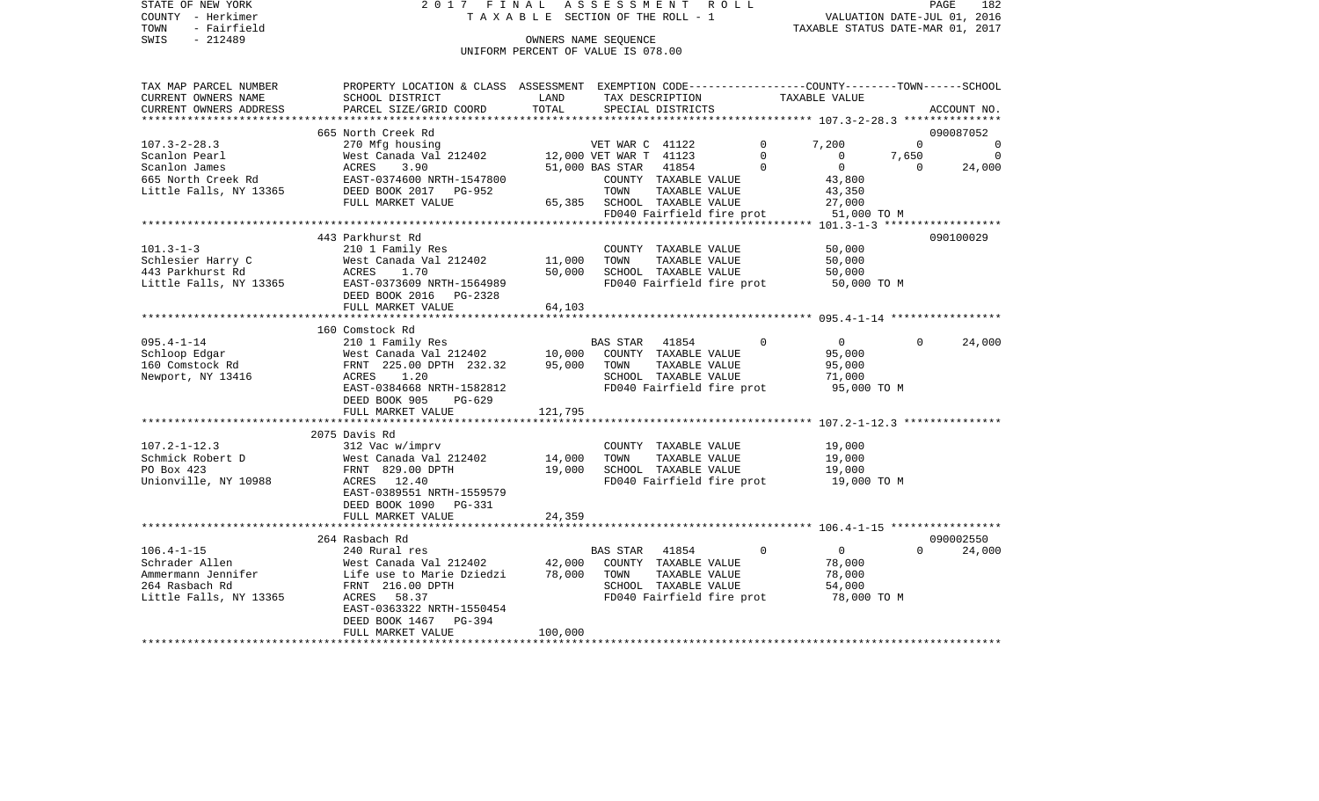STATE OF NEW YORK 2 0 1 7 F I N A L A S S E S S M E N T R O L L PAGE 182PAGE 182 COUNTY - Herkimer  $T A X A B L E$  SECTION OF THE ROLL - 1 TOWN - Fairfield<br>TAXABLE STATUS DATE-MAR 01, 2017<br>SWIS - 212489 OWNERS NAME SEQUENCE UNIFORM PERCENT OF VALUE IS 078.00TAX MAP PARCEL NUMBER PROPERTY LOCATION & CLASS ASSESSMENT EXEMPTION CODE------------------COUNTY--------TOWN------SCHOOL CURRENT OWNERS NAME SCHOOL DISTRICT LAND TAX DESCRIPTION TAXABLE VALUETAXABLE VALUE

| CURRENT OWNERS ADDRESS | PARCEL SIZE/GRID COORD                     | TOTAL       |                        | SPECIAL DISTRICTS                     |          |                                                                      |             | ACCOUNT NO. |
|------------------------|--------------------------------------------|-------------|------------------------|---------------------------------------|----------|----------------------------------------------------------------------|-------------|-------------|
|                        |                                            |             |                        |                                       |          | ************************************** 107.3-2-28.3 **************** |             |             |
|                        | 665 North Creek Rd                         |             |                        |                                       |          |                                                                      |             | 090087052   |
| $107.3 - 2 - 28.3$     | 270 Mfg housing                            |             | VET WAR C 41122        |                                       | 0        | 7,200                                                                | $\mathbf 0$ | $\mathbf 0$ |
| Scanlon Pearl          | West Canada Val 212402                     |             | 12,000 VET WAR T 41123 |                                       | $\Omega$ | $\mathbf 0$                                                          | 7,650       | $\Omega$    |
| Scanlon James          | 3.90<br>ACRES                              |             | 51,000 BAS STAR        | 41854                                 | $\Omega$ | $\Omega$                                                             | $\Omega$    | 24,000      |
| 665 North Creek Rd     | EAST-0374600 NRTH-1547800                  |             |                        | COUNTY TAXABLE VALUE                  |          | 43,800                                                               |             |             |
| Little Falls, NY 13365 | DEED BOOK 2017<br>$PG-952$                 |             | TOWN                   | TAXABLE VALUE                         |          | 43,350                                                               |             |             |
|                        | FULL MARKET VALUE                          | 65,385      |                        | SCHOOL TAXABLE VALUE                  |          | 27,000                                                               |             |             |
|                        |                                            |             |                        | FD040 Fairfield fire prot             |          | 51,000 TO M                                                          |             |             |
|                        |                                            |             |                        |                                       |          |                                                                      |             |             |
| $101.3 - 1 - 3$        | 443 Parkhurst Rd                           |             |                        |                                       |          |                                                                      |             | 090100029   |
| Schlesier Harry C      | 210 1 Family Res<br>West Canada Val 212402 | 11,000      | TOWN                   | COUNTY TAXABLE VALUE<br>TAXABLE VALUE |          | 50,000<br>50,000                                                     |             |             |
| 443 Parkhurst Rd       | ACRES<br>1.70                              | 50,000      |                        | SCHOOL TAXABLE VALUE                  |          | 50,000                                                               |             |             |
| Little Falls, NY 13365 | EAST-0373609 NRTH-1564989                  |             |                        | FD040 Fairfield fire prot             |          | 50,000 TO M                                                          |             |             |
|                        | DEED BOOK 2016<br>PG-2328                  |             |                        |                                       |          |                                                                      |             |             |
|                        | FULL MARKET VALUE                          | 64,103      |                        |                                       |          |                                                                      |             |             |
|                        | ********************************           |             |                        |                                       |          |                                                                      |             |             |
|                        | 160 Comstock Rd                            |             |                        |                                       |          |                                                                      |             |             |
| $095.4 - 1 - 14$       | 210 1 Family Res                           |             | <b>BAS STAR</b>        | 41854                                 | $\Omega$ | $\mathbf 0$                                                          | $\Omega$    | 24,000      |
| Schloop Edgar          | West Canada Val 212402                     | 10,000      |                        | COUNTY TAXABLE VALUE                  |          | 95,000                                                               |             |             |
| 160 Comstock Rd        | FRNT 225.00 DPTH 232.32                    | 95,000      | TOWN                   | TAXABLE VALUE                         |          | 95,000                                                               |             |             |
| Newport, NY 13416      | ACRES<br>1.20                              |             |                        | SCHOOL TAXABLE VALUE                  |          | 71,000                                                               |             |             |
|                        | EAST-0384668 NRTH-1582812                  |             |                        | FD040 Fairfield fire prot             |          | 95,000 TO M                                                          |             |             |
|                        | DEED BOOK 905<br>$PG-629$                  |             |                        |                                       |          |                                                                      |             |             |
|                        | FULL MARKET VALUE                          | 121,795     |                        |                                       |          |                                                                      |             |             |
|                        | ***************************                | *********** |                        |                                       |          | ********************* 107.2-1-12.3 ***************                   |             |             |
|                        | 2075 Davis Rd                              |             |                        |                                       |          |                                                                      |             |             |
| $107.2 - 1 - 12.3$     | 312 Vac w/imprv                            |             |                        | COUNTY TAXABLE VALUE                  |          | 19,000                                                               |             |             |
| Schmick Robert D       | West Canada Val 212402                     | 14,000      | TOWN                   | TAXABLE VALUE                         |          | 19,000                                                               |             |             |
| PO Box 423             | FRNT 829.00 DPTH                           | 19,000      |                        | SCHOOL TAXABLE VALUE                  |          | 19,000                                                               |             |             |
| Unionville, NY 10988   | ACRES 12.40                                |             |                        | FD040 Fairfield fire prot             |          | 19,000 TO M                                                          |             |             |
|                        | EAST-0389551 NRTH-1559579                  |             |                        |                                       |          |                                                                      |             |             |
|                        | DEED BOOK 1090 PG-331                      |             |                        |                                       |          |                                                                      |             |             |
|                        | FULL MARKET VALUE                          | 24,359      |                        |                                       |          |                                                                      |             |             |
|                        |                                            |             |                        |                                       |          |                                                                      |             |             |
|                        | 264 Rasbach Rd                             |             |                        |                                       |          |                                                                      |             | 090002550   |
| $106.4 - 1 - 15$       | 240 Rural res                              |             | <b>BAS STAR</b>        | 41854                                 | $\Omega$ | $\Omega$                                                             | $\Omega$    | 24,000      |
| Schrader Allen         | West Canada Val 212402                     | 42,000      |                        | COUNTY TAXABLE VALUE                  |          | 78,000                                                               |             |             |
| Ammermann Jennifer     | Life use to Marie Dziedzi                  | 78,000      | TOWN                   | TAXABLE VALUE                         |          | 78,000                                                               |             |             |
| 264 Rasbach Rd         | FRNT 216.00 DPTH                           |             |                        | SCHOOL TAXABLE VALUE                  |          | 54,000                                                               |             |             |
| Little Falls, NY 13365 | 58.37<br>ACRES                             |             |                        | FD040 Fairfield fire prot             |          | 78,000 TO M                                                          |             |             |
|                        | EAST-0363322 NRTH-1550454                  |             |                        |                                       |          |                                                                      |             |             |
|                        | DEED BOOK 1467<br>PG-394                   |             |                        |                                       |          |                                                                      |             |             |
|                        | FULL MARKET VALUE                          | 100,000     |                        |                                       |          |                                                                      |             |             |
|                        |                                            |             |                        |                                       |          |                                                                      |             |             |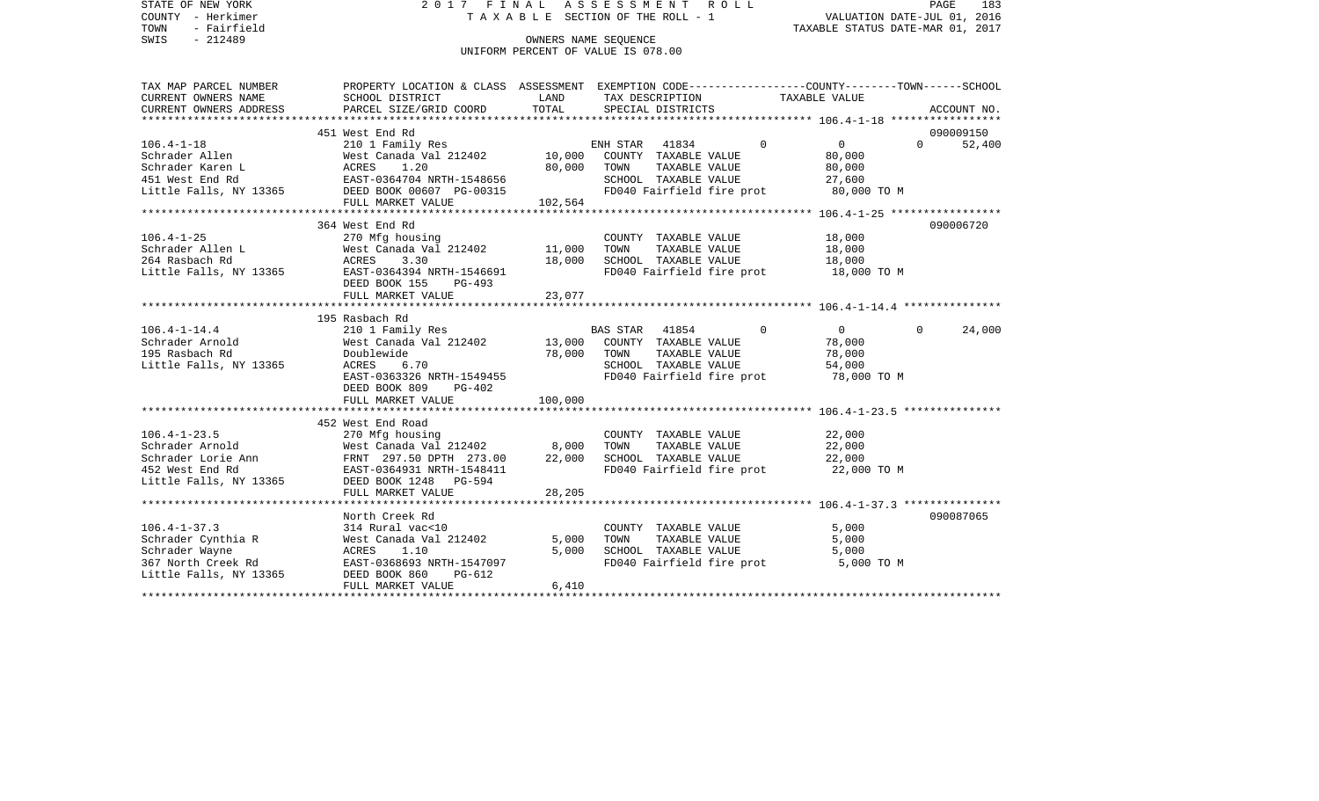STATE OF NEW YORK 2 0 1 7 F I N A L A S S E S S M E N T R O L L PAGE 183COUNTY - Herkimer T A X A B L E SECTION OF THE ROLL - 1 VALUATION DATE-JUL 01, 2016 TOWN - Fairfield TAXABLE STATUS DATE-MAR 01, 2017 SWIS - 212489 CONNERS NAME SEQUENCE UNIFORM PERCENT OF VALUE IS 078.00TAX MAP PARCEL NUMBER PROPERTY LOCATION & CLASS ASSESSMENT EXEMPTION CODE------------------COUNTY--------TOWN------SCHOOL CURRENT OWNERS NAME SCHOOL DISTRICT LAND TAX DESCRIPTION TAXABLE VALUECURRENT OWNERS ADDRESS PARCEL SIZE/GRID COORD TOTAL SPECIAL DISTRICTS ACCOUNT NO. \*\*\*\*\*\*\*\*\*\*\*\*\*\*\*\*\*\*\*\*\*\*\*\*\*\*\*\*\*\*\*\*\*\*\*\*\*\*\*\*\*\*\*\*\*\*\*\*\*\*\*\*\*\*\*\*\*\*\*\*\*\*\*\*\*\*\*\*\*\*\*\*\*\*\*\*\*\*\*\*\*\*\*\*\*\*\*\*\*\*\*\*\*\*\*\*\*\*\*\*\*\*\* 106.4-1-18 \*\*\*\*\*\*\*\*\*\*\*\*\*\*\*\*\* 451 West End Rd 090009150106.4-1-18 210 1 Family Res ENH STAR 41834 0 0 0 52,400 Schrader Allen 60,000 West Canada Val 212402 10,000 COUNTY TAXABLE VALUE 80,000 Schrader Karen Lacker Macres 1.20 80,000 TOWN TAXABLE VALUE 80,000 451 West End Rd EAST-0364704 NRTH-1548656 SCHOOL TAXABLE VALUE 27,600 Little Falls, NY 13365 DEED BOOK 00607 PG-00315 FD040 Fairfield fire prot 80,000 TO M FULL MARKET VALUE 102,564 \*\*\*\*\*\*\*\*\*\*\*\*\*\*\*\*\*\*\*\*\*\*\*\*\*\*\*\*\*\*\*\*\*\*\*\*\*\*\*\*\*\*\*\*\*\*\*\*\*\*\*\*\*\*\*\*\*\*\*\*\*\*\*\*\*\*\*\*\*\*\*\*\*\*\*\*\*\*\*\*\*\*\*\*\*\*\*\*\*\*\*\*\*\*\*\*\*\*\*\*\*\*\* 106.4-1-25 \*\*\*\*\*\*\*\*\*\*\*\*\*\*\*\*\* 364 West End Rd 090006720106.4-1-25 270 Mfg housing COUNTY TAXABLE VALUE 18,000 Schrader Allen L 6 = 11,000 TOWN TAXABLE VALUE 264 Rasbach Rd ACRES 3.30 18,000 SCHOOL TAXABLE VALUE 18,000 Little Falls, NY 13365 EAST-0364394 NRTH-1546691 FD040 Fairfield fire prot 18,000 TO M DEED BOOK 155 PG-493FULL MARKET VALUE 23,077 \*\*\*\*\*\*\*\*\*\*\*\*\*\*\*\*\*\*\*\*\*\*\*\*\*\*\*\*\*\*\*\*\*\*\*\*\*\*\*\*\*\*\*\*\*\*\*\*\*\*\*\*\*\*\*\*\*\*\*\*\*\*\*\*\*\*\*\*\*\*\*\*\*\*\*\*\*\*\*\*\*\*\*\*\*\*\*\*\*\*\*\*\*\*\*\*\*\*\*\*\*\*\* 106.4-1-14.4 \*\*\*\*\*\*\*\*\*\*\*\*\*\*\* 195 Rasbach Rd106.4-1-14.4 210 1 Family Res BAS STAR 41854 0 0 0 24,000 Schrader Arnold West Canada Val 212402 13,000 COUNTY TAXABLE VALUE 78,000 195 Rasbach Rd Doublewide 78,000 TOWN TAXABLE VALUE 78,000 Little Falls, NY 13365 ACRES 6.70 SCHOOL TAXABLE VALUE 54,000 EAST-0363326 NRTH-1549455 FD040 Fairfield fire prot 78,000 TO M DEED BOOK 809 PG-402FULL MARKET VALUE 100,000 \*\*\*\*\*\*\*\*\*\*\*\*\*\*\*\*\*\*\*\*\*\*\*\*\*\*\*\*\*\*\*\*\*\*\*\*\*\*\*\*\*\*\*\*\*\*\*\*\*\*\*\*\*\*\*\*\*\*\*\*\*\*\*\*\*\*\*\*\*\*\*\*\*\*\*\*\*\*\*\*\*\*\*\*\*\*\*\*\*\*\*\*\*\*\*\*\*\*\*\*\*\*\* 106.4-1-23.5 \*\*\*\*\*\*\*\*\*\*\*\*\*\*\* 452 West End Road 106.4-1-23.5 270 Mfg housing COUNTY TAXABLE VALUE 22,000 Schrader Arnold **West Canada Val 212402** 8,000 TOWN TAXABLE VALUE 22,000 Schrader Lorie Ann FRNT 297.50 DPTH 273.00 22,000 SCHOOL TAXABLE VALUE 22,000 452 West End Rd EAST-0364931 NRTH-1548411 FD040 Fairfield fire prot 22,000 TO M Little Falls, NY 13365 DEED BOOK 1248 PG-594 FULL MARKET VALUE 28,205 \*\*\*\*\*\*\*\*\*\*\*\*\*\*\*\*\*\*\*\*\*\*\*\*\*\*\*\*\*\*\*\*\*\*\*\*\*\*\*\*\*\*\*\*\*\*\*\*\*\*\*\*\*\*\*\*\*\*\*\*\*\*\*\*\*\*\*\*\*\*\*\*\*\*\*\*\*\*\*\*\*\*\*\*\*\*\*\*\*\*\*\*\*\*\*\*\*\*\*\*\*\*\* 106.4-1-37.3 \*\*\*\*\*\*\*\*\*\*\*\*\*\*\*North Creek Rd 090087065 106.4-1-37.3 314 Rural vac<10 COUNTY TAXABLE VALUE 5,000 Schrader Cynthia R West Canada Val 212402 5,000 TOWN TAXABLE VALUE 5,000 Schrader Wayne ACRES 1.10 5,000 SCHOOL TAXABLE VALUE 367 North Creek Rd EAST-0368693 NRTH-1547097 FD040 Fairfield fire prot 5,000 TO M Little Falls, NY 13365 DEED BOOK 860 PG-612 FULL MARKET VALUE 6,410 \*\*\*\*\*\*\*\*\*\*\*\*\*\*\*\*\*\*\*\*\*\*\*\*\*\*\*\*\*\*\*\*\*\*\*\*\*\*\*\*\*\*\*\*\*\*\*\*\*\*\*\*\*\*\*\*\*\*\*\*\*\*\*\*\*\*\*\*\*\*\*\*\*\*\*\*\*\*\*\*\*\*\*\*\*\*\*\*\*\*\*\*\*\*\*\*\*\*\*\*\*\*\*\*\*\*\*\*\*\*\*\*\*\*\*\*\*\*\*\*\*\*\*\*\*\*\*\*\*\*\*\*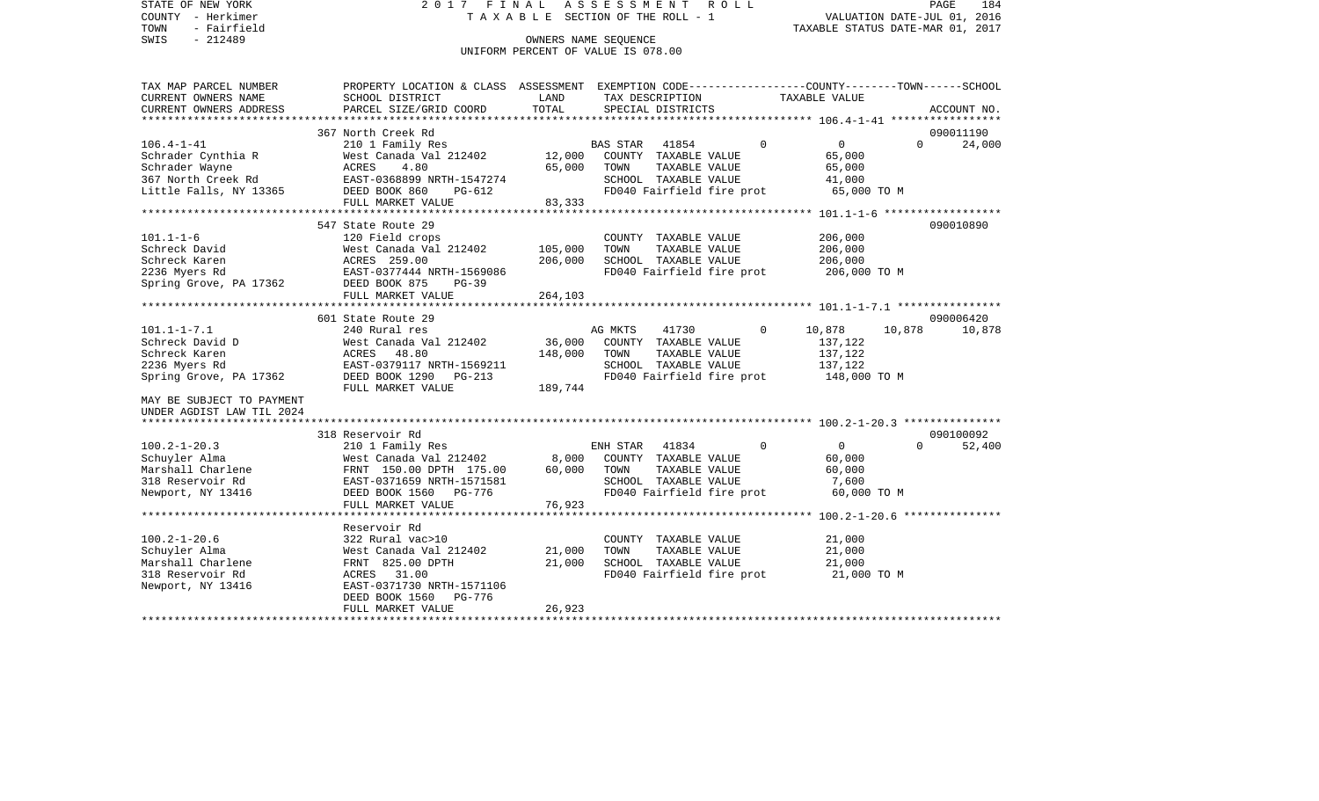STATE OF NEW YORK 2 0 1 7 F I N A L A S S E S S M E N T R O L L PAGE 184COUNTY - Herkimer T A X A B L E SECTION OF THE ROLL - 1 VALUATION DATE-JUL 01, 2016 TOWN - Fairfield TAXABLE STATUS DATE-MAR 01, 2017 SWIS - 212489 CONNERS NAME SEQUENCE UNIFORM PERCENT OF VALUE IS 078.00TAX MAP PARCEL NUMBER PROPERTY LOCATION & CLASS ASSESSMENT EXEMPTION CODE------------------COUNTY--------TOWN------SCHOOL CURRENT OWNERS NAME SCHOOL DISTRICT LAND TAX DESCRIPTION TAXABLE VALUECURRENT OWNERS ADDRESS PARCEL SIZE/GRID COORD TOTAL SPECIAL DISTRICTS ACCOUNT NO. \*\*\*\*\*\*\*\*\*\*\*\*\*\*\*\*\*\*\*\*\*\*\*\*\*\*\*\*\*\*\*\*\*\*\*\*\*\*\*\*\*\*\*\*\*\*\*\*\*\*\*\*\*\*\*\*\*\*\*\*\*\*\*\*\*\*\*\*\*\*\*\*\*\*\*\*\*\*\*\*\*\*\*\*\*\*\*\*\*\*\*\*\*\*\*\*\*\*\*\*\*\*\* 106.4-1-41 \*\*\*\*\*\*\*\*\*\*\*\*\*\*\*\*\* 367 North Creek Rd 090011190106.4-1-41 210 1 Family Res BAS STAR 41854 0 0 0 24,000 Schrader Cynthia R 65,000 West Canada Val 212402 12,000 COUNTY TAXABLE VALUE 65,000 Schrader Wayne ACRES 4.80 65,000 TOWN TAXABLE VALUE 65,000 367 North Creek Rd **EAST-0368899 NRTH-1547274** SCHOOL TAXABLE VALUE Little Falls, NY 13365 DEED BOOK 860 PG-612 FD040 Fairfield fire prot 65,000 TO M FULL MARKET VALUE 83,333 \*\*\*\*\*\*\*\*\*\*\*\*\*\*\*\*\*\*\*\*\*\*\*\*\*\*\*\*\*\*\*\*\*\*\*\*\*\*\*\*\*\*\*\*\*\*\*\*\*\*\*\*\*\*\*\*\*\*\*\*\*\*\*\*\*\*\*\*\*\*\*\*\*\*\*\*\*\*\*\*\*\*\*\*\*\*\*\*\*\*\*\*\*\*\*\*\*\*\*\*\*\*\* 101.1-1-6 \*\*\*\*\*\*\*\*\*\*\*\*\*\*\*\*\*\* 547 State Route 29 090010890101.1-1-6 120 Field crops COUNTY TAXABLE VALUE 206,000 West Canada Val 212402 105,000 TOWN TAXABLE VALUE Schreck Karen ACRES 259.00 206,000 SCHOOL TAXABLE VALUE 206,000 2236 Myers Rd EAST-0377444 NRTH-1569086 FD040 Fairfield fire prot 206,000 TO M Spring Grove, PA 17362 DEED BOOK 875 PG-39 FULL MARKET VALUE 264,103 \*\*\*\*\*\*\*\*\*\*\*\*\*\*\*\*\*\*\*\*\*\*\*\*\*\*\*\*\*\*\*\*\*\*\*\*\*\*\*\*\*\*\*\*\*\*\*\*\*\*\*\*\*\*\*\*\*\*\*\*\*\*\*\*\*\*\*\*\*\*\*\*\*\*\*\*\*\*\*\*\*\*\*\*\*\*\*\*\*\*\*\*\*\*\*\*\*\*\*\*\*\*\* 101.1-1-7.1 \*\*\*\*\*\*\*\*\*\*\*\*\*\*\*\* 601 State Route 29 090006420101.1-1-7.1 240 Rural res AG MKTS 41730 0 10,878 10,878 10,878 Schreck David D 6 7, 122 Schreck Karen ACRES 48.80 148,000 TOWN TAXABLE VALUE 137,122 2236 Myers Rd EAST-0379117 NRTH-1569211 SCHOOL TAXABLE VALUE 137,122 Spring Grove, PA 17362 DEED BOOK 1290 PG-213 FD040 Fairfield fire prot 148,000 TO M FULL MARKET VALUE 189,744 MAY BE SUBJECT TO PAYMENT UNDER AGDIST LAW TIL 2024 \*\*\*\*\*\*\*\*\*\*\*\*\*\*\*\*\*\*\*\*\*\*\*\*\*\*\*\*\*\*\*\*\*\*\*\*\*\*\*\*\*\*\*\*\*\*\*\*\*\*\*\*\*\*\*\*\*\*\*\*\*\*\*\*\*\*\*\*\*\*\*\*\*\*\*\*\*\*\*\*\*\*\*\*\*\*\*\*\*\*\*\*\*\*\*\*\*\*\*\*\*\*\* 100.2-1-20.3 \*\*\*\*\*\*\*\*\*\*\*\*\*\*\* 318 Reservoir Rd 090100092100.2-1-20.3 210 1 Family Res ENH STAR 41834 0 0 0 52,400 Schuyler Alma West Canada Val 212402 8,000 COUNTY TAXABLE VALUE 60,000 Marshall Charlene FRNT 150.00 DPTH 175.00 60,000 TOWN TAXABLE VALUE 60,000 318 Reservoir Rd EAST-0371659 NRTH-1571581 SCHOOL TAXABLE VALUE 7,600 Newport, NY 13416 **DEED BOOK 1560** PG-776 FD040 Fairfield fire prot 60,000 TO M FULL MARKET VALUE 76,923 \*\*\*\*\*\*\*\*\*\*\*\*\*\*\*\*\*\*\*\*\*\*\*\*\*\*\*\*\*\*\*\*\*\*\*\*\*\*\*\*\*\*\*\*\*\*\*\*\*\*\*\*\*\*\*\*\*\*\*\*\*\*\*\*\*\*\*\*\*\*\*\*\*\*\*\*\*\*\*\*\*\*\*\*\*\*\*\*\*\*\*\*\*\*\*\*\*\*\*\*\*\*\* 100.2-1-20.6 \*\*\*\*\*\*\*\*\*\*\*\*\*\*\* Reservoir Rd100.2-1-20.6 322 Rural vac>10 COUNTY TAXABLE VALUE 21,000 Schuyler Alma West Canada Val 212402 21,000 TOWN TAXABLE VALUE 21,000 Marshall Charlene **FRNT 825.00 DPTH** 21,000 SCHOOL TAXABLE VALUE 21,000 318 Reservoir Rd ACRES 31.00 FD040 Fairfield fire prot 21,000 TO M Newport, NY 13416 EAST-0371730 NRTH-1571106 DEED BOOK 1560 PG-776 FULL MARKET VALUE 26,923 \*\*\*\*\*\*\*\*\*\*\*\*\*\*\*\*\*\*\*\*\*\*\*\*\*\*\*\*\*\*\*\*\*\*\*\*\*\*\*\*\*\*\*\*\*\*\*\*\*\*\*\*\*\*\*\*\*\*\*\*\*\*\*\*\*\*\*\*\*\*\*\*\*\*\*\*\*\*\*\*\*\*\*\*\*\*\*\*\*\*\*\*\*\*\*\*\*\*\*\*\*\*\*\*\*\*\*\*\*\*\*\*\*\*\*\*\*\*\*\*\*\*\*\*\*\*\*\*\*\*\*\*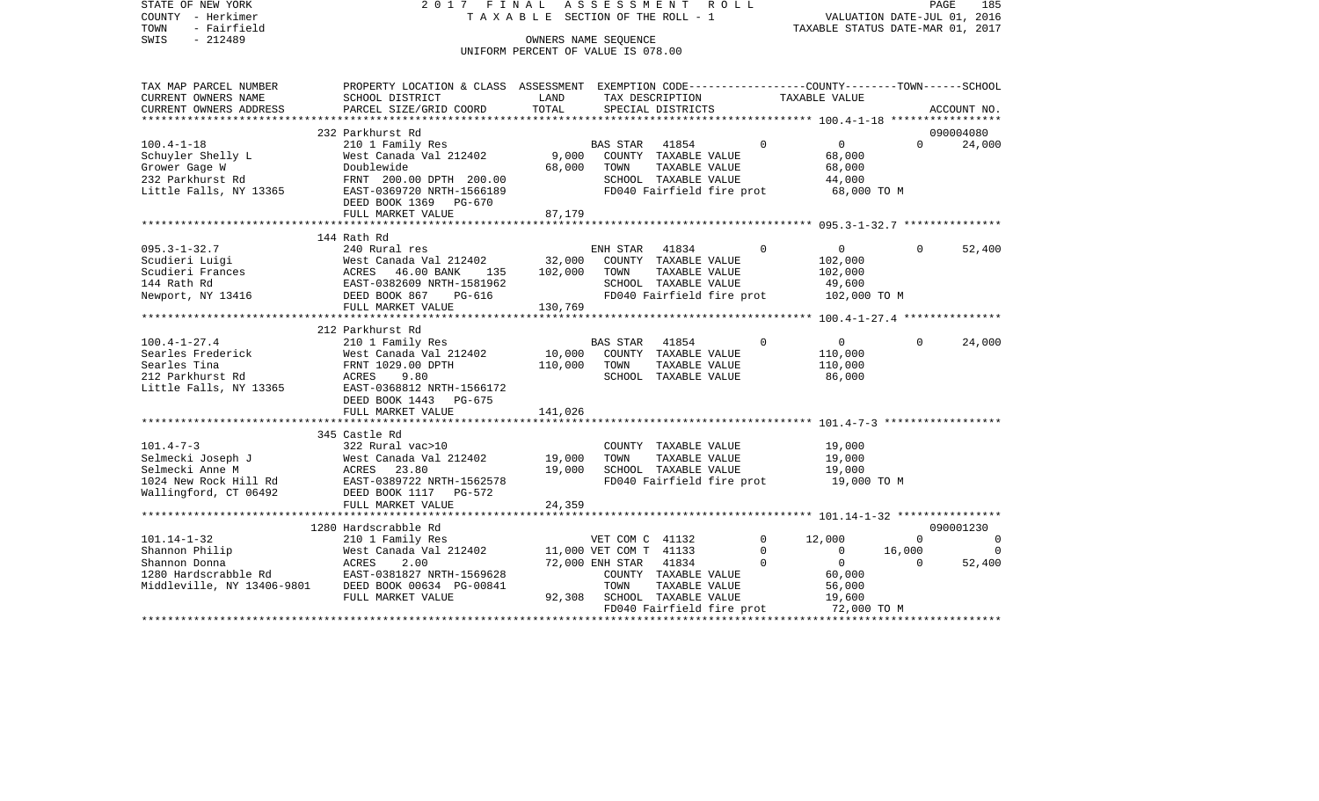STATE OF NEW YORK 2 0 1 7 F I N A L A S S E S S M E N T R O L L PAGE 185VALUATION DATE-JUL 01, 2016 COUNTY - Herkimer T A X A B L E SECTION OF THE ROLL - 1 TOWN - Fairfield TAXABLE STATUS DATE-MAR 01, 2017 SWIS - 212489 CONNERS NAME SEQUENCE UNIFORM PERCENT OF VALUE IS 078.00TAX MAP PARCEL NUMBER PROPERTY LOCATION & CLASS ASSESSMENT EXEMPTION CODE------------------COUNTY--------TOWN------SCHOOL CURRENT OWNERS NAME SCHOOL DISTRICT LAND TAX DESCRIPTION TAXABLE VALUECURRENT OWNERS ADDRESS PARCEL SIZE/GRID COORD TOTAL SPECIAL DISTRICTS ACCOUNT NO. \*\*\*\*\*\*\*\*\*\*\*\*\*\*\*\*\*\*\*\*\*\*\*\*\*\*\*\*\*\*\*\*\*\*\*\*\*\*\*\*\*\*\*\*\*\*\*\*\*\*\*\*\*\*\*\*\*\*\*\*\*\*\*\*\*\*\*\*\*\*\*\*\*\*\*\*\*\*\*\*\*\*\*\*\*\*\*\*\*\*\*\*\*\*\*\*\*\*\*\*\*\*\* 100.4-1-18 \*\*\*\*\*\*\*\*\*\*\*\*\*\*\*\*\* 232 Parkhurst Rd 090004080100.4-1-18 210 1 Family Res BAS STAR 41854 0 0 0 24,000 Schuyler Shelly L 68,000 West Canada Val 212402 9,000 COUNTY TAXABLE VALUE 68,000 Grower Gage W Doublewide 68,000 TOWN TAXABLE VALUE 68,000 232 Parkhurst Rd FRNT 200.00 DPTH 200.00 SCHOOL TAXABLE VALUE 44,000 Little Falls, NY 13365 EAST-0369720 NRTH-1566189 FD040 Fairfield fire prot 68,000 TO M DEED BOOK 1369 PG-670FULL MARKET VALUE 87,179 \*\*\*\*\*\*\*\*\*\*\*\*\*\*\*\*\*\*\*\*\*\*\*\*\*\*\*\*\*\*\*\*\*\*\*\*\*\*\*\*\*\*\*\*\*\*\*\*\*\*\*\*\*\*\*\*\*\*\*\*\*\*\*\*\*\*\*\*\*\*\*\*\*\*\*\*\*\*\*\*\*\*\*\*\*\*\*\*\*\*\*\*\*\*\*\*\*\*\*\*\*\*\* 095.3-1-32.7 \*\*\*\*\*\*\*\*\*\*\*\*\*\*\* 144 Rath Rd095.3-1-32.7 240 Rural res ENH STAR 41834 0 0 0 52,400 Scudieri Luigi West Canada Val 212402 32,000 COUNTY TAXABLE VALUE 102,000 Scudieri Frances 6 102,000 ACRES 46.00 BANK 135 102,000 TOWN TAXABLE VALUE 102,000 144 Rath Rd EAST-0382609 NRTH-1581962 SCHOOL TAXABLE VALUE 49,600 Newport, NY 13416 **DEED BOOK 867** PG-616 FD040 Fairfield fire prot 102,000 TO M FULL MARKET VALUE 130,769 \*\*\*\*\*\*\*\*\*\*\*\*\*\*\*\*\*\*\*\*\*\*\*\*\*\*\*\*\*\*\*\*\*\*\*\*\*\*\*\*\*\*\*\*\*\*\*\*\*\*\*\*\*\*\*\*\*\*\*\*\*\*\*\*\*\*\*\*\*\*\*\*\*\*\*\*\*\*\*\*\*\*\*\*\*\*\*\*\*\*\*\*\*\*\*\*\*\*\*\*\*\*\* 100.4-1-27.4 \*\*\*\*\*\*\*\*\*\*\*\*\*\*\* 212 Parkhurst Rd100.4-1-27.4 210 1 Family Res BAS STAR 41854 0 0 0 24,000 Searles Frederick West Canada Val 212402 10,000 COUNTY TAXABLE VALUE 110,000 Searles Tina FRNT 1029.00 DPTH 110,000 TOWN TAXABLE VALUE 110,000 212 Parkhurst Rd ACRES 9.80 SCHOOL TAXABLE VALUE 86,000 Little Falls, NY 13365 EAST-0368812 NRTH-1566172 DEED BOOK 1443 PG-675FULL MARKET VALUE 141,026 \*\*\*\*\*\*\*\*\*\*\*\*\*\*\*\*\*\*\*\*\*\*\*\*\*\*\*\*\*\*\*\*\*\*\*\*\*\*\*\*\*\*\*\*\*\*\*\*\*\*\*\*\*\*\*\*\*\*\*\*\*\*\*\*\*\*\*\*\*\*\*\*\*\*\*\*\*\*\*\*\*\*\*\*\*\*\*\*\*\*\*\*\*\*\*\*\*\*\*\*\*\*\* 101.4-7-3 \*\*\*\*\*\*\*\*\*\*\*\*\*\*\*\*\*\* 345 Castle Rd101.4-7-3 322 Rural vac>10 COUNTY TAXABLE VALUE 19,000 Selmecki Joseph J West Canada Val 212402 19,000 TOWN TAXABLE VALUE 19,000 Selmecki Anne M ACRES 23.80 19,000 SCHOOL TAXABLE VALUE 19,000 1024 New Rock Hill Rd EAST-0389722 NRTH-1562578 FD040 Fairfield fire prot 19,000 TO M Wallingford, CT 06492 DEED BOOK 1117 PG-572 FULL MARKET VALUE 24,359 \*\*\*\*\*\*\*\*\*\*\*\*\*\*\*\*\*\*\*\*\*\*\*\*\*\*\*\*\*\*\*\*\*\*\*\*\*\*\*\*\*\*\*\*\*\*\*\*\*\*\*\*\*\*\*\*\*\*\*\*\*\*\*\*\*\*\*\*\*\*\*\*\*\*\*\*\*\*\*\*\*\*\*\*\*\*\*\*\*\*\*\*\*\*\*\*\*\*\*\*\*\*\* 101.14-1-32 \*\*\*\*\*\*\*\*\*\*\*\*\*\*\*\* 1280 Hardscrabble Rd 090001230101.14-1-32 210 1 Family Res VET COM C 41132 0 12,000 0 0 Shannon Philip West Canada Val 212402 11,000 VET COM T 41133 0 0 16,000 0 Shannon Donna ACRES 2.00 72,000 ENH STAR 41834 0 0 52,400 1280 Hardscrabble Rd EAST-0381827 NRTH-1569628 COUNTY TAXABLE VALUE 60,000 Middleville, NY 13406-9801 DEED BOOK 00634 PG-00841 TOWN TAXABLE VALUE 56,000 FULL MARKET VALUE  $92,308$  SCHOOL TAXABLE VALUE 19,600 FD040 Fairfield fire prot 72,000 TO M \*\*\*\*\*\*\*\*\*\*\*\*\*\*\*\*\*\*\*\*\*\*\*\*\*\*\*\*\*\*\*\*\*\*\*\*\*\*\*\*\*\*\*\*\*\*\*\*\*\*\*\*\*\*\*\*\*\*\*\*\*\*\*\*\*\*\*\*\*\*\*\*\*\*\*\*\*\*\*\*\*\*\*\*\*\*\*\*\*\*\*\*\*\*\*\*\*\*\*\*\*\*\*\*\*\*\*\*\*\*\*\*\*\*\*\*\*\*\*\*\*\*\*\*\*\*\*\*\*\*\*\*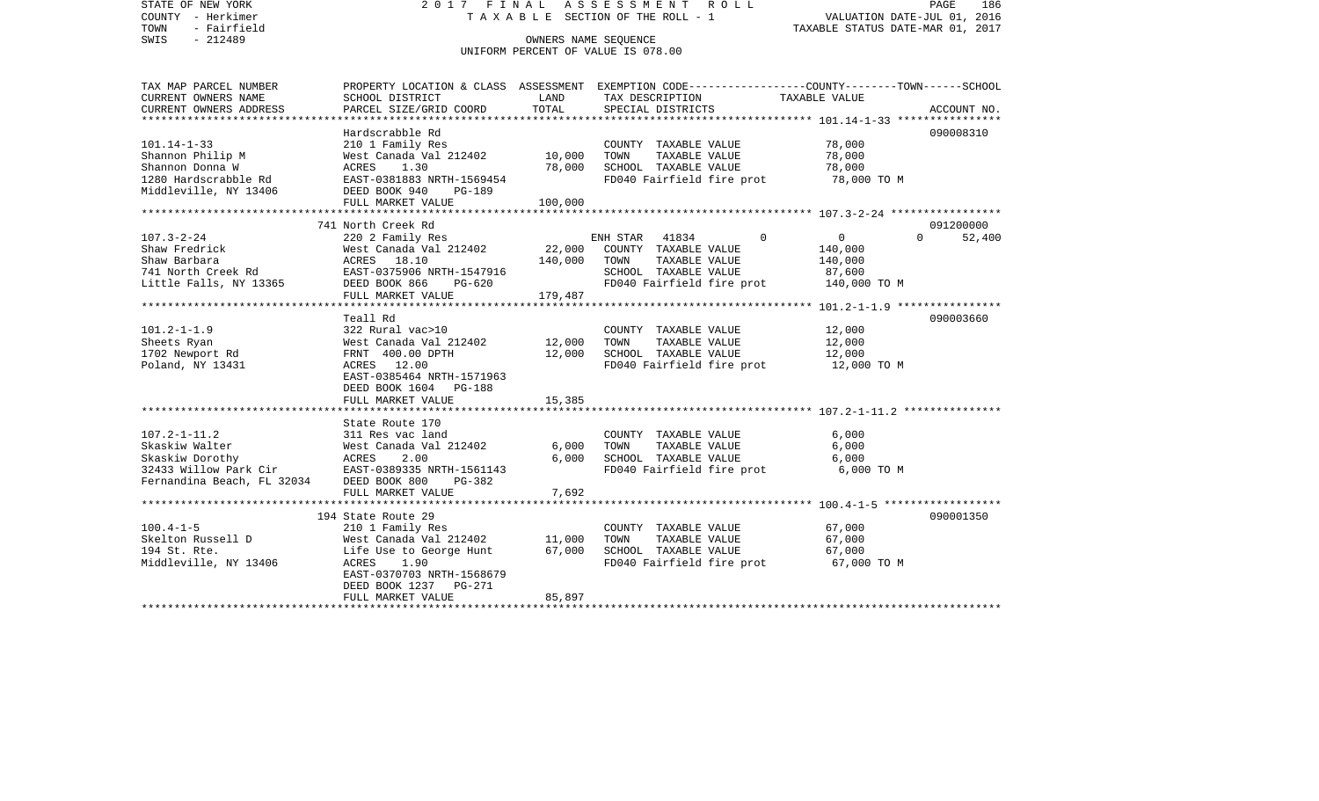STATE OF NEW YORK 2 0 1 7 F I N A L A S S E S S M E N T R O L L PAGE 186COUNTY - Herkimer T A X A B L E SECTION OF THE ROLL - 1 VALUATION DATE-JUL 01, 2016 TOWN - Fairfield TAXABLE STATUS DATE-MAR 01, 2017 SWIS - 212489 CONNERS NAME SEQUENCE UNIFORM PERCENT OF VALUE IS 078.00TAX MAP PARCEL NUMBER PROPERTY LOCATION & CLASS ASSESSMENT EXEMPTION CODE------------------COUNTY--------TOWN------SCHOOL CURRENT OWNERS NAME SCHOOL DISTRICT LAND TAX DESCRIPTION TAXABLE VALUECURRENT OWNERS ADDRESS PARCEL SIZE/GRID COORD TOTAL SPECIAL DISTRICTS ACCOUNT NO. \*\*\*\*\*\*\*\*\*\*\*\*\*\*\*\*\*\*\*\*\*\*\*\*\*\*\*\*\*\*\*\*\*\*\*\*\*\*\*\*\*\*\*\*\*\*\*\*\*\*\*\*\*\*\*\*\*\*\*\*\*\*\*\*\*\*\*\*\*\*\*\*\*\*\*\*\*\*\*\*\*\*\*\*\*\*\*\*\*\*\*\*\*\*\*\*\*\*\*\*\*\*\* 101.14-1-33 \*\*\*\*\*\*\*\*\*\*\*\*\*\*\*\* Hardscrabble Rd 090008310101.14-1-33 210 1 Family Res COUNTY TAXABLE VALUE 78,000 Shannon Philip M **West Canada Val 212402** 10,000 TOWN TAXABLE VALUE 78,000 Shannon Donna W ACRES 1.30 78,000 SCHOOL TAXABLE VALUE 78,000 1280 Hardscrabble Rd EAST-0381883 NRTH-1569454 FD040 Fairfield fire prot 78,000 TO M DEED BOOK 940 PG-189 FULL MARKET VALUE 100,000 \*\*\*\*\*\*\*\*\*\*\*\*\*\*\*\*\*\*\*\*\*\*\*\*\*\*\*\*\*\*\*\*\*\*\*\*\*\*\*\*\*\*\*\*\*\*\*\*\*\*\*\*\*\*\*\*\*\*\*\*\*\*\*\*\*\*\*\*\*\*\*\*\*\*\*\*\*\*\*\*\*\*\*\*\*\*\*\*\*\*\*\*\*\*\*\*\*\*\*\*\*\*\* 107.3-2-24 \*\*\*\*\*\*\*\*\*\*\*\*\*\*\*\*\* 741 North Creek Rd 091200000107.3-2-24 220 2 Family Res ENH STAR 41834 0 0 0 52,400 Shaw Fredrick West Country Taxable Value 140,000 Shaw Barbara ACRES 18.10 140,000 TOWN TAXABLE VALUE 140,000 741 North Creek Rd EAST-0375906 NRTH-1547916 SCHOOL TAXABLE VALUE 87,600 Little Falls, NY 13365 DEED BOOK 866 PG-620 FD040 Fairfield fire prot 140,000 TO M FULL MARKET VALUE 179,487 \*\*\*\*\*\*\*\*\*\*\*\*\*\*\*\*\*\*\*\*\*\*\*\*\*\*\*\*\*\*\*\*\*\*\*\*\*\*\*\*\*\*\*\*\*\*\*\*\*\*\*\*\*\*\*\*\*\*\*\*\*\*\*\*\*\*\*\*\*\*\*\*\*\*\*\*\*\*\*\*\*\*\*\*\*\*\*\*\*\*\*\*\*\*\*\*\*\*\*\*\*\*\* 101.2-1-1.9 \*\*\*\*\*\*\*\*\*\*\*\*\*\*\*\* Teall Rd 090003660101.2-1-1.9 322 Rural vac>10 COUNTY TAXABLE VALUE 12,000 Sheets Ryan West Canada Val 212402 12,000 TOWN TAXABLE VALUE 12,000 1702 Newport Rd FRNT 400.00 DPTH 12,000 SCHOOL TAXABLE VALUE 12,000 Poland, NY 13431 **ACRES** 12.00 **FD040** Fairfield fire prot 12,000 TO M EAST-0385464 NRTH-1571963 DEED BOOK 1604 PG-188FULL MARKET VALUE 15,385 \*\*\*\*\*\*\*\*\*\*\*\*\*\*\*\*\*\*\*\*\*\*\*\*\*\*\*\*\*\*\*\*\*\*\*\*\*\*\*\*\*\*\*\*\*\*\*\*\*\*\*\*\*\*\*\*\*\*\*\*\*\*\*\*\*\*\*\*\*\*\*\*\*\*\*\*\*\*\*\*\*\*\*\*\*\*\*\*\*\*\*\*\*\*\*\*\*\*\*\*\*\*\* 107.2-1-11.2 \*\*\*\*\*\*\*\*\*\*\*\*\*\*\* State Route 170107.2-1-11.2 311 Res vac land COUNTY TAXABLE VALUE 6,000 Skaskiw Walter West Canada Val 212402 6,000 TOWN TAXABLE VALUE 6,000 Skaskiw Dorothy ACRES 2.00 6,000 SCHOOL TAXABLE VALUE 6,000 32433 Willow Park Cir EAST-0389335 NRTH-1561143 FD040 Fairfield fire prot 6,000 TO M Fernandina Beach, FL 32034 DEED BOOK 800 PG-382 FULL MARKET VALUE 7,692 \*\*\*\*\*\*\*\*\*\*\*\*\*\*\*\*\*\*\*\*\*\*\*\*\*\*\*\*\*\*\*\*\*\*\*\*\*\*\*\*\*\*\*\*\*\*\*\*\*\*\*\*\*\*\*\*\*\*\*\*\*\*\*\*\*\*\*\*\*\*\*\*\*\*\*\*\*\*\*\*\*\*\*\*\*\*\*\*\*\*\*\*\*\*\*\*\*\*\*\*\*\*\* 100.4-1-5 \*\*\*\*\*\*\*\*\*\*\*\*\*\*\*\*\*\*194 State Route 29 090001350 100.4-1-5 210 1 Family Res COUNTY TAXABLE VALUE 67,000 Skelton Russell D West Canada Val 212402 11,000 TOWN TAXABLE VALUE 67,000 194 St. Rte. Life Use to George Hunt 67,000 SCHOOL TAXABLE VALUE 67,000 Middleville, NY 13406 ACRES 1.90 FD040 Fairfield fire prot 67,000 TO M EAST-0370703 NRTH-1568679 DEED BOOK 1237 PG-271FULL MARKET VALUE 85,897 \*\*\*\*\*\*\*\*\*\*\*\*\*\*\*\*\*\*\*\*\*\*\*\*\*\*\*\*\*\*\*\*\*\*\*\*\*\*\*\*\*\*\*\*\*\*\*\*\*\*\*\*\*\*\*\*\*\*\*\*\*\*\*\*\*\*\*\*\*\*\*\*\*\*\*\*\*\*\*\*\*\*\*\*\*\*\*\*\*\*\*\*\*\*\*\*\*\*\*\*\*\*\*\*\*\*\*\*\*\*\*\*\*\*\*\*\*\*\*\*\*\*\*\*\*\*\*\*\*\*\*\*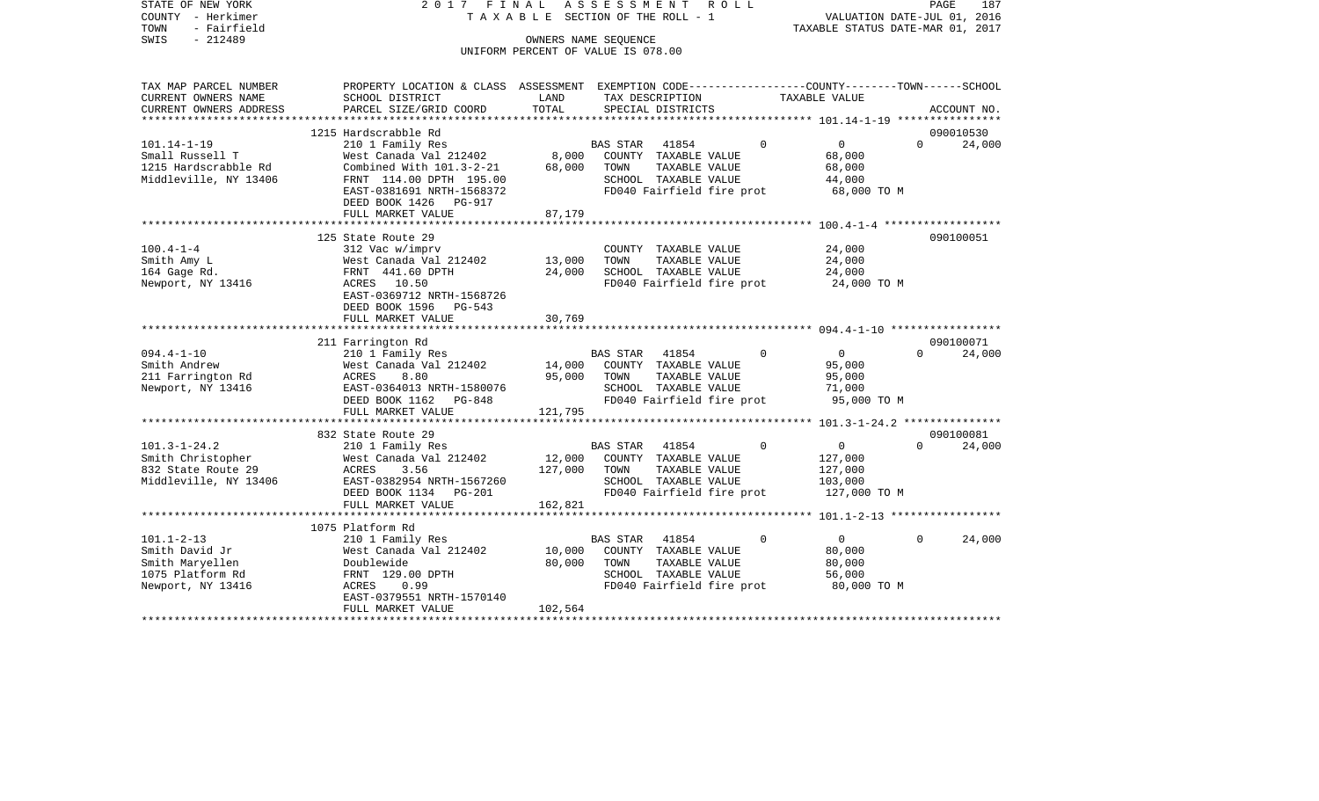STATE OF NEW YORK 2 0 1 7 F I N A L A S S E S S M E N T R O L L PAGE 187COUNTY - Herkimer **T A X A B L E** SECTION OF THE ROLL - 1 VALUATION DATE-JUL 01, 2016 TOWN - Fairfield TAXABLE STATUS DATE-MAR 01, 2017 SWIS - 212489 CONNERS NAME SEQUENCE UNIFORM PERCENT OF VALUE IS 078.00

TAX MAP PARCEL NUMBER PROPERTY LOCATION & CLASS ASSESSMENT EXEMPTION CODE------------------COUNTY--------TOWN------SCHOOL

CURRENT OWNERS NAME SCHOOL DISTRICT LAND TAX DESCRIPTION TAXABLE VALUECURRENT OWNERS ADDRESS PARCEL SIZE/GRID COORD TOTAL SPECIAL DISTRICTS ACCOUNT NO. \*\*\*\*\*\*\*\*\*\*\*\*\*\*\*\*\*\*\*\*\*\*\*\*\*\*\*\*\*\*\*\*\*\*\*\*\*\*\*\*\*\*\*\*\*\*\*\*\*\*\*\*\*\*\*\*\*\*\*\*\*\*\*\*\*\*\*\*\*\*\*\*\*\*\*\*\*\*\*\*\*\*\*\*\*\*\*\*\*\*\*\*\*\*\*\*\*\*\*\*\*\*\* 101.14-1-19 \*\*\*\*\*\*\*\*\*\*\*\*\*\*\*\* 1215 Hardscrabble Rd 090010530101.14-1-19 210 1 Family Res BAS STAR 41854 0 0 0 24,000 Small Russell T 68,000 West Canada Val 212402 8,000 COUNTY TAXABLE VALUE 68,000 1215 Hardscrabble Rd Combined With 101.3-2-21 68,000 TOWN TAXABLE VALUE 68,000 Middleville, NY 13406 FRNT 114.00 DPTH 195.00 SCHOOL TAXABLE VALUE 44,000 EAST-0381691 NRTH-1568372 FD040 Fairfield fire prot 68,000 TO M DEED BOOK 1426 PG-917FULL MARKET VALUE 87,179 \*\*\*\*\*\*\*\*\*\*\*\*\*\*\*\*\*\*\*\*\*\*\*\*\*\*\*\*\*\*\*\*\*\*\*\*\*\*\*\*\*\*\*\*\*\*\*\*\*\*\*\*\*\*\*\*\*\*\*\*\*\*\*\*\*\*\*\*\*\*\*\*\*\*\*\*\*\*\*\*\*\*\*\*\*\*\*\*\*\*\*\*\*\*\*\*\*\*\*\*\*\*\* 100.4-1-4 \*\*\*\*\*\*\*\*\*\*\*\*\*\*\*\*\*\* 125 State Route 29 090100051100.4-1-4 312 Vac w/imprv COUNTY TAXABLE VALUE 24,000 Smith Amy Land 2012 1212402 13,000 TOWN TAXABLE VALUE 24,000<br>164 Gage Rd. 15 24,000 FRNT 441.60 DPTH 24,000 SCHOOL TAXABLE VALUE 24,000 164 Gage Rd. FRNT 441.60 DPTH 24,000 SCHOOL TAXABLE VALUE 24,000 Newport, NY 13416 ACRES 10.50 FD040 Fairfield fire prot 24,000 TO M EAST-0369712 NRTH-1568726 DEED BOOK 1596 PG-543FULL MARKET VALUE 30.769 \*\*\*\*\*\*\*\*\*\*\*\*\*\*\*\*\*\*\*\*\*\*\*\*\*\*\*\*\*\*\*\*\*\*\*\*\*\*\*\*\*\*\*\*\*\*\*\*\*\*\*\*\*\*\*\*\*\*\*\*\*\*\*\*\*\*\*\*\*\*\*\*\*\*\*\*\*\*\*\*\*\*\*\*\*\*\*\*\*\*\*\*\*\*\*\*\*\*\*\*\*\*\* 094.4-1-10 \*\*\*\*\*\*\*\*\*\*\*\*\*\*\*\*\* 211 Farrington Rd 090100071 094.4-1-10 210 1 Family Res BAS STAR 41854 0 0 0 24,000 Smith Andrew West Canada Val 212402 14,000 COUNTY TAXABLE VALUE 95,000 211 Farrington Rd ACRES 8.80 95,000 TOWN TAXABLE VALUE 95,000 Newport, NY 13416 EAST-0364013 NRTH-1580076 SCHOOL TAXABLE VALUE 71,000 DEED BOOK 1162 PG-848 FD040 Fairfield fire prot 95,000 TO M<br>FULL MARKET VALUE 121.795 FULL MARKET VALUE \*\*\*\*\*\*\*\*\*\*\*\*\*\*\*\*\*\*\*\*\*\*\*\*\*\*\*\*\*\*\*\*\*\*\*\*\*\*\*\*\*\*\*\*\*\*\*\*\*\*\*\*\*\*\*\*\*\*\*\*\*\*\*\*\*\*\*\*\*\*\*\*\*\*\*\*\*\*\*\*\*\*\*\*\*\*\*\*\*\*\*\*\*\*\*\*\*\*\*\*\*\*\* 101.3-1-24.2 \*\*\*\*\*\*\*\*\*\*\*\*\*\*\* 832 State Route 29 090100081101.3-1-24.2 210 1 Family Res BAS STAR 41854 0 0 0 24,000 Smith Christopher 6127,000 West Canada Val 212402 12,000 COUNTY TAXABLE VALUE 127,000 832 State Route 29 ACRES 3.56 127,000 TOWN TAXABLE VALUE 127,000 Middleville, NY 13406 EAST-0382954 NRTH-1567260 SCHOOL TAXABLE VALUE 103,000<br>DEED BOOK 1134 PG-201 FD040 Fairfield fire prot 127,000 FD040 Fairfield fire prot 127,000 TO M FULL MARKET VALUE 162,821 \*\*\*\*\*\*\*\*\*\*\*\*\*\*\*\*\*\*\*\*\*\*\*\*\*\*\*\*\*\*\*\*\*\*\*\*\*\*\*\*\*\*\*\*\*\*\*\*\*\*\*\*\*\*\*\*\*\*\*\*\*\*\*\*\*\*\*\*\*\*\*\*\*\*\*\*\*\*\*\*\*\*\*\*\*\*\*\*\*\*\*\*\*\*\*\*\*\*\*\*\*\*\* 101.1-2-13 \*\*\*\*\*\*\*\*\*\*\*\*\*\*\*\*\* 1075 Platform Rd101.1-2-13 210 1 Family Res BAS STAR 41854 0 0 0 24,000 Smith David Jr **West Canada Val 212402** 10,000 COUNTY TAXABLE VALUE 80,000 Smith Maryellen and Doublewide 1999 and 20,000 TOWN TAXABLE VALUE 80,000 1075 Platform Rd FRNT 129.00 DPTH SCHOOL TAXABLE VALUE 56,000 Newport, NY 13416 ACRES 0.99 FD040 Fairfield fire prot 80,000 TO M EAST-0379551 NRTH-1570140 FULL MARKET VALUE 102.564

\*\*\*\*\*\*\*\*\*\*\*\*\*\*\*\*\*\*\*\*\*\*\*\*\*\*\*\*\*\*\*\*\*\*\*\*\*\*\*\*\*\*\*\*\*\*\*\*\*\*\*\*\*\*\*\*\*\*\*\*\*\*\*\*\*\*\*\*\*\*\*\*\*\*\*\*\*\*\*\*\*\*\*\*\*\*\*\*\*\*\*\*\*\*\*\*\*\*\*\*\*\*\*\*\*\*\*\*\*\*\*\*\*\*\*\*\*\*\*\*\*\*\*\*\*\*\*\*\*\*\*\*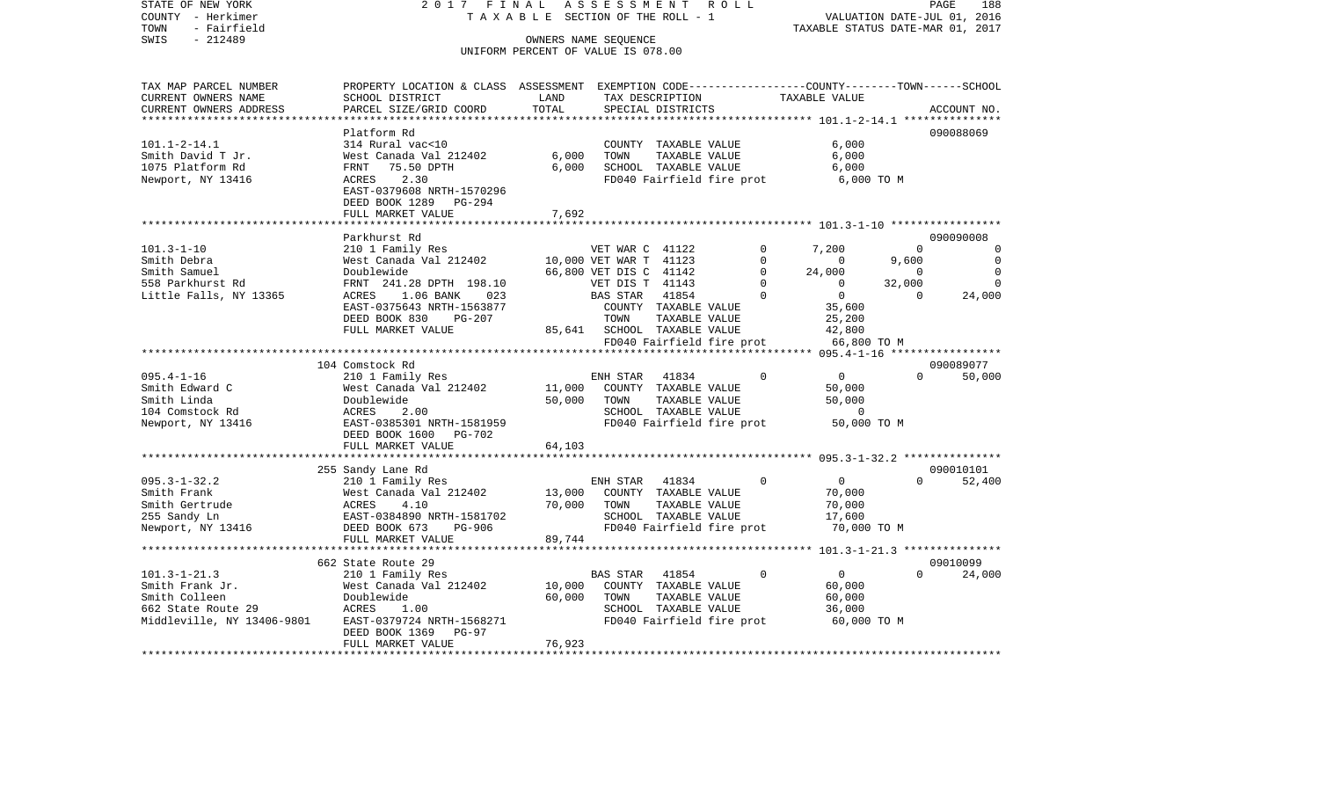COUNTY - Herkimer **T A X A B L E** SECTION OF THE ROLL - 1 VALUATION DATE-JUL 01, 2016 TOWN - Fairfield TAXABLE STATUS DATE-MAR 01, 2017 SWIS - 212489 CONNERS NAME SEQUENCE UNIFORM PERCENT OF VALUE IS 078.00TAX MAP PARCEL NUMBER PROPERTY LOCATION & CLASS ASSESSMENT EXEMPTION CODE------------------COUNTY--------TOWN------SCHOOL CURRENT OWNERS NAME SCHOOL DISTRICT LAND TAX DESCRIPTION TAXABLE VALUECURRENT OWNERS ADDRESS PARCEL SIZE/GRID COORD TOTAL SPECIAL DISTRICTS ACCOUNT NO. \*\*\*\*\*\*\*\*\*\*\*\*\*\*\*\*\*\*\*\*\*\*\*\*\*\*\*\*\*\*\*\*\*\*\*\*\*\*\*\*\*\*\*\*\*\*\*\*\*\*\*\*\*\*\*\*\*\*\*\*\*\*\*\*\*\*\*\*\*\*\*\*\*\*\*\*\*\*\*\*\*\*\*\*\*\*\*\*\*\*\*\*\*\*\*\*\*\*\*\*\*\*\* 101.1-2-14.1 \*\*\*\*\*\*\*\*\*\*\*\*\*\*\* Platform Rd 090088069101.1-2-14.1 314 Rural vac<10 COUNTY TAXABLE VALUE 6,000 Smith David T Jr. 6,000 West Canada Val 212402 6,000 TOWN TAXABLE VALUE 6,000 1075 Platform Rd FRNT 75.50 DPTH 6,000 SCHOOL TAXABLE VALUE 6,000 Newport, NY 13416 ACRES 2.30 FD040 Fairfield fire prot 6,000 TO M EAST-0379608 NRTH-1570296 DEED BOOK 1289 PG-294FULL MARKET VALUE 7,692 \*\*\*\*\*\*\*\*\*\*\*\*\*\*\*\*\*\*\*\*\*\*\*\*\*\*\*\*\*\*\*\*\*\*\*\*\*\*\*\*\*\*\*\*\*\*\*\*\*\*\*\*\*\*\*\*\*\*\*\*\*\*\*\*\*\*\*\*\*\*\*\*\*\*\*\*\*\*\*\*\*\*\*\*\*\*\*\*\*\*\*\*\*\*\*\*\*\*\*\*\*\*\* 101.3-1-10 \*\*\*\*\*\*\*\*\*\*\*\*\*\*\*\*\* Parkhurst Rd 090090008101.3-1-10 210 1 Family Res VET WAR C 41122 0 7,200 0 0 Nest Canada Val 212402 10,000 VET WAR T 41123 0 0 9,600 0 0 Smith Samuel Doublewide 66,800 VET DIS C 41142 0 24,000 0 0 558 Parkhurst Rd FRNT 241.28 DPTH 198.10 VET DIS T 41143 0 0 32,000 0 Little Falls, NY 13365 ACRES 1.06 BANK 023 BAS STAR 41854 0 0 0 24,000 EAST-0375643 NRTH-1563877 COUNTY TAXABLE VALUE 35,600 DEED BOOK 830 PG-207 TOWN TAXABLE VALUE 25,200 FULL MARKET VALUE  $85,641$  SCHOOL TAXABLE VALUE  $42,800$ FD040 Fairfield fire prot 66,800 TO M \*\*\*\*\*\*\*\*\*\*\*\*\*\*\*\*\*\*\*\*\*\*\*\*\*\*\*\*\*\*\*\*\*\*\*\*\*\*\*\*\*\*\*\*\*\*\*\*\*\*\*\*\*\*\*\*\*\*\*\*\*\*\*\*\*\*\*\*\*\*\*\*\*\*\*\*\*\*\*\*\*\*\*\*\*\*\*\*\*\*\*\*\*\*\*\*\*\*\*\*\*\*\* 095.4-1-16 \*\*\*\*\*\*\*\*\*\*\*\*\*\*\*\*\* 104 Comstock Rd 090089077095.4-1-16 210 1 Family Res ENH STAR 41834 0 0 0 50,000 Smith Edward C 60,000 West Canada Val 212402 11,000 COUNTY TAXABLE VALUE 50,000 Smith Linda Doublewide 50,000 TOWN TAXABLE VALUE 50,000 104 Comstock Rd ACRES 2.00 SCHOOL TAXABLE VALUE 0Newport, NY 13416 EAST-0385301 NRTH-1581959 FD040 Fairfield fire prot 50,000 TO M DEED BOOK 1600 PG-702FULL MARKET VALUE 64,103 \*\*\*\*\*\*\*\*\*\*\*\*\*\*\*\*\*\*\*\*\*\*\*\*\*\*\*\*\*\*\*\*\*\*\*\*\*\*\*\*\*\*\*\*\*\*\*\*\*\*\*\*\*\*\*\*\*\*\*\*\*\*\*\*\*\*\*\*\*\*\*\*\*\*\*\*\*\*\*\*\*\*\*\*\*\*\*\*\*\*\*\*\*\*\*\*\*\*\*\*\*\*\* 095.3-1-32.2 \*\*\*\*\*\*\*\*\*\*\*\*\*\*\* 255 Sandy Lane Rd 090010101 095.3-1-32.2 200 1 Family Res 210 1 Family Res ENH STAR 41834 0 0 0 52,400 Smith Frank West Canada Val 212402 13,000 COUNTY TAXABLE VALUE 70,000 Smith Gertrude ACRES 4.10 70,000 TOWN TAXABLE VALUE 70,000 255 Sandy Ln EAST-0384890 NRTH-1581702 SCHOOL TAXABLE VALUE 17,600 Newport, NY 13416 DEED BOOK 673 PG-906 FD040 Fairfield fire prot 70,000 TO M FULL MARKET VALUE 89,744 \*\*\*\*\*\*\*\*\*\*\*\*\*\*\*\*\*\*\*\*\*\*\*\*\*\*\*\*\*\*\*\*\*\*\*\*\*\*\*\*\*\*\*\*\*\*\*\*\*\*\*\*\*\*\*\*\*\*\*\*\*\*\*\*\*\*\*\*\*\*\*\*\*\*\*\*\*\*\*\*\*\*\*\*\*\*\*\*\*\*\*\*\*\*\*\*\*\*\*\*\*\*\* 101.3-1-21.3 \*\*\*\*\*\*\*\*\*\*\*\*\*\*\* 662 State Route 29 09010099101.3-1-21.3 210 1 Family Res BAS STAR 41854 0 0 0 24,000 Smith Frank Jr. West Canada Val 212402 10,000 COUNTY TAXABLE VALUE 60,000 Smith Colleen Doublewide 60,000 TOWN TAXABLE VALUE 60,000 662 State Route 29 ACRES 1.00 SCHOOL TAXABLE VALUE 36,000 Middleville, NY 13406-9801 EAST-0379724 NRTH-1568271 FD040 Fairfield fire prot 60,000 TO M DEED BOOK 1369 PG-97FULL MARKET VALUE 76,923 \*\*\*\*\*\*\*\*\*\*\*\*\*\*\*\*\*\*\*\*\*\*\*\*\*\*\*\*\*\*\*\*\*\*\*\*\*\*\*\*\*\*\*\*\*\*\*\*\*\*\*\*\*\*\*\*\*\*\*\*\*\*\*\*\*\*\*\*\*\*\*\*\*\*\*\*\*\*\*\*\*\*\*\*\*\*\*\*\*\*\*\*\*\*\*\*\*\*\*\*\*\*\*\*\*\*\*\*\*\*\*\*\*\*\*\*\*\*\*\*\*\*\*\*\*\*\*\*\*\*\*\*

STATE OF NEW YORK 2 0 1 7 F I N A L A S S E S S M E N T R O L L PAGE 188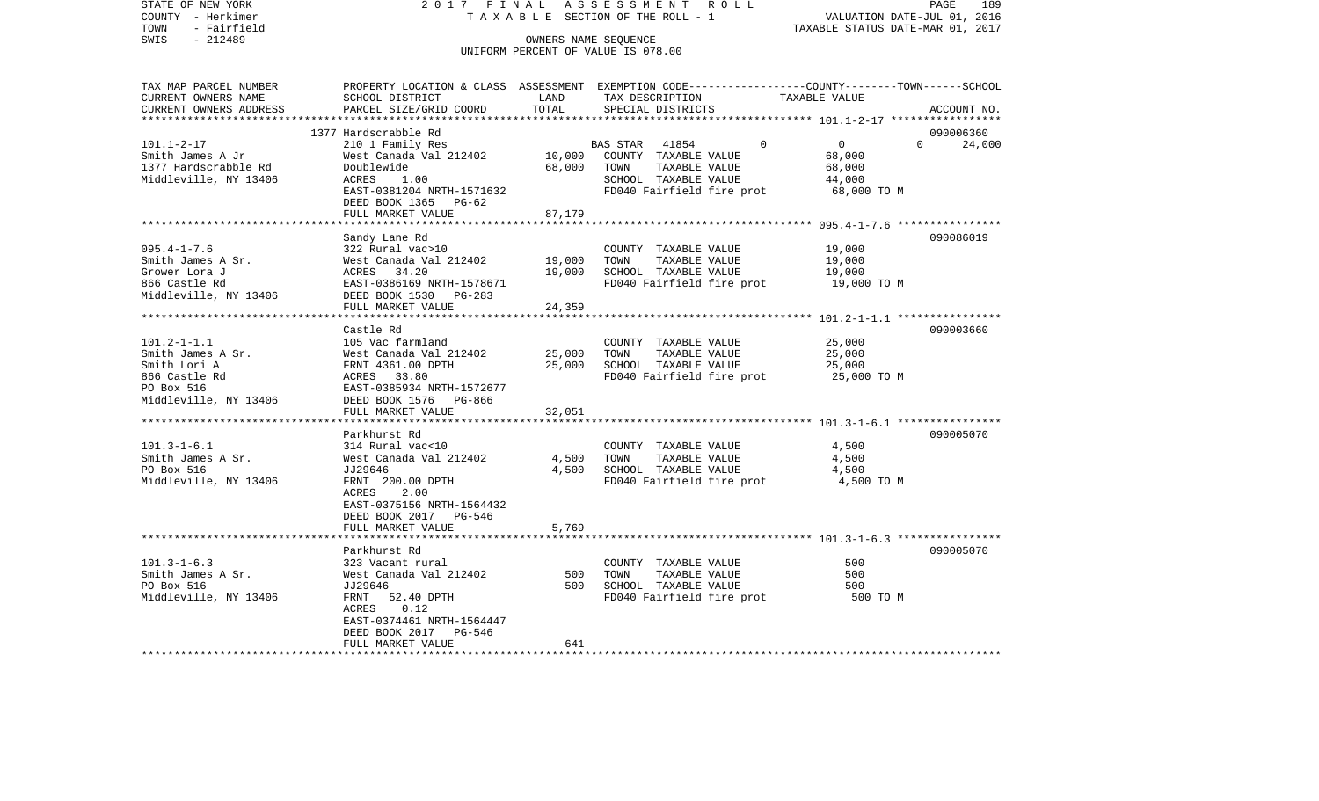| STATE OF NEW YORK                                                                                                                                                                                                                           |                                                                                                                                                      |        | 2017 FINAL ASSESSMENT ROLL                                                                      |                                  | PAGE<br>189   |
|---------------------------------------------------------------------------------------------------------------------------------------------------------------------------------------------------------------------------------------------|------------------------------------------------------------------------------------------------------------------------------------------------------|--------|-------------------------------------------------------------------------------------------------|----------------------------------|---------------|
| COUNTY - Herkimer                                                                                                                                                                                                                           |                                                                                                                                                      |        | TAXABLE SECTION OF THE ROLL - 1 VALUATION DATE-JUL 01, 2016                                     |                                  |               |
| - Fairfield<br>TOWN                                                                                                                                                                                                                         |                                                                                                                                                      |        |                                                                                                 | TAXABLE STATUS DATE-MAR 01, 2017 |               |
| SWIS<br>$-212489$                                                                                                                                                                                                                           |                                                                                                                                                      |        | OWNERS NAME SEQUENCE                                                                            |                                  |               |
|                                                                                                                                                                                                                                             |                                                                                                                                                      |        | UNIFORM PERCENT OF VALUE IS 078.00                                                              |                                  |               |
|                                                                                                                                                                                                                                             |                                                                                                                                                      |        |                                                                                                 |                                  |               |
| TAX MAP PARCEL NUMBER                                                                                                                                                                                                                       |                                                                                                                                                      |        | PROPERTY LOCATION & CLASS ASSESSMENT EXEMPTION CODE---------------COUNTY-------TOWN------SCHOOL |                                  |               |
| CURRENT OWNERS NAME                                                                                                                                                                                                                         | SCHOOL DISTRICT                                                                                                                                      | LAND   | TAX DESCRIPTION TAXABLE VALUE                                                                   |                                  |               |
| CURRENT OWNERS ADDRESS                                                                                                                                                                                                                      | PARCEL SIZE/GRID COORD                                                                                                                               | TOTAL  | SPECIAL DISTRICTS                                                                               |                                  | ACCOUNT NO.   |
|                                                                                                                                                                                                                                             |                                                                                                                                                      |        |                                                                                                 |                                  |               |
|                                                                                                                                                                                                                                             | 1377 Hardscrabble Rd                                                                                                                                 |        |                                                                                                 |                                  | 090006360     |
| $101.1 - 2 - 17$                                                                                                                                                                                                                            | 210 1 Family Res                                                                                                                                     |        | BAS STAR 41854                                                                                  | $\overline{0}$<br>$\Omega$       | $0 \t 24,000$ |
| Smith James A Jr                                                                                                                                                                                                                            |                                                                                                                                                      |        | West Canada Val 212402 10,000 COUNTY TAXABLE VALUE                                              | 68,000                           |               |
| 1377 Hardscrabble Rd                                                                                                                                                                                                                        | Doublewide<br>ACRES 1.00                                                                                                                             | 68,000 | TOWN TAXABLE VALUE                                                                              | 68,000                           |               |
| Middleville, NY 13406                                                                                                                                                                                                                       |                                                                                                                                                      |        | SCHOOL TAXABLE VALUE                                                                            | 44,000                           |               |
|                                                                                                                                                                                                                                             | EAST-0381204 NRTH-1571632                                                                                                                            |        | FD040 Fairfield fire prot                                                                       | 68,000 TO M                      |               |
|                                                                                                                                                                                                                                             | DEED BOOK 1365 PG-62                                                                                                                                 |        |                                                                                                 |                                  |               |
|                                                                                                                                                                                                                                             | FULL MARKET VALUE                                                                                                                                    | 87,179 |                                                                                                 |                                  |               |
|                                                                                                                                                                                                                                             |                                                                                                                                                      |        |                                                                                                 |                                  |               |
|                                                                                                                                                                                                                                             | Sandy Lane Rd                                                                                                                                        |        |                                                                                                 |                                  | 090086019     |
| $095.4 - 1 - 7.6$                                                                                                                                                                                                                           | 322 Rural vac>10                                                                                                                                     |        | COUNTY TAXABLE VALUE                                                                            | 19,000                           |               |
| Smith James A Sr.                                                                                                                                                                                                                           | West Canada Val 212402<br>Mest Canada Val 212402<br>ACRES 34.20<br>EAST-0386169 NRTH-1578671<br>EAST-0386169 NRTH-1578671<br>FD040 Fairfield fire pr |        |                                                                                                 | 19,000                           |               |
| Grower Lora J                                                                                                                                                                                                                               |                                                                                                                                                      |        |                                                                                                 | 19,000                           |               |
| 866 Castle Rd                                                                                                                                                                                                                               |                                                                                                                                                      |        | FD040 Fairfield fire prot                                                                       | 19,000 TO M                      |               |
| Middleville, NY 13406                                                                                                                                                                                                                       | DEED BOOK 1530 PG-283                                                                                                                                |        |                                                                                                 |                                  |               |
|                                                                                                                                                                                                                                             | FULL MARKET VALUE                                                                                                                                    | 24,359 |                                                                                                 |                                  |               |
|                                                                                                                                                                                                                                             | Castle Rd                                                                                                                                            |        |                                                                                                 |                                  | 090003660     |
| $101.2 - 1 - 1.1$                                                                                                                                                                                                                           | 105 Vac farmland                                                                                                                                     |        | COUNTY TAXABLE VALUE                                                                            | 25,000                           |               |
| Smith James A Sr.                                                                                                                                                                                                                           |                                                                                                                                                      |        | TAXABLE VALUE<br>TOWN                                                                           | 25,000                           |               |
| Smith Lori A                                                                                                                                                                                                                                | West Canada Val 212402 25,000<br>FRNT 4361.00 DPTH 25,000<br>ACRES 33.80                                                                             |        | SCHOOL TAXABLE VALUE                                                                            | 25,000                           |               |
| 866 Castle Rd                                                                                                                                                                                                                               |                                                                                                                                                      |        | FD040 Fairfield fire prot                                                                       | 25,000 TO M                      |               |
| Rd and the second service of the series of the series of the series of the series of the series of the series of the series of the series of the series of the series of the series of the series of the series of the series<br>PO Box 516 | EAST-0385934 NRTH-1572677                                                                                                                            |        |                                                                                                 |                                  |               |
| Middleville, NY 13406                                                                                                                                                                                                                       | DEED BOOK 1576 PG-866                                                                                                                                |        |                                                                                                 |                                  |               |
|                                                                                                                                                                                                                                             | FULL MARKET VALUE                                                                                                                                    | 32,051 |                                                                                                 |                                  |               |
| *****************************                                                                                                                                                                                                               |                                                                                                                                                      |        |                                                                                                 |                                  |               |
|                                                                                                                                                                                                                                             | Parkhurst Rd                                                                                                                                         |        |                                                                                                 |                                  | 090005070     |
| $101.3 - 1 - 6.1$                                                                                                                                                                                                                           | 314 Rural vac<10                                                                                                                                     |        | COUNTY TAXABLE VALUE                                                                            | 4,500                            |               |
| Smith James A Sr.                                                                                                                                                                                                                           | West Canada Val 212402                                                                                                                               | 4,500  | TOWN TAXABLE VALUE                                                                              | 4,500                            |               |
| PO Box 516                                                                                                                                                                                                                                  | JJ29646                                                                                                                                              |        | 4,500 SCHOOL TAXABLE VALUE                                                                      | 4,500                            |               |
| Middleville, NY 13406                                                                                                                                                                                                                       | FRNT 200.00 DPTH                                                                                                                                     |        | FD040 Fairfield fire prot                                                                       | 4,500 TO M                       |               |
|                                                                                                                                                                                                                                             | ACRES 2.00                                                                                                                                           |        |                                                                                                 |                                  |               |
|                                                                                                                                                                                                                                             | EAST-0375156 NRTH-1564432                                                                                                                            |        |                                                                                                 |                                  |               |
|                                                                                                                                                                                                                                             | DEED BOOK 2017 PG-546                                                                                                                                |        |                                                                                                 |                                  |               |
|                                                                                                                                                                                                                                             | FULL MARKET VALUE                                                                                                                                    | 5,769  |                                                                                                 |                                  |               |
|                                                                                                                                                                                                                                             |                                                                                                                                                      |        |                                                                                                 |                                  |               |
|                                                                                                                                                                                                                                             | Parkhurst Rd                                                                                                                                         |        |                                                                                                 |                                  | 090005070     |
| $101.3 - 1 - 6.3$                                                                                                                                                                                                                           | 323 Vacant rural                                                                                                                                     |        | COUNTY TAXABLE VALUE                                                                            | 500                              |               |
| Smith James A Sr.                                                                                                                                                                                                                           | West Canada Val 212402                                                                                                                               | 500    | TOWN<br>TAXABLE VALUE                                                                           | 500                              |               |
| PO Box 516                                                                                                                                                                                                                                  | JJ29646                                                                                                                                              |        | 500 SCHOOL TAXABLE VALUE                                                                        | 500                              |               |
| Middleville, NY 13406                                                                                                                                                                                                                       | FRNT 52.40 DPTH                                                                                                                                      |        | FD040 Fairfield fire prot                                                                       | 500 TO M                         |               |
|                                                                                                                                                                                                                                             | ACRES 0.12                                                                                                                                           |        |                                                                                                 |                                  |               |
|                                                                                                                                                                                                                                             | EAST-0374461 NRTH-1564447                                                                                                                            |        |                                                                                                 |                                  |               |
|                                                                                                                                                                                                                                             |                                                                                                                                                      |        |                                                                                                 |                                  |               |
|                                                                                                                                                                                                                                             | DEED BOOK 2017 PG-546                                                                                                                                |        |                                                                                                 |                                  |               |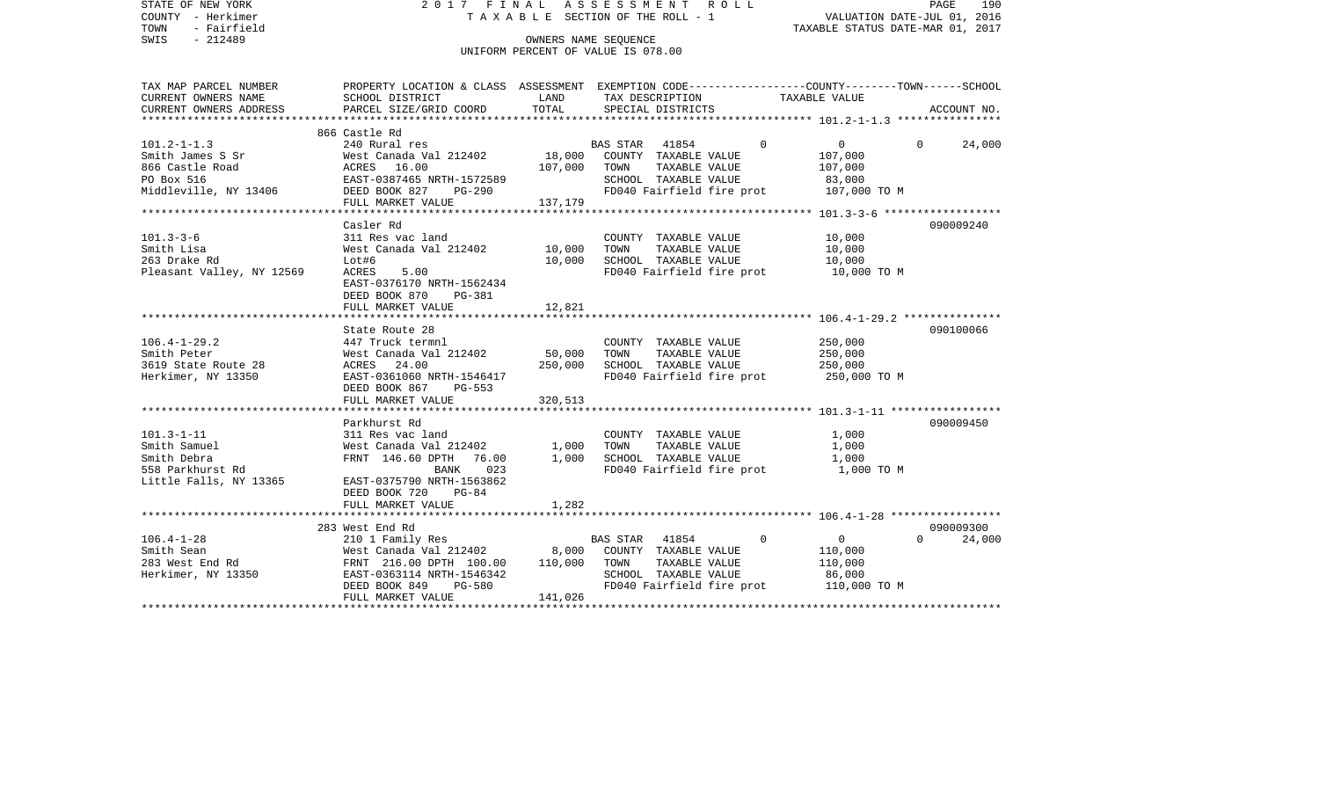| STATE OF NEW YORK<br>COUNTY - Herkimer<br>- Fairfield<br>TOWN                                                                                                                                                                                                                                                                                                                                                                         |                                                                                                                                                   |         | 2017 FINAL ASSESSMENT ROLL<br>T A X A B L E SECTION OF THE ROLL - 1 WALUATION DATE-JUL 01, 2016<br>TAXABLE STATUS DATE-MAR 01, 2017 |                                        | PAGE<br>190            |
|---------------------------------------------------------------------------------------------------------------------------------------------------------------------------------------------------------------------------------------------------------------------------------------------------------------------------------------------------------------------------------------------------------------------------------------|---------------------------------------------------------------------------------------------------------------------------------------------------|---------|-------------------------------------------------------------------------------------------------------------------------------------|----------------------------------------|------------------------|
| SWIS - 212489                                                                                                                                                                                                                                                                                                                                                                                                                         |                                                                                                                                                   |         | OWNERS NAME SEQUENCE                                                                                                                |                                        |                        |
|                                                                                                                                                                                                                                                                                                                                                                                                                                       |                                                                                                                                                   |         | UNIFORM PERCENT OF VALUE IS 078.00                                                                                                  |                                        |                        |
|                                                                                                                                                                                                                                                                                                                                                                                                                                       |                                                                                                                                                   |         |                                                                                                                                     |                                        |                        |
| TAX MAP PARCEL NUMBER PROPERTY LOCATION & CLASS ASSESSMENT EXEMPTION CODE---------------COUNTY-------TOWN-----SCHOOL                                                                                                                                                                                                                                                                                                                  |                                                                                                                                                   |         |                                                                                                                                     |                                        |                        |
| CURRENT OWNERS NAME<br>CURRENT OWNERS ADDRESS                                                                                                                                                                                                                                                                                                                                                                                         | SCHOOL DISTRICT LAND<br>PARCEL SIZE/GRID COORD                                                                                                    | TOTAL   | TAX DESCRIPTION<br>SPECIAL DISTRICTS                                                                                                | TAXABLE VALUE                          | ACCOUNT NO.            |
|                                                                                                                                                                                                                                                                                                                                                                                                                                       |                                                                                                                                                   |         |                                                                                                                                     |                                        |                        |
|                                                                                                                                                                                                                                                                                                                                                                                                                                       | 866 Castle Rd                                                                                                                                     |         |                                                                                                                                     |                                        |                        |
| $101.2 - 1 - 1.3$                                                                                                                                                                                                                                                                                                                                                                                                                     | 240 Rural res                                                                                                                                     |         | BAS STAR 41854                                                                                                                      | $\overline{0}$<br>$\Omega$             | $\mathbf{0}$<br>24,000 |
|                                                                                                                                                                                                                                                                                                                                                                                                                                       |                                                                                                                                                   |         |                                                                                                                                     | 107,000                                |                        |
|                                                                                                                                                                                                                                                                                                                                                                                                                                       |                                                                                                                                                   |         |                                                                                                                                     | 107,000                                |                        |
|                                                                                                                                                                                                                                                                                                                                                                                                                                       |                                                                                                                                                   |         |                                                                                                                                     | 83,000                                 |                        |
|                                                                                                                                                                                                                                                                                                                                                                                                                                       |                                                                                                                                                   |         | FD040 Fairfield fire prot 107,000 TO M                                                                                              |                                        |                        |
|                                                                                                                                                                                                                                                                                                                                                                                                                                       |                                                                                                                                                   |         |                                                                                                                                     |                                        |                        |
|                                                                                                                                                                                                                                                                                                                                                                                                                                       | Casler Rd                                                                                                                                         |         |                                                                                                                                     |                                        | 090009240              |
| $101.3 - 3 - 6$                                                                                                                                                                                                                                                                                                                                                                                                                       | 311 Res vac land                                                                                                                                  |         | COUNTY TAXABLE VALUE                                                                                                                | 10,000                                 |                        |
|                                                                                                                                                                                                                                                                                                                                                                                                                                       |                                                                                                                                                   |         | TOWN                                                                                                                                | TAXABLE VALUE 10,000                   |                        |
|                                                                                                                                                                                                                                                                                                                                                                                                                                       |                                                                                                                                                   |         | 10,000 SCHOOL TAXABLE VALUE                                                                                                         | 10,000                                 |                        |
| Sil Res vac Tand<br>Smith Lisa Mest Canada Val 212402 10,000<br>263 Drake Rd Lot#6 10,000<br>Pleasant Valley, NY 12569 ACRES 5.00                                                                                                                                                                                                                                                                                                     |                                                                                                                                                   |         |                                                                                                                                     | FD040 Fairfield fire prot 10,000 TO M  |                        |
|                                                                                                                                                                                                                                                                                                                                                                                                                                       | EAST-0376170 NRTH-1562434                                                                                                                         |         |                                                                                                                                     |                                        |                        |
|                                                                                                                                                                                                                                                                                                                                                                                                                                       | DEED BOOK 870<br>PG-381                                                                                                                           |         |                                                                                                                                     |                                        |                        |
|                                                                                                                                                                                                                                                                                                                                                                                                                                       | FULL MARKET VALUE                                                                                                                                 | 12,821  |                                                                                                                                     |                                        |                        |
| State Route<br>1447 Truck ter<br>3619 State Route 28<br>Herkimer, NY 13350<br>13350<br>125T-0361060<br>125T-0361060<br>125T-0361060<br>125T-0361060                                                                                                                                                                                                                                                                                   | State Route 28                                                                                                                                    |         |                                                                                                                                     |                                        | 090100066              |
|                                                                                                                                                                                                                                                                                                                                                                                                                                       | 447 Truck termnl                                                                                                                                  |         | COUNTY TAXABLE VALUE                                                                                                                | 250,000                                |                        |
|                                                                                                                                                                                                                                                                                                                                                                                                                                       |                                                                                                                                                   |         |                                                                                                                                     |                                        |                        |
|                                                                                                                                                                                                                                                                                                                                                                                                                                       |                                                                                                                                                   |         |                                                                                                                                     | 250,000<br>250,000                     |                        |
|                                                                                                                                                                                                                                                                                                                                                                                                                                       |                                                                                                                                                   |         |                                                                                                                                     | FD040 Fairfield fire prot 250,000 TO M |                        |
|                                                                                                                                                                                                                                                                                                                                                                                                                                       | West Canada Val 212402<br>Mest Canada Val 212402<br>ACRES 24.00 250,000 SCHOOL TAXABLE VALUE<br>EAST-0361060 NRTH-1546417<br>DEED BOOK 867 PG-553 |         |                                                                                                                                     |                                        |                        |
|                                                                                                                                                                                                                                                                                                                                                                                                                                       | FULL MARKET VALUE 320,513                                                                                                                         |         |                                                                                                                                     |                                        |                        |
|                                                                                                                                                                                                                                                                                                                                                                                                                                       |                                                                                                                                                   |         |                                                                                                                                     |                                        |                        |
|                                                                                                                                                                                                                                                                                                                                                                                                                                       | Parkhurst Rd                                                                                                                                      |         |                                                                                                                                     |                                        | 090009450              |
| $101.3 - 1 - 11$                                                                                                                                                                                                                                                                                                                                                                                                                      |                                                                                                                                                   |         |                                                                                                                                     | 1,000<br>1,000                         |                        |
|                                                                                                                                                                                                                                                                                                                                                                                                                                       |                                                                                                                                                   |         |                                                                                                                                     |                                        |                        |
| 101.3-1-11<br>Smith Samuel<br>Smith Debra<br>558 Parkhurst Rd                                                                                                                                                                                                                                                                                                                                                                         |                                                                                                                                                   |         | FD040 Fairfield fire prot 1,000 TO M                                                                                                | 1,000                                  |                        |
| Little Falls, NY 13365                                                                                                                                                                                                                                                                                                                                                                                                                |                                                                                                                                                   |         |                                                                                                                                     |                                        |                        |
|                                                                                                                                                                                                                                                                                                                                                                                                                                       | DEED BOOK 720<br>$PG-84$                                                                                                                          |         |                                                                                                                                     |                                        |                        |
|                                                                                                                                                                                                                                                                                                                                                                                                                                       | FULL MARKET VALUE                                                                                                                                 | 1,282   |                                                                                                                                     |                                        |                        |
|                                                                                                                                                                                                                                                                                                                                                                                                                                       |                                                                                                                                                   |         |                                                                                                                                     |                                        |                        |
|                                                                                                                                                                                                                                                                                                                                                                                                                                       |                                                                                                                                                   |         |                                                                                                                                     |                                        | 090009300              |
| $\begin{array}{lcccc} \text{106.4--1--28} & \text{283 West End Rd} & \text{285 First} & \text{286 First} & \text{287.} \\ \text{Smith Sean} & \text{West Canada Val 212402} & \text{8,000} & \text{COUNTY} & \text{TXABLE VALUE} \\ \text{283 West End Rd} & \text{FRNT} & \text{216.00 DPTH} & \text{100.00} & \text{110,000} & \text{TOWN} & \text{TXABLE VALUE} \\ \text{Herkimer, NY 13350} & \text{EAST}-0363114 NRTH-1546342 &$ |                                                                                                                                                   |         |                                                                                                                                     | $\overline{0}$                         | $\Omega$<br>24,000     |
|                                                                                                                                                                                                                                                                                                                                                                                                                                       |                                                                                                                                                   |         |                                                                                                                                     | 110,000                                |                        |
|                                                                                                                                                                                                                                                                                                                                                                                                                                       |                                                                                                                                                   |         |                                                                                                                                     | 110,000                                |                        |
|                                                                                                                                                                                                                                                                                                                                                                                                                                       |                                                                                                                                                   |         |                                                                                                                                     |                                        |                        |
|                                                                                                                                                                                                                                                                                                                                                                                                                                       |                                                                                                                                                   | 141,026 |                                                                                                                                     |                                        |                        |
|                                                                                                                                                                                                                                                                                                                                                                                                                                       | FULL MARKET VALUE                                                                                                                                 |         |                                                                                                                                     |                                        |                        |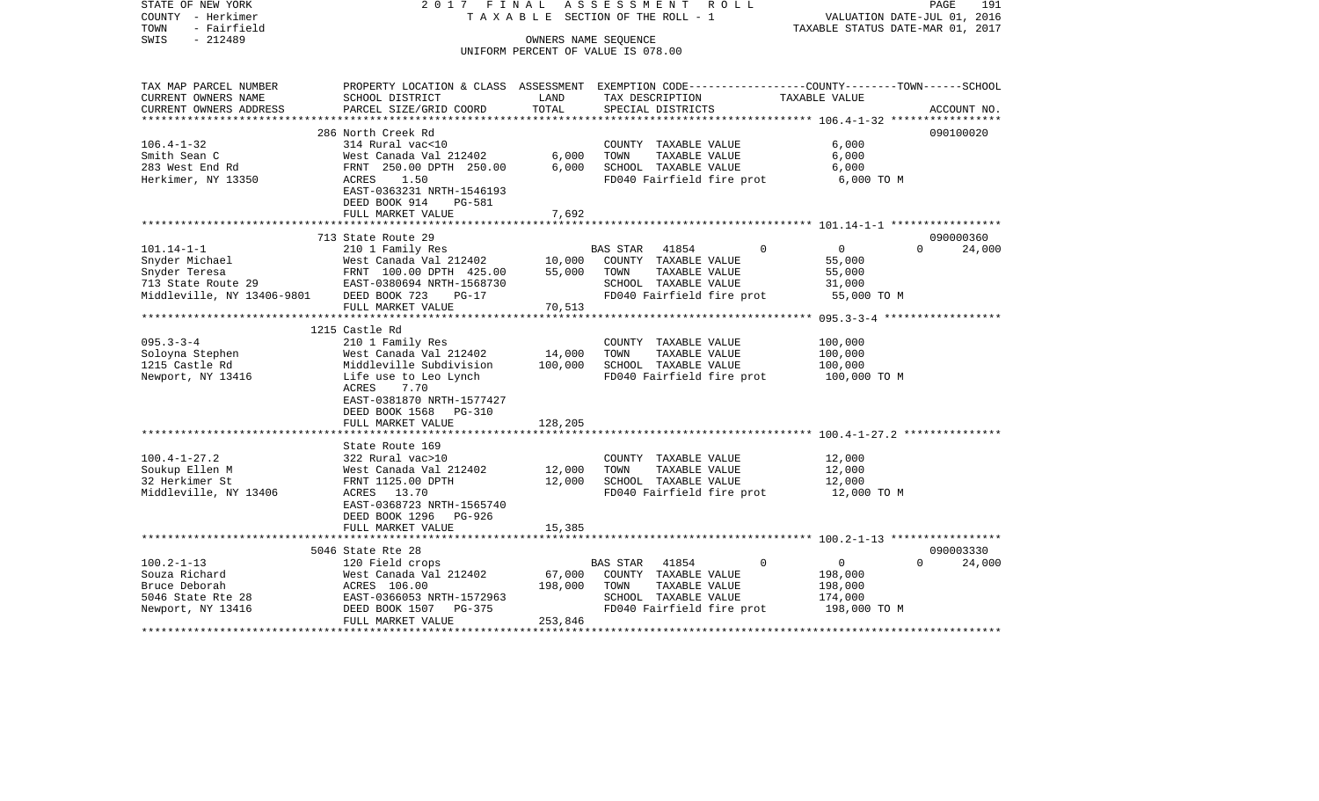| STATE OF NEW YORK<br>COUNTY - Herkimer<br>TOWN<br>- Fairfield | 2017<br>FINAL                                                                                          |                      | ASSESSMENT<br>TAXABLE SECTION OF THE ROLL - 1     | R O L L     | VALUATION DATE-JUL 01, 2016<br>TAXABLE STATUS DATE-MAR 01, 2017 | PAGE<br>191        |
|---------------------------------------------------------------|--------------------------------------------------------------------------------------------------------|----------------------|---------------------------------------------------|-------------|-----------------------------------------------------------------|--------------------|
| $-212489$<br>SWIS                                             |                                                                                                        | OWNERS NAME SEQUENCE |                                                   |             |                                                                 |                    |
|                                                               |                                                                                                        |                      | UNIFORM PERCENT OF VALUE IS 078.00                |             |                                                                 |                    |
| TAX MAP PARCEL NUMBER                                         | PROPERTY LOCATION & CLASS ASSESSMENT EXEMPTION CODE---------------COUNTY-------TOWN------SCHOOL        |                      |                                                   |             |                                                                 |                    |
| CURRENT OWNERS NAME                                           | SCHOOL DISTRICT                                                                                        | LAND                 | TAX DESCRIPTION                                   |             | TAXABLE VALUE                                                   |                    |
| CURRENT OWNERS ADDRESS<br>**********************              | PARCEL SIZE/GRID COORD                                                                                 | TOTAL                | SPECIAL DISTRICTS                                 |             |                                                                 | ACCOUNT NO.        |
|                                                               | 286 North Creek Rd                                                                                     |                      |                                                   |             |                                                                 | 090100020          |
| $106.4 - 1 - 32$                                              | 314 Rural vac<10                                                                                       |                      | COUNTY TAXABLE VALUE                              |             | 6,000                                                           |                    |
| Smith Sean C                                                  | West Canada Val 212402                                                                                 | 6,000                | TAXABLE VALUE<br>TOWN                             |             | 6,000                                                           |                    |
| 283 West End Rd                                               | FRNT 250.00 DPTH 250.00                                                                                | 6,000                | SCHOOL TAXABLE VALUE                              |             | 6,000                                                           |                    |
| Herkimer, NY 13350                                            | 1.50<br>ACRES<br>EAST-0363231 NRTH-1546193<br>DEED BOOK 914<br>PG-581<br>FULL MARKET VALUE             | 7,692                | FD040 Fairfield fire prot                         |             | 6,000 TO M                                                      |                    |
|                                                               |                                                                                                        |                      |                                                   |             |                                                                 |                    |
|                                                               | 713 State Route 29                                                                                     |                      |                                                   |             |                                                                 | 090000360          |
| $101.14 - 1 - 1$                                              | 210 1 Family Res                                                                                       |                      | <b>BAS STAR</b><br>41854                          | 0           | $\mathbf 0$                                                     | $\Omega$<br>24,000 |
| Snyder Michael                                                | West Canada Val 212402                                                                                 | 10,000               | COUNTY TAXABLE VALUE                              |             | 55,000                                                          |                    |
| Snyder Teresa                                                 | FRNT 100.00 DPTH 425.00                                                                                | 55,000               | TAXABLE VALUE<br>TOWN                             |             | 55,000                                                          |                    |
| 713 State Route 29                                            | EAST-0380694 NRTH-1568730                                                                              |                      | SCHOOL TAXABLE VALUE                              |             | 31,000                                                          |                    |
| Middleville, NY 13406-9801                                    | DEED BOOK 723<br>$PG-17$                                                                               |                      | FD040 Fairfield fire prot                         |             | 55,000 TO M                                                     |                    |
|                                                               | FULL MARKET VALUE                                                                                      | 70,513               |                                                   |             |                                                                 |                    |
|                                                               | 1215 Castle Rd                                                                                         |                      |                                                   |             |                                                                 |                    |
| $095.3 - 3 - 4$                                               | 210 1 Family Res                                                                                       |                      | COUNTY TAXABLE VALUE                              |             | 100,000                                                         |                    |
| Soloyna Stephen                                               | West Canada Val 212402                                                                                 | 14,000               | TOWN<br>TAXABLE VALUE                             |             | 100,000                                                         |                    |
| 1215 Castle Rd                                                | Middleville Subdivision                                                                                | 100,000              | SCHOOL TAXABLE VALUE                              |             | 100,000                                                         |                    |
| Newport, NY 13416                                             | Life use to Leo Lynch<br>ACRES<br>7.70<br>EAST-0381870 NRTH-1577427<br>DEED BOOK 1568<br><b>PG-310</b> |                      | FD040 Fairfield fire prot                         |             | 100,000 TO M                                                    |                    |
|                                                               | FULL MARKET VALUE                                                                                      | 128,205              |                                                   |             |                                                                 |                    |
|                                                               | ***************                                                                                        | *******              |                                                   |             | ************************* 100.4-1-27.2 ***************          |                    |
|                                                               | State Route 169                                                                                        |                      |                                                   |             |                                                                 |                    |
| $100.4 - 1 - 27.2$                                            | 322 Rural vac>10                                                                                       |                      | COUNTY TAXABLE VALUE                              |             | 12,000                                                          |                    |
| Soukup Ellen M                                                | West Canada Val 212402                                                                                 | 12,000               | TAXABLE VALUE<br>TOWN                             |             | 12,000                                                          |                    |
| 32 Herkimer St<br>Middleville, NY 13406                       | FRNT 1125.00 DPTH<br>ACRES 13.70                                                                       | 12,000               | SCHOOL TAXABLE VALUE<br>FD040 Fairfield fire prot |             | 12,000                                                          |                    |
|                                                               | EAST-0368723 NRTH-1565740<br>DEED BOOK 1296<br>PG-926                                                  |                      |                                                   |             | 12,000 TO M                                                     |                    |
|                                                               | FULL MARKET VALUE                                                                                      | 15,385               |                                                   |             |                                                                 |                    |
|                                                               | ******************************                                                                         |                      |                                                   |             |                                                                 |                    |
|                                                               | 5046 State Rte 28                                                                                      |                      |                                                   |             |                                                                 | 090003330          |
| $100.2 - 1 - 13$                                              | 120 Field crops                                                                                        |                      | 41854<br><b>BAS STAR</b>                          | $\mathbf 0$ | $\mathbf 0$                                                     | $\Omega$<br>24,000 |
| Souza Richard                                                 | West Canada Val 212402                                                                                 | 67,000               | COUNTY TAXABLE VALUE                              |             | 198,000                                                         |                    |
| Bruce Deborah<br>5046 State Rte 28                            | ACRES 106.00<br>EAST-0366053 NRTH-1572963                                                              | 198,000              | TOWN<br>TAXABLE VALUE<br>SCHOOL TAXABLE VALUE     |             | 198,000<br>174,000                                              |                    |
| Newport, NY 13416                                             | DEED BOOK 1507<br>PG-375                                                                               |                      | FD040 Fairfield fire prot                         |             | 198,000 TO M                                                    |                    |
|                                                               | FULL MARKET VALUE                                                                                      | 253,846              |                                                   |             |                                                                 |                    |
|                                                               |                                                                                                        |                      |                                                   |             |                                                                 |                    |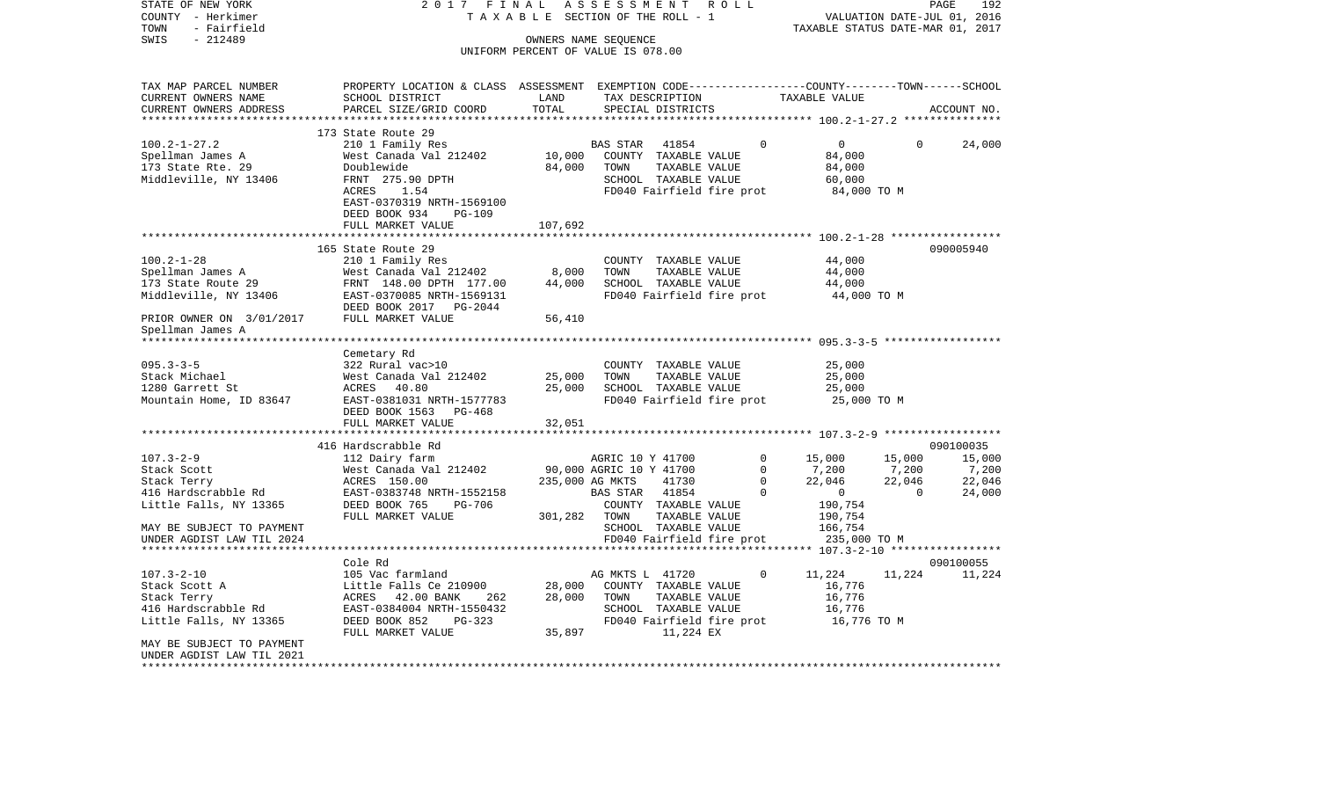| STATE OF NEW YORK                  | 2017 FINAL                                                                                      |                                    | ASSESSMENT                                 |                           | R O L L |                  |                                  |                          | PAGE<br>192                 |
|------------------------------------|-------------------------------------------------------------------------------------------------|------------------------------------|--------------------------------------------|---------------------------|---------|------------------|----------------------------------|--------------------------|-----------------------------|
| COUNTY - Herkimer                  |                                                                                                 | TAXABLE SECTION OF THE ROLL - 1    |                                            |                           |         |                  |                                  |                          | VALUATION DATE-JUL 01, 2016 |
| TOWN<br>- Fairfield                |                                                                                                 |                                    |                                            |                           |         |                  | TAXABLE STATUS DATE-MAR 01, 2017 |                          |                             |
| SWIS<br>$-212489$                  |                                                                                                 | OWNERS NAME SEQUENCE               |                                            |                           |         |                  |                                  |                          |                             |
|                                    |                                                                                                 | UNIFORM PERCENT OF VALUE IS 078.00 |                                            |                           |         |                  |                                  |                          |                             |
| TAX MAP PARCEL NUMBER              | PROPERTY LOCATION & CLASS ASSESSMENT EXEMPTION CODE---------------COUNTY-------TOWN------SCHOOL |                                    |                                            |                           |         |                  |                                  |                          |                             |
| CURRENT OWNERS NAME                | SCHOOL DISTRICT                                                                                 | LAND                               |                                            | TAX DESCRIPTION           |         |                  | TAXABLE VALUE                    |                          |                             |
| CURRENT OWNERS ADDRESS             | PARCEL SIZE/GRID COORD                                                                          | TOTAL                              |                                            | SPECIAL DISTRICTS         |         |                  |                                  |                          | ACCOUNT NO.                 |
| *************************          |                                                                                                 |                                    |                                            |                           |         |                  |                                  |                          |                             |
|                                    | 173 State Route 29                                                                              |                                    |                                            |                           |         |                  |                                  |                          |                             |
| $100.2 - 1 - 27.2$                 | 210 1 Family Res                                                                                |                                    | BAS STAR                                   | 41854                     |         | 0                | $\overline{0}$                   | 0                        | 24,000                      |
| Spellman James A                   | West Canada Val 212402                                                                          | 10,000                             |                                            | COUNTY TAXABLE VALUE      |         |                  | 84,000                           |                          |                             |
| 173 State Rte. 29                  | Doublewide                                                                                      | 84,000                             | TOWN                                       | TAXABLE VALUE             |         |                  | 84,000                           |                          |                             |
| Middleville, NY 13406              | FRNT 275.90 DPTH                                                                                |                                    |                                            | SCHOOL TAXABLE VALUE      |         |                  | 60,000                           |                          |                             |
|                                    | 1.54<br>ACRES                                                                                   |                                    |                                            | FD040 Fairfield fire prot |         |                  | 84,000 TO M                      |                          |                             |
|                                    | EAST-0370319 NRTH-1569100                                                                       |                                    |                                            |                           |         |                  |                                  |                          |                             |
|                                    | DEED BOOK 934<br><b>PG-109</b>                                                                  |                                    |                                            |                           |         |                  |                                  |                          |                             |
|                                    | FULL MARKET VALUE                                                                               | 107,692                            |                                            |                           |         |                  |                                  |                          |                             |
|                                    |                                                                                                 |                                    |                                            |                           |         |                  |                                  |                          |                             |
|                                    | 165 State Route 29                                                                              |                                    |                                            |                           |         |                  |                                  |                          | 090005940                   |
| $100.2 - 1 - 28$                   | 210 1 Family Res                                                                                |                                    |                                            | COUNTY TAXABLE VALUE      |         |                  | 44,000                           |                          |                             |
| Spellman James A                   | West Canada Val 212402                                                                          | 8,000                              | TOWN                                       | TAXABLE VALUE             |         |                  | 44,000                           |                          |                             |
| 173 State Route 29                 | FRNT 148.00 DPTH 177.00                                                                         | 44,000                             |                                            | SCHOOL TAXABLE VALUE      |         |                  | 44,000                           |                          |                             |
| Middleville, NY 13406              | EAST-0370085 NRTH-1569131                                                                       |                                    |                                            | FD040 Fairfield fire prot |         |                  | 44,000 TO M                      |                          |                             |
|                                    | DEED BOOK 2017 PG-2044                                                                          |                                    |                                            |                           |         |                  |                                  |                          |                             |
| PRIOR OWNER ON 3/01/2017           | FULL MARKET VALUE                                                                               | 56,410                             |                                            |                           |         |                  |                                  |                          |                             |
| Spellman James A                   |                                                                                                 |                                    |                                            |                           |         |                  |                                  |                          |                             |
|                                    |                                                                                                 |                                    |                                            |                           |         |                  |                                  |                          |                             |
|                                    | Cemetary Rd                                                                                     |                                    |                                            |                           |         |                  |                                  |                          |                             |
| $095.3 - 3 - 5$                    | 322 Rural vac>10                                                                                |                                    |                                            | COUNTY TAXABLE VALUE      |         |                  | 25,000                           |                          |                             |
| Stack Michael                      | West Canada Val 212402                                                                          | 25,000                             | TOWN                                       | TAXABLE VALUE             |         |                  | 25,000                           |                          |                             |
| 1280 Garrett St                    | 40.80<br>ACRES                                                                                  | 25,000                             |                                            | SCHOOL TAXABLE VALUE      |         |                  | 25,000                           |                          |                             |
| Mountain Home, ID 83647            | EAST-0381031 NRTH-1577783                                                                       |                                    |                                            | FD040 Fairfield fire prot |         |                  | 25,000 TO M                      |                          |                             |
|                                    | DEED BOOK 1563 PG-468                                                                           |                                    |                                            |                           |         |                  |                                  |                          |                             |
|                                    | FULL MARKET VALUE                                                                               | 32,051                             |                                            |                           |         |                  |                                  |                          |                             |
|                                    |                                                                                                 |                                    |                                            |                           |         |                  |                                  |                          |                             |
|                                    | 416 Hardscrabble Rd                                                                             |                                    |                                            |                           |         |                  |                                  |                          | 090100035                   |
| $107.3 - 2 - 9$                    | 112 Dairy farm                                                                                  |                                    | AGRIC 10 Y 41700                           |                           |         | 0<br>$\mathbf 0$ | 15,000                           | 15,000                   | 15,000                      |
| Stack Scott                        | West Canada Val 212402                                                                          |                                    | 90,000 AGRIC 10 Y 41700<br>235,000 AG MKTS | 41730                     |         | $\Omega$         | 7,200                            | 7,200                    | 7,200<br>22,046             |
| Stack Terry<br>416 Hardscrabble Rd | ACRES 150.00<br>EAST-0383748 NRTH-1552158                                                       |                                    | BAS STAR                                   | 41854                     |         | $\Omega$         | 22,046<br>$\overline{0}$         | 22,046<br>$\overline{0}$ | 24,000                      |
| Little Falls, NY 13365             | DEED BOOK 765<br>PG-706                                                                         |                                    |                                            | COUNTY TAXABLE VALUE      |         |                  | 190,754                          |                          |                             |
|                                    | FULL MARKET VALUE                                                                               | 301,282                            | TOWN                                       | TAXABLE VALUE             |         |                  | 190,754                          |                          |                             |
| MAY BE SUBJECT TO PAYMENT          |                                                                                                 |                                    |                                            | SCHOOL TAXABLE VALUE      |         |                  | 166,754                          |                          |                             |
| UNDER AGDIST LAW TIL 2024          |                                                                                                 |                                    |                                            | FD040 Fairfield fire prot |         |                  | 235,000 TO M                     |                          |                             |
|                                    | **********************************                                                              |                                    |                                            |                           |         |                  |                                  |                          |                             |
|                                    | Cole Rd                                                                                         |                                    |                                            |                           |         |                  |                                  |                          | 090100055                   |
| $107.3 - 2 - 10$                   | 105 Vac farmland                                                                                |                                    | AG MKTS L 41720                            |                           |         | $\mathbf 0$      | 11,224                           | 11,224                   | 11,224                      |
| Stack Scott A                      | Little Falls Ce 210900                                                                          | 28,000                             |                                            | COUNTY TAXABLE VALUE      |         |                  | 16,776                           |                          |                             |
| Stack Terry                        | ACRES 42.00 BANK<br>262                                                                         | 28,000                             | TOWN                                       | TAXABLE VALUE             |         |                  | 16,776                           |                          |                             |
| 416 Hardscrabble Rd                | EAST-0384004 NRTH-1550432                                                                       |                                    |                                            | SCHOOL TAXABLE VALUE      |         |                  | 16,776                           |                          |                             |
| Little Falls, NY 13365             | DEED BOOK 852<br>PG-323                                                                         |                                    |                                            | FD040 Fairfield fire prot |         |                  | 16,776 TO M                      |                          |                             |
|                                    | FULL MARKET VALUE                                                                               | 35,897                             |                                            | 11,224 EX                 |         |                  |                                  |                          |                             |
| MAY BE SUBJECT TO PAYMENT          |                                                                                                 |                                    |                                            |                           |         |                  |                                  |                          |                             |
| UNDER AGDIST LAW TIL 2021          |                                                                                                 |                                    |                                            |                           |         |                  |                                  |                          |                             |
| **********************             |                                                                                                 |                                    |                                            |                           |         |                  |                                  |                          |                             |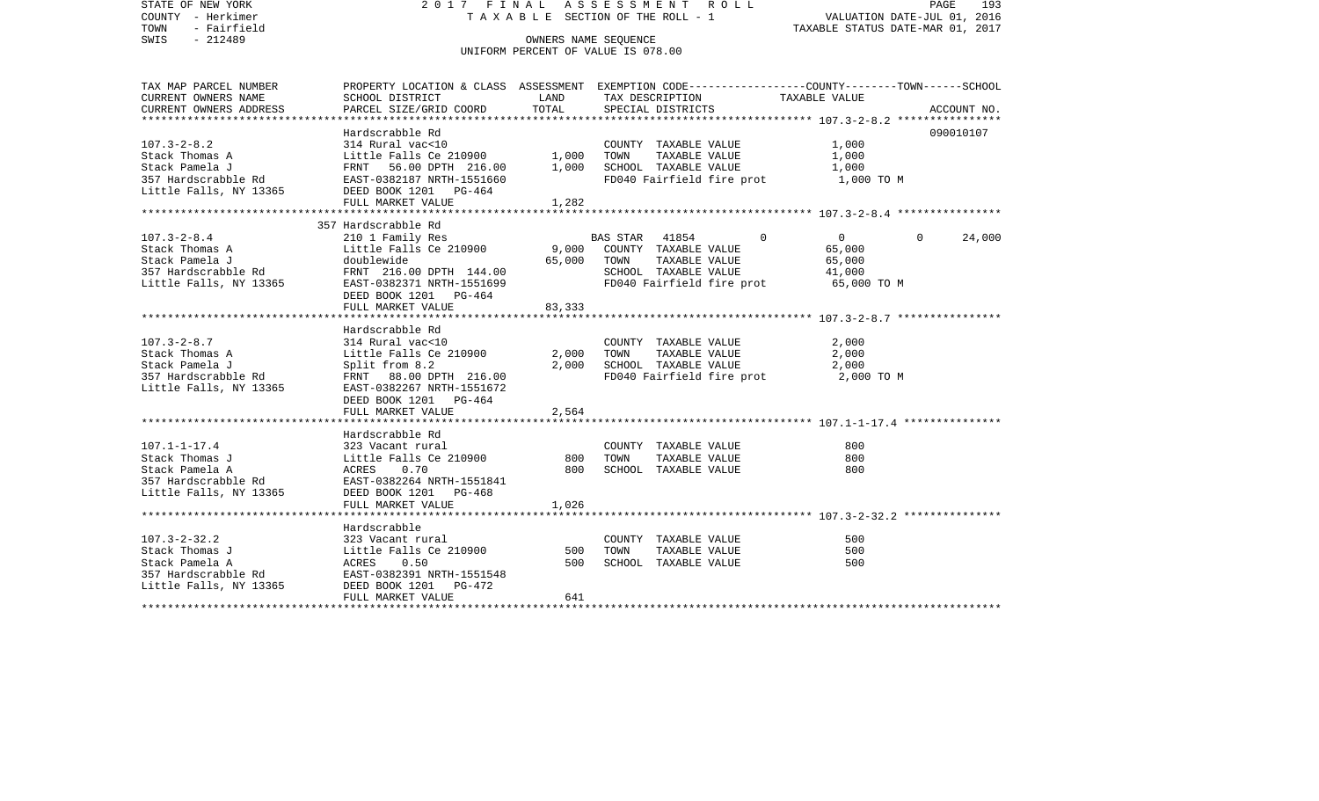STATE OF NEW YORK 2 0 1 7 F I N A L A S S E S S M E N T R O L L PAGE 193COUNTY - Herkimer **T A X A B L E** SECTION OF THE ROLL - 1 VALUATION DATE-JUL 01, 2016 TOWN - Fairfield TAXABLE STATUS DATE-MAR 01, 2017 SWIS - 212489 OWNERS NAME SEQUENCE UNIFORM PERCENT OF VALUE IS 078.00TAX MAP PARCEL NUMBER PROPERTY LOCATION & CLASS ASSESSMENT EXEMPTION CODE------------------COUNTY--------TOWN------SCHOOL CURRENT OWNERS NAME SCHOOL DISTRICT LAND TAX DESCRIPTION TAXABLE VALUECURRENT OWNERS ADDRESS PARCEL SIZE/GRID COORD TOTAL SPECIAL DISTRICTS ACCOUNT NO. \*\*\*\*\*\*\*\*\*\*\*\*\*\*\*\*\*\*\*\*\*\*\*\*\*\*\*\*\*\*\*\*\*\*\*\*\*\*\*\*\*\*\*\*\*\*\*\*\*\*\*\*\*\*\*\*\*\*\*\*\*\*\*\*\*\*\*\*\*\*\*\*\*\*\*\*\*\*\*\*\*\*\*\*\*\*\*\*\*\*\*\*\*\*\*\*\*\*\*\*\*\*\* 107.3-2-8.2 \*\*\*\*\*\*\*\*\*\*\*\*\*\*\*\*Hardscrabble Rd 090010107 107.3-2-8.2 314 Rural vac<10 COUNTY TAXABLE VALUE 1,000 Stack Thomas A Little Falls Ce 210900 1,000 TOWN TAXABLE VALUE 1,000 Stack Pamela J FRNT 56.00 DPTH 216.00 1,000 SCHOOL TAXABLE VALUE 1,000 357 Hardscrabble Rd EAST-0382187 NRTH-1551660 FD040 Fairfield fire prot 1,000 TO M Little Falls, NY 13365 DEED BOOK 1201 PG-464 FULL MARKET VALUE 1,282 \*\*\*\*\*\*\*\*\*\*\*\*\*\*\*\*\*\*\*\*\*\*\*\*\*\*\*\*\*\*\*\*\*\*\*\*\*\*\*\*\*\*\*\*\*\*\*\*\*\*\*\*\*\*\*\*\*\*\*\*\*\*\*\*\*\*\*\*\*\*\*\*\*\*\*\*\*\*\*\*\*\*\*\*\*\*\*\*\*\*\*\*\*\*\*\*\*\*\*\*\*\*\* 107.3-2-8.4 \*\*\*\*\*\*\*\*\*\*\*\*\*\*\*\* 357 Hardscrabble Rd 107.3-2-8.4 210 1 Family Res BAS STAR 41854 0 0 0 24,000 Stack Thomas A Little Falls Ce 210900 9,000 COUNTY TAXABLE VALUE 65,000 Stack Pamela J doublewide 65,000 TOWN TAXABLE VALUE 65,000 357 Hardscrabble Rd FRNT 216.00 DPTH 144.00 SCHOOL TAXABLE VALUE 41,000 Little Falls, NY 13365 EAST-0382371 NRTH-1551699 FD040 Fairfield fire prot 65,000 TO M DEED BOOK 1201 PG-464 FULL MARKET VALUE 83,333 \*\*\*\*\*\*\*\*\*\*\*\*\*\*\*\*\*\*\*\*\*\*\*\*\*\*\*\*\*\*\*\*\*\*\*\*\*\*\*\*\*\*\*\*\*\*\*\*\*\*\*\*\*\*\*\*\*\*\*\*\*\*\*\*\*\*\*\*\*\*\*\*\*\*\*\*\*\*\*\*\*\*\*\*\*\*\*\*\*\*\*\*\*\*\*\*\*\*\*\*\*\*\* 107.3-2-8.7 \*\*\*\*\*\*\*\*\*\*\*\*\*\*\*\* Hardscrabble Rd107.3-2-8.7 314 Rural vac<10 COUNTY TAXABLE VALUE 2,000 Stack Thomas A Little Falls Ce 210900 2,000 TOWN TAXABLE VALUE 2,000 Stack Pamela J 3,000 School Split from 8.2 2,000 SCHOOL TAXABLE VALUE 2,000 357 Hardscrabble Rd FRNT 88.00 DPTH 216.00 FD040 Fairfield fire prot 2,000 TO M Little Falls, NY 13365 EAST-0382267 NRTH-1551672 DEED BOOK 1201 PG-464FULL MARKET VALUE 2,564 \*\*\*\*\*\*\*\*\*\*\*\*\*\*\*\*\*\*\*\*\*\*\*\*\*\*\*\*\*\*\*\*\*\*\*\*\*\*\*\*\*\*\*\*\*\*\*\*\*\*\*\*\*\*\*\*\*\*\*\*\*\*\*\*\*\*\*\*\*\*\*\*\*\*\*\*\*\*\*\*\*\*\*\*\*\*\*\*\*\*\*\*\*\*\*\*\*\*\*\*\*\*\* 107.1-1-17.4 \*\*\*\*\*\*\*\*\*\*\*\*\*\*\* Hardscrabble Rd107.1-1-17.4 323 Vacant rural COUNTY TAXABLE VALUE 800Stack Thomas J Little Falls Ce 210900 800 TOWN TAXABLE VALUE 800 Stack Pamela A ACRES 0.70 800 SCHOOL TAXABLE VALUE 800357 Hardscrabble Rd EAST-0382264 NRTH-1551841Little Falls, NY 13365 DEED BOOK 1201 PG-468 FULL MARKET VALUE 1,026 \*\*\*\*\*\*\*\*\*\*\*\*\*\*\*\*\*\*\*\*\*\*\*\*\*\*\*\*\*\*\*\*\*\*\*\*\*\*\*\*\*\*\*\*\*\*\*\*\*\*\*\*\*\*\*\*\*\*\*\*\*\*\*\*\*\*\*\*\*\*\*\*\*\*\*\*\*\*\*\*\*\*\*\*\*\*\*\*\*\*\*\*\*\*\*\*\*\*\*\*\*\*\* 107.3-2-32.2 \*\*\*\*\*\*\*\*\*\*\*\*\*\*\* Hardscrabble107.3-2-32.2 323 Vacant rural COUNTY TAXABLE VALUE 500500 Stack Thomas J Little Falls Ce 210900 500 TOWN TAXABLE VALUE Stack Pamela A ACRES 0.50 500 SCHOOL TAXABLE VALUE 500 357 Hardscrabble Rd EAST-0382391 NRTH-1551548 Little Falls, NY 13365 DEED BOOK 1201 PG-472 FULL MARKET VALUE 641 \*\*\*\*\*\*\*\*\*\*\*\*\*\*\*\*\*\*\*\*\*\*\*\*\*\*\*\*\*\*\*\*\*\*\*\*\*\*\*\*\*\*\*\*\*\*\*\*\*\*\*\*\*\*\*\*\*\*\*\*\*\*\*\*\*\*\*\*\*\*\*\*\*\*\*\*\*\*\*\*\*\*\*\*\*\*\*\*\*\*\*\*\*\*\*\*\*\*\*\*\*\*\*\*\*\*\*\*\*\*\*\*\*\*\*\*\*\*\*\*\*\*\*\*\*\*\*\*\*\*\*\*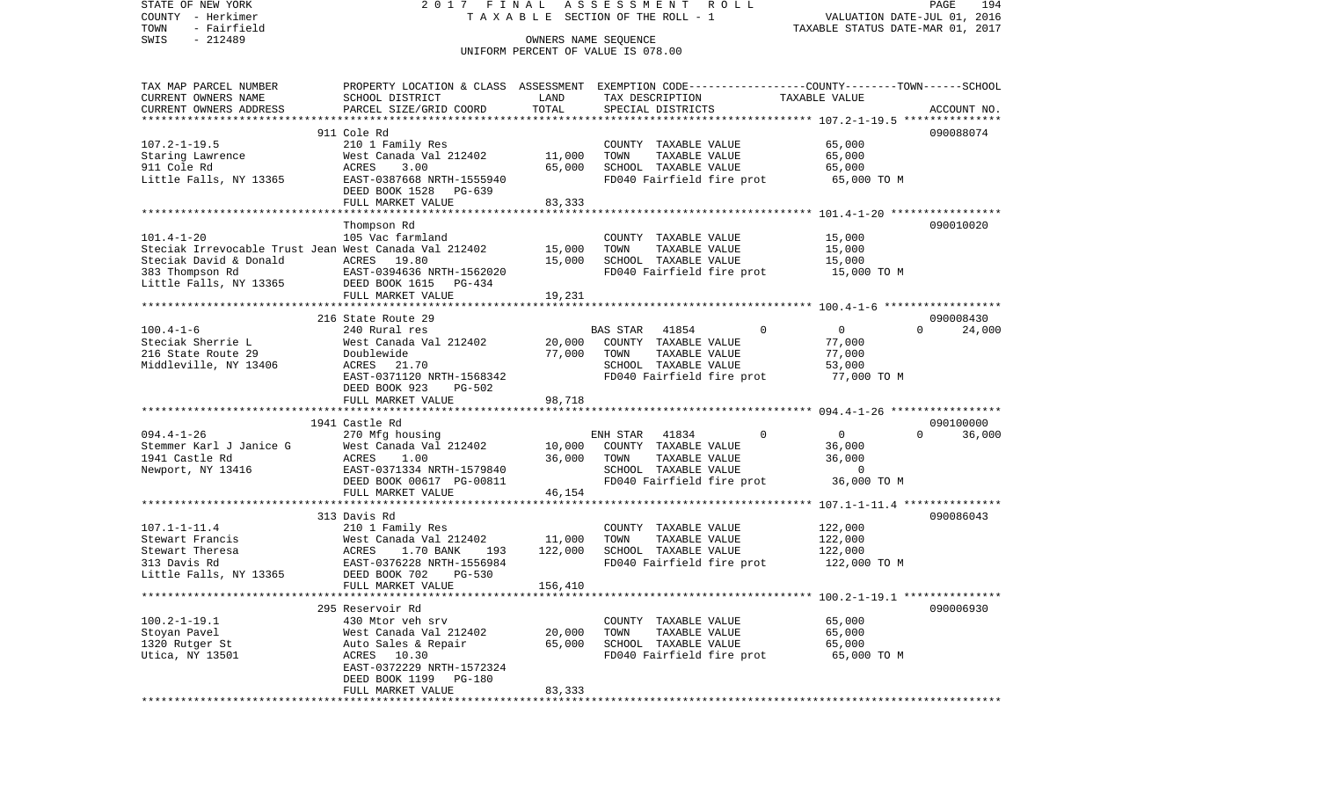STATE OF NEW YORK 2 0 1 7 F I N A L A S S E S S M E N T R O L L PAGE 194VALUATION DATE-JUL 01, 2016 COUNTY - Herkimer T A X A B L E SECTION OF THE ROLL - 1 TOWN - Fairfield TAXABLE STATUS DATE-MAR 01, 2017 SWIS - 212489 CONNERS NAME SEQUENCE UNIFORM PERCENT OF VALUE IS 078.00TAX MAP PARCEL NUMBER PROPERTY LOCATION & CLASS ASSESSMENT EXEMPTION CODE------------------COUNTY--------TOWN------SCHOOL CURRENT OWNERS NAME SCHOOL DISTRICT LAND TAX DESCRIPTION TAXABLE VALUECURRENT OWNERS ADDRESS PARCEL SIZE/GRID COORD TOTAL SPECIAL DISTRICTS ACCOUNT NO. \*\*\*\*\*\*\*\*\*\*\*\*\*\*\*\*\*\*\*\*\*\*\*\*\*\*\*\*\*\*\*\*\*\*\*\*\*\*\*\*\*\*\*\*\*\*\*\*\*\*\*\*\*\*\*\*\*\*\*\*\*\*\*\*\*\*\*\*\*\*\*\*\*\*\*\*\*\*\*\*\*\*\*\*\*\*\*\*\*\*\*\*\*\*\*\*\*\*\*\*\*\*\* 107.2-1-19.5 \*\*\*\*\*\*\*\*\*\*\*\*\*\*\* 911 Cole Rd 090088074107.2-1-19.5 210 1 Family Res COUNTY TAXABLE VALUE 65,000 Staring Lawrence 65,000 West Canada Val 212402 11,000 TOWN TAXABLE VALUE 65,000 911 Cole Rd ACRES 3.00 65,000 SCHOOL TAXABLE VALUE 65,000 Little Falls, NY 13365 EAST-0387668 NRTH-1555940 FD040 Fairfield fire prot 65,000 TO M DEED BOOK 1528 PG-639FULL MARKET VALUE 83,333 \*\*\*\*\*\*\*\*\*\*\*\*\*\*\*\*\*\*\*\*\*\*\*\*\*\*\*\*\*\*\*\*\*\*\*\*\*\*\*\*\*\*\*\*\*\*\*\*\*\*\*\*\*\*\*\*\*\*\*\*\*\*\*\*\*\*\*\*\*\*\*\*\*\*\*\*\*\*\*\*\*\*\*\*\*\*\*\*\*\*\*\*\*\*\*\*\*\*\*\*\*\*\* 101.4-1-20 \*\*\*\*\*\*\*\*\*\*\*\*\*\*\*\*\* Thompson Rd 090010020 101.4-1-20 105 Vac farmland COUNTY TAXABLE VALUE 15,000 Steciak Irrevocable Trust Jean West Canada Val 212402 15,000 TOWN TAXABLE VALUE 15,000 Steciak David & Donald  $ACRES$  19.80 15.000 SCHOOL TAXABLE VALUE 15.000 383 Thompson Rd EAST-0394636 NRTH-1562020 FD040 Fairfield fire prot 15,000 TO M Little Falls, NY 13365 DEED BOOK 1615 PG-434 FULL MARKET VALUE 19,231 \*\*\*\*\*\*\*\*\*\*\*\*\*\*\*\*\*\*\*\*\*\*\*\*\*\*\*\*\*\*\*\*\*\*\*\*\*\*\*\*\*\*\*\*\*\*\*\*\*\*\*\*\*\*\*\*\*\*\*\*\*\*\*\*\*\*\*\*\*\*\*\*\*\*\*\*\*\*\*\*\*\*\*\*\*\*\*\*\*\*\*\*\*\*\*\*\*\*\*\*\*\*\* 100.4-1-6 \*\*\*\*\*\*\*\*\*\*\*\*\*\*\*\*\*\* 216 State Route 29 09000843024,000 100.4-1-6 240 Rural res BAS STAR 41854 0 0 0 24,000 Steciak Sherrie L West Canada Val 212402 20,000 COUNTY TAXABLE VALUE 77,000 216 State Route 29 Doublewide 77,000 TOWN TAXABLE VALUE 77,000 Middleville, NY 13406 ACRES 21.70 SCHOOL TAXABLE VALUE 53,000 EAST-0371120 NRTH-1568342 FD040 Fairfield fire prot 77,000 TO M DEED BOOK 923 PG-502 FULL MARKET VALUE 98,718 \*\*\*\*\*\*\*\*\*\*\*\*\*\*\*\*\*\*\*\*\*\*\*\*\*\*\*\*\*\*\*\*\*\*\*\*\*\*\*\*\*\*\*\*\*\*\*\*\*\*\*\*\*\*\*\*\*\*\*\*\*\*\*\*\*\*\*\*\*\*\*\*\*\*\*\*\*\*\*\*\*\*\*\*\*\*\*\*\*\*\*\*\*\*\*\*\*\*\*\*\*\*\* 094.4-1-26 \*\*\*\*\*\*\*\*\*\*\*\*\*\*\*\*\* 1941 Castle Rd 090100000094.4-1-26 270 Mfg housing ENH STAR 41834 0 0 0 36,000 Stemmer Karl J Janice G West Canada Val 212402 10,000 COUNTY TAXABLE VALUE 36,000 1941 Castle Rd ACRES 1.00 36,000 TOWN TAXABLE VALUE 36,000 Newport, NY 13416 EAST-0371334 NRTH-1579840 SCHOOL TAXABLE VALUE 0 DEED BOOK 00617 PG-00811 FD040 Fairfield fire prot 36,000 TO M FULL MARKET VALUE 46,154 \*\*\*\*\*\*\*\*\*\*\*\*\*\*\*\*\*\*\*\*\*\*\*\*\*\*\*\*\*\*\*\*\*\*\*\*\*\*\*\*\*\*\*\*\*\*\*\*\*\*\*\*\*\*\*\*\*\*\*\*\*\*\*\*\*\*\*\*\*\*\*\*\*\*\*\*\*\*\*\*\*\*\*\*\*\*\*\*\*\*\*\*\*\*\*\*\*\*\*\*\*\*\* 107.1-1-11.4 \*\*\*\*\*\*\*\*\*\*\*\*\*\*\* 313 Davis Rd 090086043107.1-1-11.4 210 1 Family Res COUNTY TAXABLE VALUE 122,000 Stewart Francis West Canada Val 212402 11,000 TOWN TAXABLE VALUE 122,000 Stewart Theresa ACRES 1.70 BANK 193 122,000 SCHOOL TAXABLE VALUE 122,000 313 Davis Rd EAST-0376228 NRTH-1556984 FD040 Fairfield fire prot 122,000 TO M Little Falls, NY 13365 DEED BOOK 702 PG-530 FULL MARKET VALUE 156,410 \*\*\*\*\*\*\*\*\*\*\*\*\*\*\*\*\*\*\*\*\*\*\*\*\*\*\*\*\*\*\*\*\*\*\*\*\*\*\*\*\*\*\*\*\*\*\*\*\*\*\*\*\*\*\*\*\*\*\*\*\*\*\*\*\*\*\*\*\*\*\*\*\*\*\*\*\*\*\*\*\*\*\*\*\*\*\*\*\*\*\*\*\*\*\*\*\*\*\*\*\*\*\* 100.2-1-19.1 \*\*\*\*\*\*\*\*\*\*\*\*\*\*\* 295 Reservoir Rd 090006930100.2-1-19.1 430 Mtor veh srv COUNTY TAXABLE VALUE 65,000 Stoyan Pavel West Canada Val 212402 20,000 TOWN TAXABLE VALUE 65,000 1320 Rutger St Auto Sales & Repair 65,000 SCHOOL TAXABLE VALUE 65,000 Utica, NY 13501 ACRES 10.30 FD040 Fairfield fire prot 65,000 TO M EAST-0372229 NRTH-1572324 DEED BOOK 1199 PG-180 FULL MARKET VALUE 83,333 \*\*\*\*\*\*\*\*\*\*\*\*\*\*\*\*\*\*\*\*\*\*\*\*\*\*\*\*\*\*\*\*\*\*\*\*\*\*\*\*\*\*\*\*\*\*\*\*\*\*\*\*\*\*\*\*\*\*\*\*\*\*\*\*\*\*\*\*\*\*\*\*\*\*\*\*\*\*\*\*\*\*\*\*\*\*\*\*\*\*\*\*\*\*\*\*\*\*\*\*\*\*\*\*\*\*\*\*\*\*\*\*\*\*\*\*\*\*\*\*\*\*\*\*\*\*\*\*\*\*\*\*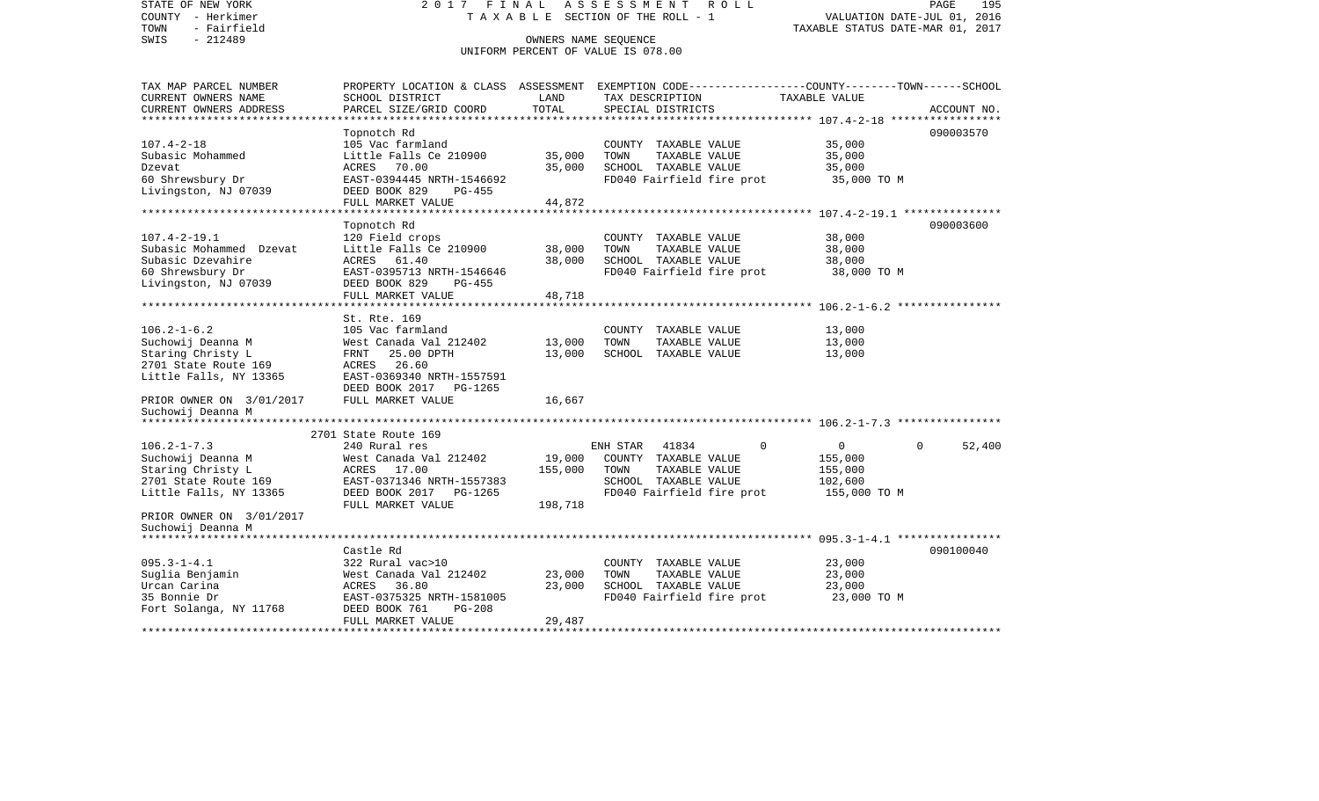STATE OF NEW YORK 2 0 1 7 F I N A L A S S E S S M E N T R O L L PAGE 195COUNTY - Herkimer T A X A B L E SECTION OF THE ROLL - 1 VALUATION DATE-JUL 01, 2016 TOWN - Fairfield TAXABLE STATUS DATE-MAR 01, 2017 SWIS - 212489 OWNERS NAME SEQUENCE UNIFORM PERCENT OF VALUE IS 078.00TAX MAP PARCEL NUMBER PROPERTY LOCATION & CLASS ASSESSMENT EXEMPTION CODE------------------COUNTY--------TOWN------SCHOOL CURRENT OWNERS NAME SCHOOL DISTRICT LAND TAX DESCRIPTION TAXABLE VALUECURRENT OWNERS ADDRESS PARCEL SIZE/GRID COORD TOTAL SPECIAL DISTRICTS ACCOUNT NO. \*\*\*\*\*\*\*\*\*\*\*\*\*\*\*\*\*\*\*\*\*\*\*\*\*\*\*\*\*\*\*\*\*\*\*\*\*\*\*\*\*\*\*\*\*\*\*\*\*\*\*\*\*\*\*\*\*\*\*\*\*\*\*\*\*\*\*\*\*\*\*\*\*\*\*\*\*\*\*\*\*\*\*\*\*\*\*\*\*\*\*\*\*\*\*\*\*\*\*\*\*\*\* 107.4-2-18 \*\*\*\*\*\*\*\*\*\*\*\*\*\*\*\*\* Topnotch Rd 090003570 107.4-2-18 105 Vac farmland COUNTY TAXABLE VALUE 35,000 Subasic Mohammed  $L$ ittle Falls Ce 210900 35,000 TOWN TAXABLE VALUE 35,000 Dzevat ACRES 70.00 35,000 SCHOOL TAXABLE VALUE 35,000 60 Shrewsbury Dr EAST-0394445 NRTH-1546692 FD040 Fairfield fire prot 35,000 TO M<br>Livingston, NJ 07039 DEED BOOK 829 PG-455 DEED BOOK 829 PG-455 FULL MARKET VALUE 44,872 \*\*\*\*\*\*\*\*\*\*\*\*\*\*\*\*\*\*\*\*\*\*\*\*\*\*\*\*\*\*\*\*\*\*\*\*\*\*\*\*\*\*\*\*\*\*\*\*\*\*\*\*\*\*\*\*\*\*\*\*\*\*\*\*\*\*\*\*\*\*\*\*\*\*\*\*\*\*\*\*\*\*\*\*\*\*\*\*\*\*\*\*\*\*\*\*\*\*\*\*\*\*\* 107.4-2-19.1 \*\*\*\*\*\*\*\*\*\*\*\*\*\*\* Topnotch Rd 090003600 107.4-2-19.1 120 Field crops 18.000 COUNTY TAXABLE VALUE 38,000<br>Subasic Mohammed Dzevat 1.ittle Falls Ce 210900 38.000 TOWN TAXABLE VALUE 38.000 Subasic Mohammed Dzevat Little Falls Ce 210900 38,000 TOWN Subasic Dzevahire ACRES 61.40 38,000 SCHOOL TAXABLE VALUE 38,000 60 Shrewsbury Dr EAST-0395713 NRTH-1546646 FD040 Fairfield fire prot 38,000 TO M Livingston, NJ 07039 DEED BOOK 829 PG-455 FULL MARKET VALUE 48,718 \*\*\*\*\*\*\*\*\*\*\*\*\*\*\*\*\*\*\*\*\*\*\*\*\*\*\*\*\*\*\*\*\*\*\*\*\*\*\*\*\*\*\*\*\*\*\*\*\*\*\*\*\*\*\*\*\*\*\*\*\*\*\*\*\*\*\*\*\*\*\*\*\*\*\*\*\*\*\*\*\*\*\*\*\*\*\*\*\*\*\*\*\*\*\*\*\*\*\*\*\*\*\* 106.2-1-6.2 \*\*\*\*\*\*\*\*\*\*\*\*\*\*\*\* St. Rte. 169105 Vac farmland 106.2-1-6.2 105 Vac farmland COUNTY TAXABLE VALUE 13,000 Suchowij Deanna M West Canada Val 212402 13,000 TOWN TAXABLE VALUE 13,000 Staring Christy L FRNT 25.00 DPTH 13,000 SCHOOL TAXABLE VALUE 13,000 2701 State Route 169 ACRES 26.60Little Falls, NY 13365 EAST-0369340 NRTH-1557591 DEED BOOK 2017 PG-1265PRIOR OWNER ON 3/01/2017 FULL MARKET VALUE 16,667 Suchowij Deanna M \*\*\*\*\*\*\*\*\*\*\*\*\*\*\*\*\*\*\*\*\*\*\*\*\*\*\*\*\*\*\*\*\*\*\*\*\*\*\*\*\*\*\*\*\*\*\*\*\*\*\*\*\*\*\*\*\*\*\*\*\*\*\*\*\*\*\*\*\*\*\*\*\*\*\*\*\*\*\*\*\*\*\*\*\*\*\*\*\*\*\*\*\*\*\*\*\*\*\*\*\*\*\* 106.2-1-7.3 \*\*\*\*\*\*\*\*\*\*\*\*\*\*\*\* 2701 State Route 169106.2-1-7.3 240 Rural res ENH STAR 41834 0 0 0 52,400 Suchowij Deanna M West Canada Val 212402 19,000 COUNTY TAXABLE VALUE 155,000 Staring Christy L **ACRES** 17.00 155,000 TOWN TAXABLE VALUE 155,000 2701 State Route 169 **EAST-0371346 NRTH-1557383** SCHOOL TAXABLE VALUE 102,600 Little Falls, NY 13365 DEED BOOK 2017 PG-1265 FD040 Fairfield fire prot 155,000 TO M FULL MARKET VALUE 198,718 PRIOR OWNER ON 3/01/2017 Suchowij Deanna M \*\*\*\*\*\*\*\*\*\*\*\*\*\*\*\*\*\*\*\*\*\*\*\*\*\*\*\*\*\*\*\*\*\*\*\*\*\*\*\*\*\*\*\*\*\*\*\*\*\*\*\*\*\*\*\*\*\*\*\*\*\*\*\*\*\*\*\*\*\*\*\*\*\*\*\*\*\*\*\*\*\*\*\*\*\*\*\*\*\*\*\*\*\*\*\*\*\*\*\*\*\*\* 095.3-1-4.1 \*\*\*\*\*\*\*\*\*\*\*\*\*\*\*\* Castle Rd 090100040095.3-1-4.1 322 Rural vac>10 COUNTY TAXABLE VALUE 23,000 Suglia Benjamin West Canada Val 212402 23,000 TOWN TAXABLE VALUE 23,000 Urcan Carina ACRES 36.80 23,000 SCHOOL TAXABLE VALUE 23,000 35 Bonnie Dr EAST-0375325 NRTH-1581005 FD040 Fairfield fire prot 23,000 TO M Fort Solanga, NY 11768 DEED BOOK 761 PG-208 FULL MARKET VALUE 29,487 \*\*\*\*\*\*\*\*\*\*\*\*\*\*\*\*\*\*\*\*\*\*\*\*\*\*\*\*\*\*\*\*\*\*\*\*\*\*\*\*\*\*\*\*\*\*\*\*\*\*\*\*\*\*\*\*\*\*\*\*\*\*\*\*\*\*\*\*\*\*\*\*\*\*\*\*\*\*\*\*\*\*\*\*\*\*\*\*\*\*\*\*\*\*\*\*\*\*\*\*\*\*\*\*\*\*\*\*\*\*\*\*\*\*\*\*\*\*\*\*\*\*\*\*\*\*\*\*\*\*\*\*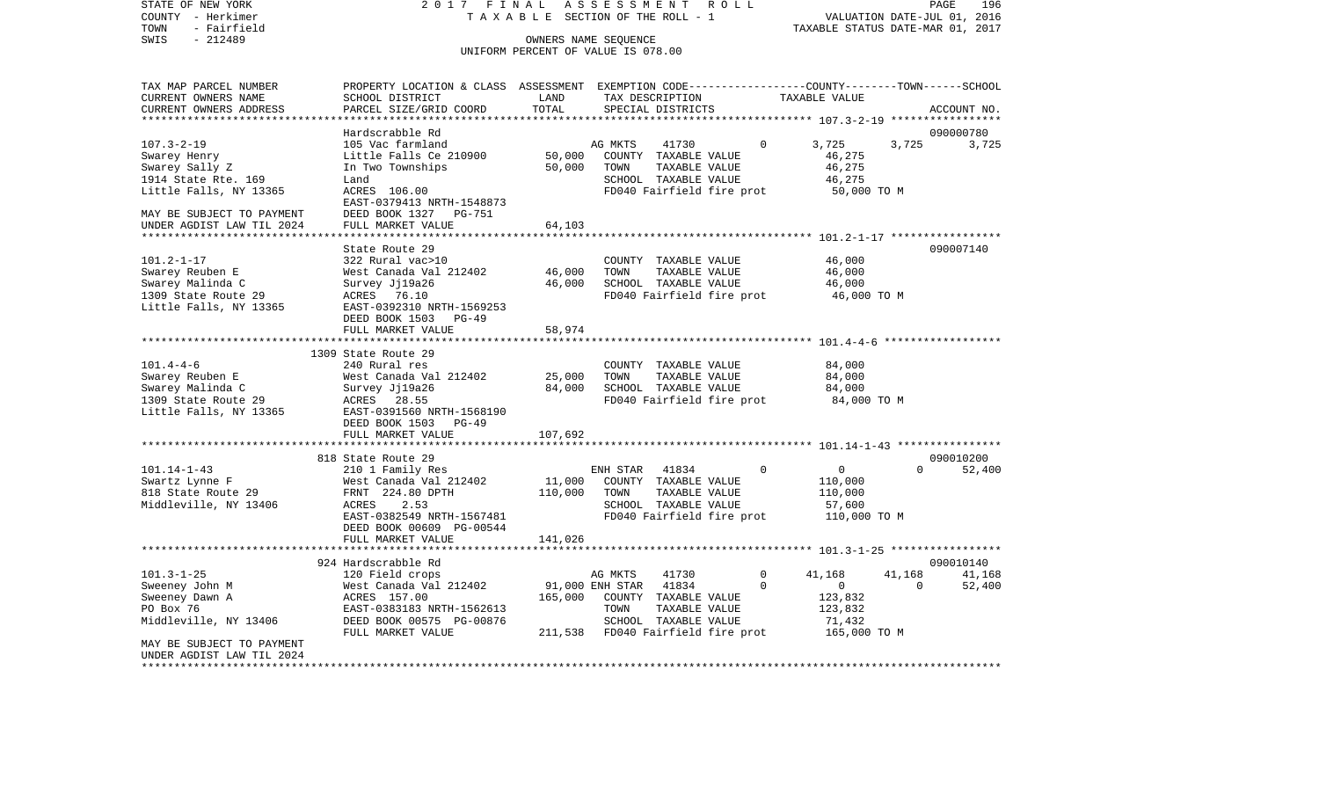VALUATION DATE-JUL 01, 2016 COUNTY - Herkimer T A X A B L E SECTION OF THE ROLL - 1 TOWN - Fairfield TAXABLE STATUS DATE-MAR 01, 2017 SWIS - 212489 OWNERS NAME SEQUENCE UNIFORM PERCENT OF VALUE IS 078.00TAX MAP PARCEL NUMBER PROPERTY LOCATION & CLASS ASSESSMENT EXEMPTION CODE------------------COUNTY--------TOWN------SCHOOL CURRENT OWNERS NAME SCHOOL DISTRICT LAND TAX DESCRIPTION TAXABLE VALUECURRENT OWNERS ADDRESS PARCEL SIZE/GRID COORD TOTAL SPECIAL DISTRICTS ACCOUNT NO. \*\*\*\*\*\*\*\*\*\*\*\*\*\*\*\*\*\*\*\*\*\*\*\*\*\*\*\*\*\*\*\*\*\*\*\*\*\*\*\*\*\*\*\*\*\*\*\*\*\*\*\*\*\*\*\*\*\*\*\*\*\*\*\*\*\*\*\*\*\*\*\*\*\*\*\*\*\*\*\*\*\*\*\*\*\*\*\*\*\*\*\*\*\*\*\*\*\*\*\*\*\*\* 107.3-2-19 \*\*\*\*\*\*\*\*\*\*\*\*\*\*\*\*\* Hardscrabble Rd 090000780107.3-2-19 105 Vac farmland AG MKTS 41730 0 3,725 3,725 3,725 Swarey Henry **Example 2018** Little Falls Ce 210900 50,000 COUNTY TAXABLE VALUE 46,275 Swarey Sally Z In Two Townships 50,000 TOWN TAXABLE VALUE 46,275 1914 State Rte. 169 Land Land Communication SCHOOL TAXABLE VALUE 46.275 Little Falls, NY 13365 ACRES 106.00 FOO40 Fairfield fire prot 50,000 TO M EAST-0379413 NRTH-1548873MAY BE SUBJECT TO PAYMENT DEED BOOK 1327 PG-751 UNDER AGDIST LAW TIL 2024 FULL MARKET VALUE 64,103 \*\*\*\*\*\*\*\*\*\*\*\*\*\*\*\*\*\*\*\*\*\*\*\*\*\*\*\*\*\*\*\*\*\*\*\*\*\*\*\*\*\*\*\*\*\*\*\*\*\*\*\*\*\*\*\*\*\*\*\*\*\*\*\*\*\*\*\*\*\*\*\*\*\*\*\*\*\*\*\*\*\*\*\*\*\*\*\*\*\*\*\*\*\*\*\*\*\*\*\*\*\*\* 101.2-1-17 \*\*\*\*\*\*\*\*\*\*\*\*\*\*\*\*\*State Route 29 090007140 101.2-1-17 322 Rural vac>10 COUNTY TAXABLE VALUE 46,000 Swarey Reuben E West Canada Val 212402 46,000 TOWN TAXABLE VALUE 46,000 Swarey Malinda C 6,000 Survey Jj19a26 46,000 SCHOOL TAXABLE VALUE 46,000 1309 State Route 29 ACRES 76.10 FD040 Fairfield fire prot 46,000 TO M Little Falls, NY 13365 EAST-0392310 NRTH-1569253 DEED BOOK 1503 PG-49FULL MARKET VALUE 58,974 \*\*\*\*\*\*\*\*\*\*\*\*\*\*\*\*\*\*\*\*\*\*\*\*\*\*\*\*\*\*\*\*\*\*\*\*\*\*\*\*\*\*\*\*\*\*\*\*\*\*\*\*\*\*\*\*\*\*\*\*\*\*\*\*\*\*\*\*\*\*\*\*\*\*\*\*\*\*\*\*\*\*\*\*\*\*\*\*\*\*\*\*\*\*\*\*\*\*\*\*\*\*\* 101.4-4-6 \*\*\*\*\*\*\*\*\*\*\*\*\*\*\*\*\*\* 1309 State Route 29 101.4-4-6 240 Rural res COUNTY TAXABLE VALUE 84,000 Swarey Reuben E 64,000 West Canada Val 212402 25,000 TOWN TAXABLE VALUE 84,000 Swarey Malinda C 64,000 Survey Jj19a26 84,000 SCHOOL TAXABLE VALUE 84,000 1309 State Route 29 ACRES 28.55 FD040 Fairfield fire prot 84,000 TO M Little Falls, NY 13365 EAST-0391560 NRTH-1568190 DEED BOOK 1503 PG-49 FULL MARKET VALUE 107,692 \*\*\*\*\*\*\*\*\*\*\*\*\*\*\*\*\*\*\*\*\*\*\*\*\*\*\*\*\*\*\*\*\*\*\*\*\*\*\*\*\*\*\*\*\*\*\*\*\*\*\*\*\*\*\*\*\*\*\*\*\*\*\*\*\*\*\*\*\*\*\*\*\*\*\*\*\*\*\*\*\*\*\*\*\*\*\*\*\*\*\*\*\*\*\*\*\*\*\*\*\*\*\* 101.14-1-43 \*\*\*\*\*\*\*\*\*\*\*\*\*\*\*\*818 State Route 29 090010200 000010200 000010200 000010200 000010200 000010200 000010200 000010200 000010200 000010200 000010200 000010200 000010200 000010200 000010200 00001020 00001020 00001020 00001020 00001020 00001020 101.14-1-43 210 1 Family Res ENH STAR 41834 0 0 0 52,400 Swartz Lynne F 6 110,000 West Canada Val 212402 11,000 COUNTY TAXABLE VALUE 110,000 818 State Route 29 FRNT 224.80 DPTH 110,000 TOWN TAXABLE VALUE 110,000 Middleville, NY 13406 ACRES 2.53 SCHOOL TAXABLE VALUE 57,600 EAST-0382549 NRTH-1567481 FD040 Fairfield fire prot 110,000 TO M DEED BOOK 00609 PG-00544FULL MARKET VALUE 141.026 \*\*\*\*\*\*\*\*\*\*\*\*\*\*\*\*\*\*\*\*\*\*\*\*\*\*\*\*\*\*\*\*\*\*\*\*\*\*\*\*\*\*\*\*\*\*\*\*\*\*\*\*\*\*\*\*\*\*\*\*\*\*\*\*\*\*\*\*\*\*\*\*\*\*\*\*\*\*\*\*\*\*\*\*\*\*\*\*\*\*\*\*\*\*\*\*\*\*\*\*\*\*\* 101.3-1-25 \*\*\*\*\*\*\*\*\*\*\*\*\*\*\*\*\* 924 Hardscrabble Rd 090010140101.3-1-25 120 Field crops AG MKTS 41730 0 41,168 41,168 41,168 41,168 Sweeney John M **West Canada Val 212402** 91,000 ENH STAR 41834 0 0 0 0 52,400 Sweeney Dawn A ACRES 157.00 165,000 COUNTY TAXABLE VALUE 123,832 EAST-0383183 NRTH-1562613 TOWN TAXABLE VALUE 123,832 Middleville, NY 13406 DEED BOOK 00575 PG-00876 SCHOOL TAXABLE VALUE 71,432 FULL MARKET VALUE 211,538 FD040 Fairfield fire prot 165,000 TO M MAY BE SUBJECT TO PAYMENTUNDER AGDIST LAW TIL 2024\*\*\*\*\*\*\*\*\*\*\*\*\*\*\*\*\*\*\*\*\*\*\*\*\*\*\*\*\*\*\*\*\*\*\*\*\*\*\*\*\*\*\*\*\*\*\*\*\*\*\*\*\*\*\*\*\*\*\*\*\*\*\*\*\*\*\*\*\*\*\*\*\*\*\*\*\*\*\*\*\*\*\*\*\*\*\*\*\*\*\*\*\*\*\*\*\*\*\*\*\*\*\*\*\*\*\*\*\*\*\*\*\*\*\*\*\*\*\*\*\*\*\*\*\*\*\*\*\*\*\*\*

STATE OF NEW YORK 2 0 1 7 F I N A L A S S E S S M E N T R O L L PAGE 196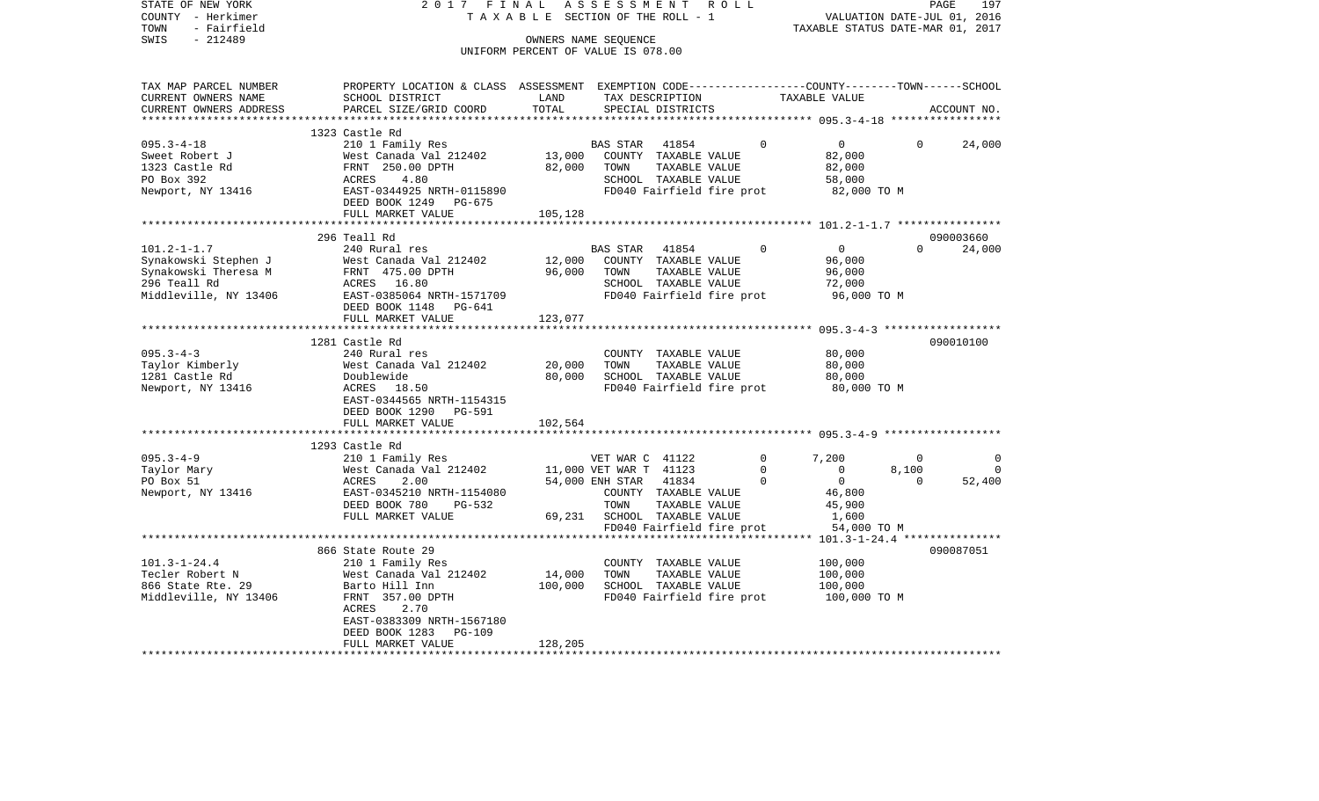| COUNTY - Herkimer<br>- Fairfield<br>TOWN   |                                                                                                 | T A X A B L E SECTION OF THE ROLL - 1 |                             |                                                   |          | TAXABLE STATUS DATE-MAR 01, 2017 | VALUATION DATE-JUL 01, 2016 |             |
|--------------------------------------------|-------------------------------------------------------------------------------------------------|---------------------------------------|-----------------------------|---------------------------------------------------|----------|----------------------------------|-----------------------------|-------------|
| SWIS<br>$-212489$                          |                                                                                                 | OWNERS NAME SEOUENCE                  |                             |                                                   |          |                                  |                             |             |
|                                            |                                                                                                 | UNIFORM PERCENT OF VALUE IS 078.00    |                             |                                                   |          |                                  |                             |             |
| TAX MAP PARCEL NUMBER                      | PROPERTY LOCATION & CLASS ASSESSMENT EXEMPTION CODE---------------COUNTY-------TOWN------SCHOOL |                                       |                             |                                                   |          |                                  |                             |             |
| CURRENT OWNERS NAME                        | SCHOOL DISTRICT                                                                                 | LAND                                  |                             | TAX DESCRIPTION                                   |          | TAXABLE VALUE                    |                             |             |
| CURRENT OWNERS ADDRESS                     | PARCEL SIZE/GRID COORD                                                                          | TOTAL                                 |                             | SPECIAL DISTRICTS                                 |          |                                  |                             | ACCOUNT NO. |
| ******************                         |                                                                                                 |                                       |                             |                                                   |          |                                  |                             |             |
|                                            | 1323 Castle Rd                                                                                  |                                       |                             |                                                   |          |                                  |                             |             |
| $095.3 - 4 - 18$                           | 210 1 Family Res                                                                                |                                       | BAS STAR 41854              |                                                   | $\Omega$ | $\overline{0}$                   | $\Omega$                    | 24,000      |
| Sweet Robert J                             | West Canada Val 212402<br>FRNT 250.00 DPTH<br>ACRES 4.80<br>EAST-0344925 NRTH-0115890           | 13,000                                |                             | COUNTY TAXABLE VALUE                              |          | 82,000                           |                             |             |
| 1323 Castle Rd<br>PO Box 392               |                                                                                                 | 82,000                                | TOWN                        | TAXABLE VALUE<br>SCHOOL TAXABLE VALUE             |          | 82,000                           |                             |             |
| Newport, NY 13416                          |                                                                                                 |                                       |                             | FD040 Fairfield fire prot                         |          | 58,000<br>82,000 TO M            |                             |             |
|                                            | DEED BOOK 1249 PG-675                                                                           |                                       |                             |                                                   |          |                                  |                             |             |
|                                            | FULL MARKET VALUE                                                                               | 105,128                               |                             |                                                   |          |                                  |                             |             |
|                                            |                                                                                                 |                                       |                             |                                                   |          |                                  |                             |             |
|                                            | 296 Teall Rd                                                                                    |                                       |                             |                                                   |          |                                  |                             | 090003660   |
| $101.2 - 1 - 1.7$                          | Lual res<br>West Canada Val 21<br>FRNT 475.00 DPTH<br>ACRES 16.80<br>EAST-000                   |                                       | BAS STAR 41854              |                                                   | $\Omega$ | $\overline{0}$                   | $0 \qquad \qquad$           | 24,000      |
| Synakowski Stephen J                       | West Canada Val 212402                                                                          | 12,000                                |                             | COUNTY TAXABLE VALUE                              |          | 96,000                           |                             |             |
| Synakowski Theresa M                       |                                                                                                 | 96,000                                | TOWN                        | TAXABLE VALUE                                     |          | 96,000                           |                             |             |
| 296 Teall Rd                               |                                                                                                 |                                       |                             | SCHOOL TAXABLE VALUE                              |          | 72,000                           |                             |             |
| Middleville, NY 13406                      | EAST-0385064 NRTH-1571709                                                                       |                                       |                             | FD040 Fairfield fire prot                         |          | 96,000 TO M                      |                             |             |
|                                            | DEED BOOK 1148 PG-641                                                                           |                                       |                             |                                                   |          |                                  |                             |             |
|                                            | FULL MARKET VALUE                                                                               | 123,077                               |                             |                                                   |          |                                  |                             |             |
|                                            |                                                                                                 |                                       |                             |                                                   |          |                                  |                             |             |
|                                            | 1281 Castle Rd                                                                                  |                                       |                             |                                                   |          |                                  |                             | 090010100   |
| $095.3 - 4 - 3$                            | 240 Rural res                                                                                   |                                       |                             | COUNTY TAXABLE VALUE                              |          | 80,000                           |                             |             |
| Taylor Kimberly                            | West Canada Val 212402                                                                          | 20,000                                | TOWN                        | TAXABLE VALUE                                     |          | 80,000                           |                             |             |
| 1281 Castle Rd                             | Doublewide<br>ACRES 18.50                                                                       | 80,000                                |                             | SCHOOL TAXABLE VALUE                              |          | 80,000<br>80,000 TO M            |                             |             |
| Newport, NY 13416                          | EAST-0344565 NRTH-1154315                                                                       |                                       |                             | FD040 Fairfield fire prot                         |          |                                  |                             |             |
|                                            | DEED BOOK 1290 PG-591                                                                           |                                       |                             |                                                   |          |                                  |                             |             |
|                                            | FULL MARKET VALUE                                                                               | 102,564                               |                             |                                                   |          |                                  |                             |             |
|                                            |                                                                                                 |                                       |                             |                                                   |          |                                  |                             |             |
|                                            | 1293 Castle Rd                                                                                  |                                       |                             |                                                   |          |                                  |                             |             |
| $095.3 - 4 - 9$                            | 210 1 Family Res                                                                                |                                       | VET WAR C 41122             |                                                   |          | 7,200<br>$\overline{0}$          | $\overline{0}$              | 0           |
| Taylor Mary                                |                                                                                                 |                                       | 11,000 VET WAR T 41123      |                                                   |          | $\overline{0}$<br>$\Omega$       | 8,100                       | $\Omega$    |
| PO Box 51                                  |                                                                                                 |                                       | 54,000 ENH STAR 41834       |                                                   | $\Omega$ | $\overline{0}$                   | $\Omega$                    | 52,400      |
| Newport, NY 13416                          | West Canada Val 212402<br>ACRES     2.00<br>EAST-0345210_NRTH-1154080                           |                                       |                             | COUNTY TAXABLE VALUE                              |          | 46,800                           |                             |             |
|                                            | DEED BOOK 780<br>PG-532                                                                         |                                       | TOWN                        | TAXABLE VALUE                                     |          | 45,900                           |                             |             |
|                                            | FULL MARKET VALUE                                                                               |                                       | 69,231 SCHOOL TAXABLE VALUE |                                                   |          | 1,600                            |                             |             |
|                                            |                                                                                                 |                                       |                             | FD040 Fairfield fire prot                         |          | 54,000 TO M                      |                             |             |
|                                            |                                                                                                 |                                       |                             |                                                   |          |                                  |                             |             |
|                                            | 866 State Route 29                                                                              |                                       |                             |                                                   |          |                                  |                             | 090087051   |
| $101.3 - 1 - 24.4$                         | 210 1 Family Res                                                                                |                                       |                             | COUNTY TAXABLE VALUE                              |          | 100,000                          |                             |             |
| Tecler Robert N                            | West Canada Val 212402                                                                          | 14,000                                | TOWN                        | TAXABLE VALUE                                     |          | 100,000                          |                             |             |
| 866 State Rte. 29<br>Middleville, NY 13406 | Barto Hill Inn<br>FRNT 357.00 DPTH                                                              | 100,000                               |                             | SCHOOL TAXABLE VALUE<br>FD040 Fairfield fire prot |          | 100,000<br>100,000 TO M          |                             |             |
|                                            | ACRES<br>2.70                                                                                   |                                       |                             |                                                   |          |                                  |                             |             |
|                                            | EAST-0383309 NRTH-1567180                                                                       |                                       |                             |                                                   |          |                                  |                             |             |
|                                            | DEED BOOK 1283 PG-109                                                                           |                                       |                             |                                                   |          |                                  |                             |             |
|                                            | FULL MARKET VALUE                                                                               | 128,205                               |                             |                                                   |          |                                  |                             |             |
| **********************                     |                                                                                                 |                                       |                             |                                                   |          |                                  |                             |             |

PAGE 197

STATE OF NEW YORK 2 0 1 7 F I N A L A S S E S S M E N T R O L L PAGE 197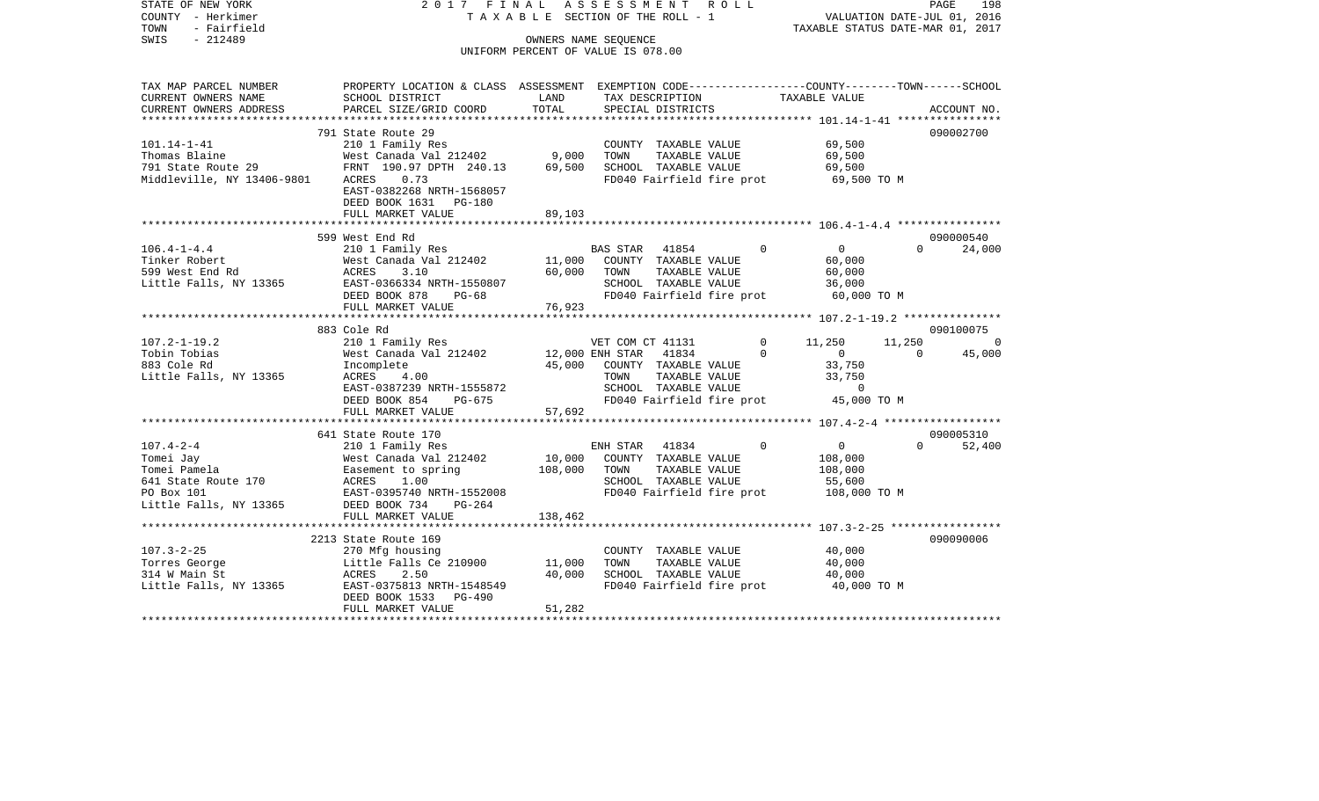| STATE OF NEW YORK<br>COUNTY - Herkimer<br>- Fairfield<br>TOWN<br>$-212489$<br>SWIS                          | 2017 FINAL                                                                                                                                                |                           | ASSESSMENT ROLL<br>TAXABLE SECTION OF THE ROLL - 1<br>OWNERS NAME SEOUENCE                                              |          | VALUATION DATE-JUL 01, 2016<br>TAXABLE STATUS DATE-MAR 01, 2017 |          | PAGE<br>198 |
|-------------------------------------------------------------------------------------------------------------|-----------------------------------------------------------------------------------------------------------------------------------------------------------|---------------------------|-------------------------------------------------------------------------------------------------------------------------|----------|-----------------------------------------------------------------|----------|-------------|
|                                                                                                             |                                                                                                                                                           |                           | UNIFORM PERCENT OF VALUE IS 078.00                                                                                      |          |                                                                 |          |             |
| TAX MAP PARCEL NUMBER                                                                                       | PROPERTY LOCATION & CLASS ASSESSMENT EXEMPTION CODE---------------COUNTY-------TOWN------SCHOOL                                                           | LAND                      |                                                                                                                         |          | TAXABLE VALUE                                                   |          |             |
| CURRENT OWNERS NAME<br>CURRENT OWNERS ADDRESS                                                               | SCHOOL DISTRICT<br>PARCEL SIZE/GRID COORD                                                                                                                 | TOTAL                     | TAX DESCRIPTION<br>SPECIAL DISTRICTS                                                                                    |          |                                                                 |          | ACCOUNT NO. |
| *************************                                                                                   |                                                                                                                                                           |                           |                                                                                                                         |          |                                                                 |          |             |
| $101.14 - 1 - 41$<br>Thomas Blaine<br>791 State Route 29<br>Middleville, NY 13406-9801                      | 791 State Route 29<br>210 1 Family Res<br>West Canada Val 212402<br>FRNT 190.97 DPTH 240.13<br>0.73<br>ACRES<br>EAST-0382268 NRTH-1568057                 | 9,000<br>69,500           | COUNTY TAXABLE VALUE<br>TOWN<br>TAXABLE VALUE<br>SCHOOL TAXABLE VALUE<br>FD040 Fairfield fire prot                      |          | 69,500<br>69,500<br>69,500<br>69,500 TO M                       |          | 090002700   |
|                                                                                                             | DEED BOOK 1631 PG-180<br>FULL MARKET VALUE                                                                                                                | 89,103                    |                                                                                                                         |          |                                                                 |          |             |
|                                                                                                             |                                                                                                                                                           |                           |                                                                                                                         |          |                                                                 |          |             |
|                                                                                                             | 599 West End Rd                                                                                                                                           |                           |                                                                                                                         |          |                                                                 |          | 090000540   |
| $106.4 - 1 - 4.4$<br>Tinker Robert<br>599 West End Rd<br>Little Falls, NY 13365                             | 210 1 Family Res<br>West Canada Val 212402<br>ACRES<br>3.10<br>EAST-0366334 NRTH-1550807<br>DEED BOOK 878<br><b>PG-68</b>                                 | 11,000<br>60,000          | BAS STAR<br>41854<br>COUNTY TAXABLE VALUE<br>TOWN<br>TAXABLE VALUE<br>SCHOOL TAXABLE VALUE<br>FD040 Fairfield fire prot | $\Omega$ | $\overline{0}$<br>60,000<br>60,000<br>36,000<br>60,000 TO M     | $\Omega$ | 24,000      |
|                                                                                                             | FULL MARKET VALUE                                                                                                                                         | 76,923                    |                                                                                                                         |          |                                                                 |          |             |
|                                                                                                             | 883 Cole Rd                                                                                                                                               |                           |                                                                                                                         |          |                                                                 |          | 090100075   |
| $107.2 - 1 - 19.2$                                                                                          | 210 1 Family Res                                                                                                                                          |                           | VET COM CT 41131                                                                                                        | 0        | 11,250                                                          | 11,250   | $\Omega$    |
| Tobin Tobias<br>883 Cole Rd<br>Little Falls, NY 13365                                                       | West Canada Val 212402<br>Incomplete<br>ACRES<br>4.00<br>EAST-0387239 NRTH-1555872<br>DEED BOOK 854<br>PG-675                                             | 12,000 ENH STAR<br>45,000 | 41834<br>COUNTY TAXABLE VALUE<br>TAXABLE VALUE<br>TOWN<br>SCHOOL TAXABLE VALUE<br>FD040 Fairfield fire prot 45,000 TO M | $\Omega$ | $\overline{0}$<br>33,750<br>33,750<br>$\mathbf 0$               | $\Omega$ | 45,000      |
|                                                                                                             | FULL MARKET VALUE                                                                                                                                         | 57,692                    |                                                                                                                         |          |                                                                 |          |             |
|                                                                                                             | 641 State Route 170                                                                                                                                       |                           |                                                                                                                         |          |                                                                 |          | 090005310   |
| $107.4 - 2 - 4$<br>Tomei Jay<br>Tomei Pamela<br>641 State Route 170<br>PO Box 101<br>Little Falls, NY 13365 | 210 1 Family Res<br>West Canada Val 212402<br>Easement to spring<br>ACRES 1 00<br>ACRES<br>1.00<br>EAST-0395740 NRTH-1552008<br>DEED BOOK 734<br>$PG-264$ | 10,000<br>108,000         | ENH STAR 41834<br>COUNTY TAXABLE VALUE<br>TAXABLE VALUE<br>TOWN<br>SCHOOL TAXABLE VALUE<br>FD040 Fairfield fire prot    | $\Omega$ | $\overline{0}$<br>108,000<br>108,000<br>55,600<br>108,000 TO M  | $\Omega$ | 52,400      |
|                                                                                                             | FULL MARKET VALUE                                                                                                                                         | 138,462                   |                                                                                                                         |          |                                                                 |          |             |
| $107.3 - 2 - 25$                                                                                            | 2213 State Route 169<br>270 Mfg housing                                                                                                                   |                           | COUNTY TAXABLE VALUE                                                                                                    |          | 40,000                                                          |          | 090090006   |
| Torres George                                                                                               | Little Falls Ce 210900                                                                                                                                    | 11,000                    | TOWN<br>TAXABLE VALUE                                                                                                   |          | 40,000                                                          |          |             |
| 314 W Main St<br>Little Falls, NY 13365                                                                     | ACRES<br>2.50<br>EAST-0375813 NRTH-1548549<br>DEED BOOK 1533 PG-490<br>FULL MARKET VALUE                                                                  | 40,000<br>51,282          | SCHOOL TAXABLE VALUE<br>FD040 Fairfield fire prot                                                                       |          | 40,000<br>40,000 TO M                                           |          |             |
|                                                                                                             |                                                                                                                                                           |                           |                                                                                                                         |          |                                                                 |          |             |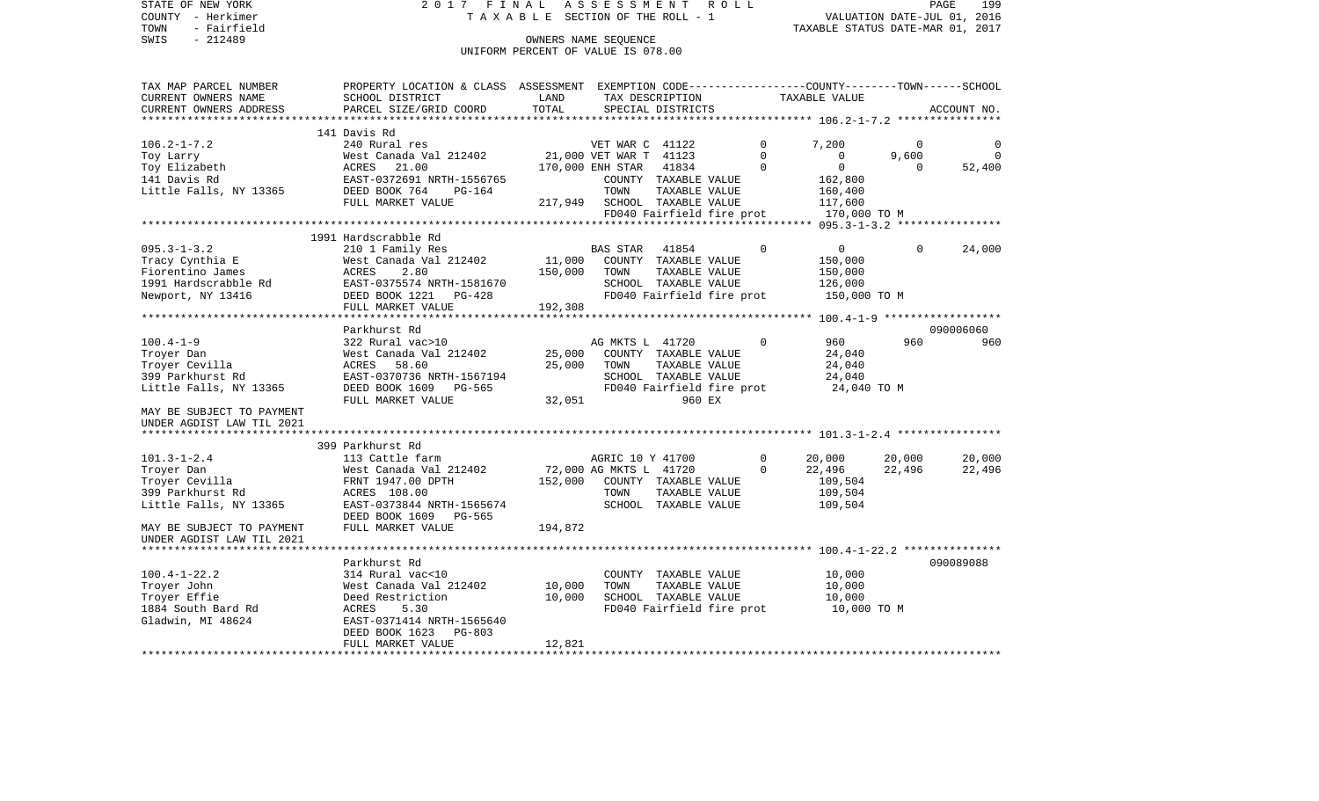STATE OF NEW YORK 2 0 1 7 F I N A L A S S E S S M E N T R O L L PAGE 199VALUATION DATE-JUL 01, 2016 COUNTY - Herkimer T A X A B L E SECTION OF THE ROLL - 1 TOWN - Fairfield TAXABLE STATUS DATE-MAR 01, 2017 SWIS - 212489 OWNERS NAME SEQUENCE UNIFORM PERCENT OF VALUE IS 078.00

TAX MAP PARCEL NUMBER PROPERTY LOCATION & CLASS ASSESSMENT EXEMPTION CODE------------------COUNTY--------TOWN------SCHOOL CURRENT OWNERS NAME SCHOOL DISTRICT LAND TAX DESCRIPTION TAXABLE VALUECURRENT OWNERS ADDRESS PARCEL SIZE/GRID COORD TOTAL SPECIAL DISTRICTS ACCOUNT NO. \*\*\*\*\*\*\*\*\*\*\*\*\*\*\*\*\*\*\*\*\*\*\*\*\*\*\*\*\*\*\*\*\*\*\*\*\*\*\*\*\*\*\*\*\*\*\*\*\*\*\*\*\*\*\*\*\*\*\*\*\*\*\*\*\*\*\*\*\*\*\*\*\*\*\*\*\*\*\*\*\*\*\*\*\*\*\*\*\*\*\*\*\*\*\*\*\*\*\*\*\*\*\* 106.2-1-7.2 \*\*\*\*\*\*\*\*\*\*\*\*\*\*\*\* 141 Davis Rd240 Rural res 106.2-1-7.2 240 Rural res VET WAR C 41122 0 7,200 0 0 Toy Larry 2012 12:00 West Canada Val 212402 21,000 VET WAR T 41123 0 0 9,600 0 9,600 Toy Elizabeth ACRES 21.00 170,000 ENH STAR 41834 0 0 52,400 141 Davis Rd EAST-0372691 NRTH-1556765 COUNTY TAXABLE VALUE 162,800 Little Falls, NY 13365 DEED BOOK 764 PG-164 TOWN TAXABLE VALUE 160,400 FULL MARKET VALUE  $217.949$  SCHOOL TAXABLE VALUE  $117.600$ FD040 Fairfield fire prot 170,000 TO M \*\*\*\*\*\*\*\*\*\*\*\*\*\*\*\*\*\*\*\*\*\*\*\*\*\*\*\*\*\*\*\*\*\*\*\*\*\*\*\*\*\*\*\*\*\*\*\*\*\*\*\*\*\*\*\*\*\*\*\*\*\*\*\*\*\*\*\*\*\*\*\*\*\*\*\*\*\*\*\*\*\*\*\*\*\*\*\*\*\*\*\*\*\*\*\*\*\*\*\*\*\*\* 095.3-1-3.2 \*\*\*\*\*\*\*\*\*\*\*\*\*\*\*\* 1991 Hardscrabble Rd095.3-1-3.2 210 1 Family Res BAS STAR 41854 0 0 0 24,000 Tracy Cynthia E West Canada Val 212402 11,000 COUNTY TAXABLE VALUE 150,000 Fiorentino James ACRES 2.80 150,000 TOWN TAXABLE VALUE 150,000 1991 Hardscrabble Rd EAST-0375574 NRTH-1581670 SCHOOL TAXABLE VALUE 126,000 Newport, NY 13416 **DEED BOOK 1221** PG-428 **FD040 Fairfield fire prot** 150,000 TO M FULL MARKET VALUE 192,308 \*\*\*\*\*\*\*\*\*\*\*\*\*\*\*\*\*\*\*\*\*\*\*\*\*\*\*\*\*\*\*\*\*\*\*\*\*\*\*\*\*\*\*\*\*\*\*\*\*\*\*\*\*\*\*\*\*\*\*\*\*\*\*\*\*\*\*\*\*\*\*\*\*\*\*\*\*\*\*\*\*\*\*\*\*\*\*\*\*\*\*\*\*\*\*\*\*\*\*\*\*\*\* 100.4-1-9 \*\*\*\*\*\*\*\*\*\*\*\*\*\*\*\*\*\* Parkhurst Rd 090006060100.4-1-9 322 Rural vac>10 AG MKTS L 41720 0 960 960 960Troyer Dan West Canada Val 212402 25,000 COUNTY TAXABLE VALUE 24,040 Troyer Cevilla ACRES 58.60 25,000 TOWN TAXABLE VALUE 24,040 399 Parkhurst Rd EAST-0370736 NRTH-1567194 SCHOOL TAXABLE VALUE 24,040 Little Falls, NY 13365 DEED BOOK 1609 PG-565 FD040 Fairfield fire prot 24,040 TO M FULL MARKET VALUE 32,051 960 EX MAY BE SUBJECT TO PAYMENTUNDER AGDIST LAW TIL 2021 \*\*\*\*\*\*\*\*\*\*\*\*\*\*\*\*\*\*\*\*\*\*\*\*\*\*\*\*\*\*\*\*\*\*\*\*\*\*\*\*\*\*\*\*\*\*\*\*\*\*\*\*\*\*\*\*\*\*\*\*\*\*\*\*\*\*\*\*\*\*\*\*\*\*\*\*\*\*\*\*\*\*\*\*\*\*\*\*\*\*\*\*\*\*\*\*\*\*\*\*\*\*\* 101.3-1-2.4 \*\*\*\*\*\*\*\*\*\*\*\*\*\*\*\* 399 Parkhurst Rd101.3-1-2.4 113 Cattle farm AGRIC 10 Y 41700 0 20,000 20,000 20,000 20,000 Troyer Dan West Canada Val 212402 72,000 AG MKTS L 41720 0 22,496 22,496 22,496 Troyer Cevilla FRNT 1947.00 DPTH 152,000 COUNTY TAXABLE VALUE 109,504 399 Parkhurst Rd ACRES 108.00 TOWN TAXABLE VALUE 109,504 Little Falls, NY 13365 EAST-0373844 NRTH-1565674 SCHOOL TAXABLE VALUE 109,504 DEED BOOK 1609 PG-565 MAY BE SUBJECT TO PAYMENT FULL MARKET VALUE 194,872 UNDER AGDIST LAW TIL 2021 \*\*\*\*\*\*\*\*\*\*\*\*\*\*\*\*\*\*\*\*\*\*\*\*\*\*\*\*\*\*\*\*\*\*\*\*\*\*\*\*\*\*\*\*\*\*\*\*\*\*\*\*\*\*\*\*\*\*\*\*\*\*\*\*\*\*\*\*\*\*\*\*\*\*\*\*\*\*\*\*\*\*\*\*\*\*\*\*\*\*\*\*\*\*\*\*\*\*\*\*\*\*\* 100.4-1-22.2 \*\*\*\*\*\*\*\*\*\*\*\*\*\*\* Parkhurst Rd 090089088100.4-1-22.2 314 Rural vac<10 COUNTY TAXABLE VALUE 10,000 Troyer John West Canada Val 212402 10,000 TOWN TAXABLE VALUE 10,000 Troyer Effie Deed Restriction 10,000 SCHOOL TAXABLE VALUE 10,000 1884 South Bard Rd ACRES 5.30 FD040 Fairfield fire prot 10,000 TO M Gladwin, MI 48624 EAST-0371414 NRTH-1565640 DEED BOOK 1623 PG-803FULL MARKET VALUE 12,821 \*\*\*\*\*\*\*\*\*\*\*\*\*\*\*\*\*\*\*\*\*\*\*\*\*\*\*\*\*\*\*\*\*\*\*\*\*\*\*\*\*\*\*\*\*\*\*\*\*\*\*\*\*\*\*\*\*\*\*\*\*\*\*\*\*\*\*\*\*\*\*\*\*\*\*\*\*\*\*\*\*\*\*\*\*\*\*\*\*\*\*\*\*\*\*\*\*\*\*\*\*\*\*\*\*\*\*\*\*\*\*\*\*\*\*\*\*\*\*\*\*\*\*\*\*\*\*\*\*\*\*\*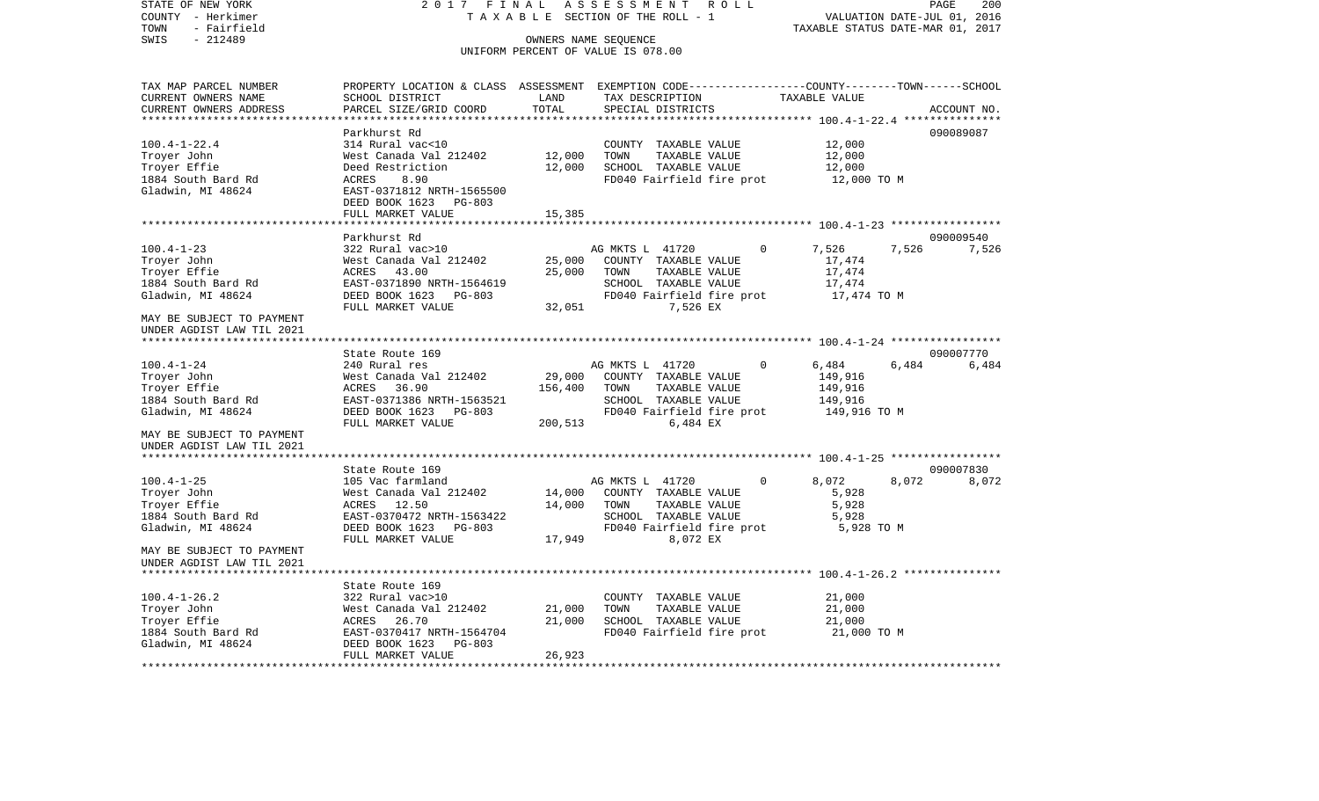COUNTY - Herkimer T A X A B L E SECTION OF THE ROLL - 1 VALUATION DATE-JUL 01, 2016 TOWN - Fairfield TAXABLE STATUS DATE-MAR 01, 2017 SWIS - 212489 CONNERS NAME SEQUENCE UNIFORM PERCENT OF VALUE IS 078.00TAX MAP PARCEL NUMBER PROPERTY LOCATION & CLASS ASSESSMENT EXEMPTION CODE------------------COUNTY--------TOWN------SCHOOL CURRENT OWNERS NAME SCHOOL DISTRICT LAND TAX DESCRIPTION TAXABLE VALUECURRENT OWNERS ADDRESS PARCEL SIZE/GRID COORD TOTAL SPECIAL DISTRICTS ACCOUNT NO. \*\*\*\*\*\*\*\*\*\*\*\*\*\*\*\*\*\*\*\*\*\*\*\*\*\*\*\*\*\*\*\*\*\*\*\*\*\*\*\*\*\*\*\*\*\*\*\*\*\*\*\*\*\*\*\*\*\*\*\*\*\*\*\*\*\*\*\*\*\*\*\*\*\*\*\*\*\*\*\*\*\*\*\*\*\*\*\*\*\*\*\*\*\*\*\*\*\*\*\*\*\*\* 100.4-1-22.4 \*\*\*\*\*\*\*\*\*\*\*\*\*\*\* Parkhurst Rd 090089087100.4-1-22.4 314 Rural vac<10 COUNTY TAXABLE VALUE 12,000 Troyer John West Canada Val 212402 12,000 TOWN TAXABLE VALUE 12,000 Troyer Effie Deed Restriction 12,000 SCHOOL TAXABLE VALUE 12,000 1884 South Bard Rd **ACRES** 8.90 **ACRES** 8.90 **FD040** Fairfield fire prot 12,000 TO M Gladwin, MI 48624 EAST-0371812 NRTH-1565500 DEED BOOK 1623 PG-803FULL MARKET VALUE 15,385 \*\*\*\*\*\*\*\*\*\*\*\*\*\*\*\*\*\*\*\*\*\*\*\*\*\*\*\*\*\*\*\*\*\*\*\*\*\*\*\*\*\*\*\*\*\*\*\*\*\*\*\*\*\*\*\*\*\*\*\*\*\*\*\*\*\*\*\*\*\*\*\*\*\*\*\*\*\*\*\*\*\*\*\*\*\*\*\*\*\*\*\*\*\*\*\*\*\*\*\*\*\*\* 100.4-1-23 \*\*\*\*\*\*\*\*\*\*\*\*\*\*\*\*\* Parkhurst Rd 090009540100.4-1-23 322 Rural vac>10 AG MKTS L 41720 0 7,526 7,526 7,526 Troyer John West Canada Val 212402 25,000 COUNTY TAXABLE VALUE 17,474 Troyer Effie ACRES 43.00 25,000 TOWN TAXABLE VALUE 17,474 1884 South Bard Rd EAST-0371890 NRTH-1564619 SCHOOL TAXABLE VALUE 17,474 Gladwin, MI 48624 **DEED BOOK 1623** PG-803 FD040 Fairfield fire prot 17,474 TO M FULL MARKET VALUE 32,051 7,526 EX MAY BE SUBJECT TO PAYMENT UNDER AGDIST LAW TIL 2021 \*\*\*\*\*\*\*\*\*\*\*\*\*\*\*\*\*\*\*\*\*\*\*\*\*\*\*\*\*\*\*\*\*\*\*\*\*\*\*\*\*\*\*\*\*\*\*\*\*\*\*\*\*\*\*\*\*\*\*\*\*\*\*\*\*\*\*\*\*\*\*\*\*\*\*\*\*\*\*\*\*\*\*\*\*\*\*\*\*\*\*\*\*\*\*\*\*\*\*\*\*\*\* 100.4-1-24 \*\*\*\*\*\*\*\*\*\*\*\*\*\*\*\*\*State Route 169 090007770 100.4-1-24 240 Rural res AG MKTS L 41720 0 6.484 6.484 6.484 6.484 Troyer John West Canada Val 212402 29,000 COUNTY TAXABLE VALUE 149,916 Troyer Effie ACRES 36.90 156,400 TOWN TAXABLE VALUE 149,916 1884 South Bard Rd **EAST-0371386 NRTH-1563521** SCHOOL TAXABLE VALUE Gladwin, MI 48624 **DEED BOOK 1623** PG-803 FD040 Fairfield fire prot 149,916 TO M FULL MARKET VALUE 200,513 6,484 EX MAY BE SUBJECT TO PAYMENTUNDER AGDIST LAW TIL 2021 \*\*\*\*\*\*\*\*\*\*\*\*\*\*\*\*\*\*\*\*\*\*\*\*\*\*\*\*\*\*\*\*\*\*\*\*\*\*\*\*\*\*\*\*\*\*\*\*\*\*\*\*\*\*\*\*\*\*\*\*\*\*\*\*\*\*\*\*\*\*\*\*\*\*\*\*\*\*\*\*\*\*\*\*\*\*\*\*\*\*\*\*\*\*\*\*\*\*\*\*\*\*\* 100.4-1-25 \*\*\*\*\*\*\*\*\*\*\*\*\*\*\*\*\*State Route 169 090007830 100.4-1-25 105 Vac farmland AG MKTS L 41720 0 8,072 8,072 8,072 Troyer John West Canada Val 212402 14,000 COUNTY TAXABLE VALUE 5,928 Trover Effie ACRES 12.50 14,000 TOWN TAXABLE VALUE 5,928 1884 South Bard Rd EAST-0370472 NRTH-1563422 SCHOOL TAXABLE VALUE 5,928 Gladwin, MI 48624 **DEED BOOK 1623** PG-803 FD040 Fairfield fire prot 5,928 TO M FULL MARKET VALUE **17,949** 8,072 EX MAY BE SUBJECT TO PAYMENTUNDER AGDIST LAW TIL 2021 \*\*\*\*\*\*\*\*\*\*\*\*\*\*\*\*\*\*\*\*\*\*\*\*\*\*\*\*\*\*\*\*\*\*\*\*\*\*\*\*\*\*\*\*\*\*\*\*\*\*\*\*\*\*\*\*\*\*\*\*\*\*\*\*\*\*\*\*\*\*\*\*\*\*\*\*\*\*\*\*\*\*\*\*\*\*\*\*\*\*\*\*\*\*\*\*\*\*\*\*\*\*\* 100.4-1-26.2 \*\*\*\*\*\*\*\*\*\*\*\*\*\*\* State Route 169100.4-1-26.2 322 Rural vac>10 COUNTY TAXABLE VALUE 21,000 Troyer John West Canada Val 212402 21,000 TOWN TAXABLE VALUE 21,000 Troyer Effie  $ACRES$  26.70 21,000 SCHOOL TAXABLE VALUE 21,000 1884 South Bard Rd EAST-0370417 NRTH-1564704 FD040 Fairfield fire prot 21,000 TO M Gladwin, MI 48624 DEED BOOK 1623 PG-803 FULL MARKET VALUE 26,923 \*\*\*\*\*\*\*\*\*\*\*\*\*\*\*\*\*\*\*\*\*\*\*\*\*\*\*\*\*\*\*\*\*\*\*\*\*\*\*\*\*\*\*\*\*\*\*\*\*\*\*\*\*\*\*\*\*\*\*\*\*\*\*\*\*\*\*\*\*\*\*\*\*\*\*\*\*\*\*\*\*\*\*\*\*\*\*\*\*\*\*\*\*\*\*\*\*\*\*\*\*\*\*\*\*\*\*\*\*\*\*\*\*\*\*\*\*\*\*\*\*\*\*\*\*\*\*\*\*\*\*\*

STATE OF NEW YORK 2 0 1 7 F I N A L A S S E S S M E N T R O L L PAGE 200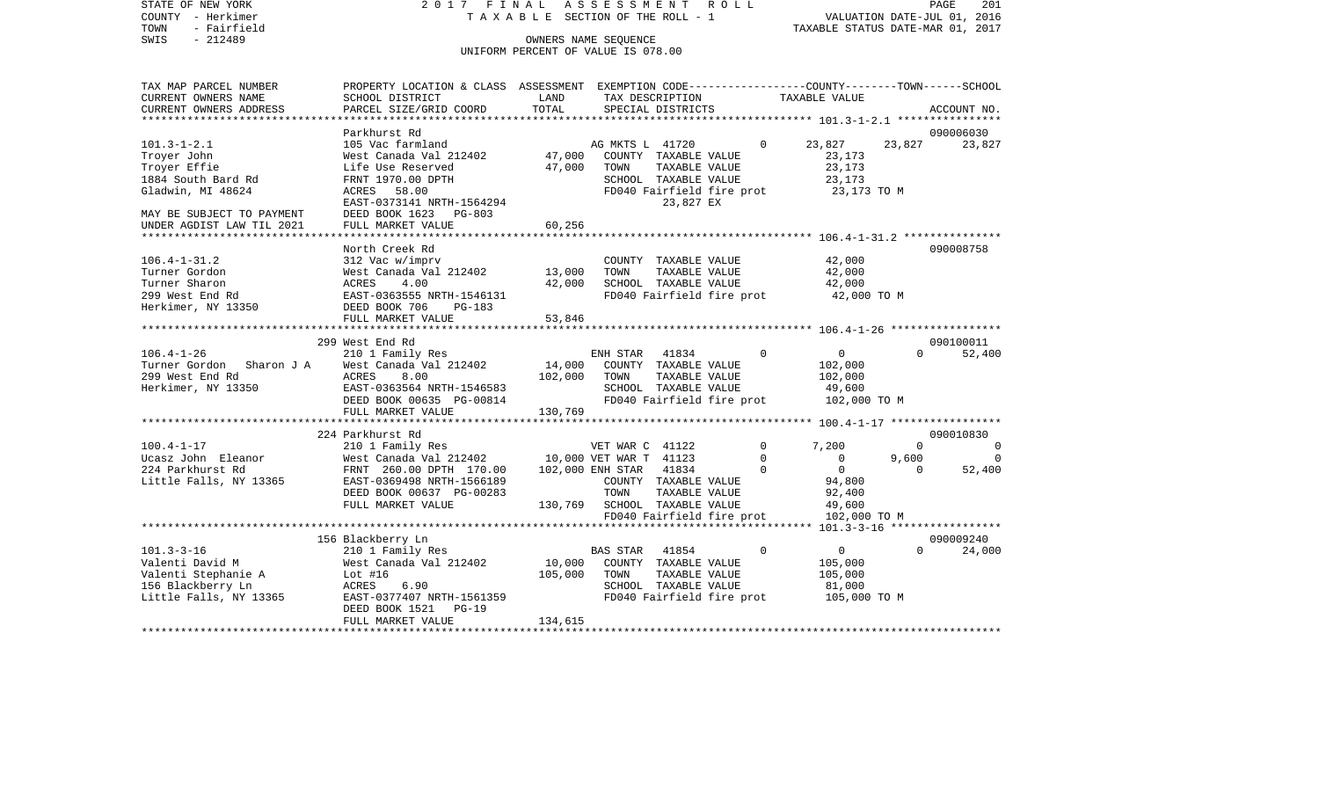STATE OF NEW YORK 2 0 1 7 F I N A L A S S E S S M E N T R O L L PAGE 201COUNTY - Herkimer T A X A B L E SECTION OF THE ROLL - 1 VALUATION DATE-JUL 01, 2016 TOWN - Fairfield TAXABLE STATUS DATE-MAR 01, 2017 SWIS - 212489 OWNERS NAME SEQUENCE UNIFORM PERCENT OF VALUE IS 078.00TAX MAP PARCEL NUMBER PROPERTY LOCATION & CLASS ASSESSMENT EXEMPTION CODE------------------COUNTY--------TOWN------SCHOOL CURRENT OWNERS NAME SCHOOL DISTRICT LAND TAX DESCRIPTION TAXABLE VALUECURRENT OWNERS ADDRESS PARCEL SIZE/GRID COORD TOTAL SPECIAL DISTRICTS ACCOUNT NO. \*\*\*\*\*\*\*\*\*\*\*\*\*\*\*\*\*\*\*\*\*\*\*\*\*\*\*\*\*\*\*\*\*\*\*\*\*\*\*\*\*\*\*\*\*\*\*\*\*\*\*\*\*\*\*\*\*\*\*\*\*\*\*\*\*\*\*\*\*\*\*\*\*\*\*\*\*\*\*\*\*\*\*\*\*\*\*\*\*\*\*\*\*\*\*\*\*\*\*\*\*\*\* 101.3-1-2.1 \*\*\*\*\*\*\*\*\*\*\*\*\*\*\*\* Parkhurst Rd 090006030101.3-1-2.1 105 Vac farmland AG MKTS L 41720 0 23,827 23,827 23,827

| Troyer John               | West Canada Val 212402                                            | 47,000       |                              | COUNTY TAXABLE VALUE |                           | 23,173                                                         |          |           |
|---------------------------|-------------------------------------------------------------------|--------------|------------------------------|----------------------|---------------------------|----------------------------------------------------------------|----------|-----------|
| Troyer Effie              | Life Use Reserved                                                 | 47,000       | TOWN                         | TAXABLE VALUE        |                           | 23,173                                                         |          |           |
| 1884 South Bard Rd        | FRNT 1970.00 DPTH                                                 |              |                              | SCHOOL TAXABLE VALUE |                           | 23,173                                                         |          |           |
| Gladwin, MI 48624         | 58.00<br>ACRES                                                    |              |                              |                      |                           | FD040 Fairfield fire prot<br>23,173 TO M                       |          |           |
|                           | EAST-0373141 NRTH-1564294                                         |              |                              | 23,827 EX            |                           |                                                                |          |           |
| MAY BE SUBJECT TO PAYMENT | DEED BOOK 1623 PG-803                                             |              |                              |                      |                           |                                                                |          |           |
| UNDER AGDIST LAW TIL 2021 | FULL MARKET VALUE                                                 | 60,256       |                              |                      |                           |                                                                |          |           |
|                           |                                                                   |              |                              |                      |                           |                                                                |          |           |
|                           | North Creek Rd                                                    |              |                              |                      |                           |                                                                |          | 090008758 |
| $106.4 - 1 - 31.2$        | 312 Vac w/imprv                                                   |              |                              | COUNTY TAXABLE VALUE |                           | 42,000                                                         |          |           |
| Turner Gordon             | West Canada Val 212402                                            |              | 13,000 TOWN                  | TAXABLE VALUE        |                           | 42,000                                                         |          |           |
| Turner Sharon             | 4.00<br>ACRES                                                     | 42,000       |                              | SCHOOL TAXABLE VALUE |                           | 42,000                                                         |          |           |
| 299 West End Rd           | EAST-0363555 NRTH-1546131                                         |              |                              |                      |                           | FD040 Fairfield fire prot<br>42,000 TO M                       |          |           |
| Herkimer, NY 13350        | DEED BOOK 706<br>PG-183                                           |              |                              |                      |                           |                                                                |          |           |
|                           | FULL MARKET VALUE                                                 | 53,846       |                              |                      |                           |                                                                |          |           |
|                           |                                                                   |              |                              |                      |                           |                                                                |          |           |
|                           | 299 West End Rd                                                   |              |                              |                      |                           |                                                                |          | 090100011 |
| $106.4 - 1 - 26$          | 210 1 Family Res                                                  |              | ENH STAR                     | 41834                |                           | $\Omega$<br>$\Omega$                                           | $\Omega$ | 52,400    |
| Turner Gordon Sharon J A  | West Canada Val 212402 14,000                                     |              | COUNTY TAXABLE VALUE         |                      |                           | 102,000                                                        |          |           |
| 299 West End Rd           | 8.00<br>ACRES                                                     | 102,000 TOWN |                              | TAXABLE VALUE        |                           | 102,000                                                        |          |           |
| Herkimer, NY 13350        | EAST-0363564 NRTH-1546583                                         |              |                              | SCHOOL TAXABLE VALUE |                           | 49,600                                                         |          |           |
|                           | DEED BOOK 00635 PG-00814                                          |              |                              |                      |                           | SCHOOL TAXABLE VALUE<br>FD040 Fairfield fire prot 102,000 TO M |          |           |
|                           | FULL MARKET VALUE                                                 | 130,769      |                              |                      |                           |                                                                |          |           |
|                           |                                                                   |              |                              |                      |                           |                                                                |          |           |
|                           | 224 Parkhurst Rd                                                  |              |                              |                      |                           |                                                                |          | 090010830 |
| $100.4 - 1 - 17$          |                                                                   |              |                              |                      |                           | $\Omega$<br>7,200                                              | $\Omega$ | $\Omega$  |
| Ucasz John Eleanor        | 210 1 Family Res<br>West Canada Val 212402 10,000 VET WAR T 41123 |              |                              |                      |                           | $\Omega$<br>$\overline{0}$                                     | 9,600    | $\Omega$  |
| 224 Parkhurst Rd          | FRNT 260.00 DPTH 170.00 102,000 ENH STAR                          |              |                              | 41834                |                           | $\overline{0}$<br>$\Omega$                                     | $\Omega$ | 52,400    |
| Little Falls, NY 13365    | EAST-0369498 NRTH-1566189                                         |              |                              | COUNTY TAXABLE VALUE |                           | 94,800                                                         |          |           |
|                           | DEED BOOK 00637 PG-00283                                          |              | TOWN                         | TAXABLE VALUE        |                           | 92,400                                                         |          |           |
|                           | FULL MARKET VALUE                                                 |              | 130,769 SCHOOL TAXABLE VALUE |                      |                           | 49,600                                                         |          |           |
|                           |                                                                   |              |                              |                      | FD040 Fairfield fire prot | 102,000 TO M                                                   |          |           |
|                           |                                                                   |              |                              |                      |                           |                                                                |          |           |
|                           | 156 Blackberry Ln                                                 |              |                              |                      |                           |                                                                |          | 090009240 |
| $101.3 - 3 - 16$          | 210 1 Family Res                                                  |              | <b>BAS STAR</b>              | 41854                |                           | $\Omega$<br>$\overline{0}$                                     | $\Omega$ | 24,000    |
| Valenti David M           | West Canada Val 212402                                            |              | 10,000 COUNTY TAXABLE VALUE  |                      |                           | 105,000                                                        |          |           |
| Valenti Stephanie A       | Lot $#16$                                                         | 105,000      | TOWN                         | TAXABLE VALUE        |                           | 105,000                                                        |          |           |
| 156 Blackberry Ln         | ACRES<br>6.90                                                     |              |                              | SCHOOL TAXABLE VALUE |                           | 81,000                                                         |          |           |
| Little Falls, NY 13365    | EAST-0377407 NRTH-1561359                                         |              |                              |                      | FD040 Fairfield fire prot | 105,000 TO M                                                   |          |           |
|                           | DEED BOOK 1521 PG-19                                              |              |                              |                      |                           |                                                                |          |           |
|                           | FULL MARKET VALUE                                                 | 134,615      |                              |                      |                           |                                                                |          |           |
|                           |                                                                   |              |                              |                      |                           |                                                                |          |           |

201

23,827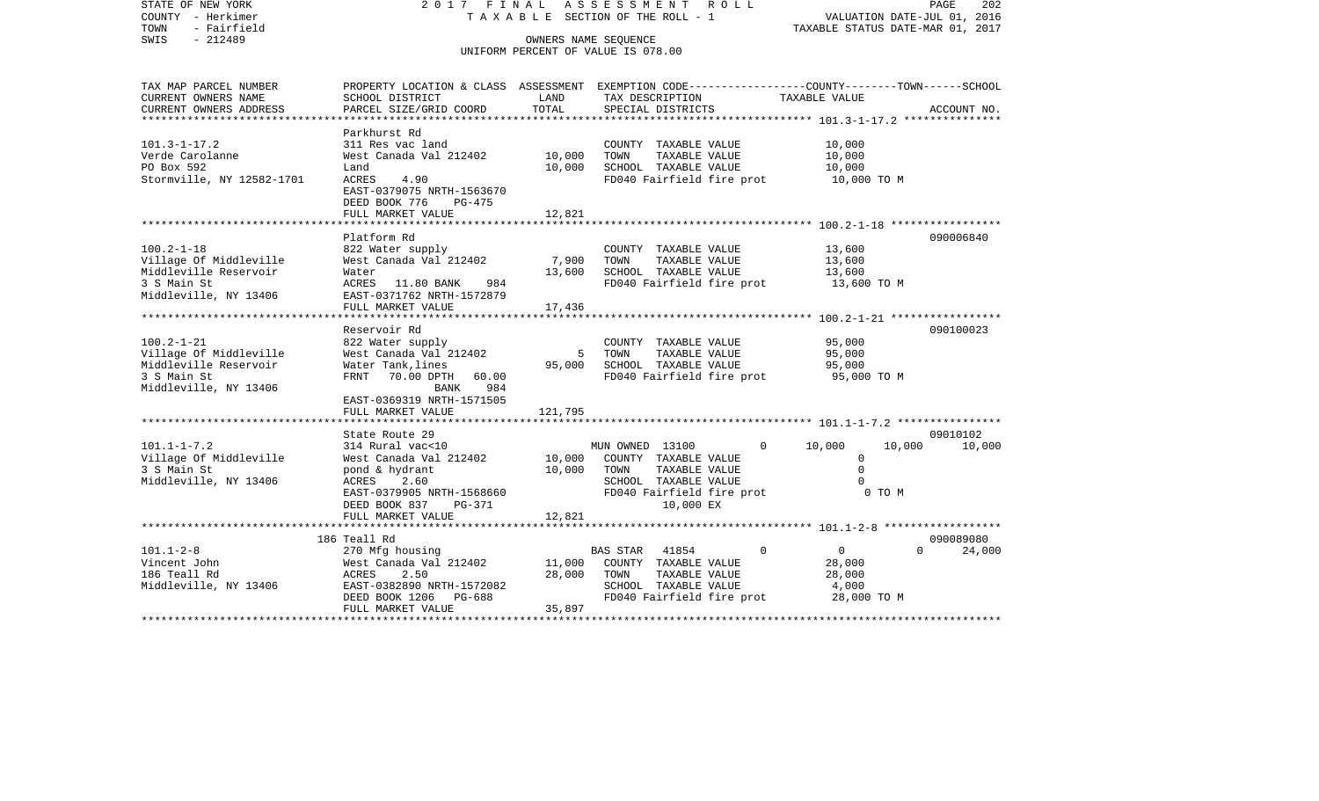| STATE OF NEW YORK<br>COUNTY - Herkimer<br>TOWN<br>- Fairfield<br>SWIS<br>$-212489$                          | 2017 FINAL ASSESSMENT ROLL<br>T A X A B L E SECTION OF THE ROLL - 1<br>UNIFORM PERCENT OF VALUE IS 078.00                                                | PAGE<br>202<br>VALUATION DATE-JUL 01, 2016<br>TAXABLE STATUS DATE-MAR 01, 2017 |                                                                                                                                                    |                                                            |                                 |  |
|-------------------------------------------------------------------------------------------------------------|----------------------------------------------------------------------------------------------------------------------------------------------------------|--------------------------------------------------------------------------------|----------------------------------------------------------------------------------------------------------------------------------------------------|------------------------------------------------------------|---------------------------------|--|
|                                                                                                             |                                                                                                                                                          |                                                                                |                                                                                                                                                    |                                                            |                                 |  |
| TAX MAP PARCEL NUMBER<br>CURRENT OWNERS NAME<br>CURRENT OWNERS ADDRESS                                      | SCHOOL DISTRICT<br>PARCEL SIZE/GRID COORD                                                                                                                | LAND<br>TOTAL                                                                  | PROPERTY LOCATION & CLASS ASSESSMENT EXEMPTION CODE----------------COUNTY-------TOWN------SCHOOL<br>TAX DESCRIPTION<br>SPECIAL DISTRICTS           | TAXABLE VALUE                                              | ACCOUNT NO.                     |  |
| $101.3 - 1 - 17.2$                                                                                          | Parkhurst Rd<br>311 Res vac land                                                                                                                         |                                                                                | COUNTY TAXABLE VALUE                                                                                                                               | 10,000                                                     |                                 |  |
| Verde Carolanne<br>PO Box 592<br>Stormville, NY 12582-1701                                                  | West Canada Val 212402<br>Land<br>ACRES<br>4.90<br>EAST-0379075 NRTH-1563670                                                                             | 10,000<br>10,000                                                               | TOWN<br>TAXABLE VALUE<br>SCHOOL TAXABLE VALUE<br>FD040 Fairfield fire prot                                                                         | 10,000<br>10,000<br>10,000 TO M                            |                                 |  |
|                                                                                                             | DEED BOOK 776<br>PG-475<br>FULL MARKET VALUE                                                                                                             | 12,821                                                                         |                                                                                                                                                    |                                                            |                                 |  |
|                                                                                                             | Platform Rd                                                                                                                                              |                                                                                |                                                                                                                                                    |                                                            | 090006840                       |  |
| $100.2 - 1 - 18$<br>Village Of Middleville<br>Middleville Reservoir<br>3 S Main St<br>Middleville, NY 13406 | 822 Water supply<br>West Canada Val 212402<br>Water<br>ACRES 11.80 BANK<br>984<br>EAST-0371762 NRTH-1572879                                              | 7,900<br>13,600                                                                | COUNTY TAXABLE VALUE<br>TOWN<br>TAXABLE VALUE<br>SCHOOL TAXABLE VALUE<br>FD040 Fairfield fire prot                                                 | 13,600<br>13,600<br>13,600<br>13,600 TO M                  |                                 |  |
|                                                                                                             | FULL MARKET VALUE<br>*************************************                                                                                               | 17,436                                                                         |                                                                                                                                                    |                                                            |                                 |  |
| $100.2 - 1 - 21$<br>Village Of Middleville<br>Middleville Reservoir<br>3 S Main St<br>Middleville, NY 13406 | Reservoir Rd<br>822 Water supply<br>West Canada Val 212402<br>Water Tank, lines<br>FRNT 70.00 DPTH 60.00<br>984<br>BANK                                  | 5<br>95,000                                                                    | COUNTY TAXABLE VALUE<br>TOWN<br>TAXABLE VALUE<br>SCHOOL TAXABLE VALUE<br>FD040 Fairfield fire prot                                                 | 95,000<br>95,000<br>95,000<br>95,000 TO M                  | 090100023                       |  |
|                                                                                                             | EAST-0369319 NRTH-1571505<br>FULL MARKET VALUE<br>*********************                                                                                  | 121,795                                                                        |                                                                                                                                                    |                                                            |                                 |  |
| $101.1 - 1 - 7.2$<br>Village Of Middleville<br>3 S Main St<br>Middleville, NY 13406                         | State Route 29<br>314 Rural vac<10<br>West Canada Val 212402<br>pond & hydrant<br>ACRES<br>2.60<br>EAST-0379905 NRTH-1568660<br>DEED BOOK 837<br>PG-371  | 10,000<br>10,000                                                               | MUN OWNED 13100<br>$\mathbf{0}$<br>COUNTY TAXABLE VALUE<br>TOWN<br>TAXABLE VALUE<br>SCHOOL TAXABLE VALUE<br>FD040 Fairfield fire prot<br>10,000 EX | 10,000<br>$\Omega$<br>$\mathbf 0$<br>0 TO M                | 09010102<br>10,000<br>10,000    |  |
|                                                                                                             | FULL MARKET VALUE<br>*******************************                                                                                                     | 12,821                                                                         |                                                                                                                                                    |                                                            |                                 |  |
| $101.1 - 2 - 8$<br>Vincent John<br>186 Teall Rd<br>Middleville, NY 13406                                    | 186 Teall Rd<br>270 Mfg housing<br>West Canada Val 212402<br>ACRES<br>2.50<br>EAST-0382890 NRTH-1572082<br>PG-688<br>DEED BOOK 1206<br>FULL MARKET VALUE | 11,000<br>28,000<br>35,897                                                     | BAS STAR<br>41854<br>$\Omega$<br>COUNTY TAXABLE VALUE<br>TOWN<br>TAXABLE VALUE<br>SCHOOL TAXABLE VALUE<br>FD040 Fairfield fire prot                | $\overline{0}$<br>28,000<br>28,000<br>4,000<br>28,000 TO M | 090089080<br>$\Omega$<br>24,000 |  |
|                                                                                                             |                                                                                                                                                          |                                                                                |                                                                                                                                                    |                                                            |                                 |  |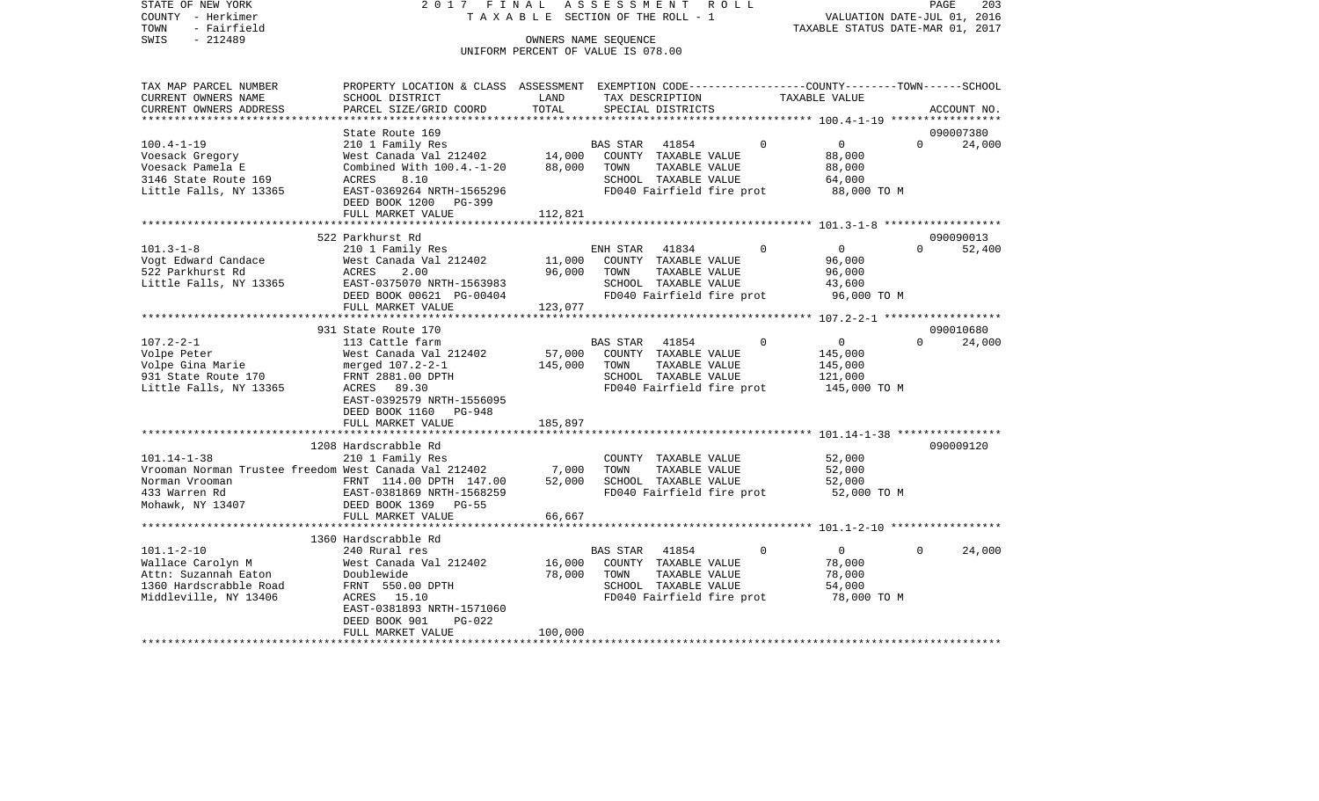STATE OF NEW YORK 2 0 1 7 F I N A L A S S E S S M E N T R O L L PAGE 203COUNTY - Herkimer **T A X A B L E** SECTION OF THE ROLL - 1 VALUATION DATE-JUL 01, 2016 TOWN - Fairfield TAXABLE STATUS DATE-MAR 01, 2017 SWIS - 212489 CONNERS NAME SEQUENCE UNIFORM PERCENT OF VALUE IS 078.00TAX MAP PARCEL NUMBER PROPERTY LOCATION & CLASS ASSESSMENT EXEMPTION CODE------------------COUNTY--------TOWN------SCHOOL CURRENT OWNERS NAME SCHOOL DISTRICT LAND TAX DESCRIPTION TAXABLE VALUECURRENT OWNERS ADDRESS PARCEL SIZE/GRID COORD TOTAL SPECIAL DISTRICTS ACCOUNT NO. \*\*\*\*\*\*\*\*\*\*\*\*\*\*\*\*\*\*\*\*\*\*\*\*\*\*\*\*\*\*\*\*\*\*\*\*\*\*\*\*\*\*\*\*\*\*\*\*\*\*\*\*\*\*\*\*\*\*\*\*\*\*\*\*\*\*\*\*\*\*\*\*\*\*\*\*\*\*\*\*\*\*\*\*\*\*\*\*\*\*\*\*\*\*\*\*\*\*\*\*\*\*\* 100.4-1-19 \*\*\*\*\*\*\*\*\*\*\*\*\*\*\*\*\*State Route 169 090007380  $24.000$ 100.4-1-19 210 1 Family Res BAS STAR 41854 0 0 0 Voesack Gregory 68,000 West Canada Val 212402 14,000 COUNTY TAXABLE VALUE 88,000 Voesack Pamela E Combined With 100.4.-1-20 88,000 TOWN TAXABLE VALUE 88,000 3146 State Route 169 ACRES 8.10 SCHOOL TAXABLE VALUE 64,000 Little Falls, NY 13365 EAST-0369264 NRTH-1565296 FD040 Fairfield fire prot 88,000 TO M DEED BOOK 1200 PG-399FULL MARKET VALUE 112,821 \*\*\*\*\*\*\*\*\*\*\*\*\*\*\*\*\*\*\*\*\*\*\*\*\*\*\*\*\*\*\*\*\*\*\*\*\*\*\*\*\*\*\*\*\*\*\*\*\*\*\*\*\*\*\*\*\*\*\*\*\*\*\*\*\*\*\*\*\*\*\*\*\*\*\*\*\*\*\*\*\*\*\*\*\*\*\*\*\*\*\*\*\*\*\*\*\*\*\*\*\*\*\* 101.3-1-8 \*\*\*\*\*\*\*\*\*\*\*\*\*\*\*\*\*\* 522 Parkhurst Rd 09009001352.400 101.3-1-8 210 1 Family Res ENH STAR 41834 0 0 0 0 Vogt Edward Candace West Canada Val 212402 11,000 COUNTY TAXABLE VALUE 96,000 522 Parkhurst Rd ACRES 2.00 96,000 TOWN TAXABLE VALUE 96,000 Little Falls, NY 13365 EAST-0375070 NRTH-1563983 SCHOOL TAXABLE VALUE 43,600 DEED BOOK 00621 PG-00404 FD040 Fairfield fire prot 96,000 TO M FULL MARKET VALUE 123,077 \*\*\*\*\*\*\*\*\*\*\*\*\*\*\*\*\*\*\*\*\*\*\*\*\*\*\*\*\*\*\*\*\*\*\*\*\*\*\*\*\*\*\*\*\*\*\*\*\*\*\*\*\*\*\*\*\*\*\*\*\*\*\*\*\*\*\*\*\*\*\*\*\*\*\*\*\*\*\*\*\*\*\*\*\*\*\*\*\*\*\*\*\*\*\*\*\*\*\*\*\*\*\* 107.2-2-1 \*\*\*\*\*\*\*\*\*\*\*\*\*\*\*\*\*\*931 State Route 170 090010680 107.2-2-1 113 Cattle farm BAS STAR 41854 0 0 0 24,000 Volpe Peter West Canada Val 212402 57,000 COUNTY TAXABLE VALUE 145,000 Volpe Gina Marie merged 107.2-2-1 145,000 TOWN TAXABLE VALUE 145,000 931 State Route 170 FRNT 2881.00 DPTH SCHOOL TAXABLE VALUE 121,000 Little Falls, NY 13365 ACRES 89.30 ACRES FD040 Fairfield fire prot 145,000 TO M EAST-0392579 NRTH-1556095 DEED BOOK 1160 PG-948FULL MARKET VALUE 185,897 \*\*\*\*\*\*\*\*\*\*\*\*\*\*\*\*\*\*\*\*\*\*\*\*\*\*\*\*\*\*\*\*\*\*\*\*\*\*\*\*\*\*\*\*\*\*\*\*\*\*\*\*\*\*\*\*\*\*\*\*\*\*\*\*\*\*\*\*\*\*\*\*\*\*\*\*\*\*\*\*\*\*\*\*\*\*\*\*\*\*\*\*\*\*\*\*\*\*\*\*\*\*\* 101.14-1-38 \*\*\*\*\*\*\*\*\*\*\*\*\*\*\*\* 1208 Hardscrabble Rd 090009120101.14-1-38 210 1 Family Res COUNTY TAXABLE VALUE 52,000 Vrooman Norman Trustee freedom West Canada Val 212402 7,000 TOWN TAXABLE VALUE 52,000 Norman Vrooman FRNT 114.00 DPTH 147.00 52,000 SCHOOL TAXABLE VALUE 52,000 433 Warren Rd EAST-0381869 NRTH-1568259 FD040 Fairfield fire prot 52,000 TO M Mohawk, NY 13407 DEED BOOK 1369 PG-55 FULL MARKET VALUE 66,667 \*\*\*\*\*\*\*\*\*\*\*\*\*\*\*\*\*\*\*\*\*\*\*\*\*\*\*\*\*\*\*\*\*\*\*\*\*\*\*\*\*\*\*\*\*\*\*\*\*\*\*\*\*\*\*\*\*\*\*\*\*\*\*\*\*\*\*\*\*\*\*\*\*\*\*\*\*\*\*\*\*\*\*\*\*\*\*\*\*\*\*\*\*\*\*\*\*\*\*\*\*\*\* 101.1-2-10 \*\*\*\*\*\*\*\*\*\*\*\*\*\*\*\*\* 1360 Hardscrabble Rd101.1-2-10 240 Rural res BAS STAR 41854 0 0 0 24,000 Wallace Carolyn M West Canada Val 212402 16,000 COUNTY TAXABLE VALUE 78,000 Attn: Suzannah Eaton Doublewide 78,000 TOWN TAXABLE VALUE 78,000 1360 Hardscrabble Road FRNT 550.00 DPTH SCHOOL TAXABLE VALUE 54,000 Middleville, NY 13406 ACRES 15.10 FD040 Fairfield fire prot 78,000 TO M EAST-0381893 NRTH-1571060 DEED BOOK 901 PG-022FULL MARKET VALUE 100,000

\*\*\*\*\*\*\*\*\*\*\*\*\*\*\*\*\*\*\*\*\*\*\*\*\*\*\*\*\*\*\*\*\*\*\*\*\*\*\*\*\*\*\*\*\*\*\*\*\*\*\*\*\*\*\*\*\*\*\*\*\*\*\*\*\*\*\*\*\*\*\*\*\*\*\*\*\*\*\*\*\*\*\*\*\*\*\*\*\*\*\*\*\*\*\*\*\*\*\*\*\*\*\*\*\*\*\*\*\*\*\*\*\*\*\*\*\*\*\*\*\*\*\*\*\*\*\*\*\*\*\*\*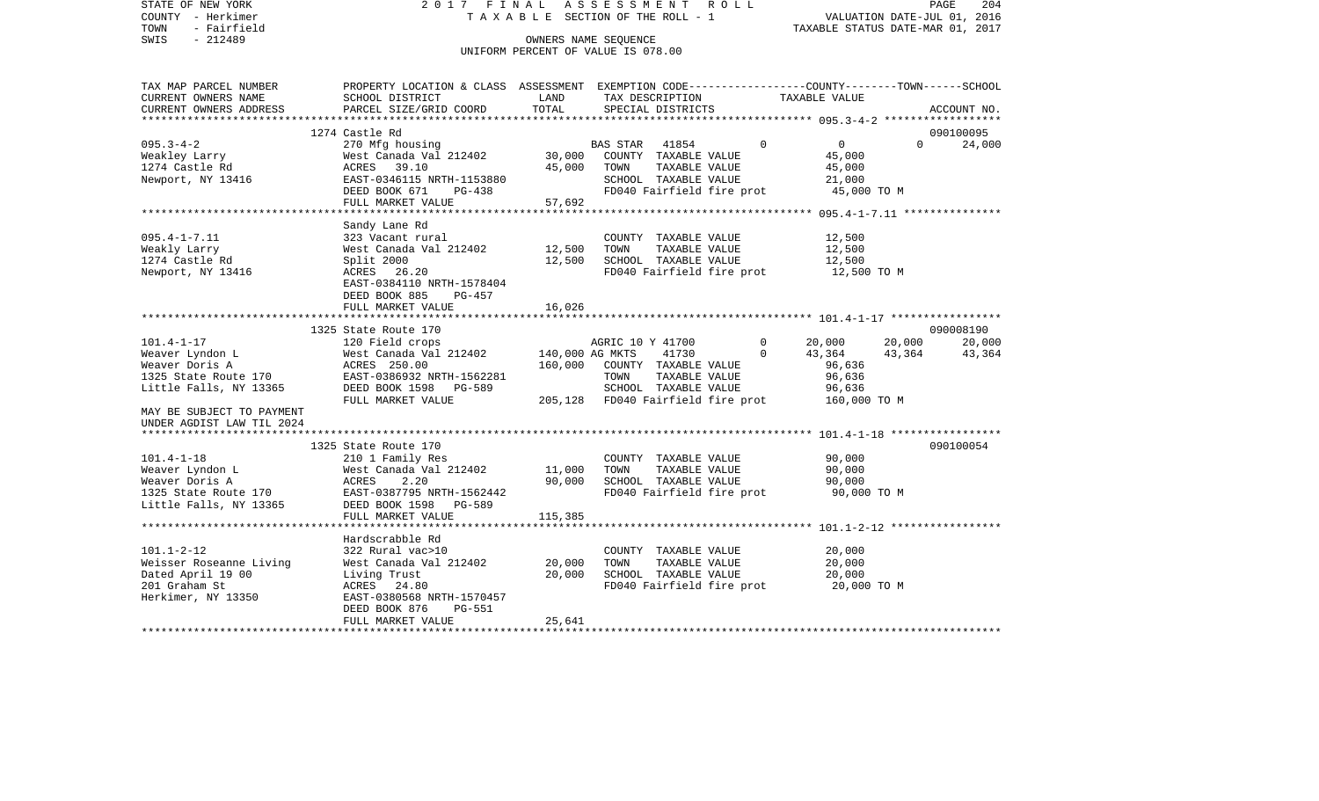| STATE OF NEW YORK<br>COUNTY - Herkimer<br>TOWN<br>- Fairfield | 2017 FINAL                                                                                       | TAXABLE SECTION OF THE ROLL - 1                            | ASSESSMENT ROLL                   |                                       |             | VALUATION DATE-JUL 01, 2016<br>TAXABLE STATUS DATE-MAR 01, 2017 |          | PAGE        | 204 |
|---------------------------------------------------------------|--------------------------------------------------------------------------------------------------|------------------------------------------------------------|-----------------------------------|---------------------------------------|-------------|-----------------------------------------------------------------|----------|-------------|-----|
| SWIS<br>$-212489$                                             |                                                                                                  | OWNERS NAME SEQUENCE<br>UNIFORM PERCENT OF VALUE IS 078.00 |                                   |                                       |             |                                                                 |          |             |     |
| TAX MAP PARCEL NUMBER                                         | PROPERTY LOCATION & CLASS ASSESSMENT EXEMPTION CODE----------------COUNTY-------TOWN------SCHOOL |                                                            |                                   |                                       |             |                                                                 |          |             |     |
| CURRENT OWNERS NAME<br>CURRENT OWNERS ADDRESS                 | SCHOOL DISTRICT<br>PARCEL SIZE/GRID COORD                                                        | LAND<br>TOTAL                                              |                                   | TAX DESCRIPTION<br>SPECIAL DISTRICTS  |             | TAXABLE VALUE                                                   |          | ACCOUNT NO. |     |
|                                                               |                                                                                                  |                                                            |                                   |                                       |             |                                                                 |          |             |     |
|                                                               | 1274 Castle Rd                                                                                   |                                                            |                                   |                                       |             |                                                                 |          | 090100095   |     |
| $095.3 - 4 - 2$                                               | 270 Mfg housing                                                                                  |                                                            | <b>BAS STAR</b>                   | 41854                                 | $\Omega$    | $\overline{0}$                                                  | $\Omega$ | 24,000      |     |
| Weakley Larry                                                 | West Canada Val 212402<br>ACRES 39.10                                                            | 30,000<br>45,000                                           | TOWN                              | COUNTY TAXABLE VALUE<br>TAXABLE VALUE |             | 45,000<br>45,000                                                |          |             |     |
| 1274 Castle Rd<br>Newport, NY 13416                           | EAST-0346115 NRTH-1153880                                                                        |                                                            |                                   | SCHOOL TAXABLE VALUE                  |             | 21,000                                                          |          |             |     |
|                                                               | DEED BOOK 671<br>PG-438                                                                          |                                                            |                                   | FD040 Fairfield fire prot             |             | 45,000 TO M                                                     |          |             |     |
|                                                               | FULL MARKET VALUE                                                                                | 57,692                                                     |                                   |                                       |             |                                                                 |          |             |     |
|                                                               | ************************                                                                         |                                                            |                                   |                                       |             |                                                                 |          |             |     |
|                                                               | Sandy Lane Rd                                                                                    |                                                            |                                   |                                       |             |                                                                 |          |             |     |
| $095.4 - 1 - 7.11$                                            | 323 Vacant rural                                                                                 |                                                            |                                   | COUNTY TAXABLE VALUE                  |             | 12,500                                                          |          |             |     |
| Weakly Larry                                                  | West Canada Val 212402                                                                           | 12,500                                                     | TOWN                              | TAXABLE VALUE                         |             | 12,500                                                          |          |             |     |
| 1274 Castle Rd                                                | Split 2000                                                                                       | 12,500                                                     |                                   | SCHOOL TAXABLE VALUE                  |             | 12,500                                                          |          |             |     |
| Newport, NY 13416                                             | ACRES 26.20<br>EAST-0384110 NRTH-1578404<br>DEED BOOK 885<br>$PG-457$                            |                                                            |                                   |                                       |             | FD040 Fairfield fire prot 12,500 TO M                           |          |             |     |
|                                                               | FULL MARKET VALUE                                                                                | 16,026                                                     |                                   |                                       |             |                                                                 |          |             |     |
|                                                               |                                                                                                  |                                                            |                                   |                                       |             |                                                                 |          |             |     |
|                                                               | 1325 State Route 170                                                                             |                                                            |                                   |                                       |             |                                                                 |          | 090008190   |     |
| $101.4 - 1 - 17$                                              | 120 Field crops                                                                                  |                                                            | AGRIC 10 Y 41700                  |                                       | $\circ$     | 20,000                                                          | 20,000   | 20,000      |     |
| Weaver Lyndon L                                               | West Canada Val 212402                                                                           |                                                            | 140,000 AG MKTS                   | 41730                                 | $\mathbf 0$ | 43,364                                                          | 43,364   | 43,364      |     |
| Weaver Doris A                                                | ACRES 250.00                                                                                     | 160,000                                                    |                                   | COUNTY TAXABLE VALUE                  |             | 96,636                                                          |          |             |     |
| 1325 State Route 170                                          | EAST-0386932 NRTH-1562281                                                                        |                                                            | TOWN                              | TAXABLE VALUE                         |             | 96,636                                                          |          |             |     |
| Little Falls, NY 13365                                        | DEED BOOK 1598 PG-589                                                                            |                                                            |                                   | SCHOOL TAXABLE VALUE                  |             | 96,636                                                          |          |             |     |
|                                                               | FULL MARKET VALUE                                                                                |                                                            | 205,128 FD040 Fairfield fire prot |                                       |             | 160,000 TO M                                                    |          |             |     |
| MAY BE SUBJECT TO PAYMENT                                     |                                                                                                  |                                                            |                                   |                                       |             |                                                                 |          |             |     |
| UNDER AGDIST LAW TIL 2024                                     |                                                                                                  |                                                            |                                   |                                       |             |                                                                 |          |             |     |
|                                                               | 1325 State Route 170                                                                             |                                                            |                                   |                                       |             |                                                                 |          | 090100054   |     |
| $101.4 - 1 - 18$                                              | 210 1 Family Res                                                                                 |                                                            |                                   | COUNTY TAXABLE VALUE                  |             | 90,000                                                          |          |             |     |
| Weaver Lyndon L                                               | West Canada Val 212402                                                                           | 11,000                                                     | TOWN                              | TAXABLE VALUE                         |             | 90,000                                                          |          |             |     |
| Weaver Doris A                                                | ACRES<br>2.20                                                                                    | 90,000                                                     |                                   | SCHOOL TAXABLE VALUE                  |             | 90,000                                                          |          |             |     |
| 1325 State Route 170                                          | EAST-0387795 NRTH-1562442                                                                        |                                                            |                                   | FD040 Fairfield fire prot             |             | 90,000 TO M                                                     |          |             |     |
| Little Falls, NY 13365                                        | DEED BOOK 1598 PG-589                                                                            |                                                            |                                   |                                       |             |                                                                 |          |             |     |
|                                                               | FULL MARKET VALUE                                                                                | 115,385                                                    |                                   |                                       |             |                                                                 |          |             |     |
|                                                               |                                                                                                  |                                                            |                                   |                                       |             |                                                                 |          |             |     |
|                                                               | Hardscrabble Rd                                                                                  |                                                            |                                   |                                       |             |                                                                 |          |             |     |
| $101.1 - 2 - 12$                                              | 322 Rural vac>10                                                                                 |                                                            |                                   | COUNTY TAXABLE VALUE                  |             | 20,000                                                          |          |             |     |
| Weisser Roseanne Living                                       | West Canada Val 212402                                                                           | 20,000                                                     | TOWN                              | TAXABLE VALUE                         |             | 20,000                                                          |          |             |     |
| Dated April 19 00                                             | Living Trust                                                                                     | 20,000                                                     |                                   | SCHOOL TAXABLE VALUE                  |             | 20,000                                                          |          |             |     |
| 201 Graham St                                                 | ACRES 24.80                                                                                      |                                                            |                                   | FD040 Fairfield fire prot             |             | 20,000 TO M                                                     |          |             |     |
| Herkimer, NY 13350                                            | EAST-0380568 NRTH-1570457<br>DEED BOOK 876<br>PG-551                                             |                                                            |                                   |                                       |             |                                                                 |          |             |     |
|                                                               | FULL MARKET VALUE                                                                                | 25,641                                                     |                                   |                                       |             |                                                                 |          |             |     |
|                                                               |                                                                                                  |                                                            |                                   |                                       |             |                                                                 |          |             |     |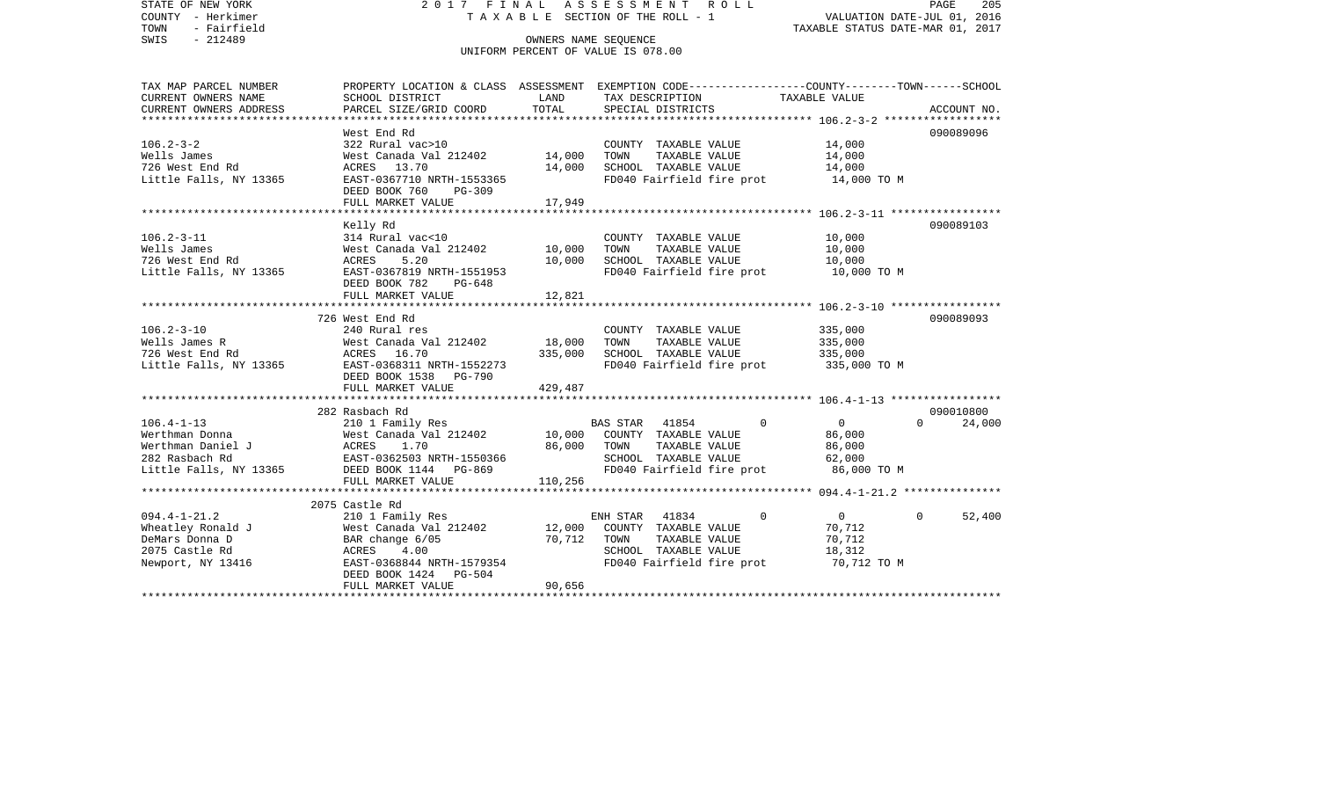STATE OF NEW YORK 2 0 1 7 F I N A L A S S E S S M E N T R O L L PAGE 205COUNTY - Herkimer T A X A B L E SECTION OF THE ROLL - 1 VALUATION DATE-JUL 01, 2016 TOWN - Fairfield TAXABLE STATUS DATE-MAR 01, 2017 SWIS - 212489 CONNERS NAME SEQUENCE UNIFORM PERCENT OF VALUE IS 078.00TAX MAP PARCEL NUMBER PROPERTY LOCATION & CLASS ASSESSMENT EXEMPTION CODE------------------COUNTY--------TOWN------SCHOOL CURRENT OWNERS NAME SCHOOL DISTRICT LAND TAX DESCRIPTION TAXABLE VALUECURRENT OWNERS ADDRESS PARCEL SIZE/GRID COORD TOTAL SPECIAL DISTRICTS ACCOUNT NO. \*\*\*\*\*\*\*\*\*\*\*\*\*\*\*\*\*\*\*\*\*\*\*\*\*\*\*\*\*\*\*\*\*\*\*\*\*\*\*\*\*\*\*\*\*\*\*\*\*\*\*\*\*\*\*\*\*\*\*\*\*\*\*\*\*\*\*\*\*\*\*\*\*\*\*\*\*\*\*\*\*\*\*\*\*\*\*\*\*\*\*\*\*\*\*\*\*\*\*\*\*\*\* 106.2-3-2 \*\*\*\*\*\*\*\*\*\*\*\*\*\*\*\*\*\*West End Rd 090089096 106.2-3-2 322 Rural vac>10 COUNTY TAXABLE VALUE 14,000 Wells James West Canada Val 212402 14,000 TOWN TAXABLE VALUE 14,000 726 West End Rd ACRES 13.70 14,000 SCHOOL TAXABLE VALUE 14,000 Little Falls, NY 13365 EAST-0367710 NRTH-1553365 FD040 Fairfield fire prot 14,000 TO M DEED BOOK 760 PG-309FULL MARKET VALUE 17,949 \*\*\*\*\*\*\*\*\*\*\*\*\*\*\*\*\*\*\*\*\*\*\*\*\*\*\*\*\*\*\*\*\*\*\*\*\*\*\*\*\*\*\*\*\*\*\*\*\*\*\*\*\*\*\*\*\*\*\*\*\*\*\*\*\*\*\*\*\*\*\*\*\*\*\*\*\*\*\*\*\*\*\*\*\*\*\*\*\*\*\*\*\*\*\*\*\*\*\*\*\*\*\* 106.2-3-11 \*\*\*\*\*\*\*\*\*\*\*\*\*\*\*\*\* Kelly Rd 090089103 106.2-3-11 314 Rural vac<10 COUNTY TAXABLE VALUE 10,000 Wells James West Canada Val 212402 10,000 TOWN TAXABLE VALUE 10,000 726 West End Rd ACRES 5.20 10,000 SCHOOL TAXABLE VALUE 10,000 Little Falls, NY 13365 EAST-0367819 NRTH-1551953 FD040 Fairfield fire prot 10,000 TO M DEED BOOK 782 PG-648FULL MARKET VALUE 12,821 \*\*\*\*\*\*\*\*\*\*\*\*\*\*\*\*\*\*\*\*\*\*\*\*\*\*\*\*\*\*\*\*\*\*\*\*\*\*\*\*\*\*\*\*\*\*\*\*\*\*\*\*\*\*\*\*\*\*\*\*\*\*\*\*\*\*\*\*\*\*\*\*\*\*\*\*\*\*\*\*\*\*\*\*\*\*\*\*\*\*\*\*\*\*\*\*\*\*\*\*\*\*\* 106.2-3-10 \*\*\*\*\*\*\*\*\*\*\*\*\*\*\*\*\* 726 West End Rd 090089093106.2-3-10 240 Rural res COUNTY TAXABLE VALUE 335,000 Wells James R West Canada Val 212402 18,000 TOWN TAXABLE VALUE 335,000 726 West End Rd ACRES 16.70 335,000 SCHOOL TAXABLE VALUE 335,000 Little Falls, NY 13365 EAST-0368311 NRTH-1552273 FD040 Fairfield fire prot 335,000 TO M DEED BOOK 1538 PG-790FULL MARKET VALUE 429,487 \*\*\*\*\*\*\*\*\*\*\*\*\*\*\*\*\*\*\*\*\*\*\*\*\*\*\*\*\*\*\*\*\*\*\*\*\*\*\*\*\*\*\*\*\*\*\*\*\*\*\*\*\*\*\*\*\*\*\*\*\*\*\*\*\*\*\*\*\*\*\*\*\*\*\*\*\*\*\*\*\*\*\*\*\*\*\*\*\*\*\*\*\*\*\*\*\*\*\*\*\*\*\* 106.4-1-13 \*\*\*\*\*\*\*\*\*\*\*\*\*\*\*\*\* 282 Rasbach Rd 090010800106.4-1-13 210 1 Family Res BAS STAR 41854 0 0 0 24,000 Werthman Donna West Canada Val 212402 10,000 COUNTY TAXABLE VALUE 86,000 Werthman Daniel J ACRES 1.70 86,000 TOWN TAXABLE VALUE 86,000 282 Rasbach Rd EAST-0362503 NRTH-1550366 SCHOOL TAXABLE VALUE 62,000 Little Falls, NY 13365 DEED BOOK 1144 PG-869 FD040 Fairfield fire prot 86,000 TO M FULL MARKET VALUE 110,256 \*\*\*\*\*\*\*\*\*\*\*\*\*\*\*\*\*\*\*\*\*\*\*\*\*\*\*\*\*\*\*\*\*\*\*\*\*\*\*\*\*\*\*\*\*\*\*\*\*\*\*\*\*\*\*\*\*\*\*\*\*\*\*\*\*\*\*\*\*\*\*\*\*\*\*\*\*\*\*\*\*\*\*\*\*\*\*\*\*\*\*\*\*\*\*\*\*\*\*\*\*\*\* 094.4-1-21.2 \*\*\*\*\*\*\*\*\*\*\*\*\*\*\* 2075 Castle Rd094.4-1-21.2 210 1 Family Res ENH STAR 41834 0 0 0 52,400 Wheatley Ronald J West Canada Val 212402 12,000 COUNTY TAXABLE VALUE 70,712 DeMars Donna D BAR change 6/05 70,712 TOWN TAXABLE VALUE 70,712 SCHOOL TAXABLE VALUE Newport, NY 13416 EAST-0368844 NRTH-1579354 FD040 Fairfield fire prot 70,712 TO M DEED BOOK 1424 PG-504 FULL MARKET VALUE 90,656 \*\*\*\*\*\*\*\*\*\*\*\*\*\*\*\*\*\*\*\*\*\*\*\*\*\*\*\*\*\*\*\*\*\*\*\*\*\*\*\*\*\*\*\*\*\*\*\*\*\*\*\*\*\*\*\*\*\*\*\*\*\*\*\*\*\*\*\*\*\*\*\*\*\*\*\*\*\*\*\*\*\*\*\*\*\*\*\*\*\*\*\*\*\*\*\*\*\*\*\*\*\*\*\*\*\*\*\*\*\*\*\*\*\*\*\*\*\*\*\*\*\*\*\*\*\*\*\*\*\*\*\*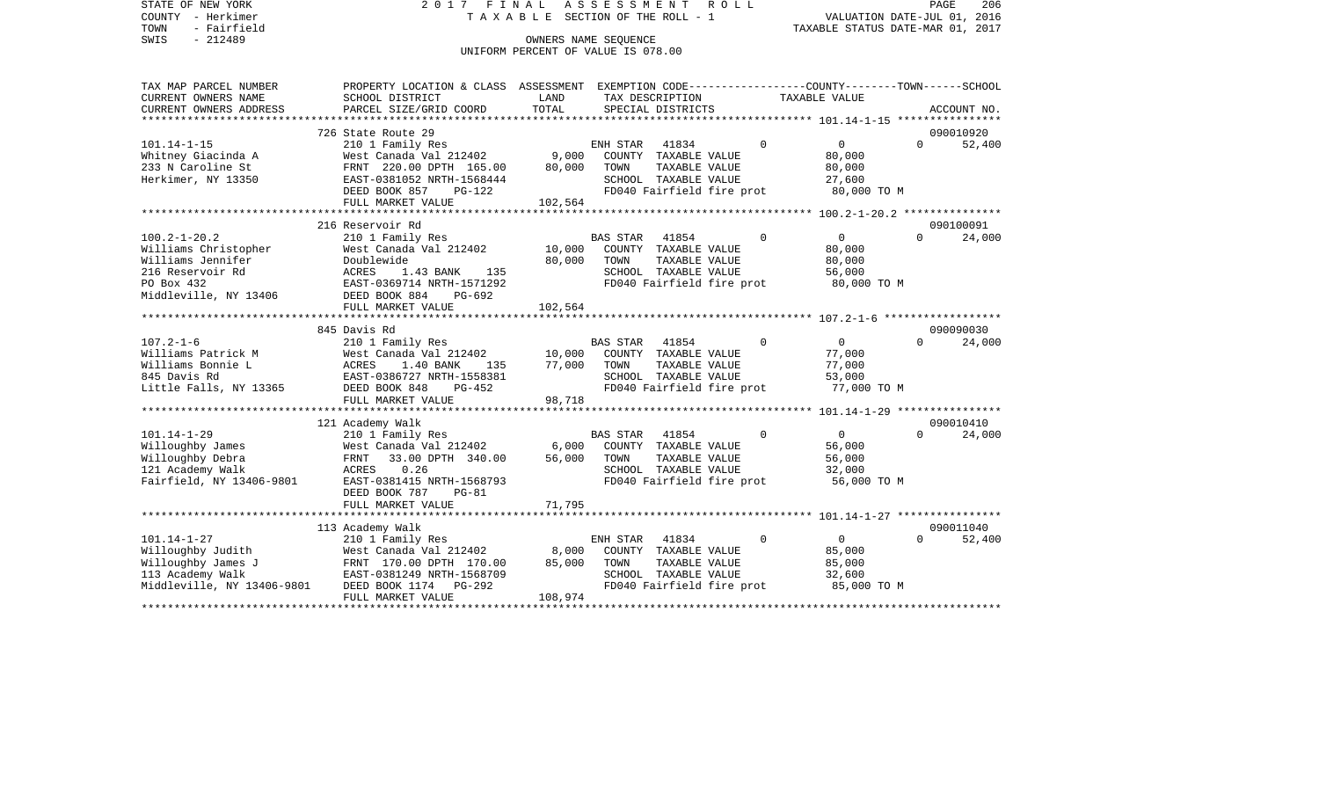STATE OF NEW YORK 2 0 1 7 F I N A L A S S E S S M E N T R O L L PAGE 206COUNTY - Herkimer **T A X A B L E** SECTION OF THE ROLL - 1 VALUATION DATE-JUL 01, 2016 TOWN - Fairfield TAXABLE STATUS DATE-MAR 01, 2017 SWIS - 212489 CONNERS NAME SEQUENCE UNIFORM PERCENT OF VALUE IS 078.00

TAX MAP PARCEL NUMBER PROPERTY LOCATION & CLASS ASSESSMENT EXEMPTION CODE------------------COUNTY--------TOWN------SCHOOL CURRENT OWNERS NAME SCHOOL DISTRICT LAND TAX DESCRIPTION TAXABLE VALUECURRENT OWNERS ADDRESS PARCEL SIZE/GRID COORD TOTAL SPECIAL DISTRICTS ACCOUNT NO. \*\*\*\*\*\*\*\*\*\*\*\*\*\*\*\*\*\*\*\*\*\*\*\*\*\*\*\*\*\*\*\*\*\*\*\*\*\*\*\*\*\*\*\*\*\*\*\*\*\*\*\*\*\*\*\*\*\*\*\*\*\*\*\*\*\*\*\*\*\*\*\*\*\*\*\*\*\*\*\*\*\*\*\*\*\*\*\*\*\*\*\*\*\*\*\*\*\*\*\*\*\*\* 101.14-1-15 \*\*\*\*\*\*\*\*\*\*\*\*\*\*\*\* 726 State Route 29 090010920101.14-1-15 210 1 Family Res ENH STAR 41834 0 0 0 52,400 Whitney Giacinda A 60,000 West Canada Val 212402 9,000 COUNTY TAXABLE VALUE 80,000 233 N Caroline St FRNT 220.00 DPTH 165.00 80,000 TOWN TAXABLE VALUE 80,000 Herkimer, NY 13350 EAST-0381052 NRTH-1568444 SCHOOL TAXABLE VALUE 27,600 DEED BOOK 857 PG-122 FD040 Fairfield fire prot 80,000 TO M FULL MARKET VALUE 102,564 \*\*\*\*\*\*\*\*\*\*\*\*\*\*\*\*\*\*\*\*\*\*\*\*\*\*\*\*\*\*\*\*\*\*\*\*\*\*\*\*\*\*\*\*\*\*\*\*\*\*\*\*\*\*\*\*\*\*\*\*\*\*\*\*\*\*\*\*\*\*\*\*\*\*\*\*\*\*\*\*\*\*\*\*\*\*\*\*\*\*\*\*\*\*\*\*\*\*\*\*\*\*\* 100.2-1-20.2 \*\*\*\*\*\*\*\*\*\*\*\*\*\*\* 216 Reservoir Rd 090100091100.2-1-20.2 210 1 Family Res BAS STAR 41854 0 0 0 24,000 Williams Christopher **West Canada Val 212402** 10,000 COUNTY TAXABLE VALUE 80,000 Williams Jennifer Doublewide 80,000 TOWN TAXABLE VALUE 80,000 216 Reservoir Rd ACRES 1.43 BANK 135 SCHOOL TAXABLE VALUE 56,000 PO Box 432 EAST-0369714 NRTH-1571292 FD040 Fairfield fire prot 80,000 TO M Middleville, NY 13406 DEED BOOK 884 PG-692 FULL MARKET VALUE 102,564 \*\*\*\*\*\*\*\*\*\*\*\*\*\*\*\*\*\*\*\*\*\*\*\*\*\*\*\*\*\*\*\*\*\*\*\*\*\*\*\*\*\*\*\*\*\*\*\*\*\*\*\*\*\*\*\*\*\*\*\*\*\*\*\*\*\*\*\*\*\*\*\*\*\*\*\*\*\*\*\*\*\*\*\*\*\*\*\*\*\*\*\*\*\*\*\*\*\*\*\*\*\*\* 107.2-1-6 \*\*\*\*\*\*\*\*\*\*\*\*\*\*\*\*\*\* 845 Davis Rd 090090030107.2-1-6 210 1 Family Res BAS STAR 41854 0 0 0 24,000 Williams Patrick M West Canada Val 212402 10,000 COUNTY TAXABLE VALUE 77,000 Williams Bonnie L **ACRES** 1.40 BANK 135 77,000 TOWN TAXABLE VALUE 77,000 845 Davis Rd EAST-0386727 NRTH-1558381 SCHOOL TAXABLE VALUE 53,000 Little Falls, NY 13365 DEED BOOK 848 PG-452 FD040 Fairfield fire prot 77,000 TO M FULL MARKET VALUE 98,718 \*\*\*\*\*\*\*\*\*\*\*\*\*\*\*\*\*\*\*\*\*\*\*\*\*\*\*\*\*\*\*\*\*\*\*\*\*\*\*\*\*\*\*\*\*\*\*\*\*\*\*\*\*\*\*\*\*\*\*\*\*\*\*\*\*\*\*\*\*\*\*\*\*\*\*\*\*\*\*\*\*\*\*\*\*\*\*\*\*\*\*\*\*\*\*\*\*\*\*\*\*\*\* 101.14-1-29 \*\*\*\*\*\*\*\*\*\*\*\*\*\*\*\* 121 Academy Walk 090010410 101.14-1-29 210 1 Family Res BAS STAR 41854 0 0 0 24,000 Willoughby James 6,000 West Canada Val 212402 6,000 COUNTY TAXABLE VALUE 56,000 Willoughby Debra FRNT 33.00 DPTH 340.00 56,000 TOWN TAXABLE VALUE 56,000 121 Academy Walk  $ACRES$  0.26 SCHOOL TAXABLE VALUE 32,000 Fairfield, NY 13406-9801 EAST-0381415 NRTH-1568793 FD040 Fairfield fire prot 56,000 TO M DEED BOOK 787 PG-81FULL MARKET VALUE 71,795 \*\*\*\*\*\*\*\*\*\*\*\*\*\*\*\*\*\*\*\*\*\*\*\*\*\*\*\*\*\*\*\*\*\*\*\*\*\*\*\*\*\*\*\*\*\*\*\*\*\*\*\*\*\*\*\*\*\*\*\*\*\*\*\*\*\*\*\*\*\*\*\*\*\*\*\*\*\*\*\*\*\*\*\*\*\*\*\*\*\*\*\*\*\*\*\*\*\*\*\*\*\*\* 101.14-1-27 \*\*\*\*\*\*\*\*\*\*\*\*\*\*\*\* 113 Academy Walk 090011040 101.14-1-27 210 1 Family Res ENH STAR 41834 0 0 0 52,400 Willoughby Judith West Canada Val 212402 8,000 COUNTY TAXABLE VALUE 85,000 Willoughby James J FRNT 170.00 DPTH 170.00 85,000 TOWN TAXABLE VALUE 113 Academy Walk EAST-0381249 NRTH-1568709 SCHOOL TAXABLE VALUE 32,600 Middleville, NY 13406-9801 DEED BOOK 1174 PG-292 FD040 Fairfield fire prot 85,000 TO M FULL MARKET VALUE 108,974 \*\*\*\*\*\*\*\*\*\*\*\*\*\*\*\*\*\*\*\*\*\*\*\*\*\*\*\*\*\*\*\*\*\*\*\*\*\*\*\*\*\*\*\*\*\*\*\*\*\*\*\*\*\*\*\*\*\*\*\*\*\*\*\*\*\*\*\*\*\*\*\*\*\*\*\*\*\*\*\*\*\*\*\*\*\*\*\*\*\*\*\*\*\*\*\*\*\*\*\*\*\*\*\*\*\*\*\*\*\*\*\*\*\*\*\*\*\*\*\*\*\*\*\*\*\*\*\*\*\*\*\*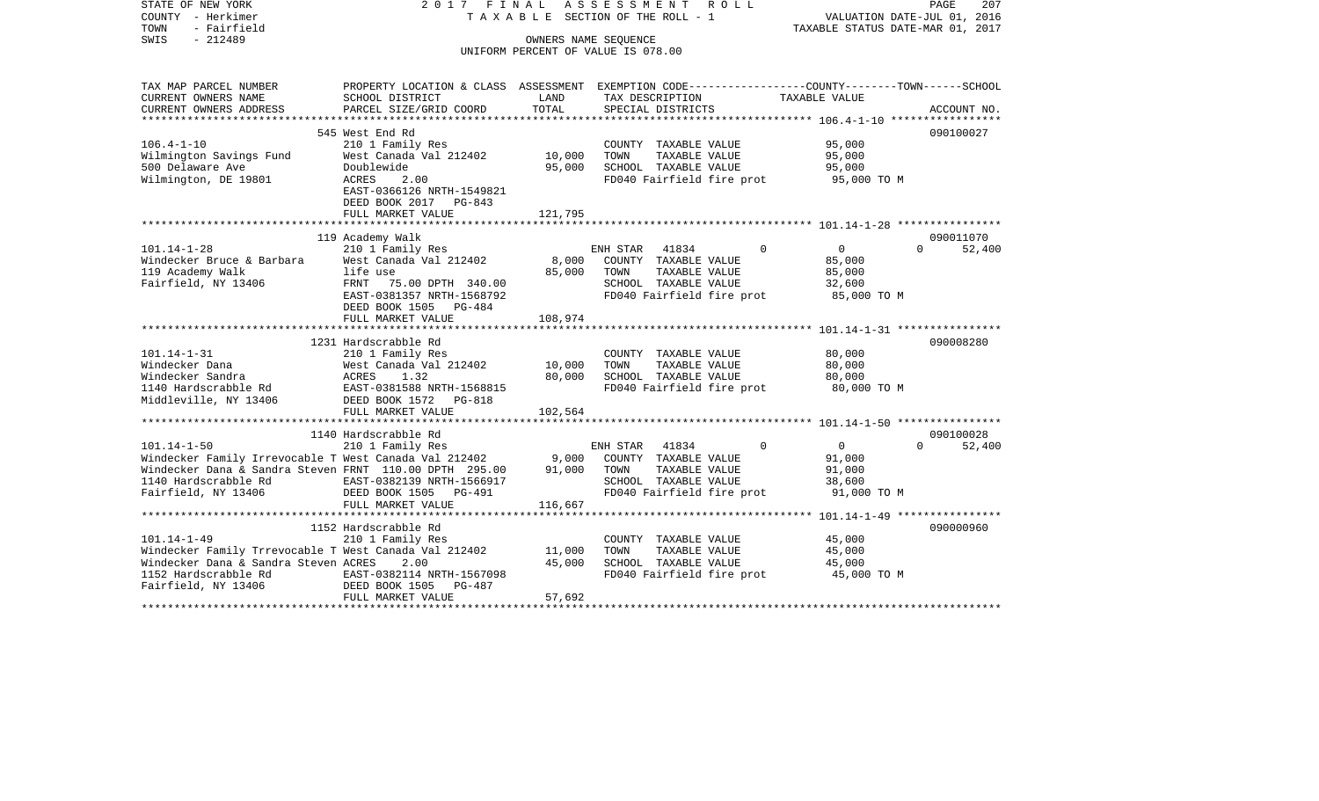COUNTY - Herkimer T A X A B L E SECTION OF THE ROLL - 1 VALUATION DATE-JUL 01, 2016 TOWN - Fairfield TAXABLE STATUS DATE-MAR 01, 2017 SWIS - 212489 CONNERS NAME SEQUENCE UNIFORM PERCENT OF VALUE IS 078.00TAX MAP PARCEL NUMBER PROPERTY LOCATION & CLASS ASSESSMENT EXEMPTION CODE------------------COUNTY--------TOWN------SCHOOL CURRENT OWNERS NAME SCHOOL DISTRICT LAND TAX DESCRIPTION TAXABLE VALUECURRENT OWNERS ADDRESS PARCEL SIZE/GRID COORD TOTAL SPECIAL DISTRICTS ACCOUNT NO. \*\*\*\*\*\*\*\*\*\*\*\*\*\*\*\*\*\*\*\*\*\*\*\*\*\*\*\*\*\*\*\*\*\*\*\*\*\*\*\*\*\*\*\*\*\*\*\*\*\*\*\*\*\*\*\*\*\*\*\*\*\*\*\*\*\*\*\*\*\*\*\*\*\*\*\*\*\*\*\*\*\*\*\*\*\*\*\*\*\*\*\*\*\*\*\*\*\*\*\*\*\*\* 106.4-1-10 \*\*\*\*\*\*\*\*\*\*\*\*\*\*\*\*\* 545 West End Rd 090100027106.4-1-10 210 1 Family Res COUNTY TAXABLE VALUE 95,000 Wilmington Savings Fund West Canada Val 212402 10,000 TOWN TAXABLE VALUE 95,000 500 Delaware Ave Doublewide 95,000 SCHOOL TAXABLE VALUE 95,000 Wilmington, DE 19801 ACRES 2.00 FD040 Fairfield fire prot 95,000 TO M EAST-0366126 NRTH-1549821 DEED BOOK 2017 PG-843FULL MARKET VALUE 121,795 \*\*\*\*\*\*\*\*\*\*\*\*\*\*\*\*\*\*\*\*\*\*\*\*\*\*\*\*\*\*\*\*\*\*\*\*\*\*\*\*\*\*\*\*\*\*\*\*\*\*\*\*\*\*\*\*\*\*\*\*\*\*\*\*\*\*\*\*\*\*\*\*\*\*\*\*\*\*\*\*\*\*\*\*\*\*\*\*\*\*\*\*\*\*\*\*\*\*\*\*\*\*\* 101.14-1-28 \*\*\*\*\*\*\*\*\*\*\*\*\*\*\*\* 119 Academy Walk 090011070 101.14-1-28 210 1 Family Res ENH STAR 41834 0 0 0 0 Windecker Bruce & Barbara Mest Canada Val 212402 8,000 COUNTY TAXABLE VALUE 85,000 119 Academy Walk life use 85,000 TOWN TAXABLE VALUE 85,000 Fairfield, NY 13406 FRNT 75.00 DPTH 340.00 SCHOOL TAXABLE VALUE 32,600 EAST-0381357 NRTH-1568792 FD040 Fairfield fire prot 85,000 TO M DEED BOOK 1505 PG-484 FULL MARKET VALUE 108,974 \*\*\*\*\*\*\*\*\*\*\*\*\*\*\*\*\*\*\*\*\*\*\*\*\*\*\*\*\*\*\*\*\*\*\*\*\*\*\*\*\*\*\*\*\*\*\*\*\*\*\*\*\*\*\*\*\*\*\*\*\*\*\*\*\*\*\*\*\*\*\*\*\*\*\*\*\*\*\*\*\*\*\*\*\*\*\*\*\*\*\*\*\*\*\*\*\*\*\*\*\*\*\* 101.14-1-31 \*\*\*\*\*\*\*\*\*\*\*\*\*\*\*\* 1231 Hardscrabble Rd 090008280101.14-1-31 210 1 Family Res COUNTY TAXABLE VALUE 80,000 Windecker Dana West Canada Val 212402 10,000 TOWN TAXABLE VALUE 80,000 Windecker Sandra ACRES 1.32 80,000 SCHOOL TAXABLE VALUE 80,000 1140 Hardscrabble Rd EAST-0381588 NRTH-1568815 FD040 Fairfield fire prot 80,000 TO M Middleville, NY 13406 DEED BOOK 1572 PG-818 FULL MARKET VALUE 102,564 \*\*\*\*\*\*\*\*\*\*\*\*\*\*\*\*\*\*\*\*\*\*\*\*\*\*\*\*\*\*\*\*\*\*\*\*\*\*\*\*\*\*\*\*\*\*\*\*\*\*\*\*\*\*\*\*\*\*\*\*\*\*\*\*\*\*\*\*\*\*\*\*\*\*\*\*\*\*\*\*\*\*\*\*\*\*\*\*\*\*\*\*\*\*\*\*\*\*\*\*\*\*\* 101.14-1-50 \*\*\*\*\*\*\*\*\*\*\*\*\*\*\*\* 1140 Hardscrabble Rd 090100028101.14-1-50 210 1 Family Res ENH STAR 41834 0 0 0 52,400 Windecker Family Irrevocable T West Canada Val 212402 9,000 COUNTY TAXABLE VALUE 91,000 Windecker Dana & Sandra Steven FRNT 110.00 DPTH 295.00 91.000 TOWN TAXABLE VALUE 91.000 1140 Hardscrabble Rd EAST-0382139 NRTH-1566917 SCHOOL TAXABLE VALUE 38,600 Fairfield, NY 13406 **DEED BOOK 1505** PG-491 **FD040** Fairfield fire prot 91,000 TO M FULL MARKET VALUE 116,667 \*\*\*\*\*\*\*\*\*\*\*\*\*\*\*\*\*\*\*\*\*\*\*\*\*\*\*\*\*\*\*\*\*\*\*\*\*\*\*\*\*\*\*\*\*\*\*\*\*\*\*\*\*\*\*\*\*\*\*\*\*\*\*\*\*\*\*\*\*\*\*\*\*\*\*\*\*\*\*\*\*\*\*\*\*\*\*\*\*\*\*\*\*\*\*\*\*\*\*\*\*\*\* 101.14-1-49 \*\*\*\*\*\*\*\*\*\*\*\*\*\*\*\* 1152 Hardscrabble Rd 090000960101.14-1-49 210 1 Family Res COUNTY TAXABLE VALUE 45,000 Windecker Family Trrevocable T West Canada Val 212402 Windecker Dana & Sandra Steven ACRES 2.00 45,000 SCHOOL TAXABLE VALUE 45,000 1152 Hardscrabble Rd EAST-0382114 NRTH-1567098 FD040 Fairfield fire prot 45,000 TO M Fairfield, NY 13406 DEED BOOK 1505 PG-487 FULL MARKET VALUE 57,692 \*\*\*\*\*\*\*\*\*\*\*\*\*\*\*\*\*\*\*\*\*\*\*\*\*\*\*\*\*\*\*\*\*\*\*\*\*\*\*\*\*\*\*\*\*\*\*\*\*\*\*\*\*\*\*\*\*\*\*\*\*\*\*\*\*\*\*\*\*\*\*\*\*\*\*\*\*\*\*\*\*\*\*\*\*\*\*\*\*\*\*\*\*\*\*\*\*\*\*\*\*\*\*\*\*\*\*\*\*\*\*\*\*\*\*\*\*\*\*\*\*\*\*\*\*\*\*\*\*\*\*\*

STATE OF NEW YORK 2 0 1 7 F I N A L A S S E S S M E N T R O L L PAGE 207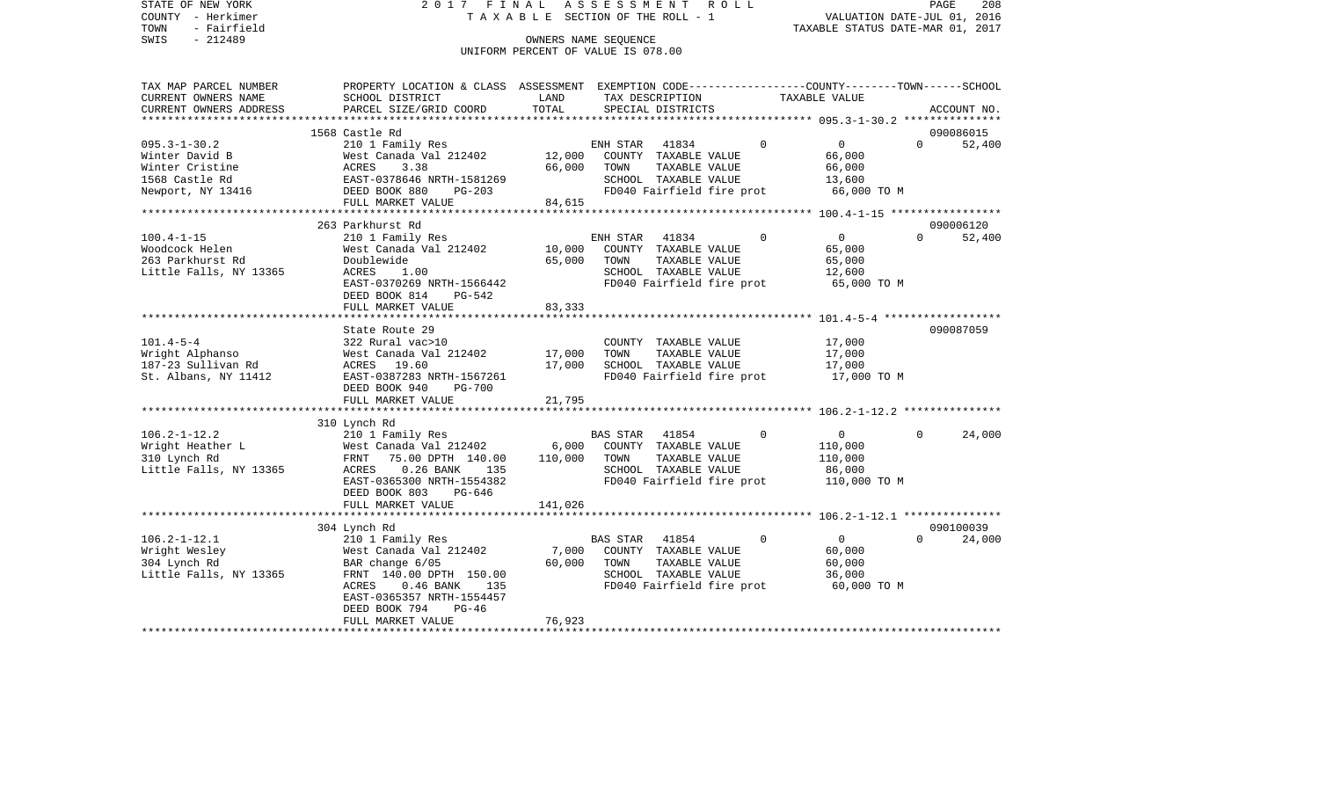| STATE OF NEW YORK<br>COUNTY - Herkimer<br>TOWN<br>- Fairfield<br>$-212489$<br>SWIS | 2017 FINAL                                                                                     | TAXABLE SECTION OF THE ROLL - 1<br>OWNERS NAME SEQUENCE | ASSESSMENT                 |                                       | R O L L                   | VALUATION DATE-JUL 01, 2016<br>TAXABLE STATUS DATE-MAR 01, 2017 |          | PAGE<br>208 |
|------------------------------------------------------------------------------------|------------------------------------------------------------------------------------------------|---------------------------------------------------------|----------------------------|---------------------------------------|---------------------------|-----------------------------------------------------------------|----------|-------------|
|                                                                                    |                                                                                                | UNIFORM PERCENT OF VALUE IS 078.00                      |                            |                                       |                           |                                                                 |          |             |
|                                                                                    |                                                                                                |                                                         |                            |                                       |                           |                                                                 |          |             |
| TAX MAP PARCEL NUMBER                                                              | PROPERTY LOCATION & CLASS ASSESSMENT EXEMPTION CODE---------------COUNTY-------TOWN-----SCHOOL | LAND                                                    |                            |                                       |                           | TAXABLE VALUE                                                   |          |             |
| CURRENT OWNERS NAME<br>CURRENT OWNERS ADDRESS                                      | SCHOOL DISTRICT<br>PARCEL SIZE/GRID COORD                                                      | TOTAL                                                   |                            | SPECIAL DISTRICTS                     | TAX DESCRIPTION           |                                                                 |          | ACCOUNT NO. |
| ***********************                                                            |                                                                                                |                                                         |                            |                                       |                           |                                                                 |          |             |
|                                                                                    | 1568 Castle Rd                                                                                 |                                                         |                            |                                       |                           |                                                                 |          | 090086015   |
| $095.3 - 1 - 30.2$                                                                 | 210 1 Family Res<br>West Canada Val 212402                                                     |                                                         | ENH STAR                   | 41834                                 | $\Omega$                  | $\overline{0}$<br>66,000                                        | $\Omega$ | 52,400      |
| Winter David B                                                                     | 3.38                                                                                           | 12,000<br>66,000                                        | TOWN                       | COUNTY TAXABLE VALUE<br>TAXABLE VALUE |                           | 66,000                                                          |          |             |
|                                                                                    | EAST-0378646 NRTH-1581269                                                                      |                                                         |                            | SCHOOL TAXABLE VALUE                  |                           | 13,600                                                          |          |             |
|                                                                                    | DEED BOOK 880<br>PG-203                                                                        |                                                         |                            |                                       | FD040 Fairfield fire prot | 66,000 TO M                                                     |          |             |
|                                                                                    | FULL MARKET VALUE                                                                              | 84,615                                                  |                            |                                       |                           |                                                                 |          |             |
|                                                                                    |                                                                                                |                                                         |                            |                                       |                           |                                                                 |          |             |
|                                                                                    | 263 Parkhurst Rd                                                                               |                                                         |                            |                                       |                           |                                                                 |          | 090006120   |
| $100.4 - 1 - 15$                                                                   | 210 1 Family Res                                                                               |                                                         | ENH STAR                   | 41834                                 | $\Omega$                  | $\overline{0}$                                                  | $\Omega$ | 52,400      |
| Woodcock Helen                                                                     | West Canada Val 212402                                                                         | 10,000                                                  |                            | COUNTY TAXABLE VALUE                  |                           | 65,000                                                          |          |             |
| 263 Parkhurst Rd                                                                   | Doublewide                                                                                     | 65,000                                                  | TOWN                       | TAXABLE VALUE                         |                           | 65,000                                                          |          |             |
| Little Falls, NY 13365                                                             | ACRES<br>1.00                                                                                  |                                                         |                            | SCHOOL TAXABLE VALUE                  |                           | 12,600                                                          |          |             |
|                                                                                    | EAST-0370269 NRTH-1566442                                                                      |                                                         |                            |                                       | FD040 Fairfield fire prot | 65,000 TO M                                                     |          |             |
|                                                                                    | DEED BOOK 814<br>PG-542                                                                        |                                                         |                            |                                       |                           |                                                                 |          |             |
|                                                                                    | FULL MARKET VALUE                                                                              | 83,333                                                  |                            |                                       |                           |                                                                 |          |             |
|                                                                                    | State Route 29                                                                                 |                                                         |                            |                                       |                           |                                                                 |          | 090087059   |
| $101.4 - 5 - 4$                                                                    | 322 Rural vac>10                                                                               |                                                         |                            | COUNTY TAXABLE VALUE                  |                           | 17,000                                                          |          |             |
| Wright Alphanso                                                                    | West Canada Val 212402                                                                         | 17,000                                                  | TOWN                       | TAXABLE VALUE                         |                           | 17,000                                                          |          |             |
| 187-23 Sullivan Rd                                                                 | ACRES 19.60                                                                                    | 17,000                                                  |                            | SCHOOL TAXABLE VALUE                  |                           | 17,000                                                          |          |             |
| St. Albans, NY 11412                                                               | EAST-0387283 NRTH-1567261                                                                      |                                                         |                            |                                       |                           | FD040 Fairfield fire prot 17,000 TO M                           |          |             |
|                                                                                    | DEED BOOK 940<br>PG-700                                                                        |                                                         |                            |                                       |                           |                                                                 |          |             |
|                                                                                    | FULL MARKET VALUE                                                                              | 21,795                                                  |                            |                                       |                           |                                                                 |          |             |
|                                                                                    |                                                                                                |                                                         |                            |                                       |                           |                                                                 |          |             |
|                                                                                    | 310 Lynch Rd                                                                                   |                                                         |                            |                                       |                           |                                                                 |          |             |
| $106.2 - 1 - 12.2$                                                                 | 210 1 Family Res                                                                               |                                                         | BAS STAR                   | 41854                                 | $\Omega$                  | $\overline{0}$                                                  | 0        | 24,000      |
| Wright Heather L                                                                   | West Canada Val 212402                                                                         | 6,000                                                   |                            | COUNTY TAXABLE VALUE                  |                           | 110,000                                                         |          |             |
| 310 Lynch Rd                                                                       | FRNT<br>75.00 DPTH 140.00                                                                      | 110,000                                                 | TOWN                       | TAXABLE VALUE                         |                           | 110,000                                                         |          |             |
| Little Falls, NY 13365                                                             | ACRES<br>$0.26$ BANK<br>135                                                                    |                                                         |                            | SCHOOL TAXABLE VALUE                  |                           | 86,000                                                          |          |             |
|                                                                                    | EAST-0365300 NRTH-1554382                                                                      |                                                         |                            |                                       | FD040 Fairfield fire prot | 110,000 TO M                                                    |          |             |
|                                                                                    | DEED BOOK 803<br>PG-646                                                                        |                                                         |                            |                                       |                           |                                                                 |          |             |
|                                                                                    | FULL MARKET VALUE                                                                              | 141,026                                                 |                            |                                       |                           |                                                                 |          |             |
|                                                                                    | 304 Lynch Rd                                                                                   |                                                         |                            |                                       |                           |                                                                 |          | 090100039   |
| $106.2 - 1 - 12.1$                                                                 | 210 1 Family Res                                                                               |                                                         | BAS STAR                   | 41854                                 | $\mathbf 0$               | $\overline{0}$                                                  | $\Omega$ | 24,000      |
| Wright Wesley                                                                      | West Canada Val 212402                                                                         |                                                         | 7,000 COUNTY TAXABLE VALUE |                                       |                           | 60,000                                                          |          |             |
| 304 Lynch Rd                                                                       | BAR change 6/05                                                                                | 60,000                                                  | TOWN                       | TAXABLE VALUE                         |                           | 60,000                                                          |          |             |
| Little Falls, NY 13365                                                             | FRNT 140.00 DPTH 150.00                                                                        |                                                         |                            | SCHOOL TAXABLE VALUE                  |                           | 36,000                                                          |          |             |
|                                                                                    | ACRES<br>$0.46$ BANK<br>135                                                                    |                                                         |                            |                                       | FD040 Fairfield fire prot | 60,000 TO M                                                     |          |             |
|                                                                                    | EAST-0365357 NRTH-1554457                                                                      |                                                         |                            |                                       |                           |                                                                 |          |             |
|                                                                                    | DEED BOOK 794<br>PG-46                                                                         |                                                         |                            |                                       |                           |                                                                 |          |             |
|                                                                                    | FULL MARKET VALUE                                                                              | 76,923                                                  |                            |                                       |                           |                                                                 |          |             |
|                                                                                    |                                                                                                |                                                         |                            |                                       |                           |                                                                 |          |             |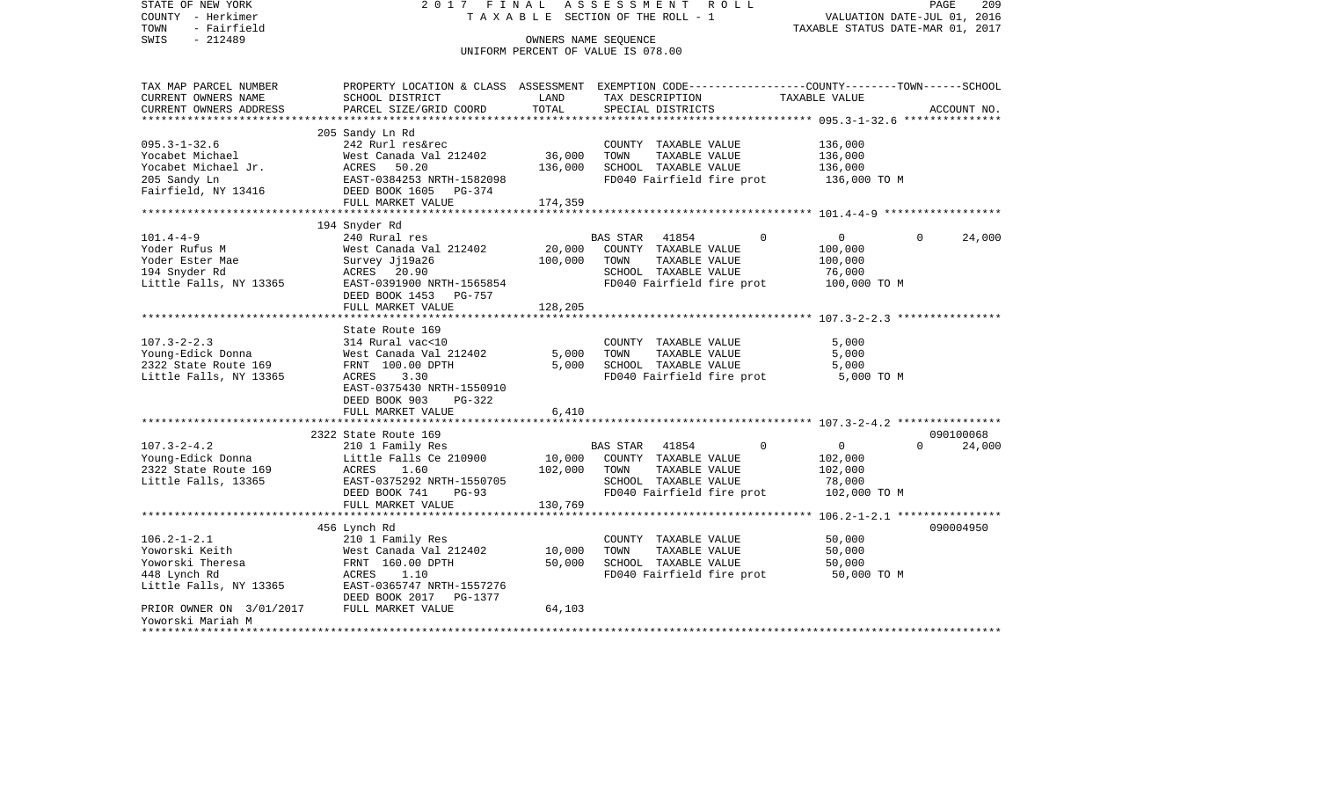| STATE OF NEW YORK<br>COUNTY - Herkimer<br>- Fairfield<br>TOWN<br>$-212489$<br>SWIS                  | 2017 FINAL                                                                                                                                                 | OWNERS NAME SEQUENCE | ASSESSMENT<br>R O L L<br>TAXABLE SECTION OF THE ROLL - 1<br>UNIFORM PERCENT OF VALUE IS 078.00                                        |                                                                           | PAGE<br>209<br>VALUATION DATE-JUL 01, 2016<br>TAXABLE STATUS DATE-MAR 01, 2017 |
|-----------------------------------------------------------------------------------------------------|------------------------------------------------------------------------------------------------------------------------------------------------------------|----------------------|---------------------------------------------------------------------------------------------------------------------------------------|---------------------------------------------------------------------------|--------------------------------------------------------------------------------|
| TAX MAP PARCEL NUMBER<br>CURRENT OWNERS NAME<br>CURRENT OWNERS ADDRESS                              | PROPERTY LOCATION & CLASS ASSESSMENT EXEMPTION CODE---------------COUNTY-------TOWN------SCHOOL<br>SCHOOL DISTRICT<br>PARCEL SIZE/GRID COORD               | LAND<br>TOTAL        | TAX DESCRIPTION<br>SPECIAL DISTRICTS                                                                                                  | TAXABLE VALUE                                                             | ACCOUNT NO.                                                                    |
|                                                                                                     | 205 Sandy Ln Rd                                                                                                                                            |                      |                                                                                                                                       |                                                                           |                                                                                |
| $095.3 - 1 - 32.6$<br>Yocabet Michael<br>Yocabet Michael Jr.<br>205 Sandy Ln<br>Fairfield, NY 13416 | 242 Rurl res&rec<br>West Canada Val 212402<br>ACRES 50.20<br>EAST-0384253 NRTH-1582098<br>DEED BOOK 1605 PG-374                                            | 36,000<br>136,000    | COUNTY TAXABLE VALUE<br>TAXABLE VALUE<br>TOWN<br>SCHOOL TAXABLE VALUE<br>FD040 Fairfield fire prot                                    | 136,000<br>136,000<br>136,000<br>136,000 TO M                             |                                                                                |
|                                                                                                     | FULL MARKET VALUE                                                                                                                                          | 174,359              |                                                                                                                                       |                                                                           |                                                                                |
| $101.4 - 4 - 9$<br>Yoder Rufus M<br>Yoder Ester Mae<br>194 Snyder Rd<br>Little Falls, NY 13365      | 194 Snyder Rd<br>240 Rural res<br>West Canada Val 212402<br>Survey Jj19a26<br>ACRES 20.90<br>EAST-0391900 NRTH-1565854<br>DEED BOOK 1453 PG-757            | 20,000<br>100,000    | BAS STAR<br>41854<br>COUNTY TAXABLE VALUE<br>TAXABLE VALUE<br>TOWN<br>SCHOOL TAXABLE VALUE<br>FD040 Fairfield fire prot               | $\Omega$<br>$\mathbf{0}$<br>100,000<br>100,000<br>76,000<br>100,000 TO M  | $\Omega$<br>24,000                                                             |
|                                                                                                     | FULL MARKET VALUE                                                                                                                                          | 128,205              |                                                                                                                                       |                                                                           |                                                                                |
| $107.3 - 2 - 2.3$<br>Young-Edick Donna<br>2322 State Route 169<br>Little Falls, NY 13365            | State Route 169<br>314 Rural vac<10<br>West Canada Val 212402<br>FRNT 100.00 DPTH<br>3.30<br>ACRES<br>EAST-0375430 NRTH-1550910<br>DEED BOOK 903<br>PG-322 | 5,000<br>5,000       | COUNTY TAXABLE VALUE<br>TOWN<br>TAXABLE VALUE<br>SCHOOL TAXABLE VALUE<br>FD040 Fairfield fire prot                                    | 5,000<br>5,000<br>5,000<br>5,000 TO M                                     |                                                                                |
|                                                                                                     | FULL MARKET VALUE                                                                                                                                          | 6,410                |                                                                                                                                       |                                                                           |                                                                                |
| $107.3 - 2 - 4.2$<br>Young-Edick Donna<br>2322 State Route 169<br>Little Falls, 13365               | 2322 State Route 169<br>210 1 Family Res<br>Little Falls Ce 210900<br>ACRES<br>1.60<br>EAST-0375292 NRTH-1550705<br>DEED BOOK 741<br>$PG-93$               | 102,000              | <b>BAS STAR</b><br>41854<br>10,000 COUNTY TAXABLE VALUE<br>TOWN<br>TAXABLE VALUE<br>SCHOOL TAXABLE VALUE<br>FD040 Fairfield fire prot | $\circ$<br>$\overline{0}$<br>102,000<br>102,000<br>78,000<br>102,000 TO M | 090100068<br>$\Omega$<br>24,000                                                |
|                                                                                                     | FULL MARKET VALUE<br>***************************                                                                                                           | 130,769              |                                                                                                                                       |                                                                           |                                                                                |
| $106.2 - 1 - 2.1$<br>Yoworski Keith<br>Yoworski Theresa<br>448 Lynch Rd<br>Little Falls, NY 13365   | 456 Lynch Rd<br>210 1 Family Res<br>West Canada Val 212402<br>FRNT 160.00 DPTH<br>1.10<br>ACRES<br>EAST-0365747 NRTH-1557276<br>DEED BOOK 2017 PG-1377     | 10,000<br>50,000     | COUNTY TAXABLE VALUE<br>TOWN<br>TAXABLE VALUE<br>SCHOOL TAXABLE VALUE<br>FD040 Fairfield fire prot                                    | 50,000<br>50,000<br>50,000<br>50,000 TO M                                 | 090004950                                                                      |
| PRIOR OWNER ON 3/01/2017 FULL MARKET VALUE<br>Yoworski Mariah M<br>*****************                |                                                                                                                                                            | 64,103               |                                                                                                                                       |                                                                           |                                                                                |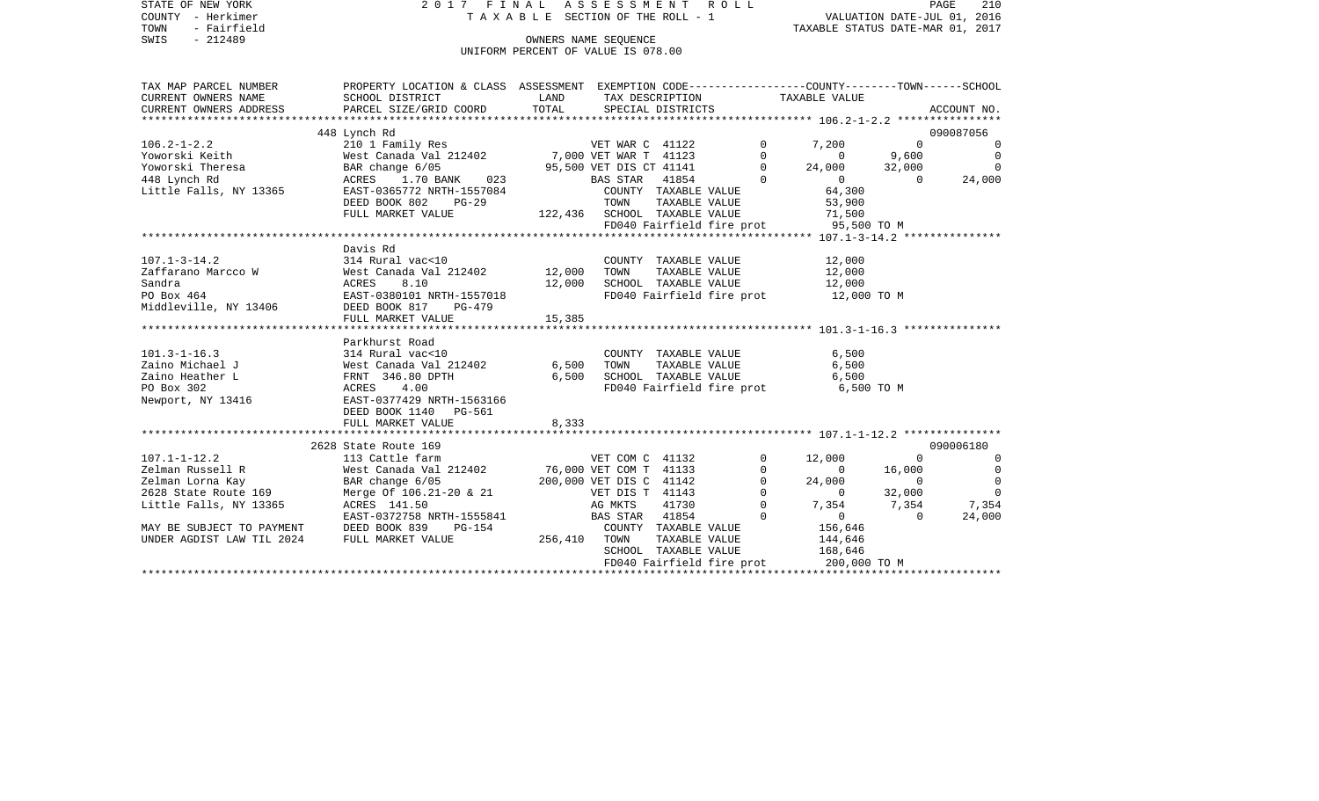| STATE OF NEW YORK<br>COUNTY - Herkimer                                                                | 2017 FINAL ASSESSMENT ROLL                                                                                                                                                                                                                                  | T A X A B L E SECTION OF THE ROLL - 1 |                         |                                | VALUATION DATE-JUL 01, 2016           |                | 210<br>PAGE    |
|-------------------------------------------------------------------------------------------------------|-------------------------------------------------------------------------------------------------------------------------------------------------------------------------------------------------------------------------------------------------------------|---------------------------------------|-------------------------|--------------------------------|---------------------------------------|----------------|----------------|
| TOWN<br>- Fairfield                                                                                   |                                                                                                                                                                                                                                                             |                                       |                         |                                | TAXABLE STATUS DATE-MAR 01, 2017      |                |                |
| SWIS<br>$-212489$                                                                                     |                                                                                                                                                                                                                                                             |                                       | OWNERS NAME SEQUENCE    |                                |                                       |                |                |
|                                                                                                       |                                                                                                                                                                                                                                                             | UNIFORM PERCENT OF VALUE IS 078.00    |                         |                                |                                       |                |                |
| TAX MAP PARCEL NUMBER                                                                                 | PROPERTY LOCATION & CLASS ASSESSMENT EXEMPTION CODE----------------COUNTY-------TOWN------SCHOOL                                                                                                                                                            |                                       |                         |                                |                                       |                |                |
| CURRENT OWNERS NAME                                                                                   | SCHOOL DISTRICT                                                                                                                                                                                                                                             | LAND                                  |                         | TAX DESCRIPTION                | TAXABLE VALUE                         |                |                |
| CURRENT OWNERS ADDRESS                                                                                | PARCEL SIZE/GRID COORD                                                                                                                                                                                                                                      | TOTAL                                 |                         | SPECIAL DISTRICTS              |                                       |                | ACCOUNT NO.    |
|                                                                                                       |                                                                                                                                                                                                                                                             |                                       |                         |                                |                                       |                |                |
|                                                                                                       | 448 Lynch Rd                                                                                                                                                                                                                                                |                                       |                         |                                |                                       |                | 090087056      |
|                                                                                                       | 108.2-1-2.2<br>108.2-1-2.2<br>101 Family Res<br>2101 Family Res<br>2101 Family Res<br>2101 Family Res<br>2101 Family Res<br>212402<br>27,000 VET WAR T<br>2112402<br>27,000 VET WAR T<br>21123<br>27,000 VET WAR T<br>21123<br>295,500 VET DIS CT<br>25,500 |                                       |                         |                                | $\mathbf 0$<br>7,200                  | $\Omega$       | $\overline{0}$ |
|                                                                                                       |                                                                                                                                                                                                                                                             |                                       |                         |                                | $\Omega$<br>$\Omega$                  | 9,600          | $\overline{0}$ |
|                                                                                                       |                                                                                                                                                                                                                                                             |                                       |                         |                                | $\Omega$<br>24,000                    | 32,000         | $\overline{0}$ |
|                                                                                                       |                                                                                                                                                                                                                                                             |                                       |                         |                                | $\Omega$<br>$\circ$                   | $\Omega$       | 24,000         |
|                                                                                                       |                                                                                                                                                                                                                                                             |                                       |                         | COUNTY TAXABLE VALUE           | 64,300                                |                |                |
|                                                                                                       | DEED BOOK 802<br>PG-29                                                                                                                                                                                                                                      |                                       | TOWN                    | TAXABLE VALUE                  | 53,900                                |                |                |
|                                                                                                       | FULL MARKET VALUE                                                                                                                                                                                                                                           | 122,436 SCHOOL TAXABLE VALUE          |                         |                                | 71,500<br>95,500 TO M                 |                |                |
|                                                                                                       |                                                                                                                                                                                                                                                             |                                       |                         | FD040 Fairfield fire prot      |                                       |                |                |
|                                                                                                       | Davis Rd                                                                                                                                                                                                                                                    |                                       |                         |                                |                                       |                |                |
| $107.1 - 3 - 14.2$                                                                                    | 314 Rural vac<10                                                                                                                                                                                                                                            |                                       |                         | COUNTY TAXABLE VALUE           | 12,000                                |                |                |
|                                                                                                       |                                                                                                                                                                                                                                                             | 12,000                                | TOWN                    | TAXABLE VALUE                  | 12,000                                |                |                |
|                                                                                                       |                                                                                                                                                                                                                                                             | 12,000                                |                         | SCHOOL TAXABLE VALUE           | 12,000                                |                |                |
|                                                                                                       |                                                                                                                                                                                                                                                             |                                       |                         |                                | FD040 Fairfield fire prot 12,000 TO M |                |                |
|                                                                                                       |                                                                                                                                                                                                                                                             |                                       |                         |                                |                                       |                |                |
|                                                                                                       | FULL MARKET VALUE                                                                                                                                                                                                                                           | 15,385                                |                         |                                |                                       |                |                |
|                                                                                                       |                                                                                                                                                                                                                                                             |                                       |                         |                                |                                       |                |                |
|                                                                                                       | Parkhurst Road                                                                                                                                                                                                                                              |                                       |                         |                                |                                       |                |                |
| $101.3 - 1 - 16.3$                                                                                    |                                                                                                                                                                                                                                                             |                                       |                         | COUNTY TAXABLE VALUE           | 6,500                                 |                |                |
| Zaino Michael J                                                                                       |                                                                                                                                                                                                                                                             | 6,500                                 | TOWN                    | TAXABLE VALUE<br>TAXABLE VALUE | 6,500                                 |                |                |
| Zaino Heather L                                                                                       |                                                                                                                                                                                                                                                             | 6,500                                 |                         | SCHOOL TAXABLE VALUE           | 6,500                                 |                |                |
| PO Box 302                                                                                            | 314 Rural vac<10<br>West Canada Val 212402<br>FRNT 346.80 DPTH<br>ACRES 4.00<br>EAST-0377429 NRTH-1563166                                                                                                                                                   |                                       |                         |                                | FD040 Fairfield fire prot 6,500 TO M  |                |                |
| Newport, NY 13416                                                                                     |                                                                                                                                                                                                                                                             |                                       |                         |                                |                                       |                |                |
|                                                                                                       | DEED BOOK 1140<br>PG-561                                                                                                                                                                                                                                    |                                       |                         |                                |                                       |                |                |
|                                                                                                       | FULL MARKET VALUE                                                                                                                                                                                                                                           | 8,333                                 |                         |                                |                                       |                |                |
|                                                                                                       | 2628 State Route 169                                                                                                                                                                                                                                        |                                       |                         |                                |                                       |                | 090006180      |
| 107.1-1-12.2                                                                                          | 113 Cattle farm                                                                                                                                                                                                                                             |                                       | VET COM C 41132         |                                | $\mathbf{0}$<br>12,000                | $\Omega$       | $\overline{0}$ |
| Zelman Russell R                                                                                      |                                                                                                                                                                                                                                                             | 76,000 VET COM T 41133                |                         |                                | 0<br>$\overline{0}$                   | 16,000         | $\overline{0}$ |
| Zelman Lorna Kay                                                                                      | West Canada Val 212402<br>BAR change 6/05<br>Merge Of 106.21-20 & 21                                                                                                                                                                                        |                                       | 200,000 VET DIS C 41142 |                                | 0<br>24,000                           | $\Omega$       | $\overline{0}$ |
| 2628 State Route 169                                                                                  |                                                                                                                                                                                                                                                             |                                       | VET DIS T 41143         |                                | $\mathbf 0$<br>$\overline{0}$         | 32,000         | $\overline{0}$ |
| Little Falls, NY 13365 ACRES 141.50                                                                   |                                                                                                                                                                                                                                                             |                                       | AG MKTS                 | 41730                          | $\Omega$<br>7,354                     | 7,354          | 7,354          |
|                                                                                                       | EAST-0372758 NRTH-1555841                                                                                                                                                                                                                                   |                                       | BAS STAR                | 41854                          | $\Omega$<br>$\overline{0}$            | $\overline{0}$ | 24,000         |
|                                                                                                       | PG-154                                                                                                                                                                                                                                                      |                                       |                         | COUNTY TAXABLE VALUE           | 156,646                               |                |                |
| MAY BE SUBJECT TO PAYMENT      DEED BOOK 839    1<br>UNDER AGDIST LAW TIL 2024      FULL MARKET VALUE |                                                                                                                                                                                                                                                             | 256,410                               | TOWN                    | TAXABLE VALUE                  | 144,646                               |                |                |
|                                                                                                       |                                                                                                                                                                                                                                                             |                                       |                         | SCHOOL TAXABLE VALUE           | 168,646                               |                |                |

FD040 Fairfield fire prot 200,000 TO M \*\*\*\*\*\*\*\*\*\*\*\*\*\*\*\*\*\*\*\*\*\*\*\*\*\*\*\*\*\*\*\*\*\*\*\*\*\*\*\*\*\*\*\*\*\*\*\*\*\*\*\*\*\*\*\*\*\*\*\*\*\*\*\*\*\*\*\*\*\*\*\*\*\*\*\*\*\*\*\*\*\*\*\*\*\*\*\*\*\*\*\*\*\*\*\*\*\*\*\*\*\*\*\*\*\*\*\*\*\*\*\*\*\*\*\*\*\*\*\*\*\*\*\*\*\*\*\*\*\*\*\*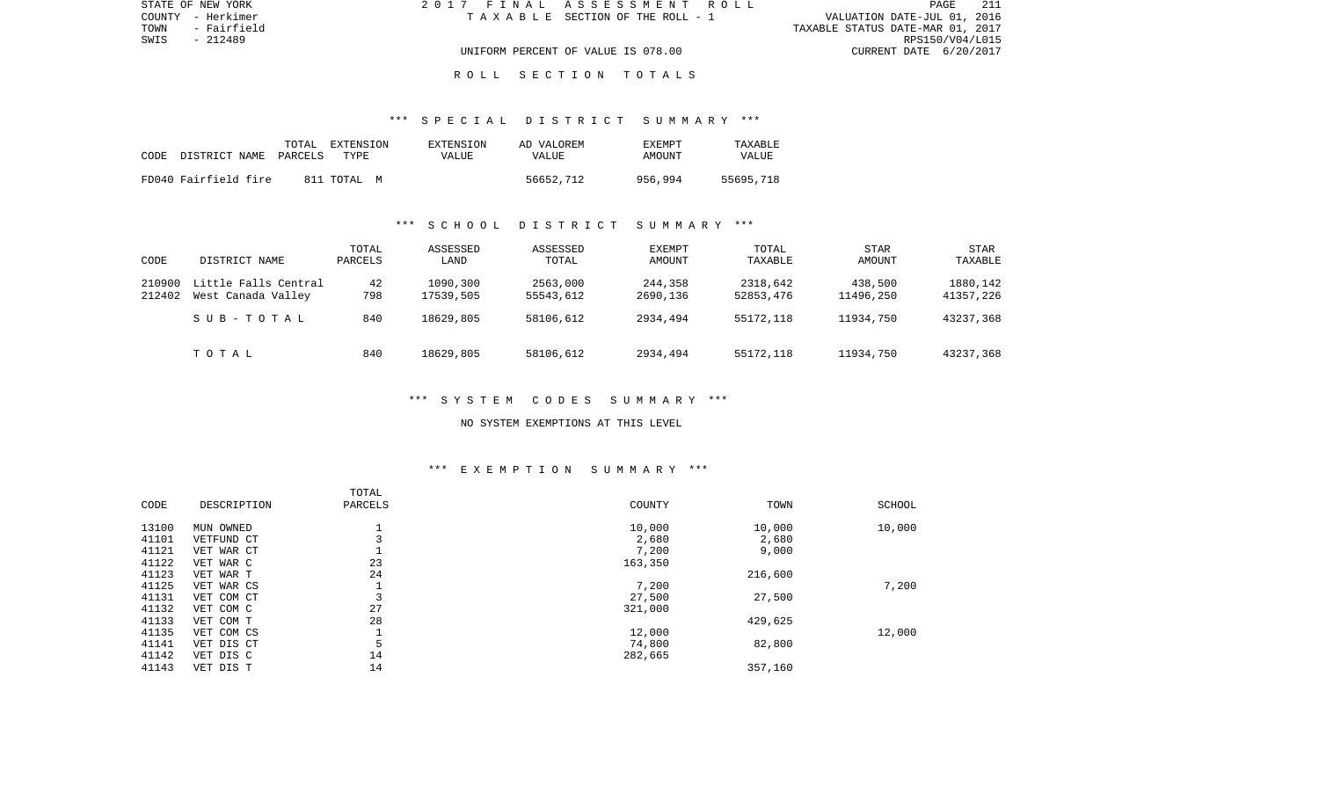| STATE OF NEW YORK   | 2017 FINAL ASSESSMENT ROLL            |                                  | <b>PAGE</b>     |  |
|---------------------|---------------------------------------|----------------------------------|-----------------|--|
| COUNTY - Herkimer   | T A X A B L E SECTION OF THE ROLL - 1 | VALUATION DATE-JUL 01, 2016      |                 |  |
| TOWN<br>- Fairfield |                                       | TAXABLE STATUS DATE-MAR 01, 2017 |                 |  |
| SWIS<br>- 212489    |                                       |                                  | RPS150/V04/L015 |  |
|                     | UNIFORM PERCENT OF VALUE IS 078.00    | CURRENT DATE 6/20/2017           |                 |  |
|                     |                                       |                                  |                 |  |

#### R O L L S E C T I O N T O T A L S

#### \*\*\* S P E C I A L D I S T R I C T S U M M A R Y \*\*\*

| CODE | DISTRICT NAME PARCELS | TOTAL | EXTENSION<br>TYPE. | EXTENSION<br>VALUE | AD VALOREM<br>VALUE | <b>EXEMPT</b><br>AMOUNT | TAXABLE<br><b>VALUE</b> |
|------|-----------------------|-------|--------------------|--------------------|---------------------|-------------------------|-------------------------|
|      | FD040 Fairfield fire  |       | 811 TOTAL<br>M     |                    | 56652,712           | 956,994                 | 55695,718               |

#### \*\*\* S C H O O L D I S T R I C T S U M M A R Y \*\*\*

| CODE             | DISTRICT NAME                              | TOTAL<br>PARCELS | ASSESSED<br>LAND      | ASSESSED<br>TOTAL     | EXEMPT<br>AMOUNT    | TOTAL<br>TAXABLE      | <b>STAR</b><br>AMOUNT | STAR<br>TAXABLE       |
|------------------|--------------------------------------------|------------------|-----------------------|-----------------------|---------------------|-----------------------|-----------------------|-----------------------|
| 210900<br>212402 | Little Falls Central<br>West Canada Valley | 42<br>798        | 1090,300<br>17539,505 | 2563,000<br>55543,612 | 244,358<br>2690,136 | 2318,642<br>52853,476 | 438,500<br>11496,250  | 1880,142<br>41357,226 |
|                  | SUB-TOTAL                                  | 840              | 18629,805             | 58106,612             | 2934,494            | 55172,118             | 11934,750             | 43237,368             |
|                  | TOTAL                                      | 840              | 18629,805             | 58106,612             | 2934,494            | 55172,118             | 11934,750             | 43237,368             |

## \*\*\* S Y S T E M C O D E S S U M M A R Y \*\*\*

#### NO SYSTEM EXEMPTIONS AT THIS LEVEL

# \*\*\* E X E M P T I O N S U M M A R Y \*\*\*

|       |             | TOTAL   |         |         |        |
|-------|-------------|---------|---------|---------|--------|
| CODE  | DESCRIPTION | PARCELS | COUNTY  | TOWN    | SCHOOL |
| 13100 | MUN OWNED   |         | 10,000  | 10,000  | 10,000 |
| 41101 | VETFUND CT  |         | 2,680   | 2,680   |        |
| 41121 | VET WAR CT  |         | 7,200   | 9,000   |        |
| 41122 | VET WAR C   | 23      | 163,350 |         |        |
| 41123 | VET WAR T   | 24      |         | 216,600 |        |
| 41125 | VET WAR CS  |         | 7,200   |         | 7,200  |
| 41131 | VET COM CT  | 3       | 27,500  | 27,500  |        |
| 41132 | VET COM C   | 27      | 321,000 |         |        |
| 41133 | VET COM T   | 28      |         | 429,625 |        |
| 41135 | VET COM CS  |         | 12,000  |         | 12,000 |
| 41141 | VET DIS CT  | 5       | 74,800  | 82,800  |        |
| 41142 | VET DIS C   | 14      | 282,665 |         |        |
| 41143 | VET DIS T   | 14      |         | 357,160 |        |
|       |             |         |         |         |        |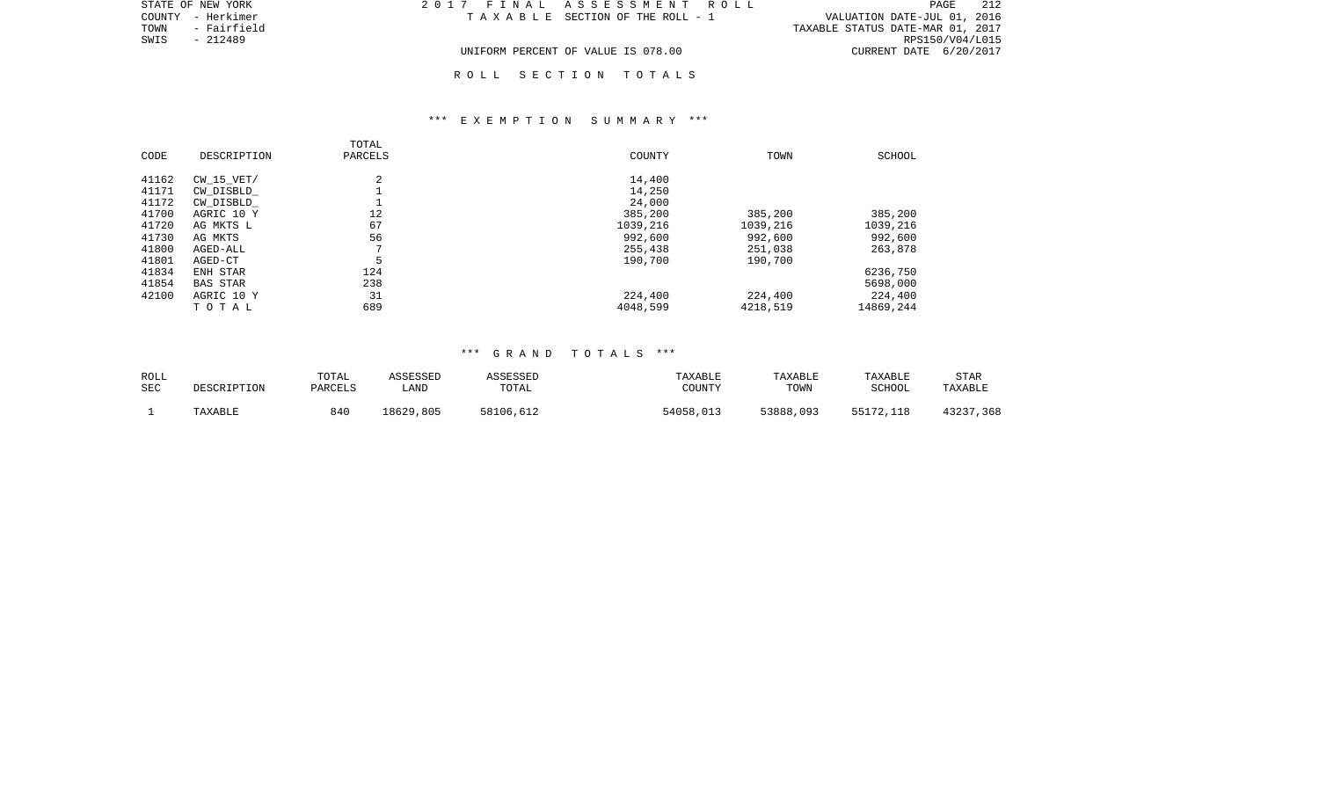|      | STATE OF NEW YORK | 2017 FINAL ASSESSMENT ROLL         | 212<br>PAGE                      |
|------|-------------------|------------------------------------|----------------------------------|
|      | COUNTY - Herkimer | TAXABLE SECTION OF THE ROLL - 1    | VALUATION DATE-JUL 01, 2016      |
| TOWN | - Fairfield       |                                    | TAXABLE STATUS DATE-MAR 01, 2017 |
| SWIS | - 212489          |                                    | RPS150/V04/L015                  |
|      |                   | UNIFORM PERCENT OF VALUE IS 078.00 | CURRENT DATE 6/20/2017           |

R O L L S E C T I O N T O T A L S

### \*\*\* E X E M P T I O N S U M M A R Y \*\*\*

| CODE  | DESCRIPTION     | TOTAL<br>PARCELS | COUNTY   | TOWN     | SCHOOL    |
|-------|-----------------|------------------|----------|----------|-----------|
| 41162 | $CW$ 15 $VET/$  | 2                | 14,400   |          |           |
| 41171 | CW DISBLD       |                  | 14,250   |          |           |
| 41172 | CW DISBLD       |                  | 24,000   |          |           |
| 41700 | AGRIC 10 Y      | 12               | 385,200  | 385,200  | 385,200   |
| 41720 | AG MKTS L       | 67               | 1039,216 | 1039,216 | 1039,216  |
| 41730 | AG MKTS         | 56               | 992,600  | 992,600  | 992,600   |
| 41800 | AGED-ALL        | $\mathbf{r}$     | 255,438  | 251,038  | 263,878   |
| 41801 | AGED-CT         | 5                | 190,700  | 190,700  |           |
| 41834 | ENH STAR        | 124              |          |          | 6236,750  |
| 41854 | <b>BAS STAR</b> | 238              |          |          | 5698,000  |
| 42100 | AGRIC 10 Y      | 31               | 224,400  | 224,400  | 224,400   |
|       | TOTAL           | 689              | 4048,599 | 4218,519 | 14869,244 |

### \*\*\* G R A N D T O T A L S \*\*\*

| ROLL       | DESCRIPTION | TOTAL   | ASSESSED  | ASSESSED  | TAXABLE   | TAXABLE   | TAXABLE       | <b>STAR</b> |
|------------|-------------|---------|-----------|-----------|-----------|-----------|---------------|-------------|
| <b>SEC</b> |             | PARCELS | ∟AND      | TOTAL     | COUNTY    | TOWN      | <b>SCHOOL</b> | TAXABLE     |
|            | TAXABLE     | 840     | 18629,805 | 58106,612 | 54058,013 | 53888,093 | 55172,118     | 43237,368   |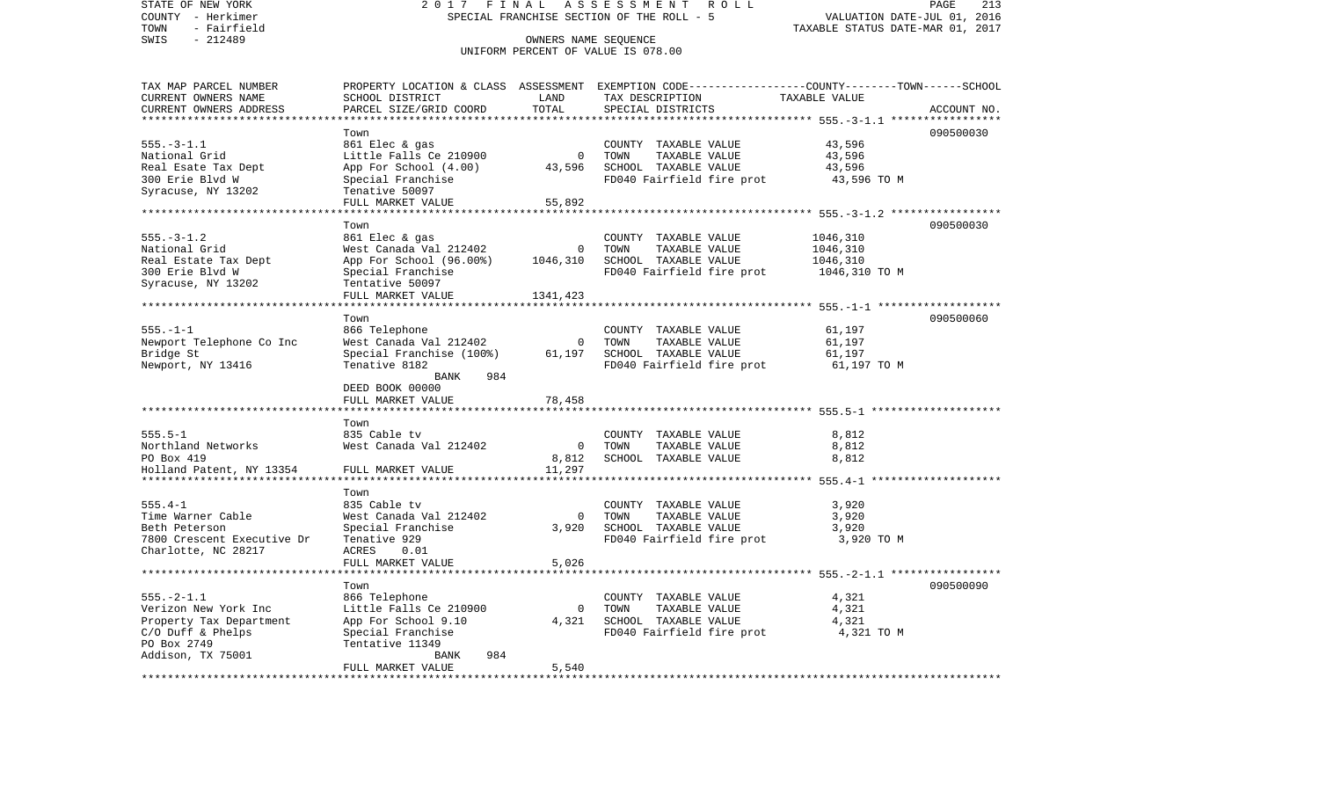| STATE OF NEW YORK<br>COUNTY - Herkimer<br>- Fairfield<br>TOWN | ASSESSMENT<br>2 0 1 7<br>FINAL<br>ROLL<br>SPECIAL FRANCHISE SECTION OF THE ROLL - 5 |                           |                                                                                                 | VALUATION DATE-JUL 01, 2016<br>TAXABLE STATUS DATE-MAR 01, 2017 | PAGE<br>213 |
|---------------------------------------------------------------|-------------------------------------------------------------------------------------|---------------------------|-------------------------------------------------------------------------------------------------|-----------------------------------------------------------------|-------------|
| $-212489$<br>SWIS                                             | OWNERS NAME SEQUENCE<br>UNIFORM PERCENT OF VALUE IS 078.00                          |                           |                                                                                                 |                                                                 |             |
| TAX MAP PARCEL NUMBER                                         |                                                                                     |                           | PROPERTY LOCATION & CLASS ASSESSMENT EXEMPTION CODE---------------COUNTY-------TOWN------SCHOOL |                                                                 |             |
| CURRENT OWNERS NAME                                           | SCHOOL DISTRICT                                                                     | LAND                      | TAX DESCRIPTION                                                                                 | TAXABLE VALUE                                                   |             |
| CURRENT OWNERS ADDRESS                                        | PARCEL SIZE/GRID COORD                                                              | TOTAL<br>*******          | SPECIAL DISTRICTS                                                                               |                                                                 | ACCOUNT NO. |
|                                                               |                                                                                     |                           |                                                                                                 | ********* 555.-3-1.1 ***                                        | 090500030   |
| $555. - 3 - 1.1$                                              | Town<br>861 Elec & gas                                                              |                           | COUNTY TAXABLE VALUE                                                                            | 43,596                                                          |             |
| National Grid                                                 | Little Falls Ce 210900                                                              | $\mathbf 0$               | TOWN<br>TAXABLE VALUE                                                                           | 43,596                                                          |             |
| Real Esate Tax Dept                                           | App For School (4.00)                                                               | 43,596                    | SCHOOL TAXABLE VALUE                                                                            | 43,596                                                          |             |
| 300 Erie Blvd W                                               | Special Franchise                                                                   |                           | FD040 Fairfield fire prot                                                                       | 43,596 TO M                                                     |             |
| Syracuse, NY 13202                                            | Tenative 50097                                                                      |                           |                                                                                                 |                                                                 |             |
|                                                               | FULL MARKET VALUE                                                                   | 55,892                    |                                                                                                 |                                                                 |             |
|                                                               | *******************                                                                 |                           |                                                                                                 | ********************** 555.-3-1.2 ******************            |             |
|                                                               | Town                                                                                |                           |                                                                                                 |                                                                 | 090500030   |
| $555. - 3 - 1.2$                                              | 861 Elec & gas                                                                      |                           | COUNTY TAXABLE VALUE                                                                            | 1046,310                                                        |             |
| National Grid                                                 | West Canada Val 212402                                                              | 0                         | TOWN<br>TAXABLE VALUE                                                                           | 1046,310                                                        |             |
| Real Estate Tax Dept                                          | App For School (96.00%)                                                             | 1046,310                  | SCHOOL TAXABLE VALUE                                                                            | 1046,310                                                        |             |
| 300 Erie Blvd W                                               | Special Franchise                                                                   |                           | FD040 Fairfield fire prot                                                                       | 1046,310 TO M                                                   |             |
| Syracuse, NY 13202                                            | Tentative 50097<br>FULL MARKET VALUE                                                | 1341,423                  |                                                                                                 |                                                                 |             |
| **********************                                        |                                                                                     |                           |                                                                                                 |                                                                 |             |
|                                                               | Town                                                                                |                           |                                                                                                 |                                                                 | 090500060   |
| $555. - 1 - 1$                                                | 866 Telephone                                                                       |                           | COUNTY TAXABLE VALUE                                                                            | 61,197                                                          |             |
| Newport Telephone Co Inc                                      | West Canada Val 212402                                                              | 0                         | TOWN<br>TAXABLE VALUE                                                                           | 61,197                                                          |             |
| Bridge St                                                     | Special Franchise (100%)                                                            | 61,197                    | SCHOOL TAXABLE VALUE                                                                            | 61,197                                                          |             |
| Newport, NY 13416                                             | Tenative 8182                                                                       |                           | FD040 Fairfield fire prot                                                                       | 61,197 TO M                                                     |             |
|                                                               | BANK<br>984                                                                         |                           |                                                                                                 |                                                                 |             |
|                                                               | DEED BOOK 00000                                                                     |                           |                                                                                                 |                                                                 |             |
|                                                               | FULL MARKET VALUE<br>******************                                             | 78,458<br>* * * * * * * * | ******************************* 555.5-1 ********************                                    |                                                                 |             |
|                                                               | Town                                                                                |                           |                                                                                                 |                                                                 |             |
| $555.5 - 1$                                                   | 835 Cable tv                                                                        |                           | COUNTY TAXABLE VALUE                                                                            | 8,812                                                           |             |
| Northland Networks                                            | West Canada Val 212402                                                              | $\mathbf 0$               | TOWN<br>TAXABLE VALUE                                                                           | 8,812                                                           |             |
| PO Box 419                                                    |                                                                                     | 8,812                     | SCHOOL TAXABLE VALUE                                                                            | 8,812                                                           |             |
| Holland Patent, NY 13354                                      | FULL MARKET VALUE                                                                   | 11,297                    |                                                                                                 |                                                                 |             |
|                                                               |                                                                                     |                           |                                                                                                 |                                                                 |             |
|                                                               | Town                                                                                |                           |                                                                                                 |                                                                 |             |
| $555.4 - 1$                                                   | 835 Cable tv                                                                        |                           | COUNTY TAXABLE VALUE                                                                            | 3,920                                                           |             |
| Time Warner Cable                                             | West Canada Val 212402                                                              | $\Omega$                  | TOWN<br>TAXABLE VALUE                                                                           | 3,920                                                           |             |
| Beth Peterson                                                 | Special Franchise                                                                   | 3,920                     | SCHOOL TAXABLE VALUE                                                                            | 3,920                                                           |             |
| 7800 Crescent Executive Dr                                    | Tenative 929                                                                        |                           | FD040 Fairfield fire prot                                                                       | 3,920 TO M                                                      |             |
| Charlotte, NC 28217                                           | <b>ACRES</b><br>0.01<br>FULL MARKET VALUE                                           | 5,026                     |                                                                                                 |                                                                 |             |
| ******************************                                | ************************                                                            |                           |                                                                                                 |                                                                 |             |
|                                                               | Town                                                                                |                           |                                                                                                 |                                                                 | 090500090   |
| $555. - 2 - 1.1$                                              | 866 Telephone                                                                       |                           | COUNTY TAXABLE VALUE                                                                            | 4,321                                                           |             |
| Verizon New York Inc                                          | Little Falls Ce 210900                                                              | $\Omega$                  | TOWN<br>TAXABLE VALUE                                                                           | 4,321                                                           |             |
| Property Tax Department                                       | App For School 9.10                                                                 | 4,321                     | SCHOOL TAXABLE VALUE                                                                            | 4,321                                                           |             |
| C/O Duff & Phelps                                             | Special Franchise                                                                   |                           | FD040 Fairfield fire prot                                                                       | 4,321 TO M                                                      |             |
| PO Box 2749                                                   | Tentative 11349                                                                     |                           |                                                                                                 |                                                                 |             |
| Addison, TX 75001                                             | 984<br><b>BANK</b>                                                                  |                           |                                                                                                 |                                                                 |             |
|                                                               | FULL MARKET VALUE<br>*******************                                            | 5,540                     |                                                                                                 |                                                                 |             |
|                                                               |                                                                                     |                           |                                                                                                 |                                                                 |             |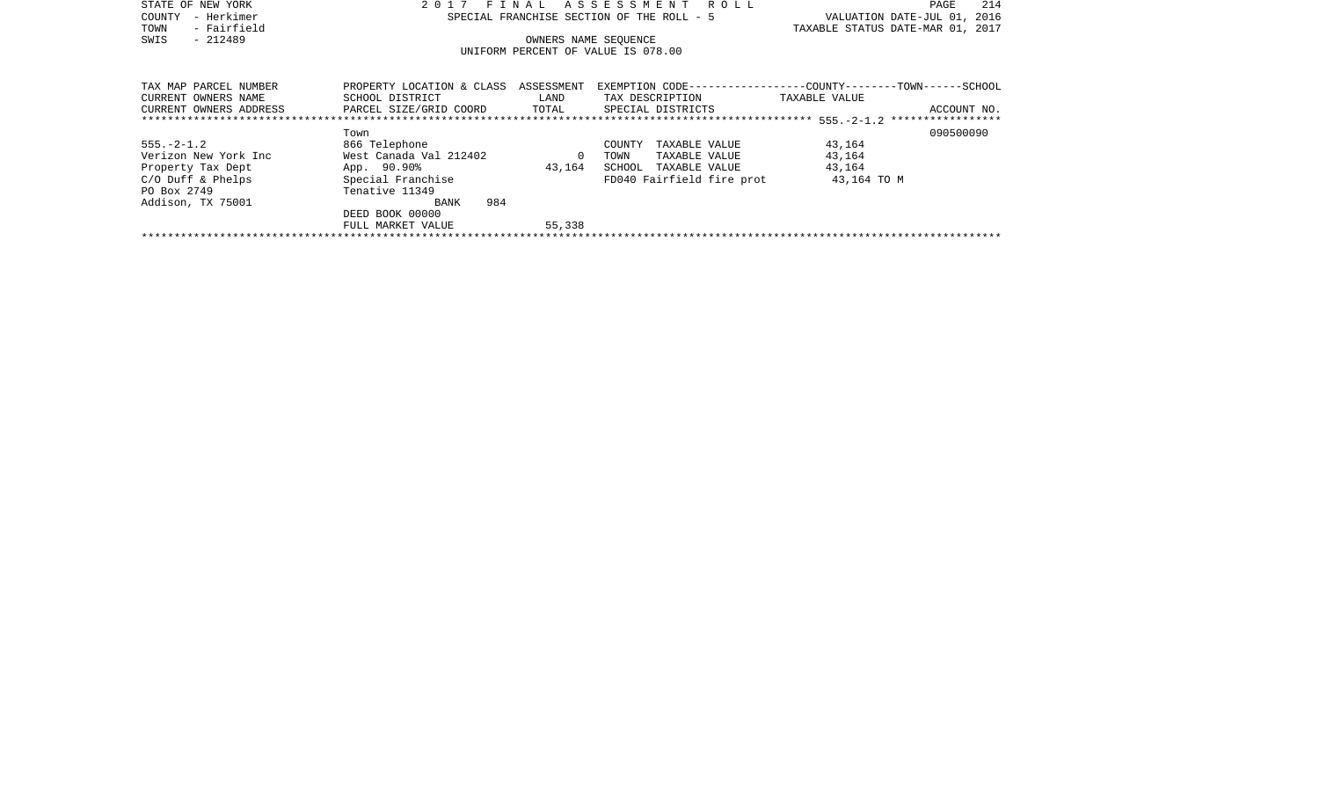| STATE OF NEW YORK                                                              | 2017                      | FINAL      | ROLL<br>ASSESSMENT                        | 214<br>PAGE                                                   |
|--------------------------------------------------------------------------------|---------------------------|------------|-------------------------------------------|---------------------------------------------------------------|
| – Herkimer<br>COUNTY                                                           |                           |            | SPECIAL FRANCHISE SECTION OF THE ROLL - 5 | VALUATION DATE-JUL 01,<br>2016                                |
| - Fairfield<br>TOWN                                                            |                           |            |                                           | TAXABLE STATUS DATE-MAR 01, 2017                              |
| $-212489$<br>SWIS                                                              |                           |            | OWNERS NAME SEQUENCE                      |                                                               |
|                                                                                |                           |            | UNIFORM PERCENT OF VALUE IS 078.00        |                                                               |
|                                                                                |                           |            |                                           |                                                               |
|                                                                                |                           |            |                                           |                                                               |
| TAX MAP PARCEL NUMBER                                                          | PROPERTY LOCATION & CLASS | ASSESSMENT |                                           | EXEMPTION CODE-----------------COUNTY--------TOWN------SCHOOL |
| CURRENT OWNERS NAME                                                            | SCHOOL DISTRICT           | LAND       | TAX DESCRIPTION TAXABLE VALUE             |                                                               |
| PARCEL SIZE/GRID COORD<br>TOTAL<br>SPECIAL DISTRICTS<br>CURRENT OWNERS ADDRESS |                           |            |                                           | ACCOUNT NO.                                                   |
|                                                                                |                           |            |                                           |                                                               |
|                                                                                | Town                      |            |                                           | 090500090                                                     |
| $555. - 2 - 1.2$                                                               | 866 Telephone             |            | COUNTY<br>TAXABLE VALUE                   | 43,164                                                        |
| Verizon New York Inc                                                           | West Canada Val 212402    | $\Omega$   | TOWN<br>TAXABLE VALUE                     | 43,164                                                        |
| Property Tax Dept                                                              | App. 90.90%               | 43,164     | SCHOOL<br>TAXABLE VALUE                   | 43,164                                                        |
| $C/O$ Duff & Phelps                                                            | Special Franchise         |            | FD040 Fairfield fire prot                 | 43,164 TO M                                                   |
| PO Box 2749                                                                    | Tenative 11349            |            |                                           |                                                               |
| Addison, TX 75001                                                              | 984<br>BANK               |            |                                           |                                                               |
|                                                                                | DEED BOOK 00000           |            |                                           |                                                               |
|                                                                                | FULL MARKET VALUE         | 55,338     |                                           |                                                               |
|                                                                                |                           |            |                                           |                                                               |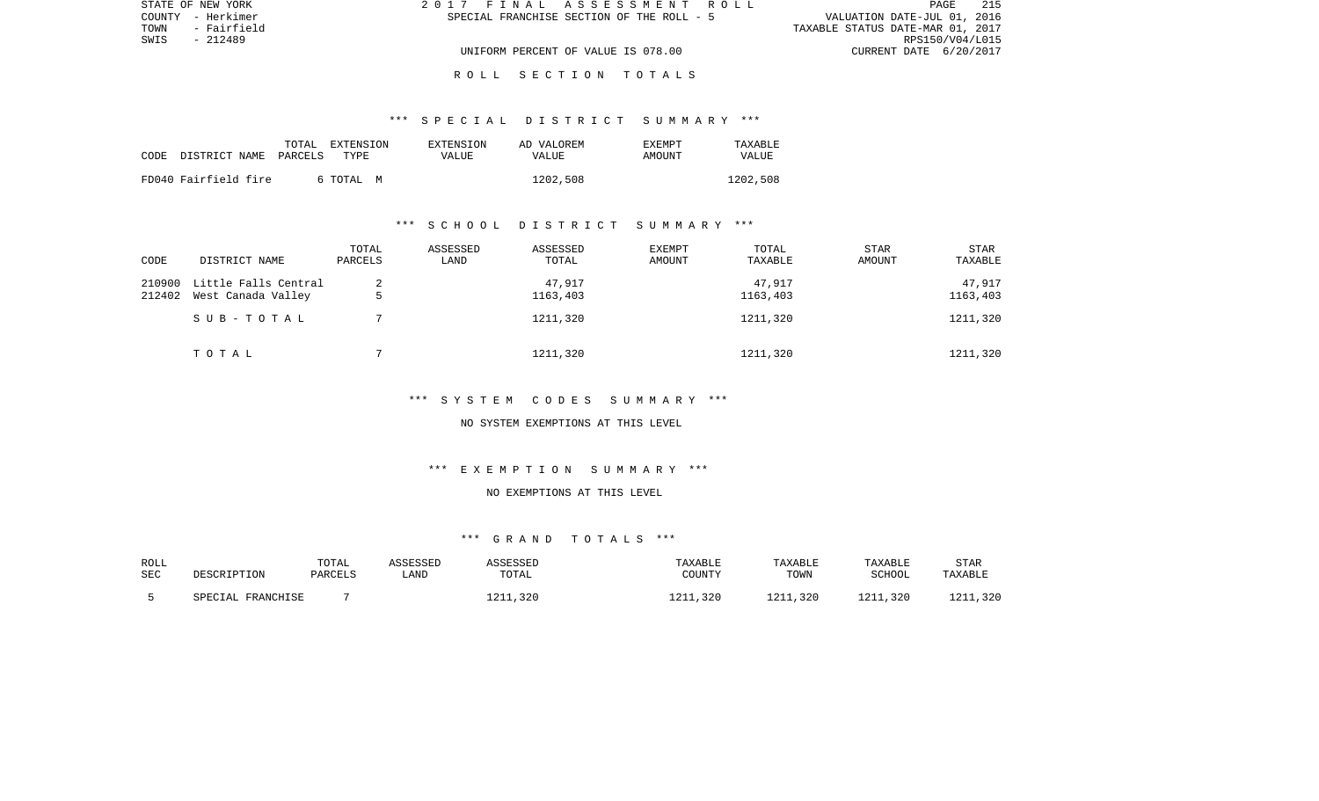|      | STATE OF NEW YORK | 2017 FINAL ASSESSMENT ROLL                | 215<br>PAGE                      |
|------|-------------------|-------------------------------------------|----------------------------------|
|      | COUNTY - Herkimer | SPECIAL FRANCHISE SECTION OF THE ROLL - 5 | VALUATION DATE-JUL 01, 2016      |
| TOWN | - Fairfield       |                                           | TAXABLE STATUS DATE-MAR 01, 2017 |
| SWIS | - 212489          |                                           | RPS150/V04/L015                  |
|      |                   | UNIFORM PERCENT OF VALUE IS 078.00        | CURRENT DATE 6/20/2017           |

R O L L S E C T I O N T O T A L S

#### \*\*\* S P E C I A L D I S T R I C T S U M M A R Y \*\*\*

| CODE | DISTRICT NAME PARCELS | TOTAL | EXTENSION<br>TYPE | EXTENSION<br>VALUE | AD VALOREM<br><b>VALUE</b> | <b>EXEMPT</b><br>AMOUNT | TAXARLE<br>VALUE |
|------|-----------------------|-------|-------------------|--------------------|----------------------------|-------------------------|------------------|
|      | FD040 Fairfield fire  |       | 6 ТОТАЬ М         |                    | 1202,508                   |                         | 1202,508         |

### \*\*\* S C H O O L D I S T R I C T S U M M A R Y \*\*\*

| CODE             | DISTRICT NAME                              | TOTAL<br>PARCELS | ASSESSED<br>LAND | ASSESSED<br>TOTAL  | <b>EXEMPT</b><br>AMOUNT | TOTAL<br>TAXABLE   | STAR<br>AMOUNT | STAR<br>TAXABLE    |
|------------------|--------------------------------------------|------------------|------------------|--------------------|-------------------------|--------------------|----------------|--------------------|
| 210900<br>212402 | Little Falls Central<br>West Canada Valley | 2                |                  | 47,917<br>1163,403 |                         | 47.917<br>1163,403 |                | 47,917<br>1163,403 |
|                  | SUB-TOTAL                                  |                  |                  | 1211,320           |                         | 1211,320           |                | 1211,320           |
|                  | TOTAL                                      |                  |                  | 1211,320           |                         | 1211,320           |                | 1211,320           |

## \*\*\* S Y S T E M C O D E S S U M M A R Y \*\*\*

#### NO SYSTEM EXEMPTIONS AT THIS LEVEL

# \*\*\* E X E M P T I O N S U M M A R Y \*\*\*

### NO EXEMPTIONS AT THIS LEVEL

# \*\*\* G R A N D T O T A L S \*\*\*

| ROLL       | DESCRIPTION       | TOTAL   | ASSESSED | ASSESSED | TAXABLE  | TAXABLE  | TAXABLE  | <b>STAR</b> |
|------------|-------------------|---------|----------|----------|----------|----------|----------|-------------|
| <b>SEC</b> |                   | PARCELS | ∟AND     | TOTAL    | COUNTY   | TOWN     | SCHOOL   | TAXABLE     |
|            | SPECIAL FRANCHISE |         |          | 1211,320 | 1211,320 | 1211,320 | 1211,320 | 1211,320    |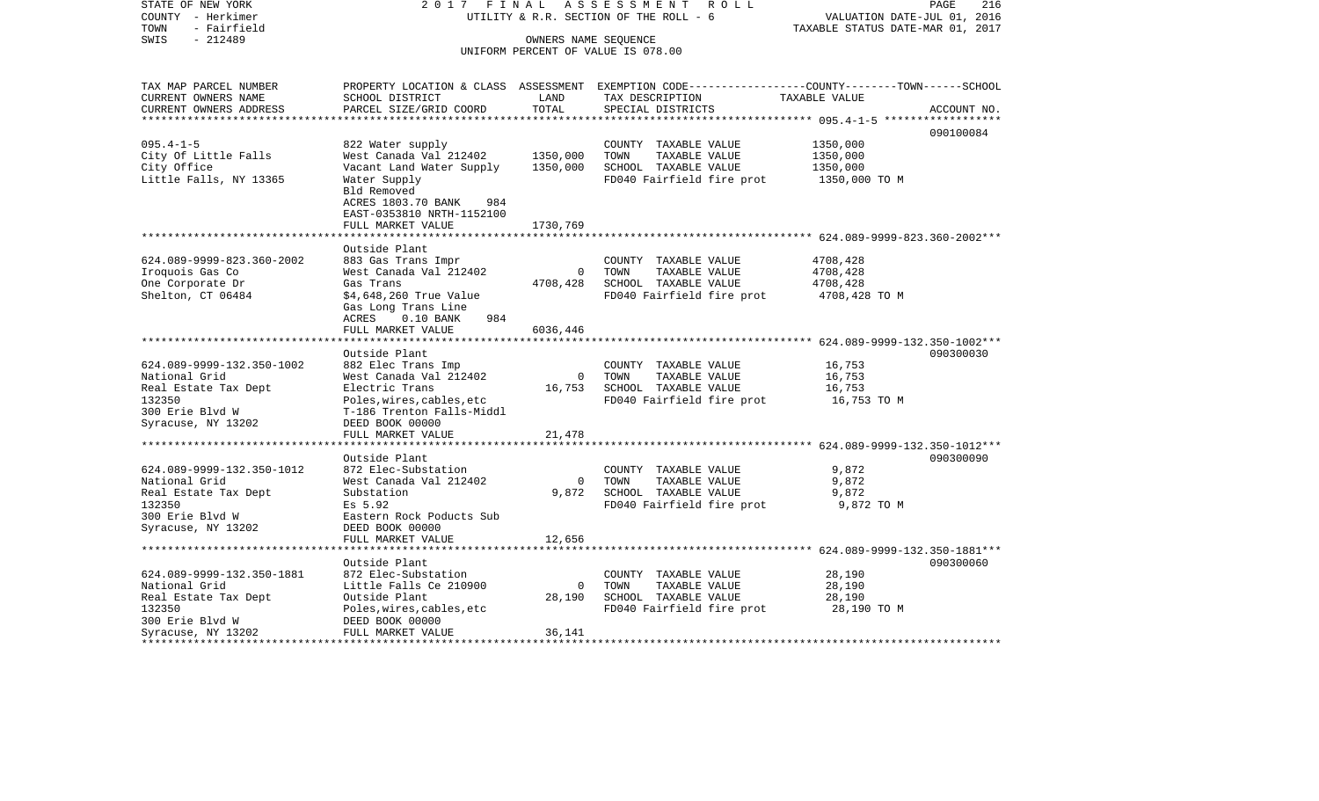| STATE OF NEW YORK<br>COUNTY - Herkimer | 2017 FINAL                                         |                    | ASSESSMENT<br>R O L L<br>UTILITY & R.R. SECTION OF THE ROLL - 6                                 | VALUATION DATE-JUL 01, 2016      | PAGE<br>216 |
|----------------------------------------|----------------------------------------------------|--------------------|-------------------------------------------------------------------------------------------------|----------------------------------|-------------|
| - Fairfield<br>TOWN                    |                                                    |                    |                                                                                                 | TAXABLE STATUS DATE-MAR 01, 2017 |             |
| $-212489$<br>SWIS                      |                                                    |                    | OWNERS NAME SEQUENCE                                                                            |                                  |             |
|                                        |                                                    |                    | UNIFORM PERCENT OF VALUE IS 078.00                                                              |                                  |             |
|                                        |                                                    |                    |                                                                                                 |                                  |             |
| TAX MAP PARCEL NUMBER                  |                                                    |                    | PROPERTY LOCATION & CLASS ASSESSMENT EXEMPTION CODE---------------COUNTY-------TOWN------SCHOOL |                                  |             |
| CURRENT OWNERS NAME                    | SCHOOL DISTRICT                                    | LAND               | TAX DESCRIPTION                                                                                 | TAXABLE VALUE                    |             |
| CURRENT OWNERS ADDRESS                 | PARCEL SIZE/GRID COORD                             | TOTAL              | SPECIAL DISTRICTS                                                                               |                                  | ACCOUNT NO. |
|                                        |                                                    |                    |                                                                                                 |                                  |             |
| $095.4 - 1 - 5$                        |                                                    |                    |                                                                                                 |                                  | 090100084   |
| City Of Little Falls                   | 822 Water supply<br>West Canada Val 212402         | 1350,000           | COUNTY TAXABLE VALUE<br>TOWN<br>TAXABLE VALUE                                                   | 1350,000<br>1350,000             |             |
| City Office                            | Vacant Land Water Supply                           | 1350,000           | SCHOOL TAXABLE VALUE                                                                            | 1350,000                         |             |
| Little Falls, NY 13365                 | Water Supply                                       |                    | FD040 Fairfield fire prot                                                                       | 1350,000 TO M                    |             |
|                                        | Bld Removed                                        |                    |                                                                                                 |                                  |             |
|                                        | ACRES 1803.70 BANK<br>984                          |                    |                                                                                                 |                                  |             |
|                                        | EAST-0353810 NRTH-1152100                          |                    |                                                                                                 |                                  |             |
|                                        | FULL MARKET VALUE                                  | 1730,769           |                                                                                                 |                                  |             |
|                                        | *********************                              |                    |                                                                                                 |                                  |             |
|                                        | Outside Plant                                      |                    |                                                                                                 |                                  |             |
| 624.089-9999-823.360-2002              | 883 Gas Trans Impr                                 |                    | COUNTY TAXABLE VALUE                                                                            | 4708,428                         |             |
| Iroquois Gas Co                        | West Canada Val 212402                             | $\mathbf{0}$       | TAXABLE VALUE<br>TOWN                                                                           | 4708,428                         |             |
| One Corporate Dr                       | Gas Trans                                          | 4708,428           | SCHOOL TAXABLE VALUE                                                                            | 4708,428                         |             |
| Shelton, CT 06484                      | \$4,648,260 True Value                             |                    | FD040 Fairfield fire prot                                                                       | 4708,428 TO M                    |             |
|                                        | Gas Long Trans Line<br>ACRES<br>$0.10$ BANK<br>984 |                    |                                                                                                 |                                  |             |
|                                        | FULL MARKET VALUE                                  | 6036,446           |                                                                                                 |                                  |             |
|                                        |                                                    |                    |                                                                                                 |                                  |             |
|                                        | Outside Plant                                      |                    |                                                                                                 |                                  | 090300030   |
| 624.089-9999-132.350-1002              | 882 Elec Trans Imp                                 |                    | COUNTY TAXABLE VALUE                                                                            | 16,753                           |             |
| National Grid                          | West Canada Val 212402                             | $\overline{0}$     | TOWN<br>TAXABLE VALUE                                                                           | 16,753                           |             |
| Real Estate Tax Dept                   | Electric Trans                                     | 16,753             | SCHOOL TAXABLE VALUE                                                                            | 16,753                           |             |
| 132350                                 | Poles, wires, cables, etc                          |                    | FD040 Fairfield fire prot                                                                       | 16,753 TO M                      |             |
| 300 Erie Blvd W                        | T-186 Trenton Falls-Middl                          |                    |                                                                                                 |                                  |             |
| Syracuse, NY 13202                     | DEED BOOK 00000                                    |                    |                                                                                                 |                                  |             |
|                                        | FULL MARKET VALUE<br>********************          | 21,478             | ***************************** 624.089-9999-132.350-1012***                                      |                                  |             |
|                                        | Outside Plant                                      |                    |                                                                                                 |                                  | 090300090   |
| 624.089-9999-132.350-1012              | 872 Elec-Substation                                |                    | COUNTY TAXABLE VALUE                                                                            | 9,872                            |             |
| National Grid                          | West Canada Val 212402                             | $\mathbf 0$        | TOWN<br>TAXABLE VALUE                                                                           | 9,872                            |             |
| Real Estate Tax Dept                   | Substation                                         | 9,872              | SCHOOL TAXABLE VALUE                                                                            | 9,872                            |             |
| 132350                                 | Es 5.92                                            |                    | FD040 Fairfield fire prot                                                                       | 9,872 TO M                       |             |
| 300 Erie Blvd W                        | Eastern Rock Poducts Sub                           |                    |                                                                                                 |                                  |             |
| Syracuse, NY 13202                     | DEED BOOK 00000                                    |                    |                                                                                                 |                                  |             |
|                                        | FULL MARKET VALUE                                  | 12,656             |                                                                                                 |                                  |             |
|                                        | *************************                          |                    | ********************************* 624.089-9999-132.350-1881***                                  |                                  |             |
|                                        | Outside Plant                                      |                    |                                                                                                 |                                  | 090300060   |
| 624.089-9999-132.350-1881              | 872 Elec-Substation                                |                    | COUNTY TAXABLE VALUE                                                                            | 28,190                           |             |
| National Grid                          | Little Falls Ce 210900<br>Outside Plant            | $\Omega$<br>28,190 | TOWN<br>TAXABLE VALUE<br>SCHOOL TAXABLE VALUE                                                   | 28,190<br>28,190                 |             |
| Real Estate Tax Dept<br>132350         | Poles, wires, cables, etc                          |                    | FD040 Fairfield fire prot                                                                       | 28,190 TO M                      |             |
| 300 Erie Blvd W                        | DEED BOOK 00000                                    |                    |                                                                                                 |                                  |             |
| Syracuse, NY 13202                     | FULL MARKET VALUE                                  | 36,141             |                                                                                                 |                                  |             |
|                                        |                                                    |                    |                                                                                                 |                                  |             |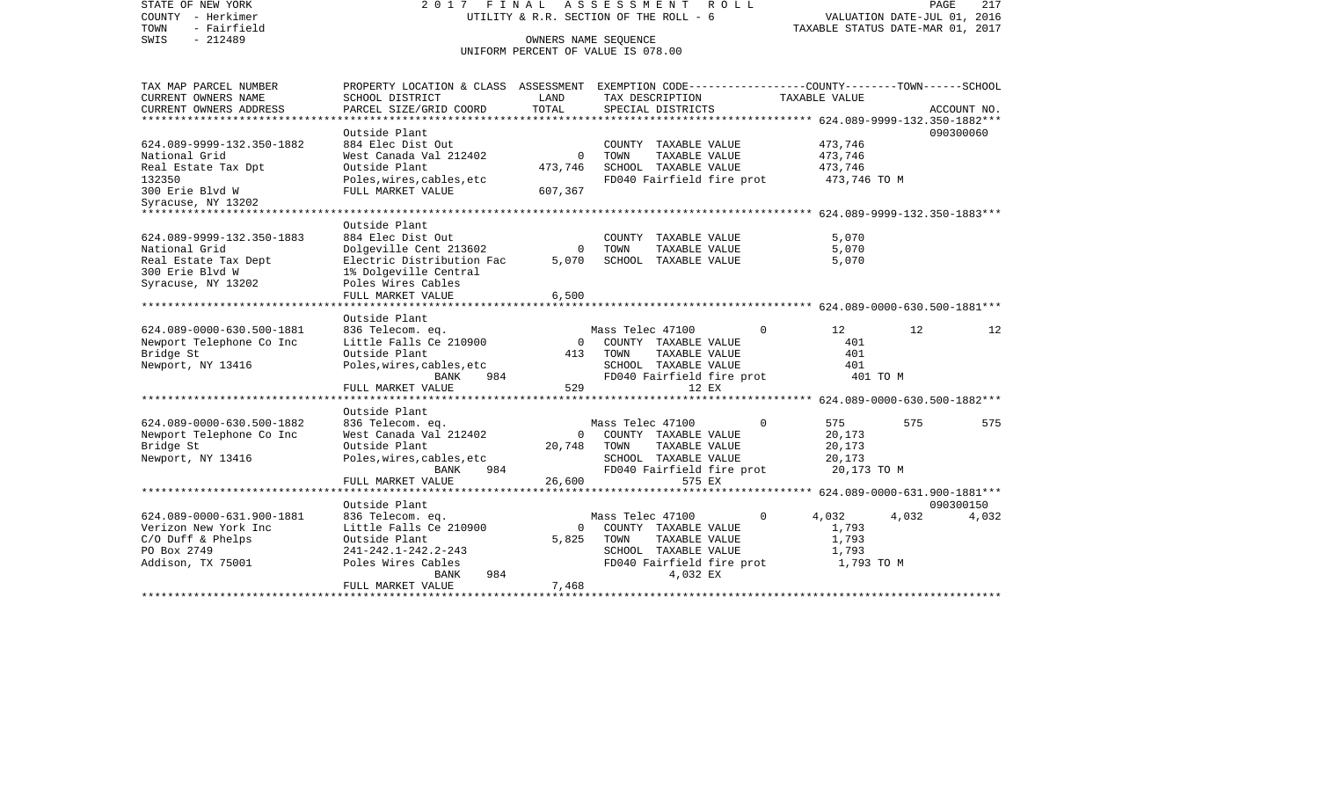| STATE OF NEW YORK<br>COUNTY - Herkimer<br>- Fairfield<br>TOWN<br>$-212489$<br>SWIS | 2017 FINAL                                                                                                          | OWNERS NAME SEQUENCE | ASSESSMENT<br>R O L L<br>UTILITY & R.R. SECTION OF THE ROLL - 6<br>UNIFORM PERCENT OF VALUE IS 078.00 |             | VALUATION DATE-JUL 01, 2016<br>TAXABLE STATUS DATE-MAR 01, 2017 | PAGE  | 217         |
|------------------------------------------------------------------------------------|---------------------------------------------------------------------------------------------------------------------|----------------------|-------------------------------------------------------------------------------------------------------|-------------|-----------------------------------------------------------------|-------|-------------|
| TAX MAP PARCEL NUMBER<br>CURRENT OWNERS NAME                                       | PROPERTY LOCATION & CLASS ASSESSMENT EXEMPTION CODE----------------COUNTY-------TOWN------SCHOOL<br>SCHOOL DISTRICT | LAND                 | TAX DESCRIPTION                                                                                       |             | TAXABLE VALUE                                                   |       |             |
| CURRENT OWNERS ADDRESS                                                             | PARCEL SIZE/GRID COORD                                                                                              | TOTAL                | SPECIAL DISTRICTS                                                                                     |             |                                                                 |       | ACCOUNT NO. |
| **********************                                                             | ********************                                                                                                |                      |                                                                                                       |             |                                                                 |       |             |
|                                                                                    | Outside Plant                                                                                                       |                      |                                                                                                       |             |                                                                 |       | 090300060   |
| 624.089-9999-132.350-1882                                                          | 884 Elec Dist Out                                                                                                   |                      | COUNTY TAXABLE VALUE                                                                                  |             | 473,746                                                         |       |             |
| National Grid                                                                      | West Canada Val 212402                                                                                              | $\Omega$             | TOWN<br>TAXABLE VALUE                                                                                 |             | 473,746                                                         |       |             |
| Real Estate Tax Dpt                                                                | Outside Plant                                                                                                       | 473,746              | SCHOOL TAXABLE VALUE                                                                                  |             | 473,746                                                         |       |             |
| 132350                                                                             | Poles, wires, cables, etc                                                                                           |                      | FD040 Fairfield fire prot                                                                             |             | 473,746 TO M                                                    |       |             |
| 300 Erie Blvd W                                                                    | FULL MARKET VALUE                                                                                                   | 607,367              |                                                                                                       |             |                                                                 |       |             |
| Syracuse, NY 13202                                                                 |                                                                                                                     |                      |                                                                                                       |             | ********* 624.089-9999-132.350-1883***                          |       |             |
|                                                                                    | Outside Plant                                                                                                       |                      |                                                                                                       |             |                                                                 |       |             |
| 624.089-9999-132.350-1883                                                          | 884 Elec Dist Out                                                                                                   |                      | COUNTY TAXABLE VALUE                                                                                  |             | 5,070                                                           |       |             |
| National Grid                                                                      | Dolgeville Cent 213602                                                                                              | $\Omega$             | TOWN<br>TAXABLE VALUE                                                                                 |             | 5,070                                                           |       |             |
| Real Estate Tax Dept                                                               | Electric Distribution Fac                                                                                           | 5,070                | SCHOOL TAXABLE VALUE                                                                                  |             | 5,070                                                           |       |             |
| 300 Erie Blvd W                                                                    | 1% Dolgeville Central                                                                                               |                      |                                                                                                       |             |                                                                 |       |             |
| Syracuse, NY 13202                                                                 | Poles Wires Cables                                                                                                  |                      |                                                                                                       |             |                                                                 |       |             |
|                                                                                    | FULL MARKET VALUE                                                                                                   | 6,500                |                                                                                                       |             |                                                                 |       |             |
|                                                                                    |                                                                                                                     |                      | ***************************** 624.089-0000-630.500-1881***                                            |             |                                                                 |       |             |
|                                                                                    | Outside Plant                                                                                                       |                      |                                                                                                       |             |                                                                 |       |             |
| 624.089-0000-630.500-1881                                                          | 836 Telecom. eq.<br>Little Falls Ce 210900                                                                          | $\Omega$             | Mass Telec 47100<br>COUNTY TAXABLE VALUE                                                              | 0           | 12<br>401                                                       | 12    | 12          |
| Newport Telephone Co Inc<br>Bridge St                                              | Outside Plant                                                                                                       | 413                  | TOWN<br>TAXABLE VALUE                                                                                 |             | 401                                                             |       |             |
| Newport, NY 13416                                                                  | Poles, wires, cables, etc                                                                                           |                      | SCHOOL TAXABLE VALUE                                                                                  |             | 401                                                             |       |             |
|                                                                                    | <b>BANK</b><br>984                                                                                                  |                      | FD040 Fairfield fire prot                                                                             |             | 401 TO M                                                        |       |             |
|                                                                                    | FULL MARKET VALUE                                                                                                   | 529                  | 12 EX                                                                                                 |             |                                                                 |       |             |
|                                                                                    | ******************                                                                                                  |                      |                                                                                                       |             | **** $624.089 - 0000 - 630.500 - 1882$ ***                      |       |             |
|                                                                                    | Outside Plant                                                                                                       |                      |                                                                                                       |             |                                                                 |       |             |
| 624.089-0000-630.500-1882                                                          | 836 Telecom. eq.                                                                                                    |                      | Mass Telec 47100                                                                                      | $\Omega$    | 575                                                             | 575   | 575         |
| Newport Telephone Co Inc                                                           | West Canada Val 212402                                                                                              | $\Omega$             | COUNTY TAXABLE VALUE                                                                                  |             | 20,173                                                          |       |             |
| Bridge St                                                                          | Outside Plant                                                                                                       | 20,748               | TOWN<br>TAXABLE VALUE                                                                                 |             | 20,173                                                          |       |             |
| Newport, NY 13416                                                                  | Poles, wires, cables, etc                                                                                           |                      | SCHOOL TAXABLE VALUE                                                                                  |             | 20,173                                                          |       |             |
|                                                                                    | <b>BANK</b><br>984                                                                                                  |                      | FD040 Fairfield fire prot                                                                             |             | 20,173 TO M                                                     |       |             |
|                                                                                    | FULL MARKET VALUE<br>******************                                                                             | 26,600               | 575 EX                                                                                                |             |                                                                 |       |             |
|                                                                                    | Outside Plant                                                                                                       |                      |                                                                                                       |             |                                                                 |       | 090300150   |
| 624.089-0000-631.900-1881                                                          | 836 Telecom. eq.                                                                                                    |                      | Mass Telec 47100                                                                                      | $\mathbf 0$ | 4,032                                                           | 4,032 | 4,032       |
| Verizon New York Inc                                                               | Little Falls Ce 210900                                                                                              | $\Omega$             | COUNTY TAXABLE VALUE                                                                                  |             | 1,793                                                           |       |             |
| $C/O$ Duff & Phelps                                                                | Outside Plant                                                                                                       | 5,825                | TOWN<br>TAXABLE VALUE                                                                                 |             | 1,793                                                           |       |             |
| PO Box 2749                                                                        | 241-242.1-242.2-243                                                                                                 |                      | SCHOOL TAXABLE VALUE                                                                                  |             | 1,793                                                           |       |             |
| Addison, TX 75001                                                                  | Poles Wires Cables                                                                                                  |                      | FD040 Fairfield fire prot                                                                             |             | 1,793 TO M                                                      |       |             |
|                                                                                    | 984<br><b>BANK</b>                                                                                                  |                      | 4,032 EX                                                                                              |             |                                                                 |       |             |
|                                                                                    | FULL MARKET VALUE                                                                                                   | 7,468                |                                                                                                       |             |                                                                 |       |             |
|                                                                                    |                                                                                                                     |                      |                                                                                                       |             |                                                                 |       |             |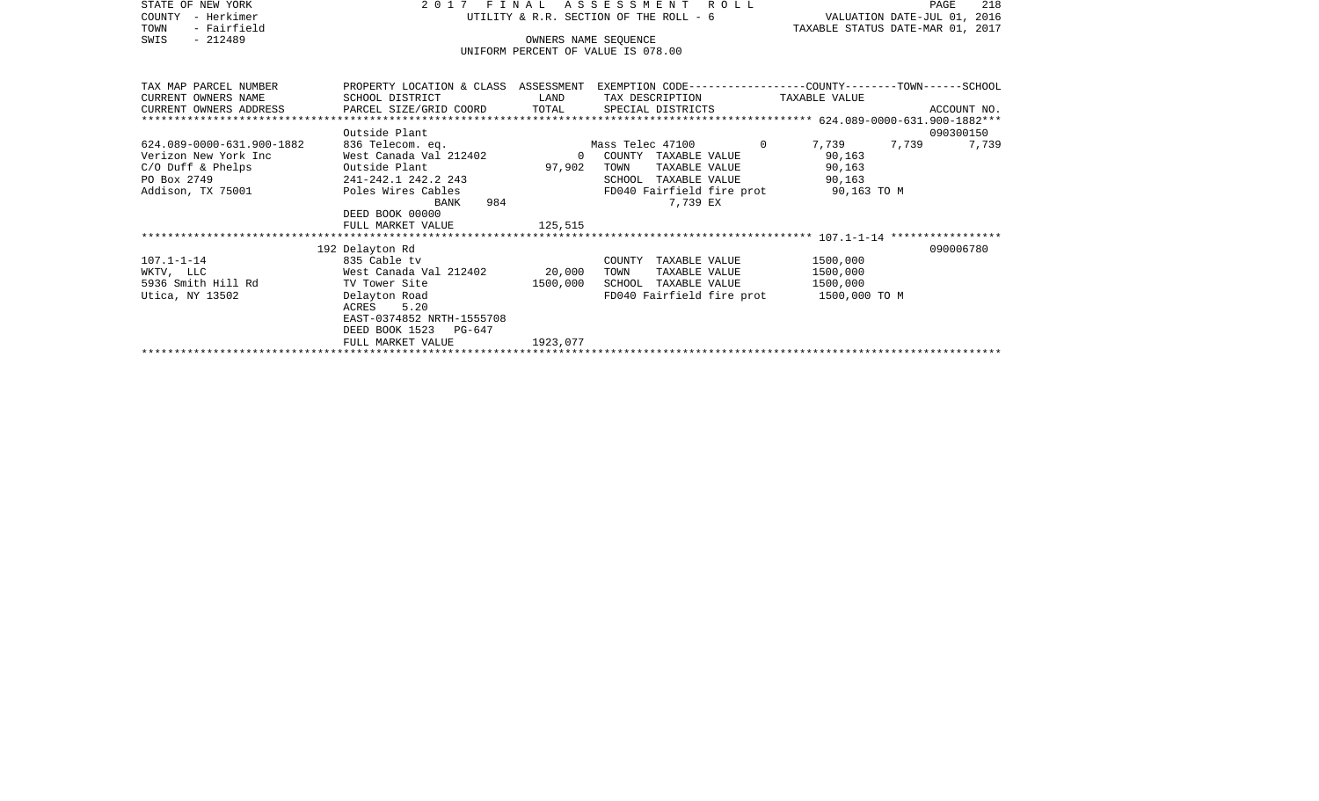| STATE OF NEW YORK         | 2017                               | FINAL    | ASSESSMENT<br>R O L L                         | 218<br>PAGE                                                                                     |  |  |  |  |  |
|---------------------------|------------------------------------|----------|-----------------------------------------------|-------------------------------------------------------------------------------------------------|--|--|--|--|--|
| - Herkimer<br>COUNTY      |                                    |          | UTILITY & R.R. SECTION OF THE ROLL - 6        | VALUATION DATE-JUL 01, 2016                                                                     |  |  |  |  |  |
| - Fairfield<br>TOWN       |                                    |          |                                               | TAXABLE STATUS DATE-MAR 01, 2017                                                                |  |  |  |  |  |
| SWIS<br>$-212489$         |                                    |          |                                               |                                                                                                 |  |  |  |  |  |
|                           | UNIFORM PERCENT OF VALUE IS 078.00 |          |                                               |                                                                                                 |  |  |  |  |  |
|                           |                                    |          |                                               |                                                                                                 |  |  |  |  |  |
|                           |                                    |          |                                               |                                                                                                 |  |  |  |  |  |
| TAX MAP PARCEL NUMBER     |                                    |          |                                               | PROPERTY LOCATION & CLASS ASSESSMENT EXEMPTION CODE---------------COUNTY-------TOWN------SCHOOL |  |  |  |  |  |
| CURRENT OWNERS NAME       | SCHOOL DISTRICT                    |          | LAND TAX DESCRIPTION TAXABLE VALUE            |                                                                                                 |  |  |  |  |  |
| CURRENT OWNERS ADDRESS    | PARCEL SIZE/GRID COORD TOTAL       |          | SPECIAL DISTRICTS                             | ACCOUNT NO.                                                                                     |  |  |  |  |  |
|                           | Outside Plant                      |          |                                               | 090300150                                                                                       |  |  |  |  |  |
| 624.089-0000-631.900-1882 | 836 Telecom. eq.                   |          | Mass Telec 47100 0                            | 7,739<br>7,739<br>7,739                                                                         |  |  |  |  |  |
| Verizon New York Inc      |                                    |          | West Canada Val 212402 0 COUNTY TAXABLE VALUE | 90,163                                                                                          |  |  |  |  |  |
| $C/O$ Duff & Phelps       | Outside Plant                      | 97.902   | TAXABLE VALUE<br>TOWN                         | 90,163                                                                                          |  |  |  |  |  |
| PO Box 2749               | 241-242.1 242.2 243                |          | SCHOOL TAXABLE VALUE                          | 90,163                                                                                          |  |  |  |  |  |
| Addison, TX 75001         | Poles Wires Cables<br>BANK 984     |          |                                               | FD040 Fairfield fire prot 90,163 TO M                                                           |  |  |  |  |  |
|                           |                                    |          | 7,739 EX                                      |                                                                                                 |  |  |  |  |  |
|                           | DEED BOOK 00000                    |          |                                               |                                                                                                 |  |  |  |  |  |
|                           | FULL MARKET VALUE                  | 125,515  |                                               |                                                                                                 |  |  |  |  |  |
|                           |                                    |          |                                               |                                                                                                 |  |  |  |  |  |
|                           | 192 Delayton Rd                    |          |                                               | 090006780                                                                                       |  |  |  |  |  |
| $107.1 - 1 - 14$          | 835 Cable tv                       |          | COUNTY<br>TAXABLE VALUE                       | 1500,000                                                                                        |  |  |  |  |  |
| WKTV, LLC                 | West Canada Val 212402 20,000      |          | TAXABLE VALUE<br>TOWN                         | 1500,000                                                                                        |  |  |  |  |  |
| 5936 Smith Hill Rd        | TV Tower Site                      | 1500,000 | SCHOOL<br>TAXABLE VALUE                       | 1500,000                                                                                        |  |  |  |  |  |
| Utica, NY 13502           | Delayton Road <b>Search School</b> |          | FD040 Fairfield fire prot 1500,000 TO M       |                                                                                                 |  |  |  |  |  |
|                           | ACRES<br>5.20                      |          |                                               |                                                                                                 |  |  |  |  |  |
|                           | EAST-0374852 NRTH-1555708          |          |                                               |                                                                                                 |  |  |  |  |  |

\*\*\*\*\*\*\*\*\*\*\*\*\*\*\*\*\*\*\*\*\*\*\*\*\*\*\*\*\*\*\*\*\*\*\*\*\*\*\*\*\*\*\*\*\*\*\*\*\*\*\*\*\*\*\*\*\*\*\*\*\*\*\*\*\*\*\*\*\*\*\*\*\*\*\*\*\*\*\*\*\*\*\*\*\*\*\*\*\*\*\*\*\*\*\*\*\*\*\*\*\*\*\*\*\*\*\*\*\*\*\*\*\*\*\*\*\*\*\*\*\*\*\*\*\*\*\*\*\*\*\*\*

DEED BOOK 1523 PG-647

FULL MARKET VALUE 1923,077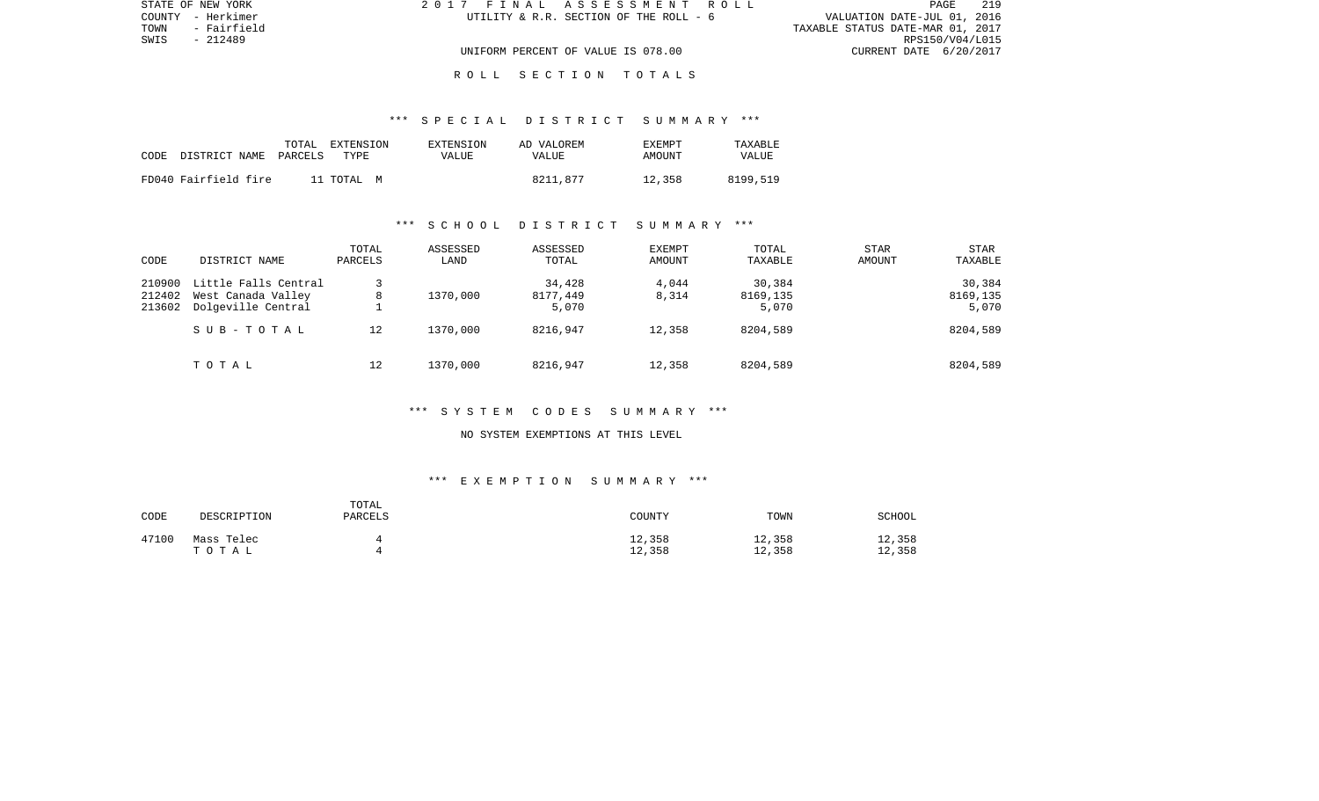| STATE OF NEW YORK   | 2017 FINAL ASSESSMENT ROLL             | 219<br>PAGE                      |
|---------------------|----------------------------------------|----------------------------------|
| COUNTY - Herkimer   | UTILITY & R.R. SECTION OF THE ROLL - 6 | VALUATION DATE-JUL 01, 2016      |
| TOWN<br>- Fairfield |                                        | TAXABLE STATUS DATE-MAR 01, 2017 |
| SWIS<br>- 212489    |                                        | RPS150/V04/L015                  |
|                     | UNIFORM PERCENT OF VALUE IS 078.00     | CURRENT DATE 6/20/2017           |
|                     |                                        |                                  |

#### R O L L S E C T I O N T O T A L S

#### \*\*\* S P E C I A L D I S T R I C T S U M M A R Y \*\*\*

| CODE | DISTRICT NAME        | TOTAL<br>PARCELS | EXTENSION<br>TYPE. | EXTENSION<br>VALUE | AD VALOREM<br>VALUE | <b>EXEMPT</b><br>AMOUNT | <b>TAXARLE</b><br>VALUE |
|------|----------------------|------------------|--------------------|--------------------|---------------------|-------------------------|-------------------------|
|      | FD040 Fairfield fire |                  | 11 TOTAL M         |                    | 8211,877            | 12,358                  | 8199,519                |

#### \*\*\* S C H O O L D I S T R I C T S U M M A R Y \*\*\*

| CODE                       | DISTRICT NAME                                                    | TOTAL<br>PARCELS | ASSESSED<br>LAND | ASSESSED<br>TOTAL           | <b>EXEMPT</b><br>AMOUNT | TOTAL<br>TAXABLE            | <b>STAR</b><br>AMOUNT | <b>STAR</b><br>TAXABLE      |
|----------------------------|------------------------------------------------------------------|------------------|------------------|-----------------------------|-------------------------|-----------------------------|-----------------------|-----------------------------|
| 210900<br>212402<br>213602 | Little Falls Central<br>West Canada Valley<br>Dolgeville Central | 8                | 1370,000         | 34,428<br>8177,449<br>5,070 | 4,044<br>8,314          | 30,384<br>8169,135<br>5,070 |                       | 30,384<br>8169,135<br>5,070 |
|                            | SUB-TOTAL                                                        | 12               | 1370,000         | 8216,947                    | 12,358                  | 8204,589                    |                       | 8204,589                    |
|                            | TOTAL                                                            | 12               | 1370,000         | 8216,947                    | 12,358                  | 8204,589                    |                       | 8204,589                    |

#### \*\*\* S Y S T E M C O D E S S U M M A R Y \*\*\*

#### NO SYSTEM EXEMPTIONS AT THIS LEVEL

| CODE  | DESCRIPTION         | TOTAL<br>PARCELS | COUNTY           | TOWN             | <b>SCHOOL</b>    |
|-------|---------------------|------------------|------------------|------------------|------------------|
| 47100 | Mass Telec<br>TOTAL |                  | 12,358<br>12,358 | 12,358<br>12,358 | 12,358<br>12,358 |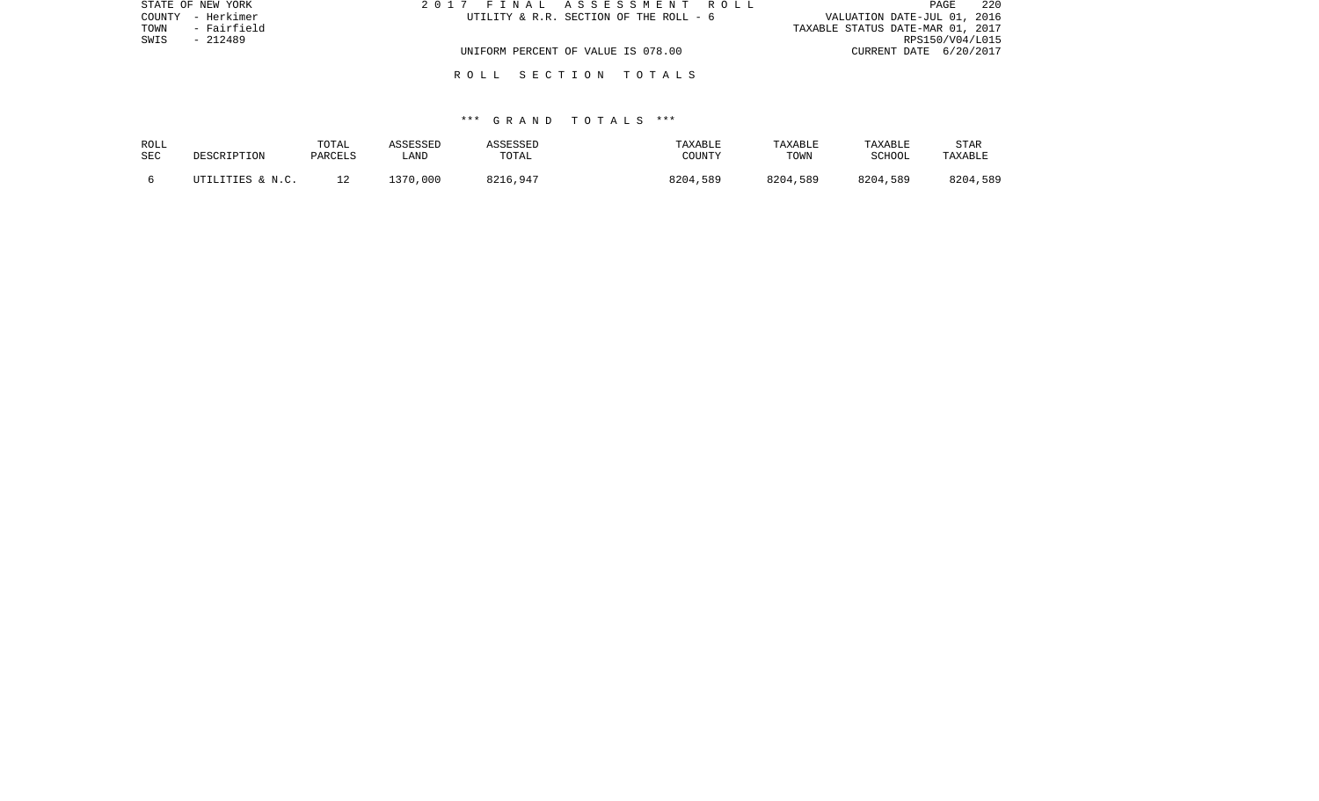| STATE OF NEW YORK   | 2017 FINAL ASSESSMENT ROLL             | 220<br>PAGE                      |
|---------------------|----------------------------------------|----------------------------------|
| COUNTY - Herkimer   | UTILITY & R.R. SECTION OF THE ROLL - 6 | VALUATION DATE-JUL 01, 2016      |
| TOWN<br>- Fairfield |                                        | TAXABLE STATUS DATE-MAR 01, 2017 |
| SWIS<br>- 212489    |                                        | RPS150/V04/L015                  |
|                     | UNIFORM PERCENT OF VALUE IS 078.00     | CURRENT DATE 6/20/2017           |
|                     |                                        |                                  |

R O L L S E C T I O N T O T A L S

#### \*\*\* G R A N D T O T A L S \*\*\*

| ROLL<br>SEC | DESCRIPTION      | TOTAL<br>PARCELS | ASSESSED<br>_AND | ASSESSED<br>TOTAL | TAXABLE<br>COUNTY | TAXABLE<br>TOWN | TAXABLE<br><b>SCHOOL</b> | STAR<br>TAXABLE |
|-------------|------------------|------------------|------------------|-------------------|-------------------|-----------------|--------------------------|-----------------|
|             | UTILITIES & N.C. |                  | 1370,000         | 8216,947          | 8204,589          | 8204,589        | 8204,589                 | 8204,589        |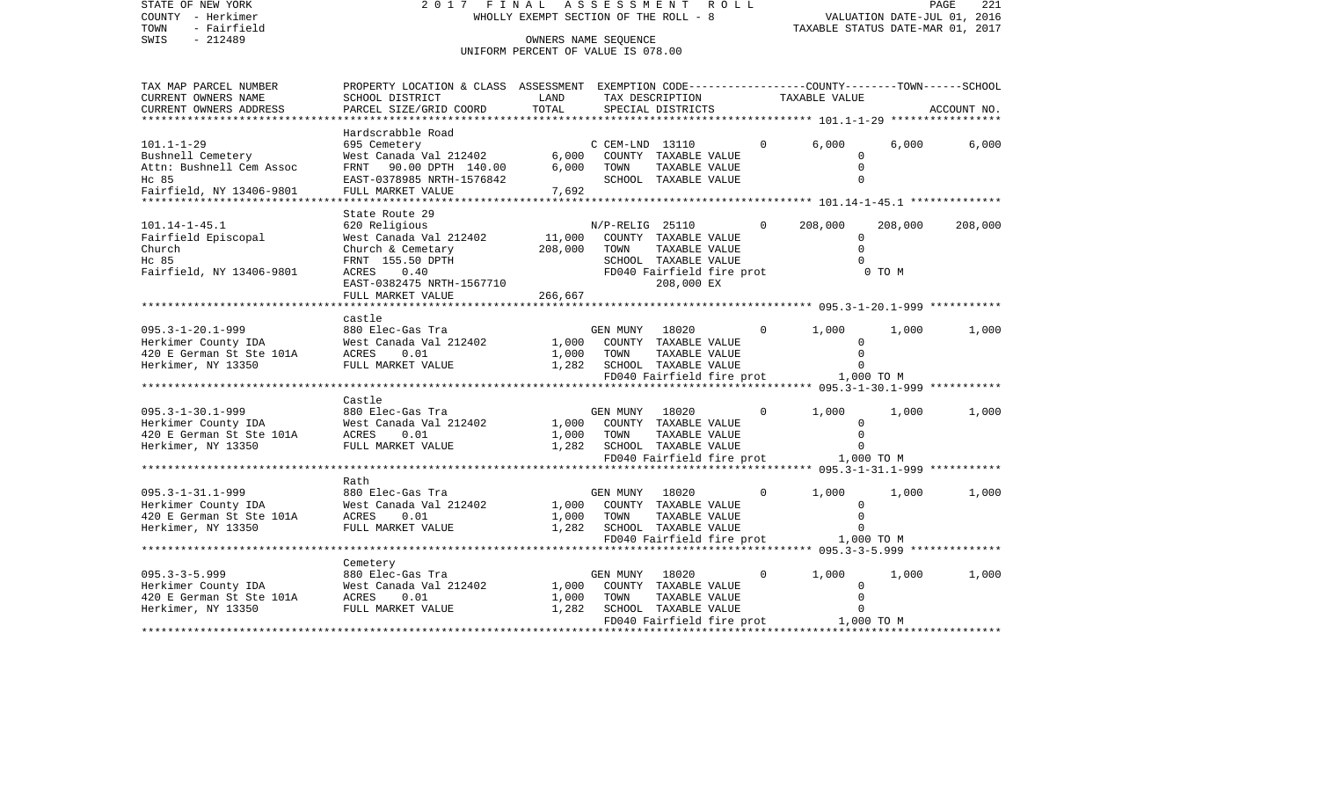| STATE OF NEW YORK<br>COUNTY - Herkimer<br>TOWN<br>- Fairfield | 2017 FINAL ASSESSMENT ROLL                                                                           | WHOLLY EXEMPT SECTION OF THE ROLL - 8                      |                |                                             |              |                                      | VALUATION DATE-JUL 01, 2016<br>TAXABLE STATUS DATE-MAR 01, 2017 | PAGE<br>221 |
|---------------------------------------------------------------|------------------------------------------------------------------------------------------------------|------------------------------------------------------------|----------------|---------------------------------------------|--------------|--------------------------------------|-----------------------------------------------------------------|-------------|
| $-212489$<br>SWIS                                             |                                                                                                      | OWNERS NAME SEQUENCE<br>UNIFORM PERCENT OF VALUE IS 078.00 |                |                                             |              |                                      |                                                                 |             |
| TAX MAP PARCEL NUMBER                                         | PROPERTY LOCATION & CLASS ASSESSMENT EXEMPTION CODE---------------COUNTY-------TOWN------SCHOOL      |                                                            |                |                                             |              |                                      |                                                                 |             |
| CURRENT OWNERS NAME                                           | SCHOOL DISTRICT                                                                                      | LAND                                                       |                | TAX DESCRIPTION                             |              | TAXABLE VALUE                        |                                                                 |             |
| CURRENT OWNERS ADDRESS                                        | PARCEL SIZE/GRID COORD                                                                               | TOTAL                                                      |                | SPECIAL DISTRICTS                           |              |                                      |                                                                 | ACCOUNT NO. |
|                                                               | Hardscrabble Road                                                                                    |                                                            |                |                                             |              |                                      |                                                                 |             |
| $101.1 - 1 - 29$                                              | 695 Cemetery                                                                                         |                                                            |                | $C$ CEM-LND $13110$                         |              | $\overline{0}$<br>6.000              | 6,000                                                           | 6,000       |
| Bushnell Cemetery                                             | West Canada Val 212402 6,000 COUNTY TAXABLE VALUE<br>FRNT 90.00 DPTH 140.00 6,000 TOWN TAXABLE VALUE |                                                            |                |                                             |              |                                      | $\Omega$                                                        |             |
| Attn: Bushnell Cem Assoc                                      |                                                                                                      |                                                            |                |                                             |              |                                      | $\Omega$                                                        |             |
| Hc 85                                                         | EAST-0378985 NRTH-1576842                                                                            |                                                            |                | SCHOOL TAXABLE VALUE                        |              |                                      |                                                                 |             |
| Fairfield, NY 13406-9801                                      | FULL MARKET VALUE                                                                                    | 7,692                                                      |                |                                             |              |                                      |                                                                 |             |
|                                                               | State Route 29                                                                                       |                                                            |                |                                             |              |                                      |                                                                 |             |
| $101.14 - 1 - 45.1$                                           | 620 Religious                                                                                        |                                                            |                | N/P-RELIG 25110                             | $\Omega$     | 208,000                              | 208,000                                                         | 208,000     |
| Fairfield Episcopal                                           | West Canada Val 212402                                                                               | 11,000                                                     |                | COUNTY TAXABLE VALUE                        |              |                                      | $\overline{0}$                                                  |             |
| Church                                                        | Church & Cemetary                                                                                    | 208,000                                                    | TOWN           | TAXABLE VALUE                               |              |                                      | $\Omega$                                                        |             |
| Hc 85                                                         | FRNT 155.50 DPTH                                                                                     |                                                            |                | SCHOOL TAXABLE VALUE                        |              |                                      |                                                                 |             |
| Fairfield, NY 13406-9801                                      | ACRES 0.40                                                                                           |                                                            |                | FD040 Fairfield fire prot                   |              |                                      | $0$ TO M                                                        |             |
|                                                               | EAST-0382475 NRTH-1567710                                                                            |                                                            |                | 208,000 EX                                  |              |                                      |                                                                 |             |
|                                                               | FULL MARKET VALUE                                                                                    | 266,667                                                    |                |                                             |              |                                      |                                                                 |             |
|                                                               | castle                                                                                               |                                                            |                |                                             |              |                                      |                                                                 |             |
|                                                               |                                                                                                      |                                                            | GEN MUNY 18020 |                                             | $\Omega$     | 1,000                                | 1,000                                                           | 1,000       |
|                                                               |                                                                                                      |                                                            |                | 1,000 COUNTY TAXABLE VALUE                  |              |                                      | $\Omega$                                                        |             |
|                                                               |                                                                                                      | 1,000                                                      | TOWN           | TAXABLE VALUE                               |              |                                      | $\Omega$                                                        |             |
| Herkimer, NY 13350                                            | FULL MARKET VALUE                                                                                    | 1,282 SCHOOL TAXABLE VALUE                                 |                |                                             |              |                                      |                                                                 |             |
|                                                               |                                                                                                      |                                                            |                |                                             |              | FD040 Fairfield fire prot 1,000 TO M |                                                                 |             |
|                                                               |                                                                                                      |                                                            |                |                                             |              |                                      |                                                                 |             |
| 095.3-1-30.1-999                                              | Castle<br>880 Elec-Gas Tra                                                                           |                                                            | GEN MUNY 18020 |                                             | $\Omega$     | 1,000                                | 1,000                                                           | 1,000       |
|                                                               |                                                                                                      |                                                            |                | 1,000 COUNTY TAXABLE VALUE                  |              |                                      | $\mathbf{0}$                                                    |             |
|                                                               |                                                                                                      | 1,000                                                      | TOWN           | TAXABLE VALUE                               |              |                                      | $\Omega$                                                        |             |
| Herkimer, NY 13350                                            | FULL MARKET VALUE                                                                                    |                                                            |                | 1,282 SCHOOL TAXABLE VALUE                  |              |                                      | $\Omega$                                                        |             |
|                                                               |                                                                                                      |                                                            |                | FD040 Fairfield fire prot                   |              | 1,000 TO M                           |                                                                 |             |
|                                                               |                                                                                                      |                                                            |                |                                             |              |                                      |                                                                 |             |
|                                                               | Rath                                                                                                 |                                                            |                |                                             |              |                                      |                                                                 |             |
| 095.3-1-31.1-999<br>095.3–1–31.1–999<br>Herkimer County IDA   | 880 Elec-Gas Tra<br>West Canada Val 212402                                                           |                                                            | GEN MUNY       | 18020                                       | $\circ$      | 1,000                                | 1,000                                                           | 1,000       |
| 420 E German St Ste 101A ACRES 0.01                           |                                                                                                      | 1,000                                                      | TOWN           | 1,000 COUNTY TAXABLE VALUE<br>TAXABLE VALUE |              |                                      | $\mathbf{0}$<br>$\Omega$                                        |             |
| Herkimer, NY 13350                                            | FULL MARKET VALUE                                                                                    | 1,282                                                      |                | SCHOOL TAXABLE VALUE                        |              |                                      | $\Omega$                                                        |             |
|                                                               |                                                                                                      |                                                            |                | FD040 Fairfield fire prot                   |              | 1,000 TO M                           |                                                                 |             |
|                                                               |                                                                                                      |                                                            |                |                                             |              |                                      |                                                                 |             |
|                                                               | Cemetery                                                                                             |                                                            |                |                                             |              |                                      |                                                                 |             |
| $095.3 - 3 - 5.999$                                           | 880 Elec-Gas Tra                                                                                     |                                                            | GEN MUNY       | 18020                                       | $\mathbf{0}$ | 1,000                                | 1,000                                                           | 1,000       |
| Herkimer County IDA                                           | West Canada Val 212402                                                                               | 1,000                                                      |                | COUNTY TAXABLE VALUE                        |              |                                      | 0                                                               |             |
| 420 E German St Ste 101A                                      | <b>ACRES</b><br>0.01                                                                                 | 1,000                                                      | TOWN           | TAXABLE VALUE                               |              |                                      | $\Omega$                                                        |             |
| Herkimer, NY 13350                                            | FULL MARKET VALUE                                                                                    | 1,282                                                      |                | SCHOOL TAXABLE VALUE                        |              | FD040 Fairfield fire prot 1,000 TO M | $\Omega$                                                        |             |
|                                                               |                                                                                                      |                                                            |                |                                             |              |                                      |                                                                 |             |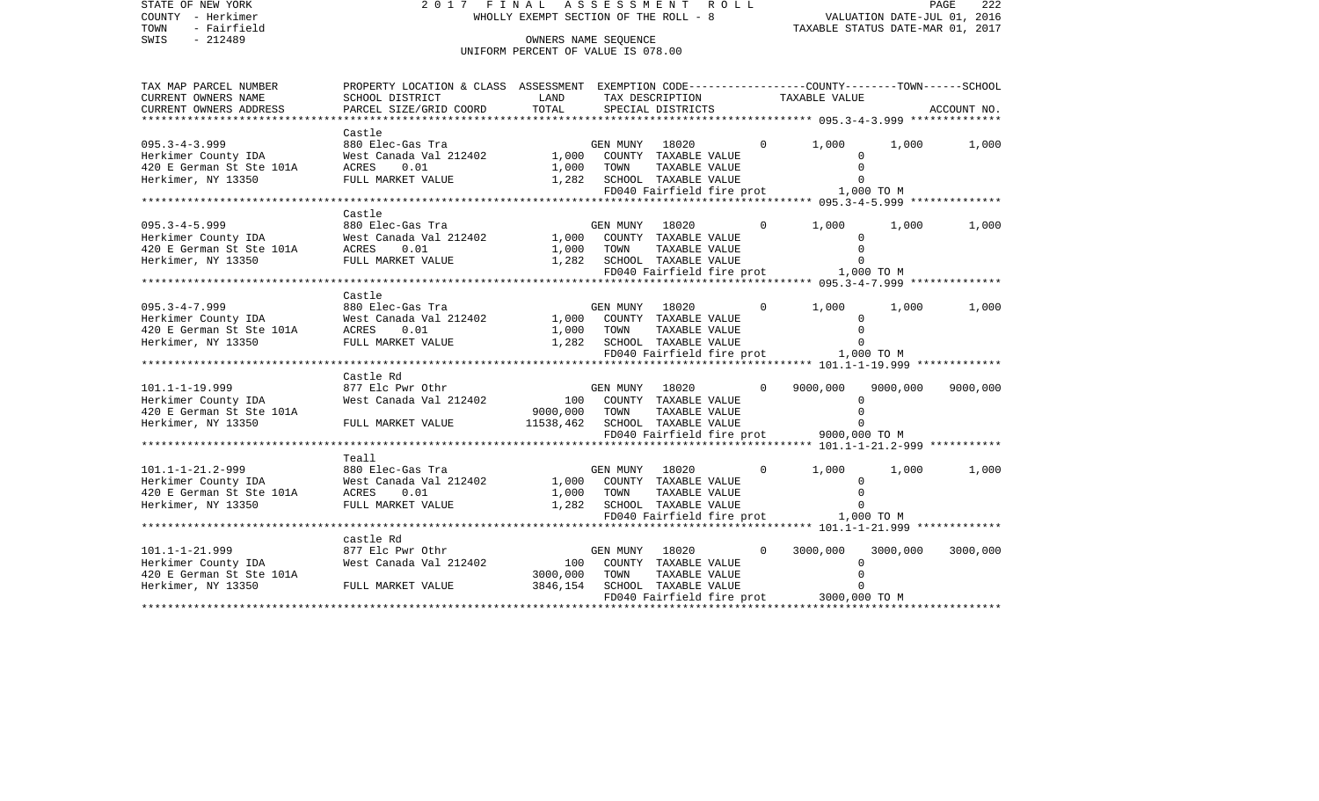| STATE OF NEW YORK<br>COUNTY - Herkimer<br>TOWN<br>- Fairfield<br>$-212489$<br>SWIS                                                      | 2017 FINAL                                                                                                        | WHOLLY EXEMPT SECTION OF THE ROLL - 8<br>OWNERS NAME SEOUENCE |            | ASSESSMENT ROLL            |             | VALUATION DATE-JUL 01, 2016<br>TAXABLE STATUS DATE-MAR 01, 2017 |          | PAGE<br>222 |
|-----------------------------------------------------------------------------------------------------------------------------------------|-------------------------------------------------------------------------------------------------------------------|---------------------------------------------------------------|------------|----------------------------|-------------|-----------------------------------------------------------------|----------|-------------|
|                                                                                                                                         |                                                                                                                   | UNIFORM PERCENT OF VALUE IS 078.00                            |            |                            |             |                                                                 |          |             |
| TAX MAP PARCEL NUMBER<br>CURRENT OWNERS NAME                                                                                            | PROPERTY LOCATION & CLASS ASSESSMENT EXEMPTION CODE---------------COUNTY-------TOWN-----SCHOOL<br>SCHOOL DISTRICT | LAND                                                          |            | TAX DESCRIPTION            |             | TAXABLE VALUE                                                   |          |             |
| CURRENT OWNERS ADDRESS<br>***********************                                                                                       | PARCEL SIZE/GRID COORD                                                                                            | TOTAL                                                         |            | SPECIAL DISTRICTS          |             |                                                                 |          | ACCOUNT NO. |
|                                                                                                                                         | Castle                                                                                                            |                                                               |            |                            |             |                                                                 |          |             |
| $095.3 - 4 - 3.999$                                                                                                                     | 880 Elec-Gas Tra                                                                                                  |                                                               |            | GEN MUNY 18020             | $\Omega$    | 1,000                                                           | 1,000    | 1,000       |
|                                                                                                                                         | West Canada Val 212402 1,000 COUNTY TAXABLE VALUE<br>ACRES 0.01 1,000 TOWN TAXABLE VALUE                          |                                                               |            |                            |             | $\Omega$                                                        |          |             |
| Herkimer County IDA<br>420 E German St Ste 101A                                                                                         | ACRES                                                                                                             |                                                               |            |                            |             | $\Omega$                                                        |          |             |
| Herkimer, NY 13350                                                                                                                      | FULL MARKET VALUE                                                                                                 | 1,282 SCHOOL TAXABLE VALUE                                    |            |                            |             | $\Omega$                                                        |          |             |
|                                                                                                                                         |                                                                                                                   |                                                               |            |                            |             | FD040 Fairfield fire prot 1,000 TO M                            |          |             |
|                                                                                                                                         |                                                                                                                   |                                                               |            |                            |             |                                                                 |          |             |
| $095.3 - 4 - 5.999$                                                                                                                     | Castle<br>880 Elec-Gas Tra                                                                                        |                                                               |            | GEN MUNY 18020             | $\mathbf 0$ | 1,000                                                           | 1,000    | 1,000       |
| 095.3-4-5.999 880 Ele<br>Herkimer County IDA West Ca<br>420 E German St Ste 101A ACRES<br>Herkimer, NY 13350 FULL MA                    | West Canada Val 212402 1,000 COUNTY TAXABLE VALUE                                                                 |                                                               |            |                            |             | 0                                                               |          |             |
|                                                                                                                                         | 0.01                                                                                                              | 1,000 TOWN                                                    |            | TAXABLE VALUE              |             | $\Omega$                                                        |          |             |
| Herkimer, NY 13350                                                                                                                      | FULL MARKET VALUE                                                                                                 | 1,282 SCHOOL TAXABLE VALUE                                    |            |                            |             | $\Omega$                                                        |          |             |
|                                                                                                                                         |                                                                                                                   |                                                               |            |                            |             | FD040 Fairfield fire prot 1,000 TO M                            |          |             |
|                                                                                                                                         |                                                                                                                   |                                                               |            |                            |             |                                                                 |          |             |
|                                                                                                                                         | Castle                                                                                                            |                                                               |            |                            |             |                                                                 |          |             |
| $095.3 - 4 - 7.999$                                                                                                                     | 880 Elec-Gas Tra                                                                                                  |                                                               |            | GEN MUNY 18020             | $\Omega$    | 1,000                                                           | 1,000    | 1,000       |
|                                                                                                                                         | West Canada Val 212402 1,000 COUNTY TAXABLE VALUE<br>0.01                                                         |                                                               |            |                            |             | $\Omega$<br>$\Omega$                                            |          |             |
| 095.3-4-7.999 880 El<br>Herkimer County IDA West C<br>420 E German St Ste 101A ACRES<br>Herkimer, NY 13350 FULL M<br>Herkimer, NY 13350 | FULL MARKET VALUE                                                                                                 | 1,000 TOWN TAXABLE VALUE<br>1,282 SCHOOL TAXABLE VALUE        |            |                            |             | $\Omega$                                                        |          |             |
|                                                                                                                                         |                                                                                                                   |                                                               |            |                            |             | FD040 Fairfield fire prot 1,000 TO M                            |          |             |
|                                                                                                                                         |                                                                                                                   |                                                               |            |                            |             |                                                                 |          |             |
|                                                                                                                                         | Castle Rd                                                                                                         |                                                               |            |                            |             |                                                                 |          |             |
| $101.1 - 1 - 19.999$                                                                                                                    | 877 Elc Pwr Othr                                                                                                  |                                                               |            | GEN MUNY 18020             |             | 9000,000                                                        | 9000,000 | 9000,000    |
| Herkimer County IDA                                                                                                                     | West Canada Val 212402                                                                                            | 100 COUNTY TAXABLE VALUE                                      |            |                            |             | $\Omega$                                                        |          |             |
| 420 E German St Ste 101A<br>Herkimer, NY 13350                                                                                          |                                                                                                                   | 9000,000 TOWN<br>11538,462 SCHOOL TAXABLE VALUE               |            | TAXABLE VALUE              |             | $\mathbf 0$<br>$\Omega$                                         |          |             |
|                                                                                                                                         | FULL MARKET VALUE                                                                                                 |                                                               |            |                            |             | FD040 Fairfield fire prot 9000,000 TO M                         |          |             |
|                                                                                                                                         |                                                                                                                   |                                                               |            |                            |             |                                                                 |          |             |
|                                                                                                                                         | Teall                                                                                                             |                                                               |            |                            |             |                                                                 |          |             |
| 101.1-1-21.2-999 880 Ele<br>Herkimer County IDA West Ca<br>420 E German St Ste 101A ACRES<br>Herkimer, NY 13350 FULL MA                 | 880 Elec-Gas Tra                                                                                                  |                                                               |            | GEN MUNY 18020             | $\Omega$    | 1,000                                                           | 1,000    | 1,000       |
|                                                                                                                                         | West Canada Val 212402                                                                                            | 1,000 COUNTY TAXABLE VALUE                                    |            |                            |             | $\Omega$                                                        |          |             |
|                                                                                                                                         | 0.01                                                                                                              |                                                               | 1,000 TOWN | TAXABLE VALUE              |             | $\mathbf 0$                                                     |          |             |
|                                                                                                                                         | FULL MARKET VALUE                                                                                                 |                                                               |            | 1,282 SCHOOL TAXABLE VALUE |             | $\Omega$                                                        |          |             |
|                                                                                                                                         |                                                                                                                   |                                                               |            |                            |             | FD040 Fairfield fire prot 1,000 TO M                            |          |             |
|                                                                                                                                         | castle Rd                                                                                                         |                                                               |            |                            |             |                                                                 |          |             |
|                                                                                                                                         | 877 Elc Pwr Othr                                                                                                  |                                                               |            | GEN MUNY 18020             | $\Omega$    | 3000,000                                                        | 3000,000 | 3000,000    |
| 101.1-1-21.999<br>Herkimer County IDA                                                                                                   | West Canada Val 212402                                                                                            |                                                               |            | 100 COUNTY TAXABLE VALUE   |             | $\mathbf 0$                                                     |          |             |
| 420 E German St Ste 101A                                                                                                                |                                                                                                                   | 3000,000                                                      | TOWN       | TAXABLE VALUE              |             | $\mathbf 0$                                                     |          |             |
| Herkimer, NY 13350                                                                                                                      | -<br>FULL MARKET VALUE                                                                                            | 3846,154                                                      |            | SCHOOL TAXABLE VALUE       |             | $\Omega$                                                        |          |             |
|                                                                                                                                         |                                                                                                                   |                                                               |            |                            |             | FD040 Fairfield fire prot 3000,000 TO M                         |          |             |
|                                                                                                                                         |                                                                                                                   |                                                               |            |                            |             |                                                                 |          |             |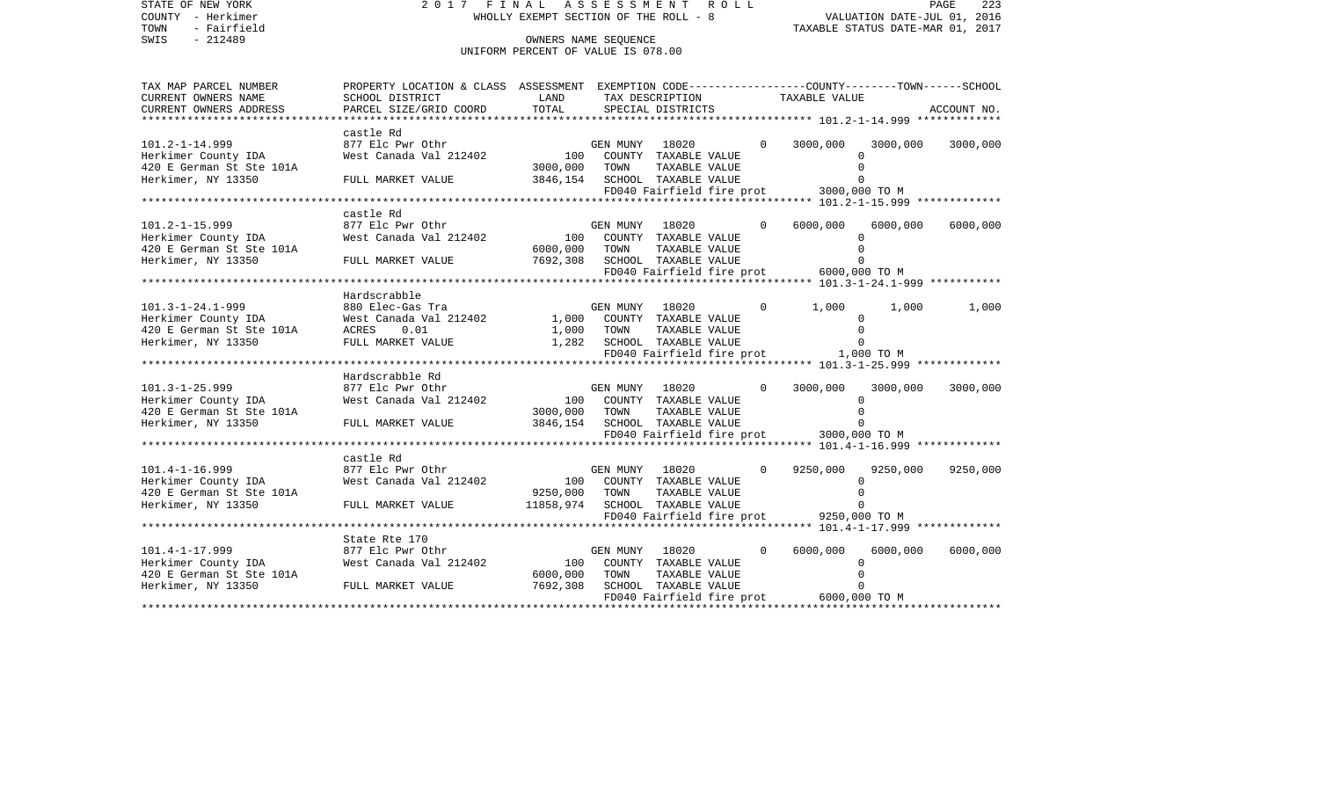| STATE OF NEW YORK<br>COUNTY - Herkimer<br>TOWN<br>- Fairfield         | 2017 FINAL ASSESSMENT ROLL                                                                     | WHOLLY EXEMPT SECTION OF THE ROLL - 8                              |                |                      |          | VALUATION DATE-JUL 01, 2016             | TAXABLE STATUS DATE-MAR 01, 2017 | PAGE<br>223 |
|-----------------------------------------------------------------------|------------------------------------------------------------------------------------------------|--------------------------------------------------------------------|----------------|----------------------|----------|-----------------------------------------|----------------------------------|-------------|
| $-212489$<br>SWIS                                                     |                                                                                                | OWNERS NAME SEOUENCE<br>UNIFORM PERCENT OF VALUE IS 078.00         |                |                      |          |                                         |                                  |             |
|                                                                       |                                                                                                |                                                                    |                |                      |          |                                         |                                  |             |
| TAX MAP PARCEL NUMBER                                                 | PROPERTY LOCATION & CLASS ASSESSMENT EXEMPTION CODE---------------COUNTY-------TOWN-----SCHOOL |                                                                    |                |                      |          |                                         |                                  |             |
| CURRENT OWNERS NAME                                                   | SCHOOL DISTRICT                                                                                | LAND                                                               |                | TAX DESCRIPTION      |          | TAXABLE VALUE                           |                                  |             |
| CURRENT OWNERS ADDRESS<br>***********************                     | PARCEL SIZE/GRID COORD                                                                         | TOTAL                                                              |                | SPECIAL DISTRICTS    |          |                                         |                                  | ACCOUNT NO. |
|                                                                       | castle Rd                                                                                      |                                                                    |                |                      |          |                                         |                                  |             |
| $101.2 - 1 - 14.999$                                                  | 877 Elc Pwr Othr                                                                               |                                                                    | GEN MUNY 18020 |                      | $\Omega$ | 3000,000                                | 3000,000                         | 3000,000    |
| Herkimer County IDA                                                   |                                                                                                |                                                                    |                |                      |          | $\Omega$                                |                                  |             |
| 420 E German St Ste 101A                                              |                                                                                                | 3000,000 TOWN                                                      |                | TAXABLE VALUE        |          | $\Omega$                                |                                  |             |
| Herkimer, NY 13350                                                    | FULL MARKET VALUE                                                                              | 3846,154 SCHOOL TAXABLE VALUE                                      |                |                      |          | $\Omega$                                |                                  |             |
|                                                                       |                                                                                                |                                                                    |                |                      |          | FD040 Fairfield fire prot 3000,000 TO M |                                  |             |
|                                                                       |                                                                                                |                                                                    |                |                      |          |                                         |                                  |             |
|                                                                       | castle Rd                                                                                      |                                                                    |                |                      |          |                                         |                                  |             |
| $101.2 - 1 - 15.999$                                                  | 877 Elc Pwr Othr                                                                               |                                                                    | GEN MUNY 18020 |                      | $\Omega$ | 6000,000<br>$\Omega$                    | 6000,000                         | 6000,000    |
| Herkimer County IDA                                                   |                                                                                                |                                                                    |                |                      |          | $\Omega$                                |                                  |             |
| 420 E German St Ste 101A<br>Herkimer, NY 13350                        | FULL MARKET VALUE                                                                              | 6000,000 TOWN                                                      |                | TAXABLE VALUE        |          | $\Omega$                                |                                  |             |
|                                                                       |                                                                                                | 7692,308 SCHOOL TAXABLE VALUE                                      |                |                      |          | FD040 Fairfield fire prot 6000,000 TO M |                                  |             |
|                                                                       |                                                                                                |                                                                    |                |                      |          |                                         |                                  |             |
|                                                                       | Hardscrabble                                                                                   |                                                                    |                |                      |          |                                         |                                  |             |
| $101.3 - 1 - 24.1 - 999$                                              | 880 Elec-Gas Tra                                                                               |                                                                    | GEN MUNY 18020 |                      | $\circ$  | 1,000                                   | 1,000                            | 1,000       |
|                                                                       | Nest Canada Val 212402 (CEN MUNY 18020                                                         |                                                                    |                |                      |          | $\mathbf 0$                             |                                  |             |
|                                                                       | ACRES<br>0.01                                                                                  |                                                                    |                |                      |          | $\mathbf 0$                             |                                  |             |
| Herkimer County IDA<br>420 E German St Ste 101A<br>Herkimer, NY 13350 | FULL MARKET VALUE                                                                              | 1,000 TOWN TAXABLE VALUE<br>1,282 SCHOOL TAXABLE VALUE             |                |                      |          | $\overline{0}$                          |                                  |             |
|                                                                       |                                                                                                |                                                                    |                |                      |          | FD040 Fairfield fire prot 1,000 TO M    |                                  |             |
|                                                                       |                                                                                                |                                                                    |                |                      |          |                                         |                                  |             |
|                                                                       | Hardscrabble Rd                                                                                |                                                                    |                |                      |          |                                         |                                  |             |
| $101.3 - 1 - 25.999$                                                  | 877 Elc Pwr Othr                                                                               |                                                                    | GEN MUNY 18020 |                      | $\Omega$ | 3000,000                                | 3000,000                         | 3000,000    |
| Herkimer County IDA                                                   | 877 Elc Pwr Othr<br>West Canada Val 212402                                                     | 100 COUNTY TAXABLE VALUE                                           |                |                      |          | $\Omega$                                |                                  |             |
| 420 E German St Ste 101A                                              |                                                                                                | 3000,000 TOWN                                                      |                | TAXABLE VALUE        |          | $\Omega$                                |                                  |             |
| Herkimer, NY 13350                                                    | FULL MARKET VALUE                                                                              | 3846,154 SCHOOL TAXABLE VALUE                                      |                |                      |          | $\Omega$                                |                                  |             |
|                                                                       |                                                                                                |                                                                    |                |                      |          | FD040 Fairfield fire prot 3000,000 TO M |                                  |             |
|                                                                       |                                                                                                |                                                                    |                |                      |          |                                         |                                  |             |
|                                                                       | castle Rd                                                                                      |                                                                    |                |                      |          |                                         |                                  |             |
| $101.4 - 1 - 16.999$                                                  | 877 Elc Pwr Othr                                                                               | GEN MUNY 18020<br>100 COUNTY TAXABLE VALUE                         | GEN MUNY       | 18020 1802           | $\Omega$ | 9250,000                                | 9250,000                         | 9250,000    |
| Herkimer County IDA                                                   | West Canada Val 212402                                                                         |                                                                    |                |                      |          | $\Omega$<br>$\Omega$                    |                                  |             |
| 420 E German St Ste 101A<br>Herkimer, NY 13350                        | FULL MARKET VALUE                                                                              | 9250,000<br>11858, 974 SCHOOL TAXABLE VALUE                        | TOWN           | TAXABLE VALUE        |          | $\Omega$                                |                                  |             |
|                                                                       |                                                                                                |                                                                    |                |                      |          | FD040 Fairfield fire prot 9250,000 TO M |                                  |             |
|                                                                       |                                                                                                |                                                                    |                |                      |          |                                         |                                  |             |
|                                                                       | State Rte 170                                                                                  |                                                                    |                |                      |          |                                         |                                  |             |
|                                                                       | 877 Elc Pwr Othr                                                                               |                                                                    |                |                      | $\Omega$ | 6000,000                                | 6000,000                         | 6000,000    |
| 101.4-1-17.999<br>Herkimer County IDA                                 | West Canada Val 212402                                                                         |                                                                    |                |                      |          | $\mathbf 0$                             |                                  |             |
| 420 E German St Ste 101A                                              |                                                                                                | GEN MUNY LOUZU<br>100 COUNTY TAXABLE VALUE<br>------ TAXABLE VALUE |                |                      |          | $\overline{0}$                          |                                  |             |
| Herkimer, NY 13350 FULL MARKET VALUE                                  |                                                                                                | 7692,308                                                           |                | SCHOOL TAXABLE VALUE |          | $\overline{0}$                          |                                  |             |
|                                                                       |                                                                                                |                                                                    |                |                      |          | FD040 Fairfield fire prot 6000,000 TO M |                                  |             |
|                                                                       |                                                                                                |                                                                    |                |                      |          |                                         |                                  |             |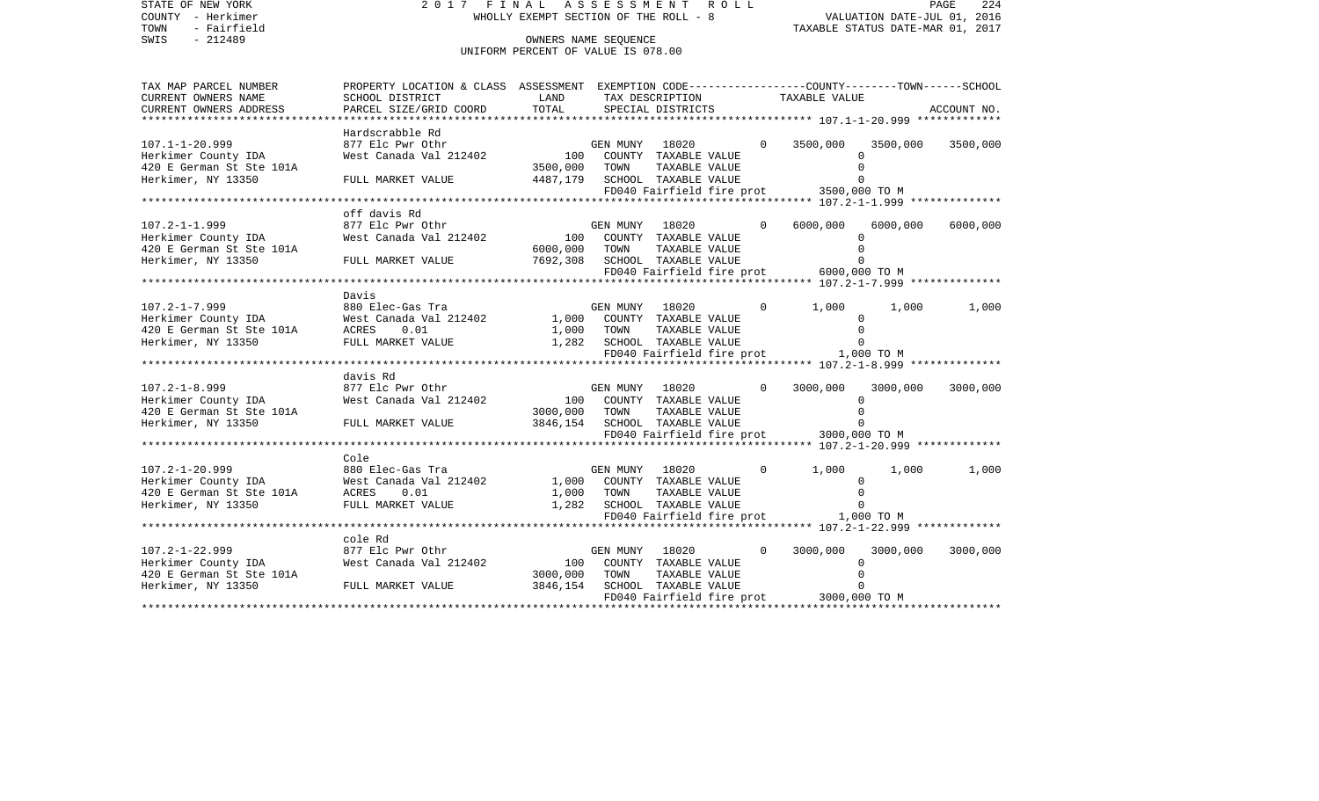| STATE OF NEW YORK<br>COUNTY - Herkimer<br>- Fairfield<br>TOWN<br>$-212489$<br>SWIS                                | 2017 FINAL ASSESSMENT ROLL<br>PAGE 224<br>VALUATION DATE-JUL 01, 2016<br>TAXABLE STATUS DATE 1:55<br>WHOLLY EXEMPT SECTION OF THE ROLL - 8<br>OWNERS NAME SEOUENCE<br>UNIFORM PERCENT OF VALUE IS 078.00               |                                                 |                |                                                |          |                                         |                          |             |
|-------------------------------------------------------------------------------------------------------------------|------------------------------------------------------------------------------------------------------------------------------------------------------------------------------------------------------------------------|-------------------------------------------------|----------------|------------------------------------------------|----------|-----------------------------------------|--------------------------|-------------|
| TAX MAP PARCEL NUMBER                                                                                             | PROPERTY LOCATION & CLASS ASSESSMENT EXEMPTION CODE---------------COUNTY-------TOWN-----SCHOOL                                                                                                                         |                                                 |                |                                                |          |                                         |                          |             |
| CURRENT OWNERS NAME                                                                                               | SCHOOL DISTRICT                                                                                                                                                                                                        | LAND                                            |                | TAX DESCRIPTION                                |          | TAXABLE VALUE                           |                          |             |
| CURRENT OWNERS ADDRESS<br>***********************                                                                 | PARCEL SIZE/GRID COORD                                                                                                                                                                                                 | TOTAL                                           |                | SPECIAL DISTRICTS                              |          |                                         |                          | ACCOUNT NO. |
|                                                                                                                   | Hardscrabble Rd                                                                                                                                                                                                        |                                                 |                |                                                |          |                                         |                          |             |
| $107.1 - 1 - 20.999$                                                                                              | 877 Elc Pwr Othr                                                                                                                                                                                                       |                                                 |                | GEN MUNY 18020                                 | $\Omega$ | 3500,000                                | 3500,000                 | 3500,000    |
| Herkimer County IDA                                                                                               | 877 Ele Pwr Othr المدين المستوى السابقة المستوى المستوى المستوى المستوى المستوى المستوى المستوى المس<br>Mest Canada Val 212402 المستوى المستوى المستوى المستوى المستوى المستوى المستوى المستوى المستوى المستوى المستوى |                                                 |                |                                                |          |                                         | $\cap$                   |             |
| 420 E German St Ste 101A<br>Herkimer, NY 13350                                                                    | FULL MARKET VALUE                                                                                                                                                                                                      | 3500,000                                        | TOWN           | TAXABLE VALUE<br>4487,179 SCHOOL TAXABLE VALUE |          |                                         | $\Omega$<br>$\Omega$     |             |
|                                                                                                                   |                                                                                                                                                                                                                        |                                                 |                |                                                |          | FD040 Fairfield fire prot 3500,000 TO M |                          |             |
|                                                                                                                   |                                                                                                                                                                                                                        |                                                 |                |                                                |          |                                         |                          |             |
|                                                                                                                   | off davis Rd                                                                                                                                                                                                           |                                                 |                |                                                |          |                                         |                          |             |
| $107.2 - 1 - 1.999$<br>Herkimer County IDA                                                                        |                                                                                                                                                                                                                        |                                                 |                | GEN MUNY 18020                                 | $\Omega$ | 6000,000                                | 6000,000<br>$\Omega$     | 6000,000    |
| 420 E German St Ste 101A                                                                                          |                                                                                                                                                                                                                        | 6000,000                                        | TOWN           | TAXABLE VALUE                                  |          |                                         | $\Omega$                 |             |
| Herkimer, NY 13350                                                                                                | FULL MARKET VALUE                                                                                                                                                                                                      |                                                 |                | 7692,308 SCHOOL TAXABLE VALUE                  |          |                                         | $\Omega$                 |             |
|                                                                                                                   |                                                                                                                                                                                                                        |                                                 |                |                                                |          | FD040 Fairfield fire prot 6000,000 TO M |                          |             |
|                                                                                                                   |                                                                                                                                                                                                                        |                                                 |                |                                                |          |                                         |                          |             |
| $107.2 - 1 - 7.999$                                                                                               | Davis<br>880 Elec-Gas Tra                                                                                                                                                                                              |                                                 |                | GEN MUNY 18020                                 | $\circ$  | 1,000                                   | 1,000                    | 1,000       |
| 107.2-1-7.999 880 El<br>Herkimer County IDA West C<br>420 E German St Ste 101A ACRES<br>Herkimer, NY 13350 FULL M | West Canada Val 212402 1,000 COUNTY TAXABLE VALUE                                                                                                                                                                      |                                                 |                |                                                |          |                                         | $\Omega$                 |             |
|                                                                                                                   |                                                                                                                                                                                                                        |                                                 |                |                                                |          |                                         | $\Omega$                 |             |
| Herkimer, NY 13350                                                                                                | ACRES 0.01 1,000 TOWN TAXABLE VALUE<br>FULL MARKET VALUE 1,282 SCHOOL TAXABLE VALUE                                                                                                                                    |                                                 |                |                                                |          |                                         | $\Omega$                 |             |
|                                                                                                                   |                                                                                                                                                                                                                        |                                                 |                |                                                |          | FD040 Fairfield fire prot 1,000 TO M    |                          |             |
|                                                                                                                   | davis Rd                                                                                                                                                                                                               |                                                 |                |                                                |          |                                         |                          |             |
| $107.2 - 1 - 8.999$                                                                                               |                                                                                                                                                                                                                        |                                                 |                | GEN MUNY 18020                                 | $\Omega$ | 3000,000                                | 3000,000                 | 3000,000    |
| Herkimer County IDA                                                                                               |                                                                                                                                                                                                                        |                                                 |                |                                                |          |                                         | $\Omega$                 |             |
| 420 E German St Ste 101A                                                                                          |                                                                                                                                                                                                                        | 3000,000 TOWN                                   |                | TAXABLE VALUE                                  |          |                                         | $\Omega$                 |             |
| Herkimer, NY 13350                                                                                                | FULL MARKET VALUE                                                                                                                                                                                                      |                                                 |                | 3846,154 SCHOOL TAXABLE VALUE                  |          |                                         |                          |             |
|                                                                                                                   |                                                                                                                                                                                                                        |                                                 |                |                                                |          | FD040 Fairfield fire prot 3000,000 TO M |                          |             |
|                                                                                                                   | Cole                                                                                                                                                                                                                   |                                                 |                |                                                |          |                                         |                          |             |
| 107.2-1-20.999 880 Electimer County IDA West C.<br>420 E German St Ste 101A ACRES<br>Herkimer. NY 13350 FULL M    | 880 Elec-Gas Tra                                                                                                                                                                                                       |                                                 | GEN MUNY 18020 |                                                | $\Omega$ | 1,000                                   | 1,000                    | 1,000       |
|                                                                                                                   | West Canada Val 212402                                                                                                                                                                                                 |                                                 |                | 1,000 COUNTY TAXABLE VALUE                     |          |                                         | $\Omega$                 |             |
|                                                                                                                   | 0.01                                                                                                                                                                                                                   | 1,000                                           | TOWN           | TAXABLE VALUE<br>1,282 SCHOOL TAXABLE VALUE    |          |                                         | $\Omega$<br>$\Omega$     |             |
|                                                                                                                   | FULL MARKET VALUE                                                                                                                                                                                                      |                                                 |                |                                                |          | FD040 Fairfield fire prot 1,000 TO M    |                          |             |
|                                                                                                                   |                                                                                                                                                                                                                        |                                                 |                |                                                |          |                                         |                          |             |
|                                                                                                                   | cole Rd                                                                                                                                                                                                                |                                                 |                |                                                |          |                                         |                          |             |
| 107.2-1-22.999<br>Herkimer County IDA                                                                             | 877 Elc Pwr Othr                                                                                                                                                                                                       | $\begin{array}{c} \text{GE} \\ 100 \end{array}$ | GEN MUNY 18020 |                                                | $\Omega$ | 3000,000                                | 3000,000                 | 3000,000    |
|                                                                                                                   | West Canada Val 212402                                                                                                                                                                                                 |                                                 |                | COUNTY TAXABLE VALUE                           |          |                                         | $\Omega$<br>$\mathbf{0}$ |             |
| 420 E German St Ste 101A<br>Herkimer, NY 13350 FULL MARKET VALUE 3846,154                                         |                                                                                                                                                                                                                        | 3000,000                                        | TOWN           | TAXABLE VALUE<br>SCHOOL TAXABLE VALUE          |          |                                         | 0                        |             |
|                                                                                                                   |                                                                                                                                                                                                                        |                                                 |                |                                                |          | FD040 Fairfield fire prot 3000,000 TO M |                          |             |
|                                                                                                                   |                                                                                                                                                                                                                        |                                                 |                |                                                |          |                                         |                          |             |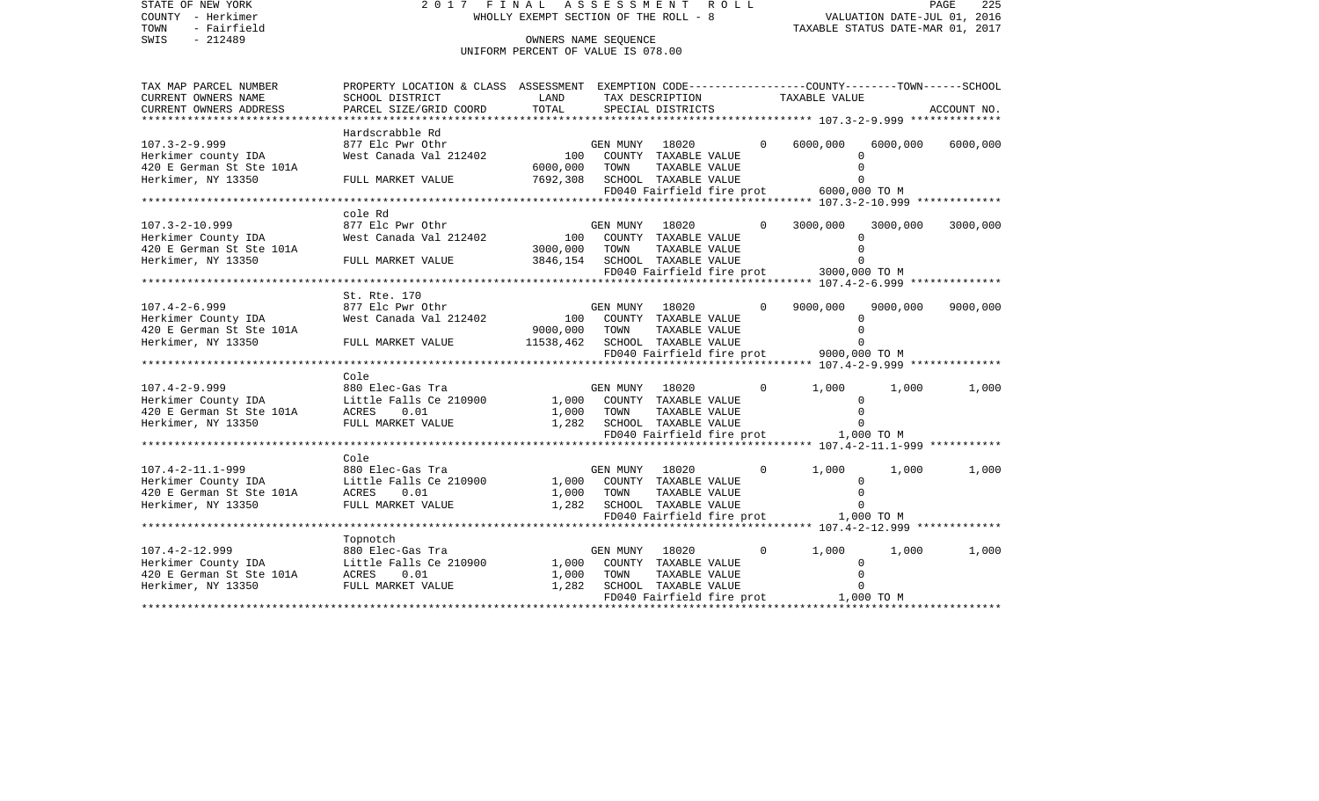| STATE OF NEW YORK<br>COUNTY - Herkimer<br>- Fairfield<br>TOWN<br>$-212489$<br>SWIS                                                                                                                                             | 2017 FINAL ASSESSMENT ROLL<br>PAGE<br>VALUATION DATE-JUL 01, 2016<br>WHOLLY EXEMPT SECTION OF THE ROLL - 8<br>TAXABLE STATUS DATE-MAR 01, 2017<br>OWNERS NAME SEOUENCE<br>UNIFORM PERCENT OF VALUE IS 078.00 |                               |          |                            |  |                                                   |             | 225         |
|--------------------------------------------------------------------------------------------------------------------------------------------------------------------------------------------------------------------------------|--------------------------------------------------------------------------------------------------------------------------------------------------------------------------------------------------------------|-------------------------------|----------|----------------------------|--|---------------------------------------------------|-------------|-------------|
| TAX MAP PARCEL NUMBER<br>CURRENT OWNERS NAME                                                                                                                                                                                   | PROPERTY LOCATION & CLASS ASSESSMENT EXEMPTION CODE---------------COUNTY-------TOWN-----SCHOOL<br>SCHOOL DISTRICT                                                                                            | LAND                          |          | TAX DESCRIPTION            |  | TAXABLE VALUE                                     |             |             |
| CURRENT OWNERS ADDRESS                                                                                                                                                                                                         | PARCEL SIZE/GRID COORD                                                                                                                                                                                       | TOTAL                         |          | SPECIAL DISTRICTS          |  |                                                   |             | ACCOUNT NO. |
| *********************                                                                                                                                                                                                          |                                                                                                                                                                                                              |                               |          |                            |  |                                                   |             |             |
|                                                                                                                                                                                                                                | Hardscrabble Rd                                                                                                                                                                                              |                               |          |                            |  |                                                   |             |             |
| $107.3 - 2 - 9.999$                                                                                                                                                                                                            | 877 Elc Pwr Othr                                                                                                                                                                                             |                               |          | GEN MUNY 18020             |  | 6000,000<br>$\Omega$                              | 6000,000    | 6000,000    |
| Herkimer county IDA                                                                                                                                                                                                            | West Canada Val 212402 100                                                                                                                                                                                   |                               |          | COUNTY TAXABLE VALUE       |  |                                                   | $\cap$      |             |
| 420 E German St Ste 101A                                                                                                                                                                                                       |                                                                                                                                                                                                              | 6000,000                      | TOWN     | TAXABLE VALUE              |  |                                                   |             |             |
| Herkimer, NY 13350                                                                                                                                                                                                             | FULL MARKET VALUE                                                                                                                                                                                            | 7692,308 SCHOOL TAXABLE VALUE |          |                            |  |                                                   | $\Omega$    |             |
|                                                                                                                                                                                                                                |                                                                                                                                                                                                              |                               |          |                            |  | FD040 Fairfield fire prot 6000,000 TO M           |             |             |
|                                                                                                                                                                                                                                | cole Rd                                                                                                                                                                                                      |                               |          |                            |  |                                                   |             |             |
| $107.3 - 2 - 10.999$                                                                                                                                                                                                           | 877 Elc Pwr Othr                                                                                                                                                                                             |                               |          | GEN MUNY 18020             |  | $\Omega$<br>3000,000                              | 3000,000    | 3000,000    |
| Herkimer County IDA                                                                                                                                                                                                            | 877 EIC PWY OUNY<br>West Canada Val 212402                         100   COUNTY  TAXABLE VALUE                                                                                                               |                               |          |                            |  |                                                   |             |             |
| 420 E German St Ste 101A                                                                                                                                                                                                       |                                                                                                                                                                                                              | 3000,000                      | TOWN     | TAXABLE VALUE              |  |                                                   | $\Omega$    |             |
| Herkimer, NY 13350                                                                                                                                                                                                             | FULL MARKET VALUE                                                                                                                                                                                            | 3846,154 SCHOOL TAXABLE VALUE |          |                            |  |                                                   | $\Omega$    |             |
|                                                                                                                                                                                                                                |                                                                                                                                                                                                              |                               |          |                            |  | FD040 Fairfield fire prot 3000,000 TO M           |             |             |
|                                                                                                                                                                                                                                |                                                                                                                                                                                                              |                               |          |                            |  |                                                   |             |             |
|                                                                                                                                                                                                                                | St. Rte. 170                                                                                                                                                                                                 |                               |          |                            |  |                                                   |             |             |
| $107.4 - 2 - 6.999$                                                                                                                                                                                                            |                                                                                                                                                                                                              |                               |          | GEN MUNY 18020             |  | 9000,000<br>$\Omega$                              | 9000,000    | 9000,000    |
| Herkimer County IDA                                                                                                                                                                                                            |                                                                                                                                                                                                              |                               |          |                            |  |                                                   | $\Omega$    |             |
| 420 E German St Ste 101A                                                                                                                                                                                                       |                                                                                                                                                                                                              | 9000,000                      | TOWN     | TAXABLE VALUE              |  |                                                   | $\Omega$    |             |
| Herkimer, NY 13350                                                                                                                                                                                                             | FULL MARKET VALUE 11538, 462 SCHOOL TAXABLE VALUE                                                                                                                                                            |                               |          |                            |  |                                                   | $\Omega$    |             |
|                                                                                                                                                                                                                                |                                                                                                                                                                                                              |                               |          |                            |  | FD040 Fairfield fire prot 9000,000 TO M           |             |             |
|                                                                                                                                                                                                                                | Cole                                                                                                                                                                                                         |                               |          |                            |  |                                                   |             |             |
| 107.4-2-9.999<br>Herkimer County IDA<br>Herkimer County IDA Little Falls Ce 210900 1,000 COUNTY TAXABLE VALUE<br>420 E German St Ste 101A ACRES 0.01 1,000 TOWN TAXABLE VALUE<br>FIILL MARKET VALUE 1,282 SCHOOL TAXABLE VALUE |                                                                                                                                                                                                              |                               |          |                            |  | $\Omega$<br>1,000                                 | 1,000       | 1,000       |
|                                                                                                                                                                                                                                |                                                                                                                                                                                                              |                               |          |                            |  |                                                   | $\Omega$    |             |
|                                                                                                                                                                                                                                |                                                                                                                                                                                                              |                               |          |                            |  |                                                   | $\Omega$    |             |
|                                                                                                                                                                                                                                |                                                                                                                                                                                                              |                               |          |                            |  |                                                   | $\Omega$    |             |
|                                                                                                                                                                                                                                |                                                                                                                                                                                                              |                               |          |                            |  | FD040 Fairfield fire prot 1,000 TO M              |             |             |
|                                                                                                                                                                                                                                |                                                                                                                                                                                                              |                               |          |                            |  | ******************** 107.4-2-11.1-999 *********** |             |             |
|                                                                                                                                                                                                                                | Cole                                                                                                                                                                                                         |                               |          |                            |  |                                                   |             |             |
| 107.4-2-11.1-999<br>Herkimer County IDA Little Falls Ce 210900<br>420 E German St Ste 101A ACRES 0.01<br>ACRES 0.01                                                                                                            |                                                                                                                                                                                                              |                               | GEN MUNY | 18020                      |  | $\Omega$<br>1,000                                 | 1,000       | 1,000       |
|                                                                                                                                                                                                                                |                                                                                                                                                                                                              |                               |          | 1,000 COUNTY TAXABLE VALUE |  |                                                   | $\Omega$    |             |
|                                                                                                                                                                                                                                |                                                                                                                                                                                                              | 1,000                         | TOWN     | TAXABLE VALUE              |  |                                                   | $\Omega$    |             |
| Herkimer, NY 13350                                                                                                                                                                                                             | FULL MARKET VALUE                                                                                                                                                                                            |                               |          | 1,282 SCHOOL TAXABLE VALUE |  |                                                   | $\Omega$    |             |
|                                                                                                                                                                                                                                |                                                                                                                                                                                                              |                               |          |                            |  | FD040 Fairfield fire prot 1,000 TO M              |             |             |
|                                                                                                                                                                                                                                |                                                                                                                                                                                                              |                               |          |                            |  |                                                   |             |             |
|                                                                                                                                                                                                                                | Topnotch                                                                                                                                                                                                     |                               | GEN MUNY | 18020                      |  | 1,000<br>$\mathbf 0$                              | 1,000       | 1,000       |
|                                                                                                                                                                                                                                |                                                                                                                                                                                                              |                               |          | COUNTY TAXABLE VALUE       |  |                                                   | $\mathbf 0$ |             |
|                                                                                                                                                                                                                                |                                                                                                                                                                                                              |                               | TOWN     | TAXABLE VALUE              |  |                                                   | $\mathbf 0$ |             |
|                                                                                                                                                                                                                                |                                                                                                                                                                                                              |                               |          | SCHOOL TAXABLE VALUE       |  |                                                   | $\mathbf 0$ |             |
| 107.4-2-12.999<br>Herkimer County IDA<br>420 E German St Ste 101A<br>Herkimer, NY 13350 FULL MARKET VALUE<br>1,282                                                                                                             |                                                                                                                                                                                                              |                               |          |                            |  | FD040 Fairfield fire prot 1,000 TO M              |             |             |
|                                                                                                                                                                                                                                |                                                                                                                                                                                                              |                               |          |                            |  |                                                   |             |             |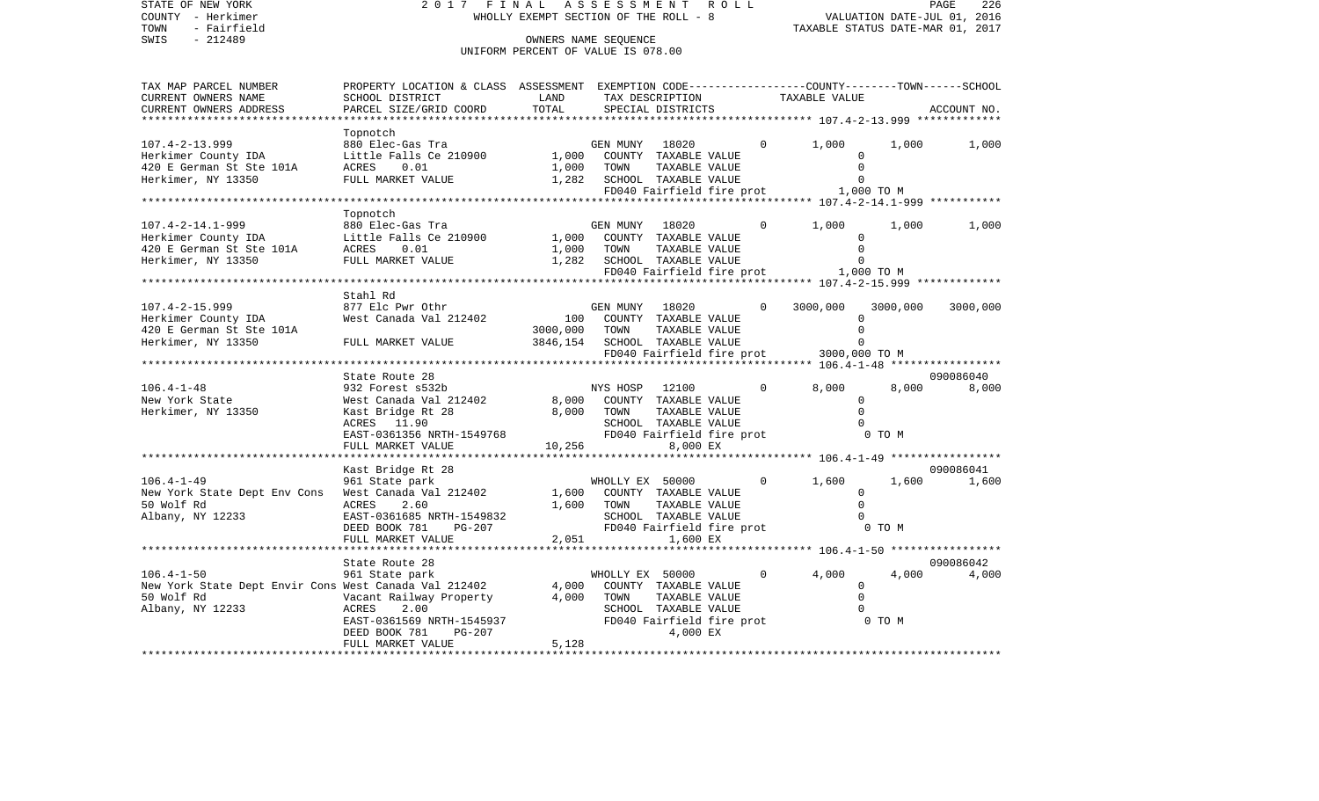| STATE OF NEW YORK<br>COUNTY - Herkimer<br>- Fairfield<br>TOWN<br>SWIS<br>$-212489$                          | 2017 FINAL                                                                                                                                                        | WHOLLY EXEMPT SECTION OF THE ROLL - 8<br>OWNERS NAME SEQUENCE<br>UNIFORM PERCENT OF VALUE IS 078.00 | A S S E S S M E N T     | R O L L                                                                                                         | PAGE<br>226<br>VALUATION DATE-JUL 01, 2016<br>TAXABLE STATUS DATE-MAR 01, 2017 |                                                            |                 |                    |
|-------------------------------------------------------------------------------------------------------------|-------------------------------------------------------------------------------------------------------------------------------------------------------------------|-----------------------------------------------------------------------------------------------------|-------------------------|-----------------------------------------------------------------------------------------------------------------|--------------------------------------------------------------------------------|------------------------------------------------------------|-----------------|--------------------|
| TAX MAP PARCEL NUMBER<br>CURRENT OWNERS NAME<br>CURRENT OWNERS ADDRESS                                      | PROPERTY LOCATION & CLASS ASSESSMENT EXEMPTION CODE----------------COUNTY-------TOWN------SCHOOL<br>SCHOOL DISTRICT<br>PARCEL SIZE/GRID COORD                     | LAND<br>TOTAL                                                                                       |                         | TAX DESCRIPTION<br>SPECIAL DISTRICTS                                                                            |                                                                                | TAXABLE VALUE                                              |                 | ACCOUNT NO.        |
| $107.4 - 2 - 13.999$                                                                                        | Topnotch<br>880 Elec-Gas Tra                                                                                                                                      |                                                                                                     | GEN MUNY                | 18020                                                                                                           | $\circ$                                                                        | 1,000                                                      | 1,000           | 1,000              |
| Herkimer County IDA<br>420 E German St Ste 101A<br>Herkimer, NY 13350                                       | Little Falls Ce 210900<br>ACRES<br>0.01<br>FULL MARKET VALUE                                                                                                      | 1,000<br>1,000<br>1,282                                                                             | TOWN                    | COUNTY TAXABLE VALUE<br>TAXABLE VALUE<br>SCHOOL TAXABLE VALUE<br>FD040 Fairfield fire prot                      |                                                                                | $\Omega$<br>$\Omega$<br>$\Omega$<br>1,000 TO M             |                 |                    |
|                                                                                                             |                                                                                                                                                                   |                                                                                                     |                         |                                                                                                                 |                                                                                |                                                            |                 |                    |
| $107.4 - 2 - 14.1 - 999$<br>Herkimer County IDA<br>420 E German St Ste 101A                                 | Topnotch<br>880 Elec-Gas Tra<br>Little Falls Ce 210900<br>ACRES<br>0.01                                                                                           | 1,000<br>1,000                                                                                      | GEN MUNY<br>TOWN        | 18020<br>COUNTY TAXABLE VALUE<br>TAXABLE VALUE                                                                  | 0                                                                              | 1,000<br>$\mathbf 0$                                       | 1,000           | 1,000              |
| Herkimer, NY 13350                                                                                          | FULL MARKET VALUE                                                                                                                                                 | 1,282                                                                                               |                         | SCHOOL TAXABLE VALUE<br>FD040 Fairfield fire prot                                                               |                                                                                | $\Omega$<br>1,000 TO M                                     |                 |                    |
|                                                                                                             |                                                                                                                                                                   |                                                                                                     |                         |                                                                                                                 |                                                                                | ************************************* 107.4-2-15.999 ***** |                 |                    |
| $107.4 - 2 - 15.999$<br>Herkimer County IDA<br>420 E German St Ste 101A<br>Herkimer, NY 13350               | Stahl Rd<br>877 Elc Pwr Othr<br>West Canada Val 212402<br>FULL MARKET VALUE                                                                                       | 100<br>3000,000<br>3846,154                                                                         | GEN MUNY<br>TOWN        | 18020<br>COUNTY TAXABLE VALUE<br>TAXABLE VALUE<br>SCHOOL TAXABLE VALUE                                          | $\Omega$                                                                       | 3000,000<br>$\mathbf 0$<br>$\Omega$<br>$\Omega$            | 3000,000        | 3000,000           |
|                                                                                                             |                                                                                                                                                                   |                                                                                                     |                         | FD040 Fairfield fire prot                                                                                       |                                                                                | 3000,000 TO M                                              |                 |                    |
|                                                                                                             |                                                                                                                                                                   |                                                                                                     |                         |                                                                                                                 |                                                                                |                                                            |                 |                    |
| $106.4 - 1 - 48$<br>New York State<br>Herkimer, NY 13350                                                    | State Route 28<br>932 Forest s532b<br>West Canada Val 212402<br>Kast Bridge Rt 28<br>ACRES 11.90<br>ACRES 11.20<br>EAST-0361356 NRTH-1549768<br>FULL MARKET VALUE | 8,000<br>8,000<br>10,256                                                                            | NYS HOSP<br>TOWN        | 12100<br>COUNTY TAXABLE VALUE<br>TAXABLE VALUE<br>SCHOOL TAXABLE VALUE<br>FD040 Fairfield fire prot<br>8,000 EX | $\circ$                                                                        | 8,000<br>$\Omega$<br>$\Omega$<br>$\Omega$                  | 8,000<br>0 TO M | 090086040<br>8,000 |
|                                                                                                             | *********************                                                                                                                                             |                                                                                                     |                         |                                                                                                                 |                                                                                |                                                            |                 |                    |
|                                                                                                             | Kast Bridge Rt 28                                                                                                                                                 |                                                                                                     |                         |                                                                                                                 |                                                                                |                                                            |                 | 090086041          |
| $106.4 - 1 - 49$<br>New York State Dept Env Cons<br>50 Wolf Rd<br>Albany, NY 12233                          | 961 State park<br>West Canada Val 212402<br>ACRES<br>2.60<br>EAST-0361685 NRTH-1549832<br>DEED BOOK 781<br>PG-207                                                 | 1,600<br>1,600                                                                                      | WHOLLY EX 50000<br>TOWN | COUNTY TAXABLE VALUE<br>TAXABLE VALUE<br>SCHOOL TAXABLE VALUE<br>FD040 Fairfield fire prot                      | $\Omega$                                                                       | 1,600<br>$\Omega$<br>$\Omega$                              | 1,600<br>0 TO M | 1,600              |
|                                                                                                             | FULL MARKET VALUE                                                                                                                                                 | 2,051                                                                                               |                         | 1,600 EX                                                                                                        |                                                                                |                                                            |                 |                    |
|                                                                                                             | State Route 28                                                                                                                                                    |                                                                                                     |                         |                                                                                                                 |                                                                                |                                                            |                 | 090086042          |
| $106.4 - 1 - 50$<br>New York State Dept Envir Cons West Canada Val 212402<br>50 Wolf Rd<br>Albany, NY 12233 | 961 State park<br>Vacant Railway Property<br>ACRES<br>2.00<br>EAST-0361569 NRTH-1545937<br>DEED BOOK 781<br>PG-207<br>FULL MARKET VALUE                           | 4,000<br>4,000<br>5,128                                                                             | WHOLLY EX 50000<br>TOWN | COUNTY TAXABLE VALUE<br>TAXABLE VALUE<br>SCHOOL TAXABLE VALUE<br>FD040 Fairfield fire prot<br>4,000 EX          | $\mathbf 0$                                                                    | 4,000<br>$\Omega$<br>$\Omega$                              | 4,000<br>0 TO M | 4,000              |
|                                                                                                             |                                                                                                                                                                   |                                                                                                     |                         |                                                                                                                 |                                                                                |                                                            |                 |                    |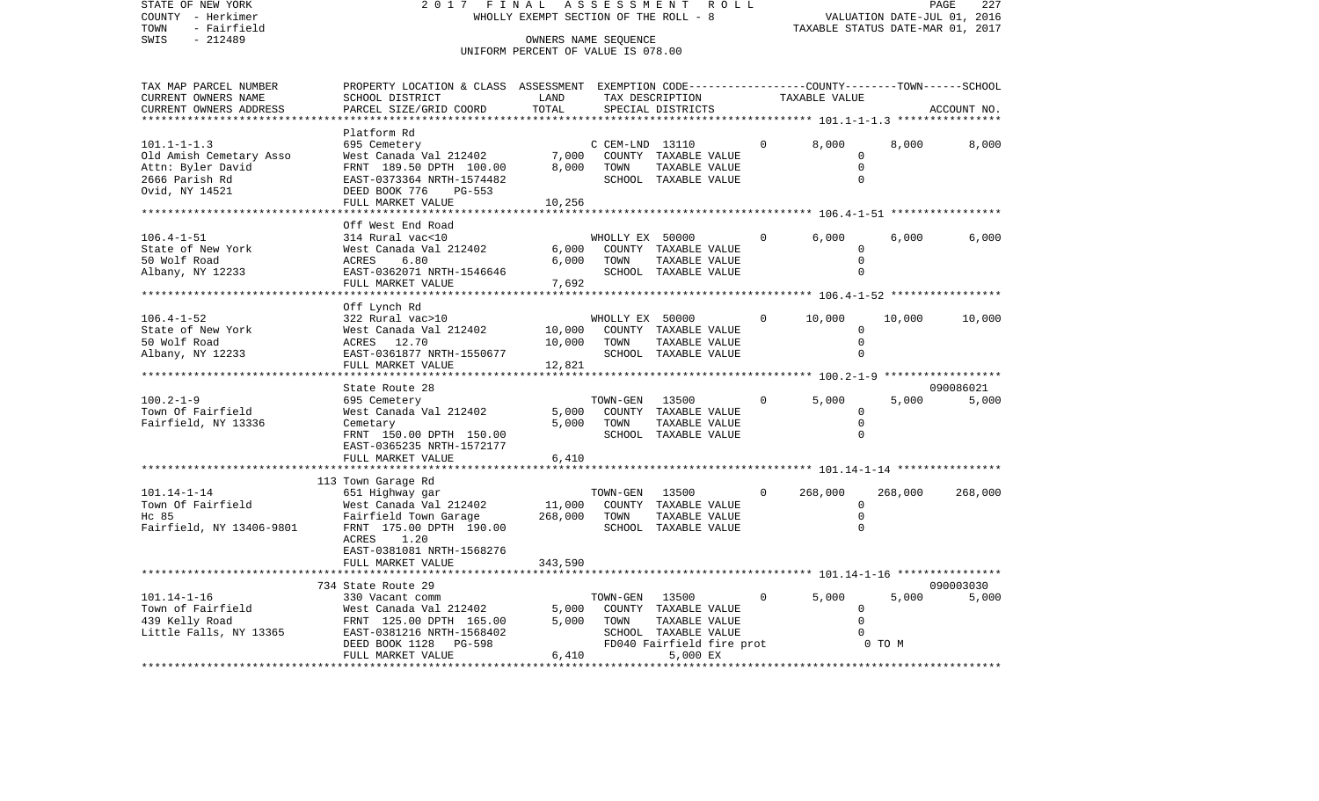STATE OF NEW YORK 2017 FINAL ASSESSMENT ROLL COUNTY - Herkimer<br>TOWN - Fairfield<br>SWIS - 212489 - 212489 TOWN - Fairfield TAXABLE STATUS DATE-MAR 01, 2017 OWNERS NAME SEQUENCE

### UNIFORM PERCENT OF VALUE IS 078.00

| TAX MAP PARCEL NUMBER    | PROPERTY LOCATION & CLASS ASSESSMENT EXEMPTION CODE---------------COUNTY-------TOWN------SCHOOL |         |                 |                           |                |               |         |             |
|--------------------------|-------------------------------------------------------------------------------------------------|---------|-----------------|---------------------------|----------------|---------------|---------|-------------|
| CURRENT OWNERS NAME      | SCHOOL DISTRICT                                                                                 | LAND    |                 | TAX DESCRIPTION           |                | TAXABLE VALUE |         |             |
| CURRENT OWNERS ADDRESS   | PARCEL SIZE/GRID COORD                                                                          | TOTAL   |                 | SPECIAL DISTRICTS         |                |               |         | ACCOUNT NO. |
| ********************     |                                                                                                 |         |                 |                           |                |               |         |             |
|                          | Platform Rd                                                                                     |         |                 |                           |                |               |         |             |
| $101.1 - 1 - 1.3$        | 695 Cemetery                                                                                    |         | C CEM-LND 13110 |                           | $\mathbf{0}$   | 8,000         | 8,000   | 8,000       |
|                          |                                                                                                 | 7,000   |                 |                           |                | $\Omega$      |         |             |
| Old Amish Cemetary Asso  | West Canada Val 212402                                                                          |         |                 | COUNTY TAXABLE VALUE      |                |               |         |             |
| Attn: Byler David        | FRNT 189.50 DPTH 100.00                                                                         | 8,000   | TOWN            | TAXABLE VALUE             |                | $\Omega$      |         |             |
| 2666 Parish Rd           | EAST-0373364 NRTH-1574482                                                                       |         |                 | SCHOOL TAXABLE VALUE      |                | $\Omega$      |         |             |
| Ovid, NY 14521           | DEED BOOK 776<br>PG-553                                                                         |         |                 |                           |                |               |         |             |
|                          | FULL MARKET VALUE                                                                               | 10,256  |                 |                           |                |               |         |             |
|                          |                                                                                                 |         |                 |                           |                |               |         |             |
|                          | Off West End Road                                                                               |         |                 |                           |                |               |         |             |
| $106.4 - 1 - 51$         | 314 Rural vac<10                                                                                |         | WHOLLY EX 50000 |                           | $\mathbf{0}$   | 6,000         | 6,000   | 6,000       |
|                          |                                                                                                 |         |                 |                           |                |               |         |             |
| State of New York        | West Canada Val 212402                                                                          | 6,000   |                 | COUNTY TAXABLE VALUE      |                | $\circ$       |         |             |
| 50 Wolf Road             | 6.80<br>ACRES                                                                                   | 6,000   | TOWN            | TAXABLE VALUE             |                | $\Omega$      |         |             |
| Albany, NY 12233         | EAST-0362071 NRTH-1546646                                                                       |         |                 | SCHOOL TAXABLE VALUE      |                | $\Omega$      |         |             |
|                          | FULL MARKET VALUE                                                                               | 7,692   |                 |                           |                |               |         |             |
|                          |                                                                                                 |         |                 |                           |                |               |         |             |
|                          | Off Lynch Rd                                                                                    |         |                 |                           |                |               |         |             |
| $106.4 - 1 - 52$         | 322 Rural vac>10                                                                                |         | WHOLLY EX 50000 |                           | $\overline{0}$ | 10,000        | 10,000  | 10,000      |
|                          |                                                                                                 |         |                 |                           |                |               |         |             |
| State of New York        | West Canada Val 212402                                                                          | 10,000  |                 | COUNTY TAXABLE VALUE      |                | $\Omega$      |         |             |
| 50 Wolf Road             | ACRES 12.70                                                                                     | 10,000  | TOWN            | TAXABLE VALUE             |                | $\mathbf 0$   |         |             |
| Albany, NY 12233         | EAST-0361877 NRTH-1550677                                                                       |         |                 | SCHOOL TAXABLE VALUE      |                | $\Omega$      |         |             |
|                          | FULL MARKET VALUE                                                                               | 12,821  |                 |                           |                |               |         |             |
|                          | **********************                                                                          |         |                 |                           |                |               |         |             |
|                          | State Route 28                                                                                  |         |                 |                           |                |               |         | 090086021   |
| $100.2 - 1 - 9$          | 695 Cemetery                                                                                    |         | TOWN-GEN        | 13500                     | $\overline{0}$ | 5,000         | 5,000   | 5,000       |
| Town Of Fairfield        | West Canada Val 212402                                                                          | 5,000   |                 | COUNTY TAXABLE VALUE      |                | $\Omega$      |         |             |
|                          |                                                                                                 |         |                 |                           |                |               |         |             |
| Fairfield, NY 13336      | Cemetary                                                                                        | 5,000   | TOWN            | TAXABLE VALUE             |                | $\Omega$      |         |             |
|                          | FRNT 150.00 DPTH 150.00                                                                         |         |                 | SCHOOL TAXABLE VALUE      |                | $\Omega$      |         |             |
|                          | EAST-0365235 NRTH-1572177                                                                       |         |                 |                           |                |               |         |             |
|                          | FULL MARKET VALUE                                                                               | 6,410   |                 |                           |                |               |         |             |
|                          |                                                                                                 |         |                 |                           |                |               |         |             |
|                          | 113 Town Garage Rd                                                                              |         |                 |                           |                |               |         |             |
| $101.14 - 1 - 14$        | 651 Highway gar                                                                                 |         | TOWN-GEN 13500  |                           | $\circ$        | 268,000       | 268,000 | 268,000     |
|                          |                                                                                                 |         |                 |                           |                |               |         |             |
| Town Of Fairfield        | West Canada Val 212402                                                                          | 11,000  |                 | COUNTY TAXABLE VALUE      |                | $\Omega$      |         |             |
| Hc 85                    | Fairfield Town Garage                                                                           | 268,000 | TOWN            | TAXABLE VALUE             |                | $\mathbf 0$   |         |             |
| Fairfield, NY 13406-9801 | FRNT 175.00 DPTH 190.00                                                                         |         |                 | SCHOOL TAXABLE VALUE      |                | $\Omega$      |         |             |
|                          | ACRES 1.20                                                                                      |         |                 |                           |                |               |         |             |
|                          | EAST-0381081 NRTH-1568276                                                                       |         |                 |                           |                |               |         |             |
|                          | FULL MARKET VALUE                                                                               | 343,590 |                 |                           |                |               |         |             |
|                          |                                                                                                 |         |                 |                           |                |               |         |             |
|                          |                                                                                                 |         |                 |                           |                |               |         |             |
|                          | 734 State Route 29                                                                              |         |                 |                           |                |               |         | 090003030   |
| $101.14 - 1 - 16$        | 330 Vacant comm                                                                                 |         | TOWN-GEN        | 13500                     | $\mathbf{0}$   | 5,000         | 5,000   | 5,000       |
| Town of Fairfield        | West Canada Val 212402                                                                          | 5,000   |                 | COUNTY TAXABLE VALUE      |                | $\Omega$      |         |             |
| 439 Kelly Road           | FRNT 125.00 DPTH 165.00                                                                         | 5,000   | TOWN            | TAXABLE VALUE             |                | $\Omega$      |         |             |
| Little Falls, NY 13365   | EAST-0381216 NRTH-1568402                                                                       |         |                 | SCHOOL TAXABLE VALUE      |                |               |         |             |
|                          | DEED BOOK 1128 PG-598                                                                           |         |                 | FD040 Fairfield fire prot |                |               | 0 TO M  |             |
|                          | FULL MARKET VALUE                                                                               | 6,410   |                 | 5,000 EX                  |                |               |         |             |
|                          |                                                                                                 |         |                 |                           |                |               |         |             |
|                          |                                                                                                 |         |                 |                           |                |               |         |             |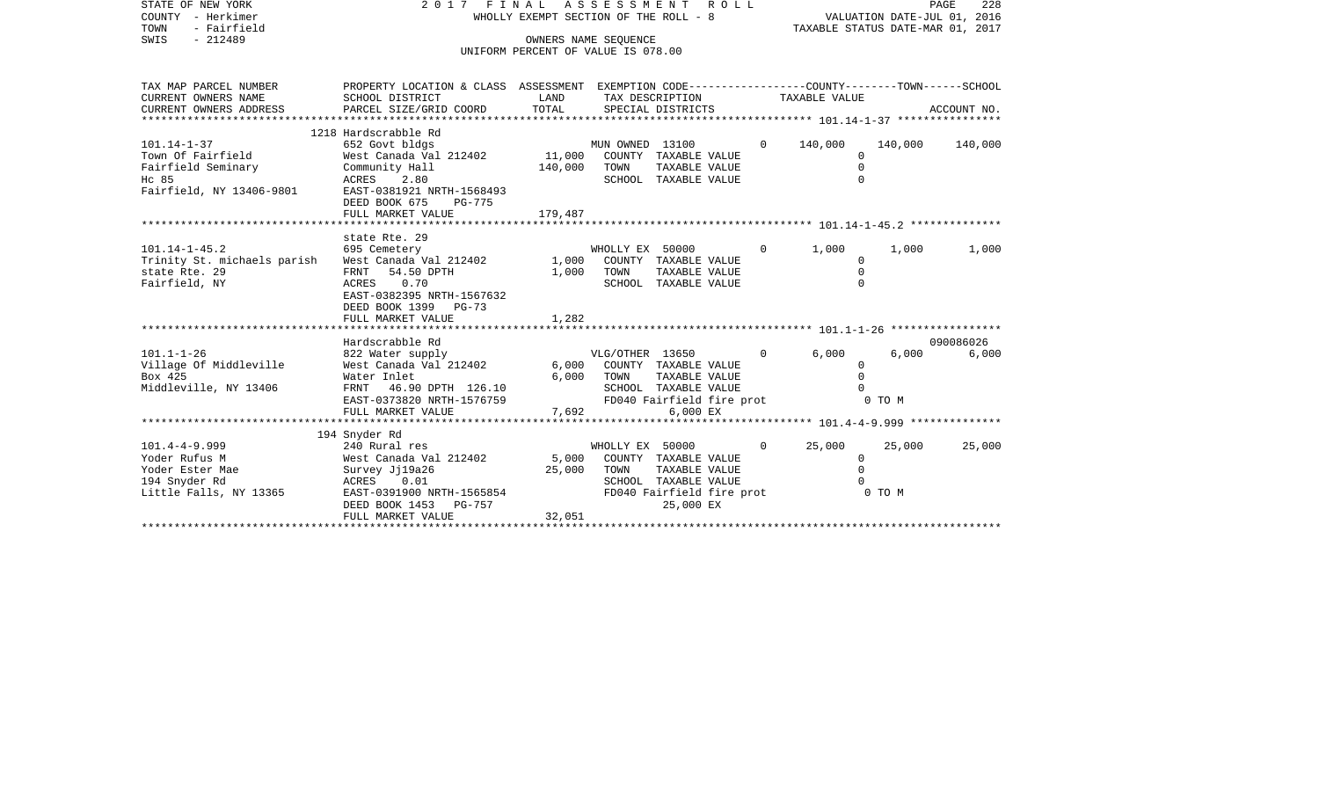| STATE OF NEW YORK<br>COUNTY - Herkimer<br>- Fairfield<br>TOWN                                      | 2017 FINAL ASSESSMENT ROLL<br>WHOLLY EXEMPT SECTION OF THE ROLL - 8                                                                                                                     |                              |                                                                                                                                    |              |                                                 | 228<br>PAGE<br>VALUATION DATE-JUL 01, 2016<br>TAXABLE STATUS DATE-MAR 01, 2017 |                    |  |
|----------------------------------------------------------------------------------------------------|-----------------------------------------------------------------------------------------------------------------------------------------------------------------------------------------|------------------------------|------------------------------------------------------------------------------------------------------------------------------------|--------------|-------------------------------------------------|--------------------------------------------------------------------------------|--------------------|--|
| $-212489$<br>SWIS                                                                                  |                                                                                                                                                                                         |                              | OWNERS NAME SEOUENCE<br>UNIFORM PERCENT OF VALUE IS 078.00                                                                         |              |                                                 |                                                                                |                    |  |
| TAX MAP PARCEL NUMBER<br>CURRENT OWNERS NAME<br>CURRENT OWNERS ADDRESS                             | PROPERTY LOCATION & CLASS ASSESSMENT EXEMPTION CODE----------------COUNTY-------TOWN------SCHOOL<br>SCHOOL DISTRICT<br>PARCEL SIZE/GRID COORD                                           | LAND<br>TOTAL                | TAX DESCRIPTION<br>SPECIAL DISTRICTS                                                                                               |              | TAXABLE VALUE                                   |                                                                                | ACCOUNT NO.        |  |
| $101.14 - 1 - 37$<br>Town Of Fairfield<br>Fairfield Seminary<br>Hc 85<br>Fairfield, NY 13406-9801  | 1218 Hardscrabble Rd<br>652 Govt bldgs<br>West Canada Val 212402<br>Community Hall<br>2.80<br>ACRES<br>EAST-0381921 NRTH-1568493<br>DEED BOOK 675<br><b>PG-775</b><br>FULL MARKET VALUE | 11,000<br>140,000<br>179,487 | MUN OWNED 13100<br>COUNTY TAXABLE VALUE<br>TOWN<br>TAXABLE VALUE<br>SCHOOL TAXABLE VALUE                                           | $\Omega$     | 140,000<br>$\Omega$<br>$\mathbf 0$<br>$\Omega$  | 140,000                                                                        | 140,000            |  |
| $101.14 - 1 - 45.2$<br>Trinity St. michaels parish<br>state Rte. 29<br>Fairfield, NY               | state Rte. 29<br>695 Cemetery<br>West Canada Val 212402<br>FRNT<br>54.50 DPTH<br>ACRES 0.70<br>EAST-0382395 NRTH-1567632<br>DEED BOOK 1399<br>PG-73<br>FULL MARKET VALUE                | 1,000<br>1,000<br>1,282      | WHOLLY EX 50000<br>COUNTY TAXABLE VALUE<br>TOWN<br>TAXABLE VALUE<br>SCHOOL TAXABLE VALUE                                           | $\Omega$     | 1,000<br>$\mathbf 0$<br>$\mathbf 0$<br>$\Omega$ | 1,000                                                                          | 1,000              |  |
|                                                                                                    |                                                                                                                                                                                         |                              |                                                                                                                                    |              |                                                 |                                                                                |                    |  |
| $101.1 - 1 - 26$<br>Village Of Middleville<br>Box 425<br>Middleville, NY 13406                     | Hardscrabble Rd<br>822 Water supply<br>West Canada Val 212402<br>Water Inlet<br>46.90 DPTH 126.10<br>FRNT<br>EAST-0373820 NRTH-1576759<br>FULL MARKET VALUE                             | 6,000<br>6,000<br>7,692      | VLG/OTHER 13650<br>COUNTY TAXABLE VALUE<br>TOWN<br>TAXABLE VALUE<br>SCHOOL TAXABLE VALUE<br>FD040 Fairfield fire prot<br>6,000 EX  | $\Omega$     | 6,000<br>$\mathbf 0$<br>$\mathbf 0$<br>$\Omega$ | 6,000<br>0 TO M                                                                | 090086026<br>6,000 |  |
|                                                                                                    |                                                                                                                                                                                         | ***********                  | **************************** 101.4-4-9.999 **************                                                                          |              |                                                 |                                                                                |                    |  |
| $101.4 - 4 - 9.999$<br>Yoder Rufus M<br>Yoder Ester Mae<br>194 Snyder Rd<br>Little Falls, NY 13365 | 194 Snyder Rd<br>240 Rural res<br>West Canada Val 212402<br>Survey Jj19a26<br>ACRES<br>0.01<br>EAST-0391900 NRTH-1565854<br>DEED BOOK 1453<br>PG-757<br>FULL MARKET VALUE               | 5,000<br>25,000<br>32,051    | WHOLLY EX 50000<br>COUNTY TAXABLE VALUE<br>TOWN<br>TAXABLE VALUE<br>SCHOOL TAXABLE VALUE<br>FD040 Fairfield fire prot<br>25,000 EX | $\mathbf{0}$ | 25,000<br>0<br>$\mathbf 0$<br>$\Omega$          | 25,000<br>0 TO M                                                               | 25,000             |  |

\*\*\*\*\*\*\*\*\*\*\*\*\*\*\*\*\*\*\*\*\*\*\*\*\*\*\*\*\*\*\*\*\*\*\*\*\*\*\*\*\*\*\*\*\*\*\*\*\*\*\*\*\*\*\*\*\*\*\*\*\*\*\*\*\*\*\*\*\*\*\*\*\*\*\*\*\*\*\*\*\*\*\*\*\*\*\*\*\*\*\*\*\*\*\*\*\*\*\*\*\*\*\*\*\*\*\*\*\*\*\*\*\*\*\*\*\*\*\*\*\*\*\*\*\*\*\*\*\*\*\*\*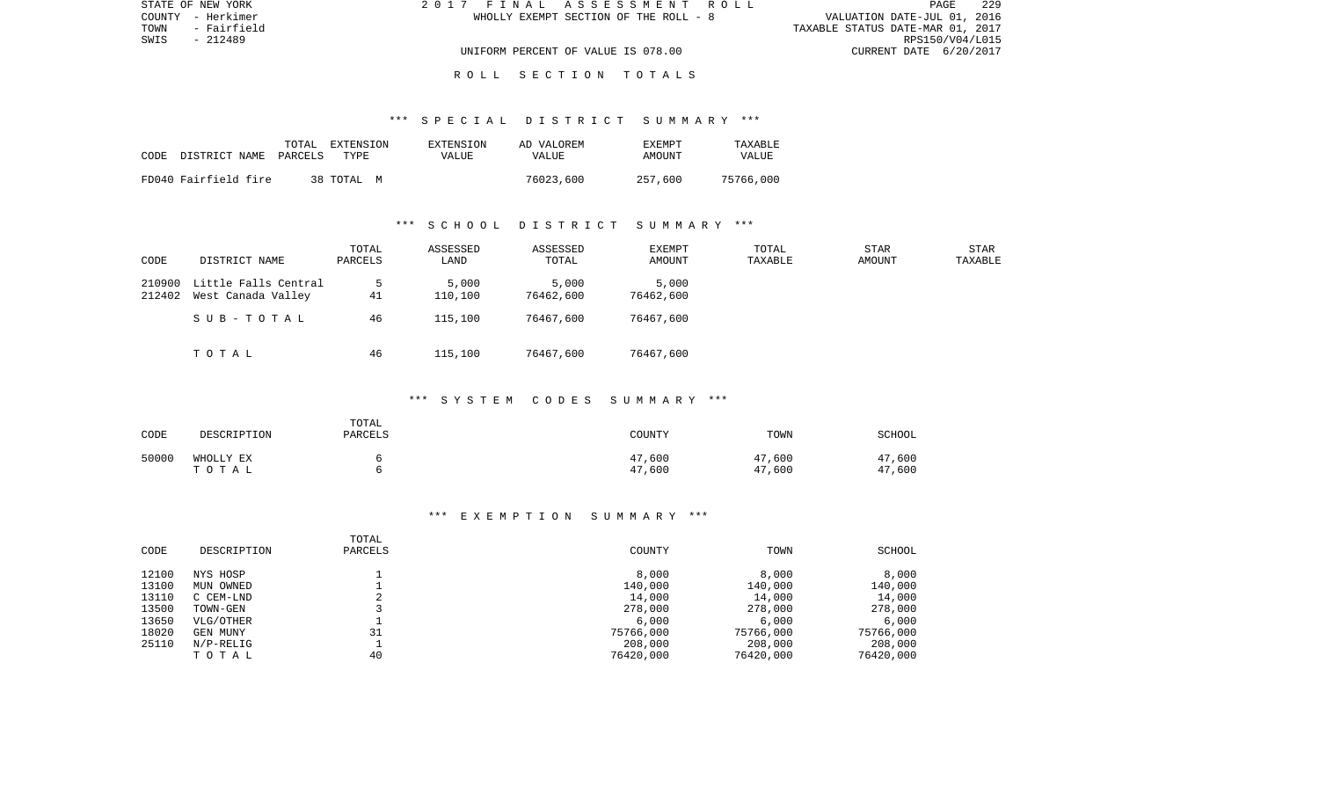| STATE OF NEW YORK   | 2017 FINAL ASSESSMENT ROLL            | 229<br><b>PAGE</b>               |
|---------------------|---------------------------------------|----------------------------------|
| COUNTY - Herkimer   | WHOLLY EXEMPT SECTION OF THE ROLL - 8 | VALUATION DATE-JUL 01, 2016      |
| TOWN<br>- Fairfield |                                       | TAXABLE STATUS DATE-MAR 01, 2017 |
| SWIS<br>- 212489    |                                       | RPS150/V04/L015                  |
|                     | UNIFORM PERCENT OF VALUE IS 078.00    | CURRENT DATE 6/20/2017           |
|                     |                                       |                                  |

# R O L L S E C T I O N T O T A L S

#### \*\*\* S P E C I A L D I S T R I C T S U M M A R Y \*\*\*

| CODE | DISTRICT NAME PARCELS | TOTAL | EXTENSION<br>TYPF. | EXTENSION<br>VALUE | AD VALOREM<br>VALUE | EXEMPT<br>AMOUNT | TAXABLE<br>VALUE |
|------|-----------------------|-------|--------------------|--------------------|---------------------|------------------|------------------|
|      | FD040 Fairfield fire  |       | 38 TOTAL M         |                    | 76023,600           | 257,600          | 75766,000        |

#### \*\*\* S C H O O L D I S T R I C T S U M M A R Y \*\*\*

| CODE             | DISTRICT NAME                              | TOTAL<br>PARCELS | ASSESSED<br>LAND | ASSESSED<br>TOTAL  | <b>EXEMPT</b><br>AMOUNT | TOTAL<br>TAXABLE | <b>STAR</b><br>AMOUNT | STAR<br>TAXABLE |
|------------------|--------------------------------------------|------------------|------------------|--------------------|-------------------------|------------------|-----------------------|-----------------|
| 210900<br>212402 | Little Falls Central<br>West Canada Valley | 41               | 5,000<br>110,100 | 5,000<br>76462,600 | 5,000<br>76462,600      |                  |                       |                 |
|                  | SUB-TOTAL                                  | 46               | 115,100          | 76467,600          | 76467,600               |                  |                       |                 |
|                  | TOTAL                                      | 46               | 115,100          | 76467,600          | 76467,600               |                  |                       |                 |

#### \*\*\* S Y S T E M C O D E S S U M M A R Y \*\*\*

| CODE  | DESCRIPTION        | TOTAL<br><b>PARCELS</b> | COUNTY           | TOWN             | SCHOOL           |
|-------|--------------------|-------------------------|------------------|------------------|------------------|
| 50000 | WHOLLY EX<br>TOTAL |                         | 47,600<br>47,600 | 47,600<br>47,600 | 47,600<br>47,600 |

| CODE  | DESCRIPTION | TOTAL<br>PARCELS | COUNTY    | TOWN      | SCHOOL    |
|-------|-------------|------------------|-----------|-----------|-----------|
| 12100 | NYS HOSP    |                  | 8,000     | 8,000     | 8,000     |
| 13100 | MUN OWNED   |                  | 140,000   | 140,000   | 140,000   |
| 13110 | C CEM-LND   |                  | 14,000    | 14,000    | 14,000    |
| 13500 | TOWN-GEN    |                  | 278,000   | 278,000   | 278,000   |
| 13650 | VLG/OTHER   |                  | 6,000     | 6,000     | 6,000     |
| 18020 | GEN MUNY    | 31               | 75766,000 | 75766,000 | 75766,000 |
| 25110 | $N/P-RELIG$ |                  | 208,000   | 208,000   | 208,000   |
|       | TOTAL       | 40               | 76420,000 | 76420,000 | 76420,000 |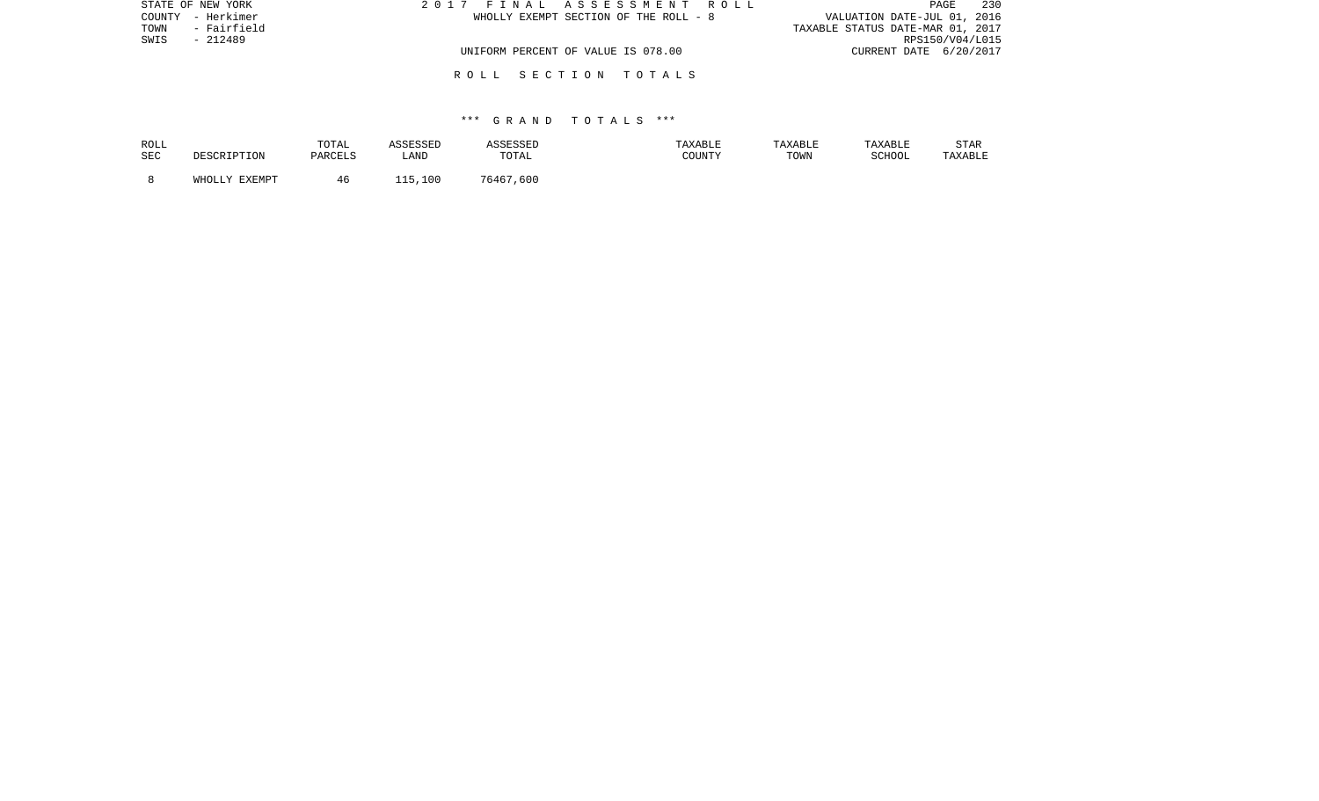| STATE OF NEW YORK   | 2017 FINAL ASSESSMENT ROLL            | 230<br>PAGE                      |
|---------------------|---------------------------------------|----------------------------------|
| COUNTY - Herkimer   | WHOLLY EXEMPT SECTION OF THE ROLL - 8 | VALUATION DATE-JUL 01, 2016      |
| - Fairfield<br>TOWN |                                       | TAXABLE STATUS DATE-MAR 01, 2017 |
| SWIS<br>$-212489$   |                                       | RPS150/V04/L015                  |
|                     | UNIFORM PERCENT OF VALUE IS 078.00    | CURRENT DATE 6/20/2017           |
|                     | ROLL SECTION TOTALS                   |                                  |

#### \*\*\* G R A N D T O T A L S \*\*\*

| ROLL       | DESCRIPTION   | TOTAL   | ASSESSED | ASSESSED  | TAXABLE | TAXABLE | TAXABLE | STAR    |
|------------|---------------|---------|----------|-----------|---------|---------|---------|---------|
| <b>SEC</b> |               | PARCELS | LAND     | TOTAL     | COUNTY  | TOWN    | SCHOOL  | TAXABLE |
|            | WHOLLY EXEMPT | 46      | 115,100  | 76467,600 |         |         |         |         |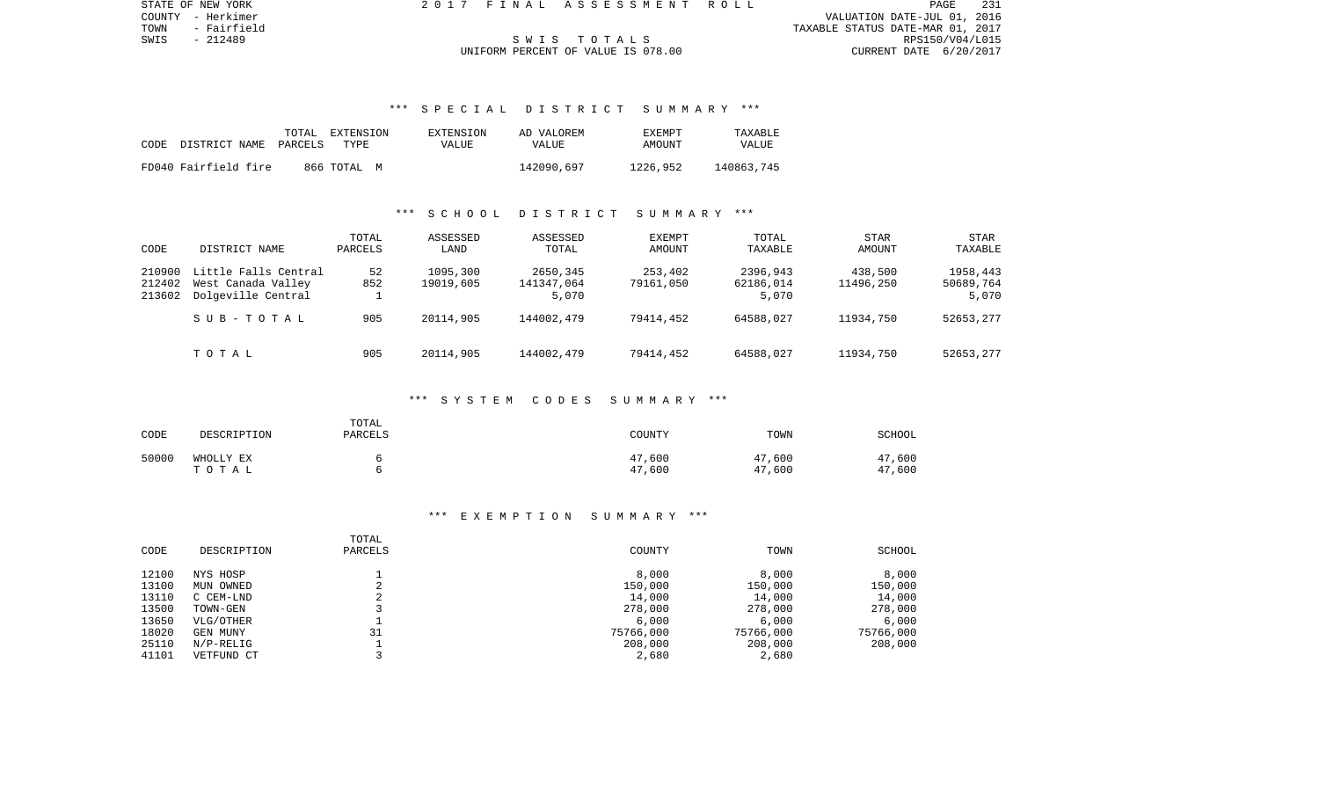PAGE 231 COUNTY - Herkimer VALUATION DATE-JUL 01, 2016 TOWN - Fairfield TAXABLE STATUS DATE-MAR 01, 2017 SWIS - 212489 S W I S T O T A L S RPS150/V04/L015

STATE OF NEW YORK 2 0 1 7 F I N A L A S S E S S M E N T R O L L PAGE 231

## UNIFORM PERCENT OF VALUE IS 078.00

#### \*\*\* S P E C I A L D I S T R I C T S U M M A R Y \*\*\*

|                       | TOTAL<br>EXTENSION | EXTENSION | AD VALOREM | <b>EXEMPT</b> | TAXABLE    |
|-----------------------|--------------------|-----------|------------|---------------|------------|
| CODE<br>DISTRICT NAME | TYPE<br>PARCELS    | VALUE     | VALUE      | AMOUNT        | VALUE      |
|                       |                    |           |            |               |            |
| FD040 Fairfield fire  | 866 ТОТАL М        |           | 142090,697 | 1226,952      | 140863,745 |

#### \*\*\* S C H O O L D I S T R I C T S U M M A R Y \*\*\*

| CODE             | DISTRICT NAME                              | TOTAL<br>PARCELS | ASSESSED<br>LAND      | ASSESSED<br>TOTAL      | <b>EXEMPT</b><br>AMOUNT | TOTAL<br>TAXABLE      | <b>STAR</b><br>AMOUNT | <b>STAR</b><br>TAXABLE |
|------------------|--------------------------------------------|------------------|-----------------------|------------------------|-------------------------|-----------------------|-----------------------|------------------------|
| 210900<br>212402 | Little Falls Central<br>West Canada Valley | 52<br>852        | 1095,300<br>19019,605 | 2650,345<br>141347,064 | 253,402<br>79161,050    | 2396,943<br>62186,014 | 438,500<br>11496,250  | 1958,443<br>50689,764  |
| 213602           | Dolgeville Central                         |                  |                       | 5,070                  |                         | 5,070                 |                       | 5,070                  |
|                  | SUB-TOTAL                                  | 905              | 20114,905             | 144002,479             | 79414,452               | 64588,027             | 11934,750             | 52653,277              |
|                  | TOTAL                                      | 905              | 20114,905             | 144002,479             | 79414,452               | 64588,027             | 11934,750             | 52653,277              |

#### \*\*\* S Y S T E M C O D E S S U M M A R Y \*\*\*

| CODE  | DESCRIPTION        | TOTAL<br>PARCELS | COUNTY           | TOWN             | SCHOOL           |
|-------|--------------------|------------------|------------------|------------------|------------------|
| 50000 | WHOLLY EX<br>TOTAL |                  | 47,600<br>47,600 | 47,600<br>47,600 | 47,600<br>47,600 |

| CODE  | DESCRIPTION  | TOTAL<br>PARCELS         | COUNTY    | TOWN      | SCHOOL    |
|-------|--------------|--------------------------|-----------|-----------|-----------|
| 12100 | NYS HOSP     |                          | 8,000     | 8,000     | 8,000     |
| 13100 | MUN OWNED    | $\sim$                   | 150,000   | 150,000   | 150,000   |
| 13110 | C CEM-LND    | $\overline{\phantom{a}}$ | 14,000    | 14,000    | 14,000    |
| 13500 | TOWN-GEN     |                          | 278,000   | 278,000   | 278,000   |
| 13650 | VLG/OTHER    |                          | 6.000     | 6,000     | 6,000     |
| 18020 | GEN MUNY     | 31                       | 75766,000 | 75766,000 | 75766,000 |
| 25110 | $N/P-RELLIG$ |                          | 208,000   | 208,000   | 208,000   |
| 41101 | VETFUND CT   |                          | 2,680     | 2,680     |           |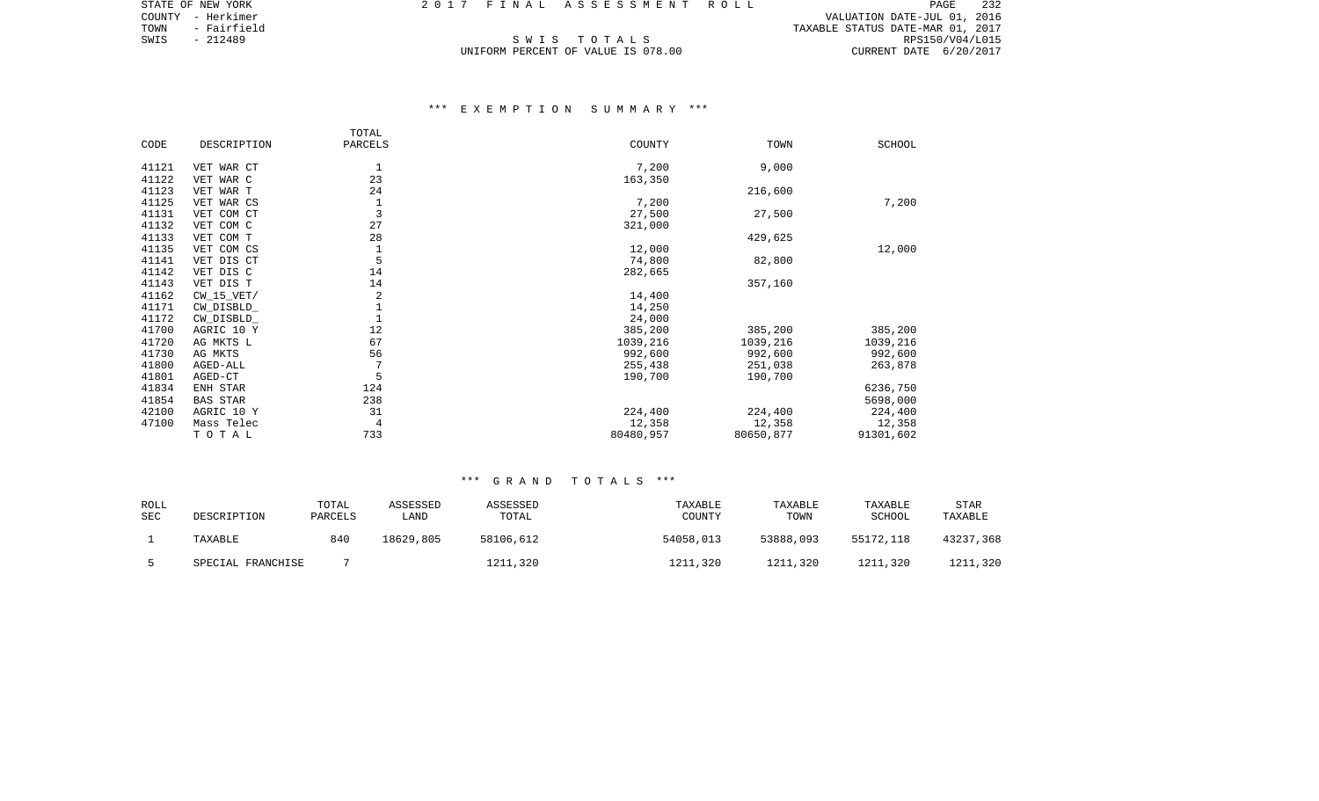COUNTY - Herkimer VALUATION DATE-JUL 01, 2016 TOWN - Fairfield TAXABLE STATUS DATE-MAR 01, 2017 SWIS - Fairfield (1917) TOWN - Fairfield (1917) SWIS - 212489<br>SWIS - 212489 SWIS - 212489 SWIS - 212489 SWIS - 212489 SWIS - 212489 SWIS - 212489 SWIS - 212489 SWIS - 20217<br>UNIFORM PERCENT OF VALUE IS 078.00 SWIS CURRENT D

STATE OF NEW YORK 2 0 1 7 F I N A L A S S E S S M E N T R O L L PAGE 232

## UNIFORM PERCENT OF VALUE IS 078.00

#### \*\*\* E X E M P T I O N S U M M A R Y \*\*\*

|       |                 | TOTAL       |           |           |           |
|-------|-----------------|-------------|-----------|-----------|-----------|
| CODE  | DESCRIPTION     | PARCELS     | COUNTY    | TOWN      | SCHOOL    |
|       |                 |             |           |           |           |
| 41121 | VET WAR CT      | 1           | 7,200     | 9,000     |           |
| 41122 | VET WAR C       | 23          | 163,350   |           |           |
| 41123 | VET WAR T       | 24          |           | 216,600   |           |
| 41125 | VET WAR CS      | 1           | 7,200     |           | 7,200     |
| 41131 | VET COM CT      | 3           | 27,500    | 27,500    |           |
| 41132 | VET COM C       | 27          | 321,000   |           |           |
| 41133 | VET COM T       | 28          |           | 429,625   |           |
| 41135 | VET COM CS      | $\mathbf 1$ | 12,000    |           | 12,000    |
| 41141 | VET DIS CT      | 5           | 74,800    | 82,800    |           |
| 41142 | VET DIS C       | 14          | 282,665   |           |           |
| 41143 | VET DIS T       | 14          |           | 357,160   |           |
| 41162 | $CW_15_VET/$    | 2           | 14,400    |           |           |
| 41171 | CW_DISBLD_      | $\mathbf 1$ | 14,250    |           |           |
| 41172 | CW_DISBLD_      | $\mathbf 1$ | 24,000    |           |           |
| 41700 | AGRIC 10 Y      | 12          | 385,200   | 385,200   | 385,200   |
| 41720 | AG MKTS L       | 67          | 1039,216  | 1039,216  | 1039,216  |
| 41730 | AG MKTS         | 56          | 992,600   | 992,600   | 992,600   |
| 41800 | AGED-ALL        | 7           | 255,438   | 251,038   | 263,878   |
| 41801 | AGED-CT         | 5           | 190,700   | 190,700   |           |
| 41834 | ENH STAR        | 124         |           |           | 6236,750  |
| 41854 | <b>BAS STAR</b> | 238         |           |           | 5698,000  |
| 42100 | AGRIC 10 Y      | 31          | 224,400   | 224,400   | 224,400   |
| 47100 | Mass Telec      | 4           | 12,358    | 12,358    | 12,358    |
|       | TOTAL           | 733         | 80480,957 | 80650,877 | 91301,602 |
|       |                 |             |           |           |           |

#### \*\*\* G R A N D T O T A L S \*\*\*

| ROLL<br><b>SEC</b> | DESCRIPTION       | TOTAL<br>PARCELS | ASSESSED<br>LAND | ASSESSED<br>TOTAL | TAXABLE<br>COUNTY | <b>TAXABLE</b><br>TOWN | TAXABLE<br>SCHOOL | <b>STAR</b><br>TAXABLE |
|--------------------|-------------------|------------------|------------------|-------------------|-------------------|------------------------|-------------------|------------------------|
|                    | TAXABLE           | 840              | 18629,805        | 58106,612         | 54058,013         | 53888,093              | 55172,118         | 43237,368              |
|                    | SPECIAL FRANCHISE |                  |                  | 1211,320          | 1211,320          | 1211,320               | 1211,320          | 1211,320               |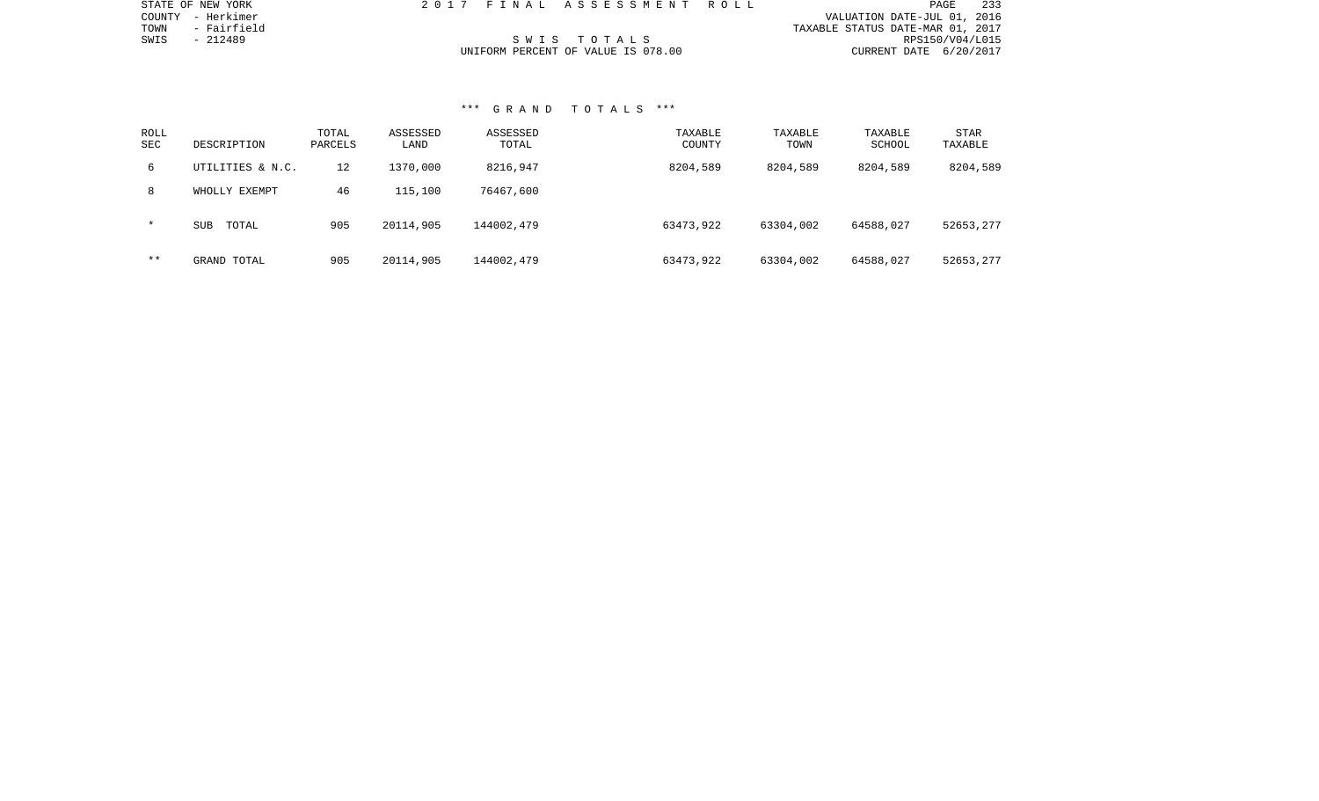| STATE OF NEW YORK   |  | 2017 FINAL ASSESSMENT ROLL         |                                  | PAGE            | 233 |
|---------------------|--|------------------------------------|----------------------------------|-----------------|-----|
| COUNTY - Herkimer   |  |                                    | VALUATION DATE-JUL 01, 2016      |                 |     |
| TOWN<br>- Fairfield |  |                                    | TAXABLE STATUS DATE-MAR 01, 2017 |                 |     |
| SWIS<br>- 212489    |  | SWIS TOTALS                        |                                  | RPS150/V04/L015 |     |
|                     |  | UNIFORM PERCENT OF VALUE IS 078.00 | CURRENT DATE 6/20/2017           |                 |     |

#### \*\*\* G R A N D T O T A L S \*\*\*

STATE OF NEW YORK

| ROLL<br><b>SEC</b> | DESCRIPTION         | TOTAL<br>PARCELS | ASSESSED<br>LAND | ASSESSED<br>TOTAL | TAXABLE<br>COUNTY | TAXABLE<br>TOWN | TAXABLE<br>SCHOOL | <b>STAR</b><br>TAXABLE |
|--------------------|---------------------|------------------|------------------|-------------------|-------------------|-----------------|-------------------|------------------------|
| 6                  | UTILITIES & N.C.    | 12               | 1370,000         | 8216,947          | 8204,589          | 8204,589        | 8204,589          | 8204,589               |
| 8                  | WHOLLY EXEMPT       | 46               | 115,100          | 76467,600         |                   |                 |                   |                        |
| $\star$            | <b>SUB</b><br>TOTAL | 905              | 20114,905        | 144002,479        | 63473,922         | 63304,002       | 64588,027         | 52653,277              |
| $* *$              | GRAND TOTAL         | 905              | 20114,905        | 144002,479        | 63473,922         | 63304,002       | 64588,027         | 52653,277              |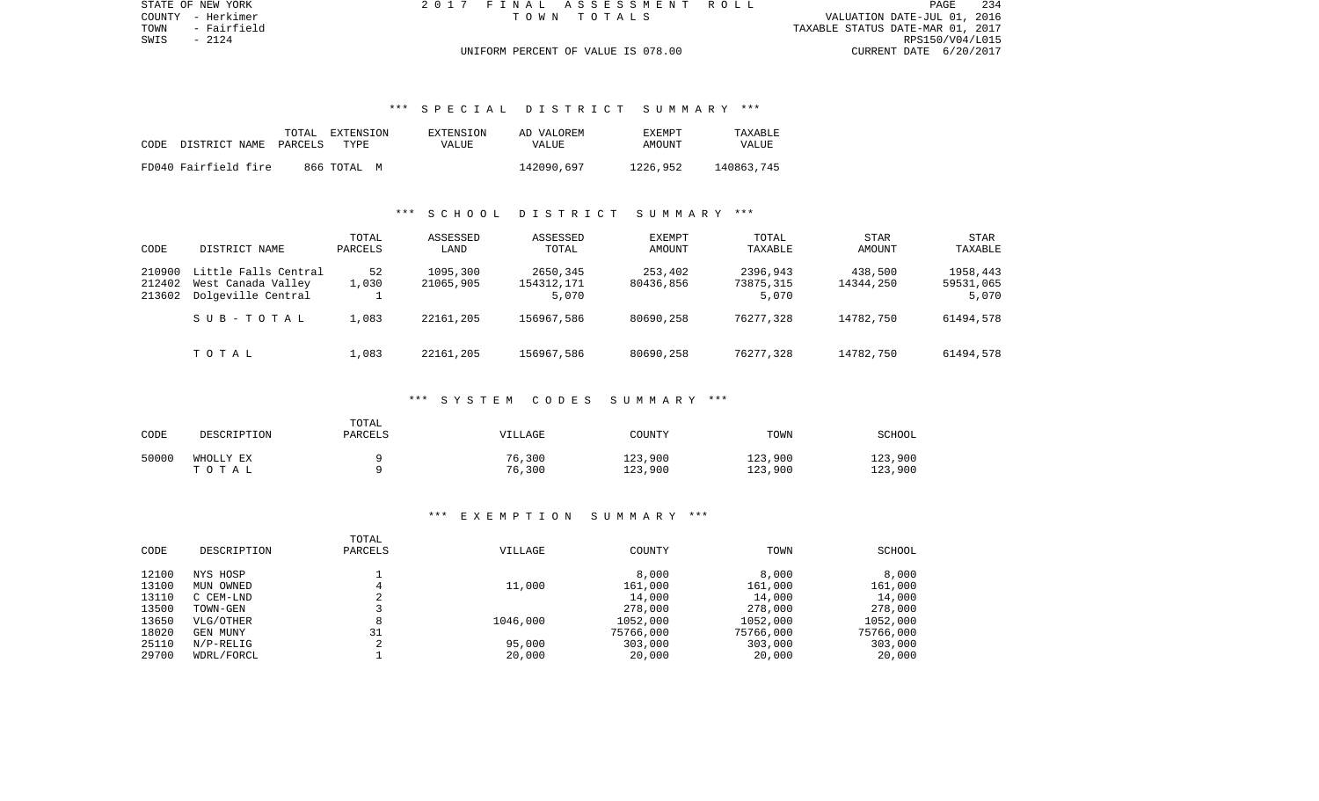TOWN - Fairfield TAXABLE STATUS DATE-MAR 01, 2017 RPS150/V04/L015 UNIFORM PERCENT OF VALUE IS 078.00 CURRENT DATE 6/20/2017

STATE OF NEW YORK 2 0 1 7 F I N A L A S S E S S M E N T R O L L PAGE 234COUNTY - Herkimer T O W N T O T A L S VALUATION DATE-JUL 01, 2016

### \*\*\* S P E C I A L D I S T R I C T S U M M A R Y \*\*\*

| CODE | DISTRICT NAME        | TOTAL<br>PARCELS | EXTENSION<br>TYPE | EXTENSION<br>VALUE | AD VALOREM<br>VALUE | EXEMPT<br>AMOUNT | TAXABLE<br>VALUE |
|------|----------------------|------------------|-------------------|--------------------|---------------------|------------------|------------------|
|      | FD040 Fairfield fire |                  | 866 ТОТАЬ М       |                    | 142090,697          | 1226,952         | 140863,745       |

#### \*\*\* S C H O O L D I S T R I C T S U M M A R Y \*\*\*

| CODE                       | DISTRICT NAME                                                    | TOTAL<br>PARCELS | ASSESSED<br>LAND      | ASSESSED<br>TOTAL               | <b>EXEMPT</b><br>AMOUNT | TOTAL<br>TAXABLE               | <b>STAR</b><br>AMOUNT | <b>STAR</b><br>TAXABLE         |
|----------------------------|------------------------------------------------------------------|------------------|-----------------------|---------------------------------|-------------------------|--------------------------------|-----------------------|--------------------------------|
| 210900<br>212402<br>213602 | Little Falls Central<br>West Canada Valley<br>Dolgeville Central | 52<br>1,030      | 1095,300<br>21065,905 | 2650,345<br>154312,171<br>5,070 | 253,402<br>80436,856    | 2396,943<br>73875,315<br>5,070 | 438,500<br>14344,250  | 1958,443<br>59531,065<br>5,070 |
|                            | SUB-TOTAL                                                        | 1,083            | 22161,205             | 156967,586                      | 80690,258               | 76277,328                      | 14782,750             | 61494,578                      |
|                            | TOTAL                                                            | 1,083            | 22161,205             | 156967.586                      | 80690,258               | 76277,328                      | 14782,750             | 61494,578                      |

#### \*\*\* S Y S T E M C O D E S S U M M A R Y \*\*\*

| CODE  | DESCRIPTION        | TOTAL<br>PARCELS | VILLAGE          | COUNTY             | TOWN               | <b>SCHOOL</b>      |
|-------|--------------------|------------------|------------------|--------------------|--------------------|--------------------|
| 50000 | WHOLLY EX<br>TOTAL |                  | 76,300<br>76,300 | 123,900<br>123,900 | 123,900<br>123,900 | 123,900<br>123,900 |

| CODE  | DESCRIPTION  | TOTAL<br>PARCELS | <b>VILLAGE</b> | COUNTY    | TOWN      | SCHOOL    |
|-------|--------------|------------------|----------------|-----------|-----------|-----------|
|       |              |                  |                |           |           |           |
| 12100 | NYS HOSP     |                  |                | 8,000     | 8,000     | 8,000     |
| 13100 | MUN OWNED    |                  | 11,000         | 161,000   | 161,000   | 161,000   |
| 13110 | C CEM-LND    |                  |                | 14,000    | 14,000    | 14,000    |
| 13500 | TOWN-GEN     |                  |                | 278,000   | 278,000   | 278,000   |
| 13650 | VLG/OTHER    | 8                | 1046,000       | 1052,000  | 1052,000  | 1052,000  |
| 18020 | GEN MUNY     | 31               |                | 75766,000 | 75766,000 | 75766,000 |
| 25110 | $N/P-RELLIG$ | $\bigcap$        | 95,000         | 303,000   | 303,000   | 303,000   |
| 29700 | WDRL/FORCL   |                  | 20,000         | 20,000    | 20,000    | 20,000    |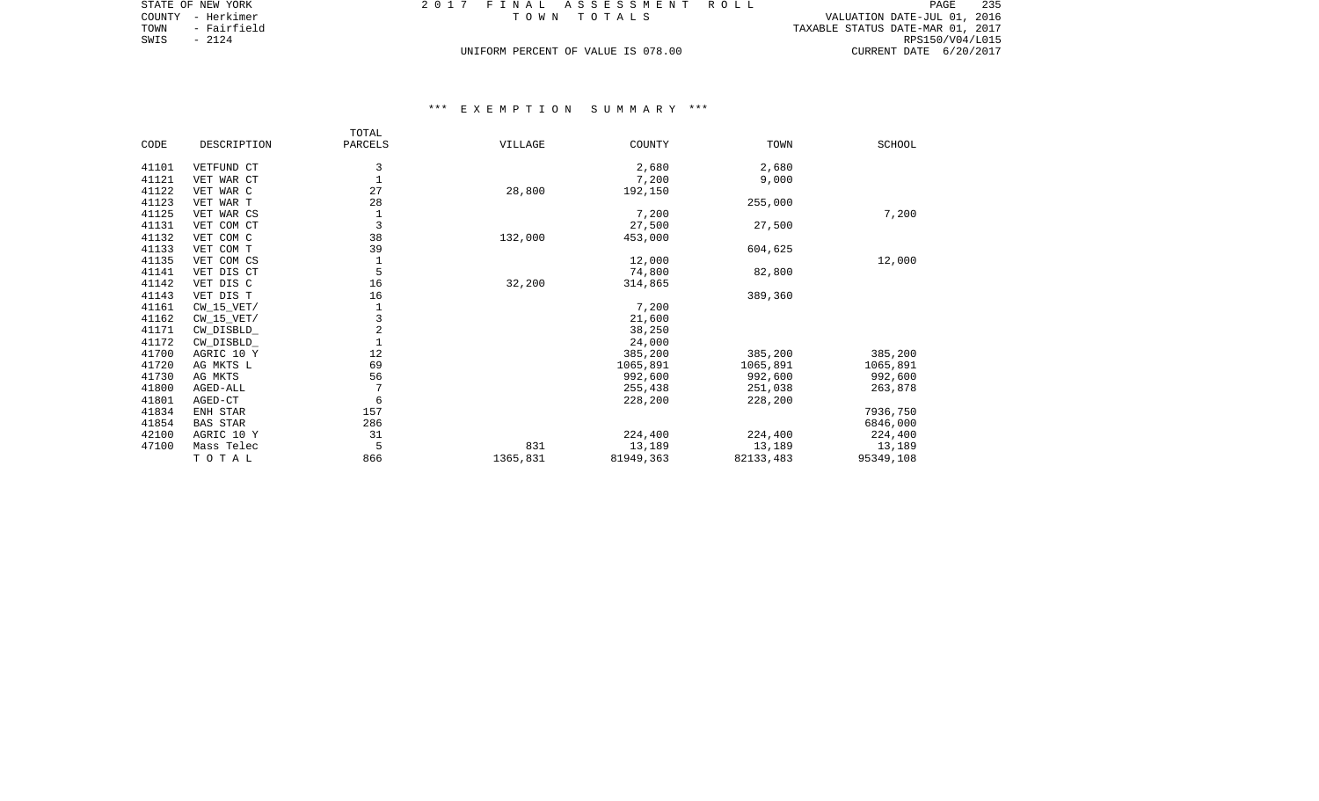| STATE OF NEW YORK   | 2017 FINAL ASSESSMENT ROLL         | - 235<br>PAGE                    |
|---------------------|------------------------------------|----------------------------------|
| COUNTY - Herkimer   | TOWN TOTALS                        | VALUATION DATE-JUL 01, 2016      |
| - Fairfield<br>TOWN |                                    | TAXABLE STATUS DATE-MAR 01, 2017 |
| SWIS<br>- 2124      |                                    | RPS150/V04/L015                  |
|                     | UNIFORM PERCENT OF VALUE IS 078.00 | CURRENT DATE 6/20/2017           |

|       |                 | TOTAL          |          |           |           |               |
|-------|-----------------|----------------|----------|-----------|-----------|---------------|
| CODE  | DESCRIPTION     | PARCELS        | VILLAGE  | COUNTY    | TOWN      | <b>SCHOOL</b> |
|       |                 |                |          |           |           |               |
| 41101 | VETFUND CT      | 3              |          | 2,680     | 2,680     |               |
| 41121 | VET WAR CT      | 1              |          | 7,200     | 9,000     |               |
| 41122 | VET WAR C       | 27             | 28,800   | 192,150   |           |               |
| 41123 | VET WAR T       | 28             |          |           | 255,000   |               |
| 41125 | VET WAR CS      | 1              |          | 7,200     |           | 7,200         |
| 41131 | VET COM CT      | 3              |          | 27,500    | 27,500    |               |
| 41132 | VET COM C       | 38             | 132,000  | 453,000   |           |               |
| 41133 | VET COM T       | 39             |          |           | 604,625   |               |
| 41135 | VET COM CS      | 1              |          | 12,000    |           | 12,000        |
| 41141 | VET DIS CT      | 5              |          | 74,800    | 82,800    |               |
| 41142 | VET DIS C       | 16             | 32,200   | 314,865   |           |               |
| 41143 | VET DIS T       | 16             |          |           | 389,360   |               |
| 41161 | $CW_15_VET/$    | 1              |          | 7,200     |           |               |
| 41162 | $CW_15_VET/$    | 3              |          | 21,600    |           |               |
| 41171 | CW DISBLD       | $\overline{2}$ |          | 38,250    |           |               |
| 41172 | CW_DISBLD_      |                |          | 24,000    |           |               |
| 41700 | AGRIC 10 Y      | 12             |          | 385,200   | 385,200   | 385,200       |
| 41720 | AG MKTS L       | 69             |          | 1065,891  | 1065,891  | 1065,891      |
| 41730 | AG MKTS         | 56             |          | 992,600   | 992,600   | 992,600       |
| 41800 | AGED-ALL        | 7              |          | 255,438   | 251,038   | 263,878       |
| 41801 | AGED-CT         | 6              |          | 228,200   | 228,200   |               |
| 41834 | ENH STAR        | 157            |          |           |           | 7936,750      |
| 41854 | <b>BAS STAR</b> | 286            |          |           |           | 6846,000      |
| 42100 | AGRIC 10 Y      | 31             |          | 224,400   | 224,400   | 224,400       |
| 47100 | Mass Telec      | 5              | 831      | 13,189    | 13,189    | 13,189        |
|       | TOTAL           | 866            | 1365,831 | 81949,363 | 82133,483 | 95349,108     |
|       |                 |                |          |           |           |               |